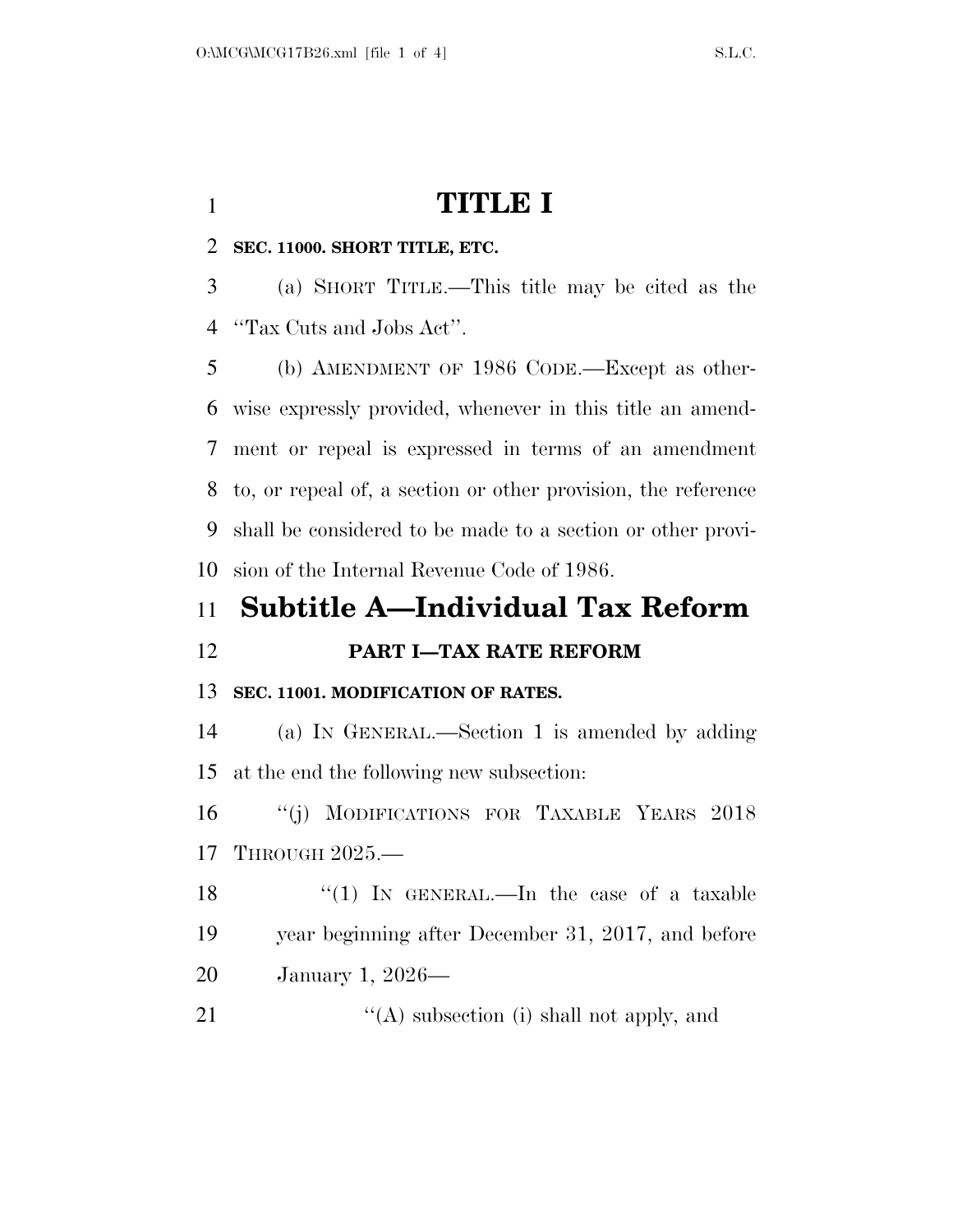# **TITLE I**

## **SEC. 11000. SHORT TITLE, ETC.**

 (a) SHORT TITLE.—This title may be cited as the ''Tax Cuts and Jobs Act''.

 (b) AMENDMENT OF 1986 CODE.—Except as other- wise expressly provided, whenever in this title an amend- ment or repeal is expressed in terms of an amendment to, or repeal of, a section or other provision, the reference shall be considered to be made to a section or other provi-sion of the Internal Revenue Code of 1986.

# **Subtitle A—Individual Tax Reform**

**PART I—TAX RATE REFORM** 

## **SEC. 11001. MODIFICATION OF RATES.**

 (a) IN GENERAL.—Section 1 is amended by adding at the end the following new subsection:

 ''(j) MODIFICATIONS FOR TAXABLE YEARS 2018 THROUGH 2025.—

18 ''(1) In GENERAL.—In the case of a taxable year beginning after December 31, 2017, and before January 1, 2026—

21 ''(A) subsection (i) shall not apply, and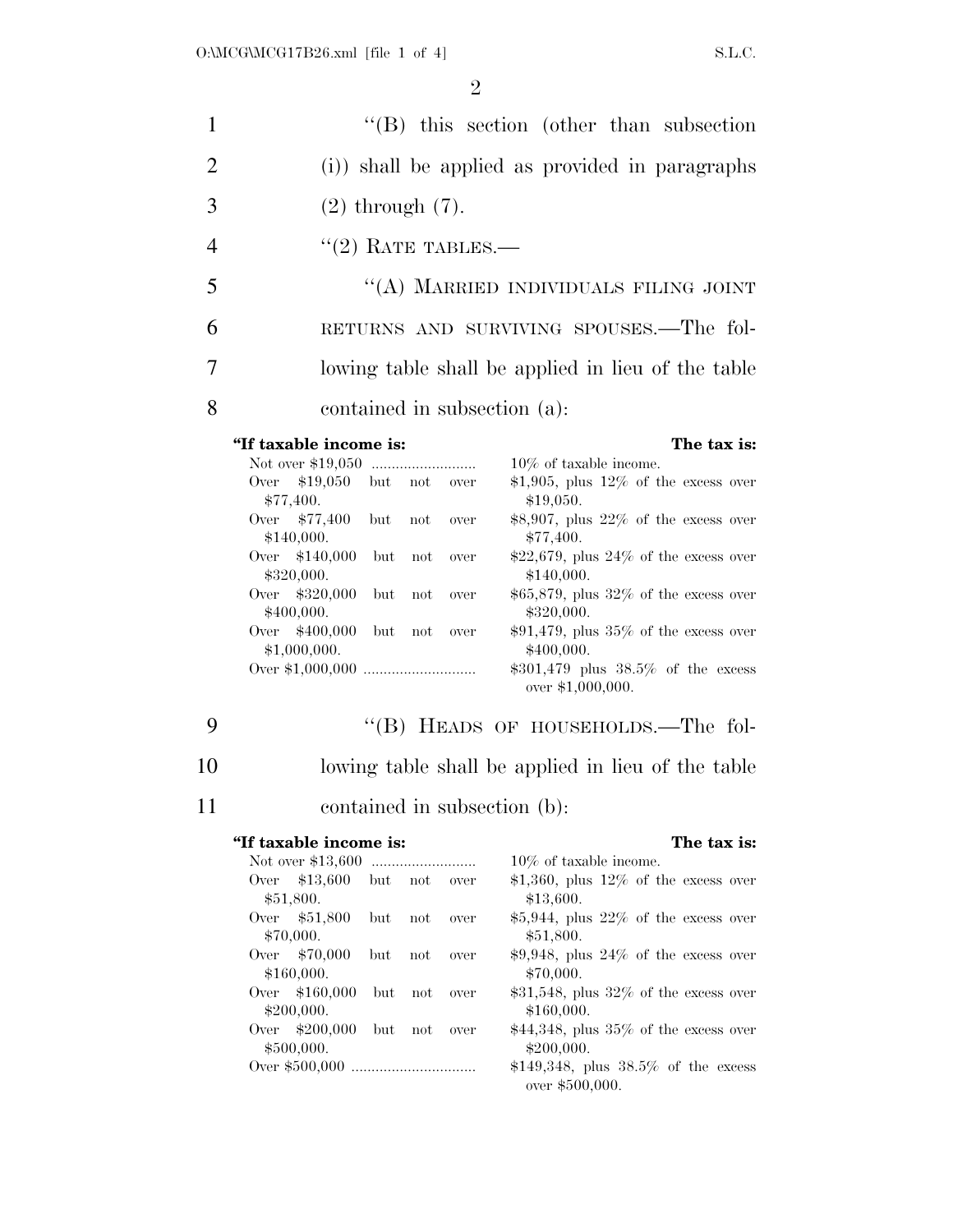| $\mathbf{1}$   | $\lq\lq$ this section (other than subsection)      |
|----------------|----------------------------------------------------|
| 2              | (i)) shall be applied as provided in paragraphs    |
| 3              | $(2)$ through $(7)$ .                              |
| $\overline{4}$ | $"(2)$ RATE TABLES.—                               |
| 5              | "(A) MARRIED INDIVIDUALS FILING JOINT              |
| 6              | RETURNS AND SURVIVING SPOUSES.—The fol-            |
| 7              | lowing table shall be applied in lieu of the table |
| 8              | contained in subsection (a):                       |

### **''If taxable income is: The tax is:**

| Not over \$19,050 |     |         |      | $10\%$ of taxable income.                  |
|-------------------|-----|---------|------|--------------------------------------------|
| Over \$19,050     | but | not     | over | \$1,905, plus $12\%$ of the excess over    |
| \$77,400.         |     |         |      | \$19,050.                                  |
| Over \$77,400     | but | not     | over | \$8,907, plus $22\%$ of the excess over    |
| \$140,000.        |     |         |      | \$77,400.                                  |
| Over $$140,000$   |     | but not | over | \$22,679, plus $24\%$ of the excess over   |
| \$320,000.        |     |         |      | \$140,000.                                 |
| Over \$320,000    | but | not     | over | $$65,879$ , plus $32\%$ of the excess over |
| \$400,000.        |     |         |      | \$320,000.                                 |
| \$400,000<br>Over | but | not     | over | $$91,479$ , plus $35\%$ of the excess over |
| \$1,000,000.      |     |         |      | \$400,000.                                 |
|                   |     |         |      | $$301,479$ plus $38.5\%$ of the excess     |
|                   |     |         |      | over $$1,000,000$ .                        |

9 "(B) HEADS OF HOUSEHOLDS.—The fol-

- 10 lowing table shall be applied in lieu of the table
- 11 contained in subsection (b):

### **''If taxable income is: The tax is:**

| Not over \$13,600   |         |     |      | $10\%$ of taxable income.                                   |
|---------------------|---------|-----|------|-------------------------------------------------------------|
| Over \$13,600       | but not |     | over | \$1,360, plus $12\%$ of the excess over                     |
| \$51,800.           |         |     |      | \$13,600.                                                   |
| Over \$51,800       | but     | not | over | $$5,944$ , plus $22\%$ of the excess over                   |
| \$70,000.           |         |     |      | \$51,800.                                                   |
| Over \$70,000       | but     | not | over | $$9,948$ , plus $24\%$ of the excess over                   |
| \$160,000.          |         |     |      | \$70,000.                                                   |
| Over $$160,000$ but |         | not | over | $$31,548$ , plus $32\%$ of the excess over                  |
| \$200,000.          |         |     |      | \$160,000.                                                  |
| Over $$200,000$ but |         | not | over | $$44,348$ , plus 35% of the excess over                     |
| \$500,000.          |         |     |      | \$200,000.                                                  |
|                     |         |     |      | \$149,348, plus $38.5\%$ of the excess<br>over $$500,000$ . |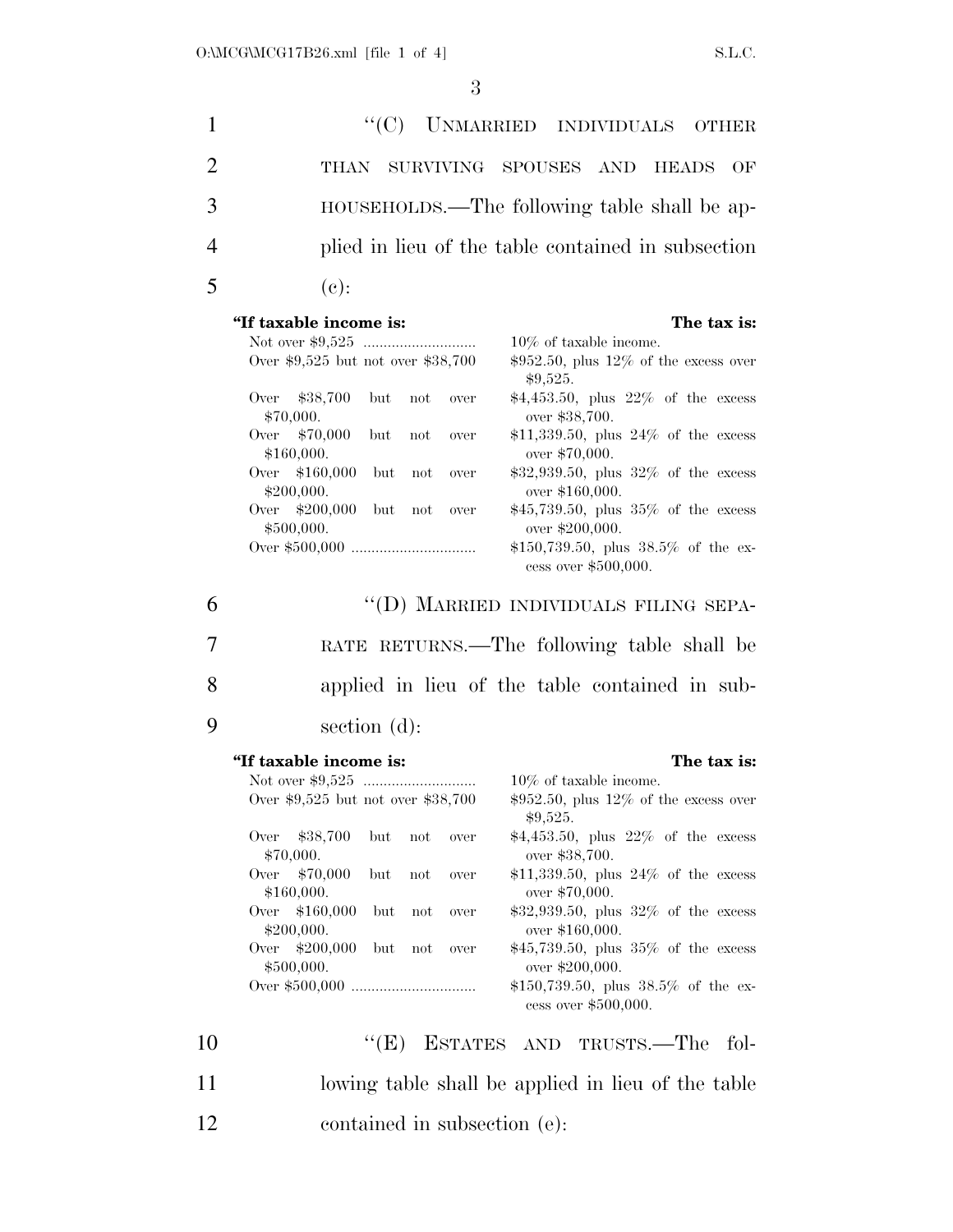| 1              | ``(C)<br>UNMARRIED INDIVIDUALS<br>OTHER                                                                                                                                                                                                                                                                                                                                                                                                                                                                                         |
|----------------|---------------------------------------------------------------------------------------------------------------------------------------------------------------------------------------------------------------------------------------------------------------------------------------------------------------------------------------------------------------------------------------------------------------------------------------------------------------------------------------------------------------------------------|
| $\overline{c}$ | SURVIVING SPOUSES AND<br>THAN<br><b>HEADS</b><br>OF                                                                                                                                                                                                                                                                                                                                                                                                                                                                             |
| 3              | HOUSEHOLDS.—The following table shall be ap-                                                                                                                                                                                                                                                                                                                                                                                                                                                                                    |
|                |                                                                                                                                                                                                                                                                                                                                                                                                                                                                                                                                 |
| 4              | plied in lieu of the table contained in subsection                                                                                                                                                                                                                                                                                                                                                                                                                                                                              |
| 5              | $(e)$ :                                                                                                                                                                                                                                                                                                                                                                                                                                                                                                                         |
|                | "If taxable income is:<br>The tax is:<br>$10\%$ of taxable income.<br>Over \$9,525 but not over \$38,700<br>$$952.50$ , plus $12\%$ of the excess over<br>\$9,525.<br>$$4,453.50$ , plus $22\%$ of the excess<br>\$38,700<br>Over<br>but<br>not<br>over<br>\$70,000.<br>over \$38,700.<br>\$70,000<br>\$11,339.50, plus $24\%$ of the excess<br>Over<br>but<br>not<br>over<br>\$160,000.<br>over \$70,000.<br>Over \$160,000<br>$$32,939.50$ , plus $32\%$ of the excess<br>but<br>not<br>over<br>\$200,000.<br>over \$160,000. |
|                | Over \$200,000<br>\$45,739.50, plus $35%$ of the excess<br>but<br>not<br>over<br>\$500,000.<br>over \$200,000.<br>\$150,739.50, plus $38.5\%$ of the ex-<br>cess over \$500,000.                                                                                                                                                                                                                                                                                                                                                |
| 6              | "(D) MARRIED INDIVIDUALS FILING SEPA-                                                                                                                                                                                                                                                                                                                                                                                                                                                                                           |
| 7              | RATE RETURNS.—The following table shall be                                                                                                                                                                                                                                                                                                                                                                                                                                                                                      |
| 8              | applied in lieu of the table contained in sub-                                                                                                                                                                                                                                                                                                                                                                                                                                                                                  |
| 9              | section $(d)$ :                                                                                                                                                                                                                                                                                                                                                                                                                                                                                                                 |
|                | "If taxable income is:<br>The tax is:<br>$10\%$ of taxable income.<br>$$952.50$ , plus $12\%$ of the excess over<br>Over \$9,525 but not over \$38,700<br>\$9,525.                                                                                                                                                                                                                                                                                                                                                              |
|                | \$38,700<br>$$4,453.50$ , plus $22\%$ of the excess<br>Over<br>but<br>not<br>$\operatorname{over}$<br>\$70,000.<br>over \$38,700.                                                                                                                                                                                                                                                                                                                                                                                               |
|                | \$70,000<br>\$11,339.50, plus $24\%$ of the excess<br>Over<br>but<br>not<br>$\operatorname{over}$<br>\$160,000.<br>over \$70,000.                                                                                                                                                                                                                                                                                                                                                                                               |
|                | \$32,939.50, plus $32\%$ of the excess<br>\$160,000<br>Over<br>but<br>not<br>$\operatorname{over}$<br>\$200,000.<br>over \$160,000.                                                                                                                                                                                                                                                                                                                                                                                             |
|                | \$45,739.50, plus 35% of the excess<br>\$200,000<br>Over<br>but<br>not<br>over<br>\$500,000.<br>over \$200,000.<br>\$150,739.50, plus $38.5\%$ of the ex-                                                                                                                                                                                                                                                                                                                                                                       |
|                |                                                                                                                                                                                                                                                                                                                                                                                                                                                                                                                                 |

| -10 | " $(E)$ ESTATES AND TRUSTS.—The fol-               |
|-----|----------------------------------------------------|
| -11 | lowing table shall be applied in lieu of the table |
| -12 | contained in subsection (e).                       |

cess over \$500,000.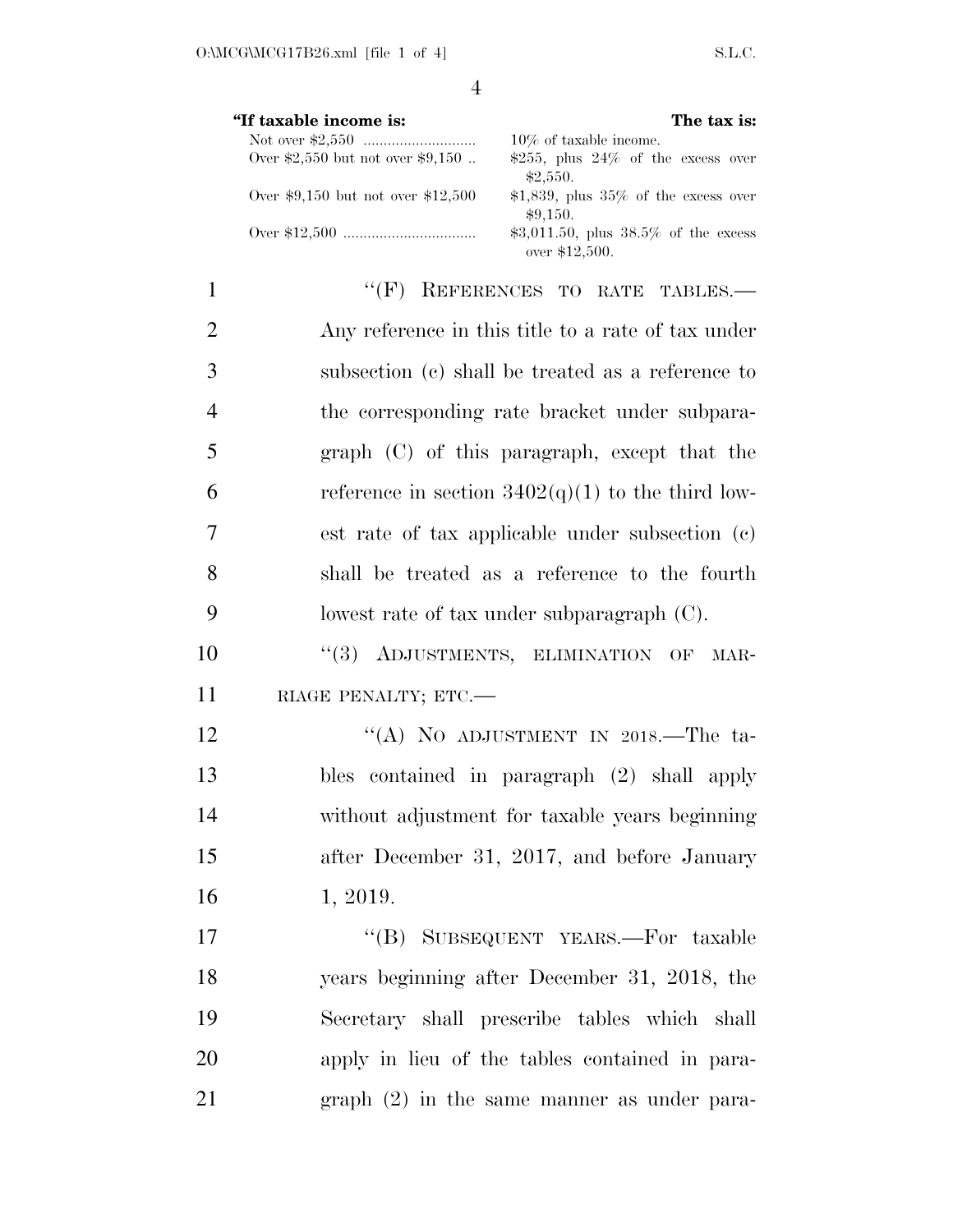|                | $\overline{4}$                                                                                                      |
|----------------|---------------------------------------------------------------------------------------------------------------------|
|                | "If taxable income is:<br>The tax is:                                                                               |
|                | $10\%$ of taxable income.<br>Over \$2,550 but not over \$9,150<br>\$255, plus $24\%$ of the excess over<br>\$2,550. |
|                | Over \$9,150 but not over \$12,500<br>\$1,839, plus $35\%$ of the excess over<br>\$9,150.                           |
|                | \$3,011.50, plus $38.5\%$ of the excess<br>over \$12,500.                                                           |
| 1              | "(F) REFERENCES TO RATE TABLES.-                                                                                    |
| $\overline{2}$ | Any reference in this title to a rate of tax under                                                                  |
| 3              | subsection (c) shall be treated as a reference to                                                                   |
| 4              | the corresponding rate bracket under subpara-                                                                       |
| 5              | graph (C) of this paragraph, except that the                                                                        |
| 6              | reference in section $3402(q)(1)$ to the third low-                                                                 |
| 7              | est rate of tax applicable under subsection (c)                                                                     |
| 8              | shall be treated as a reference to the fourth                                                                       |
| 9              | lowest rate of tax under subparagraph $(C)$ .                                                                       |
| 10             | ADJUSTMENTS, ELIMINATION OF MAR-<br>(3)                                                                             |
| 11             | RIAGE PENALTY; ETC.-                                                                                                |
| 12             | "(A) NO ADJUSTMENT IN 2018.—The ta-                                                                                 |
| 13             | bles contained in paragraph (2) shall apply                                                                         |
| 14             | without adjustment for taxable years beginning                                                                      |
| 15             | after December 31, 2017, and before January                                                                         |
| 16             | 1, 2019.                                                                                                            |

17 "(B) SUBSEQUENT YEARS.—For taxable years beginning after December 31, 2018, the Secretary shall prescribe tables which shall apply in lieu of the tables contained in para-graph (2) in the same manner as under para-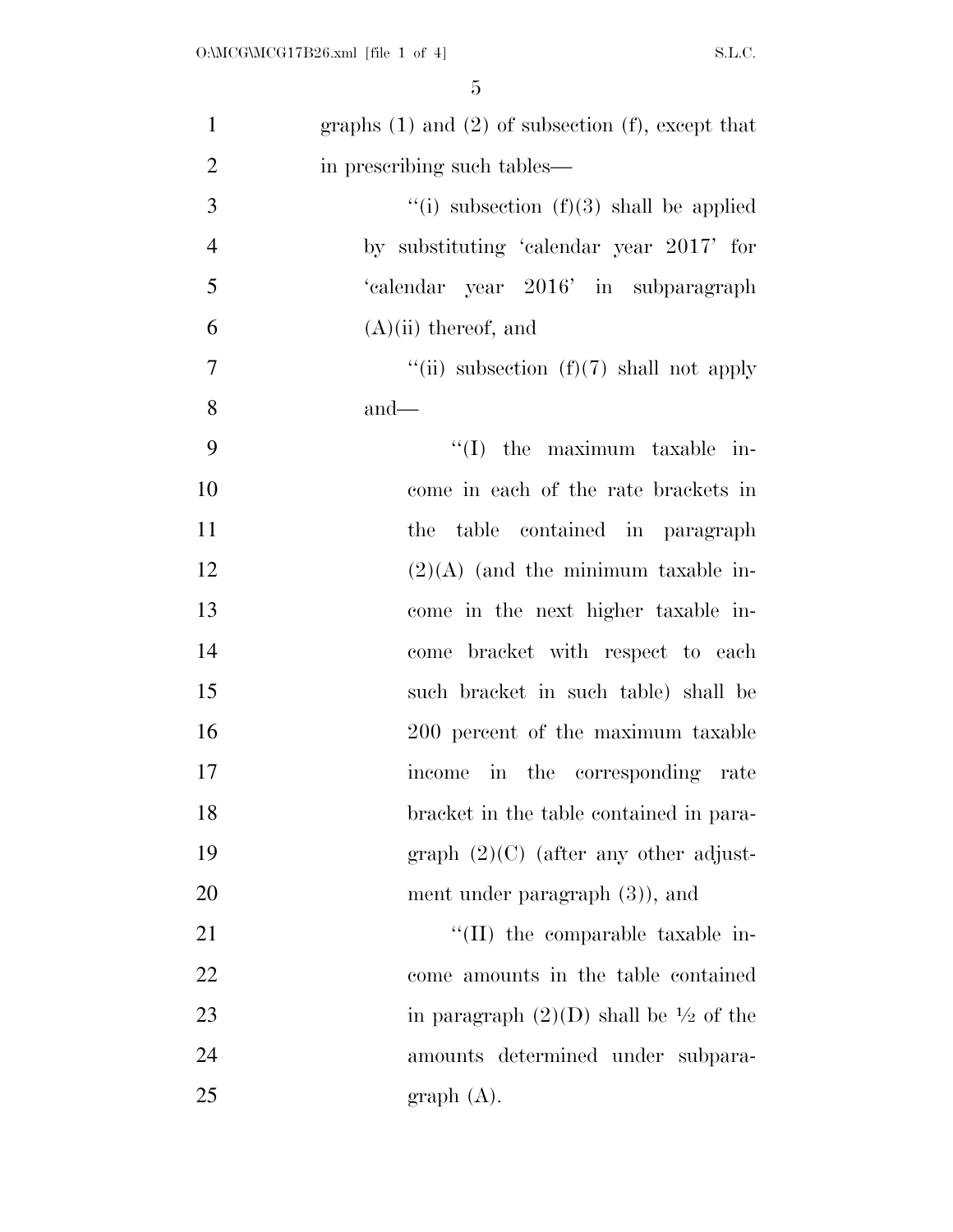| $\mathbf{1}$   | graphs $(1)$ and $(2)$ of subsection $(f)$ , except that |
|----------------|----------------------------------------------------------|
| $\overline{2}$ | in prescribing such tables—                              |
| 3              | "(i) subsection $(f)(3)$ shall be applied                |
| $\overline{4}$ | by substituting 'calendar year 2017' for                 |
| 5              | 'calendar year 2016' in subparagraph                     |
| 6              | $(A)(ii)$ thereof, and                                   |
| $\tau$         | "(ii) subsection $(f)(7)$ shall not apply                |
| 8              | $and$ —                                                  |
| 9              | $\lq\lq$ (I) the maximum taxable in-                     |
| 10             | come in each of the rate brackets in                     |
| 11             | the table contained in paragraph                         |
| 12             | $(2)(A)$ (and the minimum taxable in-                    |
| 13             | come in the next higher taxable in-                      |
| 14             | come bracket with respect to each                        |
| 15             | such bracket in such table) shall be                     |
| 16             | 200 percent of the maximum taxable                       |
| 17             | income in the corresponding rate                         |
| 18             | bracket in the table contained in para-                  |
| 19             | graph $(2)(C)$ (after any other adjust-                  |
| 20             | ment under paragraph $(3)$ , and                         |
| 21             | "(II) the comparable taxable in-                         |
| 22             | come amounts in the table contained                      |
| 23             | in paragraph $(2)(D)$ shall be $\frac{1}{2}$ of the      |
| 24             | amounts determined under subpara-                        |
| 25             | graph(A).                                                |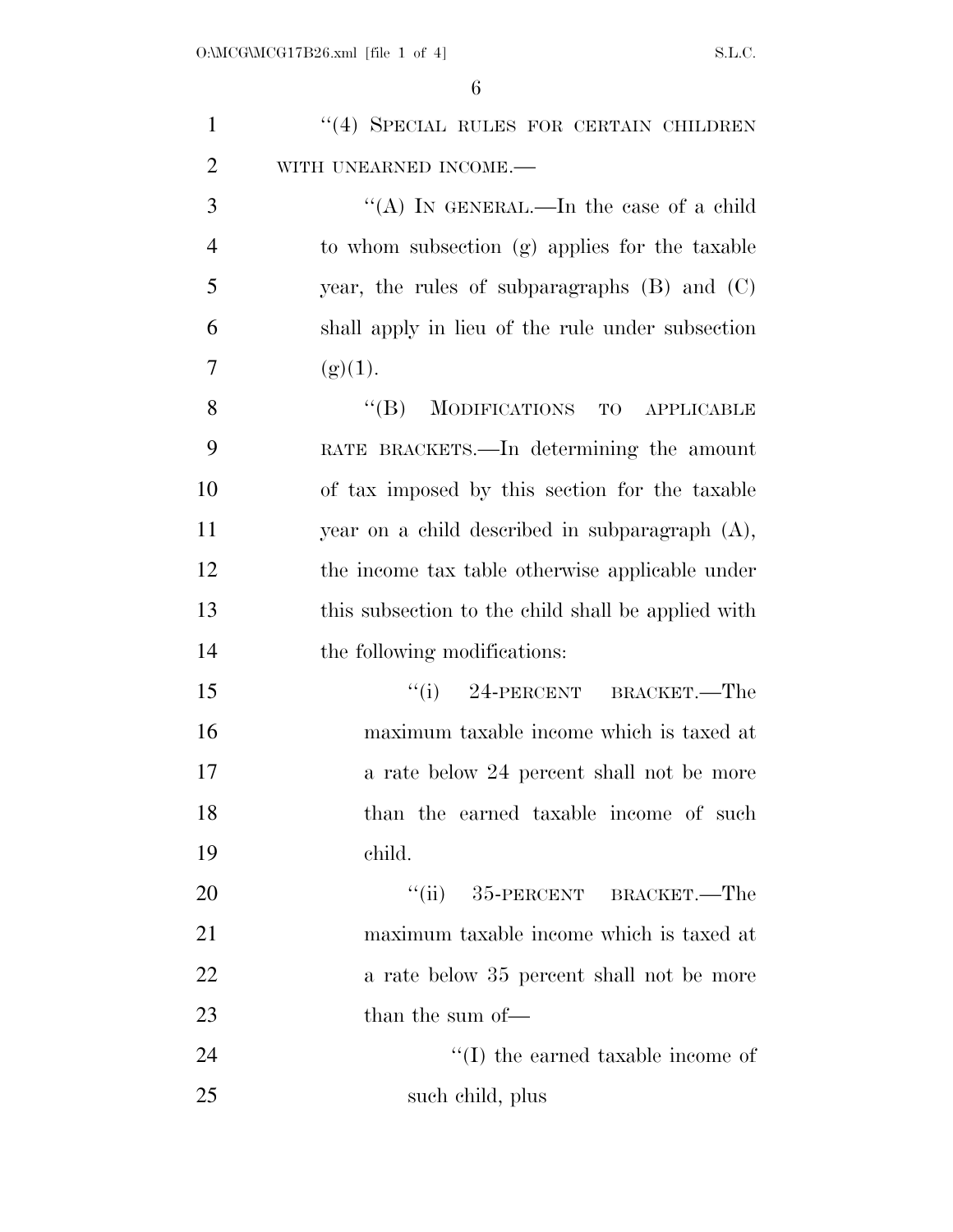| $\mathbf{1}$   | "(4) SPECIAL RULES FOR CERTAIN CHILDREN               |
|----------------|-------------------------------------------------------|
| $\overline{2}$ | WITH UNEARNED INCOME.-                                |
| 3              | "(A) IN GENERAL.—In the case of a child               |
| $\overline{4}$ | to whom subsection (g) applies for the taxable        |
| 5              | year, the rules of subparagraphs $(B)$ and $(C)$      |
| 6              | shall apply in lieu of the rule under subsection      |
| 7              | (g)(1).                                               |
| 8              | $\lq\lq (B)$<br>MODIFICATIONS TO<br><b>APPLICABLE</b> |
| 9              | RATE BRACKETS.—In determining the amount              |
| 10             | of tax imposed by this section for the taxable        |
| 11             | year on a child described in subparagraph (A),        |
| 12             | the income tax table otherwise applicable under       |
| 13             | this subsection to the child shall be applied with    |
| 14             | the following modifications:                          |
| 15             | $``(i)$ 24-PERCENT BRACKET.—The                       |
| 16             | maximum taxable income which is taxed at              |
| 17             | a rate below 24 percent shall not be more             |
| 18             | than the earned taxable income of such                |
| 19             | child.                                                |
| 20             | $``(ii)$ 35-PERCENT BRACKET.—The                      |
| 21             | maximum taxable income which is taxed at              |
| 22             | a rate below 35 percent shall not be more             |
| 23             | than the sum of-                                      |
| 24             | $\lq\lq$ the earned taxable income of                 |
| 25             | such child, plus                                      |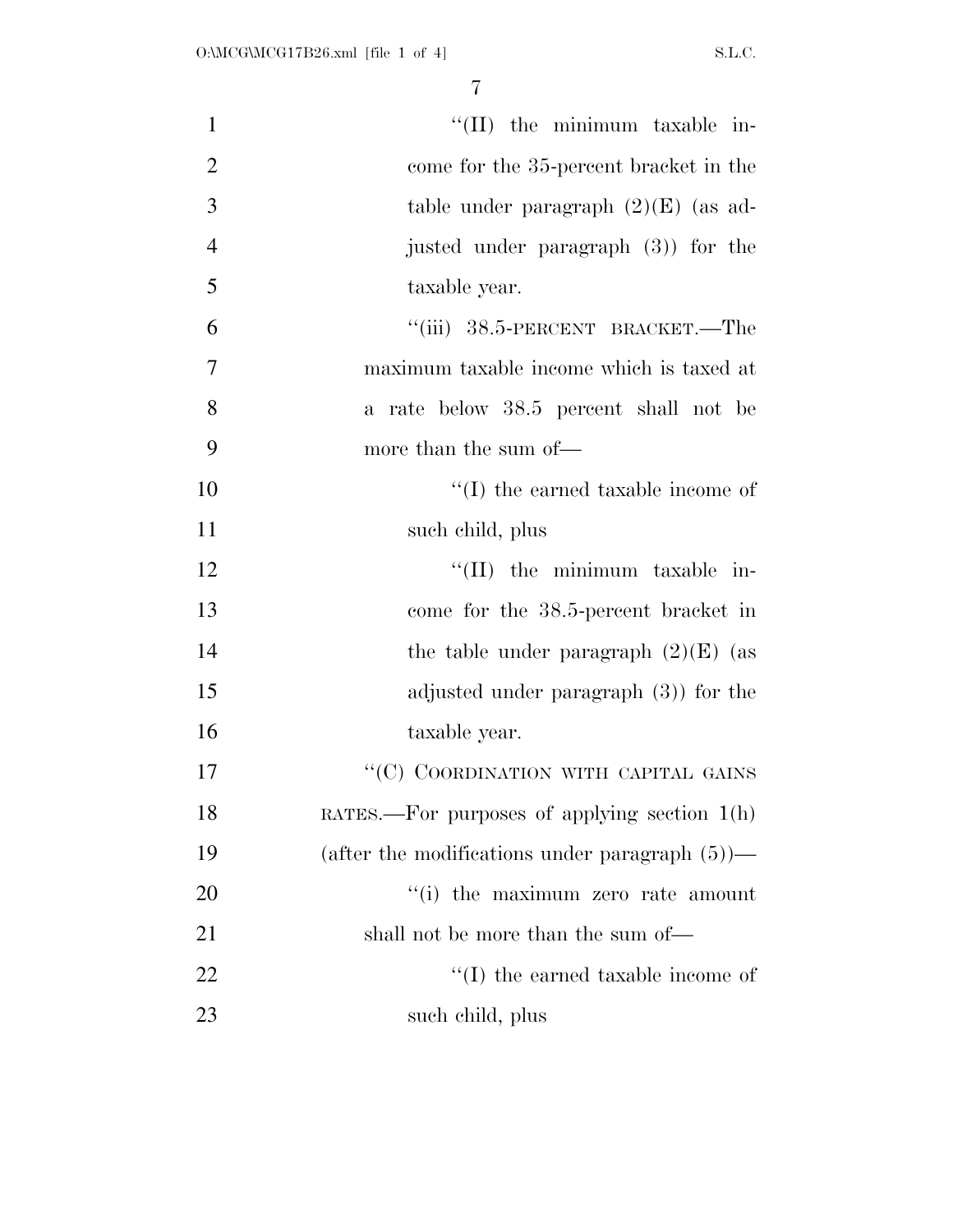| $\mathbf{1}$   | "(II) the minimum taxable in-                     |
|----------------|---------------------------------------------------|
| $\overline{2}$ | come for the 35-percent bracket in the            |
| 3              | table under paragraph $(2)(E)$ (as ad-            |
| $\overline{4}$ | justed under paragraph (3) for the                |
| 5              | taxable year.                                     |
| 6              | "(iii) 38.5-PERCENT BRACKET.—The                  |
| $\overline{7}$ | maximum taxable income which is taxed at          |
| 8              | a rate below 38.5 percent shall not be            |
| 9              | more than the sum of—                             |
| 10             | $\lq\lq$ (I) the earned taxable income of         |
| 11             | such child, plus                                  |
| 12             | "(II) the minimum taxable in-                     |
| 13             | come for the 38.5-percent bracket in              |
| 14             | the table under paragraph $(2)(E)$ (as            |
| 15             | adjusted under paragraph $(3)$ for the            |
| 16             | taxable year.                                     |
| 17             | "(C) COORDINATION WITH CAPITAL GAINS              |
| 18             | RATES.—For purposes of applying section $1(h)$    |
| 19             | (after the modifications under paragraph $(5)$ )— |
| 20             | "(i) the maximum zero rate amount                 |
| 21             | shall not be more than the sum of—                |
| $22\,$         | $\lq\lq$ the earned taxable income of             |
| 23             | such child, plus                                  |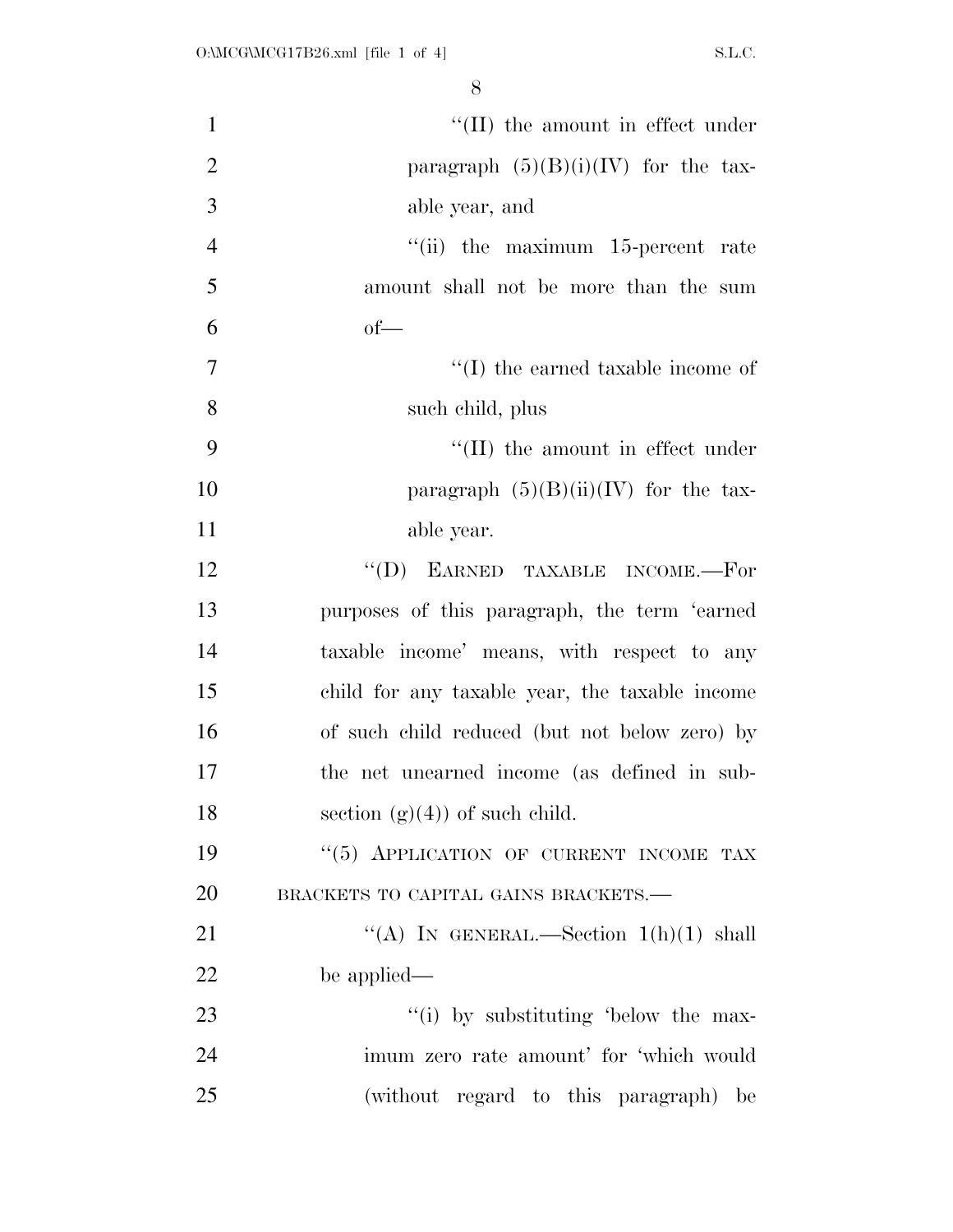| $\mathbf{1}$   | $\lq\lq$ (II) the amount in effect under       |
|----------------|------------------------------------------------|
| $\overline{2}$ | paragraph $(5)(B)(i)(IV)$ for the tax-         |
| 3              | able year, and                                 |
| $\overline{4}$ | $``$ (ii) the maximum 15-percent rate          |
| 5              | amount shall not be more than the sum          |
| 6              | $of$ —                                         |
| $\tau$         | $\lq\lq$ (I) the earned taxable income of      |
| 8              | such child, plus                               |
| 9              | $\lq\lq$ (II) the amount in effect under       |
| 10             | paragraph $(5)(B)(ii)(IV)$ for the tax-        |
| 11             | able year.                                     |
| 12             | $\lq\lq$ (D) EARNED TAXABLE INCOME.—For        |
| 13             | purposes of this paragraph, the term 'earned   |
| 14             | taxable income' means, with respect to any     |
| 15             | child for any taxable year, the taxable income |
| 16             | of such child reduced (but not below zero) by  |
| 17             | the net unearned income (as defined in sub-    |
| 18             | section $(g)(4)$ of such child.                |
| 19             | "(5) APPLICATION OF CURRENT INCOME TAX         |
| 20             | BRACKETS TO CAPITAL GAINS BRACKETS.-           |
| 21             | "(A) IN GENERAL.—Section $1(h)(1)$ shall       |
| 22             | be applied—                                    |
| 23             | "(i) by substituting 'below the max-           |
| 24             | imum zero rate amount' for 'which would        |
| 25             | (without regard to this paragraph) be          |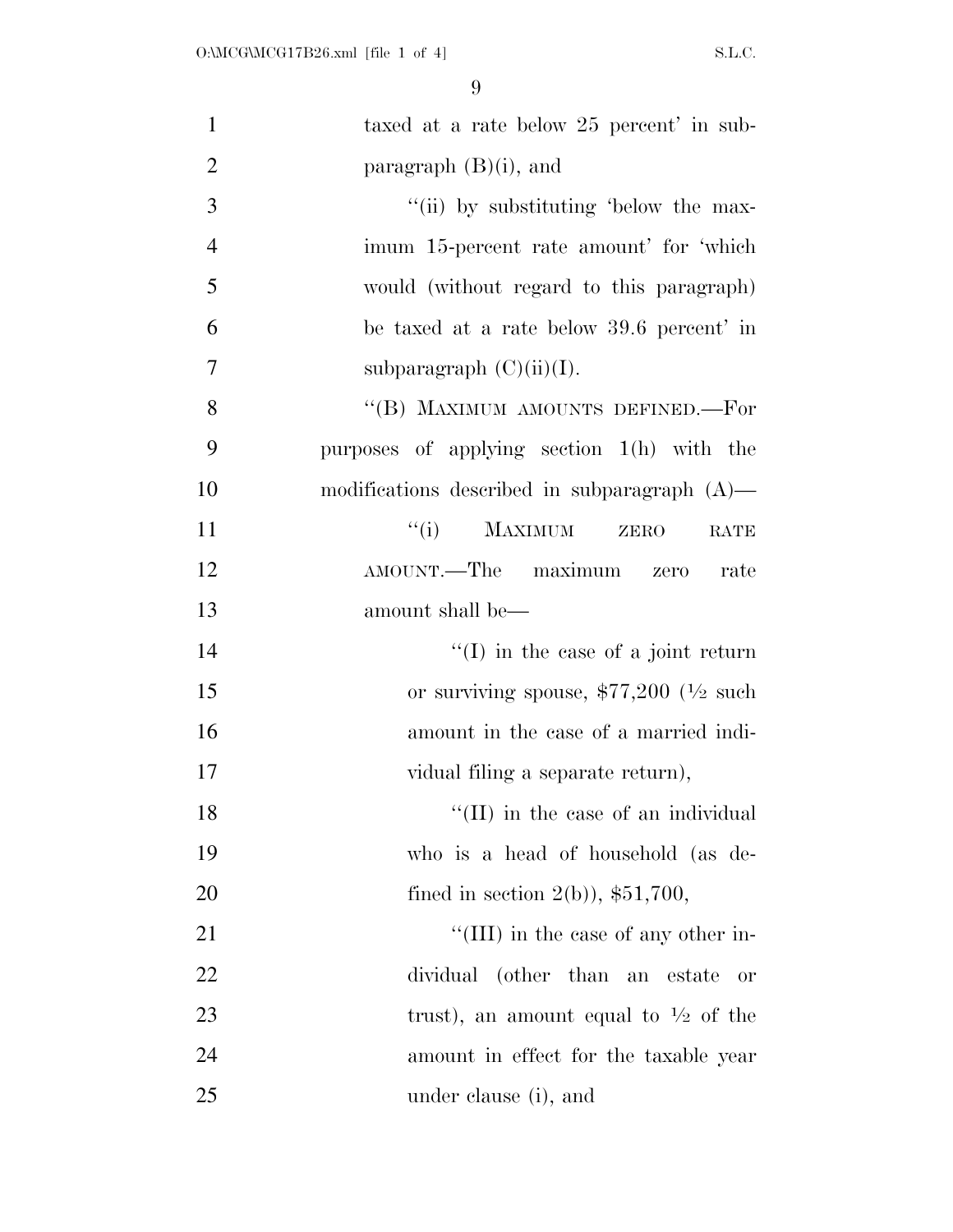| $\mathbf{1}$   | taxed at a rate below 25 percent' in sub-           |
|----------------|-----------------------------------------------------|
| $\overline{2}$ | paragraph $(B)(i)$ , and                            |
| 3              | "(ii) by substituting 'below the max-               |
| $\overline{4}$ | imum 15-percent rate amount' for 'which             |
| 5              | would (without regard to this paragraph)            |
| 6              | be taxed at a rate below 39.6 percent' in           |
| 7              | subparagraph $(C)(ii)(I)$ .                         |
| 8              | "(B) MAXIMUM AMOUNTS DEFINED.—For                   |
| 9              | purposes of applying section $1(h)$ with the        |
| 10             | modifications described in subparagraph $(A)$ —     |
| 11             | ``(i)<br><b>MAXIMUM</b><br>ZERO<br>RATE             |
| 12             | AMOUNT.—The maximum zero<br>rate                    |
| 13             | amount shall be—                                    |
| 14             | $\lq\lq$ (I) in the case of a joint return          |
| 15             | or surviving spouse, $$77,200$ ( $\frac{1}{2}$ such |
| 16             | amount in the case of a married indi-               |
| 17             | vidual filing a separate return),                   |
| 18             | "(II) in the case of an individual                  |
| 19             | who is a head of household (as de-                  |
| 20             | fined in section $2(b)$ , \$51,700,                 |
| 21             | "(III) in the case of any other in-                 |
| 22             | dividual (other than an estate<br>or                |
| 23             | trust), an amount equal to $\frac{1}{2}$ of the     |
| 24             | amount in effect for the taxable year               |
| 25             | under clause (i), and                               |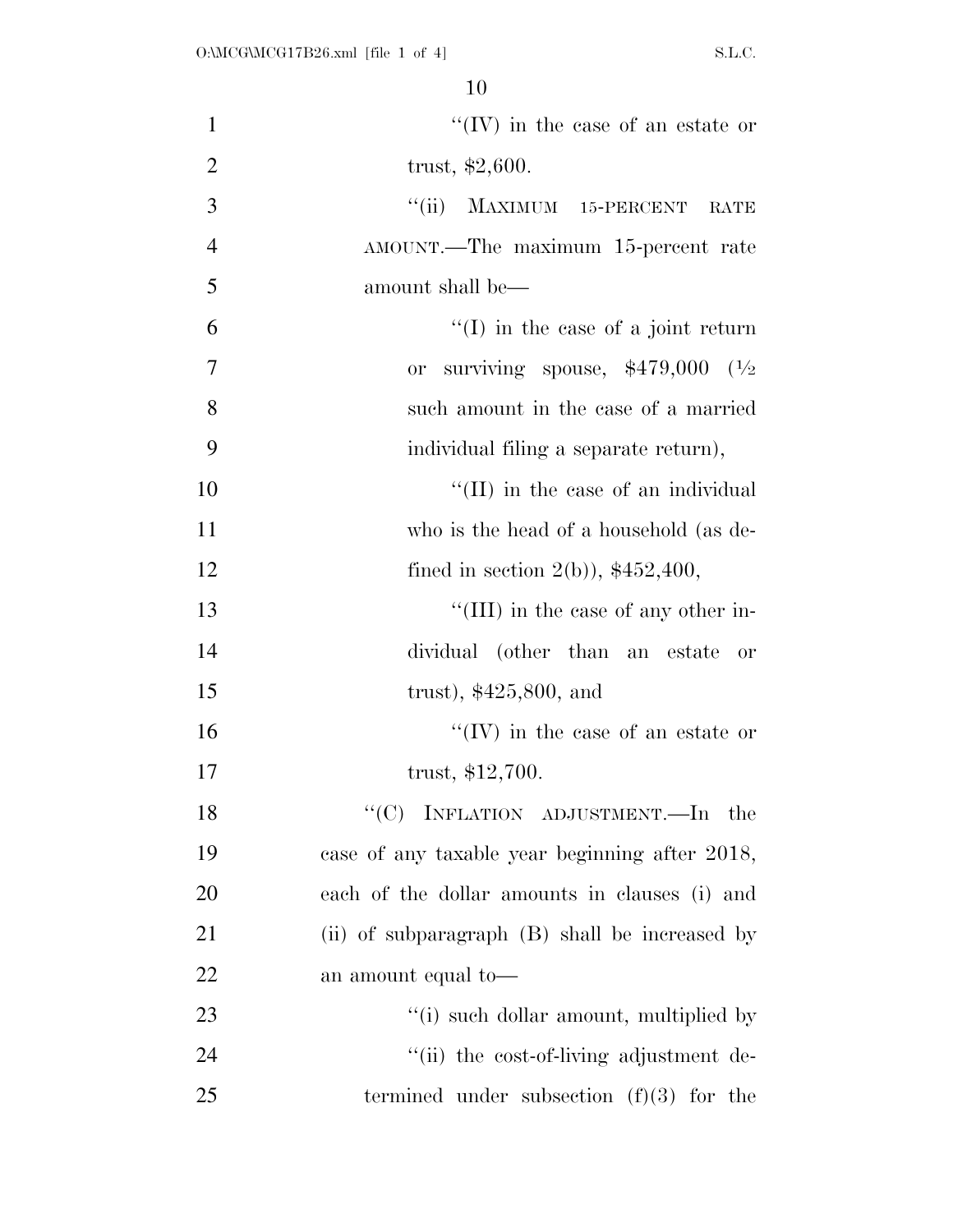| $\mathbf{1}$   | $``(IV)$ in the case of an estate or            |
|----------------|-------------------------------------------------|
| $\overline{2}$ | trust, $$2,600$ .                               |
| 3              | MAXIMUM 15-PERCENT<br>``(ii)<br>RATE            |
| $\overline{4}$ | AMOUNT.—The maximum 15-percent rate             |
| 5              | amount shall be—                                |
| 6              | $\lq\lq$ (I) in the case of a joint return      |
| $\overline{7}$ | surviving spouse, $$479,000$ $(^{1}/_{2}$<br>0r |
| 8              | such a mount in the case of a married           |
| 9              | individual filing a separate return),           |
| 10             | $\lq$ (II) in the case of an individual         |
| 11             | who is the head of a household (as de-          |
| 12             | fined in section $2(b)$ , \$452,400,            |
| 13             | "(III) in the case of any other in-             |
| 14             | dividual (other than an estate or               |
| 15             | trust), $$425,800$ , and                        |
| 16             | $\lq\lq (IV)$ in the case of an estate or       |
| 17             | trust, $$12,700$ .                              |
| 18             | " $(C)$ INFLATION ADJUSTMENT.—In the            |
| 19             | case of any taxable year beginning after 2018,  |
| 20             | each of the dollar amounts in clauses (i) and   |
| 21             | (ii) of subparagraph (B) shall be increased by  |
| 22             | an amount equal to-                             |
| 23             | "(i) such dollar amount, multiplied by          |
| 24             | "(ii) the cost-of-living adjustment de-         |
| 25             | termined under subsection $(f)(3)$ for the      |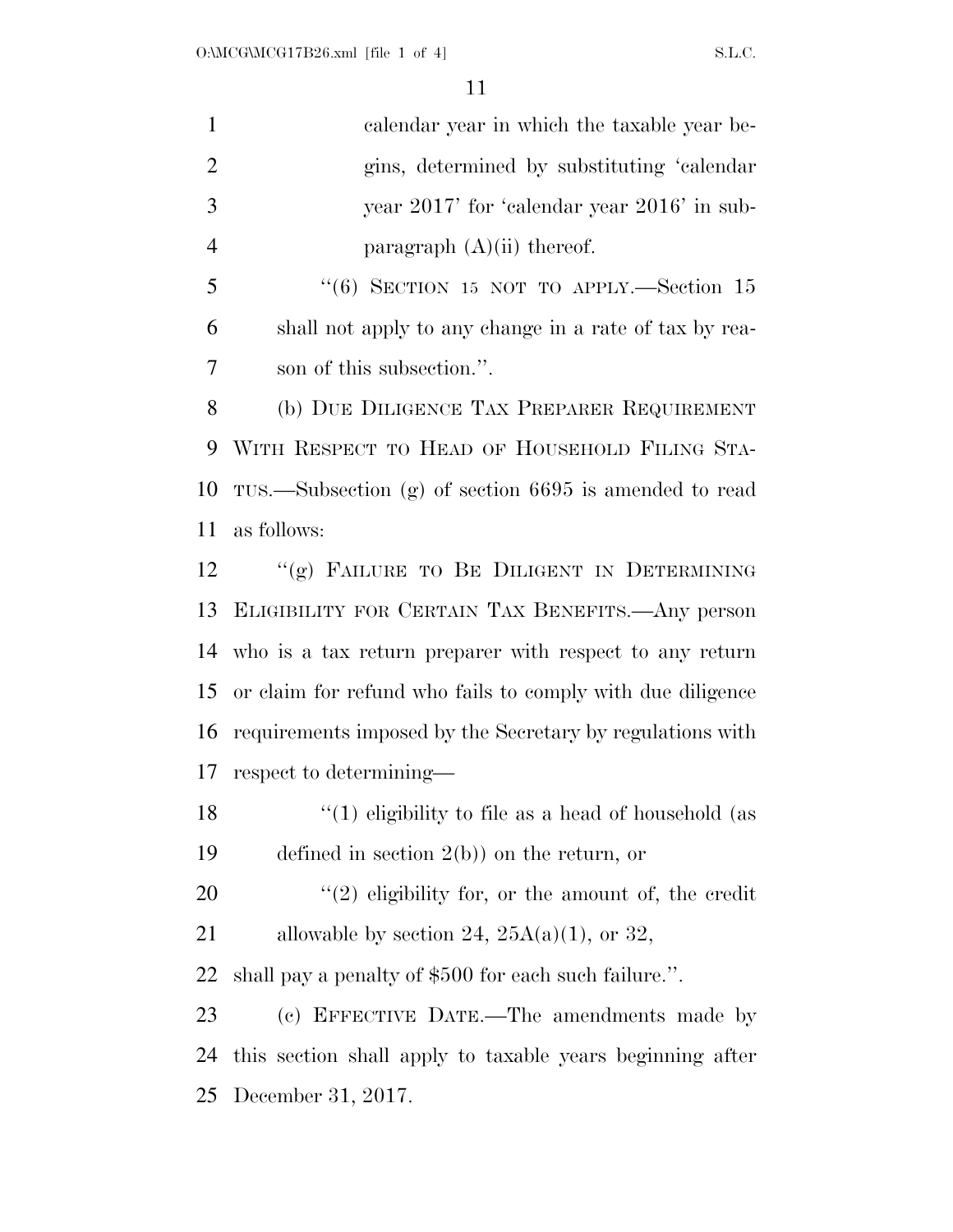calendar year in which the taxable year be- gins, determined by substituting 'calendar year 2017' for 'calendar year 2016' in sub-4 paragraph  $(A)(ii)$  thereof.

 ''(6) SECTION 15 NOT TO APPLY.—Section 15 shall not apply to any change in a rate of tax by rea-son of this subsection.''.

 (b) DUE DILIGENCE TAX PREPARER REQUIREMENT WITH RESPECT TO HEAD OF HOUSEHOLD FILING STA- TUS.—Subsection (g) of section 6695 is amended to read as follows:

12 "(g) FAILURE TO BE DILIGENT IN DETERMINING ELIGIBILITY FOR CERTAIN TAX BENEFITS.—Any person who is a tax return preparer with respect to any return or claim for refund who fails to comply with due diligence requirements imposed by the Secretary by regulations with respect to determining—

 ''(1) eligibility to file as a head of household (as defined in section 2(b)) on the return, or

 ''(2) eligibility for, or the amount of, the credit 21 allowable by section 24,  $25A(a)(1)$ , or 32,

shall pay a penalty of \$500 for each such failure.''.

 (c) EFFECTIVE DATE.—The amendments made by this section shall apply to taxable years beginning after December 31, 2017.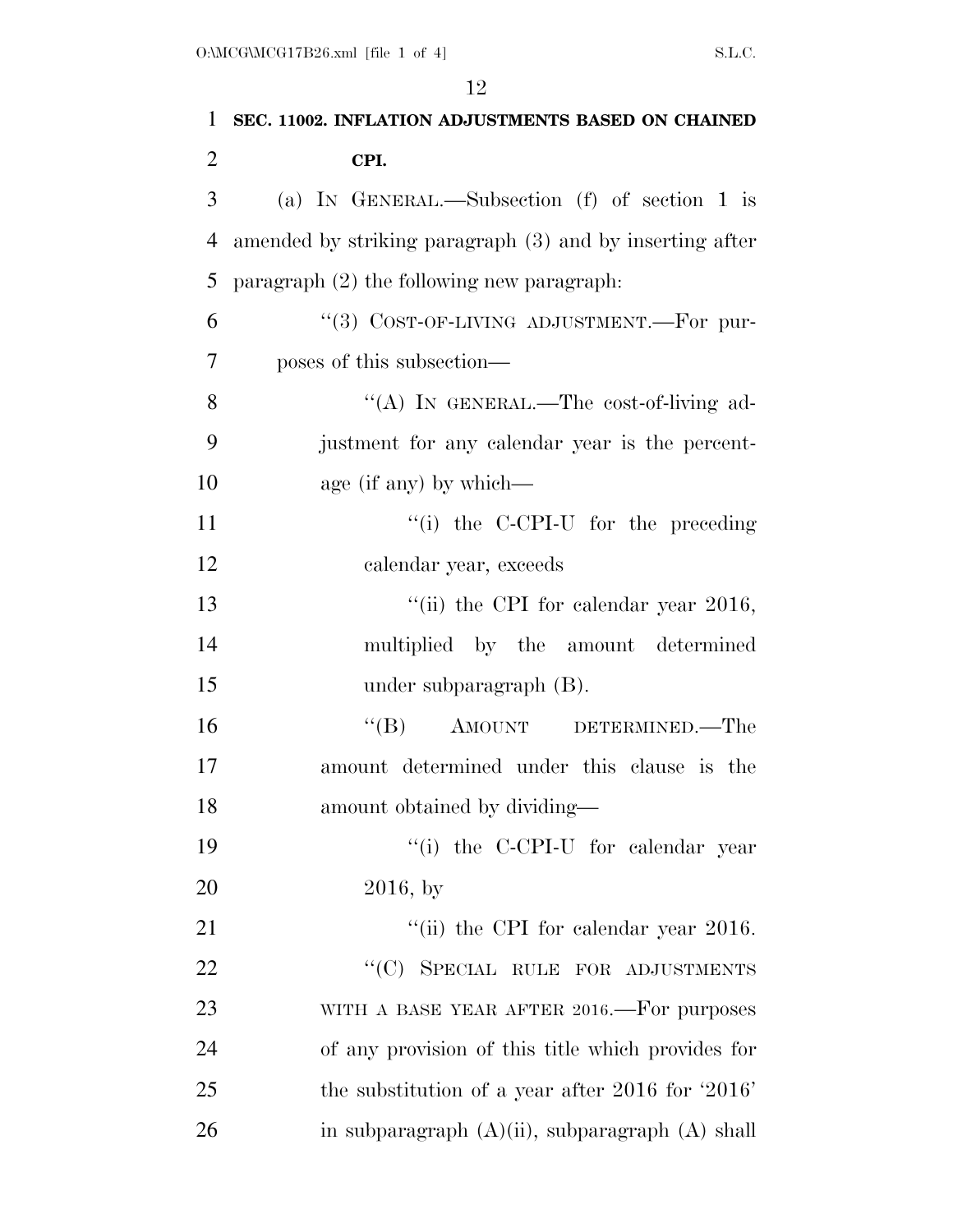| $\mathbf{1}$   | SEC. 11002. INFLATION ADJUSTMENTS BASED ON CHAINED       |
|----------------|----------------------------------------------------------|
| 2              | CPI.                                                     |
| 3              | (a) IN GENERAL.—Subsection (f) of section 1 is           |
| $\overline{4}$ | amended by striking paragraph (3) and by inserting after |
| 5              | paragraph $(2)$ the following new paragraph:             |
| 6              | "(3) COST-OF-LIVING ADJUSTMENT.-For pur-                 |
| 7              | poses of this subsection—                                |
| 8              | "(A) IN GENERAL.—The cost-of-living ad-                  |
| 9              | justment for any calendar year is the percent-           |
| 10             | age (if any) by which—                                   |
| 11             | "(i) the C-CPI-U for the preceding                       |
| 12             | calendar year, exceeds                                   |
| 13             | "(ii) the CPI for calendar year $2016$ ,                 |
| 14             | multiplied by the amount determined                      |
| 15             | under subparagraph $(B)$ .                               |
| 16             | "(B) AMOUNT DETERMINED.—The                              |
| 17             | amount determined under this clause is the               |
| 18             | amount obtained by dividing—                             |
| 19             | "(i) the C-CPI-U for calendar year                       |
| 20             | $2016, \text{ by}$                                       |
| 21             | "(ii) the CPI for calendar year $2016$ .                 |
| 22             | "(C) SPECIAL RULE FOR ADJUSTMENTS                        |
| 23             | WITH A BASE YEAR AFTER 2016.—For purposes                |
| 24             | of any provision of this title which provides for        |
| 25             | the substitution of a year after $2016$ for $2016'$      |
| 26             | in subparagraph $(A)(ii)$ , subparagraph $(A)$ shall     |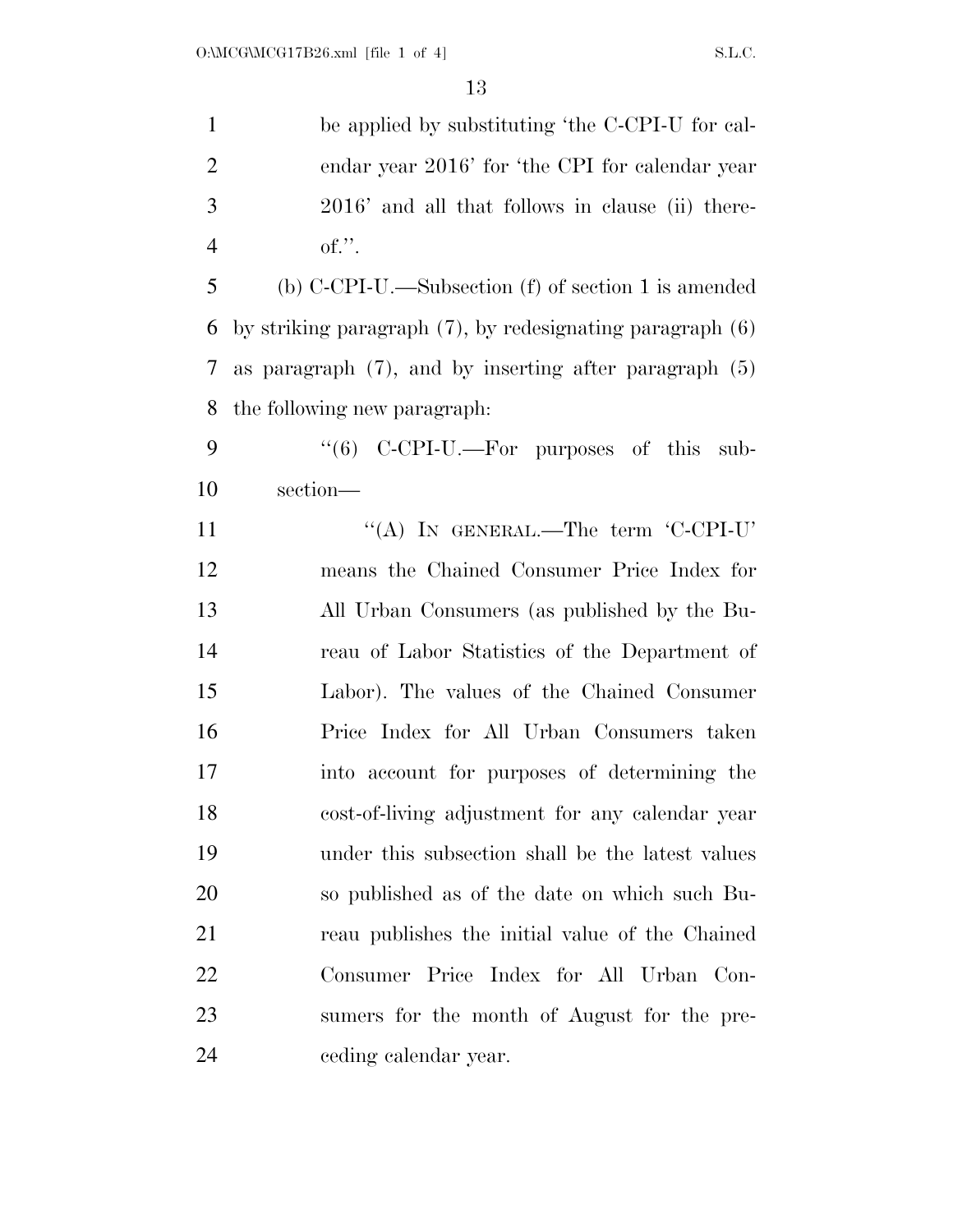| $\mathbf{1}$   | be applied by substituting 'the C-CPI-U for cal-               |
|----------------|----------------------------------------------------------------|
| $\overline{2}$ | endar year 2016' for 'the CPI for calendar year                |
| 3              | 2016' and all that follows in clause (ii) there-               |
| $\overline{4}$ | of.''.                                                         |
| 5              | (b) $C-CPI-U$ .—Subsection (f) of section 1 is amended         |
| 6              | by striking paragraph $(7)$ , by redesignating paragraph $(6)$ |
| 7              | as paragraph $(7)$ , and by inserting after paragraph $(5)$    |
| 8              | the following new paragraph.                                   |
| 9              | "(6) C-CPI-U.—For purposes of this sub-                        |
| 10             | section-                                                       |
| 11             | "(A) IN GENERAL.—The term $'C$ -CPI-U'                         |
| 12             | means the Chained Consumer Price Index for                     |
| 13             | All Urban Consumers (as published by the Bu-                   |
| 14             | reau of Labor Statistics of the Department of                  |
| 15             | Labor). The values of the Chained Consumer                     |
| 16             | Price Index for All Urban Consumers taken                      |
| 17             | into account for purposes of determining the                   |
| 18             | cost-of-living adjustment for any calendar year                |
| 19             | under this subsection shall be the latest values               |
| 20             | so published as of the date on which such Bu-                  |
| 21             | reau publishes the initial value of the Chained                |
| 22             | Consumer Price Index for All Urban Con-                        |
| 23             | sumers for the month of August for the pre-                    |
| 24             | eeding calendar year.                                          |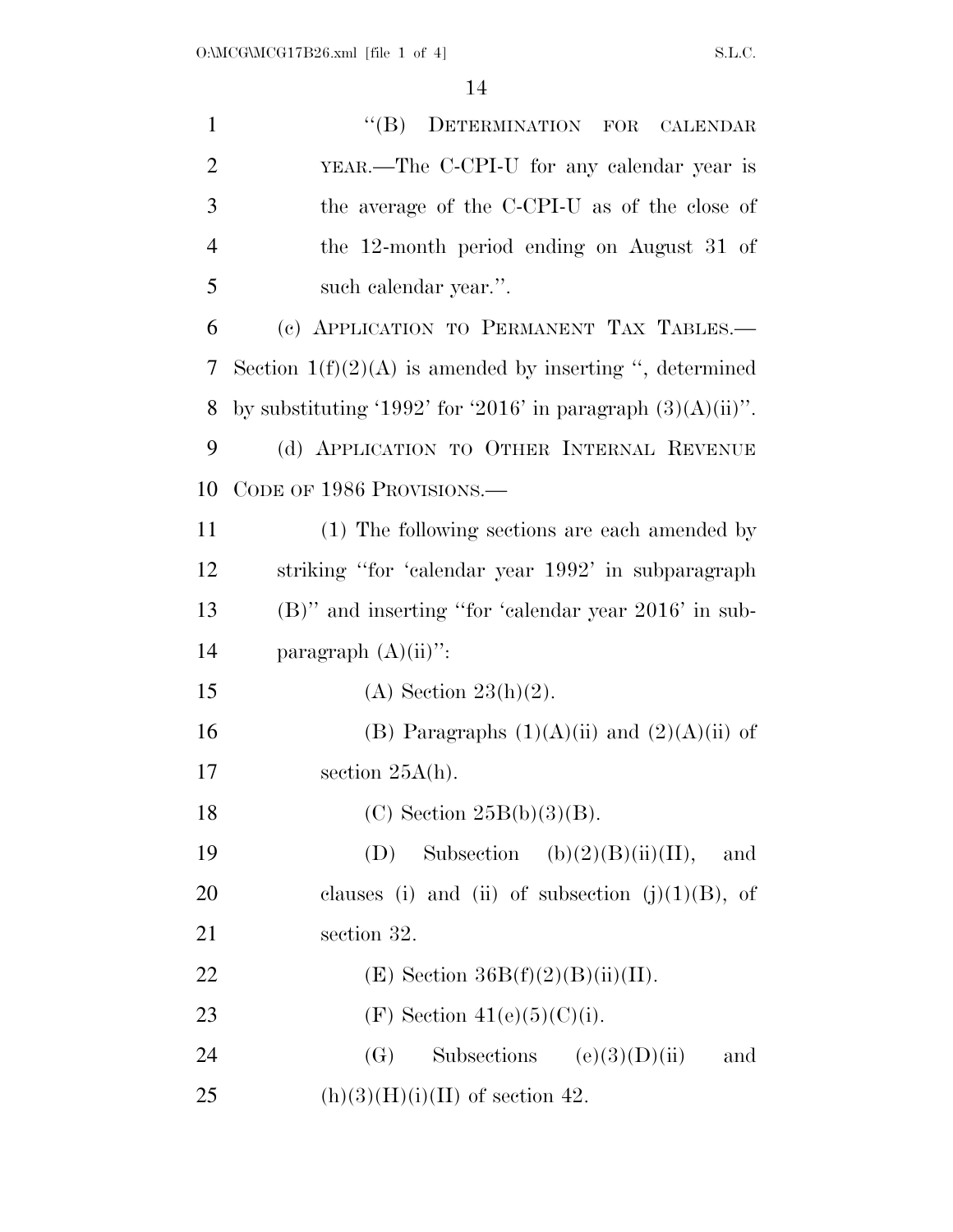| $\mathbf{1}$   | DETERMINATION FOR CALENDAR<br>$\lq\lq (B)$                     |
|----------------|----------------------------------------------------------------|
| $\overline{2}$ | YEAR.—The C-CPI-U for any calendar year is                     |
| 3              | the average of the C-CPI-U as of the close of                  |
| $\overline{4}$ | the 12-month period ending on August 31 of                     |
| 5              | such calendar year.".                                          |
| 6              | (c) APPLICATION TO PERMANENT TAX TABLES.                       |
| 7              | Section $1(f)(2)(A)$ is amended by inserting ", determined     |
| 8              | by substituting '1992' for '2016' in paragraph $(3)(A)(ii)$ ". |
| 9              | (d) APPLICATION TO OTHER INTERNAL REVENUE                      |
| 10             | CODE OF 1986 PROVISIONS.—                                      |
| 11             | (1) The following sections are each amended by                 |
| 12             | striking "for 'calendar year 1992' in subparagraph             |
| 13             | $(B)$ " and inserting "for 'calendar year 2016' in sub-        |
| 14             | paragraph $(A)(ii)$ ":                                         |
| 15             | (A) Section $23(h)(2)$ .                                       |
| 16             | (B) Paragraphs $(1)(A)(ii)$ and $(2)(A)(ii)$ of                |
| 17             | section $25A(h)$ .                                             |
| 18             | $(C)$ Section $25B(b)(3)(B)$ .                                 |
| 19             | Subsection (b) $(2)(B)(ii)(II)$ ,<br>(D)<br>and                |
| 20             | clauses (i) and (ii) of subsection $(j)(1)(B)$ , of            |
| 21             | section 32.                                                    |
| 22             | (E) Section $36B(f)(2)(B)(ii)(II)$ .                           |
| 23             | (F) Section 41(e)(5)(C)(i).                                    |
| 24             | Subsections $(e)(3)(D)(ii)$<br>(G)<br>and                      |
| 25             | $(h)(3)(H)(i)(II)$ of section 42.                              |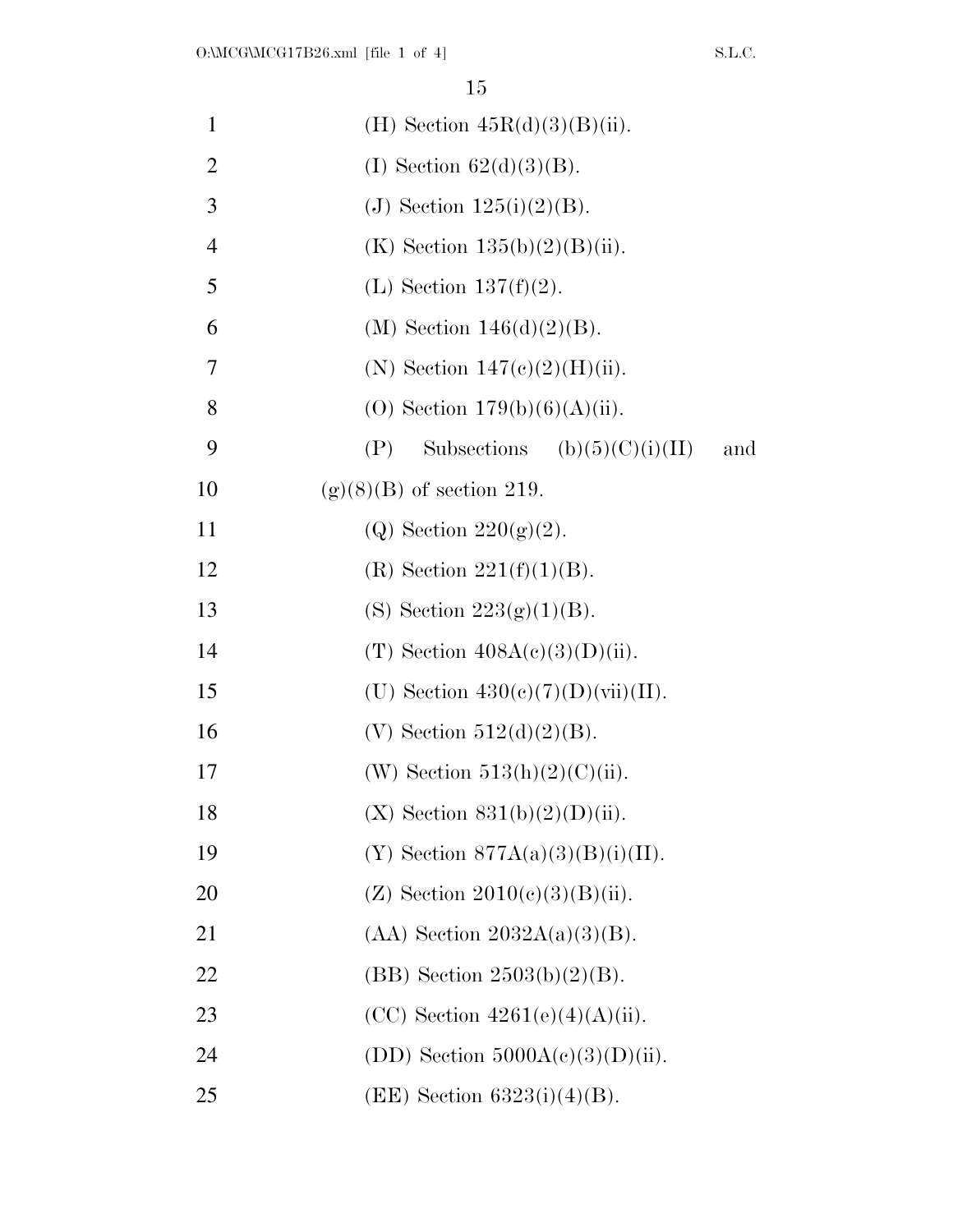| $\mathbf{1}$   | (H) Section $45R(d)(3)(B)(ii)$ .                |     |
|----------------|-------------------------------------------------|-----|
| $\overline{2}$ | (I) Section $62(d)(3)(B)$ .                     |     |
| 3              | (J) Section $125(i)(2)(B)$ .                    |     |
| $\overline{4}$ | (K) Section $135(b)(2)(B)(ii)$ .                |     |
| 5              | (L) Section $137(f)(2)$ .                       |     |
| 6              | (M) Section $146(d)(2)(B)$ .                    |     |
| 7              | (N) Section $147(c)(2)(H)(ii)$ .                |     |
| 8              | (O) Section $179(b)(6)(A)(ii)$ .                |     |
| 9              | Subsections (b) $(5)(C)(i)(II)$<br>(P)          | and |
| 10             | $(g)(8)(B)$ of section 219.                     |     |
| 11             | (Q) Section $220(g)(2)$ .                       |     |
| 12             | (R) Section $221(f)(1)(B)$ .                    |     |
| 13             | (S) Section $223(g)(1)(B)$ .                    |     |
| 14             | (T) Section $408A(c)(3)(D)(ii)$ .               |     |
| 15             | (U) Section $430(e)(7)(D)(\n \text{vii})(II)$ . |     |
| 16             | (V) Section $512(d)(2)(B)$ .                    |     |
| 17             | (W) Section $513(h)(2)(C)(ii)$ .                |     |
| 18             | $(X)$ Section $831(b)(2)(D)(ii)$ .              |     |
| 19             | $(Y)$ Section 877A(a)(3)(B)(i)(II).             |     |
| 20             | (Z) Section $2010(c)(3)(B)(ii)$ .               |     |
| 21             | $(AA)$ Section $2032A(a)(3)(B)$ .               |     |
| 22             | (BB) Section $2503(b)(2)(B)$ .                  |     |
| 23             | $(CC)$ Section $4261(e)(4)(A)(ii)$ .            |     |
| 24             | (DD) Section $5000A(c)(3)(D)(ii)$ .             |     |
| 25             | $(EE)$ Section 6323(i)(4)(B).                   |     |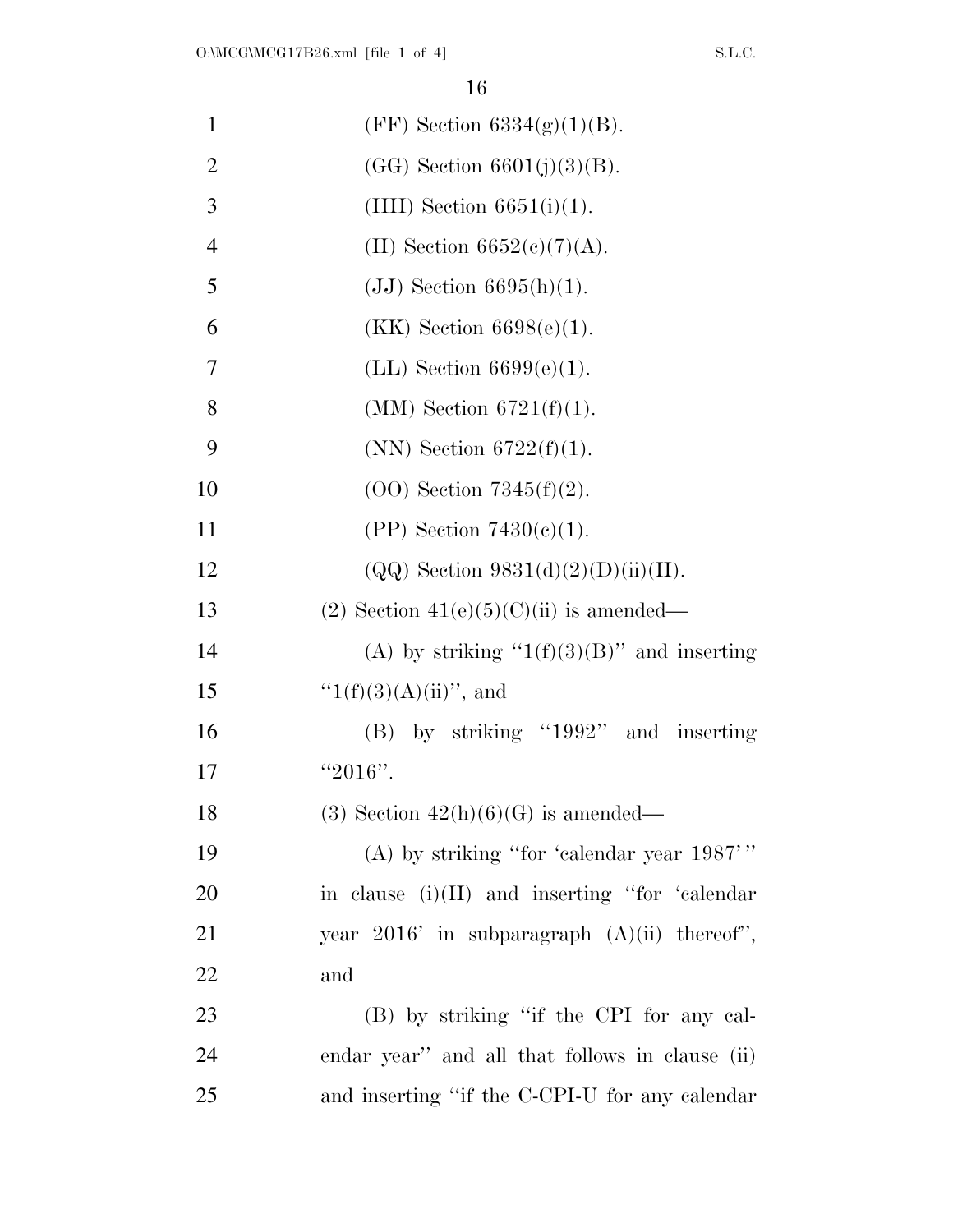| $\mathbf{1}$   | (FF) Section $6334(g)(1)(B)$ .                   |
|----------------|--------------------------------------------------|
| $\overline{2}$ | $(GG)$ Section $6601(j)(3)(B)$ .                 |
| 3              | $(HH)$ Section 6651(i)(1).                       |
| $\overline{4}$ | (II) Section $6652(c)(7)(A)$ .                   |
| 5              | $(JJ)$ Section 6695(h)(1).                       |
| 6              | $(KK)$ Section 6698(e)(1).                       |
| 7              | $(LL)$ Section 6699 $(e)(1)$ .                   |
| 8              | (MM) Section $6721(f)(1)$ .                      |
| 9              | (NN) Section $6722(f)(1)$ .                      |
| 10             | $(OO)$ Section 7345 $(f)(2)$ .                   |
| 11             | $(PP)$ Section 7430(c)(1).                       |
| 12             | $(QQ)$ Section 9831(d)(2)(D)(ii)(II).            |
| 13             | $(2)$ Section 41(e)(5)(C)(ii) is amended—        |
| 14             | (A) by striking " $1(f)(3)(B)$ " and inserting   |
| 15             | " $1(f)(3)(A)(ii)$ ", and                        |
| 16             | $(B)$ by striking "1992" and inserting           |
| 17             | "2016".                                          |
| 18             | $(3)$ Section $42(h)(6)(G)$ is amended—          |
| 19             | (A) by striking "for 'calendar year $1987$ "     |
| 20             | in clause $(i)(II)$ and inserting "for 'calendar |
| 21             | year $2016'$ in subparagraph $(A)(ii)$ thereof", |
| 22             | and                                              |
| 23             | (B) by striking "if the CPI for any cal-         |
| 24             | endar year" and all that follows in clause (ii)  |
| 25             | and inserting "if the C-CPI-U for any calendar"  |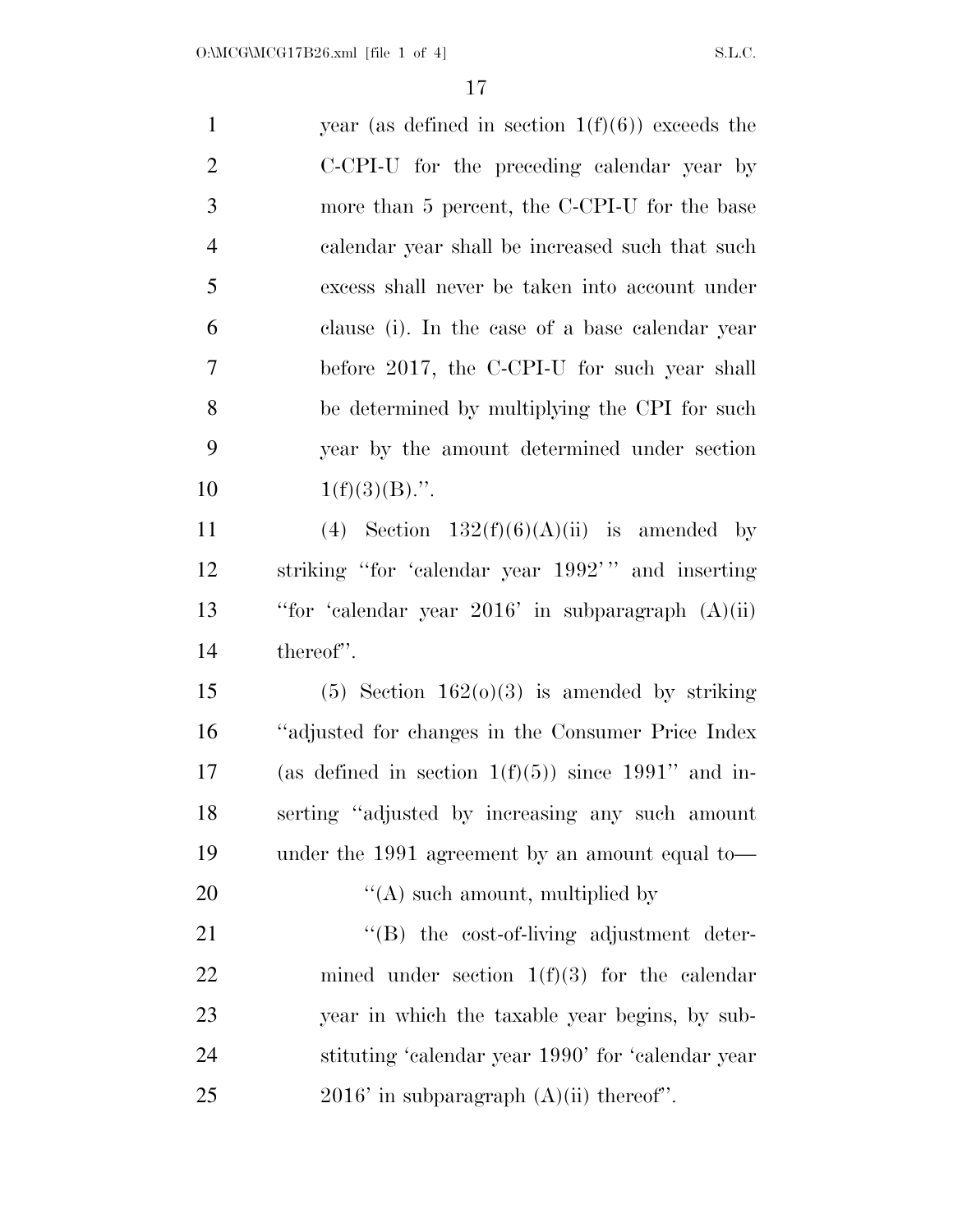| $\mathbf{1}$   | year (as defined in section $1(f)(6)$ ) exceeds the    |
|----------------|--------------------------------------------------------|
| $\overline{2}$ | C-CPI-U for the preceding calendar year by             |
| 3              | more than 5 percent, the C-CPI-U for the base          |
| $\overline{4}$ | calendar year shall be increased such that such        |
| 5              | excess shall never be taken into account under         |
| 6              | clause (i). In the case of a base calendar year        |
| $\overline{7}$ | before 2017, the C-CPI-U for such year shall           |
| 8              | be determined by multiplying the CPI for such          |
| 9              | year by the amount determined under section            |
| 10             | $1(f)(3)(B)$ .".                                       |
| 11             | (4) Section $132(f)(6)(A)(ii)$ is amended by           |
| 12             | striking "for 'calendar year 1992'" and inserting      |
| 13             | "for 'calendar year $2016$ ' in subparagraph $(A)(ii)$ |
| 14             | thereof".                                              |
| 15             | $(5)$ Section 162 $(0)(3)$ is amended by striking      |
| 16             | "adjusted for changes in the Consumer Price Index      |
| 17             | (as defined in section $1(f)(5)$ ) since 1991" and in- |
| 18             | serting "adjusted by increasing any such amount        |
| 19             | under the 1991 agreement by an amount equal to-        |
| 20             | $\lq\lq$ such amount, multiplied by                    |
| 21             | "(B) the cost-of-living adjustment deter-              |
| 22             | mined under section $1(f)(3)$ for the calendar         |
| 23             | year in which the taxable year begins, by sub-         |
| 24             | stituting 'calendar year 1990' for 'calendar year      |
| 25             | $2016'$ in subparagraph $(A)(ii)$ thereof".            |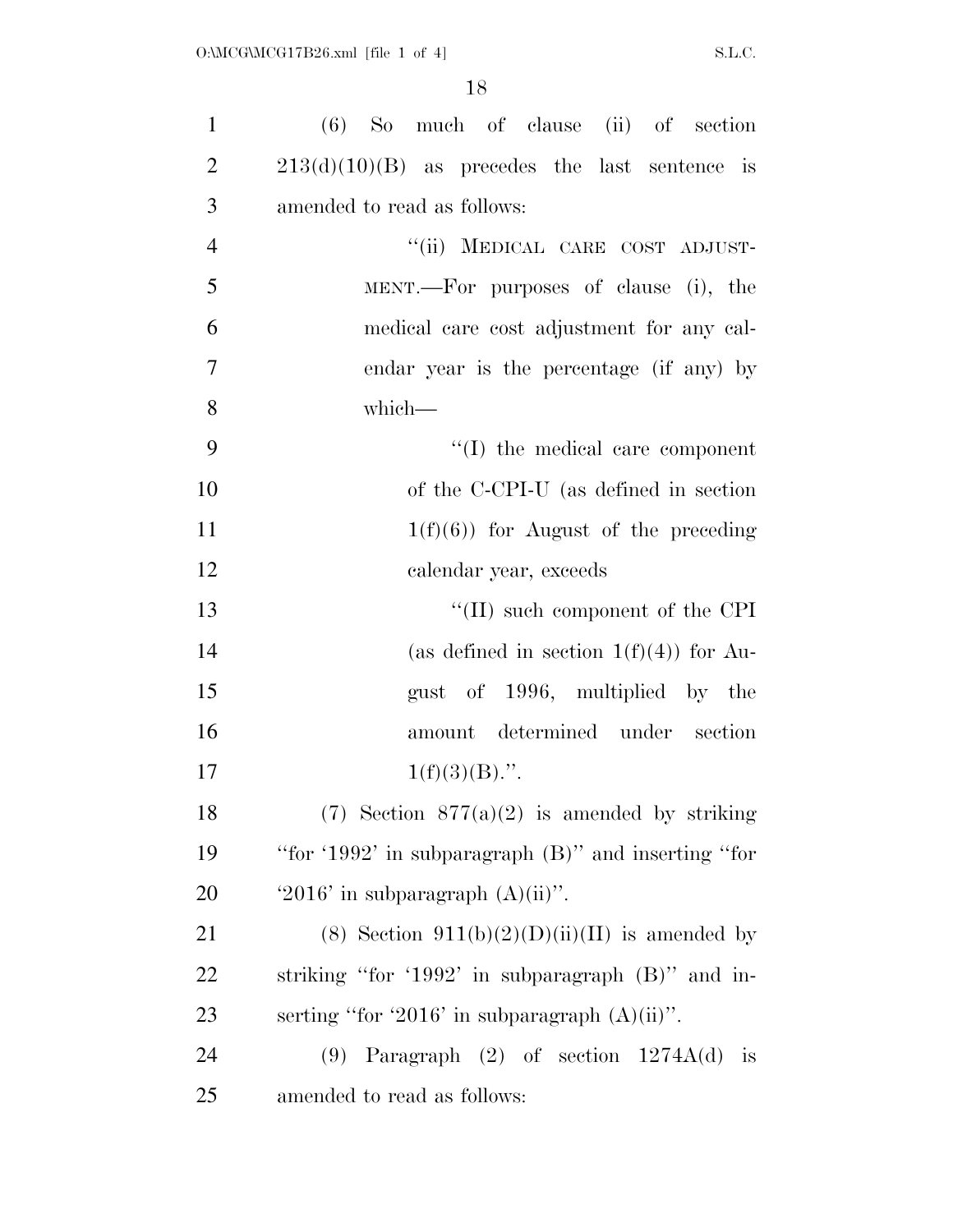| $\mathbf{1}$   | $(6)$ So much of clause $(ii)$ of section                |
|----------------|----------------------------------------------------------|
| $\overline{2}$ | $213(d)(10)(B)$ as precedes the last sentence is         |
| 3              | amended to read as follows:                              |
| $\overline{4}$ | "(ii) MEDICAL CARE COST ADJUST-                          |
| 5              | MENT.—For purposes of clause (i), the                    |
| 6              | medical care cost adjustment for any cal-                |
| $\tau$         | endar year is the percentage (if any) by                 |
| 8              | which-                                                   |
| 9              | $\lq\lq$ (I) the medical care component                  |
| 10             | of the C-CPI-U (as defined in section                    |
| 11             | $1(f)(6)$ for August of the preceding                    |
| 12             | calendar year, exceeds                                   |
| 13             | $\lq\lq$ (II) such component of the CPI                  |
| 14             | (as defined in section $1(f)(4)$ ) for Au-               |
| 15             | gust of 1996, multiplied by the                          |
| 16             | amount determined under section                          |
| 17             | $1(f)(3)(B)$ .".                                         |
| 18             | $(7)$ Section $877(a)(2)$ is amended by striking         |
| 19             | "for '1992' in subparagraph $(B)$ " and inserting "for   |
| 20             | '2016' in subparagraph $(A)(ii)$ ".                      |
| 21             | (8) Section $911(b)(2)(D)(ii)(II)$ is amended by         |
| 22             | striking "for '1992' in subparagraph $(B)$ " and in-     |
| 23             | serting "for '2016' in subparagraph $(A)(ii)$ ".         |
| 24             | $(9)$ Paragraph $(2)$ of section $1274A(d)$<br><i>is</i> |
| 25             | amended to read as follows:                              |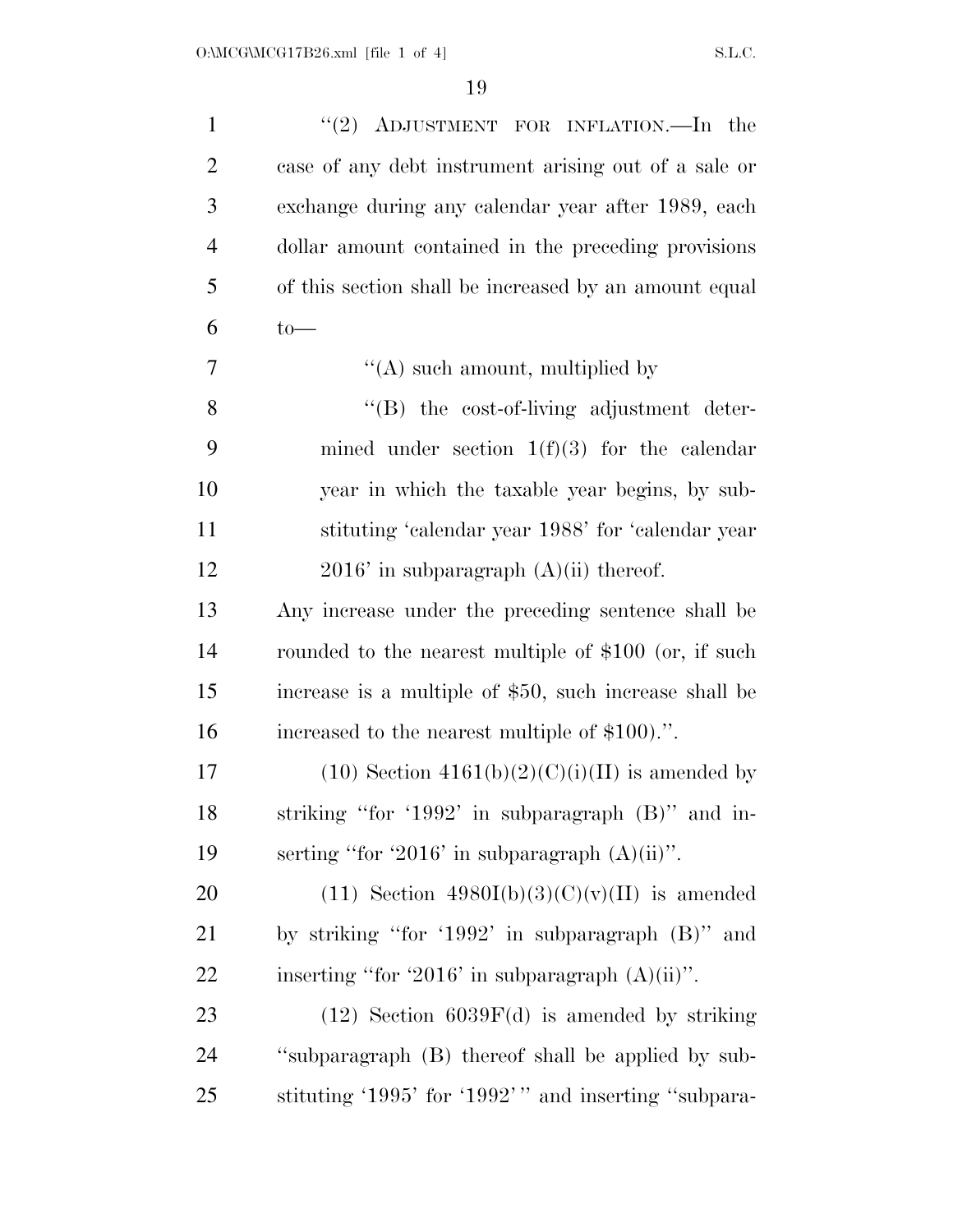| $\mathbf{1}$   | "(2) ADJUSTMENT FOR INFLATION.—In the                  |
|----------------|--------------------------------------------------------|
| $\overline{2}$ | case of any debt instrument arising out of a sale or   |
| 3              | exchange during any calendar year after 1989, each     |
| $\overline{4}$ | dollar amount contained in the preceding provisions    |
| 5              | of this section shall be increased by an amount equal  |
| 6              | $to-$                                                  |
| 7              | $\lq\lq$ such amount, multiplied by                    |
| 8              | "(B) the cost-of-living adjustment deter-              |
| 9              | mined under section $1(f)(3)$ for the calendar         |
| 10             | year in which the taxable year begins, by sub-         |
| 11             | stituting 'calendar year 1988' for 'calendar year      |
| 12             | $2016'$ in subparagraph $(A)(ii)$ thereof.             |
| 13             | Any increase under the preceding sentence shall be     |
| 14             | rounded to the nearest multiple of \$100 (or, if such  |
| 15             | increase is a multiple of \$50, such increase shall be |
| 16             | increased to the nearest multiple of \$100.".          |
| 17             | $(10)$ Section $4161(b)(2)(C)(i)(II)$ is amended by    |
| 18             | striking "for '1992' in subparagraph $(B)$ " and in-   |
| 19             | serting "for '2016' in subparagraph $(A)(ii)$ ".       |
| 20             | $(11)$ Section 4980I(b)(3)(C)(v)(II) is amended        |
| 21             | by striking "for '1992' in subparagraph $(B)$ " and    |
| 22             | inserting "for '2016' in subparagraph $(A)(ii)$ ".     |
| 23             | $(12)$ Section 6039F(d) is amended by striking         |
| 24             | "subparagraph (B) thereof shall be applied by sub-     |
| 25             | stituting '1995' for '1992'" and inserting "subpara-   |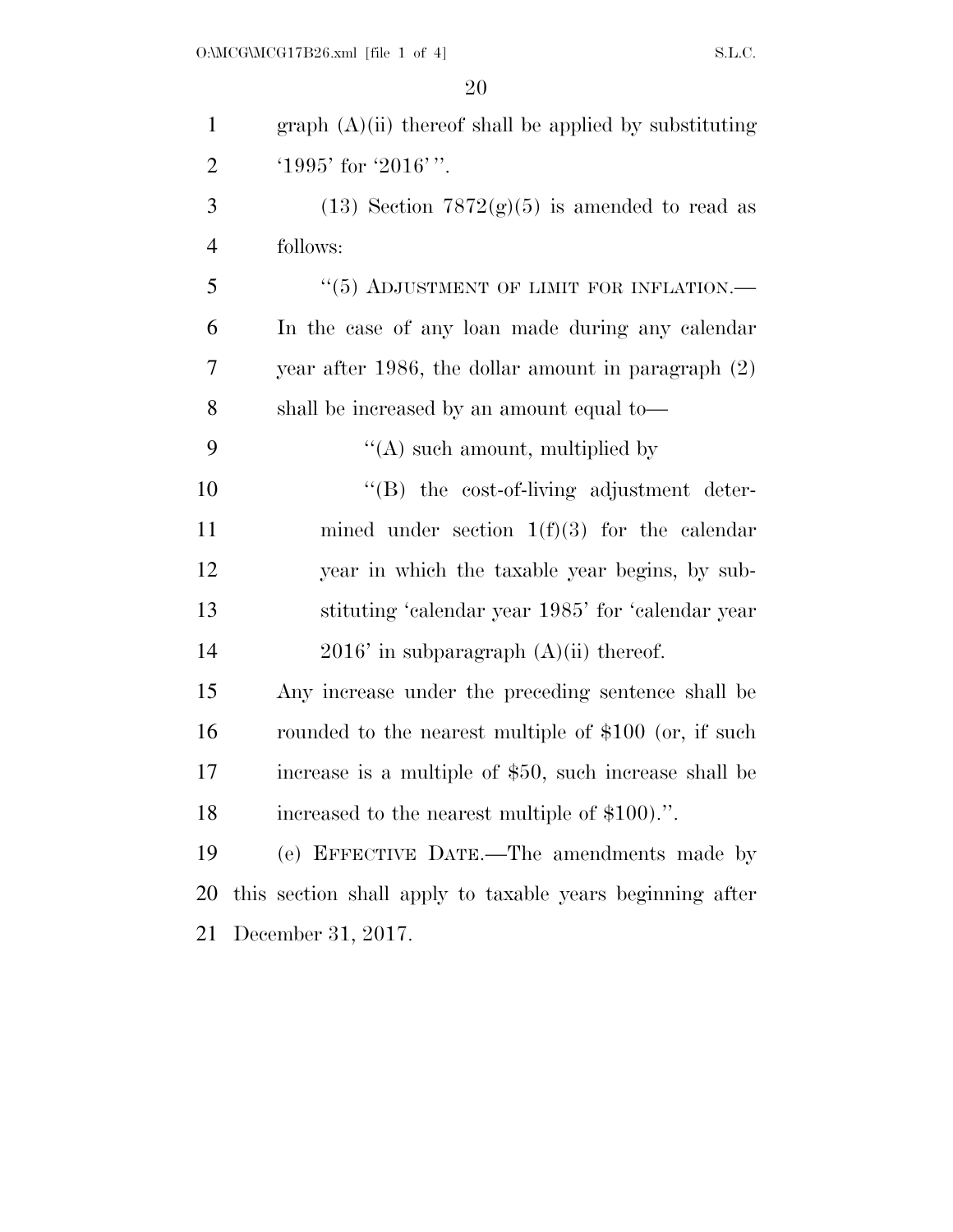| $\mathbf{1}$   | graph $(A)(ii)$ thereof shall be applied by substituting  |
|----------------|-----------------------------------------------------------|
| $\overline{2}$ | '1995' for '2016'".                                       |
| 3              | (13) Section $7872(g)(5)$ is amended to read as           |
| $\overline{4}$ | follows:                                                  |
| 5              | $``(5)$ ADJUSTMENT OF LIMIT FOR INFLATION.—               |
| 6              | In the case of any loan made during any calendar          |
| 7              | year after 1986, the dollar amount in paragraph $(2)$     |
| 8              | shall be increased by an amount equal to—                 |
| 9              | $\lq\lq$ such amount, multiplied by                       |
| 10             | "(B) the cost-of-living adjustment deter-                 |
| 11             | mined under section $1(f)(3)$ for the calendar            |
| 12             | year in which the taxable year begins, by sub-            |
| 13             | stituting 'calendar year 1985' for 'calendar year         |
| 14             | $2016'$ in subparagraph $(A)(ii)$ thereof.                |
| 15             | Any increase under the preceding sentence shall be        |
| 16             | rounded to the nearest multiple of \$100 (or, if such     |
| 17             | increase is a multiple of \$50, such increase shall be    |
| 18             | increased to the nearest multiple of \$100.".             |
| 19             | (e) EFFECTIVE DATE.—The amendments made by                |
| 20             | this section shall apply to taxable years beginning after |
| 21             | December 31, 2017.                                        |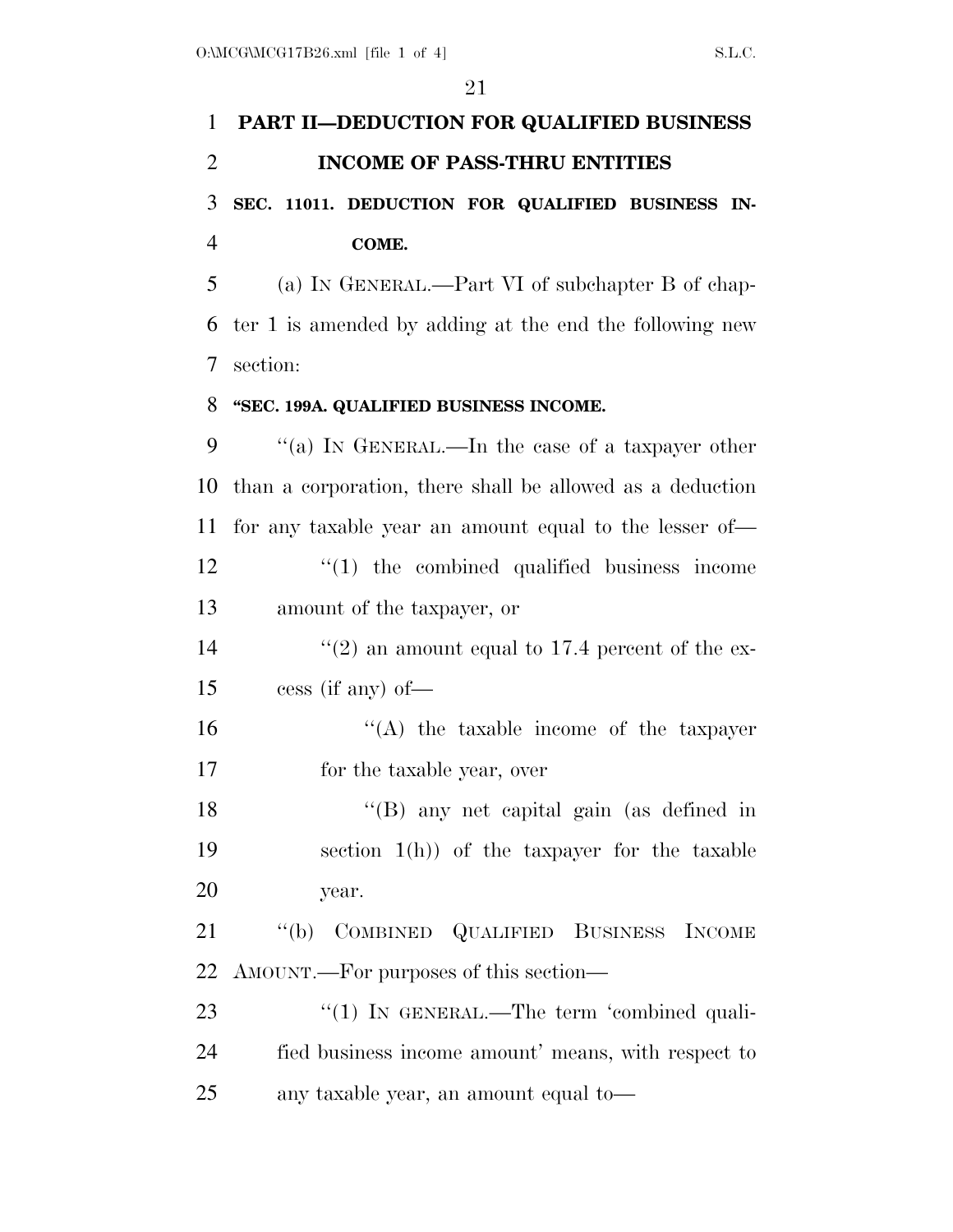| 1              | PART II-DEDUCTION FOR QUALIFIED BUSINESS                  |
|----------------|-----------------------------------------------------------|
| $\overline{2}$ | <b>INCOME OF PASS-THRU ENTITIES</b>                       |
| 3              | SEC. 11011. DEDUCTION FOR QUALIFIED BUSINESS IN-          |
| $\overline{4}$ | COME.                                                     |
| 5              | (a) IN GENERAL.—Part VI of subchapter B of chap-          |
| 6              | ter 1 is amended by adding at the end the following new   |
| 7              | section:                                                  |
| 8              | "SEC. 199A. QUALIFIED BUSINESS INCOME.                    |
| 9              | "(a) IN GENERAL.—In the case of a taxpayer other          |
| 10             | than a corporation, there shall be allowed as a deduction |
| 11             | for any taxable year an amount equal to the lesser of—    |
| 12             | $\lq(1)$ the combined qualified business income           |
| 13             | amount of the taxpayer, or                                |
| 14             | $\lq(2)$ an amount equal to 17.4 percent of the ex-       |
| 15             | $\cos$ (if any) of —                                      |
| 16             | $\lq\lq$ the taxable income of the taxpayer               |
| 17             | for the taxable year, over                                |
| 18             | "(B) any net capital gain (as defined in                  |
| 19             | section $1(h)$ of the taxpayer for the taxable            |
| 20             | year.                                                     |
| 21             | COMBINED QUALIFIED BUSINESS INCOME<br>``(b)               |
| 22             | AMOUNT.—For purposes of this section—                     |
| 23             | "(1) IN GENERAL.—The term 'combined quali-                |
| 24             | fied business income amount' means, with respect to       |
| 25             | any taxable year, an amount equal to-                     |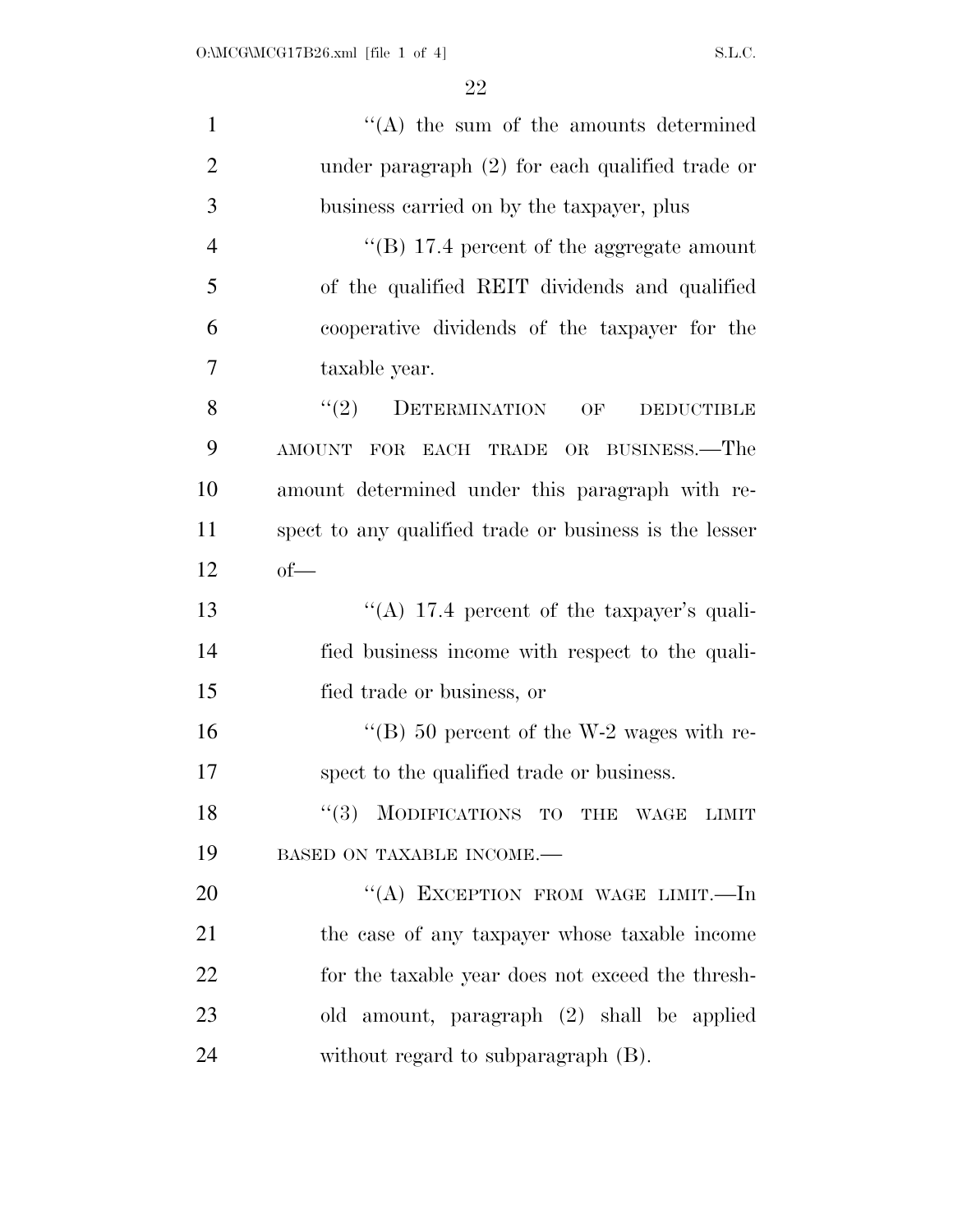| $\mathbf{1}$   | $\lq\lq$ the sum of the amounts determined             |
|----------------|--------------------------------------------------------|
| $\overline{2}$ | under paragraph $(2)$ for each qualified trade or      |
| 3              | business carried on by the taxpayer, plus              |
| $\overline{4}$ | "(B) 17.4 percent of the aggregate amount              |
| 5              | of the qualified REIT dividends and qualified          |
| 6              | cooperative dividends of the taxpayer for the          |
| 7              | taxable year.                                          |
| 8              | $``(2)$ DETERMINATION<br>OF<br><b>DEDUCTIBLE</b>       |
| 9              | AMOUNT FOR EACH TRADE OR BUSINESS.—The                 |
| 10             | amount determined under this paragraph with re-        |
| 11             | spect to any qualified trade or business is the lesser |
| 12             | $of$ —                                                 |
| 13             | "(A) 17.4 percent of the taxpayer's quali-             |
| 14             | fied business income with respect to the quali-        |
| 15             | fied trade or business, or                             |
| 16             | "(B) 50 percent of the W-2 wages with re-              |
| 17             | spect to the qualified trade or business.              |
| 18             | (3)<br>MODIFICATIONS TO THE WAGE LIMIT                 |
| 19             | BASED ON TAXABLE INCOME.-                              |
| 20             | "(A) EXCEPTION FROM WAGE LIMIT.—In                     |
| 21             | the case of any taxpayer whose taxable income          |
| 22             | for the taxable year does not exceed the thresh-       |
| 23             | amount, paragraph (2) shall be applied<br>old          |
| 24             | without regard to subparagraph (B).                    |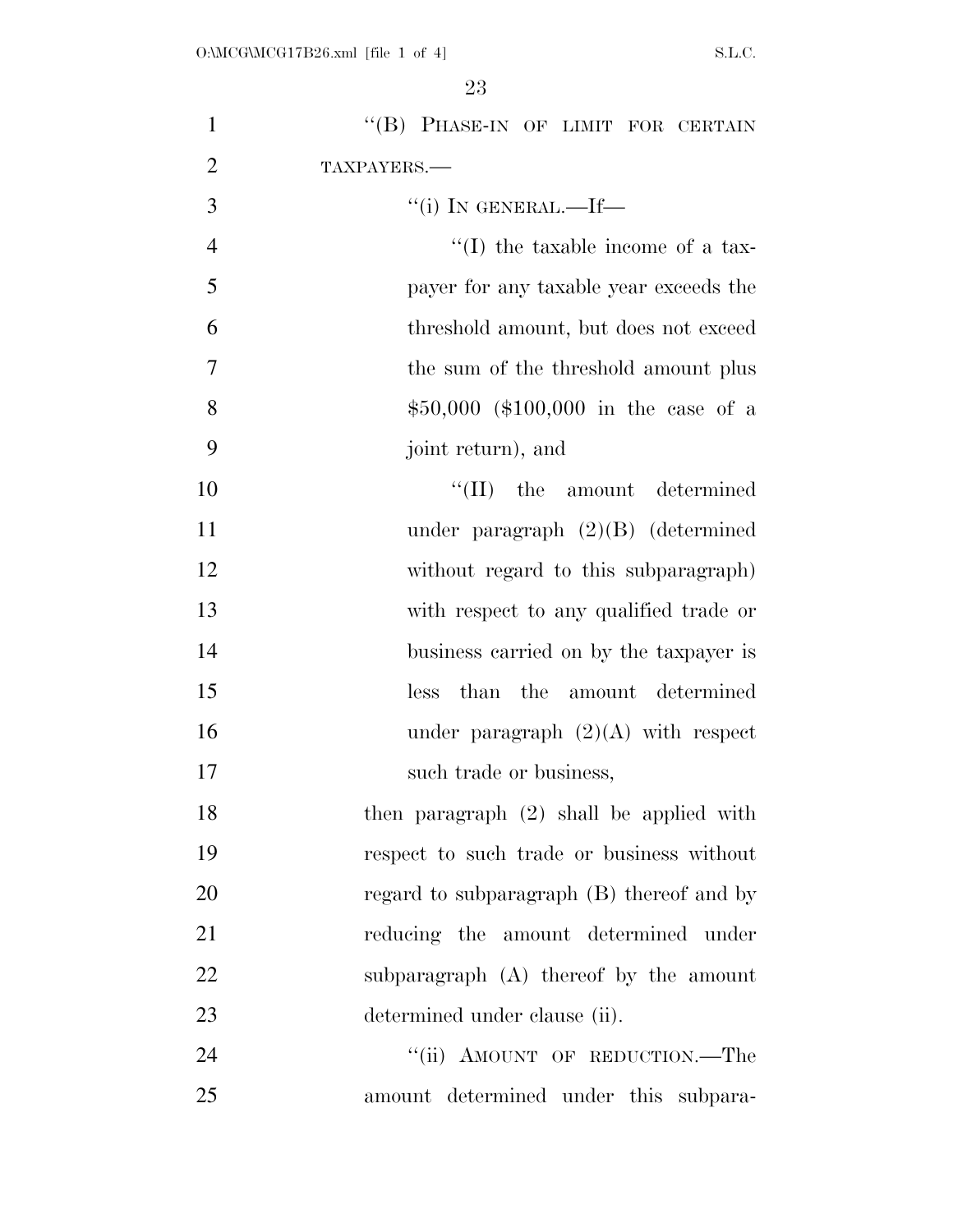| $\mathbf{1}$   | "(B) PHASE-IN OF LIMIT FOR CERTAIN         |
|----------------|--------------------------------------------|
| $\overline{2}$ | TAXPAYERS.-                                |
| 3              | "(i) IN GENERAL.—If—                       |
| $\overline{4}$ | $\lq\lq$ (I) the taxable income of a tax-  |
| 5              | payer for any taxable year exceeds the     |
| 6              | threshold amount, but does not exceed      |
| $\overline{7}$ | the sum of the threshold amount plus       |
| 8              | $$50,000$ (\$100,000 in the case of a      |
| 9              | joint return), and                         |
| 10             | $\lq\lq$ (II) the amount determined        |
| 11             | under paragraph $(2)(B)$ (determined       |
| 12             | without regard to this subparagraph)       |
| 13             | with respect to any qualified trade or     |
| 14             | business carried on by the taxpayer is     |
| 15             | than the amount determined<br>less         |
| 16             | under paragraph $(2)(A)$ with respect      |
| 17             | such trade or business,                    |
| 18             | then paragraph $(2)$ shall be applied with |
| 19             | respect to such trade or business without  |
| 20             | regard to subparagraph (B) thereof and by  |
| 21             | reducing the amount determined under       |
| 22             | subparagraph (A) thereof by the amount     |
| 23             | determined under clause (ii).              |
| 24             | "(ii) AMOUNT OF REDUCTION.—The             |
| 25             | amount determined under this subpara-      |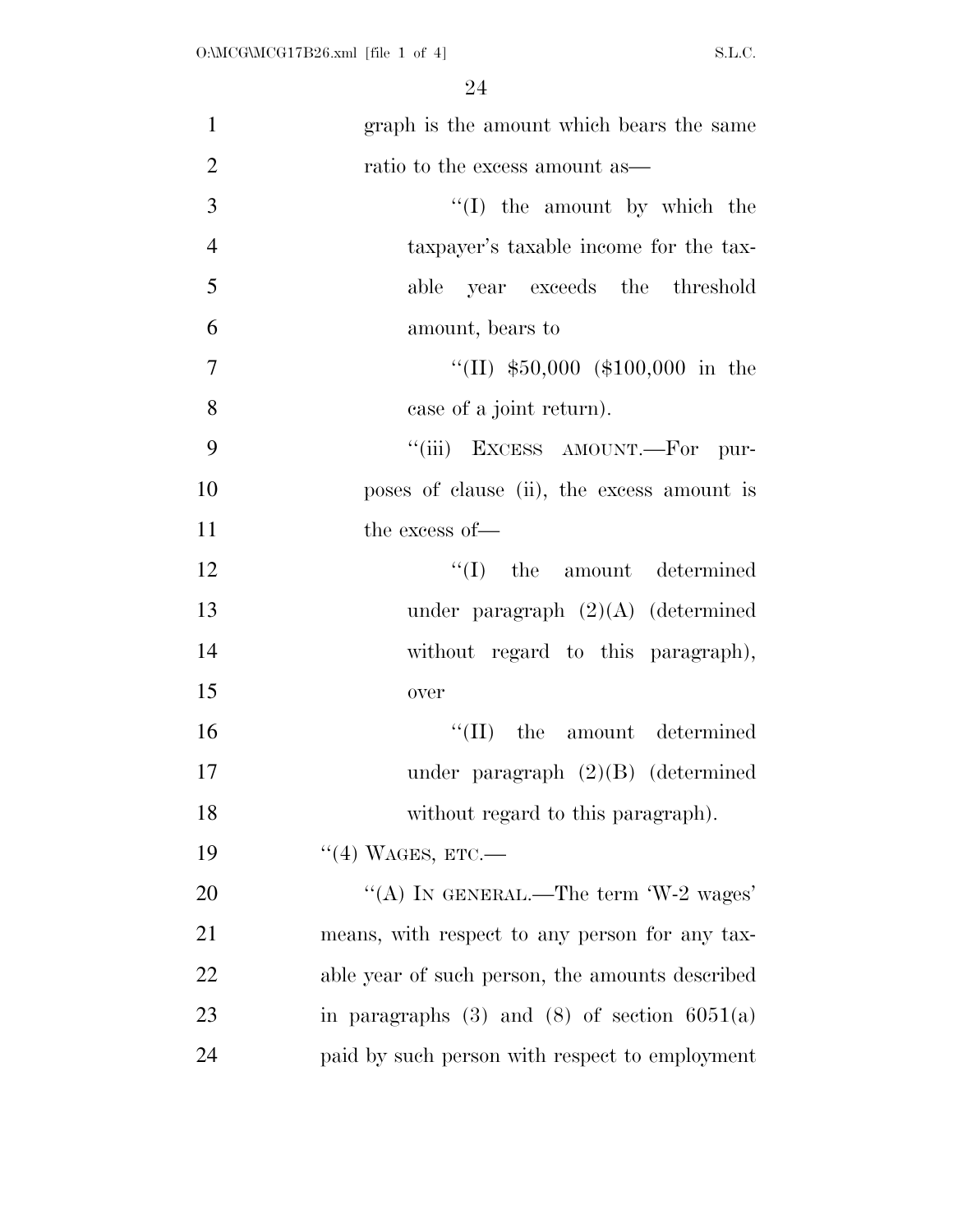| $\mathbf{1}$   | graph is the amount which bears the same           |
|----------------|----------------------------------------------------|
| $\overline{2}$ | ratio to the excess amount as—                     |
| 3              | $\lq\lq$ (I) the amount by which the               |
| $\overline{4}$ | taxpayer's taxable income for the tax-             |
| 5              | able year exceeds the threshold                    |
| 6              | amount, bears to                                   |
| $\overline{7}$ | "(II) $$50,000$ (\$100,000 in the                  |
| 8              | case of a joint return).                           |
| 9              | "(iii) EXCESS AMOUNT.—For pur-                     |
| 10             | poses of clause (ii), the excess amount is         |
| 11             | the excess of-                                     |
| 12             | $\lq\lq$ (I) the amount determined                 |
| 13             | under paragraph $(2)(A)$ (determined               |
| 14             | without regard to this paragraph),                 |
| 15             | over                                               |
| 16             | $\lq\lq$ (II) the amount determined                |
| 17             | under paragraph $(2)(B)$ (determined               |
| 18             | without regard to this paragraph).                 |
| 19             | $\lq(4)$ WAGES, ETC.—                              |
| 20             | "(A) IN GENERAL.—The term $W-2$ wages'             |
| 21             | means, with respect to any person for any tax-     |
| 22             | able year of such person, the amounts described    |
| 23             | in paragraphs $(3)$ and $(8)$ of section $6051(a)$ |
| 24             | paid by such person with respect to employment     |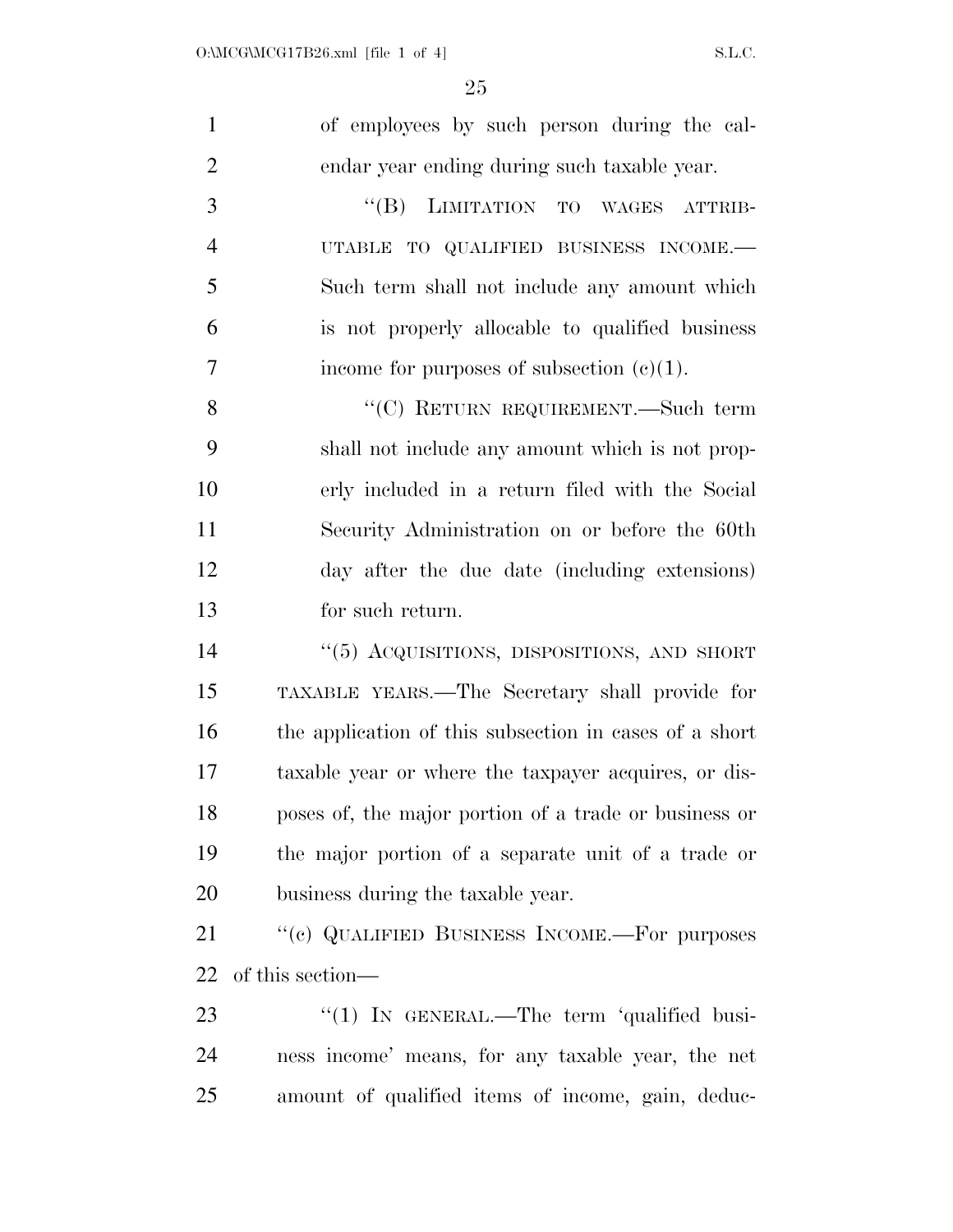| $\mathbf{1}$   | of employees by such person during the cal-            |
|----------------|--------------------------------------------------------|
| $\overline{2}$ | endar year ending during such taxable year.            |
| 3              | "(B) LIMITATION TO WAGES ATTRIB-                       |
| $\overline{4}$ | UTABLE TO QUALIFIED BUSINESS INCOME.-                  |
| 5              | Such term shall not include any amount which           |
| 6              | is not properly allocable to qualified business        |
| $\overline{7}$ | income for purposes of subsection $(c)(1)$ .           |
| 8              | "(C) RETURN REQUIREMENT.—Such term                     |
| 9              | shall not include any amount which is not prop-        |
| 10             | erly included in a return filed with the Social        |
| 11             | Security Administration on or before the 60th          |
| 12             | day after the due date (including extensions)          |
| 13             | for such return.                                       |
| 14             | "(5) ACQUISITIONS, DISPOSITIONS, AND SHORT             |
| 15             | TAXABLE YEARS.—The Secretary shall provide for         |
| 16             | the application of this subsection in cases of a short |
| 17             | taxable year or where the taxpayer acquires, or dis-   |
| 18             | poses of, the major portion of a trade or business or  |
| 19             | the major portion of a separate unit of a trade or     |
| 20             | business during the taxable year.                      |
| 21             | "(c) QUALIFIED BUSINESS INCOME.—For purposes           |
| 22             | of this section—                                       |
| 23             | "(1) IN GENERAL.—The term 'qualified busi-             |
| 24             | ness income' means, for any taxable year, the net      |
| 25             | amount of qualified items of income, gain, deduc-      |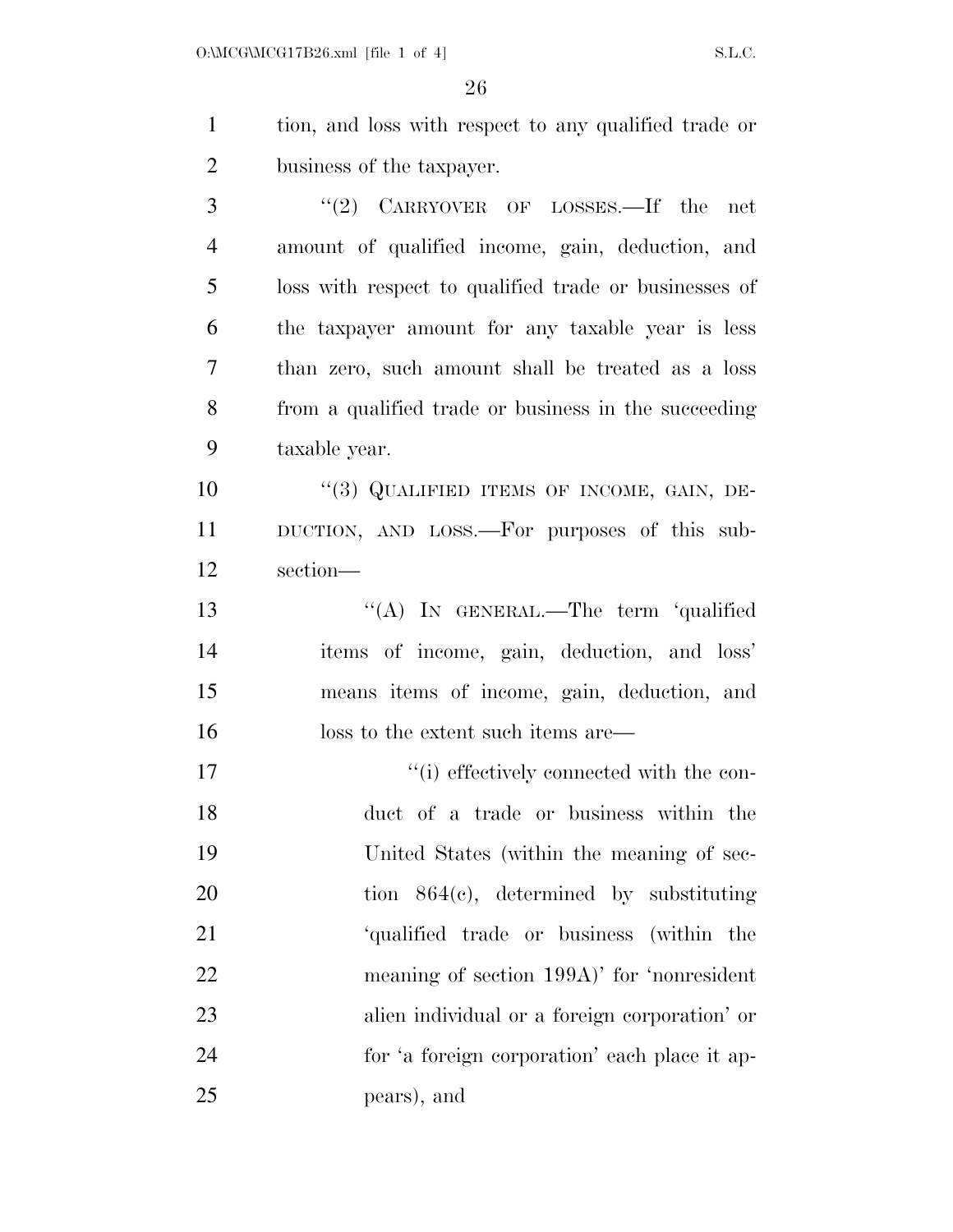tion, and loss with respect to any qualified trade or business of the taxpayer. ''(2) CARRYOVER OF LOSSES.—If the net amount of qualified income, gain, deduction, and loss with respect to qualified trade or businesses of the taxpayer amount for any taxable year is less than zero, such amount shall be treated as a loss

 from a qualified trade or business in the succeeding taxable year.

10 "(3) QUALIFIED ITEMS OF INCOME, GAIN, DE- DUCTION, AND LOSS.—For purposes of this sub-section—

13 "(A) In GENERAL.—The term 'qualified items of income, gain, deduction, and loss' means items of income, gain, deduction, and 16 loss to the extent such items are—

 ''(i) effectively connected with the con- duct of a trade or business within the United States (within the meaning of sec- tion 864(c), determined by substituting 'qualified trade or business (within the meaning of section 199A)' for 'nonresident alien individual or a foreign corporation' or for 'a foreign corporation' each place it ap-pears), and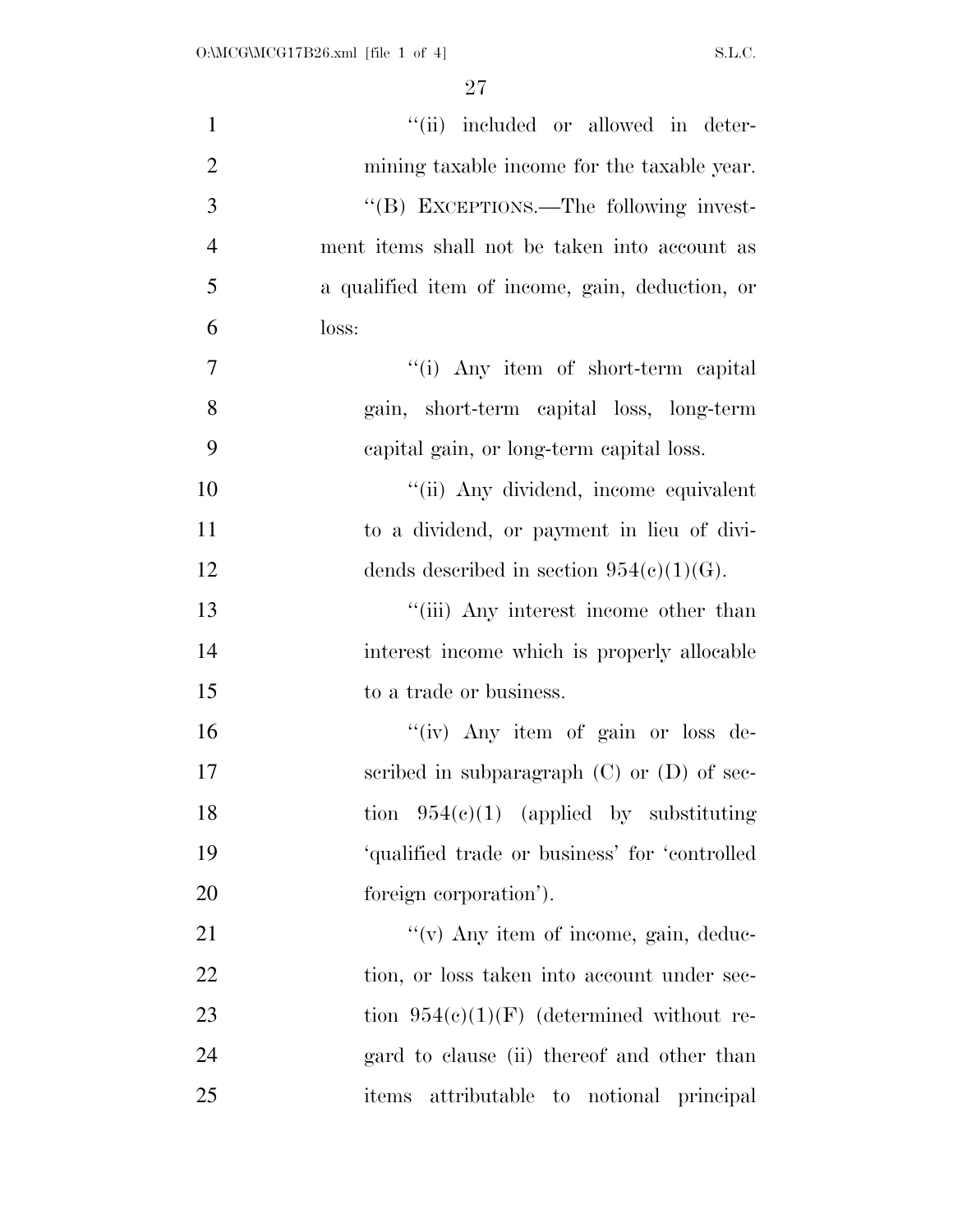| $\mathbf{1}$   | "(ii) included or allowed in deter-             |
|----------------|-------------------------------------------------|
| $\overline{2}$ | mining taxable income for the taxable year.     |
| 3              | "(B) EXCEPTIONS.—The following invest-          |
| $\overline{4}$ | ment items shall not be taken into account as   |
| 5              | a qualified item of income, gain, deduction, or |
| 6              | loss:                                           |
| $\tau$         | "(i) Any item of short-term capital             |
| 8              | gain, short-term capital loss, long-term        |
| 9              | capital gain, or long-term capital loss.        |
| 10             | "(ii) Any dividend, income equivalent           |
| 11             | to a dividend, or payment in lieu of divi-      |
| 12             | dends described in section $954(c)(1)(G)$ .     |
| 13             | "(iii) Any interest income other than           |
| 14             | interest income which is properly allocable     |
| 15             | to a trade or business.                         |
| 16             | "(iv) Any item of gain or loss de-              |
| 17             | scribed in subparagraph $(C)$ or $(D)$ of sec-  |
| 18             | tion $954(c)(1)$ (applied by substituting       |
| 19             | 'qualified trade or business' for 'controlled   |
| 20             | foreign corporation').                          |
| 21             | $\lq\lq$ (v) Any item of income, gain, deduc-   |
| 22             | tion, or loss taken into account under sec-     |
| 23             | tion $954(c)(1)(F)$ (determined without re-     |
| 24             | gard to clause (ii) thereof and other than      |
| 25             | items attributable to notional principal        |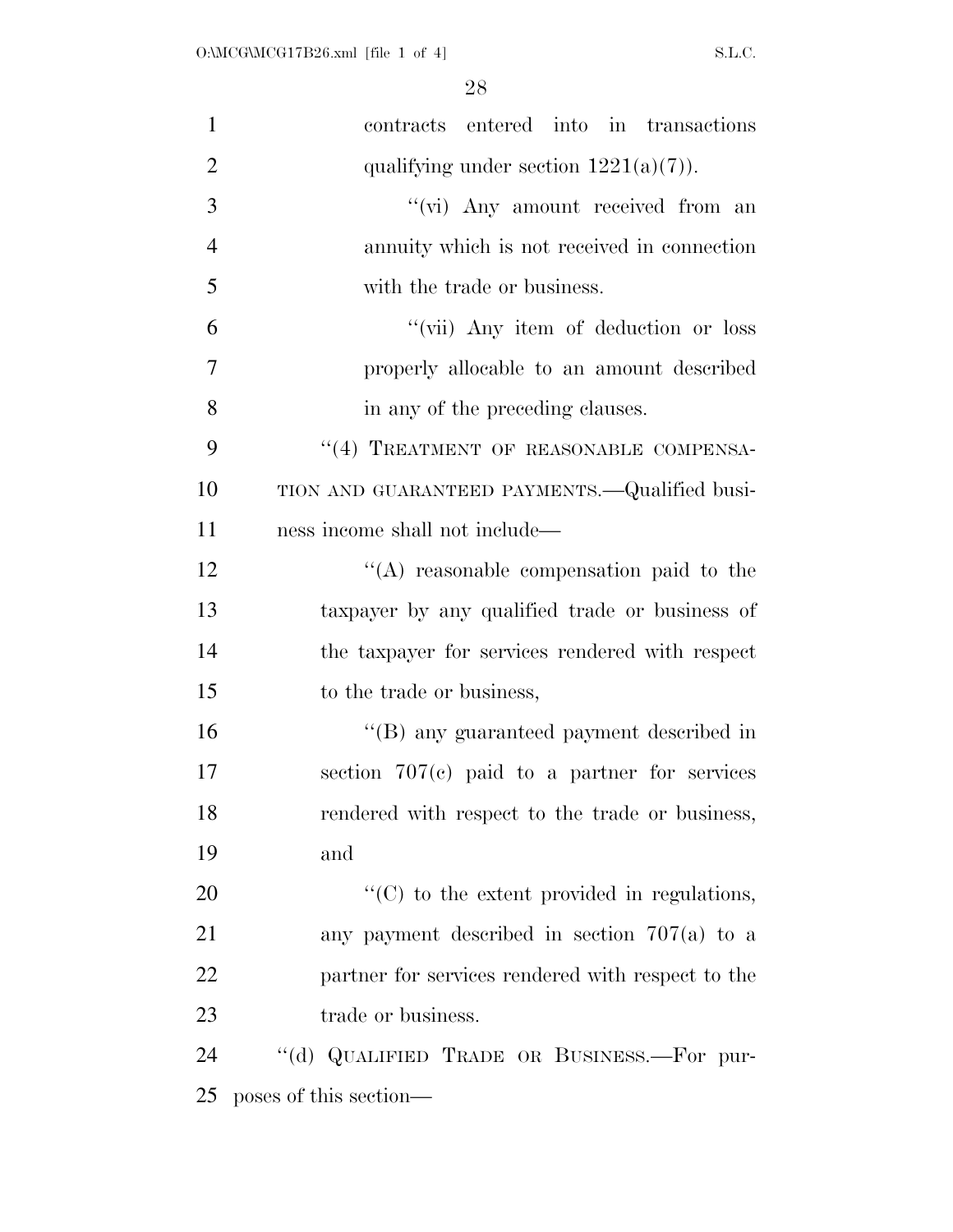| $\mathbf{1}$   | contracts entered into in transactions            |
|----------------|---------------------------------------------------|
| $\overline{2}$ | qualifying under section $1221(a)(7)$ ).          |
| 3              | "(vi) Any amount received from an                 |
| $\overline{4}$ | annuity which is not received in connection       |
| 5              | with the trade or business.                       |
| 6              | "(vii) Any item of deduction or loss              |
| 7              | properly allocable to an amount described         |
| 8              | in any of the preceding clauses.                  |
| 9              | "(4) TREATMENT OF REASONABLE COMPENSA-            |
| 10             | TION AND GUARANTEED PAYMENTS.—Qualified busi-     |
| 11             | ness income shall not include—                    |
| 12             | "(A) reasonable compensation paid to the          |
| 13             | taxpayer by any qualified trade or business of    |
| 14             | the taxpayer for services rendered with respect   |
| 15             | to the trade or business,                         |
| 16             | "(B) any guaranteed payment described in          |
| 17             | section $707(c)$ paid to a partner for services   |
| 18             | rendered with respect to the trade or business,   |
| 19             | and                                               |
| 20             | "(C) to the extent provided in regulations,       |
| 21             | any payment described in section $707(a)$ to a    |
| 22             | partner for services rendered with respect to the |
| 23             | trade or business.                                |
| 24             | "(d) QUALIFIED TRADE OR BUSINESS.—For pur-        |
| 25             | poses of this section—                            |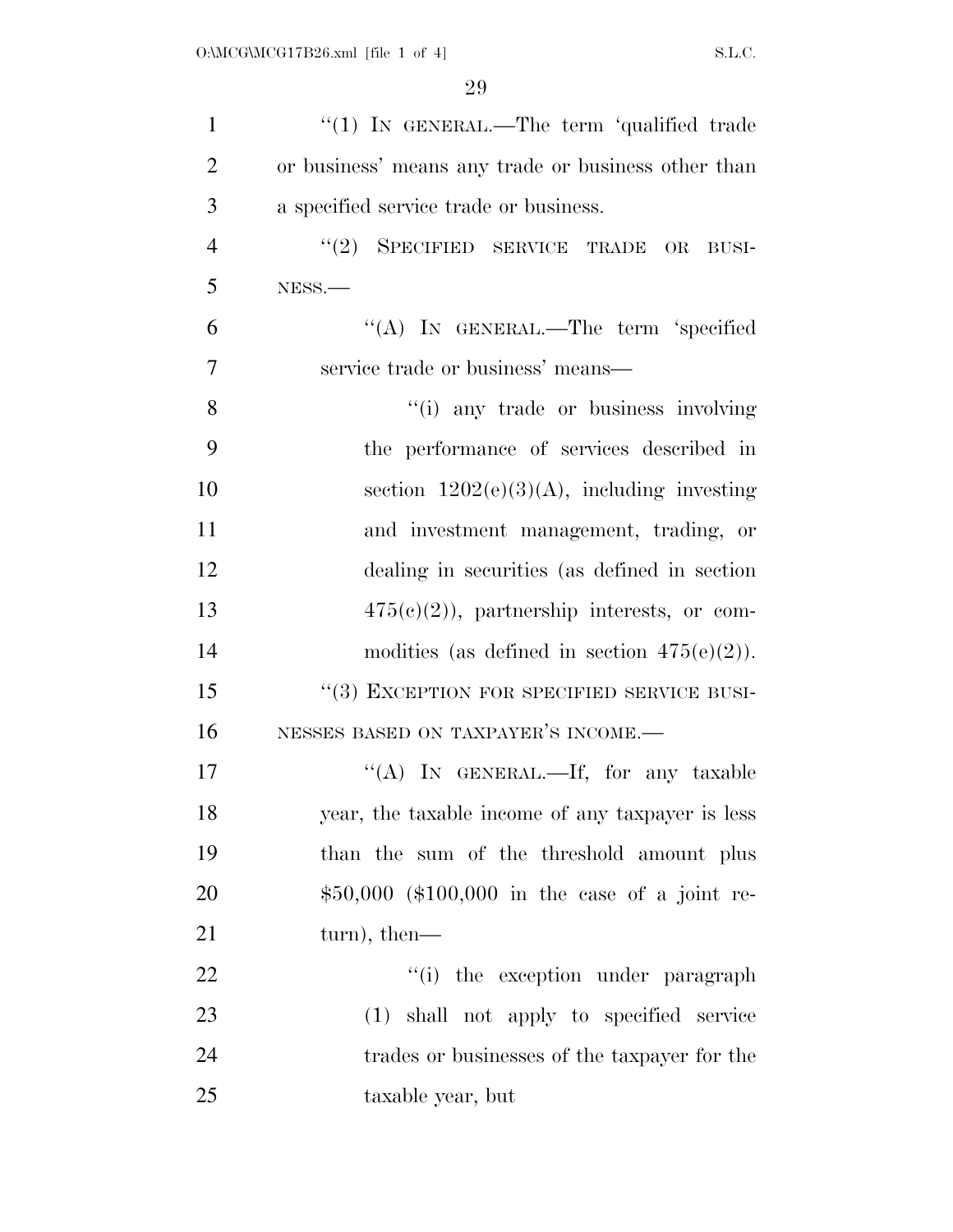| $\mathbf{1}$   | "(1) IN GENERAL.—The term 'qualified trade          |
|----------------|-----------------------------------------------------|
| $\overline{2}$ | or business' means any trade or business other than |
| 3              | a specified service trade or business.              |
| $\overline{4}$ | $(2)$ SPECIFIED SERVICE TRADE<br>$\rm OR$<br>BUSI-  |
| 5              | NESS.-                                              |
| 6              | "(A) IN GENERAL.—The term 'specified                |
| $\overline{7}$ | service trade or business' means—                   |
| 8              | "(i) any trade or business involving                |
| 9              | the performance of services described in            |
| 10             | section $1202(e)(3)(A)$ , including investing       |
| 11             | and investment management, trading, or              |
| 12             | dealing in securities (as defined in section)       |
| 13             | $475(c)(2)$ , partnership interests, or com-        |
| 14             | modities (as defined in section $475(e)(2)$ ).      |
| 15             | "(3) EXCEPTION FOR SPECIFIED SERVICE BUSI-          |
| 16             | NESSES BASED ON TAXPAYER'S INCOME.-                 |
| 17             | "(A) IN GENERAL.—If, for any taxable                |
| 18             | year, the taxable income of any taxpayer is less    |
| 19             | than the sum of the threshold amount plus           |
| 20             | \$50,000 (\$100,000 in the case of a joint re-      |
| 21             | turn), then—                                        |
| 22             | "(i) the exception under paragraph                  |
| 23             | (1) shall not apply to specified service            |
| 24             | trades or businesses of the taxpayer for the        |
| 25             | taxable year, but                                   |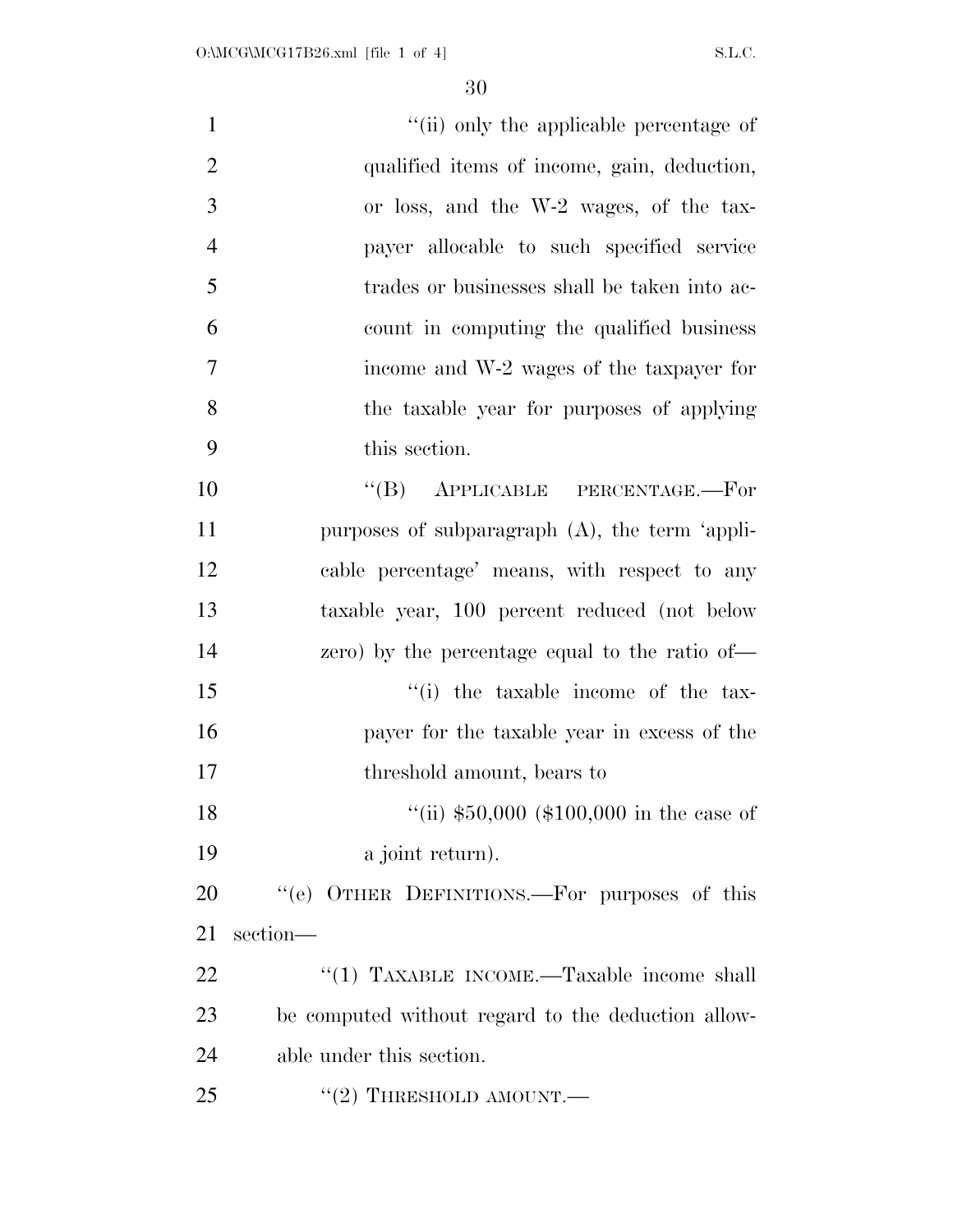| $\mathbf{1}$   | "(ii) only the applicable percentage of            |
|----------------|----------------------------------------------------|
| $\overline{2}$ | qualified items of income, gain, deduction,        |
| 3              | or loss, and the W-2 wages, of the tax-            |
| $\overline{4}$ | payer allocable to such specified service          |
| 5              | trades or businesses shall be taken into ac-       |
| 6              | count in computing the qualified business          |
| $\overline{7}$ | income and W-2 wages of the taxpayer for           |
| 8              | the taxable year for purposes of applying          |
| 9              | this section.                                      |
| 10             | "(B) APPLICABLE PERCENTAGE.—For                    |
| 11             | purposes of subparagraph $(A)$ , the term 'appli-  |
| 12             | cable percentage' means, with respect to any       |
| 13             | taxable year, 100 percent reduced (not below       |
| 14             | zero) by the percentage equal to the ratio of—     |
| 15             | "(i) the taxable income of the tax-                |
| 16             | payer for the taxable year in excess of the        |
| 17             | threshold amount, bears to                         |
| 18             | "(ii) $$50,000$ (\$100,000 in the case of          |
| 19             | a joint return).                                   |
| 20             | "(e) OTHER DEFINITIONS.—For purposes of this       |
| 21             | section-                                           |
| 22             | "(1) TAXABLE INCOME.—Taxable income shall          |
| 23             | be computed without regard to the deduction allow- |
| 24             | able under this section.                           |
| 25             | $"(2)$ THRESHOLD AMOUNT.—                          |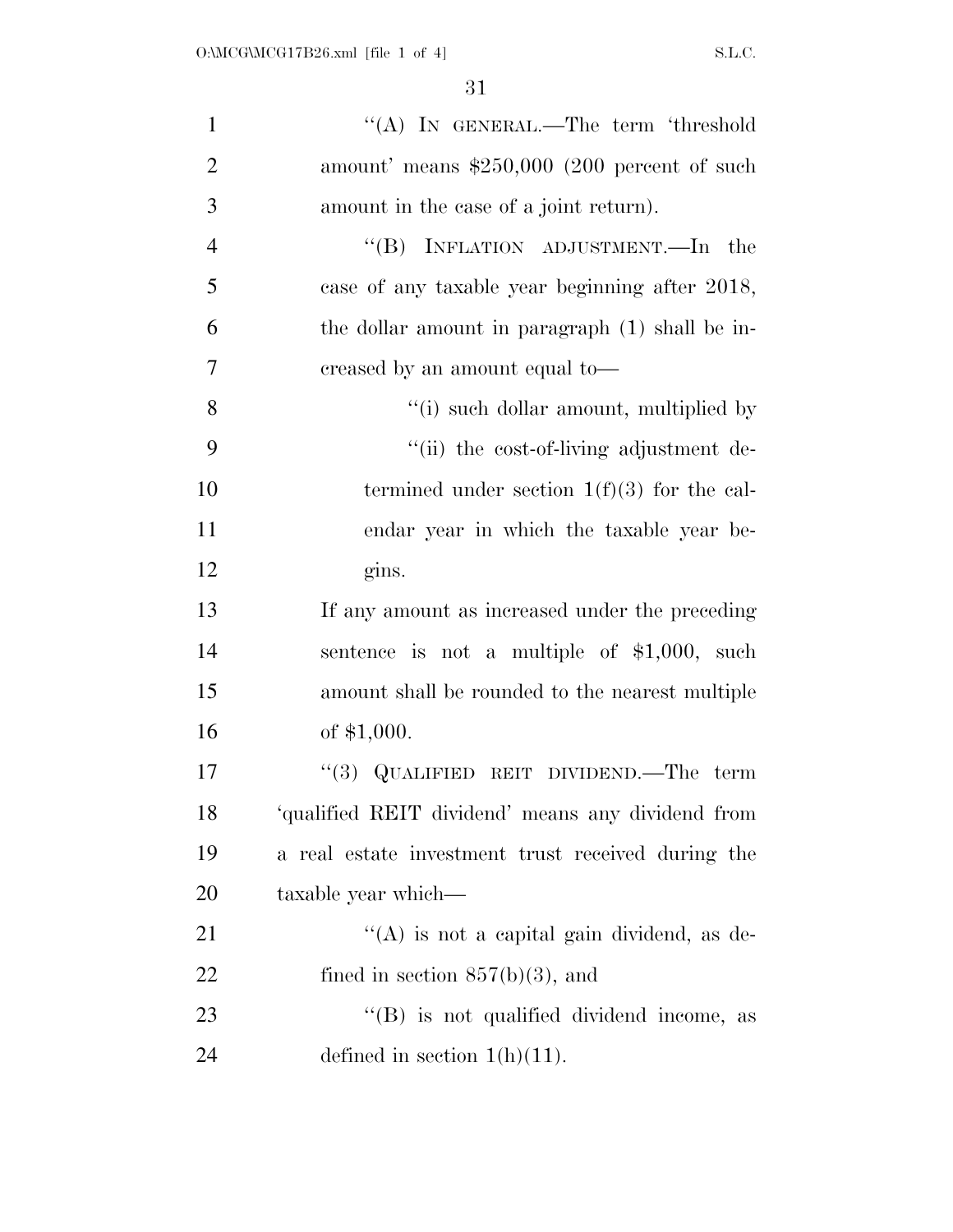| $\mathbf{1}$   | "(A) IN GENERAL.—The term 'threshold               |
|----------------|----------------------------------------------------|
| $\overline{2}$ | amount' means $$250,000$ (200 percent of such      |
| 3              | amount in the case of a joint return).             |
| $\overline{4}$ | "(B) INFLATION ADJUSTMENT.—In the                  |
| 5              | case of any taxable year beginning after 2018,     |
| 6              | the dollar amount in paragraph (1) shall be in-    |
| $\overline{7}$ | creased by an amount equal to—                     |
| 8              | "(i) such dollar amount, multiplied by             |
| 9              | "(ii) the cost-of-living adjustment de-            |
| 10             | termined under section $1(f)(3)$ for the cal-      |
| 11             | endar year in which the taxable year be-           |
| 12             | gins.                                              |
| 13             | If any amount as increased under the preceding     |
| 14             | sentence is not a multiple of $$1,000$ , such      |
| 15             | amount shall be rounded to the nearest multiple    |
| 16             | of $$1,000$ .                                      |
| 17             | "(3) QUALIFIED REIT DIVIDEND.—The term             |
| 18             | 'qualified REIT dividend' means any dividend from  |
| 19             | a real estate investment trust received during the |
| 20             | taxable year which—                                |
| 21             | $\lq\lq$ is not a capital gain dividend, as de-    |
| 22             | fined in section $857(b)(3)$ , and                 |
| 23             | $\lq\lq$ is not qualified dividend income, as      |
| 24             | defined in section $1(h)(11)$ .                    |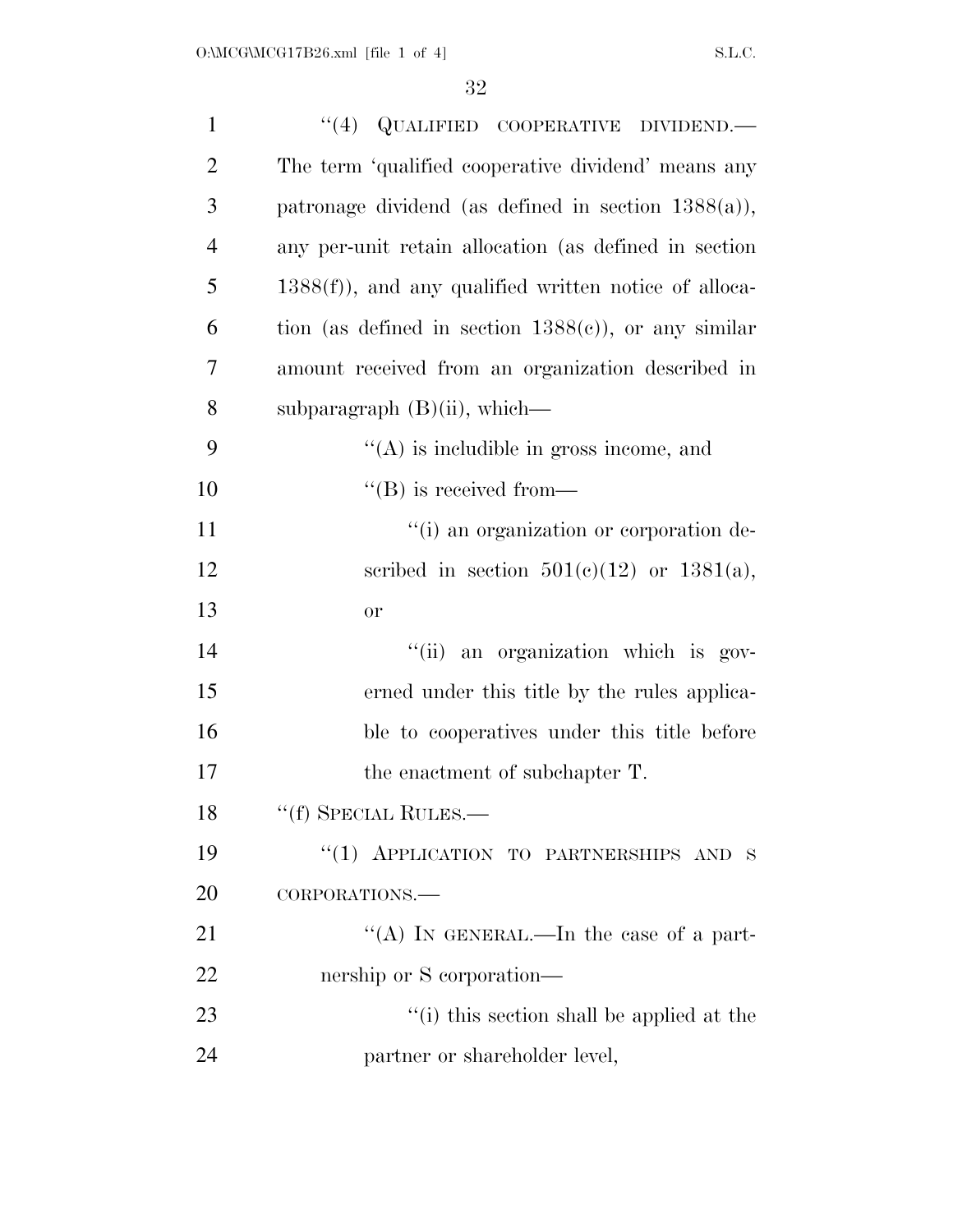| $\mathbf{1}$   | $``(4)$ QUALIFIED COOPERATIVE DIVIDEND.—                |
|----------------|---------------------------------------------------------|
| $\overline{2}$ | The term 'qualified cooperative dividend' means any     |
| 3              | patronage dividend (as defined in section $1388(a)$ ),  |
| $\overline{4}$ | any per-unit retain allocation (as defined in section   |
| 5              | $1388(f)$ , and any qualified written notice of alloca- |
| 6              | tion (as defined in section $1388(c)$ ), or any similar |
| $\overline{7}$ | amount received from an organization described in       |
| 8              | subparagraph $(B)(ii)$ , which—                         |
| 9              | $\lq\lq$ is includible in gross income, and             |
| 10             | $\lq\lq (B)$ is received from—                          |
| 11             | "(i) an organization or corporation de-                 |
| 12             | scribed in section $501(c)(12)$ or $1381(a)$ ,          |
| 13             | <b>or</b>                                               |
| 14             | "(ii) an organization which is gov-                     |
| 15             | erned under this title by the rules applica-            |
| 16             | ble to cooperatives under this title before             |
| 17             | the enactment of subchapter T.                          |
| 18             | "(f) SPECIAL RULES.—                                    |
| 19             | "(1) APPLICATION TO PARTNERSHIPS AND S                  |
| 20             | CORPORATIONS.                                           |
| 21             | "(A) IN GENERAL.—In the case of a part-                 |
| 22             | nership or S corporation—                               |
| 23             | "(i) this section shall be applied at the               |
| 24             | partner or shareholder level,                           |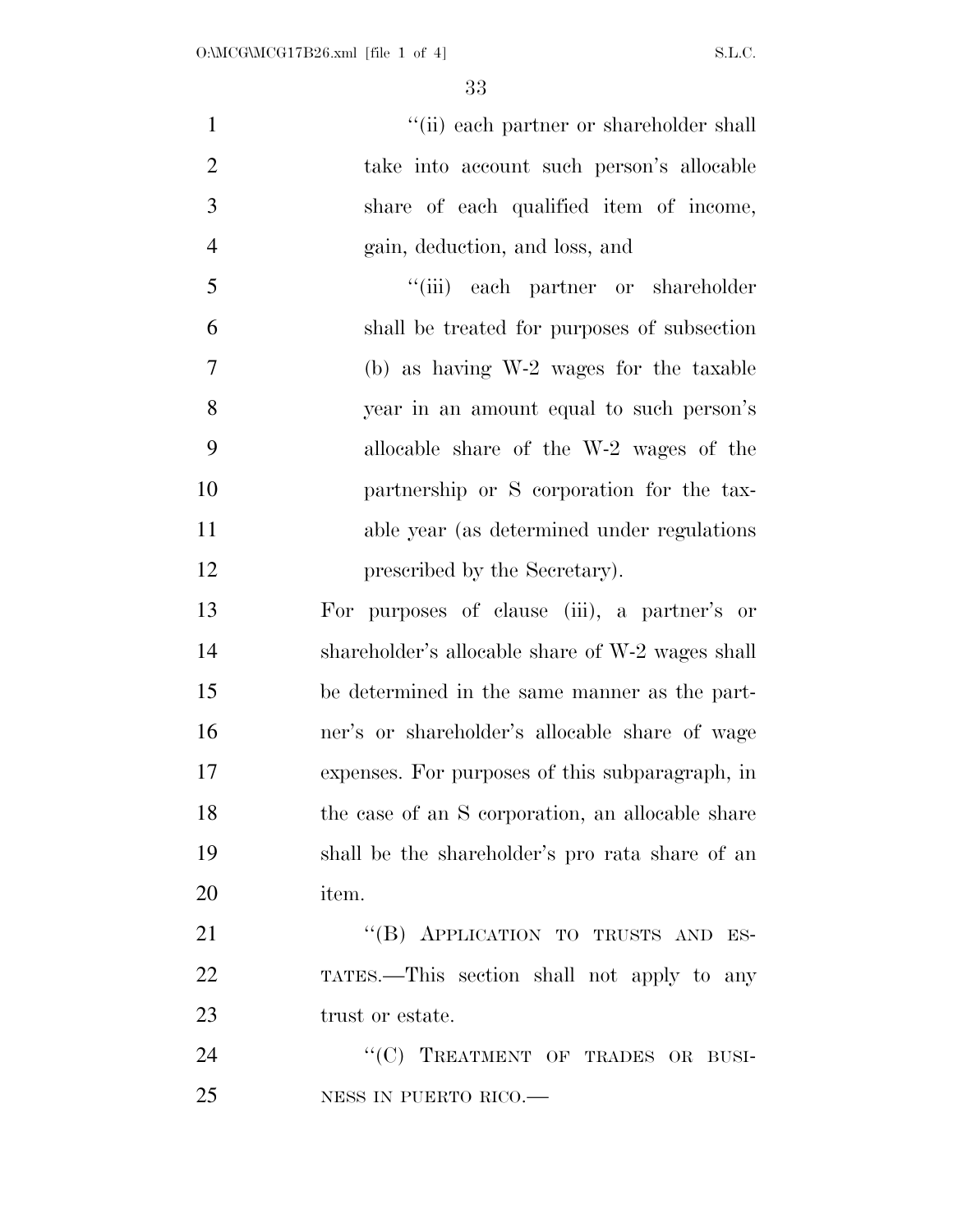| $\mathbf{1}$   | "(ii) each partner or shareholder shall          |
|----------------|--------------------------------------------------|
| $\overline{2}$ | take into account such person's allocable        |
| 3              | share of each qualified item of income,          |
| $\overline{4}$ | gain, deduction, and loss, and                   |
| 5              | "(iii) each partner or shareholder               |
| 6              | shall be treated for purposes of subsection      |
| $\tau$         | (b) as having W-2 wages for the taxable          |
| 8              | year in an amount equal to such person's         |
| 9              | allocable share of the W-2 wages of the          |
| 10             | partnership or S corporation for the tax-        |
| 11             | able year (as determined under regulations)      |
| 12             | prescribed by the Secretary).                    |
| 13             | For purposes of clause (iii), a partner's or     |
| 14             | shareholder's allocable share of W-2 wages shall |
| 15             | be determined in the same manner as the part-    |
| 16             | ner's or shareholder's allocable share of wage   |
| 17             | expenses. For purposes of this subparagraph, in  |
| 18             | the case of an S corporation, an allocable share |
| 19             | shall be the shareholder's pro rata share of an  |
| 20             | item.                                            |
| 21             | "(B) APPLICATION TO TRUSTS AND ES-               |
| 22             | TATES.—This section shall not apply to any       |
| 23             | trust or estate.                                 |
| 24             | "(C) TREATMENT OF TRADES OR BUSI-                |
| 25             | NESS IN PUERTO RICO.                             |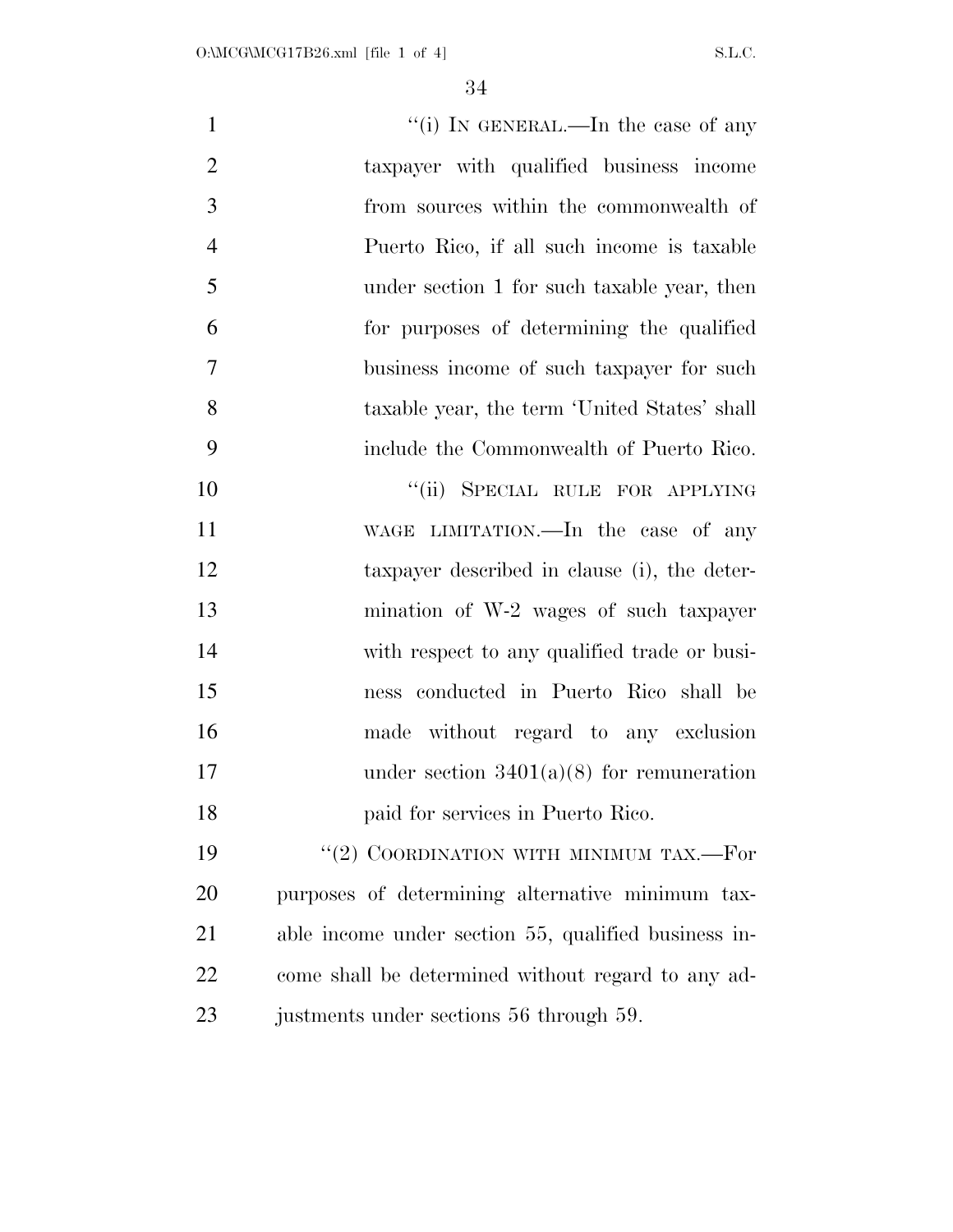| $\mathbf{1}$   | "(i) IN GENERAL.—In the case of any                  |
|----------------|------------------------------------------------------|
| $\overline{2}$ | taxpayer with qualified business income              |
| 3              | from sources within the commonwealth of              |
| $\overline{4}$ | Puerto Rico, if all such income is taxable           |
| 5              | under section 1 for such taxable year, then          |
| 6              | for purposes of determining the qualified            |
| 7              | business income of such taxpayer for such            |
| 8              | taxable year, the term 'United States' shall         |
| 9              | include the Commonwealth of Puerto Rico.             |
| 10             | "(ii) SPECIAL RULE FOR APPLYING                      |
| 11             | WAGE LIMITATION.—In the case of any                  |
| 12             | taxpayer described in clause (i), the deter-         |
| 13             | mination of W-2 wages of such taxpayer               |
| 14             | with respect to any qualified trade or busi-         |
| 15             | ness conducted in Puerto Rico shall be               |
| 16             | made without regard to any exclusion                 |
| 17             | under section $3401(a)(8)$ for remuneration          |
| 18             | paid for services in Puerto Rico.                    |
| 19             | "(2) COORDINATION WITH MINIMUM TAX.—For              |
| 20             | purposes of determining alternative minimum tax-     |
| 21             | able income under section 55, qualified business in- |
| 22             | come shall be determined without regard to any ad-   |
| 23             | justments under sections 56 through 59.              |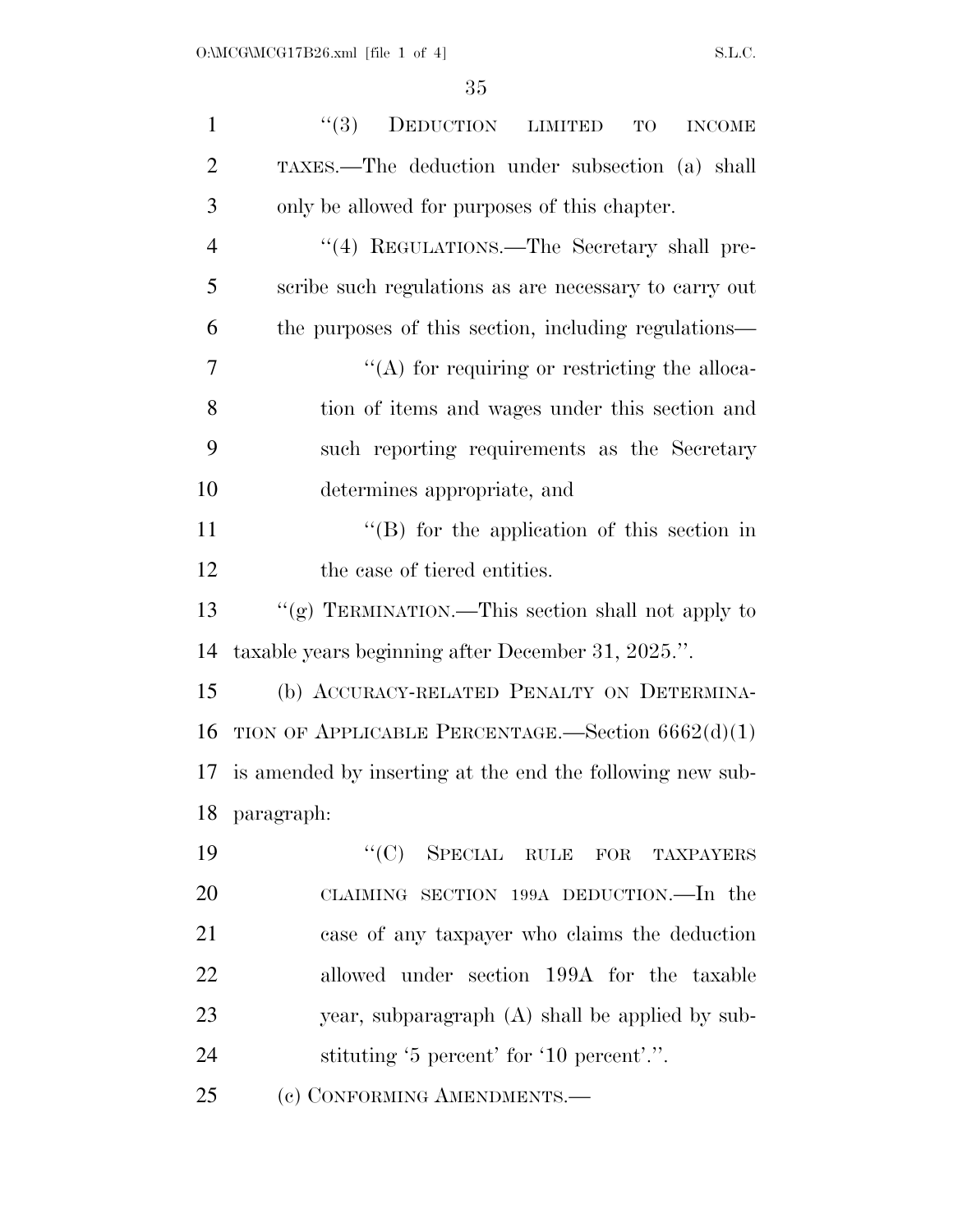| $\mathbf{1}$   | ``(3)<br>DEDUCTION LIMITED<br><b>INCOME</b><br>TO         |
|----------------|-----------------------------------------------------------|
| $\overline{2}$ | TAXES.—The deduction under subsection (a) shall           |
| 3              | only be allowed for purposes of this chapter.             |
| $\overline{4}$ | "(4) REGULATIONS.—The Secretary shall pre-                |
| 5              | scribe such regulations as are necessary to carry out     |
| 6              | the purposes of this section, including regulations—      |
| 7              | $\lq\lq$ for requiring or restricting the alloca-         |
| 8              | tion of items and wages under this section and            |
| 9              | such reporting requirements as the Secretary              |
| 10             | determines appropriate, and                               |
| 11             | $\lq\lq$ for the application of this section in           |
| 12             | the case of tiered entities.                              |
| 13             | "(g) TERMINATION.—This section shall not apply to         |
| 14             | taxable years beginning after December 31, 2025.".        |
| 15             | (b) ACCURACY-RELATED PENALTY ON DETERMINA-                |
| 16             | TION OF APPLICABLE PERCENTAGE.—Section $6662(d)(1)$       |
| 17             | is amended by inserting at the end the following new sub- |
|                | 18 paragraph:                                             |
| 19             | "(C) SPECIAL RULE FOR TAXPAYERS                           |
| 20             | CLAIMING SECTION 199A DEDUCTION.—In the                   |
| 21             | case of any taxpayer who claims the deduction             |
| 22             | allowed under section 199A for the taxable                |
| 23             | year, subparagraph (A) shall be applied by sub-           |
| 24             | stituting '5 percent' for '10 percent'.".                 |
| 25             | (c) CONFORMING AMENDMENTS.-                               |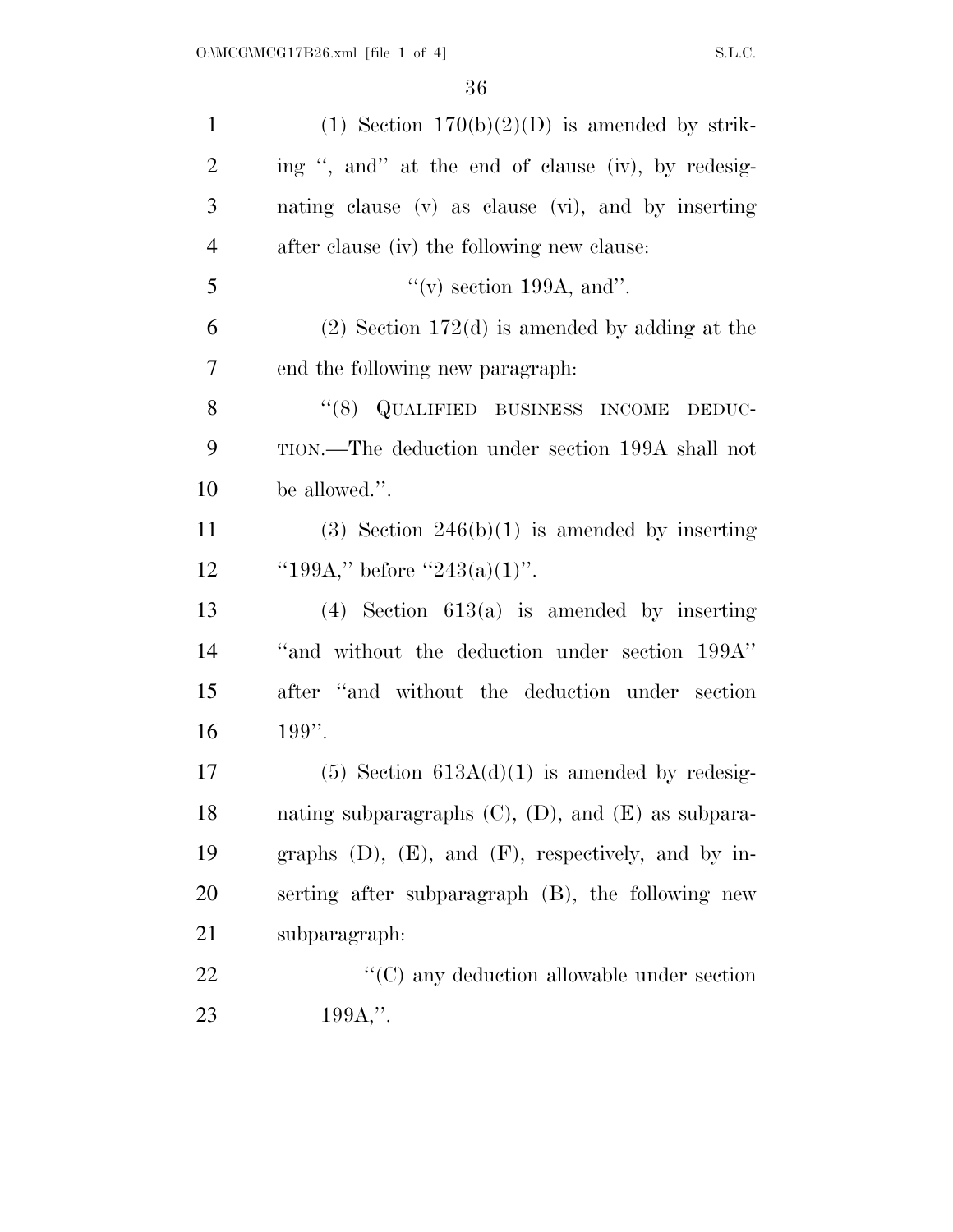| $\mathbf{1}$   | (1) Section $170(b)(2)(D)$ is amended by strik-             |
|----------------|-------------------------------------------------------------|
| $\overline{2}$ | ing ", and" at the end of clause (iv), by redesig-          |
| 3              | nating clause (v) as clause (vi), and by inserting          |
| $\overline{4}$ | after clause (iv) the following new clause:                 |
| 5              | "(v) section 199A, and".                                    |
| 6              | $(2)$ Section 172(d) is amended by adding at the            |
| 7              | end the following new paragraph.                            |
| 8              | "(8) QUALIFIED BUSINESS INCOME<br>DEDUC-                    |
| 9              | TION.—The deduction under section 199A shall not            |
| 10             | be allowed.".                                               |
| 11             | $(3)$ Section 246(b)(1) is amended by inserting             |
| 12             | "199A," before "243(a)(1)".                                 |
| 13             | $(4)$ Section 613(a) is amended by inserting                |
| 14             | "and without the deduction under section 199A"              |
| 15             | after "and without the deduction under section              |
| 16             | $199$ ".                                                    |
| $17\,$         | $(5)$ Section 613A $(d)(1)$ is amended by redesig-          |
| 18             | nating subparagraphs $(C)$ , $(D)$ , and $(E)$ as subpara-  |
| 19             | graphs $(D)$ , $(E)$ , and $(F)$ , respectively, and by in- |
| 20             | serting after subparagraph (B), the following new           |
| 21             | subparagraph:                                               |
| 22             | $\lq\lq$ (C) any deduction allowable under section          |
| 23             | $199A$ ,".                                                  |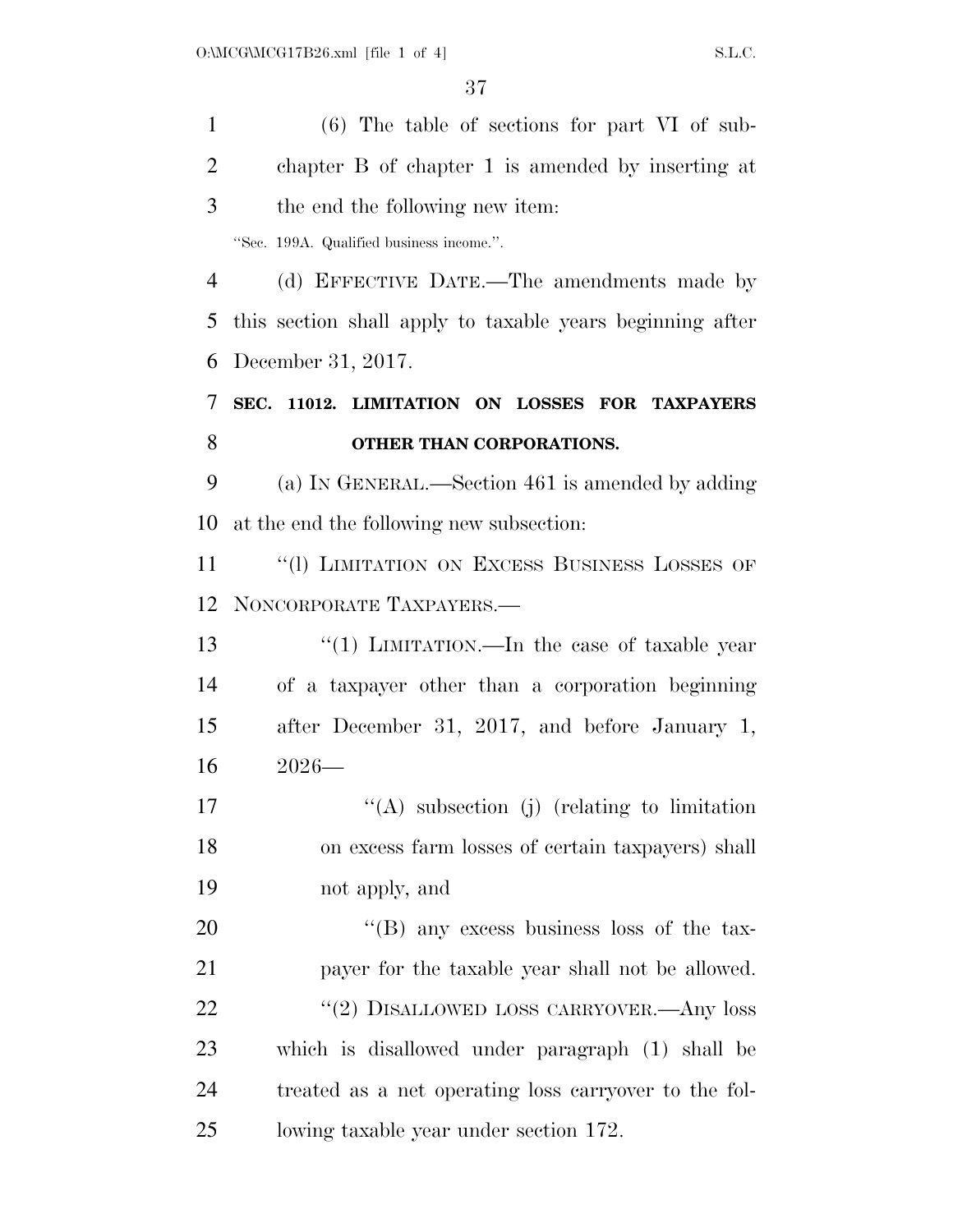(6) The table of sections for part VI of sub- chapter B of chapter 1 is amended by inserting at the end the following new item: ''Sec. 199A. Qualified business income.''. (d) EFFECTIVE DATE.—The amendments made by this section shall apply to taxable years beginning after December 31, 2017. **SEC. 11012. LIMITATION ON LOSSES FOR TAXPAYERS OTHER THAN CORPORATIONS.**  (a) IN GENERAL.—Section 461 is amended by adding at the end the following new subsection: 11 "(1) LIMITATION ON EXCESS BUSINESS LOSSES OF NONCORPORATE TAXPAYERS.— 13 ''(1) LIMITATION.—In the case of taxable year of a taxpayer other than a corporation beginning after December 31, 2017, and before January 1, 2026—  $\langle (A)$  subsection (j) (relating to limitation on excess farm losses of certain taxpayers) shall not apply, and 20 "'(B) any excess business loss of the tax- payer for the taxable year shall not be allowed. 22 "(2) DISALLOWED LOSS CARRYOVER.—Any loss which is disallowed under paragraph (1) shall be treated as a net operating loss carryover to the fol-lowing taxable year under section 172.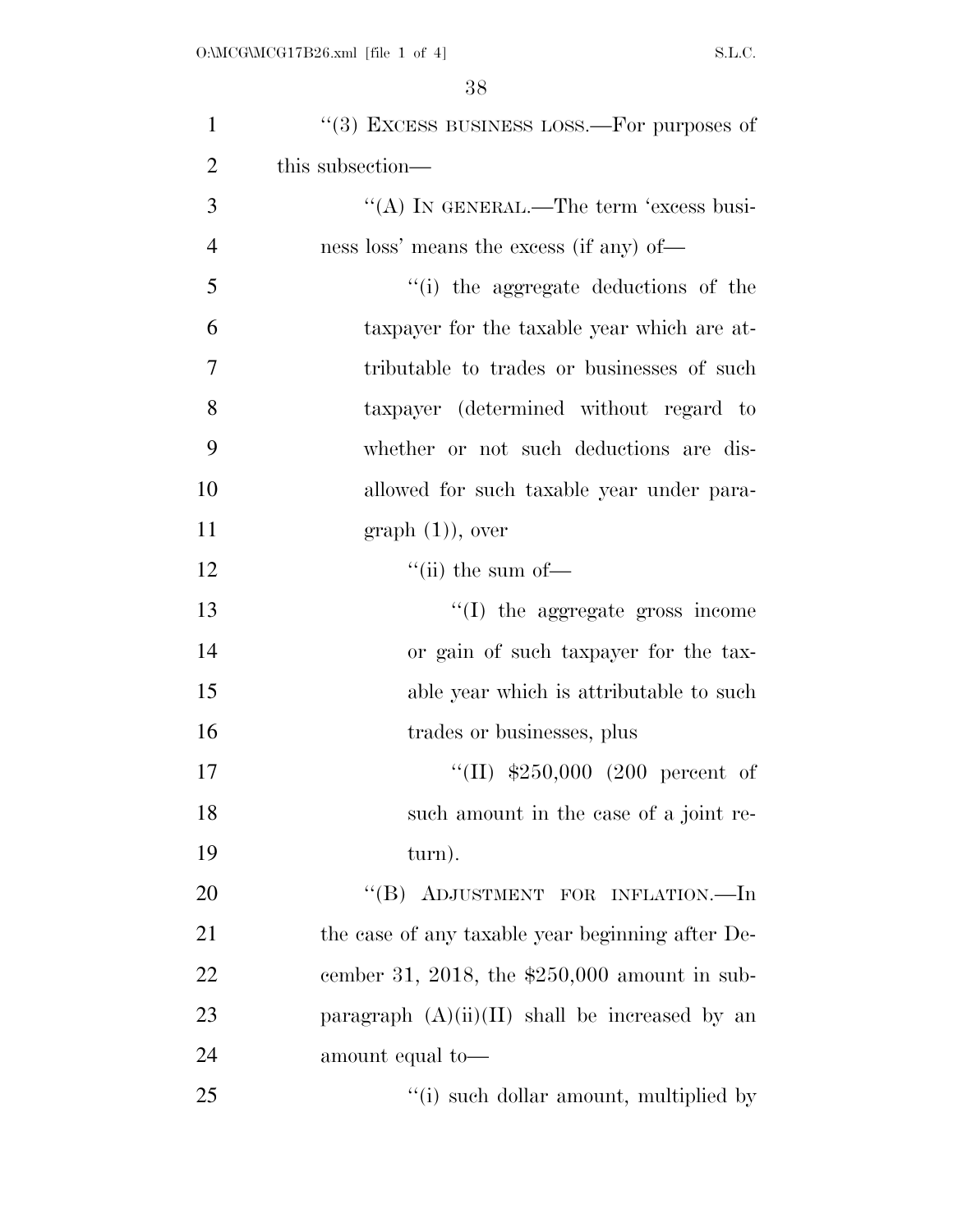| $\mathbf{1}$   | $\cdot$ (3) EXCESS BUSINESS LOSS.—For purposes of |
|----------------|---------------------------------------------------|
| $\overline{2}$ | this subsection—                                  |
| 3              | "(A) IN GENERAL.—The term 'excess busi-           |
| $\overline{4}$ | ness loss' means the excess (if any) of—          |
| 5              | "(i) the aggregate deductions of the              |
| 6              | taxpayer for the taxable year which are at-       |
| 7              | tributable to trades or businesses of such        |
| 8              | taxpayer (determined without regard to            |
| 9              | whether or not such deductions are dis-           |
| 10             | allowed for such taxable year under para-         |
| 11             | $graph (1)$ , over                                |
| 12             | $\lq\lq$ (ii) the sum of —                        |
| 13             | "(I) the aggregate gross income                   |
| 14             | or gain of such taxpayer for the tax-             |
| 15             | able year which is attributable to such           |
| 16             | trades or businesses, plus                        |
| 17             | "(II) $$250,000$ (200 percent of                  |
| 18             | such amount in the case of a joint re-            |
| 19             | turn).                                            |
| 20             | "(B) ADJUSTMENT FOR INFLATION.—In                 |
| 21             | the case of any taxable year beginning after De-  |
| 22             | cember 31, 2018, the $$250,000$ amount in sub-    |
| 23             | paragraph $(A)(ii)(II)$ shall be increased by an  |
| 24             | amount equal to-                                  |
| 25             | $f'(i)$ such dollar amount, multiplied by         |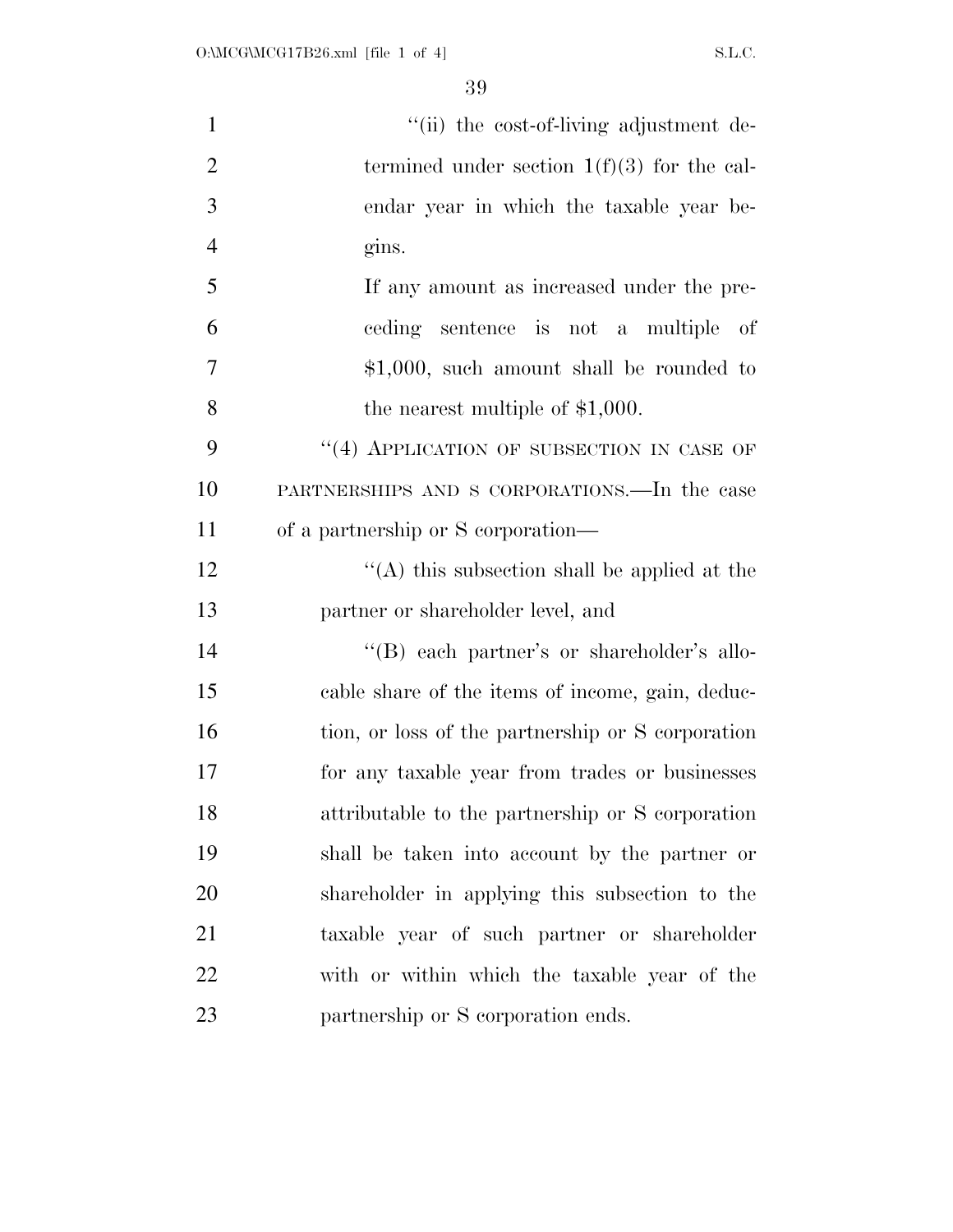| $\mathbf{1}$   | "(ii) the cost-of-living adjustment de-           |
|----------------|---------------------------------------------------|
| $\overline{2}$ | termined under section $1(f)(3)$ for the cal-     |
| 3              | endar year in which the taxable year be-          |
| $\overline{4}$ | gins.                                             |
| 5              | If any amount as increased under the pre-         |
| 6              | ceding sentence is not a multiple of              |
| 7              | $$1,000$ , such amount shall be rounded to        |
| 8              | the nearest multiple of $$1,000$ .                |
| 9              | $``(4)$ APPLICATION OF SUBSECTION IN CASE OF      |
| 10             | PARTNERSHIPS AND S CORPORATIONS.—In the case      |
| 11             | of a partnership or S corporation—                |
| 12             | "(A) this subsection shall be applied at the      |
| 13             | partner or shareholder level, and                 |
| 14             | "(B) each partner's or shareholder's allo-        |
| 15             | cable share of the items of income, gain, deduc-  |
| 16             | tion, or loss of the partnership or S corporation |
| 17             | for any taxable year from trades or businesses    |
| 18             | attributable to the partnership or S corporation  |
| 19             | shall be taken into account by the partner or     |
| 20             | shareholder in applying this subsection to the    |
| 21             | taxable year of such partner or shareholder       |
| 22             | with or within which the taxable year of the      |
| 23             | partnership or S corporation ends.                |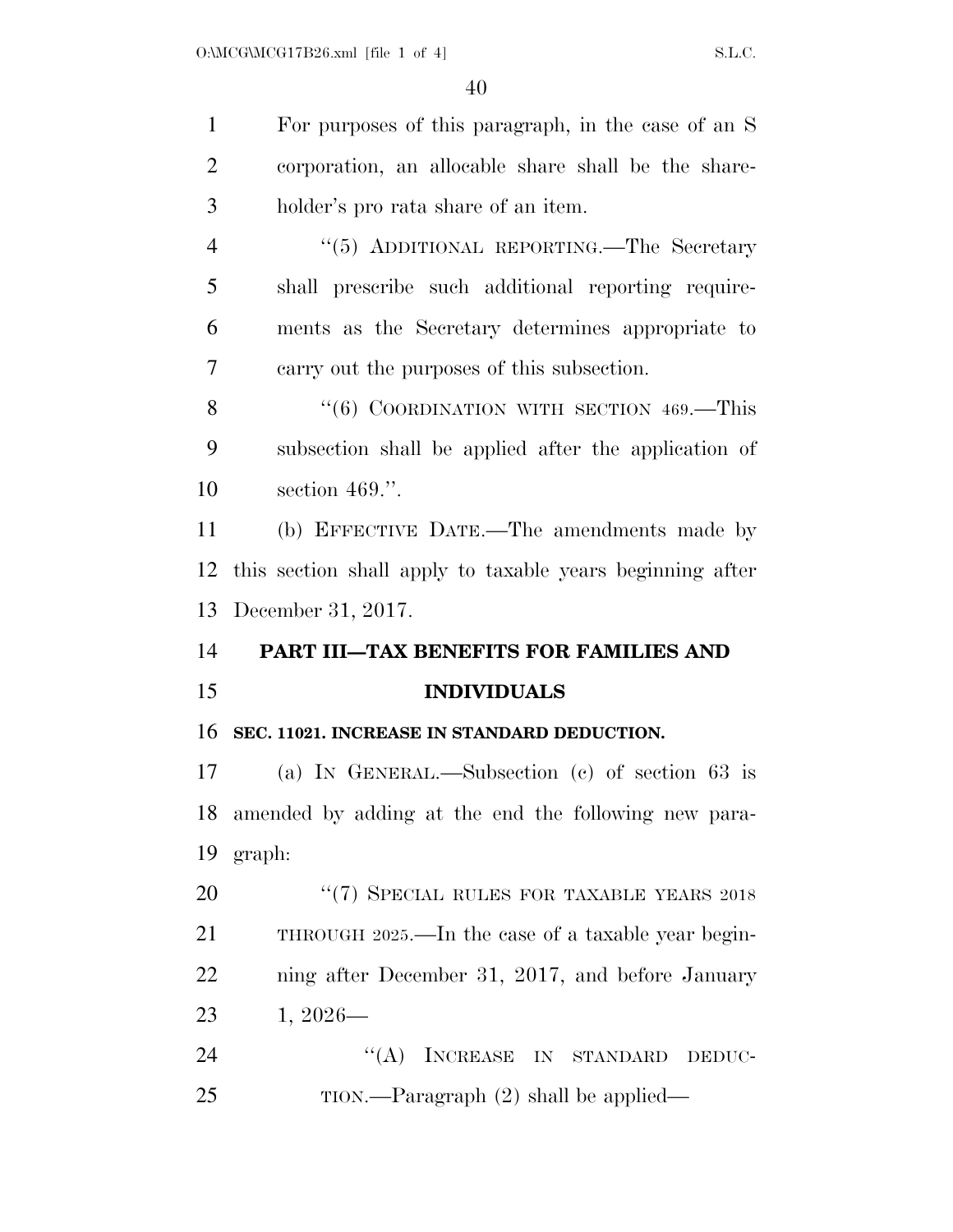For purposes of this paragraph, in the case of an S corporation, an allocable share shall be the share- holder's pro rata share of an item. 4 "(5) ADDITIONAL REPORTING.—The Secretary shall prescribe such additional reporting require- ments as the Secretary determines appropriate to carry out the purposes of this subsection. 8 "(6) COORDINATION WITH SECTION 469.—This subsection shall be applied after the application of section 469.''. (b) EFFECTIVE DATE.—The amendments made by this section shall apply to taxable years beginning after December 31, 2017. **PART III—TAX BENEFITS FOR FAMILIES AND INDIVIDUALS SEC. 11021. INCREASE IN STANDARD DEDUCTION.**  (a) IN GENERAL.—Subsection (c) of section 63 is amended by adding at the end the following new para- graph: 20 "(7) SPECIAL RULES FOR TAXABLE YEARS 2018

 THROUGH 2025.—In the case of a taxable year begin- ning after December 31, 2017, and before January 1, 2026—

24 "(A) INCREASE IN STANDARD DEDUC-25 TION.—Paragraph (2) shall be applied—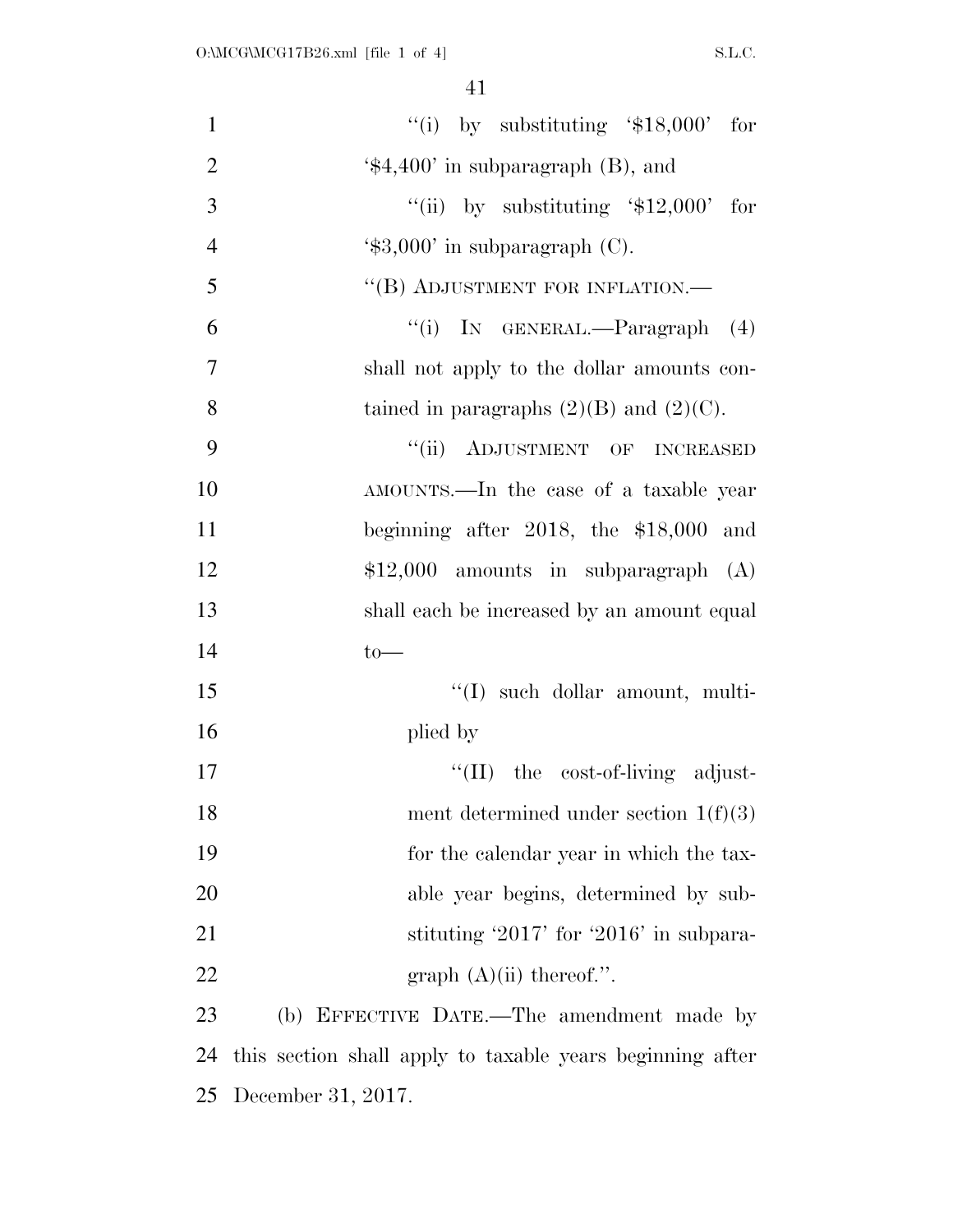| $\mathbf{1}$   | "(i) by substituting $$18,000$ " for                      |
|----------------|-----------------------------------------------------------|
| $\mathbf{2}$   | $\text{\textdegree{*}}4,400'$ in subparagraph (B), and    |
| $\overline{3}$ | "(ii) by substituting $\$12,000$ for                      |
| $\overline{4}$ | $\text{\textdegree{*}}3,000'$ in subparagraph (C).        |
| 5              | "(B) ADJUSTMENT FOR INFLATION.—                           |
| 6              | "(i) IN GENERAL.—Paragraph (4)                            |
| $\overline{7}$ | shall not apply to the dollar amounts con-                |
| 8              | tained in paragraphs $(2)(B)$ and $(2)(C)$ .              |
| 9              | "(ii) ADJUSTMENT OF INCREASED                             |
| 10             | AMOUNTS.—In the case of a taxable year                    |
| 11             | beginning after 2018, the $$18,000$ and                   |
| 12             | $$12,000$ amounts in subparagraph $(A)$                   |
| 13             | shall each be increased by an amount equal                |
| 14             | $to-$                                                     |
| 15             | $\lq\lq$ such dollar amount, multi-                       |
| 16             | plied by                                                  |
| 17             | "(II) the cost-of-living adjust-                          |
| 18             | ment determined under section $1(f)(3)$                   |
| 19             | for the calendar year in which the tax-                   |
| 20             | able year begins, determined by sub-                      |
| 21             | stituting '2017' for '2016' in subpara-                   |
| 22             | graph $(A)(ii)$ thereof.".                                |
| 23             | (b) EFFECTIVE DATE.—The amendment made by                 |
| 24             | this section shall apply to taxable years beginning after |
| 25             | December 31, 2017.                                        |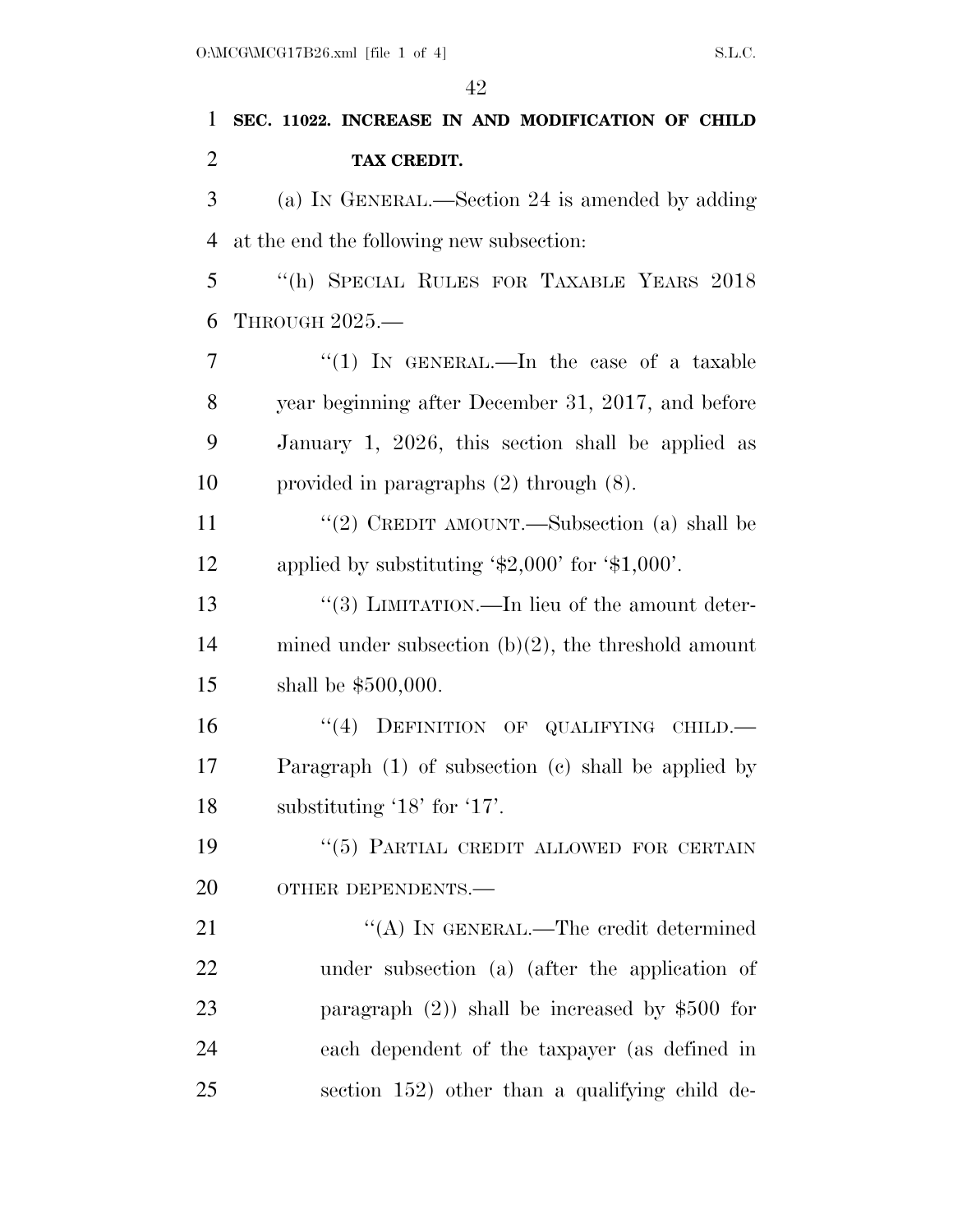| 1              | SEC. 11022. INCREASE IN AND MODIFICATION OF CHILD       |
|----------------|---------------------------------------------------------|
| $\overline{2}$ | TAX CREDIT.                                             |
| 3              | (a) IN GENERAL.—Section 24 is amended by adding         |
| $\overline{4}$ | at the end the following new subsection:                |
| 5              | "(h) SPECIAL RULES FOR TAXABLE YEARS 2018               |
| 6              | THROUGH 2025.-                                          |
| 7              | "(1) IN GENERAL.—In the case of a taxable               |
| 8              | year beginning after December 31, 2017, and before      |
| 9              | January 1, 2026, this section shall be applied as       |
| 10             | provided in paragraphs $(2)$ through $(8)$ .            |
| 11             | "(2) CREDIT AMOUNT.—Subsection (a) shall be             |
| 12             | applied by substituting $\$2,000'$ for $\$1,000'$ .     |
| 13             | "(3) LIMITATION.—In lieu of the amount deter-           |
| 14             | mined under subsection $(b)(2)$ , the threshold amount  |
| 15             | shall be $$500,000$ .                                   |
| 16             | "(4) DEFINITION OF QUALIFYING CHILD.-                   |
| 17             | Paragraph $(1)$ of subsection $(e)$ shall be applied by |
| 18             | substituting '18' for '17'.                             |
| 19             | "(5) PARTIAL CREDIT ALLOWED FOR CERTAIN                 |
| 20             | OTHER DEPENDENTS.-                                      |
| 21             | "(A) IN GENERAL.—The credit determined                  |
| 22             | under subsection (a) (after the application of          |
| 23             | paragraph $(2)$ ) shall be increased by \$500 for       |

each dependent of the taxpayer (as defined in

section 152) other than a qualifying child de-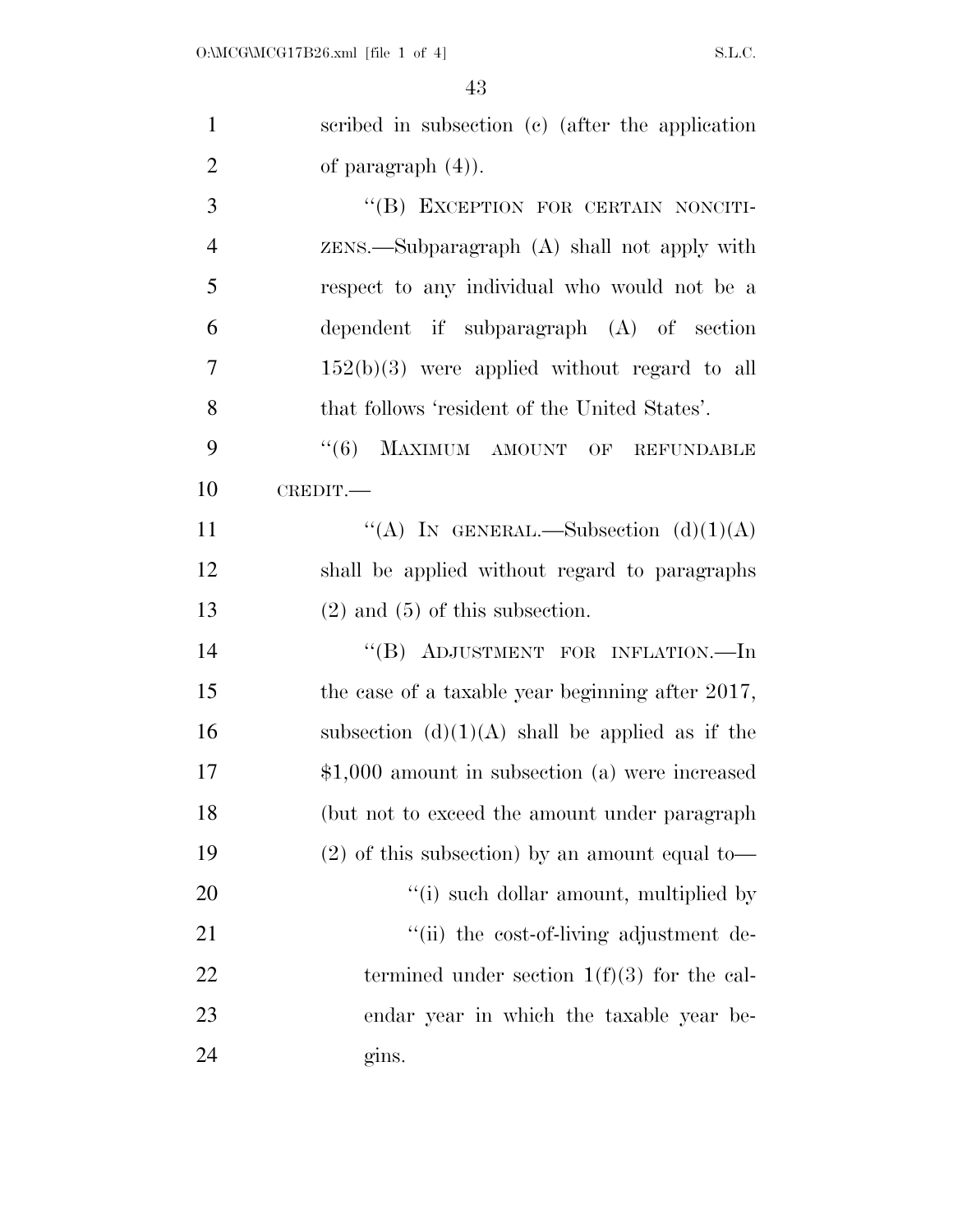| $\mathbf{1}$   | scribed in subsection (c) (after the application  |
|----------------|---------------------------------------------------|
| $\overline{2}$ | of paragraph $(4)$ ).                             |
| 3              | "(B) EXCEPTION FOR CERTAIN NONCITI-               |
| $\overline{4}$ | $ZENS$ . Subparagraph $(A)$ shall not apply with  |
| 5              | respect to any individual who would not be a      |
| 6              | dependent if subparagraph $(A)$ of section        |
| 7              | $152(b)(3)$ were applied without regard to all    |
| 8              | that follows 'resident of the United States'.     |
| 9              | $``(6)$ MAXIMUM AMOUNT OF<br><b>REFUNDABLE</b>    |
| 10             | CREDIT.-                                          |
| 11             | "(A) IN GENERAL.—Subsection $(d)(1)(A)$           |
| 12             | shall be applied without regard to paragraphs     |
| 13             | $(2)$ and $(5)$ of this subsection.               |
| 14             | "(B) ADJUSTMENT FOR INFLATION.-In                 |
| 15             | the case of a taxable year beginning after 2017,  |
| 16             | subsection $(d)(1)(A)$ shall be applied as if the |
| 17             | $$1,000$ amount in subsection (a) were increased  |
| 18             | (but not to exceed the amount under paragraph)    |
| 19             | $(2)$ of this subsection) by an amount equal to-  |
| 20             | "(i) such dollar amount, multiplied by            |
| 21             | "(ii) the cost-of-living adjustment de-           |
| 22             | termined under section $1(f)(3)$ for the cal-     |
| 23             | endar year in which the taxable year be-          |
| 24             | gins.                                             |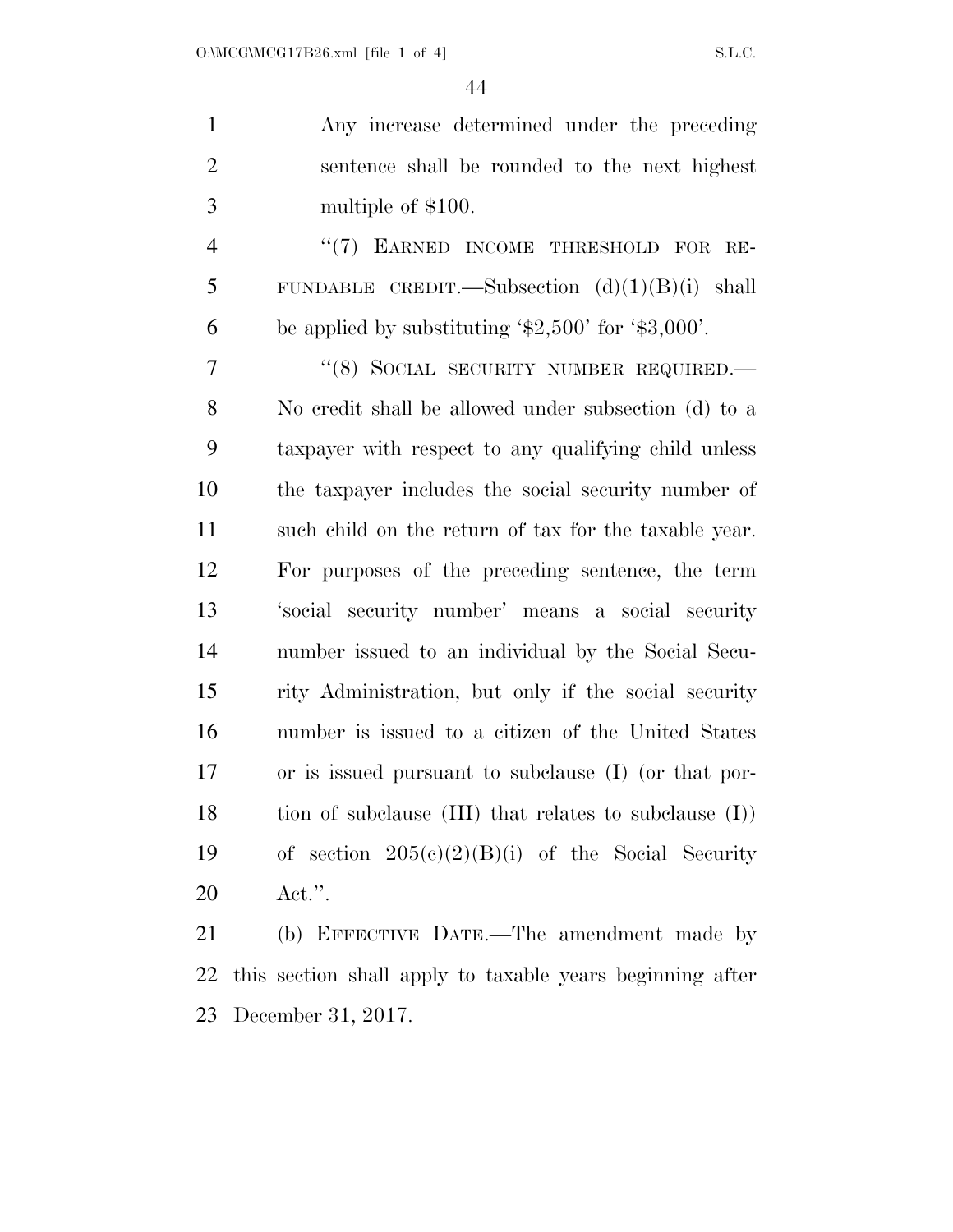| $\mathbf{1}$   | Any increase determined under the preceding                          |
|----------------|----------------------------------------------------------------------|
| $\mathfrak{2}$ | sentence shall be rounded to the next highest                        |
| 3              | multiple of \$100.                                                   |
| $\overline{4}$ | "(7) EARNED INCOME THRESHOLD FOR RE-                                 |
| 5              | FUNDABLE CREDIT.—Subsection $(d)(1)(B)(i)$ shall                     |
| 6              | be applied by substituting $\text{\$2,500'}$ for $\text{\$3,000'}$ . |
| $\overline{7}$ | "(8) SOCIAL SECURITY NUMBER REQUIRED.                                |
| 8              | No credit shall be allowed under subsection (d) to a                 |
| 9              | taxpayer with respect to any qualifying child unless                 |
| 10             | the taxpayer includes the social security number of                  |
| 11             | such child on the return of tax for the taxable year.                |
| 12             | For purposes of the preceding sentence, the term                     |
| 13             | 'social security number' means a social security                     |
| 14             | number issued to an individual by the Social Secu-                   |
| 15             | rity Administration, but only if the social security                 |
| 16             | number is issued to a citizen of the United States                   |
| 17             | or is issued pursuant to subclause (I) (or that por-                 |
| 18             | tion of subclause $(III)$ that relates to subclause $(I)$ )          |
| 19             | of section $205(c)(2)(B)(i)$ of the Social Security                  |
| 20             | $\text{Act."}.$                                                      |

 (b) EFFECTIVE DATE.—The amendment made by this section shall apply to taxable years beginning after December 31, 2017.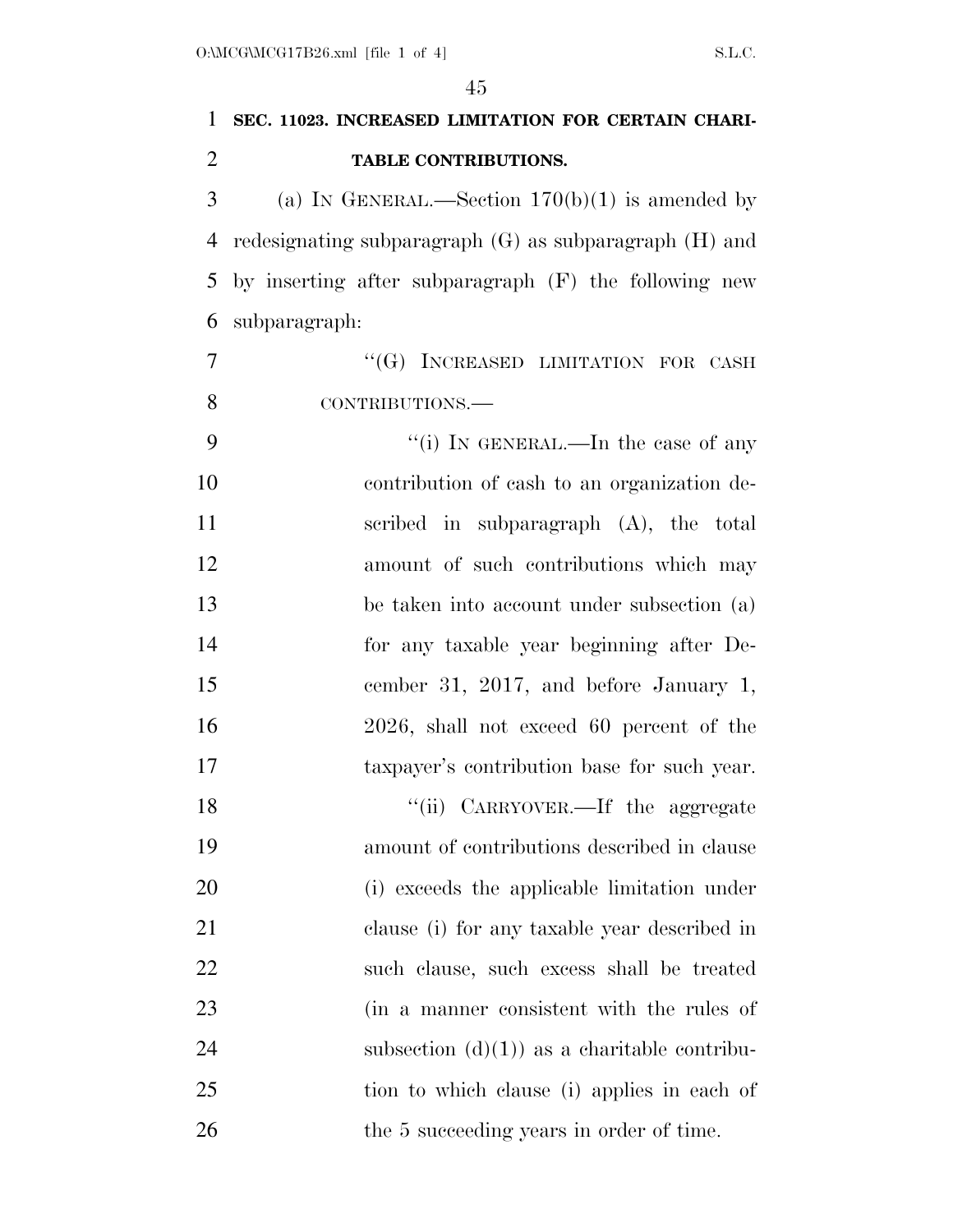| $\mathbf{1}$   | SEC. 11023. INCREASED LIMITATION FOR CERTAIN CHARI-        |
|----------------|------------------------------------------------------------|
| $\overline{2}$ | TABLE CONTRIBUTIONS.                                       |
| 3              | (a) IN GENERAL.—Section $170(b)(1)$ is amended by          |
| 4              | redesignating subparagraph $(G)$ as subparagraph $(H)$ and |
| 5              | by inserting after subparagraph (F) the following new      |
| 6              | subparagraph:                                              |
| $\overline{7}$ | "(G) INCREASED LIMITATION FOR CASH                         |
| 8              | CONTRIBUTIONS.-                                            |
| 9              | "(i) IN GENERAL.—In the case of any                        |
| 10             | contribution of cash to an organization de-                |
| 11             | scribed in subparagraph $(A)$ , the total                  |
| 12             | amount of such contributions which may                     |
| 13             | be taken into account under subsection (a)                 |
| 14             | for any taxable year beginning after De-                   |
| 15             | cember 31, 2017, and before January 1,                     |
| 16             | 2026, shall not exceed 60 percent of the                   |
| 17             | taxpayer's contribution base for such year.                |
| 18             | "(ii) CARRYOVER.—If the aggregate                          |
| 19             | amount of contributions described in clause                |
| 20             | (i) exceeds the applicable limitation under                |
| 21             | clause (i) for any taxable year described in               |
| 22             | such clause, such excess shall be treated                  |
| 23             | (in a manner consistent with the rules of                  |
| 24             | subsection $(d)(1)$ as a charitable contribu-              |
| 25             | tion to which clause (i) applies in each of                |
| 26             | the 5 succeeding years in order of time.                   |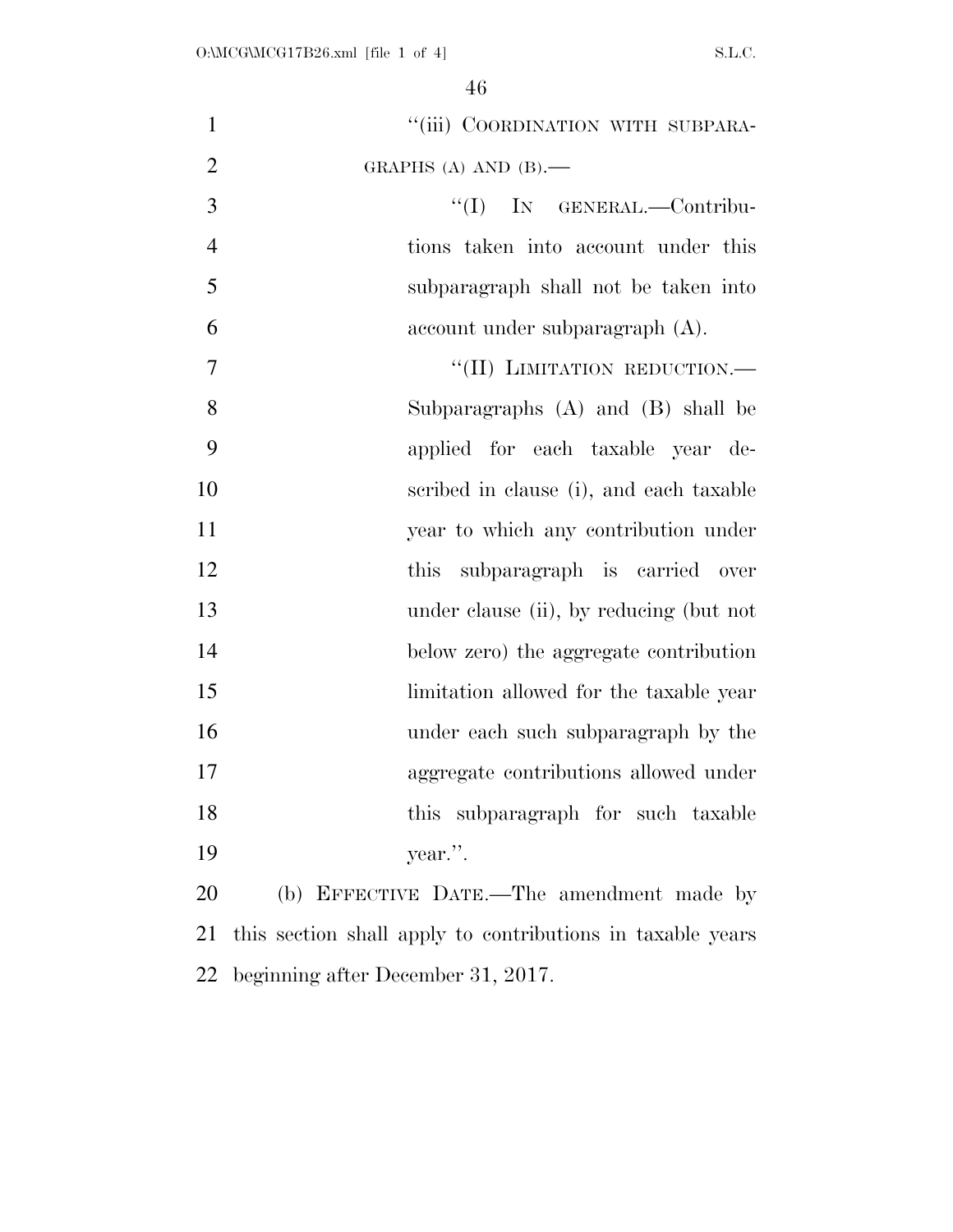| $\mathbf{1}$   | "(iii) COORDINATION WITH SUBPARA-                          |
|----------------|------------------------------------------------------------|
| $\overline{2}$ | GRAPHS (A) AND $(B)$ .                                     |
| $\overline{3}$ | $\lq\lq$ (I) IN GENERAL.—Contribu-                         |
| $\overline{4}$ | tions taken into account under this                        |
| 5              | subparagraph shall not be taken into                       |
| 6              | $account$ under subparagraph $(A)$ .                       |
| 7              | "(II) LIMITATION REDUCTION.-                               |
| 8              | Subparagraphs $(A)$ and $(B)$ shall be                     |
| 9              | applied for each taxable year de-                          |
| 10             | scribed in clause (i), and each taxable                    |
| 11             | year to which any contribution under                       |
| 12             | subparagraph is carried over<br>this                       |
| 13             | under clause (ii), by reducing (but not                    |
| 14             | below zero) the aggregate contribution                     |
| 15             | limitation allowed for the taxable year                    |
| 16             | under each such subparagraph by the                        |
| 17             | aggregate contributions allowed under                      |
| 18             | this subparagraph for such taxable                         |
| 19             | year.".                                                    |
| 20             | (b) EFFECTIVE DATE.—The amendment made by                  |
| 21             | this section shall apply to contributions in taxable years |
| 22             | beginning after December 31, 2017.                         |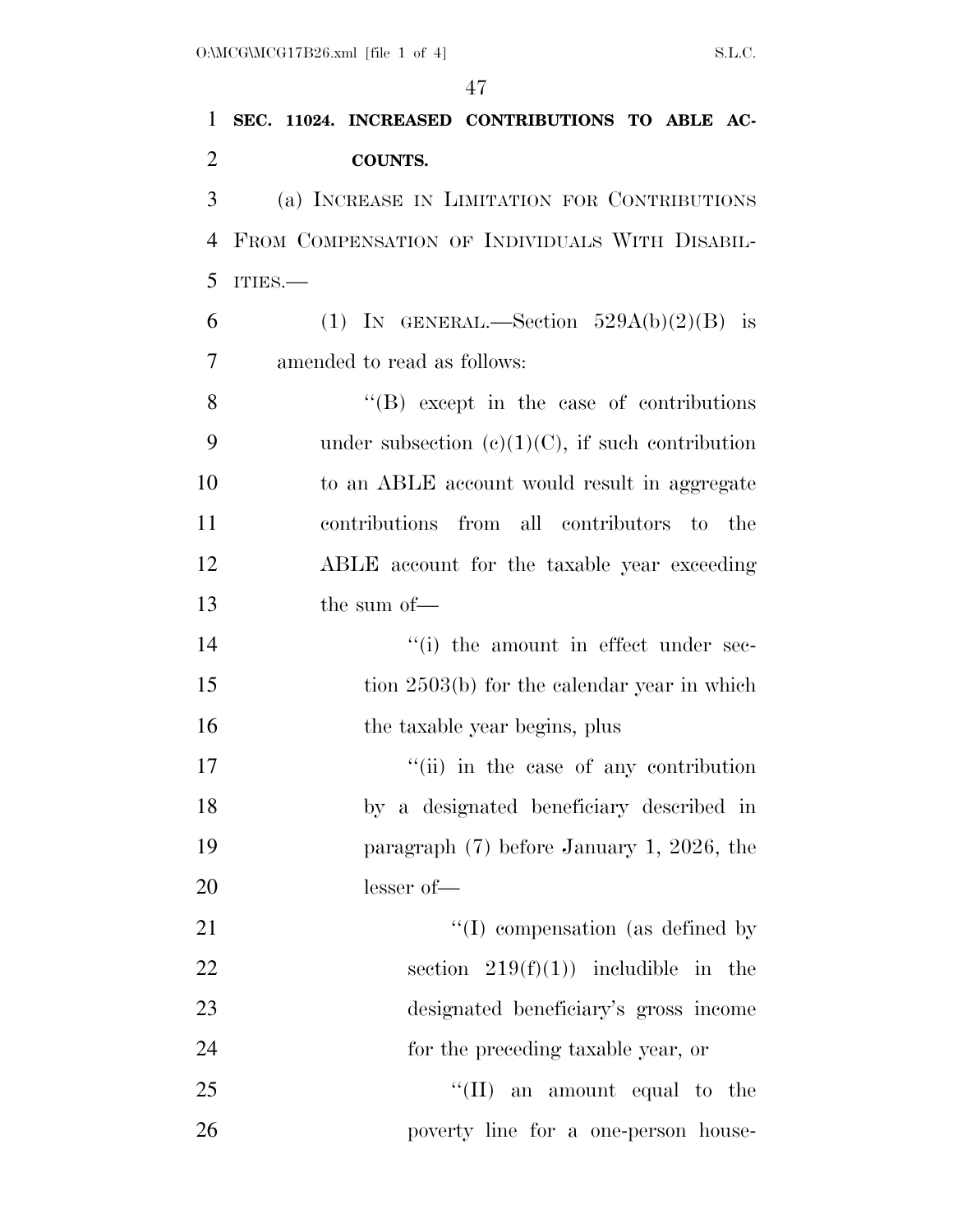| 1              | SEC. 11024. INCREASED CONTRIBUTIONS TO ABLE AC-  |
|----------------|--------------------------------------------------|
| $\overline{2}$ | <b>COUNTS.</b>                                   |
| 3              | (a) INCREASE IN LIMITATION FOR CONTRIBUTIONS     |
| 4              | FROM COMPENSATION OF INDIVIDUALS WITH DISABIL-   |
| 5              | ITIES.                                           |
| 6              | (1) IN GENERAL.—Section $529A(b)(2)(B)$ is       |
| 7              | amended to read as follows:                      |
| 8              | $\lq\lq (B)$ except in the case of contributions |
| 9              | under subsection (c)(1)(C), if such contribution |
| 10             | to an ABLE account would result in aggregate     |
| 11             | contributions from all contributors to the       |
| 12             | ABLE account for the taxable year exceeding      |
| 13             | the sum of-                                      |
| 14             | "(i) the amount in effect under sec-             |
| 15             | tion $2503(b)$ for the calendar year in which    |
| 16             | the taxable year begins, plus                    |
| 17             | "(ii) in the case of any contribution            |
| 18             | by a designated beneficiary described in         |
| 19             | paragraph $(7)$ before January 1, 2026, the      |
| 20             | lesser of-                                       |
| 21             | $\lq\lq$ (I) compensation (as defined by         |
| 22             | section $219(f)(1)$ includible in the            |
| 23             | designated beneficiary's gross income            |
| 24             | for the preceding taxable year, or               |
| 25             | $\lq\lq$ (II) an amount equal to the             |
| 26             | poverty line for a one-person house-             |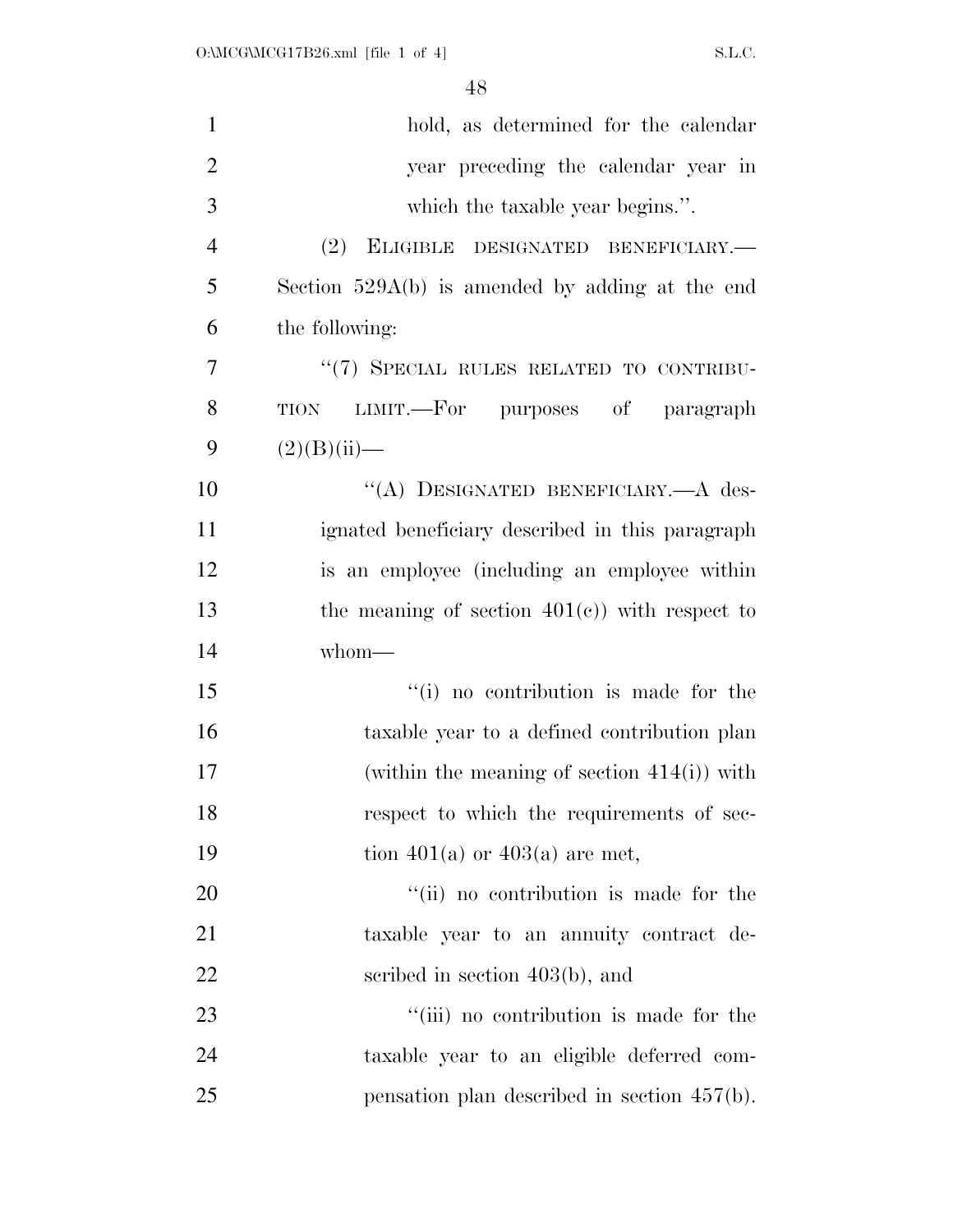| $\mathbf{1}$   | hold, as determined for the calendar              |
|----------------|---------------------------------------------------|
| $\overline{2}$ | year preceding the calendar year in               |
| 3              | which the taxable year begins.".                  |
| $\overline{4}$ | (2)<br>ELIGIBLE DESIGNATED BENEFICIARY.-          |
| 5              | Section $529A(b)$ is amended by adding at the end |
| 6              | the following:                                    |
| $\overline{7}$ | "(7) SPECIAL RULES RELATED TO CONTRIBU-           |
| 8              | LIMIT.—For purposes of paragraph<br><b>TION</b>   |
| 9              | $(2)(B)(ii)$ —                                    |
| 10             | "(A) DESIGNATED BENEFICIARY.- A des-              |
| 11             | ignated beneficiary described in this paragraph   |
| 12             | is an employee (including an employee within      |
| 13             | the meaning of section $401(e)$ with respect to   |
| 14             | whom-                                             |
| 15             | "(i) no contribution is made for the              |
| 16             | taxable year to a defined contribution plan       |
| 17             | (within the meaning of section $414(i)$ ) with    |
| 18             | respect to which the requirements of sec-         |
| 19             | tion 401(a) or 403(a) are met,                    |
| 20             | "(ii) no contribution is made for the             |
| 21             | taxable year to an annuity contract de-           |
| 22             | scribed in section $403(b)$ , and                 |
| 23             | "(iii) no contribution is made for the            |
| 24             | taxable year to an eligible deferred com-         |
| 25             | pensation plan described in section $457(b)$ .    |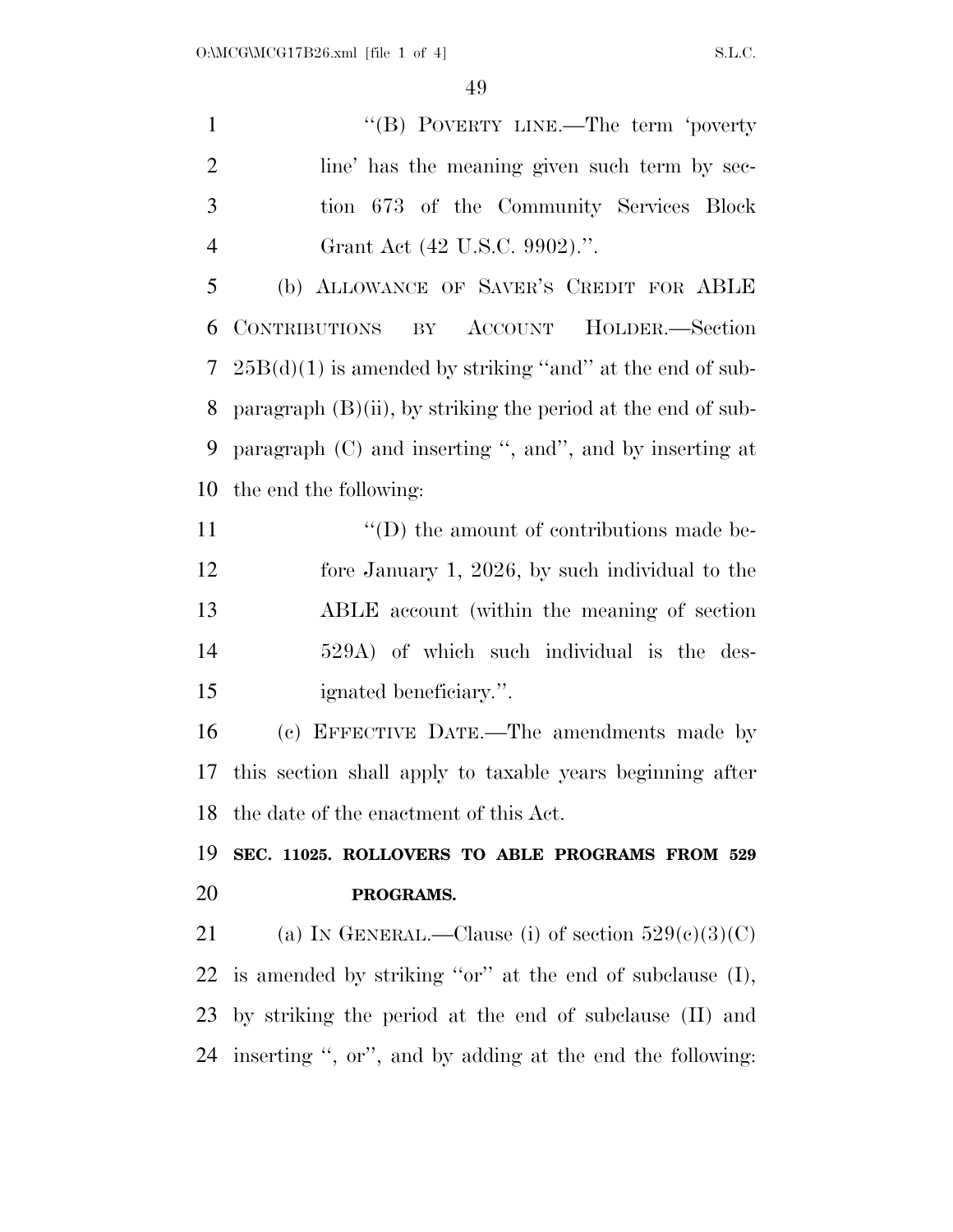1 ''(B) POVERTY LINE.—The term 'poverty 2 line' has the meaning given such term by sec- tion 673 of the Community Services Block Grant Act (42 U.S.C. 9902).''.

 (b) ALLOWANCE OF SAVER'S CREDIT FOR ABLE CONTRIBUTIONS BY ACCOUNT HOLDER.—Section  $25B(d)(1)$  is amended by striking "and" at the end of sub- paragraph (B)(ii), by striking the period at the end of sub- paragraph (C) and inserting '', and'', and by inserting at the end the following:

 $\langle (D)$  the amount of contributions made be- fore January 1, 2026, by such individual to the ABLE account (within the meaning of section 529A) of which such individual is the des-ignated beneficiary.''.

 (c) EFFECTIVE DATE.—The amendments made by this section shall apply to taxable years beginning after the date of the enactment of this Act.

 **SEC. 11025. ROLLOVERS TO ABLE PROGRAMS FROM 529 PROGRAMS.** 

21 (a) IN GENERAL.—Clause (i) of section  $529(e)(3)(C)$  is amended by striking ''or'' at the end of subclause (I), by striking the period at the end of subclause (II) and inserting '', or'', and by adding at the end the following: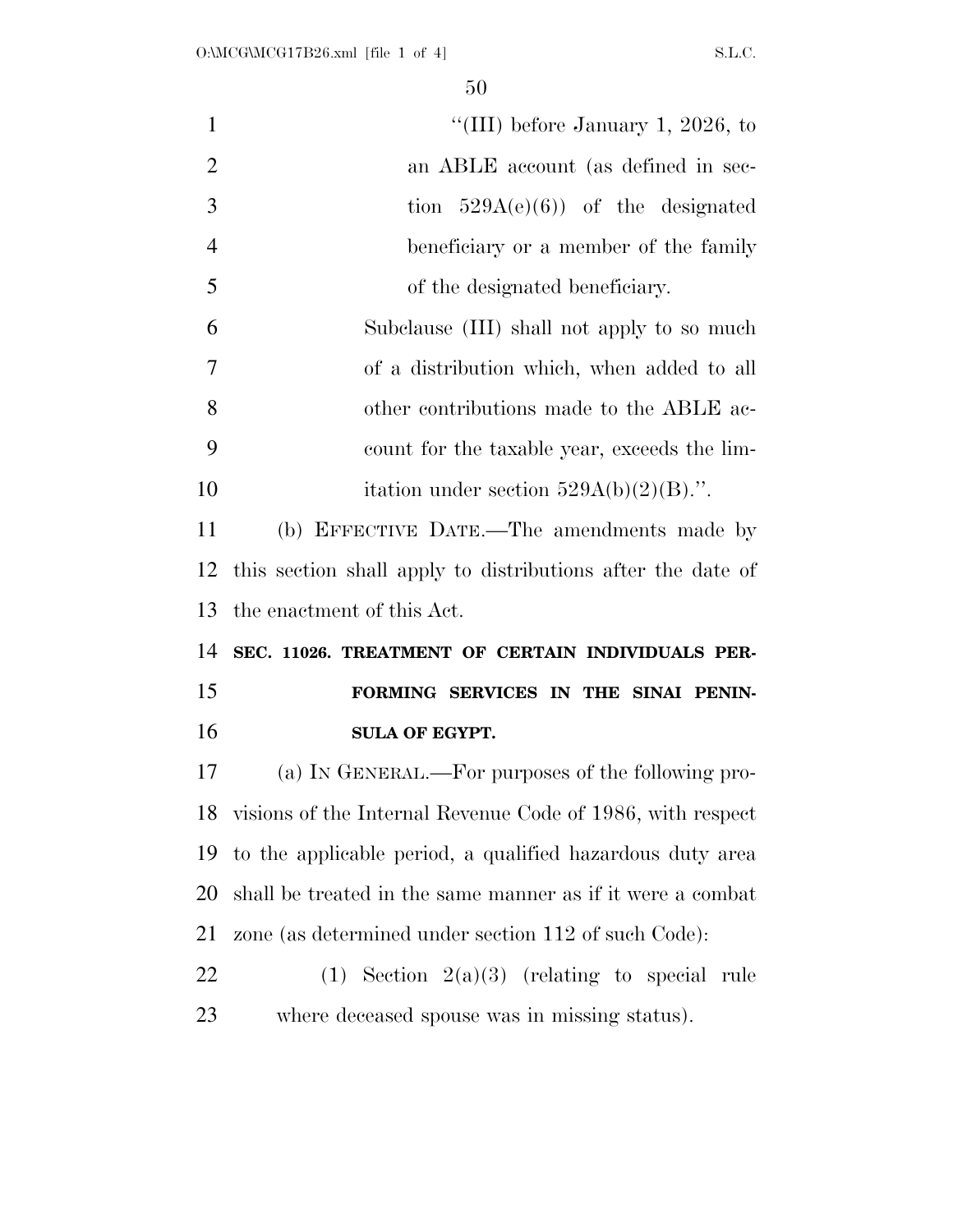| $\mathbf{1}$   | "(III) before January 1, 2026, to                           |
|----------------|-------------------------------------------------------------|
| $\overline{2}$ | an ABLE account (as defined in sec-                         |
| 3              | tion $529A(e)(6)$ of the designated                         |
| $\overline{4}$ | beneficiary or a member of the family                       |
| 5              | of the designated beneficiary.                              |
| 6              | Subclause (III) shall not apply to so much                  |
| $\overline{7}$ | of a distribution which, when added to all                  |
| 8              | other contributions made to the ABLE ac-                    |
| 9              | count for the taxable year, exceeds the lim-                |
| 10             | itation under section $529A(b)(2)(B)$ .".                   |
| 11             | (b) EFFECTIVE DATE.—The amendments made by                  |
| 12             | this section shall apply to distributions after the date of |
| 13             | the enactment of this Act.                                  |
| 14             | SEC. 11026. TREATMENT OF CERTAIN INDIVIDUALS PER-           |
| 15             | FORMING SERVICES IN THE SINAI PENIN-                        |
| 16             | <b>SULA OF EGYPT.</b>                                       |
| 17             | (a) IN GENERAL.—For purposes of the following pro-          |
| 18             | visions of the Internal Revenue Code of 1986, with respect  |
| 19             | to the applicable period, a qualified hazardous duty area   |
| 20             | shall be treated in the same manner as if it were a combat  |
| 21             | zone (as determined under section 112 of such Code):        |
| 22             | (1) Section $2(a)(3)$ (relating to special rule             |
| 23             |                                                             |
|                | where deceased spouse was in missing status).               |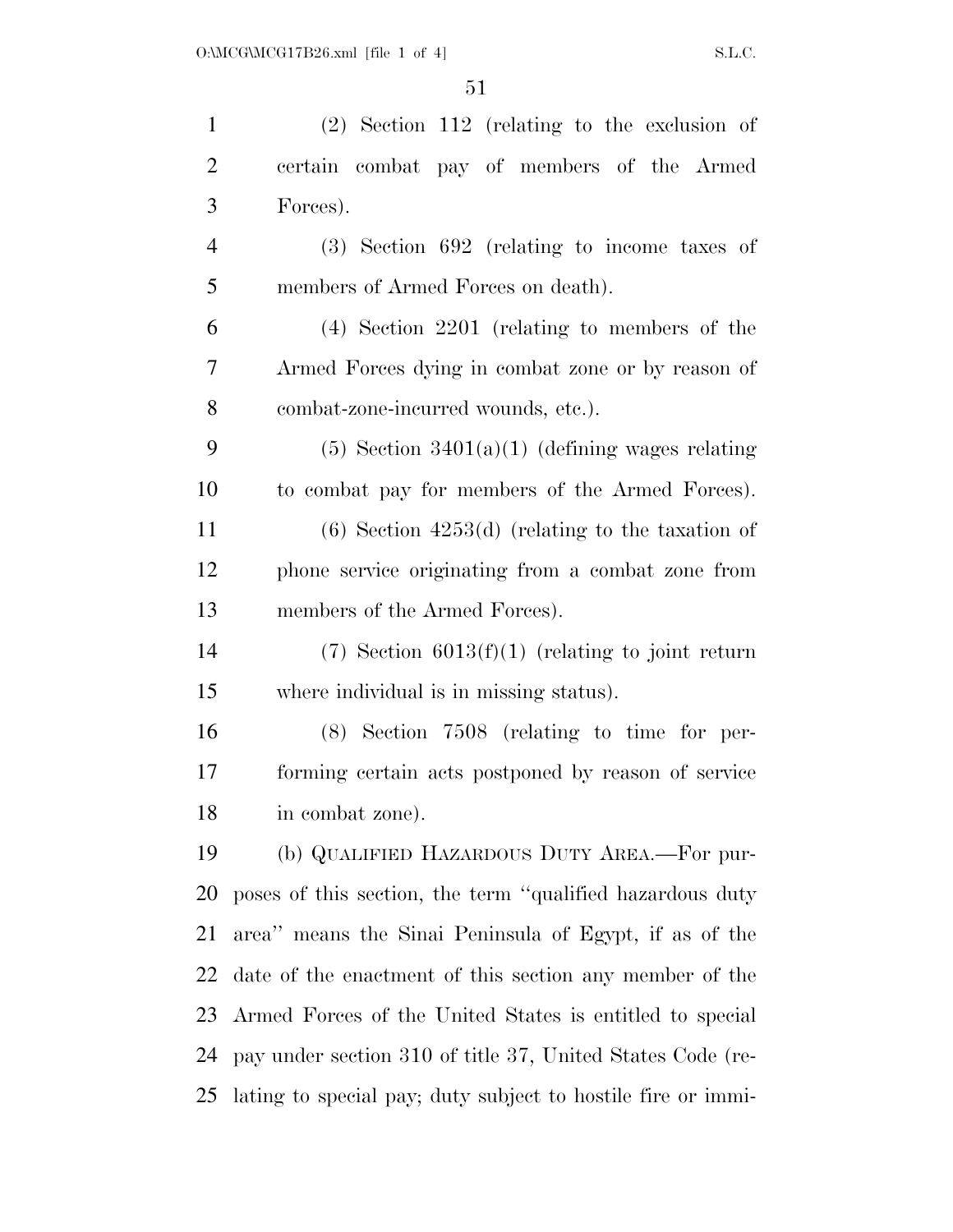| $\mathbf{1}$   | $(2)$ Section 112 (relating to the exclusion of              |
|----------------|--------------------------------------------------------------|
| $\overline{2}$ | certain combat pay of members of the Armed                   |
| 3              | Forces).                                                     |
| $\overline{4}$ | $(3)$ Section 692 (relating to income taxes of               |
| 5              | members of Armed Forces on death).                           |
| 6              | $(4)$ Section 2201 (relating to members of the               |
| 7              | Armed Forces dying in combat zone or by reason of            |
| 8              | combat-zone-incurred wounds, etc.).                          |
| 9              | $(5)$ Section 3401(a)(1) (defining wages relating            |
| 10             | to combat pay for members of the Armed Forces).              |
| 11             | $(6)$ Section 4253 $(d)$ (relating to the taxation of        |
| 12             | phone service originating from a combat zone from            |
| 13             | members of the Armed Forces).                                |
| 14             | $(7)$ Section 6013(f)(1) (relating to joint return           |
| 15             | where individual is in missing status).                      |
| 16             | $(8)$ Section 7508 (relating to time for per-                |
| 17             | forming certain acts postponed by reason of service          |
| 18             | in combat zone).                                             |
| 19             | (b) QUALIFIED HAZARDOUS DUTY AREA.-For pur-                  |
| 20             | poses of this section, the term "qualified hazardous duty"   |
| 21             | area" means the Sinai Peninsula of Egypt, if as of the       |
| 22             | date of the enactment of this section any member of the      |
| 23             | Armed Forces of the United States is entitled to special     |
| 24             | pay under section 310 of title 37, United States Code (re-   |
| 25             | lating to special pay; duty subject to hostile fire or immi- |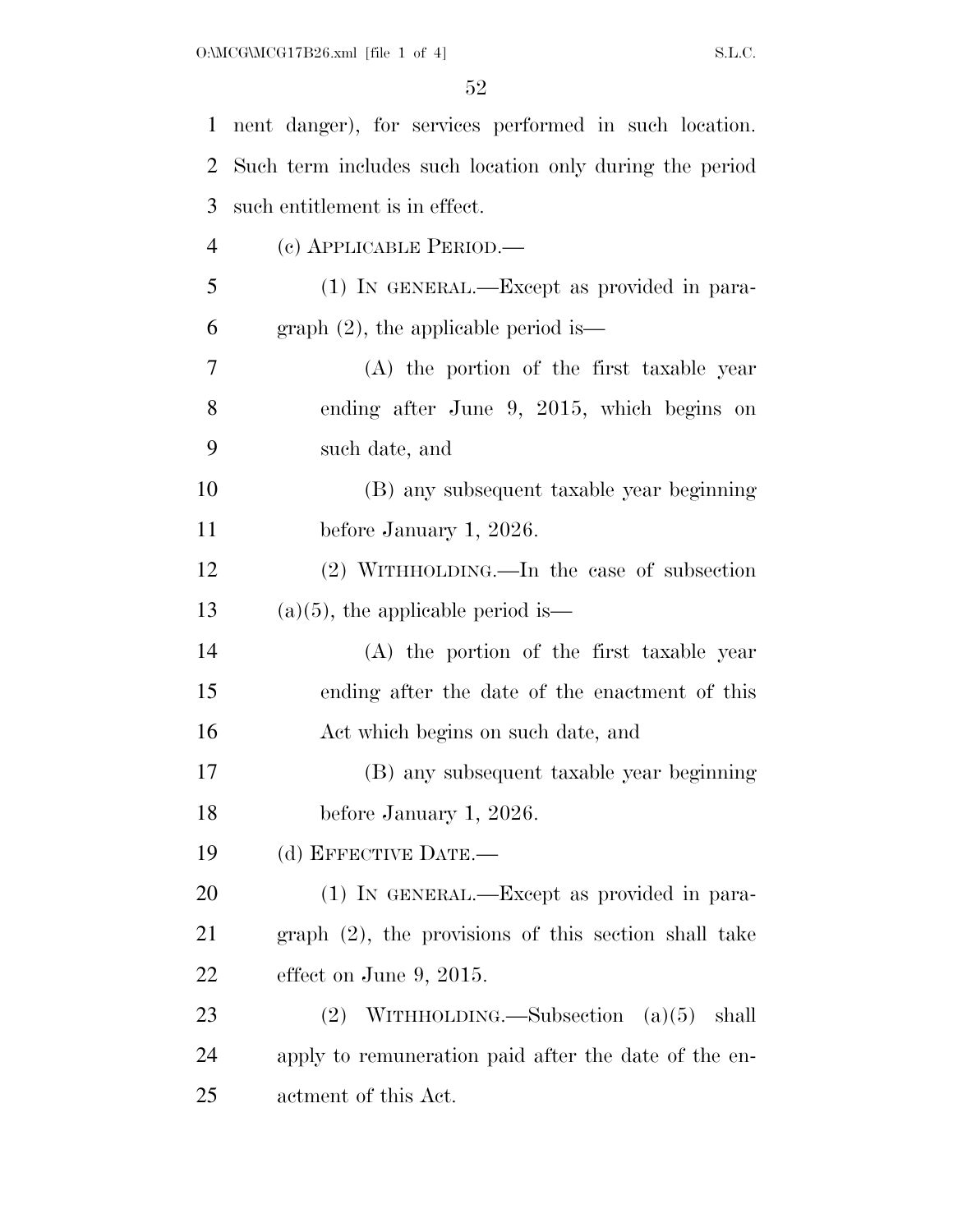| $\mathbf 1$    | nent danger), for services performed in such location.  |
|----------------|---------------------------------------------------------|
| 2              | Such term includes such location only during the period |
| 3              | such entitlement is in effect.                          |
| $\overline{4}$ | (c) APPLICABLE PERIOD.—                                 |
| 5              | (1) IN GENERAL.—Except as provided in para-             |
| 6              | graph $(2)$ , the applicable period is—                 |
| 7              | (A) the portion of the first taxable year               |
| 8              | ending after June 9, 2015, which begins on              |
| 9              | such date, and                                          |
| 10             | (B) any subsequent taxable year beginning               |
| 11             | before January 1, 2026.                                 |
| 12             | $(2)$ WITHHOLDING.—In the case of subsection            |
| 13             | $(a)(5)$ , the applicable period is—                    |
| 14             | (A) the portion of the first taxable year               |
| 15             | ending after the date of the enactment of this          |
| 16             | Act which begins on such date, and                      |
| 17             | (B) any subsequent taxable year beginning               |
| 18             | before January 1, 2026.                                 |
| 19             | (d) EFFECTIVE DATE.—                                    |
| 20             | (1) IN GENERAL.—Except as provided in para-             |
| 21             | graph (2), the provisions of this section shall take    |
| 22             | effect on June 9, 2015.                                 |
| 23             | WITHHOLDING.—Subsection $(a)(5)$<br>(2)<br>shall        |
| 24             | apply to remuneration paid after the date of the en-    |
| 25             | actment of this Act.                                    |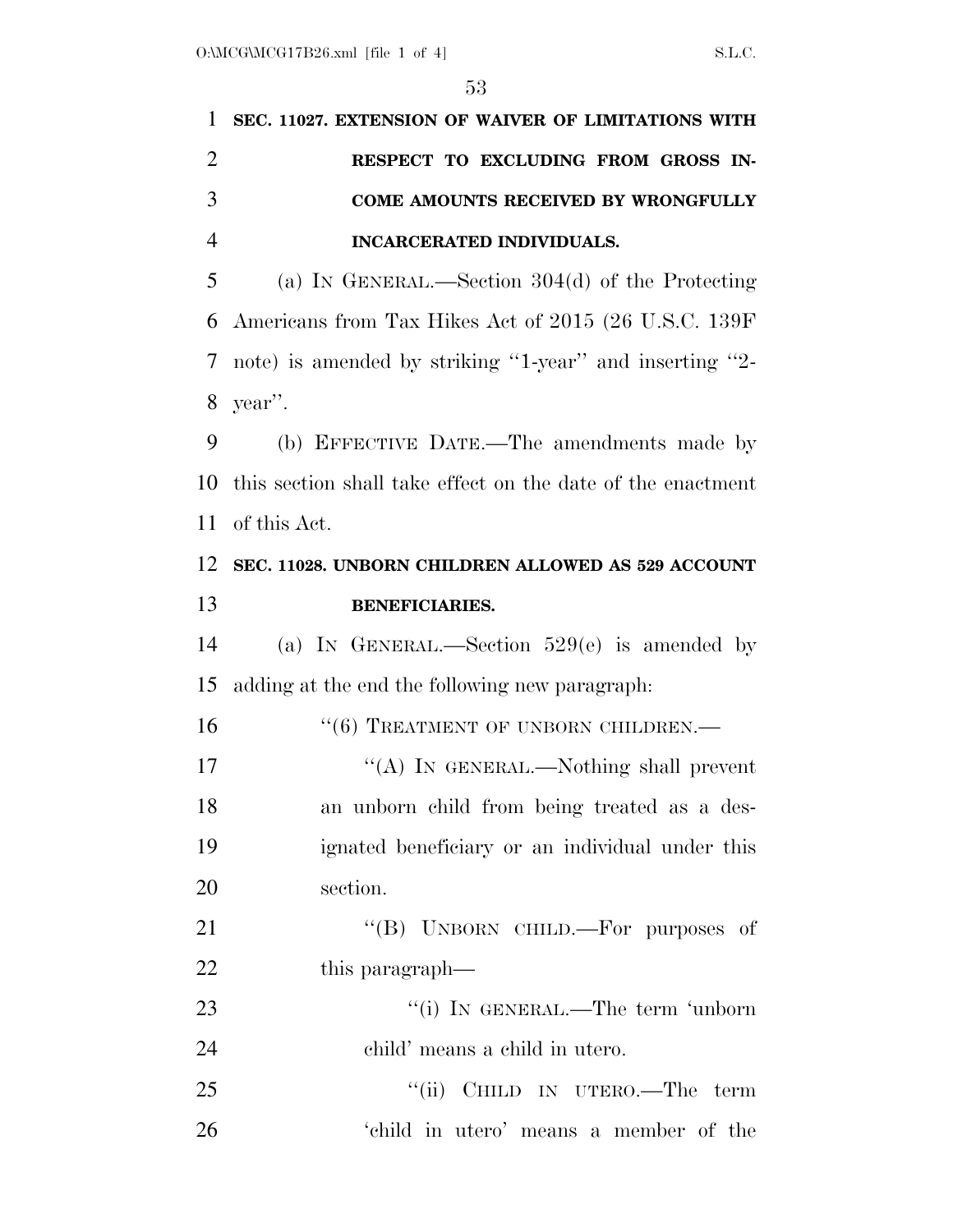| 1              | SEC. 11027. EXTENSION OF WAIVER OF LIMITATIONS WITH         |
|----------------|-------------------------------------------------------------|
| $\overline{2}$ | RESPECT TO EXCLUDING FROM GROSS IN-                         |
| 3              | COME AMOUNTS RECEIVED BY WRONGFULLY                         |
| $\overline{4}$ | INCARCERATED INDIVIDUALS.                                   |
| 5              | (a) IN GENERAL.—Section $304(d)$ of the Protecting          |
| 6              | Americans from Tax Hikes Act of 2015 (26 U.S.C. 139F)       |
| 7              | note) is amended by striking "1-year" and inserting "2-     |
| 8              | year".                                                      |
| 9              | (b) EFFECTIVE DATE.—The amendments made by                  |
| 10             | this section shall take effect on the date of the enactment |
| 11             | of this Act.                                                |
| 12             | SEC. 11028. UNBORN CHILDREN ALLOWED AS 529 ACCOUNT          |
| 13             | <b>BENEFICIARIES.</b>                                       |
|                |                                                             |
| 14             | (a) IN GENERAL.—Section $529(e)$ is amended by              |
| 15             | adding at the end the following new paragraph:              |
| 16             | $``(6)$ TREATMENT OF UNBORN CHILDREN.—                      |
| 17             | "(A) IN GENERAL.—Nothing shall prevent                      |
| 18             | an unborn child from being treated as a des-                |
|                | ignated beneficiary or an individual under this             |
|                | section.                                                    |
| 19<br>20<br>21 | "(B) UNBORN CHILD.—For purposes of                          |
| 22             | this paragraph—                                             |
| 23             | "(i) IN GENERAL.—The term 'unborn                           |
| 24             | child' means a child in utero.                              |
| 25             | "(ii) CHILD IN UTERO.—The term                              |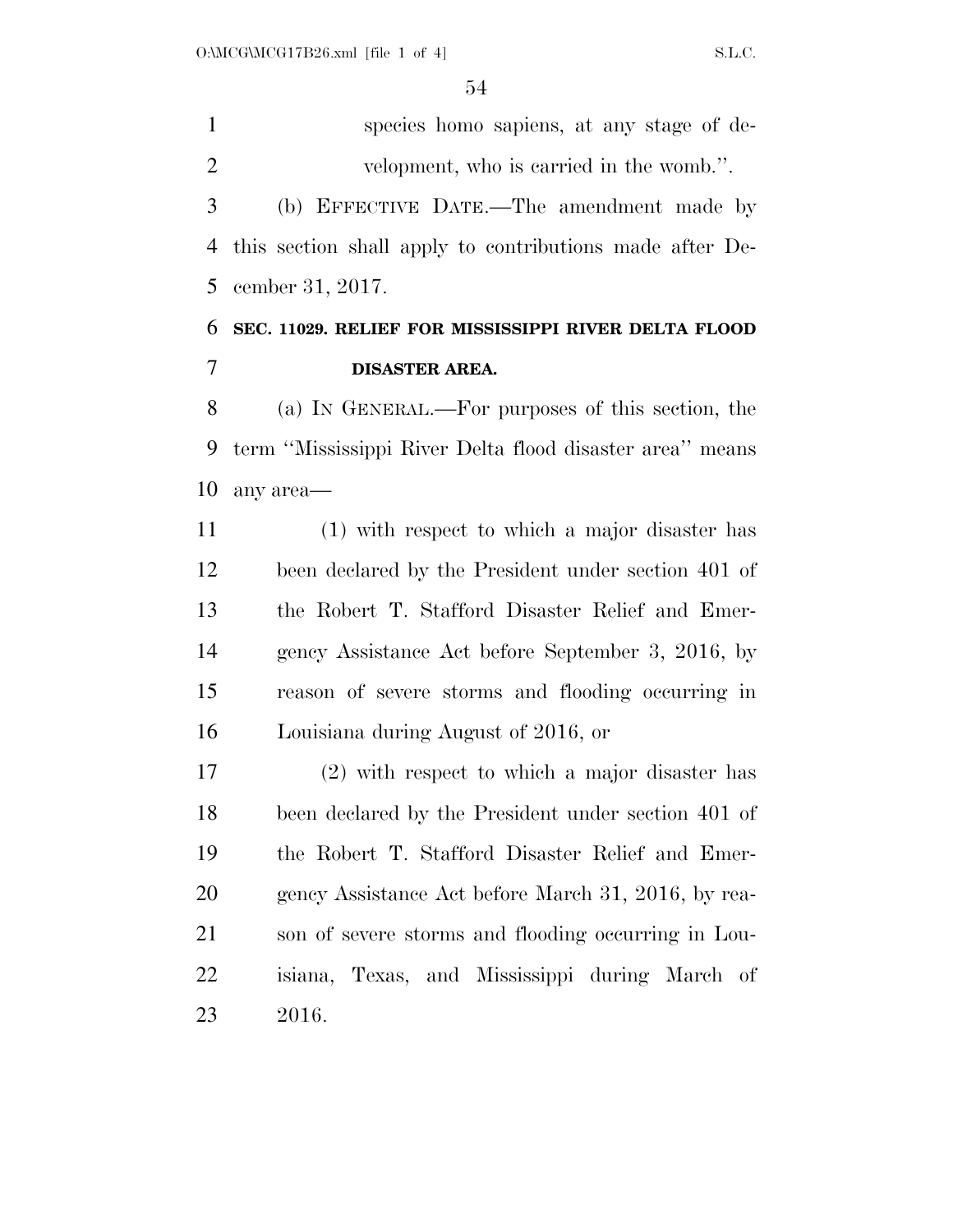species homo sapiens, at any stage of de- velopment, who is carried in the womb.''. (b) EFFECTIVE DATE.—The amendment made by this section shall apply to contributions made after De-cember 31, 2017.

## **SEC. 11029. RELIEF FOR MISSISSIPPI RIVER DELTA FLOOD DISASTER AREA.**

 (a) IN GENERAL.—For purposes of this section, the term ''Mississippi River Delta flood disaster area'' means any area—

 (1) with respect to which a major disaster has been declared by the President under section 401 of the Robert T. Stafford Disaster Relief and Emer- gency Assistance Act before September 3, 2016, by reason of severe storms and flooding occurring in Louisiana during August of 2016, or

 (2) with respect to which a major disaster has been declared by the President under section 401 of the Robert T. Stafford Disaster Relief and Emer-20 gency Assistance Act before March 31, 2016, by rea- son of severe storms and flooding occurring in Lou- isiana, Texas, and Mississippi during March of 2016.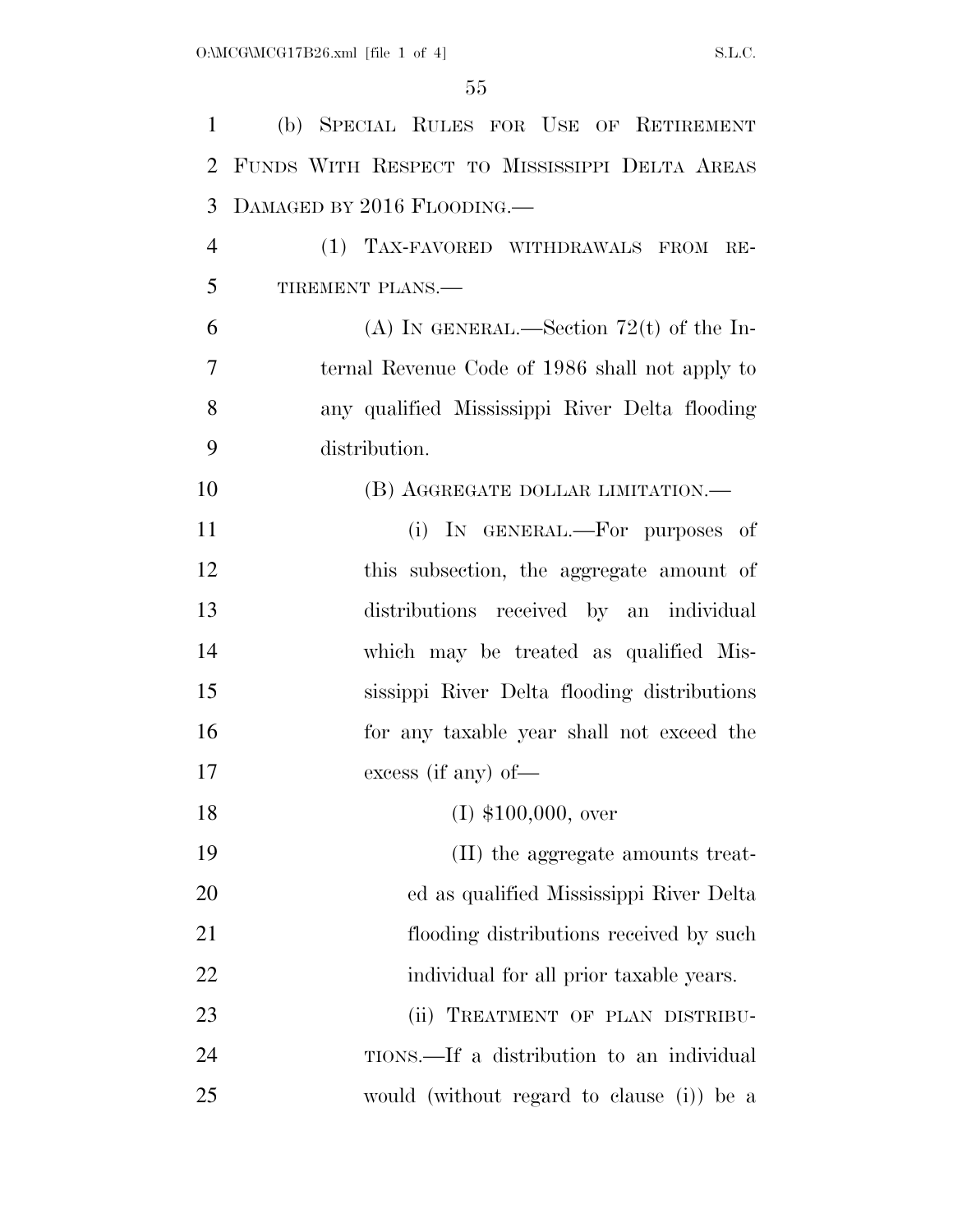| $\mathbf{1}$   | (b) SPECIAL RULES FOR USE OF RETIREMENT        |
|----------------|------------------------------------------------|
| $\overline{2}$ | FUNDS WITH RESPECT TO MISSISSIPPI DELTA AREAS  |
| 3              | DAMAGED BY 2016 FLOODING.                      |
| $\overline{4}$ | (1) TAX-FAVORED WITHDRAWALS FROM<br>$RE-$      |
| 5              | TIREMENT PLANS.-                               |
| 6              | (A) IN GENERAL.—Section 72(t) of the In-       |
| 7              | ternal Revenue Code of 1986 shall not apply to |
| 8              | any qualified Mississippi River Delta flooding |
| 9              | distribution.                                  |
| 10             | (B) AGGREGATE DOLLAR LIMITATION.—              |
| 11             | (i) IN GENERAL.—For purposes of                |
| 12             | this subsection, the aggregate amount of       |
| 13             | distributions received by an individual        |
| 14             | which may be treated as qualified Mis-         |
| 15             | sissippi River Delta flooding distributions    |
| 16             | for any taxable year shall not exceed the      |
| 17             | excess (if any) of $-$                         |
| 18             | $(I)$ \$100,000, over                          |
| 19             | (II) the aggregate amounts treat-              |
| 20             | ed as qualified Mississippi River Delta        |
| 21             | flooding distributions received by such        |
| 22             | individual for all prior taxable years.        |
| 23             | (ii) TREATMENT OF PLAN DISTRIBU-               |
| 24             | TIONS.—If a distribution to an individual      |
| 25             | would (without regard to clause (i)) be a      |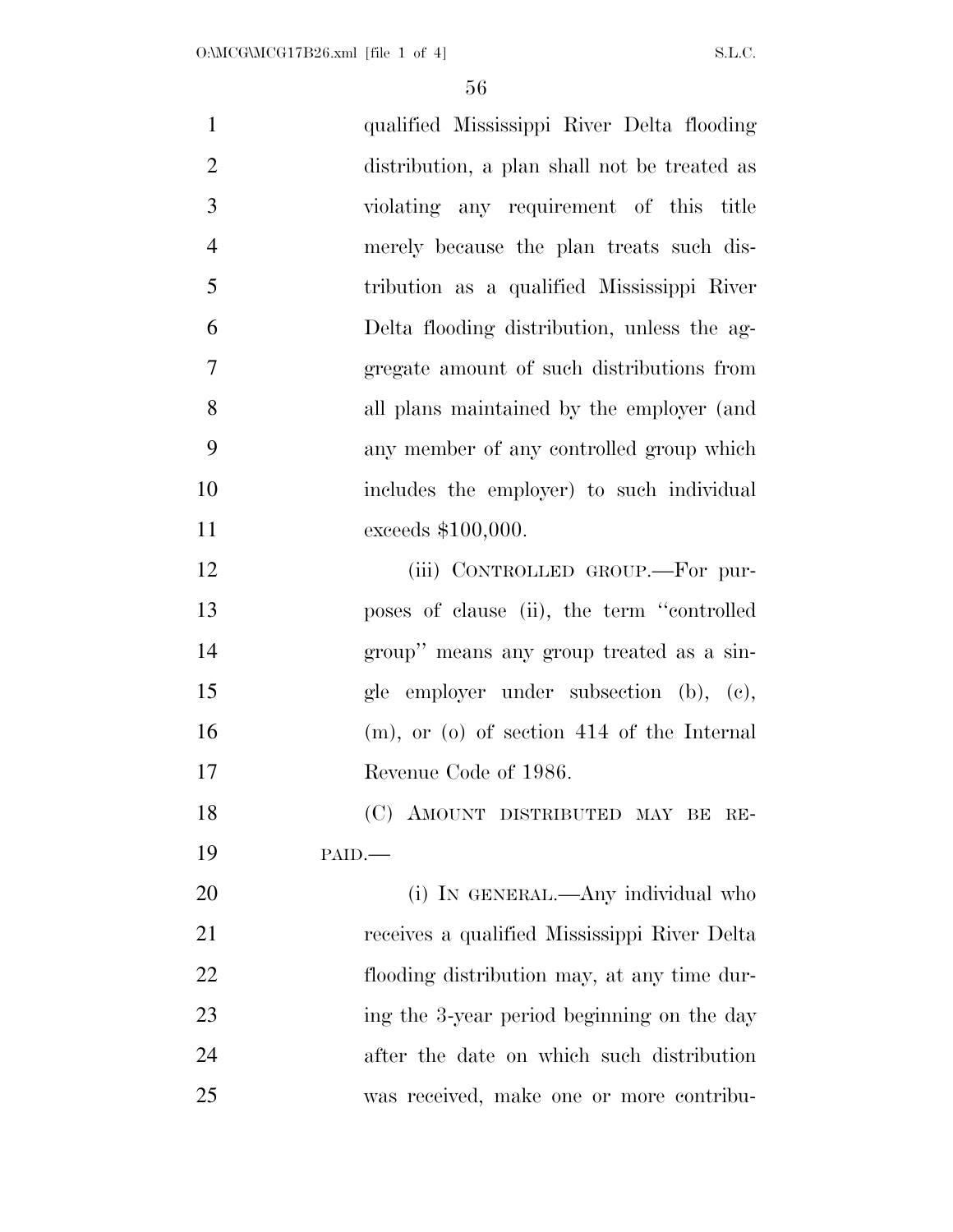| $\mathbf{1}$   | qualified Mississippi River Delta flooding      |
|----------------|-------------------------------------------------|
| $\mathbf{2}$   | distribution, a plan shall not be treated as    |
| 3              | violating any requirement of this title         |
| $\overline{4}$ | merely because the plan treats such dis-        |
| 5              | tribution as a qualified Mississippi River      |
| 6              | Delta flooding distribution, unless the ag-     |
| 7              | gregate amount of such distributions from       |
| 8              | all plans maintained by the employer (and       |
| 9              | any member of any controlled group which        |
| 10             | includes the employer) to such individual       |
| 11             | exceeds \$100,000.                              |
| 12             | (iii) CONTROLLED GROUP.-For pur-                |
| 13             | poses of clause (ii), the term "controlled"     |
| 14             | group" means any group treated as a sin-        |
| 15             | gle employer under subsection (b), (c),         |
| 16             | $(m)$ , or $(o)$ of section 414 of the Internal |
| 17             | Revenue Code of 1986.                           |
| 18             | (C) AMOUNT DISTRIBUTED MAY BE RE-               |
| 19             | PAID.                                           |
| 20             | (i) IN GENERAL.—Any individual who              |
| 21             | receives a qualified Mississippi River Delta    |
| 22             | flooding distribution may, at any time dur-     |
| 23             | ing the 3-year period beginning on the day      |
| 24             | after the date on which such distribution       |
| 25             | was received, make one or more contribu-        |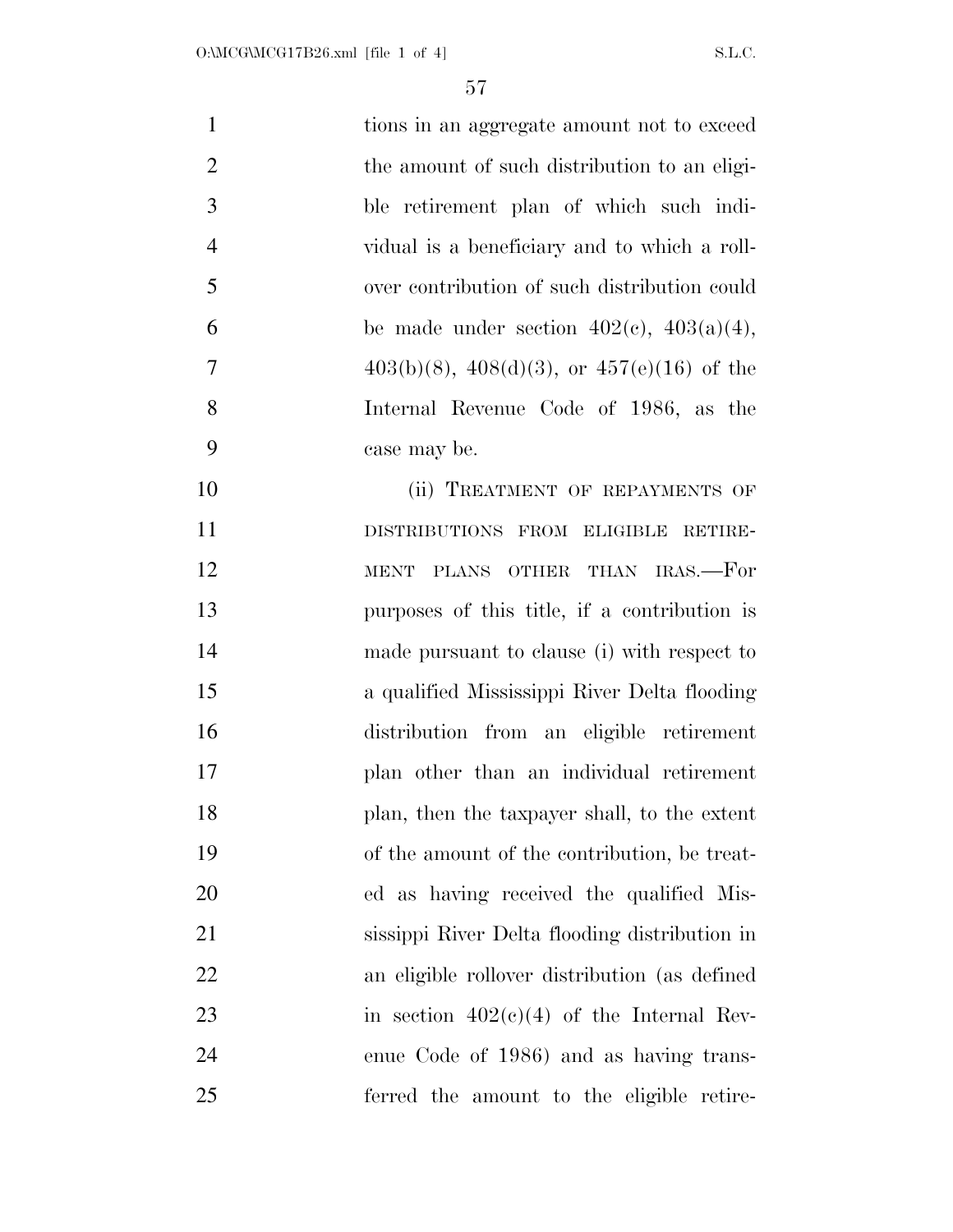| $\mathbf{1}$   | tions in an aggregate amount not to exceed         |
|----------------|----------------------------------------------------|
| $\overline{2}$ | the amount of such distribution to an eligi-       |
| 3              | ble retirement plan of which such indi-            |
| $\overline{4}$ | vidual is a beneficiary and to which a roll-       |
| 5              | over contribution of such distribution could       |
| 6              | be made under section $402(c)$ , $403(a)(4)$ ,     |
| $\overline{7}$ | $403(b)(8)$ , $408(d)(3)$ , or $457(e)(16)$ of the |
| 8              | Internal Revenue Code of 1986, as the              |
| 9              | case may be.                                       |
| 10             | (ii) TREATMENT OF REPAYMENTS OF                    |
| 11             | DISTRIBUTIONS FROM ELIGIBLE RETIRE-                |
| 12             | PLANS OTHER THAN IRAS.—For<br><b>MENT</b>          |
| 13             | purposes of this title, if a contribution is       |
| 14             | made pursuant to clause (i) with respect to        |
| 15             | a qualified Mississippi River Delta flooding       |
| 16             | distribution from an eligible retirement           |
| 17             | plan other than an individual retirement           |
| 18             | plan, then the taxpayer shall, to the extent       |
| 19             | of the amount of the contribution, be treat-       |
| 20             | ed as having received the qualified Mis-           |
| 21             | sissippi River Delta flooding distribution in      |
| 22             | an eligible rollover distribution (as defined      |
| 23             | in section $402(c)(4)$ of the Internal Rev-        |
| 24             | enue Code of 1986) and as having trans-            |
| 25             | ferred the amount to the eligible retire-          |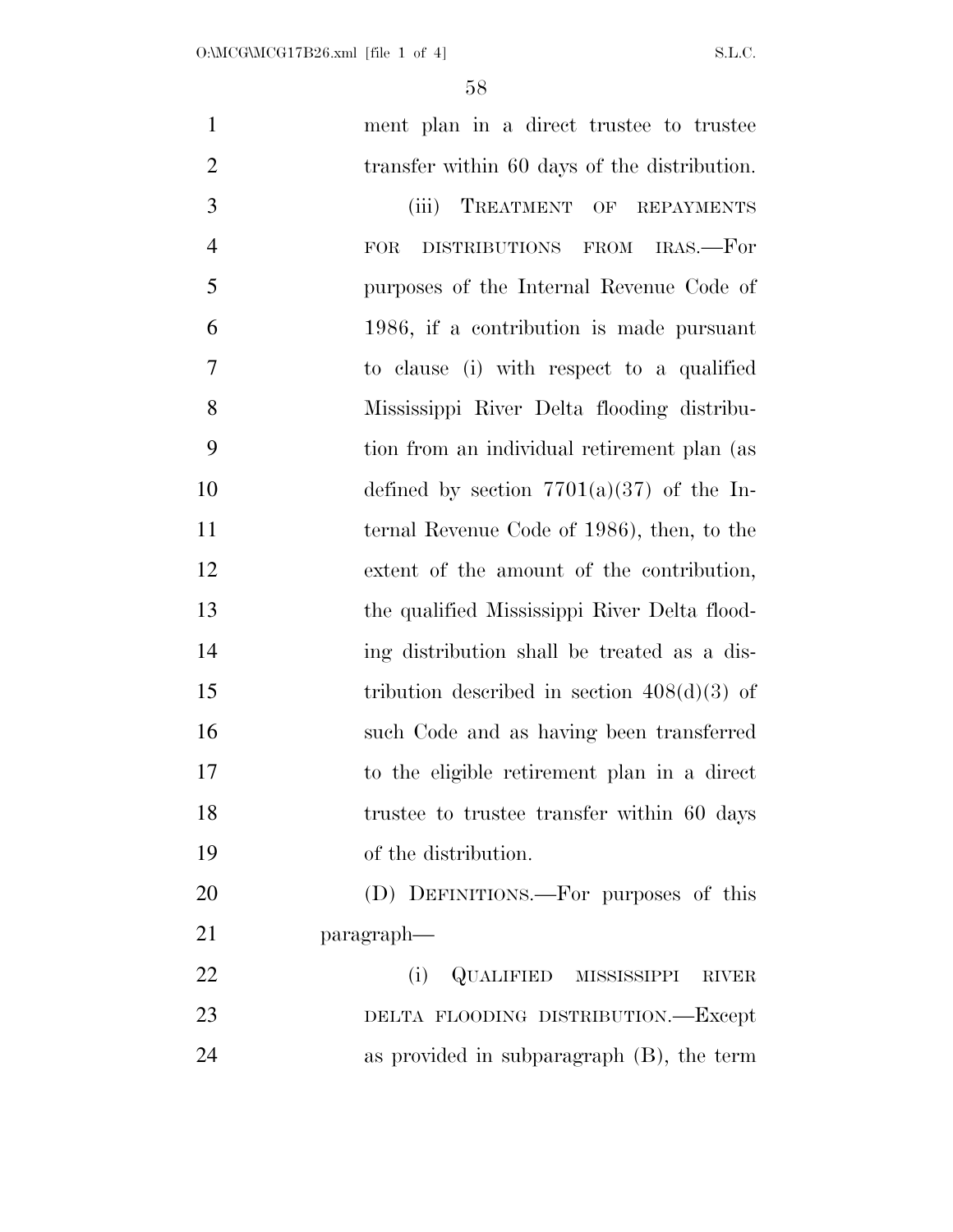| $\mathbf{1}$   | ment plan in a direct trustee to trustee      |
|----------------|-----------------------------------------------|
| $\overline{2}$ | transfer within 60 days of the distribution.  |
| 3              | TREATMENT OF REPAYMENTS<br>(iii)              |
| $\overline{4}$ | DISTRIBUTIONS FROM IRAS.—For<br><b>FOR</b>    |
| 5              | purposes of the Internal Revenue Code of      |
| 6              | 1986, if a contribution is made pursuant      |
| 7              | to clause (i) with respect to a qualified     |
| 8              | Mississippi River Delta flooding distribu-    |
| 9              | tion from an individual retirement plan (as   |
| 10             | defined by section $7701(a)(37)$ of the In-   |
| 11             | ternal Revenue Code of 1986), then, to the    |
| 12             | extent of the amount of the contribution,     |
| 13             | the qualified Mississippi River Delta flood-  |
| 14             | ing distribution shall be treated as a dis-   |
| 15             | tribution described in section $408(d)(3)$ of |
| 16             | such Code and as having been transferred      |
| 17             | to the eligible retirement plan in a direct   |
| 18             | trustee to trustee transfer within 60 days    |
| 19             | of the distribution.                          |
| 20             | (D) DEFINITIONS.—For purposes of this         |
| 21             | paragraph—                                    |
| 22             | QUALIFIED MISSISSIPPI<br>(i)<br><b>RIVER</b>  |
| 23             | DELTA FLOODING DISTRIBUTION.-Except           |
| 24             | as provided in subparagraph $(B)$ , the term  |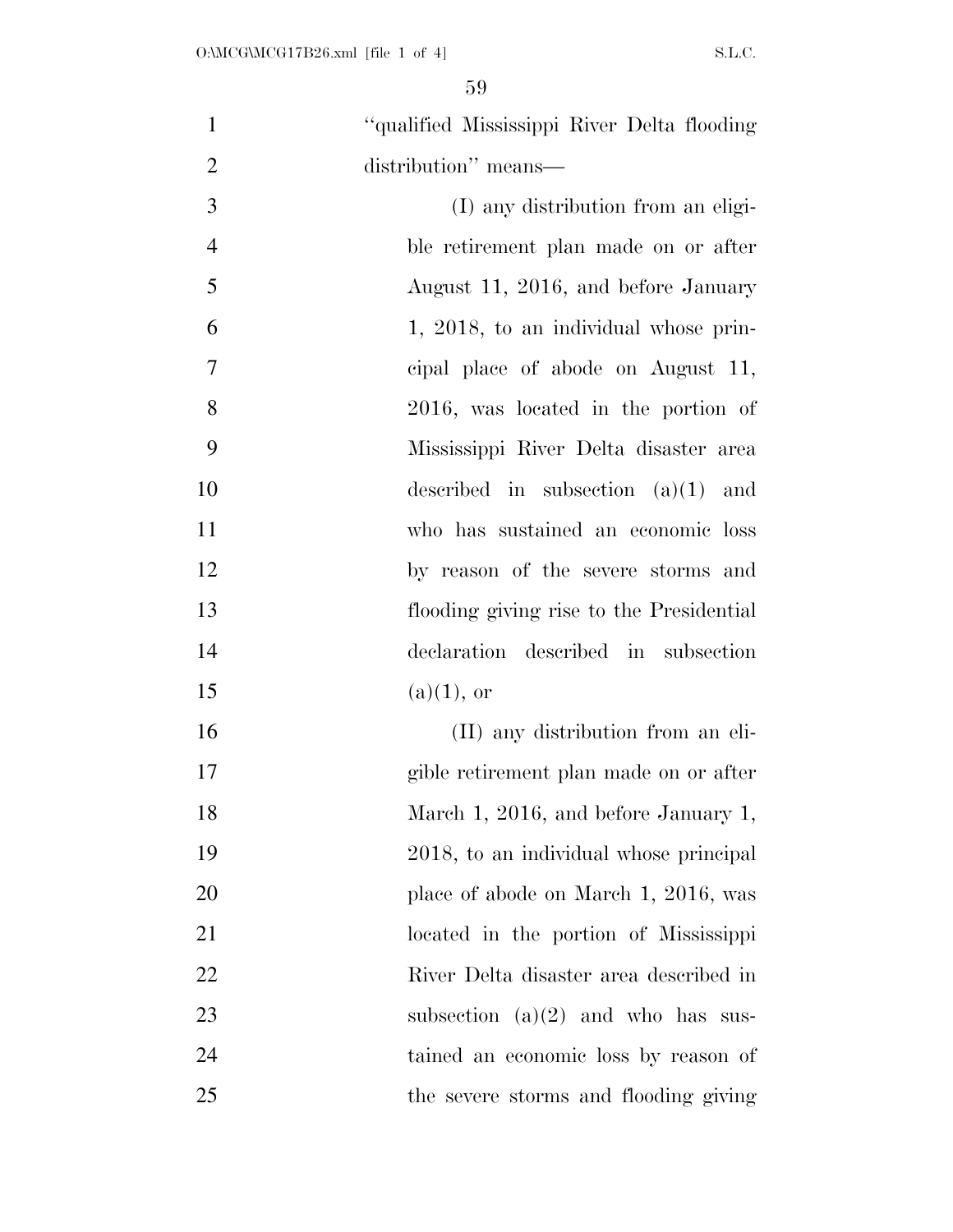| $\mathbf{1}$   | "qualified Mississippi River Delta flooding |
|----------------|---------------------------------------------|
| $\overline{2}$ | distribution" means—                        |
| 3              | (I) any distribution from an eligi-         |
| $\overline{4}$ | ble retirement plan made on or after        |
| 5              | August 11, 2016, and before January         |
| 6              | 1, 2018, to an individual whose prin-       |
| $\overline{7}$ | cipal place of abode on August 11,          |
| 8              | 2016, was located in the portion of         |
| 9              | Mississippi River Delta disaster area       |
| 10             | described in subsection $(a)(1)$ and        |
| 11             | who has sustained an economic loss          |
| 12             | by reason of the severe storms and          |
| 13             | flooding giving rise to the Presidential    |
| 14             | declaration described in subsection         |
| 15             | $(a)(1)$ , or                               |
| 16             | (II) any distribution from an eli-          |
| 17             | gible retirement plan made on or after      |
| 18             | March 1, 2016, and before January 1,        |
| 19             | 2018, to an individual whose principal      |
| <b>20</b>      | place of abode on March 1, 2016, was        |
| 21             | located in the portion of Mississippi       |
| 22             | River Delta disaster area described in      |
| 23             | subsection $(a)(2)$ and who has sus-        |
| 24             | tained an economic loss by reason of        |
| 25             | the severe storms and flooding giving       |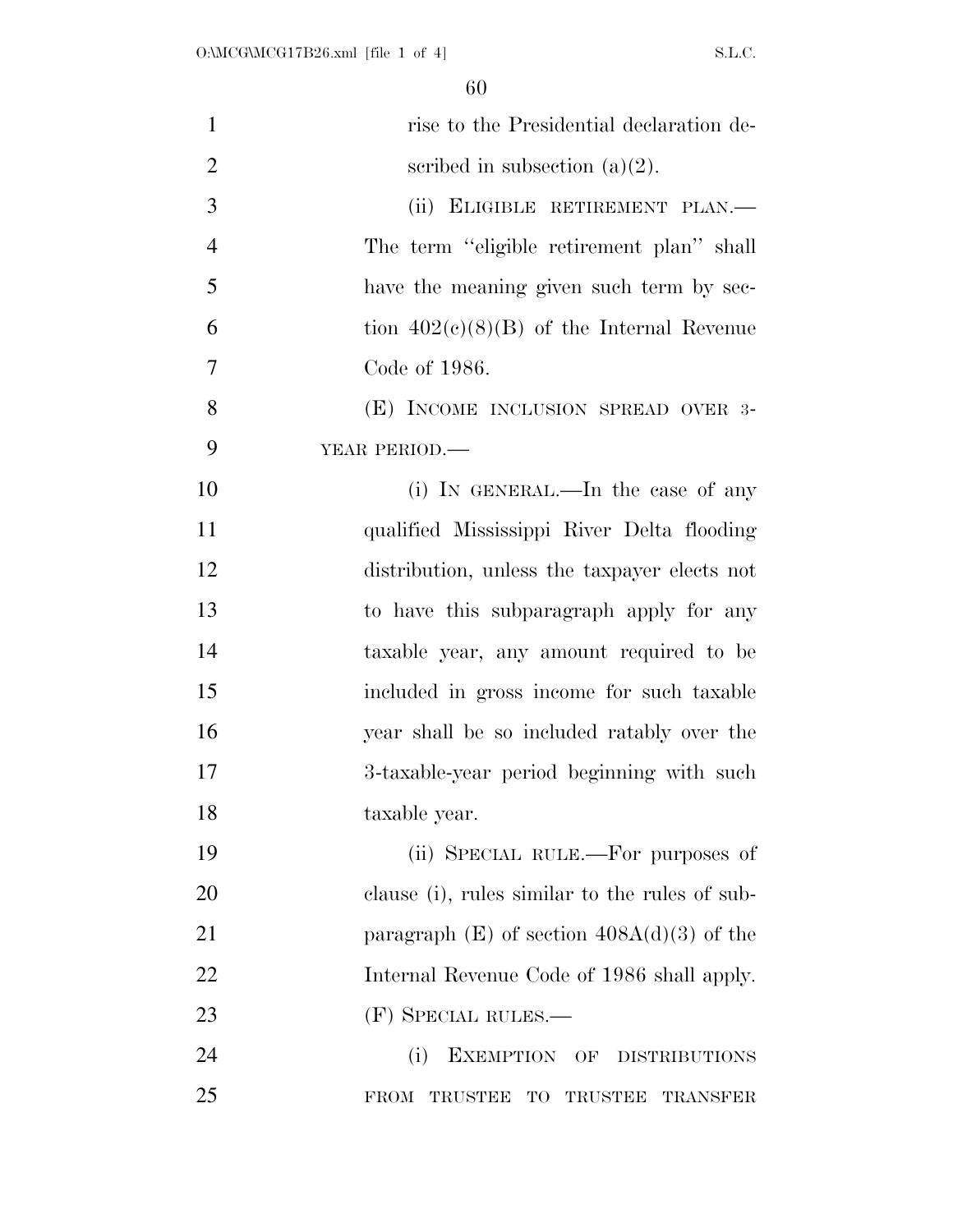| $\mathbf{1}$   | rise to the Presidential declaration de-                |
|----------------|---------------------------------------------------------|
| $\overline{2}$ | scribed in subsection $(a)(2)$ .                        |
| 3              | (ii) ELIGIBLE RETIREMENT PLAN.-                         |
| $\overline{4}$ | The term "eligible retirement plan" shall               |
| 5              | have the meaning given such term by sec-                |
| 6              | tion $402(c)(8)(B)$ of the Internal Revenue             |
| 7              | Code of 1986.                                           |
| 8              | (E) INCOME INCLUSION SPREAD OVER 3-                     |
| 9              | YEAR PERIOD.                                            |
| 10             | (i) IN GENERAL.—In the case of any                      |
| 11             | qualified Mississippi River Delta flooding              |
| 12             | distribution, unless the taxpayer elects not            |
| 13             | to have this subparagraph apply for any                 |
| 14             | taxable year, any amount required to be                 |
| 15             | included in gross income for such taxable               |
| 16             | year shall be so included ratably over the              |
| 17             | 3-taxable-year period beginning with such               |
| 18             | taxable year.                                           |
| 19             | (ii) SPECIAL RULE.—For purposes of                      |
| 20             | clause (i), rules similar to the rules of sub-          |
| 21             | paragraph $(E)$ of section $408A(d)(3)$ of the          |
| 22             | Internal Revenue Code of 1986 shall apply.              |
| 23             | (F) SPECIAL RULES.—                                     |
| 24             | (i)<br>EXEMPTION OF DISTRIBUTIONS                       |
| 25             | FROM TRUSTEE<br>TO<br><b>TRUSTEE</b><br><b>TRANSFER</b> |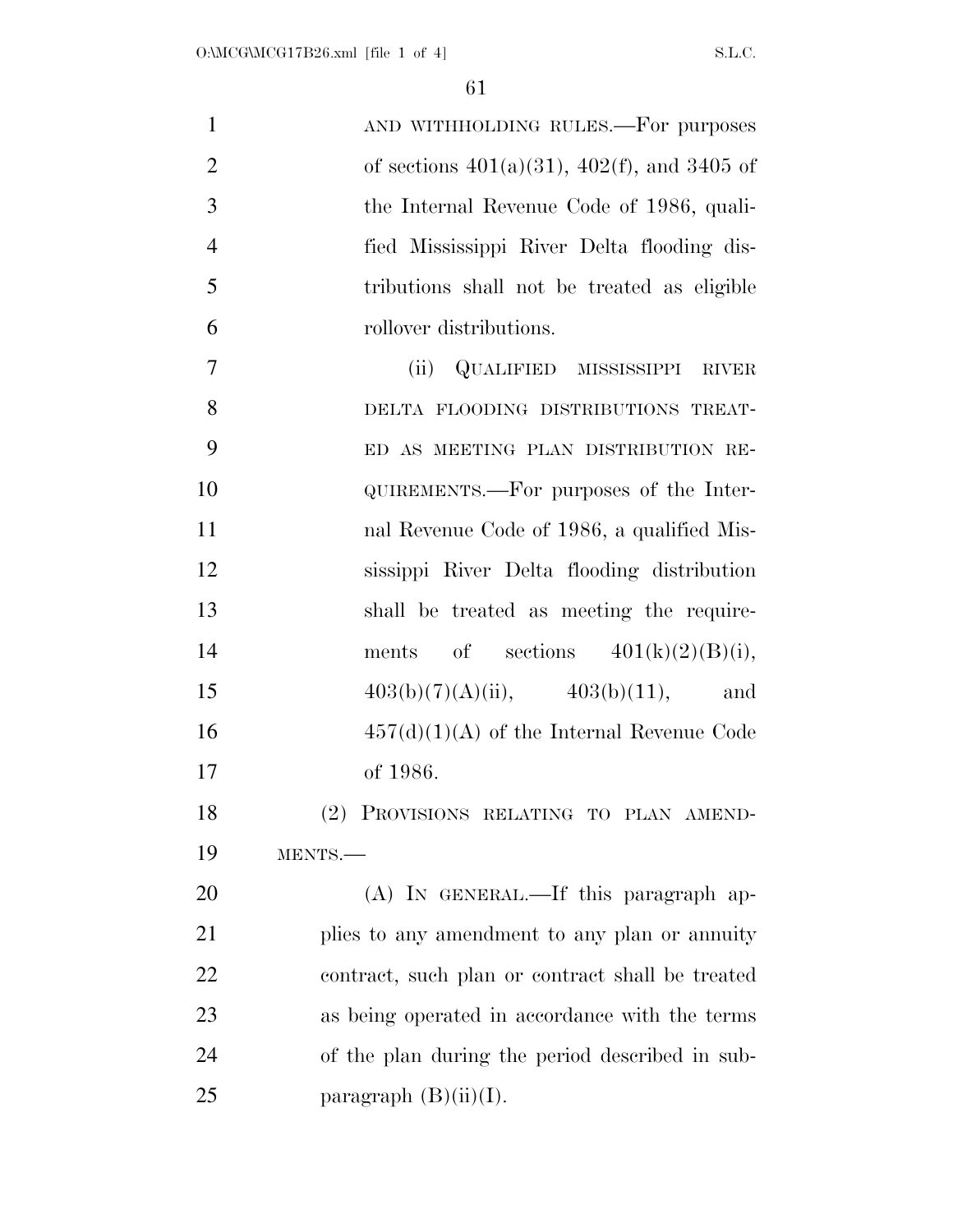| $\mathbf{1}$   | AND WITHHOLDING RULES.—For purposes                 |
|----------------|-----------------------------------------------------|
| $\overline{2}$ | of sections $401(a)(31)$ , $402(f)$ , and $3405$ of |
| 3              | the Internal Revenue Code of 1986, quali-           |
| $\overline{4}$ | fied Mississippi River Delta flooding dis-          |
| 5              | tributions shall not be treated as eligible         |
| 6              | rollover distributions.                             |
| 7              | QUALIFIED MISSISSIPPI RIVER<br>(ii)                 |
| 8              | DELTA FLOODING DISTRIBUTIONS TREAT-                 |
| 9              | ED AS MEETING PLAN DISTRIBUTION RE-                 |
| 10             | QUIREMENTS.—For purposes of the Inter-              |
| 11             | nal Revenue Code of 1986, a qualified Mis-          |
| 12             | sissippi River Delta flooding distribution          |
| 13             | shall be treated as meeting the require-            |
| 14             | of sections $401(k)(2)(B)(i)$ ,<br>ments            |
| 15             | $403(b)(7)(A)(ii)$ , $403(b)(11)$ , and             |
| 16             | $457(d)(1)(A)$ of the Internal Revenue Code         |
| 17             | of 1986.                                            |
| 18             | (2) PROVISIONS RELATING TO PLAN AMEND-              |
| 19             | MENTS.                                              |
| 20             | (A) IN GENERAL.—If this paragraph ap-               |
| 21             | plies to any amendment to any plan or annuity       |
| 22             | contract, such plan or contract shall be treated    |
| 23             | as being operated in accordance with the terms      |
| 24             | of the plan during the period described in sub-     |
| 25             | paragraph $(B)(ii)(I)$ .                            |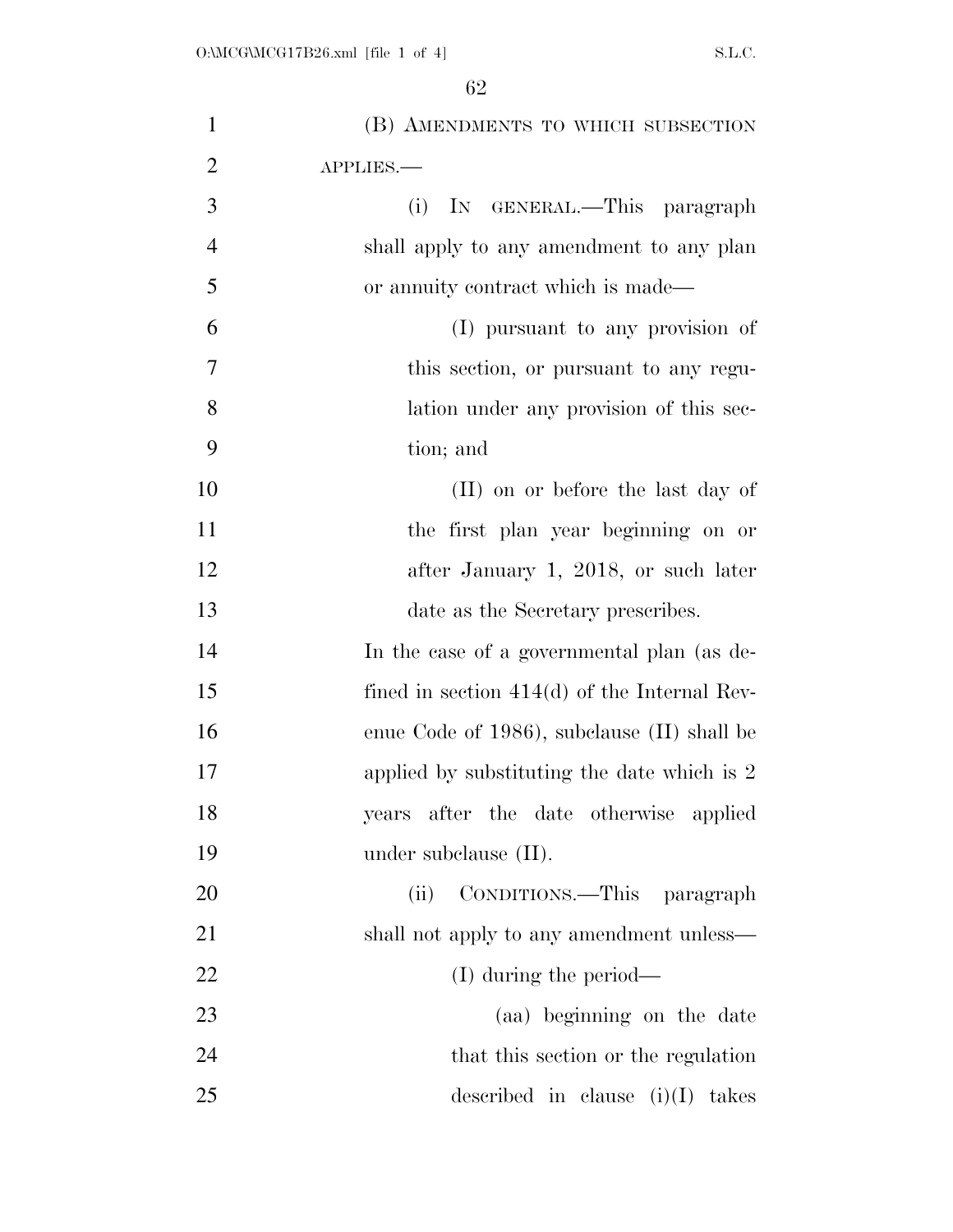| $\mathbf{1}$   | (B) AMENDMENTS TO WHICH SUBSECTION             |
|----------------|------------------------------------------------|
| $\overline{2}$ | APPLIES.                                       |
| 3              | IN GENERAL.—This paragraph<br>(i)              |
| $\overline{4}$ | shall apply to any amendment to any plan       |
| 5              | or annuity contract which is made—             |
| 6              | (I) pursuant to any provision of               |
| 7              | this section, or pursuant to any regu-         |
| 8              | lation under any provision of this sec-        |
| 9              | tion; and                                      |
| 10             | (II) on or before the last day of              |
| 11             | the first plan year beginning on or            |
| 12             | after January 1, 2018, or such later           |
| 13             | date as the Secretary prescribes.              |
| 14             | In the case of a governmental plan (as de-     |
| 15             | fined in section $414(d)$ of the Internal Rev- |
| 16             | enue Code of 1986), subclause (II) shall be    |
| 17             | applied by substituting the date which is 2    |
| 18             | years after the date otherwise applied         |
| 19             | under subclause $(II)$ .                       |
| 20             | CONDITIONS.—This paragraph<br>(ii)             |
| 21             | shall not apply to any amendment unless—       |
| 22             | $(I)$ during the period—                       |
| 23             | (aa) beginning on the date                     |
| 24             | that this section or the regulation            |
| 25             | described in clause $(i)(I)$<br>takes          |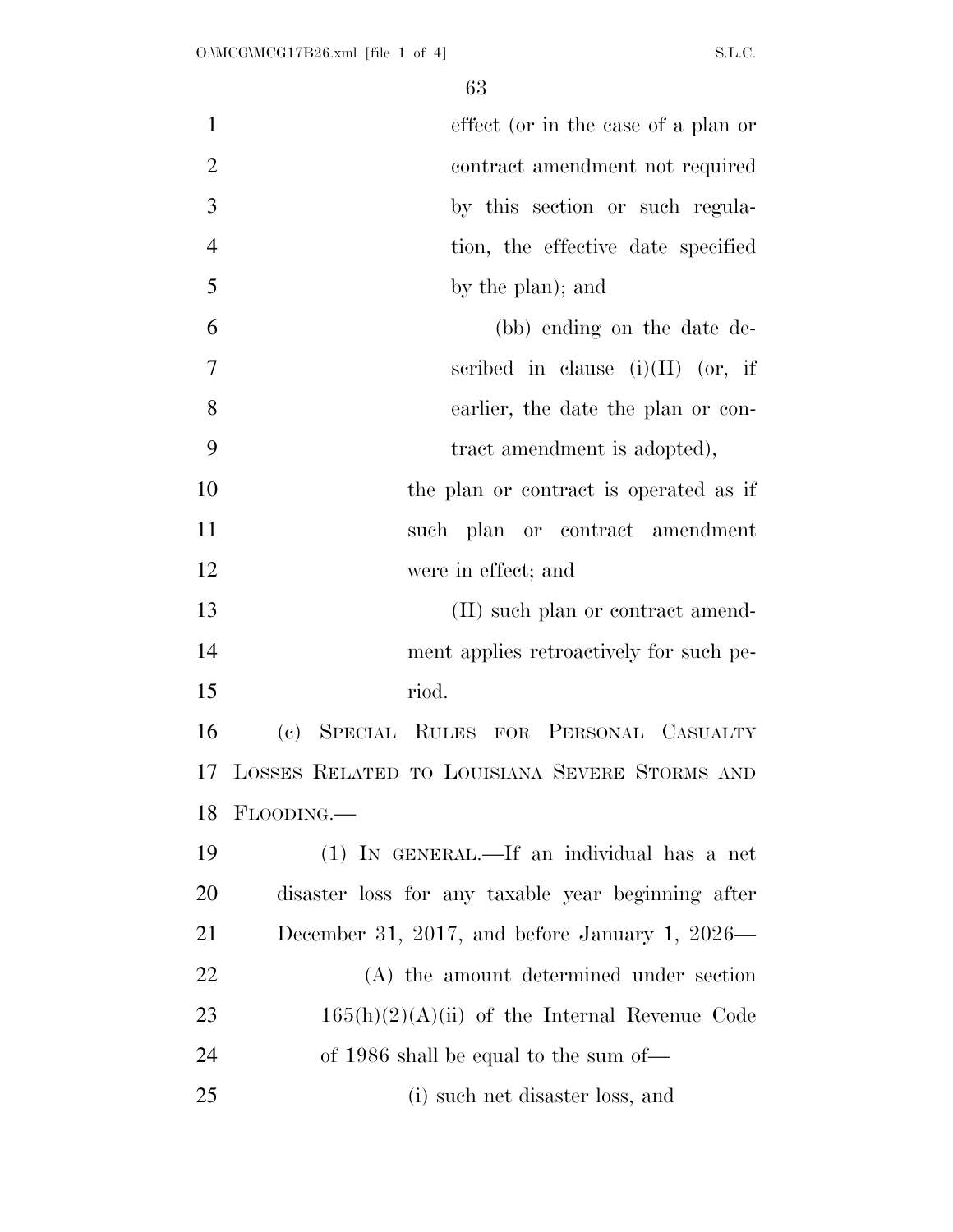| $\mathbf{1}$   | effect (or in the case of a plan or                |
|----------------|----------------------------------------------------|
| $\overline{2}$ | contract amendment not required                    |
| 3              | by this section or such regula-                    |
| $\overline{4}$ | tion, the effective date specified                 |
| 5              | by the plan); and                                  |
| 6              | (bb) ending on the date de-                        |
| $\overline{7}$ | scribed in clause $(i)(II)$ (or, if                |
| 8              | earlier, the date the plan or con-                 |
| 9              | tract amendment is adopted),                       |
| 10             | the plan or contract is operated as if             |
| 11             | such plan or contract amendment                    |
| 12             | were in effect; and                                |
| 13             | (II) such plan or contract amend-                  |
| 14             | ment applies retroactively for such pe-            |
| 15             | riod.                                              |
| 16             | (c) SPECIAL RULES FOR PERSONAL CASUALTY            |
| 17             | LOSSES RELATED TO LOUISIANA SEVERE STORMS AND      |
| 18             | FLOODING.                                          |
| 19             | (1) IN GENERAL.—If an individual has a net         |
| 20             | disaster loss for any taxable year beginning after |
| 21             | December 31, 2017, and before January 1, 2026—     |
| 22             | (A) the amount determined under section            |
| 23             | $165(h)(2)(A)(ii)$ of the Internal Revenue Code    |
| 24             | of 1986 shall be equal to the sum of—              |
| 25             | (i) such net disaster loss, and                    |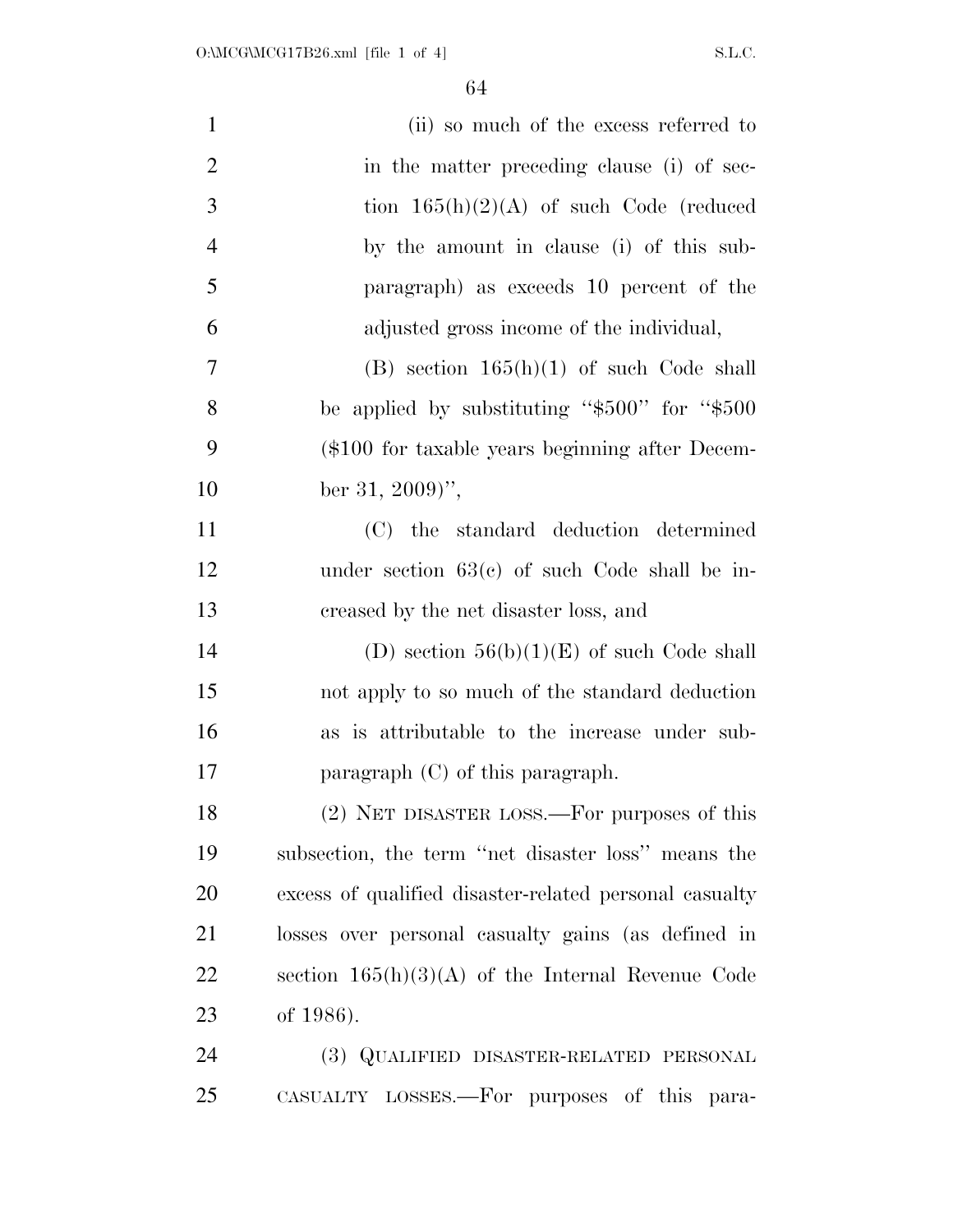| $\mathbf{1}$   | (ii) so much of the excess referred to                 |
|----------------|--------------------------------------------------------|
| $\overline{2}$ | in the matter preceding clause (i) of sec-             |
| 3              | tion $165(h)(2)(A)$ of such Code (reduced              |
| $\overline{4}$ | by the amount in clause (i) of this sub-               |
| 5              | paragraph) as exceeds 10 percent of the                |
| 6              | adjusted gross income of the individual,               |
| $\overline{7}$ | (B) section $165(h)(1)$ of such Code shall             |
| 8              | be applied by substituting " $$500"$ for " $$500$ "    |
| 9              | $(\$100$ for taxable years beginning after Decem-      |
| 10             | ber 31, 2009)'',                                       |
| 11             | (C) the standard deduction determined                  |
| 12             | under section $63(c)$ of such Code shall be in-        |
| 13             | creased by the net disaster loss, and                  |
| 14             | (D) section $56(b)(1)(E)$ of such Code shall           |
| 15             | not apply to so much of the standard deduction         |
| 16             | as is attributable to the increase under sub-          |
| 17             | paragraph $(C)$ of this paragraph.                     |
| 18             | (2) NET DISASTER LOSS.—For purposes of this            |
| 19             | subsection, the term "net disaster loss" means the     |
| 20             | excess of qualified disaster-related personal casualty |
| 21             | losses over personal casualty gains (as defined in     |
| 22             | section $165(h)(3)(A)$ of the Internal Revenue Code    |
| 23             | of 1986).                                              |
| 24             | (3) QUALIFIED DISASTER-RELATED PERSONAL                |
| 25             | CASUALTY LOSSES.—For purposes of this para-            |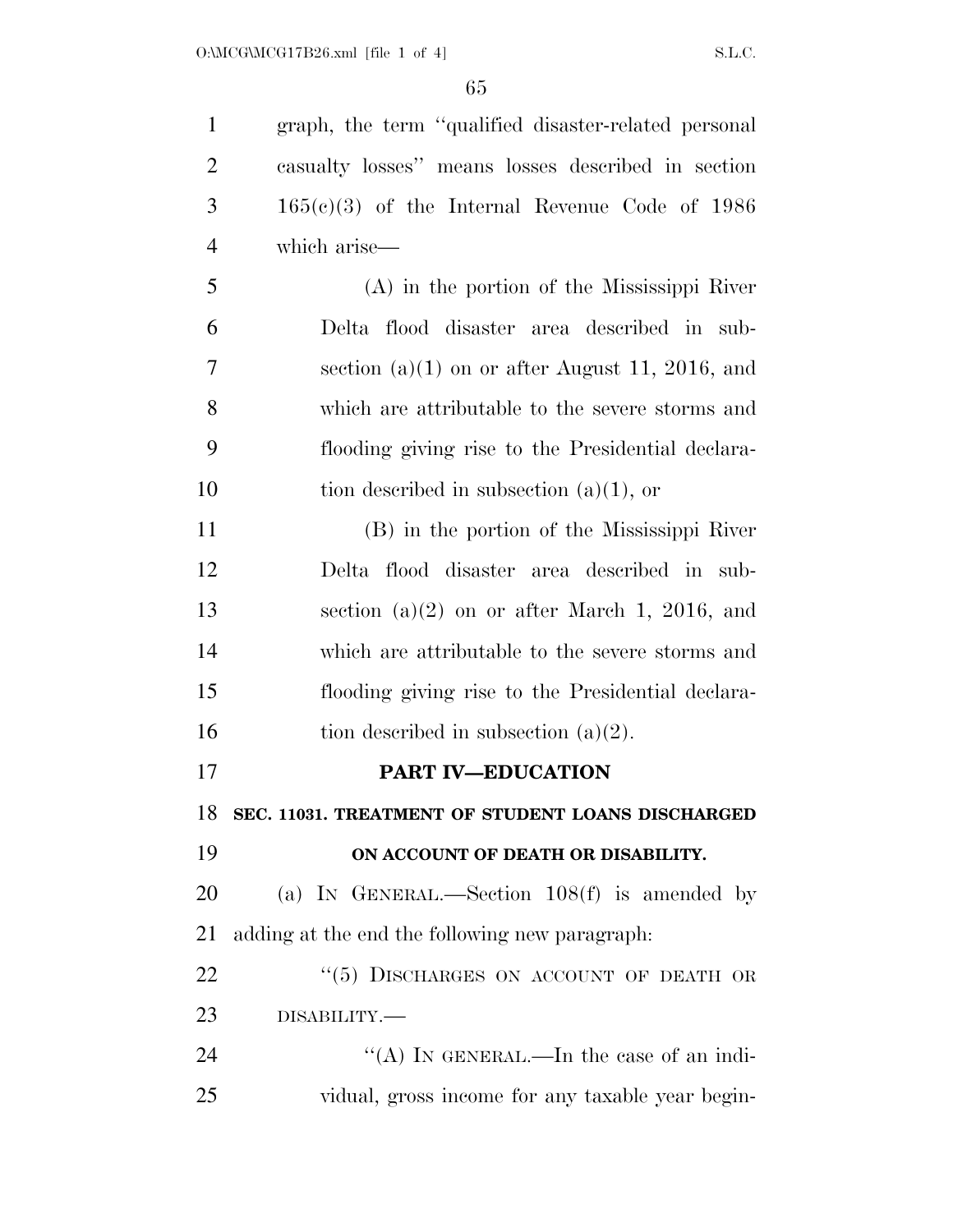graph, the term ''qualified disaster-related personal casualty losses'' means losses described in section 165(c)(3) of the Internal Revenue Code of 1986 which arise— (A) in the portion of the Mississippi River Delta flood disaster area described in sub- section (a)(1) on or after August 11, 2016, and which are attributable to the severe storms and flooding giving rise to the Presidential declara-10 tion described in subsection  $(a)(1)$ , or (B) in the portion of the Mississippi River Delta flood disaster area described in sub- section (a)(2) on or after March 1, 2016, and which are attributable to the severe storms and

16 tion described in subsection  $(a)(2)$ .

**PART IV—EDUCATION** 

**SEC. 11031. TREATMENT OF STUDENT LOANS DISCHARGED** 

flooding giving rise to the Presidential declara-

**ON ACCOUNT OF DEATH OR DISABILITY.** 

 (a) IN GENERAL.—Section 108(f) is amended by adding at the end the following new paragraph:

22 "(5) DISCHARGES ON ACCOUNT OF DEATH OR DISABILITY.—

24 "(A) IN GENERAL.—In the case of an indi-vidual, gross income for any taxable year begin-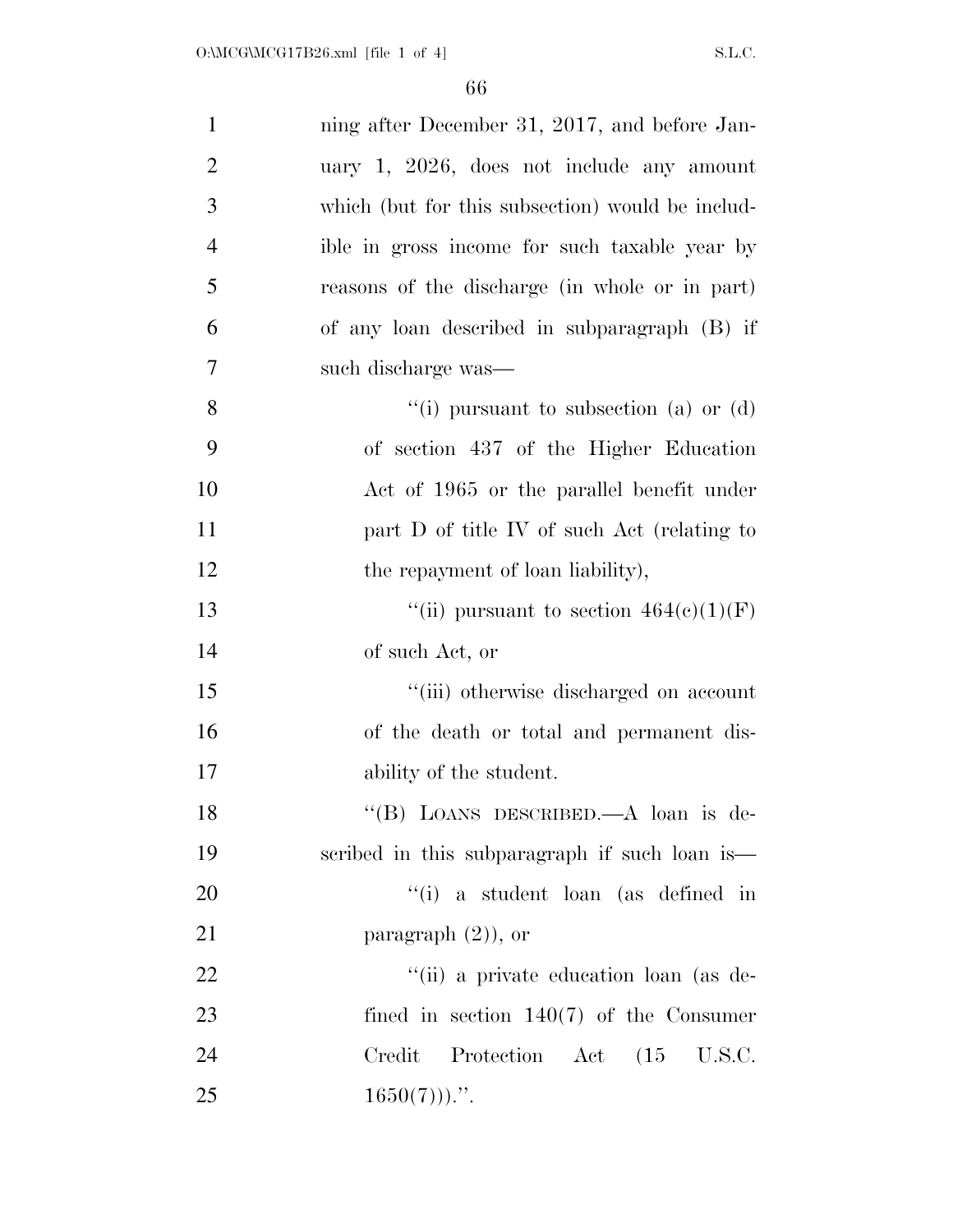| $\mathbf{1}$   | ning after December 31, 2017, and before Jan-    |
|----------------|--------------------------------------------------|
| $\overline{2}$ | uary $1, 2026,$ does not include any amount      |
| 3              | which (but for this subsection) would be includ- |
| $\overline{4}$ | ible in gross income for such taxable year by    |
| 5              | reasons of the discharge (in whole or in part)   |
| 6              | of any loan described in subparagraph (B) if     |
| 7              | such discharge was—                              |
| 8              | "(i) pursuant to subsection (a) or (d)           |
| 9              | of section 437 of the Higher Education           |
| 10             | Act of 1965 or the parallel benefit under        |
| 11             | part D of title IV of such Act (relating to      |
| 12             | the repayment of loan liability),                |
| 13             | "(ii) pursuant to section $464(e)(1)(F)$         |
| 14             | of such Act, or                                  |
| 15             | "(iii) otherwise discharged on account           |
| 16             | of the death or total and permanent dis-         |
| 17             | ability of the student.                          |
| 18             | "(B) LOANS DESCRIBED.—A loan is de-              |
| 19             | scribed in this subparagraph if such loan is—    |
| 20             | "(i) a student loan (as defined in               |
| 21             | paragraph $(2)$ ), or                            |
| 22             | "(ii) a private education loan (as de-           |
| 23             | fined in section $140(7)$ of the Consumer        |
| 24             | Credit Protection Act (15 U.S.C.                 |
| 25             | $1650(7))$                                       |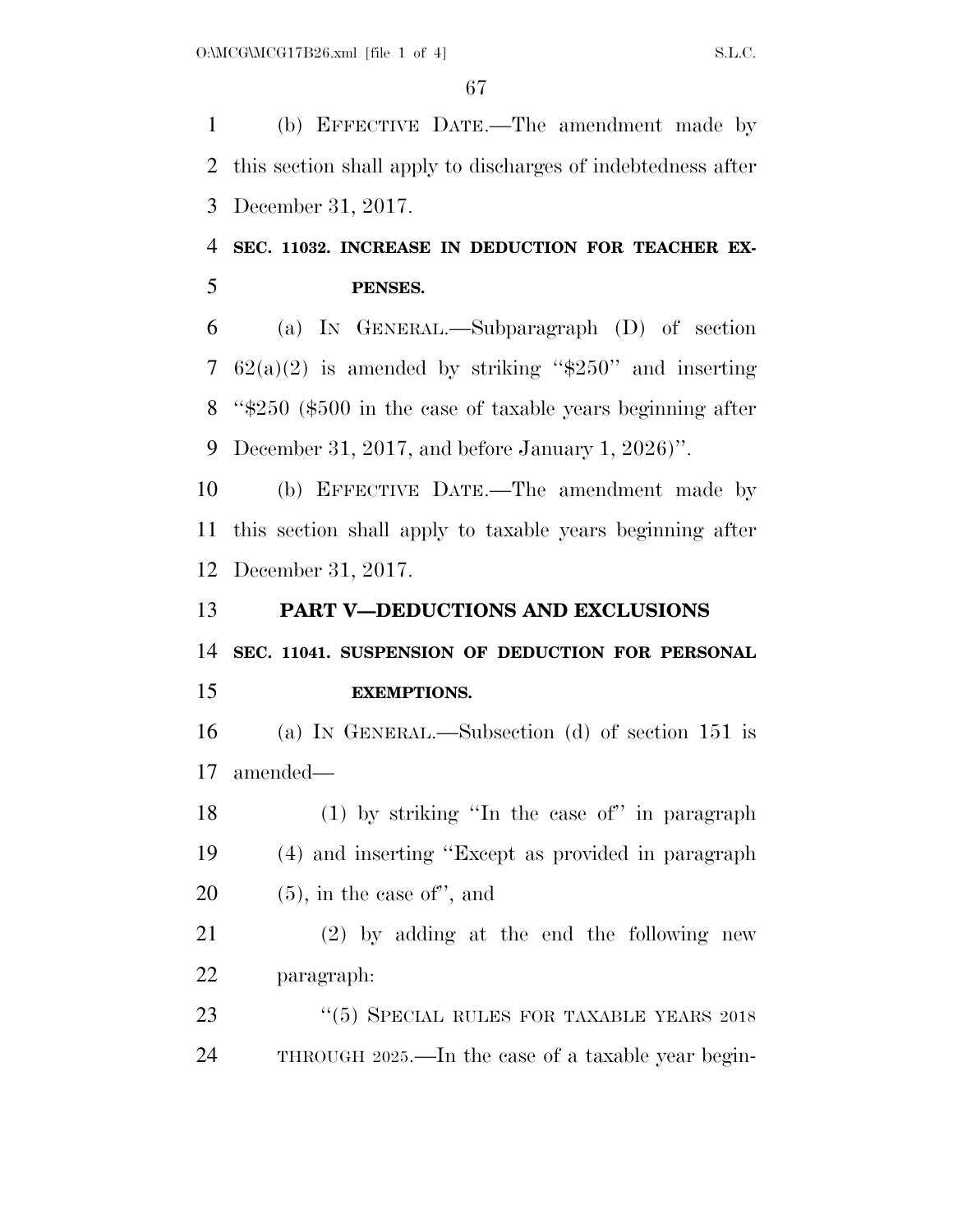(b) EFFECTIVE DATE.—The amendment made by this section shall apply to discharges of indebtedness after December 31, 2017.

## **SEC. 11032. INCREASE IN DEDUCTION FOR TEACHER EX-PENSES.**

 (a) IN GENERAL.—Subparagraph (D) of section 7 62(a)(2) is amended by striking " $$250"$  and inserting ''\$250 (\$500 in the case of taxable years beginning after December 31, 2017, and before January 1, 2026)''.

 (b) EFFECTIVE DATE.—The amendment made by this section shall apply to taxable years beginning after December 31, 2017.

**PART V—DEDUCTIONS AND EXCLUSIONS** 

**SEC. 11041. SUSPENSION OF DEDUCTION FOR PERSONAL** 

## **EXEMPTIONS.**

 (a) IN GENERAL.—Subsection (d) of section 151 is amended—

 (1) by striking ''In the case of'' in paragraph (4) and inserting ''Except as provided in paragraph 20  $(5)$ , in the case of", and

 (2) by adding at the end the following new paragraph:

23 "(5) SPECIAL RULES FOR TAXABLE YEARS 2018 THROUGH 2025.—In the case of a taxable year begin-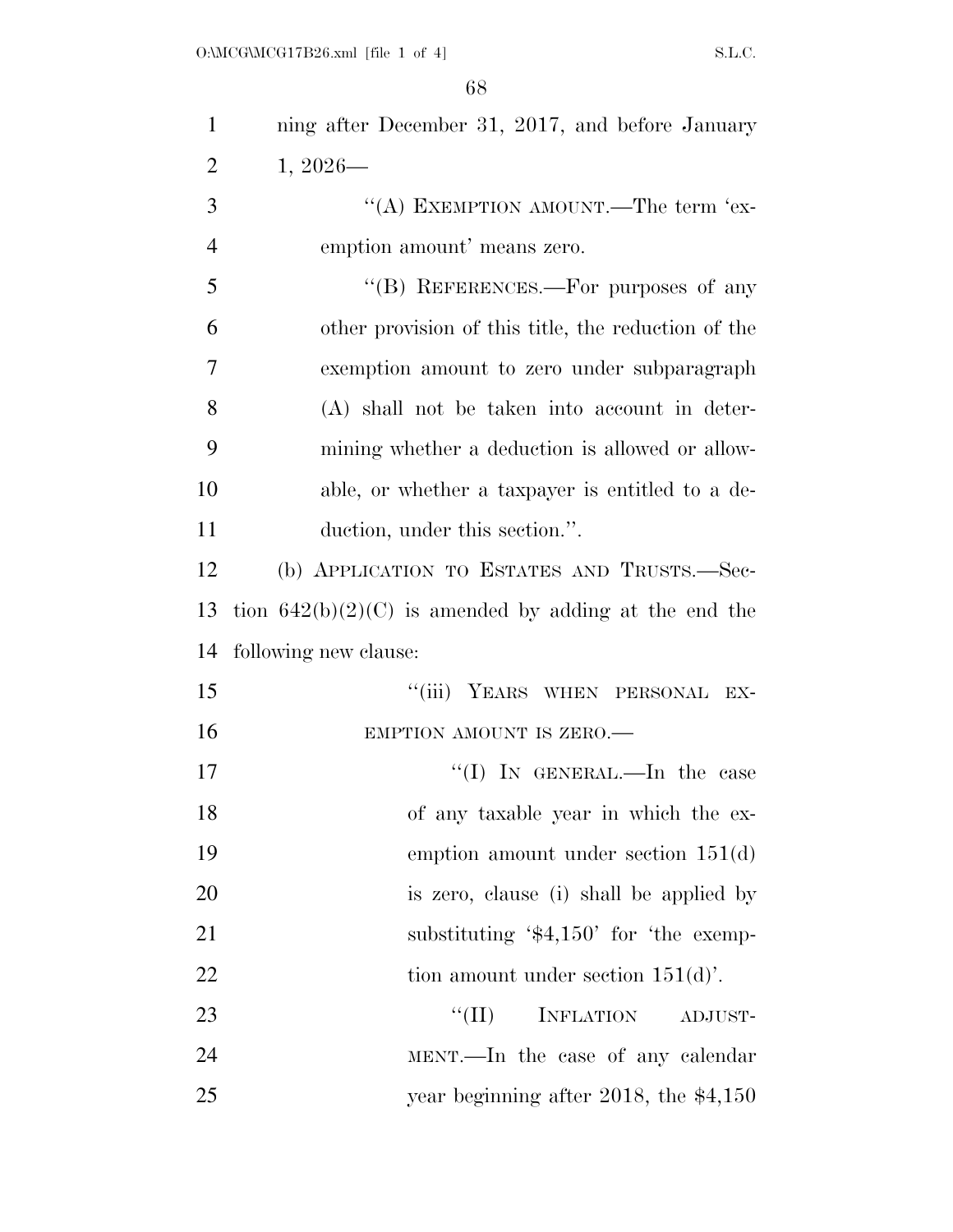| $\mathbf{1}$   | ning after December 31, 2017, and before January        |
|----------------|---------------------------------------------------------|
| $\overline{2}$ | $1,2026-$                                               |
| 3              | "(A) EXEMPTION AMOUNT.—The term 'ex-                    |
| $\overline{4}$ | emption amount' means zero.                             |
| 5              | "(B) REFERENCES.—For purposes of any                    |
| 6              | other provision of this title, the reduction of the     |
| 7              | exemption amount to zero under subparagraph             |
| 8              | (A) shall not be taken into account in deter-           |
| 9              | mining whether a deduction is allowed or allow-         |
| 10             | able, or whether a taxpayer is entitled to a de-        |
| 11             | duction, under this section.".                          |
| 12             | (b) APPLICATION TO ESTATES AND TRUSTS.—Sec-             |
| 13             | tion $642(b)(2)(C)$ is amended by adding at the end the |
| 14             | following new clause:                                   |
| 15             | "(iii) YEARS WHEN PERSONAL EX-                          |
| 16             | EMPTION AMOUNT IS ZERO.                                 |
| 17             | "(I) IN GENERAL.—In the case                            |
| 18             | of any taxable year in which the ex-                    |
| 19             | emption amount under section $151(d)$                   |
| 20             | is zero, clause (i) shall be applied by                 |
| 21             | substituting $\$4,150'$ for the exemp-                  |
| 22             | tion amount under section $151(d)$ .                    |
| 23             | ``(II)<br><b>INFLATION</b><br>ADJUST-                   |
| 24             | MENT.—In the case of any calendar                       |
| 25             | year beginning after 2018, the $$4,150$                 |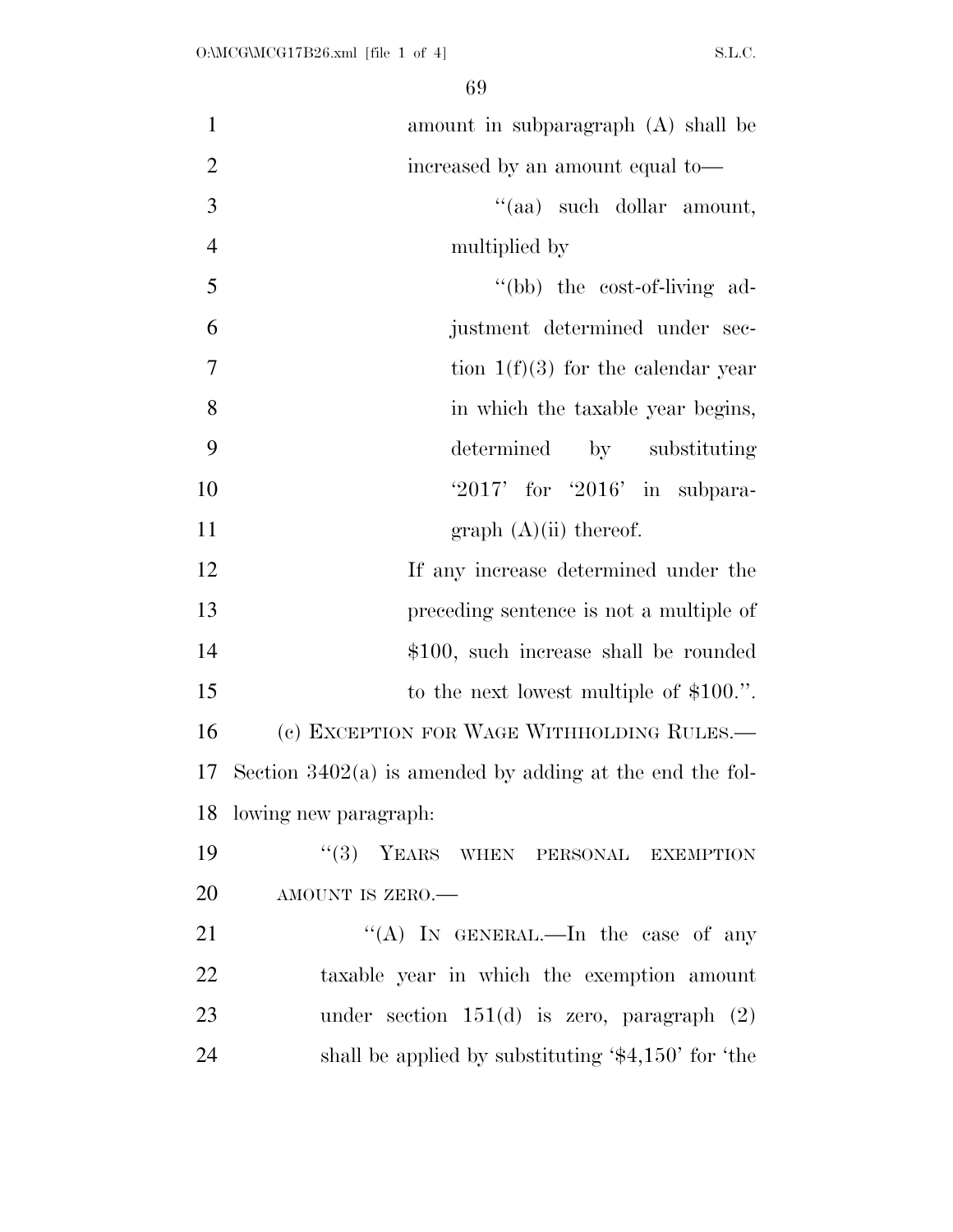| $\mathbf{1}$   | amount in subparagraph (A) shall be                        |
|----------------|------------------------------------------------------------|
| $\overline{2}$ | increased by an amount equal to-                           |
| 3              | "(aa) such dollar amount,                                  |
| $\overline{4}$ | multiplied by                                              |
| 5              | "(bb) the cost-of-living ad-                               |
| 6              | justment determined under sec-                             |
| $\overline{7}$ | tion $1(f)(3)$ for the calendar year                       |
| 8              | in which the taxable year begins,                          |
| 9              | determined<br>by substituting                              |
| 10             | $2017'$ for $2016'$ in subpara-                            |
| 11             | graph $(A)(ii)$ thereof.                                   |
| 12             | If any increase determined under the                       |
| 13             | preceding sentence is not a multiple of                    |
| 14             | \$100, such increase shall be rounded                      |
| 15             | to the next lowest multiple of $$100."$ .                  |
| 16             | (c) EXCEPTION FOR WAGE WITHHOLDING RULES.-                 |
| 17             | Section $3402(a)$ is amended by adding at the end the fol- |
|                | 18 lowing new paragraph:                                   |
| 19             | "(3) YEARS WHEN PERSONAL EXEMPTION                         |
| 20             | AMOUNT IS ZERO.                                            |
| 21             | "(A) IN GENERAL.—In the case of any                        |
| 22             | taxable year in which the exemption amount                 |
| 23             | under section $151(d)$ is zero, paragraph $(2)$            |
| 24             | shall be applied by substituting $\$4,150'$ for 'the       |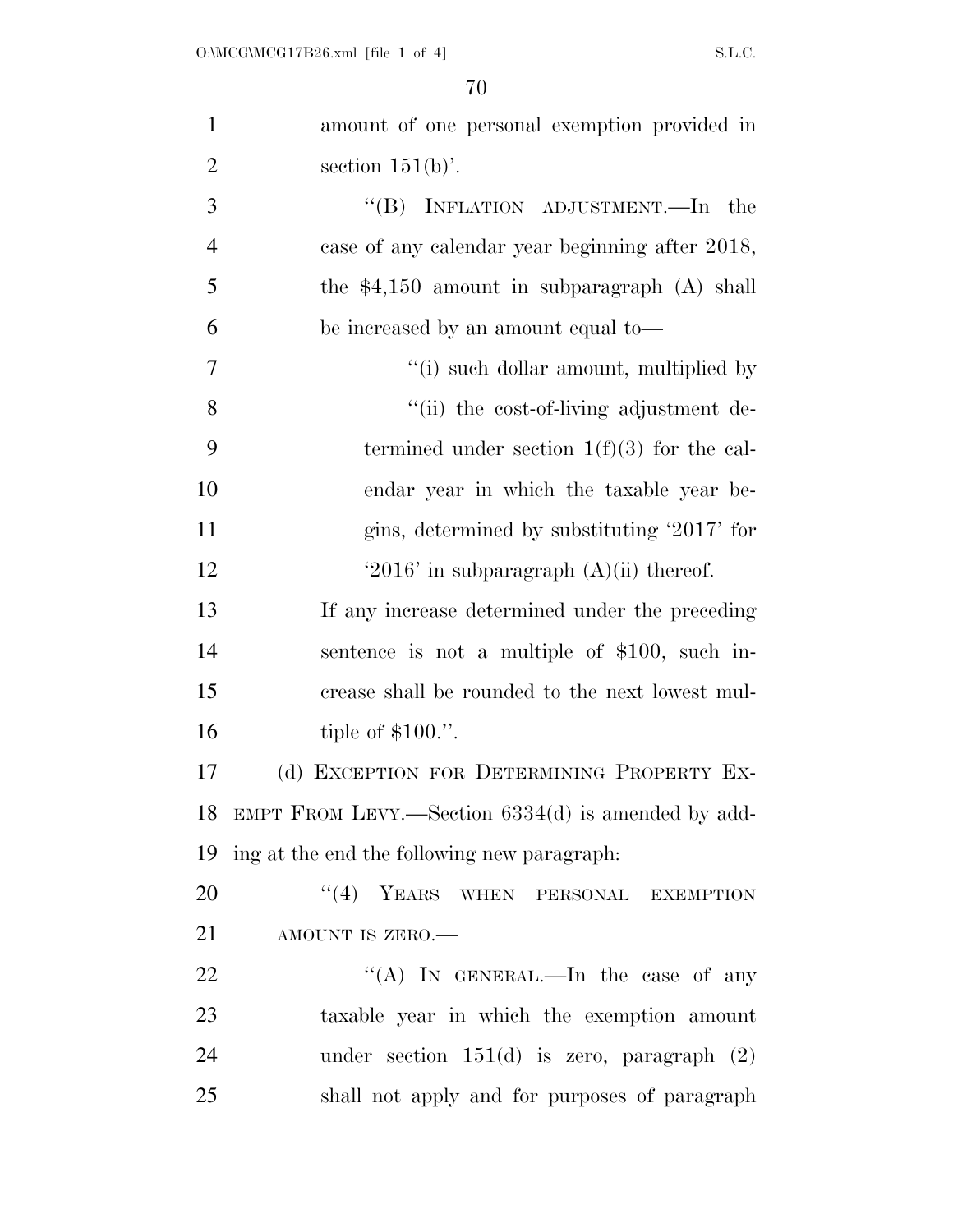| $\mathbf{1}$   | amount of one personal exemption provided in          |
|----------------|-------------------------------------------------------|
| $\overline{2}$ | section $151(b)$ .                                    |
| 3              | "(B) INFLATION ADJUSTMENT.—In the                     |
| $\overline{4}$ | case of any calendar year beginning after 2018,       |
| 5              | the $$4,150$ amount in subparagraph (A) shall         |
| 6              | be increased by an amount equal to-                   |
| 7              | "(i) such dollar amount, multiplied by                |
| 8              | "(ii) the cost-of-living adjustment de-               |
| 9              | termined under section $1(f)(3)$ for the cal-         |
| 10             | endar year in which the taxable year be-              |
| 11             | gins, determined by substituting '2017' for           |
| 12             | '2016' in subparagraph $(A)(ii)$ thereof.             |
| 13             | If any increase determined under the preceding        |
| 14             | sentence is not a multiple of $$100$ , such in-       |
| 15             | crease shall be rounded to the next lowest mul-       |
| 16             | tiple of $$100."$ .                                   |
| 17             | (d) EXCEPTION FOR DETERMINING PROPERTY EX-            |
|                | 18 EMPT FROM LEVY.—Section 6334(d) is amended by add- |
| 19             | ing at the end the following new paragraph.           |
| 20             | $``(4)$ YEARS WHEN PERSONAL EXEMPTION                 |
| 21             | AMOUNT IS ZERO.-                                      |
| 22             | "(A) IN GENERAL.—In the case of any                   |
| 23             | taxable year in which the exemption amount            |
| 24             | under section $151(d)$ is zero, paragraph $(2)$       |
| 25             | shall not apply and for purposes of paragraph         |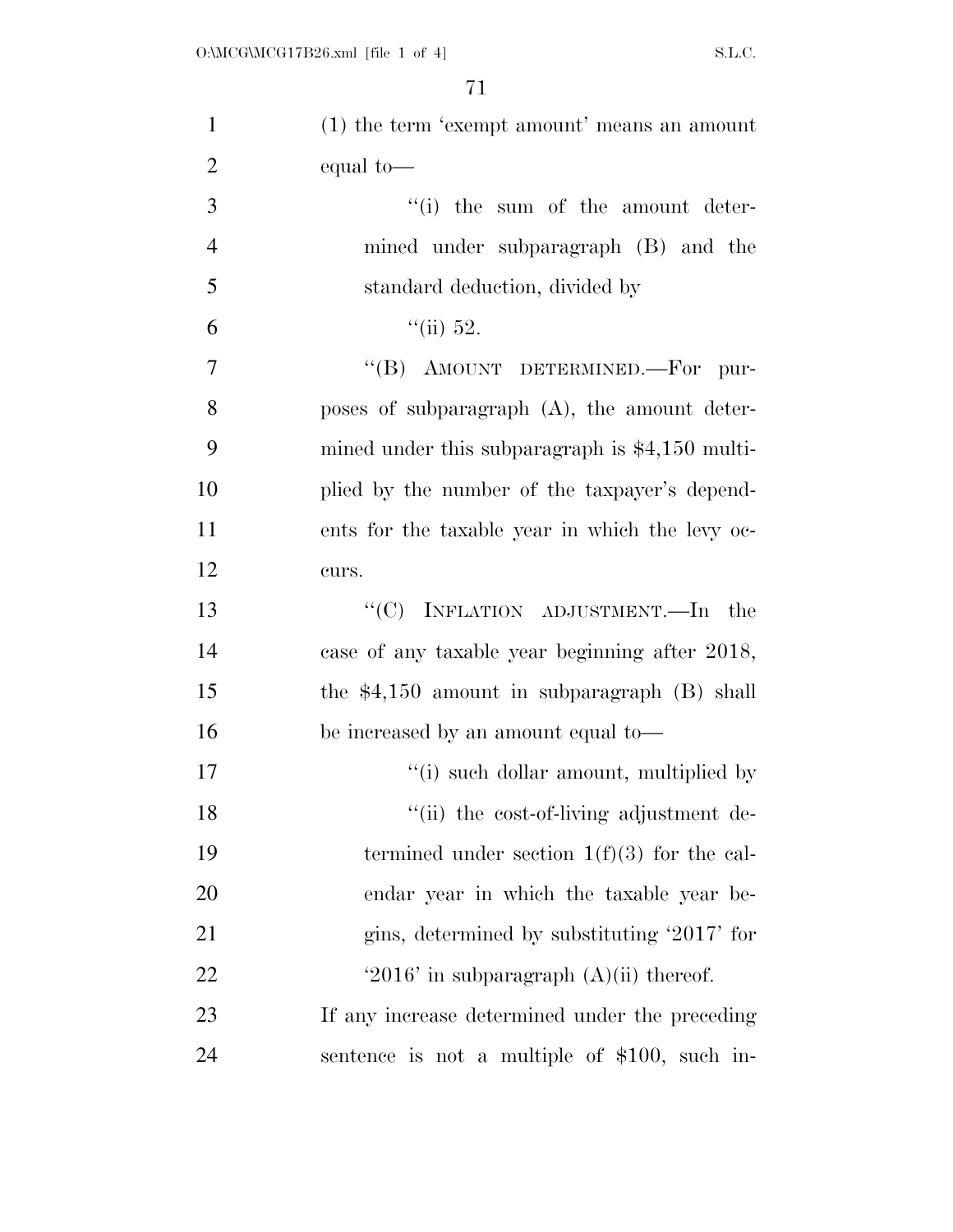| $\mathbf{1}$   | $(1)$ the term 'exempt amount' means an amount   |
|----------------|--------------------------------------------------|
| $\overline{2}$ | equal to-                                        |
| 3              | "(i) the sum of the amount deter-                |
| $\overline{4}$ | mined under subparagraph (B) and the             |
| 5              | standard deduction, divided by                   |
| 6              | ``(ii) 52.                                       |
| $\tau$         | "(B) AMOUNT DETERMINED.-For pur-                 |
| 8              | poses of subparagraph $(A)$ , the amount deter-  |
| 9              | mined under this subparagraph is $$4,150$ multi- |
| 10             | plied by the number of the taxpayer's depend-    |
| 11             | ents for the taxable year in which the levy oc-  |
| 12             | curs.                                            |
| 13             | " $(C)$ INFLATION ADJUSTMENT.—In the             |
| 14             | case of any taxable year beginning after 2018,   |
| 15             | the $$4,150$ amount in subparagraph (B) shall    |
| 16             | be increased by an amount equal to-              |
| 17             | "(i) such dollar amount, multiplied by           |
| 18             | "(ii) the cost-of-living adjustment de-          |
| 19             | termined under section $1(f)(3)$ for the cal-    |
| 20             | endar year in which the taxable year be-         |
| 21             | gins, determined by substituting '2017' for      |
| 22             | '2016' in subparagraph $(A)(ii)$ thereof.        |
| 23             | If any increase determined under the preceding   |
| 24             | sentence is not a multiple of \$100, such in-    |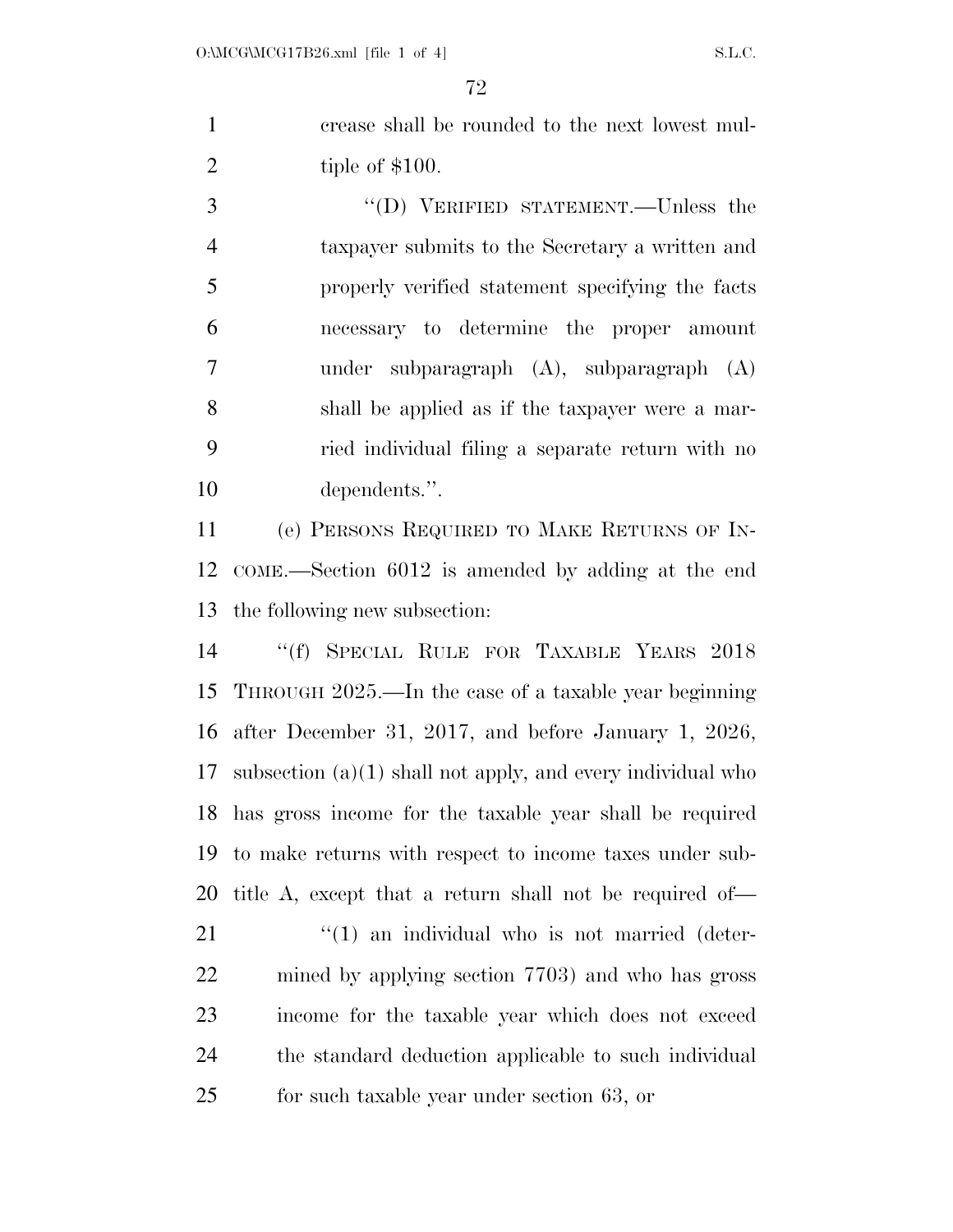crease shall be rounded to the next lowest mul-2 tiple of \$100.

3 "(D) VERIFIED STATEMENT.—Unless the taxpayer submits to the Secretary a written and properly verified statement specifying the facts necessary to determine the proper amount under subparagraph (A), subparagraph (A) shall be applied as if the taxpayer were a mar- ried individual filing a separate return with no dependents.''.

 (e) PERSONS REQUIRED TO MAKE RETURNS OF IN- COME.—Section 6012 is amended by adding at the end the following new subsection:

 ''(f) SPECIAL RULE FOR TAXABLE YEARS 2018 THROUGH 2025.—In the case of a taxable year beginning after December 31, 2017, and before January 1, 2026, subsection (a)(1) shall not apply, and every individual who has gross income for the taxable year shall be required to make returns with respect to income taxes under sub-title A, except that a return shall not be required of—

 "(1) an individual who is not married (deter- mined by applying section 7703) and who has gross income for the taxable year which does not exceed the standard deduction applicable to such individual for such taxable year under section 63, or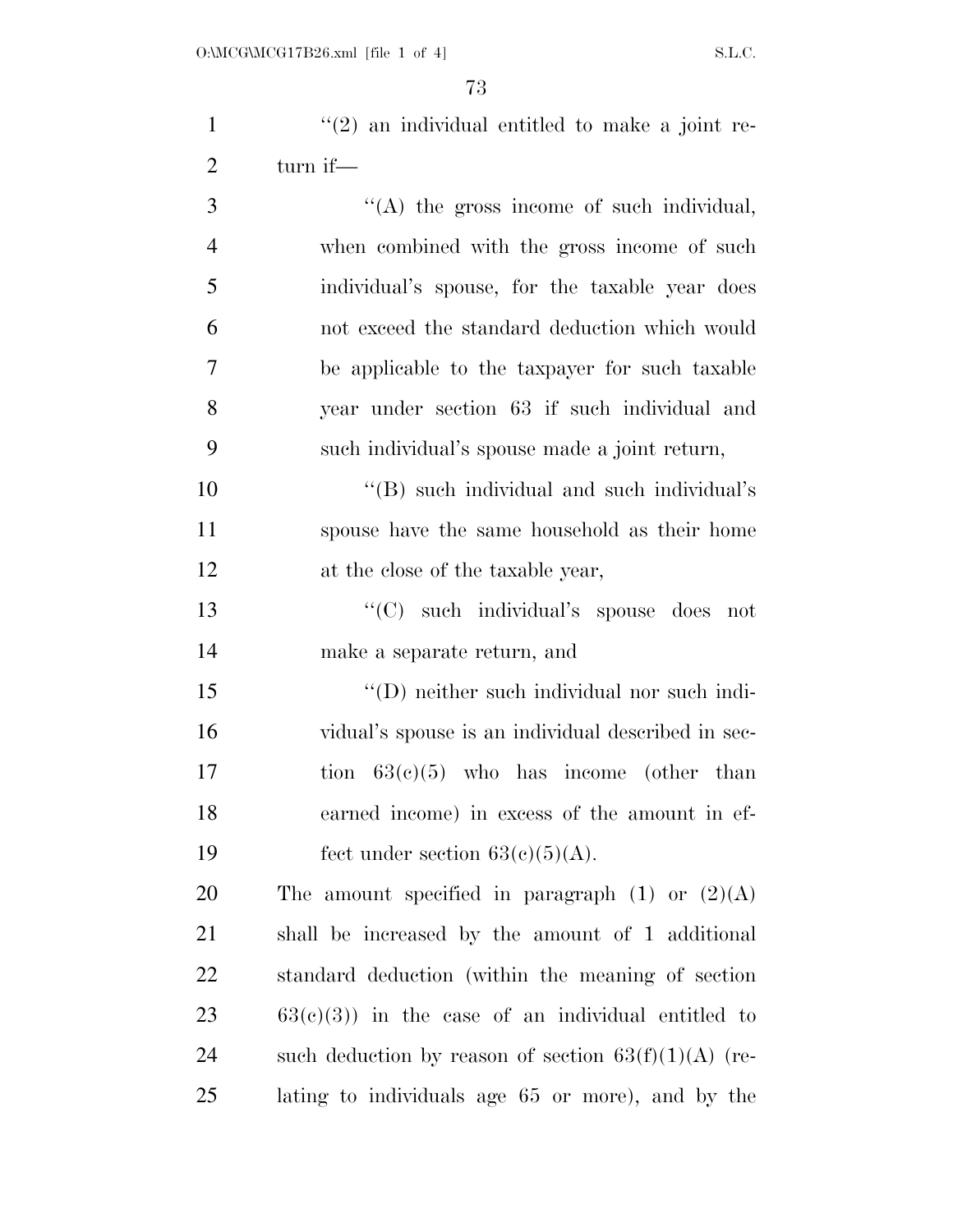| $\mathbf{1}$   | $\lq(2)$ an individual entitled to make a joint re- |
|----------------|-----------------------------------------------------|
| $\overline{2}$ | turn if—                                            |
| 3              | $\lq\lq$ the gross income of such individual,       |
| $\overline{4}$ | when combined with the gross income of such         |
| 5              | individual's spouse, for the taxable year does      |
| 6              | not exceed the standard deduction which would       |
| $\overline{7}$ | be applicable to the taxpayer for such taxable      |
| 8              | year under section 63 if such individual and        |
| 9              | such individual's spouse made a joint return,       |
| 10             | "(B) such individual and such individual's          |
| 11             | spouse have the same household as their home        |
| 12             | at the close of the taxable year,                   |
| 13             | "(C) such individual's spouse does not              |
| 14             | make a separate return, and                         |
| 15             | "(D) neither such individual nor such indi-         |
| 16             | vidual's spouse is an individual described in sec-  |
| 17             | tion $63(c)(5)$ who has income (other than          |
| 18             | earned income) in excess of the amount in ef-       |
| 19             | fect under section $63(c)(5)(A)$ .                  |
| 20             | The amount specified in paragraph $(1)$ or $(2)(A)$ |
| 21             | shall be increased by the amount of 1 additional    |
| 22             | standard deduction (within the meaning of section   |

 63(c)(3)) in the case of an individual entitled to 24 such deduction by reason of section  $63(f)(1)(A)$  (re-lating to individuals age 65 or more), and by the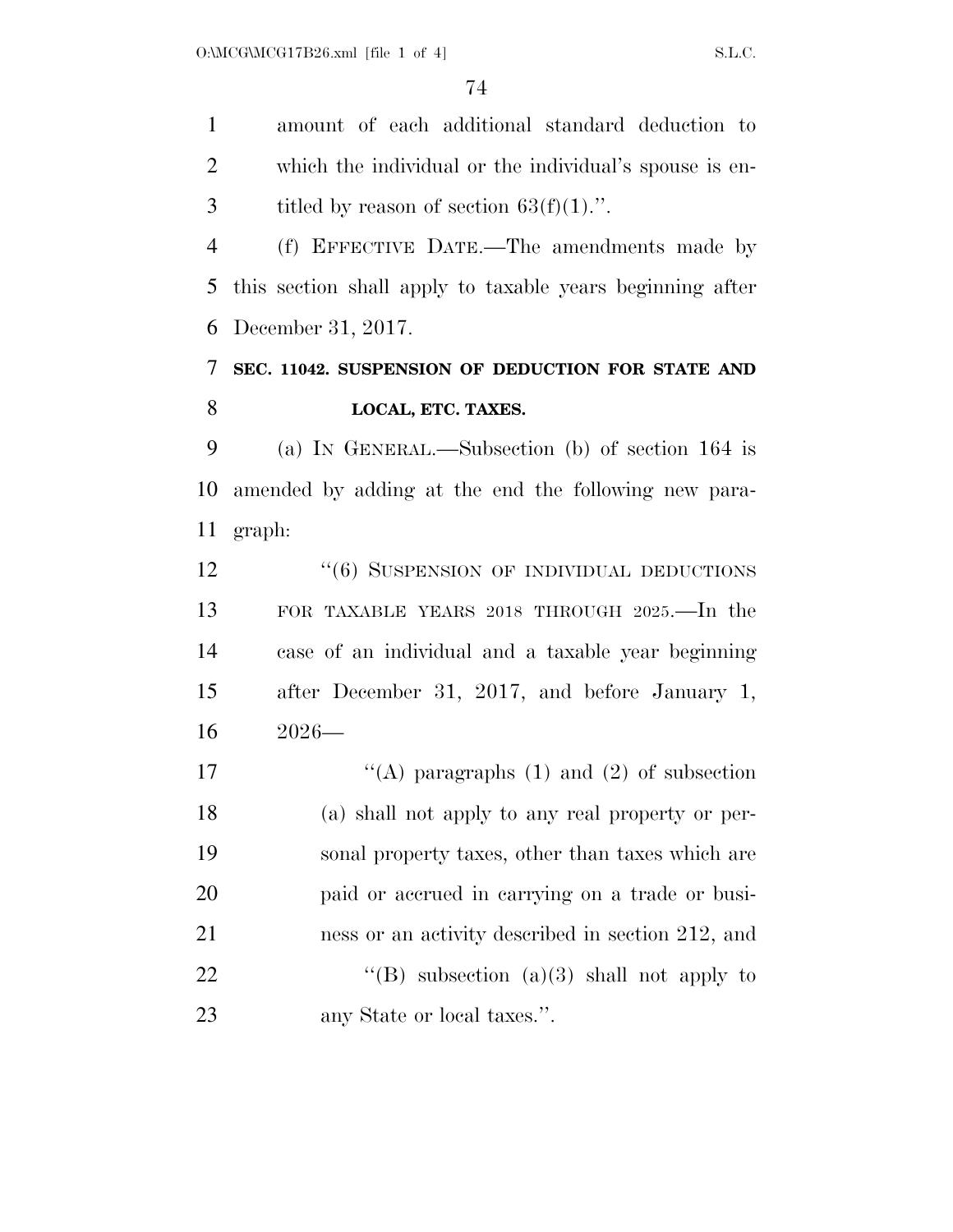amount of each additional standard deduction to which the individual or the individual's spouse is en-3 titled by reason of section  $63(f)(1)$ .".

 (f) EFFECTIVE DATE.—The amendments made by this section shall apply to taxable years beginning after December 31, 2017.

# **SEC. 11042. SUSPENSION OF DEDUCTION FOR STATE AND LOCAL, ETC. TAXES.**

 (a) IN GENERAL.—Subsection (b) of section 164 is amended by adding at the end the following new para-graph:

12 "(6) SUSPENSION OF INDIVIDUAL DEDUCTIONS FOR TAXABLE YEARS 2018 THROUGH 2025.—In the case of an individual and a taxable year beginning after December 31, 2017, and before January 1, 2026—

 $\langle (A)$  paragraphs (1) and (2) of subsection (a) shall not apply to any real property or per- sonal property taxes, other than taxes which are paid or accrued in carrying on a trade or busi- ness or an activity described in section 212, and  $\text{``(B)}$  subsection (a)(3) shall not apply to any State or local taxes.''.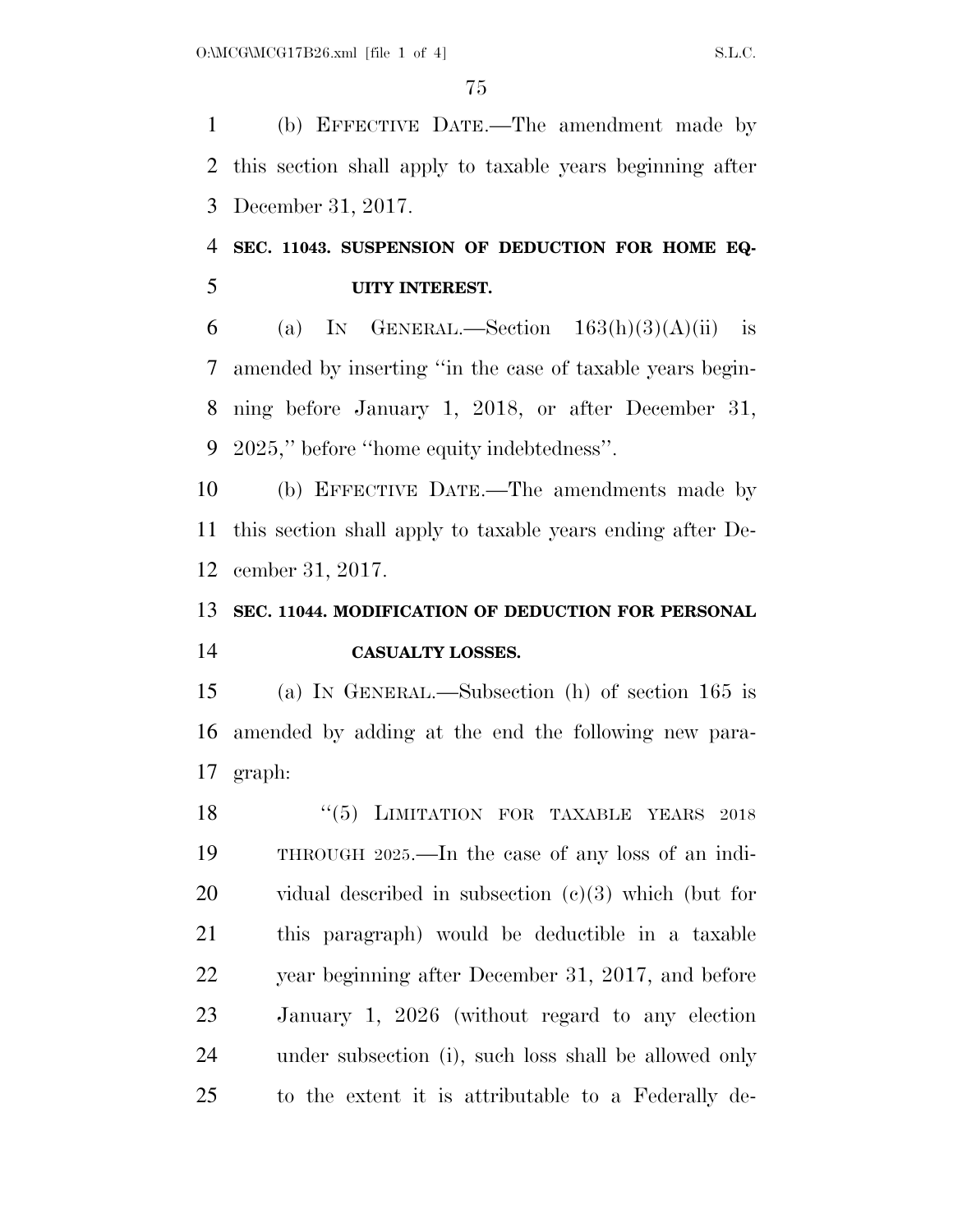(b) EFFECTIVE DATE.—The amendment made by this section shall apply to taxable years beginning after December 31, 2017.

# **SEC. 11043. SUSPENSION OF DEDUCTION FOR HOME EQ-UITY INTEREST.**

6 (a) IN GENERAL.—Section  $163(h)(3)(A)(ii)$  is amended by inserting ''in the case of taxable years begin- ning before January 1, 2018, or after December 31, 2025,'' before ''home equity indebtedness''.

 (b) EFFECTIVE DATE.—The amendments made by this section shall apply to taxable years ending after De-cember 31, 2017.

# **SEC. 11044. MODIFICATION OF DEDUCTION FOR PERSONAL CASUALTY LOSSES.**

 (a) IN GENERAL.—Subsection (h) of section 165 is amended by adding at the end the following new para-graph:

18 "(5) LIMITATION FOR TAXABLE YEARS 2018 THROUGH 2025.—In the case of any loss of an indi- vidual described in subsection (c)(3) which (but for this paragraph) would be deductible in a taxable year beginning after December 31, 2017, and before January 1, 2026 (without regard to any election under subsection (i), such loss shall be allowed only to the extent it is attributable to a Federally de-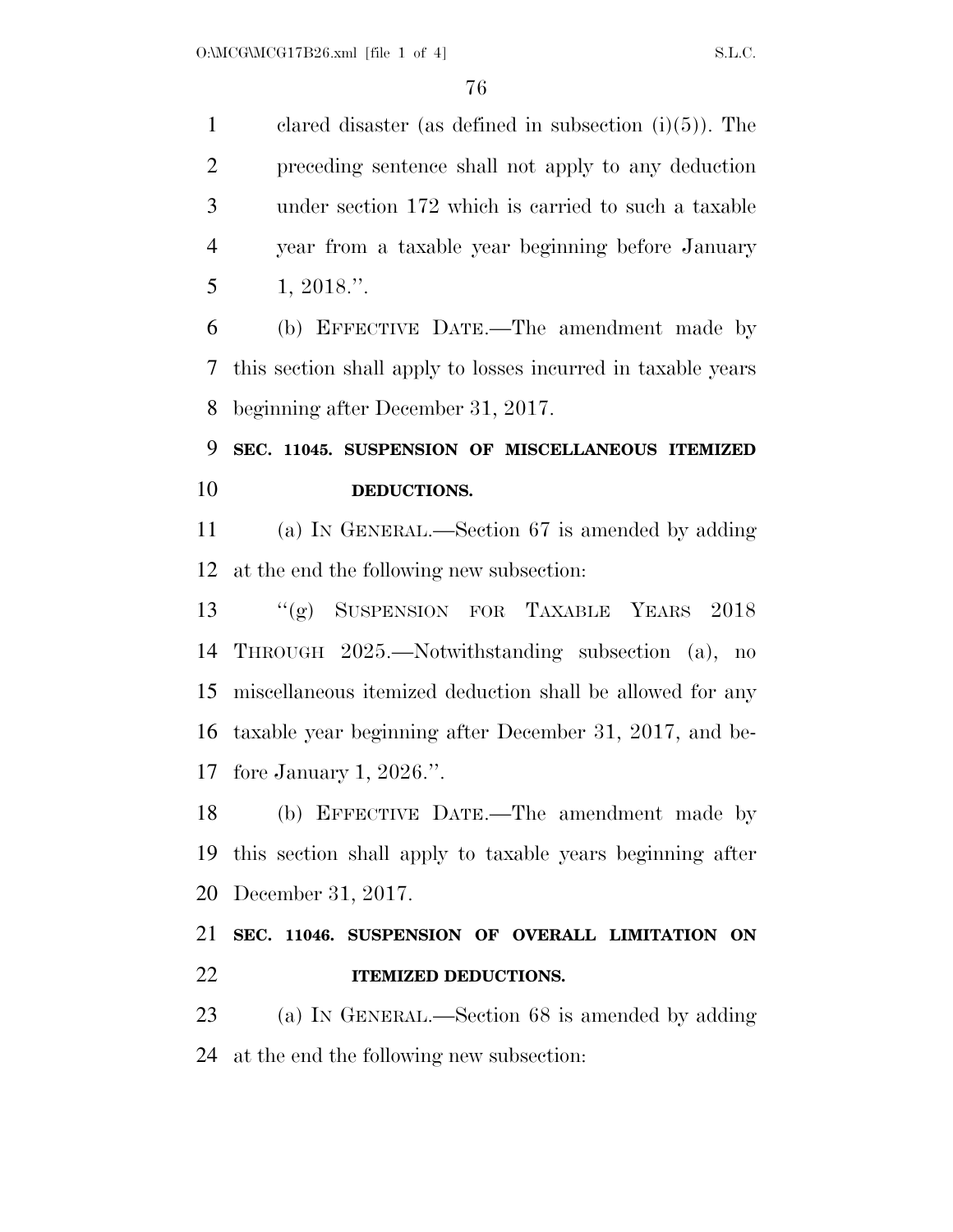clared disaster (as defined in subsection (i)(5)). The preceding sentence shall not apply to any deduction under section 172 which is carried to such a taxable year from a taxable year beginning before January 1, 2018.''.

 (b) EFFECTIVE DATE.—The amendment made by this section shall apply to losses incurred in taxable years beginning after December 31, 2017.

# **SEC. 11045. SUSPENSION OF MISCELLANEOUS ITEMIZED DEDUCTIONS.**

 (a) IN GENERAL.—Section 67 is amended by adding at the end the following new subsection:

 ''(g) SUSPENSION FOR TAXABLE YEARS 2018 THROUGH 2025.—Notwithstanding subsection (a), no miscellaneous itemized deduction shall be allowed for any taxable year beginning after December 31, 2017, and be-fore January 1, 2026.''.

 (b) EFFECTIVE DATE.—The amendment made by this section shall apply to taxable years beginning after December 31, 2017.

## **SEC. 11046. SUSPENSION OF OVERALL LIMITATION ON ITEMIZED DEDUCTIONS.**

 (a) IN GENERAL.—Section 68 is amended by adding at the end the following new subsection: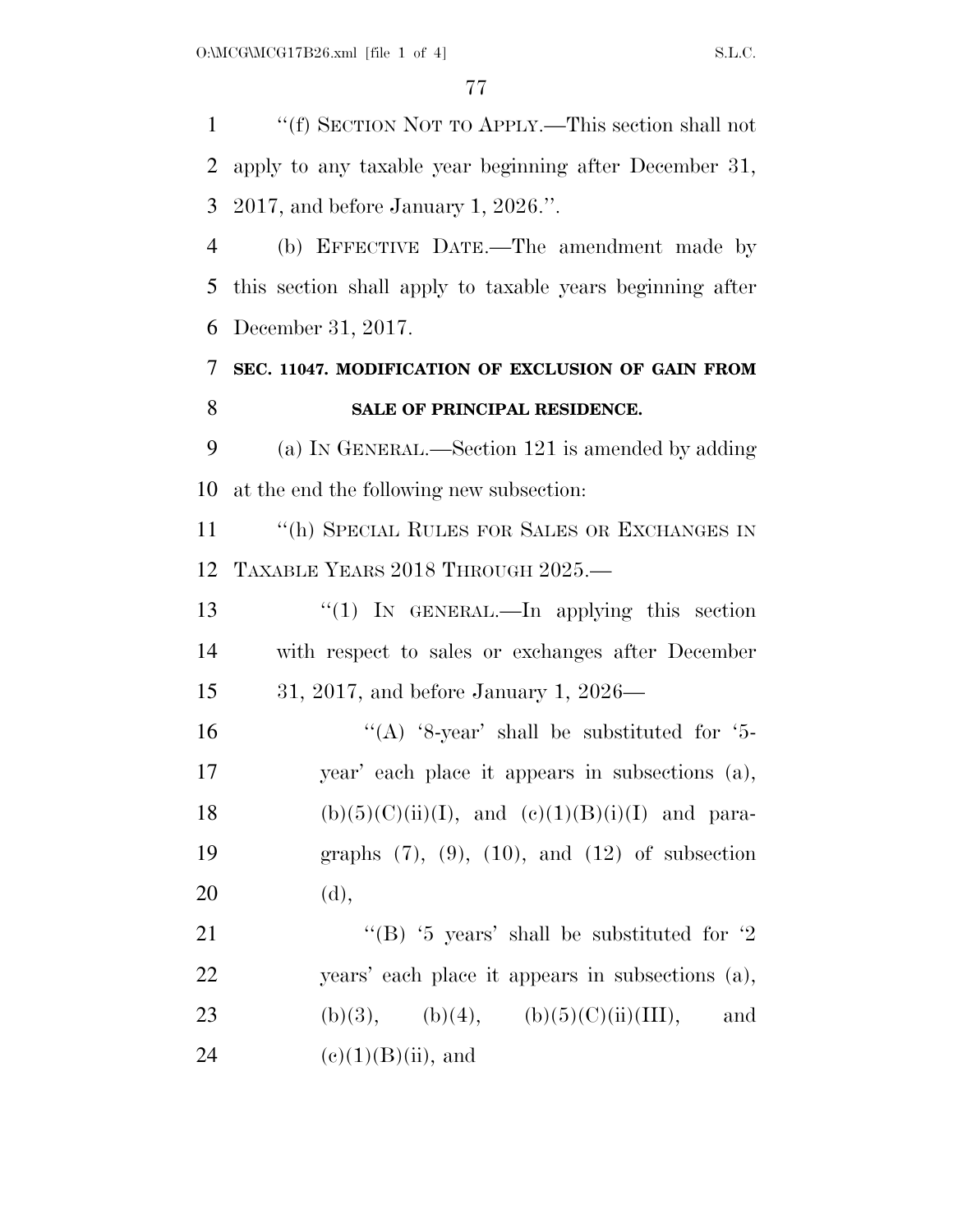''(f) SECTION NOT TO APPLY.—This section shall not apply to any taxable year beginning after December 31, 2017, and before January 1, 2026.''. (b) EFFECTIVE DATE.—The amendment made by this section shall apply to taxable years beginning after December 31, 2017. **SEC. 11047. MODIFICATION OF EXCLUSION OF GAIN FROM SALE OF PRINCIPAL RESIDENCE.**  (a) IN GENERAL.—Section 121 is amended by adding at the end the following new subsection: 11 "(h) SPECIAL RULES FOR SALES OR EXCHANGES IN TAXABLE YEARS 2018 THROUGH 2025.— ''(1) IN GENERAL.—In applying this section with respect to sales or exchanges after December 31, 2017, and before January 1, 2026—  $((A)$  '8-year' shall be substituted for '5- year' each place it appears in subsections (a), 18 (b)(5)(C)(ii)(I), and (e)(1)(B)(i)(I) and para- graphs (7), (9), (10), and (12) of subsection (d),  $\text{``(B)}$  '5 years' shall be substituted for '2 years' each place it appears in subsections (a), 23 (b)(3), (b)(4), (b)(5)(C)(ii)(III), and 24 (e)(1)(B)(ii), and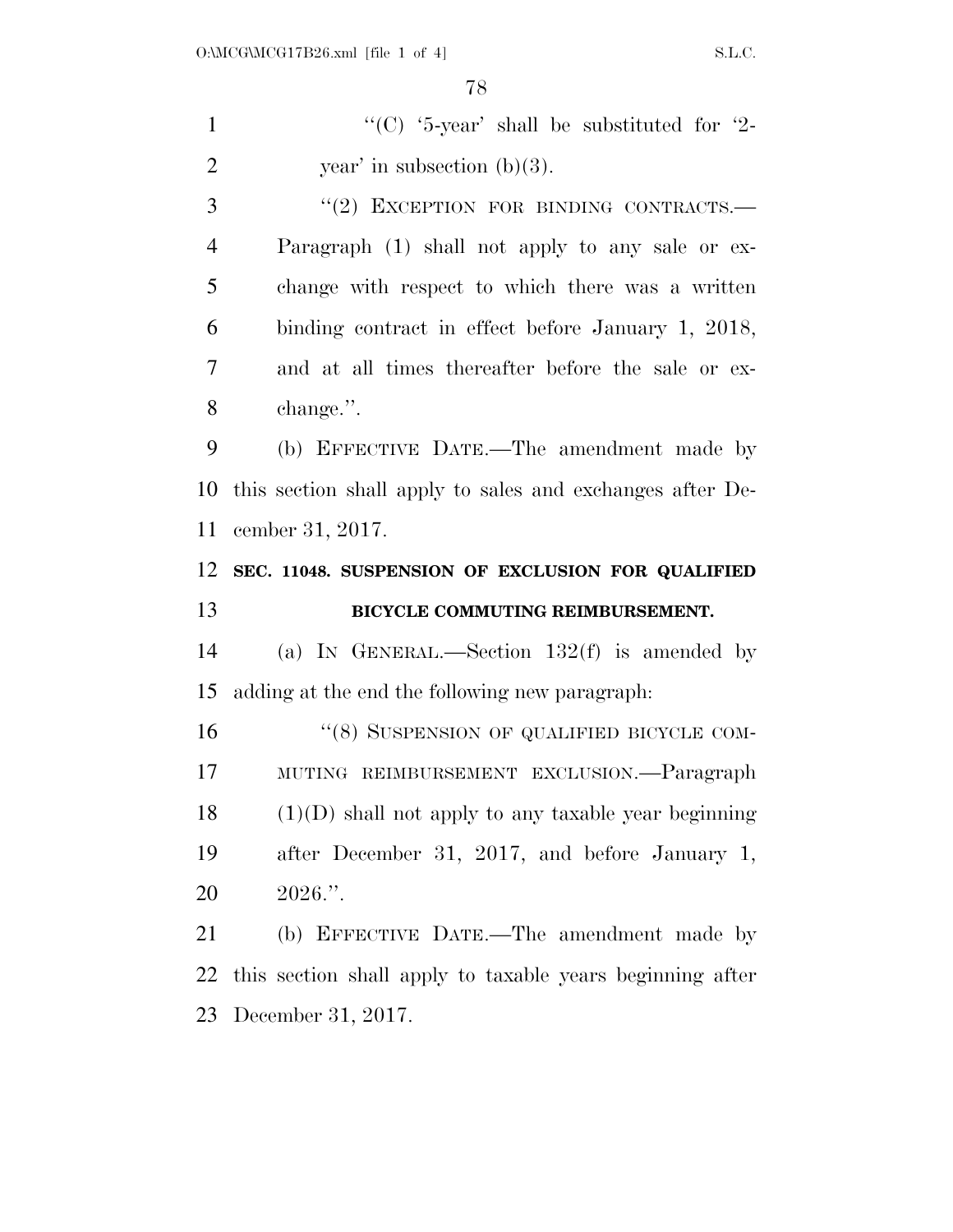1  $"({\rm C})$  '5-year' shall be substituted for '2-2 year' in subsection  $(b)(3)$ . 3 "(2) EXCEPTION FOR BINDING CONTRACTS.—

 Paragraph (1) shall not apply to any sale or ex- change with respect to which there was a written binding contract in effect before January 1, 2018, and at all times thereafter before the sale or ex-change.''.

 (b) EFFECTIVE DATE.—The amendment made by this section shall apply to sales and exchanges after De-cember 31, 2017.

### **SEC. 11048. SUSPENSION OF EXCLUSION FOR QUALIFIED BICYCLE COMMUTING REIMBURSEMENT.**

 (a) IN GENERAL.—Section 132(f) is amended by adding at the end the following new paragraph:

16 "(8) SUSPENSION OF QUALIFIED BICYCLE COM- MUTING REIMBURSEMENT EXCLUSION.—Paragraph (1)(D) shall not apply to any taxable year beginning after December 31, 2017, and before January 1, 2026.''.

 (b) EFFECTIVE DATE.—The amendment made by this section shall apply to taxable years beginning after December 31, 2017.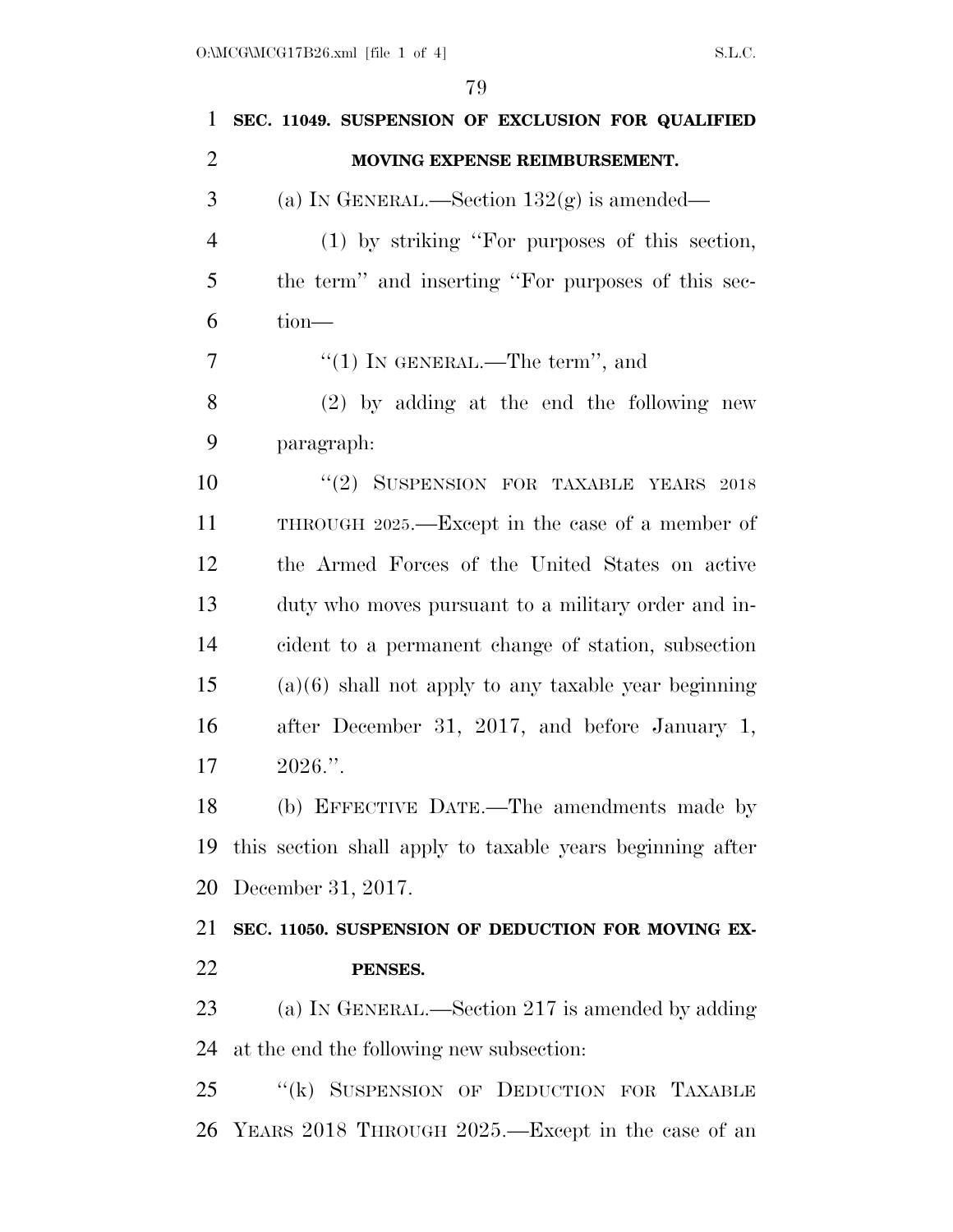| 1              | SEC. 11049. SUSPENSION OF EXCLUSION FOR QUALIFIED         |
|----------------|-----------------------------------------------------------|
| $\overline{2}$ | MOVING EXPENSE REIMBURSEMENT.                             |
| 3              | (a) IN GENERAL.—Section $132(g)$ is amended—              |
| $\overline{4}$ | $(1)$ by striking "For purposes of this section,          |
| 5              | the term" and inserting "For purposes of this sec-        |
| 6              | $tion$ —                                                  |
| 7              | "(1) IN GENERAL.—The term", and                           |
| 8              | $(2)$ by adding at the end the following new              |
| 9              | paragraph:                                                |
| 10             | "(2) SUSPENSION FOR TAXABLE YEARS 2018                    |
| 11             | THROUGH 2025.—Except in the case of a member of           |
| 12             | the Armed Forces of the United States on active           |
| 13             | duty who moves pursuant to a military order and in-       |
| 14             | cident to a permanent change of station, subsection       |
| 15             | $(a)(6)$ shall not apply to any taxable year beginning    |
| 16             | after December 31, 2017, and before January 1,            |
| 17             | $2026$ .".                                                |
| 18             | (b) EFFECTIVE DATE.—The amendments made by                |
| 19             | this section shall apply to taxable years beginning after |
| 20             | December 31, 2017.                                        |
| 21             | SEC. 11050. SUSPENSION OF DEDUCTION FOR MOVING EX-        |
| 22             | PENSES.                                                   |
| 23             | (a) IN GENERAL.—Section 217 is amended by adding          |
| 24             | at the end the following new subsection:                  |
| 25             | "(k) SUSPENSION OF DEDUCTION FOR TAXABLE                  |
| 26             | YEARS 2018 THROUGH 2025.—Except in the case of an         |
|                |                                                           |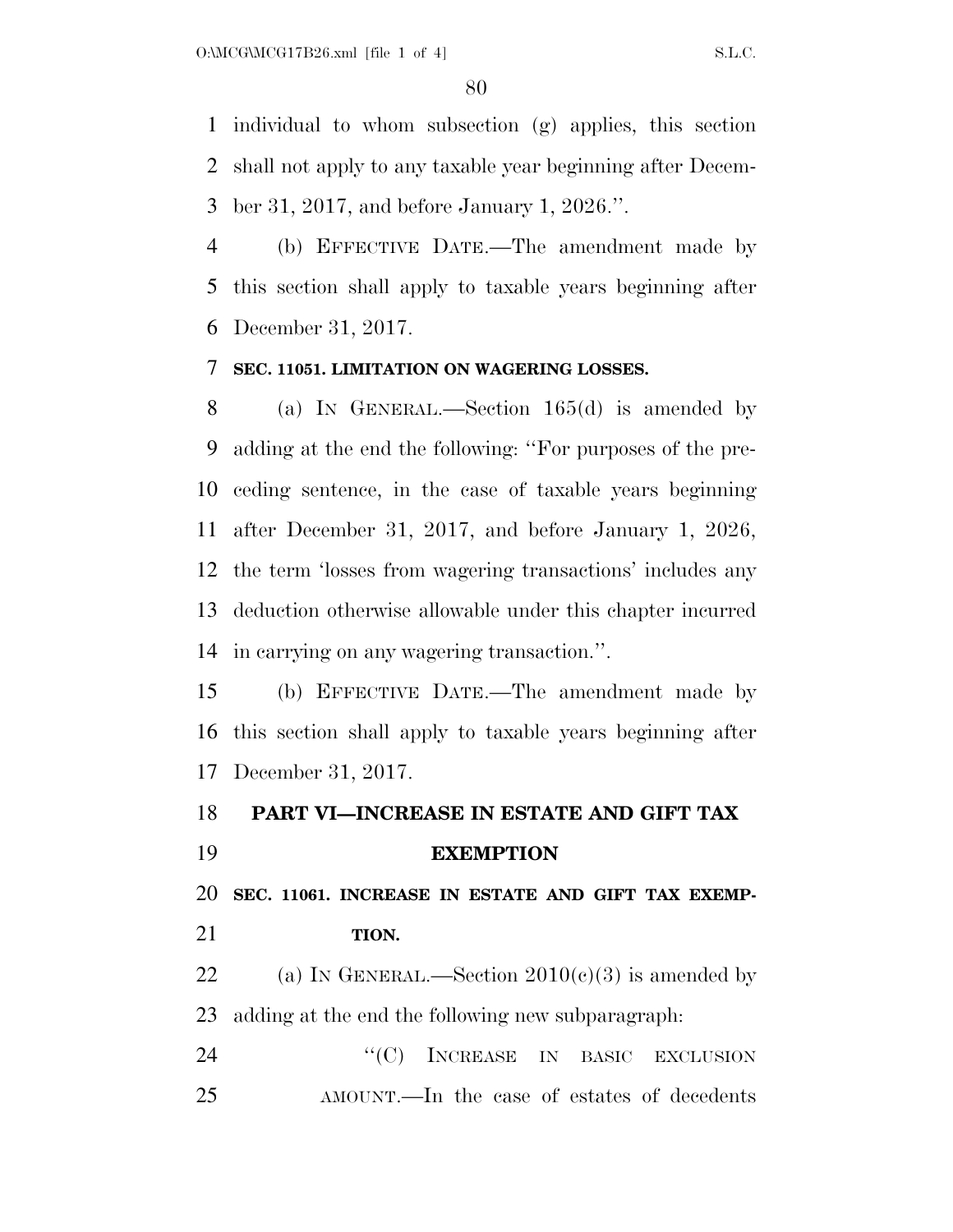individual to whom subsection (g) applies, this section shall not apply to any taxable year beginning after Decem-ber 31, 2017, and before January 1, 2026.''.

 (b) EFFECTIVE DATE.—The amendment made by this section shall apply to taxable years beginning after December 31, 2017.

#### **SEC. 11051. LIMITATION ON WAGERING LOSSES.**

 (a) IN GENERAL.—Section 165(d) is amended by adding at the end the following: ''For purposes of the pre- ceding sentence, in the case of taxable years beginning after December 31, 2017, and before January 1, 2026, the term 'losses from wagering transactions' includes any deduction otherwise allowable under this chapter incurred in carrying on any wagering transaction.''.

 (b) EFFECTIVE DATE.—The amendment made by this section shall apply to taxable years beginning after December 31, 2017.

### **PART VI—INCREASE IN ESTATE AND GIFT TAX EXEMPTION**

 **SEC. 11061. INCREASE IN ESTATE AND GIFT TAX EXEMP-TION.** 

22 (a) IN GENERAL.—Section  $2010(c)(3)$  is amended by adding at the end the following new subparagraph:

24 "(C) INCREASE IN BASIC EXCLUSION AMOUNT.—In the case of estates of decedents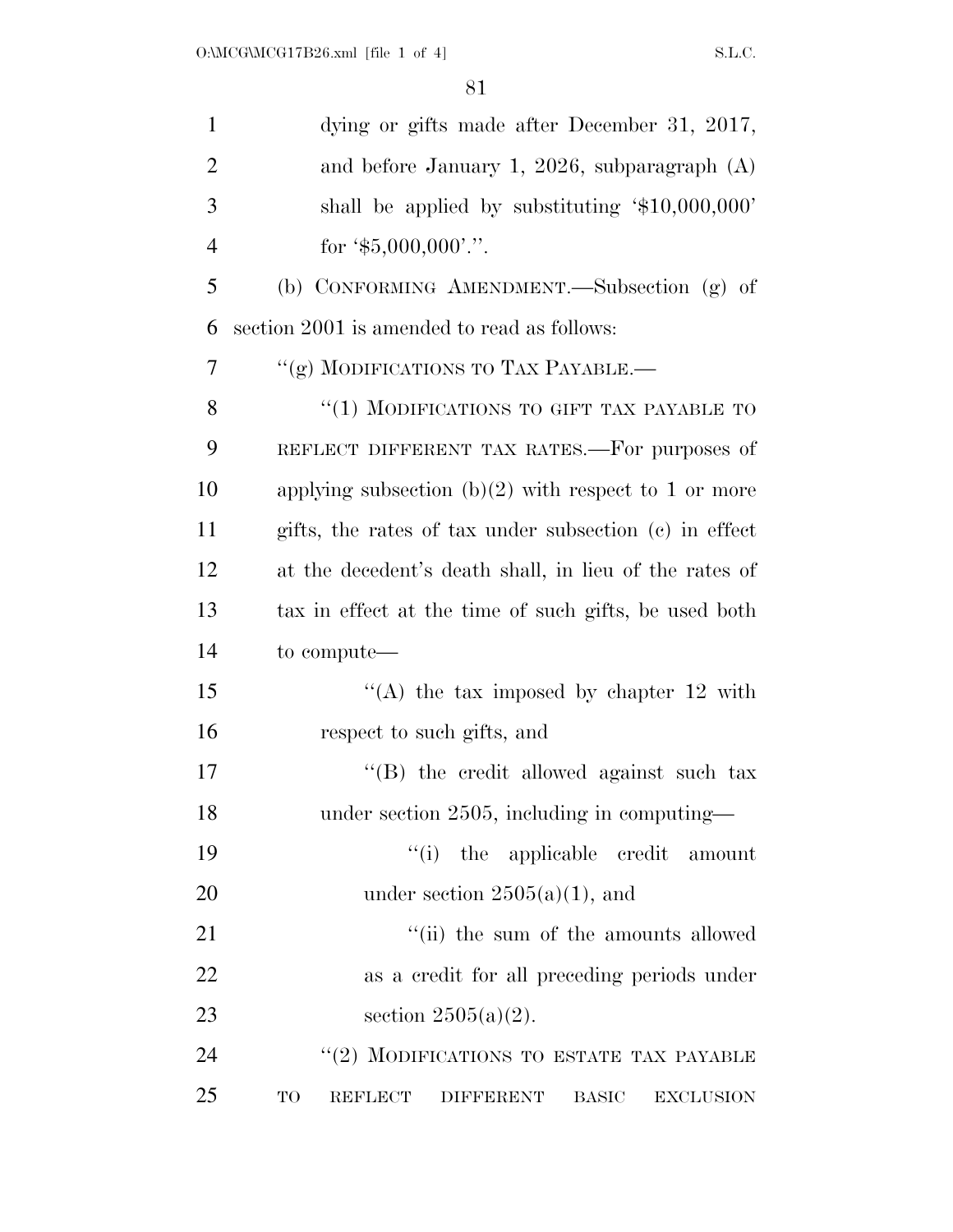| $\mathbf{1}$   | dying or gifts made after December 31, 2017,                                 |
|----------------|------------------------------------------------------------------------------|
| $\overline{2}$ | and before January 1, 2026, subparagraph $(A)$                               |
| 3              | shall be applied by substituting '\$10,000,000'                              |
| $\overline{4}$ | for $\text{\$}5,000,000$ .".                                                 |
| 5              | (b) CONFORMING AMENDMENT.—Subsection (g) of                                  |
| 6              | section 2001 is amended to read as follows:                                  |
| 7              | "(g) MODIFICATIONS TO TAX PAYABLE.-                                          |
| 8              | "(1) MODIFICATIONS TO GIFT TAX PAYABLE TO                                    |
| 9              | REFLECT DIFFERENT TAX RATES.—For purposes of                                 |
| 10             | applying subsection $(b)(2)$ with respect to 1 or more                       |
| 11             | gifts, the rates of tax under subsection (c) in effect                       |
| 12             | at the decedent's death shall, in lieu of the rates of                       |
| 13             | tax in effect at the time of such gifts, be used both                        |
| 14             | to compute—                                                                  |
| 15             | "(A) the tax imposed by chapter $12$ with                                    |
| 16             | respect to such gifts, and                                                   |
| 17             | "(B) the credit allowed against such tax                                     |
| 18             | under section 2505, including in computing-                                  |
| 19             | "(i) the applicable credit<br>amount                                         |
| 20             | under section $2505(a)(1)$ , and                                             |
| 21             | "(ii) the sum of the amounts allowed                                         |
| 22             | as a credit for all preceding periods under                                  |
| 23             | section $2505(a)(2)$ .                                                       |
| 24             | "(2) MODIFICATIONS TO ESTATE TAX PAYABLE                                     |
| 25             | TO<br><b>REFLECT</b><br><b>BASIC</b><br><b>EXCLUSION</b><br><b>DIFFERENT</b> |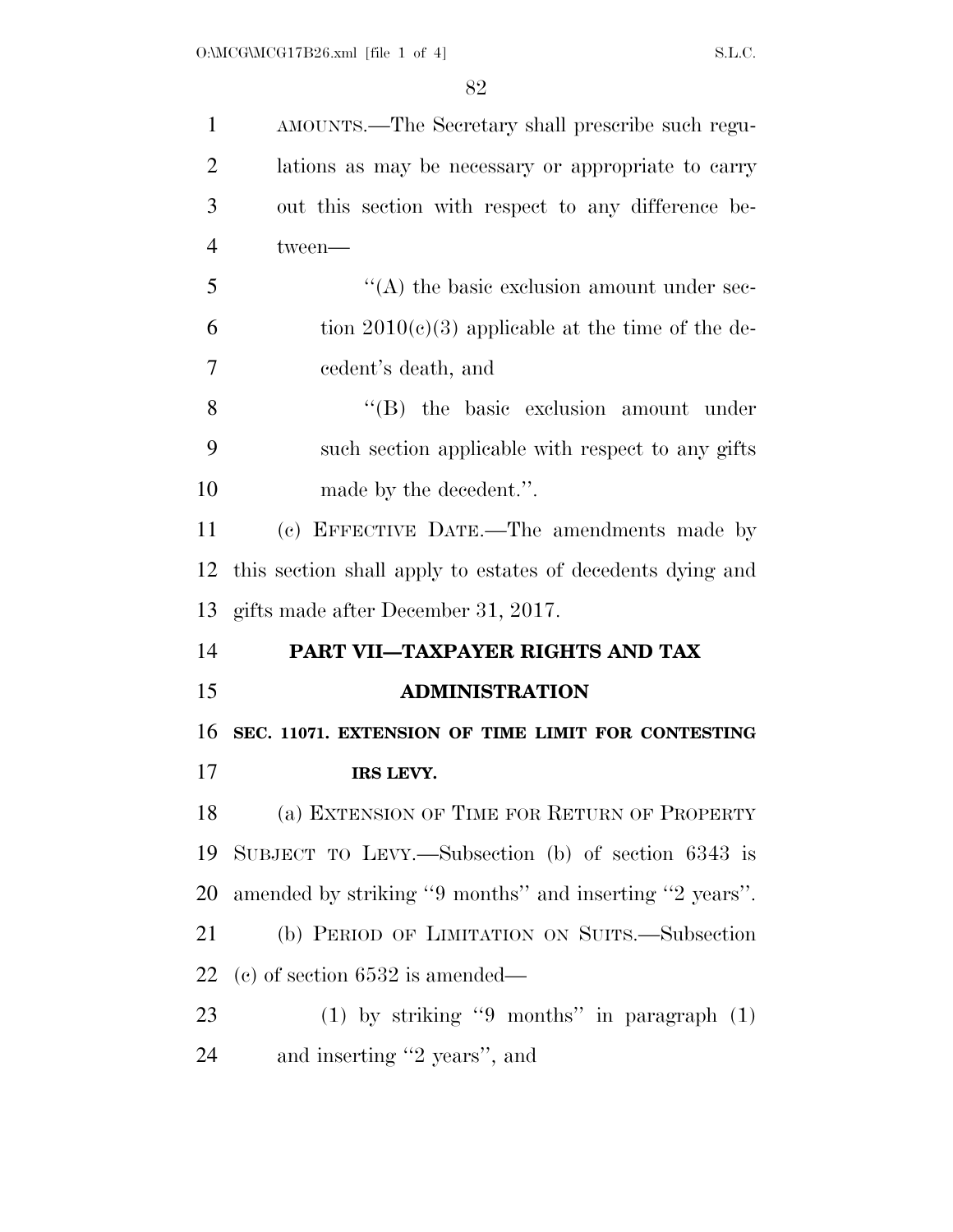| $\mathbf{1}$         | AMOUNTS.—The Secretary shall prescribe such regu-          |
|----------------------|------------------------------------------------------------|
| $\overline{2}$       | lations as may be necessary or appropriate to carry        |
| 3                    | out this section with respect to any difference be-        |
| $\overline{4}$       | tween-                                                     |
| 5                    | $\lq\lq$ the basic exclusion amount under sec-             |
| 6                    | tion $2010(c)(3)$ applicable at the time of the de-        |
| 7                    | cedent's death, and                                        |
| 8                    | $\lq\lq$ the basic exclusion amount under                  |
| 9                    | such section applicable with respect to any gifts          |
| 10                   | made by the decedent.".                                    |
| 11                   | (c) EFFECTIVE DATE.—The amendments made by                 |
| 12                   | this section shall apply to estates of decedents dying and |
| 13                   | gifts made after December 31, 2017.                        |
|                      |                                                            |
|                      | PART VII-TAXPAYER RIGHTS AND TAX                           |
|                      | <b>ADMINISTRATION</b>                                      |
|                      | SEC. 11071. EXTENSION OF TIME LIMIT FOR CONTESTING         |
| 14<br>15<br>16<br>17 | IRS LEVY.                                                  |
| 18                   | (a) EXTENSION OF TIME FOR RETURN OF PROPERTY               |
| 19                   | SUBJECT TO LEVY.—Subsection (b) of section $6343$ is       |
| 20                   | amended by striking "9 months" and inserting "2 years".    |
| 21                   | (b) PERIOD OF LIMITATION ON SUITS.—Subsection              |
| 22                   | (c) of section $6532$ is amended—                          |
| 23                   | $(1)$ by striking "9 months" in paragraph $(1)$            |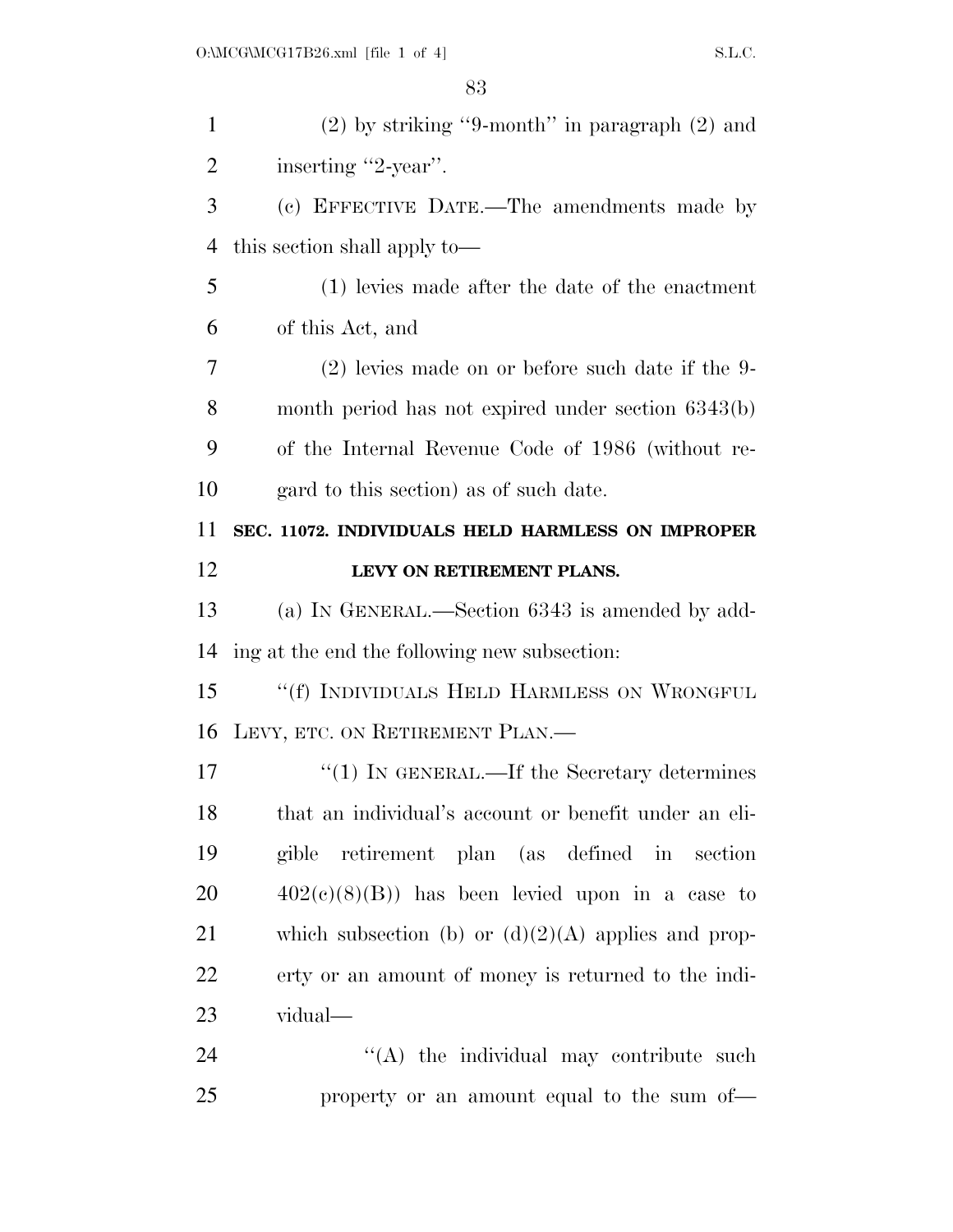| $\mathbf{1}$ | $(2)$ by striking "9-month" in paragraph $(2)$ and    |
|--------------|-------------------------------------------------------|
| 2            | inserting "2-year".                                   |
| 3            | (c) EFFECTIVE DATE.—The amendments made by            |
| 4            | this section shall apply to—                          |
| 5            | (1) levies made after the date of the enactment       |
| 6            | of this Act, and                                      |
| 7            | $(2)$ levies made on or before such date if the 9-    |
| 8            | month period has not expired under section 6343(b)    |
| 9            | of the Internal Revenue Code of 1986 (without re-     |
| 10           | gard to this section) as of such date.                |
| 11           | SEC. 11072. INDIVIDUALS HELD HARMLESS ON IMPROPER     |
| 12           | LEVY ON RETIREMENT PLANS.                             |
| 13           | (a) IN GENERAL.—Section 6343 is amended by add-       |
| 14           | ing at the end the following new subsection:          |
| 15           | "(f) INDIVIDUALS HELD HARMLESS ON WRONGFUL            |
| 16           | LEVY, ETC. ON RETIREMENT PLAN.                        |
| 17           | $\lq(1)$ In GENERAL.—If the Secretary determines      |
| 18           | that an individual's account or benefit under an eli- |
| 19           | gible retirement plan (as defined in section          |
| 20           | $402(c)(8)(B)$ has been levied upon in a case to      |
| 21           | which subsection (b) or $(d)(2)(A)$ applies and prop- |
| 22           | erty or an amount of money is returned to the indi-   |
| 23           | vidual—                                               |
| 24           | $\lq\lq$ the individual may contribute such           |
| 25           | property or an amount equal to the sum of-            |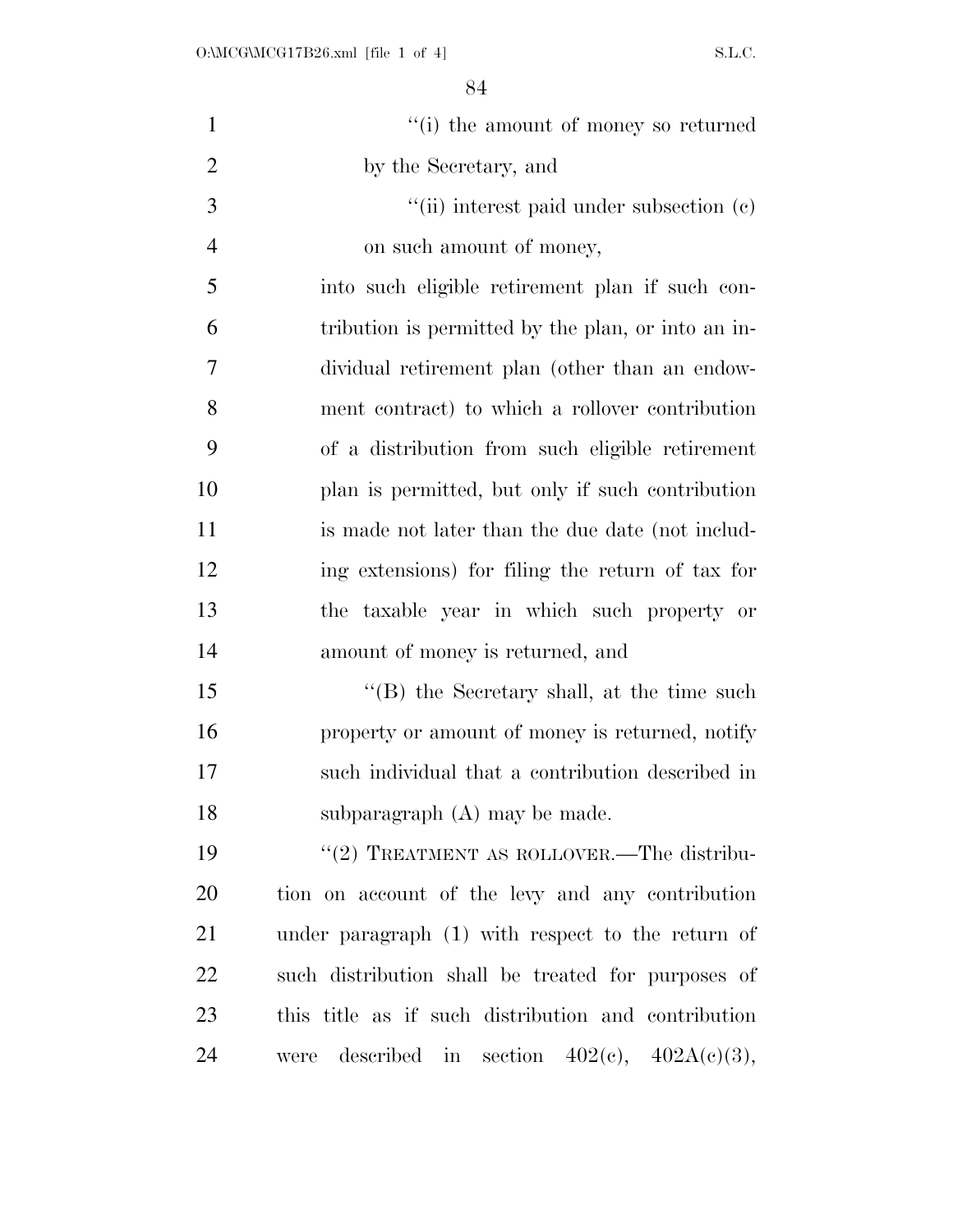| $\mathbf{1}$   | "(i) the amount of money so returned                |
|----------------|-----------------------------------------------------|
| $\overline{2}$ | by the Secretary, and                               |
| 3              | "(ii) interest paid under subsection $(e)$          |
| $\overline{4}$ | on such amount of money,                            |
| 5              | into such eligible retirement plan if such con-     |
| 6              | tribution is permitted by the plan, or into an in-  |
| 7              | dividual retirement plan (other than an endow-      |
| 8              | ment contract) to which a rollover contribution     |
| 9              | of a distribution from such eligible retirement     |
| 10             | plan is permitted, but only if such contribution    |
| 11             | is made not later than the due date (not includ-    |
| 12             | ing extensions) for filing the return of tax for    |
| 13             | the taxable year in which such property or          |
| 14             | amount of money is returned, and                    |
| 15             | $\lq$ (B) the Secretary shall, at the time such     |
| 16             | property or amount of money is returned, notify     |
| 17             | such individual that a contribution described in    |
| 18             | subparagraph $(A)$ may be made.                     |
| 19             | "(2) TREATMENT AS ROLLOVER.—The distribu-           |
| 20             | tion on account of the levy and any contribution    |
| 21             | under paragraph (1) with respect to the return of   |
| 22             | such distribution shall be treated for purposes of  |
| 23             | this title as if such distribution and contribution |
| 24             | were described in section $402(e)$ , $402A(e)(3)$ , |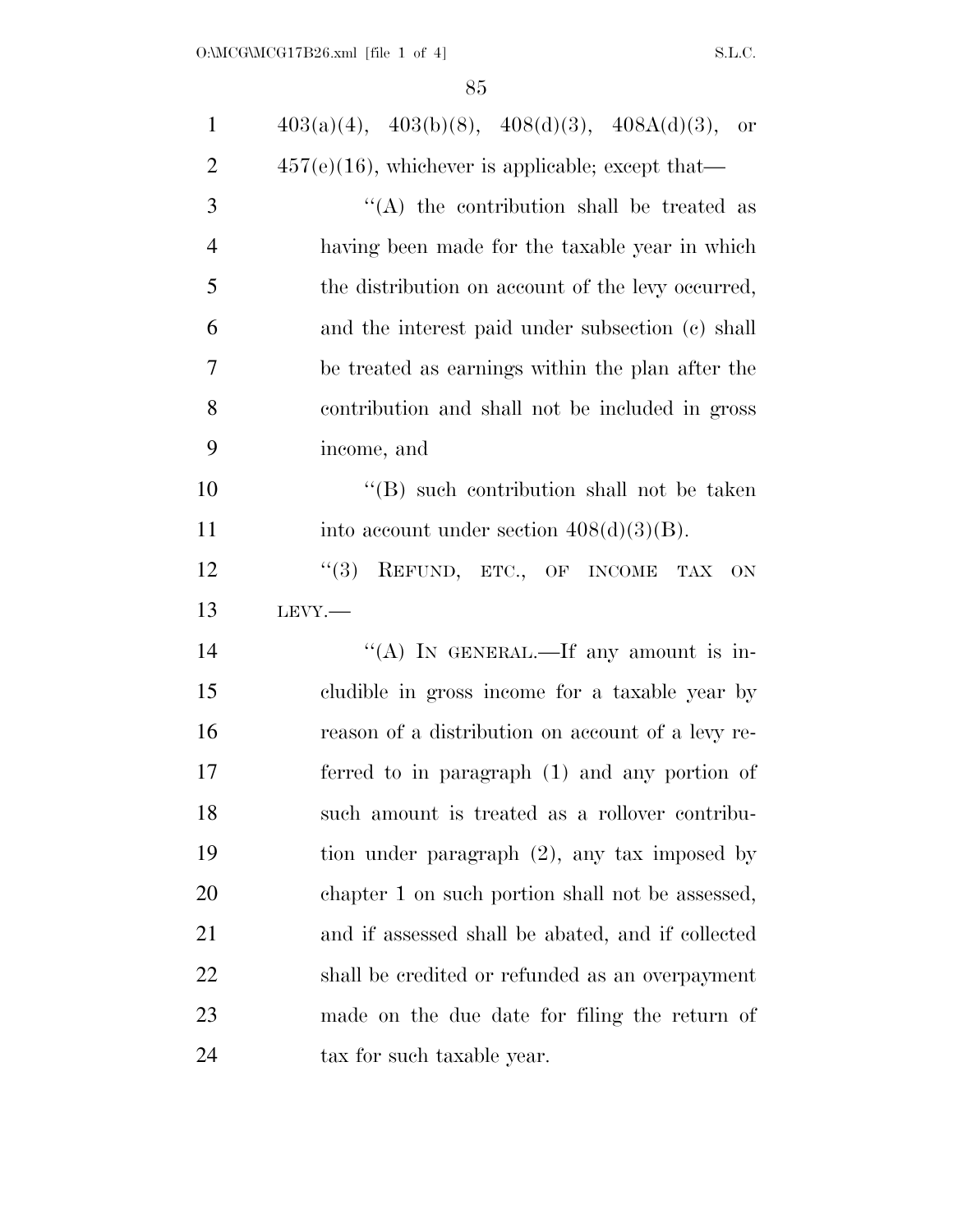| $\mathbf{1}$   | $403(a)(4)$ , $403(b)(8)$ , $408(d)(3)$ , $408A(d)(3)$ , or |
|----------------|-------------------------------------------------------------|
| $\overline{2}$ | $457(e)(16)$ , whichever is applicable; except that—        |
| 3              | $\lq\lq$ the contribution shall be treated as               |
| $\overline{4}$ | having been made for the taxable year in which              |
| 5              | the distribution on account of the levy occurred,           |
| 6              | and the interest paid under subsection (c) shall            |
| 7              | be treated as earnings within the plan after the            |
| 8              | contribution and shall not be included in gross             |
| 9              | income, and                                                 |
| 10             | "(B) such contribution shall not be taken                   |
| 11             | into account under section $408(d)(3)(B)$ .                 |
| 12             | (3)<br>REFUND, ETC., OF INCOME TAX<br>ON                    |
| 13             | $LEVY$ .                                                    |
| 14             | "(A) IN GENERAL.—If any amount is in-                       |
| 15             | cludible in gross income for a taxable year by              |
| 16             | reason of a distribution on account of a levy re-           |
| 17             | ferred to in paragraph (1) and any portion of               |
| 18             | such amount is treated as a rollover contribu-              |
| 19             | tion under paragraph $(2)$ , any tax imposed by             |
| 20             | chapter 1 on such portion shall not be assessed,            |
| 21             | and if assessed shall be abated, and if collected           |
| 22             | shall be credited or refunded as an overpayment             |
| 23             |                                                             |
|                | made on the due date for filing the return of               |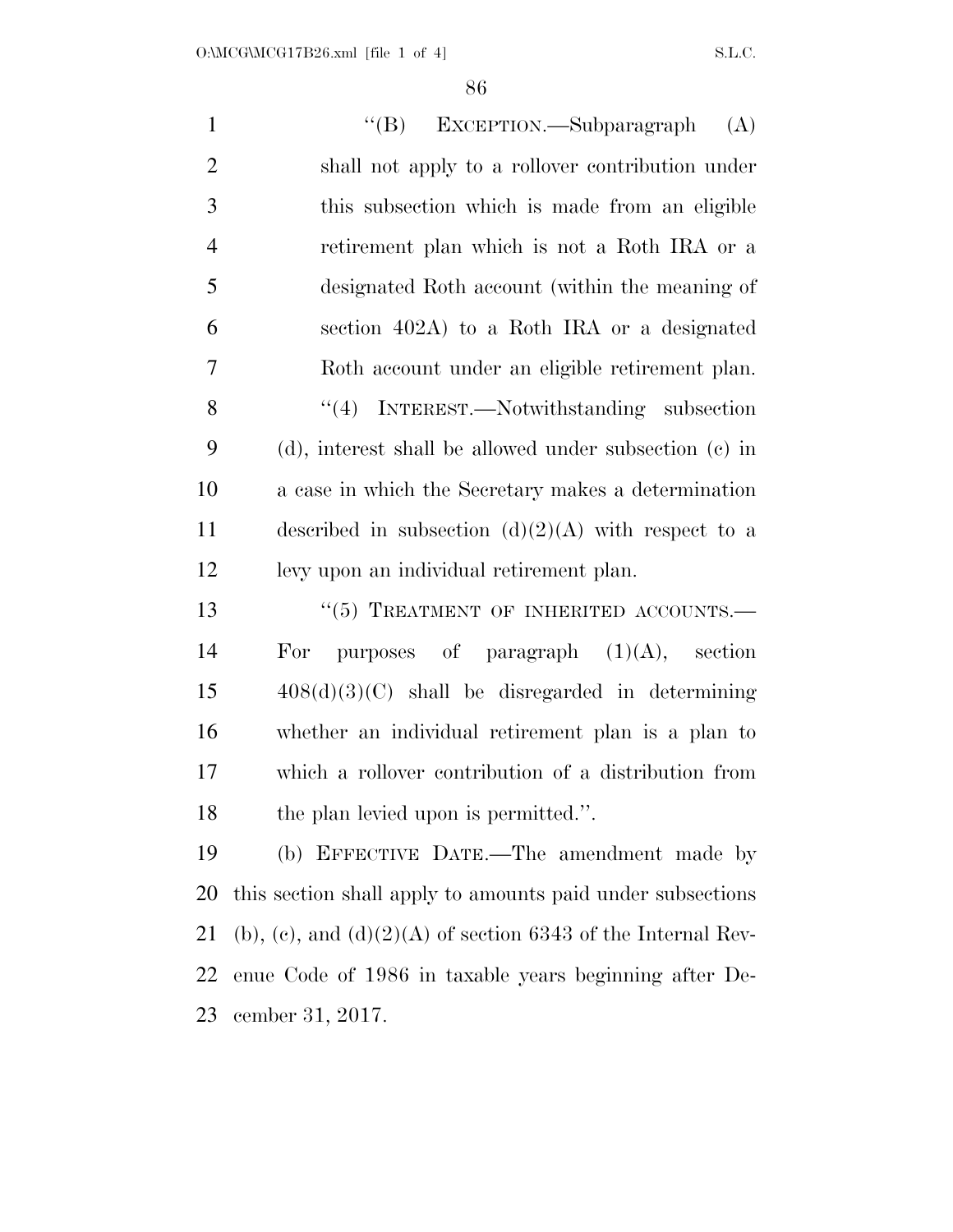| $\mathbf{1}$   | "(B) EXCEPTION.—Subparagraph<br>(A)                            |
|----------------|----------------------------------------------------------------|
| $\mathbf{2}$   | shall not apply to a rollover contribution under               |
| $\mathfrak{Z}$ | this subsection which is made from an eligible                 |
| $\overline{4}$ | retirement plan which is not a Roth IRA or a                   |
| 5              | designated Roth account (within the meaning of                 |
| 6              | section 402A) to a Roth IRA or a designated                    |
| $\overline{7}$ | Roth account under an eligible retirement plan.                |
| 8              | "(4) INTEREST.—Notwithstanding subsection                      |
| 9              | (d), interest shall be allowed under subsection (c) in         |
| 10             | a case in which the Secretary makes a determination            |
| 11             | described in subsection $(d)(2)(A)$ with respect to a          |
| 12             | levy upon an individual retirement plan.                       |
| 13             | "(5) TREATMENT OF INHERITED ACCOUNTS.-                         |
| 14             | For purposes of paragraph $(1)(A)$ , section                   |
| 15             | $408(d)(3)(C)$ shall be disregarded in determining             |
| 16             | whether an individual retirement plan is a plan to             |
| 17             | which a rollover contribution of a distribution from           |
| 18             | the plan levied upon is permitted.".                           |
| 19             | (b) EFFECTIVE DATE.—The amendment made by                      |
| 20             | this section shall apply to amounts paid under subsections     |
| 21             | (b), (c), and $(d)(2)(A)$ of section 6343 of the Internal Rev- |
| 22             | enue Code of 1986 in taxable years beginning after De-         |
| 23             | cember 31, 2017.                                               |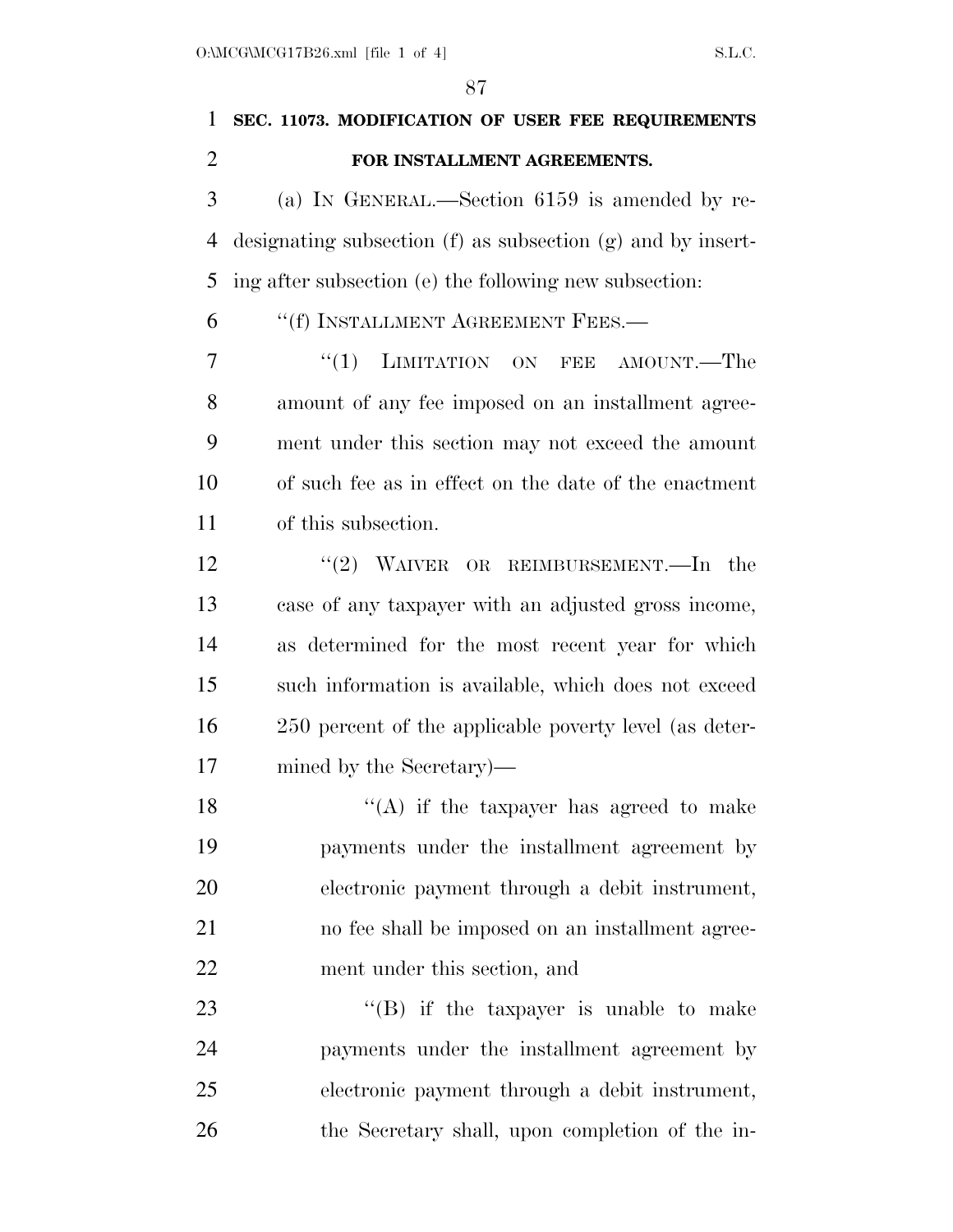# **SEC. 11073. MODIFICATION OF USER FEE REQUIREMENTS FOR INSTALLMENT AGREEMENTS.**

 (a) IN GENERAL.—Section 6159 is amended by re- designating subsection (f) as subsection (g) and by insert-ing after subsection (e) the following new subsection:

''(f) INSTALLMENT AGREEMENT FEES.—

7 "(1) LIMITATION ON FEE AMOUNT.—The amount of any fee imposed on an installment agree- ment under this section may not exceed the amount of such fee as in effect on the date of the enactment of this subsection.

12 "(2) WAIVER OR REIMBURSEMENT.—In the case of any taxpayer with an adjusted gross income, as determined for the most recent year for which such information is available, which does not exceed 250 percent of the applicable poverty level (as deter-mined by the Secretary)—

 $"$ (A) if the taxpayer has agreed to make payments under the installment agreement by electronic payment through a debit instrument, no fee shall be imposed on an installment agree-ment under this section, and

23 "'(B) if the taxpayer is unable to make payments under the installment agreement by electronic payment through a debit instrument, the Secretary shall, upon completion of the in-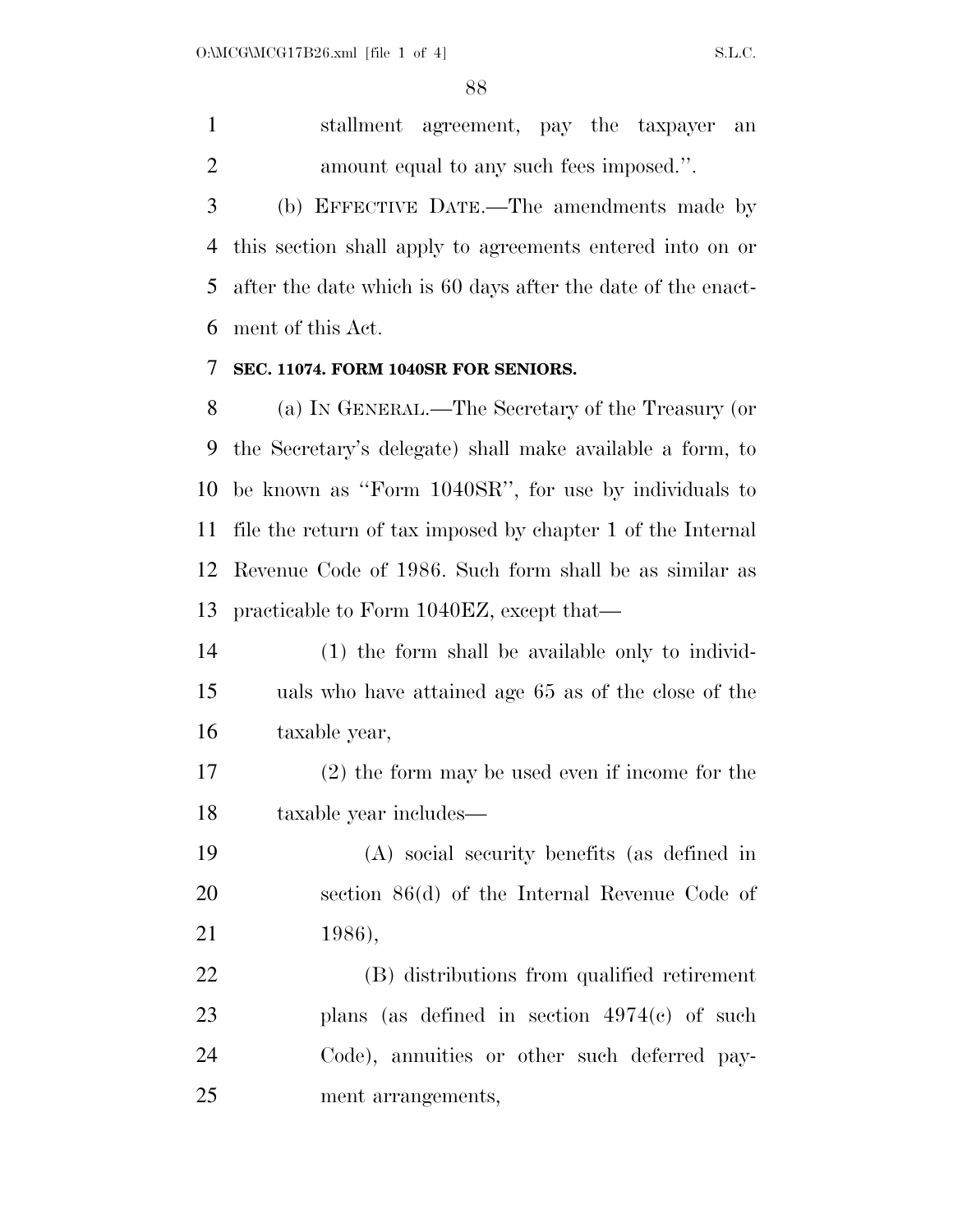stallment agreement, pay the taxpayer an amount equal to any such fees imposed.''.

 (b) EFFECTIVE DATE.—The amendments made by this section shall apply to agreements entered into on or after the date which is 60 days after the date of the enact-ment of this Act.

#### **SEC. 11074. FORM 1040SR FOR SENIORS.**

 (a) IN GENERAL.—The Secretary of the Treasury (or the Secretary's delegate) shall make available a form, to be known as ''Form 1040SR'', for use by individuals to file the return of tax imposed by chapter 1 of the Internal Revenue Code of 1986. Such form shall be as similar as practicable to Form 1040EZ, except that—

 (1) the form shall be available only to individ- uals who have attained age 65 as of the close of the taxable year,

 (2) the form may be used even if income for the taxable year includes—

 (A) social security benefits (as defined in section 86(d) of the Internal Revenue Code of 1986),

 (B) distributions from qualified retirement plans (as defined in section 4974(c) of such Code), annuities or other such deferred pay-ment arrangements,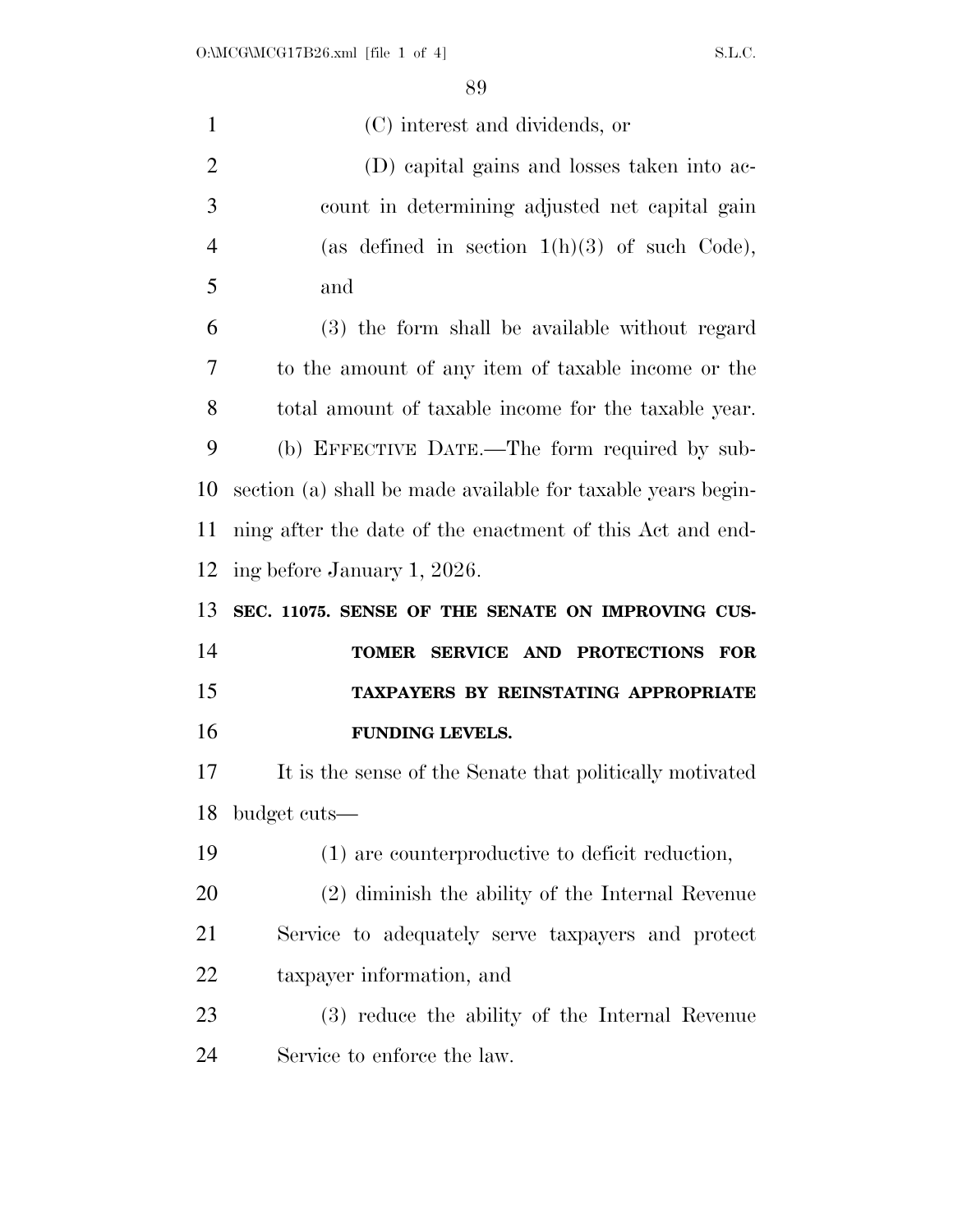| $\mathbf{1}$         | (C) interest and dividends, or                               |
|----------------------|--------------------------------------------------------------|
| $\overline{2}$       | (D) capital gains and losses taken into ac-                  |
| 3                    | count in determining adjusted net capital gain               |
| $\overline{4}$       | (as defined in section $1(h)(3)$ of such Code),              |
| 5                    | and                                                          |
| 6                    | (3) the form shall be available without regard               |
| 7                    | to the amount of any item of taxable income or the           |
| 8                    | total amount of taxable income for the taxable year.         |
| 9                    | (b) EFFECTIVE DATE.—The form required by sub-                |
| 10                   | section (a) shall be made available for taxable years begin- |
| 11                   | ning after the date of the enactment of this Act and end-    |
| 12                   | ing before January 1, 2026.                                  |
|                      |                                                              |
|                      | SEC. 11075. SENSE OF THE SENATE ON IMPROVING CUS-            |
|                      | TOMER SERVICE AND PROTECTIONS<br><b>FOR</b>                  |
|                      | TAXPAYERS BY REINSTATING APPROPRIATE                         |
| 13<br>14<br>15<br>16 | FUNDING LEVELS.                                              |
| 17                   | It is the sense of the Senate that politically motivated     |
|                      | 18 budget cuts-                                              |
| 19                   | (1) are counterproductive to deficit reduction,              |
| 20                   | (2) diminish the ability of the Internal Revenue             |
| 21                   | Service to adequately serve taxpayers and protect            |
| 22                   | taxpayer information, and                                    |
| 23                   | (3) reduce the ability of the Internal Revenue               |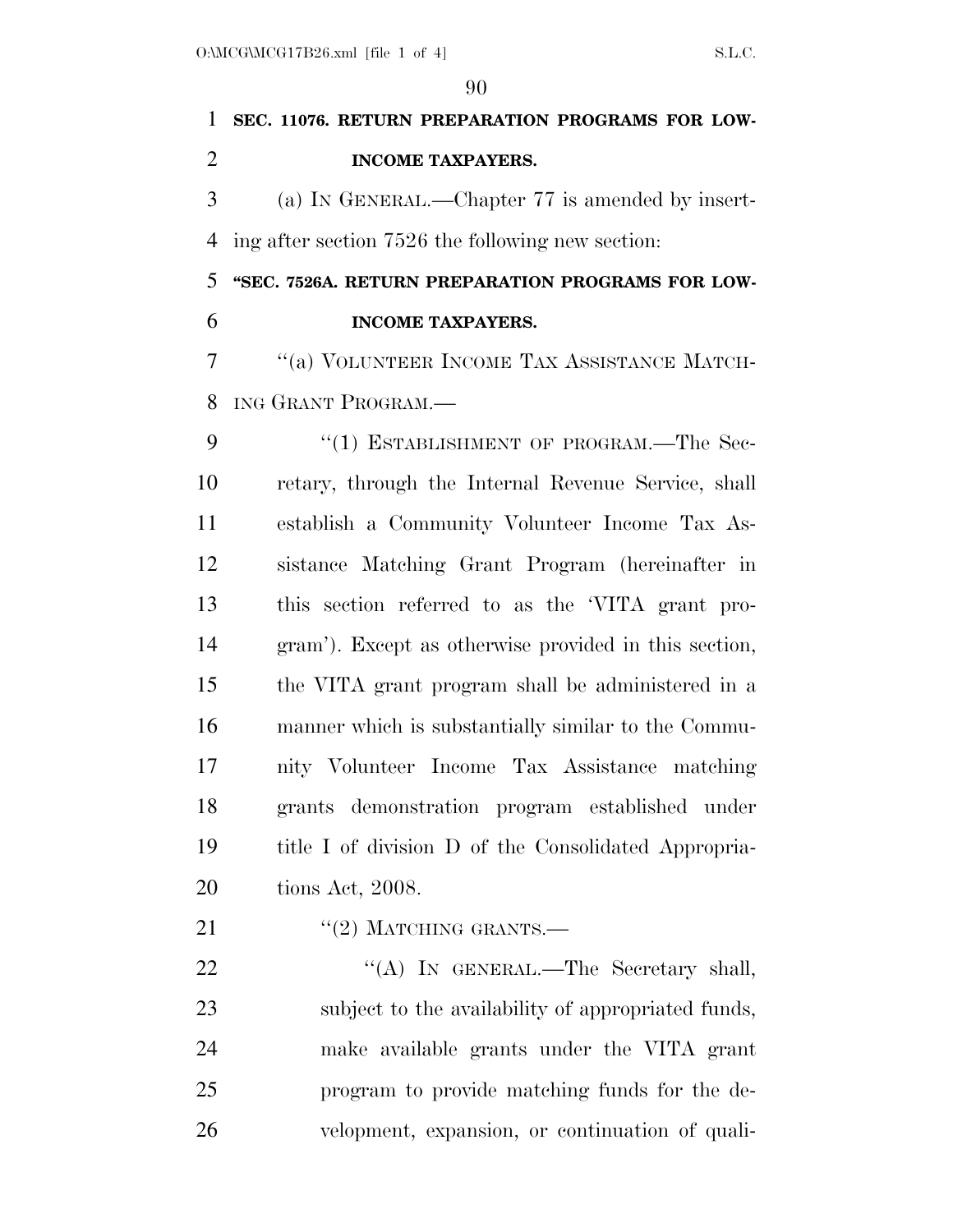# **SEC. 11076. RETURN PREPARATION PROGRAMS FOR LOW-INCOME TAXPAYERS.**

 (a) IN GENERAL.—Chapter 77 is amended by insert-ing after section 7526 the following new section:

 **''SEC. 7526A. RETURN PREPARATION PROGRAMS FOR LOW-INCOME TAXPAYERS.** 

 ''(a) VOLUNTEER INCOME TAX ASSISTANCE MATCH-ING GRANT PROGRAM.—

9 "(1) ESTABLISHMENT OF PROGRAM.—The Sec- retary, through the Internal Revenue Service, shall establish a Community Volunteer Income Tax As- sistance Matching Grant Program (hereinafter in this section referred to as the 'VITA grant pro- gram'). Except as otherwise provided in this section, the VITA grant program shall be administered in a manner which is substantially similar to the Commu- nity Volunteer Income Tax Assistance matching grants demonstration program established under title I of division D of the Consolidated Appropria-tions Act, 2008.

21 "(2) MATCHING GRANTS.—

22 "(A) IN GENERAL.—The Secretary shall, subject to the availability of appropriated funds, make available grants under the VITA grant program to provide matching funds for the de-velopment, expansion, or continuation of quali-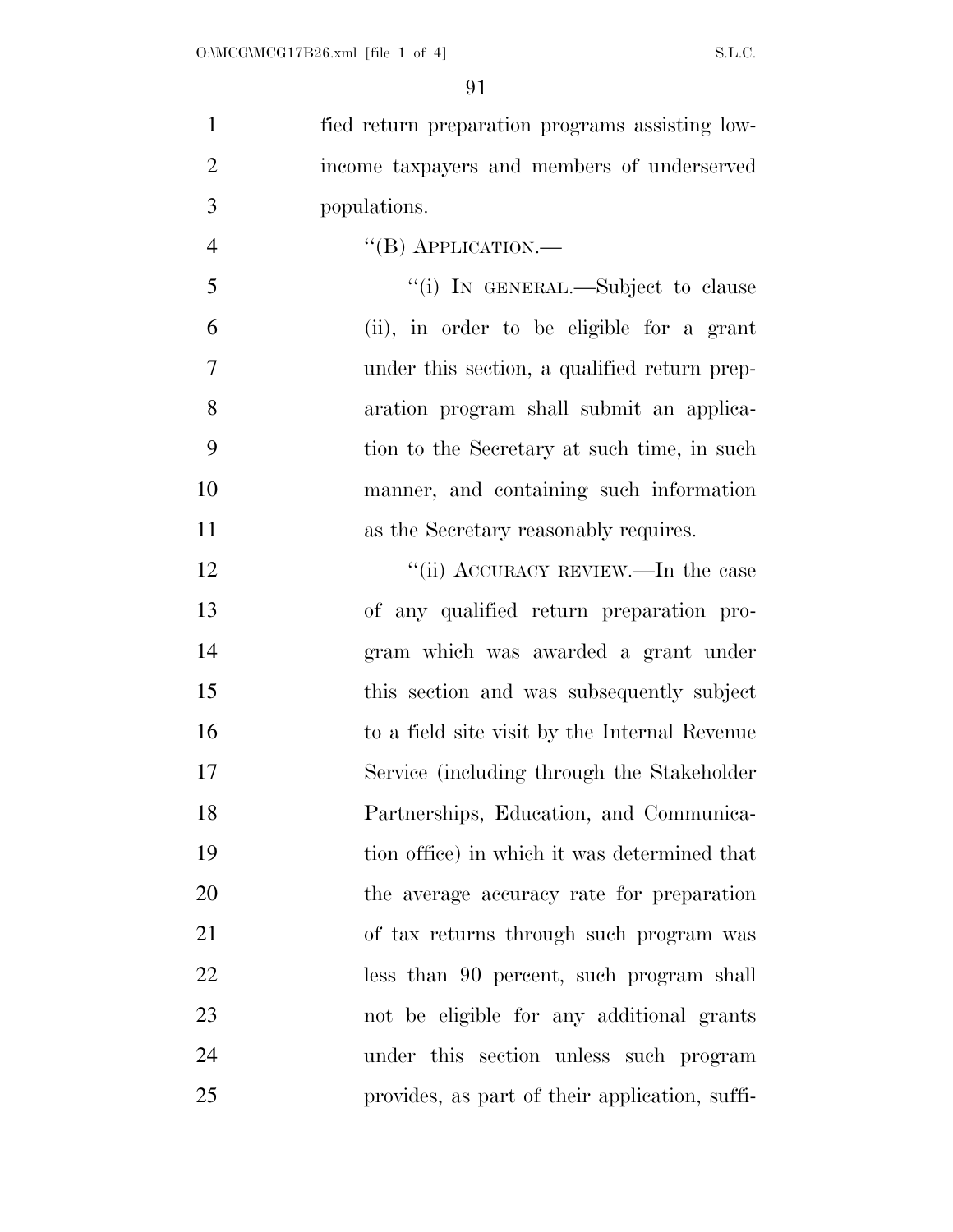| $\mathbf{1}$   | fied return preparation programs assisting low- |
|----------------|-------------------------------------------------|
| $\overline{2}$ | income taxpayers and members of underserved     |
| 3              | populations.                                    |
| $\overline{4}$ | $\lq\lq (B)$ APPLICATION.—                      |
| 5              | "(i) IN GENERAL.—Subject to clause              |
| 6              | (ii), in order to be eligible for a grant       |
| $\overline{7}$ | under this section, a qualified return prep-    |
| 8              | aration program shall submit an applica-        |
| 9              | tion to the Secretary at such time, in such     |
| 10             | manner, and containing such information         |
| 11             | as the Secretary reasonably requires.           |
| 12             | "(ii) ACCURACY REVIEW.—In the case              |
| 13             | of any qualified return preparation pro-        |
| 14             | gram which was awarded a grant under            |
| 15             | this section and was subsequently subject       |
| 16             | to a field site visit by the Internal Revenue   |
| 17             | Service (including through the Stakeholder      |
| 18             | Partnerships, Education, and Communica-         |
| 19             | tion office) in which it was determined that    |
| 20             | the average accuracy rate for preparation       |
| 21             | of tax returns through such program was         |
| 22             | less than 90 percent, such program shall        |
| 23             | not be eligible for any additional grants       |
| 24             | under this section unless such program          |
| 25             | provides, as part of their application, suffi-  |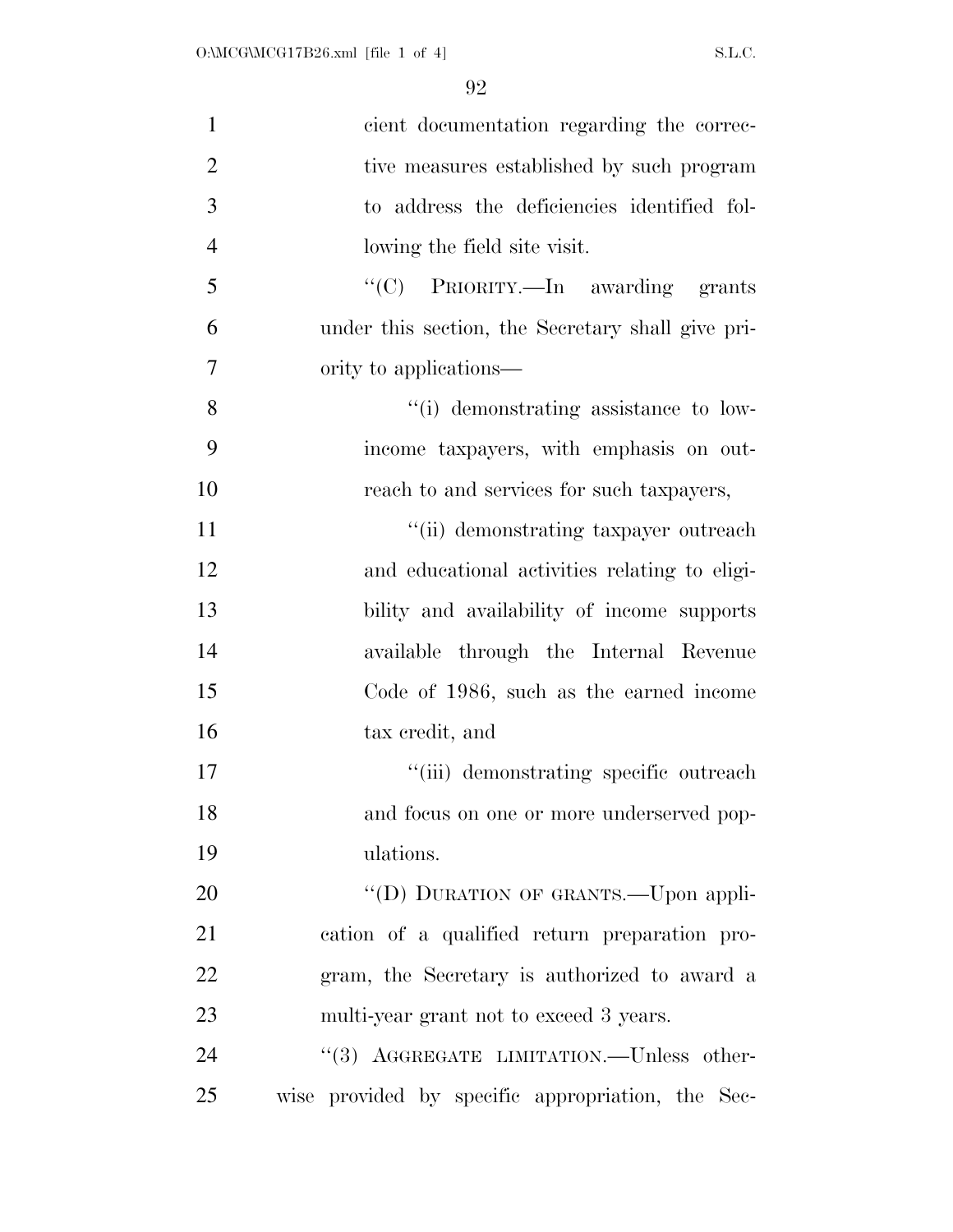| $\mathbf{1}$   | cient documentation regarding the correc-         |
|----------------|---------------------------------------------------|
| $\overline{2}$ | tive measures established by such program         |
| 3              | to address the deficiencies identified fol-       |
| $\overline{4}$ | lowing the field site visit.                      |
| 5              | "(C) PRIORITY.—In awarding grants                 |
| 6              | under this section, the Secretary shall give pri- |
| 7              | ority to applications—                            |
| 8              | "(i) demonstrating assistance to low-             |
| 9              | income taxpayers, with emphasis on out-           |
| 10             | reach to and services for such taxpayers,         |
| 11             | "(ii) demonstrating taxpayer outreach             |
| 12             | and educational activities relating to eligi-     |
| 13             | bility and availability of income supports        |
| 14             | available through the Internal Revenue            |
| 15             | Code of 1986, such as the earned income           |
| 16             | tax credit, and                                   |
| 17             | "(iii) demonstrating specific outreach            |
| 18             | and focus on one or more underserved pop-         |
| 19             | ulations.                                         |
| 20             | "(D) DURATION OF GRANTS.—Upon appli-              |
| 21             | eation of a qualified return preparation pro-     |
| 22             | gram, the Secretary is authorized to award a      |
| 23             | multi-year grant not to exceed 3 years.           |
| 24             | "(3) AGGREGATE LIMITATION.—Unless other-          |
| 25             | wise provided by specific appropriation, the Sec- |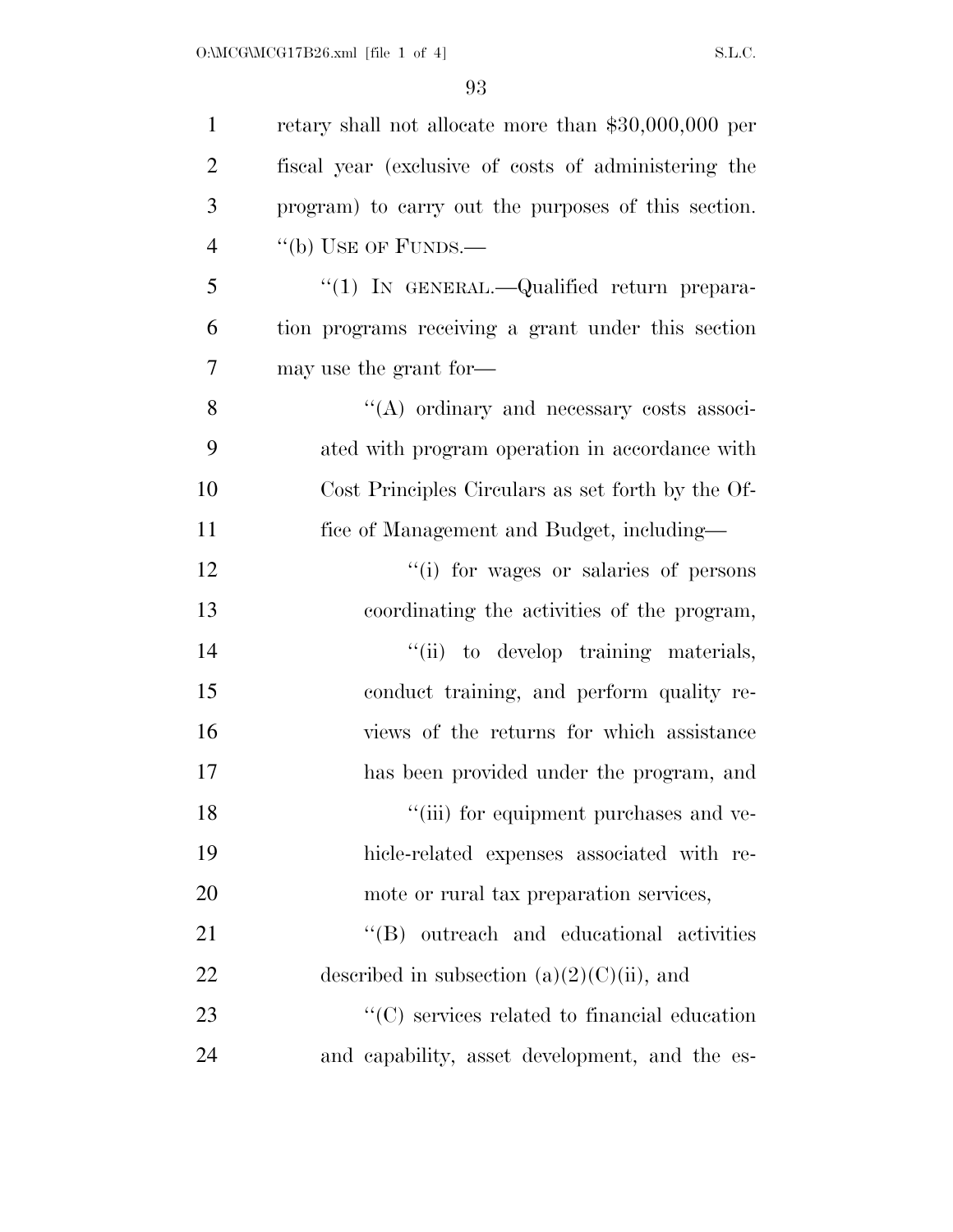| $\mathbf{1}$   | retary shall not allocate more than $$30,000,000$ per |
|----------------|-------------------------------------------------------|
| $\overline{2}$ | fiscal year (exclusive of costs of administering the  |
| 3              | program) to carry out the purposes of this section.   |
| $\overline{4}$ | "(b) USE OF FUNDS.—                                   |
| 5              | "(1) IN GENERAL.—Qualified return prepara-            |
| 6              | tion programs receiving a grant under this section    |
| 7              | may use the grant for—                                |
| 8              | $\lq\lq$ ordinary and necessary costs associ-         |
| 9              | ated with program operation in accordance with        |
| 10             | Cost Principles Circulars as set forth by the Of-     |
| 11             | fice of Management and Budget, including—             |
| 12             | "(i) for wages or salaries of persons                 |
| 13             | coordinating the activities of the program,           |
| 14             | "(ii) to develop training materials,                  |
| 15             | conduct training, and perform quality re-             |
| 16             | views of the returns for which assistance             |
| 17             | has been provided under the program, and              |
| 18             | "(iii) for equipment purchases and ve-                |
| 19             | hicle-related expenses associated with re-            |
| 20             | mote or rural tax preparation services,               |
| 21             | "(B) outreach and educational activities              |
| 22             | described in subsection $(a)(2)(C)(ii)$ , and         |
| 23             | $\lq\lq$ services related to financial education      |
| 24             | and capability, asset development, and the es-        |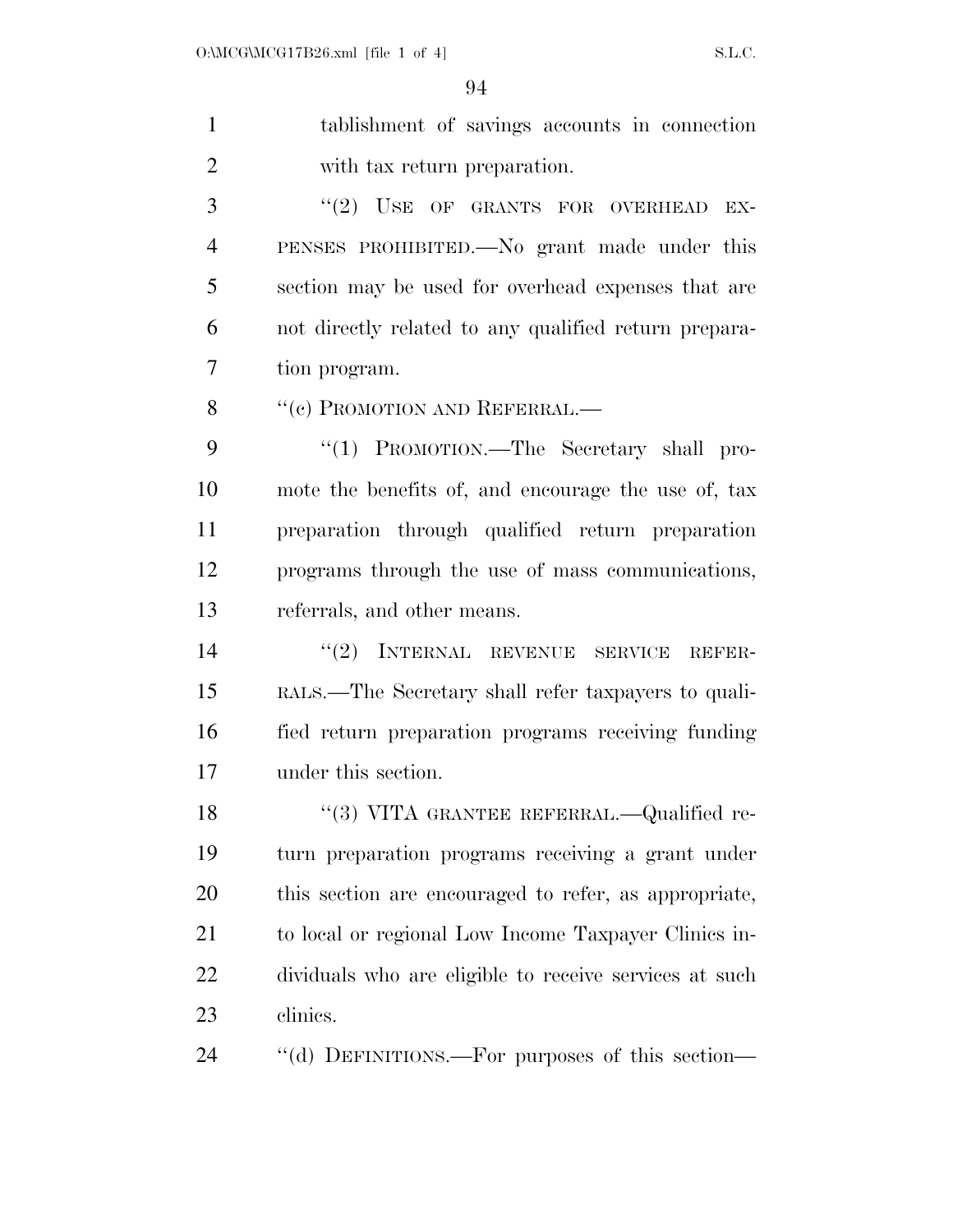tablishment of savings accounts in connection with tax return preparation.

3 "(2) USE OF GRANTS FOR OVERHEAD EX- PENSES PROHIBITED.—No grant made under this section may be used for overhead expenses that are not directly related to any qualified return prepara-tion program.

8 "(c) PROMOTION AND REFERRAL.—

9 "(1) PROMOTION.—The Secretary shall pro- mote the benefits of, and encourage the use of, tax preparation through qualified return preparation programs through the use of mass communications, referrals, and other means.

 ''(2) INTERNAL REVENUE SERVICE REFER- RALS.—The Secretary shall refer taxpayers to quali- fied return preparation programs receiving funding under this section.

18 "(3) VITA GRANTEE REFERRAL.—Qualified re- turn preparation programs receiving a grant under this section are encouraged to refer, as appropriate, to local or regional Low Income Taxpayer Clinics in- dividuals who are eligible to receive services at such clinics.

''(d) DEFINITIONS.—For purposes of this section—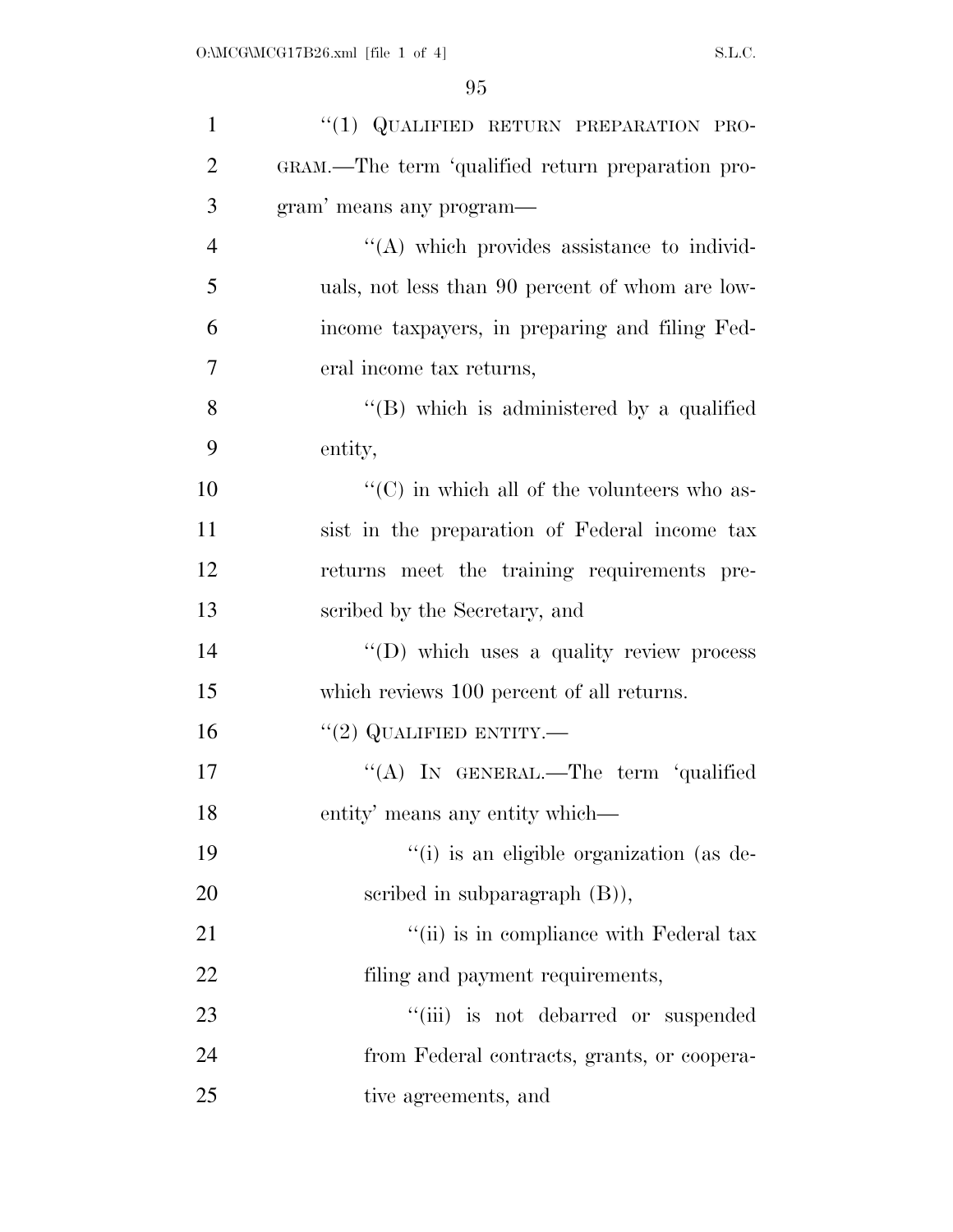| $\mathbf{1}$   | "(1) QUALIFIED RETURN PREPARATION PRO-              |
|----------------|-----------------------------------------------------|
| $\overline{2}$ | GRAM.—The term 'qualified return preparation pro-   |
| 3              | gram' means any program—                            |
| $\overline{4}$ | $\lq\lq$ which provides assistance to individ-      |
| 5              | uals, not less than 90 percent of whom are low-     |
| 6              | income taxpayers, in preparing and filing Fed-      |
| $\overline{7}$ | eral income tax returns,                            |
| 8              | "(B) which is administered by a qualified           |
| 9              | entity,                                             |
| 10             | $\lq\lq$ (C) in which all of the volunteers who as- |
| 11             | sist in the preparation of Federal income tax       |
| 12             | returns meet the training requirements pre-         |
| 13             | scribed by the Secretary, and                       |
| 14             | $\lq\lq$ (D) which uses a quality review process    |
| 15             | which reviews 100 percent of all returns.           |
| 16             | "(2) QUALIFIED ENTITY.—                             |
| 17             | "(A) IN GENERAL.—The term 'qualified                |
| 18             | entity' means any entity which—                     |
| 19             | "(i) is an eligible organization (as de-            |
| 20             | scribed in subparagraph $(B)$ ),                    |
| 21             | "(ii) is in compliance with Federal tax             |
| 22             | filing and payment requirements,                    |
| 23             | "(iii) is not debarred or suspended                 |
| 24             | from Federal contracts, grants, or coopera-         |
| 25             | tive agreements, and                                |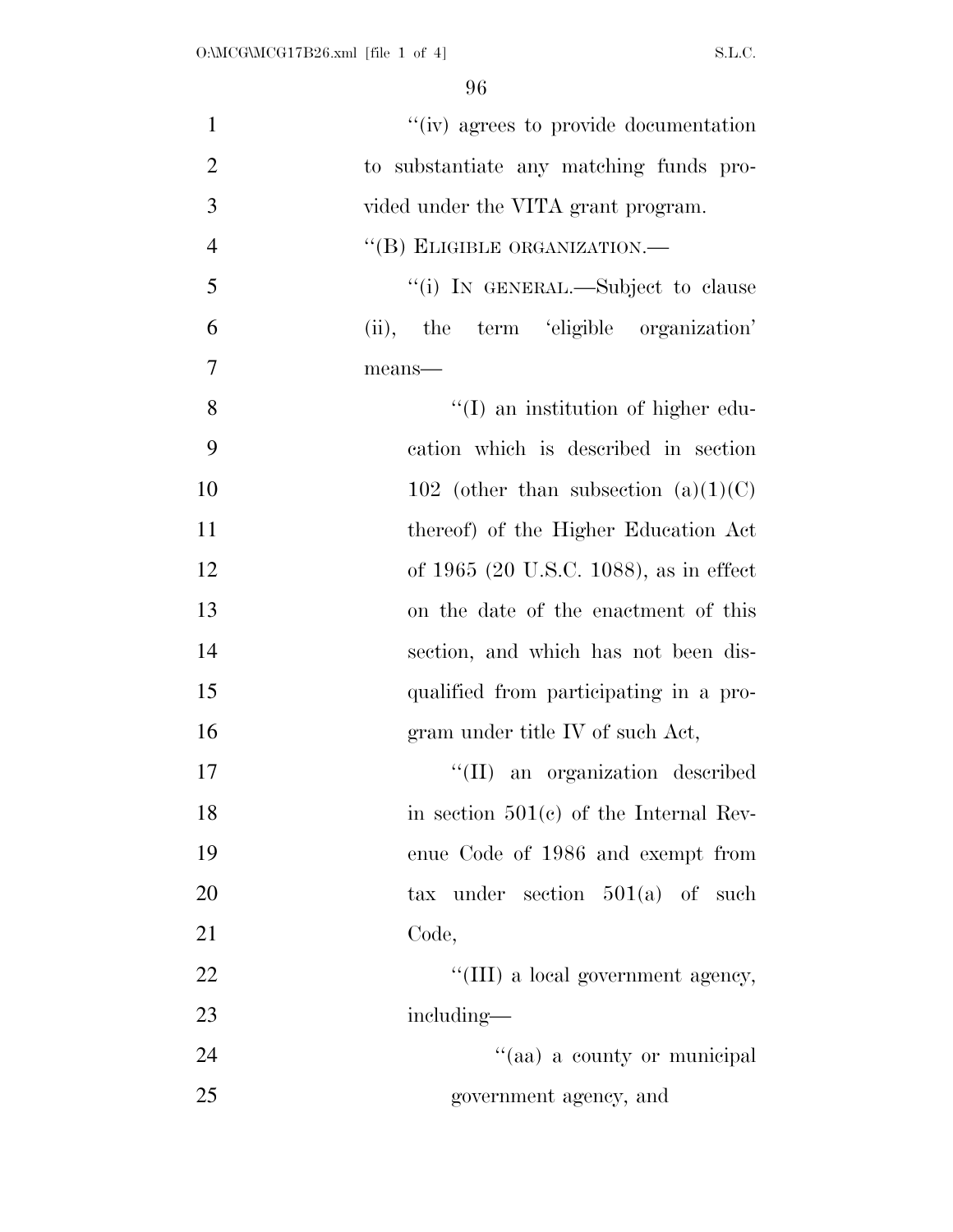| $\mathbf{1}$   | "(iv) agrees to provide documentation    |
|----------------|------------------------------------------|
| $\overline{2}$ | to substantiate any matching funds pro-  |
| 3              | vided under the VITA grant program.      |
| $\overline{4}$ | "(B) ELIGIBLE ORGANIZATION.—             |
| 5              | "(i) IN GENERAL.—Subject to clause       |
| 6              | (ii), the term 'eligible organization'   |
| $\tau$         | means-                                   |
| 8              | $\lq\lq$ an institution of higher edu-   |
| 9              | cation which is described in section     |
| 10             | 102 (other than subsection $(a)(1)(C)$ ) |
| 11             | thereof) of the Higher Education Act     |
| 12             | of 1965 (20 U.S.C. 1088), as in effect   |
| 13             | on the date of the enactment of this     |
| 14             | section, and which has not been dis-     |
| 15             | qualified from participating in a pro-   |
| 16             | gram under title IV of such Act,         |
| 17             | "(II) an organization described          |
| 18             | in section $501(c)$ of the Internal Rev- |
| 19             | enue Code of 1986 and exempt from        |
| 20             | tax under section $501(a)$ of such       |
| 21             | Code,                                    |
| 22             | "(III) a local government agency,        |
| 23             | including—                               |
| 24             | "(aa) a county or municipal              |
| 25             | government agency, and                   |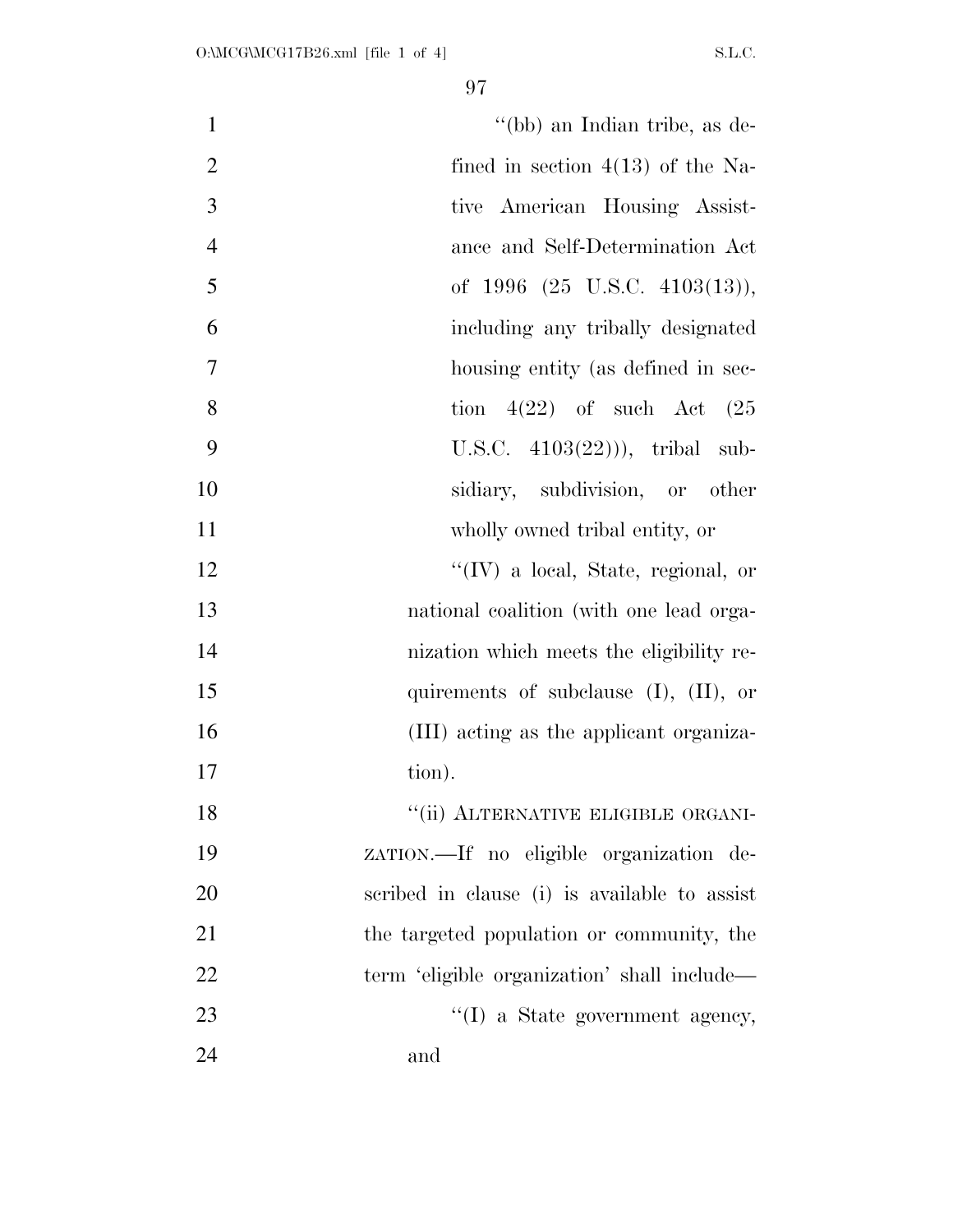| $\mathbf{1}$   | "(bb) an Indian tribe, as de-                |
|----------------|----------------------------------------------|
| $\overline{2}$ | fined in section $4(13)$ of the Na-          |
| 3              | tive American Housing Assist-                |
| $\overline{4}$ | ance and Self-Determination Act              |
| 5              | of $1996$ $(25 \text{ U.S.C. } 4103(13)),$   |
| 6              | including any tribally designated            |
| 7              | housing entity (as defined in sec-           |
| 8              | tion $4(22)$ of such Act $(25)$              |
| 9              | U.S.C. $4103(22)$ ), tribal sub-             |
| 10             | sidiary, subdivision, or other               |
| 11             | wholly owned tribal entity, or               |
| 12             | $\lq\lq$ (IV) a local, State, regional, or   |
| 13             | national coalition (with one lead orga-      |
| 14             | nization which meets the eligibility re-     |
| 15             | quirements of subclause $(I)$ , $(II)$ , or  |
| 16             | (III) acting as the applicant organiza-      |
| 17             | tion).                                       |
| 18             | "(ii) ALTERNATIVE ELIGIBLE ORGANI-           |
| 19             | zarion.—If no eligible organization de-      |
| 20             | scribed in clause (i) is available to assist |
| 21             | the targeted population or community, the    |
| 22             | term 'eligible organization' shall include—  |
| 23             | "(I) a State government agency,              |
| 24             | and                                          |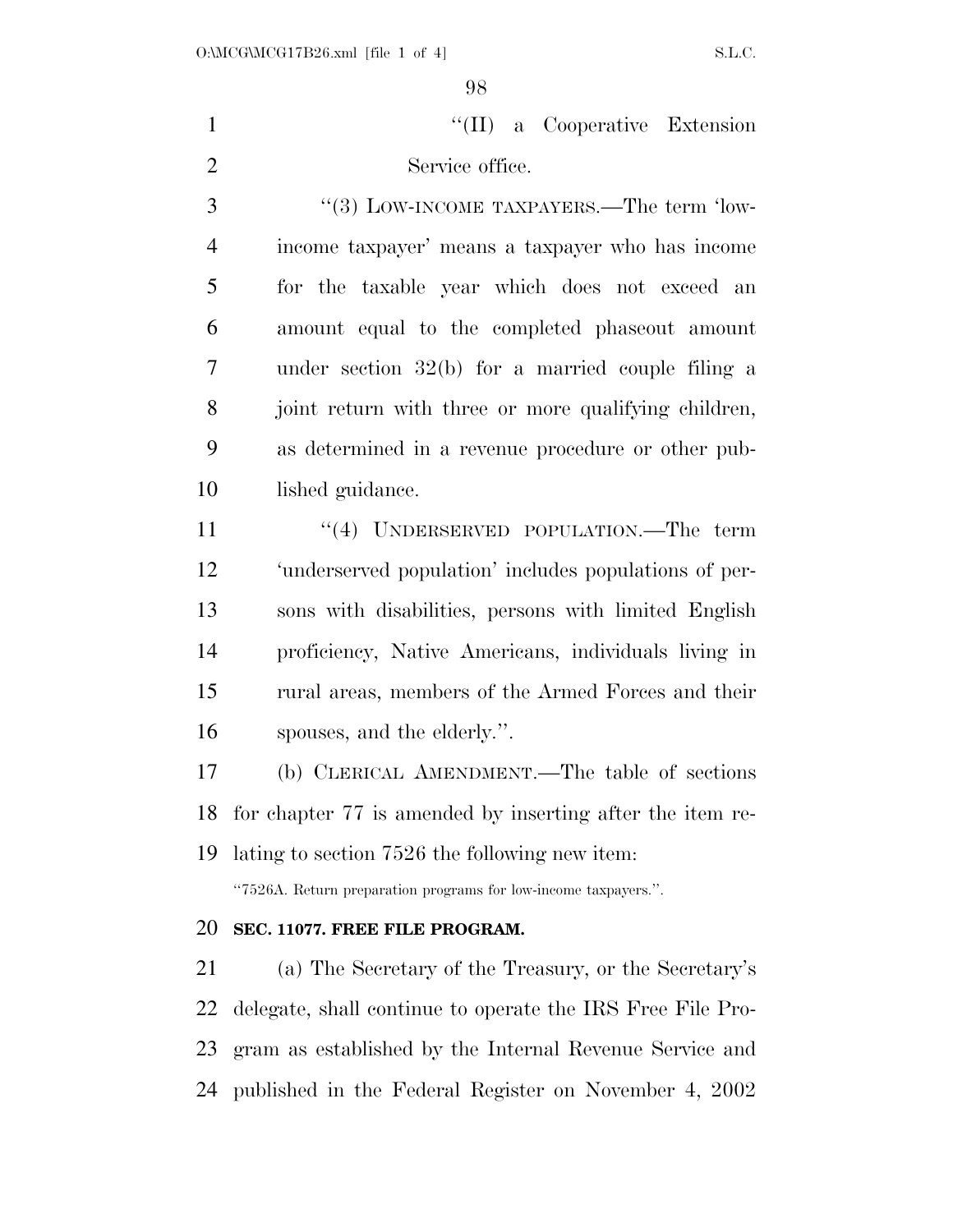1 ''(II) a Cooperative Extension Service office.

3 "(3) LOW-INCOME TAXPAYERS.—The term 'low- income taxpayer' means a taxpayer who has income for the taxable year which does not exceed an amount equal to the completed phaseout amount under section 32(b) for a married couple filing a joint return with three or more qualifying children, as determined in a revenue procedure or other pub-lished guidance.

11 ''(4) UNDERSERVED POPULATION.—The term 'underserved population' includes populations of per- sons with disabilities, persons with limited English proficiency, Native Americans, individuals living in rural areas, members of the Armed Forces and their spouses, and the elderly.''.

 (b) CLERICAL AMENDMENT.—The table of sections for chapter 77 is amended by inserting after the item re-lating to section 7526 the following new item:

''7526A. Return preparation programs for low-income taxpayers.''.

#### **SEC. 11077. FREE FILE PROGRAM.**

 (a) The Secretary of the Treasury, or the Secretary's delegate, shall continue to operate the IRS Free File Pro- gram as established by the Internal Revenue Service and published in the Federal Register on November 4, 2002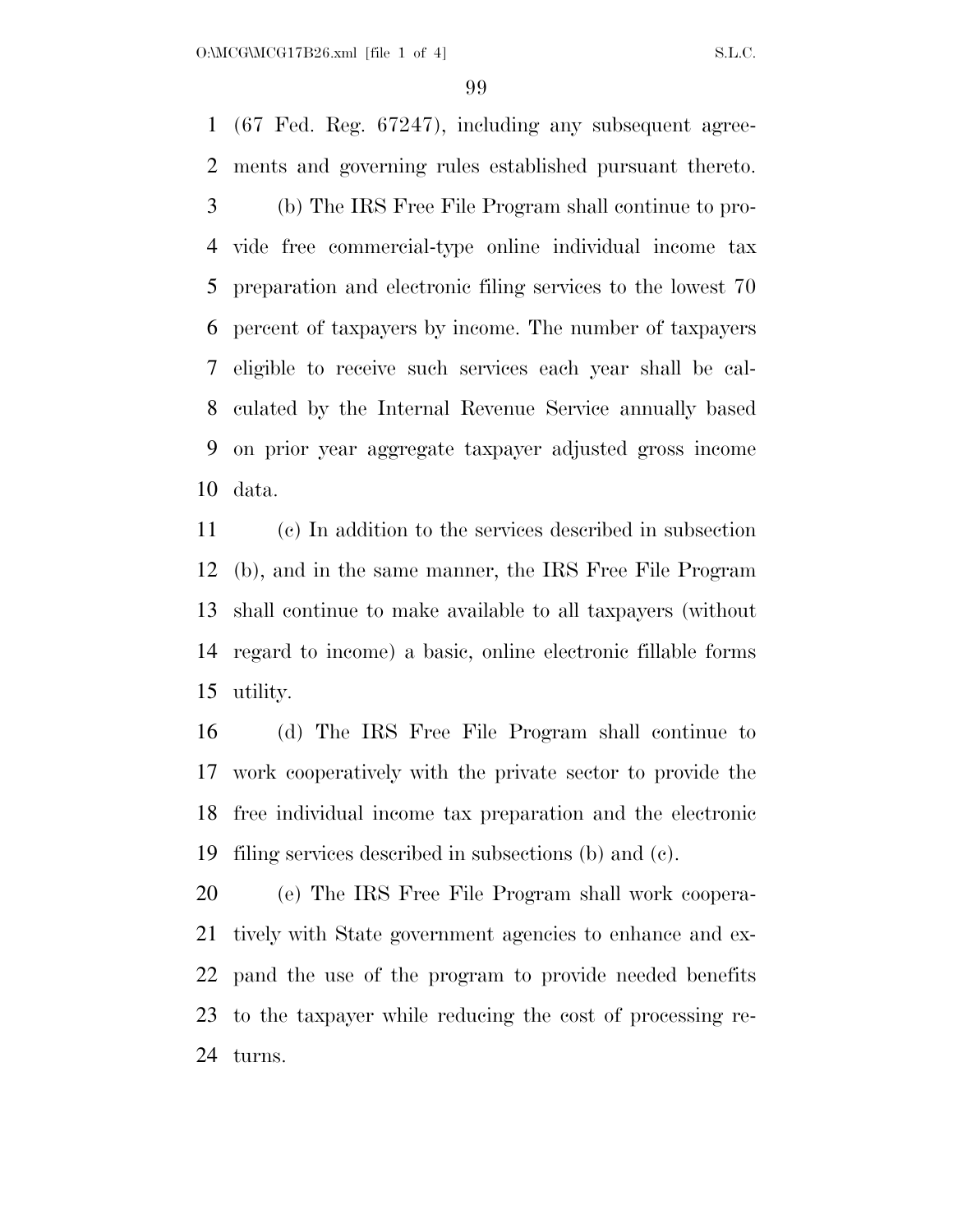(67 Fed. Reg. 67247), including any subsequent agree- ments and governing rules established pursuant thereto. (b) The IRS Free File Program shall continue to pro- vide free commercial-type online individual income tax preparation and electronic filing services to the lowest 70 percent of taxpayers by income. The number of taxpayers eligible to receive such services each year shall be cal- culated by the Internal Revenue Service annually based on prior year aggregate taxpayer adjusted gross income data.

 (c) In addition to the services described in subsection (b), and in the same manner, the IRS Free File Program shall continue to make available to all taxpayers (without regard to income) a basic, online electronic fillable forms utility.

 (d) The IRS Free File Program shall continue to work cooperatively with the private sector to provide the free individual income tax preparation and the electronic filing services described in subsections (b) and (c).

 (e) The IRS Free File Program shall work coopera- tively with State government agencies to enhance and ex- pand the use of the program to provide needed benefits to the taxpayer while reducing the cost of processing re-turns.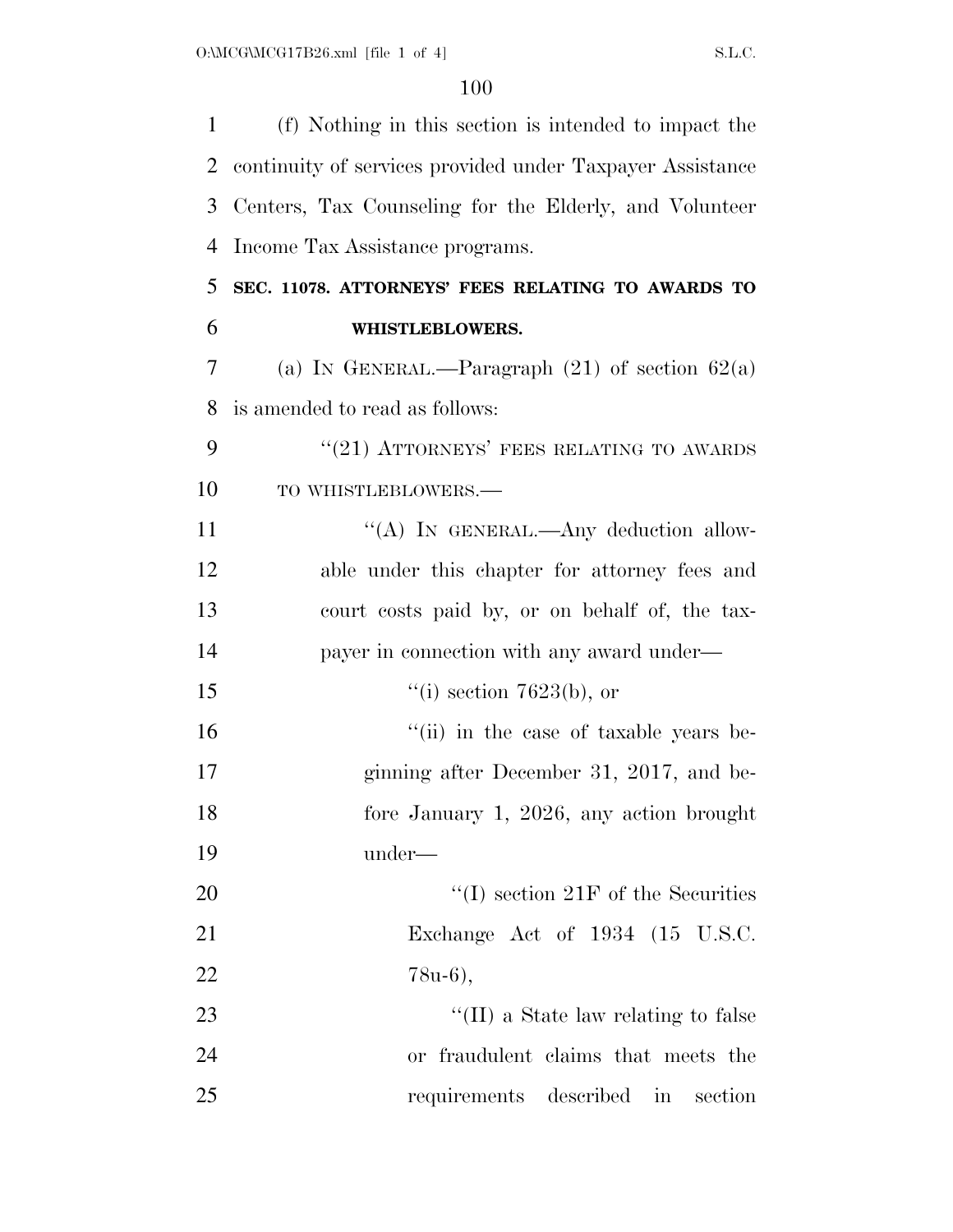| $\mathbf{1}$   | (f) Nothing in this section is intended to impact the     |
|----------------|-----------------------------------------------------------|
| $\overline{2}$ | continuity of services provided under Taxpayer Assistance |
| 3              | Centers, Tax Counseling for the Elderly, and Volunteer    |
| $\overline{4}$ | Income Tax Assistance programs.                           |
| 5              | SEC. 11078. ATTORNEYS' FEES RELATING TO AWARDS TO         |
| 6              | WHISTLEBLOWERS.                                           |
| 7              | (a) IN GENERAL.—Paragraph $(21)$ of section $62(a)$       |
| 8              | is amended to read as follows:                            |
| 9              | $"(21)$ ATTORNEYS' FEES RELATING TO AWARDS                |
| 10             | TO WHISTLEBLOWERS.-                                       |
| 11             | "(A) IN GENERAL.—Any deduction allow-                     |
| 12             | able under this chapter for attorney fees and             |
| 13             | court costs paid by, or on behalf of, the tax-            |
| 14             | payer in connection with any award under—                 |
| 15             | "(i) section $7623(b)$ , or                               |
| 16             | "(ii) in the case of taxable years be-                    |
| 17             | ginning after December 31, 2017, and be-                  |
| 18             | fore January 1, 2026, any action brought                  |
| 19             | under—                                                    |
| <b>20</b>      | $\lq\lq$ section 21F of the Securities                    |
| 21             | Exchange Act of 1934 (15 U.S.C.                           |
| 22             | 78u-6),                                                   |
| 23             | "(II) a State law relating to false                       |
| 24             | or fraudulent claims that meets the                       |
| 25             | requirements described<br>section<br>in                   |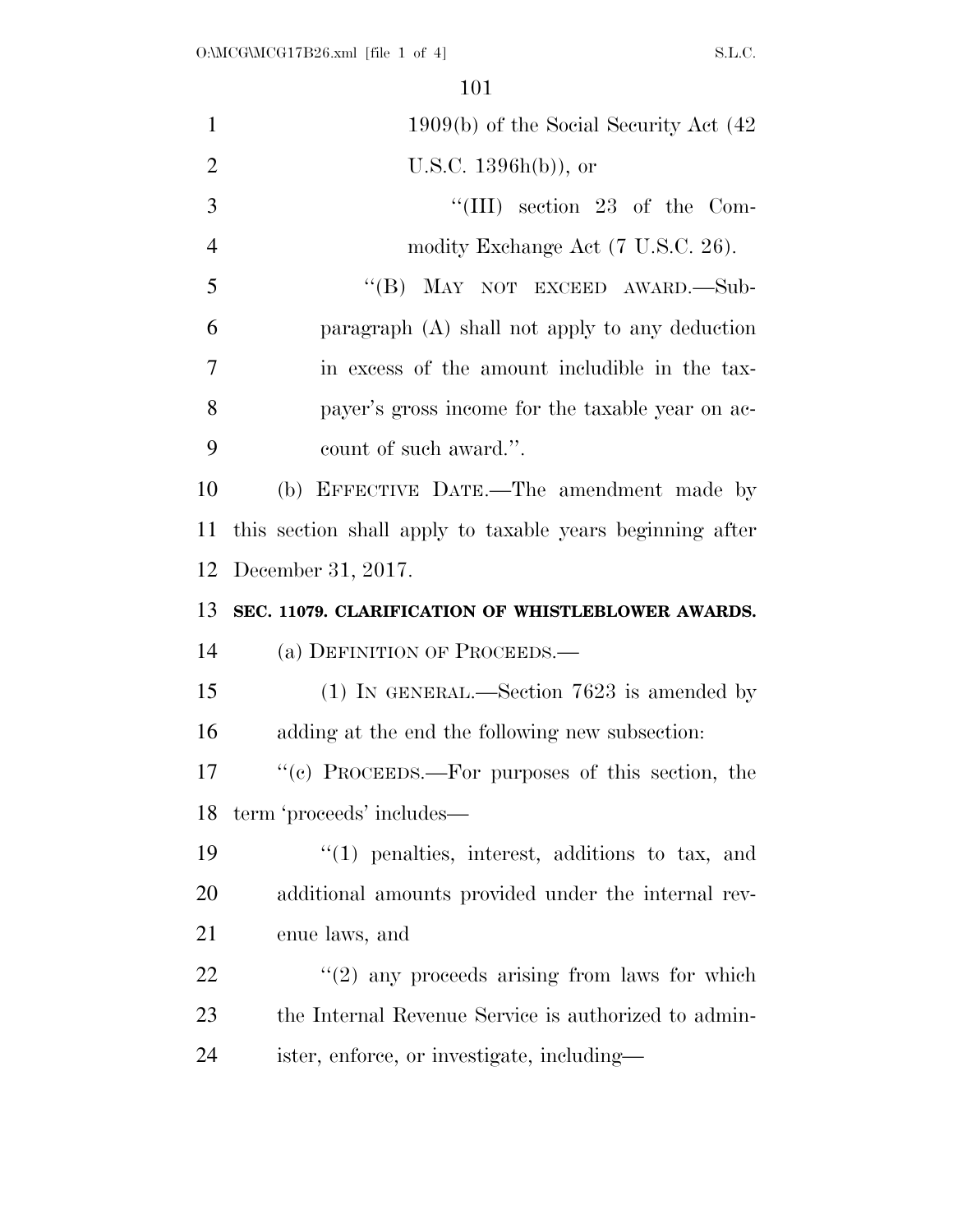| $\mathbf{1}$   | $1909(b)$ of the Social Security Act $(42)$               |
|----------------|-----------------------------------------------------------|
| $\overline{2}$ | U.S.C. $1396h(b)$ , or                                    |
| 3              | "(III) section 23 of the Com-                             |
| $\overline{4}$ | modity Exchange Act (7 U.S.C. 26).                        |
| 5              | "(B) MAY NOT EXCEED AWARD.—Sub-                           |
| 6              | paragraph (A) shall not apply to any deduction            |
| $\overline{7}$ | in excess of the amount includible in the tax-            |
| 8              | payer's gross income for the taxable year on ac-          |
| 9              | count of such award.".                                    |
| 10             | (b) EFFECTIVE DATE.—The amendment made by                 |
| 11             | this section shall apply to taxable years beginning after |
| 12             | December 31, 2017.                                        |
| 13             | SEC. 11079. CLARIFICATION OF WHISTLEBLOWER AWARDS.        |
| 14             | (a) DEFINITION OF PROCEEDS.—                              |
| 15             | $(1)$ IN GENERAL.—Section 7623 is amended by              |
| 16             | adding at the end the following new subsection:           |
| 17             | "(c) PROCEEDS.—For purposes of this section, the          |
| 18             | term 'proceeds' includes—                                 |
| 19             | $\lq(1)$ penalties, interest, additions to tax, and       |
| 20             | additional amounts provided under the internal rev-       |
| 21             | enue laws, and                                            |
| 22             | $"(2)$ any proceeds arising from laws for which           |
| 23             | the Internal Revenue Service is authorized to admin-      |
| 24             | ister, enforce, or investigate, including—                |
|                |                                                           |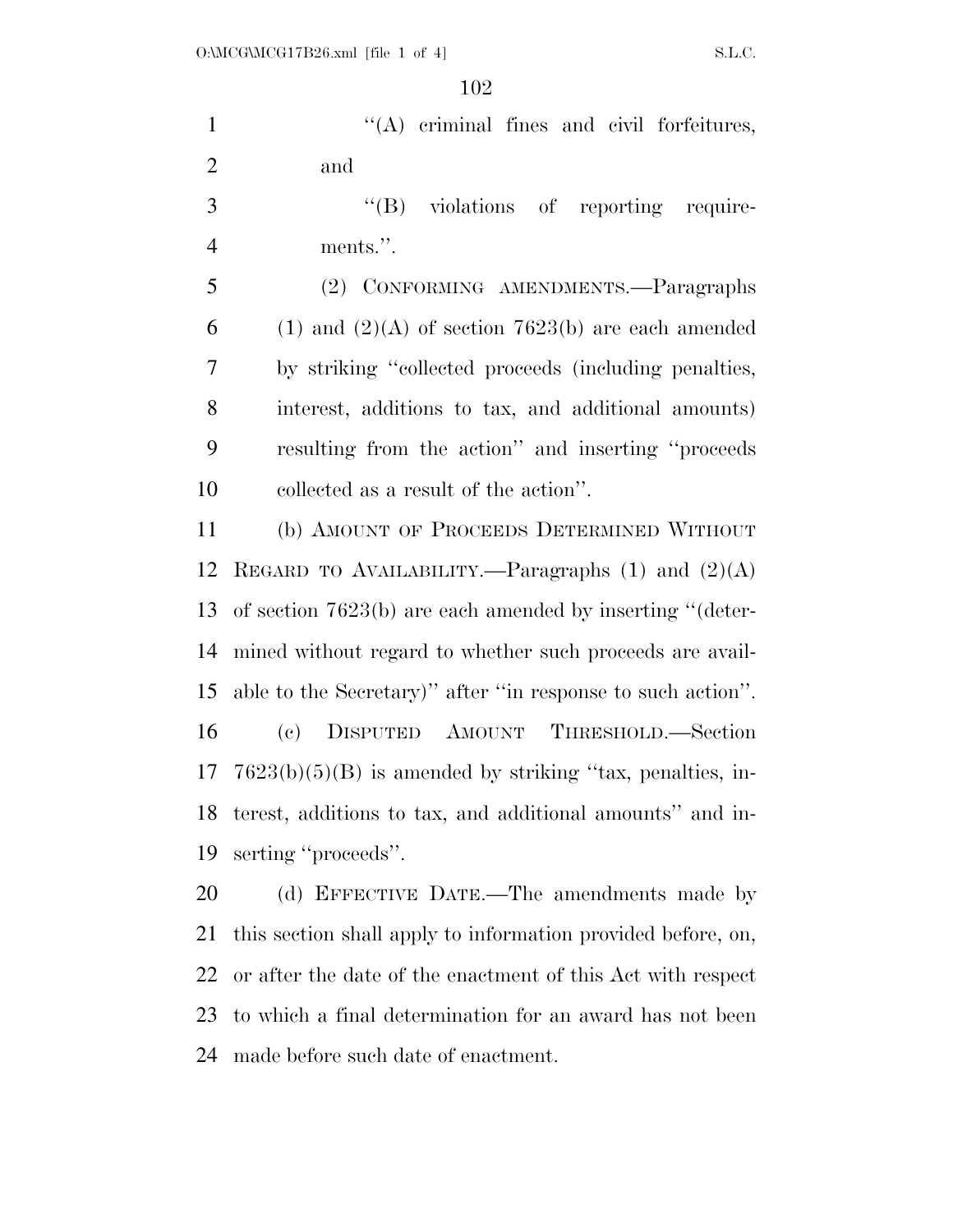1  $\langle (A)$  criminal fines and civil forfeitures, and

3  $\cdot$  (B) violations of reporting require-ments.''.

 (2) CONFORMING AMENDMENTS.—Paragraphs 6 (1) and  $(2)(A)$  of section 7623(b) are each amended by striking ''collected proceeds (including penalties, interest, additions to tax, and additional amounts) resulting from the action'' and inserting ''proceeds collected as a result of the action''.

 (b) AMOUNT OF PROCEEDS DETERMINED WITHOUT 12 REGARD TO AVAILABILITY.—Paragraphs  $(1)$  and  $(2)(A)$  of section 7623(b) are each amended by inserting ''(deter- mined without regard to whether such proceeds are avail- able to the Secretary)'' after ''in response to such action''. (c) DISPUTED AMOUNT THRESHOLD.—Section  $17 \text{ } 7623(b)(5)(B)$  is amended by striking "tax, penalties, in- terest, additions to tax, and additional amounts'' and in-serting ''proceeds''.

20 (d) EFFECTIVE DATE.—The amendments made by this section shall apply to information provided before, on, or after the date of the enactment of this Act with respect to which a final determination for an award has not been made before such date of enactment.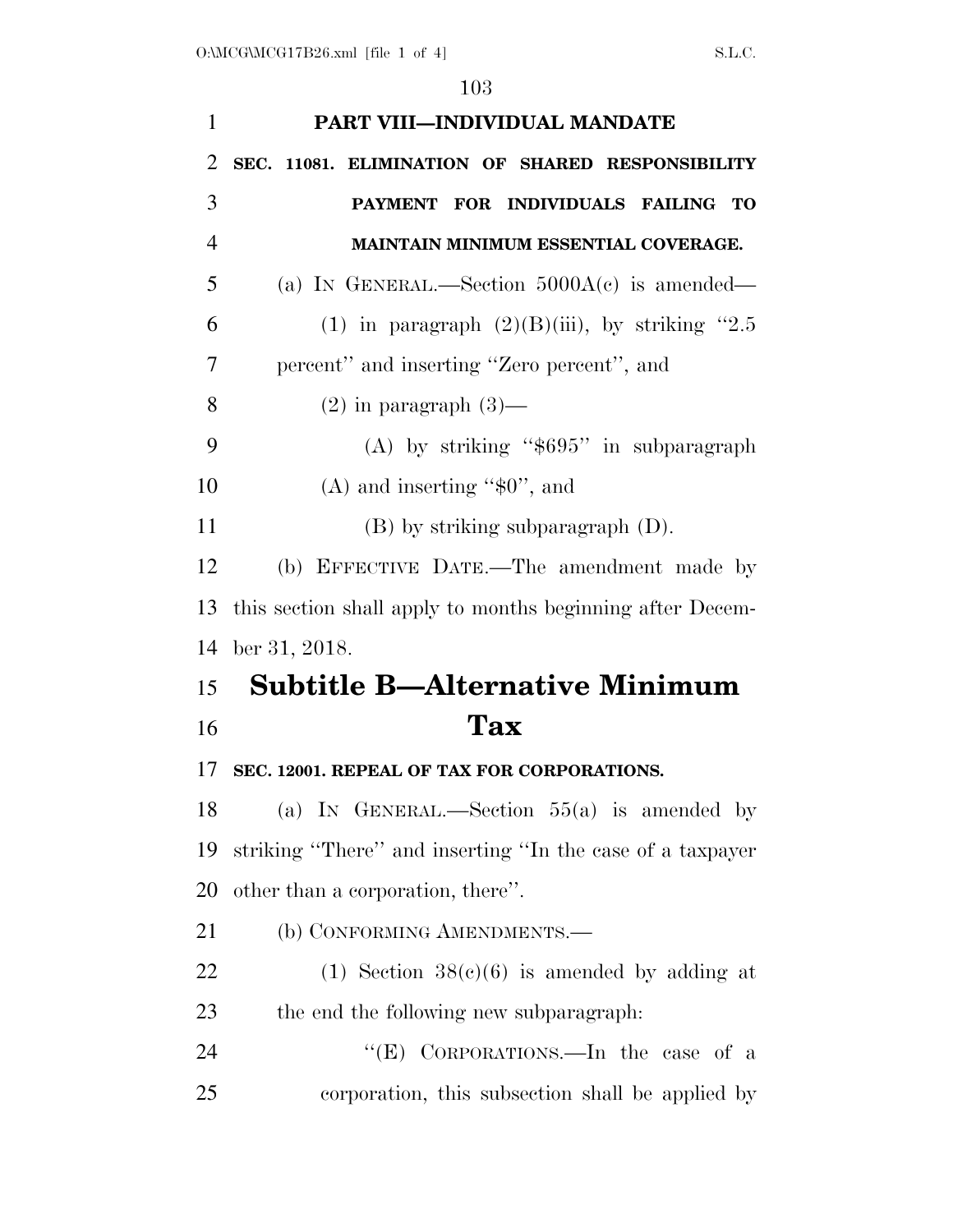| $\mathbf{1}$   | PART VIII-INDIVIDUAL MANDATE                              |
|----------------|-----------------------------------------------------------|
| $\overline{2}$ | SEC. 11081. ELIMINATION OF SHARED RESPONSIBILITY          |
| 3              | FOR INDIVIDUALS FAILING<br><b>PAYMENT</b><br>TO           |
| $\overline{4}$ | MAINTAIN MINIMUM ESSENTIAL COVERAGE.                      |
| 5              | (a) IN GENERAL.—Section $5000A(c)$ is amended—            |
| 6              | (1) in paragraph $(2)(B)(iii)$ , by striking "2.5         |
| 7              | percent" and inserting "Zero percent", and                |
| 8              | $(2)$ in paragraph $(3)$ —                                |
| 9              | (A) by striking " $$695"$ in subparagraph                 |
| 10             | (A) and inserting " $$0$ ", and                           |
| 11             | $(B)$ by striking subparagraph $(D)$ .                    |
| 12             | (b) EFFECTIVE DATE.—The amendment made by                 |
| 13             | this section shall apply to months beginning after Decem- |
| 14             | ber 31, 2018.                                             |
| 15             | <b>Subtitle B-Alternative Minimum</b>                     |
| 16             | Tax                                                       |
| 17             | SEC. 12001. REPEAL OF TAX FOR CORPORATIONS.               |
| 18             | (a) IN GENERAL.—Section $55(a)$ is amended by             |
| 19             | striking "There" and inserting "In the case of a taxpayer |
| 20             | other than a corporation, there".                         |
| 21             |                                                           |
|                | (b) CONFORMING AMENDMENTS.—                               |
| 22             | (1) Section $38(c)(6)$ is amended by adding at            |
| 23             | the end the following new subparagraph.                   |
| 24             | "(E) CORPORATIONS.—In the case of a                       |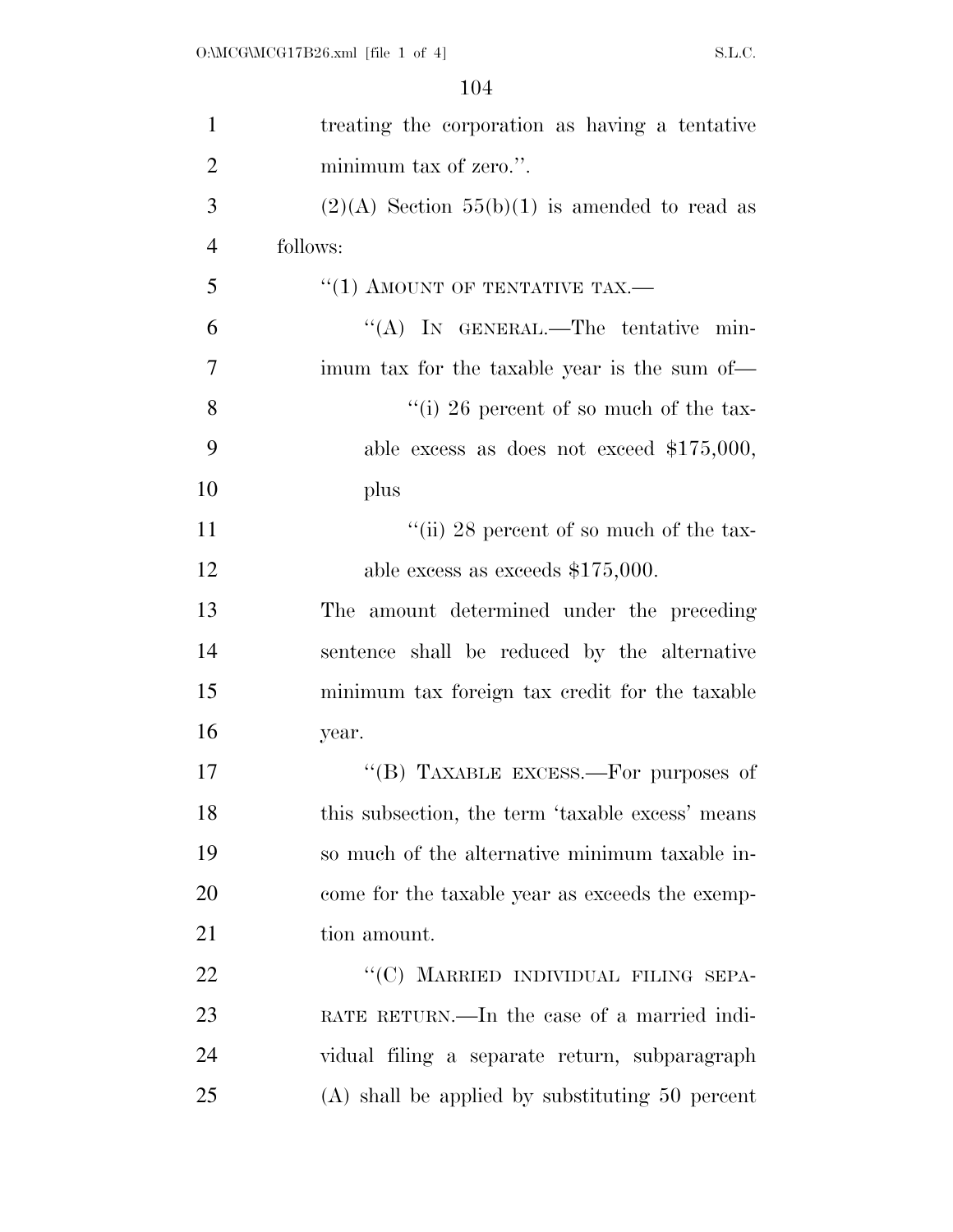| $\mathbf{1}$   | treating the corporation as having a tentative    |
|----------------|---------------------------------------------------|
| $\overline{2}$ | minimum tax of zero.".                            |
| 3              | $(2)(A)$ Section 55(b)(1) is amended to read as   |
| $\overline{4}$ | follows:                                          |
| 5              | "(1) AMOUNT OF TENTATIVE TAX.—                    |
| 6              | "(A) IN GENERAL.—The tentative min-               |
| 7              | imum tax for the taxable year is the sum of—      |
| 8              | "(i) 26 percent of so much of the tax-            |
| 9              | able excess as does not exceed $$175,000,$        |
| 10             | plus                                              |
| 11             | "(ii) 28 percent of so much of the tax-           |
| 12             | able excess as exceeds $$175,000$ .               |
| 13             | The amount determined under the preceding         |
| 14             | sentence shall be reduced by the alternative      |
| 15             | minimum tax foreign tax credit for the taxable    |
| 16             | year.                                             |
| 17             | "(B) TAXABLE EXCESS.—For purposes of              |
| 18             | this subsection, the term 'taxable excess' means  |
| 19             | so much of the alternative minimum taxable in-    |
| 20             | come for the taxable year as exceeds the exemp-   |
| 21             | tion amount.                                      |
| 22             | "(C) MARRIED INDIVIDUAL FILING SEPA-              |
| 23             | RATE RETURN.—In the case of a married indi-       |
| 24             | vidual filing a separate return, subparagraph     |
| 25             | $(A)$ shall be applied by substituting 50 percent |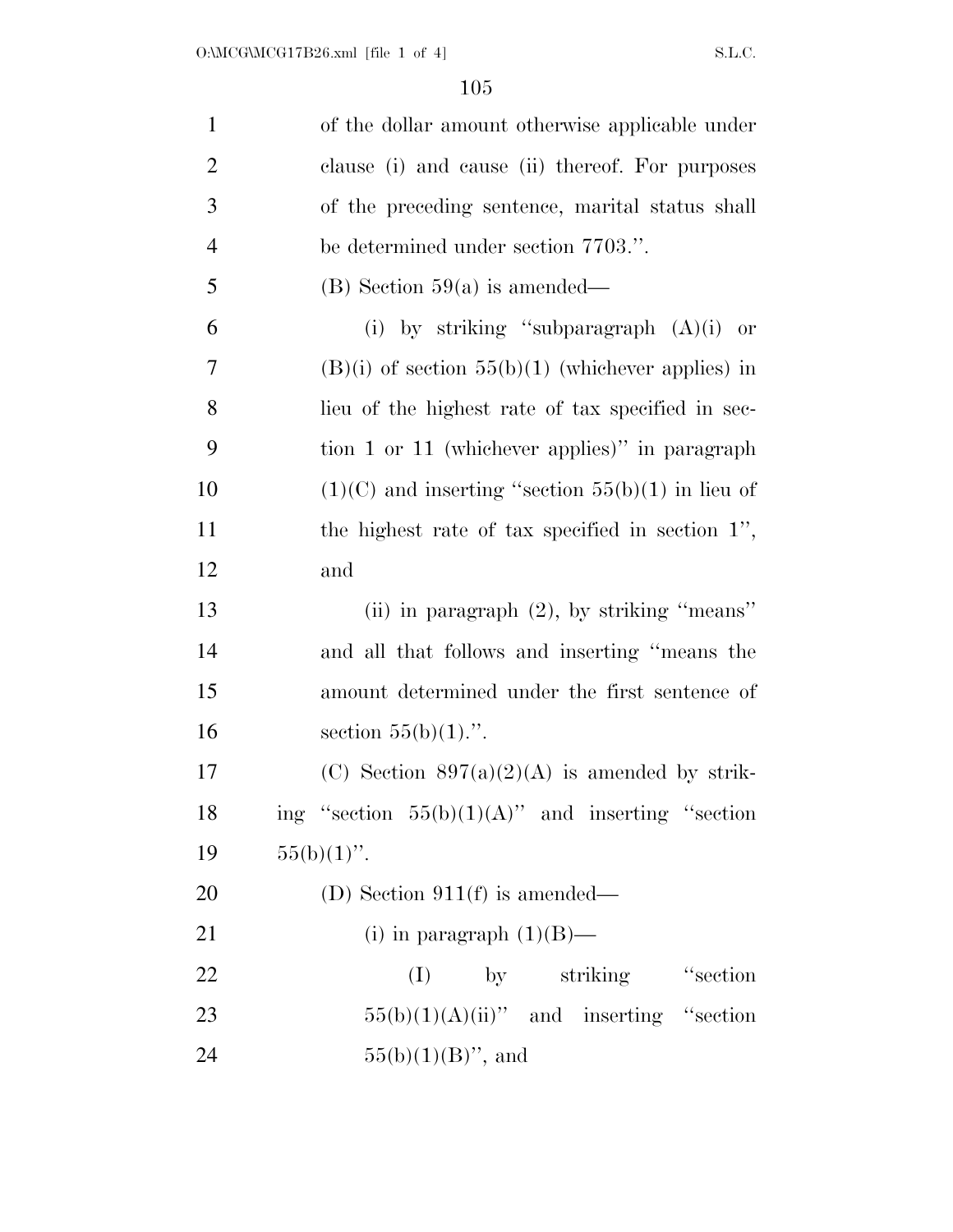| $\mathbf{1}$   | of the dollar amount otherwise applicable under     |
|----------------|-----------------------------------------------------|
| $\overline{2}$ | clause (i) and cause (ii) thereof. For purposes     |
| 3              | of the preceding sentence, marital status shall     |
| $\overline{4}$ | be determined under section 7703.".                 |
| 5              | $(B)$ Section 59(a) is amended—                     |
| 6              | (i) by striking "subparagraph $(A)(i)$ or           |
| 7              | $(B)(i)$ of section 55(b)(1) (whichever applies) in |
| 8              | lieu of the highest rate of tax specified in sec-   |
| 9              | tion 1 or 11 (whichever applies)" in paragraph      |
| 10             | $(1)(C)$ and inserting "section 55(b)(1) in lieu of |
| 11             | the highest rate of tax specified in section $1$ ", |
| 12             | and                                                 |
| 13             | (ii) in paragraph $(2)$ , by striking "means"       |
| 14             | and all that follows and inserting "means the       |
| 15             | amount determined under the first sentence of       |
| 16             | section $55(b)(1)$ .".                              |
| 17             | (C) Section $897(a)(2)(A)$ is amended by strik-     |
| 18             | ing "section $55(b)(1)(A)$ " and inserting "section |
| 19             | $55(b)(1)$ ".                                       |
| 20             | (D) Section $911(f)$ is amended—                    |
| 21             | (i) in paragraph $(1)(B)$ —                         |
| 22             | "section"<br>by striking<br>(I)                     |
| 23             | $55(b)(1)(A)(ii)$ " and inserting "section          |
| 24             | $55(b)(1)(B)$ ", and                                |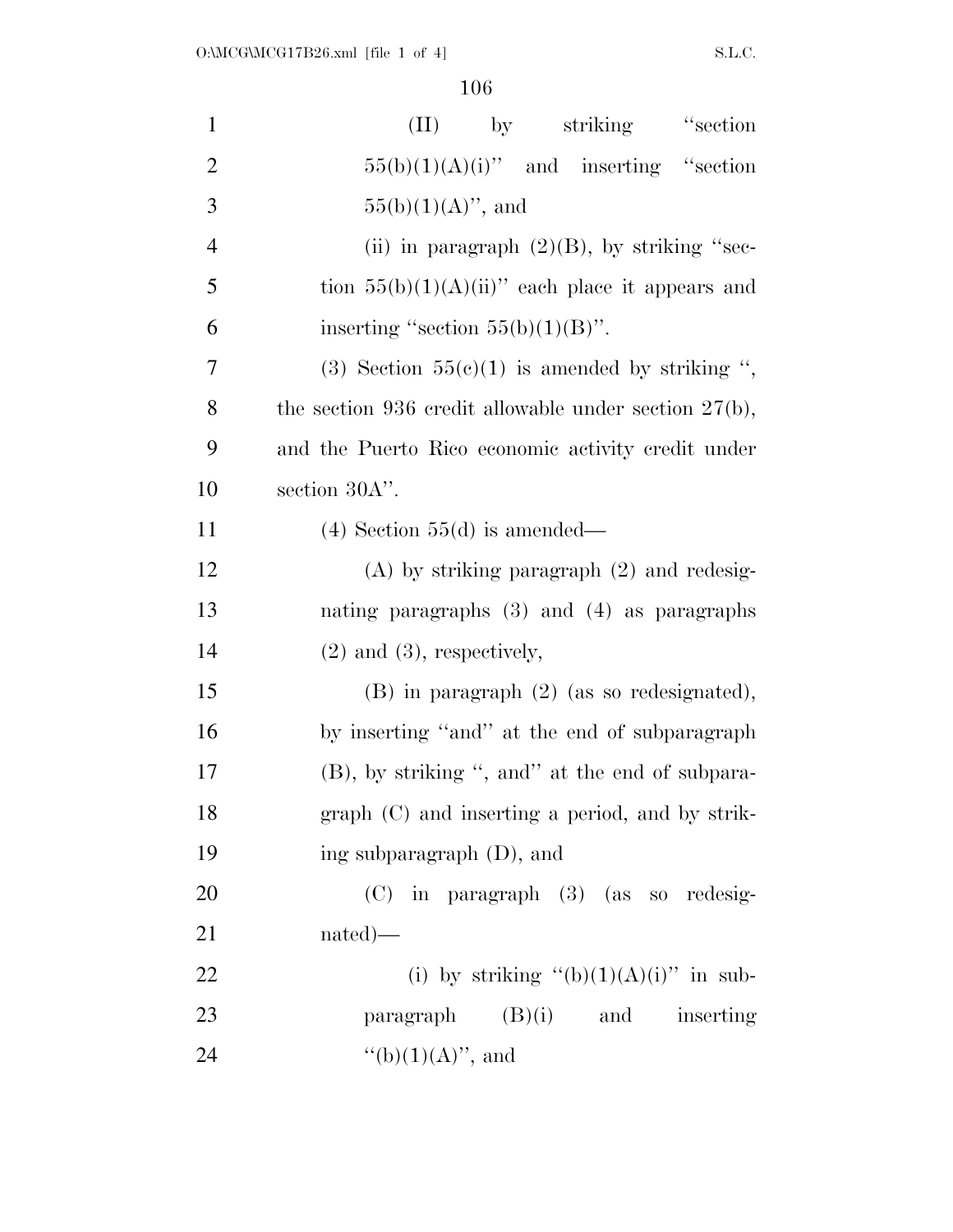| $\mathbf{1}$   | "section"<br>by striking<br>(II)                         |
|----------------|----------------------------------------------------------|
| $\overline{2}$ | $55(b)(1)(A)(i)$ " and inserting "section                |
| 3              | $55(b)(1)(A)$ , and                                      |
| $\overline{4}$ | (ii) in paragraph $(2)(B)$ , by striking "sec-           |
| 5              | tion $55(b)(1)(A)(ii)$ each place it appears and         |
| 6              | inserting "section $55(b)(1)(B)$ ".                      |
| 7              | (3) Section $55(c)(1)$ is amended by striking ",         |
| 8              | the section 936 credit allowable under section $27(b)$ , |
| 9              | and the Puerto Rico economic activity credit under       |
| 10             | section 30A".                                            |
| 11             | $(4)$ Section 55 $(d)$ is amended—                       |
| 12             | $(A)$ by striking paragraph $(2)$ and redesig-           |
| 13             | nating paragraphs $(3)$ and $(4)$ as paragraphs          |
| 14             | $(2)$ and $(3)$ , respectively,                          |
| 15             | $(B)$ in paragraph $(2)$ (as so redesignated),           |
| 16             | by inserting "and" at the end of subparagraph            |
| 17             | (B), by striking ", and" at the end of subpara-          |
| 18             | graph (C) and inserting a period, and by strik-          |
| 19             | ing subparagraph $(D)$ , and                             |
| 20             | $(C)$ in paragraph $(3)$ (as so redesig-                 |
| 21             | $nated)$ —                                               |
| 22             | (i) by striking " $(b)(1)(A)(i)$ " in sub-               |
| 23             | paragraph $(B)(i)$ and inserting                         |
| 24             | "(b) $(1)(A)$ ", and                                     |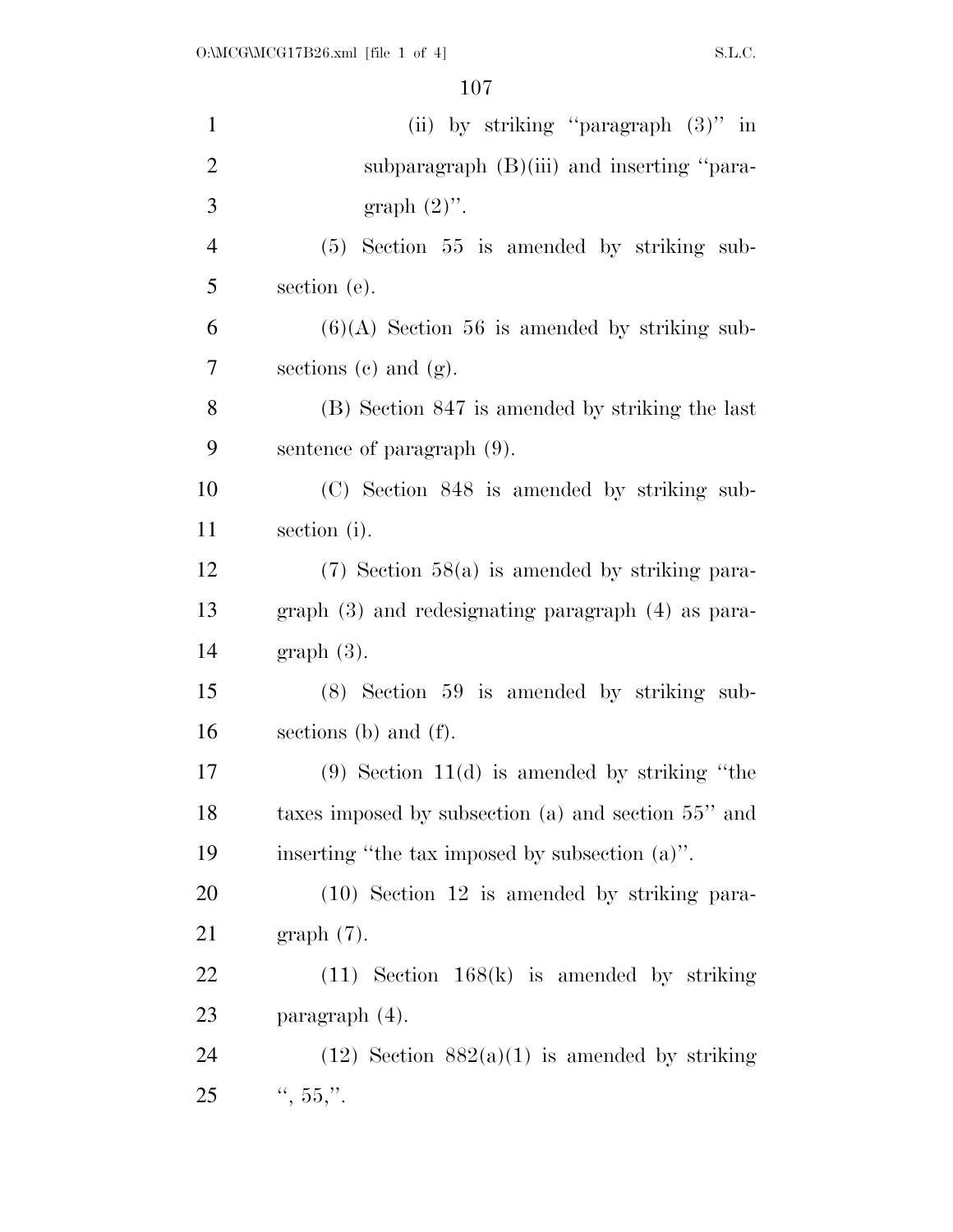| $\mathbf{1}$   | (ii) by striking "paragraph $(3)$ " in                 |
|----------------|--------------------------------------------------------|
| $\overline{2}$ | subparagraph $(B)(iii)$ and inserting "para-           |
| 3              | graph $(2)$ ".                                         |
| $\overline{4}$ | $(5)$ Section 55 is amended by striking sub-           |
| 5              | section (e).                                           |
| 6              | $(6)(A)$ Section 56 is amended by striking sub-        |
| 7              | sections $(c)$ and $(g)$ .                             |
| 8              | (B) Section 847 is amended by striking the last        |
| 9              | sentence of paragraph (9).                             |
| 10             | (C) Section 848 is amended by striking sub-            |
| 11             | section (i).                                           |
| 12             | $(7)$ Section 58(a) is amended by striking para-       |
| 13             | graph $(3)$ and redesignating paragraph $(4)$ as para- |
| 14             | $graph(3)$ .                                           |
| 15             | (8) Section 59 is amended by striking sub-             |
| 16             | sections (b) and $(f)$ .                               |
| 17             | $(9)$ Section 11(d) is amended by striking "the        |
| 18             | taxes imposed by subsection (a) and section 55" and    |
| 19             | inserting "the tax imposed by subsection (a)".         |
| 20             | $(10)$ Section 12 is amended by striking para-         |
| 21             | $graph(7)$ .                                           |
| <u>22</u>      | $(11)$ Section 168(k) is amended by striking           |
| 23             | paragraph (4).                                         |
| 24             | $(12)$ Section $882(a)(1)$ is amended by striking      |
| 25             | $\frac{1}{2}$ , 55,".                                  |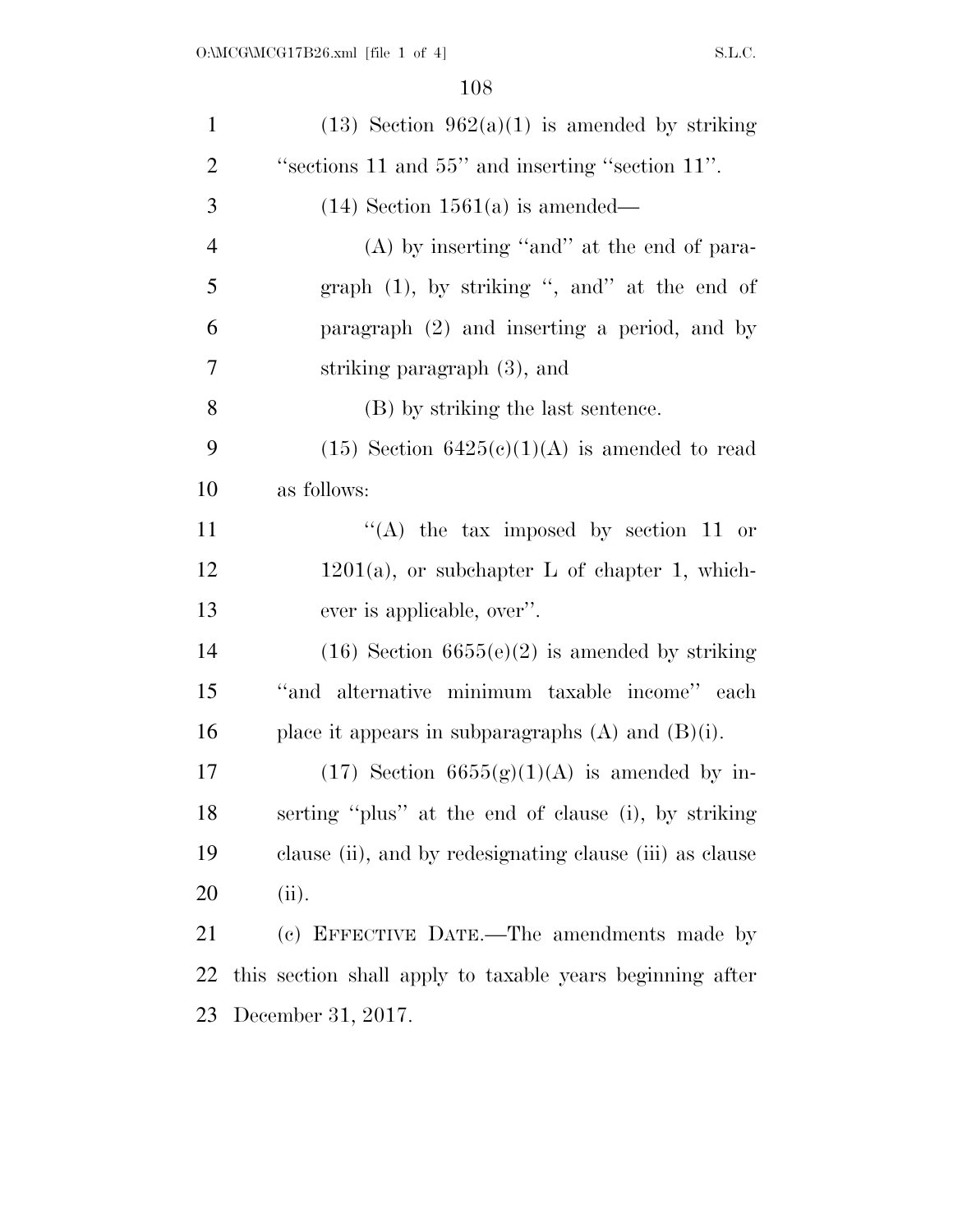| $\mathbf{1}$   | $(13)$ Section $962(a)(1)$ is amended by striking         |
|----------------|-----------------------------------------------------------|
| $\overline{2}$ | "sections 11 and 55" and inserting "section 11".          |
| 3              | $(14)$ Section 1561(a) is amended—                        |
| $\overline{4}$ | $(A)$ by inserting "and" at the end of para-              |
| 5              | graph (1), by striking ", and" at the end of              |
| 6              | paragraph (2) and inserting a period, and by              |
| 7              | striking paragraph (3), and                               |
| 8              | (B) by striking the last sentence.                        |
| 9              | $(15)$ Section $6425(c)(1)(A)$ is amended to read         |
| 10             | as follows:                                               |
| 11             | "(A) the tax imposed by section 11 or                     |
| 12             | $1201(a)$ , or subchapter L of chapter 1, which-          |
| 13             | ever is applicable, over".                                |
| 14             | $(16)$ Section $6655(e)(2)$ is amended by striking        |
| 15             | "and alternative minimum taxable income" each             |
| 16             | place it appears in subparagraphs $(A)$ and $(B)(i)$ .    |
| 17             | $(17)$ Section 6655 $(g)(1)(A)$ is amended by in-         |
| 18             | serting "plus" at the end of clause (i), by striking      |
| 19             | clause (ii), and by redesignating clause (iii) as clause  |
| 20             | (ii).                                                     |
| 21             | (c) EFFECTIVE DATE.—The amendments made by                |
| 22             | this section shall apply to taxable years beginning after |
| 23             | December 31, 2017.                                        |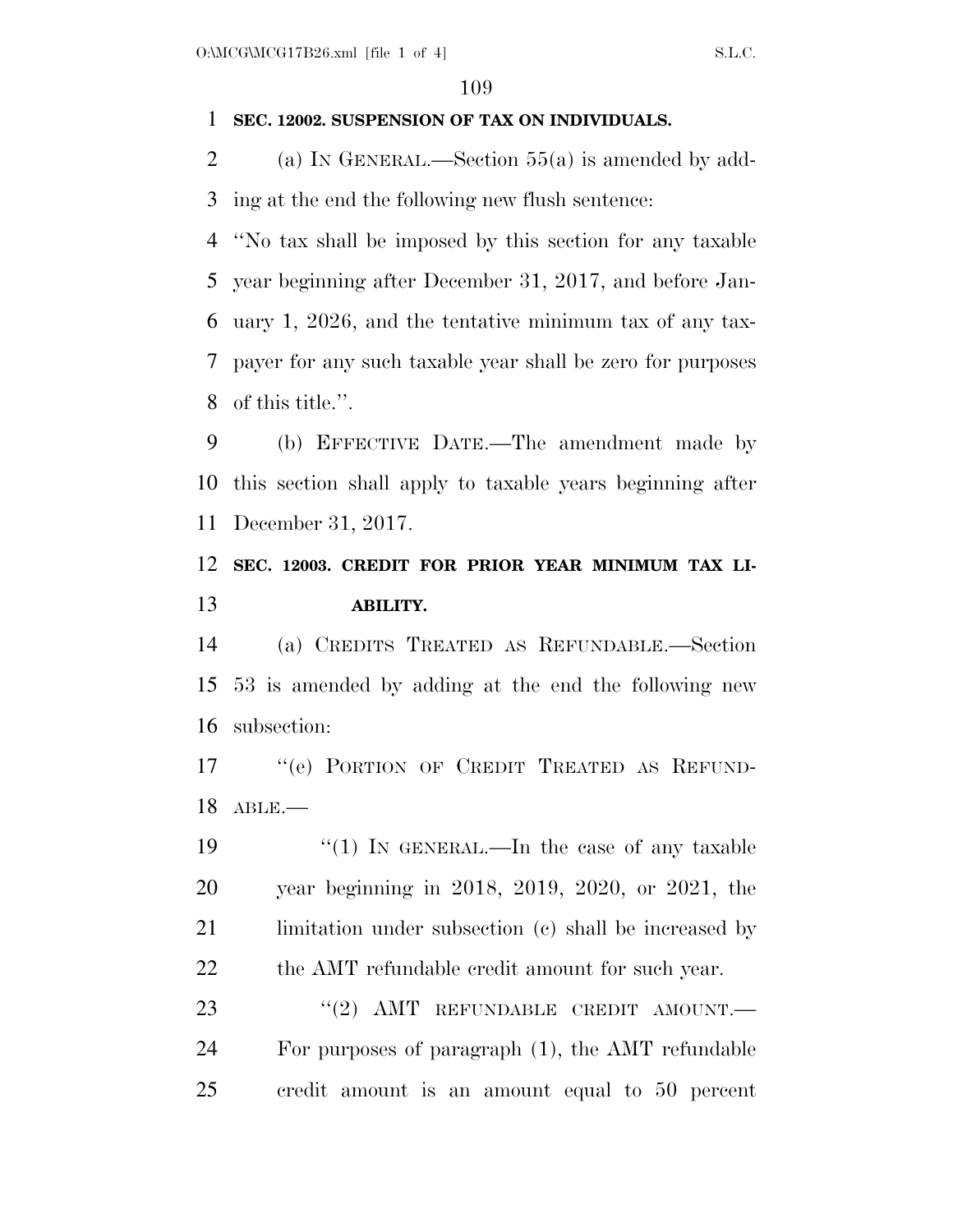## **SEC. 12002. SUSPENSION OF TAX ON INDIVIDUALS.**

 (a) IN GENERAL.—Section 55(a) is amended by add-ing at the end the following new flush sentence:

 ''No tax shall be imposed by this section for any taxable year beginning after December 31, 2017, and before Jan- uary 1, 2026, and the tentative minimum tax of any tax- payer for any such taxable year shall be zero for purposes of this title.''.

 (b) EFFECTIVE DATE.—The amendment made by this section shall apply to taxable years beginning after December 31, 2017.

## **SEC. 12003. CREDIT FOR PRIOR YEAR MINIMUM TAX LI-ABILITY.**

 (a) CREDITS TREATED AS REFUNDABLE.—Section 53 is amended by adding at the end the following new subsection:

17 "(e) PORTION OF CREDIT TREATED AS REFUND-ABLE.—

19 "(1) IN GENERAL.—In the case of any taxable year beginning in 2018, 2019, 2020, or 2021, the 21 limitation under subsection (c) shall be increased by the AMT refundable credit amount for such year.

23 "(2) AMT REFUNDABLE CREDIT AMOUNT.— For purposes of paragraph (1), the AMT refundable credit amount is an amount equal to 50 percent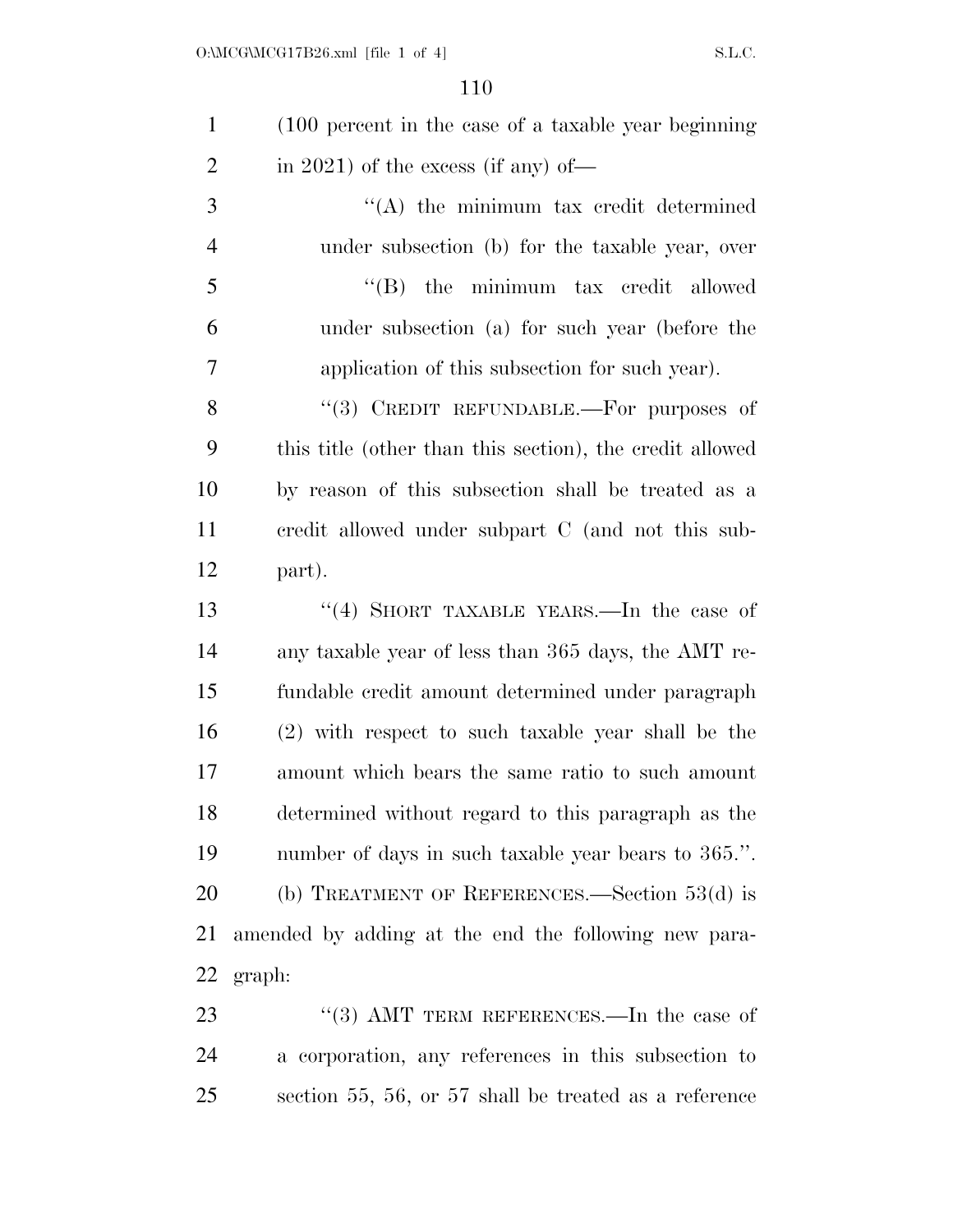| $\mathbf{1}$   | (100 percent in the case of a taxable year beginning)    |
|----------------|----------------------------------------------------------|
| $\overline{2}$ | in 2021) of the excess (if any) of—                      |
| 3              | "(A) the minimum tax credit determined                   |
| $\overline{4}$ | under subsection (b) for the taxable year, over          |
| 5              | $\lq\lq$ (B) the minimum tax credit allowed              |
| 6              | under subsection (a) for such year (before the           |
| 7              | application of this subsection for such year).           |
| 8              | "(3) CREDIT REFUNDABLE.—For purposes of                  |
| 9              | this title (other than this section), the credit allowed |
| 10             | by reason of this subsection shall be treated as a       |
| 11             | credit allowed under subpart C (and not this sub-        |
| 12             | part).                                                   |
| 13             | "(4) SHORT TAXABLE YEARS.—In the case of                 |
| 14             | any taxable year of less than 365 days, the AMT re-      |
| 15             | fundable credit amount determined under paragraph        |
| 16             | (2) with respect to such taxable year shall be the       |
| 17             | amount which bears the same ratio to such amount         |
| 18             | determined without regard to this paragraph as the       |
| 19             | number of days in such taxable year bears to 365.".      |
| 20             | (b) TREATMENT OF REFERENCES.—Section $53(d)$ is          |
| 21             | amended by adding at the end the following new para-     |
| 22             | graph:                                                   |
| 23             | "(3) AMT TERM REFERENCES.—In the case of                 |
| 24             | a corporation, any references in this subsection to      |

section 55, 56, or 57 shall be treated as a reference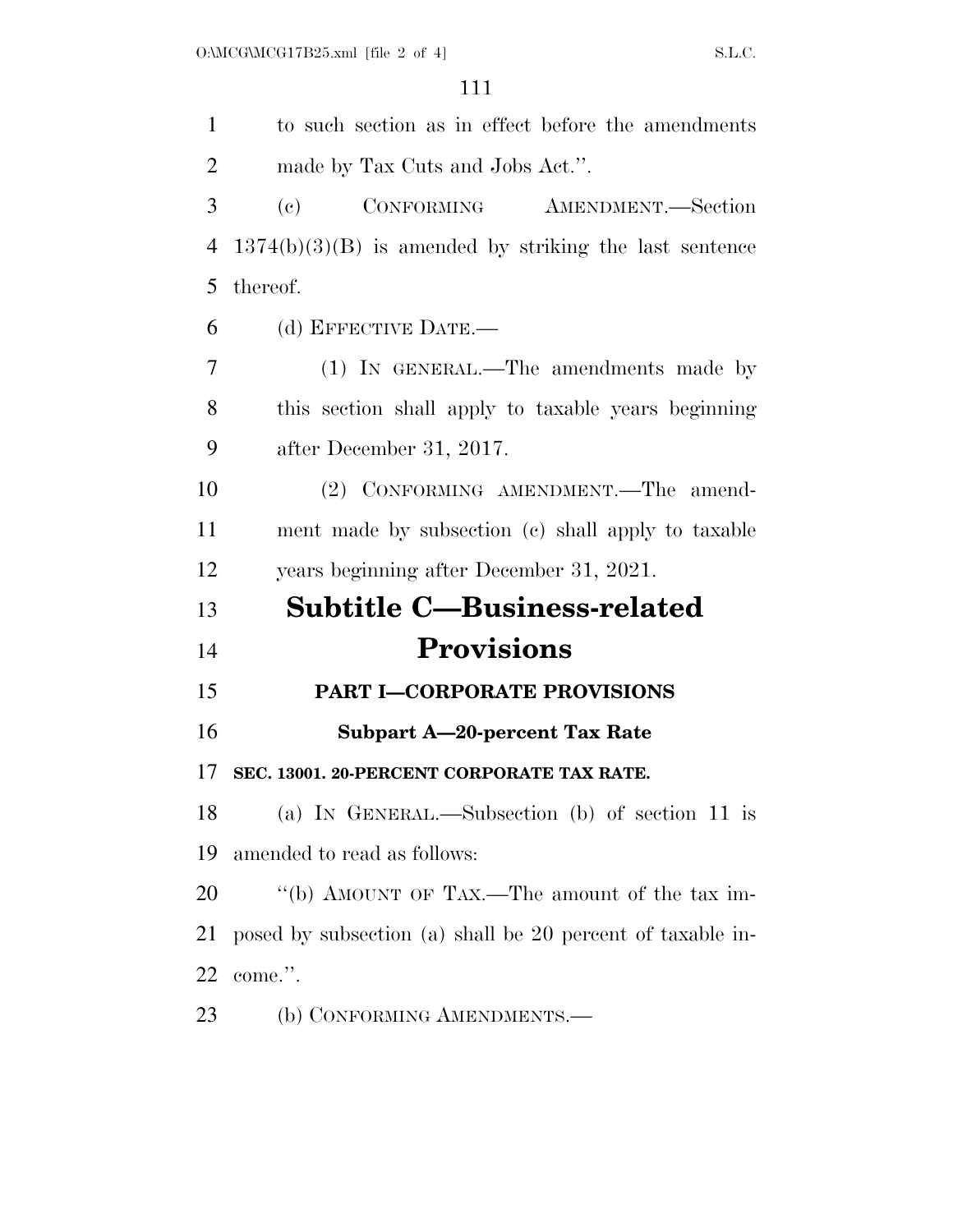| $\mathbf{1}$   | to such section as in effect before the amendments          |
|----------------|-------------------------------------------------------------|
| $\overline{2}$ | made by Tax Cuts and Jobs Act.".                            |
| 3              | CONFORMING AMENDMENT.-Section<br>$\left( \mathrm{e}\right)$ |
| 4              | $1374(b)(3)(B)$ is amended by striking the last sentence    |
| 5              | thereof.                                                    |
| 6              | (d) EFFECTIVE DATE.-                                        |
| 7              | (1) IN GENERAL.—The amendments made by                      |
| 8              | this section shall apply to taxable years beginning         |
| 9              | after December 31, 2017.                                    |
| 10             | (2) CONFORMING AMENDMENT.-The amend-                        |
| 11             | ment made by subsection (c) shall apply to taxable          |
| 12             | years beginning after December 31, 2021.                    |
| 13             | <b>Subtitle C-Business-related</b>                          |
| 14             | <b>Provisions</b>                                           |
| 15             | <b>PART I-CORPORATE PROVISIONS</b>                          |
| 16             | <b>Subpart A-20-percent Tax Rate</b>                        |
| 17             | SEC. 13001. 20-PERCENT CORPORATE TAX RATE.                  |
| 18             | (a) IN GENERAL.—Subsection (b) of section 11 is             |
| 19             | amended to read as follows:                                 |
| 20             | "(b) AMOUNT OF TAX.—The amount of the tax im-               |
| 21             | posed by subsection (a) shall be 20 percent of taxable in-  |
| 22             | come.".                                                     |
| 23             | (b) CONFORMING AMENDMENTS.—                                 |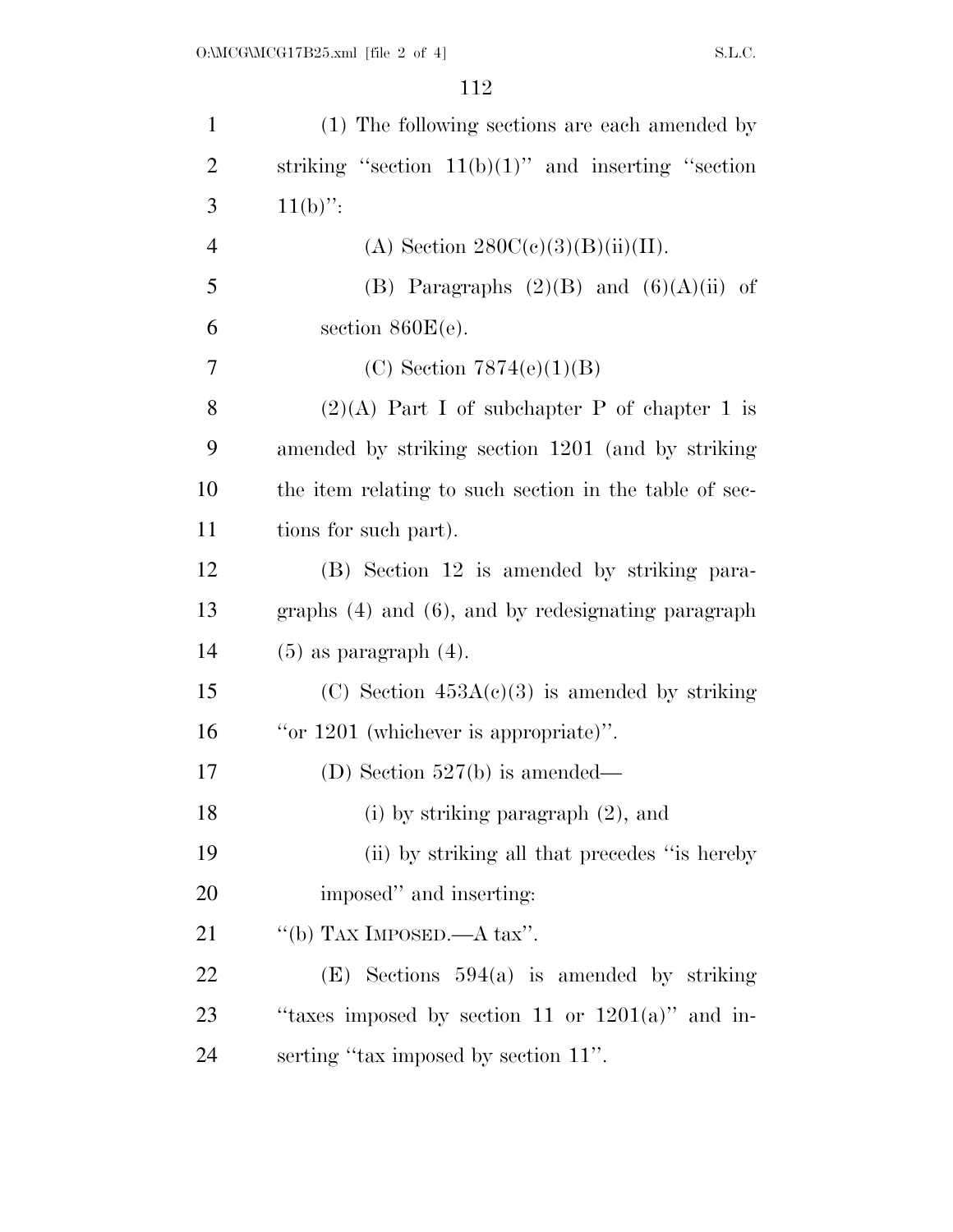| $\mathbf{1}$   | (1) The following sections are each amended by          |
|----------------|---------------------------------------------------------|
| $\overline{2}$ | striking "section $11(b)(1)$ " and inserting "section   |
| 3              | $11(b)$ ":                                              |
| $\overline{4}$ | (A) Section $280C(c)(3)(B)(ii)(II)$ .                   |
| 5              | (B) Paragraphs $(2)(B)$ and $(6)(A)(ii)$ of             |
| 6              | section $860E(e)$ .                                     |
| 7              | (C) Section $7874(e)(1)(B)$                             |
| 8              | $(2)(A)$ Part I of subchapter P of chapter 1 is         |
| 9              | amended by striking section 1201 (and by striking       |
| 10             | the item relating to such section in the table of sec-  |
| 11             | tions for such part).                                   |
| 12             | (B) Section 12 is amended by striking para-             |
| 13             | graphs $(4)$ and $(6)$ , and by redesignating paragraph |
| 14             | $(5)$ as paragraph $(4)$ .                              |
| 15             | (C) Section $453A(c)(3)$ is amended by striking         |
| 16             | "or $1201$ (whichever is appropriate)".                 |
| 17             | (D) Section $527(b)$ is amended—                        |
| 18             | (i) by striking paragraph $(2)$ , and                   |
| 19             | (ii) by striking all that precedes "is hereby           |
| 20             | imposed" and inserting:                                 |
| 21             | "(b) TAX IMPOSED.—A tax".                               |
| 22             | $(E)$ Sections 594(a) is amended by striking            |
| 23             | "taxes imposed by section 11 or $1201(a)$ " and in-     |
| 24             | serting "tax imposed by section 11".                    |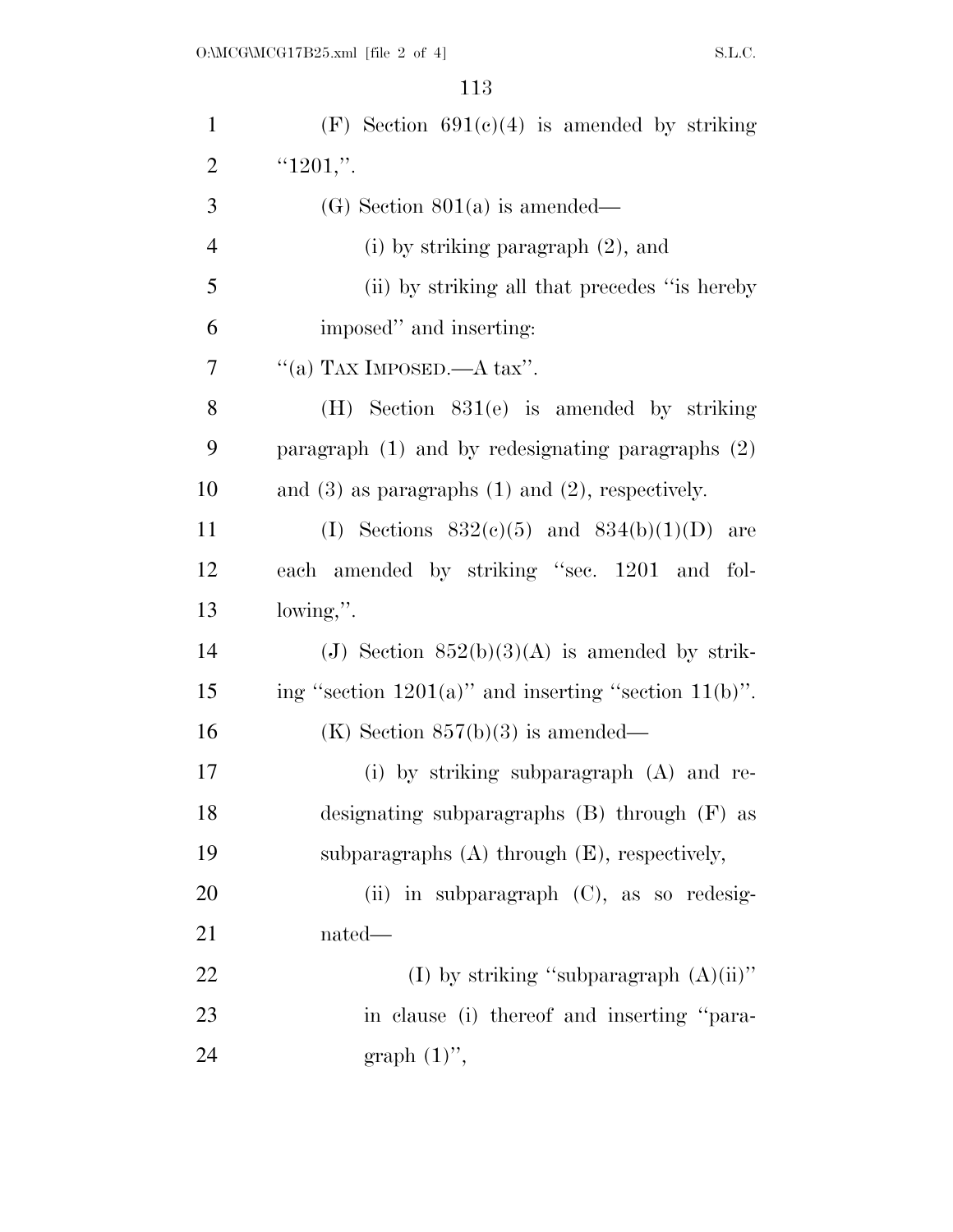| $\mathbf{1}$   | (F) Section $691(c)(4)$ is amended by striking             |
|----------------|------------------------------------------------------------|
| $\overline{2}$ | " $1201$ ,".                                               |
| 3              | $(G)$ Section 801(a) is amended—                           |
| $\overline{4}$ | (i) by striking paragraph $(2)$ , and                      |
| 5              | (ii) by striking all that precedes "is hereby              |
| 6              | imposed" and inserting:                                    |
| 7              | "(a) TAX IMPOSED.—A tax".                                  |
| 8              | $(H)$ Section 831(e) is amended by striking                |
| 9              | paragraph $(1)$ and by redesignating paragraphs $(2)$      |
| 10             | and $(3)$ as paragraphs $(1)$ and $(2)$ , respectively.    |
| 11             | (I) Sections $832(e)(5)$ and $834(b)(1)(D)$ are            |
| 12             | each amended by striking "sec. 1201 and fol-               |
| 13             | lowing,".                                                  |
| 14             | (J) Section $852(b)(3)(A)$ is amended by strik-            |
| 15             | ing "section $1201(a)$ " and inserting "section $11(b)$ ". |
| 16             | (K) Section $857(b)(3)$ is amended—                        |
| 17             | (i) by striking subparagraph $(A)$ and re-                 |
| 18             | designating subparagraphs (B) through (F) as               |
| 19             | subparagraphs $(A)$ through $(E)$ , respectively,          |
| 20             | (ii) in subparagraph $(C)$ , as so redesig-                |
| 21             | nated—                                                     |
| 22             | (I) by striking "subparagraph $(A)(ii)$ "                  |
| 23             | in clause (i) thereof and inserting "para-                 |
| 24             | graph $(1)$ ",                                             |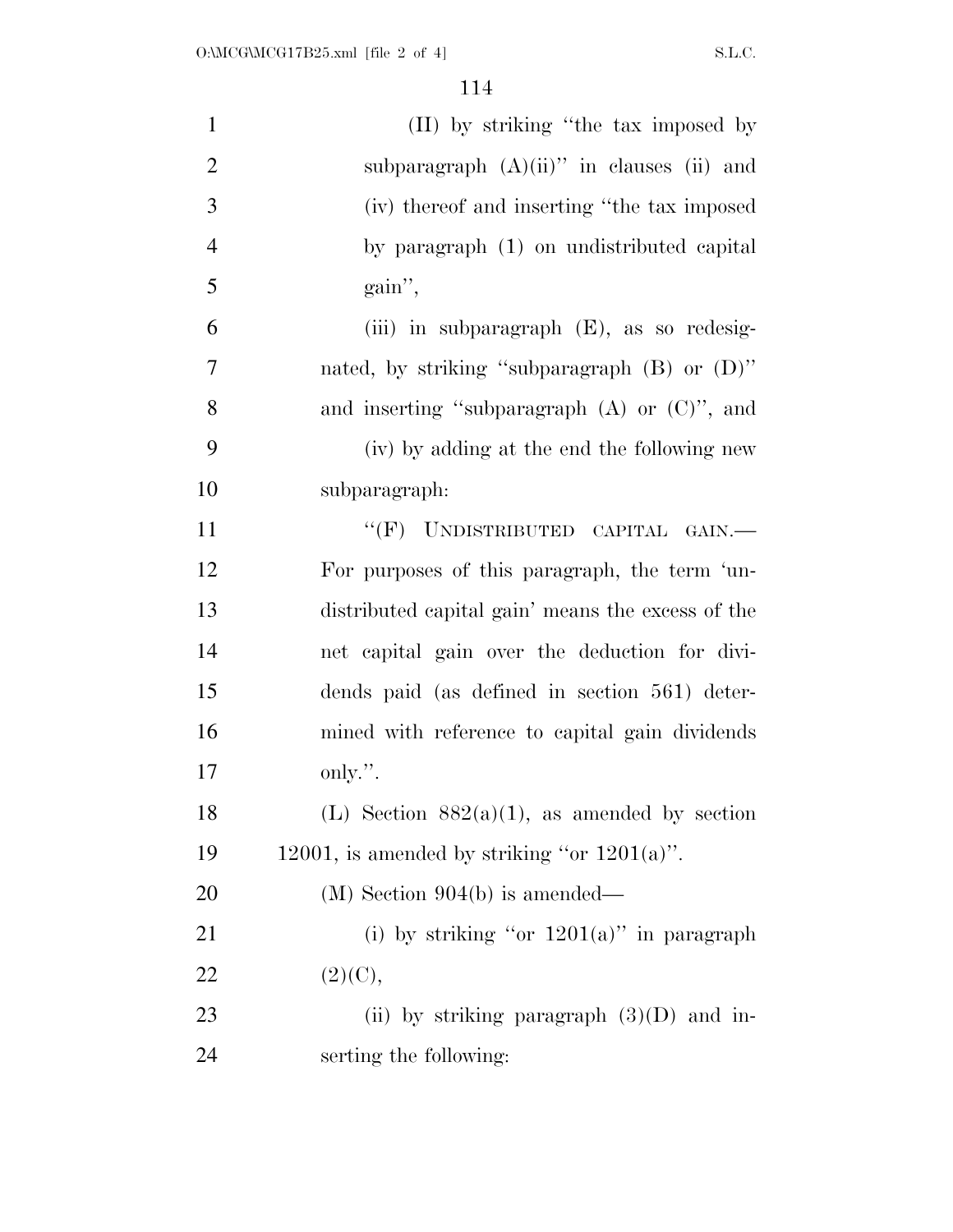| $\mathbf{1}$   | (II) by striking "the tax imposed by              |
|----------------|---------------------------------------------------|
| $\overline{2}$ | subparagraph $(A)(ii)$ " in clauses (ii) and      |
| 3              | (iv) thereof and inserting "the tax imposed       |
| $\overline{4}$ | by paragraph (1) on undistributed capital         |
| 5              | gain",                                            |
| 6              | (iii) in subparagraph (E), as so redesig-         |
| $\overline{7}$ | nated, by striking "subparagraph (B) or (D)"      |
| 8              | and inserting "subparagraph $(A)$ or $(C)$ ", and |
| 9              | (iv) by adding at the end the following new       |
| 10             | subparagraph:                                     |
| 11             | "(F) UNDISTRIBUTED CAPITAL GAIN.-                 |
| 12             | For purposes of this paragraph, the term 'un-     |
| 13             | distributed capital gain' means the excess of the |
| 14             | net capital gain over the deduction for divi-     |
| 15             | dends paid (as defined in section 561) deter-     |
| 16             | mined with reference to capital gain dividends    |
| 17             | only.".                                           |
| 18             | (L) Section $882(a)(1)$ , as amended by section   |
| 19             | 12001, is amended by striking "or $1201(a)$ ".    |
| 20             | $(M)$ Section 904(b) is amended—                  |
| 21             | (i) by striking "or $1201(a)$ " in paragraph      |
| 22             | (2)(C),                                           |
| 23             | (ii) by striking paragraph $(3)(D)$ and in-       |
| 24             | serting the following:                            |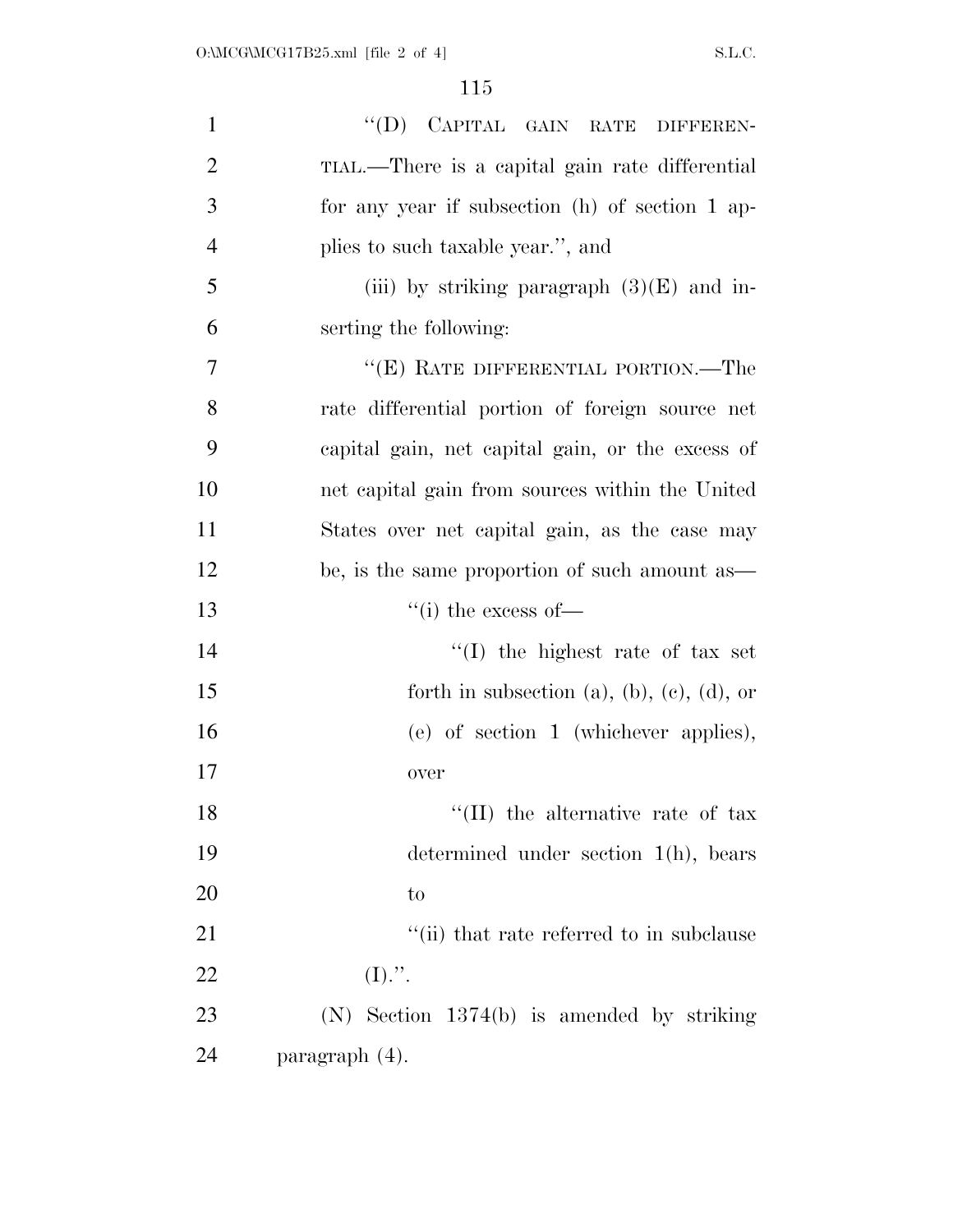| $\mathbf{1}$   | "(D) CAPITAL GAIN RATE DIFFEREN-                 |
|----------------|--------------------------------------------------|
| $\overline{2}$ | TIAL.—There is a capital gain rate differential  |
| 3              | for any year if subsection (h) of section 1 ap-  |
| $\overline{4}$ | plies to such taxable year.", and                |
| 5              | (iii) by striking paragraph $(3)(E)$ and in-     |
| 6              | serting the following:                           |
| 7              | "(E) RATE DIFFERENTIAL PORTION.—The              |
| 8              | rate differential portion of foreign source net  |
| 9              | capital gain, net capital gain, or the excess of |
| 10             | net capital gain from sources within the United  |
| 11             | States over net capital gain, as the case may    |
| 12             | be, is the same proportion of such amount as—    |
| 13             | $``(i)$ the excess of—                           |
| 14             | $\lq\lq$ the highest rate of tax set             |
| 15             | forth in subsection (a), (b), (c), (d), or       |
| 16             | (e) of section 1 (whichever applies),            |
| 17             | over                                             |
| 18             | "(II) the alternative rate of tax                |
| 19             | determined under section $1(h)$ , bears          |
| 20             | to                                               |
| 21             | "(ii) that rate referred to in subclause         |
| 22             | (I).".                                           |
| 23             | $(N)$ Section 1374(b) is amended by striking     |
| 24             | paragraph $(4)$ .                                |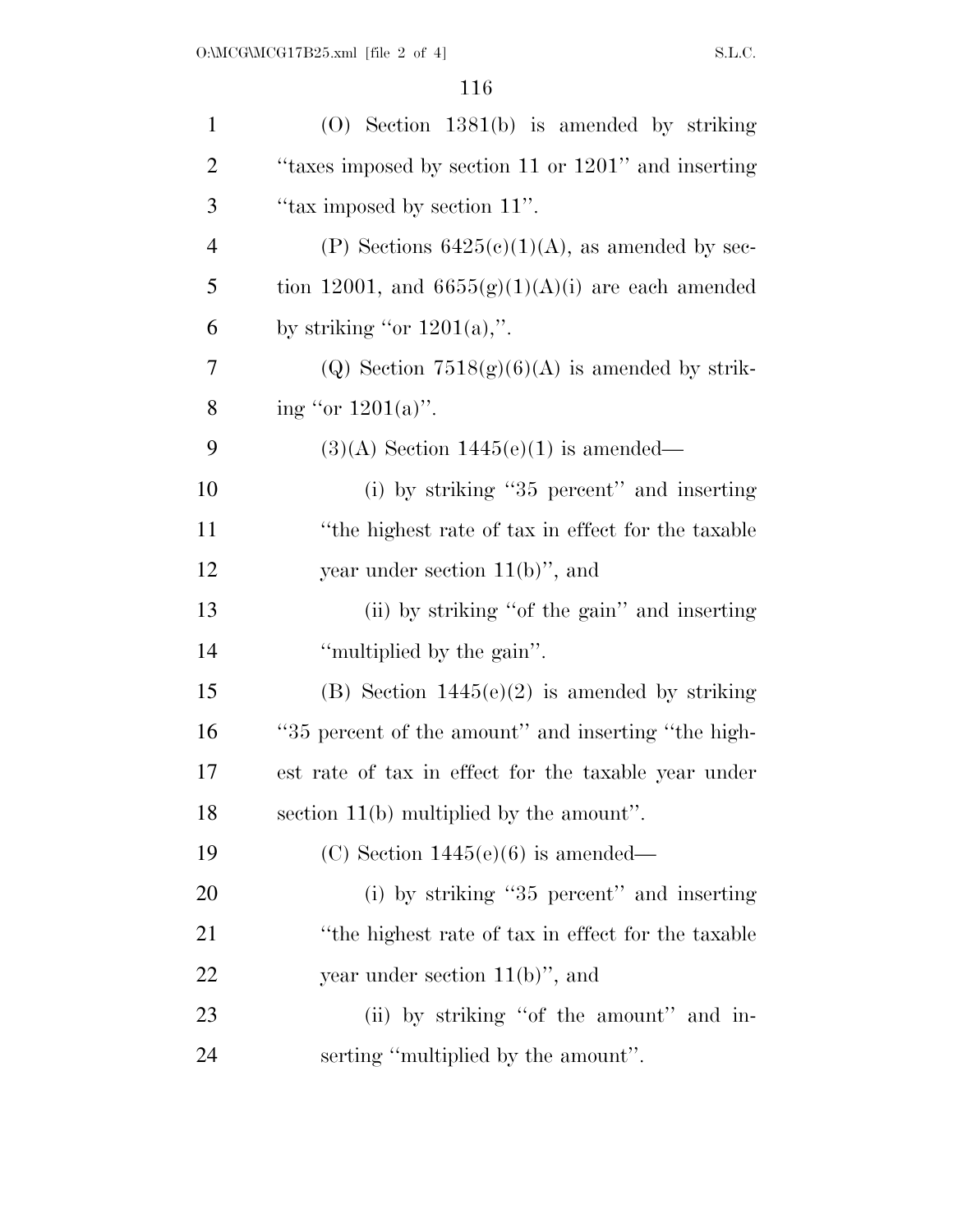| $\mathbf{1}$   | $(0)$ Section 1381 $(b)$ is amended by striking      |
|----------------|------------------------------------------------------|
| $\overline{2}$ | "taxes imposed by section 11 or 1201" and inserting  |
| 3              | "tax imposed by section 11".                         |
| $\overline{4}$ | (P) Sections $6425(c)(1)(A)$ , as amended by sec-    |
| 5              | tion 12001, and $6655(g)(1)(A)(i)$ are each amended  |
| 6              | by striking "or $1201(a)$ ,".                        |
| 7              | (Q) Section $7518(g)(6)(A)$ is amended by strik-     |
| 8              | ing "or $1201(a)$ ".                                 |
| 9              | $(3)(A)$ Section 1445(e)(1) is amended—              |
| 10             | (i) by striking "35 percent" and inserting           |
| 11             | "the highest rate of tax in effect for the taxable"  |
| 12             | year under section $11(b)$ , and                     |
| 13             | (ii) by striking "of the gain" and inserting         |
| 14             | "multiplied by the gain".                            |
| 15             | (B) Section $1445(e)(2)$ is amended by striking      |
| 16             | "35 percent of the amount" and inserting "the high-  |
| 17             | est rate of tax in effect for the taxable year under |
| 18             | section $11(b)$ multiplied by the amount".           |
| 19             | (C) Section $1445(e)(6)$ is amended—                 |
| <b>20</b>      | (i) by striking "35 percent" and inserting           |
| 21             | "the highest rate of tax in effect for the taxable"  |
| 22             | year under section $11(b)$ , and                     |
| 23             | (ii) by striking "of the amount" and in-             |
| 24             | serting "multiplied by the amount".                  |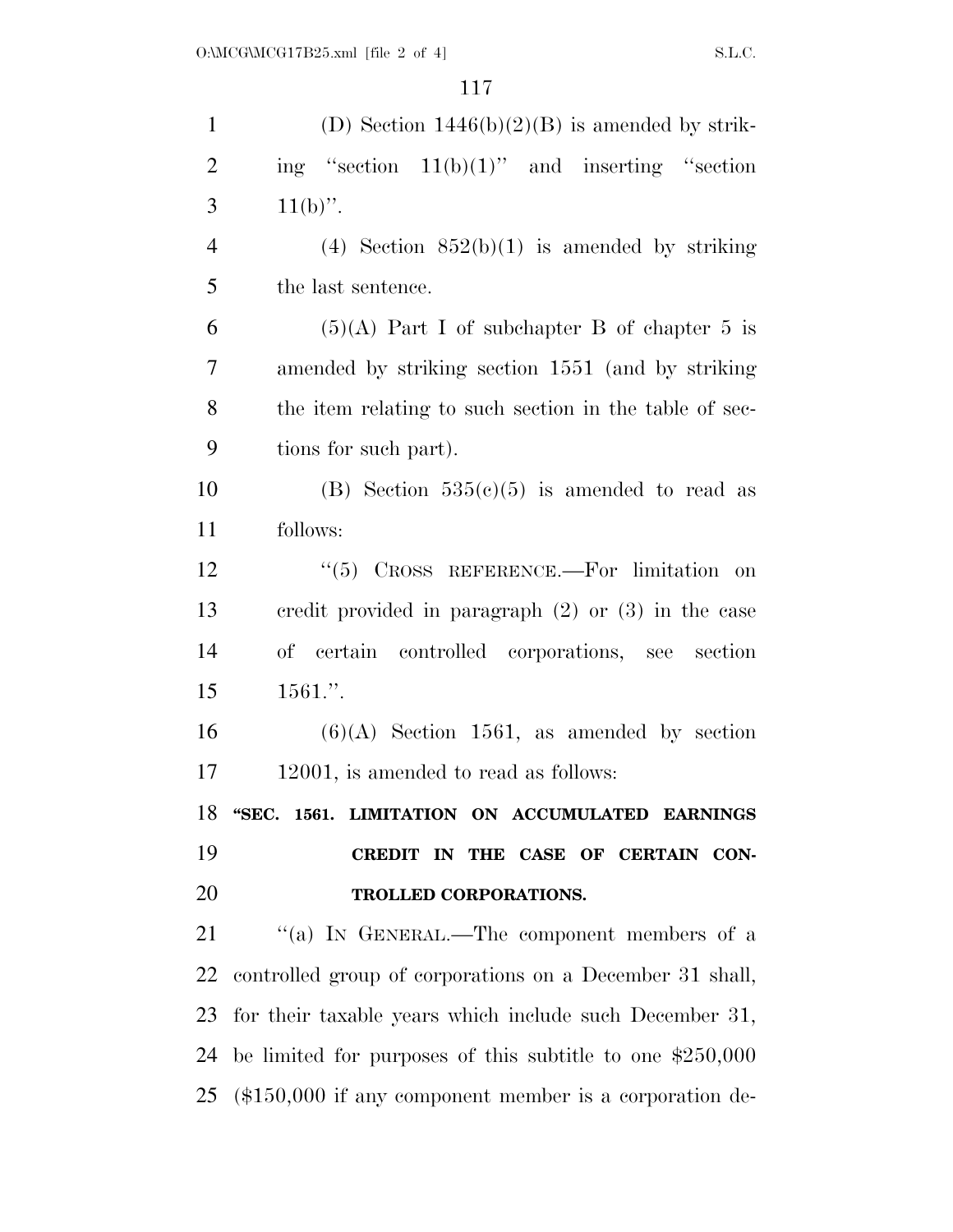| $\mathbf{1}$   | (D) Section $1446(b)(2)(B)$ is amended by strik-             |
|----------------|--------------------------------------------------------------|
| $\overline{2}$ | ing "section $11(b)(1)$ " and inserting "section             |
| 3              | $11(b)$ ".                                                   |
| $\overline{4}$ | (4) Section $852(b)(1)$ is amended by striking               |
| 5              | the last sentence.                                           |
| 6              | $(5)(A)$ Part I of subchapter B of chapter 5 is              |
| 7              | amended by striking section 1551 (and by striking            |
| 8              | the item relating to such section in the table of sec-       |
| 9              | tions for such part).                                        |
| 10             | (B) Section $535(c)(5)$ is amended to read as                |
| 11             | follows:                                                     |
| 12             | CROSS REFERENCE.-For limitation on<br>(6(5))                 |
| 13             | credit provided in paragraph $(2)$ or $(3)$ in the case      |
| 14             | of certain controlled corporations, see section              |
| 15             | $1561.$ ".                                                   |
| 16             | $(6)(A)$ Section 1561, as amended by section                 |
| 17             | 12001, is amended to read as follows:                        |
| 18             | "SEC. 1561. LIMITATION ON ACCUMULATED EARNINGS               |
| 19             | CREDIT IN THE CASE OF CERTAIN CON-                           |
| 20             | TROLLED CORPORATIONS.                                        |
| 21             | "(a) IN GENERAL.—The component members of a                  |
| 22             | controlled group of corporations on a December 31 shall,     |
| 23             | for their taxable years which include such December 31,      |
| 24             | be limited for purposes of this subtitle to one $$250,000$   |
|                | $25$ (\$150,000 if any component member is a corporation de- |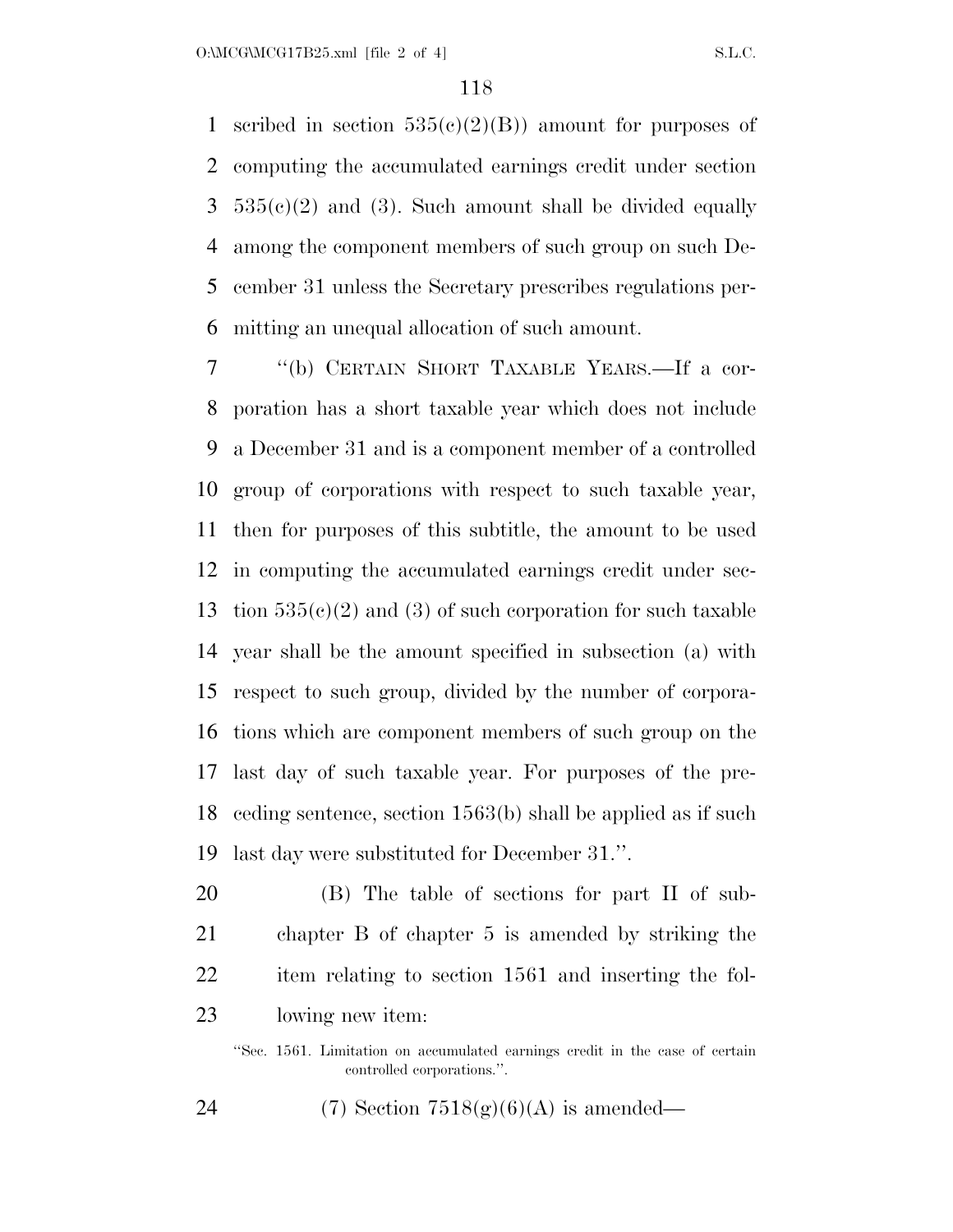1 scribed in section  $535(c)(2)(B)$  amount for purposes of computing the accumulated earnings credit under section  $3\quad 535(e)(2)$  and (3). Such amount shall be divided equally among the component members of such group on such De- cember 31 unless the Secretary prescribes regulations per-mitting an unequal allocation of such amount.

 ''(b) CERTAIN SHORT TAXABLE YEARS.—If a cor- poration has a short taxable year which does not include a December 31 and is a component member of a controlled group of corporations with respect to such taxable year, then for purposes of this subtitle, the amount to be used in computing the accumulated earnings credit under sec-13 tion  $535(e)(2)$  and (3) of such corporation for such taxable year shall be the amount specified in subsection (a) with respect to such group, divided by the number of corpora- tions which are component members of such group on the last day of such taxable year. For purposes of the pre- ceding sentence, section 1563(b) shall be applied as if such last day were substituted for December 31.''.

 (B) The table of sections for part II of sub- chapter B of chapter 5 is amended by striking the item relating to section 1561 and inserting the fol-lowing new item:

''Sec. 1561. Limitation on accumulated earnings credit in the case of certain controlled corporations.''.

24 (7) Section  $7518(g)(6)(A)$  is amended—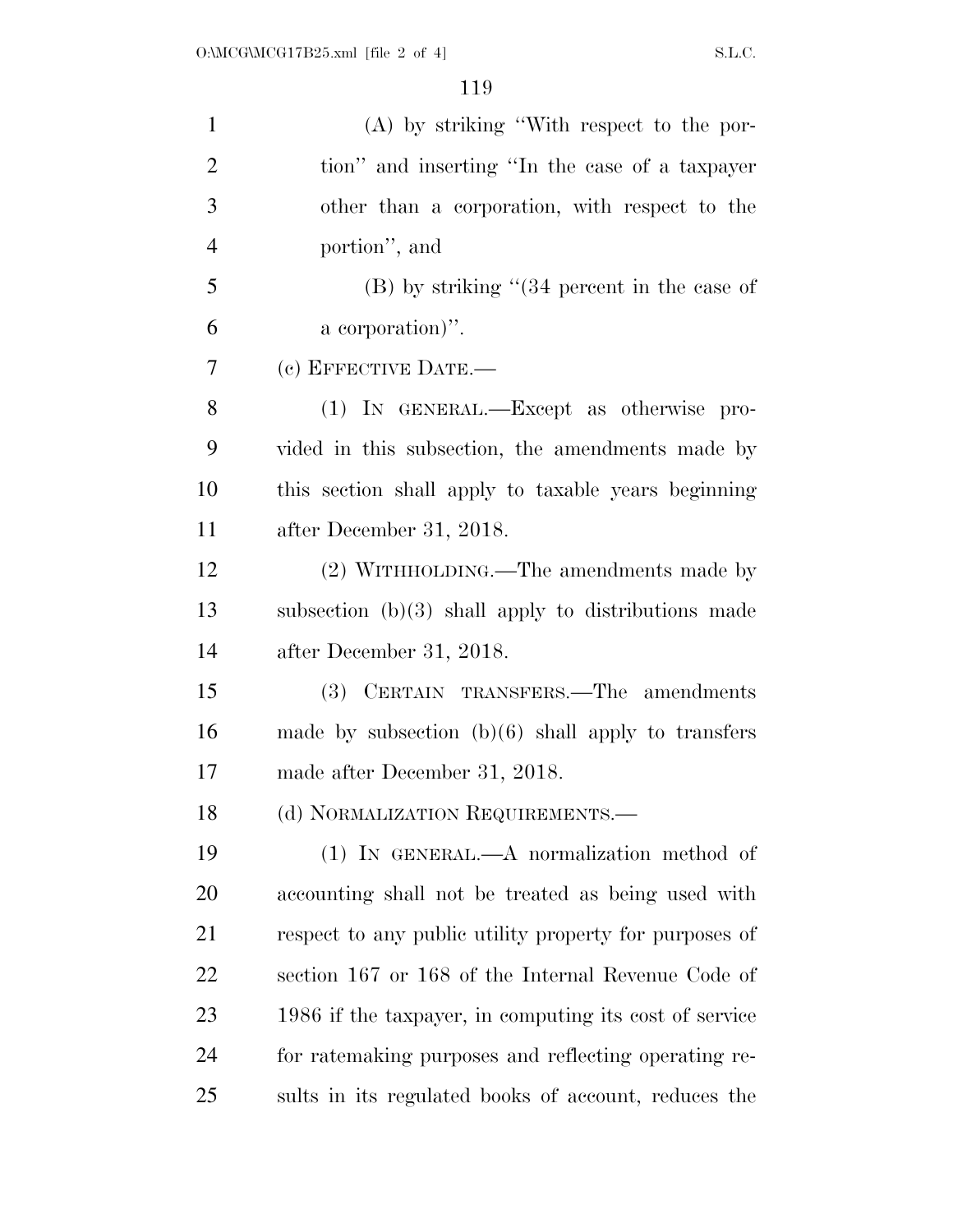| $\mathbf{1}$   | $(A)$ by striking "With respect to the por-            |
|----------------|--------------------------------------------------------|
| $\overline{2}$ | tion" and inserting "In the case of a taxpayer         |
| 3              | other than a corporation, with respect to the          |
| $\overline{4}$ | portion", and                                          |
| 5              | $(B)$ by striking " $(34)$ percent in the case of      |
| 6              | a corporation)".                                       |
| 7              | (c) EFFECTIVE DATE.-                                   |
| 8              | (1) IN GENERAL.—Except as otherwise pro-               |
| 9              | vided in this subsection, the amendments made by       |
| 10             | this section shall apply to taxable years beginning    |
| 11             | after December 31, 2018.                               |
| 12             | (2) WITHHOLDING.—The amendments made by                |
| 13             | subsection $(b)(3)$ shall apply to distributions made  |
| 14             | after December 31, 2018.                               |
| 15             | (3) CERTAIN TRANSFERS.—The amendments                  |
| 16             | made by subsection $(b)(6)$ shall apply to transfers   |
| 17             | made after December 31, 2018.                          |
| 18             | (d) NORMALIZATION REQUIREMENTS.—                       |
| 19             | $(1)$ IN GENERAL.—A normalization method of            |
| 20             | accounting shall not be treated as being used with     |
| 21             | respect to any public utility property for purposes of |
| 22             | section 167 or 168 of the Internal Revenue Code of     |
| 23             | 1986 if the taxpayer, in computing its cost of service |
| 24             | for ratemaking purposes and reflecting operating re-   |
| 25             | sults in its regulated books of account, reduces the   |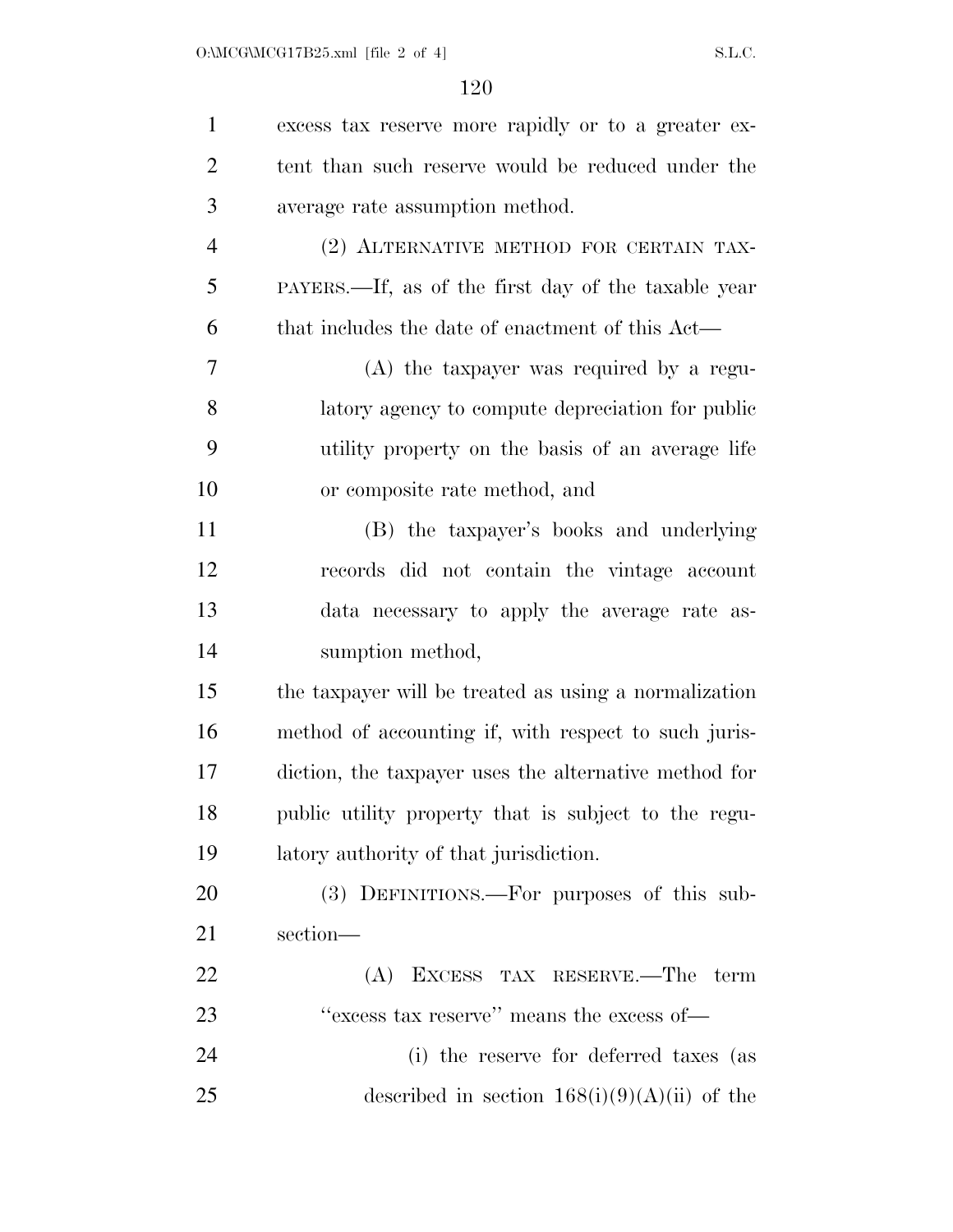| $\mathbf{1}$   | excess tax reserve more rapidly or to a greater ex-   |
|----------------|-------------------------------------------------------|
| $\overline{2}$ | tent than such reserve would be reduced under the     |
| 3              | average rate assumption method.                       |
| $\overline{4}$ | (2) ALTERNATIVE METHOD FOR CERTAIN TAX-               |
| 5              | PAYERS.—If, as of the first day of the taxable year   |
| 6              | that includes the date of enactment of this Act—      |
| 7              | $(A)$ the taxpayer was required by a regu-            |
| 8              | latory agency to compute depreciation for public      |
| 9              | utility property on the basis of an average life      |
| 10             | or composite rate method, and                         |
| 11             | (B) the taxpayer's books and underlying               |
| 12             | records did not contain the vintage account           |
| 13             | data necessary to apply the average rate as-          |
| 14             | sumption method,                                      |
| 15             | the taxpayer will be treated as using a normalization |
| 16             | method of accounting if, with respect to such juris-  |
| 17             | diction, the taxpayer uses the alternative method for |
| 18             | public utility property that is subject to the regu-  |
| 19             | latory authority of that jurisdiction.                |
| 20             | (3) DEFINITIONS.—For purposes of this sub-            |
| 21             | section-                                              |
| 22             | (A) EXCESS TAX RESERVE.—The term                      |
| 23             | "excess tax reserve" means the excess of-             |
| 24             | (i) the reserve for deferred taxes (as                |
| 25             | described in section $168(i)(9)(A)(ii)$ of the        |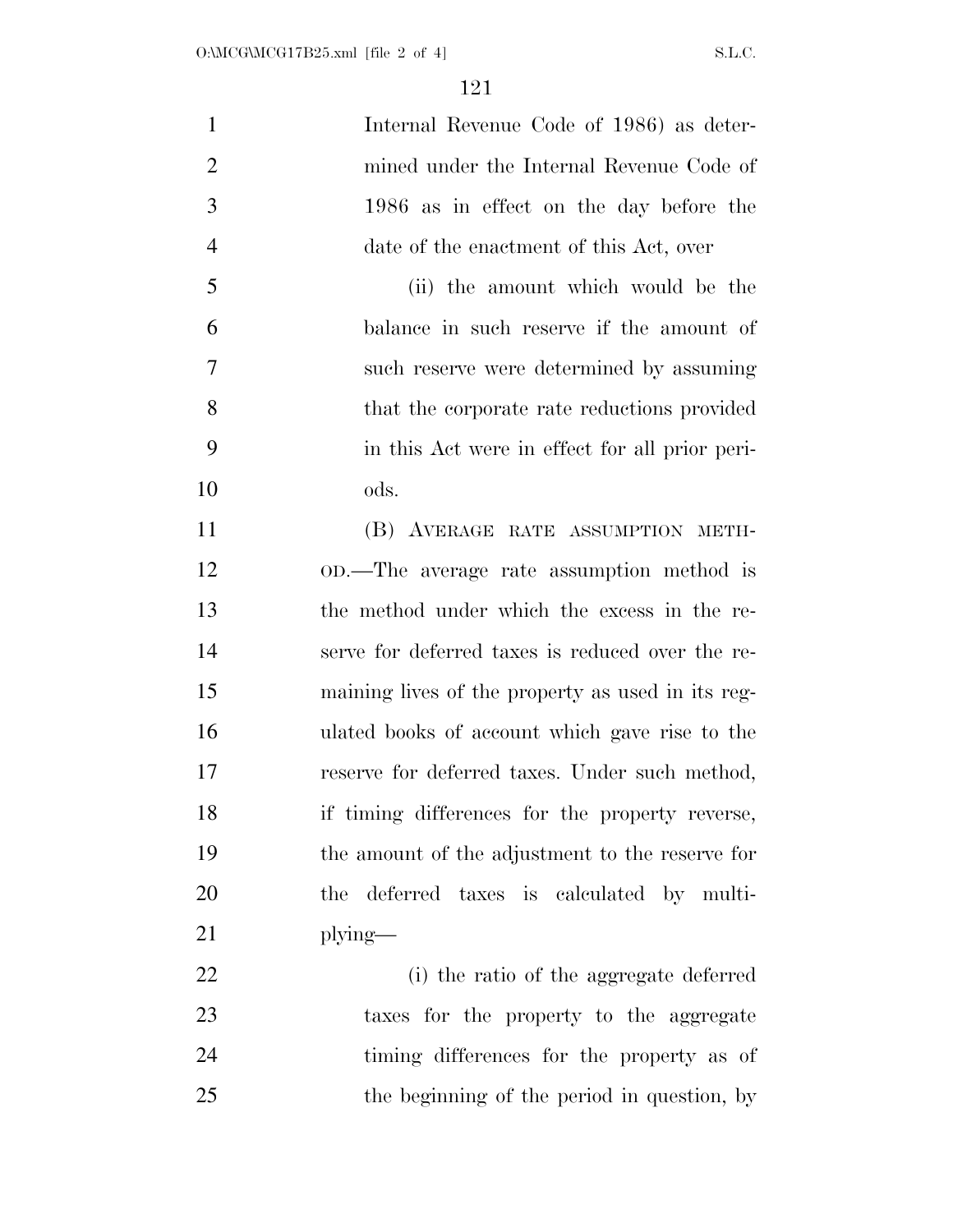| $\mathbf{1}$   | Internal Revenue Code of 1986) as deter-          |
|----------------|---------------------------------------------------|
| $\overline{2}$ | mined under the Internal Revenue Code of          |
| 3              | 1986 as in effect on the day before the           |
| $\overline{4}$ | date of the enactment of this Act, over           |
| 5              | (ii) the amount which would be the                |
| 6              | balance in such reserve if the amount of          |
| $\tau$         | such reserve were determined by assuming          |
| 8              | that the corporate rate reductions provided       |
| 9              | in this Act were in effect for all prior peri-    |
| 10             | ods.                                              |
| 11             | (B) AVERAGE RATE ASSUMPTION METH-                 |
| 12             | OD.—The average rate assumption method is         |
| 13             | the method under which the excess in the re-      |
| 14             | serve for deferred taxes is reduced over the re-  |
| 15             | maining lives of the property as used in its reg- |
| 16             | ulated books of account which gave rise to the    |
| 17             | reserve for deferred taxes. Under such method,    |
| 18             | if timing differences for the property reverse,   |
| 19             | the amount of the adjustment to the reserve for   |
| 20             | deferred taxes is calculated by multi-<br>the     |
| 21             | $plying$ —                                        |
| 22             | (i) the ratio of the aggregate deferred           |
| 23             | taxes for the property to the aggregate           |
| 24             | timing differences for the property as of         |
| 25             | the beginning of the period in question, by       |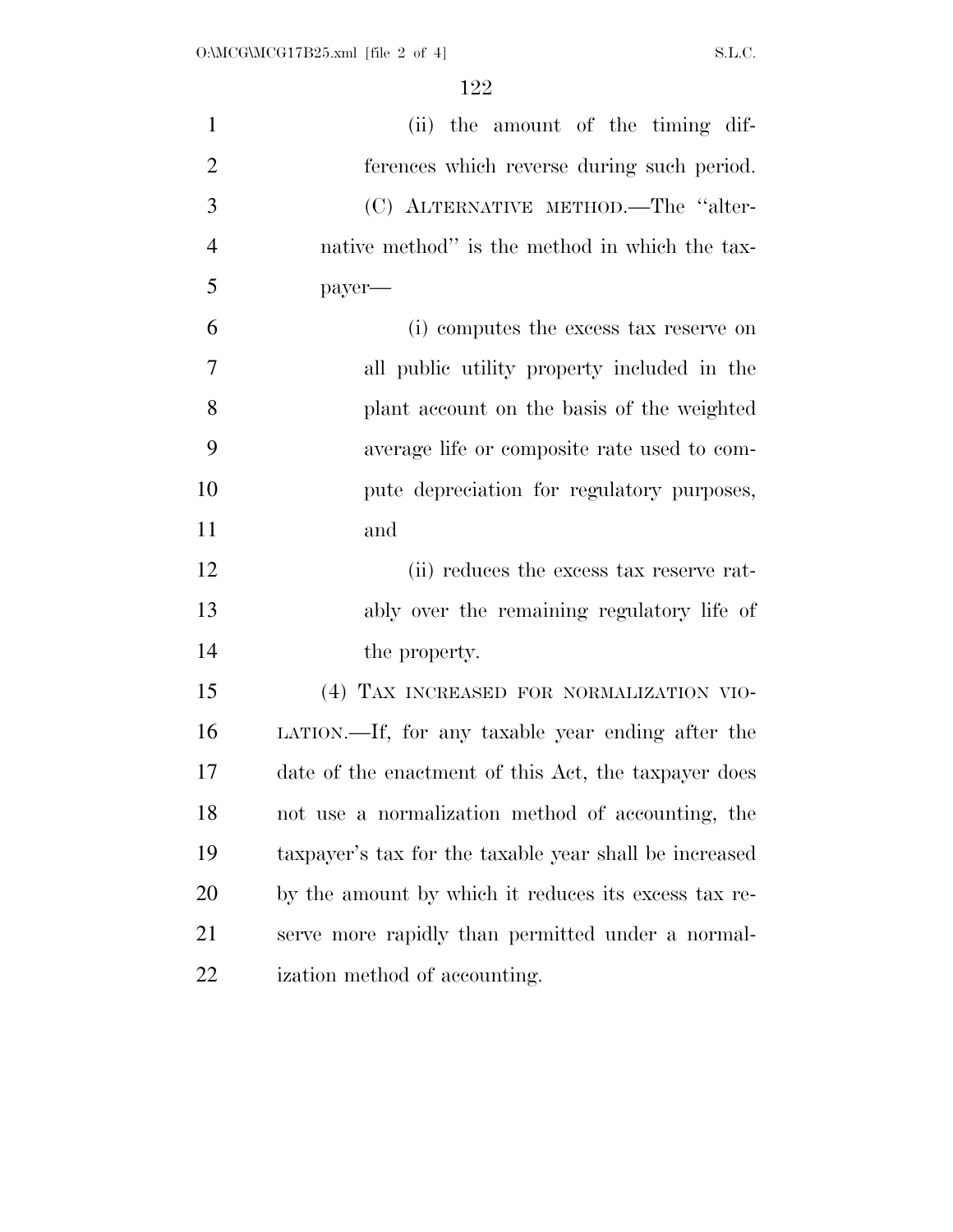| $\mathbf{1}$   | (ii) the amount of the timing dif-                     |
|----------------|--------------------------------------------------------|
| $\overline{2}$ | ferences which reverse during such period.             |
| 3              | (C) ALTERNATIVE METHOD.—The "alter-                    |
| $\overline{4}$ | native method" is the method in which the tax-         |
| 5              | payer—                                                 |
| 6              | (i) computes the excess tax reserve on                 |
| 7              | all public utility property included in the            |
| 8              | plant account on the basis of the weighted             |
| 9              | average life or composite rate used to com-            |
| 10             | pute depreciation for regulatory purposes,             |
| 11             | and                                                    |
| 12             | (ii) reduces the excess tax reserve rat-               |
| 13             | ably over the remaining regulatory life of             |
| 14             | the property.                                          |
| 15             | (4) TAX INCREASED FOR NORMALIZATION VIO-               |
| 16             | LATION.—If, for any taxable year ending after the      |
| 17             | date of the enactment of this Act, the taxpayer does   |
| 18             | not use a normalization method of accounting, the      |
| 19             | taxpayer's tax for the taxable year shall be increased |
| 20             | by the amount by which it reduces its excess tax re-   |
| 21             | serve more rapidly than permitted under a normal-      |
| <u>22</u>      | ization method of accounting.                          |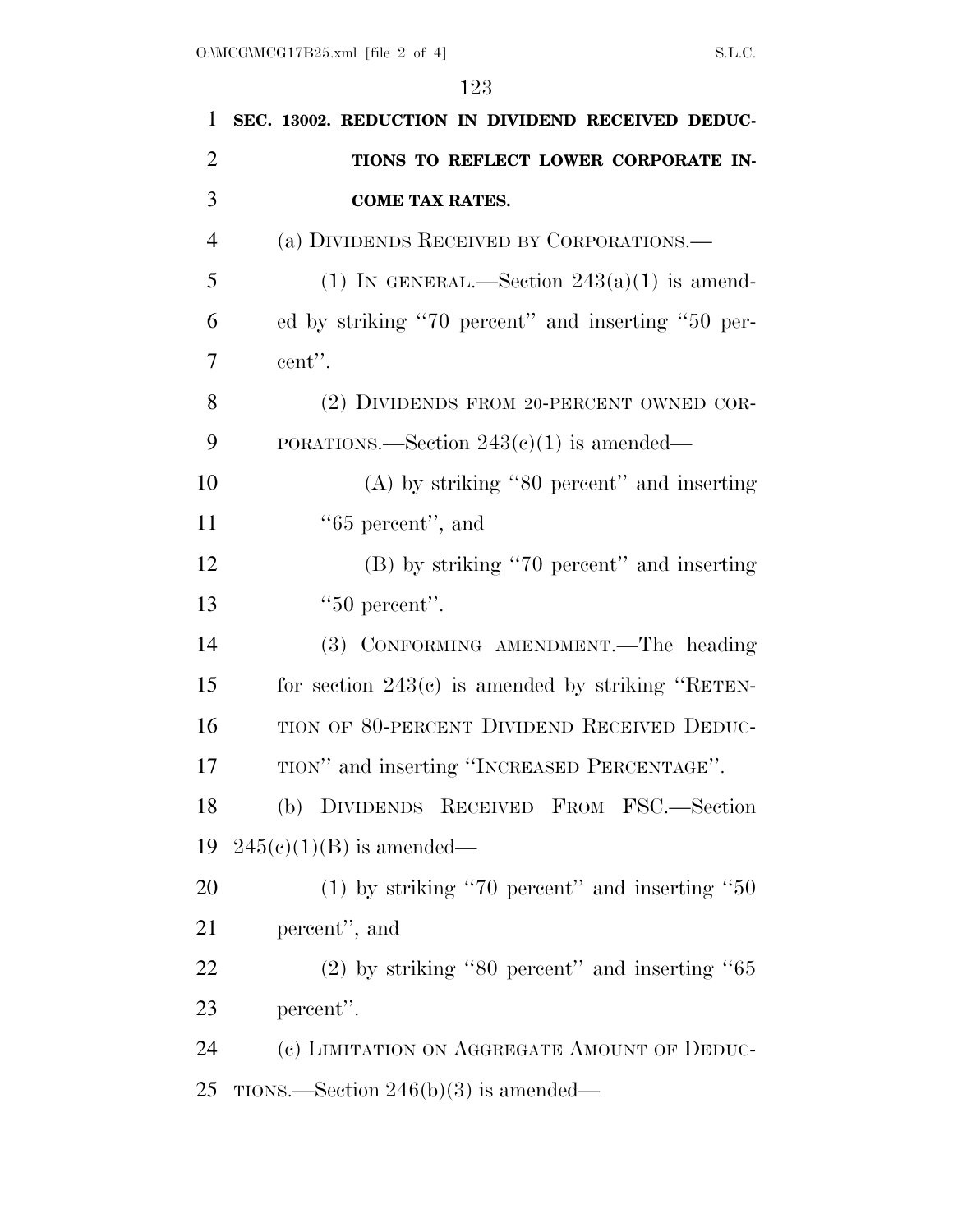| 1              | SEC. 13002. REDUCTION IN DIVIDEND RECEIVED DEDUC-   |
|----------------|-----------------------------------------------------|
| $\overline{2}$ | TIONS TO REFLECT LOWER CORPORATE IN-                |
| 3              | <b>COME TAX RATES.</b>                              |
| $\overline{4}$ | (a) DIVIDENDS RECEIVED BY CORPORATIONS.—            |
| 5              | (1) IN GENERAL.—Section $243(a)(1)$ is amend-       |
| 6              | ed by striking "70 percent" and inserting "50 per-  |
| 7              | cent".                                              |
| 8              | (2) DIVIDENDS FROM 20-PERCENT OWNED COR-            |
| 9              | PORATIONS.—Section $243(c)(1)$ is amended—          |
| 10             | $(A)$ by striking "80 percent" and inserting        |
| 11             | $"65$ percent", and                                 |
| 12             | (B) by striking "70 percent" and inserting          |
| 13             | " $50$ percent".                                    |
| 14             | (3) CONFORMING AMENDMENT. The heading               |
| 15             | for section $243(c)$ is amended by striking "RETEN- |
| 16             | TION OF 80-PERCENT DIVIDEND RECEIVED DEDUC-         |
| 17             | TION" and inserting "INCREASED PERCENTAGE".         |
| 18             | (b) DIVIDENDS RECEIVED FROM FSC.—Section            |
| 19             | $245(e)(1)(B)$ is amended—                          |
| 20             | $(1)$ by striking "70 percent" and inserting "50    |
| 21             | percent", and                                       |
| 22             | $(2)$ by striking "80 percent" and inserting "65    |
| 23             | percent".                                           |
| 24             | (c) LIMITATION ON AGGREGATE AMOUNT OF DEDUC-        |
| 25             | TIONS.—Section $246(b)(3)$ is amended—              |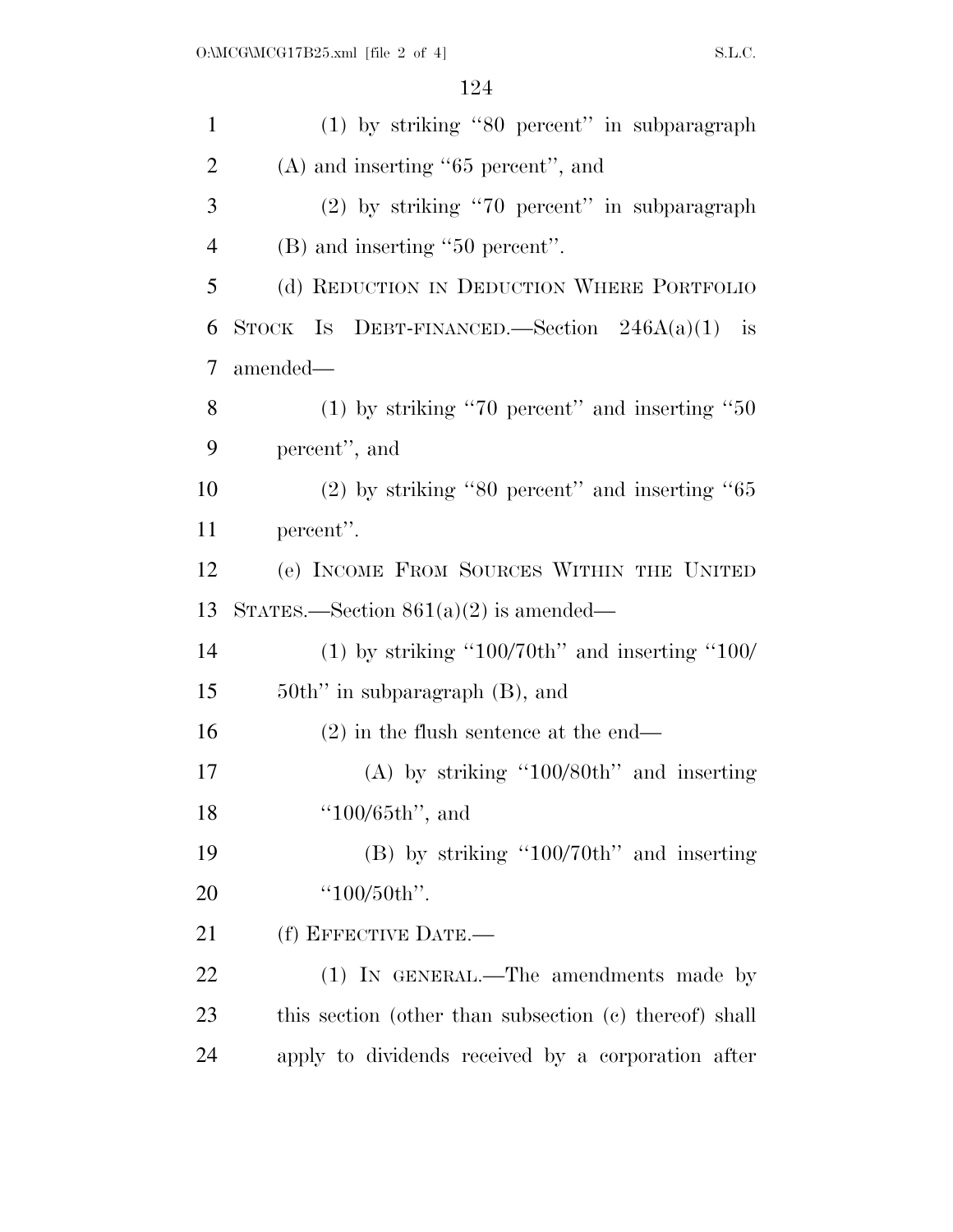| $\mathbf{1}$         | (1) by striking "80 percent" in subparagraph           |
|----------------------|--------------------------------------------------------|
| $\overline{c}$       | $(A)$ and inserting "65 percent", and                  |
| 3                    | $(2)$ by striking "70 percent" in subparagraph         |
| $\overline{4}$       | (B) and inserting "50 percent".                        |
| 5                    | (d) REDUCTION IN DEDUCTION WHERE PORTFOLIO             |
| 6                    | STOCK IS DEBT-FINANCED. Section $246A(a)(1)$ is        |
| 7                    | amended—                                               |
| 8                    | (1) by striking "70 percent" and inserting " $50$      |
| 9                    | percent", and                                          |
| 10                   | $(2)$ by striking "80 percent" and inserting "65       |
| 11                   | percent".                                              |
| 12                   | (e) INCOME FROM SOURCES WITHIN THE UNITED              |
|                      |                                                        |
|                      | STATES.—Section $861(a)(2)$ is amended—                |
|                      | (1) by striking "100/70th" and inserting "100/         |
|                      | $50th$ " in subparagraph $(B)$ , and                   |
| 13<br>14<br>15<br>16 | $(2)$ in the flush sentence at the end—                |
|                      | (A) by striking "100/80th" and inserting               |
| 17<br>18             | " $100/65$ th", and                                    |
|                      | $(B)$ by striking "100/70th" and inserting             |
| 19<br>20             | "100/50th".                                            |
| 21                   | (f) EFFECTIVE DATE.-                                   |
| 22                   | (1) IN GENERAL.—The amendments made by                 |
| 23                   | this section (other than subsection (c) thereof) shall |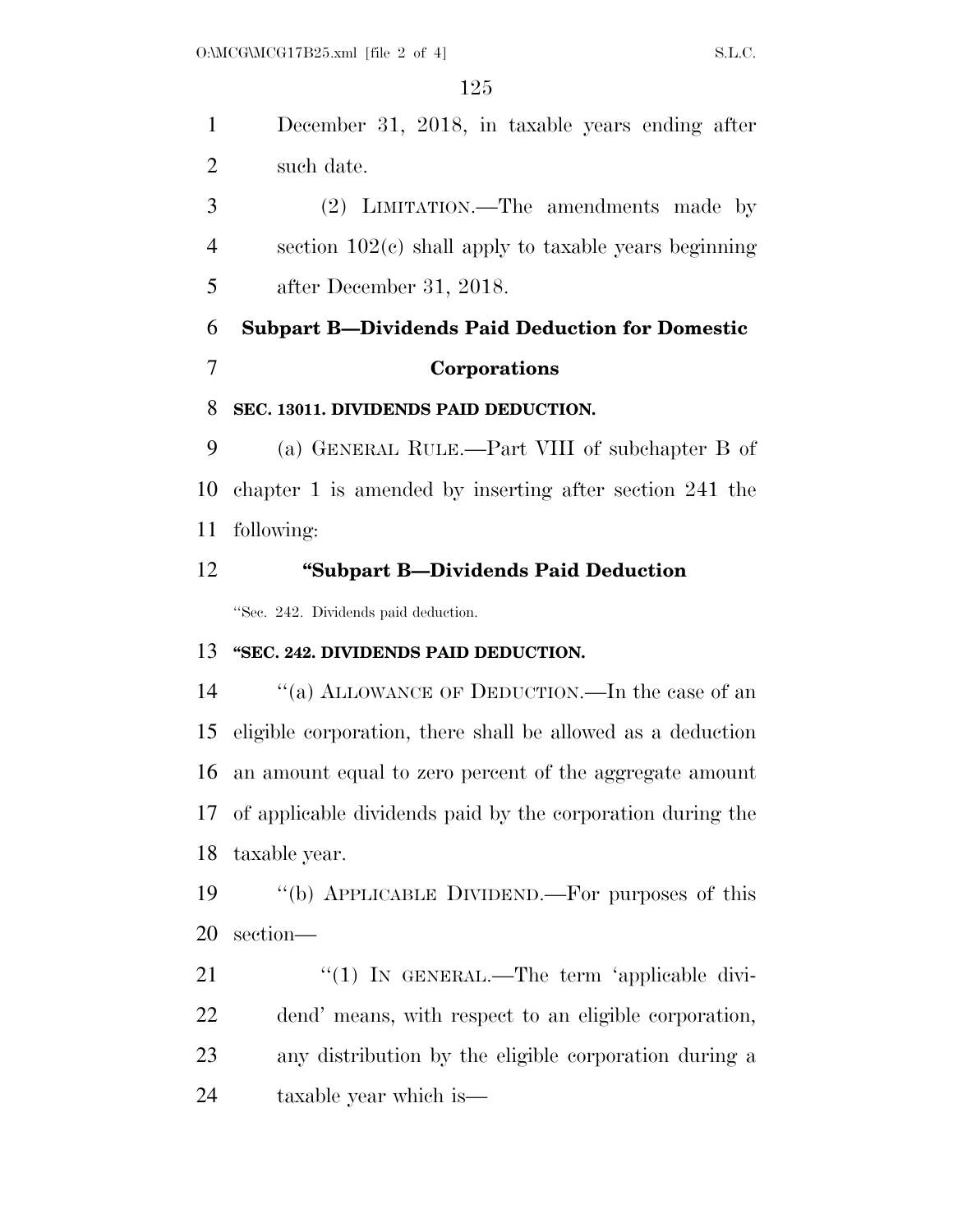December 31, 2018, in taxable years ending after such date.

 (2) LIMITATION.—The amendments made by section 102(c) shall apply to taxable years beginning after December 31, 2018.

# **Subpart B—Dividends Paid Deduction for Domestic Corporations**

#### **SEC. 13011. DIVIDENDS PAID DEDUCTION.**

 (a) GENERAL RULE.—Part VIII of subchapter B of chapter 1 is amended by inserting after section 241 the following:

## **''Subpart B—Dividends Paid Deduction**

''Sec. 242. Dividends paid deduction.

## **''SEC. 242. DIVIDENDS PAID DEDUCTION.**

14 "(a) ALLOWANCE OF DEDUCTION.—In the case of an eligible corporation, there shall be allowed as a deduction an amount equal to zero percent of the aggregate amount of applicable dividends paid by the corporation during the taxable year.

 ''(b) APPLICABLE DIVIDEND.—For purposes of this section—

21 "(1) In GENERAL.—The term 'applicable divi- dend' means, with respect to an eligible corporation, any distribution by the eligible corporation during a taxable year which is—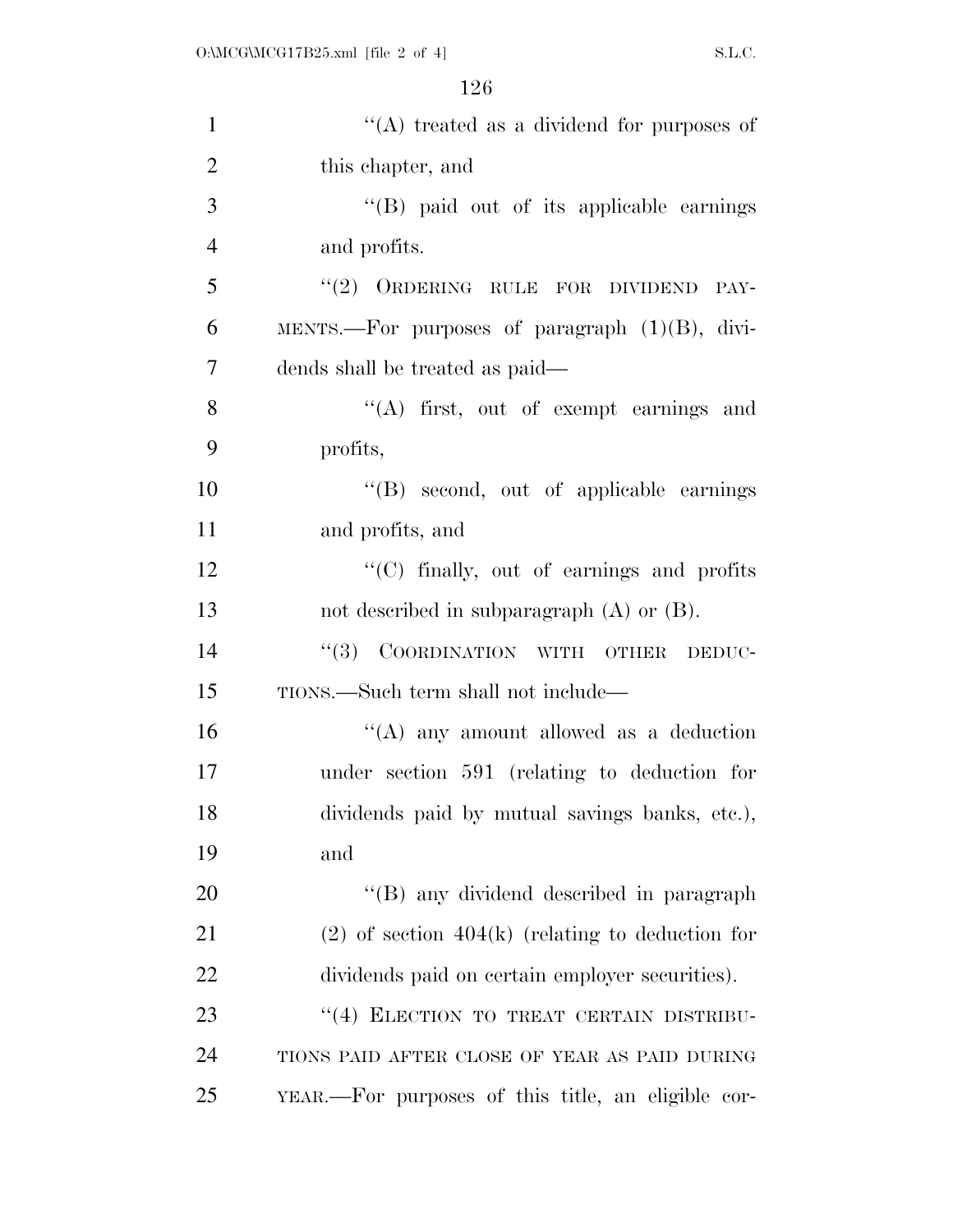| $\mathbf{1}$   | "(A) treated as a dividend for purposes of           |
|----------------|------------------------------------------------------|
| $\overline{2}$ | this chapter, and                                    |
| 3              | "(B) paid out of its applicable earnings             |
| $\overline{4}$ | and profits.                                         |
| 5              | "(2) ORDERING RULE FOR DIVIDEND<br>PAY-              |
| 6              | MENTS.—For purposes of paragraph $(1)(B)$ , divi-    |
| 7              | dends shall be treated as paid—                      |
| $8\,$          | "(A) first, out of exempt earnings and               |
| 9              | profits,                                             |
| 10             | "(B) second, out of applicable earnings              |
| 11             | and profits, and                                     |
| 12             | "(C) finally, out of earnings and profits            |
| 13             | not described in subparagraph $(A)$ or $(B)$ .       |
| 14             | COORDINATION WITH OTHER<br>(3)<br>DEDUC-             |
| 15             | TIONS.—Such term shall not include—                  |
| 16             | "(A) any amount allowed as a deduction               |
| 17             | under section 591 (relating to deduction for         |
| 18             | dividends paid by mutual savings banks, etc.),       |
| 19             | and                                                  |
| 20             | "(B) any dividend described in paragraph             |
| 21             | $(2)$ of section $404(k)$ (relating to deduction for |
| 22             | dividends paid on certain employer securities).      |
| 23             | "(4) ELECTION TO TREAT CERTAIN DISTRIBU-             |
| 24             | TIONS PAID AFTER CLOSE OF YEAR AS PAID DURING        |
| 25             | YEAR.—For purposes of this title, an eligible cor-   |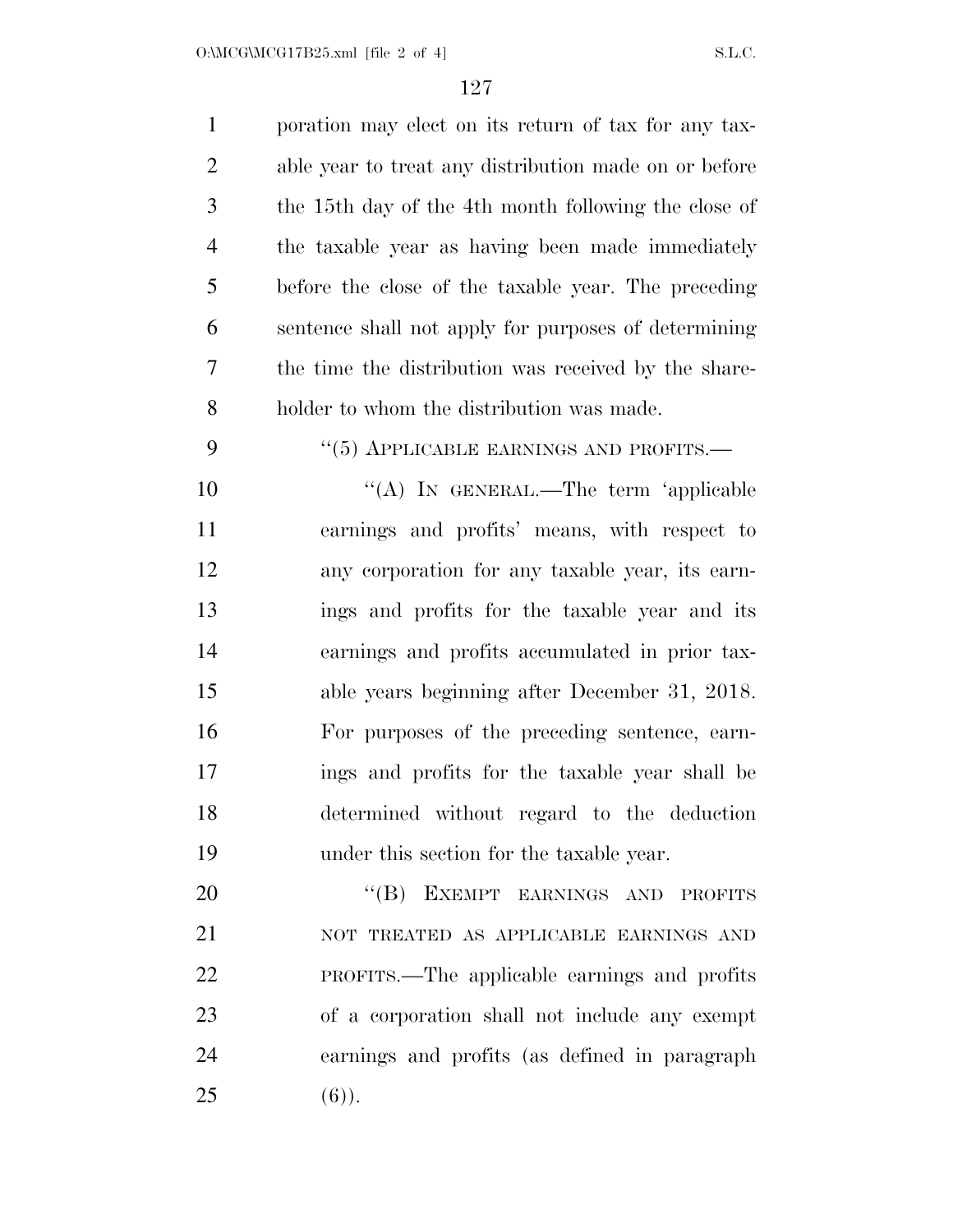$O:\text{MCG}\backslash\text{MCG17B25.xml}$  [file 2 of 4] S.L.C.

| $\mathbf{1}$   | poration may elect on its return of tax for any tax-  |
|----------------|-------------------------------------------------------|
| $\overline{2}$ | able year to treat any distribution made on or before |
| 3              | the 15th day of the 4th month following the close of  |
| $\overline{4}$ | the taxable year as having been made immediately      |
| 5              | before the close of the taxable year. The preceding   |
| 6              | sentence shall not apply for purposes of determining  |
| 7              | the time the distribution was received by the share-  |
| 8              | holder to whom the distribution was made.             |
| 9              | $\cdot\cdot$ (5) APPLICABLE EARNINGS AND PROFITS.—    |
| 10             | "(A) IN GENERAL.—The term 'applicable                 |
| 11             | earnings and profits' means, with respect to          |
| 12             | any corporation for any taxable year, its earn-       |
| 13             | ings and profits for the taxable year and its         |
| 14             | earnings and profits accumulated in prior tax-        |
| 15             | able years beginning after December 31, 2018.         |
| 16             | For purposes of the preceding sentence, earn-         |
| 17             | ings and profits for the taxable year shall be        |
| 18             | determined without regard to the deduction            |
| 19             | under this section for the taxable year.              |
| 20             | "(B) EXEMPT EARNINGS AND<br><b>PROFITS</b>            |
| 21             | NOT TREATED AS APPLICABLE EARNINGS AND                |
| 22             | PROFITS.—The applicable earnings and profits          |
| 23             | of a corporation shall not include any exempt         |
| 24             | earnings and profits (as defined in paragraph         |
| 25             | $(6)$ ).                                              |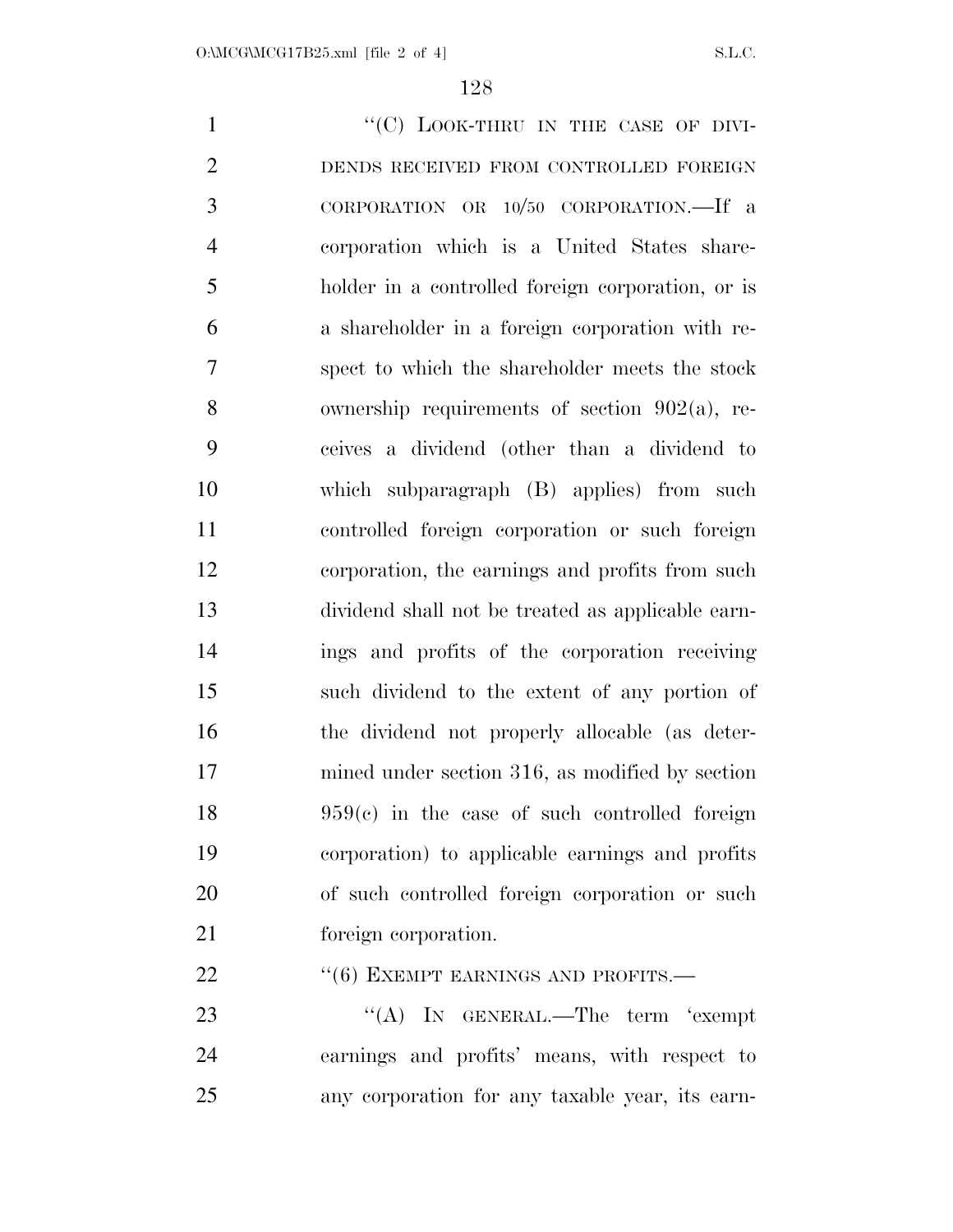1 ""(C) LOOK-THRU IN THE CASE OF DIVI- DENDS RECEIVED FROM CONTROLLED FOREIGN CORPORATION OR 10/50 CORPORATION.—If a corporation which is a United States share- holder in a controlled foreign corporation, or is a shareholder in a foreign corporation with re- spect to which the shareholder meets the stock ownership requirements of section 902(a), re- ceives a dividend (other than a dividend to which subparagraph (B) applies) from such controlled foreign corporation or such foreign corporation, the earnings and profits from such dividend shall not be treated as applicable earn- ings and profits of the corporation receiving such dividend to the extent of any portion of the dividend not properly allocable (as deter- mined under section 316, as modified by section 959(c) in the case of such controlled foreign corporation) to applicable earnings and profits of such controlled foreign corporation or such foreign corporation. 22 "(6) EXEMPT EARNINGS AND PROFITS.— 23 ''(A) IN GENERAL.—The term 'exempt

 earnings and profits' means, with respect to any corporation for any taxable year, its earn-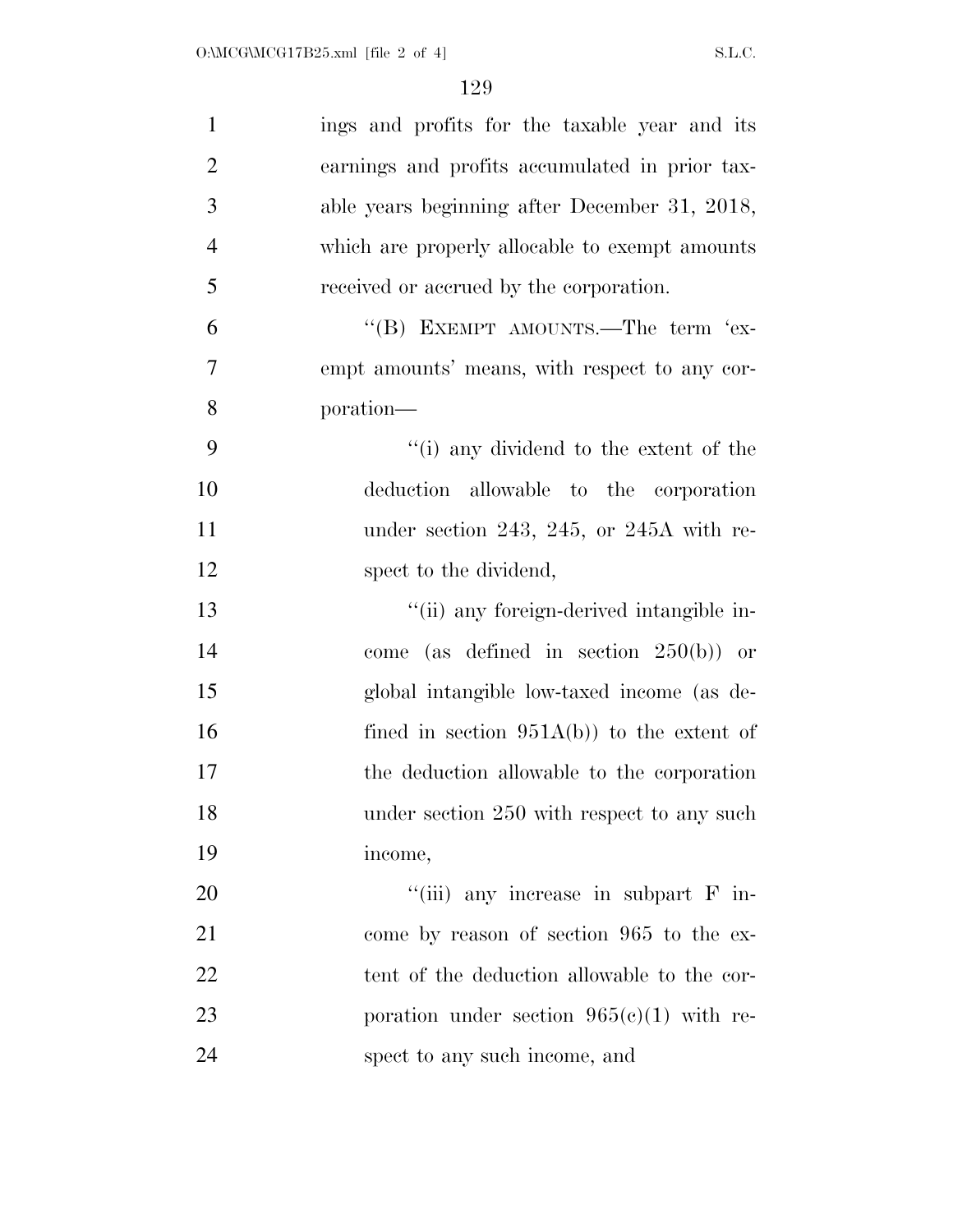| $\mathbf{1}$   | ings and profits for the taxable year and its  |
|----------------|------------------------------------------------|
| $\overline{2}$ | earnings and profits accumulated in prior tax- |
| 3              | able years beginning after December 31, 2018,  |
| $\overline{4}$ | which are properly allocable to exempt amounts |
| 5              | received or accrued by the corporation.        |
| 6              | "(B) EXEMPT AMOUNTS.—The term 'ex-             |
| $\overline{7}$ | empt amounts' means, with respect to any cor-  |
| 8              | poration—                                      |
| 9              | "(i) any dividend to the extent of the         |
| 10             | deduction allowable to the corporation         |
| 11             | under section 243, 245, or 245A with re-       |
| 12             | spect to the dividend,                         |
| 13             | "(ii) any foreign-derived intangible in-       |
| 14             | come (as defined in section $250(b)$ ) or      |
| 15             | global intangible low-taxed income (as de-     |
| 16             | fined in section $951A(b)$ to the extent of    |
| 17             | the deduction allowable to the corporation     |
| 18             | under section 250 with respect to any such     |
| 19             | income,                                        |
| 20             | "(iii) any increase in subpart $F$ in-         |
| 21             | come by reason of section 965 to the ex-       |
| 22             | tent of the deduction allowable to the cor-    |
| 23             | poration under section $965(c)(1)$ with re-    |
| 24             | spect to any such income, and                  |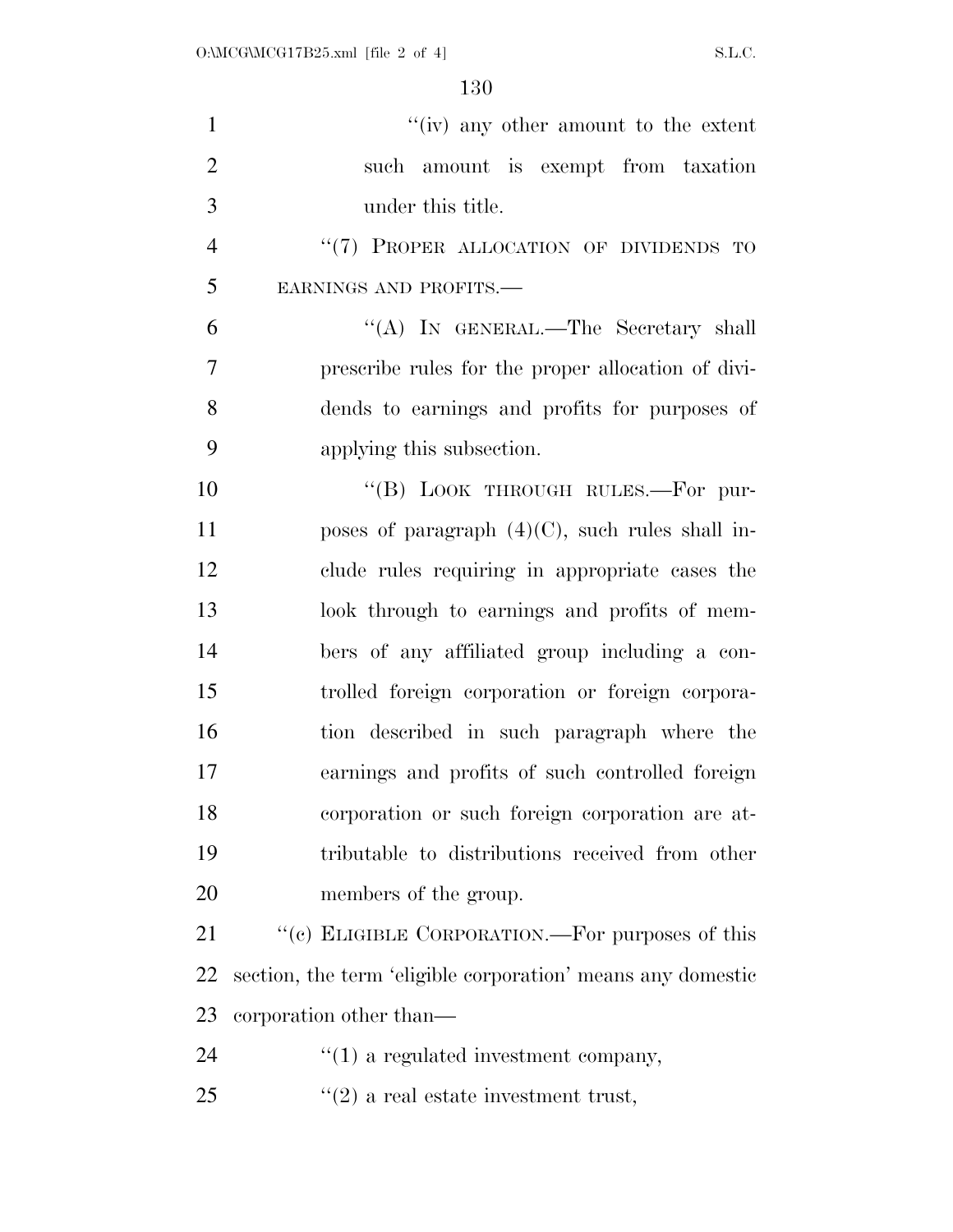| $\mathbf{1}$   | $f'(iv)$ any other amount to the extent                     |
|----------------|-------------------------------------------------------------|
| $\overline{2}$ | such amount is exempt from taxation                         |
| 3              | under this title.                                           |
| $\overline{4}$ | "(7) PROPER ALLOCATION OF DIVIDENDS TO                      |
| 5              | EARNINGS AND PROFITS.-                                      |
| 6              | "(A) IN GENERAL.—The Secretary shall                        |
| $\overline{7}$ | prescribe rules for the proper allocation of divi-          |
| 8              | dends to earnings and profits for purposes of               |
| 9              | applying this subsection.                                   |
| 10             | "(B) LOOK THROUGH RULES.—For pur-                           |
| 11             | poses of paragraph $(4)(C)$ , such rules shall in-          |
| 12             | clude rules requiring in appropriate cases the              |
| 13             | look through to earnings and profits of mem-                |
| 14             | bers of any affiliated group including a con-               |
| 15             | trolled foreign corporation or foreign corpora-             |
| 16             | tion described in such paragraph where the                  |
| 17             | earnings and profits of such controlled foreign             |
| 18             | corporation or such foreign corporation are at-             |
| 19             | tributable to distributions received from other             |
| 20             | members of the group.                                       |
| 21             | "(c) ELIGIBLE CORPORATION.—For purposes of this             |
| 22             | section, the term 'eligible corporation' means any domestic |
| 23             | corporation other than—                                     |
| 24             | $\lq(1)$ a regulated investment company,                    |
| 25             | $f'(2)$ a real estate investment trust,                     |
|                |                                                             |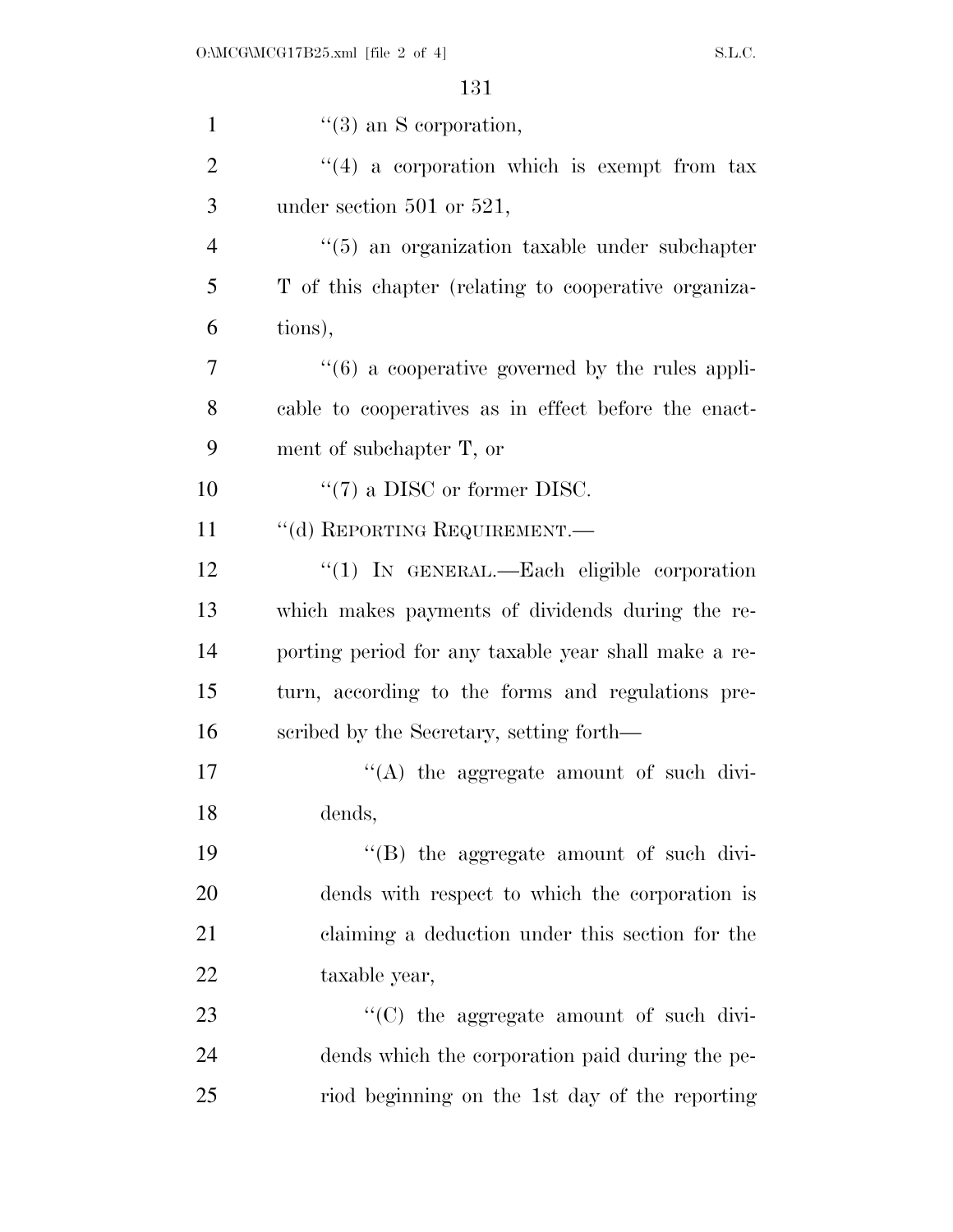| $\mathbf{1}$   | $\lq(3)$ an S corporation,                                      |
|----------------|-----------------------------------------------------------------|
| $\overline{2}$ | $(4)$ a corporation which is exempt from tax                    |
| 3              | under section $501$ or $521$ ,                                  |
| $\overline{4}$ | $\cdot\cdot$ (5) an organization taxable under subchapter       |
| 5              | T of this chapter (relating to cooperative organiza-            |
| 6              | tions),                                                         |
| 7              | $\cdot\cdot\cdot(6)$ a cooperative governed by the rules appli- |
| 8              | cable to cooperatives as in effect before the enact-            |
| 9              | ment of subchapter T, or                                        |
| 10             | $\lq(7)$ a DISC or former DISC.                                 |
| 11             | "(d) REPORTING REQUIREMENT.—                                    |
| 12             | " $(1)$ In GENERAL.—Each eligible corporation                   |
| 13             | which makes payments of dividends during the re-                |
| 14             | porting period for any taxable year shall make a re-            |
| 15             | turn, according to the forms and regulations pre-               |
| 16             | scribed by the Secretary, setting forth—                        |
| 17             | $\cdot$ (A) the aggregate amount of such divi-                  |
| 18             | dends,                                                          |
| 19             | "(B) the aggregate amount of such divi-                         |
| 20             | dends with respect to which the corporation is                  |
| 21             | claiming a deduction under this section for the                 |
| 22             | taxable year,                                                   |
| 23             | "(C) the aggregate amount of such divi-                         |
| 24             | dends which the corporation paid during the pe-                 |
| 25             | riod beginning on the 1st day of the reporting                  |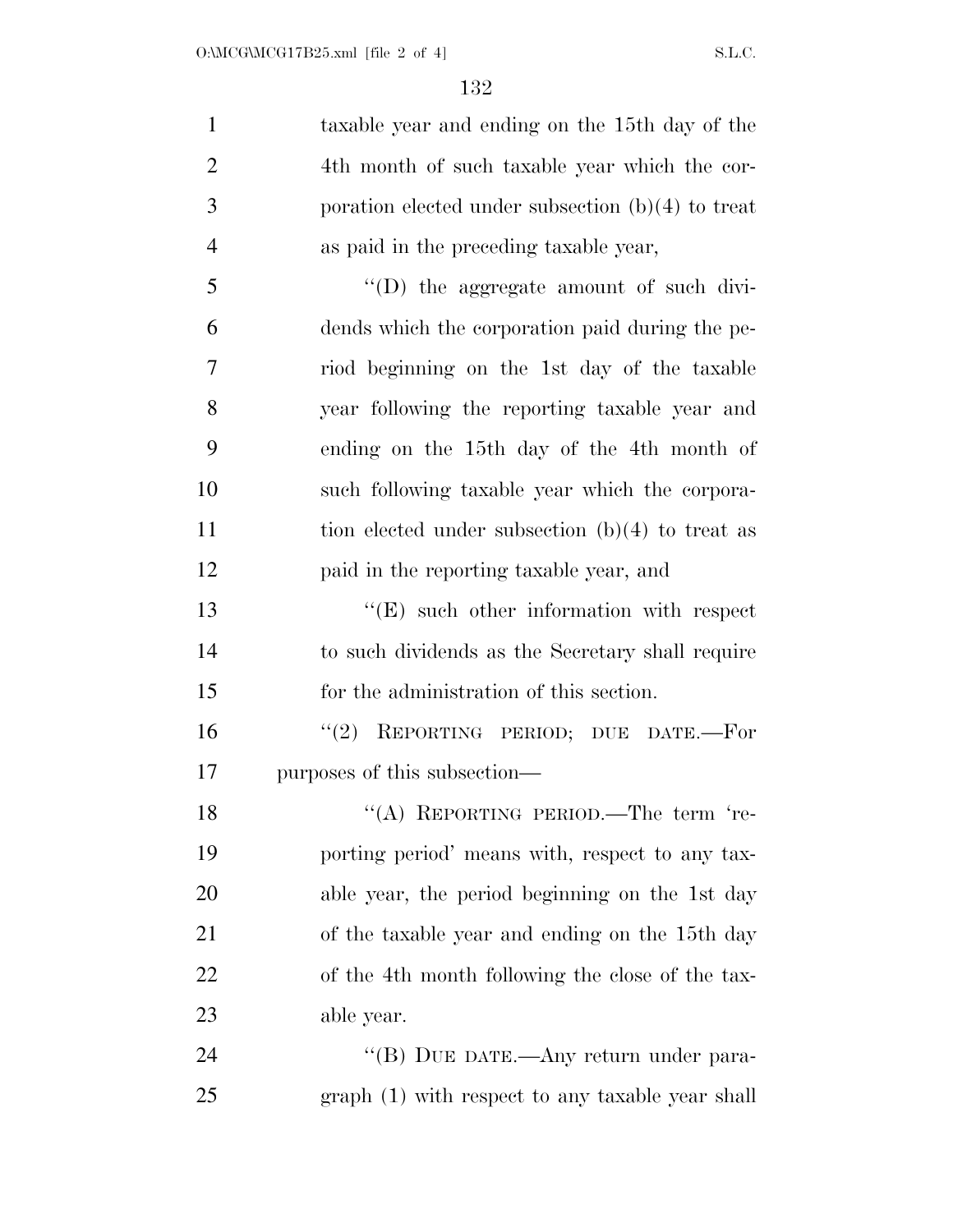| $\mathbf{1}$   | taxable year and ending on the 15th day of the      |
|----------------|-----------------------------------------------------|
| $\overline{2}$ | 4th month of such taxable year which the cor-       |
| 3              | poration elected under subsection $(b)(4)$ to treat |
| $\overline{4}$ | as paid in the preceding taxable year,              |
| 5              | "(D) the aggregate amount of such divi-             |
| 6              | dends which the corporation paid during the pe-     |
| 7              | riod beginning on the 1st day of the taxable        |
| 8              | year following the reporting taxable year and       |
| 9              | ending on the 15th day of the 4th month of          |
| 10             | such following taxable year which the corpora-      |
| 11             | tion elected under subsection $(b)(4)$ to treat as  |
| 12             | paid in the reporting taxable year, and             |
| 13             | $\lq\lq(E)$ such other information with respect     |
| 14             | to such dividends as the Secretary shall require    |
| 15             | for the administration of this section.             |
| 16             | "(2) REPORTING PERIOD; DUE DATE.-For                |
| 17             | purposes of this subsection—                        |
| 18             | "(A) REPORTING PERIOD.—The term 're-                |
| 19             | porting period' means with, respect to any tax-     |
| 20             | able year, the period beginning on the 1st day      |
| 21             | of the taxable year and ending on the 15th day      |
| 22             | of the 4th month following the close of the tax-    |
| 23             | able year.                                          |
| 24             | "(B) DUE DATE.—Any return under para-               |
| 25             | graph (1) with respect to any taxable year shall    |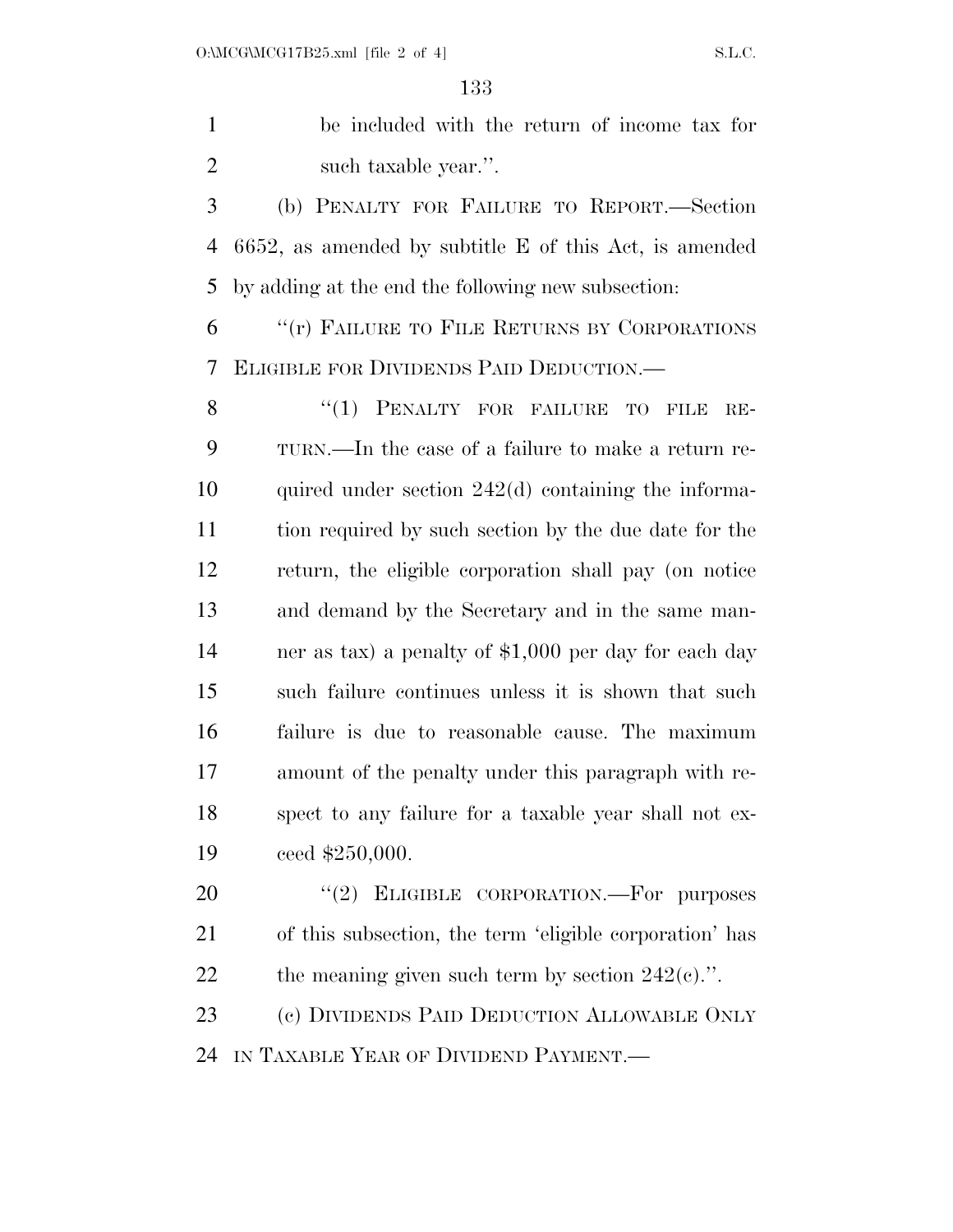be included with the return of income tax for 2 such taxable year.".

 (b) PENALTY FOR FAILURE TO REPORT.—Section 6652, as amended by subtitle E of this Act, is amended by adding at the end the following new subsection:

 ''(r) FAILURE TO FILE RETURNS BY CORPORATIONS ELIGIBLE FOR DIVIDENDS PAID DEDUCTION.—

8 "(1) PENALTY FOR FAILURE TO FILE RE- TURN.—In the case of a failure to make a return re- quired under section 242(d) containing the informa- tion required by such section by the due date for the return, the eligible corporation shall pay (on notice and demand by the Secretary and in the same man- ner as tax) a penalty of \$1,000 per day for each day such failure continues unless it is shown that such failure is due to reasonable cause. The maximum amount of the penalty under this paragraph with re- spect to any failure for a taxable year shall not ex-ceed \$250,000.

20 "(2) ELIGIBLE CORPORATION.—For purposes of this subsection, the term 'eligible corporation' has 22 the meaning given such term by section  $242(e)$ .".

 (c) DIVIDENDS PAID DEDUCTION ALLOWABLE ONLY IN TAXABLE YEAR OF DIVIDEND PAYMENT.—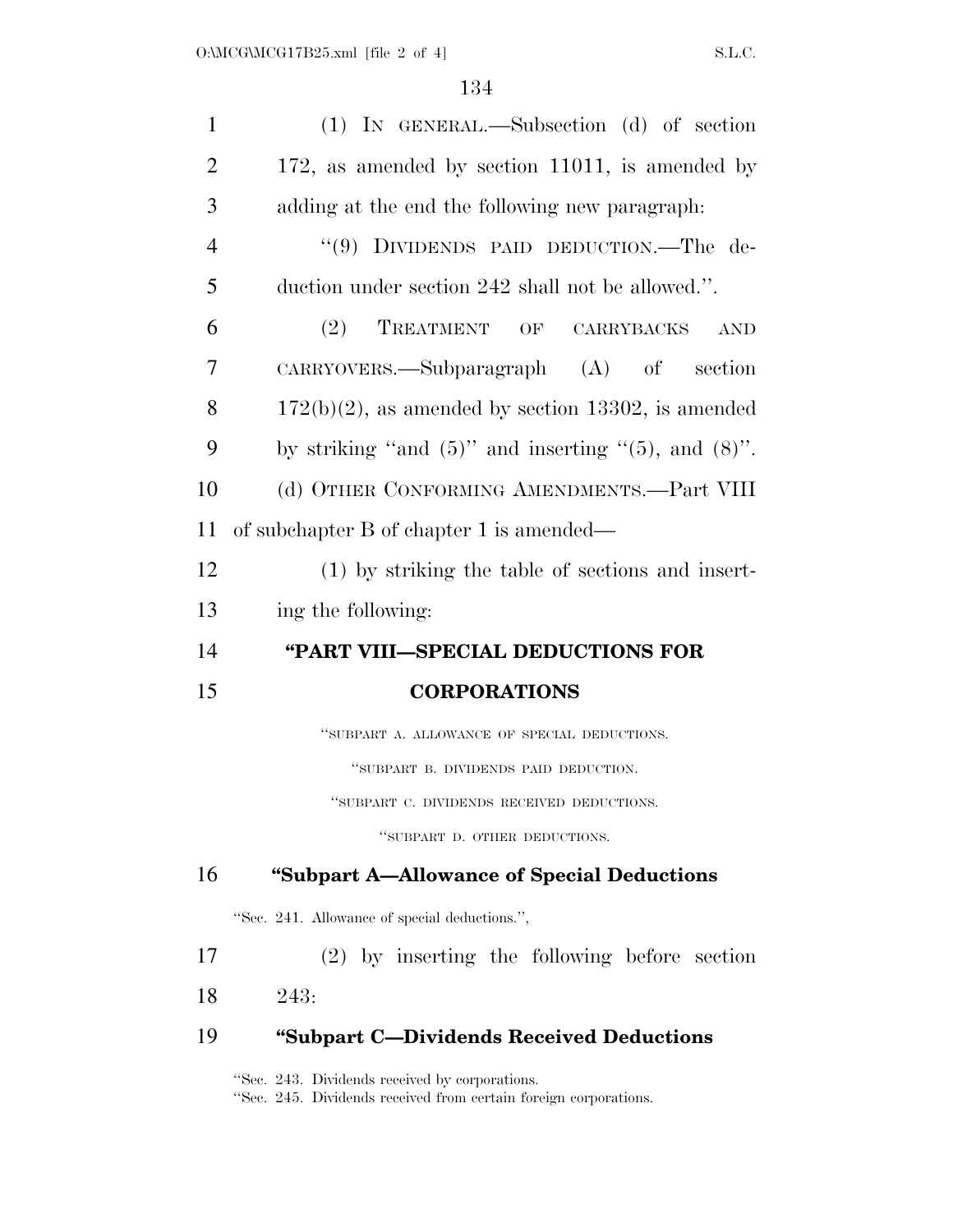| $\mathbf{1}$   | (1) IN GENERAL.—Subsection (d) of section                     |
|----------------|---------------------------------------------------------------|
| $\overline{2}$ | 172, as amended by section 11011, is amended by               |
| 3              | adding at the end the following new paragraph:                |
| 4              | "(9) DIVIDENDS PAID DEDUCTION.—The de-                        |
| 5              | duction under section 242 shall not be allowed.".             |
| 6              | (2)<br>TREATMENT OF CARRYBACKS<br>$\operatorname{AND}$        |
| 7              | $CARRYOVERS.$ Subparagraph $(A)$ of section                   |
| 8              | $172(b)(2)$ , as amended by section 13302, is amended         |
| 9              | by striking "and $(5)$ " and inserting " $(5)$ , and $(8)$ ". |
| 10             | (d) OTHER CONFORMING AMENDMENTS.-Part VIII                    |
| 11             | of subchapter B of chapter 1 is amended—                      |
| 12             | (1) by striking the table of sections and insert-             |
| 13             | ing the following:                                            |
| 14             | "PART VIII-SPECIAL DEDUCTIONS FOR                             |
| 15             | <b>CORPORATIONS</b>                                           |
|                | "SUBPART A. ALLOWANCE OF SPECIAL DEDUCTIONS.                  |
|                | "SUBPART B. DIVIDENDS PAID DEDUCTION.                         |
|                | "SUBPART C. DIVIDENDS RECEIVED DEDUCTIONS.                    |
|                | "SUBPART D. OTHER DEDUCTIONS.                                 |
| 16             | "Subpart A-Allowance of Special Deductions"                   |
|                | "Sec. 241. Allowance of special deductions.",                 |
| 17             | $(2)$ by inserting the following before section               |
| 18             | 243:                                                          |
| 19             | "Subpart C-Dividends Received Deductions"                     |

''Sec. 243. Dividends received by corporations.

''Sec. 245. Dividends received from certain foreign corporations.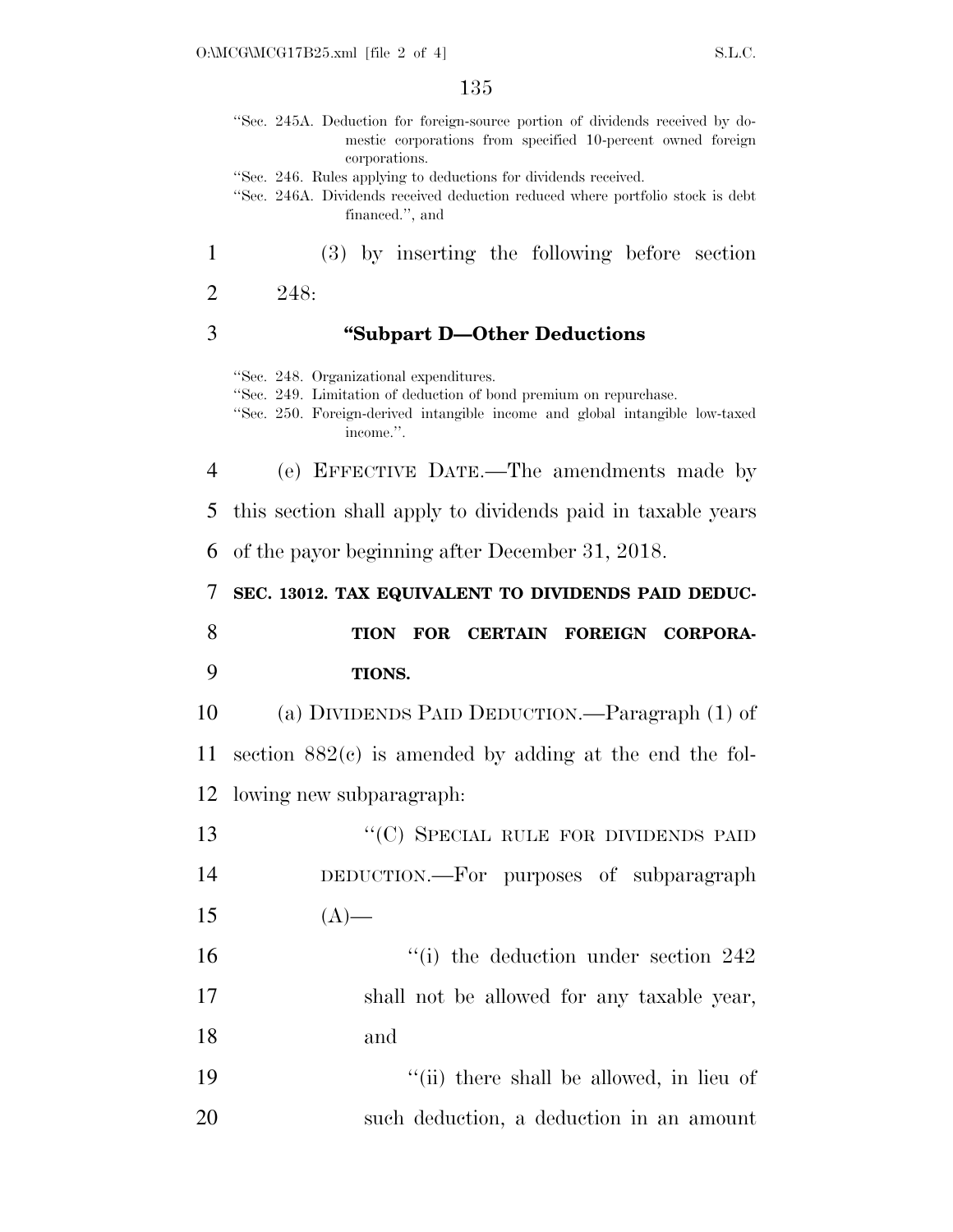|                | 135                                                                                                                                                                                                       |
|----------------|-----------------------------------------------------------------------------------------------------------------------------------------------------------------------------------------------------------|
|                | "Sec. 245A. Deduction for foreign-source portion of dividends received by do-<br>mestic corporations from specified 10-percent owned foreign<br>corporations.                                             |
|                | "Sec. 246. Rules applying to deductions for dividends received.<br>"Sec. 246A. Dividends received deduction reduced where portfolio stock is debt<br>financed.", and                                      |
| 1              | (3) by inserting the following before section                                                                                                                                                             |
| 2              | 248:                                                                                                                                                                                                      |
| 3              | "Subpart D-Other Deductions"                                                                                                                                                                              |
|                | "Sec. 248. Organizational expenditures.<br>"Sec. 249. Limitation of deduction of bond premium on repurchase.<br>"Sec. 250. Foreign-derived intangible income and global intangible low-taxed<br>income.". |
| $\overline{4}$ | (e) EFFECTIVE DATE.—The amendments made by                                                                                                                                                                |
| 5              | this section shall apply to dividends paid in taxable years                                                                                                                                               |
| 6              | of the payor beginning after December 31, 2018.                                                                                                                                                           |
|                |                                                                                                                                                                                                           |
| 7              | SEC. 13012. TAX EQUIVALENT TO DIVIDENDS PAID DEDUC-                                                                                                                                                       |
| 8              | FOR CERTAIN FOREIGN CORPORA-<br><b>TION</b>                                                                                                                                                               |
| 9              | <b>TIONS.</b>                                                                                                                                                                                             |
| 10             | (a) DIVIDENDS PAID DEDUCTION.—Paragraph (1) of                                                                                                                                                            |
| 11             | section $882(c)$ is amended by adding at the end the fol-                                                                                                                                                 |
|                | 12 lowing new subparagraph:                                                                                                                                                                               |
| 13             | "(C) SPECIAL RULE FOR DIVIDENDS PAID                                                                                                                                                                      |
| 14             | DEDUCTION.-For purposes of subparagraph                                                                                                                                                                   |
| 15             | $(A)$ —                                                                                                                                                                                                   |
| 16             | $\degree$ (i) the deduction under section 242                                                                                                                                                             |
| 17             | shall not be allowed for any taxable year,                                                                                                                                                                |
| 18             | and                                                                                                                                                                                                       |

20 such deduction, a deduction in an amount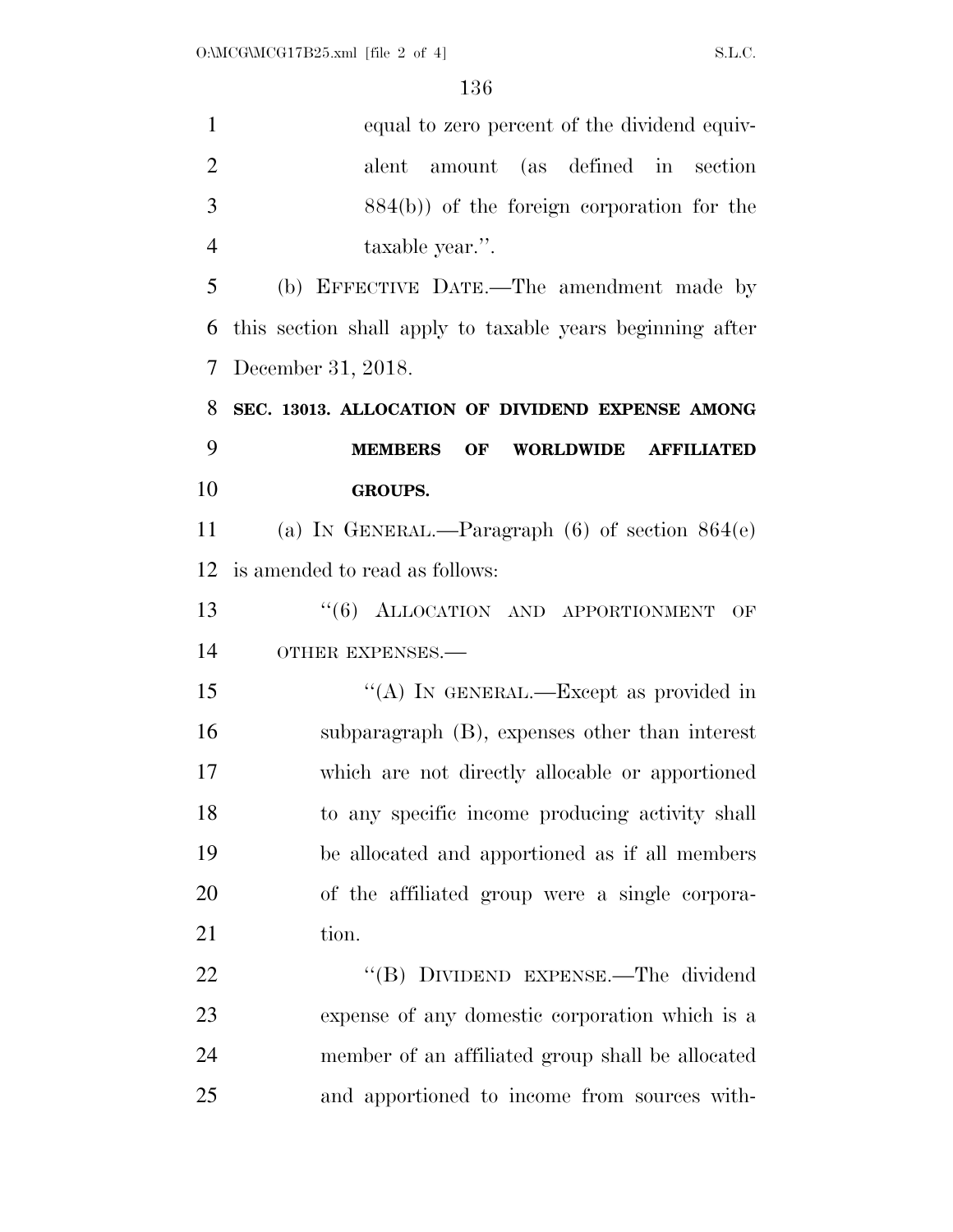| $\mathbf{1}$   | equal to zero percent of the dividend equiv-                  |
|----------------|---------------------------------------------------------------|
| $\overline{2}$ | amount (as defined in section<br>alent                        |
| 3              | $884(b)$ ) of the foreign corporation for the                 |
| $\overline{4}$ | taxable year.".                                               |
| 5              | (b) EFFECTIVE DATE.—The amendment made by                     |
| 6              | this section shall apply to taxable years beginning after     |
| 7              | December 31, 2018.                                            |
| 8              | SEC. 13013. ALLOCATION OF DIVIDEND EXPENSE AMONG              |
| 9              | <b>MEMBERS</b><br>OF<br><b>WORLDWIDE</b><br><b>AFFILIATED</b> |
| 10             | <b>GROUPS.</b>                                                |
| 11             | (a) IN GENERAL.—Paragraph $(6)$ of section $864(e)$           |
| 12             | is amended to read as follows:                                |
| 13             | "(6) ALLOCATION AND APPORTIONMENT<br>OF                       |
| 14             | OTHER EXPENSES.-                                              |
| 15             | "(A) IN GENERAL.—Except as provided in                        |
| 16             | subparagraph $(B)$ , expenses other than interest             |
| 17             | which are not directly allocable or apportioned               |
| 18             | to any specific income producing activity shall               |
| 19             | be allocated and apportioned as if all members                |
| 20             | of the affiliated group were a single corpora-                |
| 21             | tion.                                                         |
| 22             | "(B) DIVIDEND EXPENSE.—The dividend                           |
| 23             | expense of any domestic corporation which is a                |
| 24             | member of an affiliated group shall be allocated              |
| 25             | and apportioned to income from sources with-                  |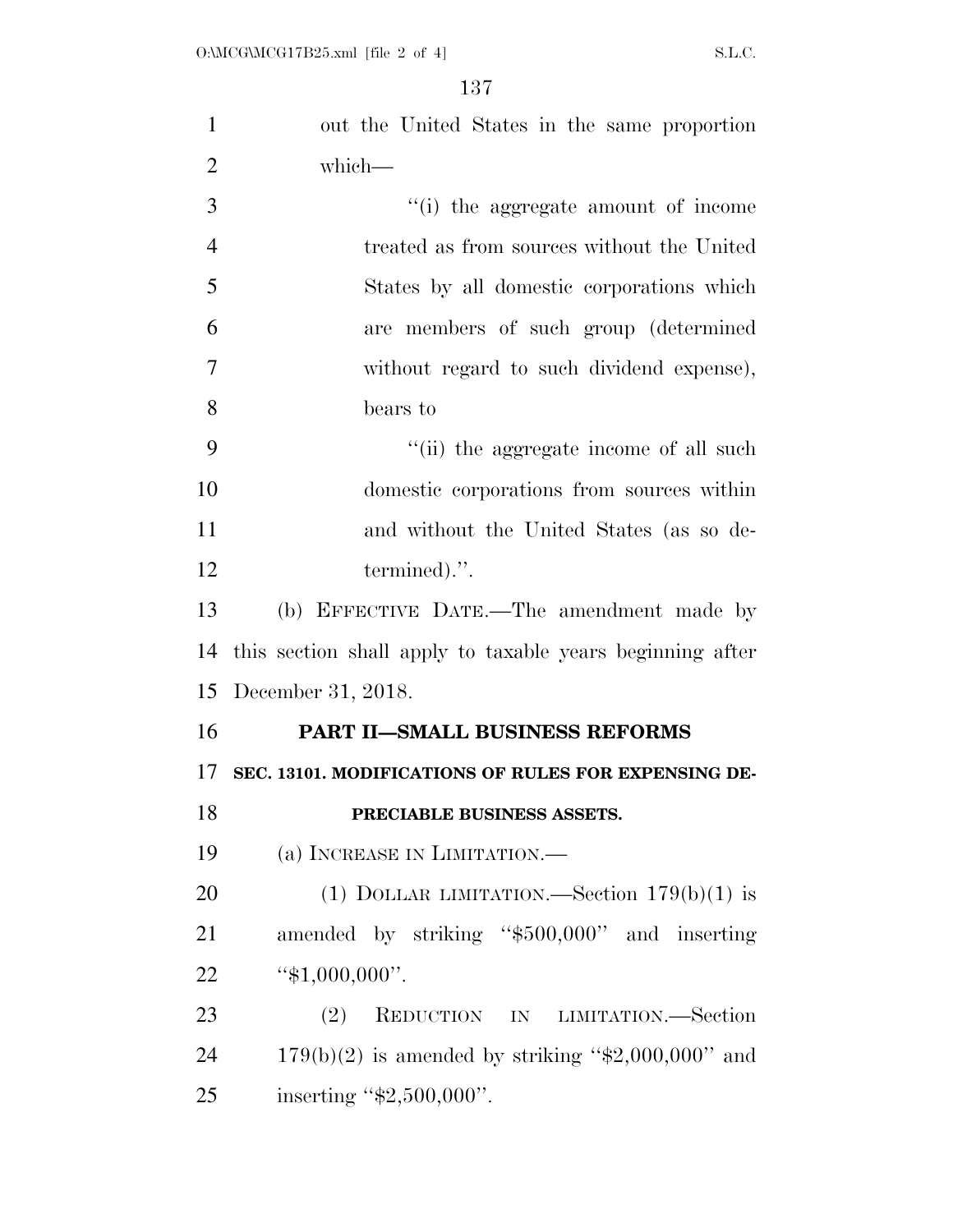| $\mathbf{1}$   | out the United States in the same proportion              |
|----------------|-----------------------------------------------------------|
| $\overline{2}$ | which-                                                    |
| 3              | "(i) the aggregate amount of income                       |
| $\overline{4}$ | treated as from sources without the United                |
| 5              | States by all domestic corporations which                 |
| 6              | are members of such group (determined                     |
| $\overline{7}$ | without regard to such dividend expense),                 |
| 8              | bears to                                                  |
| 9              | "(ii) the aggregate income of all such                    |
| 10             | domestic corporations from sources within                 |
| 11             | and without the United States (as so de-                  |
| 12             | termined).".                                              |
| 13             | (b) EFFECTIVE DATE.—The amendment made by                 |
| 14             | this section shall apply to taxable years beginning after |
| 15             | December 31, 2018.                                        |
| 16             | PART II-SMALL BUSINESS REFORMS                            |
| 17             | SEC. 13101. MODIFICATIONS OF RULES FOR EXPENSING DE-      |
| 18             | PRECIABLE BUSINESS ASSETS.                                |
| 19             | (a) INCREASE IN LIMITATION.—                              |
| 20             | (1) DOLLAR LIMITATION.—Section $179(b)(1)$ is             |
| 21             | amended by striking "\$500,000" and inserting             |
| 22             | " $$1,000,000$ ".                                         |
| 23             | (2)<br>REDUCTION IN LIMITATION.—Section                   |
| 24             | $179(b)(2)$ is amended by striking "\$2,000,000" and      |
| 25             | inserting " $$2,500,000$ ".                               |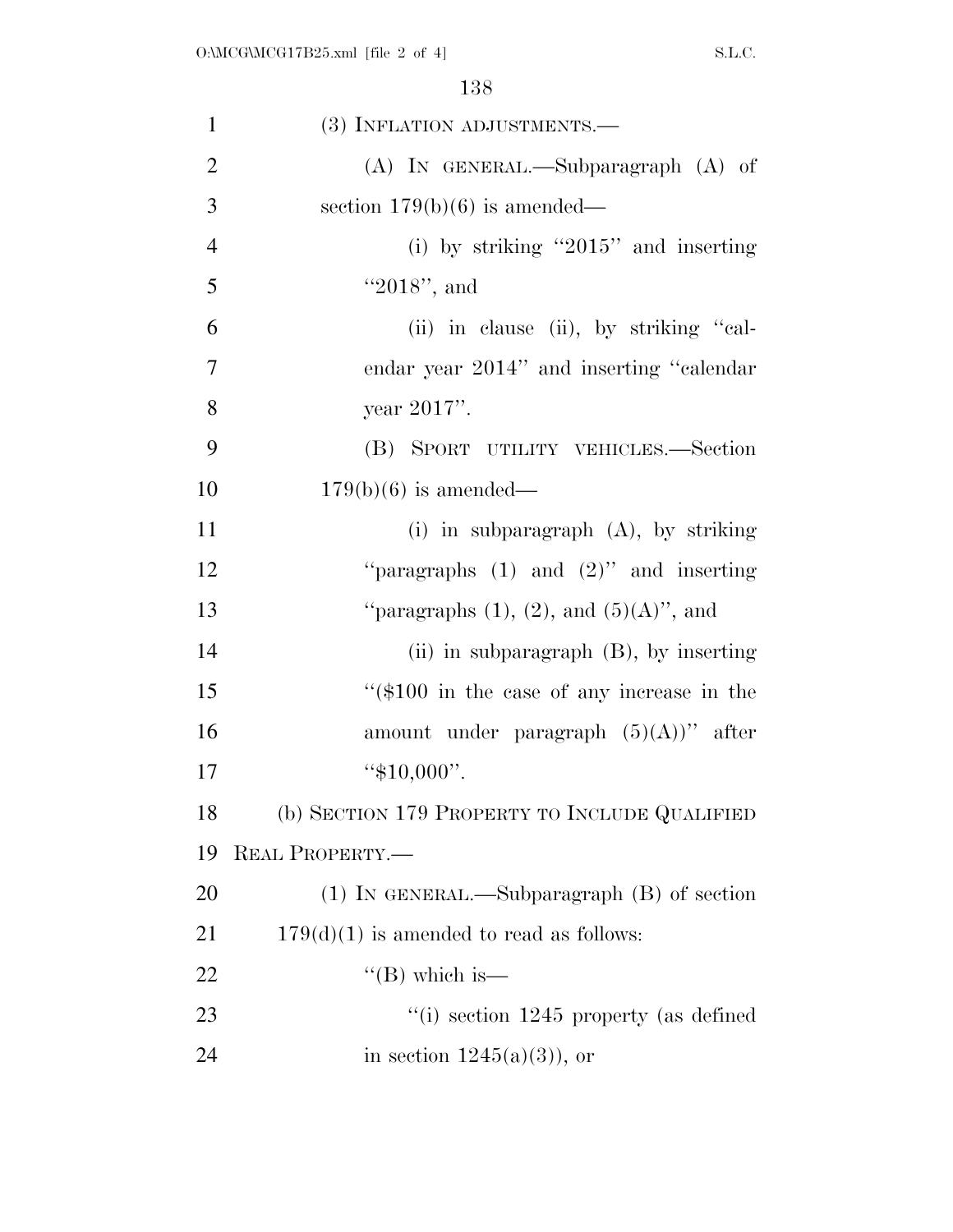| $\mathbf{1}$   | (3) INFLATION ADJUSTMENTS.—                     |
|----------------|-------------------------------------------------|
| $\overline{2}$ | $(A)$ IN GENERAL.—Subparagraph $(A)$ of         |
| 3              | section $179(b)(6)$ is amended—                 |
| $\overline{4}$ | (i) by striking " $2015$ " and inserting        |
| 5              | " $2018$ ", and                                 |
| 6              | (ii) in clause (ii), by striking "cal-          |
| $\overline{7}$ | endar year 2014" and inserting "calendar"       |
| 8              | year 2017".                                     |
| 9              | (B) SPORT UTILITY VEHICLES.-Section             |
| 10             | $179(b)(6)$ is amended—                         |
| 11             | (i) in subparagraph $(A)$ , by striking         |
| 12             | "paragraphs $(1)$ and $(2)$ " and inserting     |
| 13             | "paragraphs $(1)$ , $(2)$ , and $(5)(A)$ ", and |
| 14             | (ii) in subparagraph $(B)$ , by inserting       |
| 15             | " $(\$100$ in the case of any increase in the   |
| 16             | amount under paragraph $(5)(A)$ " after         |
| 17             | " $$10,000$ ".                                  |
| 18             | (b) SECTION 179 PROPERTY TO INCLUDE QUALIFIED   |
| 19             | REAL PROPERTY.                                  |
| 20             | $(1)$ In GENERAL.—Subparagraph $(B)$ of section |
| 21             | $179(d)(1)$ is amended to read as follows:      |
| 22             | $\lq$ (B) which is —                            |
| 23             | $\degree$ (i) section 1245 property (as defined |
| 24             | in section $1245(a)(3)$ , or                    |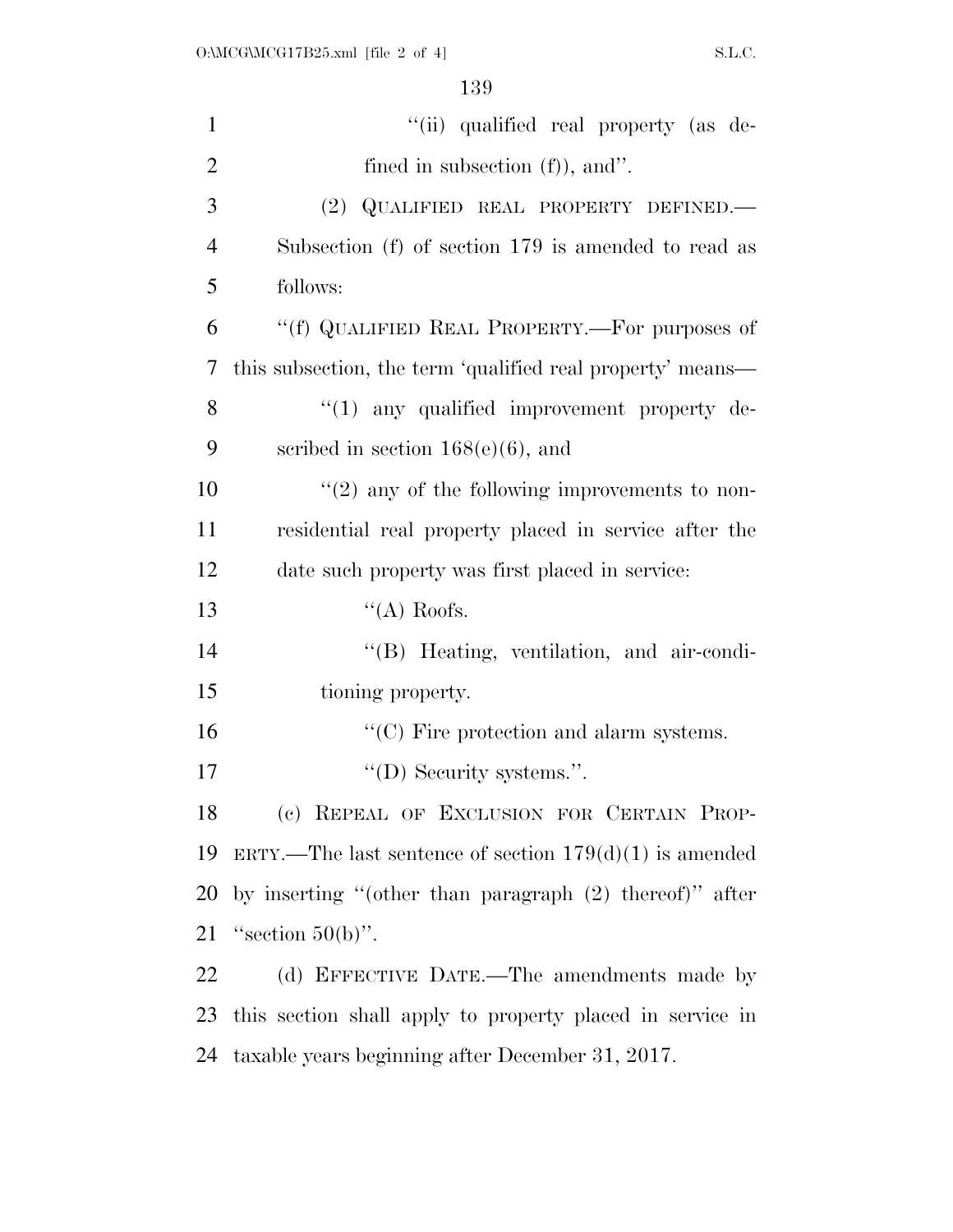| $\mathbf{1}$   | "(ii) qualified real property (as de-                      |
|----------------|------------------------------------------------------------|
| $\overline{2}$ | fined in subsection $(f)$ ), and".                         |
| 3              | (2) QUALIFIED REAL PROPERTY DEFINED.                       |
| $\overline{4}$ | Subsection (f) of section 179 is amended to read as        |
| 5              | follows:                                                   |
| 6              | "(f) QUALIFIED REAL PROPERTY.—For purposes of              |
| 7              | this subsection, the term 'qualified real property' means— |
| 8              | $\lq(1)$ any qualified improvement property de-            |
| 9              | scribed in section $168(e)(6)$ , and                       |
| 10             | $\lq(2)$ any of the following improvements to non-         |
| 11             | residential real property placed in service after the      |
| 12             | date such property was first placed in service:            |
| 13             | "(A) Roofs.                                                |
| 14             | "(B) Heating, ventilation, and air-condi-                  |
| 15             | tioning property.                                          |
| 16             | $\lq\lq$ (C) Fire protection and alarm systems.            |
| 17             | "(D) Security systems.".                                   |
| 18             | (c) REPEAL OF EXCLUSION FOR CERTAIN PROP-                  |
| 19             | ERTY.—The last sentence of section $179(d)(1)$ is amended  |
| 20             | by inserting "(other than paragraph $(2)$ thereof)" after  |
| 21             | "section $50(b)$ ".                                        |
| 22             | (d) EFFECTIVE DATE.—The amendments made by                 |
| 23             | this section shall apply to property placed in service in  |
|                | 24 taxable years beginning after December 31, 2017.        |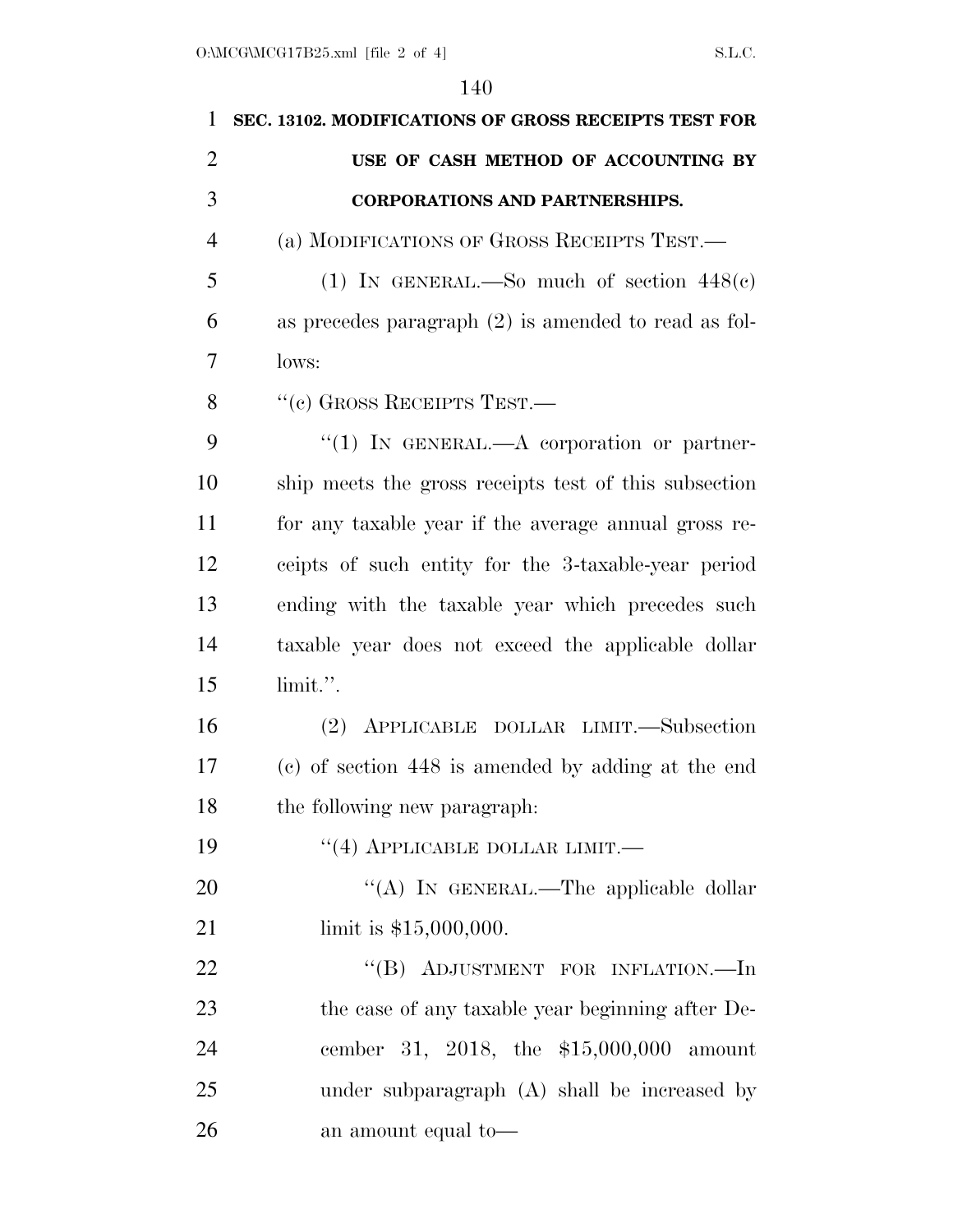| 1              | SEC. 13102. MODIFICATIONS OF GROSS RECEIPTS TEST FOR   |
|----------------|--------------------------------------------------------|
| $\overline{2}$ | USE OF CASH METHOD OF ACCOUNTING BY                    |
| 3              | <b>CORPORATIONS AND PARTNERSHIPS.</b>                  |
| 4              | (a) MODIFICATIONS OF GROSS RECEIPTS TEST.—             |
| 5              | (1) IN GENERAL.—So much of section $448(e)$            |
| 6              | as precedes paragraph $(2)$ is amended to read as fol- |
| 7              | lows:                                                  |
| 8              | $``$ (c) GROSS RECEIPTS TEST.—                         |
| 9              | "(1) IN GENERAL.—A corporation or partner-             |
| 10             | ship meets the gross receipts test of this subsection  |
| 11             | for any taxable year if the average annual gross re-   |
| 12             | ceipts of such entity for the 3-taxable-year period    |
| 13             | ending with the taxable year which precedes such       |
| 14             | taxable year does not exceed the applicable dollar     |
| 15             | limit.".                                               |
| 16             | (2) APPLICABLE DOLLAR LIMIT.—Subsection                |
| 17             | (c) of section 448 is amended by adding at the end     |
| 18             | the following new paragraph.                           |
| 19             | $\cdot$ (4) APPLICABLE DOLLAR LIMIT.—                  |
| 20             | "(A) IN GENERAL.—The applicable dollar                 |
| 21             | limit is $$15,000,000$ .                               |
| 22             | "(B) ADJUSTMENT FOR INFLATION.—In                      |
| 23             | the case of any taxable year beginning after De-       |
| 24             | cember 31, 2018, the \$15,000,000 amount               |
| 25             | under subparagraph (A) shall be increased by           |
| 26             | an amount equal to—                                    |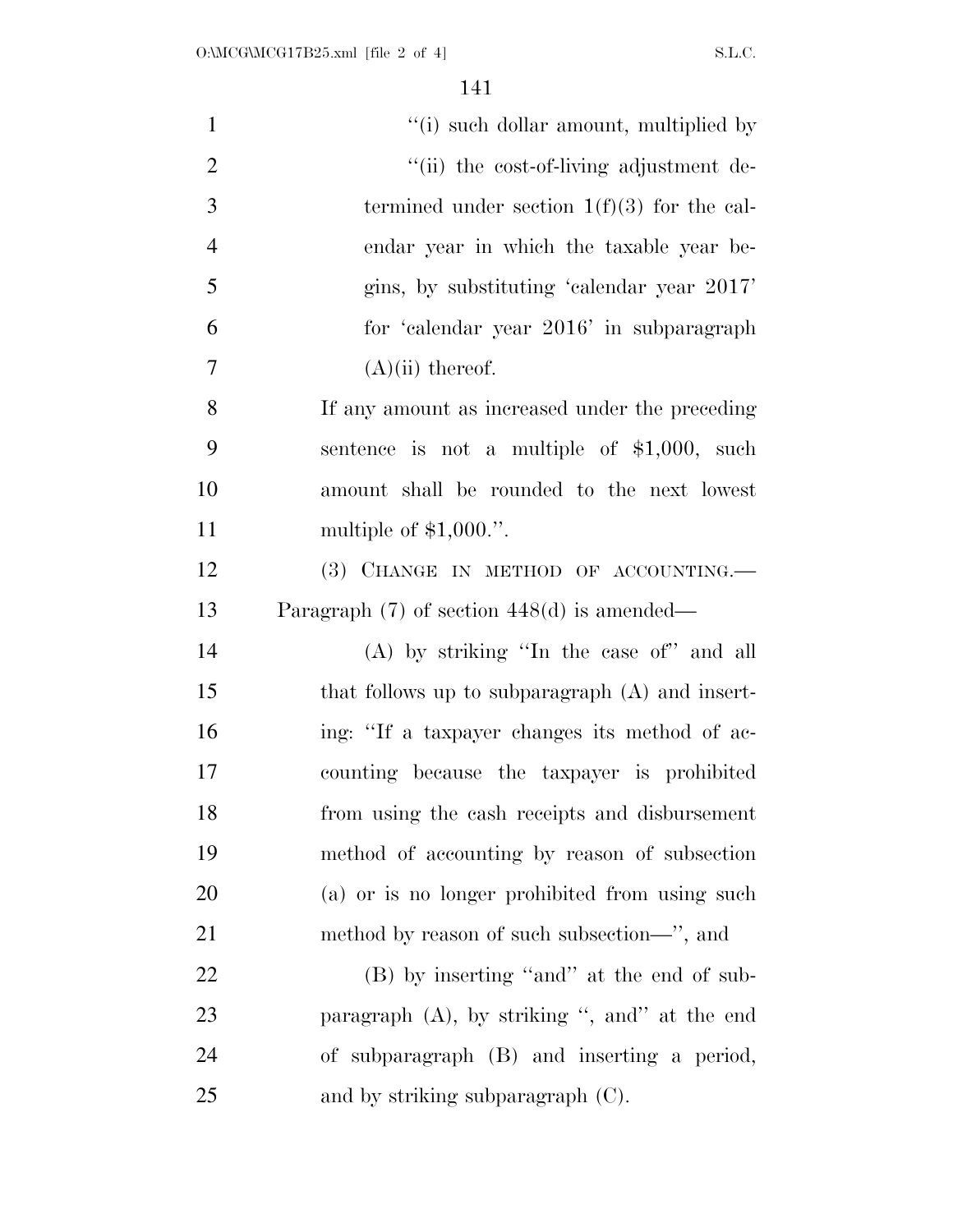| $\mathbf{1}$   | "(i) such dollar amount, multiplied by           |
|----------------|--------------------------------------------------|
| $\mathbf{2}$   | "(ii) the cost-of-living adjustment de-          |
| 3              | termined under section $1(f)(3)$ for the cal-    |
| $\overline{4}$ | endar year in which the taxable year be-         |
| 5              | gins, by substituting 'calendar year 2017'       |
| 6              | for 'calendar year 2016' in subparagraph         |
| $\overline{7}$ | $(A)(ii)$ thereof.                               |
| 8              | If any amount as increased under the preceding   |
| 9              | sentence is not a multiple of $$1,000$ , such    |
| 10             | amount shall be rounded to the next lowest       |
| 11             | multiple of $$1,000."$ .                         |
| 12             | (3) CHANGE IN METHOD OF ACCOUNTING.              |
| 13             | Paragraph $(7)$ of section 448 $(d)$ is amended— |
| 14             | $(A)$ by striking "In the case of" and all       |
| 15             | that follows up to subparagraph (A) and insert-  |
| 16             | ing: "If a taxpayer changes its method of ac-    |
| 17             | counting because the taxpayer is prohibited      |
| 18             | from using the cash receipts and disbursement    |
| 19             | method of accounting by reason of subsection     |
| 20             | (a) or is no longer prohibited from using such   |
| 21             | method by reason of such subsection—", and       |
| 22             | (B) by inserting "and" at the end of sub-        |
| 23             | paragraph $(A)$ , by striking ", and" at the end |
| 24             | of subparagraph (B) and inserting a period,      |
| 25             | and by striking subparagraph $(C)$ .             |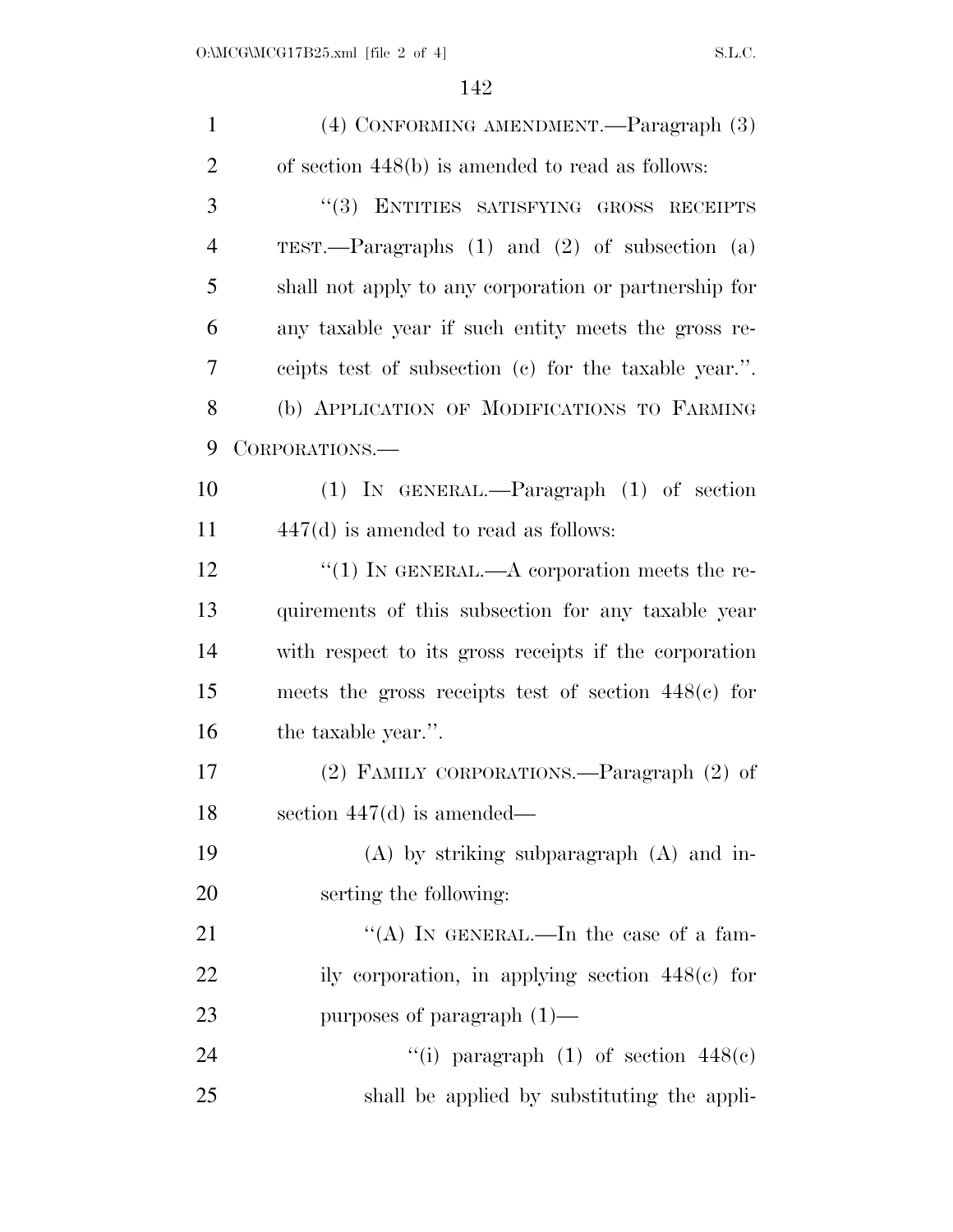| $\mathbf{1}$   | (4) CONFORMING AMENDMENT.—Paragraph (3)               |
|----------------|-------------------------------------------------------|
| $\overline{2}$ | of section $448(b)$ is amended to read as follows:    |
| 3              | "(3) ENTITIES SATISFYING GROSS RECEIPTS               |
| 4              | TEST.—Paragraphs $(1)$ and $(2)$ of subsection $(a)$  |
| 5              | shall not apply to any corporation or partnership for |
| 6              | any taxable year if such entity meets the gross re-   |
| 7              | ceipts test of subsection (c) for the taxable year.". |
| 8              | (b) APPLICATION OF MODIFICATIONS TO FARMING           |
| 9              | CORPORATIONS.—                                        |
| 10             | $(1)$ IN GENERAL.—Paragraph $(1)$ of section          |
| 11             | $447(d)$ is amended to read as follows:               |
| 12             | "(1) IN GENERAL.—A corporation meets the re-          |
| 13             | quirements of this subsection for any taxable year    |
| 14             | with respect to its gross receipts if the corporation |
| 15             | meets the gross receipts test of section $448(e)$ for |
| 16             | the taxable year.".                                   |
| 17             | (2) FAMILY CORPORATIONS.—Paragraph (2) of             |
| 18             | section $447(d)$ is amended—                          |
| 19             | $(A)$ by striking subparagraph $(A)$ and in-          |
| 20             | serting the following:                                |
| 21             | "(A) IN GENERAL.—In the case of a fam-                |
| 22             | ily corporation, in applying section $448(c)$ for     |
| 23             | purposes of paragraph $(1)$ —                         |
| 24             | "(i) paragraph (1) of section $448(e)$                |
| 25             | shall be applied by substituting the appli-           |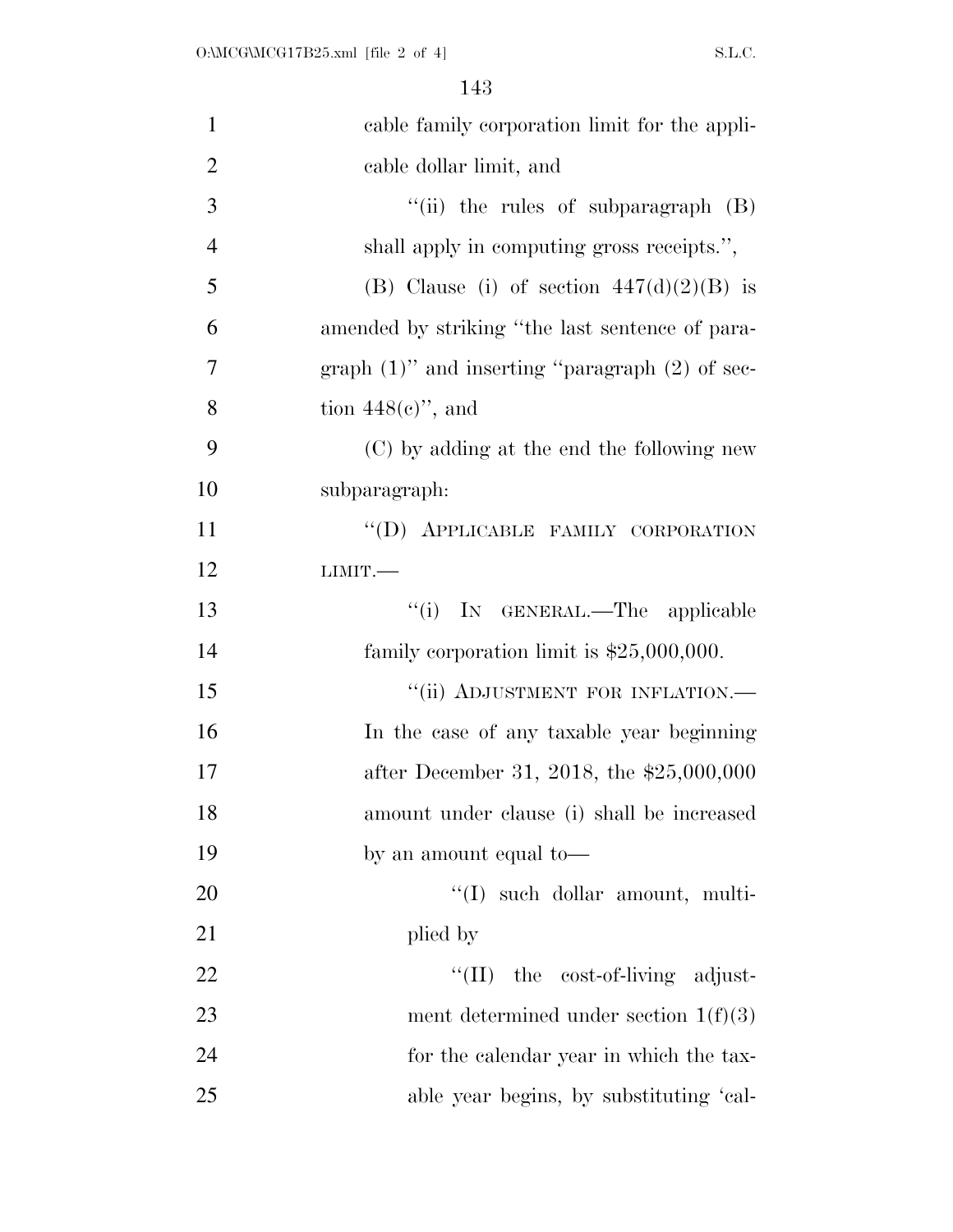| $\mathbf{1}$   | cable family corporation limit for the appli-        |
|----------------|------------------------------------------------------|
| $\overline{2}$ | cable dollar limit, and                              |
| 3              | "(ii) the rules of subparagraph (B)                  |
| $\overline{4}$ | shall apply in computing gross receipts.",           |
| 5              | (B) Clause (i) of section $447(d)(2)(B)$ is          |
| 6              | amended by striking "the last sentence of para-      |
| 7              | graph $(1)$ " and inserting "paragraph $(2)$ of sec- |
| 8              | tion $448(e)$ ", and                                 |
| 9              | (C) by adding at the end the following new           |
| 10             | subparagraph:                                        |
| 11             | "(D) APPLICABLE FAMILY CORPORATION                   |
| 12             | LIMIT.                                               |
| 13             | IN GENERAL.—The applicable<br>``(i)                  |
| 14             | family corporation limit is $$25,000,000$ .          |
| 15             | "(ii) ADJUSTMENT FOR INFLATION.-                     |
| 16             | In the case of any taxable year beginning            |
| 17             | after December 31, 2018, the \$25,000,000            |
| 18             | amount under clause (i) shall be increased           |
| 19             | by an amount equal to—                               |
| 20             | "(I) such dollar amount, multi-                      |
| 21             | plied by                                             |
| 22             | $\lq\lq$ (II) the cost-of-living adjust-             |
| 23             | ment determined under section $1(f)(3)$              |
| 24             | for the calendar year in which the tax-              |
| 25             | able year begins, by substituting 'cal-              |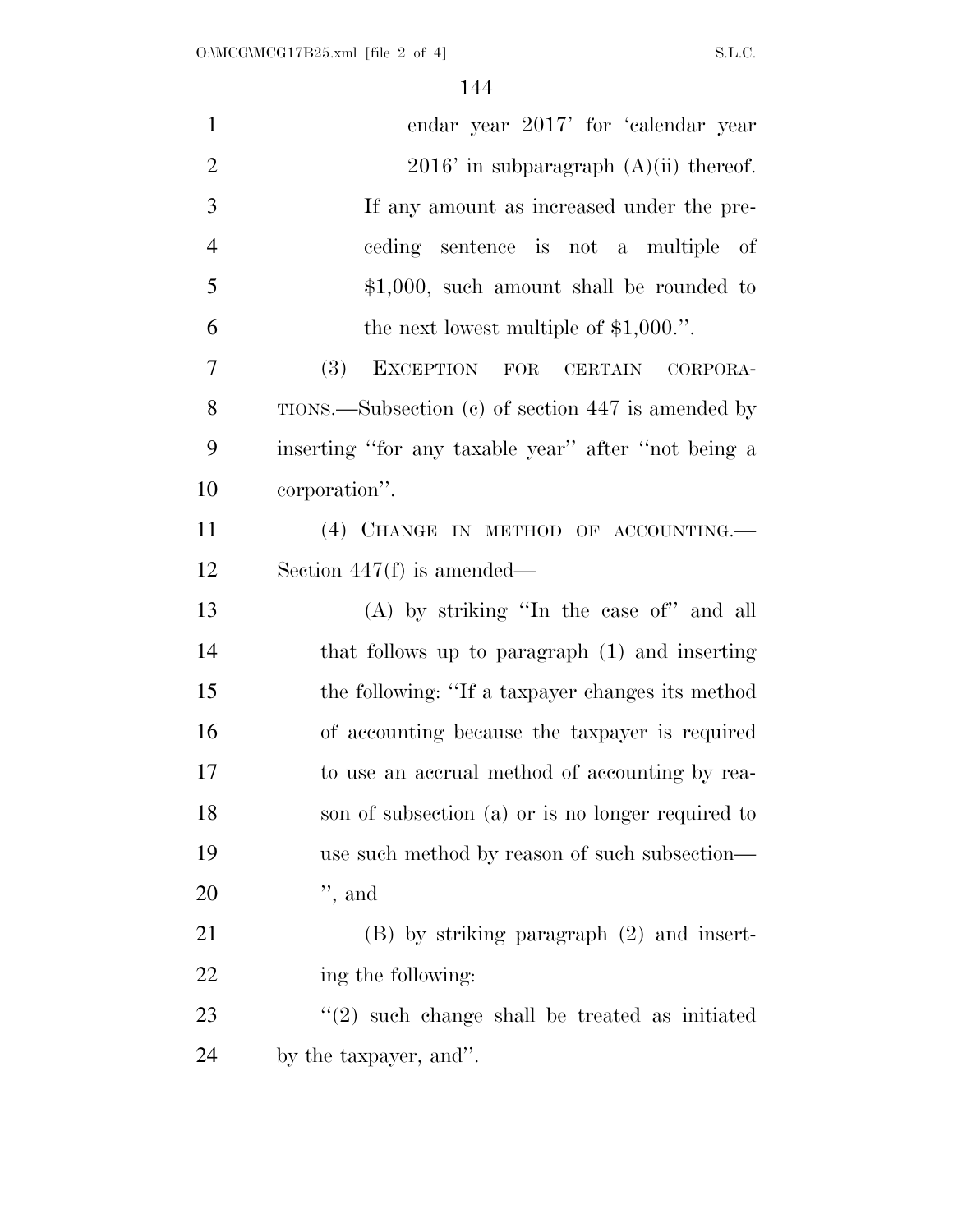| $\mathbf{1}$   | endar year 2017' for 'calendar year                       |
|----------------|-----------------------------------------------------------|
| $\overline{2}$ | $2016'$ in subparagraph $(A)(ii)$ thereof.                |
| 3              | If any amount as increased under the pre-                 |
| $\overline{4}$ | ceding sentence is not a multiple of                      |
| 5              | $$1,000$ , such amount shall be rounded to                |
| 6              | the next lowest multiple of $$1,000."$ .                  |
| 7              | (3)<br>EXCEPTION FOR CERTAIN<br>CORPORA-                  |
| 8              | $TIONS$ . Subsection (c) of section 447 is amended by     |
| 9              | inserting "for any taxable year" after "not being a       |
| 10             | corporation".                                             |
| 11             | (4) CHANGE IN METHOD OF ACCOUNTING.                       |
| 12             | Section $447(f)$ is amended—                              |
| 13             | (A) by striking "In the case of" and all                  |
| 14             | that follows up to paragraph (1) and inserting            |
| 15             | the following: "If a taxpayer changes its method          |
| 16             | of accounting because the taxpayer is required            |
| 17             | to use an accrual method of accounting by rea-            |
| 18             | son of subsection (a) or is no longer required to         |
| 19             | use such method by reason of such subsection—             |
| 20             | $",$ and                                                  |
| 21             | $(B)$ by striking paragraph $(2)$ and insert-             |
| 22             | ing the following:                                        |
| 23             | $\cdot\cdot(2)$ such change shall be treated as initiated |
| 24             | by the taxpayer, and".                                    |
|                |                                                           |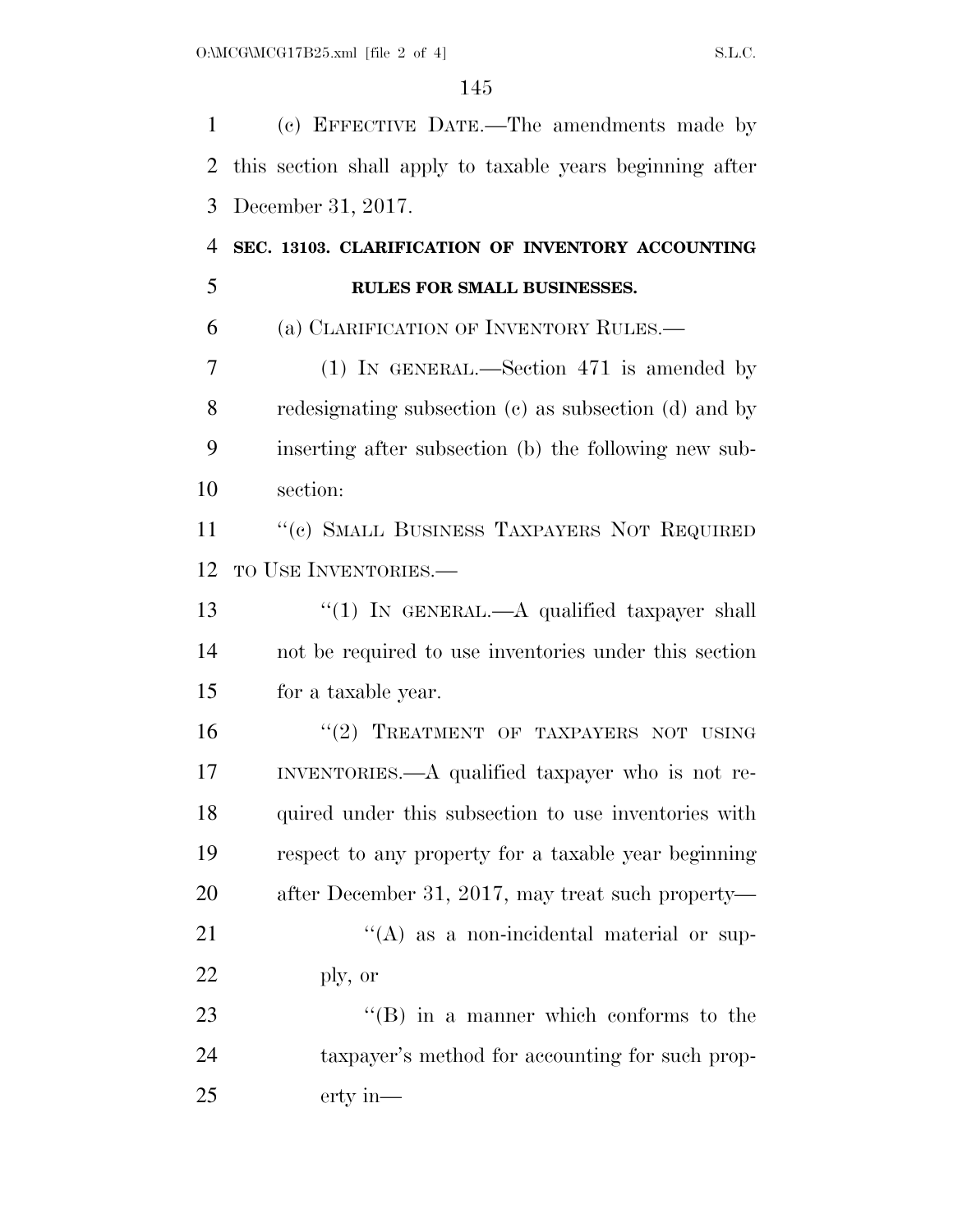(c) EFFECTIVE DATE.—The amendments made by this section shall apply to taxable years beginning after December 31, 2017.

## **SEC. 13103. CLARIFICATION OF INVENTORY ACCOUNTING RULES FOR SMALL BUSINESSES.**

(a) CLARIFICATION OF INVENTORY RULES.—

 (1) IN GENERAL.—Section 471 is amended by redesignating subsection (c) as subsection (d) and by inserting after subsection (b) the following new sub-section:

11 "(c) SMALL BUSINESS TAXPAYERS NOT REQUIRED TO USE INVENTORIES.—

13 "(1) IN GENERAL.—A qualified taxpayer shall not be required to use inventories under this section for a taxable year.

 $"(2)$  TREATMENT OF TAXPAYERS NOT USING INVENTORIES.—A qualified taxpayer who is not re- quired under this subsection to use inventories with respect to any property for a taxable year beginning after December 31, 2017, may treat such property— 21 ''(A) as a non-incidental material or sup-ply, or

23 ''(B) in a manner which conforms to the taxpayer's method for accounting for such prop-erty in—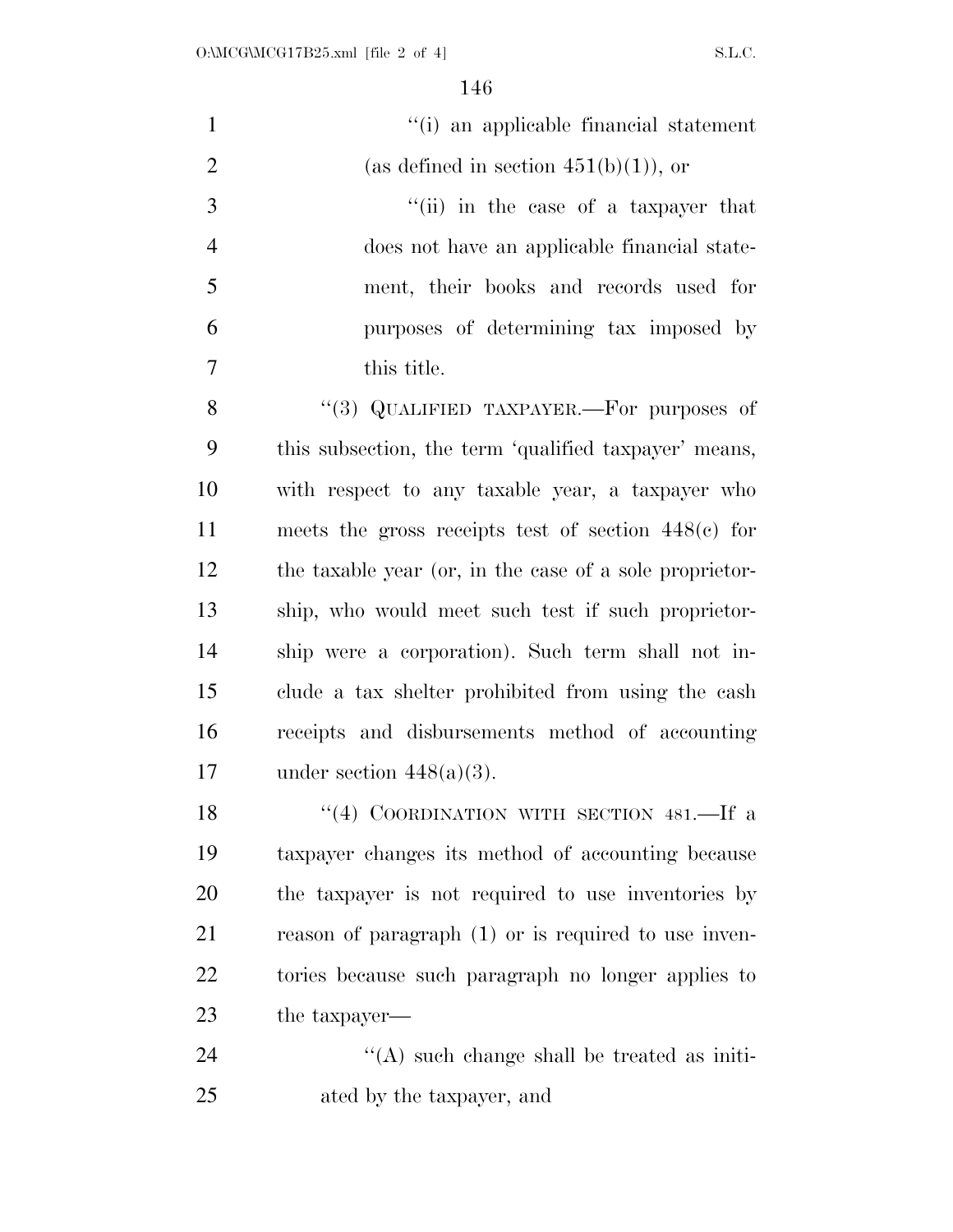| $\mathbf{1}$   | "(i) an applicable financial statement                  |
|----------------|---------------------------------------------------------|
| $\overline{2}$ | (as defined in section $451(b)(1)$ ), or                |
| 3              | "(ii) in the case of a taxpayer that                    |
| $\overline{4}$ | does not have an applicable financial state-            |
| 5              | ment, their books and records used for                  |
| 6              | purposes of determining tax imposed by                  |
| 7              | this title.                                             |
| 8              | "(3) QUALIFIED TAXPAYER.—For purposes of                |
| 9              | this subsection, the term 'qualified taxpayer' means,   |
| 10             | with respect to any taxable year, a taxpayer who        |
| 11             | meets the gross receipts test of section $448(e)$ for   |
| 12             | the taxable year (or, in the case of a sole proprietor- |
| 13             | ship, who would meet such test if such proprietor-      |
| 14             | ship were a corporation). Such term shall not in-       |
| 15             | clude a tax shelter prohibited from using the cash      |
| 16             | receipts and disbursements method of accounting         |
| 17             | under section $448(a)(3)$ .                             |
| 18             | "(4) COORDINATION WITH SECTION 481.—If a                |
| 19             | taxpayer changes its method of accounting because       |
| 20             | the taxpayer is not required to use inventories by      |
| 21             | reason of paragraph $(1)$ or is required to use inven-  |
| 22             | tories because such paragraph no longer applies to      |
| 23             | the taxpayer—                                           |
| 24             | $\lq\lq$ such change shall be treated as initi-         |
| 25             | ated by the taxpayer, and                               |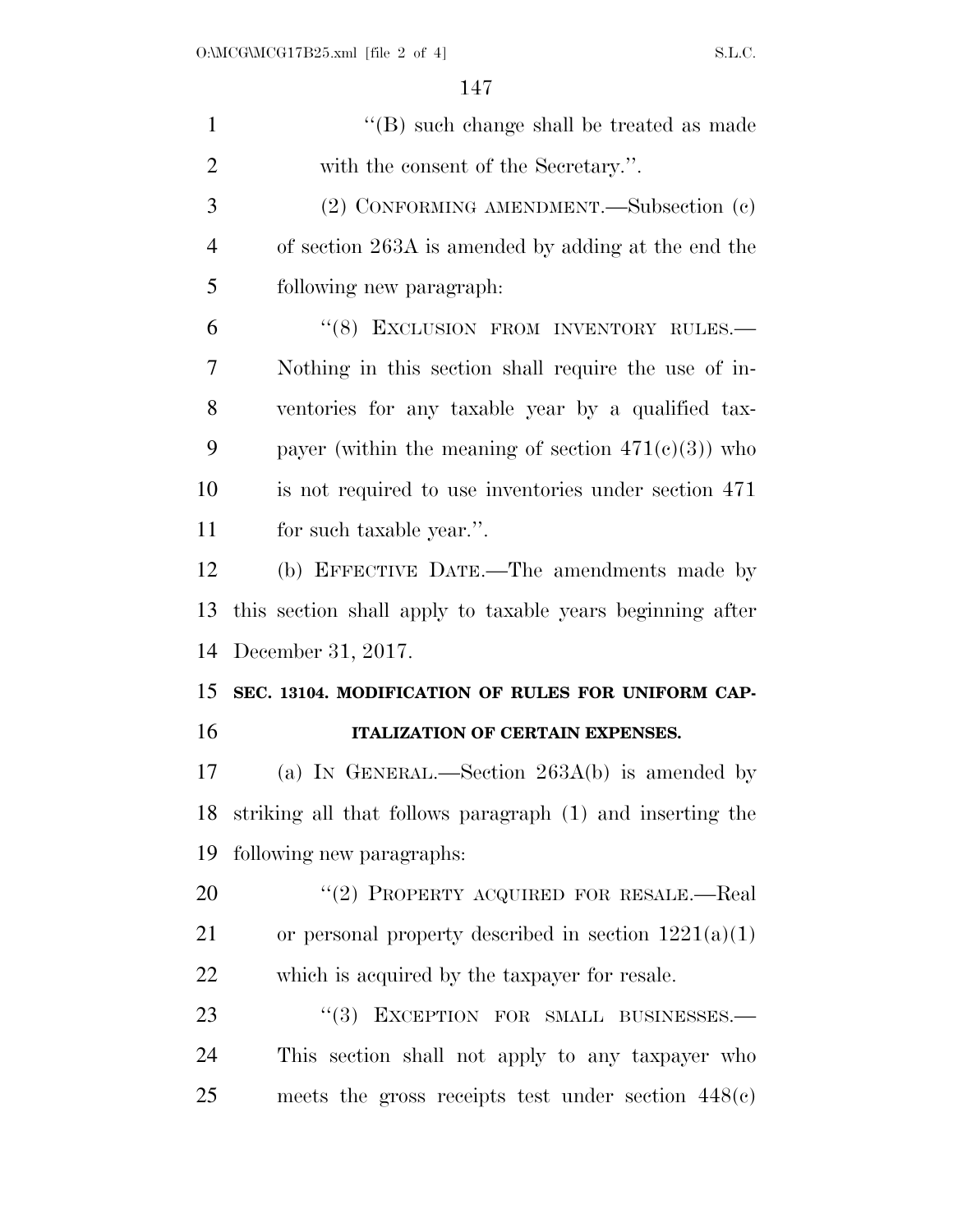| $\mathbf{1}$   | $\lq\lq$ (B) such change shall be treated as made         |
|----------------|-----------------------------------------------------------|
| $\overline{2}$ | with the consent of the Secretary.".                      |
| 3              | (2) CONFORMING AMENDMENT.—Subsection (c)                  |
| $\overline{4}$ | of section 263A is amended by adding at the end the       |
| 5              | following new paragraph:                                  |
| 6              | "(8) EXCLUSION FROM INVENTORY RULES.-                     |
| 7              | Nothing in this section shall require the use of in-      |
| 8              | ventories for any taxable year by a qualified tax-        |
| 9              | payer (within the meaning of section $471(c)(3)$ ) who    |
| 10             | is not required to use inventories under section 471      |
| 11             | for such taxable year.".                                  |
| 12             | (b) EFFECTIVE DATE.—The amendments made by                |
| 13             | this section shall apply to taxable years beginning after |
| 14             | December 31, 2017.                                        |
| 15             | SEC. 13104. MODIFICATION OF RULES FOR UNIFORM CAP-        |
| 16             | ITALIZATION OF CERTAIN EXPENSES.                          |
| 17             | (a) IN GENERAL.—Section $263A(b)$ is amended by           |
| 18             | striking all that follows paragraph (1) and inserting the |
| 19             | following new paragraphs:                                 |
| 20             | "(2) PROPERTY ACQUIRED FOR RESALE.—Real                   |
| 21             | or personal property described in section $1221(a)(1)$    |
| 22             | which is acquired by the taxpayer for resale.             |
| 23             | "(3) EXCEPTION FOR SMALL BUSINESSES.-                     |
| 24             | This section shall not apply to any taxpayer who          |
| 25             | meets the gross receipts test under section $448(c)$      |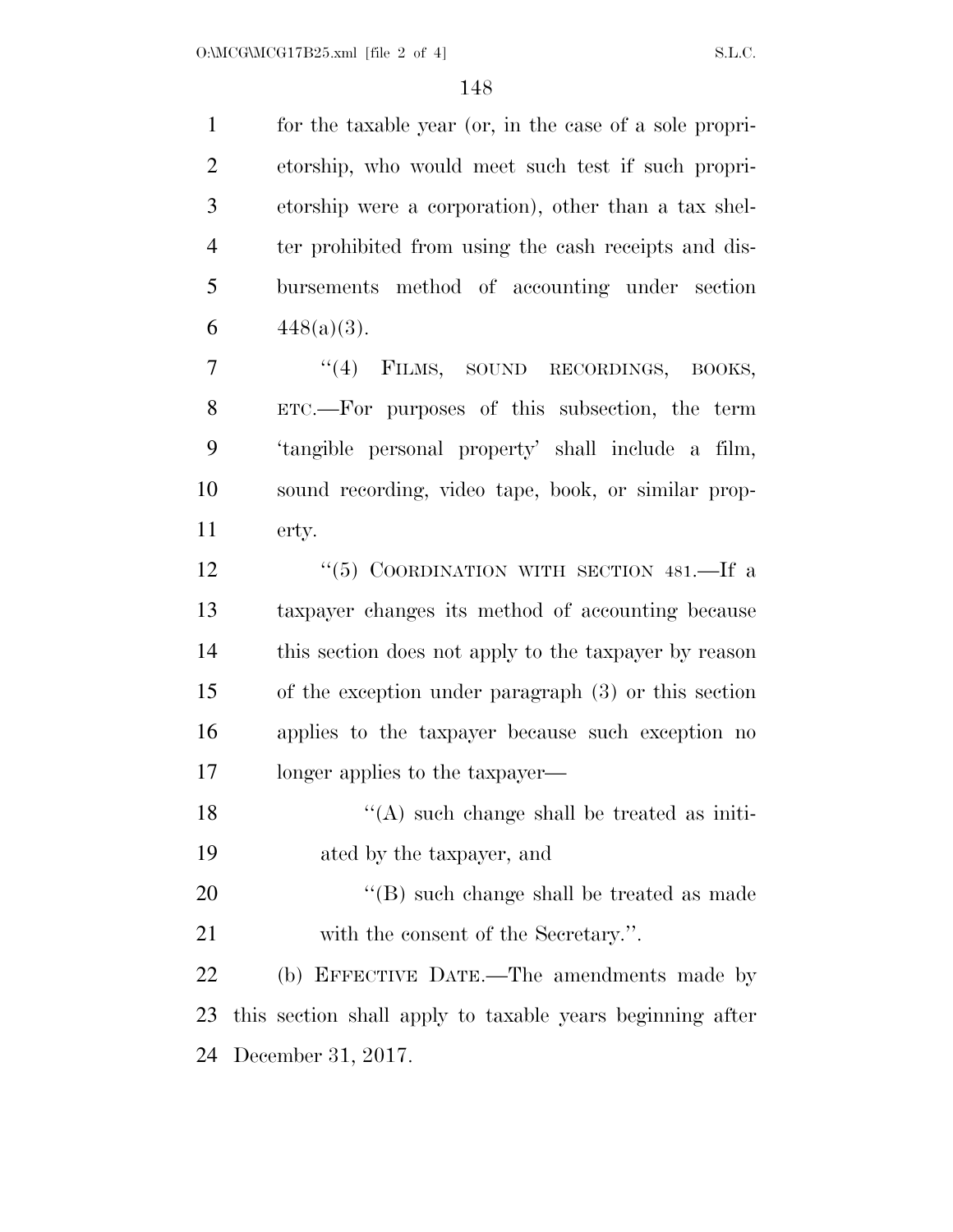for the taxable year (or, in the case of a sole propri- etorship, who would meet such test if such propri- etorship were a corporation), other than a tax shel- ter prohibited from using the cash receipts and dis- bursements method of accounting under section  $448(a)(3)$ .

7 "(4) FILMS, SOUND RECORDINGS, BOOKS, ETC.—For purposes of this subsection, the term 'tangible personal property' shall include a film, sound recording, video tape, book, or similar prop-erty.

12 "(5) COORDINATION WITH SECTION 481.—If a taxpayer changes its method of accounting because this section does not apply to the taxpayer by reason of the exception under paragraph (3) or this section applies to the taxpayer because such exception no longer applies to the taxpayer—

18 ''(A) such change shall be treated as initi-ated by the taxpayer, and

20 ''(B) such change shall be treated as made with the consent of the Secretary.''.

 (b) EFFECTIVE DATE.—The amendments made by this section shall apply to taxable years beginning after December 31, 2017.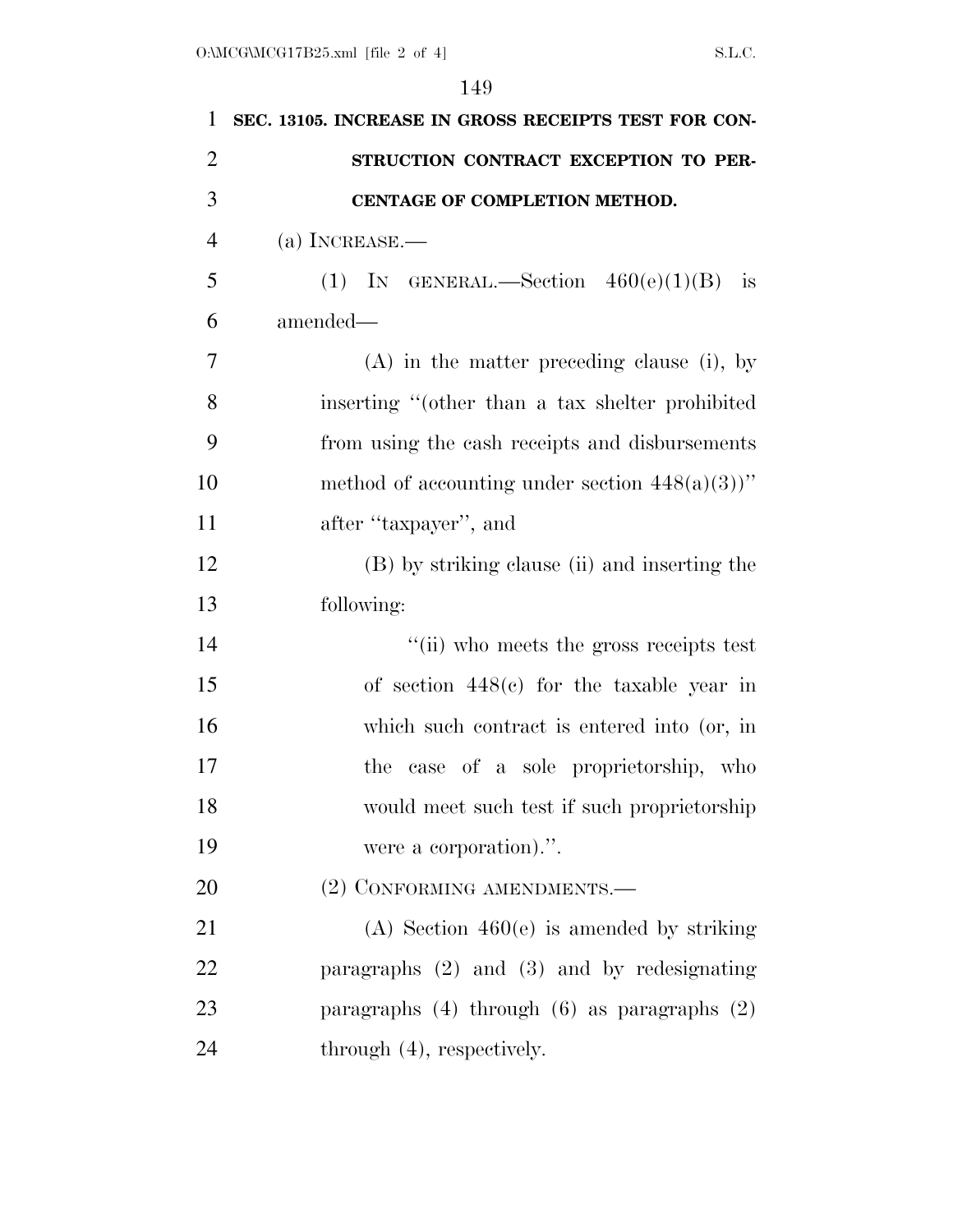| $\mathbf{1}$   | SEC. 13105. INCREASE IN GROSS RECEIPTS TEST FOR CON- |
|----------------|------------------------------------------------------|
| $\overline{2}$ | STRUCTION CONTRACT EXCEPTION TO PER-                 |
| 3              | CENTAGE OF COMPLETION METHOD.                        |
| $\overline{4}$ | (a) INCREASE.—                                       |
| 5              | (1) IN GENERAL.—Section $460(e)(1)(B)$ is            |
| 6              | amended-                                             |
| 7              | $(A)$ in the matter preceding clause (i), by         |
| 8              | inserting "(other than a tax shelter prohibited      |
| 9              | from using the cash receipts and disbursements       |
| 10             | method of accounting under section $448(a)(3)$ "     |
| 11             | after "taxpayer", and                                |
| 12             | (B) by striking clause (ii) and inserting the        |
| 13             | following:                                           |
| 14             | "(ii) who meets the gross receipts test              |
| 15             | of section $448(c)$ for the taxable year in          |
| 16             | which such contract is entered into (or, in          |
| 17             | case of a sole proprietorship, who<br>the            |
| 18             | would meet such test if such proprietorship          |
| 19             | were a corporation).".                               |
| 20             | (2) CONFORMING AMENDMENTS.—                          |
| 21             | $(A)$ Section 460(e) is amended by striking          |
| 22             | paragraphs $(2)$ and $(3)$ and by redesignating      |
| 23             | paragraphs $(4)$ through $(6)$ as paragraphs $(2)$   |
| 24             | through $(4)$ , respectively.                        |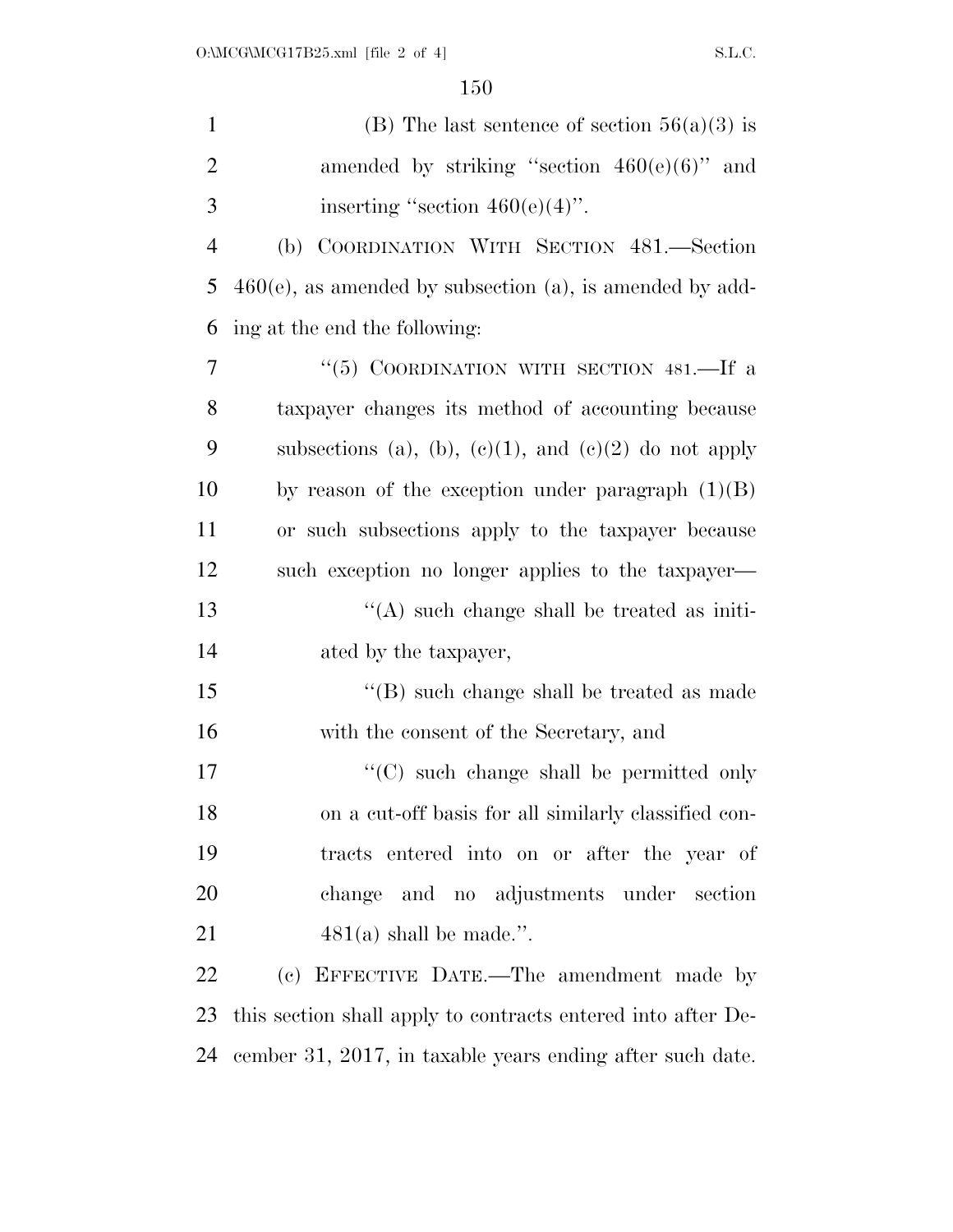| $\mathbf{1}$   | (B) The last sentence of section $56(a)(3)$ is               |
|----------------|--------------------------------------------------------------|
| $\overline{2}$ | amended by striking "section $460(e)(6)$ " and               |
| 3              | inserting "section $460(e)(4)$ ".                            |
| $\overline{4}$ | (b) COORDINATION WITH SECTION 481.-Section                   |
| 5              | $460(e)$ , as amended by subsection (a), is amended by add-  |
| 6              | ing at the end the following:                                |
| 7              | "(5) COORDINATION WITH SECTION 481.—If a                     |
| 8              | taxpayer changes its method of accounting because            |
| 9              | subsections (a), (b), (c)(1), and (c)(2) do not apply        |
| 10             | by reason of the exception under paragraph $(1)(B)$          |
| 11             | or such subsections apply to the taxpayer because            |
| 12             | such exception no longer applies to the taxpayer—            |
| 13             | $\lq\lq$ such change shall be treated as initi-              |
| 14             | ated by the taxpayer,                                        |
| 15             | $\lq\lq$ such change shall be treated as made                |
| 16             | with the consent of the Secretary, and                       |
| $17\,$         | $\cdot$ (C) such change shall be permitted only              |
| 18             | on a cut-off basis for all similarly classified con-         |
| 19             | tracts entered into on or after the year of                  |
| 20             | change and no adjustments under section                      |
| 21             | $481(a)$ shall be made.".                                    |
| 22             | (c) EFFECTIVE DATE.—The amendment made by                    |
| 23             | this section shall apply to contracts entered into after De- |
| 24             | cember 31, 2017, in taxable years ending after such date.    |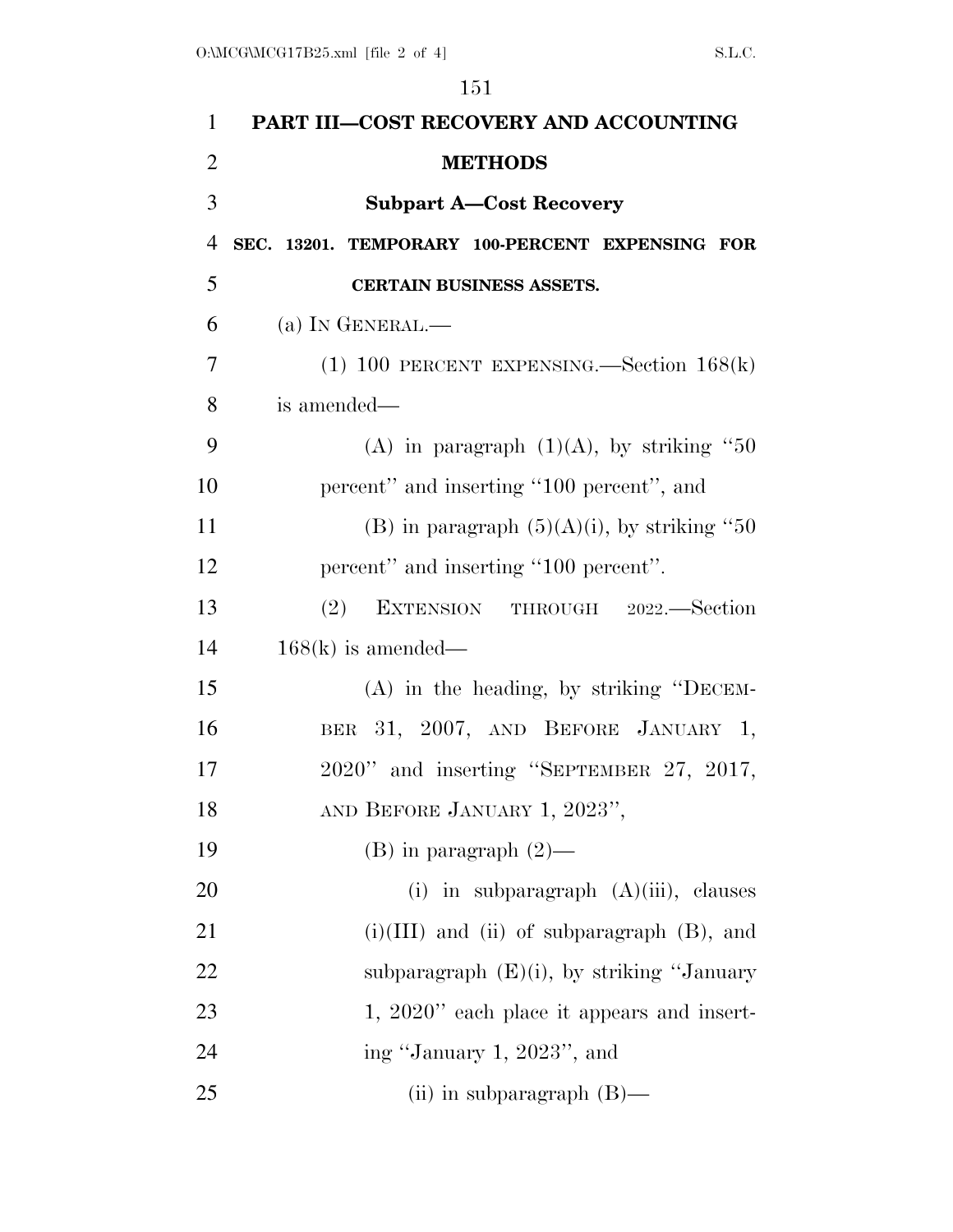| $\mathbf{1}$   | PART III-COST RECOVERY AND ACCOUNTING             |
|----------------|---------------------------------------------------|
| $\overline{2}$ | <b>METHODS</b>                                    |
| 3              | <b>Subpart A-Cost Recovery</b>                    |
| $\overline{4}$ | SEC. 13201. TEMPORARY 100-PERCENT EXPENSING FOR   |
| 5              | CERTAIN BUSINESS ASSETS.                          |
| 6              | (a) IN GENERAL.—                                  |
| 7              | $(1)$ 100 PERCENT EXPENSING.—Section 168(k)       |
| 8              | is amended—                                       |
| 9              | (A) in paragraph $(1)(A)$ , by striking "50       |
| 10             | percent" and inserting "100 percent", and         |
| 11             | (B) in paragraph $(5)(A)(i)$ , by striking "50    |
| 12             | percent" and inserting "100 percent".             |
| 13             | (2) EXTENSION THROUGH 2022.—Section               |
| 14             | $168(k)$ is amended—                              |
| 15             | (A) in the heading, by striking "DECEM-           |
| 16             | BER 31, 2007, AND BEFORE JANUARY 1,               |
| 17             | 2020" and inserting "SEPTEMBER 27, 2017,          |
| 18             | AND BEFORE JANUARY 1, 2023",                      |
| 19             | $(B)$ in paragraph $(2)$ —                        |
| 20             | (i) in subparagraph $(A)(iii)$ , clauses          |
| 21             | $(i)(III)$ and $(ii)$ of subparagraph $(B)$ , and |
| 22             | subparagraph $(E)(i)$ , by striking "January      |
| 23             | $1, 2020$ " each place it appears and insert-     |
| 24             | ing "January 1, 2023", and                        |
| 25             | (ii) in subparagraph $(B)$ —                      |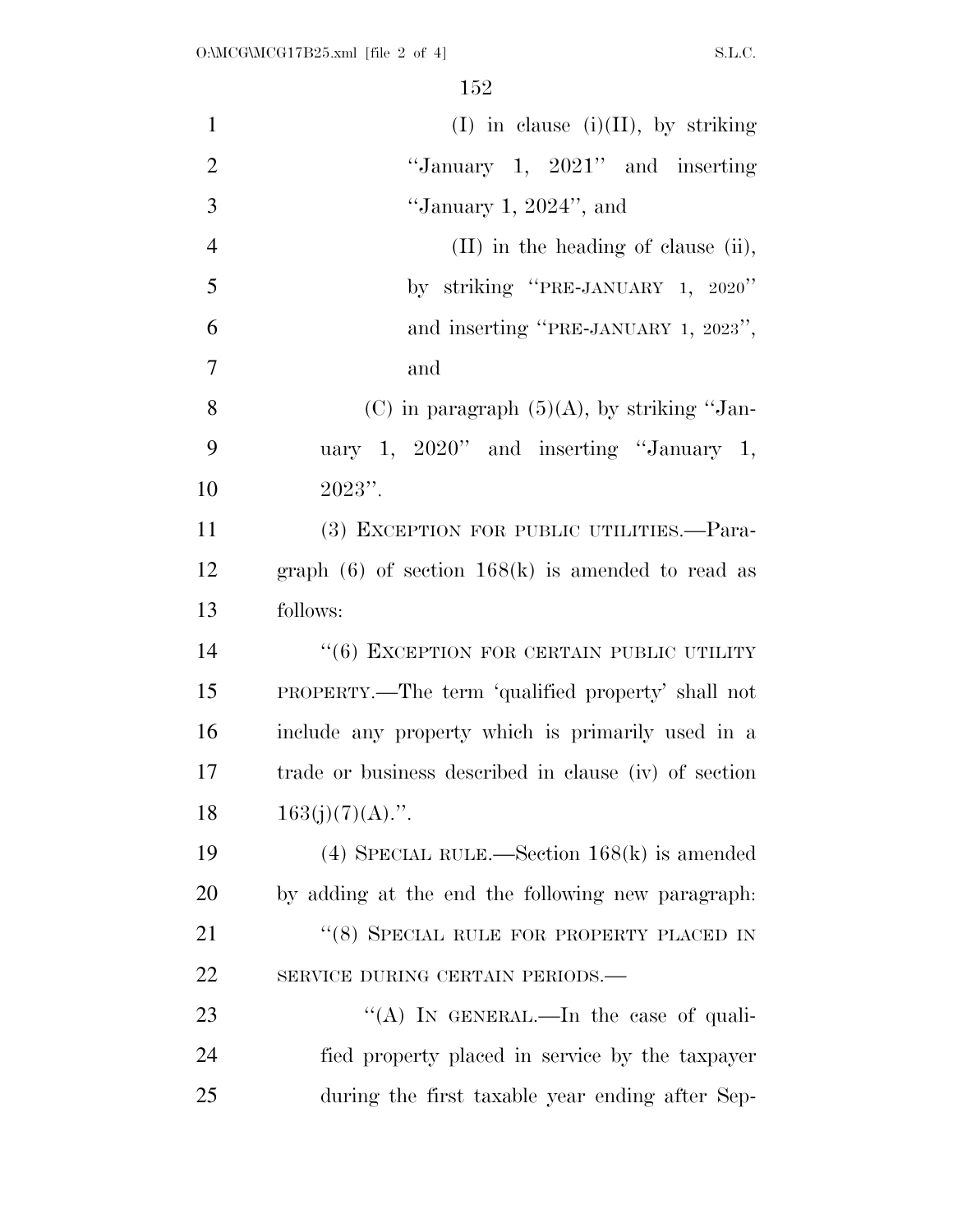| $\mathbf{1}$   | $(I)$ in clause $(i)(II)$ , by striking               |
|----------------|-------------------------------------------------------|
| $\overline{2}$ | "January 1, $2021"$ and inserting                     |
| 3              | "January 1, $2024$ ", and                             |
| $\overline{4}$ | $(II)$ in the heading of clause (ii),                 |
| 5              | by striking "PRE-JANUARY 1, 2020"                     |
| 6              | and inserting "PRE-JANUARY 1, 2023",                  |
| $\overline{7}$ | and                                                   |
| 8              | (C) in paragraph $(5)(A)$ , by striking "Jan-         |
| 9              | uary 1, $2020$ " and inserting "January 1,            |
| 10             | $2023"$ .                                             |
| 11             | (3) EXCEPTION FOR PUBLIC UTILITIES.-Para-             |
| 12             | graph $(6)$ of section $168(k)$ is amended to read as |
| 13             | follows:                                              |
| 14             | $``(6)$ EXCEPTION FOR CERTAIN PUBLIC UTILITY          |
| 15             | PROPERTY.—The term 'qualified property' shall not     |
| 16             | include any property which is primarily used in a     |
| 17             | trade or business described in clause (iv) of section |
| 18             | $163(j)(7)(A)$ .".                                    |
| 19             | (4) SPECIAL RULE.—Section $168(k)$ is amended         |
| 20             | by adding at the end the following new paragraph.     |
| 21             | "(8) SPECIAL RULE FOR PROPERTY PLACED IN              |
| 22             | SERVICE DURING CERTAIN PERIODS.-                      |
| 23             | "(A) IN GENERAL.—In the case of quali-                |
| 24             | fied property placed in service by the taxpayer       |
| 25             | during the first taxable year ending after Sep-       |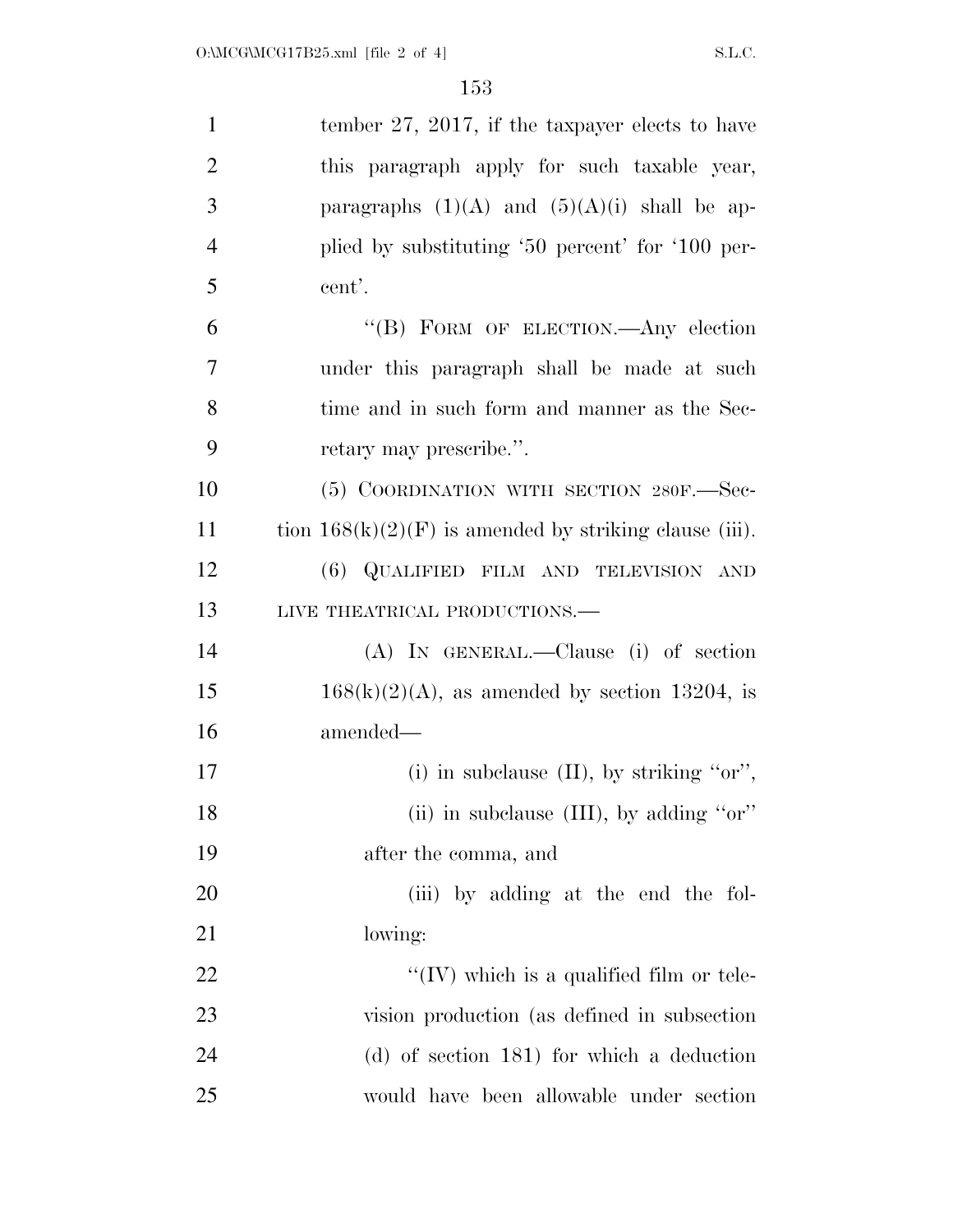| $\mathbf{1}$   | tember 27, 2017, if the taxpayer elects to have          |
|----------------|----------------------------------------------------------|
| $\overline{2}$ | this paragraph apply for such taxable year,              |
| 3              | paragraphs $(1)(A)$ and $(5)(A)(i)$ shall be ap-         |
| $\overline{4}$ | plied by substituting '50 percent' for '100 per-         |
| 5              | cent'.                                                   |
| 6              | "(B) FORM OF ELECTION. Any election                      |
| $\overline{7}$ | under this paragraph shall be made at such               |
| 8              | time and in such form and manner as the Sec-             |
| 9              | retary may prescribe.".                                  |
| 10             | (5) COORDINATION WITH SECTION 280F.-Sec-                 |
| 11             | tion $168(k)(2)(F)$ is amended by striking clause (iii). |
| 12             | (6) QUALIFIED FILM AND TELEVISION AND                    |
| 13             | LIVE THEATRICAL PRODUCTIONS.                             |
| 14             | $(A)$ IN GENERAL.—Clause (i) of section                  |
| 15             | $168(k)(2)(A)$ , as amended by section 13204, is         |
| 16             | amended—                                                 |
| 17             | (i) in subclause $(II)$ , by striking "or",              |
| 18             | (ii) in subclause (III), by adding " $or$ "              |
| 19             | after the comma, and                                     |
| 20             | (iii) by adding at the end the fol-                      |
| 21             | lowing:                                                  |
| 22             | $\lq\lq$ (IV) which is a qualified film or tele-         |
| 23             | vision production (as defined in subsection              |
| 24             | $(d)$ of section 181) for which a deduction              |
| 25             | would have been allowable under section                  |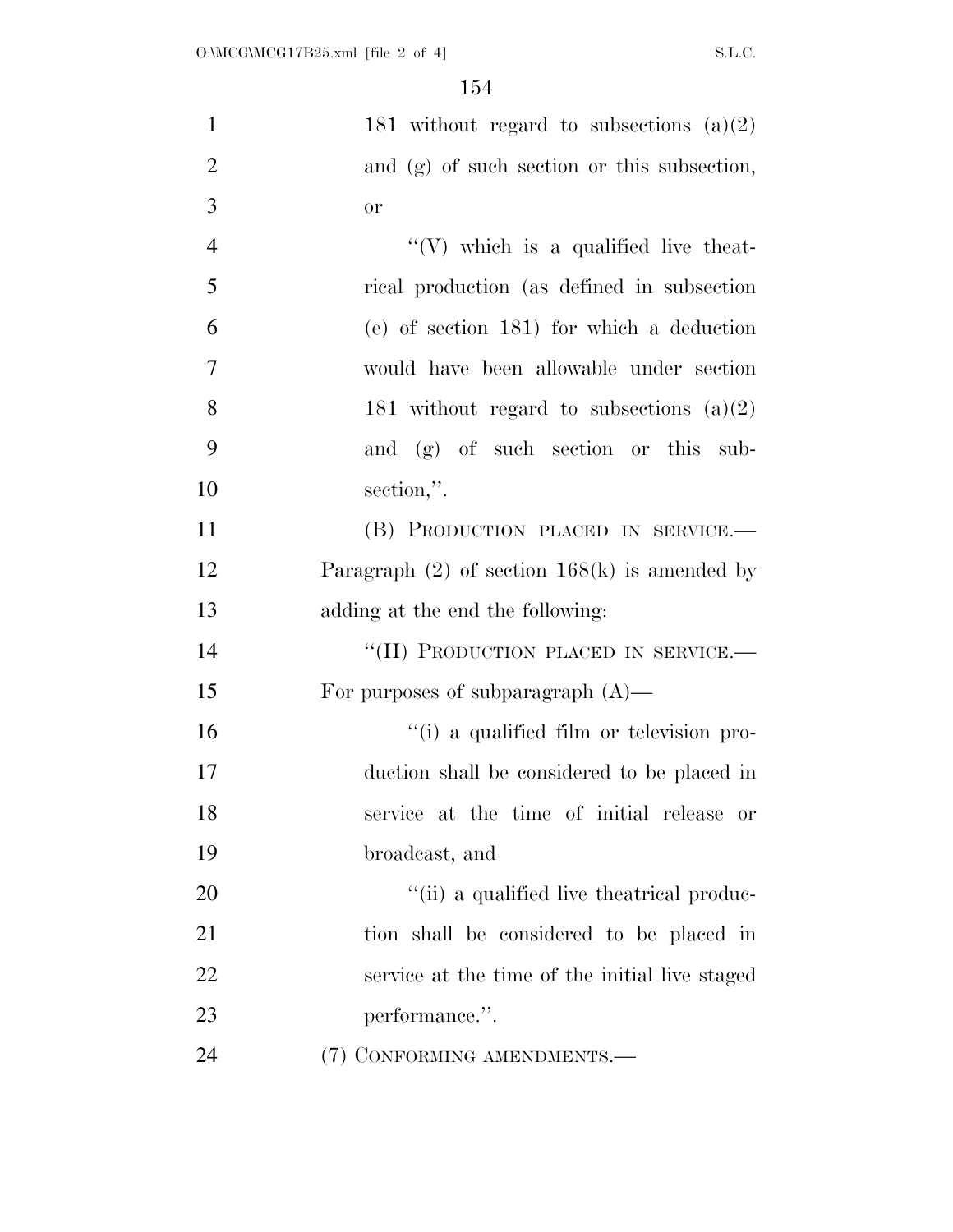| $\mathbf{1}$   | 181 without regard to subsections $(a)(2)$         |
|----------------|----------------------------------------------------|
| $\overline{2}$ | and (g) of such section or this subsection,        |
| 3              | <b>or</b>                                          |
| $\overline{4}$ | $\lq\lq$ which is a qualified live theat-          |
| 5              | rical production (as defined in subsection)        |
| 6              | (e) of section 181) for which a deduction          |
| $\overline{7}$ | would have been allowable under section            |
| 8              | 181 without regard to subsections $(a)(2)$         |
| 9              | and (g) of such section or this sub-               |
| 10             | section,".                                         |
| 11             | (B) PRODUCTION PLACED IN SERVICE.-                 |
| 12             | Paragraph $(2)$ of section 168 $(k)$ is amended by |
| 13             | adding at the end the following:                   |
| 14             | "(H) PRODUCTION PLACED IN SERVICE.-                |
| 15             | For purposes of subparagraph $(A)$ —               |
| 16             | "(i) a qualified film or television pro-           |
| 17             | duction shall be considered to be placed in        |
| 18             | service at the time of initial release or          |
| 19             | broadcast, and                                     |
| 20             | "(ii) a qualified live the atrical produc-         |
| 21             | tion shall be considered to be placed in           |
| 22             | service at the time of the initial live staged     |
| 23             | performance.".                                     |
| 24             | (7) CONFORMING AMENDMENTS.-                        |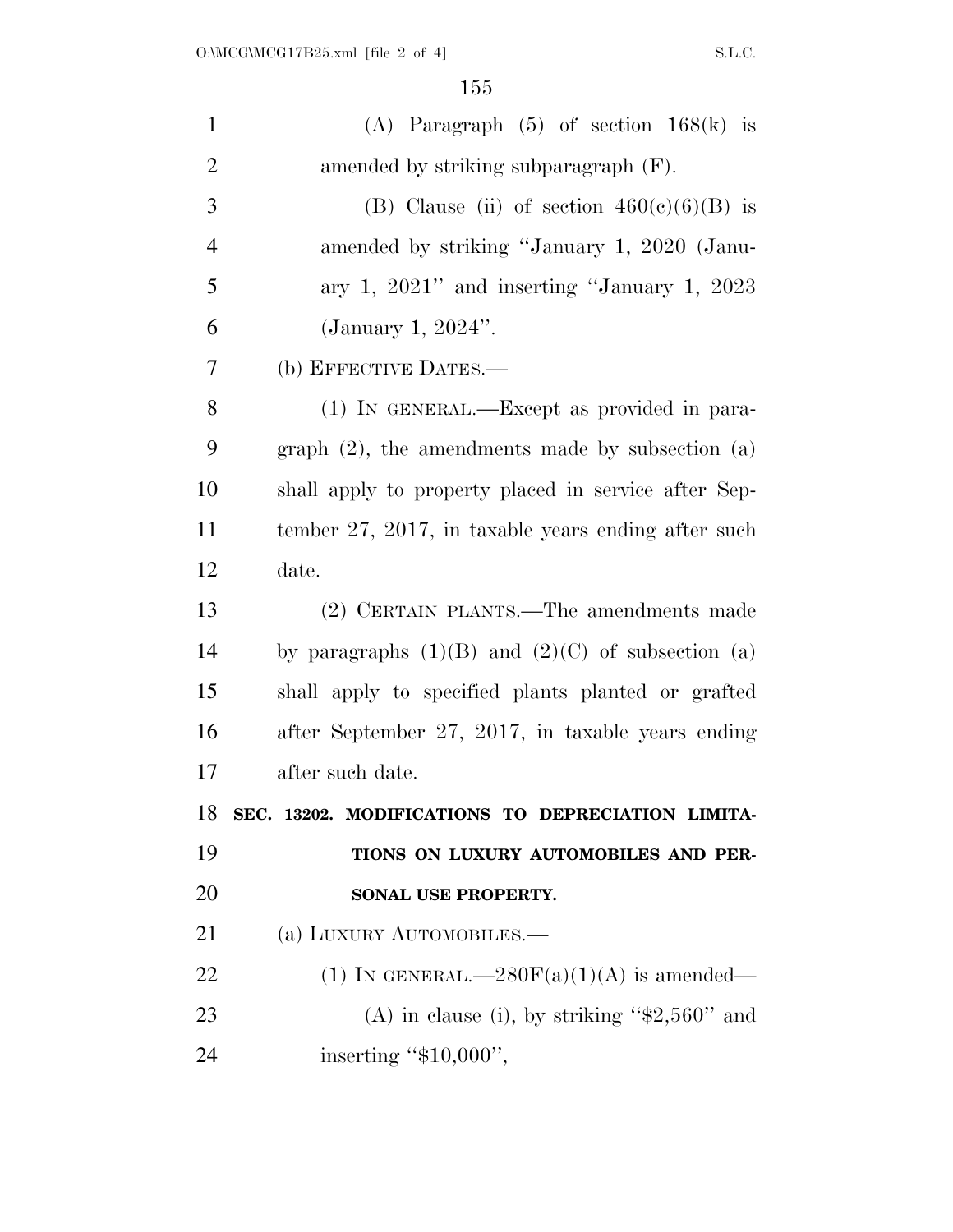$155\,$ 

| $\mathbf{1}$   | (A) Paragraph $(5)$ of section $168(k)$ is            |
|----------------|-------------------------------------------------------|
| $\overline{2}$ | amended by striking subparagraph (F).                 |
| 3              | (B) Clause (ii) of section $460(e)(6)(B)$ is          |
| $\overline{4}$ | amended by striking "January 1, 2020 (Janu-           |
| 5              | ary 1, $2021$ " and inserting "January 1, $2023$      |
| 6              | (January 1, $2024$ ".                                 |
| 7              | (b) EFFECTIVE DATES.—                                 |
| 8              | (1) IN GENERAL.—Except as provided in para-           |
| 9              | graph $(2)$ , the amendments made by subsection $(a)$ |
| 10             | shall apply to property placed in service after Sep-  |
| 11             | tember 27, 2017, in taxable years ending after such   |
| 12             | date.                                                 |
| 13             | (2) CERTAIN PLANTS.—The amendments made               |
| 14             | by paragraphs $(1)(B)$ and $(2)(C)$ of subsection (a) |
| 15             | shall apply to specified plants planted or grafted    |
| 16             | after September 27, 2017, in taxable years ending     |
| 17             | after such date.                                      |
| 18             | SEC. 13202. MODIFICATIONS TO DEPRECIATION LIMITA-     |
| 19             | TIONS ON LUXURY AUTOMOBILES AND PER-                  |
| 20             | SONAL USE PROPERTY.                                   |
| 21             | (a) LUXURY AUTOMOBILES.—                              |
| 22             | (1) IN GENERAL.— $280F(a)(1)(A)$ is amended—          |
| 23             | (A) in clause (i), by striking " $$2,560"$ and        |
| 24             | inserting " $$10,000$ ",                              |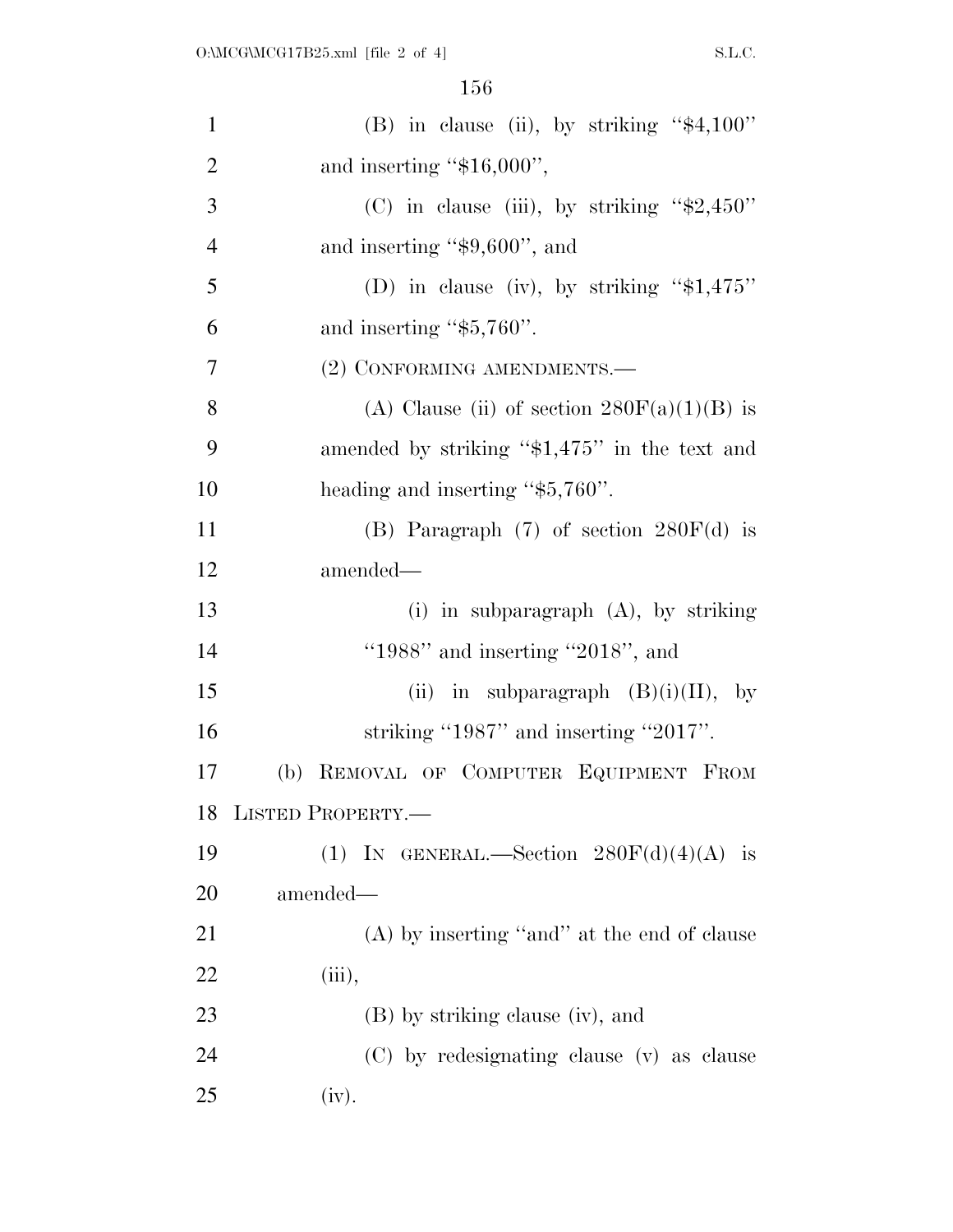| $\mathbf{1}$   | (B) in clause (ii), by striking " $$4,100"$ "  |
|----------------|------------------------------------------------|
| $\overline{2}$ | and inserting " $$16,000$ ",                   |
| 3              | (C) in clause (iii), by striking " $$2,450"$ " |
| $\overline{4}$ | and inserting " $$9,600"$ , and                |
| 5              | (D) in clause (iv), by striking " $$1,475"$    |
| 6              | and inserting " $$5,760$ ".                    |
| 7              | (2) CONFORMING AMENDMENTS.-                    |
| 8              | (A) Clause (ii) of section $280F(a)(1)(B)$ is  |
| 9              | amended by striking "\$1,475" in the text and  |
| 10             | heading and inserting "\$5,760".               |
| 11             | (B) Paragraph $(7)$ of section $280F(d)$ is    |
| 12             | amended—                                       |
| 13             | (i) in subparagraph $(A)$ , by striking        |
| 14             | "1988" and inserting "2018", and               |
| 15             | (ii) in subparagraph $(B)(i)(II)$ , by         |
| 16             | striking "1987" and inserting "2017".          |
| 17             | (b) REMOVAL OF COMPUTER EQUIPMENT FROM         |
| 18             | LISTED PROPERTY.                               |
| 19             | (1) IN GENERAL.—Section $280F(d)(4)(A)$ is     |
| 20             | amended—                                       |
| 21             | (A) by inserting "and" at the end of clause    |
| 22             | (iii),                                         |
| 23             | (B) by striking clause (iv), and               |
| 24             | (C) by redesignating clause (v) as clause      |
| 25             | (iv).                                          |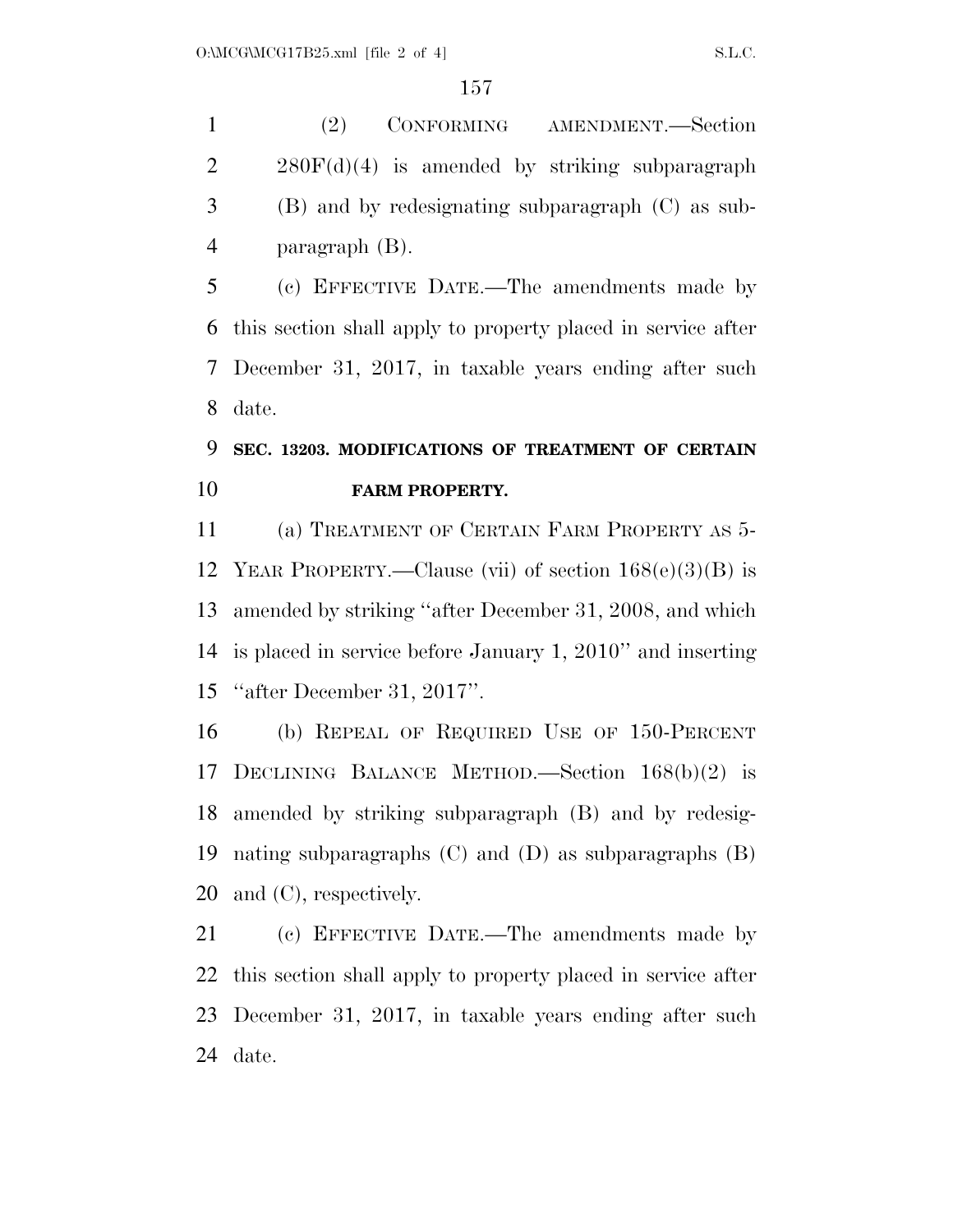(2) CONFORMING AMENDMENT.—Section  $2 \times 280F(d)(4)$  is amended by striking subparagraph (B) and by redesignating subparagraph (C) as sub-paragraph (B).

 (c) EFFECTIVE DATE.—The amendments made by this section shall apply to property placed in service after December 31, 2017, in taxable years ending after such date.

## **SEC. 13203. MODIFICATIONS OF TREATMENT OF CERTAIN FARM PROPERTY.**

 (a) TREATMENT OF CERTAIN FARM PROPERTY AS 5- YEAR PROPERTY.—Clause (vii) of section 168(e)(3)(B) is amended by striking ''after December 31, 2008, and which is placed in service before January 1, 2010'' and inserting ''after December 31, 2017''.

 (b) REPEAL OF REQUIRED USE OF 150-PERCENT DECLINING BALANCE METHOD.—Section 168(b)(2) is amended by striking subparagraph (B) and by redesig- nating subparagraphs (C) and (D) as subparagraphs (B) and (C), respectively.

 (c) EFFECTIVE DATE.—The amendments made by this section shall apply to property placed in service after December 31, 2017, in taxable years ending after such date.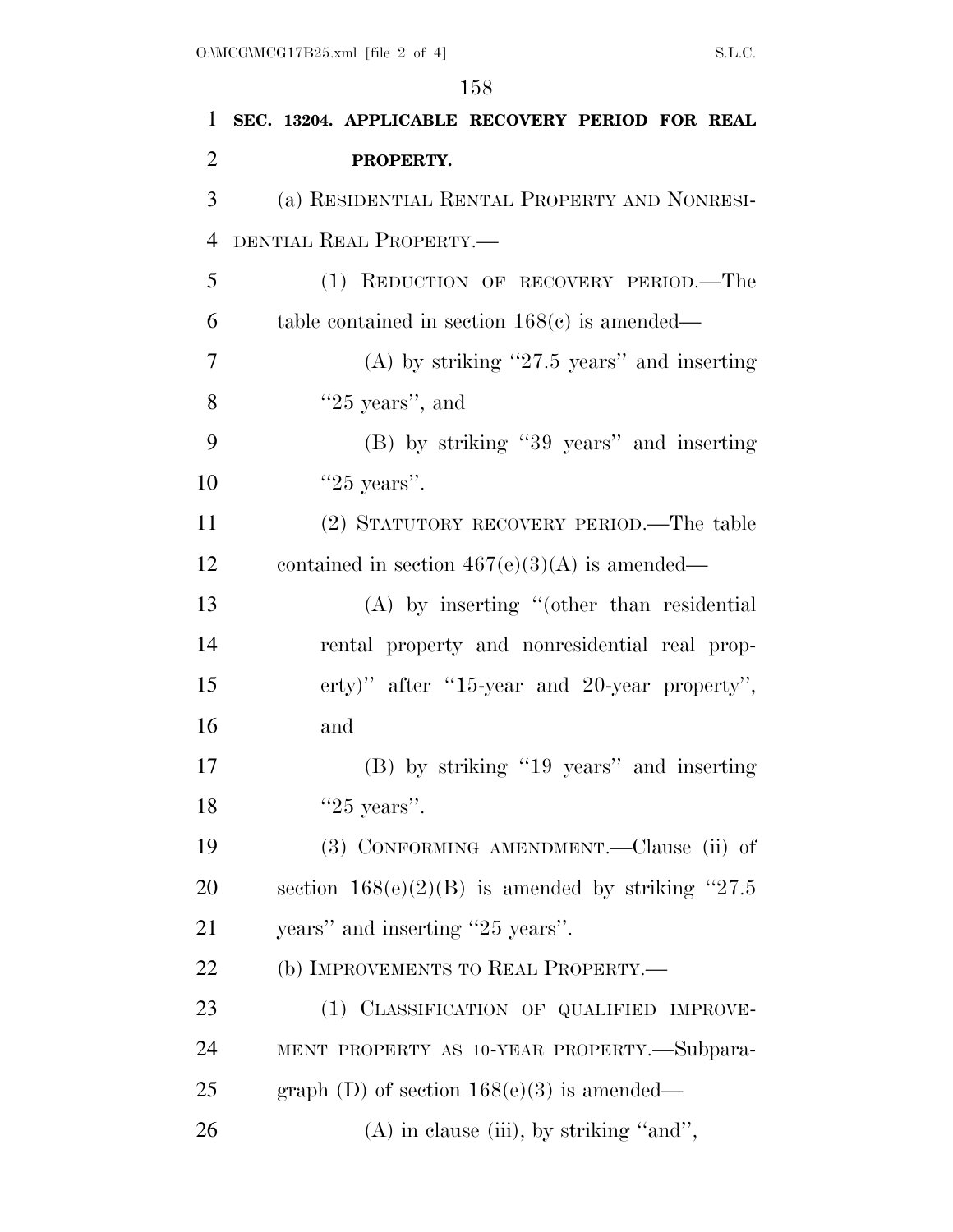| 1              | SEC. 13204. APPLICABLE RECOVERY PERIOD FOR REAL      |
|----------------|------------------------------------------------------|
| $\overline{2}$ | PROPERTY.                                            |
| 3              | (a) RESIDENTIAL RENTAL PROPERTY AND NONRESI-         |
| $\overline{4}$ | DENTIAL REAL PROPERTY.-                              |
| 5              | (1) REDUCTION OF RECOVERY PERIOD.—The                |
| 6              | table contained in section $168(c)$ is amended—      |
| 7              | (A) by striking "27.5 years" and inserting           |
| 8              | " $25$ years", and                                   |
| 9              | (B) by striking "39 years" and inserting             |
| 10             | " $25$ years".                                       |
| 11             | (2) STATUTORY RECOVERY PERIOD.—The table             |
| 12             | contained in section $467(e)(3)(A)$ is amended—      |
| 13             | $(A)$ by inserting "(other than residential          |
| 14             | rental property and nonresidential real prop-        |
| 15             | erty)" after "15-year and 20-year property",         |
| 16             | and                                                  |
| 17             | (B) by striking "19 years" and inserting             |
| 18             | " $25$ years".                                       |
| 19             | (3) CONFORMING AMENDMENT.—Clause (ii) of             |
| 20             | section $168(e)(2)(B)$ is amended by striking "27.5" |
| 21             | years" and inserting "25 years".                     |
| 22             | (b) IMPROVEMENTS TO REAL PROPERTY.-                  |
| 23             | (1) CLASSIFICATION OF QUALIFIED IMPROVE-             |
| 24             | MENT PROPERTY AS 10-YEAR PROPERTY.—Subpara-          |
| 25             | graph (D) of section $168(e)(3)$ is amended—         |
| 26             | $(A)$ in clause (iii), by striking "and",            |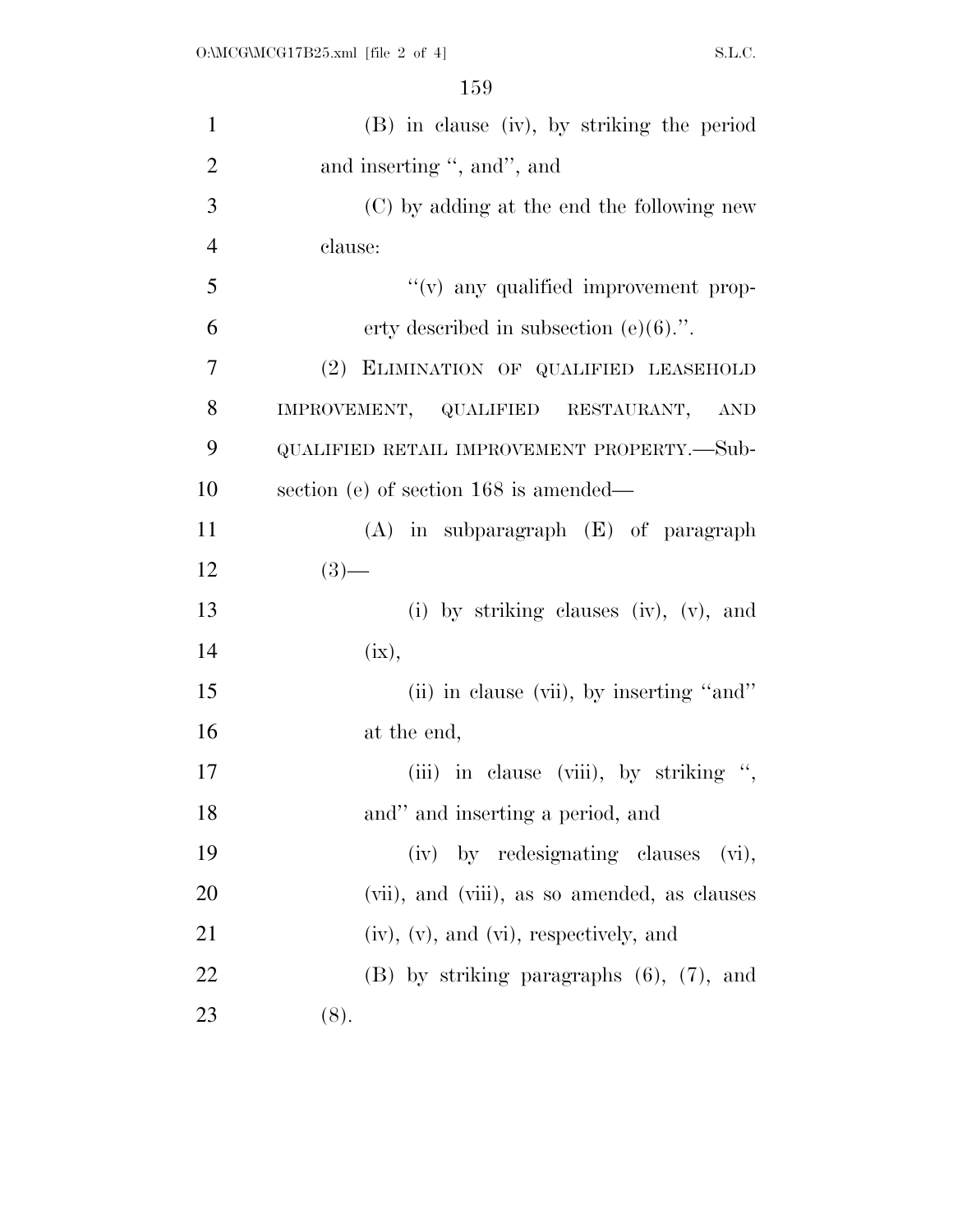| $\mathbf{1}$   | (B) in clause (iv), by striking the period       |
|----------------|--------------------------------------------------|
| $\overline{2}$ | and inserting ", and", and                       |
| 3              | (C) by adding at the end the following new       |
| $\overline{4}$ | clause:                                          |
| 5              | "(v) any qualified improvement prop-             |
| 6              | erty described in subsection $(e)(6)$ .".        |
| 7              | (2) ELIMINATION OF QUALIFIED LEASEHOLD           |
| 8              | IMPROVEMENT, QUALIFIED RESTAURANT, AND           |
| 9              | QUALIFIED RETAIL IMPROVEMENT PROPERTY.—Sub-      |
| 10             | section (e) of section 168 is amended—           |
| 11             | $(A)$ in subparagraph $(E)$ of paragraph         |
| 12             | $(3)$ —                                          |
| 13             | (i) by striking clauses (iv), (v), and           |
| 14             | (ix),                                            |
| 15             | (ii) in clause (vii), by inserting "and"         |
| 16             | at the end,                                      |
| 17             | (iii) in clause (viii), by striking ",           |
| 18             | and" and inserting a period, and                 |
| 19             | (iv) by redesignating clauses<br>(vi),           |
| 20             | (vii), and (viii), as so amended, as clauses     |
| 21             | $(iv)$ , $(v)$ , and $(vi)$ , respectively, and  |
| 22             | $(B)$ by striking paragraphs $(6)$ , $(7)$ , and |
| 23             | (8).                                             |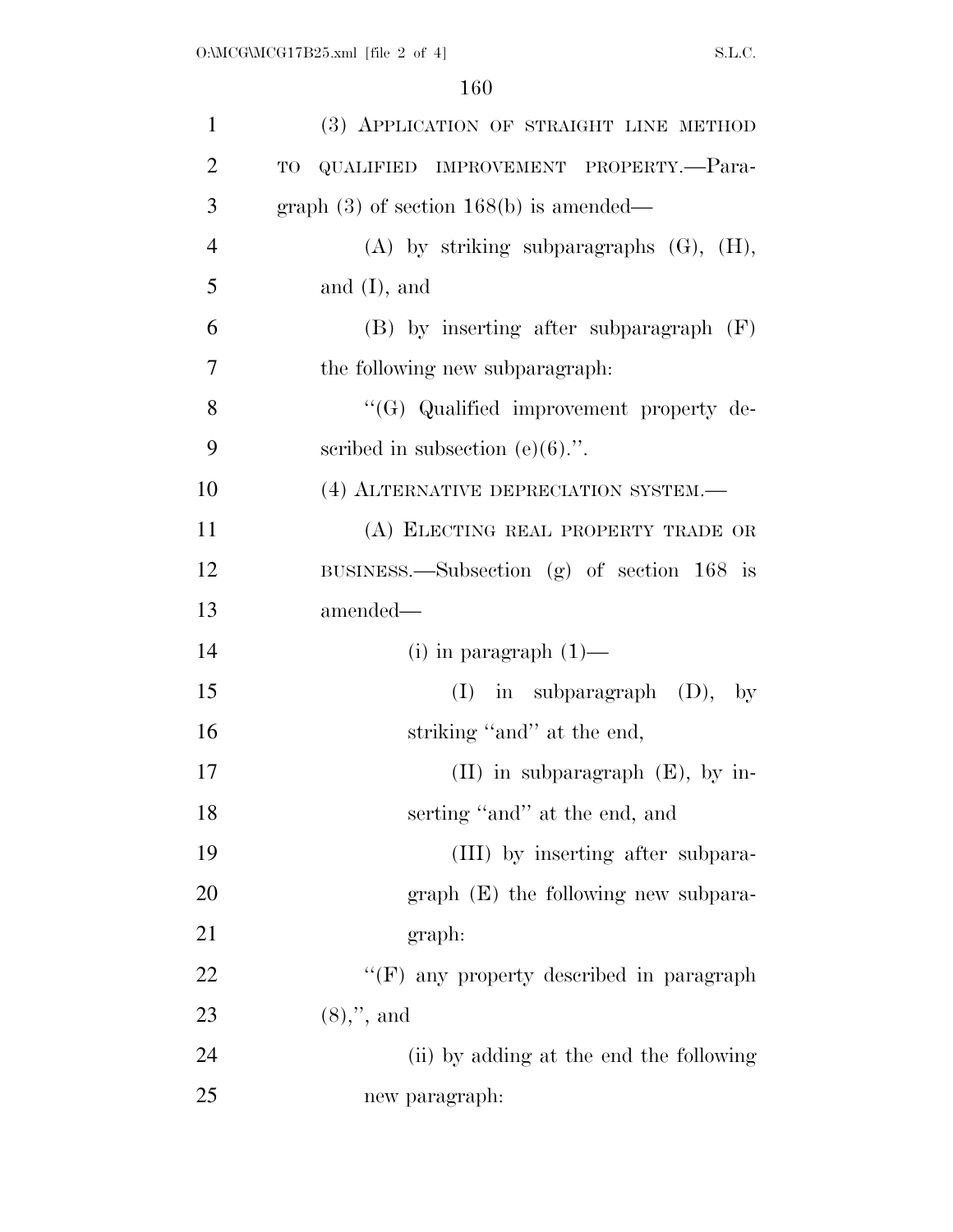| $\mathbf{1}$   | (3) APPLICATION OF STRAIGHT LINE METHOD         |
|----------------|-------------------------------------------------|
| $\overline{2}$ | QUALIFIED IMPROVEMENT PROPERTY.-Para-<br>TO     |
| 3              | graph $(3)$ of section 168(b) is amended—       |
| $\overline{4}$ | $(A)$ by striking subparagraphs $(G)$ , $(H)$ , |
| 5              | and $(I)$ , and                                 |
| 6              | $(B)$ by inserting after subparagraph $(F)$     |
| 7              | the following new subparagraph:                 |
| 8              | "(G) Qualified improvement property de-         |
| 9              | scribed in subsection $(e)(6)$ .".              |
| 10             | (4) ALTERNATIVE DEPRECIATION SYSTEM.            |
| 11             | (A) ELECTING REAL PROPERTY TRADE OR             |
| 12             | BUSINESS.—Subsection (g) of section $168$ is    |
|                |                                                 |
| 13             | amended—                                        |
| 14             | $(i)$ in paragraph $(1)$ —                      |
| 15             | $(I)$ in subparagraph $(D)$ , by                |
| 16             | striking "and" at the end,                      |
| 17             | $(II)$ in subparagraph $(E)$ , by in-           |
| 18             | serting "and" at the end, and                   |
| 19             | (III) by inserting after subpara-               |
| <b>20</b>      | $graph$ (E) the following new subpara-          |
| 21             | graph:                                          |
| 22             | "(F) any property described in paragraph        |
| 23             | $(8),$ ", and                                   |
| 24             | (ii) by adding at the end the following         |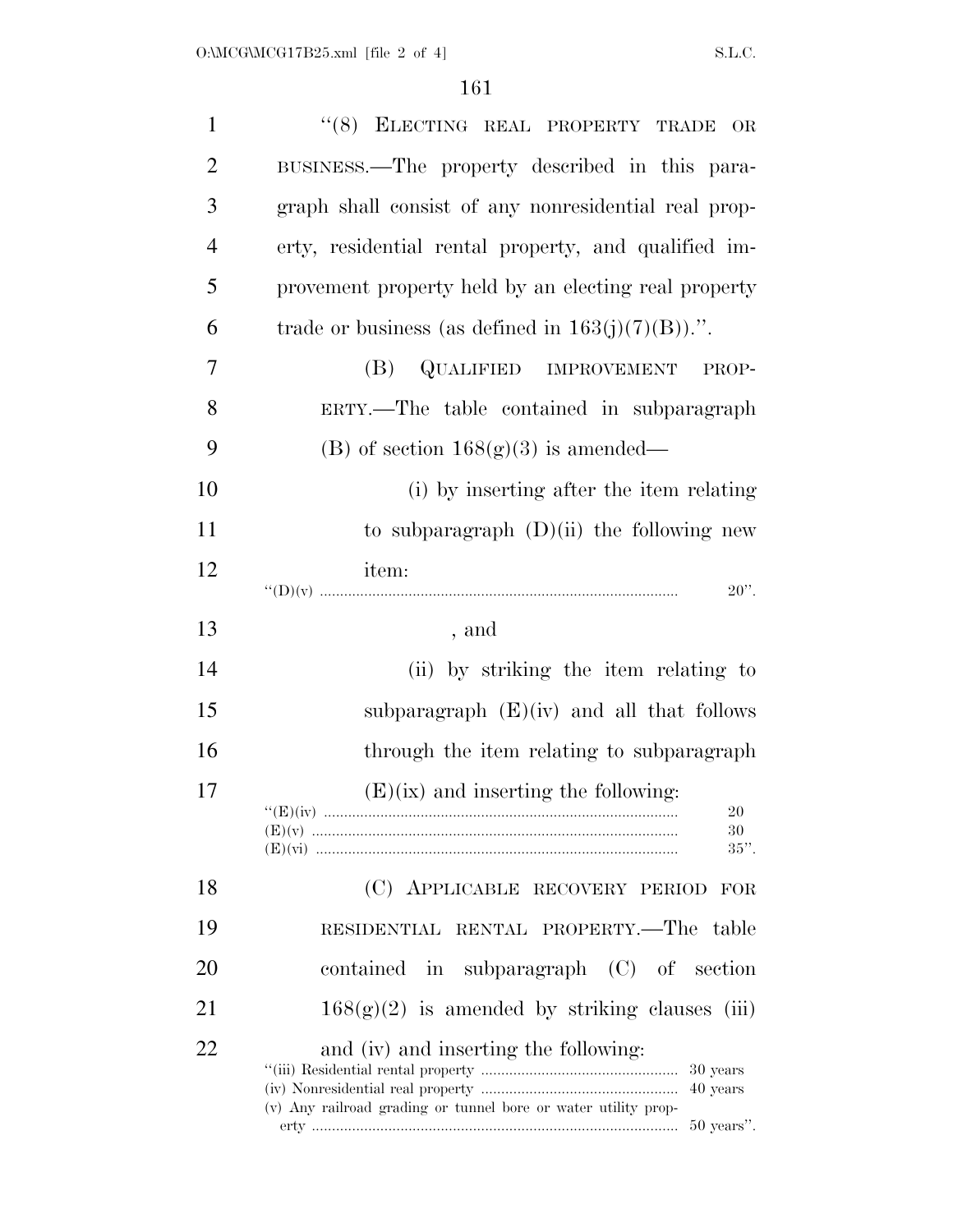| $\mathbf{1}$   | "(8) ELECTING REAL PROPERTY TRADE<br>OR                                                                                                         |
|----------------|-------------------------------------------------------------------------------------------------------------------------------------------------|
| $\overline{2}$ | BUSINESS.—The property described in this para-                                                                                                  |
| 3              | graph shall consist of any nonresidential real prop-                                                                                            |
| $\overline{4}$ | erty, residential rental property, and qualified im-                                                                                            |
| 5              | provement property held by an electing real property                                                                                            |
| 6              | trade or business (as defined in $163(j)(7)(B)$ ).".                                                                                            |
| 7              | QUALIFIED IMPROVEMENT<br>(B)<br>PROP-                                                                                                           |
| 8              | ERTY.—The table contained in subparagraph                                                                                                       |
| 9              | (B) of section $168(g)(3)$ is amended—                                                                                                          |
| 10             | (i) by inserting after the item relating                                                                                                        |
| 11             | to subparagraph $(D)(ii)$ the following new                                                                                                     |
| 12             | item:<br>$20$ ".                                                                                                                                |
| 13             | , and                                                                                                                                           |
| 14             | (ii) by striking the item relating to                                                                                                           |
| 15             | subparagraph $(E)(iv)$ and all that follows                                                                                                     |
| 16             | through the item relating to subparagraph                                                                                                       |
| 17             | $(E)(ix)$ and inserting the following:<br>20<br>30<br>$35$ ".                                                                                   |
| 18             | (C) APPLICABLE RECOVERY PERIOD<br>FOR                                                                                                           |
| 19             | RESIDENTIAL RENTAL PROPERTY.-The table                                                                                                          |
| 20             | contained in subparagraph $(C)$ of section                                                                                                      |
| 21             | $168(g)(2)$ is amended by striking clauses (iii)                                                                                                |
| 22             | and (iv) and inserting the following:<br>30 years<br>40 years<br>(v) Any railroad grading or tunnel bore or water utility prop-<br>$50$ years". |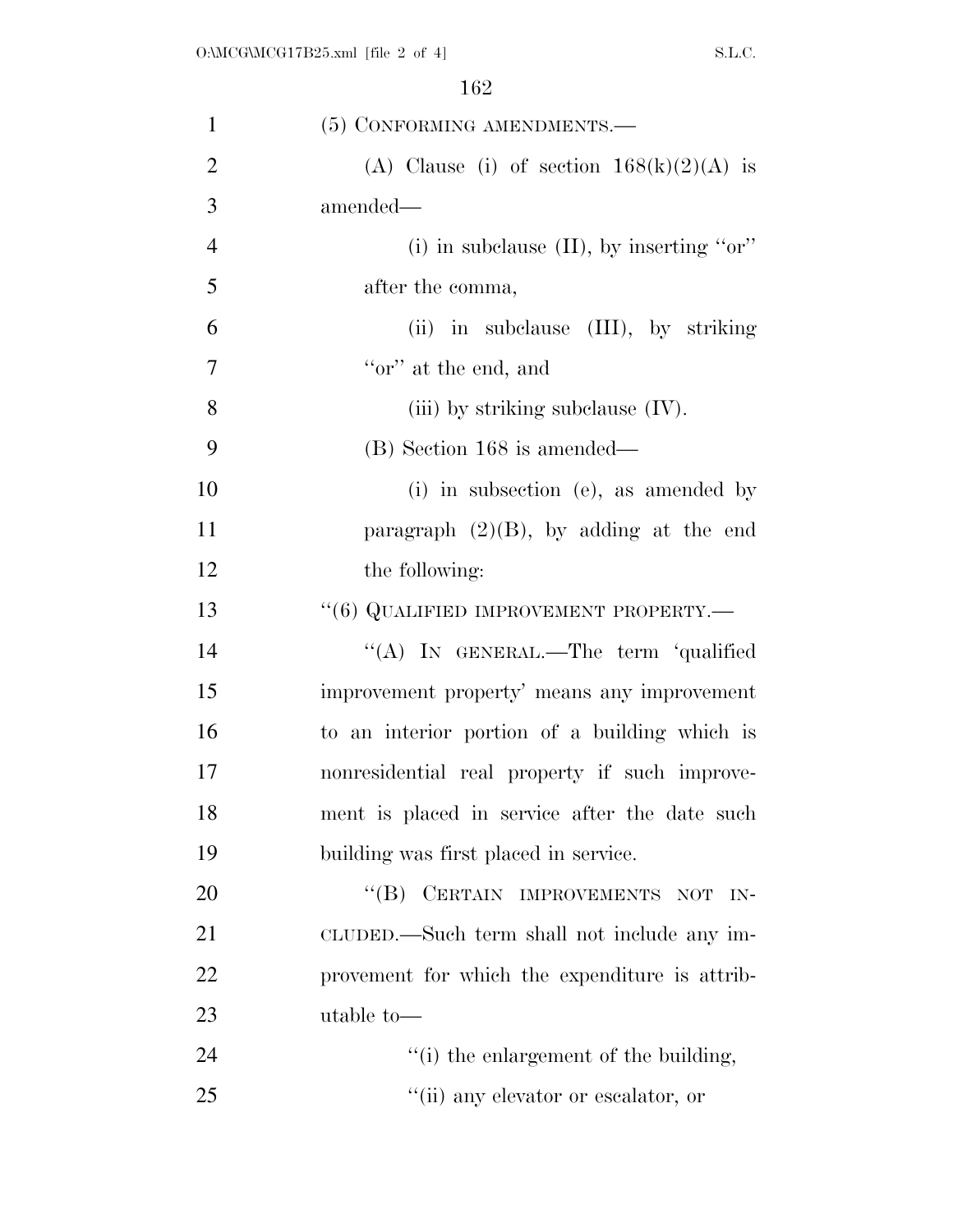| $\mathbf{1}$   | (5) CONFORMING AMENDMENTS.-                    |
|----------------|------------------------------------------------|
| $\overline{2}$ | (A) Clause (i) of section $168(k)(2)(A)$ is    |
| 3              | amended—                                       |
| $\overline{4}$ | (i) in subclause $(II)$ , by inserting "or"    |
| 5              | after the comma,                               |
| 6              | (ii) in subclause (III), by striking           |
| $\overline{7}$ | "or" at the end, and                           |
| 8              | (iii) by striking subclause $(IV)$ .           |
| 9              | (B) Section 168 is amended—                    |
| 10             | (i) in subsection (e), as amended by           |
| 11             | paragraph $(2)(B)$ , by adding at the end      |
| 12             | the following:                                 |
| 13             | $``(6)$ QUALIFIED IMPROVEMENT PROPERTY.—       |
| 14             | "(A) IN GENERAL.—The term 'qualified           |
| 15             | improvement property' means any improvement    |
| 16             | to an interior portion of a building which is  |
| 17             | nonresidential real property if such improve-  |
| 18             | ment is placed in service after the date such  |
| 19             | building was first placed in service.          |
| 20             | "(B) CERTAIN IMPROVEMENTS NOT<br>$IN-$         |
| 21             | CLUDED.—Such term shall not include any im-    |
| 22             | provement for which the expenditure is attrib- |
| 23             | utable to-                                     |
| 24             | "(i) the enlargement of the building,          |
| 25             | "(ii) any elevator or escalator, or            |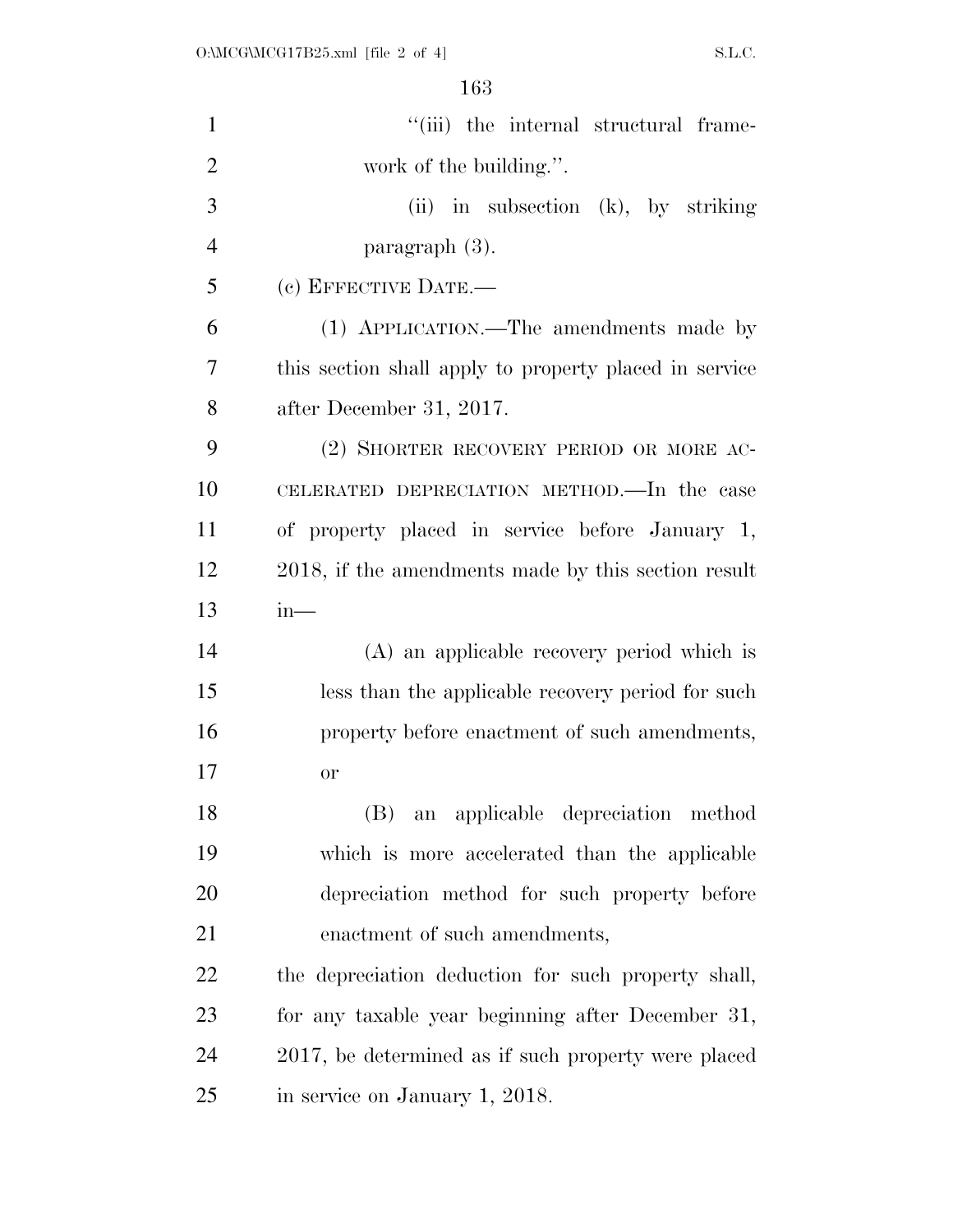| $\mathbf{1}$   | "(iii) the internal structural frame-                  |
|----------------|--------------------------------------------------------|
| $\overline{2}$ | work of the building.".                                |
| 3              | $(ii)$ in subsection $(k)$ , by striking               |
| $\overline{4}$ | paragraph $(3)$ .                                      |
| 5              | (c) EFFECTIVE DATE.-                                   |
| 6              | (1) APPLICATION.—The amendments made by                |
| 7              | this section shall apply to property placed in service |
| 8              | after December 31, 2017.                               |
| 9              | (2) SHORTER RECOVERY PERIOD OR MORE AC-                |
| 10             | CELERATED DEPRECIATION METHOD.—In the case             |
| 11             | of property placed in service before January 1,        |
| 12             | 2018, if the amendments made by this section result    |
| 13             | in—                                                    |
| 14             | (A) an applicable recovery period which is             |
| 15             | less than the applicable recovery period for such      |
| 16             | property before enactment of such amendments,          |
| 17             | or                                                     |
| 18             | an applicable depreciation method<br>(B)               |
| 19             | which is more accelerated than the applicable          |
| 20             | depreciation method for such property before           |
| 21             | enactment of such amendments,                          |
| 22             | the depreciation deduction for such property shall,    |
| 23             | for any taxable year beginning after December 31,      |
| 24             | 2017, be determined as if such property were placed    |
| 25             | in service on January 1, 2018.                         |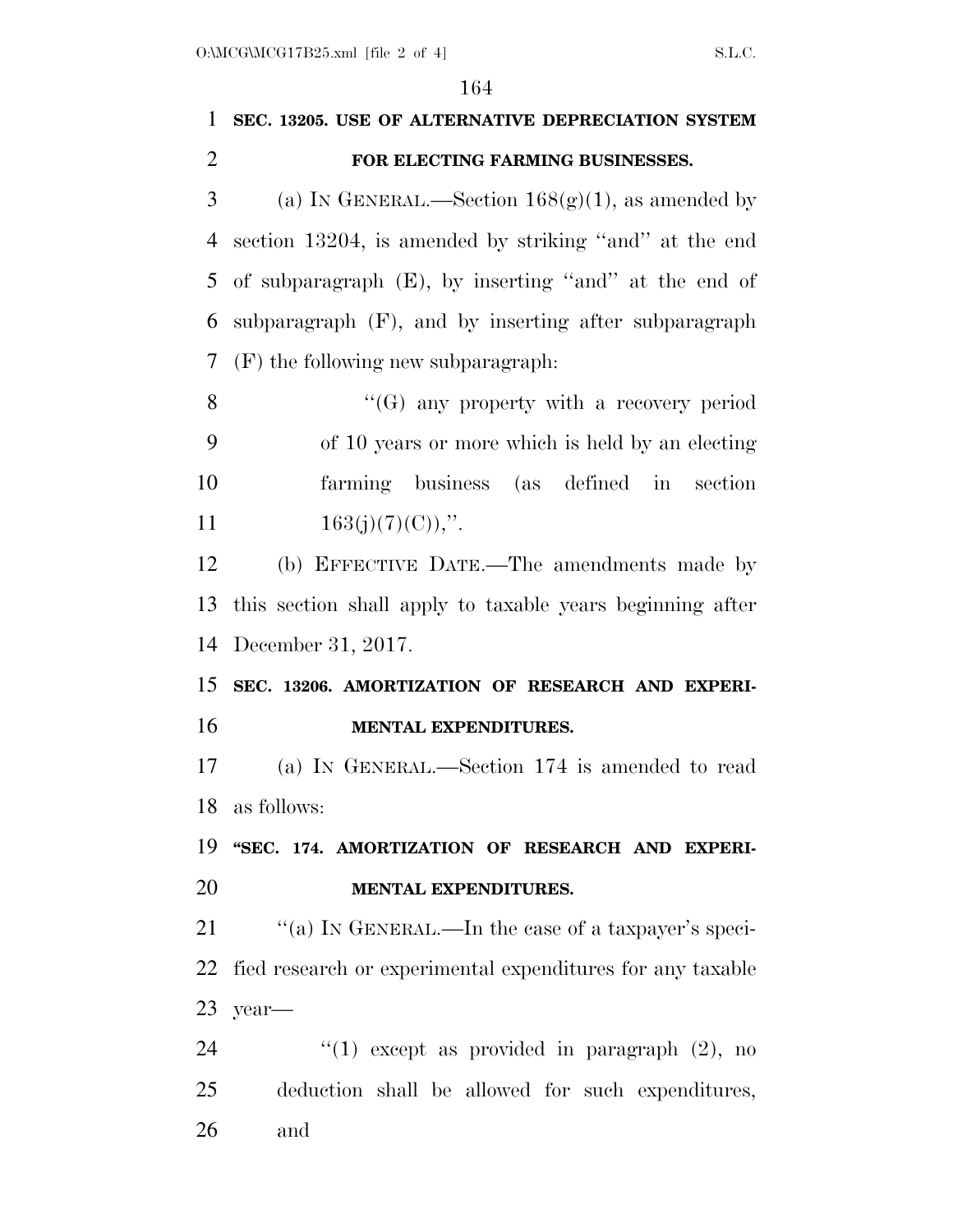## **SEC. 13205. USE OF ALTERNATIVE DEPRECIATION SYSTEM FOR ELECTING FARMING BUSINESSES.**

3 (a) IN GENERAL.—Section  $168(g)(1)$ , as amended by section 13204, is amended by striking ''and'' at the end of subparagraph (E), by inserting ''and'' at the end of subparagraph (F), and by inserting after subparagraph (F) the following new subparagraph:

8 "(G) any property with a recovery period of 10 years or more which is held by an electing farming business (as defined in section  $163(j)(7)(C)$ ,".

 (b) EFFECTIVE DATE.—The amendments made by this section shall apply to taxable years beginning after December 31, 2017.

 **SEC. 13206. AMORTIZATION OF RESEARCH AND EXPERI-MENTAL EXPENDITURES.** 

 (a) IN GENERAL.—Section 174 is amended to read as follows:

 **''SEC. 174. AMORTIZATION OF RESEARCH AND EXPERI-MENTAL EXPENDITURES.** 

21 "(a) IN GENERAL.—In the case of a taxpayer's speci- fied research or experimental expenditures for any taxable year—

24  $(1)$  except as provided in paragraph  $(2)$ , no deduction shall be allowed for such expenditures, and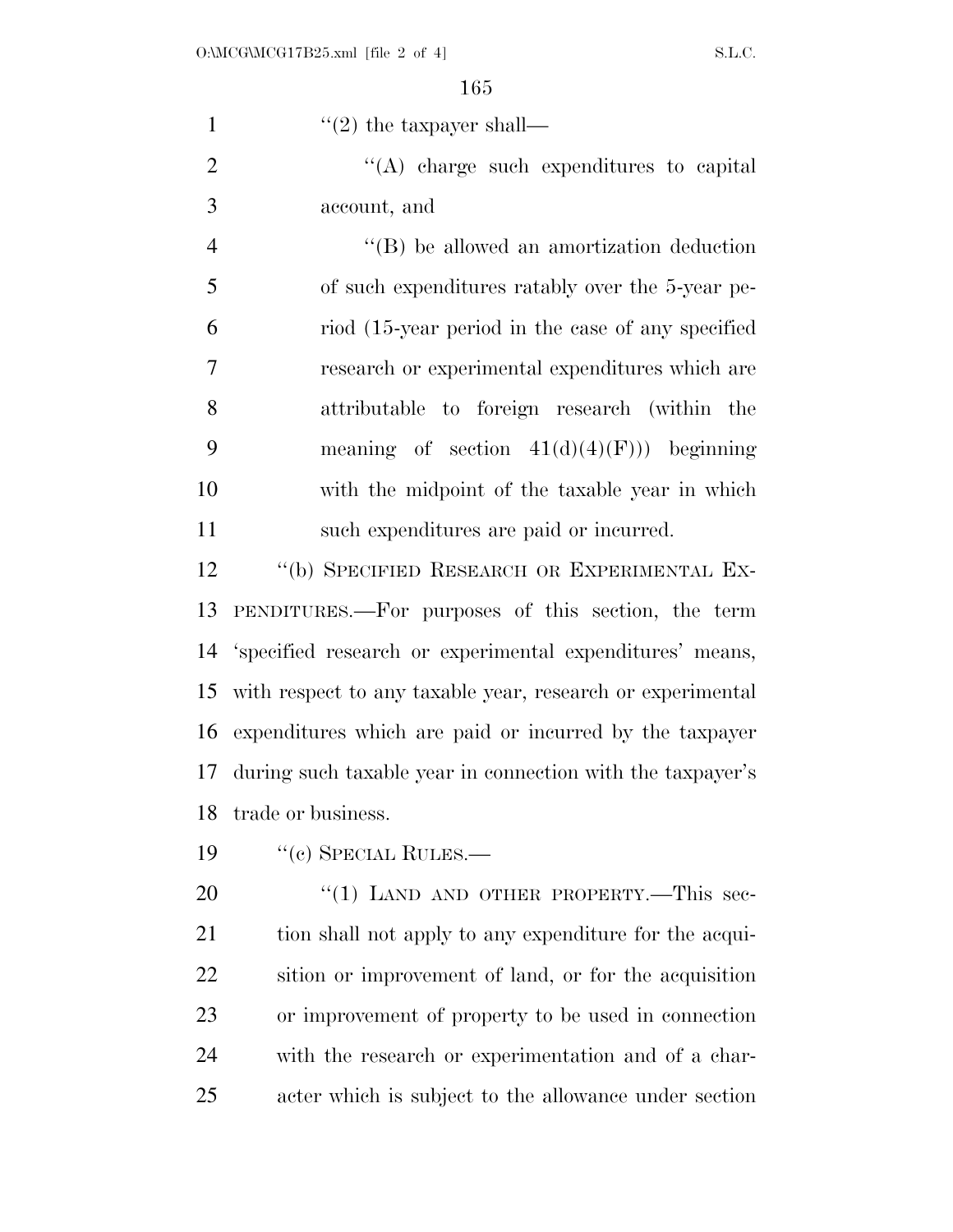1  $"(2)$  the taxpayer shall—

2  $\langle (A) \rangle$  charge such expenditures to capital account, and

4 ''(B) be allowed an amortization deduction of such expenditures ratably over the 5-year pe- riod (15-year period in the case of any specified research or experimental expenditures which are attributable to foreign research (within the 9 meaning of section  $41(d)(4)(F))$  beginning with the midpoint of the taxable year in which such expenditures are paid or incurred.

 ''(b) SPECIFIED RESEARCH OR EXPERIMENTAL EX- PENDITURES.—For purposes of this section, the term 'specified research or experimental expenditures' means, with respect to any taxable year, research or experimental expenditures which are paid or incurred by the taxpayer during such taxable year in connection with the taxpayer's trade or business.

19 "(c) SPECIAL RULES.—

20 "(1) LAND AND OTHER PROPERTY.—This sec-21 tion shall not apply to any expenditure for the acqui- sition or improvement of land, or for the acquisition or improvement of property to be used in connection with the research or experimentation and of a char-acter which is subject to the allowance under section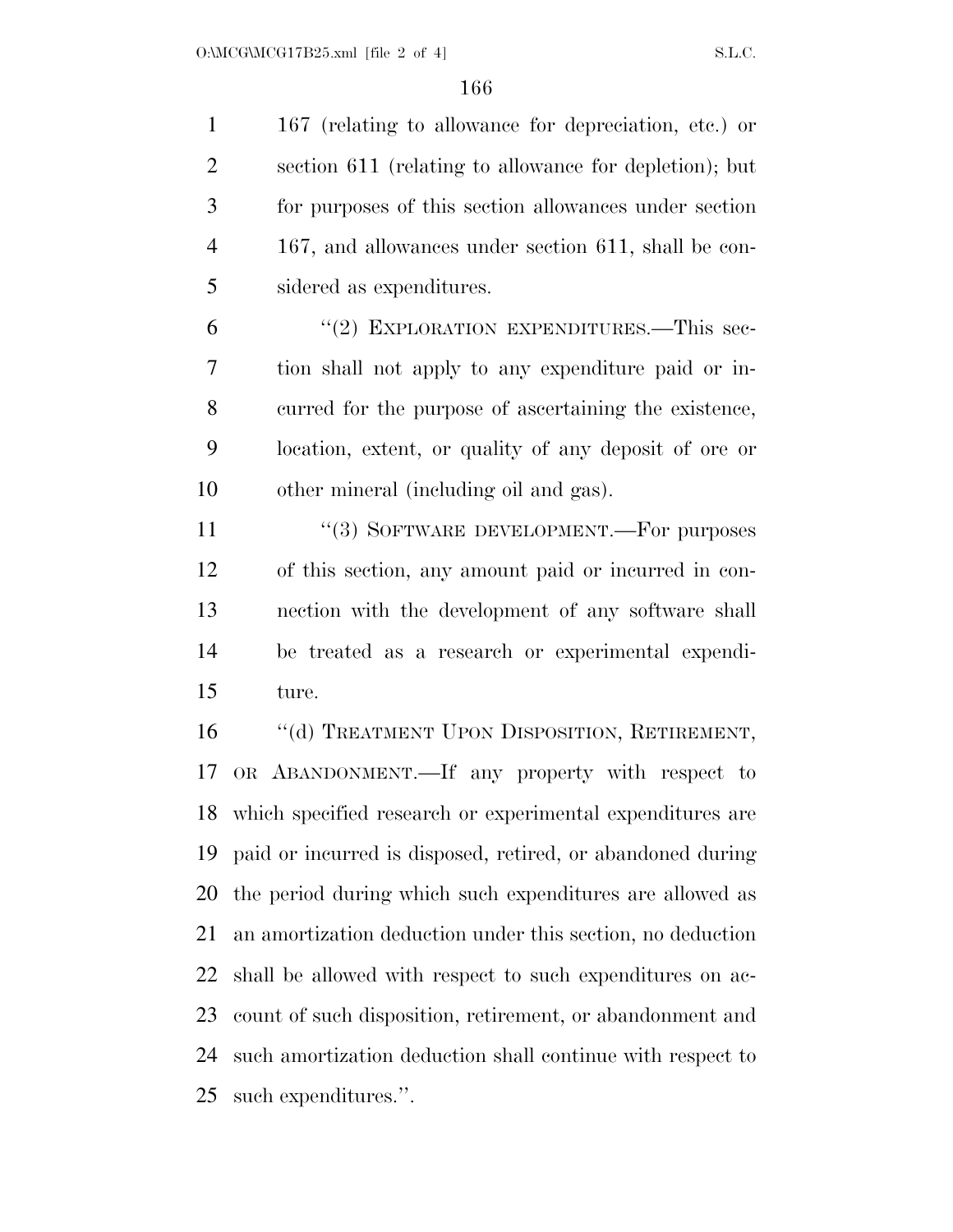167 (relating to allowance for depreciation, etc.) or section 611 (relating to allowance for depletion); but for purposes of this section allowances under section 167, and allowances under section 611, shall be con-sidered as expenditures.

6 "(2) EXPLORATION EXPENDITURES.—This sec- tion shall not apply to any expenditure paid or in- curred for the purpose of ascertaining the existence, location, extent, or quality of any deposit of ore or other mineral (including oil and gas).

11 "(3) SOFTWARE DEVELOPMENT.—For purposes of this section, any amount paid or incurred in con- nection with the development of any software shall be treated as a research or experimental expendi-ture.

16 "(d) TREATMENT UPON DISPOSITION, RETIREMENT, OR ABANDONMENT.—If any property with respect to which specified research or experimental expenditures are paid or incurred is disposed, retired, or abandoned during the period during which such expenditures are allowed as an amortization deduction under this section, no deduction shall be allowed with respect to such expenditures on ac- count of such disposition, retirement, or abandonment and such amortization deduction shall continue with respect to such expenditures.''.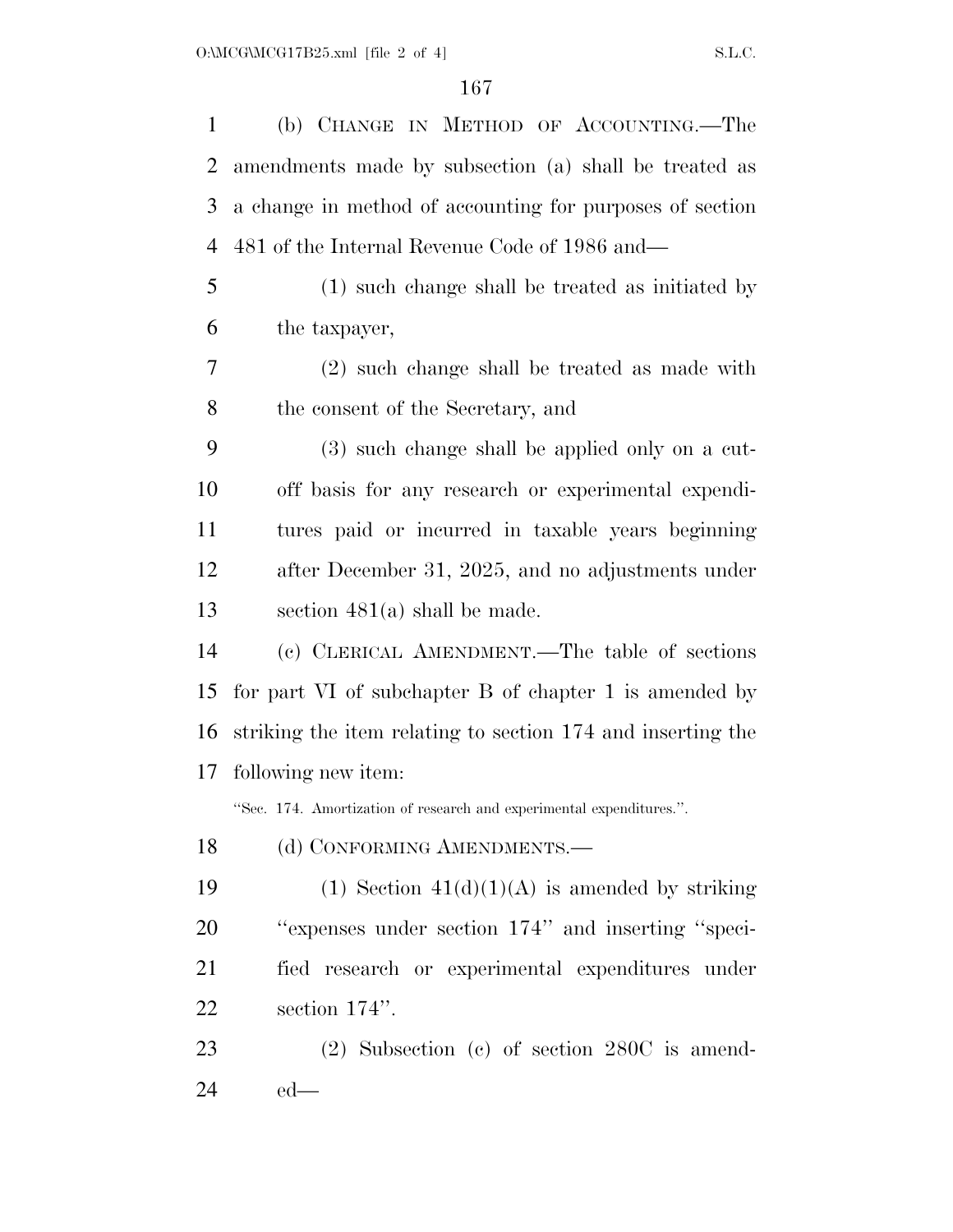(b) CHANGE IN METHOD OF ACCOUNTING.—The amendments made by subsection (a) shall be treated as a change in method of accounting for purposes of section 481 of the Internal Revenue Code of 1986 and— (1) such change shall be treated as initiated by the taxpayer, (2) such change shall be treated as made with the consent of the Secretary, and (3) such change shall be applied only on a cut- off basis for any research or experimental expendi- tures paid or incurred in taxable years beginning after December 31, 2025, and no adjustments under section 481(a) shall be made. (c) CLERICAL AMENDMENT.—The table of sections for part VI of subchapter B of chapter 1 is amended by striking the item relating to section 174 and inserting the following new item: ''Sec. 174. Amortization of research and experimental expenditures.''. 18 (d) CONFORMING AMENDMENTS.— 19 (1) Section  $41(d)(1)(A)$  is amended by striking ''expenses under section 174'' and inserting ''speci- fied research or experimental expenditures under section 174''. (2) Subsection (c) of section 280C is amend-

ed—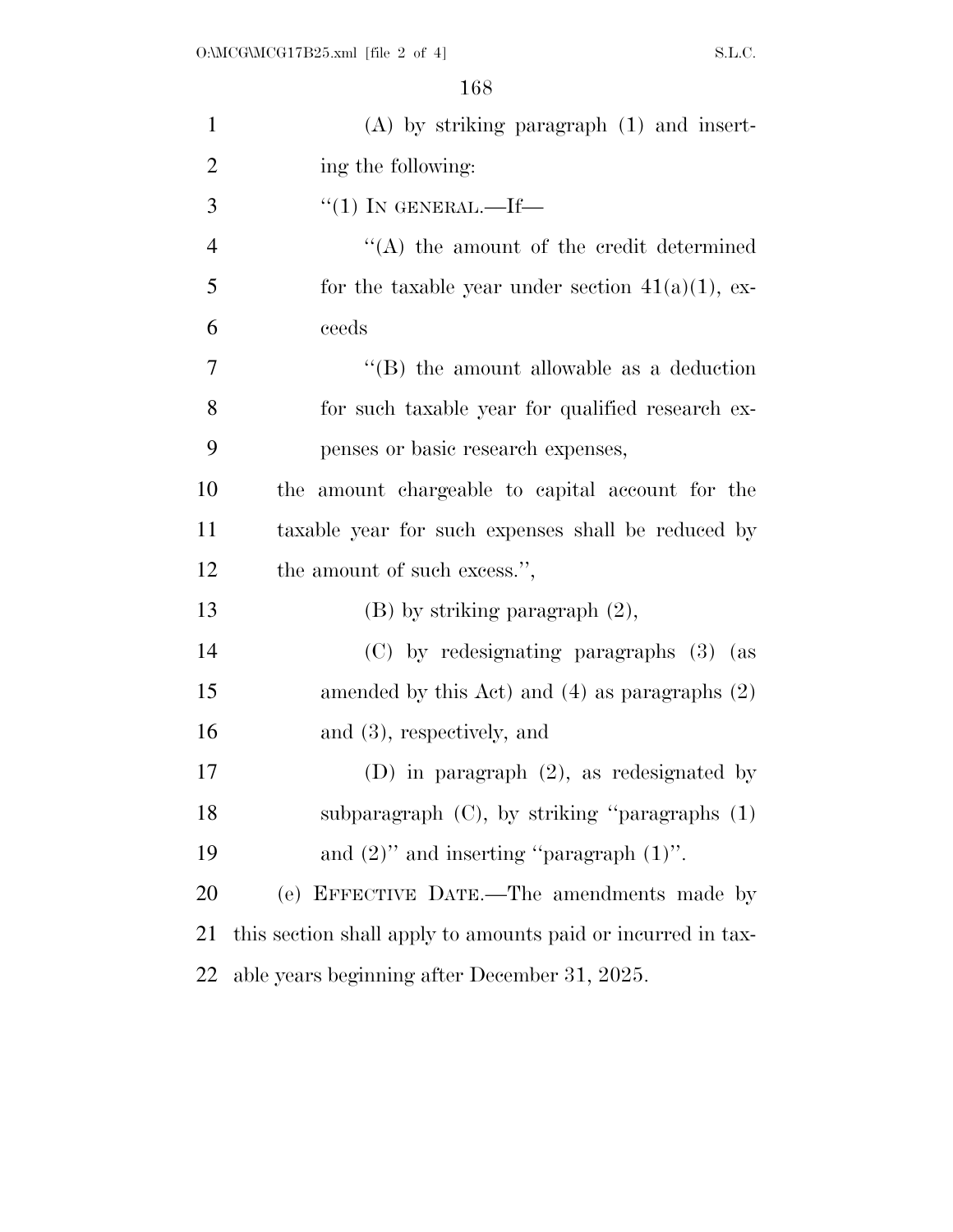| $\mathbf{1}$   | $(A)$ by striking paragraph $(1)$ and insert-                |
|----------------|--------------------------------------------------------------|
| $\overline{2}$ | ing the following:                                           |
| 3              | $``(1)$ IN GENERAL.—If—                                      |
| $\overline{4}$ | $\lq\lq$ the amount of the credit determined                 |
| 5              | for the taxable year under section $41(a)(1)$ , ex-          |
| 6              | ceeds                                                        |
| 7              | $\lq\lq$ (B) the amount allowable as a deduction             |
| 8              | for such taxable year for qualified research ex-             |
| 9              | penses or basic research expenses,                           |
| 10             | the amount chargeable to capital account for the             |
| 11             | taxable year for such expenses shall be reduced by           |
| 12             | the amount of such excess.",                                 |
| 13             | $(B)$ by striking paragraph $(2)$ ,                          |
| 14             | (C) by redesignating paragraphs (3) (as                      |
| 15             | amended by this Act) and $(4)$ as paragraphs $(2)$           |
| 16             | and $(3)$ , respectively, and                                |
| $17\,$         | (D) in paragraph $(2)$ , as redesignated by                  |
| 18             | subparagraph $(C)$ , by striking "paragraphs $(1)$           |
| 19             | and $(2)$ " and inserting "paragraph $(1)$ ".                |
| 20             | (e) EFFECTIVE DATE.—The amendments made by                   |
| 21             | this section shall apply to amounts paid or incurred in tax- |
| 22             | able years beginning after December 31, 2025.                |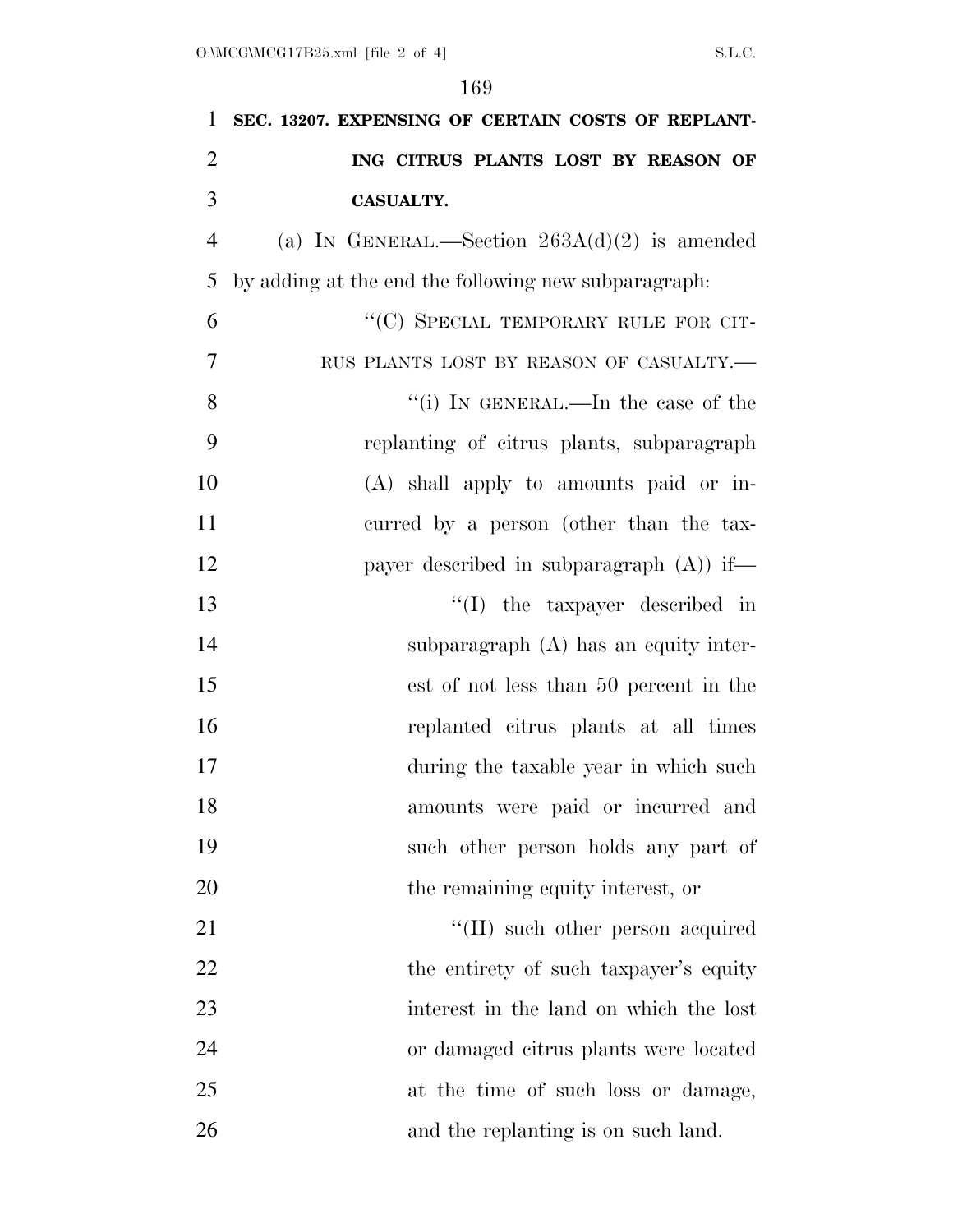| 1              | SEC. 13207. EXPENSING OF CERTAIN COSTS OF REPLANT-   |
|----------------|------------------------------------------------------|
| $\overline{2}$ | ING CITRUS PLANTS LOST BY REASON OF                  |
| 3              | <b>CASUALTY.</b>                                     |
| $\overline{4}$ | (a) IN GENERAL.—Section $263A(d)(2)$ is amended      |
| 5              | by adding at the end the following new subparagraph. |
| 6              | "(C) SPECIAL TEMPORARY RULE FOR CIT-                 |
| 7              | RUS PLANTS LOST BY REASON OF CASUALTY.-              |
| 8              | "(i) IN GENERAL.—In the case of the                  |
| 9              | replanting of citrus plants, subparagraph            |
| 10             | $(A)$ shall apply to amounts paid or in-             |
| 11             | curred by a person (other than the tax-              |
| 12             | payer described in subparagraph $(A)$ if—            |
| 13             | $\lq\lq$ the taxpayer described in                   |
| 14             | subparagraph (A) has an equity inter-                |
| 15             | est of not less than 50 percent in the               |
| 16             | replanted citrus plants at all times                 |
| 17             | during the taxable year in which such                |
| 18             | amounts were paid or incurred and                    |
| 19             | such other person holds any part of                  |
| 20             | the remaining equity interest, or                    |
| 21             | "(II) such other person acquired                     |
| 22             | the entirety of such taxpayer's equity               |
| 23             | interest in the land on which the lost               |
| 24             | or damaged citrus plants were located                |
| 25             | at the time of such loss or damage,                  |
| 26             | and the replanting is on such land.                  |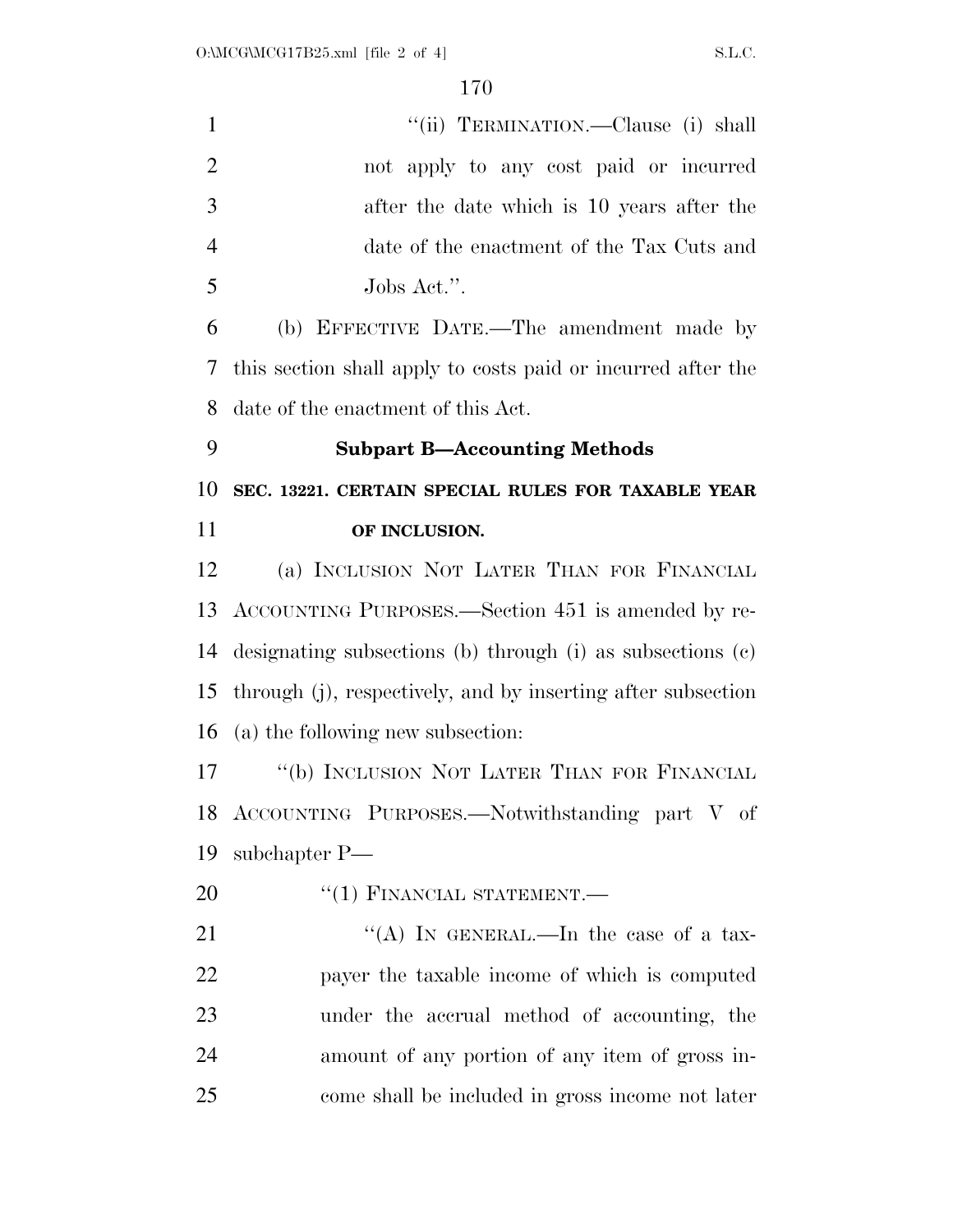| $\mathbf{1}$   | "(ii) TERMINATION.—Clause (i) shall                          |
|----------------|--------------------------------------------------------------|
| $\overline{2}$ | not apply to any cost paid or incurred                       |
| 3              | after the date which is 10 years after the                   |
| $\overline{4}$ | date of the enactment of the Tax Cuts and                    |
| 5              | Jobs Act.".                                                  |
| 6              | (b) EFFECTIVE DATE.—The amendment made by                    |
| 7              | this section shall apply to costs paid or incurred after the |
| 8              | date of the enactment of this Act.                           |
| 9              | <b>Subpart B-Accounting Methods</b>                          |
| 10             | SEC. 13221. CERTAIN SPECIAL RULES FOR TAXABLE YEAR           |
| 11             | OF INCLUSION.                                                |
| 12             | (a) INCLUSION NOT LATER THAN FOR FINANCIAL                   |
| 13             | ACCOUNTING PURPOSES.—Section 451 is amended by re-           |
| 14             | designating subsections (b) through (i) as subsections (c)   |
| 15             | through (j), respectively, and by inserting after subsection |
| 16             | (a) the following new subsection:                            |
| 17             | "(b) INCLUSION NOT LATER THAN FOR FINANCIAL                  |
|                | 18 ACCOUNTING PURPOSES.—Notwithstanding part V of            |
| 19             | subchapter P—                                                |
| 20             | $``(1)$ FINANCIAL STATEMENT.—                                |
| 21             | "(A) IN GENERAL.—In the case of a tax-                       |
| 22             | payer the taxable income of which is computed                |
| 23             | under the accrual method of accounting, the                  |
| 24             | amount of any portion of any item of gross in-               |
| 25             | come shall be included in gross income not later             |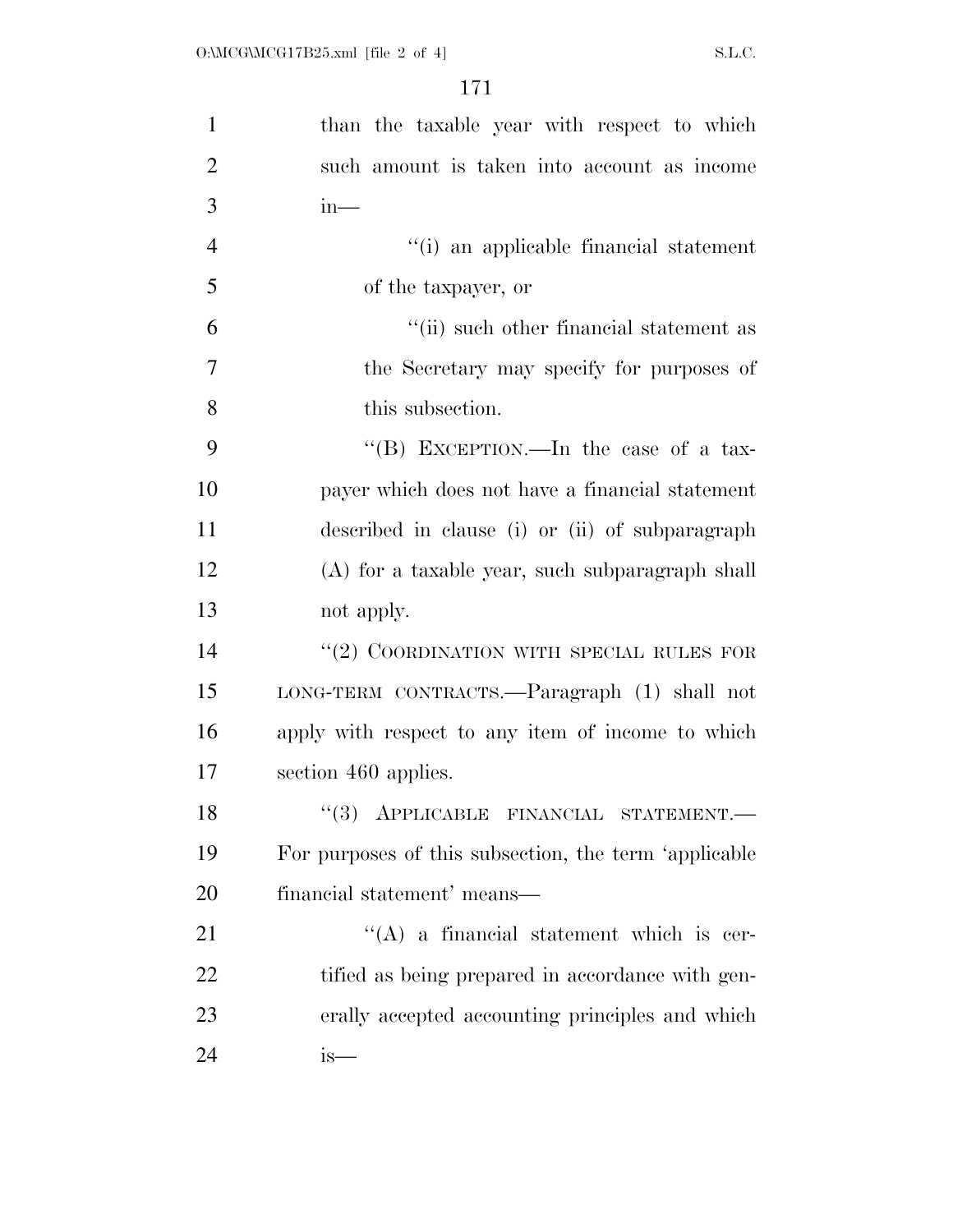| $\mathbf{1}$   | than the taxable year with respect to which                                               |
|----------------|-------------------------------------------------------------------------------------------|
| $\overline{2}$ | such amount is taken into account as income                                               |
| 3              | $in-$                                                                                     |
| $\overline{4}$ | "(i) an applicable financial statement                                                    |
| 5              | of the taxpayer, or                                                                       |
| 6              | "(ii) such other financial statement as                                                   |
| $\overline{7}$ | the Secretary may specify for purposes of                                                 |
| 8              | this subsection.                                                                          |
| 9              | "(B) EXCEPTION.—In the case of a tax-                                                     |
| 10             | payer which does not have a financial statement                                           |
| 11             | described in clause (i) or (ii) of subparagraph                                           |
| 12             | (A) for a taxable year, such subparagraph shall                                           |
| 13             | not apply.                                                                                |
| 14             | "(2) COORDINATION WITH SPECIAL RULES FOR                                                  |
| 15             | LONG-TERM CONTRACTS.—Paragraph (1) shall not                                              |
| 16             | apply with respect to any item of income to which                                         |
| 17             | section 460 applies.                                                                      |
| 18             | $\lq(3) \quad \text{APPLICABLE} \quad \text{FINANCIAL} \quad \text{STATEMENT}.\text{---}$ |
| 19             | For purposes of this subsection, the term 'applicable                                     |
| 20             | financial statement' means—                                                               |
| 21             | $\lq\lq$ a financial statement which is cer-                                              |
| 22             | tified as being prepared in accordance with gen-                                          |
| 23             | erally accepted accounting principles and which                                           |
| 24             | is—                                                                                       |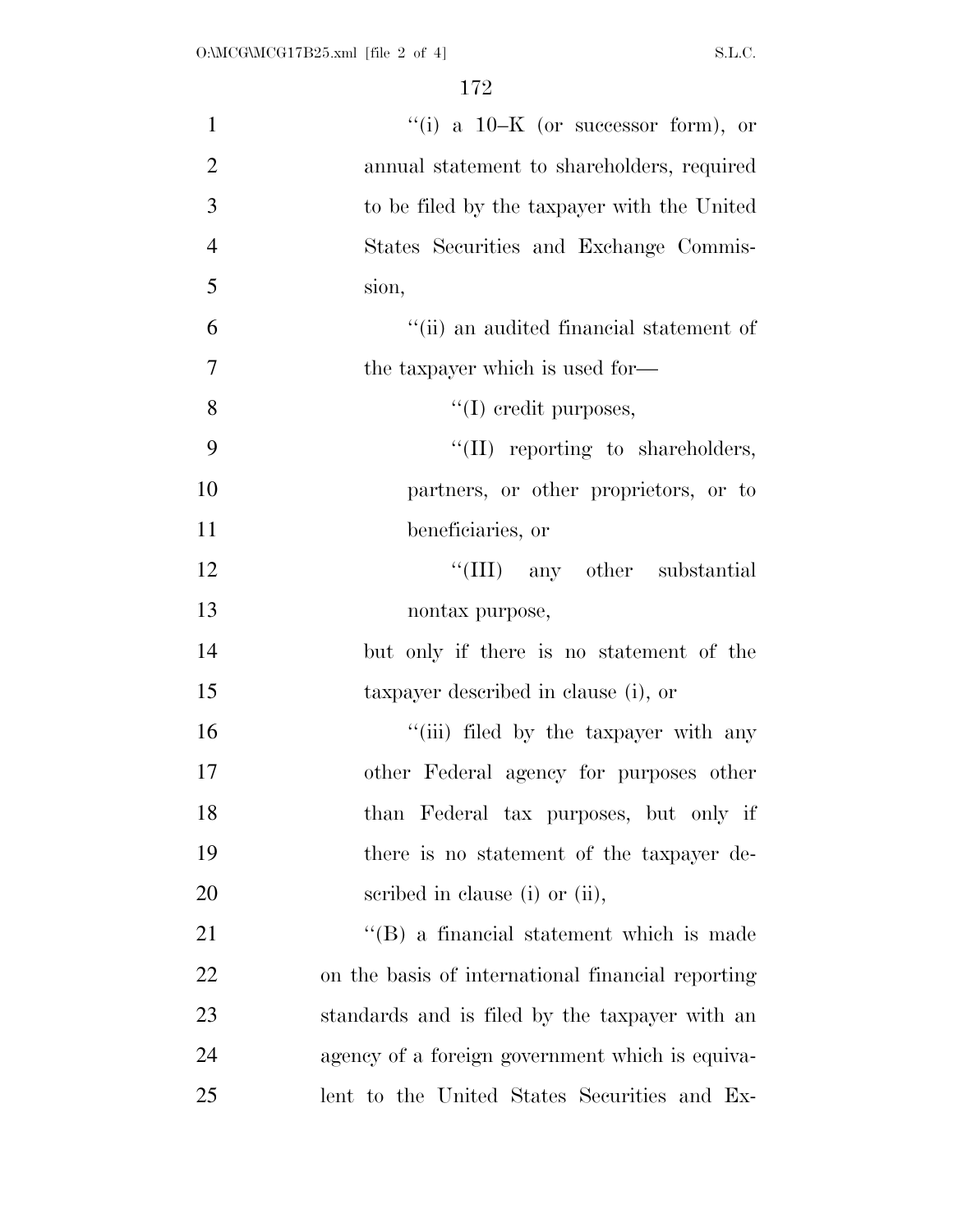| $\mathbf{1}$   | "(i) a $10-K$ (or successor form), or             |
|----------------|---------------------------------------------------|
| $\overline{2}$ | annual statement to shareholders, required        |
| 3              | to be filed by the taxpayer with the United       |
| $\overline{4}$ | States Securities and Exchange Commis-            |
| 5              | sion,                                             |
| 6              | "(ii) an audited financial statement of           |
| $\overline{7}$ | the taxpayer which is used for-                   |
| 8              | $\lq\lq$ (I) credit purposes,                     |
| 9              | $\lq\lq$ (II) reporting to shareholders,          |
| 10             | partners, or other proprietors, or to             |
| 11             | beneficiaries, or                                 |
| 12             | "(III) any other substantial                      |
| 13             | nontax purpose,                                   |
| 14             | but only if there is no statement of the          |
| 15             | taxpayer described in clause (i), or              |
| 16             | "(iii) filed by the taxpayer with any             |
| 17             | other Federal agency for purposes other           |
| 18             | than Federal tax purposes, but only if            |
| 19             | there is no statement of the taxpayer de-         |
| 20             | scribed in clause (i) or (ii),                    |
| 21             | $\lq\lq$ (B) a financial statement which is made  |
| 22             | on the basis of international financial reporting |
| 23             | standards and is filed by the taxpayer with an    |
| 24             | agency of a foreign government which is equiva-   |
| 25             | lent to the United States Securities and Ex-      |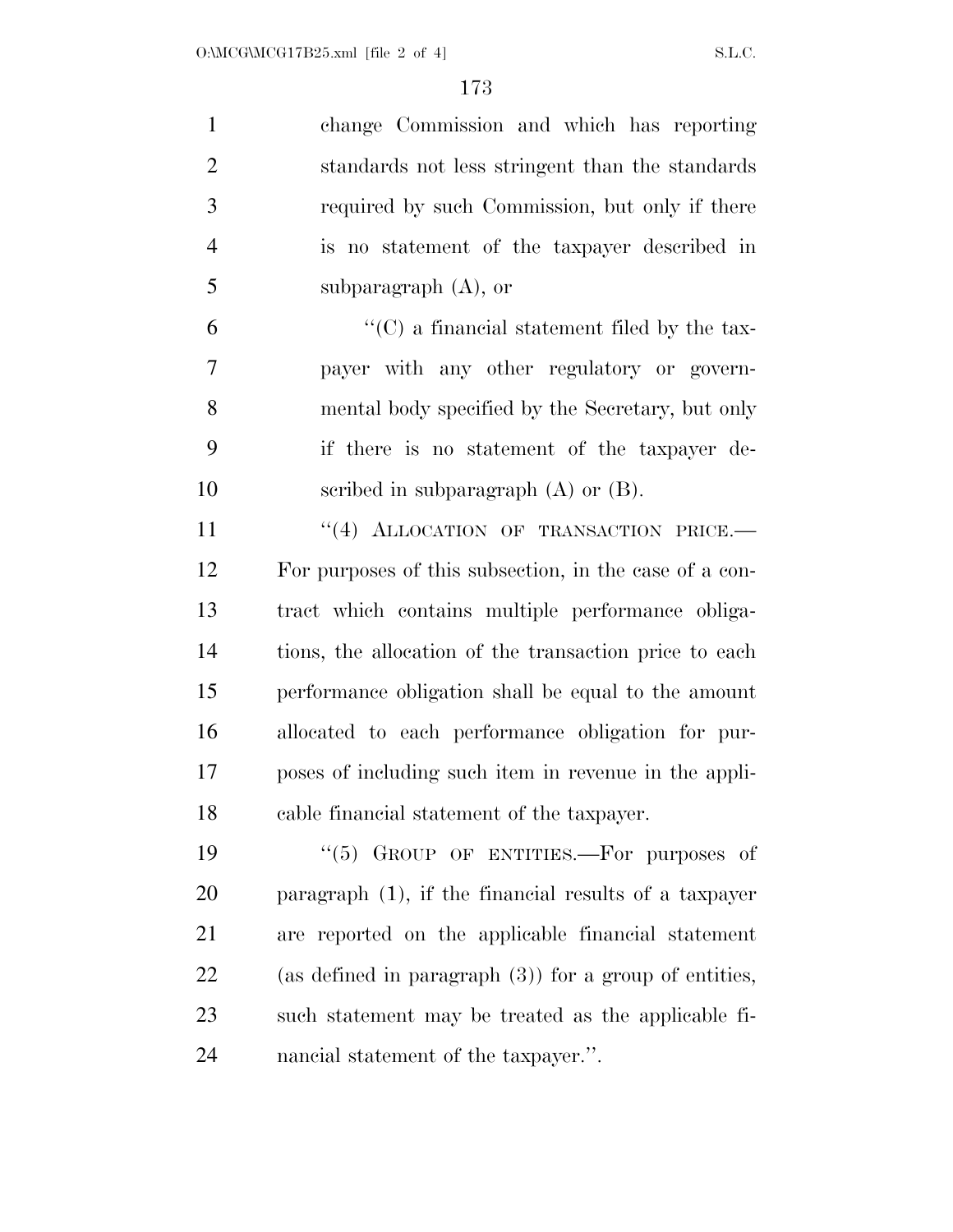| $\mathbf{1}$   | change Commission and which has reporting                 |
|----------------|-----------------------------------------------------------|
| $\mathfrak{2}$ | standards not less stringent than the standards           |
| 3              | required by such Commission, but only if there            |
| $\overline{4}$ | is no statement of the taxpayer described in              |
| 5              | subparagraph $(A)$ , or                                   |
| 6              | $\lq\lq$ (C) a financial statement filed by the tax-      |
| 7              | payer with any other regulatory or govern-                |
| 8              | mental body specified by the Secretary, but only          |
| 9              | if there is no statement of the taxpayer de-              |
| 10             | scribed in subparagraph $(A)$ or $(B)$ .                  |
| 11             | "(4) ALLOCATION OF TRANSACTION PRICE.                     |
| 12             | For purposes of this subsection, in the case of a con-    |
| 13             | tract which contains multiple performance obliga-         |
| 14             | tions, the allocation of the transaction price to each    |
| 15             | performance obligation shall be equal to the amount       |
| 16             | allocated to each performance obligation for pur-         |
| 17             | poses of including such item in revenue in the appli-     |
| 18             | cable financial statement of the taxpayer.                |
| 19             | GROUP OF ENTITIES.—For purposes of<br>(5)                 |
| 20             | paragraph $(1)$ , if the financial results of a taxpayer  |
| 21             | are reported on the applicable financial statement        |
| 22             | (as defined in paragraph $(3)$ ) for a group of entities, |
| 23             | such statement may be treated as the applicable fi-       |
| 24             | nancial statement of the taxpayer.".                      |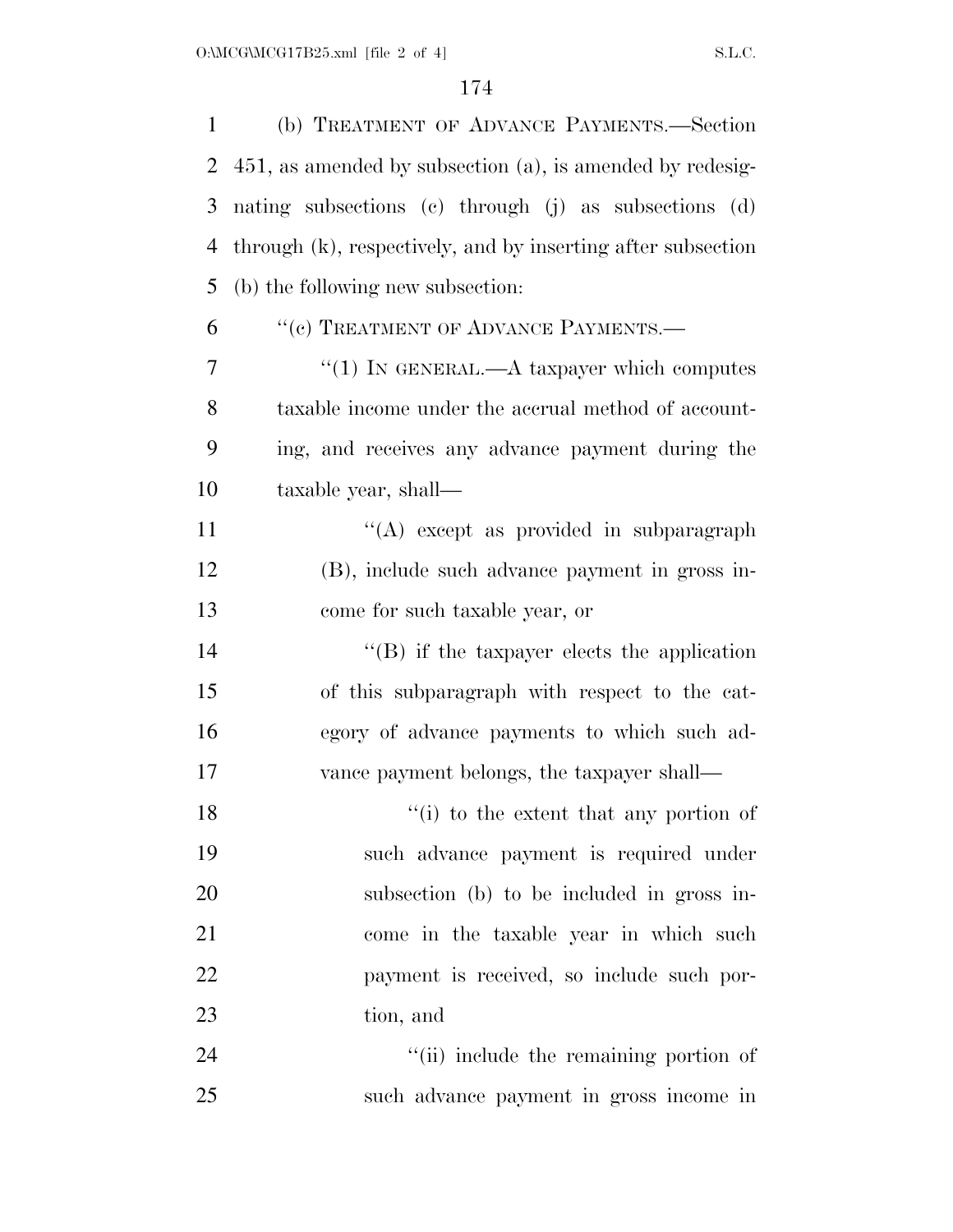| $\mathbf{1}$ | (b) TREATMENT OF ADVANCE PAYMENTS.-Section                   |
|--------------|--------------------------------------------------------------|
| 2            | 451, as amended by subsection (a), is amended by redesig-    |
| 3            | nating subsections (c) through (j) as subsections (d)        |
| 4            | through (k), respectively, and by inserting after subsection |
| 5            | (b) the following new subsection:                            |
| 6            | "(c) TREATMENT OF ADVANCE PAYMENTS.—                         |
| 7            | "(1) IN GENERAL.—A taxpayer which computes                   |
| 8            | taxable income under the accrual method of account-          |
| 9            | ing, and receives any advance payment during the             |
| 10           | taxable year, shall-                                         |
| 11           | "(A) except as provided in subparagraph                      |
| 12           | (B), include such advance payment in gross in-               |
| 13           | come for such taxable year, or                               |
| 14           | $\lq\lq$ ) if the taxpayer elects the application            |
| 15           | of this subparagraph with respect to the cat-                |
| 16           | egory of advance payments to which such ad-                  |
| 17           | vance payment belongs, the taxpayer shall—                   |
| 18           | $f'(i)$ to the extent that any portion of                    |
| 19           | such advance payment is required under                       |
| 20           | subsection (b) to be included in gross in-                   |
| 21           | come in the taxable year in which such                       |
| 22           | payment is received, so include such por-                    |
| 23           | tion, and                                                    |
| 24           | "(ii) include the remaining portion of                       |
| 25           | such advance payment in gross income in                      |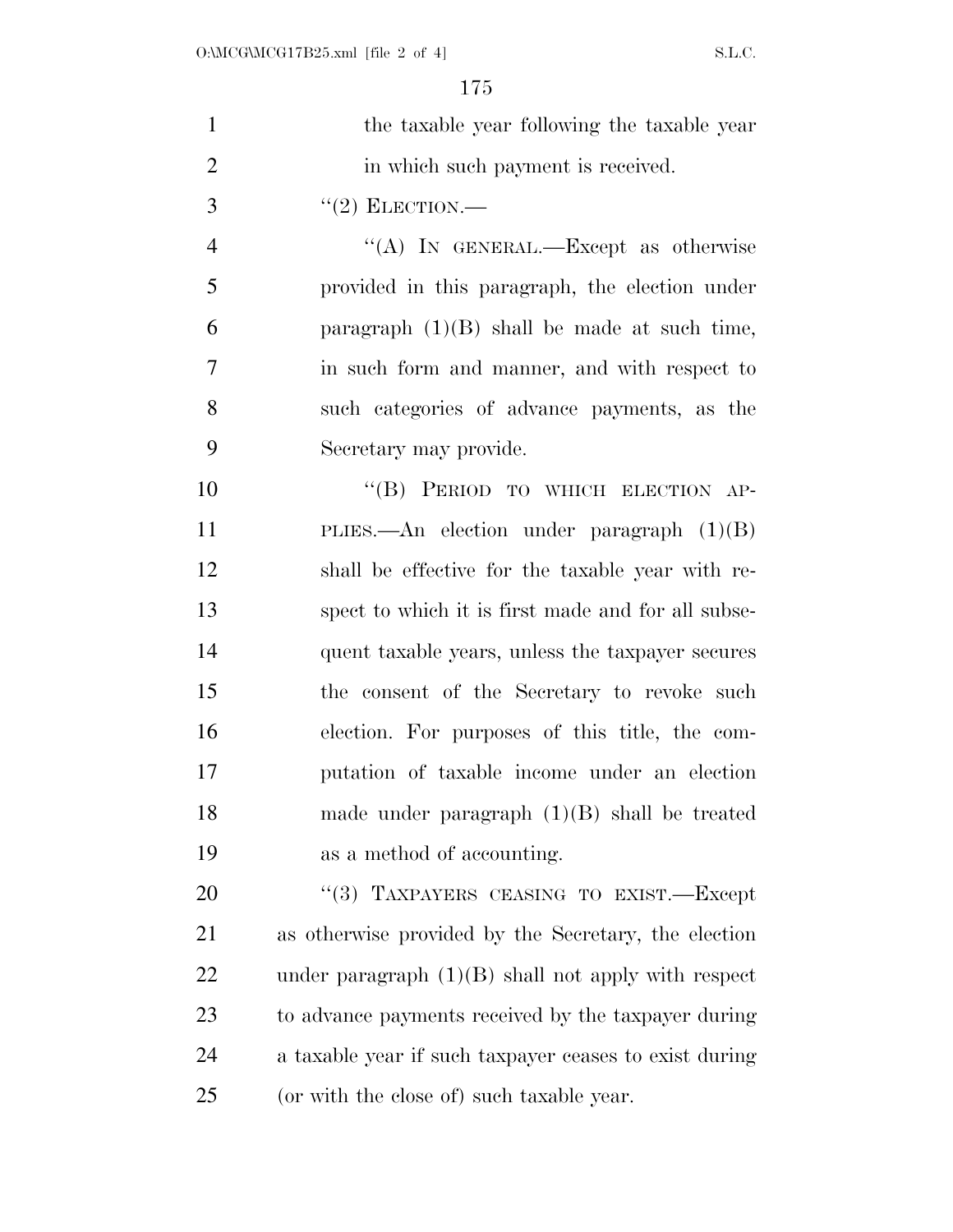| $\mathbf{1}$   | the taxable year following the taxable year            |
|----------------|--------------------------------------------------------|
| $\overline{2}$ | in which such payment is received.                     |
| 3              | $"(2)$ ELECTION.—                                      |
| $\overline{4}$ | "(A) IN GENERAL.—Except as otherwise                   |
| 5              | provided in this paragraph, the election under         |
| 6              | paragraph $(1)(B)$ shall be made at such time,         |
| 7              | in such form and manner, and with respect to           |
| 8              | such categories of advance payments, as the            |
| 9              | Secretary may provide.                                 |
| 10             | "(B) PERIOD TO WHICH ELECTION AP-                      |
| 11             | PLIES.—An election under paragraph $(1)(B)$            |
| 12             | shall be effective for the taxable year with re-       |
| 13             | spect to which it is first made and for all subse-     |
| 14             | quent taxable years, unless the taxpayer secures       |
| 15             | the consent of the Secretary to revoke such            |
| 16             | election. For purposes of this title, the com-         |
| 17             | putation of taxable income under an election           |
| 18             | made under paragraph $(1)(B)$ shall be treated         |
| 19             | as a method of accounting.                             |
| 20             | "(3) TAXPAYERS CEASING TO EXIST.-Except                |
| 21             | as otherwise provided by the Secretary, the election   |
| 22             | under paragraph $(1)(B)$ shall not apply with respect  |
| 23             | to advance payments received by the taxpayer during    |
| 24             | a taxable year if such taxpayer ceases to exist during |
| 25             | (or with the close of) such taxable year.              |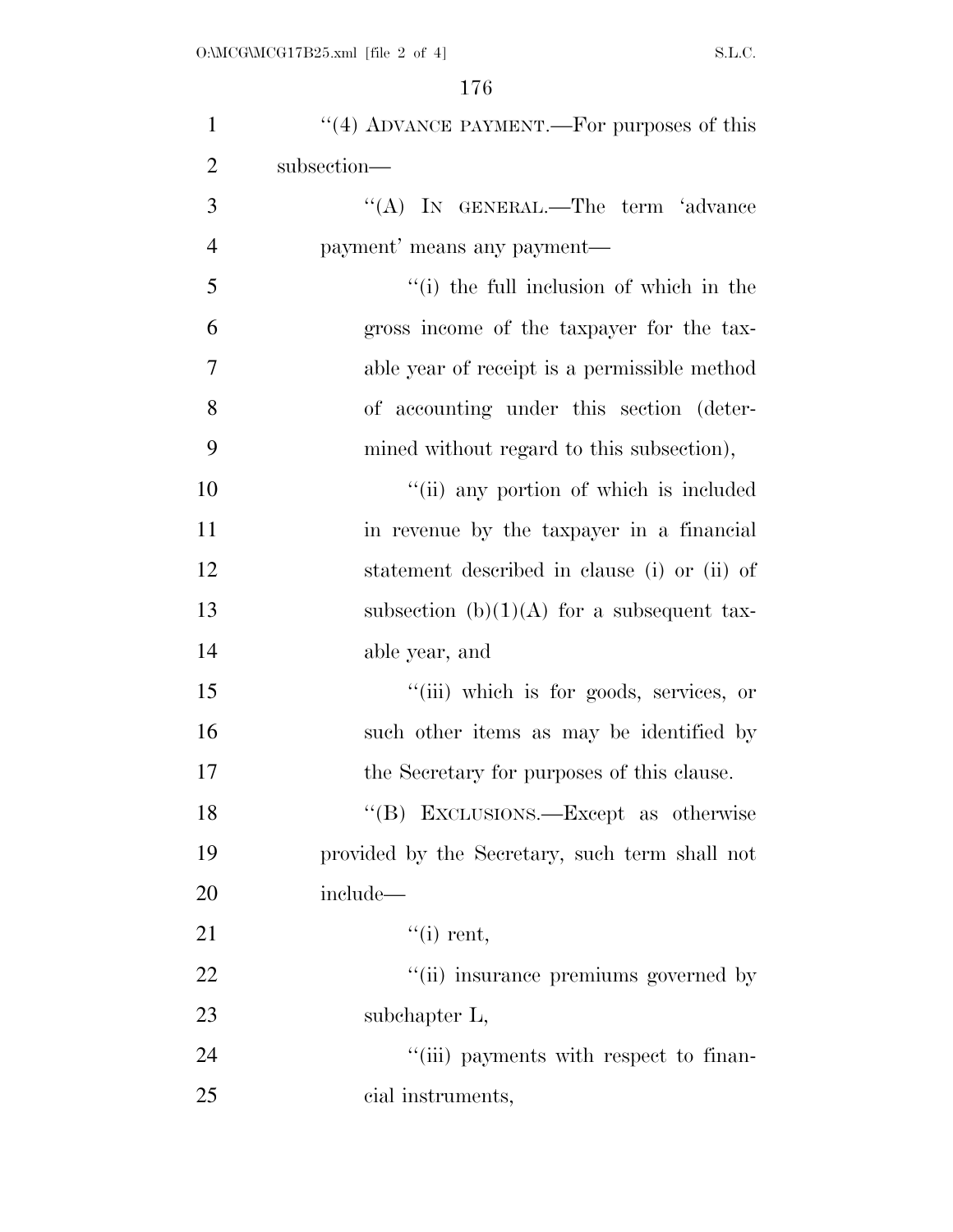| $\mathbf{1}$   | "(4) ADVANCE PAYMENT.—For purposes of this     |
|----------------|------------------------------------------------|
| $\overline{2}$ | subsection-                                    |
| 3              | "(A) IN GENERAL.—The term 'advance             |
| $\overline{4}$ | payment' means any payment—                    |
| 5              | "(i) the full inclusion of which in the        |
| 6              | gross income of the taxpayer for the tax-      |
| 7              | able year of receipt is a permissible method   |
| 8              | of accounting under this section (deter-       |
| 9              | mined without regard to this subsection),      |
| 10             | "(ii) any portion of which is included         |
| 11             | in revenue by the taxpayer in a financial      |
| 12             | statement described in clause (i) or (ii) of   |
| 13             | subsection (b) $(1)(A)$ for a subsequent tax-  |
| 14             | able year, and                                 |
| 15             | "(iii) which is for goods, services, or        |
| 16             | such other items as may be identified by       |
| 17             | the Secretary for purposes of this clause.     |
| 18             | "(B) EXCLUSIONS.—Except as otherwise           |
| 19             | provided by the Secretary, such term shall not |
| 20             | include—                                       |
| 21             | $``(i)$ rent,                                  |
| 22             | "(ii) insurance premiums governed by           |
| 23             | subchapter L,                                  |
| 24             | "(iii) payments with respect to finan-         |
| 25             | cial instruments,                              |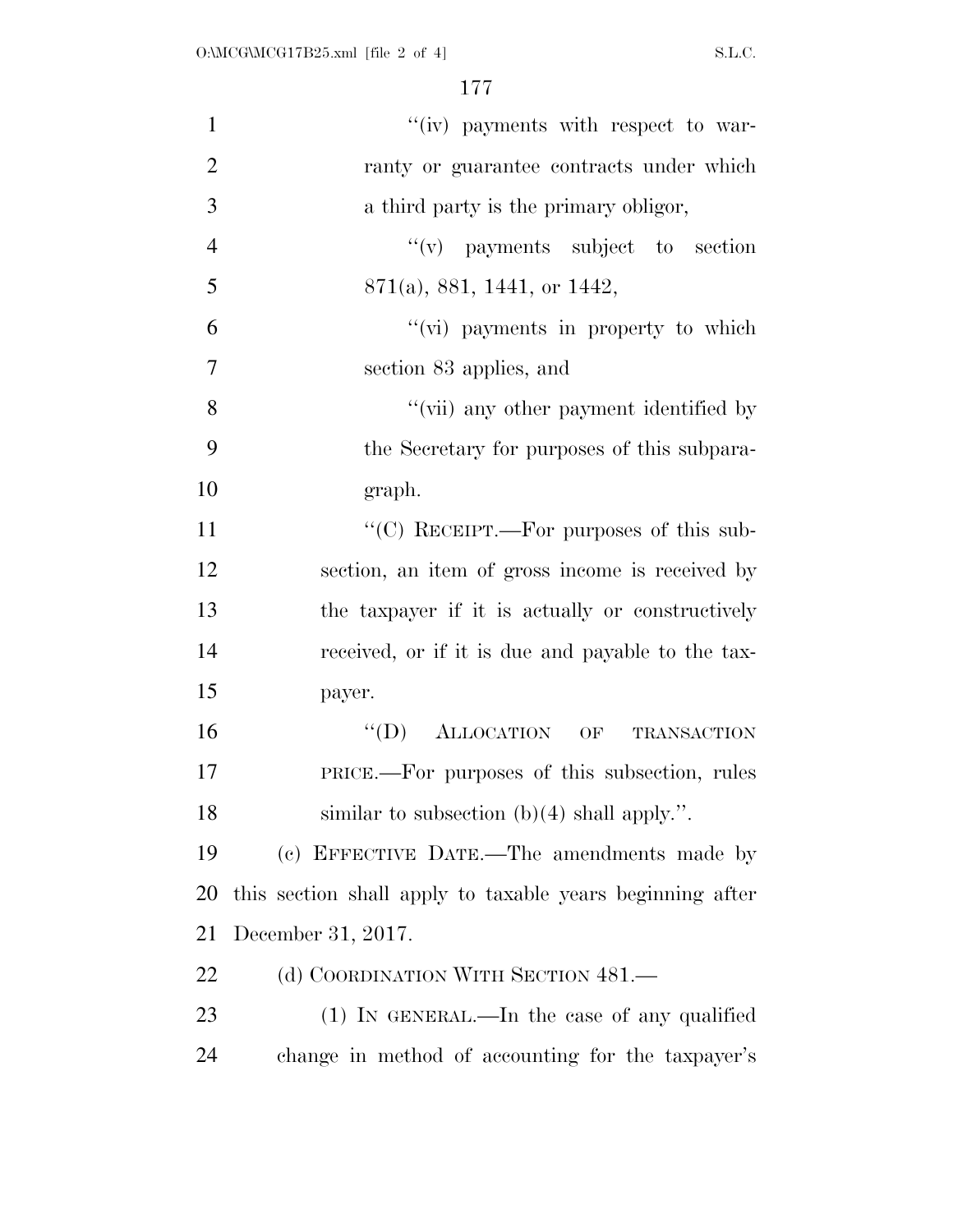| $\mathbf{1}$   | "(iv) payments with respect to war-                       |
|----------------|-----------------------------------------------------------|
| $\overline{2}$ | ranty or guarantee contracts under which                  |
| 3              | a third party is the primary obligor,                     |
| $\overline{4}$ | $f'(v)$ payments subject to section                       |
| 5              | 871(a), 881, 1441, or 1442,                               |
| 6              | "(vi) payments in property to which                       |
| $\overline{7}$ | section 83 applies, and                                   |
| 8              | "(vii) any other payment identified by                    |
| 9              | the Secretary for purposes of this subpara-               |
| 10             | graph.                                                    |
| 11             | " $(C)$ RECEIPT.—For purposes of this sub-                |
| 12             | section, an item of gross income is received by           |
| 13             | the taxpayer if it is actually or constructively          |
| 14             | received, or if it is due and payable to the tax-         |
| 15             | payer.                                                    |
| 16             | $\lq\lq (D)$ ALLOCATION OF<br><b>TRANSACTION</b>          |
| 17             | PRICE.—For purposes of this subsection, rules             |
| 18             | similar to subsection $(b)(4)$ shall apply.".             |
| 19             | (c) EFFECTIVE DATE.—The amendments made by                |
| 20             | this section shall apply to taxable years beginning after |
| 21             | December 31, 2017.                                        |
| 22             | (d) COORDINATION WITH SECTION 481.—                       |
| 23             | (1) IN GENERAL.—In the case of any qualified              |
| 24             | change in method of accounting for the taxpayer's         |
|                |                                                           |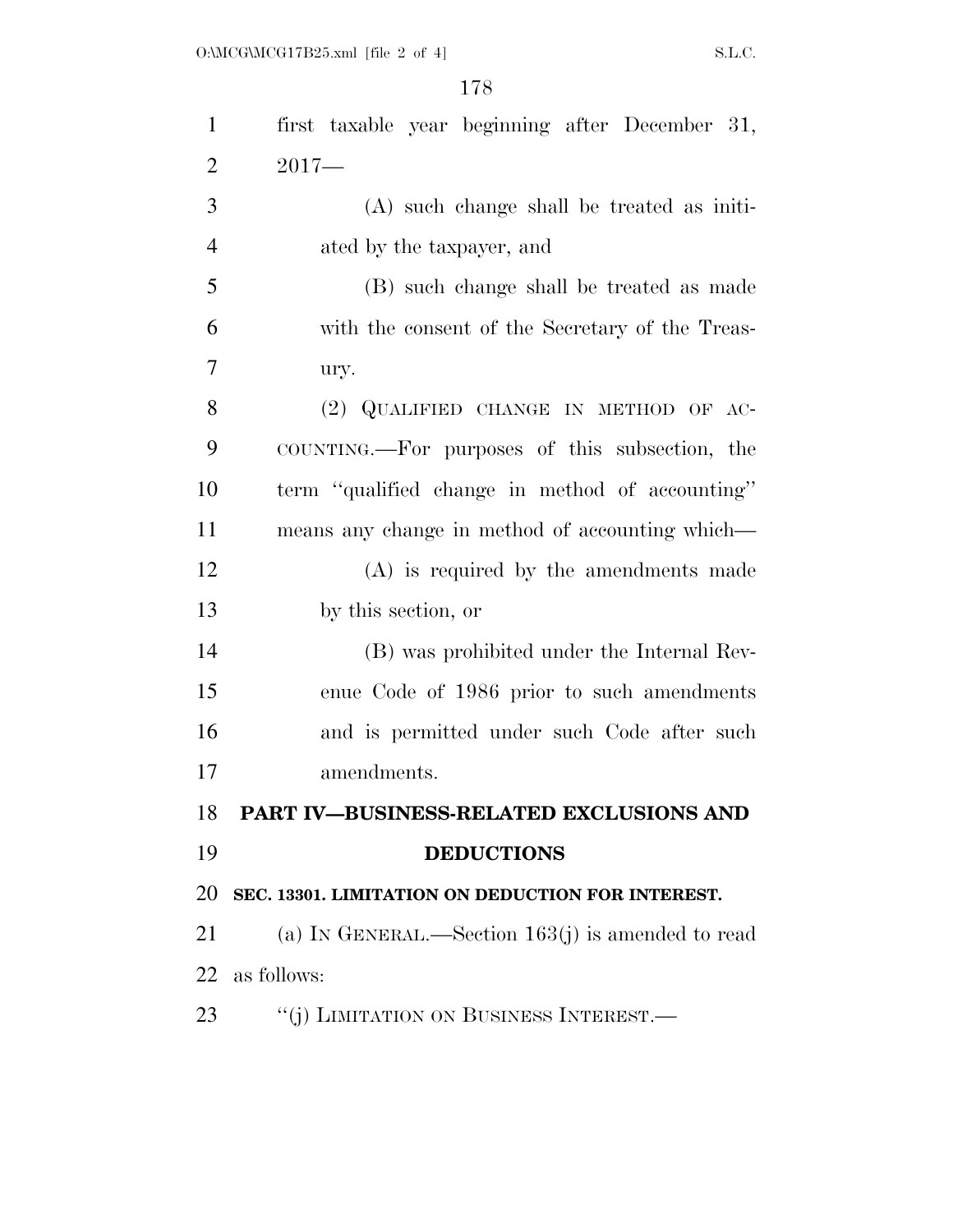| $\mathbf{1}$   | first taxable year beginning after December 31,     |
|----------------|-----------------------------------------------------|
| $\overline{2}$ | $2017-$                                             |
| 3              | $(A)$ such change shall be treated as initi-        |
| $\overline{4}$ | ated by the taxpayer, and                           |
| 5              | (B) such change shall be treated as made            |
| 6              | with the consent of the Secretary of the Treas-     |
| 7              | ury.                                                |
| 8              | (2) QUALIFIED CHANGE IN METHOD OF AC-               |
| 9              | COUNTING.—For purposes of this subsection, the      |
| 10             | term "qualified change in method of accounting"     |
| 11             | means any change in method of accounting which—     |
| 12             | $(A)$ is required by the amendments made            |
| 13             | by this section, or                                 |
| 14             | (B) was prohibited under the Internal Rev-          |
| 15             | enue Code of 1986 prior to such amendments          |
| 16             | and is permitted under such Code after such         |
| 17             | amendments.                                         |
|                | 18 PART IV-BUSINESS-RELATED EXCLUSIONS AND          |
| 19             | <b>DEDUCTIONS</b>                                   |
| 20             | SEC. 13301. LIMITATION ON DEDUCTION FOR INTEREST.   |
| 21             | (a) IN GENERAL.—Section $163(j)$ is amended to read |
| 22             | as follows:                                         |
| 23             | "(j) LIMITATION ON BUSINESS INTEREST.—              |
|                |                                                     |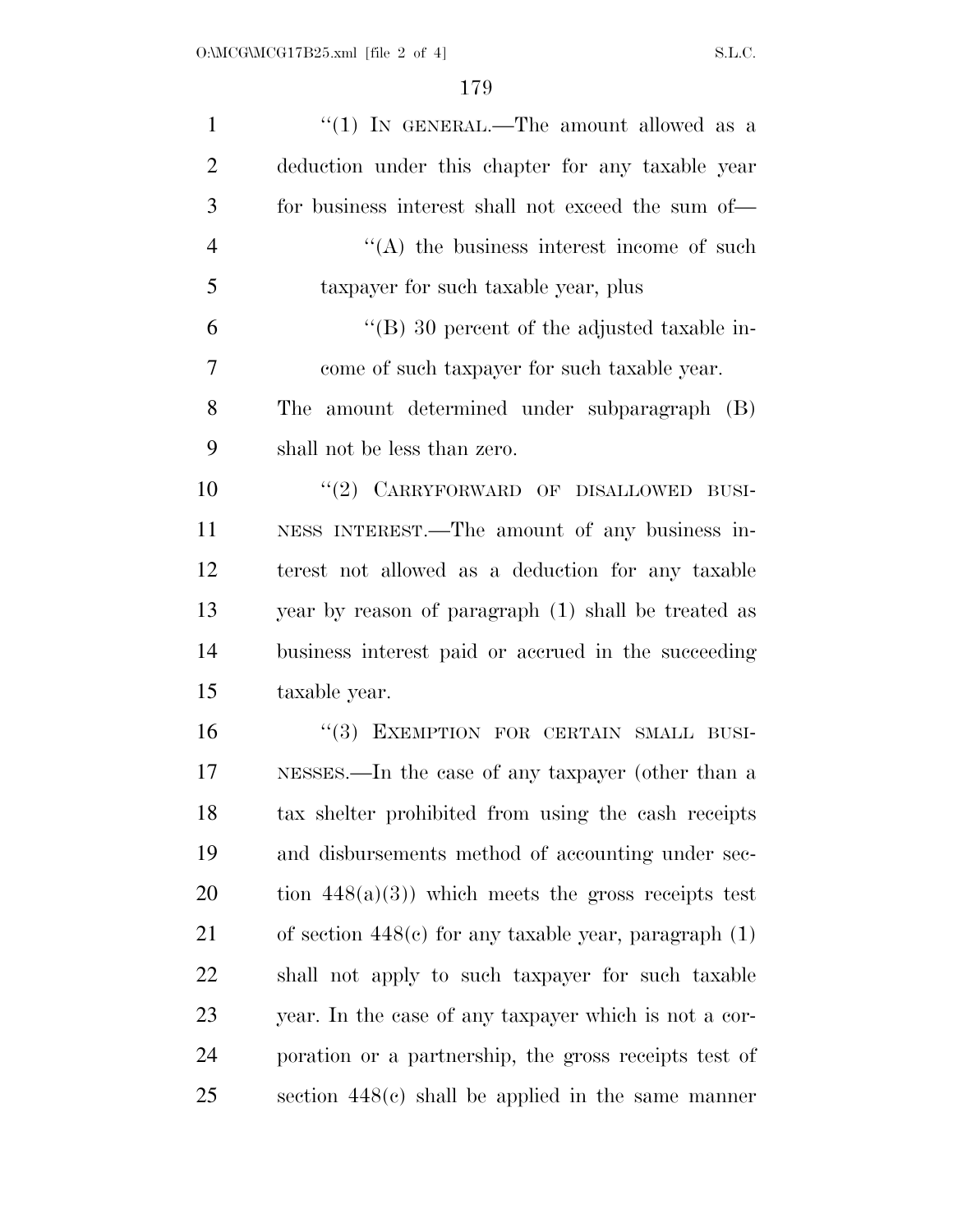| $\mathbf{1}$   | "(1) IN GENERAL.—The amount allowed as a                  |
|----------------|-----------------------------------------------------------|
| $\overline{2}$ | deduction under this chapter for any taxable year         |
| 3              | for business interest shall not exceed the sum of—        |
| $\overline{4}$ | $\lq\lq$ the business interest income of such             |
| 5              | taxpayer for such taxable year, plus                      |
| 6              | $\lq\lq$ (B) 30 percent of the adjusted taxable in-       |
| $\overline{7}$ | come of such taxpayer for such taxable year.              |
| 8              | The amount determined under subparagraph (B)              |
| 9              | shall not be less than zero.                              |
| 10             | "(2) CARRYFORWARD OF DISALLOWED BUSI-                     |
| 11             | NESS INTEREST.—The amount of any business in-             |
| 12             | terest not allowed as a deduction for any taxable         |
| 13             | year by reason of paragraph (1) shall be treated as       |
| 14             | business interest paid or accrued in the succeeding       |
| 15             | taxable year.                                             |
| 16             | "(3) EXEMPTION FOR CERTAIN SMALL BUSI-                    |
| 17             | NESSES.—In the case of any taxpayer (other than a         |
| 18             | tax shelter prohibited from using the cash receipts       |
| 19             | and disbursements method of accounting under sec-         |
| 20             | tion $448(a)(3)$ ) which meets the gross receipts test    |
| 21             | of section $448(c)$ for any taxable year, paragraph $(1)$ |
| 22             | shall not apply to such taxpayer for such taxable         |
| 23             | year. In the case of any taxpayer which is not a cor-     |
| 24             | poration or a partnership, the gross receipts test of     |
| 25             | section $448(c)$ shall be applied in the same manner      |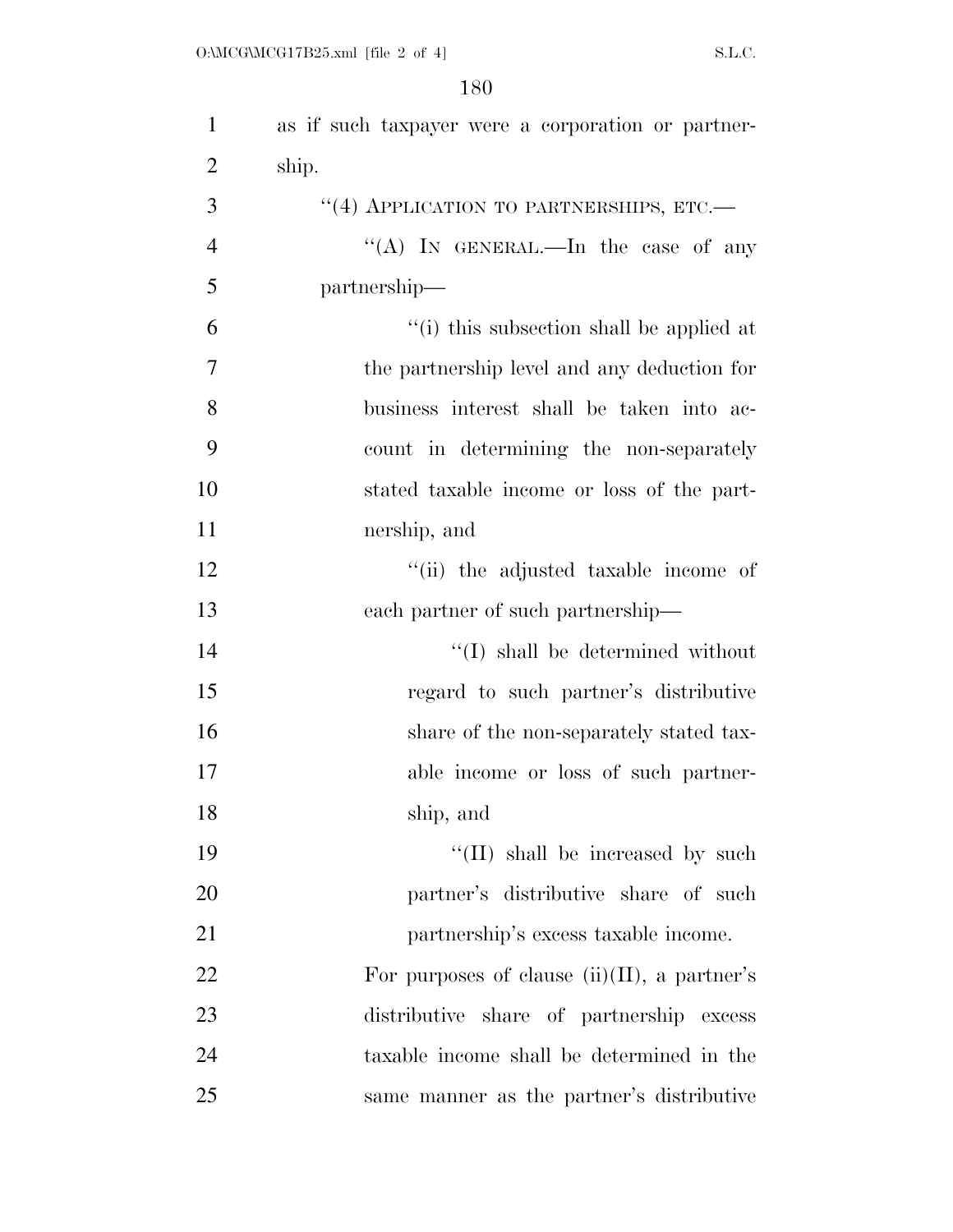| $\mathbf{1}$   | as if such taxpayer were a corporation or partner- |
|----------------|----------------------------------------------------|
| $\overline{2}$ | ship.                                              |
| 3              | "(4) APPLICATION TO PARTNERSHIPS, ETC.-            |
| 4              | "(A) IN GENERAL.—In the case of any                |
| 5              | partnership—                                       |
| 6              | "(i) this subsection shall be applied at           |
| 7              | the partnership level and any deduction for        |
| 8              | business interest shall be taken into ac-          |
| 9              | count in determining the non-separately            |
| 10             | stated taxable income or loss of the part-         |
| 11             | nership, and                                       |
| 12             | "(ii) the adjusted taxable income of               |
| 13             | each partner of such partnership—                  |
| 14             | $\lq\lq$ shall be determined without               |
| 15             | regard to such partner's distributive              |
| 16             | share of the non-separately stated tax-            |
| 17             | able income or loss of such partner-               |
| 18             | ship, and                                          |
| 19             | "(II) shall be increased by such                   |
| 20             | partner's distributive share of such               |
| 21             | partnership's excess taxable income.               |
| 22             | For purposes of clause $(ii)(II)$ , a partner's    |
| 23             | distributive share of partnership excess           |
| 24             | taxable income shall be determined in the          |
| 25             | same manner as the partner's distributive          |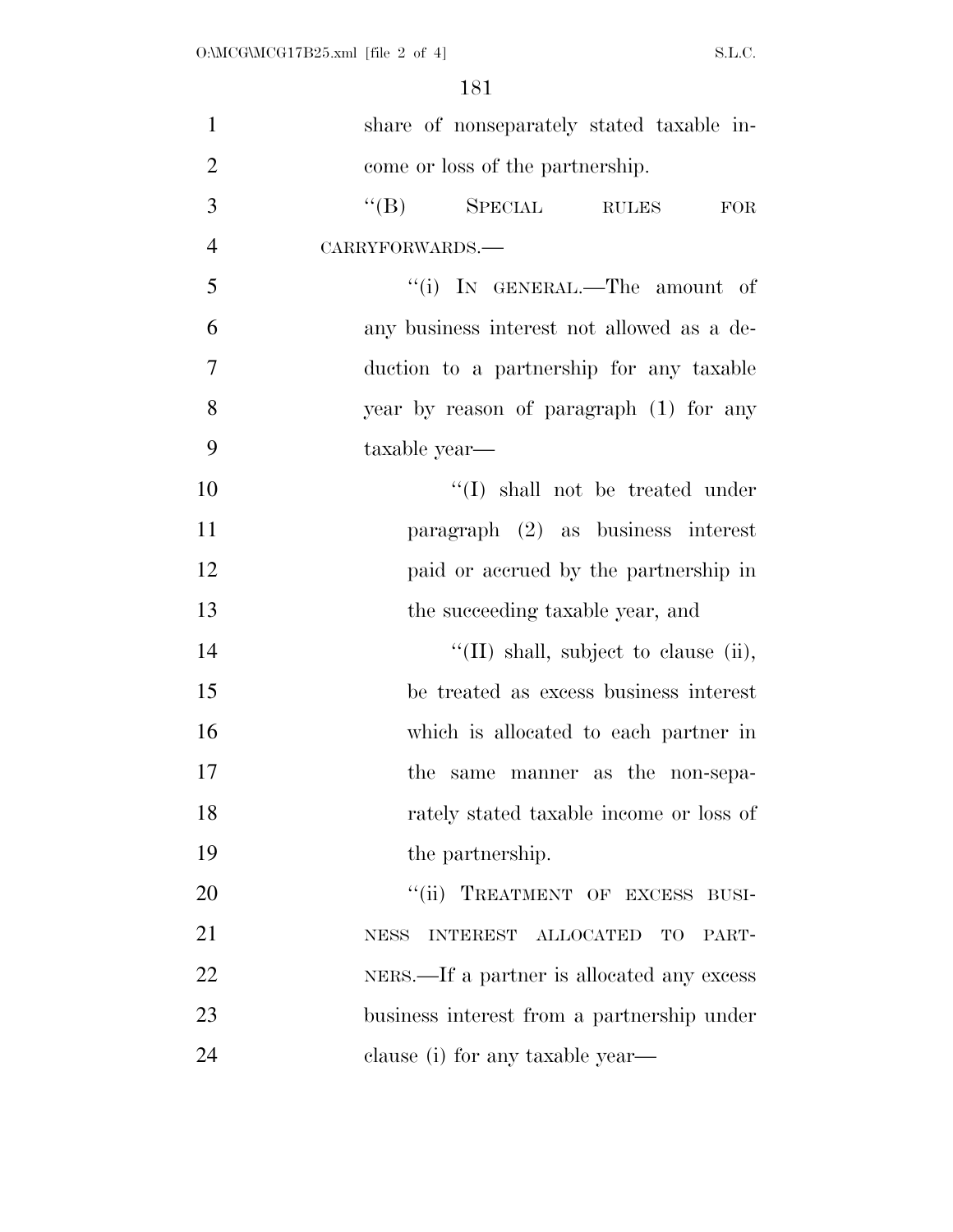| $\mathbf{1}$   | share of nonseparately stated taxable in-                                |
|----------------|--------------------------------------------------------------------------|
| $\overline{2}$ | come or loss of the partnership.                                         |
| 3              | $\lq\lq (B)$ SPECIAL<br><b>RULES</b><br>FOR                              |
| $\overline{4}$ | CARRYFORWARDS.-                                                          |
| 5              | "(i) IN GENERAL.—The amount of                                           |
| 6              | any business interest not allowed as a de-                               |
| 7              | duction to a partnership for any taxable                                 |
| 8              | year by reason of paragraph (1) for any                                  |
| 9              | taxable year—                                                            |
| 10             | $\lq\lq$ (I) shall not be treated under                                  |
| 11             | paragraph $(2)$ as business interest                                     |
| 12             | paid or accrued by the partnership in                                    |
| 13             | the succeeding taxable year, and                                         |
| 14             | $\lq\lq$ (II) shall, subject to clause (ii),                             |
| 15             | be treated as excess business interest                                   |
| 16             | which is allocated to each partner in                                    |
| 17             | same manner as the non-sepa-<br>the                                      |
| 18             | rately stated taxable income or loss of                                  |
| 19             | the partnership.                                                         |
| 20             | TREATMENT OF EXCESS BUSI-<br>$\lq(\mathbf{ii})$                          |
| 21             | <b>ALLOCATED</b><br><b>INTEREST</b><br><b>TO</b><br><b>NESS</b><br>PART- |
| 22             | NERS.—If a partner is allocated any excess                               |
| 23             | business interest from a partnership under                               |
| 24             | clause (i) for any taxable year—                                         |
|                |                                                                          |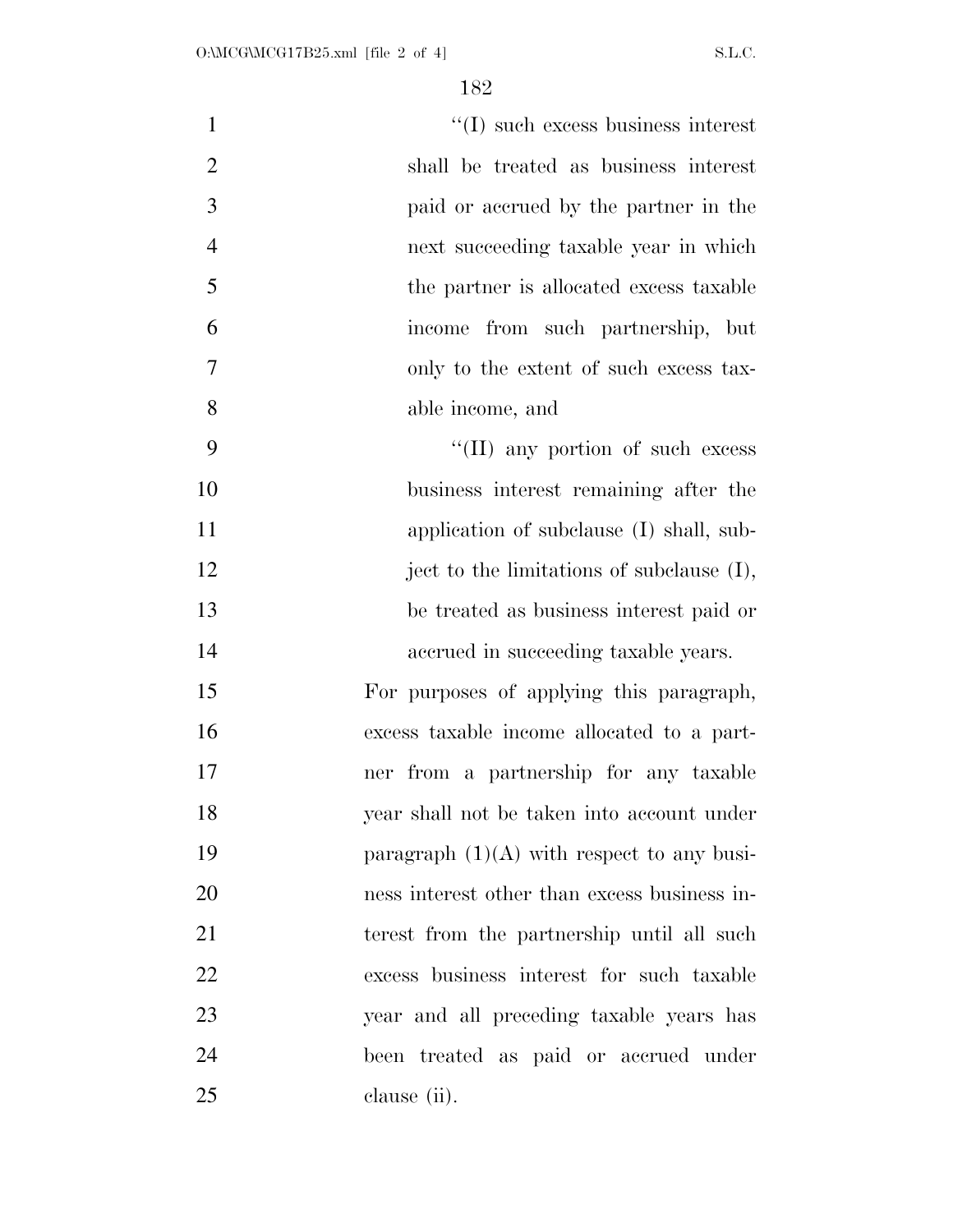$''(I)$  such excess business interest shall be treated as business interest paid or accrued by the partner in the next succeeding taxable year in which 5 the partner is allocated excess taxable income from such partnership, but only to the extent of such excess tax- able income, and 9 ''(II) any portion of such excess business interest remaining after the 11 application of subclause (I) shall, sub-12 ject to the limitations of subclause (I), be treated as business interest paid or accrued in succeeding taxable years. For purposes of applying this paragraph, excess taxable income allocated to a part- ner from a partnership for any taxable year shall not be taken into account under 19 paragraph  $(1)(A)$  with respect to any busi- ness interest other than excess business in- terest from the partnership until all such excess business interest for such taxable year and all preceding taxable years has been treated as paid or accrued under clause (ii).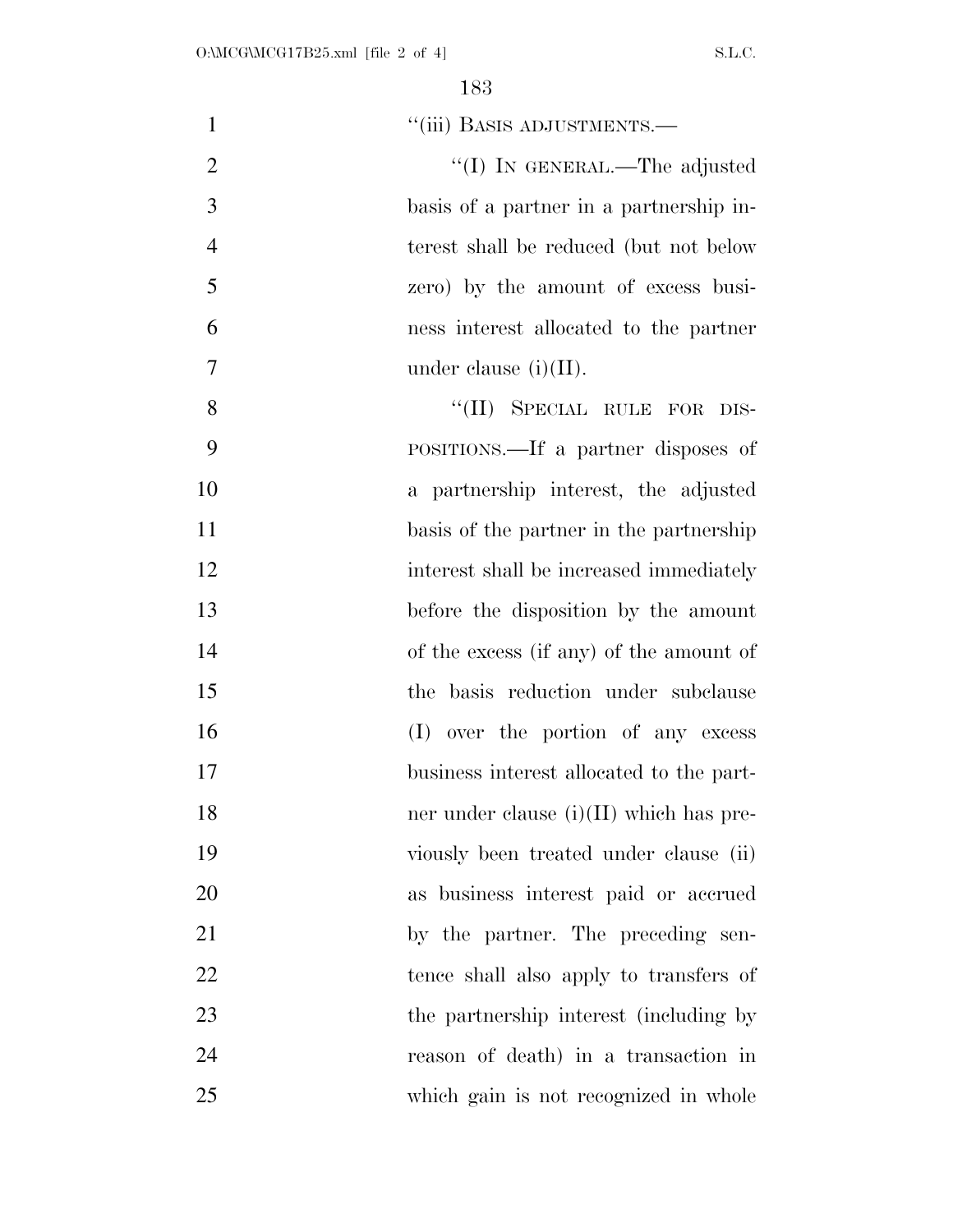| "(iii) BASIS ADJUSTMENTS.—                | $\mathbf{1}$   |
|-------------------------------------------|----------------|
| "(I) IN GENERAL.—The adjusted             | $\overline{2}$ |
| basis of a partner in a partnership in-   | 3              |
| terest shall be reduced (but not below    | $\overline{4}$ |
| zero) by the amount of excess busi-       | 5              |
| ness interest allocated to the partner    | 6              |
| under clause $(i)(II)$ .                  | 7              |
| "(II) SPECIAL RULE FOR DIS-               | 8              |
| POSITIONS.—If a partner disposes of       | 9              |
| a partnership interest, the adjusted      | 10             |
| basis of the partner in the partnership   | 11             |
| interest shall be increased immediately   | 12             |
| before the disposition by the amount      | 13             |
| of the excess (if any) of the amount of   | 14             |
| the basis reduction under subclause       | 15             |
| (I) over the portion of any excess        | 16             |
| business interest allocated to the part-  | 17             |
| ner under clause $(i)(II)$ which has pre- | 18             |
| viously been treated under clause (ii)    | 19             |
| as business interest paid or accrued      | 20             |
| by the partner. The preceding sen-        | 21             |
| tence shall also apply to transfers of    | 22             |
| the partnership interest (including by    | 23             |
| reason of death) in a transaction in      | 24             |
| which gain is not recognized in whole     | 25             |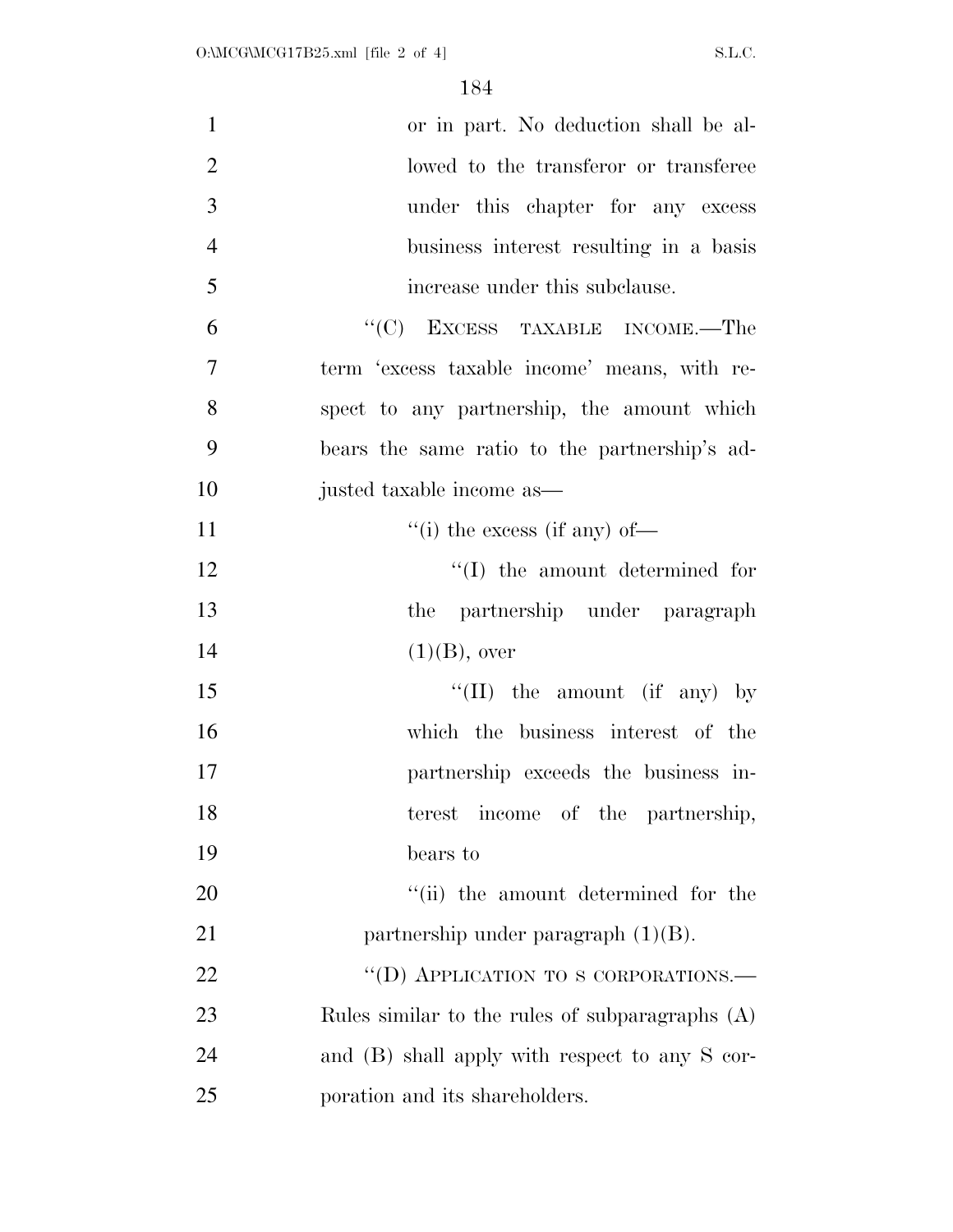| $\mathbf{1}$   | or in part. No deduction shall be al-           |
|----------------|-------------------------------------------------|
| $\overline{2}$ | lowed to the transferor or transferee           |
| 3              | under this chapter for any excess               |
| $\overline{4}$ | business interest resulting in a basis          |
| 5              | increase under this subclause.                  |
| 6              | $\cdot$ (C) EXCESS TAXABLE INCOME.—The          |
| 7              | term 'excess taxable income' means, with re-    |
| 8              | spect to any partnership, the amount which      |
| 9              | bears the same ratio to the partnership's ad-   |
| 10             | justed taxable income as—                       |
| 11             | $``(i)$ the excess (if any) of—                 |
| 12             | $\lq\lq$ the amount determined for              |
| 13             | the partnership under paragraph                 |
| 14             | $(1)(B)$ , over                                 |
| 15             | "(II) the amount (if any) by                    |
| 16             | which the business interest of the              |
| 17             | partnership exceeds the business in-            |
| 18             | terest income of the partnership,               |
| 19             | bears to                                        |
| 20             | "(ii) the amount determined for the             |
| 21             | partnership under paragraph $(1)(B)$ .          |
| 22             | "(D) APPLICATION TO S CORPORATIONS.-            |
| 23             | Rules similar to the rules of subparagraphs (A) |
| 24             | and (B) shall apply with respect to any S cor-  |
| 25             | poration and its shareholders.                  |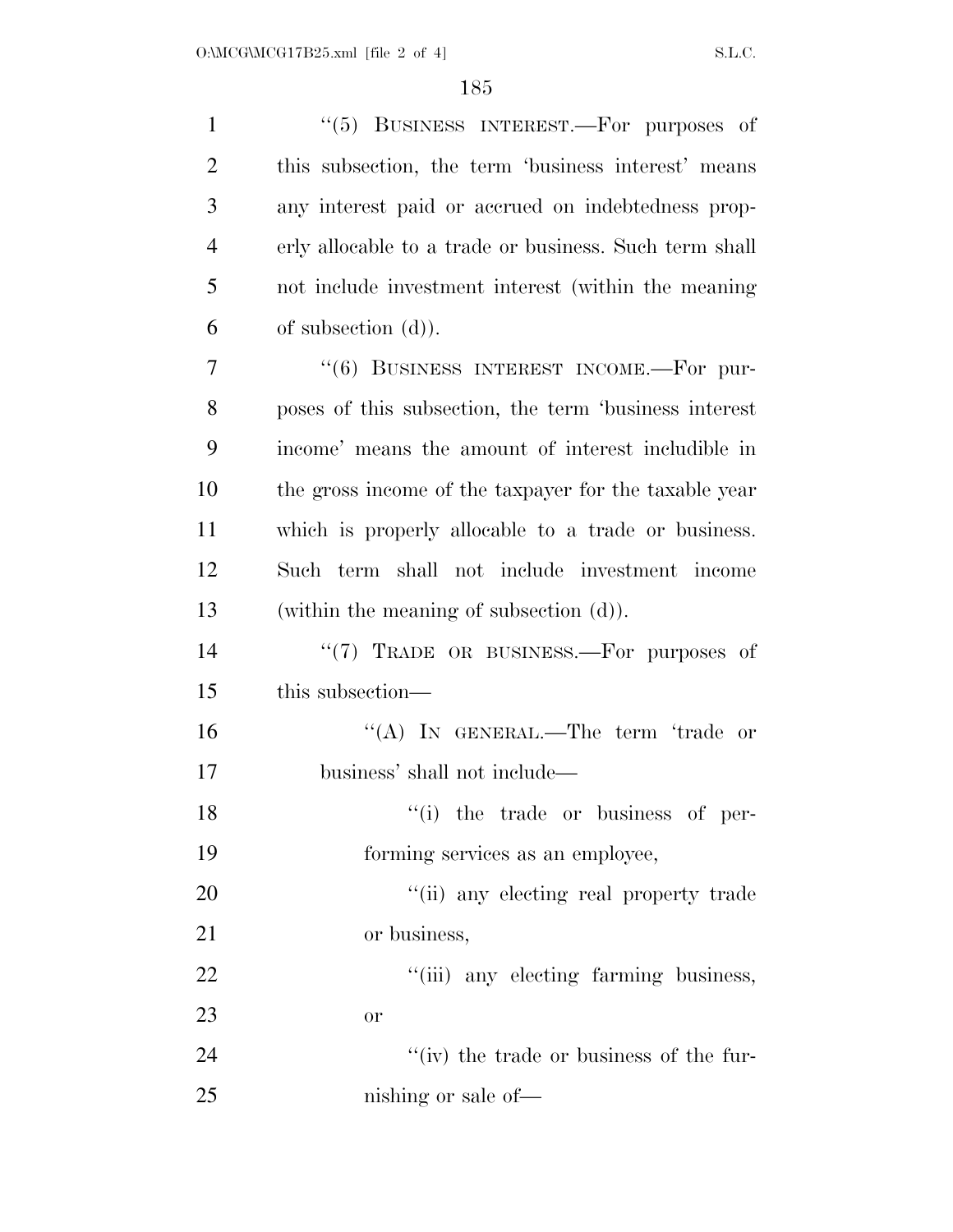| $\mathbf{1}$   | "(5) BUSINESS INTEREST.—For purposes of                |
|----------------|--------------------------------------------------------|
| $\overline{2}$ | this subsection, the term 'business interest' means    |
| 3              | any interest paid or accrued on indebtedness prop-     |
| $\overline{4}$ | erly allocable to a trade or business. Such term shall |
| 5              | not include investment interest (within the meaning    |
| 6              | of subsection $(d)$ ).                                 |
| 7              | $(6)$ BUSINESS INTEREST INCOME.—For pur-               |
| 8              | poses of this subsection, the term 'business interest  |
| 9              | income' means the amount of interest includible in     |
| 10             | the gross income of the taxpayer for the taxable year  |
| 11             | which is properly allocable to a trade or business.    |
| 12             | Such term shall not include investment income          |
| 13             | (within the meaning of subsection $(d)$ ).             |
| 14             | "(7) TRADE OR BUSINESS.—For purposes of                |
| 15             | this subsection—                                       |
| 16             | "(A) IN GENERAL.—The term 'trade or                    |
| 17             | business' shall not include—                           |
| 18             | "(i) the trade or business of per-                     |
| 19             | forming services as an employee,                       |
| 20             | "(ii) any electing real property trade                 |
| 21             | or business,                                           |
| 22             | "(iii) any electing farming business,                  |
| 23             | <b>or</b>                                              |
| 24             | "(iv) the trade or business of the fur-                |
| 25             | nishing or sale of—                                    |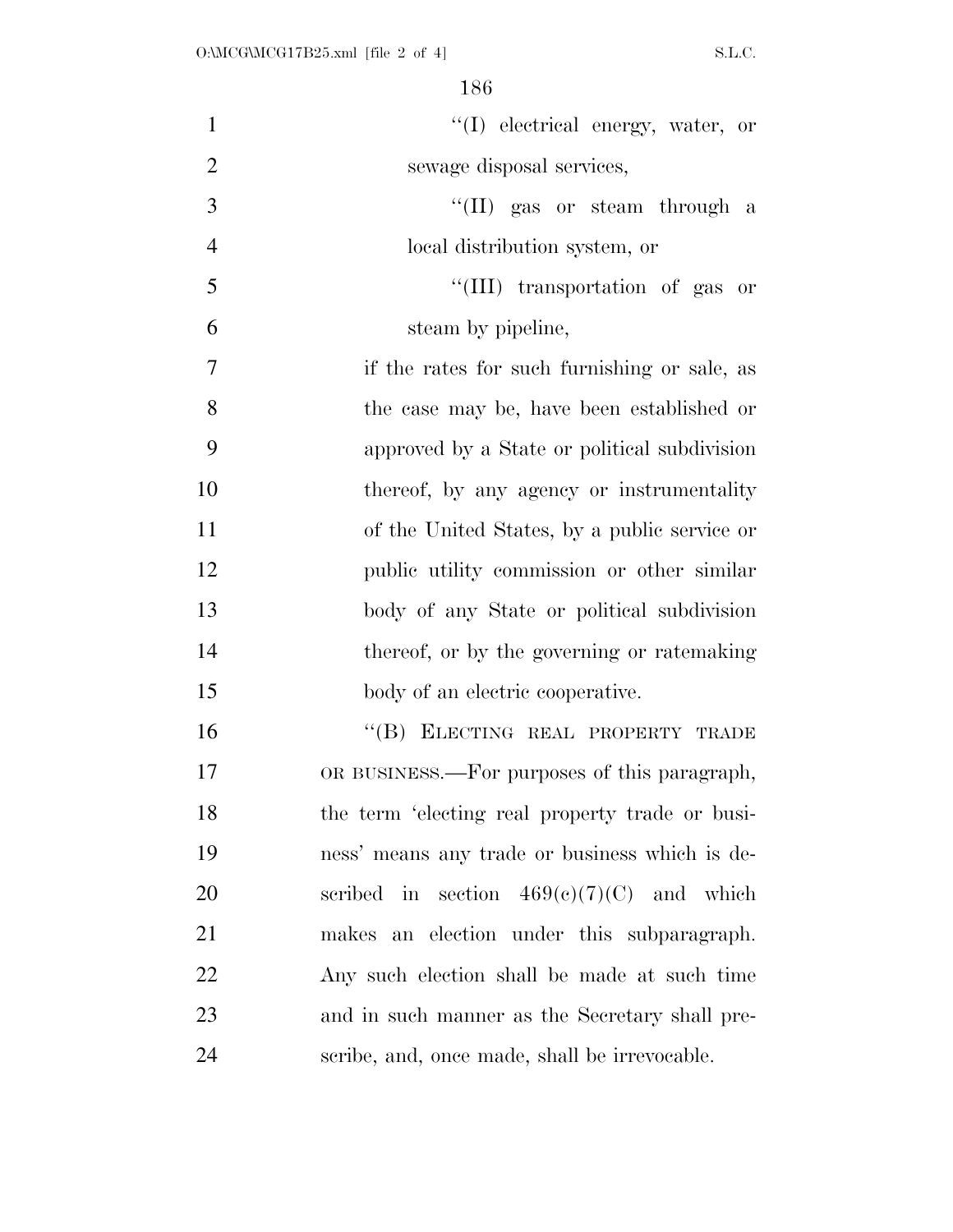| $\mathbf{1}$   | "(I) electrical energy, water, or               |
|----------------|-------------------------------------------------|
| $\overline{2}$ | sewage disposal services,                       |
| 3              | "(II) gas or steam through a                    |
| $\overline{4}$ | local distribution system, or                   |
| 5              | "(III) transportation of gas or                 |
| 6              | steam by pipeline,                              |
| 7              | if the rates for such furnishing or sale, as    |
| 8              | the case may be, have been established or       |
| 9              | approved by a State or political subdivision    |
| 10             | thereof, by any agency or instrumentality       |
| 11             | of the United States, by a public service or    |
| 12             | public utility commission or other similar      |
| 13             | body of any State or political subdivision      |
| 14             | thereof, or by the governing or ratemaking      |
| 15             | body of an electric cooperative.                |
| 16             | "(B) ELECTING REAL PROPERTY TRADE               |
| 17             | OR BUSINESS.—For purposes of this paragraph,    |
| 18             | the term 'electing real property trade or busi- |
| 19             | ness' means any trade or business which is de-  |
| 20             | scribed in section $469(c)(7)(C)$ and which     |
| 21             | makes an election under this subparagraph.      |
| 22             | Any such election shall be made at such time    |
| 23             | and in such manner as the Secretary shall pre-  |
| 24             | scribe, and, once made, shall be irrevocable.   |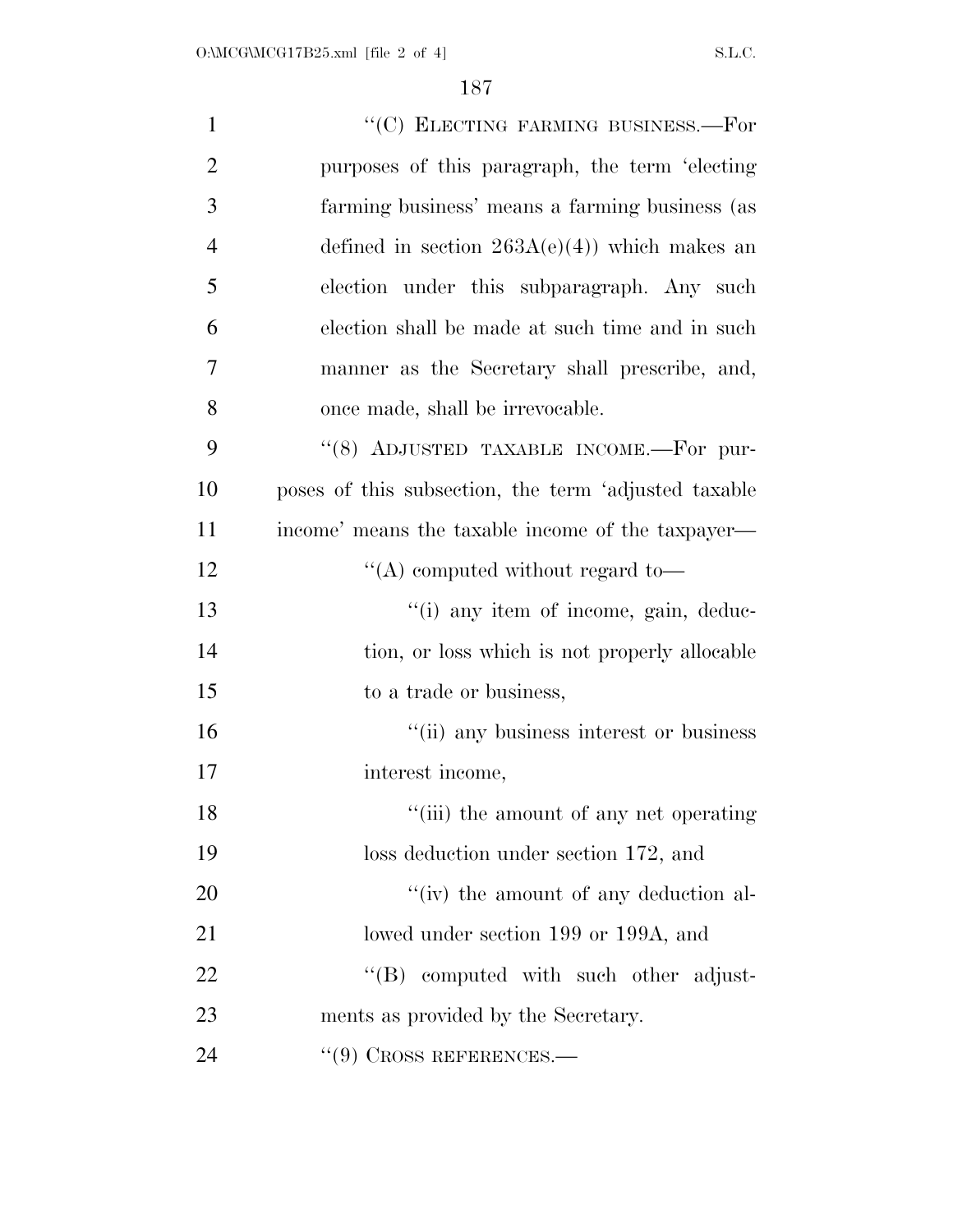| $\mathbf{1}$   | "(C) ELECTING FARMING BUSINESS.-For                  |
|----------------|------------------------------------------------------|
| $\overline{2}$ | purposes of this paragraph, the term 'electing       |
| 3              | farming business' means a farming business (as       |
| $\overline{4}$ | defined in section $263A(e)(4)$ which makes an       |
| 5              | election under this subparagraph. Any such           |
| 6              | election shall be made at such time and in such      |
| 7              | manner as the Secretary shall prescribe, and,        |
| 8              | once made, shall be irrevocable.                     |
| 9              | "(8) ADJUSTED TAXABLE INCOME.-For pur-               |
| 10             | poses of this subsection, the term 'adjusted taxable |
| 11             | income' means the taxable income of the taxpayer—    |
| 12             | "(A) computed without regard to-                     |
| 13             | "(i) any item of income, gain, deduc-                |
| 14             | tion, or loss which is not properly allocable        |
| 15             | to a trade or business,                              |
| 16             | "(ii) any business interest or business              |
| 17             | interest income,                                     |
| 18             | "(iii) the amount of any net operating               |
| 19             | loss deduction under section 172, and                |
| 20             | "(iv) the amount of any deduction al-                |
| 21             | lowed under section 199 or 199A, and                 |
| 22             | "(B) computed with such other adjust-                |
| 23             | ments as provided by the Secretary.                  |
| 24             | $(9)$ Cross REFERENCES.—                             |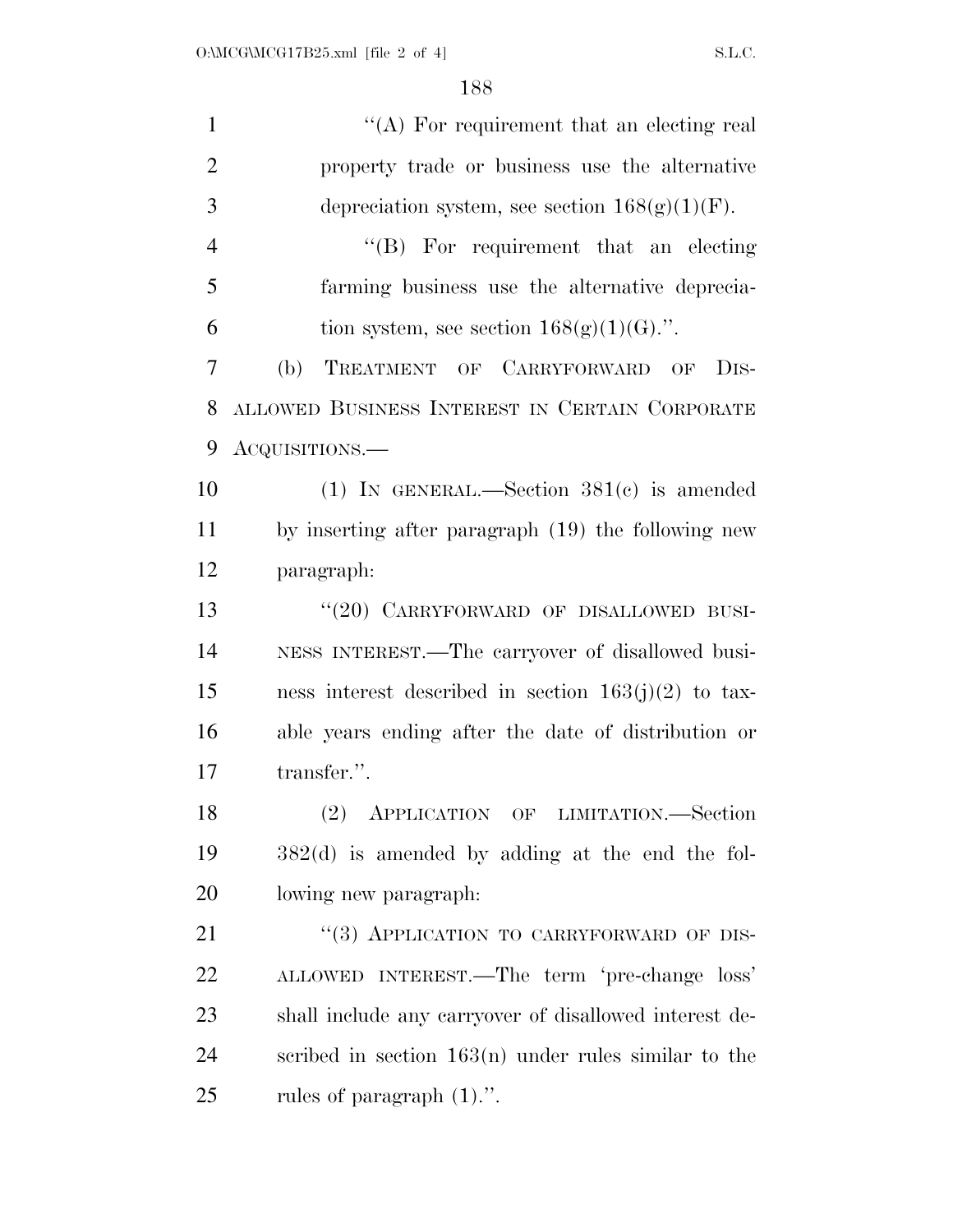| $\mathbf{1}$   | "(A) For requirement that an electing real               |
|----------------|----------------------------------------------------------|
| $\overline{2}$ | property trade or business use the alternative           |
| 3              | depreciation system, see section $168(g)(1)(F)$ .        |
| $\overline{4}$ | "(B) For requirement that an electing                    |
| 5              | farming business use the alternative deprecia-           |
| 6              | tion system, see section $168(g)(1)(G)$ .".              |
| 7              | TREATMENT OF CARRYFORWARD OF<br>(b)<br>D <sub>IS</sub> - |
| 8              | ALLOWED BUSINESS INTEREST IN CERTAIN CORPORATE           |
| 9              | ACQUISITIONS.—                                           |
| 10             | (1) IN GENERAL.—Section $381(e)$ is amended              |
| 11             | by inserting after paragraph (19) the following new      |
| 12             | paragraph:                                               |
| 13             | "(20) CARRYFORWARD OF DISALLOWED BUSI-                   |
| 14             | NESS INTEREST.—The carryover of disallowed busi-         |
| 15             | ness interest described in section $163(j)(2)$ to tax-   |
| 16             | able years ending after the date of distribution or      |
| 17             | transfer.".                                              |
| 18             | (2) APPLICATION OF LIMITATION.—Section                   |
| 19             | $382(d)$ is amended by adding at the end the fol-        |
| 20             | lowing new paragraph:                                    |
| 21             | "(3) APPLICATION TO CARRYFORWARD OF DIS-                 |
| 22             | ALLOWED INTEREST.—The term 'pre-change loss'             |
| 23             | shall include any carryover of disallowed interest de-   |
| 24             | scribed in section $163(n)$ under rules similar to the   |
| 25             | rules of paragraph $(1)$ .".                             |
|                |                                                          |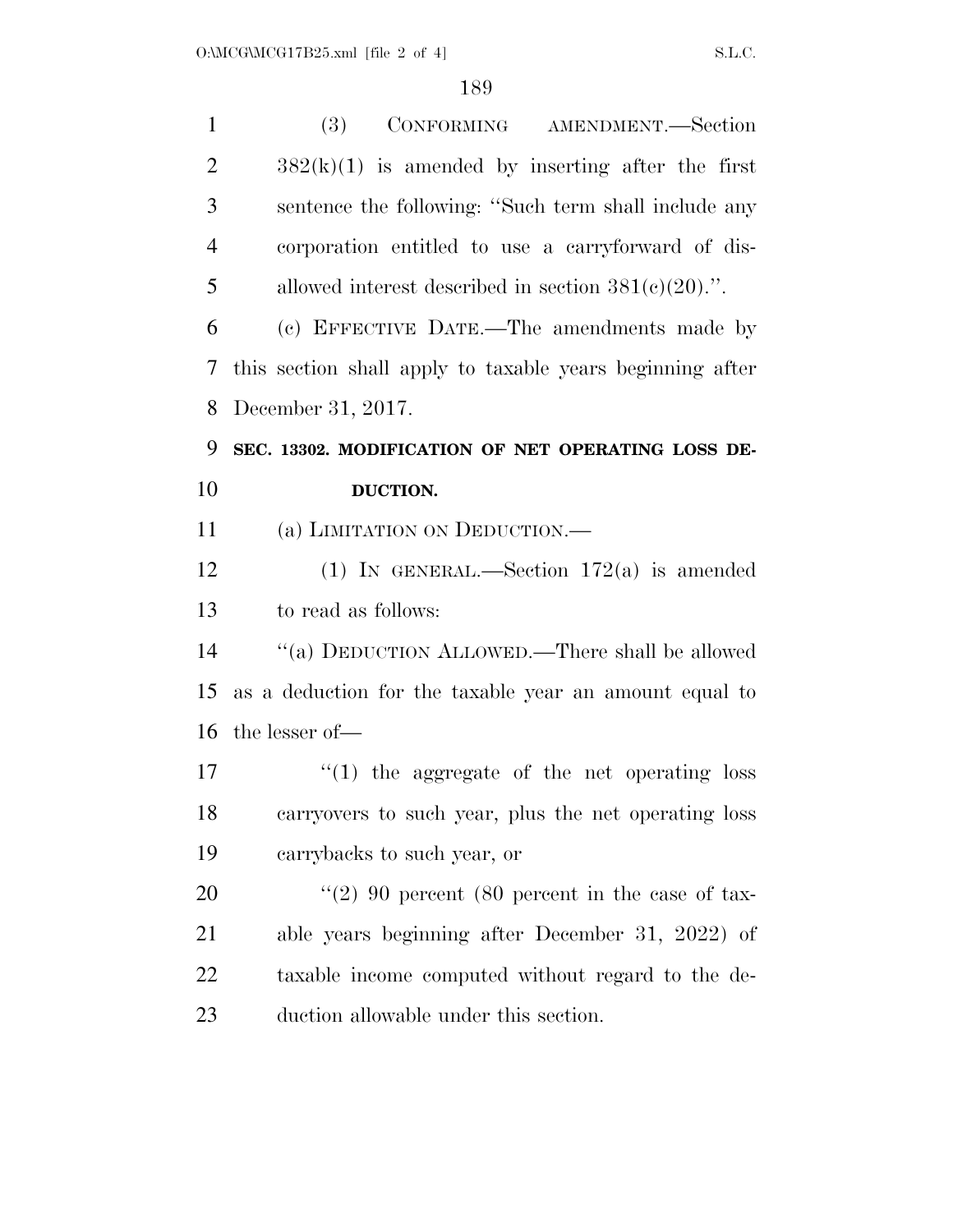| $\mathbf{1}$   | (3)<br>CONFORMING AMENDMENT.-Section                      |
|----------------|-----------------------------------------------------------|
| $\overline{2}$ | $382(k)(1)$ is amended by inserting after the first       |
| 3              | sentence the following: "Such term shall include any      |
| $\overline{4}$ | corporation entitled to use a carryforward of dis-        |
| 5              | allowed interest described in section $381(c)(20)$ .".    |
| 6              | (c) EFFECTIVE DATE.—The amendments made by                |
| 7              | this section shall apply to taxable years beginning after |
| 8              | December 31, 2017.                                        |
| 9              | SEC. 13302. MODIFICATION OF NET OPERATING LOSS DE-        |
| 10             | DUCTION.                                                  |
| 11             | (a) LIMITATION ON DEDUCTION.—                             |
| 12             | (1) IN GENERAL.—Section $172(a)$ is amended               |
| 13             | to read as follows:                                       |
| 14             | "(a) DEDUCTION ALLOWED.—There shall be allowed            |
| 15             | as a deduction for the taxable year an amount equal to    |
| 16             | the lesser of-                                            |
| 17             | $\cdot$ (1) the aggregate of the net operating loss       |
| 18             | carryovers to such year, plus the net operating loss      |
| 19             | carrybacks to such year, or                               |
| 20             | "(2) 90 percent (80 percent in the case of tax-           |
| 21             | able years beginning after December 31, 2022) of          |
| <u>22</u>      | taxable income computed without regard to the de-         |
| 23             | duction allowable under this section.                     |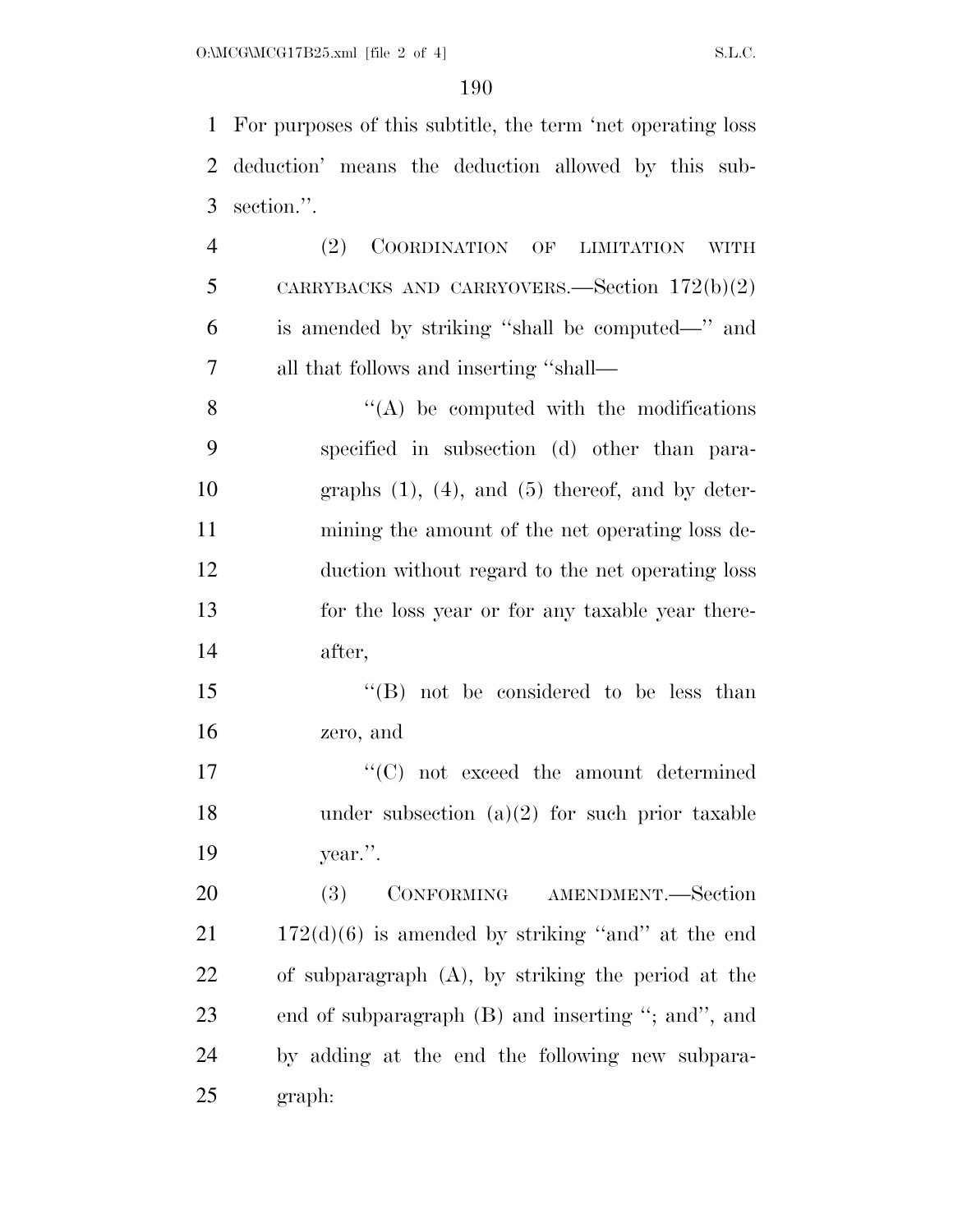For purposes of this subtitle, the term 'net operating loss deduction' means the deduction allowed by this sub-section.''.

 (2) COORDINATION OF LIMITATION WITH CARRYBACKS AND CARRYOVERS.—Section 172(b)(2) is amended by striking ''shall be computed—'' and all that follows and inserting ''shall—

 $\mathcal{S}$   $\mathcal{S}$   $\mathcal{S}$   $\mathcal{S}$  (A) be computed with the modifications specified in subsection (d) other than para- graphs (1), (4), and (5) thereof, and by deter- mining the amount of the net operating loss de- duction without regard to the net operating loss for the loss year or for any taxable year there-after,

15 "(B) not be considered to be less than zero, and

17  $\cdot$  (C) not exceed the amount determined 18 under subsection  $(a)(2)$  for such prior taxable year.''.

 (3) CONFORMING AMENDMENT.—Section  $21 \t 172(d)(6)$  is amended by striking "and" at the end of subparagraph (A), by striking the period at the end of subparagraph (B) and inserting ''; and'', and by adding at the end the following new subpara-graph: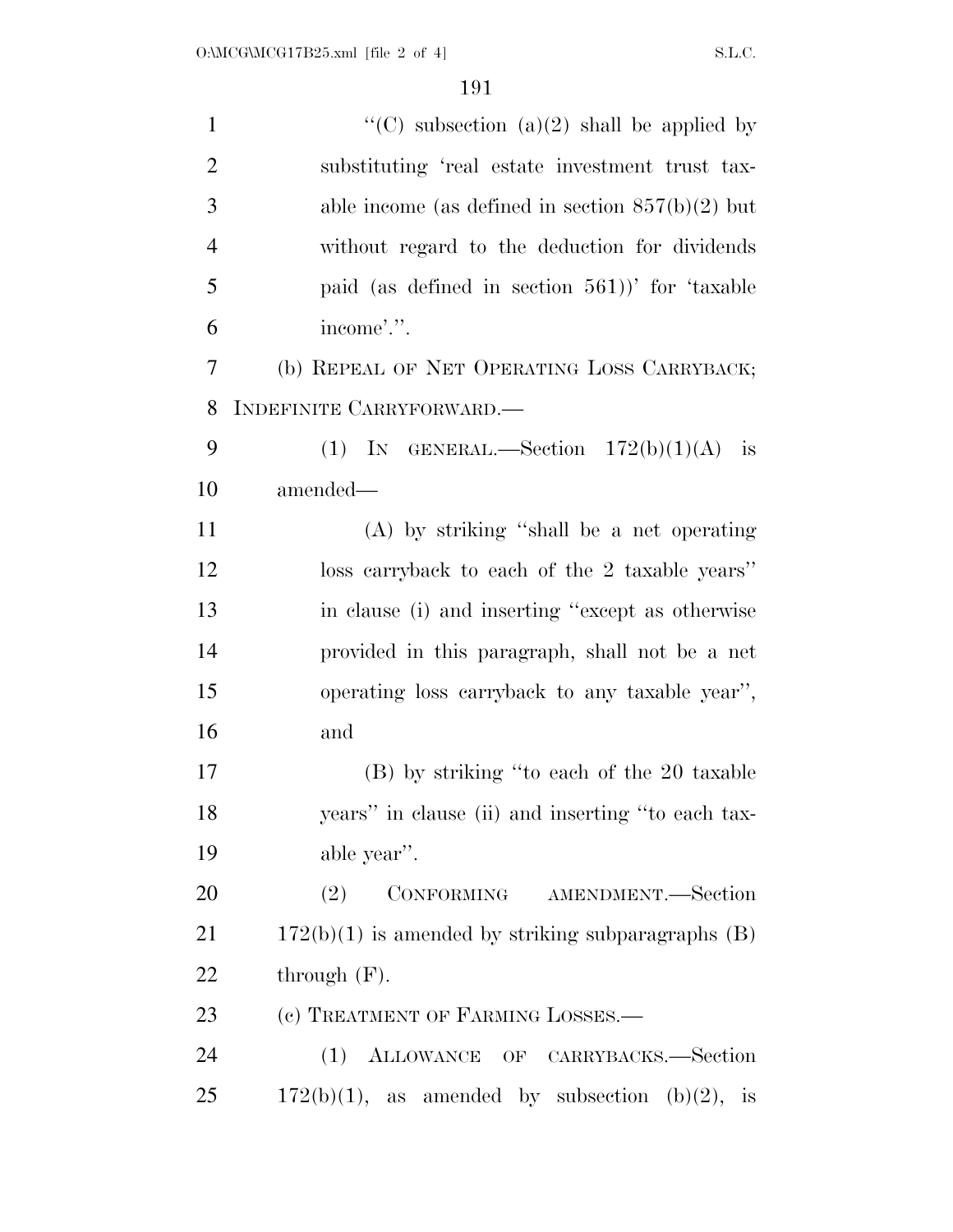| $\mathbf{1}$   | "(C) subsection (a)(2) shall be applied by             |
|----------------|--------------------------------------------------------|
| $\overline{2}$ | substituting 'real estate investment trust tax-        |
| 3              | able income (as defined in section $857(b)(2)$ but     |
| $\overline{4}$ | without regard to the deduction for dividends          |
| 5              | paid (as defined in section 561))' for 'taxable        |
| 6              | income'.".                                             |
| 7              | (b) REPEAL OF NET OPERATING LOSS CARRYBACK;            |
| 8              | INDEFINITE CARRYFORWARD.                               |
| 9              | (1) IN GENERAL.—Section $172(b)(1)(A)$ is              |
| 10             | amended—                                               |
| 11             | $(A)$ by striking "shall be a net operating"           |
| 12             | loss carryback to each of the 2 taxable years"         |
| 13             | in clause (i) and inserting "except as otherwise       |
| 14             | provided in this paragraph, shall not be a net         |
| 15             | operating loss carryback to any taxable year",         |
| 16             | and                                                    |
| 17             | (B) by striking "to each of the 20 taxable             |
| 18             | years" in clause (ii) and inserting "to each tax-      |
| 19             | able year".                                            |
| 20             | CONFORMING AMENDMENT.-Section<br>(2)                   |
| 21             | $172(b)(1)$ is amended by striking subparagraphs $(B)$ |
| <u>22</u>      | through $(F)$ .                                        |
| 23             | (c) TREATMENT OF FARMING LOSSES.-                      |
| 24             | (1) ALLOWANCE OF CARRYBACKS.-Section                   |
| 25             | $172(b)(1)$ , as amended by subsection (b)(2), is      |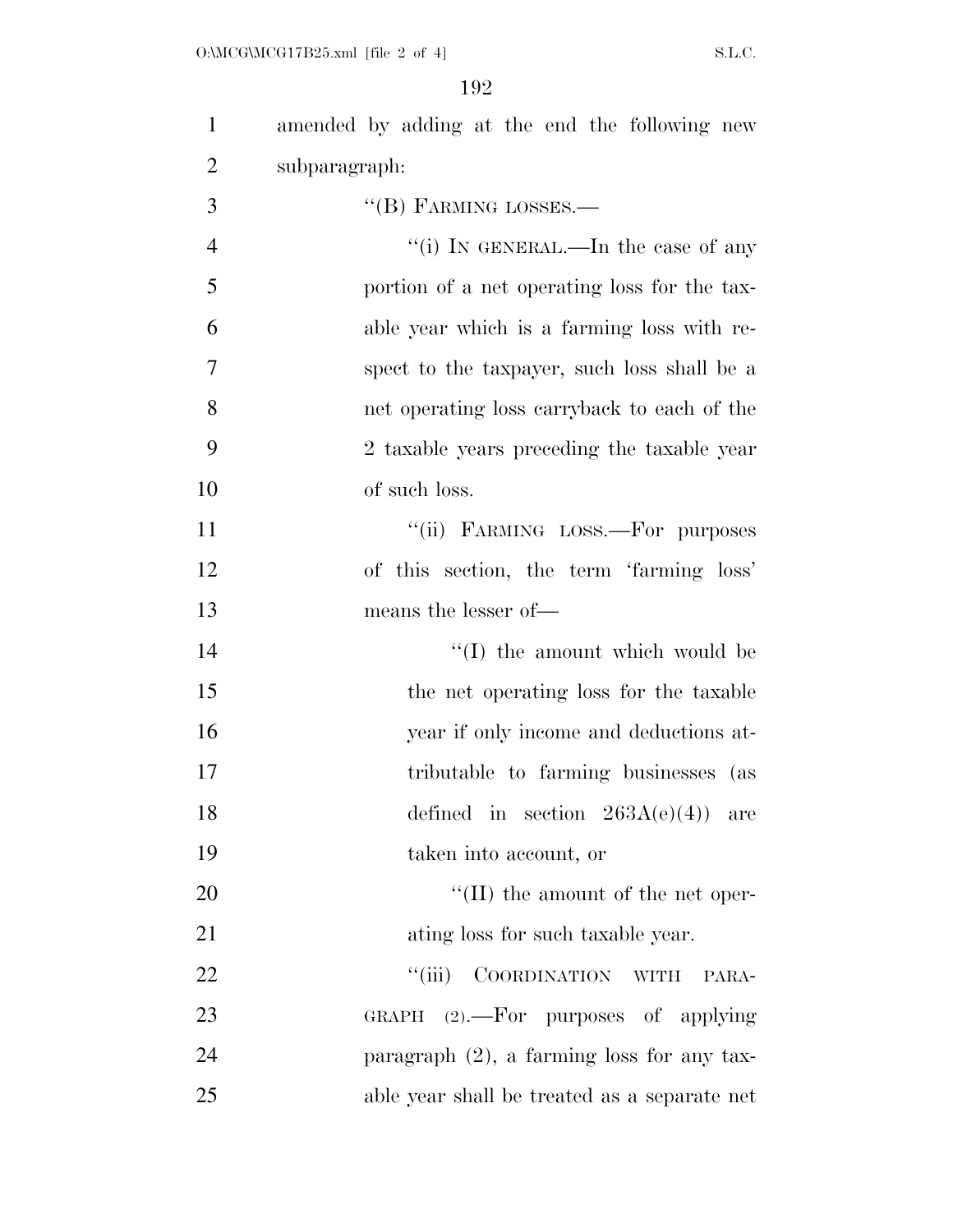$O:\text{MCG}\backslash\text{MCG17B25.xml}$  [file 2 of 4] S.L.C.

| $\mathbf{1}$   | amended by adding at the end the following new |
|----------------|------------------------------------------------|
| $\overline{2}$ | subparagraph:                                  |
| 3              | $\lq\lq$ (B) FARMING LOSSES.—                  |
| $\overline{4}$ | "(i) IN GENERAL.—In the case of any            |
| 5              | portion of a net operating loss for the tax-   |
| 6              | able year which is a farming loss with re-     |
| 7              | spect to the taxpayer, such loss shall be a    |
| 8              | net operating loss carryback to each of the    |
| 9              | 2 taxable years preceding the taxable year     |
| 10             | of such loss.                                  |
| 11             | "(ii) FARMING LOSS.-For purposes               |
| 12             | of this section, the term 'farming loss'       |
| 13             | means the lesser of—                           |
| 14             | $\lq (I)$ the amount which would be            |
| 15             | the net operating loss for the taxable         |
| 16             | year if only income and deductions at-         |
| 17             | tributable to farming businesses (as           |
| 18             | defined in section $263A(e)(4)$ are            |
| 19             | taken into account, or                         |
| 20             | $\lq\lq$ (II) the amount of the net oper-      |
| 21             | ating loss for such taxable year.              |
| 22             | ``(iii)<br>COORDINATION WITH<br>PARA-          |
| 23             | GRAPH $(2)$ . For purposes of applying         |
| 24             | paragraph $(2)$ , a farming loss for any tax-  |
| 25             | able year shall be treated as a separate net   |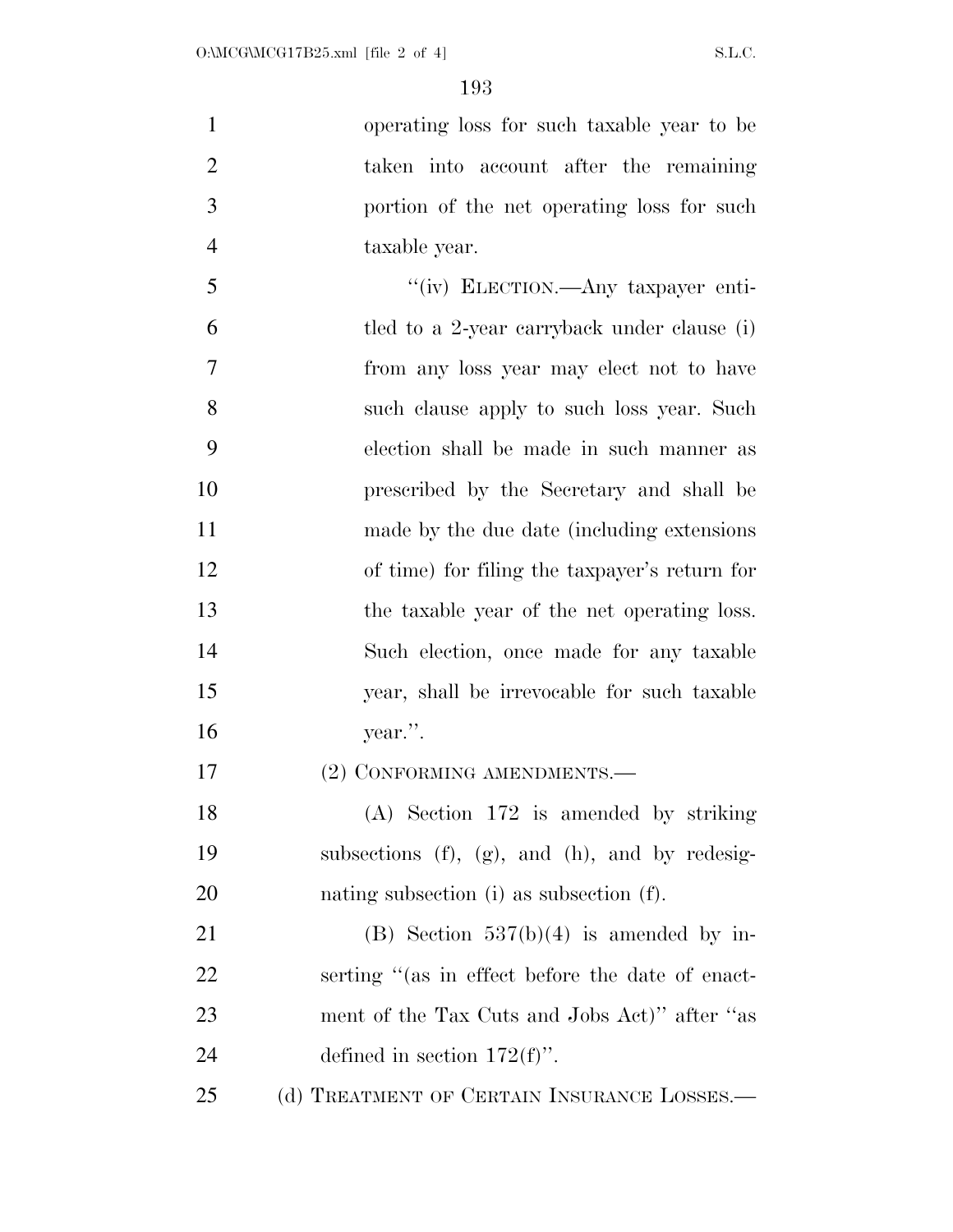| $\mathbf{1}$   | operating loss for such taxable year to be       |
|----------------|--------------------------------------------------|
| $\overline{2}$ | taken into account after the remaining           |
| 3              | portion of the net operating loss for such       |
| $\overline{4}$ | taxable year.                                    |
| 5              | "(iv) ELECTION.—Any taxpayer enti-               |
| 6              | tled to a 2-year carryback under clause (i)      |
| $\overline{7}$ | from any loss year may elect not to have         |
| 8              | such clause apply to such loss year. Such        |
| 9              | election shall be made in such manner as         |
| 10             | prescribed by the Secretary and shall be         |
| 11             | made by the due date (including extensions)      |
| 12             | of time) for filing the taxpayer's return for    |
| 13             | the taxable year of the net operating loss.      |
| 14             | Such election, once made for any taxable         |
| 15             | year, shall be irrevocable for such taxable      |
| 16             | year.".                                          |
| 17             | (2) CONFORMING AMENDMENTS.—                      |
| 18             | $(A)$ Section 172 is amended by striking         |
| 19             | subsections (f), (g), and (h), and by redesig-   |
| 20             | nating subsection (i) as subsection (f).         |
| 21             | (B) Section $537(b)(4)$ is amended by in-        |
| 22             | serting "(as in effect before the date of enact- |
| 23             | ment of the Tax Cuts and Jobs Act)" after "as    |
| 24             | defined in section $172(f)$ .                    |
| 25             | (d) TREATMENT OF CERTAIN INSURANCE LOSSES.—      |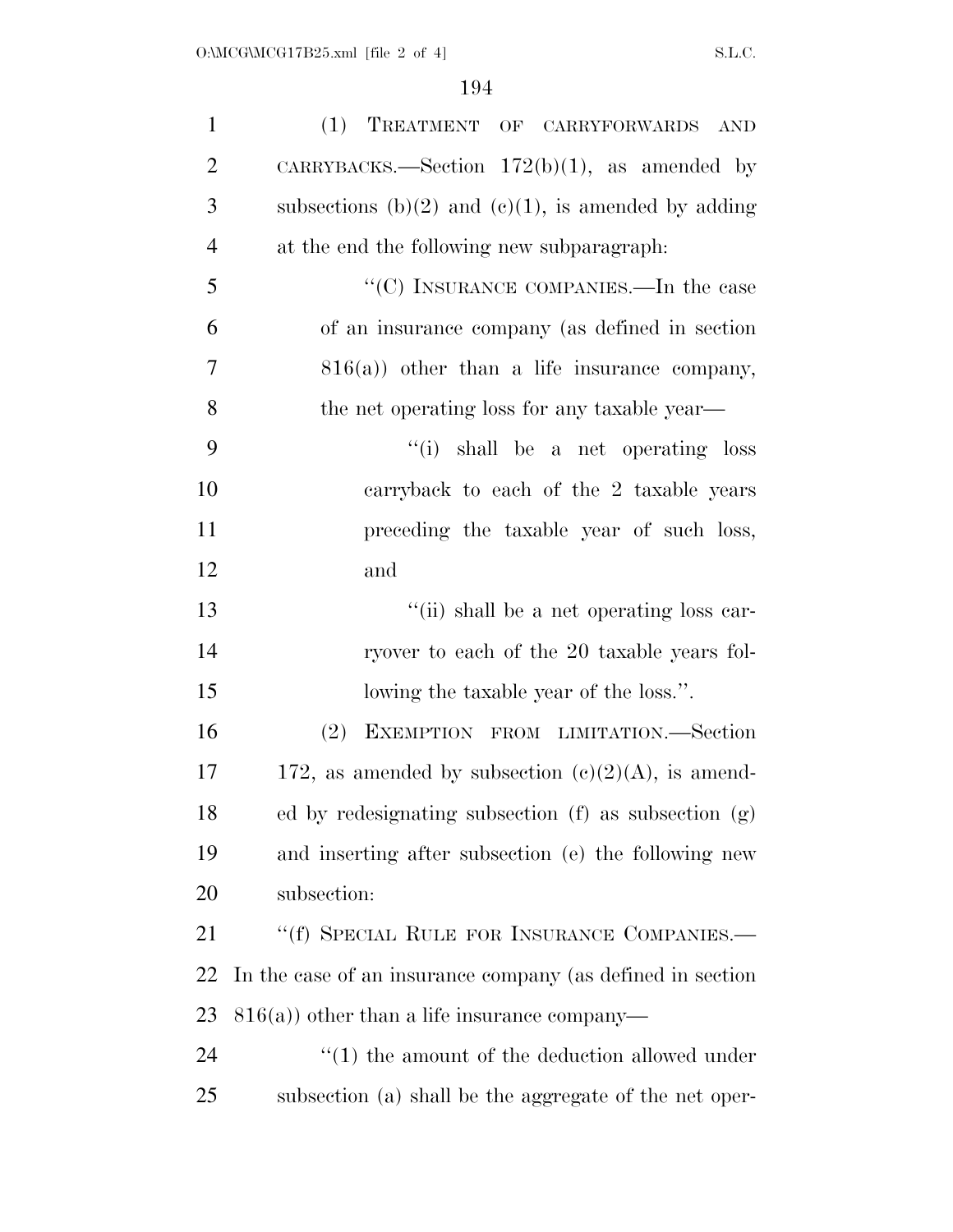| $\mathbf{1}$   | (1) TREATMENT OF CARRYFORWARDS AND                         |
|----------------|------------------------------------------------------------|
| $\overline{2}$ | CARRYBACKS.—Section $172(b)(1)$ , as amended by            |
| 3              | subsections (b)(2) and (c)(1), is amended by adding        |
| $\overline{4}$ | at the end the following new subparagraph.                 |
| 5              | "(C) INSURANCE COMPANIES.—In the case                      |
| 6              | of an insurance company (as defined in section             |
| 7              | $816(a)$ other than a life insurance company,              |
| 8              | the net operating loss for any taxable year—               |
| 9              | "(i) shall be a net operating loss                         |
| 10             | carryback to each of the 2 taxable years                   |
| 11             | preceding the taxable year of such loss,                   |
| 12             | and                                                        |
| 13             | "(ii) shall be a net operating loss car-                   |
| 14             | ryover to each of the 20 taxable years fol-                |
| 15             | lowing the taxable year of the loss.".                     |
| 16             | EXEMPTION FROM LIMITATION.-Section<br>(2)                  |
| 17             | 172, as amended by subsection $(c)(2)(A)$ , is amend-      |
| 18             | ed by redesignating subsection $(f)$ as subsection $(g)$   |
| 19             | and inserting after subsection (e) the following new       |
| 20             | subsection:                                                |
| 21             | "(f) SPECIAL RULE FOR INSURANCE COMPANIES.—                |
| 22             | In the case of an insurance company (as defined in section |
| 23             | $816(a)$ ) other than a life insurance company—            |
| 24             | $\cdot$ (1) the amount of the deduction allowed under      |
| 25             | subsection (a) shall be the aggregate of the net oper-     |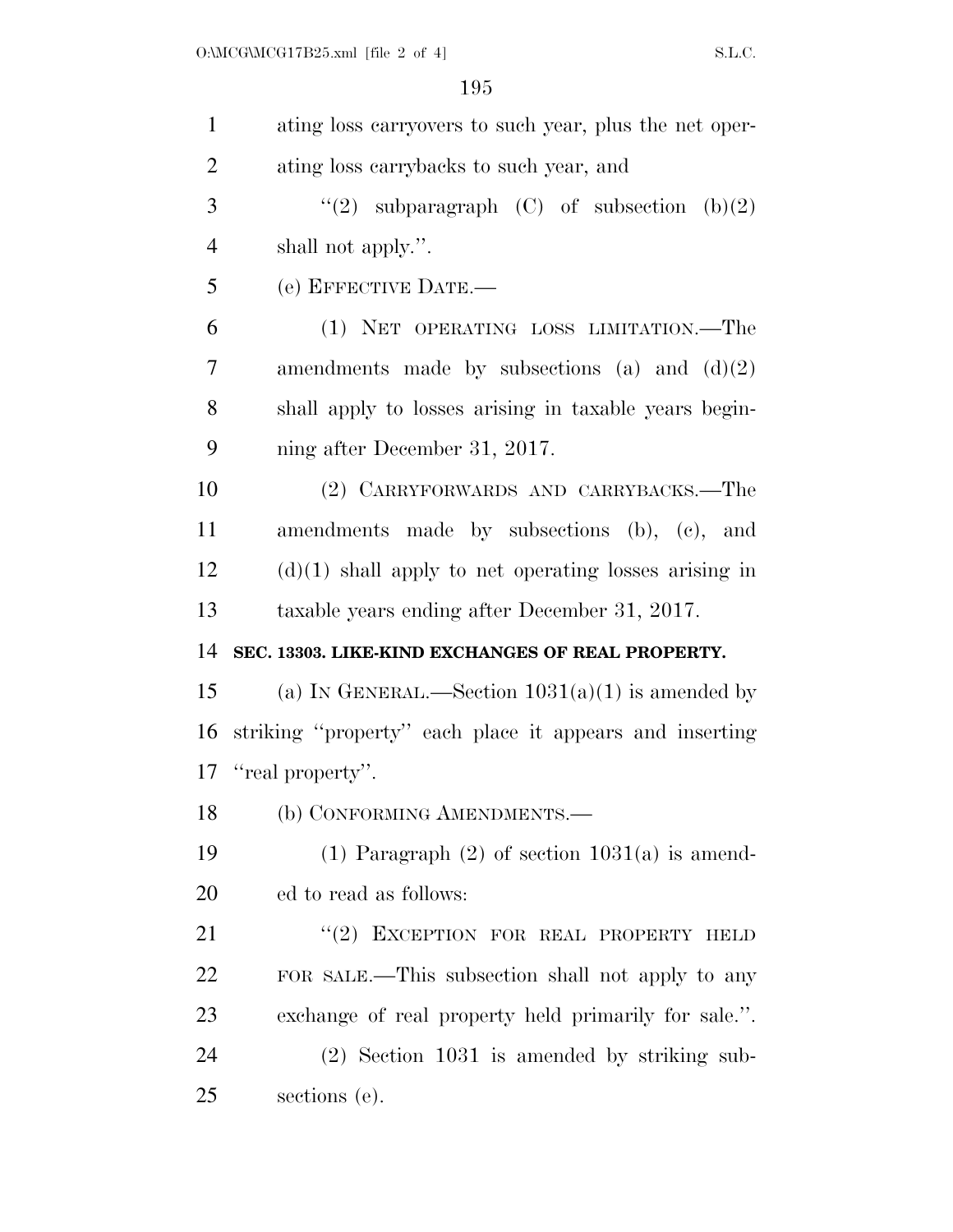| $\mathbf{1}$   | ating loss carryovers to such year, plus the net oper-  |
|----------------|---------------------------------------------------------|
| $\overline{2}$ | ating loss carrybacks to such year, and                 |
| 3              | "(2) subparagraph $(C)$ of subsection $(b)(2)$          |
| $\overline{4}$ | shall not apply.".                                      |
| 5              | (e) EFFECTIVE DATE.-                                    |
| 6              | (1) NET OPERATING LOSS LIMITATION.—The                  |
| 7              | amendments made by subsections (a) and $(d)(2)$         |
| 8              | shall apply to losses arising in taxable years begin-   |
| 9              | ning after December 31, 2017.                           |
| 10             | (2) CARRYFORWARDS AND CARRYBACKS.-The                   |
| 11             | amendments made by subsections (b), (c), and            |
| 12             | $(d)(1)$ shall apply to net operating losses arising in |
| 13             | taxable years ending after December 31, 2017.           |
| 14             | SEC. 13303. LIKE-KIND EXCHANGES OF REAL PROPERTY.       |
| 15             | (a) IN GENERAL.—Section $1031(a)(1)$ is amended by      |
| 16             | striking "property" each place it appears and inserting |
| 17             | "real property".                                        |
| 18             | (b) CONFORMING AMENDMENTS.—                             |
| 19             | $(1)$ Paragraph $(2)$ of section $1031(a)$ is amend-    |
| 20             | ed to read as follows:                                  |
| 21             | "(2) EXCEPTION FOR REAL PROPERTY HELD                   |
| 22             | FOR SALE.—This subsection shall not apply to any        |
| 23             | exchange of real property held primarily for sale.".    |
| 24             | (2) Section 1031 is amended by striking sub-            |
| 25             | sections (e).                                           |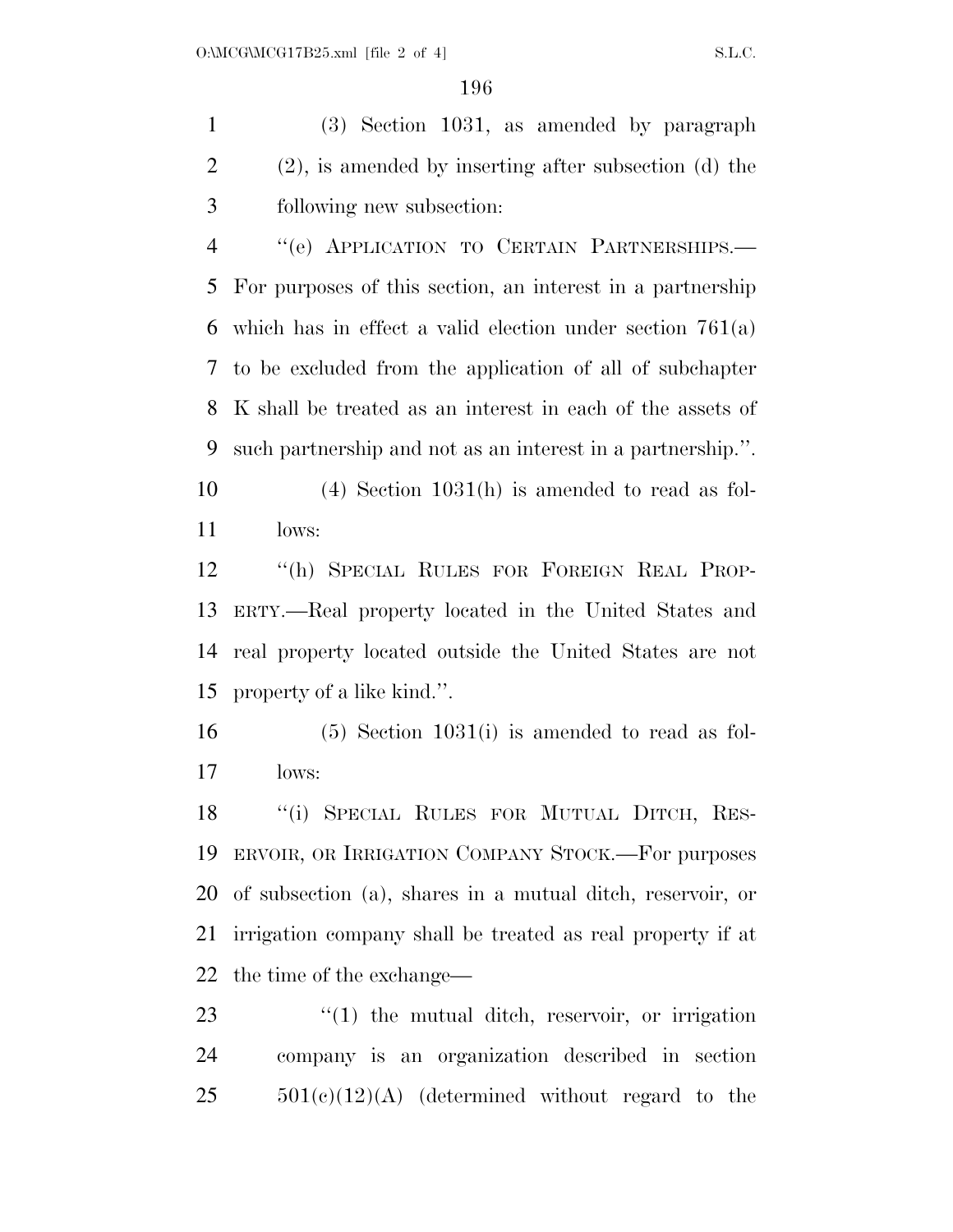(3) Section 1031, as amended by paragraph (2), is amended by inserting after subsection (d) the following new subsection:

 ''(e) APPLICATION TO CERTAIN PARTNERSHIPS.— For purposes of this section, an interest in a partnership which has in effect a valid election under section 761(a) to be excluded from the application of all of subchapter K shall be treated as an interest in each of the assets of such partnership and not as an interest in a partnership.''.

 (4) Section 1031(h) is amended to read as fol-lows:

 ''(h) SPECIAL RULES FOR FOREIGN REAL PROP- ERTY.—Real property located in the United States and real property located outside the United States are not property of a like kind.''.

 (5) Section 1031(i) is amended to read as fol-lows:

18 "(i) SPECIAL RULES FOR MUTUAL DITCH, RES- ERVOIR, OR IRRIGATION COMPANY STOCK.—For purposes of subsection (a), shares in a mutual ditch, reservoir, or irrigation company shall be treated as real property if at the time of the exchange—

23  $\frac{1}{2}$  (1) the mutual ditch, reservoir, or irrigation company is an organization described in section  $501(e)(12)(A)$  (determined without regard to the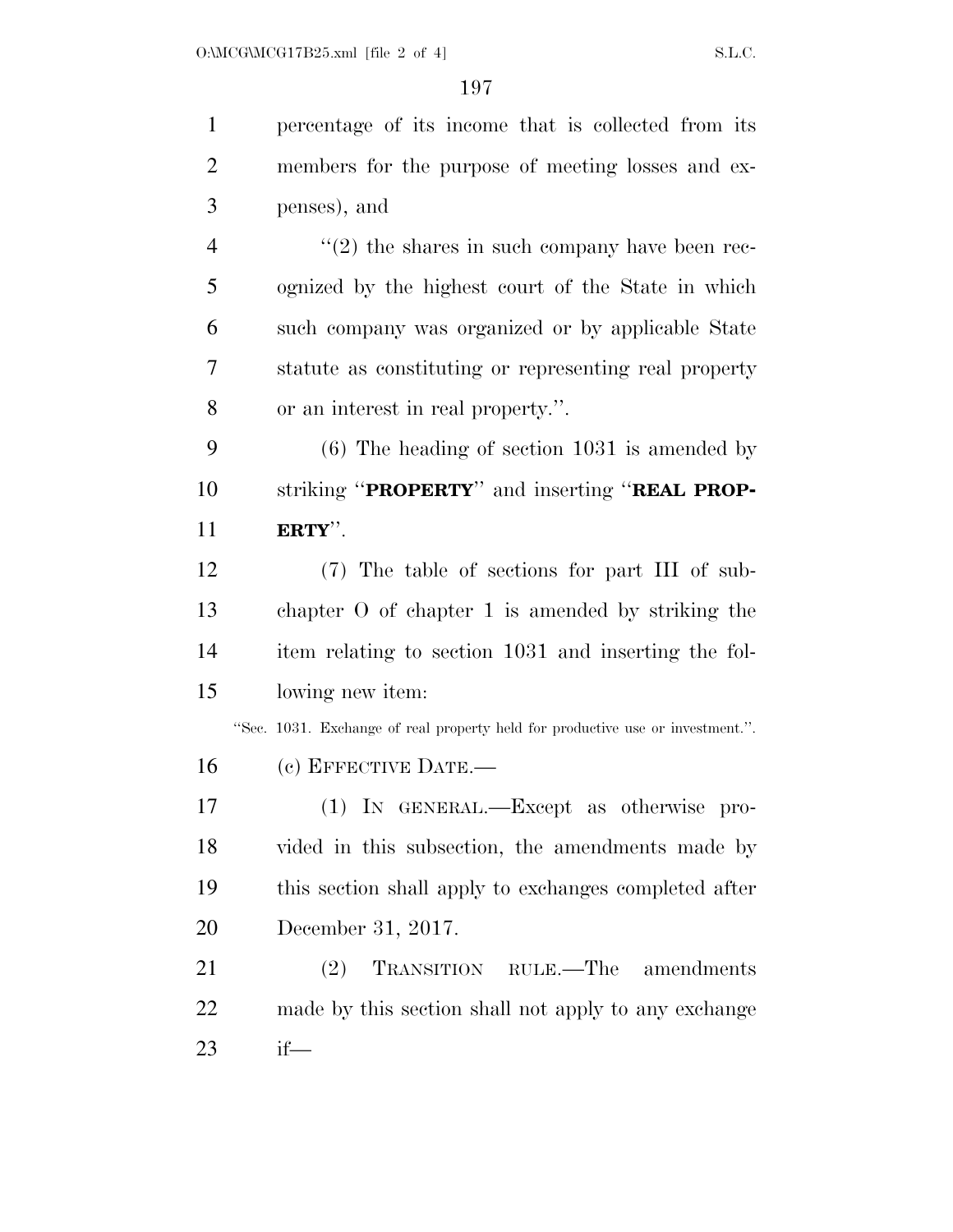percentage of its income that is collected from its members for the purpose of meeting losses and ex- penses), and  $\frac{4}{2}$  ''(2) the shares in such company have been rec- ognized by the highest court of the State in which such company was organized or by applicable State statute as constituting or representing real property or an interest in real property.''. (6) The heading of section 1031 is amended by striking ''**PROPERTY**'' and inserting ''**REAL PROP- ERTY**''. (7) The table of sections for part III of sub- chapter O of chapter 1 is amended by striking the item relating to section 1031 and inserting the fol- lowing new item: ''Sec. 1031. Exchange of real property held for productive use or investment.''. (c) EFFECTIVE DATE.— (1) IN GENERAL.—Except as otherwise pro- vided in this subsection, the amendments made by this section shall apply to exchanges completed after

December 31, 2017.

 (2) TRANSITION RULE.—The amendments made by this section shall not apply to any exchange if—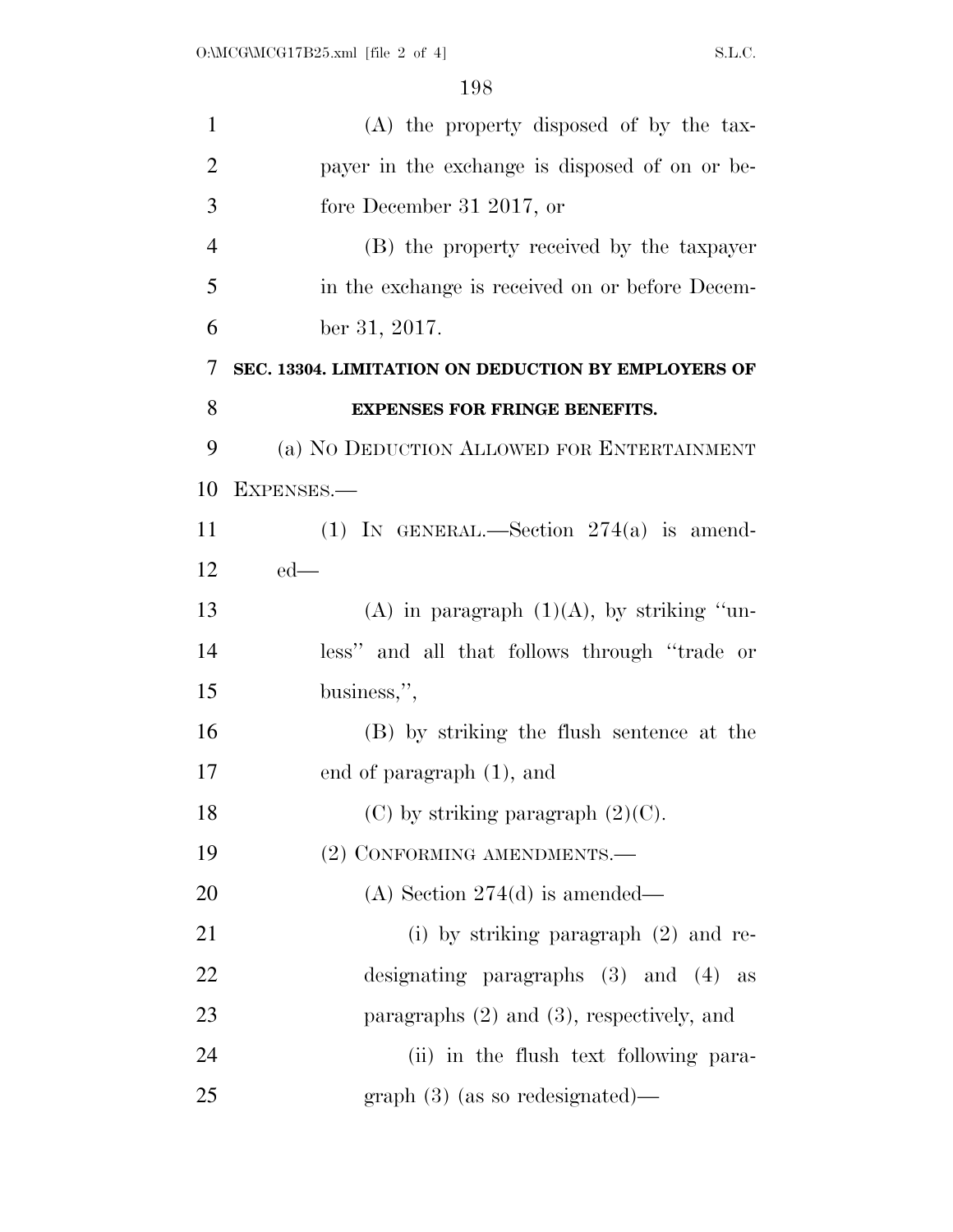| $\mathbf{1}$   | $(A)$ the property disposed of by the tax-          |
|----------------|-----------------------------------------------------|
| $\overline{2}$ | payer in the exchange is disposed of on or be-      |
| 3              | fore December 31 2017, or                           |
| $\overline{4}$ | (B) the property received by the taxpayer           |
| 5              | in the exchange is received on or before Decem-     |
| 6              | ber 31, 2017.                                       |
| 7              | SEC. 13304. LIMITATION ON DEDUCTION BY EMPLOYERS OF |
| 8              | <b>EXPENSES FOR FRINGE BENEFITS.</b>                |
| 9              | (a) NO DEDUCTION ALLOWED FOR ENTERTAINMENT          |
| 10             | EXPENSES.-                                          |
| 11             | (1) IN GENERAL.—Section $274(a)$ is amend-          |
| 12             | $ed$ —                                              |
| 13             | (A) in paragraph $(1)(A)$ , by striking "un-        |
| 14             | less" and all that follows through "trade or        |
| 15             | business,",                                         |
| 16             | (B) by striking the flush sentence at the           |
| 17             | end of paragraph (1), and                           |
| 18             | $(C)$ by striking paragraph $(2)(C)$ .              |
| 19             | (2) CONFORMING AMENDMENTS.-                         |
| 20             | (A) Section $274(d)$ is amended—                    |
| 21             | (i) by striking paragraph $(2)$ and re-             |
| 22             | designating paragraphs $(3)$ and $(4)$ as           |
| 23             | paragraphs $(2)$ and $(3)$ , respectively, and      |
| 24             | (ii) in the flush text following para-              |
| 25             | $graph(3)$ (as so redesignated)—                    |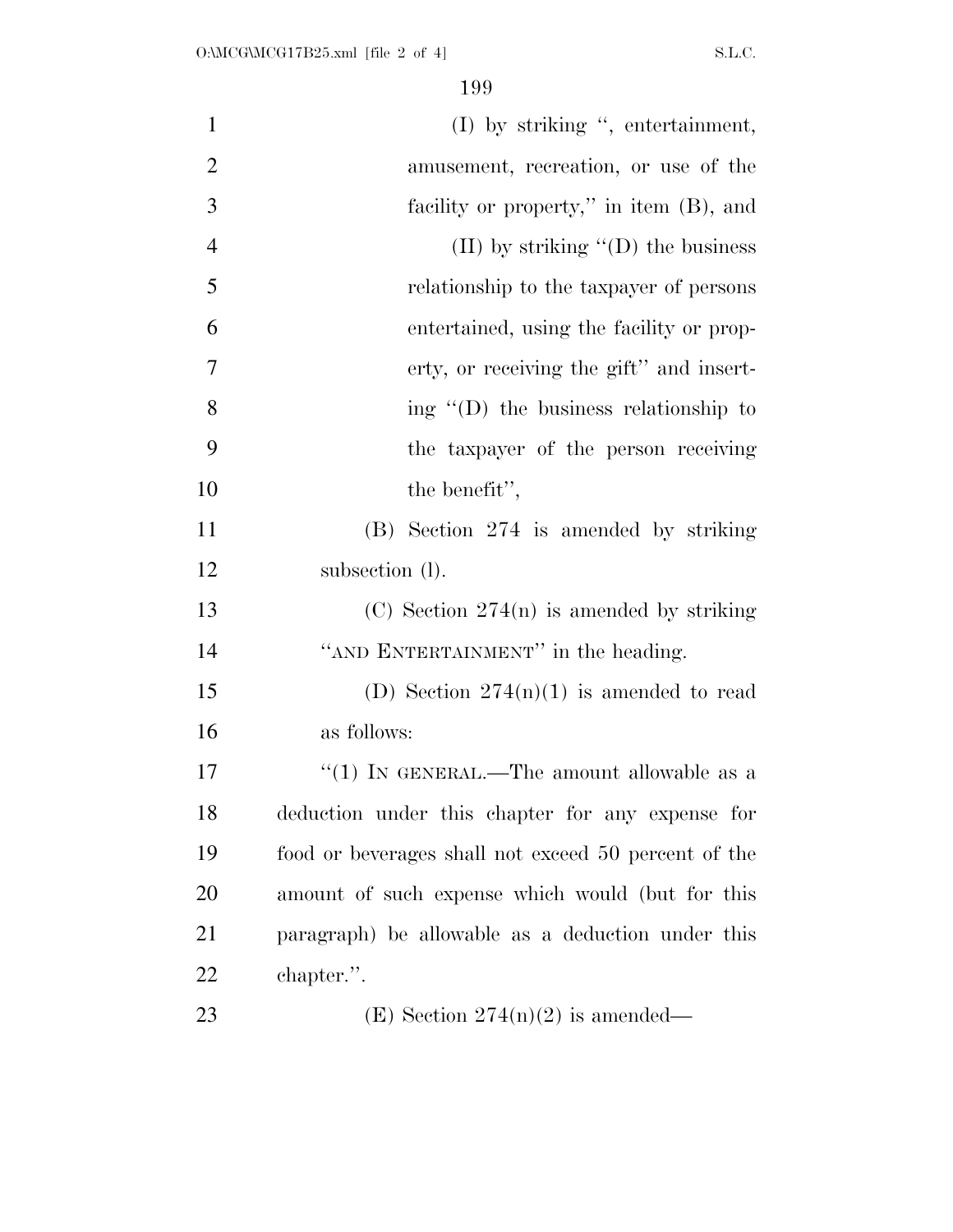| $\mathbf{1}$   | $(I)$ by striking ", entertainment,                  |
|----------------|------------------------------------------------------|
| $\overline{2}$ | amusement, recreation, or use of the                 |
| 3              | facility or property," in item (B), and              |
| $\overline{4}$ | (II) by striking $\lq\lq$ (D) the business           |
| 5              | relationship to the taxpayer of persons              |
| 6              | entertained, using the facility or prop-             |
| 7              | erty, or receiving the gift" and insert-             |
| 8              | ing $\lq\lq$ (D) the business relationship to        |
| 9              | the taxpayer of the person receiving                 |
| 10             | the benefit",                                        |
| 11             | (B) Section 274 is amended by striking               |
| 12             | subsection (1).                                      |
| 13             | $(C)$ Section 274(n) is amended by striking          |
| 14             | "AND ENTERTAINMENT" in the heading.                  |
| 15             | (D) Section $274(n)(1)$ is amended to read           |
| 16             | as follows:                                          |
| 17             | "(1) IN GENERAL.—The amount allowable as a           |
| 18             | deduction under this chapter for any expense for     |
| 19             | food or beverages shall not exceed 50 percent of the |
| 20             | amount of such expense which would (but for this     |
| 21             | paragraph) be allowable as a deduction under this    |
| 22             | chapter.".                                           |
| 23             | (E) Section $274(n)(2)$ is amended—                  |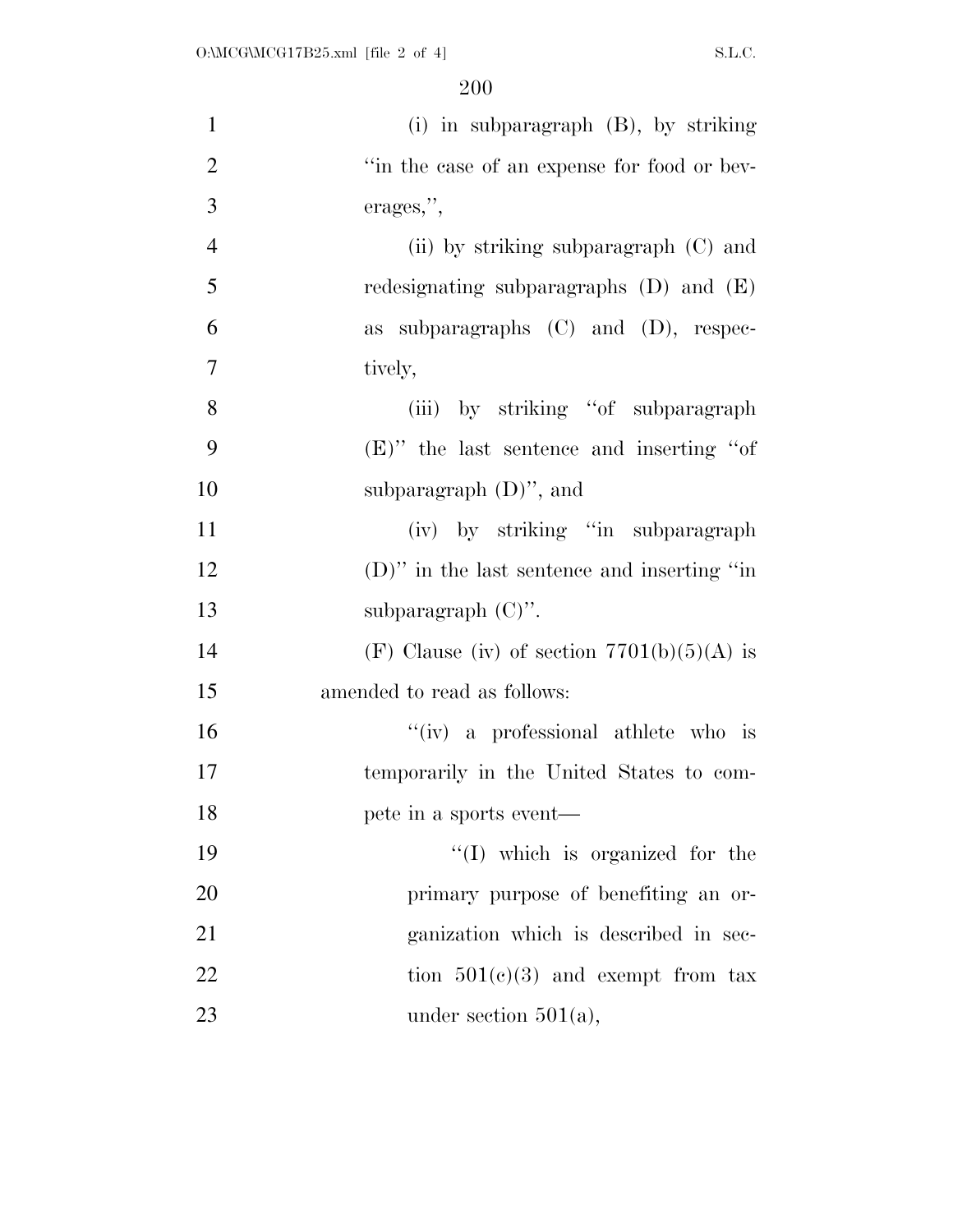| $\mathbf{1}$   | $(i)$ in subparagraph $(B)$ , by striking      |
|----------------|------------------------------------------------|
| $\overline{2}$ | "in the case of an expense for food or bev-    |
| 3              | erages,",                                      |
| $\overline{4}$ | (ii) by striking subparagraph (C) and          |
| 5              | redesignating subparagraphs $(D)$ and $(E)$    |
| 6              | as subparagraphs $(C)$ and $(D)$ , respec-     |
| $\overline{7}$ | tively,                                        |
| 8              | (iii) by striking "of subparagraph"            |
| 9              | $(E)$ " the last sentence and inserting "of"   |
| 10             | subparagraph $(D)$ ", and                      |
| 11             | (iv) by striking "in subparagraph"             |
| 12             | $(D)$ " in the last sentence and inserting "in |
| 13             | subparagraph $(C)$ ".                          |
| 14             | (F) Clause (iv) of section $7701(b)(5)(A)$ is  |
| 15             | amended to read as follows:                    |
| 16             | "(iv) a professional athlete who is            |
| 17             | temporarily in the United States to com-       |
| 18             | pete in a sports event—                        |
| 19             | "(I) which is organized for the                |
| 20             | primary purpose of benefiting an or-           |
| 21             | ganization which is described in sec-          |
| 22             | tion $501(e)(3)$ and exempt from tax           |
| 23             | under section $501(a)$ ,                       |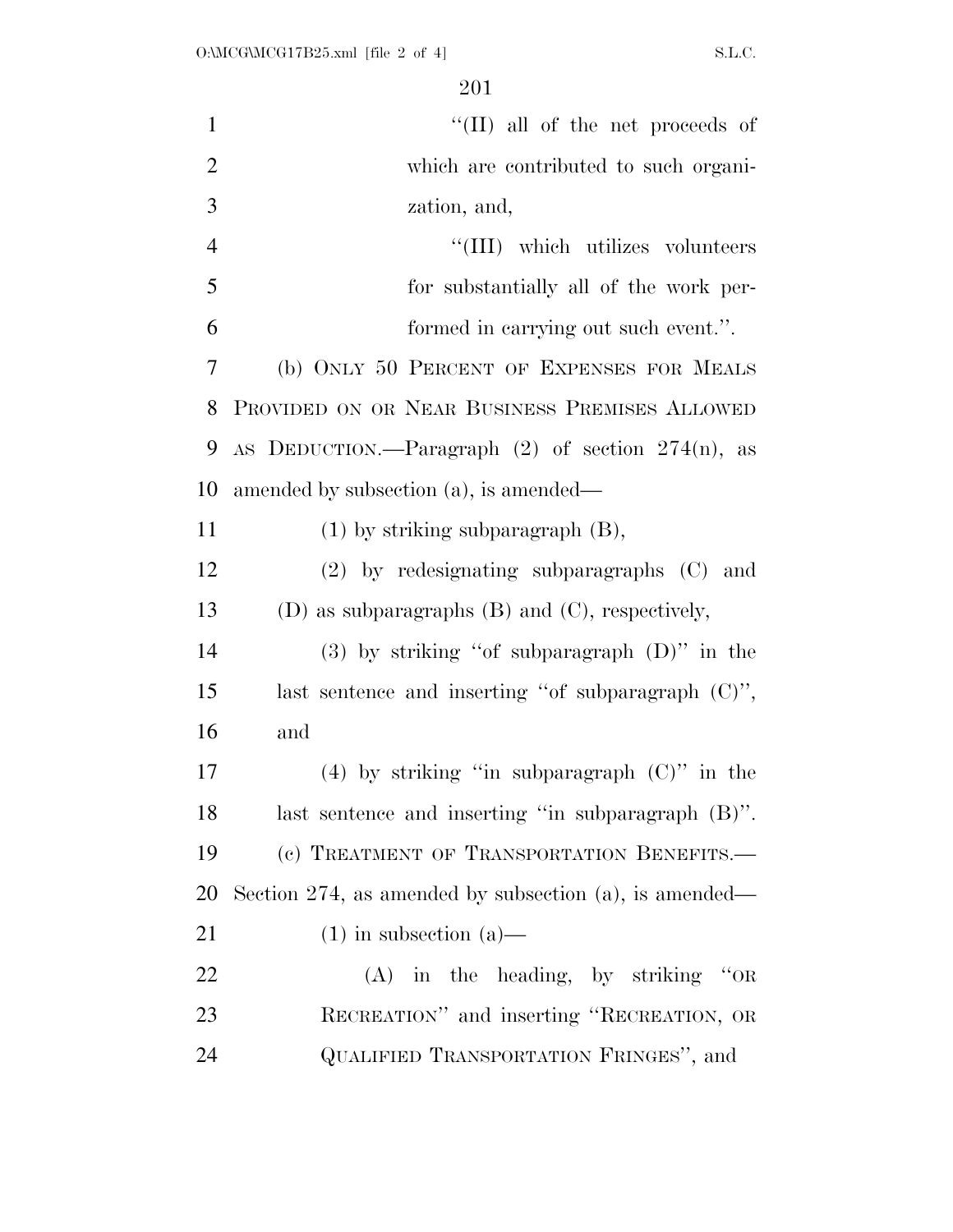| $\mathbf{1}$   | "(II) all of the net proceeds of                          |
|----------------|-----------------------------------------------------------|
| $\overline{2}$ | which are contributed to such organi-                     |
| 3              | zation, and,                                              |
| $\overline{4}$ | "(III) which utilizes volunteers                          |
| 5              | for substantially all of the work per-                    |
| 6              | formed in carrying out such event.".                      |
| 7              | (b) ONLY 50 PERCENT OF EXPENSES FOR MEALS                 |
| 8              | PROVIDED ON OR NEAR BUSINESS PREMISES ALLOWED             |
| 9              | AS DEDUCTION.—Paragraph $(2)$ of section $274(n)$ , as    |
| 10             | amended by subsection (a), is amended—                    |
| 11             | $(1)$ by striking subparagraph $(B)$ ,                    |
| 12             | (2) by redesignating subparagraphs (C) and                |
| 13             | (D) as subparagraphs (B) and (C), respectively,           |
| 14             | $(3)$ by striking "of subparagraph $(D)$ " in the         |
| 15             | last sentence and inserting "of subparagraph $(C)$ ",     |
| 16             | and                                                       |
| 17             | (4) by striking "in subparagraph $(C)$ " in the           |
| 18             | last sentence and inserting "in subparagraph (B)".        |
| 19             | (c) TREATMENT OF TRANSPORTATION BENEFITS.-                |
| 20             | Section 274, as amended by subsection $(a)$ , is amended— |
| 21             | $(1)$ in subsection $(a)$ —                               |
| 22             | $(A)$ in the heading, by striking "OR                     |
| 23             | RECREATION" and inserting "RECREATION, OR                 |
| 24             | QUALIFIED TRANSPORTATION FRINGES", and                    |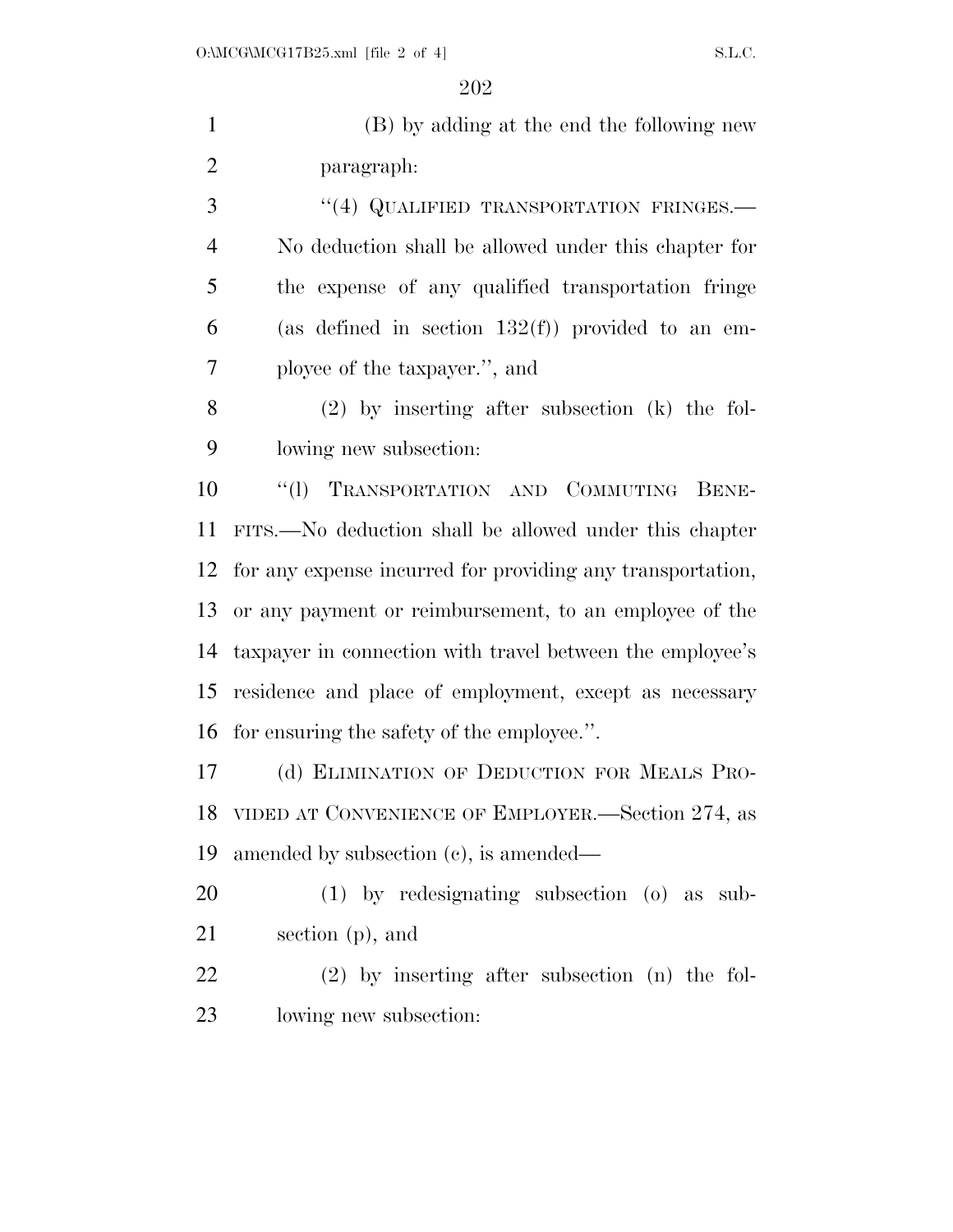| $\mathbf{1}$   | (B) by adding at the end the following new                 |
|----------------|------------------------------------------------------------|
| $\overline{2}$ | paragraph:                                                 |
| 3              | "(4) QUALIFIED TRANSPORTATION FRINGES.-                    |
| $\overline{4}$ | No deduction shall be allowed under this chapter for       |
| 5              | the expense of any qualified transportation fringe         |
| 6              | (as defined in section $132(f)$ ) provided to an em-       |
| $\overline{7}$ | ployee of the taxpayer.", and                              |
| 8              | $(2)$ by inserting after subsection $(k)$ the fol-         |
| 9              | lowing new subsection:                                     |
| 10             | "(1) TRANSPORTATION AND COMMUTING BENE-                    |
| 11             | FITS.—No deduction shall be allowed under this chapter     |
| 12             | for any expense incurred for providing any transportation, |
| 13             | or any payment or reimbursement, to an employee of the     |
| 14             | taxpayer in connection with travel between the employee's  |
| 15             | residence and place of employment, except as necessary     |
| 16             | for ensuring the safety of the employee.".                 |
| 17             | (d) ELIMINATION OF DEDUCTION FOR MEALS PRO-                |
| 18             | VIDED AT CONVENIENCE OF EMPLOYER.—Section 274, as          |
| 19             | amended by subsection (c), is amended—                     |
| <b>20</b>      | $(1)$ by redesignating subsection $(0)$ as sub-            |
| 21             | section $(p)$ , and                                        |
| 22             | $(2)$ by inserting after subsection $(n)$ the fol-         |
| 23             | lowing new subsection:                                     |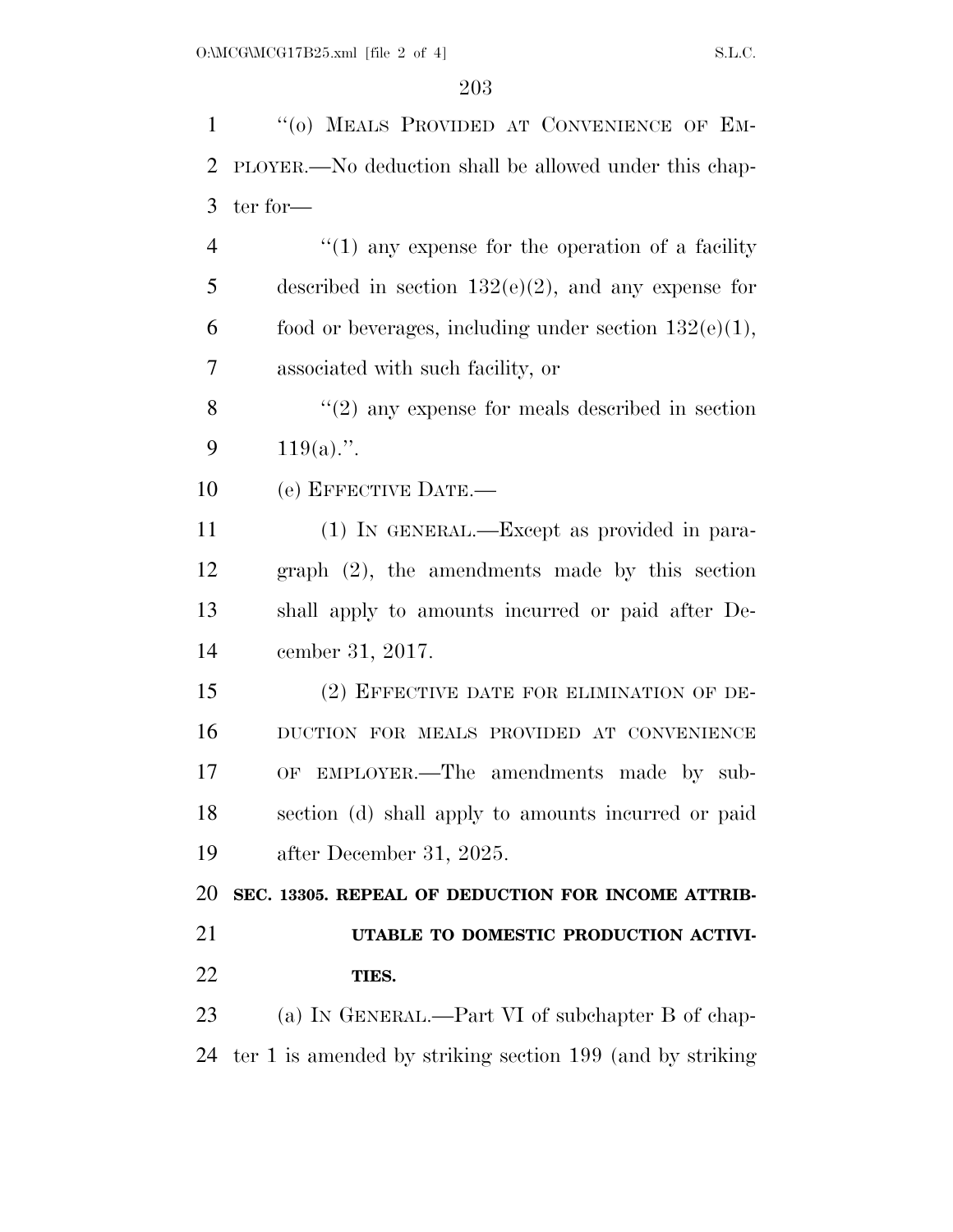1 "(0) MEALS PROVIDED AT CONVENIENCE OF EM- PLOYER.—No deduction shall be allowed under this chap- ter for— 4 "(1) any expense for the operation of a facility described in section 132(e)(2), and any expense for 6 food or beverages, including under section  $132(e)(1)$ , associated with such facility, or 8 "(2) any expense for meals described in section  $119(a)$ .". (e) EFFECTIVE DATE.— (1) IN GENERAL.—Except as provided in para- graph (2), the amendments made by this section shall apply to amounts incurred or paid after De- cember 31, 2017. (2) EFFECTIVE DATE FOR ELIMINATION OF DE- DUCTION FOR MEALS PROVIDED AT CONVENIENCE OF EMPLOYER.—The amendments made by sub- section (d) shall apply to amounts incurred or paid after December 31, 2025. **SEC. 13305. REPEAL OF DEDUCTION FOR INCOME ATTRIB- UTABLE TO DOMESTIC PRODUCTION ACTIVI- TIES.**  23 (a) IN GENERAL.—Part VI of subchapter B of chap-ter 1 is amended by striking section 199 (and by striking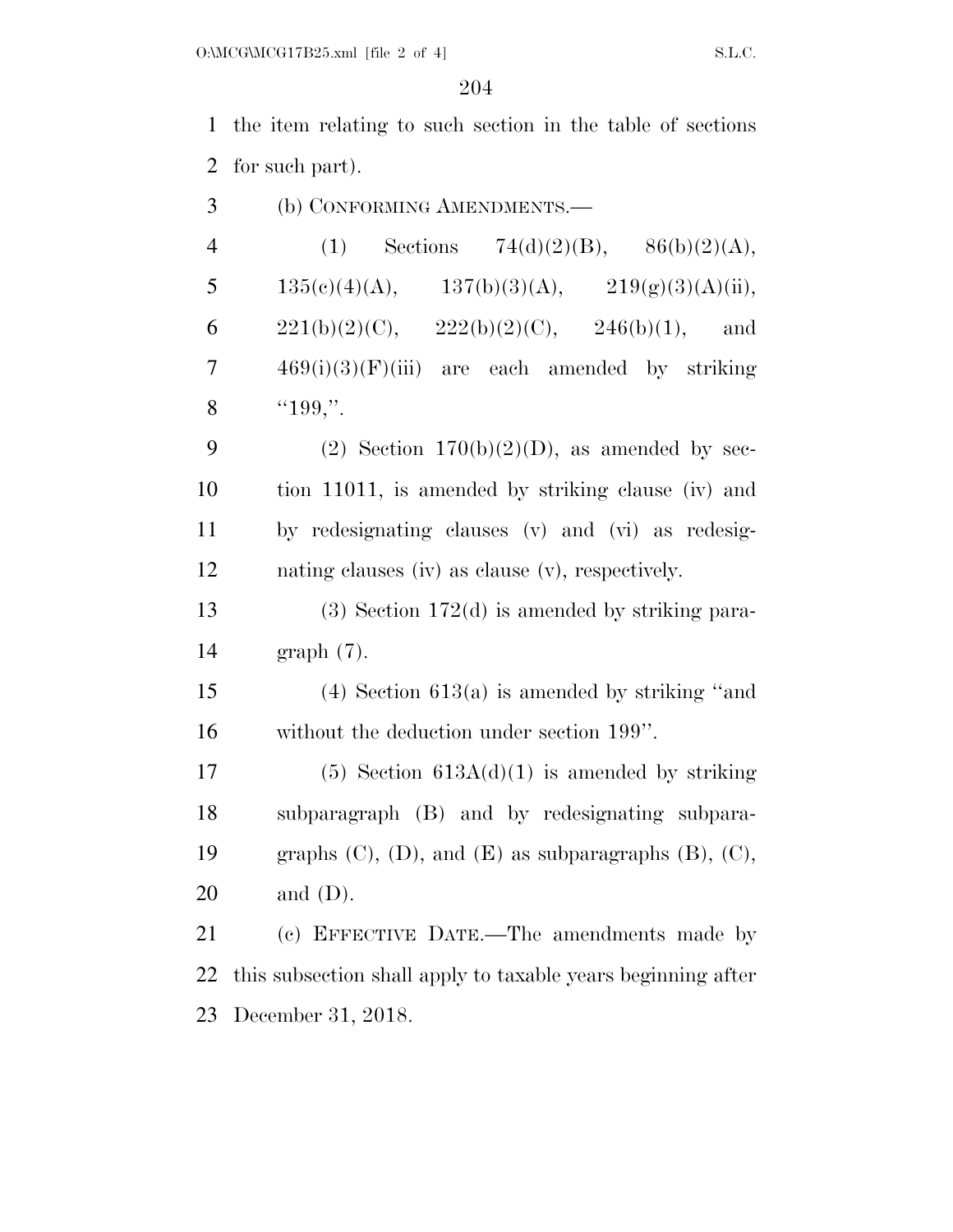the item relating to such section in the table of sections for such part).

| 3<br>(b) CONFORMING AMENDMENTS.— |  |
|----------------------------------|--|
|----------------------------------|--|

| $\overline{4}$ | (1)                                              |               | Sections 74(d)(2)(B), 86(b)(2)(A), |
|----------------|--------------------------------------------------|---------------|------------------------------------|
| 5              | $135(e)(4)(A),$ $137(b)(3)(A),$                  |               | 219(g)(3)(A)(ii),                  |
| 6              | $221(b)(2)(C)$ ,                                 | 222(b)(2)(C), | $246(b)(1)$ , and                  |
| 7              | $469(i)(3)(F)(iii)$ are each amended by striking |               |                                    |
| 8              | "199,"                                           |               |                                    |

9 (2) Section  $170(b)(2)(D)$ , as amended by sec- tion 11011, is amended by striking clause (iv) and by redesignating clauses (v) and (vi) as redesig-nating clauses (iv) as clause (v), respectively.

 (3) Section 172(d) is amended by striking para-graph (7).

 (4) Section 613(a) is amended by striking ''and without the deduction under section 199''.

17 (5) Section  $613A(d)(1)$  is amended by striking subparagraph (B) and by redesignating subpara-19 graphs  $(C)$ ,  $(D)$ , and  $(E)$  as subparagraphs  $(B)$ ,  $(C)$ , and (D).

 (c) EFFECTIVE DATE.—The amendments made by this subsection shall apply to taxable years beginning after December 31, 2018.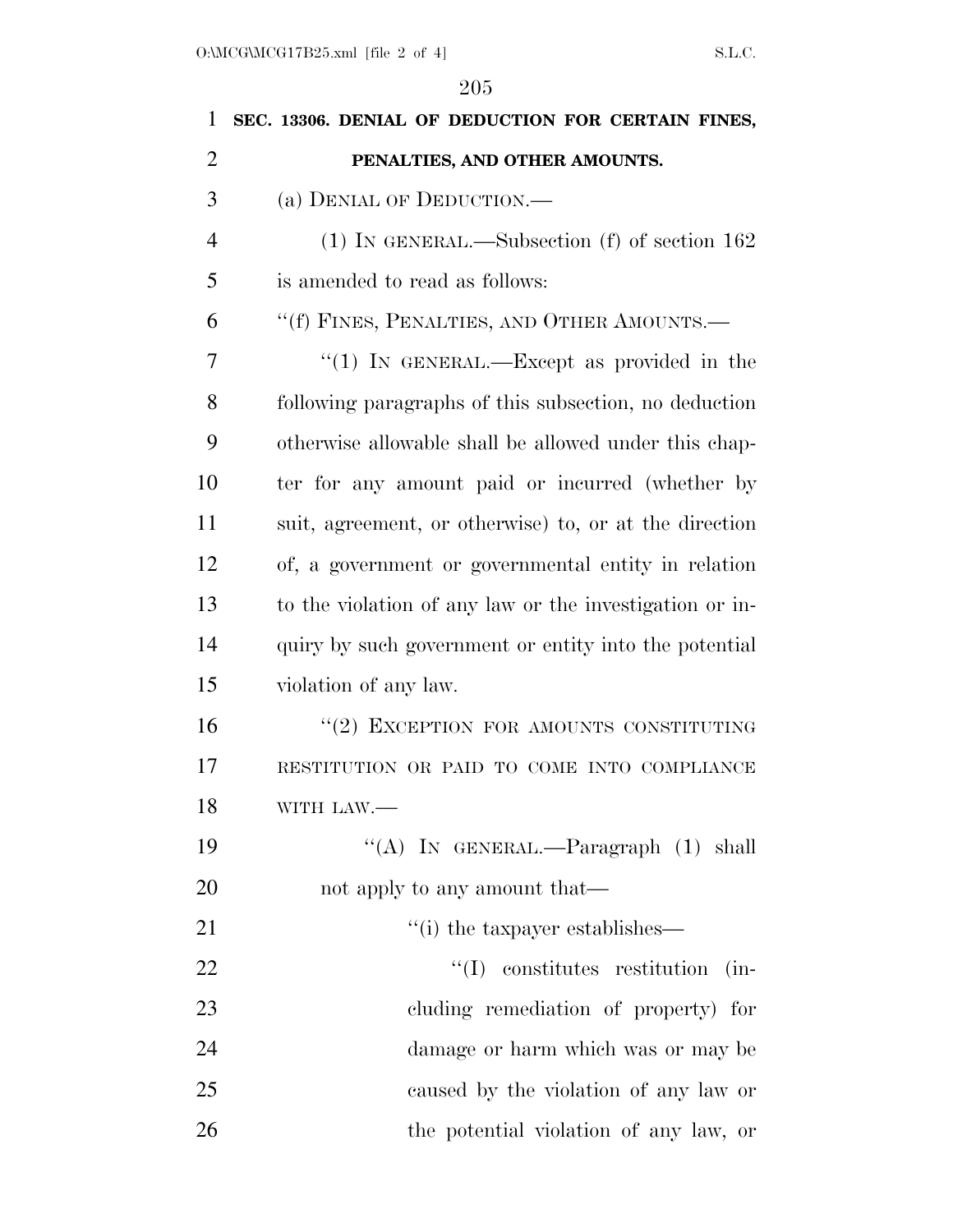| 1              | SEC. 13306. DENIAL OF DEDUCTION FOR CERTAIN FINES,      |
|----------------|---------------------------------------------------------|
| $\overline{2}$ | PENALTIES, AND OTHER AMOUNTS.                           |
| 3              | (a) DENIAL OF DEDUCTION.                                |
| $\overline{4}$ | $(1)$ In GENERAL.—Subsection $(f)$ of section 162       |
| 5              | is amended to read as follows:                          |
| 6              | "(f) FINES, PENALTIES, AND OTHER AMOUNTS.—              |
| 7              | "(1) IN GENERAL.—Except as provided in the              |
| 8              | following paragraphs of this subsection, no deduction   |
| 9              | otherwise allowable shall be allowed under this chap-   |
| 10             | ter for any amount paid or incurred (whether by         |
| 11             | suit, agreement, or otherwise) to, or at the direction  |
| 12             | of, a government or governmental entity in relation     |
| 13             | to the violation of any law or the investigation or in- |
| 14             | quiry by such government or entity into the potential   |
| 15             | violation of any law.                                   |
| 16             | "(2) EXCEPTION FOR AMOUNTS CONSTITUTING                 |
| 17             | RESTITUTION OR PAID TO COME INTO COMPLIANCE             |
| 18             | WITH LAW.-                                              |
| 19             | "(A) IN GENERAL.—Paragraph (1) shall                    |
| 20             | not apply to any amount that—                           |
| 21             | "(i) the taxpayer establishes—                          |
| 22             | $\lq\lq$ constitutes restitution<br>$(in-$              |
| 23             | cluding remediation of property) for                    |
| 24             | damage or harm which was or may be                      |
| 25             | caused by the violation of any law or                   |
| 26             | the potential violation of any law, or                  |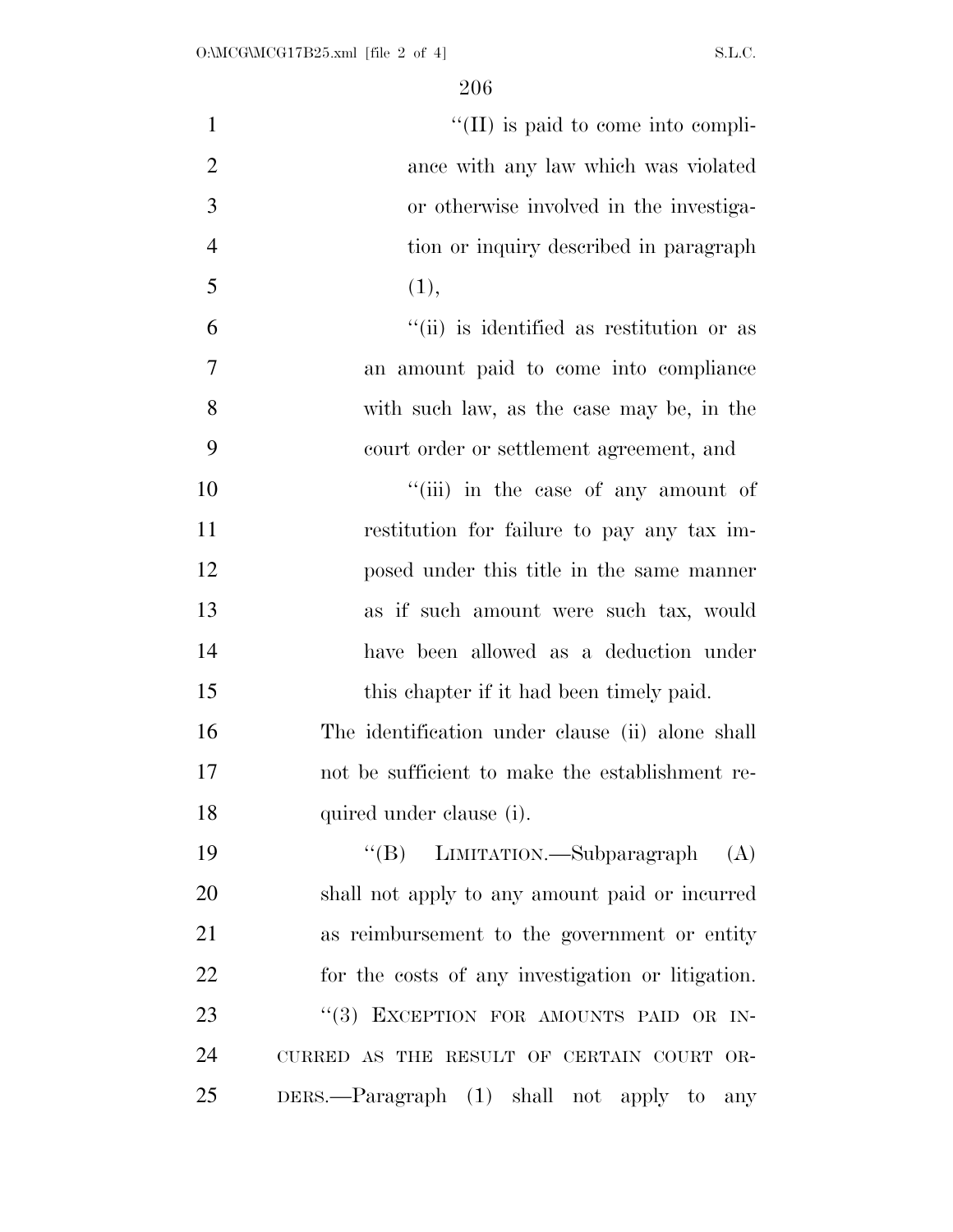| $\mathbf{1}$   | $\lq\lq$ (II) is paid to come into compli-        |
|----------------|---------------------------------------------------|
| $\overline{2}$ | ance with any law which was violated              |
| 3              | or otherwise involved in the investiga-           |
| $\overline{4}$ | tion or inquiry described in paragraph            |
| 5              | (1),                                              |
| 6              | "(ii) is identified as restitution or as          |
| 7              | an amount paid to come into compliance            |
| 8              | with such law, as the case may be, in the         |
| 9              | court order or settlement agreement, and          |
| 10             | "(iii) in the case of any amount of               |
| 11             | restitution for failure to pay any tax im-        |
| 12             | posed under this title in the same manner         |
| 13             | as if such amount were such tax, would            |
| 14             | have been allowed as a deduction under            |
| 15             | this chapter if it had been timely paid.          |
| 16             | The identification under clause (ii) alone shall  |
| 17             | not be sufficient to make the establishment re-   |
| 18             | quired under clause (i).                          |
| 19             | "(B) LIMITATION.—Subparagraph<br>(A)              |
| 20             | shall not apply to any amount paid or incurred    |
| 21             | as reimbursement to the government or entity      |
| 22             | for the costs of any investigation or litigation. |
| 23             | "(3) EXCEPTION FOR AMOUNTS PAID OR IN-            |
| 24             | CURRED AS THE RESULT OF CERTAIN COURT OR-         |
| 25             | DERS.—Paragraph (1) shall not apply to<br>any     |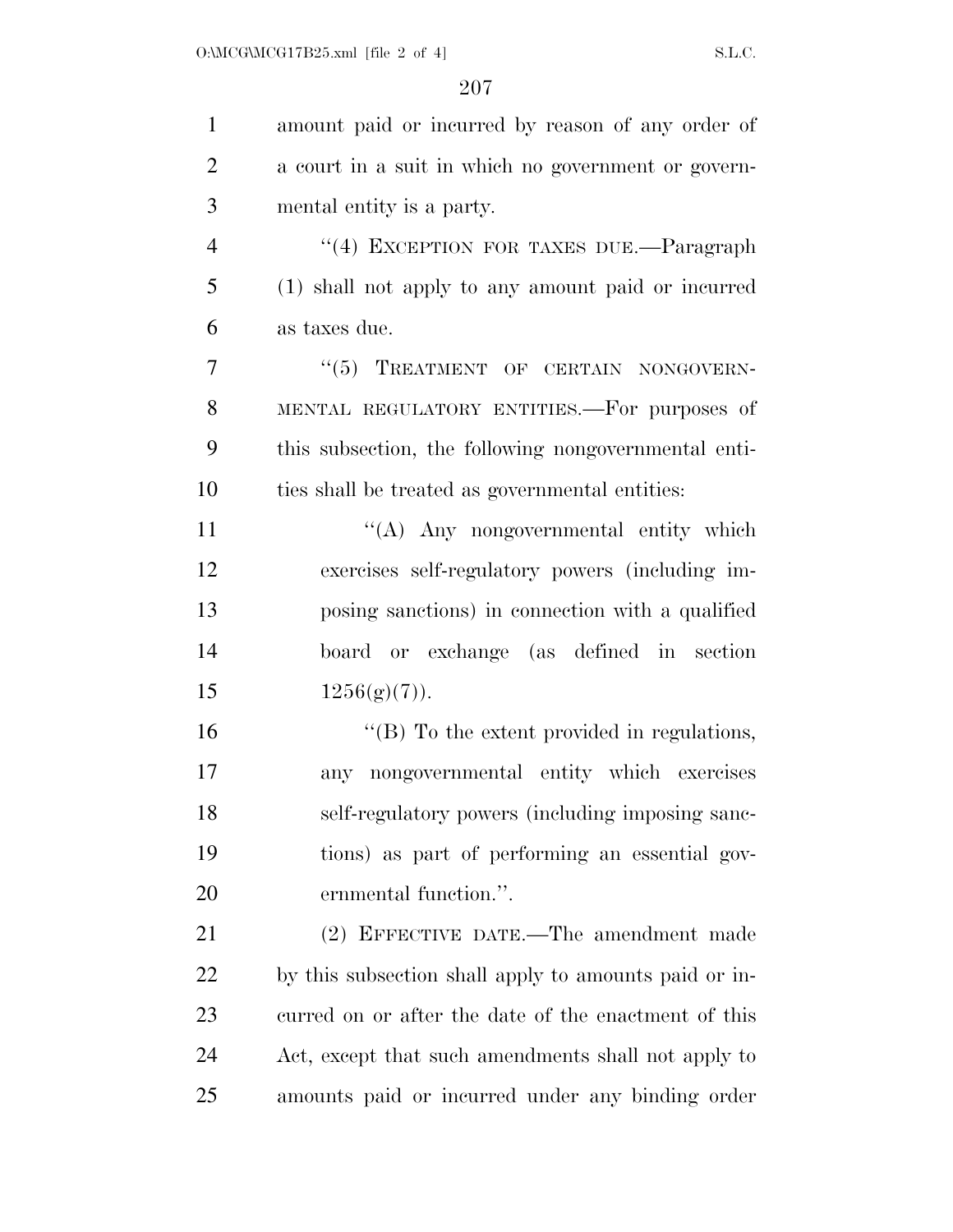| $\mathbf{1}$   | amount paid or incurred by reason of any order of     |
|----------------|-------------------------------------------------------|
| $\overline{2}$ | a court in a suit in which no government or govern-   |
| 3              | mental entity is a party.                             |
| $\overline{4}$ | "(4) EXCEPTION FOR TAXES DUE.—Paragraph               |
| 5              | (1) shall not apply to any amount paid or incurred    |
| 6              | as taxes due.                                         |
| 7              | "(5) TREATMENT OF CERTAIN NONGOVERN-                  |
| 8              | MENTAL REGULATORY ENTITIES. For purposes of           |
| 9              | this subsection, the following nongovernmental enti-  |
| 10             | ties shall be treated as governmental entities:       |
| 11             | "(A) Any nongovernmental entity which                 |
| 12             | exercises self-regulatory powers (including im-       |
| 13             | posing sanctions) in connection with a qualified      |
| 14             | board or exchange (as defined in section              |
| 15             | 1256(g(7)).                                           |
| 16             | $\lq\lq$ (B) To the extent provided in regulations,   |
| 17             | any nongovernmental entity which exercises            |
| 18             | self-regulatory powers (including imposing sanc-      |
| 19             | tions) as part of performing an essential gov-        |
| 20             | ernmental function.".                                 |
| 21             | (2) EFFECTIVE DATE.—The amendment made                |
| 22             | by this subsection shall apply to amounts paid or in- |
| 23             | curred on or after the date of the enactment of this  |
| 24             | Act, except that such amendments shall not apply to   |
| 25             | amounts paid or incurred under any binding order      |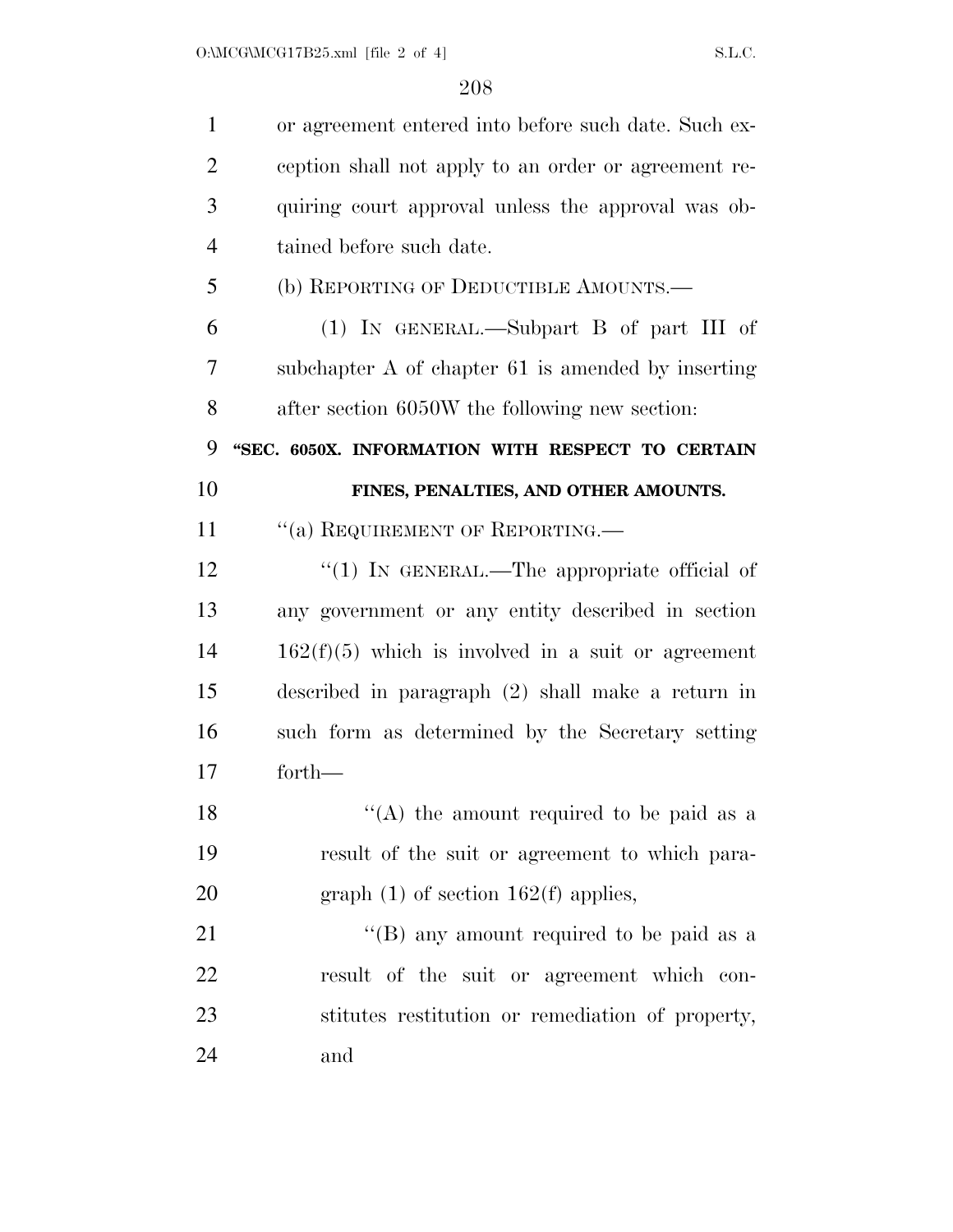| $\mathbf{1}$   | or agreement entered into before such date. Such ex- |
|----------------|------------------------------------------------------|
| $\overline{2}$ | ception shall not apply to an order or agreement re- |
| 3              | quiring court approval unless the approval was ob-   |
| $\overline{4}$ | tained before such date.                             |
| 5              | (b) REPORTING OF DEDUCTIBLE AMOUNTS.—                |
| 6              | $(1)$ IN GENERAL.—Subpart B of part III of           |
| 7              | subchapter A of chapter 61 is amended by inserting   |
| 8              | after section 6050W the following new section:       |
| 9              | "SEC. 6050X. INFORMATION WITH RESPECT TO CERTAIN     |
| 10             | FINES, PENALTIES, AND OTHER AMOUNTS.                 |
| 11             | "(a) REQUIREMENT OF REPORTING.—                      |
| 12             | "(1) IN GENERAL.—The appropriate official of         |
|                |                                                      |
| 13             | any government or any entity described in section    |
| 14             | $162(f)(5)$ which is involved in a suit or agreement |
| 15             | described in paragraph $(2)$ shall make a return in  |
|                | such form as determined by the Secretary setting     |
|                | forth-                                               |
| 16<br>17<br>18 | "(A) the amount required to be paid as a             |
| 19             | result of the suit or agreement to which para-       |
| 20             | graph $(1)$ of section 162(f) applies,               |
| 21             | "(B) any amount required to be paid as a             |
| 22             | result of the suit or agreement which con-           |
| 23             | stitutes restitution or remediation of property,     |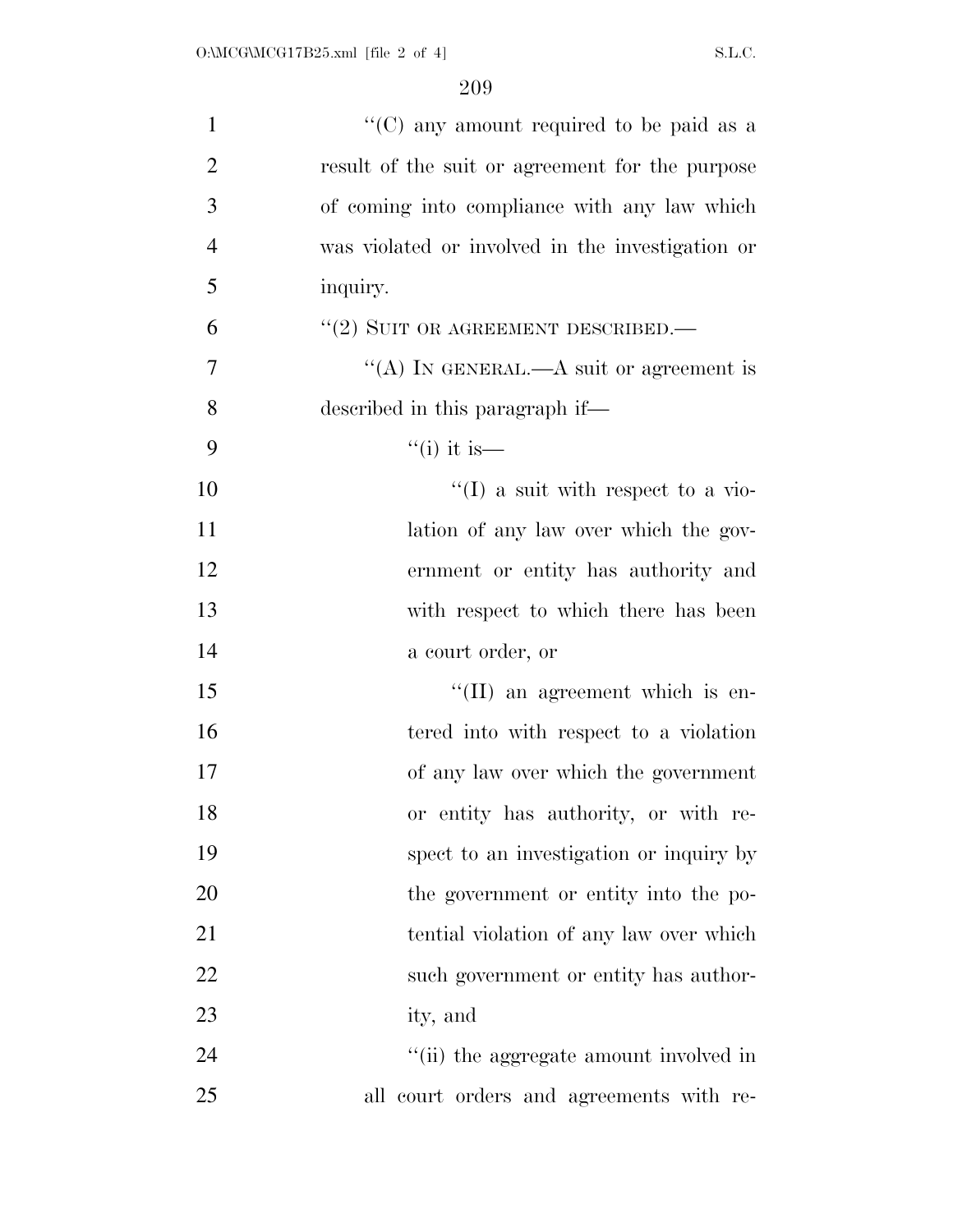| $\mathbf{1}$   | "(C) any amount required to be paid as a         |
|----------------|--------------------------------------------------|
| $\overline{2}$ | result of the suit or agreement for the purpose  |
| 3              | of coming into compliance with any law which     |
| $\overline{4}$ | was violated or involved in the investigation or |
| 5              | inquiry.                                         |
| 6              | $``(2)$ SUIT OR AGREEMENT DESCRIBED.—            |
| 7              | "(A) IN GENERAL.—A suit or agreement is          |
| 8              | described in this paragraph if—                  |
| 9              | $\lq($ i it is —                                 |
| 10             | $\lq(1)$ a suit with respect to a vio-           |
| 11             | lation of any law over which the gov-            |
| 12             | ernment or entity has authority and              |
| 13             | with respect to which there has been             |
| 14             | a court order, or                                |
| 15             | $\lq\lq$ (II) an agreement which is en-          |
| 16             | tered into with respect to a violation           |
| 17             | of any law over which the government             |
| 18             | or entity has authority, or with re-             |
| 19             | spect to an investigation or inquiry by          |
| 20             | the government or entity into the po-            |
| 21             | tential violation of any law over which          |
| 22             | such government or entity has author-            |
| 23             | ity, and                                         |
| 24             | "(ii) the aggregate amount involved in           |
| 25             | all court orders and agreements with re-         |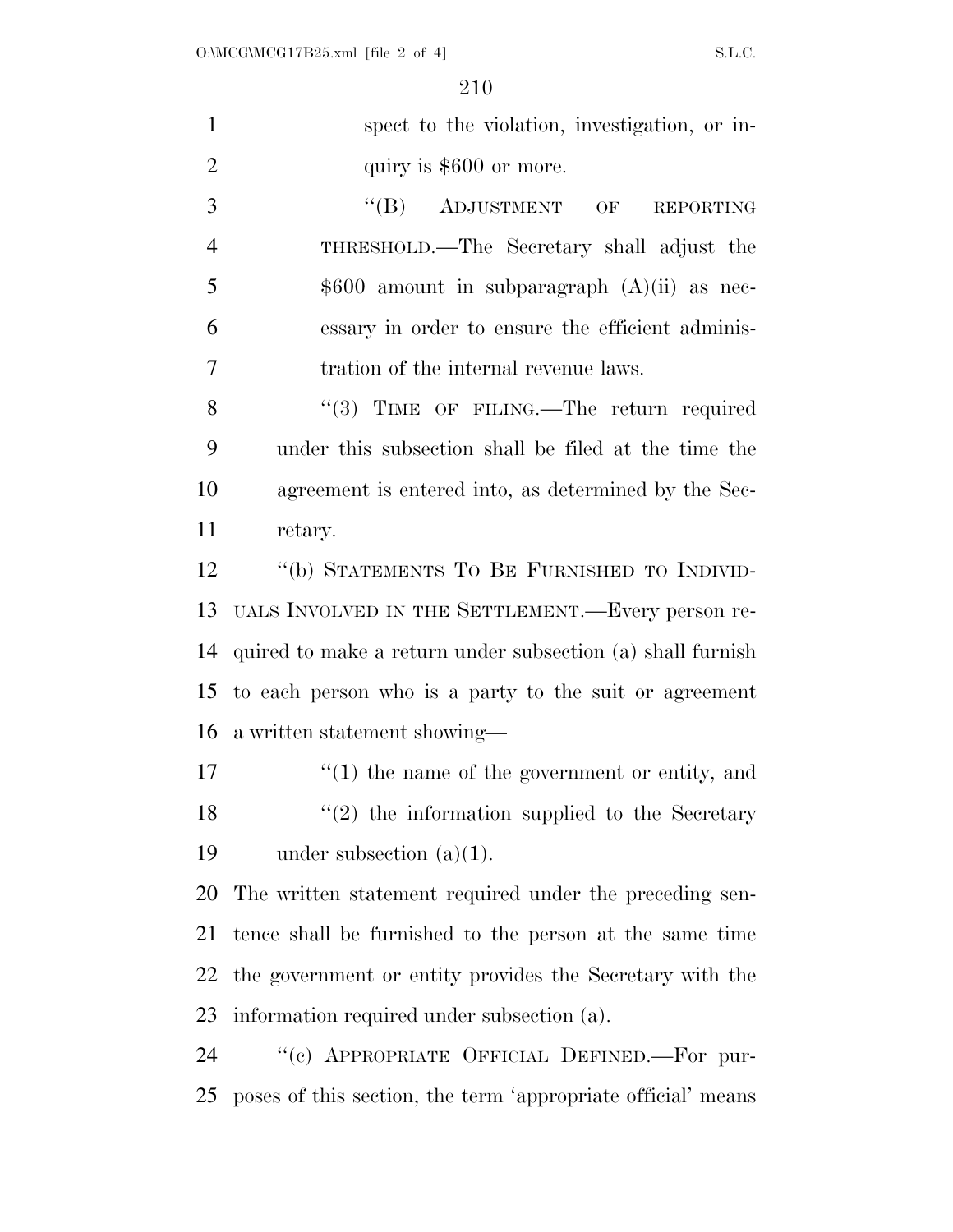| $\mathbf{1}$   | spect to the violation, investigation, or in-                            |
|----------------|--------------------------------------------------------------------------|
| $\overline{2}$ | quiry is \$600 or more.                                                  |
| 3              | $\lq\lq (B)$<br>ADJUSTMENT<br>$\overline{\text{OF}}$<br><b>REPORTING</b> |
| $\overline{4}$ | THRESHOLD.—The Secretary shall adjust the                                |
| 5              | $$600$ amount in subparagraph $(A)(ii)$ as nec-                          |
| 6              | essary in order to ensure the efficient adminis-                         |
| 7              | tration of the internal revenue laws.                                    |
| 8              | "(3) TIME OF FILING.—The return required                                 |
| 9              | under this subsection shall be filed at the time the                     |
| 10             | agreement is entered into, as determined by the Sec-                     |
| 11             | retary.                                                                  |
| 12             | "(b) STATEMENTS TO BE FURNISHED TO INDIVID-                              |
| 13             | UALS INVOLVED IN THE SETTLEMENT.—Every person re-                        |
| 14             | quired to make a return under subsection (a) shall furnish               |
| 15             | to each person who is a party to the suit or agreement                   |
| 16             | a written statement showing—                                             |
| 17             | $f'(1)$ the name of the government or entity, and                        |
| 18             | $(2)$ the information supplied to the Secretary                          |
| 19             | under subsection $(a)(1)$ .                                              |
| 20             | The written statement required under the preceding sen-                  |
| 21             | tence shall be furnished to the person at the same time                  |
| 22             | the government or entity provides the Secretary with the                 |
| 23             | information required under subsection (a).                               |
| 24             | "(c) APPROPRIATE OFFICIAL DEFINED.-For pur-                              |
| 25             | poses of this section, the term 'appropriate official' means             |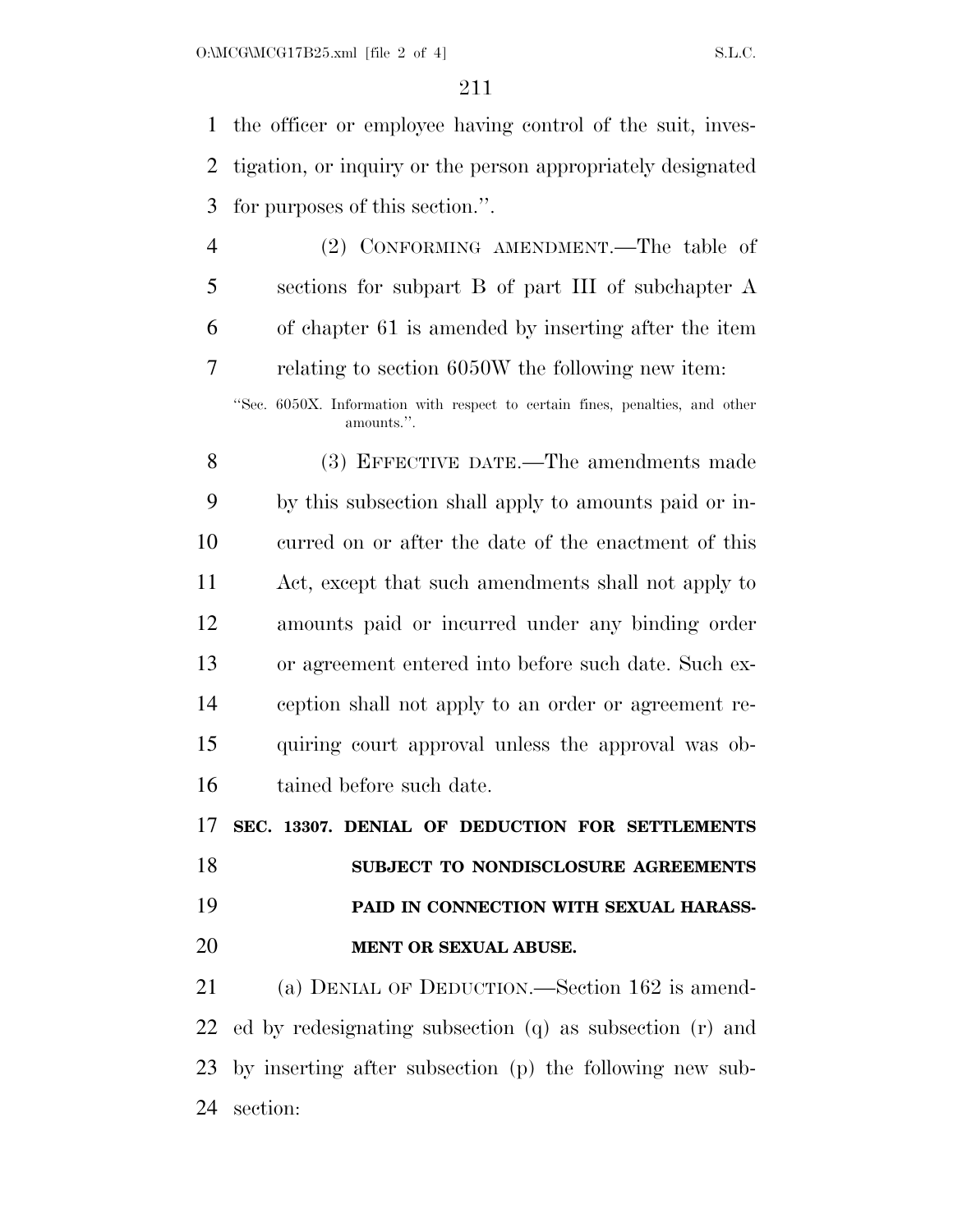the officer or employee having control of the suit, inves- tigation, or inquiry or the person appropriately designated for purposes of this section.''.

 (2) CONFORMING AMENDMENT.—The table of sections for subpart B of part III of subchapter A of chapter 61 is amended by inserting after the item relating to section 6050W the following new item:

''Sec. 6050X. Information with respect to certain fines, penalties, and other amounts.''.

 (3) EFFECTIVE DATE.—The amendments made by this subsection shall apply to amounts paid or in- curred on or after the date of the enactment of this Act, except that such amendments shall not apply to amounts paid or incurred under any binding order or agreement entered into before such date. Such ex- ception shall not apply to an order or agreement re- quiring court approval unless the approval was ob-tained before such date.

**SEC. 13307. DENIAL OF DEDUCTION FOR SETTLEMENTS** 

- **SUBJECT TO NONDISCLOSURE AGREEMENTS PAID IN CONNECTION WITH SEXUAL HARASS-**
- **MENT OR SEXUAL ABUSE.**

 (a) DENIAL OF DEDUCTION.—Section 162 is amend- ed by redesignating subsection (q) as subsection (r) and by inserting after subsection (p) the following new sub-section: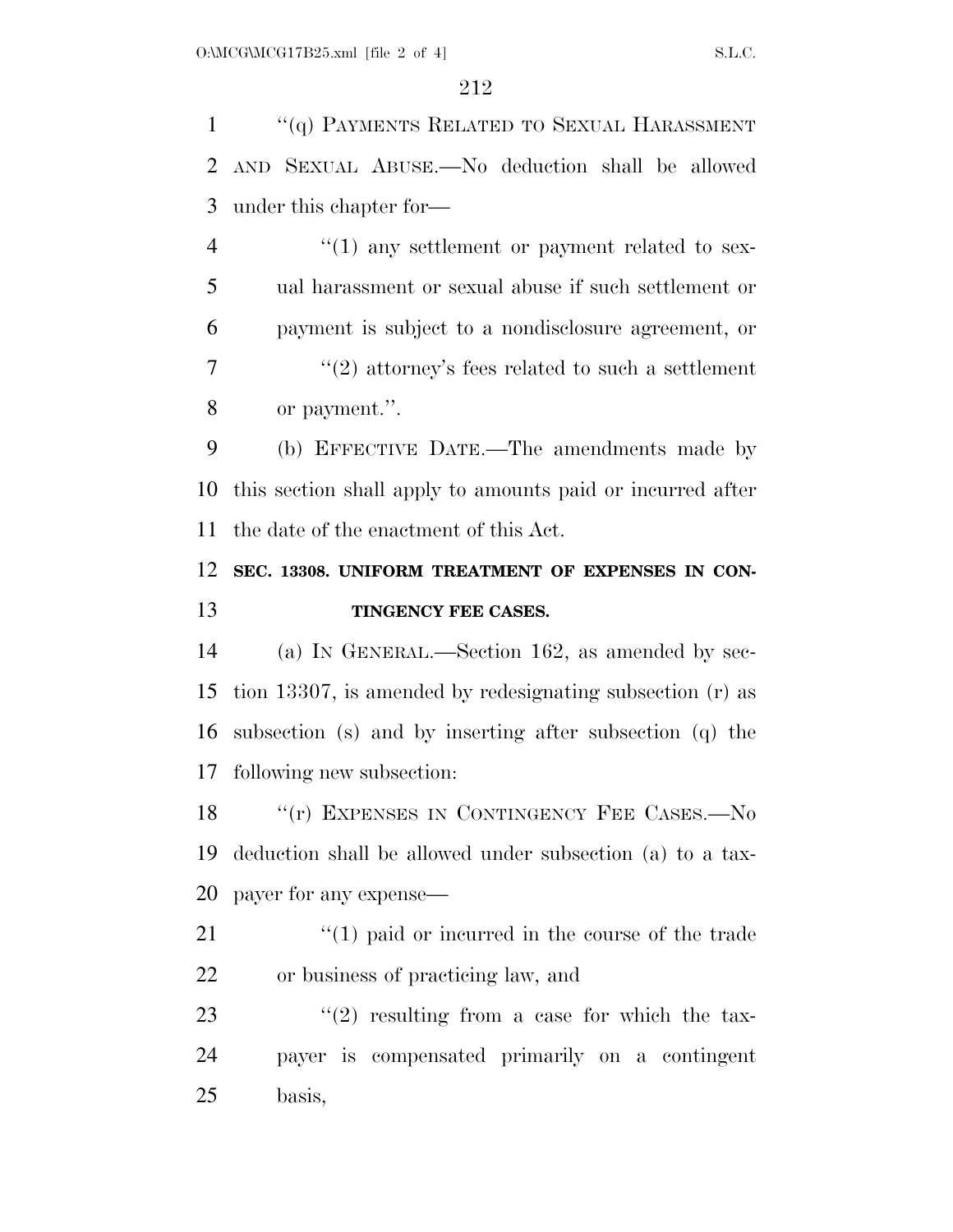''(q) PAYMENTS RELATED TO SEXUAL HARASSMENT AND SEXUAL ABUSE.—No deduction shall be allowed under this chapter for—

 $\frac{4}{1}$  any settlement or payment related to sex- ual harassment or sexual abuse if such settlement or payment is subject to a nondisclosure agreement, or ''(2) attorney's fees related to such a settlement or payment.''.

 (b) EFFECTIVE DATE.—The amendments made by this section shall apply to amounts paid or incurred after the date of the enactment of this Act.

## **SEC. 13308. UNIFORM TREATMENT OF EXPENSES IN CON-TINGENCY FEE CASES.**

 (a) IN GENERAL.—Section 162, as amended by sec- tion 13307, is amended by redesignating subsection (r) as subsection (s) and by inserting after subsection (q) the following new subsection:

18 "'(r) EXPENSES IN CONTINGENCY FEE CASES.—No deduction shall be allowed under subsection (a) to a tax-payer for any expense—

21 ''(1) paid or incurred in the course of the trade or business of practicing law, and

23  $\frac{1}{2}$  resulting from a case for which the tax- payer is compensated primarily on a contingent basis,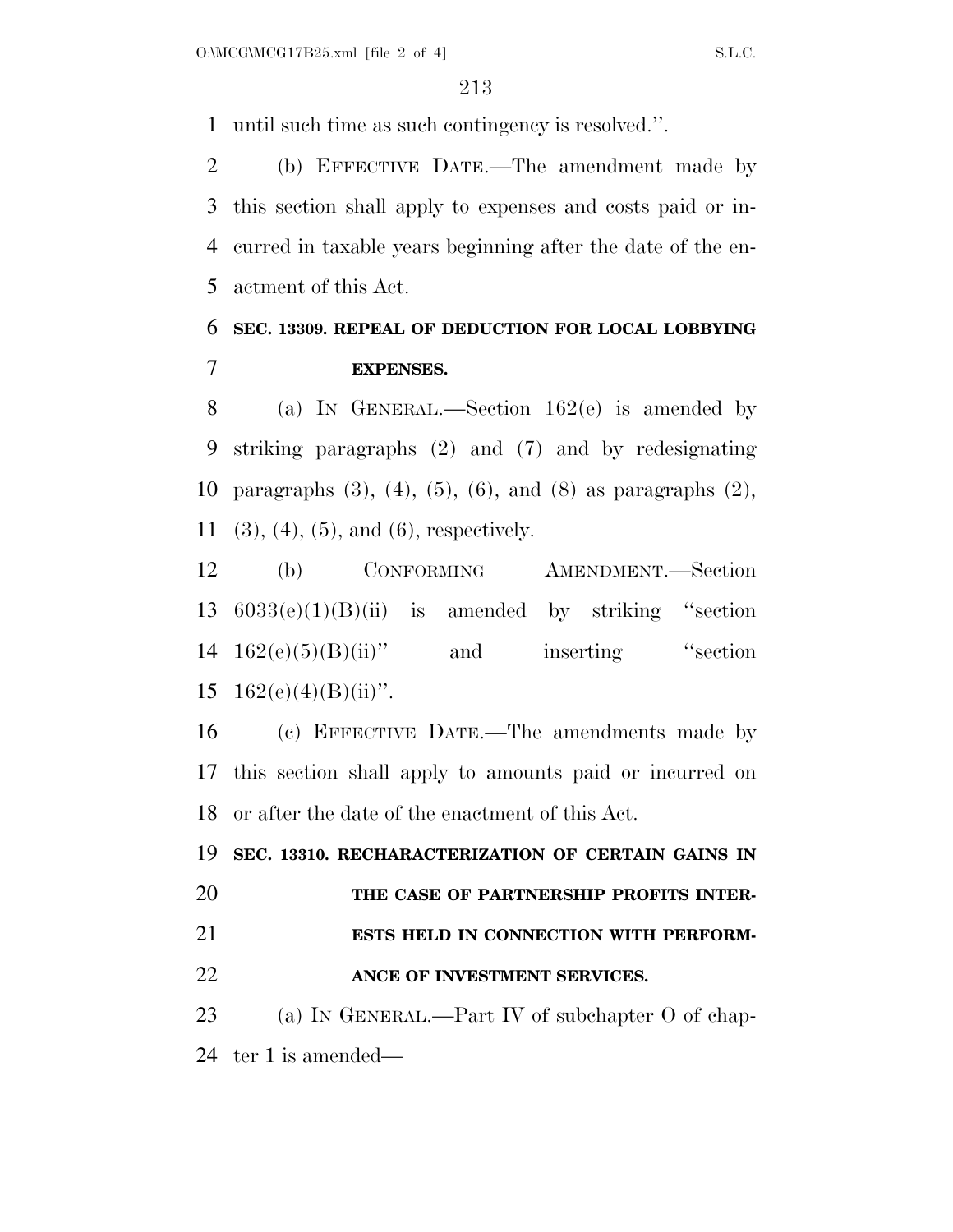until such time as such contingency is resolved.''.

 (b) EFFECTIVE DATE.—The amendment made by this section shall apply to expenses and costs paid or in- curred in taxable years beginning after the date of the en-actment of this Act.

## **SEC. 13309. REPEAL OF DEDUCTION FOR LOCAL LOBBYING EXPENSES.**

 (a) IN GENERAL.—Section 162(e) is amended by striking paragraphs (2) and (7) and by redesignating paragraphs (3), (4), (5), (6), and (8) as paragraphs (2), (3), (4), (5), and (6), respectively.

 (b) CONFORMING AMENDMENT.—Section 6033(e)(1)(B)(ii) is amended by striking ''section  $14 \quad 162(e)(5)(B)(ii)$ " and inserting "section  $162(e)(4)(B)(ii)$ ".

 (c) EFFECTIVE DATE.—The amendments made by this section shall apply to amounts paid or incurred on or after the date of the enactment of this Act.

 **SEC. 13310. RECHARACTERIZATION OF CERTAIN GAINS IN THE CASE OF PARTNERSHIP PROFITS INTER- ESTS HELD IN CONNECTION WITH PERFORM- ANCE OF INVESTMENT SERVICES.**  23 (a) IN GENERAL.—Part IV of subchapter O of chap-

ter 1 is amended—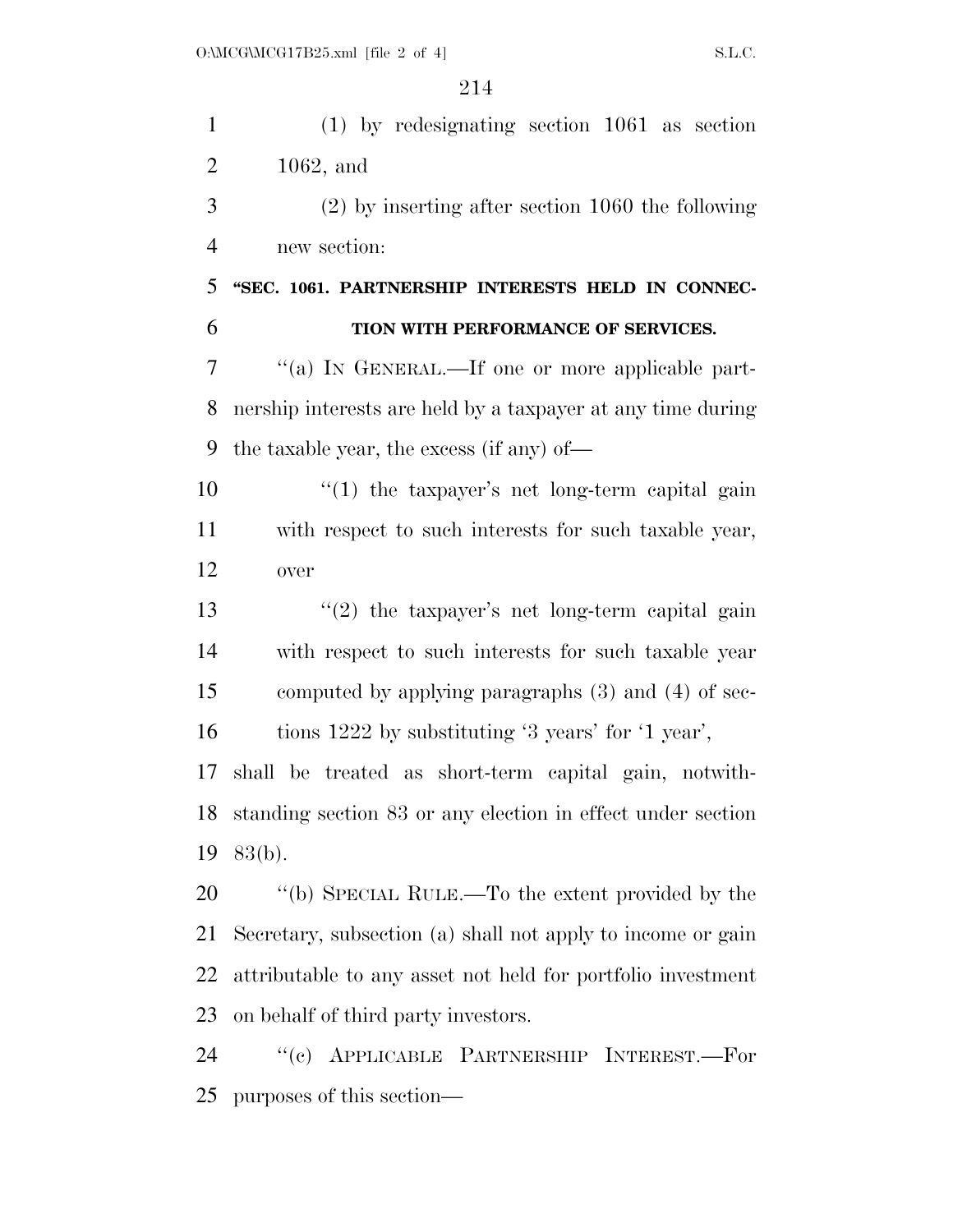| $\mathbf{1}$   | $(1)$ by redesignating section 1061 as section              |
|----------------|-------------------------------------------------------------|
| $\overline{2}$ | $1062$ , and                                                |
| 3              | $(2)$ by inserting after section 1060 the following         |
| $\overline{4}$ | new section:                                                |
| 5              | "SEC. 1061. PARTNERSHIP INTERESTS HELD IN CONNEC-           |
| 6              | TION WITH PERFORMANCE OF SERVICES.                          |
| 7              | "(a) IN GENERAL.—If one or more applicable part-            |
| 8              | nership interests are held by a taxpayer at any time during |
| 9              | the taxable year, the excess (if any) of—                   |
| 10             | $\lq(1)$ the taxpayer's net long-term capital gain          |
| 11             | with respect to such interests for such taxable year,       |
| 12             | over                                                        |
| 13             | $(2)$ the taxpayer's net long-term capital gain             |
| 14             | with respect to such interests for such taxable year        |
| 15             | computed by applying paragraphs $(3)$ and $(4)$ of sec-     |
| 16             | tions 1222 by substituting '3 years' for '1 year',          |
| 17             | shall be treated as short-term capital gain, notwith-       |
| 18             | standing section 83 or any election in effect under section |
| 19             | 83(b).                                                      |
| 20             | "(b) SPECIAL RULE.—To the extent provided by the            |
| 21             | Secretary, subsection (a) shall not apply to income or gain |
| 22             | attributable to any asset not held for portfolio investment |
| 23             | on behalf of third party investors.                         |
| 24             | "(c) APPLICABLE PARTNERSHIP INTEREST.—For                   |
| 25             | purposes of this section—                                   |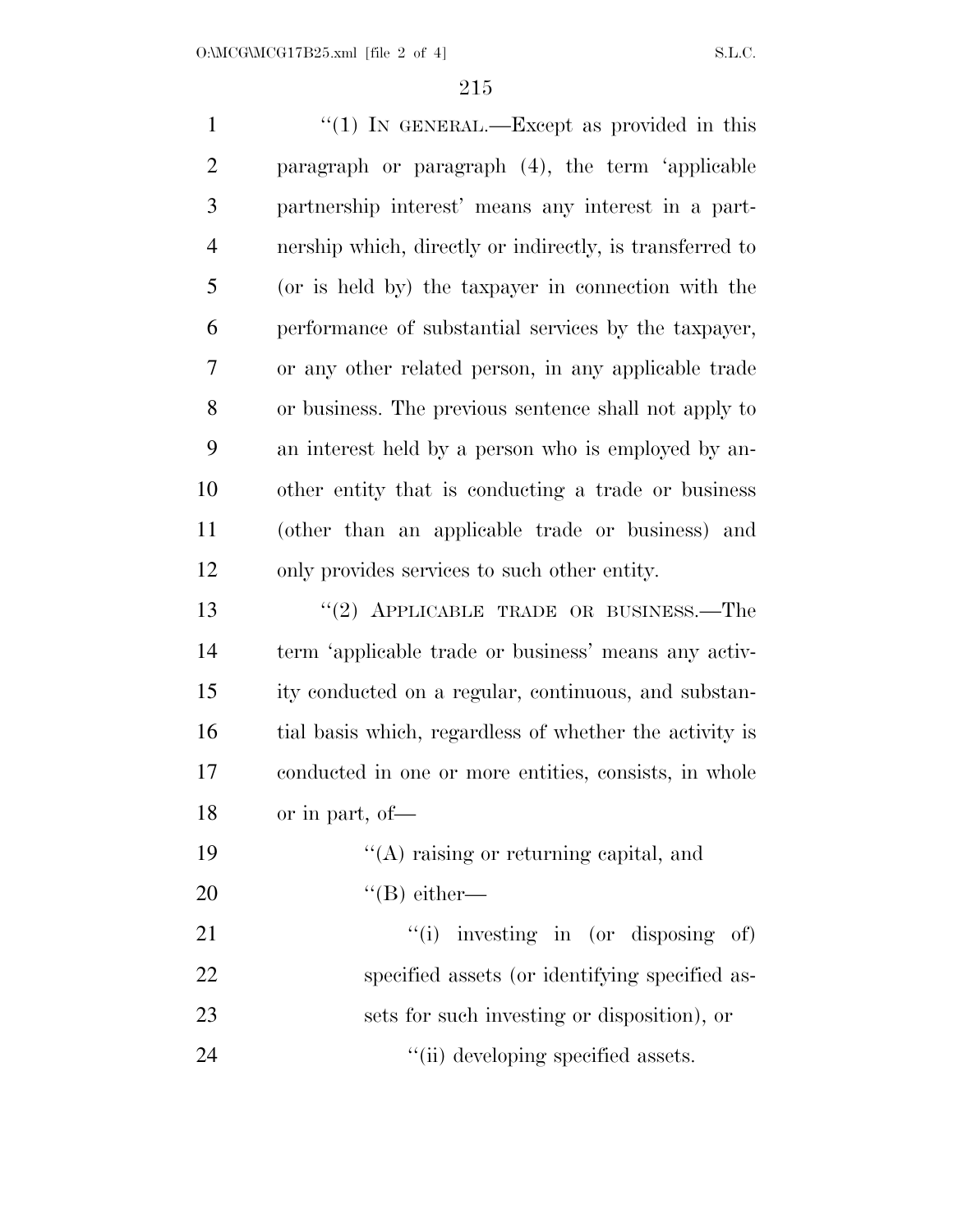1 "(1) In GENERAL.—Except as provided in this paragraph or paragraph (4), the term 'applicable partnership interest' means any interest in a part- nership which, directly or indirectly, is transferred to (or is held by) the taxpayer in connection with the performance of substantial services by the taxpayer, or any other related person, in any applicable trade or business. The previous sentence shall not apply to an interest held by a person who is employed by an- other entity that is conducting a trade or business (other than an applicable trade or business) and only provides services to such other entity. 13 "(2) APPLICABLE TRADE OR BUSINESS.—The term 'applicable trade or business' means any activ- ity conducted on a regular, continuous, and substan- tial basis which, regardless of whether the activity is conducted in one or more entities, consists, in whole or in part, of—  $\frac{1}{2}$  (A) raising or returning capital, and ''(B) either— 21 ''(i) investing in (or disposing of) specified assets (or identifying specified as-sets for such investing or disposition), or

24  $\frac{1}{\ln}$  developing specified assets.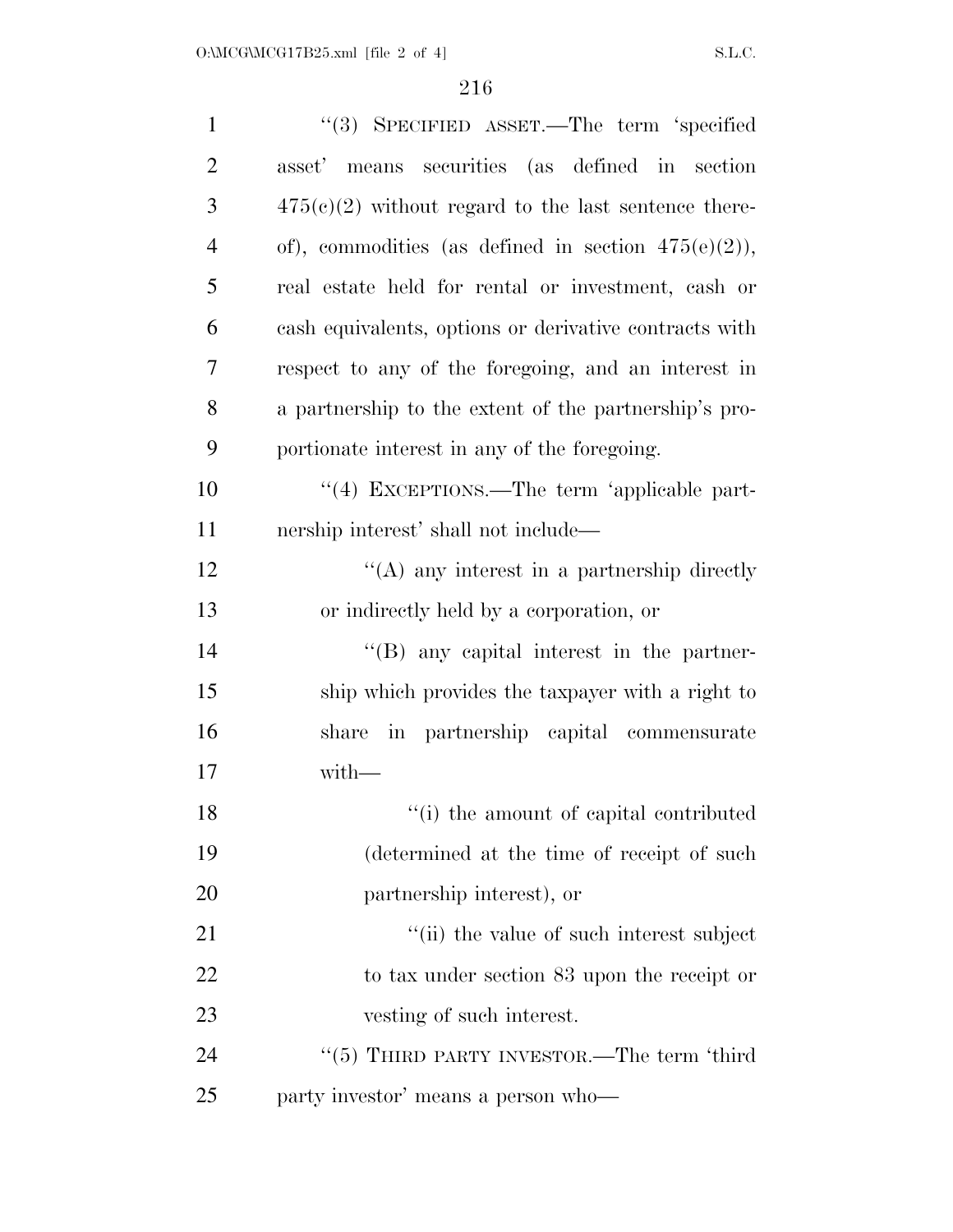| $\mathbf{1}$   | "(3) SPECIFIED ASSET.—The term 'specified              |
|----------------|--------------------------------------------------------|
| $\overline{2}$ | asset' means securities (as defined in section         |
| 3              | $475(c)(2)$ without regard to the last sentence there- |
| $\overline{4}$ | of), commodities (as defined in section $475(e)(2)$ ), |
| 5              | real estate held for rental or investment, cash or     |
| 6              | cash equivalents, options or derivative contracts with |
| 7              | respect to any of the foregoing, and an interest in    |
| 8              | a partnership to the extent of the partnership's pro-  |
| 9              | portionate interest in any of the foregoing.           |
| 10             | "(4) EXCEPTIONS.—The term 'applicable part-            |
| 11             | nership interest' shall not include—                   |
| 12             | $\lq\lq$ any interest in a partnership directly        |
| 13             | or indirectly held by a corporation, or                |
| 14             | $\lq\lq$ (B) any capital interest in the partner-      |
| 15             | ship which provides the taxpayer with a right to       |
| 16             | share in partnership capital commensurate              |
| 17             | with-                                                  |
| 18             | "(i) the amount of capital contributed                 |
| 19             | (determined at the time of receipt of such             |
| 20             | partnership interest), or                              |
| 21             | "(ii) the value of such interest subject               |
| 22             | to tax under section 83 upon the receipt or            |
| 23             | vesting of such interest.                              |
| 24             | "(5) THIRD PARTY INVESTOR.—The term 'third             |
| 25             | party investor' means a person who-                    |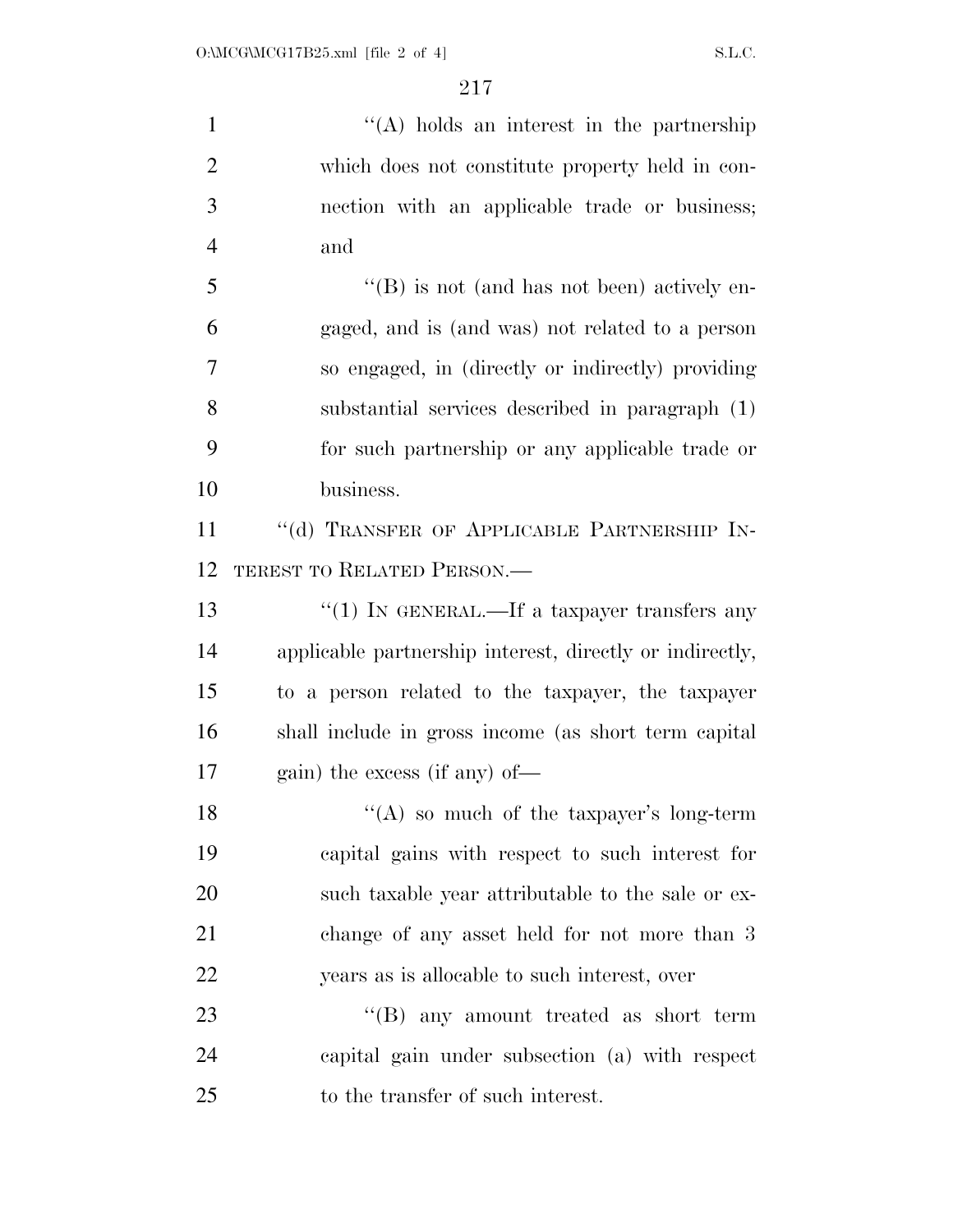1 ''(A) holds an interest in the partnership which does not constitute property held in con- nection with an applicable trade or business; and ''(B) is not (and has not been) actively en- gaged, and is (and was) not related to a person so engaged, in (directly or indirectly) providing substantial services described in paragraph (1) for such partnership or any applicable trade or business. 11 "(d) TRANSFER OF APPLICABLE PARTNERSHIP IN- TEREST TO RELATED PERSON.— 13 ''(1) IN GENERAL.—If a taxpayer transfers any applicable partnership interest, directly or indirectly, to a person related to the taxpayer, the taxpayer shall include in gross income (as short term capital gain) the excess (if any) of—  $"({\rm A})$  so much of the taxpayer's long-term capital gains with respect to such interest for such taxable year attributable to the sale or ex- change of any asset held for not more than 3 years as is allocable to such interest, over 23 ''(B) any amount treated as short term capital gain under subsection (a) with respect to the transfer of such interest.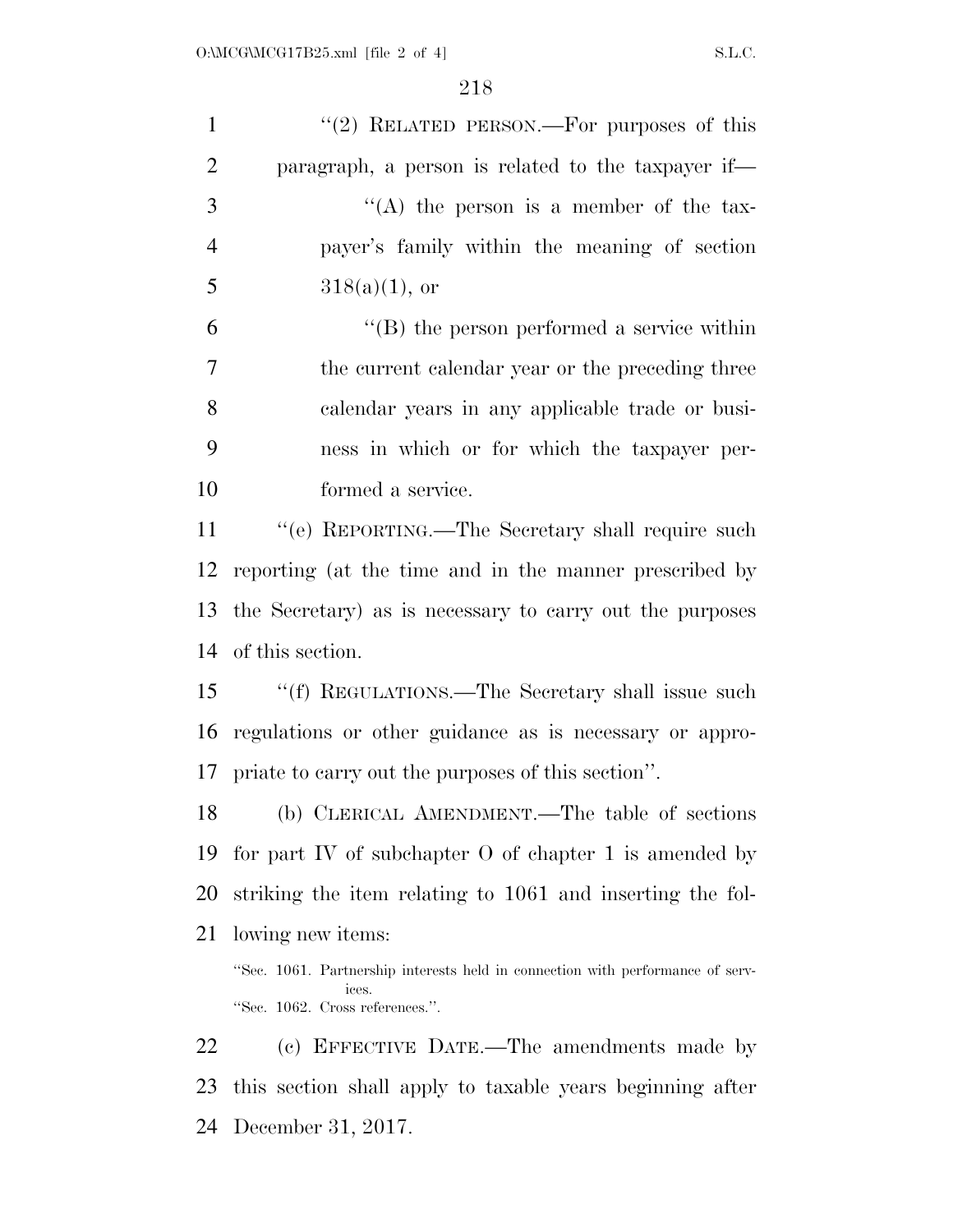| $\mathbf{1}$   | "(2) RELATED PERSON.—For purposes of this                                                                                  |
|----------------|----------------------------------------------------------------------------------------------------------------------------|
| $\overline{2}$ | paragraph, a person is related to the taxpayer if—                                                                         |
| 3              | "(A) the person is a member of the tax-                                                                                    |
| $\overline{4}$ | payer's family within the meaning of section                                                                               |
| 5              | $318(a)(1)$ , or                                                                                                           |
| 6              | $\lq\lq$ the person performed a service within                                                                             |
| $\overline{7}$ | the current calendar year or the preceding three                                                                           |
| 8              | calendar years in any applicable trade or busi-                                                                            |
| 9              | ness in which or for which the taxpayer per-                                                                               |
| 10             | formed a service.                                                                                                          |
| 11             | "(e) REPORTING.—The Secretary shall require such                                                                           |
| 12             | reporting (at the time and in the manner prescribed by                                                                     |
| 13             | the Secretary) as is necessary to carry out the purposes                                                                   |
| 14             | of this section.                                                                                                           |
| 15             | "(f) REGULATIONS.—The Secretary shall issue such                                                                           |
| 16             | regulations or other guidance as is necessary or appro-                                                                    |
|                | 17 priate to carry out the purposes of this section".                                                                      |
| 18             | (b) CLERICAL AMENDMENT.—The table of sections                                                                              |
| 19             | for part IV of subchapter $\overline{O}$ of chapter 1 is amended by                                                        |
| 20             | striking the item relating to 1061 and inserting the fol-                                                                  |
| 21             | lowing new items:                                                                                                          |
|                | "Sec. 1061. Partnership interests held in connection with performance of serv-<br>ices.<br>"Sec. 1062. Cross references.". |
| 22             | (c) EFFECTIVE DATE.—The amendments made by                                                                                 |
| 23             | this section shall apply to taxable years beginning after                                                                  |

December 31, 2017.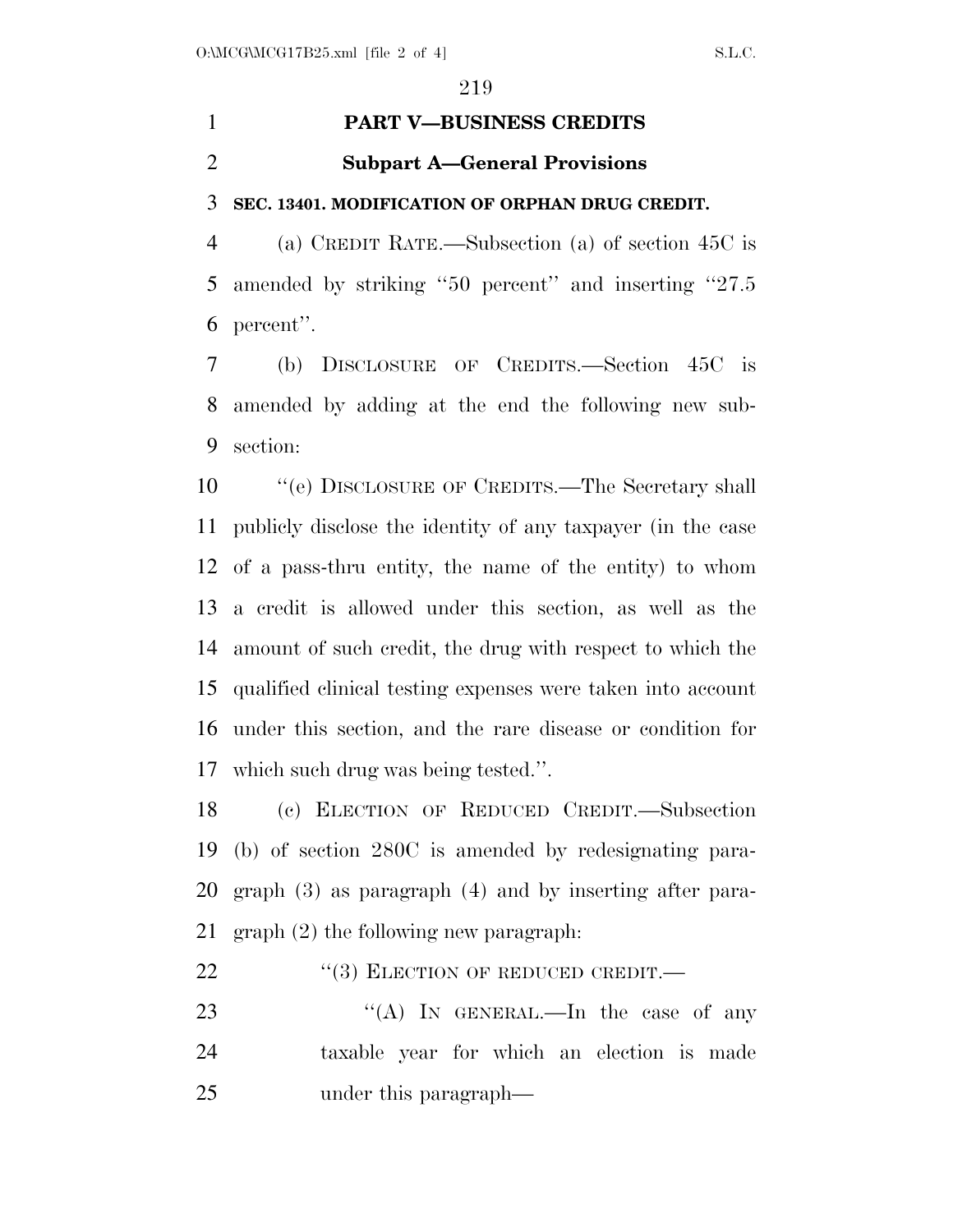### **PART V—BUSINESS CREDITS**

#### **Subpart A—General Provisions**

#### **SEC. 13401. MODIFICATION OF ORPHAN DRUG CREDIT.**

 (a) CREDIT RATE.—Subsection (a) of section 45C is amended by striking ''50 percent'' and inserting ''27.5 percent''.

 (b) DISCLOSURE OF CREDITS.—Section 45C is amended by adding at the end the following new sub-section:

 ''(e) DISCLOSURE OF CREDITS.—The Secretary shall publicly disclose the identity of any taxpayer (in the case of a pass-thru entity, the name of the entity) to whom a credit is allowed under this section, as well as the amount of such credit, the drug with respect to which the qualified clinical testing expenses were taken into account under this section, and the rare disease or condition for which such drug was being tested.''.

 (c) ELECTION OF REDUCED CREDIT.—Subsection (b) of section 280C is amended by redesignating para- graph (3) as paragraph (4) and by inserting after para-graph (2) the following new paragraph:

- 22 "(3) ELECTION OF REDUCED CREDIT.—
- 23 "(A) In GENERAL.—In the case of any taxable year for which an election is made under this paragraph—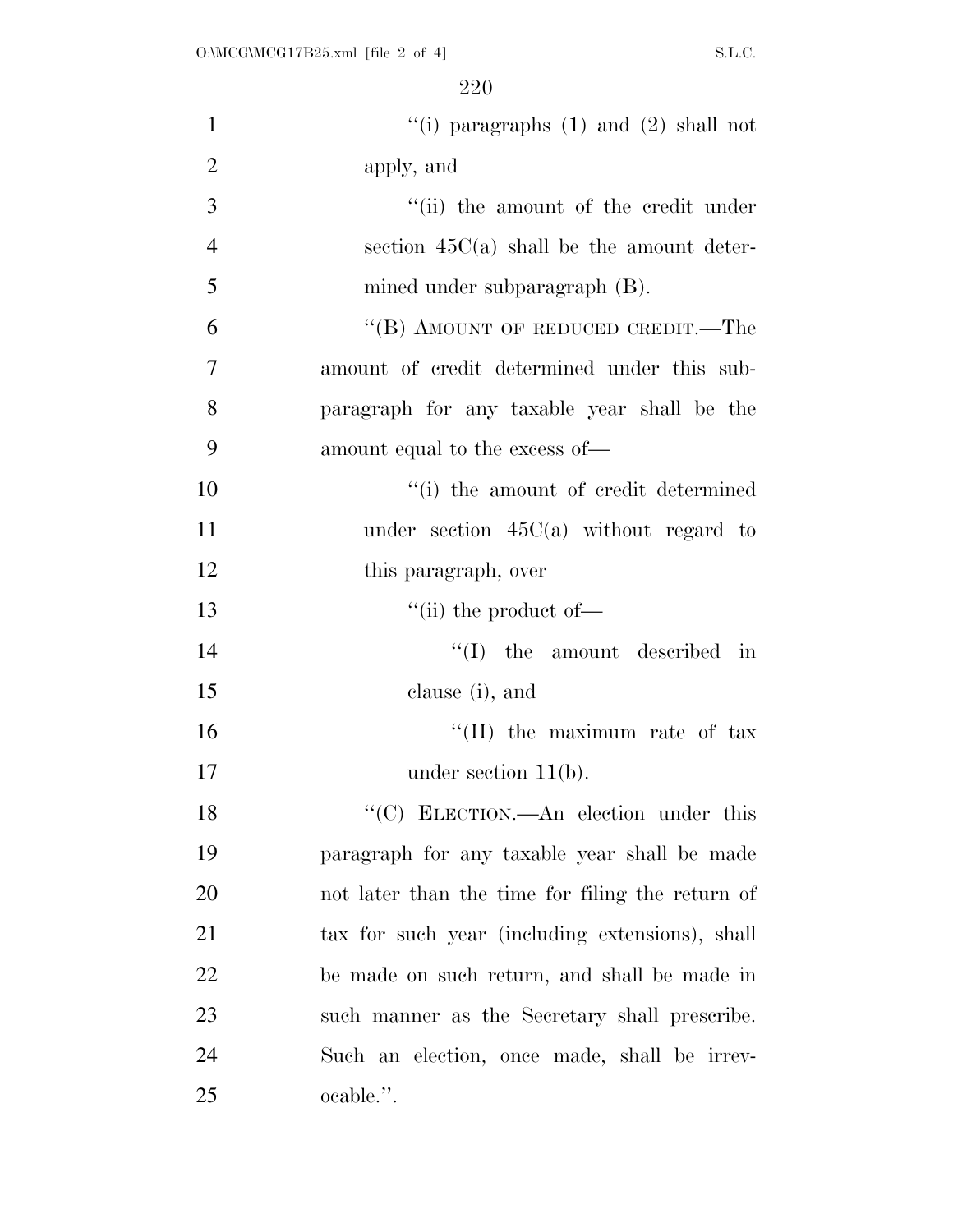| $\mathbf{1}$   | "(i) paragraphs $(1)$ and $(2)$ shall not        |
|----------------|--------------------------------------------------|
| $\overline{2}$ | apply, and                                       |
| $\overline{3}$ | "(ii) the amount of the credit under             |
| $\overline{4}$ | section $45C(a)$ shall be the amount deter-      |
| 5              | mined under subparagraph (B).                    |
| 6              | "(B) AMOUNT OF REDUCED CREDIT.—The               |
| $\overline{7}$ | amount of credit determined under this sub-      |
| 8              | paragraph for any taxable year shall be the      |
| 9              | amount equal to the excess of—                   |
| 10             | "(i) the amount of credit determined             |
| 11             | under section $45C(a)$ without regard to         |
| 12             | this paragraph, over                             |
| 13             | $\lq\lq$ (ii) the product of $\lq$               |
| 14             | $\lq\lq$ the amount described in                 |
| 15             | clause (i), and                                  |
| 16             | "(II) the maximum rate of $\text{tax}$           |
| 17             | under section $11(b)$ .                          |
| 18             | "(C) ELECTION.—An election under this            |
| 19             | paragraph for any taxable year shall be made     |
| 20             | not later than the time for filing the return of |
| 21             | tax for such year (including extensions), shall  |
| 22             | be made on such return, and shall be made in     |
| 23             | such manner as the Secretary shall prescribe.    |
| 24             | Such an election, once made, shall be irrev-     |
| 25             | ocable.".                                        |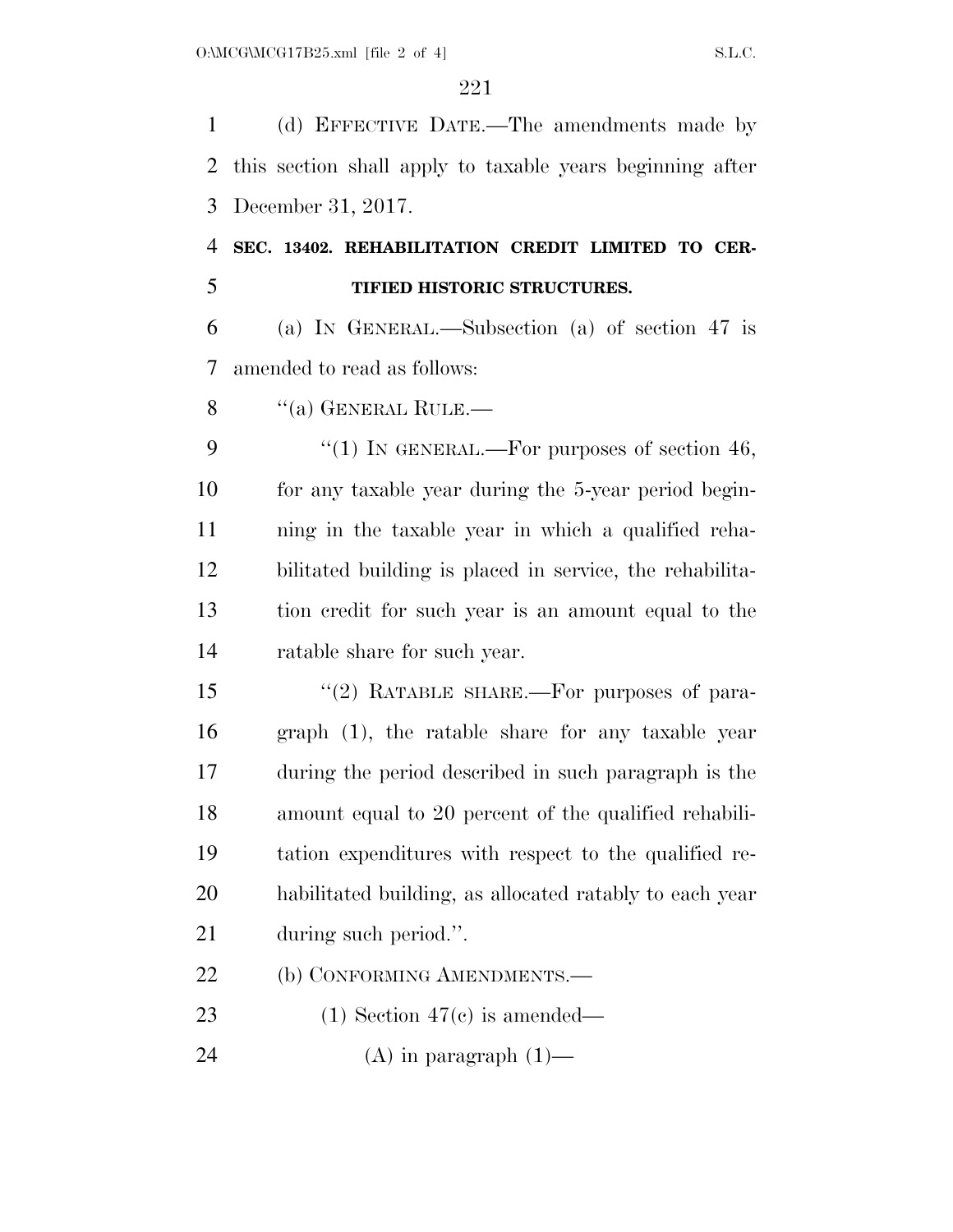(d) EFFECTIVE DATE.—The amendments made by this section shall apply to taxable years beginning after December 31, 2017.

 **SEC. 13402. REHABILITATION CREDIT LIMITED TO CER-TIFIED HISTORIC STRUCTURES.** 

 (a) IN GENERAL.—Subsection (a) of section 47 is amended to read as follows:

8 "(a) GENERAL RULE.—

 $\frac{4}{1}$  In GENERAL.—For purposes of section 46, for any taxable year during the 5-year period begin- ning in the taxable year in which a qualified reha- bilitated building is placed in service, the rehabilita- tion credit for such year is an amount equal to the ratable share for such year.

15 "(2) RATABLE SHARE.—For purposes of para- graph (1), the ratable share for any taxable year during the period described in such paragraph is the amount equal to 20 percent of the qualified rehabili- tation expenditures with respect to the qualified re- habilitated building, as allocated ratably to each year during such period.''.

22 (b) CONFORMING AMENDMENTS.—

(1) Section 47(c) is amended—

24 (A) in paragraph  $(1)$ —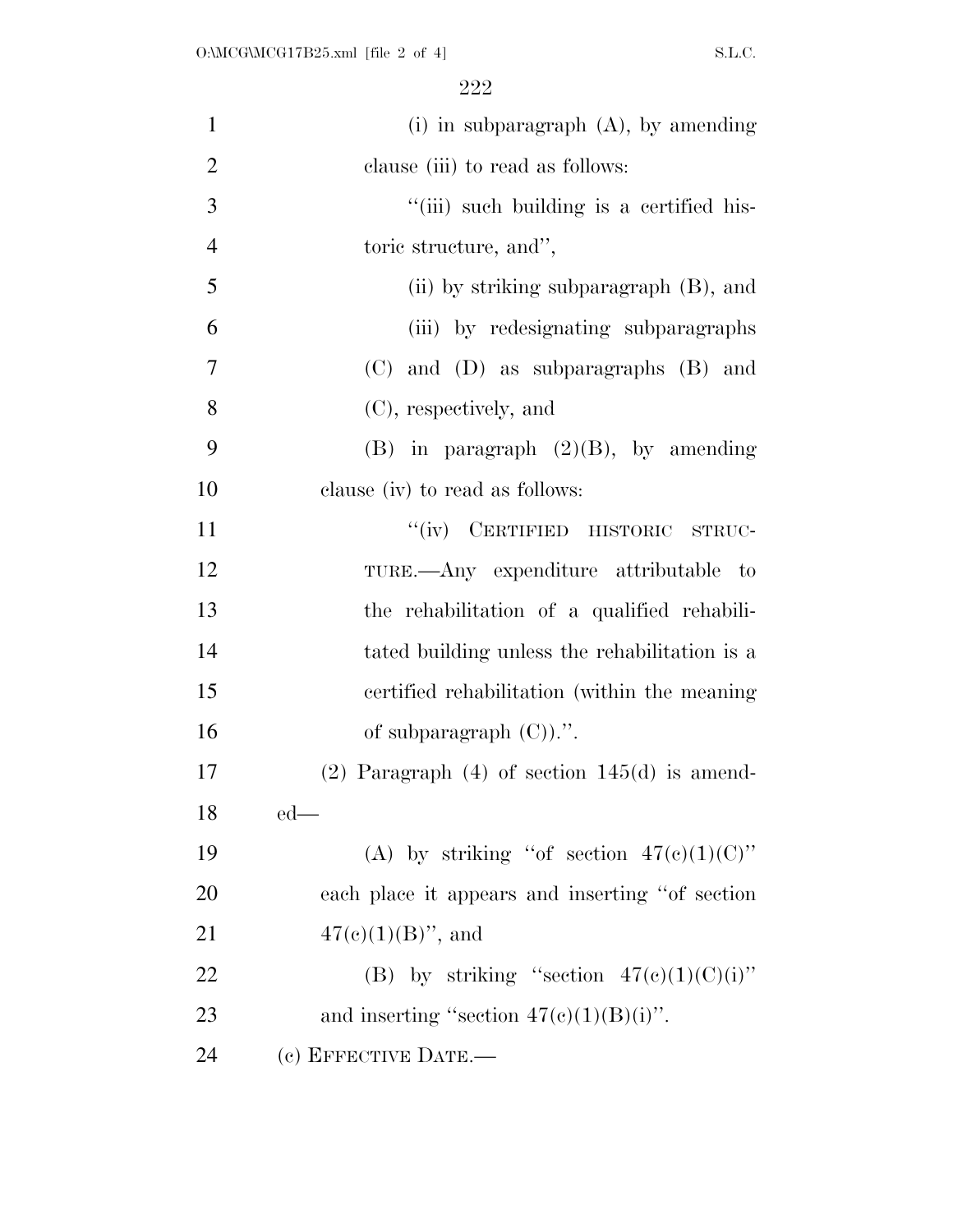| $\mathbf{1}$   | (i) in subparagraph $(A)$ , by amending              |
|----------------|------------------------------------------------------|
| $\overline{2}$ | clause (iii) to read as follows:                     |
| 3              | "(iii) such building is a certified his-             |
| $\overline{4}$ | toric structure, and",                               |
| 5              | (ii) by striking subparagraph $(B)$ , and            |
| 6              | (iii) by redesignating subparagraphs                 |
| 7              | (C) and (D) as subparagraphs (B) and                 |
| 8              | (C), respectively, and                               |
| 9              | $(B)$ in paragraph $(2)(B)$ , by amending            |
| 10             | clause (iv) to read as follows:                      |
| 11             | "(iv) CERTIFIED HISTORIC STRUC-                      |
| 12             | TURE.—Any expenditure attributable to                |
| 13             | the rehabilitation of a qualified rehabili-          |
| 14             | tated building unless the rehabilitation is a        |
| 15             | certified rehabilitation (within the meaning)        |
| 16             | of subparagraph $(C)$ .".                            |
| 17             | $(2)$ Paragraph $(4)$ of section 145 $(d)$ is amend- |
| 18             | $ed$ —                                               |
| 19             | (A) by striking "of section $47(e)(1)(C)$ "          |
| 20             | each place it appears and inserting "of section"     |
| 21             | $47(e)(1)(B)$ , and                                  |
| 22             | (B) by striking "section $47(e)(1)(C)(i)$ "          |
| 23             | and inserting "section $47(c)(1)(B)(i)$ ".           |
| 24             | (c) EFFECTIVE DATE.-                                 |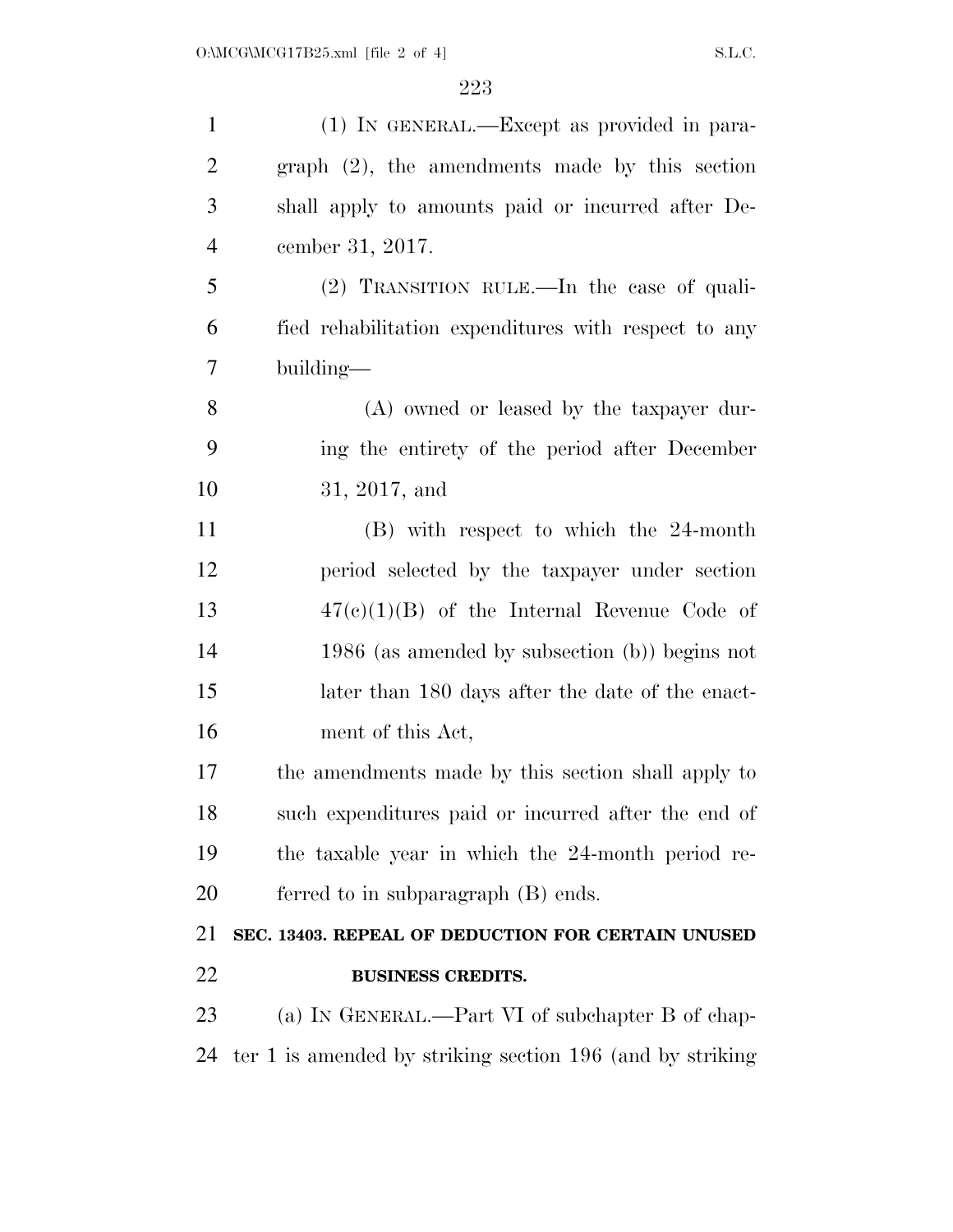| $\mathbf{1}$   | (1) IN GENERAL.—Except as provided in para-               |
|----------------|-----------------------------------------------------------|
| $\overline{2}$ | $graph (2)$ , the amendments made by this section         |
| 3              | shall apply to amounts paid or incurred after De-         |
| $\overline{4}$ | cember 31, 2017.                                          |
| 5              | $(2)$ TRANSITION RULE.—In the case of quali-              |
| 6              | fied rehabilitation expenditures with respect to any      |
| 7              | building—                                                 |
| 8              | (A) owned or leased by the taxpayer dur-                  |
| 9              | ing the entirety of the period after December             |
| 10             | 31, 2017, and                                             |
| 11             | (B) with respect to which the 24-month                    |
| 12             | period selected by the taxpayer under section             |
| 13             | $47(e)(1)(B)$ of the Internal Revenue Code of             |
| 14             | $1986$ (as amended by subsection (b)) begins not          |
| 15             | later than 180 days after the date of the enact-          |
| 16             | ment of this Act,                                         |
| 17             | the amendments made by this section shall apply to        |
| 18             | such expenditures paid or incurred after the end of       |
| 19             | the taxable year in which the 24-month period re-         |
| 20             | ferred to in subparagraph (B) ends.                       |
| 21             | SEC. 13403. REPEAL OF DEDUCTION FOR CERTAIN UNUSED        |
| 22             | <b>BUSINESS CREDITS.</b>                                  |
| 23             | (a) IN GENERAL.—Part VI of subchapter B of chap-          |
| 24             | ter 1 is amended by striking section 196 (and by striking |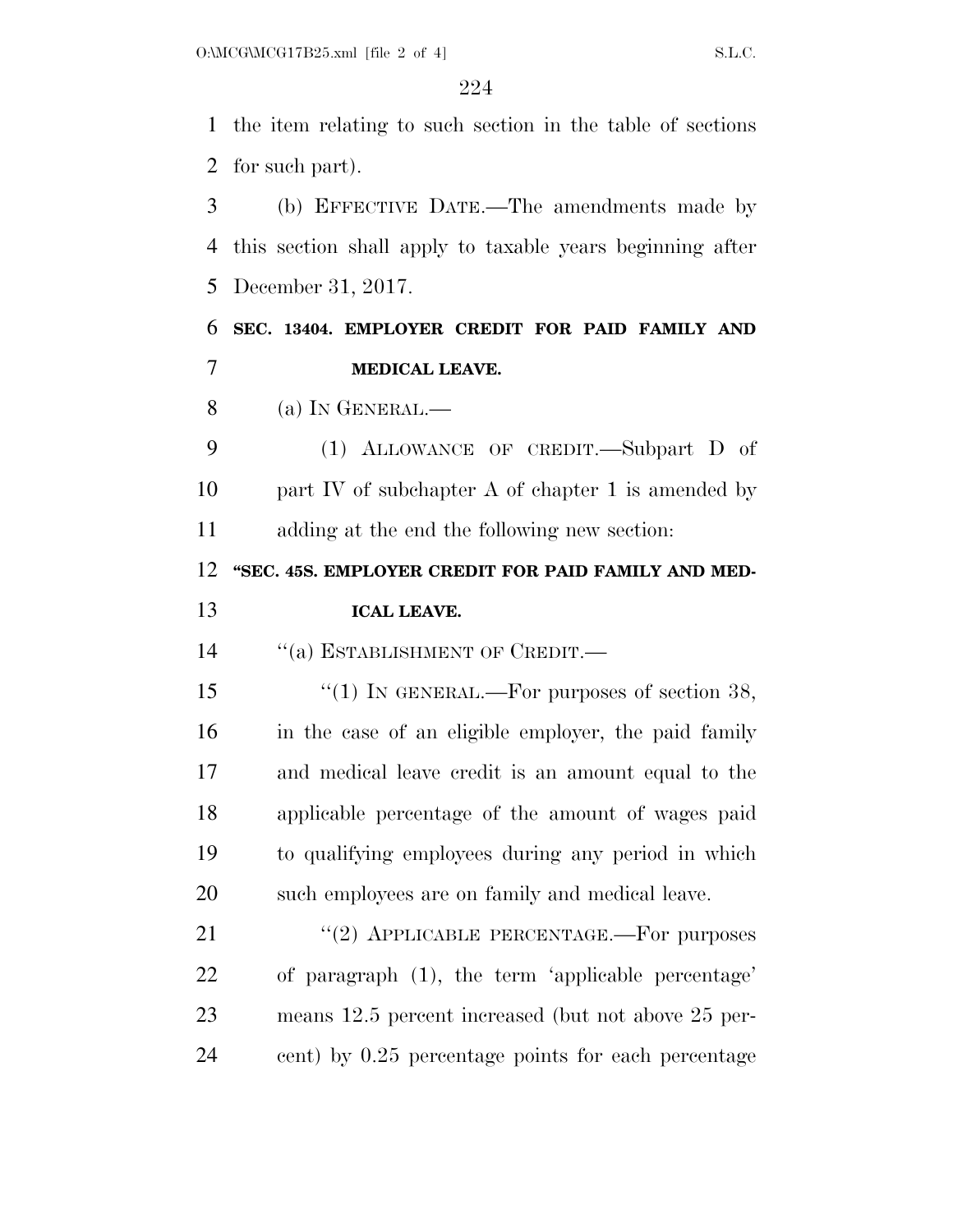the item relating to such section in the table of sections for such part).

 (b) EFFECTIVE DATE.—The amendments made by this section shall apply to taxable years beginning after December 31, 2017.

 **SEC. 13404. EMPLOYER CREDIT FOR PAID FAMILY AND MEDICAL LEAVE.** 

(a) IN GENERAL.—

 (1) ALLOWANCE OF CREDIT.—Subpart D of 10 part IV of subchapter A of chapter 1 is amended by adding at the end the following new section:

**''SEC. 45S. EMPLOYER CREDIT FOR PAID FAMILY AND MED-**

#### **ICAL LEAVE.**

14 "(a) ESTABLISHMENT OF CREDIT.—

15 "(1) IN GENERAL.—For purposes of section 38, in the case of an eligible employer, the paid family and medical leave credit is an amount equal to the applicable percentage of the amount of wages paid to qualifying employees during any period in which such employees are on family and medical leave.

21 "(2) APPLICABLE PERCENTAGE.—For purposes of paragraph (1), the term 'applicable percentage' means 12.5 percent increased (but not above 25 per-cent) by 0.25 percentage points for each percentage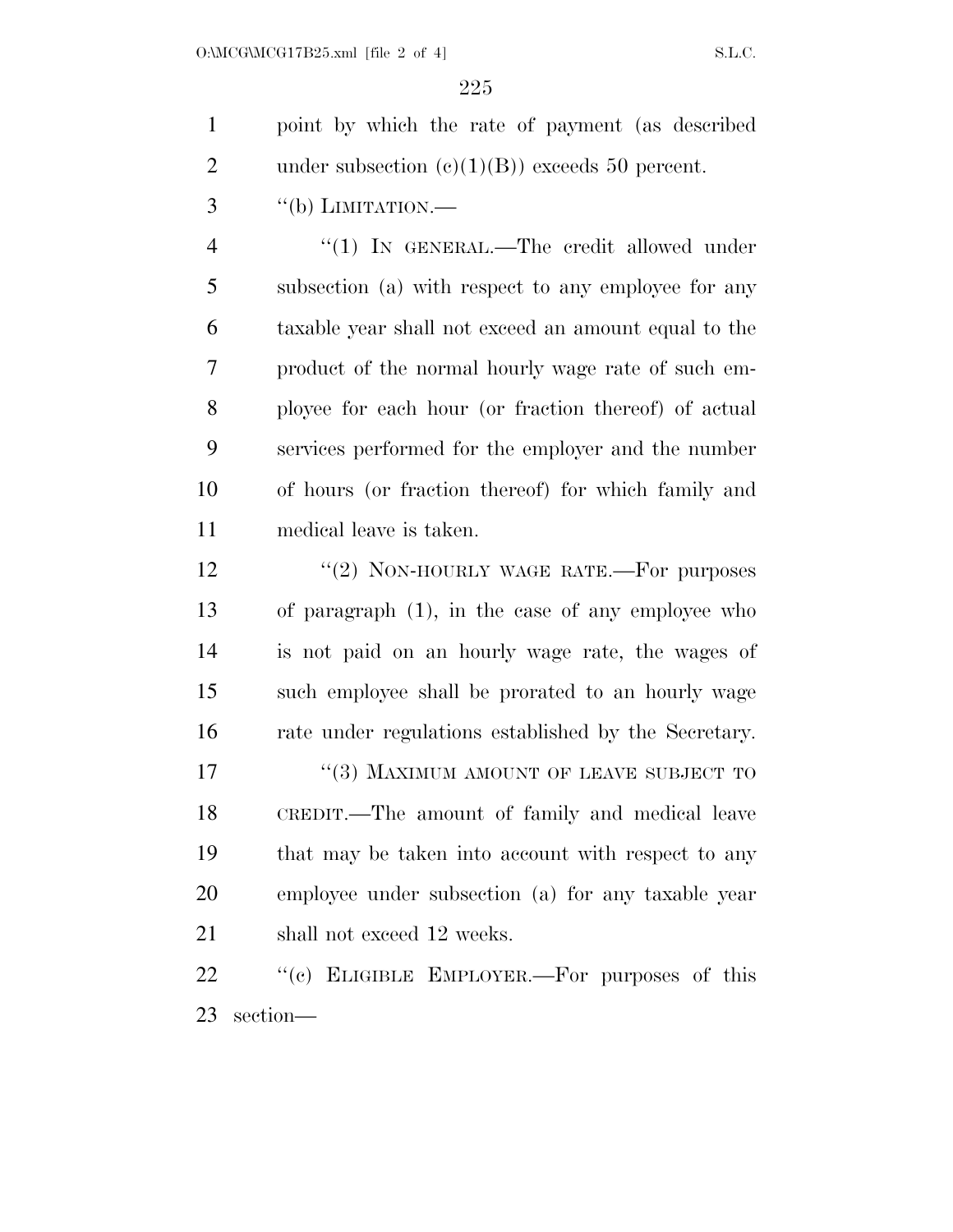point by which the rate of payment (as described 2 under subsection  $(e)(1)(B)$  exceeds 50 percent.

"(b) LIMITATION.—

4 "(1) IN GENERAL.—The credit allowed under subsection (a) with respect to any employee for any taxable year shall not exceed an amount equal to the product of the normal hourly wage rate of such em- ployee for each hour (or fraction thereof) of actual services performed for the employer and the number of hours (or fraction thereof) for which family and medical leave is taken.

12 "(2) NON-HOURLY WAGE RATE.—For purposes of paragraph (1), in the case of any employee who is not paid on an hourly wage rate, the wages of such employee shall be prorated to an hourly wage rate under regulations established by the Secretary. 17 "(3) MAXIMUM AMOUNT OF LEAVE SUBJECT TO CREDIT.—The amount of family and medical leave that may be taken into account with respect to any employee under subsection (a) for any taxable year 21 shall not exceed 12 weeks.

22 "(c) ELIGIBLE EMPLOYER.—For purposes of this section—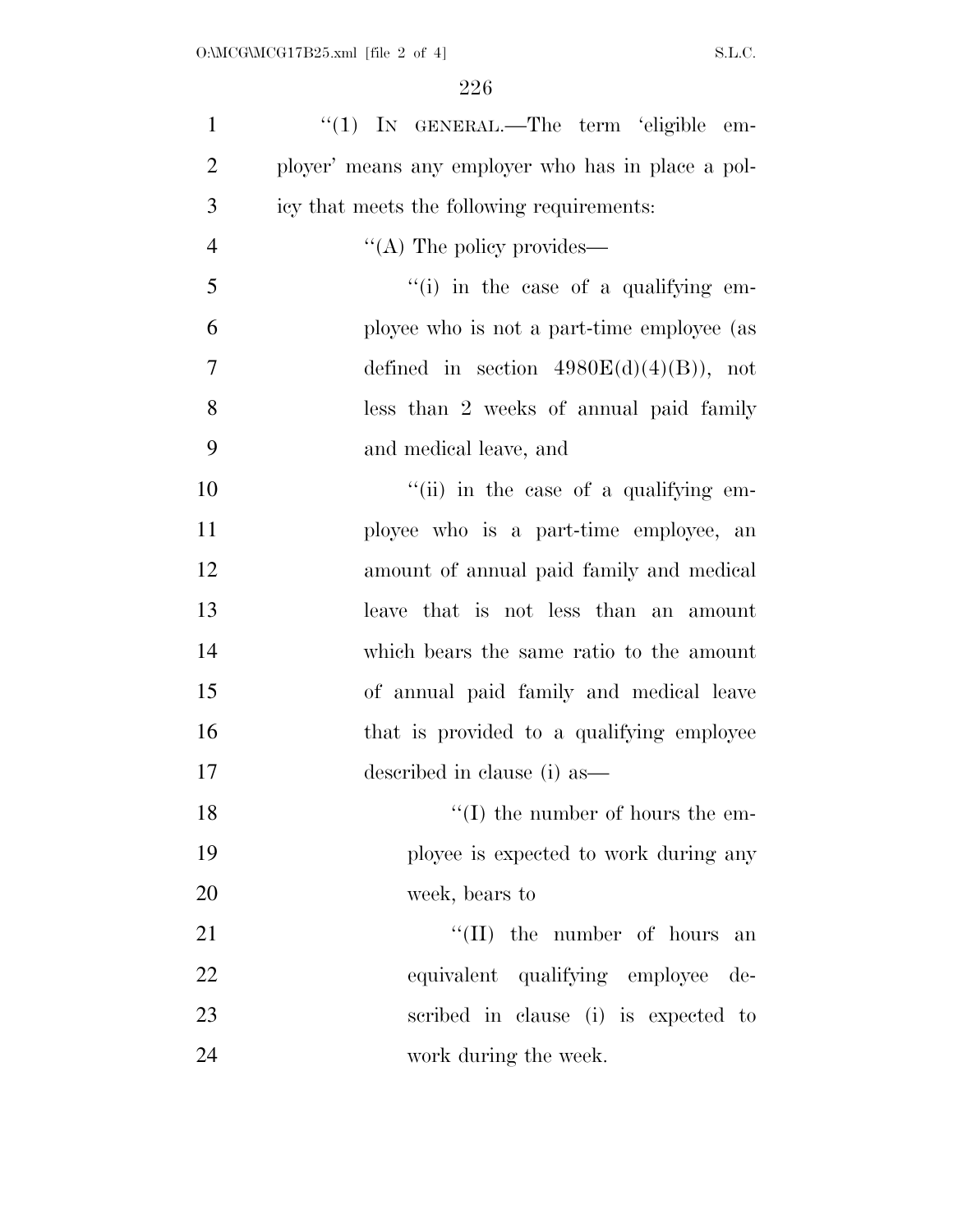| $\mathbf{1}$   | "(1) IN GENERAL.—The term 'eligible em-            |
|----------------|----------------------------------------------------|
| $\overline{2}$ | ployer' means any employer who has in place a pol- |
| 3              | icy that meets the following requirements:         |
| $\overline{4}$ | $\lq\lq$ The policy provides—                      |
| 5              | $\lq\lq$ (i) in the case of a qualifying em-       |
| 6              | ployee who is not a part-time employee (as         |
| 7              | defined in section $4980E(d)(4)(B)$ , not          |
| 8              | less than 2 weeks of annual paid family            |
| 9              | and medical leave, and                             |
| 10             | "(ii) in the case of a qualifying em-              |
| 11             | ployee who is a part-time employee, an             |
| 12             | amount of annual paid family and medical           |
| 13             | leave that is not less than an amount              |
| 14             | which bears the same ratio to the amount           |
| 15             | of annual paid family and medical leave            |
| 16             | that is provided to a qualifying employee          |
| 17             | described in clause (i) as                         |
| 18             | $\lq\lq$ (I) the number of hours the em-           |
| 19             | ployee is expected to work during any              |
| 20             | week, bears to                                     |
| 21             | $\lq\lq$ (II) the number of hours<br>an            |
| 22             | equivalent qualifying employee de-                 |
| 23             | scribed in clause (i) is expected to               |
| 24             | work during the week.                              |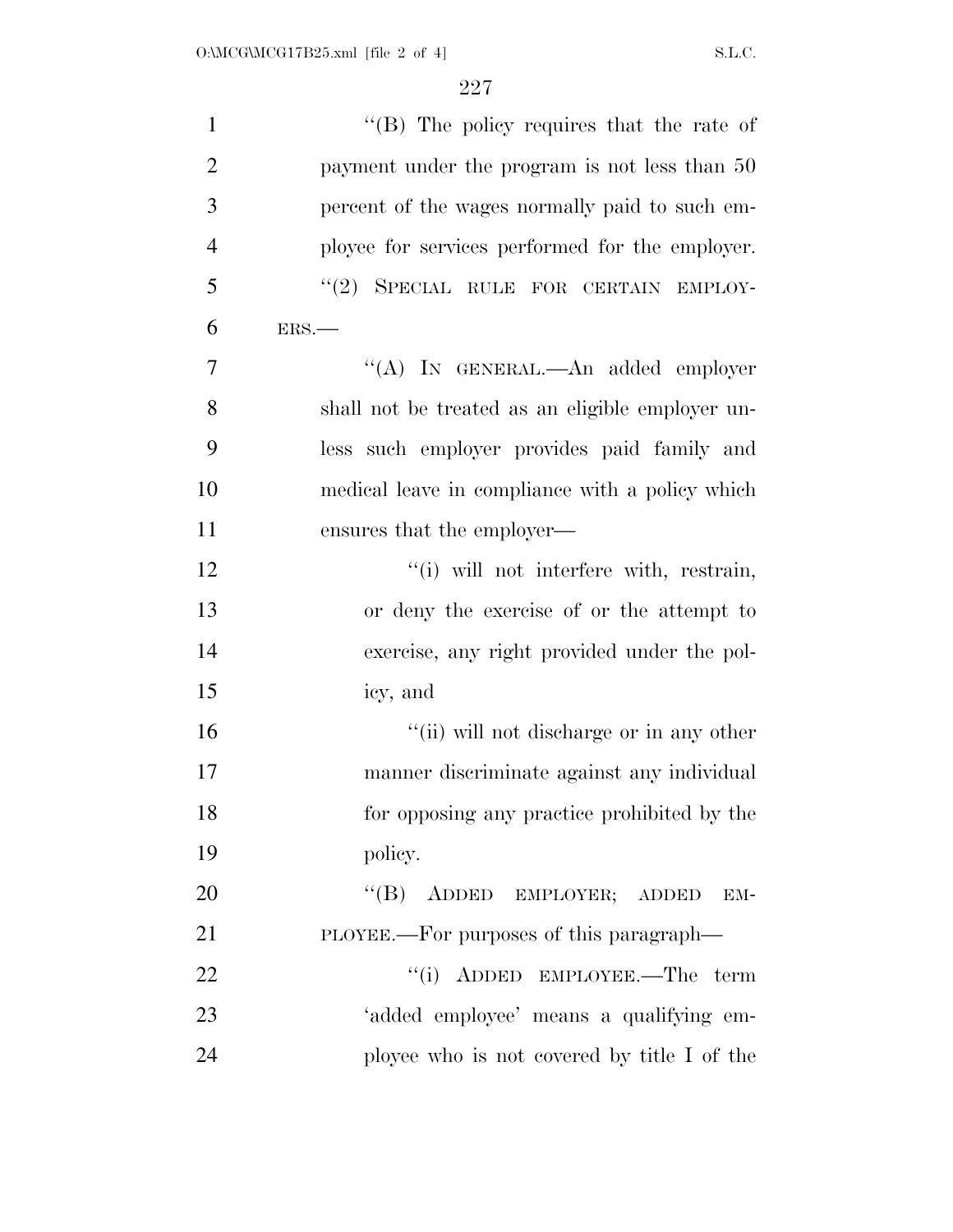| $\mathbf{1}$   | " $(B)$ The policy requires that the rate of     |
|----------------|--------------------------------------------------|
| $\overline{2}$ | payment under the program is not less than 50    |
| 3              | percent of the wages normally paid to such em-   |
| $\overline{4}$ | ployee for services performed for the employer.  |
| 5              | "(2) SPECIAL RULE FOR CERTAIN EMPLOY-            |
| 6              | ERS.                                             |
| 7              | "(A) IN GENERAL.—An added employer               |
| 8              | shall not be treated as an eligible employer un- |
| 9              | less such employer provides paid family and      |
| 10             | medical leave in compliance with a policy which  |
| 11             | ensures that the employer—                       |
| 12             | "(i) will not interfere with, restrain,          |
| 13             | or deny the exercise of or the attempt to        |
| 14             | exercise, any right provided under the pol-      |
| 15             | icy, and                                         |
| 16             | "(ii) will not discharge or in any other         |
| 17             | manner discriminate against any individual       |
| 18             | for opposing any practice prohibited by the      |
| 19             | policy.                                          |
| 20             | "(B) ADDED EMPLOYER; ADDED<br>EM-                |
| 21             | PLOYEE.—For purposes of this paragraph—          |
| 22             | "(i) ADDED EMPLOYEE.—The term                    |
| 23             | 'added employee' means a qualifying em-          |
| 24             | ployee who is not covered by title I of the      |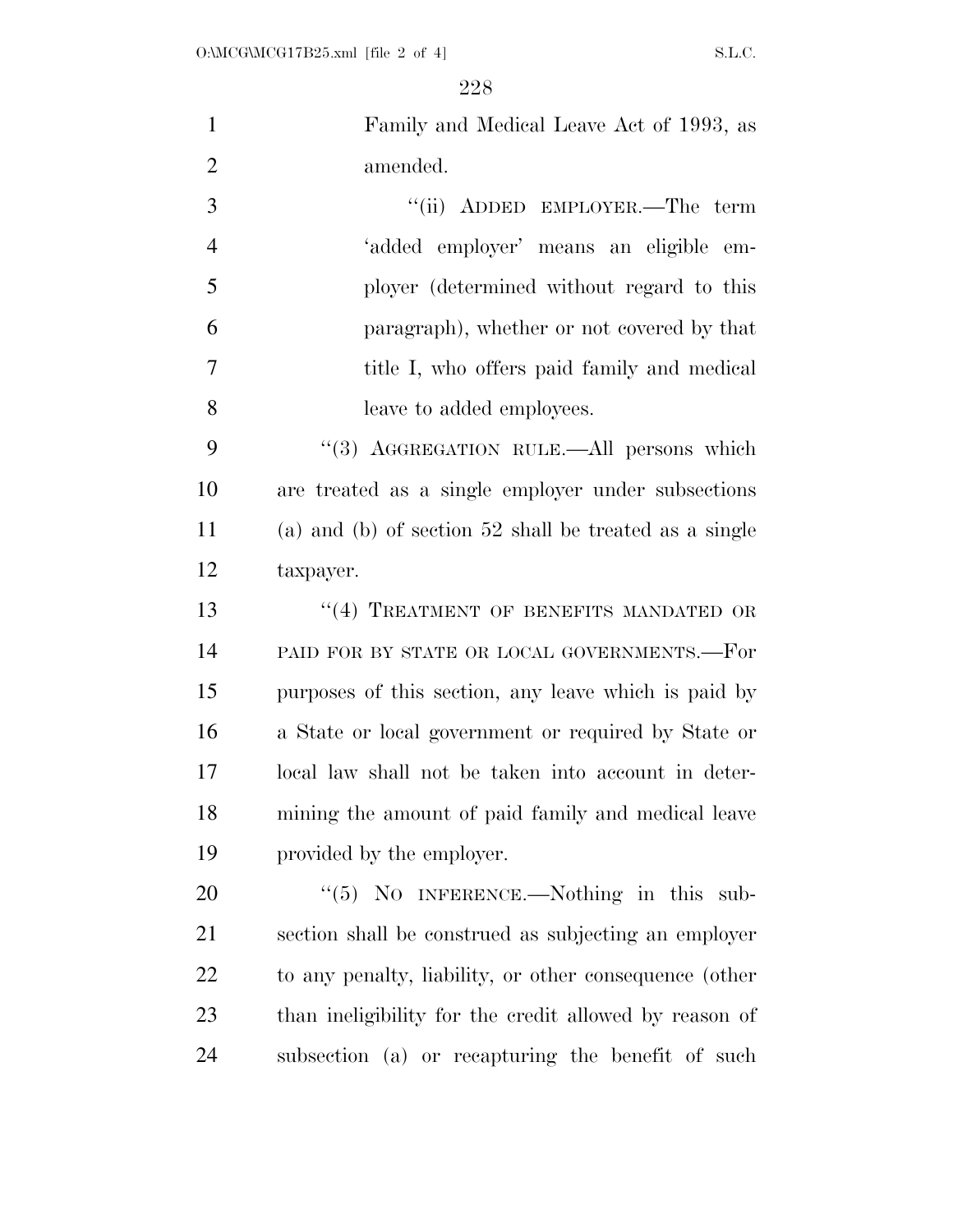| $\mathbf{1}$   | Family and Medical Leave Act of 1993, as                 |
|----------------|----------------------------------------------------------|
| $\overline{2}$ | amended.                                                 |
| 3              | "(ii) ADDED EMPLOYER.—The term                           |
| $\overline{4}$ | 'added employer' means an eligible em-                   |
| 5              | ployer (determined without regard to this                |
| 6              | paragraph), whether or not covered by that               |
| 7              | title I, who offers paid family and medical              |
| 8              | leave to added employees.                                |
| 9              | "(3) AGGREGATION RULE. All persons which                 |
| 10             | are treated as a single employer under subsections       |
| 11             | (a) and (b) of section $52$ shall be treated as a single |
| 12             | taxpayer.                                                |
| 13             | "(4) TREATMENT OF BENEFITS MANDATED OR                   |
| 14             | PAID FOR BY STATE OR LOCAL GOVERNMENTS.-For              |
| 15             | purposes of this section, any leave which is paid by     |
| 16             | a State or local government or required by State or      |
| 17             | local law shall not be taken into account in deter-      |
| 18             | mining the amount of paid family and medical leave       |
| 19             | provided by the employer.                                |
| 20             | " $(5)$ NO INFERENCE.—Nothing in this sub-               |
| 21             | section shall be construed as subjecting an employer     |
| 22             | to any penalty, liability, or other consequence (other   |
| 23             | than ineligibility for the credit allowed by reason of   |
| 24             | subsection (a) or recapturing the benefit of such        |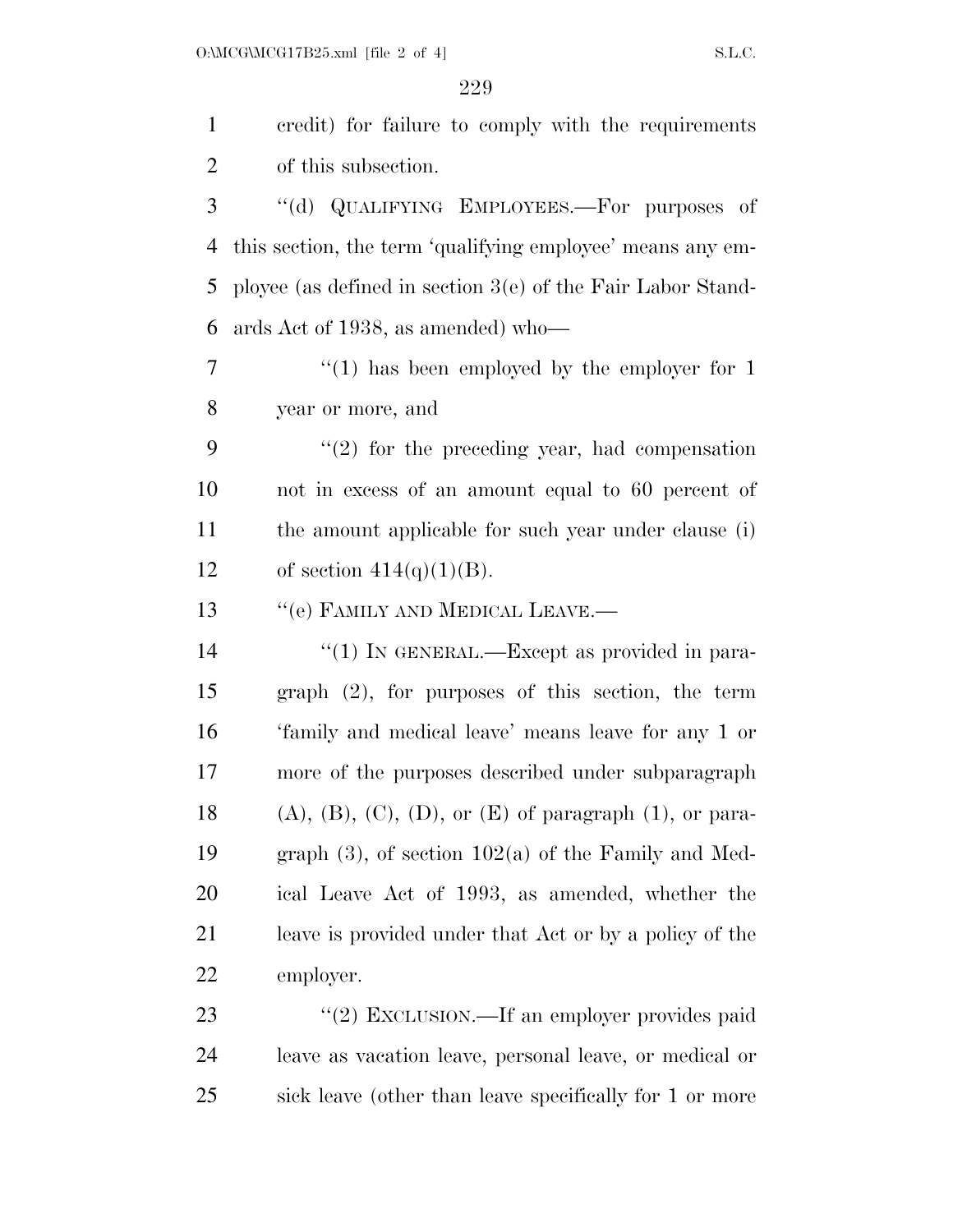| $\mathbf{1}$   | credit) for failure to comply with the requirements                    |
|----------------|------------------------------------------------------------------------|
| $\overline{2}$ | of this subsection.                                                    |
| 3              | "(d) QUALIFYING EMPLOYEES.—For purposes of                             |
| 4              | this section, the term 'qualifying employee' means any em-             |
| 5              | ployee (as defined in section $3(e)$ of the Fair Labor Stand-          |
| 6              | ards Act of 1938, as amended) who—                                     |
| 7              | $\lq(1)$ has been employed by the employer for 1                       |
| 8              | year or more, and                                                      |
| 9              | $\lq(2)$ for the preceding year, had compensation                      |
| 10             | not in excess of an amount equal to 60 percent of                      |
| 11             | the amount applicable for such year under clause (i)                   |
| 12             | of section $414(q)(1)(B)$ .                                            |
| 13             | "(e) FAMILY AND MEDICAL LEAVE.—                                        |
| 14             | "(1) IN GENERAL.—Except as provided in para-                           |
| 15             | $graph$ $(2)$ , for purposes of this section, the term                 |
| 16             | 'family and medical leave' means leave for any 1 or                    |
| 17             | more of the purposes described under subparagraph                      |
| 18             | $(A)$ , $(B)$ , $(C)$ , $(D)$ , or $(E)$ of paragraph $(1)$ , or para- |
| 19             | graph $(3)$ , of section $102(a)$ of the Family and Med-               |
| 20             | ical Leave Act of 1993, as amended, whether the                        |
| 21             | leave is provided under that Act or by a policy of the                 |
| 22             | employer.                                                              |
| 23             | "(2) EXCLUSION.—If an employer provides paid                           |
| 24             | leave as vacation leave, personal leave, or medical or                 |

sick leave (other than leave specifically for 1 or more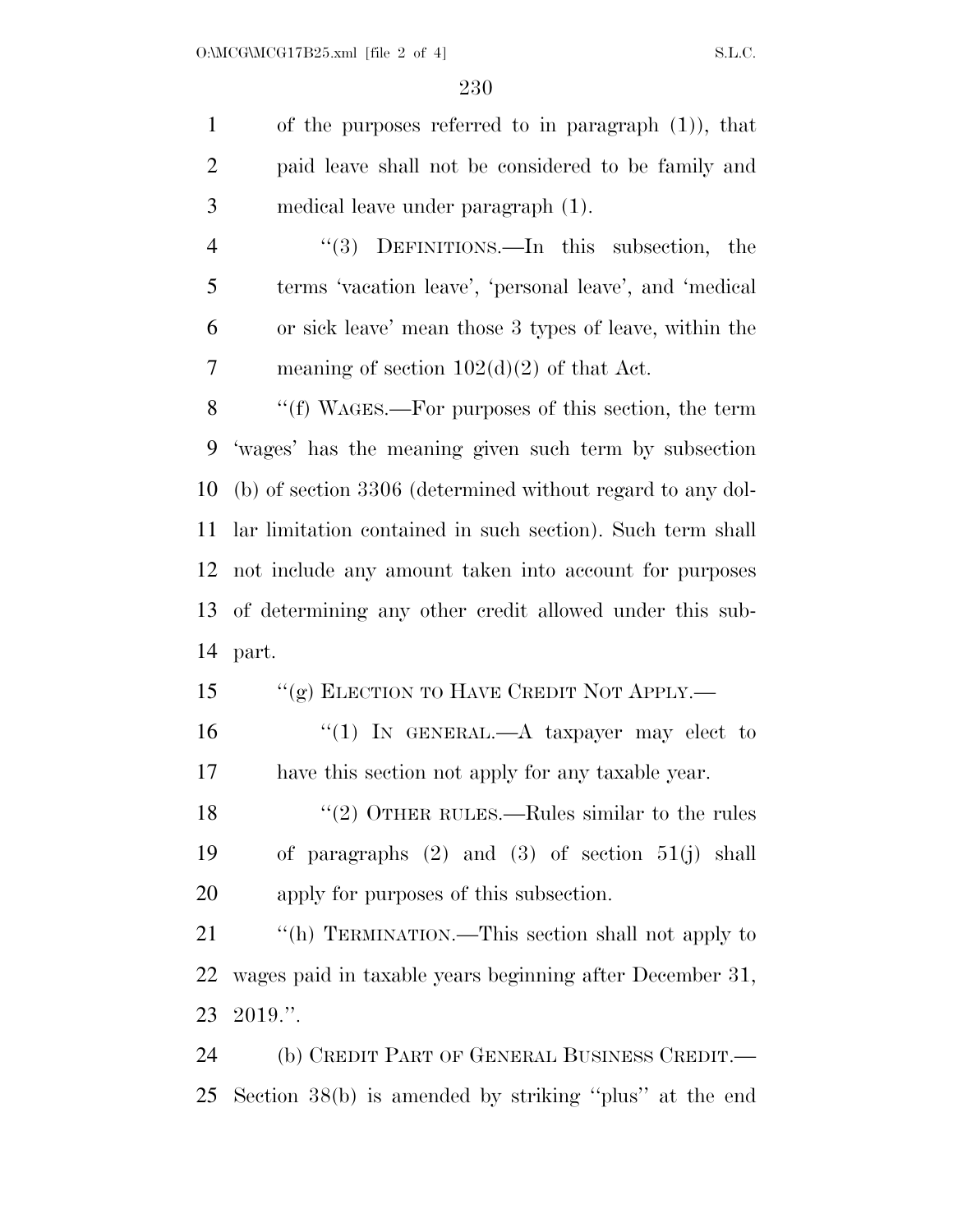of the purposes referred to in paragraph (1)), that paid leave shall not be considered to be family and medical leave under paragraph (1).

 ''(3) DEFINITIONS.—In this subsection, the terms 'vacation leave', 'personal leave', and 'medical or sick leave' mean those 3 types of leave, within the meaning of section 102(d)(2) of that Act.

 ''(f) WAGES.—For purposes of this section, the term 'wages' has the meaning given such term by subsection (b) of section 3306 (determined without regard to any dol- lar limitation contained in such section). Such term shall not include any amount taken into account for purposes of determining any other credit allowed under this sub-part.

15 "(g) ELECTION TO HAVE CREDIT NOT APPLY.—

16 "(1) In GENERAL.—A taxpayer may elect to have this section not apply for any taxable year.

18 ''(2) OTHER RULES.—Rules similar to the rules of paragraphs (2) and (3) of section 51(j) shall apply for purposes of this subsection.

21 "(h) TERMINATION.—This section shall not apply to wages paid in taxable years beginning after December 31, 2019.''.

 (b) CREDIT PART OF GENERAL BUSINESS CREDIT.— Section 38(b) is amended by striking ''plus'' at the end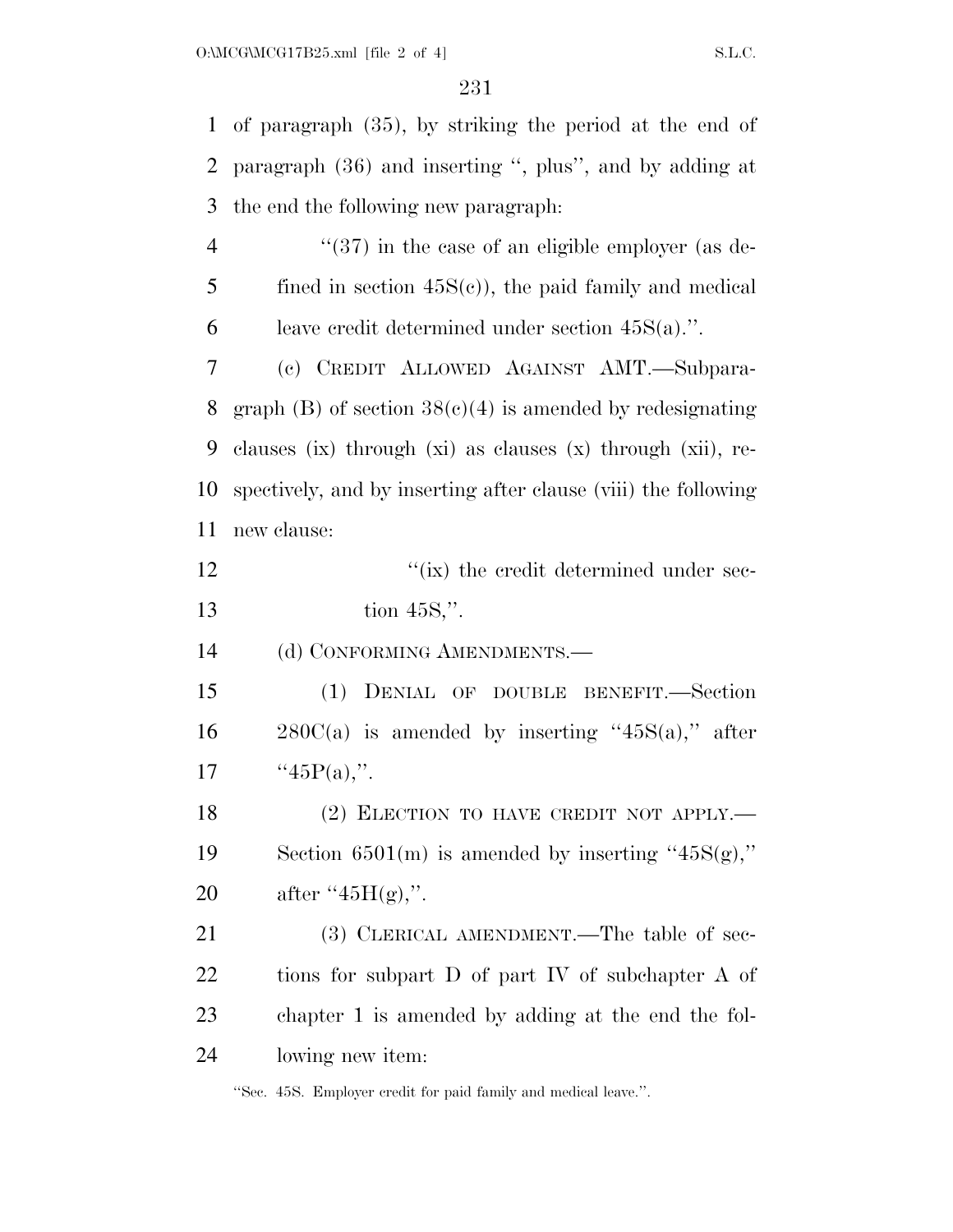of paragraph (35), by striking the period at the end of paragraph (36) and inserting '', plus'', and by adding at the end the following new paragraph: 4 ''(37) in the case of an eligible employer (as de- fined in section 45S(c)), the paid family and medical 6 leave credit determined under section  $45S(a)$ .". (c) CREDIT ALLOWED AGAINST AMT.—Subpara-8 graph (B) of section  $38(c)(4)$  is amended by redesignating clauses (ix) through (xi) as clauses (x) through (xii), re- spectively, and by inserting after clause (viii) the following new clause:  $\frac{1}{\sin \theta}$  the credit determined under sec- tion 45S,''. 14 (d) CONFORMING AMENDMENTS. (1) DENIAL OF DOUBLE BENEFIT.—Section  $280C(a)$  is amended by inserting "45S(a)," after  $"45P(a)$ ,". 18 (2) ELECTION TO HAVE CREDIT NOT APPLY.— 19 Section 6501(m) is amended by inserting " $45S(g)$ ," 20 after " $45H(g)$ ,". 21 (3) CLERICAL AMENDMENT.—The table of sec- tions for subpart D of part IV of subchapter A of chapter 1 is amended by adding at the end the fol-lowing new item:

''Sec. 45S. Employer credit for paid family and medical leave.''.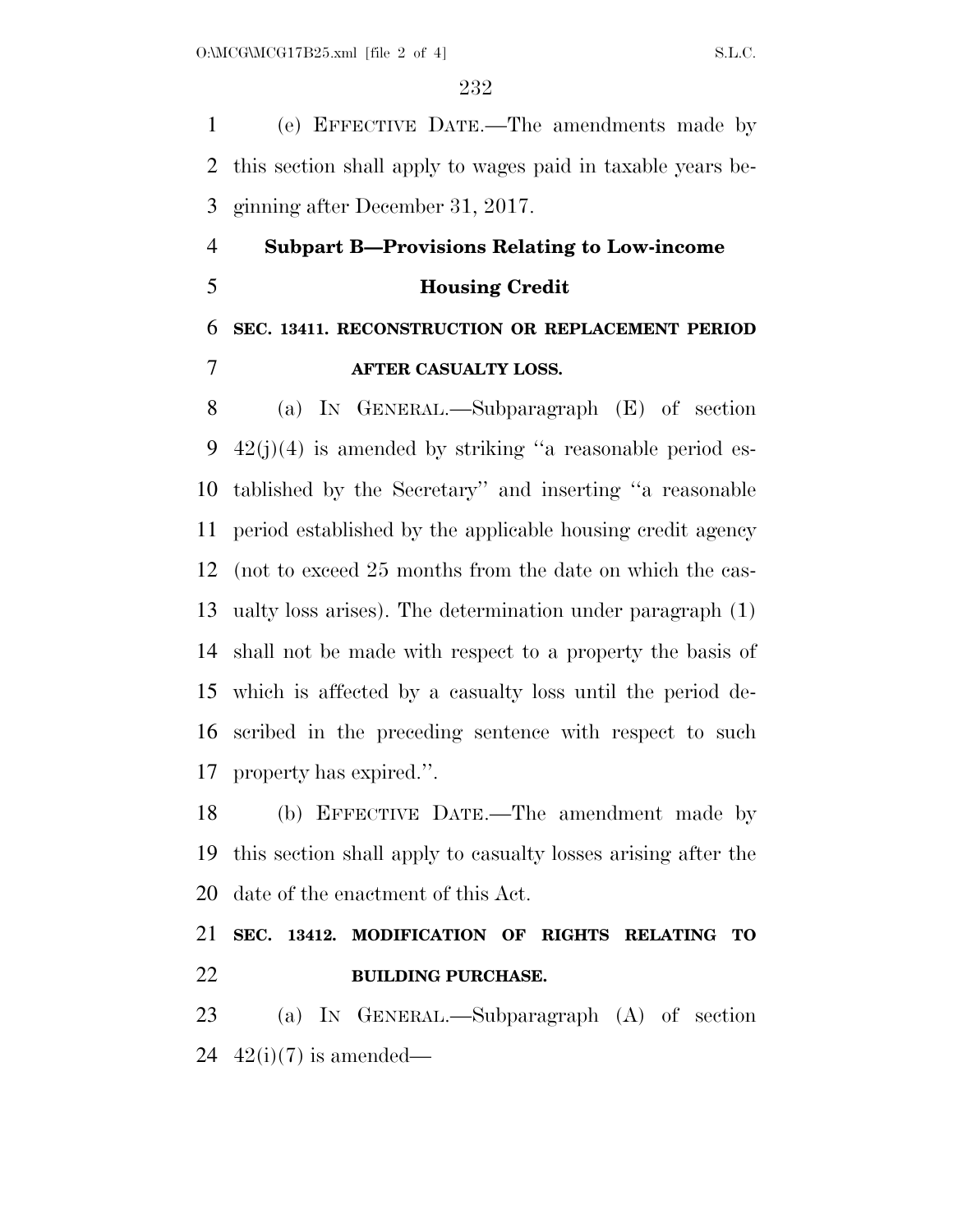(e) EFFECTIVE DATE.—The amendments made by this section shall apply to wages paid in taxable years be-ginning after December 31, 2017.

 **Subpart B—Provisions Relating to Low-income Housing Credit SEC. 13411. RECONSTRUCTION OR REPLACEMENT PERIOD** 

#### **AFTER CASUALTY LOSS.**

 (a) IN GENERAL.—Subparagraph (E) of section 42(j)(4) is amended by striking ''a reasonable period es- tablished by the Secretary'' and inserting ''a reasonable period established by the applicable housing credit agency (not to exceed 25 months from the date on which the cas- ualty loss arises). The determination under paragraph (1) shall not be made with respect to a property the basis of which is affected by a casualty loss until the period de- scribed in the preceding sentence with respect to such property has expired.''.

 (b) EFFECTIVE DATE.—The amendment made by this section shall apply to casualty losses arising after the date of the enactment of this Act.

### **SEC. 13412. MODIFICATION OF RIGHTS RELATING TO BUILDING PURCHASE.**

 (a) IN GENERAL.—Subparagraph (A) of section 24  $42(i)(7)$  is amended—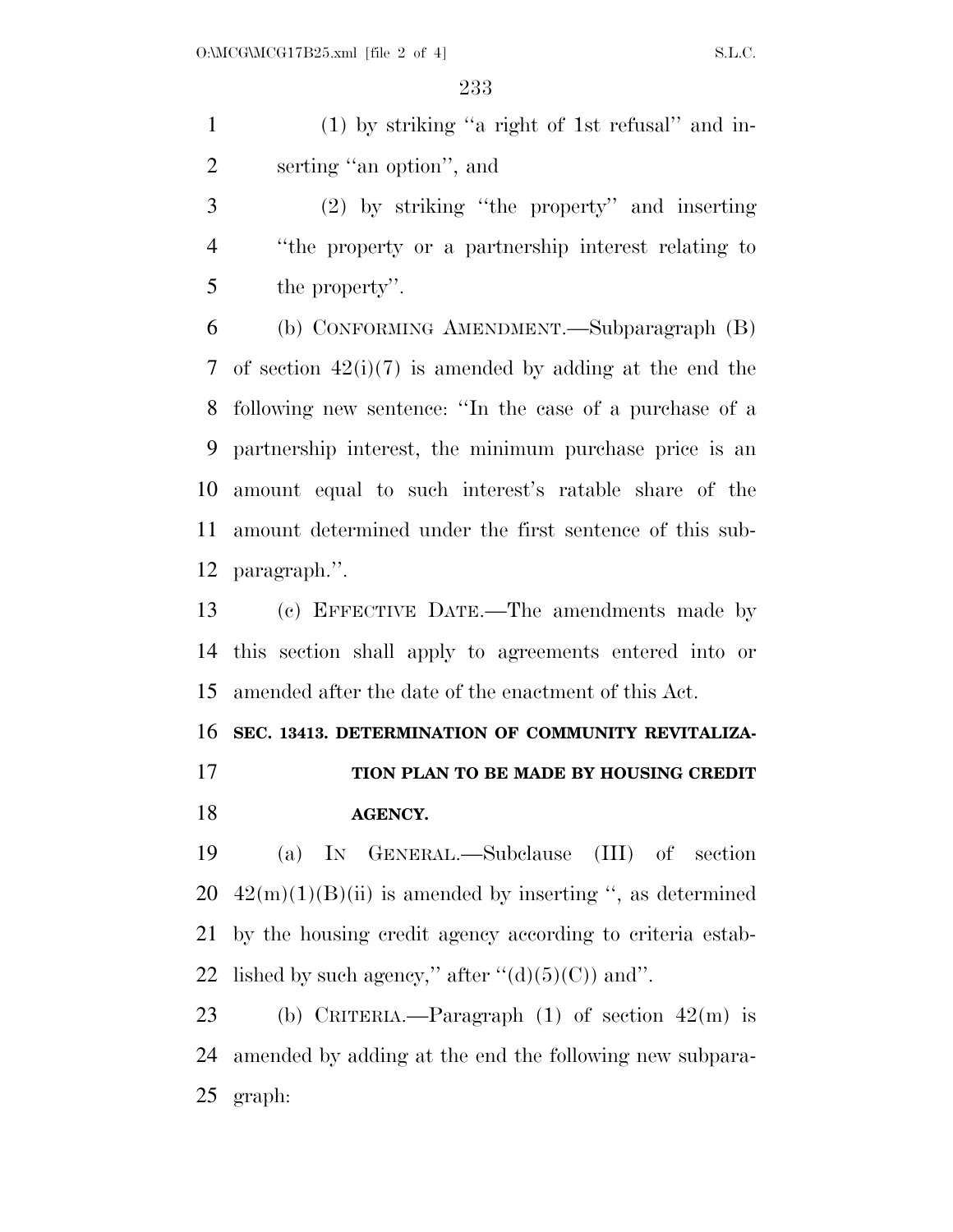(1) by striking ''a right of 1st refusal'' and in-serting ''an option'', and

 (2) by striking ''the property'' and inserting ''the property or a partnership interest relating to the property''.

 (b) CONFORMING AMENDMENT.—Subparagraph (B) of section 42(i)(7) is amended by adding at the end the following new sentence: ''In the case of a purchase of a partnership interest, the minimum purchase price is an amount equal to such interest's ratable share of the amount determined under the first sentence of this sub-paragraph.''.

 (c) EFFECTIVE DATE.—The amendments made by this section shall apply to agreements entered into or amended after the date of the enactment of this Act.

**SEC. 13413. DETERMINATION OF COMMUNITY REVITALIZA-**

 **TION PLAN TO BE MADE BY HOUSING CREDIT AGENCY.** 

 (a) IN GENERAL.—Subclause (III) of section  $42(m)(1)(B)(ii)$  is amended by inserting ", as determined by the housing credit agency according to criteria estab-22 lished by such agency," after  $\lq (d)(5)(C)$  and".

 (b) CRITERIA.—Paragraph (1) of section 42(m) is amended by adding at the end the following new subpara-graph: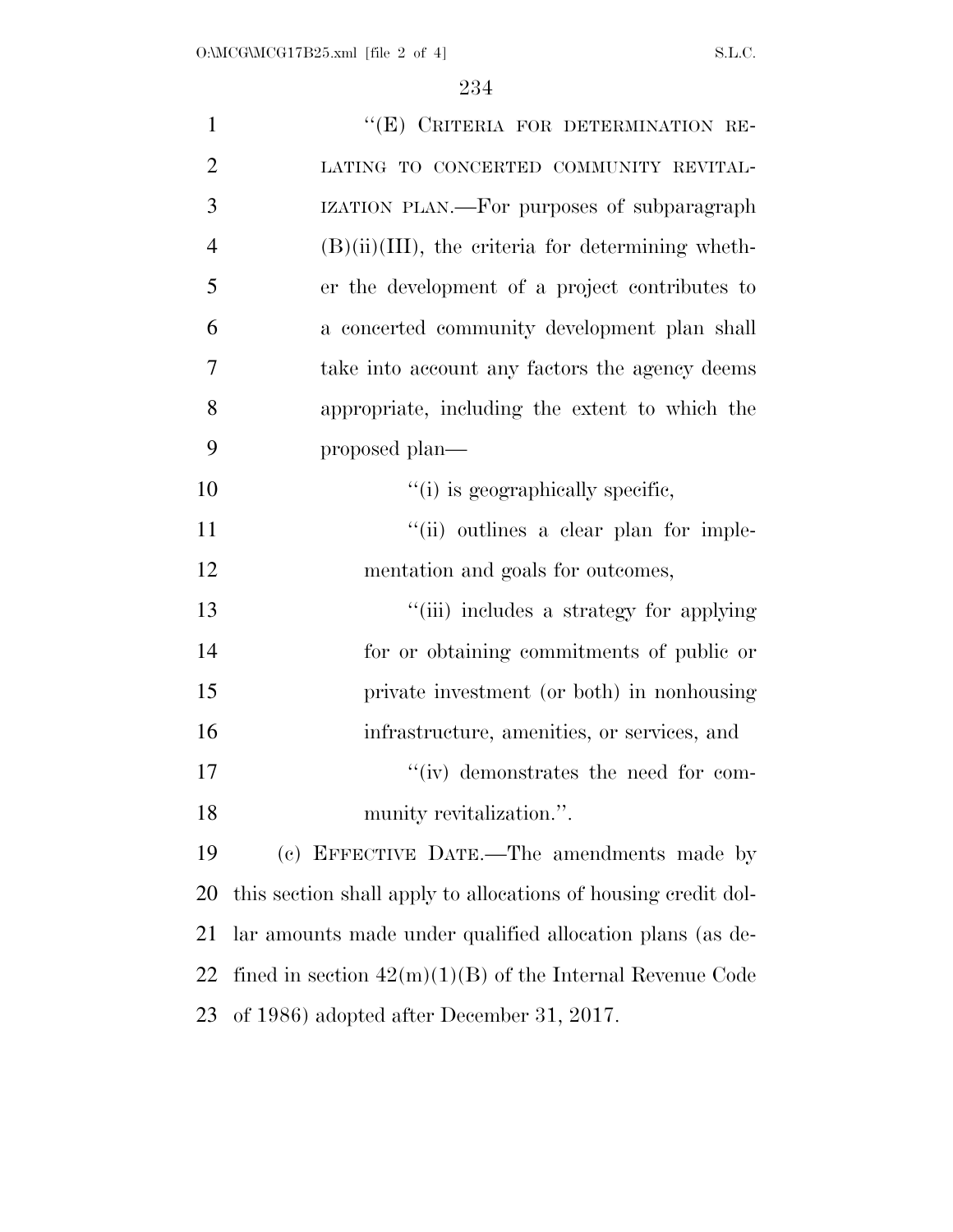| $\mathbf{1}$   | "(E) CRITERIA FOR DETERMINATION RE-                            |
|----------------|----------------------------------------------------------------|
| $\overline{2}$ | LATING TO CONCERTED COMMUNITY REVITAL-                         |
| 3              | IZATION PLAN.—For purposes of subparagraph                     |
| $\overline{4}$ | $(B)(ii)(III)$ , the criteria for determining wheth-           |
| 5              | er the development of a project contributes to                 |
| 6              | a concerted community development plan shall                   |
| 7              | take into account any factors the agency deems                 |
| 8              | appropriate, including the extent to which the                 |
| 9              | proposed plan—                                                 |
| 10             | "(i) is geographically specific,                               |
| 11             | "(ii) outlines a clear plan for imple-                         |
| 12             | mentation and goals for outcomes,                              |
| 13             | "(iii) includes a strategy for applying                        |
| 14             | for or obtaining commitments of public or                      |
| 15             | private investment (or both) in nonhousing                     |
| 16             | infrastructure, amenities, or services, and                    |
| 17             | "(iv) demonstrates the need for com-                           |
| 18             | munity revitalization.".                                       |
| 19             | (c) EFFECTIVE DATE.—The amendments made by                     |
| 20             | this section shall apply to allocations of housing credit dol- |
| 21             | lar amounts made under qualified allocation plans (as de-      |
| 22             | fined in section $42(m)(1)(B)$ of the Internal Revenue Code    |
| 23             | of 1986) adopted after December 31, 2017.                      |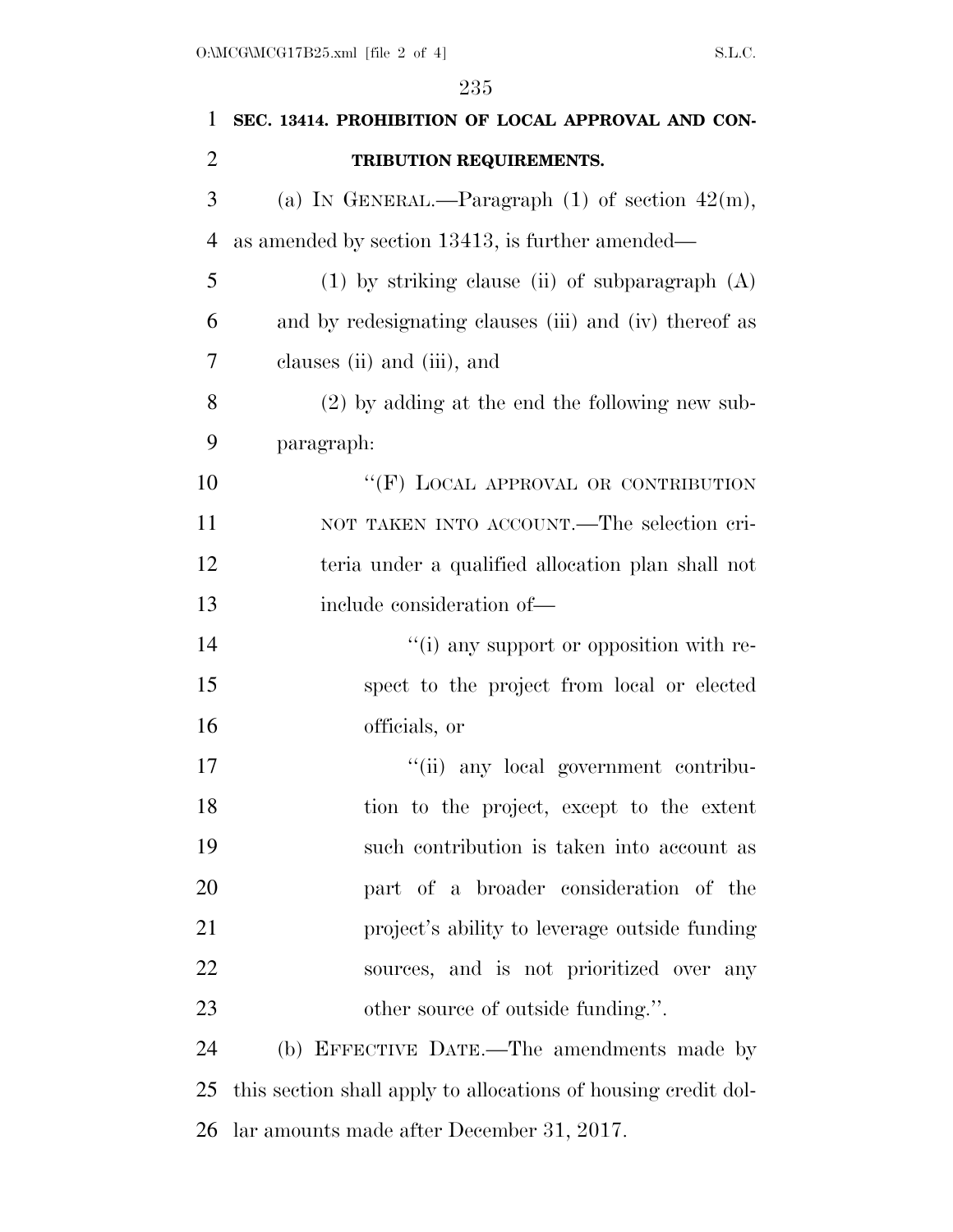| $\mathbf{1}$   | SEC. 13414. PROHIBITION OF LOCAL APPROVAL AND CON-             |
|----------------|----------------------------------------------------------------|
| $\overline{2}$ | TRIBUTION REQUIREMENTS.                                        |
| 3              | (a) IN GENERAL.—Paragraph $(1)$ of section $42(m)$ ,           |
| $\overline{4}$ | as amended by section 13413, is further amended—               |
| 5              | $(1)$ by striking clause (ii) of subparagraph $(A)$            |
| 6              | and by redesignating clauses (iii) and (iv) thereof as         |
| 7              | clauses (ii) and (iii), and                                    |
| 8              | $(2)$ by adding at the end the following new sub-              |
| 9              | paragraph:                                                     |
| 10             | "(F) LOCAL APPROVAL OR CONTRIBUTION                            |
| 11             | NOT TAKEN INTO ACCOUNT.—The selection cri-                     |
| 12             | teria under a qualified allocation plan shall not              |
| 13             | include consideration of—                                      |
| 14             | "(i) any support or opposition with re-                        |
| 15             | spect to the project from local or elected                     |
| 16             | officials, or                                                  |
| 17             | "(ii) any local government contribu-                           |
| 18             | tion to the project, except to the extent                      |
| 19             | such contribution is taken into account as                     |
| 20             | part of a broader consideration of the                         |
| 21             | project's ability to leverage outside funding                  |
| 22             | sources, and is not prioritized over any                       |
| 23             | other source of outside funding.".                             |
| 24             | (b) EFFECTIVE DATE.—The amendments made by                     |
| 25             | this section shall apply to allocations of housing credit dol- |
| 26             | lar amounts made after December 31, 2017.                      |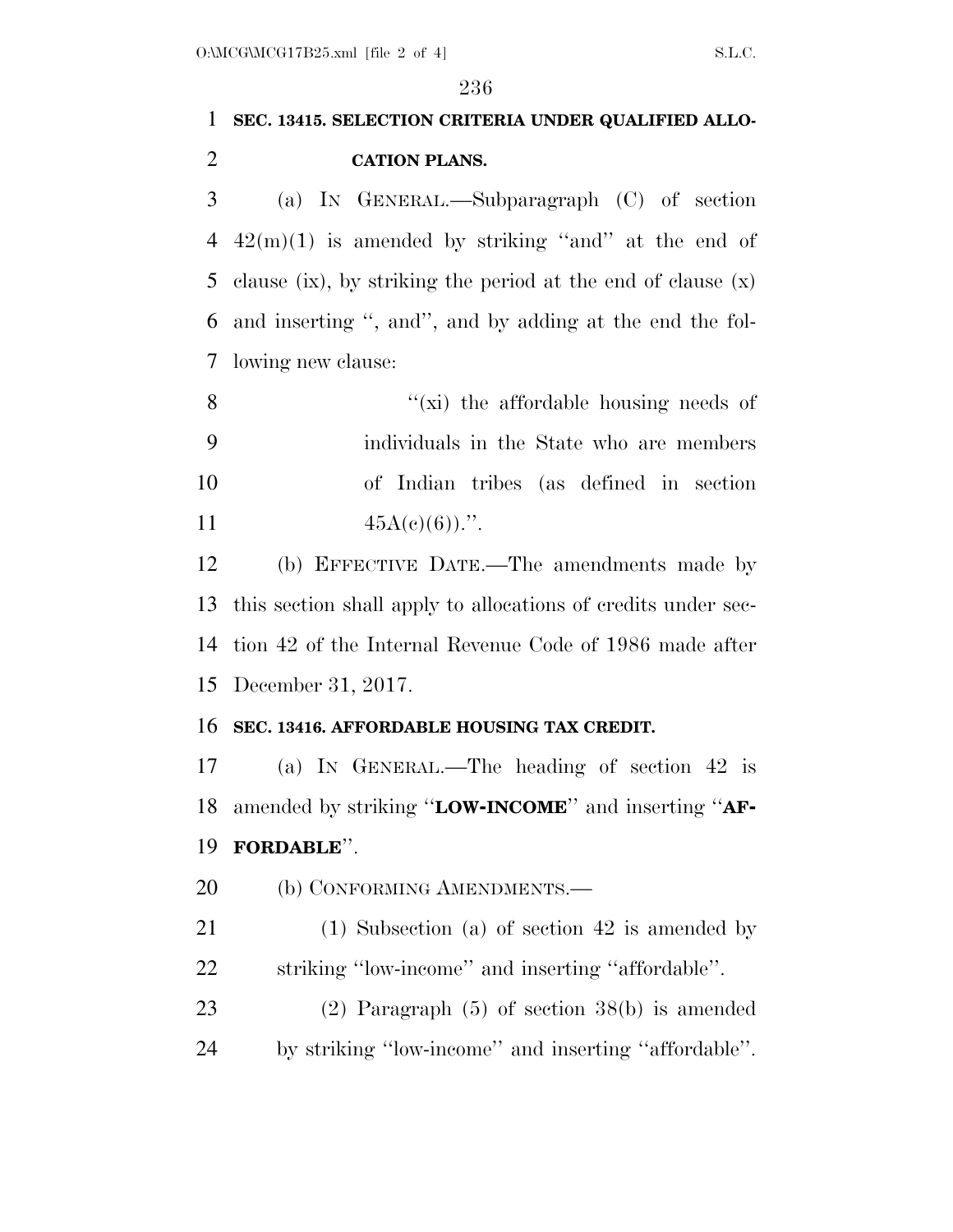## **SEC. 13415. SELECTION CRITERIA UNDER QUALIFIED ALLO-CATION PLANS.**

 (a) IN GENERAL.—Subparagraph (C) of section  $42(m)(1)$  is amended by striking "and" at the end of clause (ix), by striking the period at the end of clause (x) and inserting '', and'', and by adding at the end the fol-lowing new clause:

 $''(\vec{x})$  the affordable housing needs of individuals in the State who are members of Indian tribes (as defined in section  $45A(c)(6)$ .".

 (b) EFFECTIVE DATE.—The amendments made by this section shall apply to allocations of credits under sec- tion 42 of the Internal Revenue Code of 1986 made after December 31, 2017.

#### **SEC. 13416. AFFORDABLE HOUSING TAX CREDIT.**

 (a) IN GENERAL.—The heading of section 42 is amended by striking ''**LOW-INCOME**'' and inserting ''**AF-FORDABLE**''.

20 (b) CONFORMING AMENDMENTS.—

 (1) Subsection (a) of section 42 is amended by striking ''low-income'' and inserting ''affordable''.

 (2) Paragraph (5) of section 38(b) is amended by striking ''low-income'' and inserting ''affordable''.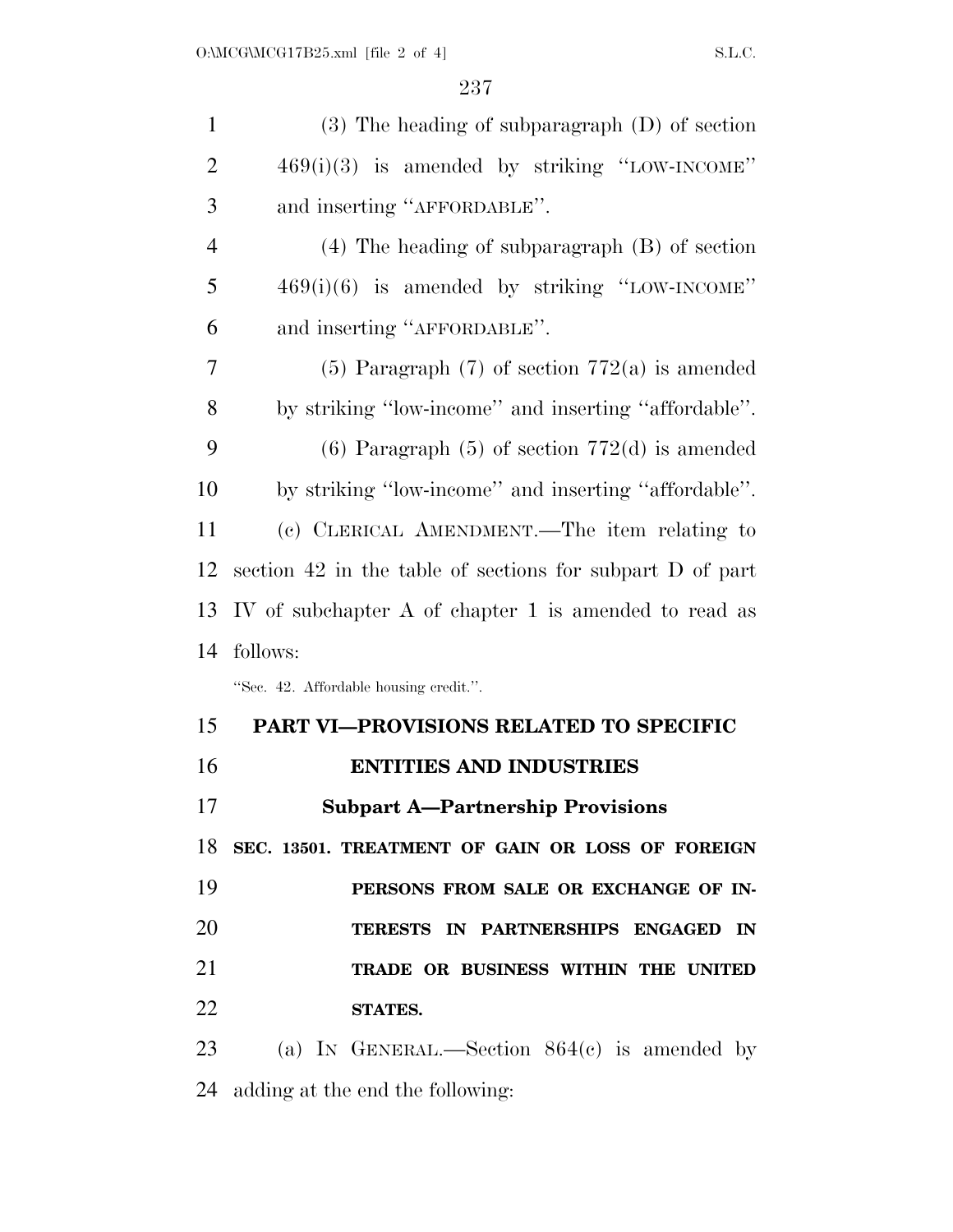| $\mathbf{1}$   | $(3)$ The heading of subparagraph $(D)$ of section        |
|----------------|-----------------------------------------------------------|
| $\overline{2}$ | $469(i)(3)$ is amended by striking "LOW-INCOME"           |
| 3              | and inserting "AFFORDABLE".                               |
| $\overline{4}$ | $(4)$ The heading of subparagraph $(B)$ of section        |
| 5              | $469(i)(6)$ is amended by striking "LOW-INCOME"           |
| 6              | and inserting "AFFORDABLE".                               |
| 7              | $(5)$ Paragraph $(7)$ of section $772(a)$ is amended      |
| 8              | by striking "low-income" and inserting "affordable".      |
| 9              | $(6)$ Paragraph $(5)$ of section 772 $(d)$ is amended     |
| 10             | by striking "low-income" and inserting "affordable".      |
| 11             | (c) CLERICAL AMENDMENT.—The item relating to              |
| 12             | section 42 in the table of sections for subpart D of part |
| 13             | IV of subchapter A of chapter 1 is amended to read as     |
| 14             | follows:                                                  |
|                | "Sec. 42. Affordable housing credit.".                    |
| 15             | <b>PART VI-PROVISIONS RELATED TO SPECIFIC</b>             |
| 16             | <b>ENTITIES AND INDUSTRIES</b>                            |
| 17             | <b>Subpart A-Partnership Provisions</b>                   |
|                | 18 SEC. 13501. TREATMENT OF GAIN OR LOSS OF FOREIGN       |
| 19             | PERSONS FROM SALE OR EXCHANGE OF IN-                      |
| 20             | TERESTS IN PARTNERSHIPS ENGAGED<br>IN                     |
| 21             | TRADE OR BUSINESS WITHIN THE UNITED                       |
| 22             | STATES.                                                   |
| 23             | (a) IN GENERAL.—Section $864(c)$ is amended by            |
|                |                                                           |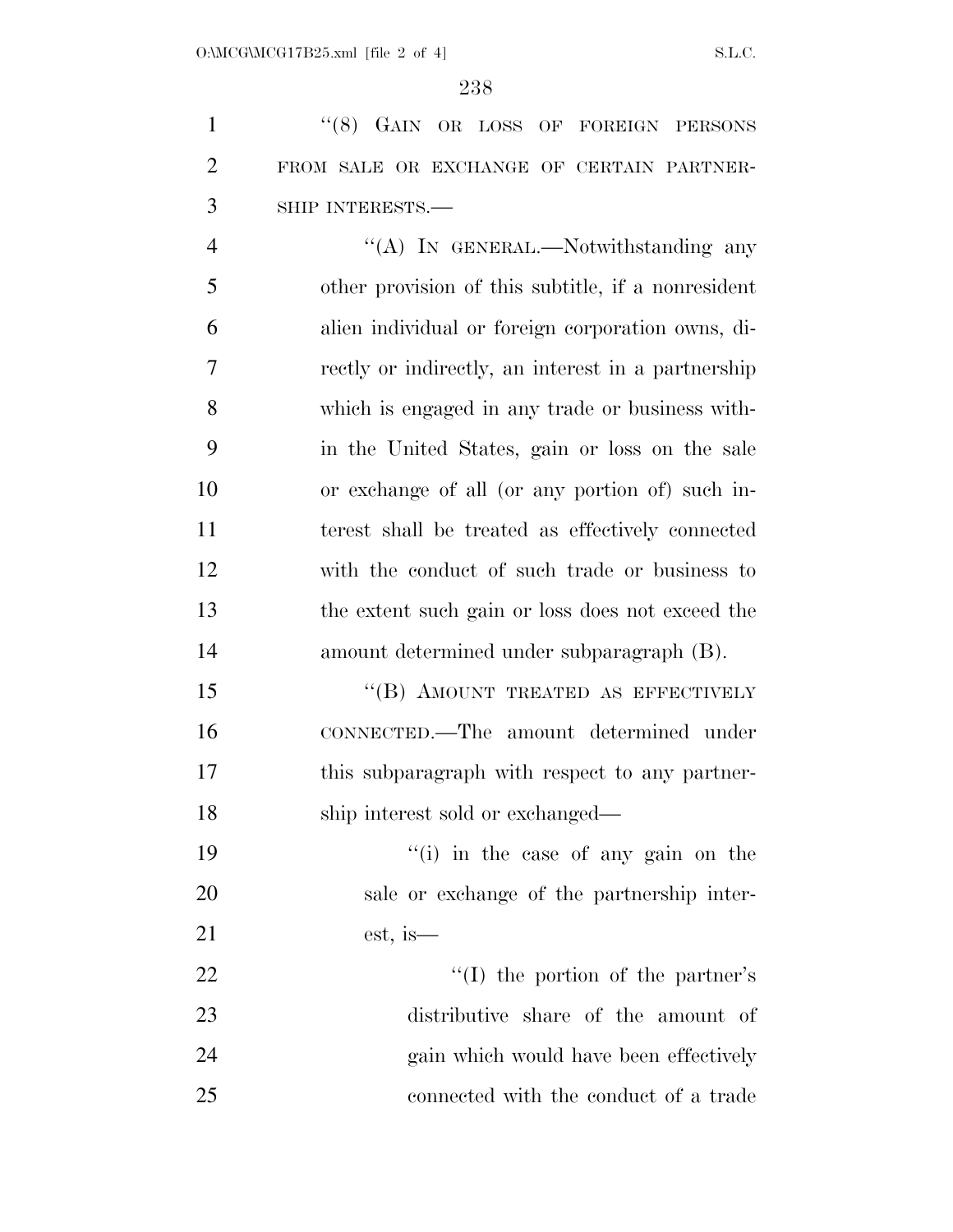1 "(8) GAIN OR LOSS OF FOREIGN PERSONS FROM SALE OR EXCHANGE OF CERTAIN PARTNER-SHIP INTERESTS.—

4 "(A) In GENERAL.—Notwithstanding any other provision of this subtitle, if a nonresident alien individual or foreign corporation owns, di- rectly or indirectly, an interest in a partnership which is engaged in any trade or business with- in the United States, gain or loss on the sale or exchange of all (or any portion of) such in- terest shall be treated as effectively connected with the conduct of such trade or business to the extent such gain or loss does not exceed the amount determined under subparagraph (B).

15 "(B) AMOUNT TREATED AS EFFECTIVELY CONNECTED.—The amount determined under this subparagraph with respect to any partner-18 ship interest sold or exchanged—

19 ''(i) in the case of any gain on the sale or exchange of the partnership inter-est, is—

22 ''(I) the portion of the partner's distributive share of the amount of 24 gain which would have been effectively connected with the conduct of a trade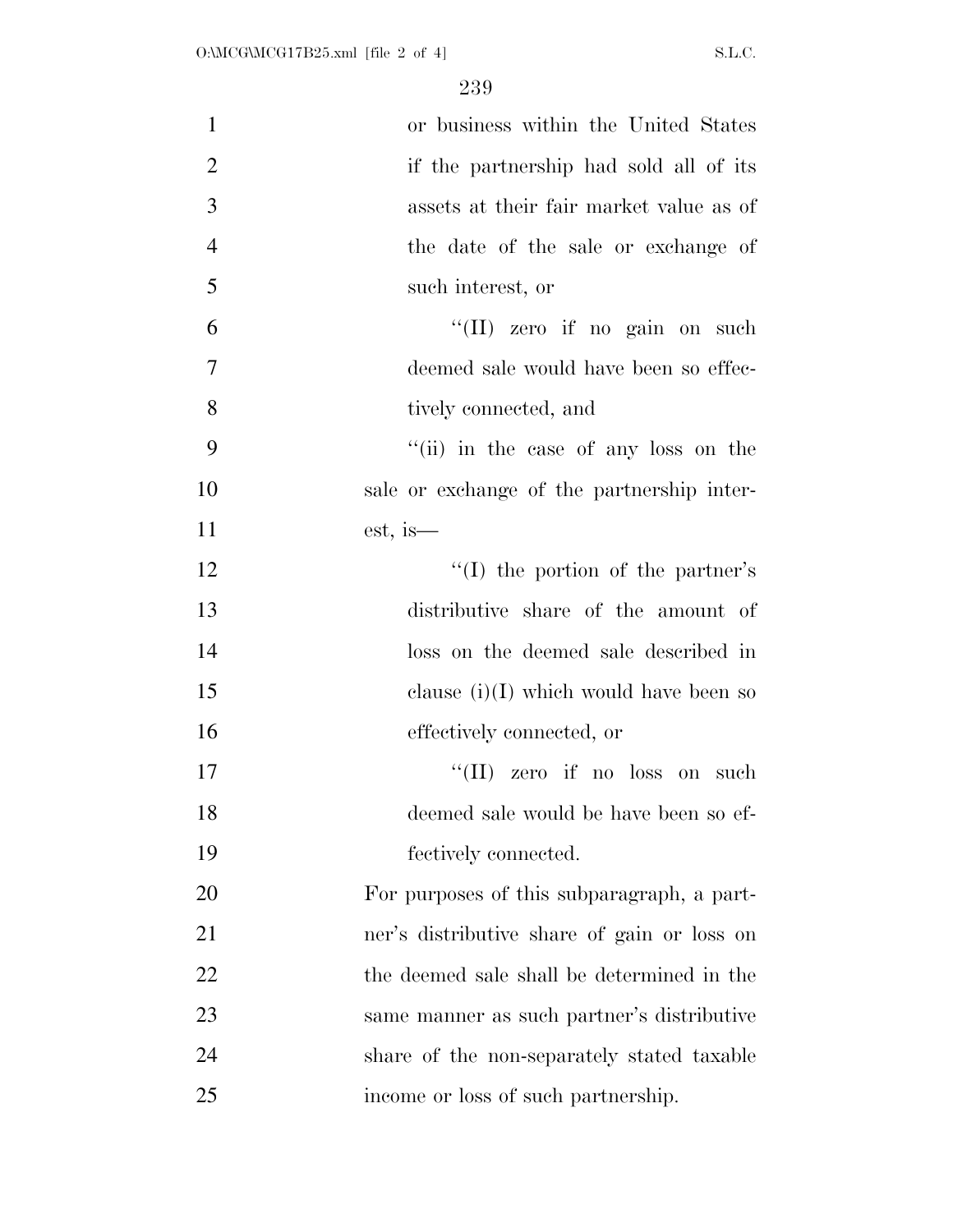| $\mathbf{1}$   | or business within the United States        |
|----------------|---------------------------------------------|
| $\mathbf{2}$   | if the partnership had sold all of its      |
| $\overline{3}$ | assets at their fair market value as of     |
| $\overline{4}$ | the date of the sale or exchange of         |
| 5              | such interest, or                           |
| 6              | "(II) zero if no gain on such               |
| $\overline{7}$ | deemed sale would have been so effec-       |
| 8              | tively connected, and                       |
| 9              | "(ii) in the case of any loss on the        |
| 10             | sale or exchange of the partnership inter-  |
| 11             | est, is—                                    |
| 12             | "(I) the portion of the partner's           |
| 13             | distributive share of the amount of         |
| 14             | loss on the deemed sale described in        |
| 15             | clause $(i)(I)$ which would have been so    |
| 16             | effectively connected, or                   |
| 17             | zero if no loss on such<br>``(II)           |
| 18             | deemed sale would be have been so ef-       |
| 19             | fectively connected.                        |
| 20             | For purposes of this subparagraph, a part-  |
| 21             | ner's distributive share of gain or loss on |
| 22             | the deemed sale shall be determined in the  |
| 23             | same manner as such partner's distributive  |
| 24             | share of the non-separately stated taxable  |
| 25             | income or loss of such partnership.         |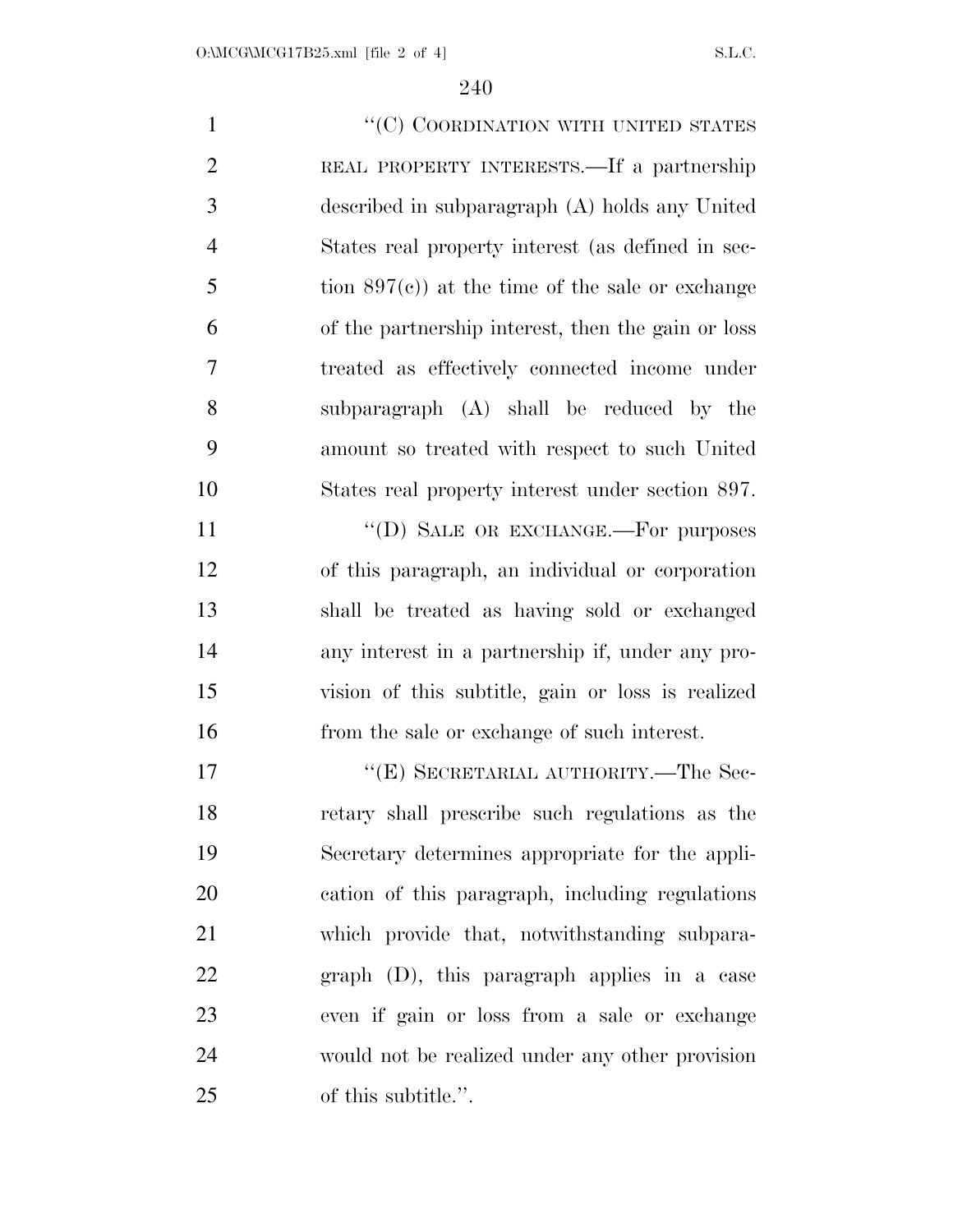$"({\rm C})$  COORDINATION WITH UNITED STATES REAL PROPERTY INTERESTS.—If a partnership described in subparagraph (A) holds any United States real property interest (as defined in sec- tion  $897(c)$  at the time of the sale or exchange of the partnership interest, then the gain or loss treated as effectively connected income under subparagraph (A) shall be reduced by the amount so treated with respect to such United States real property interest under section 897. 11 ""(D) SALE OR EXCHANGE.—For purposes of this paragraph, an individual or corporation

 shall be treated as having sold or exchanged any interest in a partnership if, under any pro- vision of this subtitle, gain or loss is realized from the sale or exchange of such interest.

17 "'(E) SECRETARIAL AUTHORITY.—The Sec- retary shall prescribe such regulations as the Secretary determines appropriate for the appli- cation of this paragraph, including regulations which provide that, notwithstanding subpara- graph (D), this paragraph applies in a case even if gain or loss from a sale or exchange would not be realized under any other provision of this subtitle.''.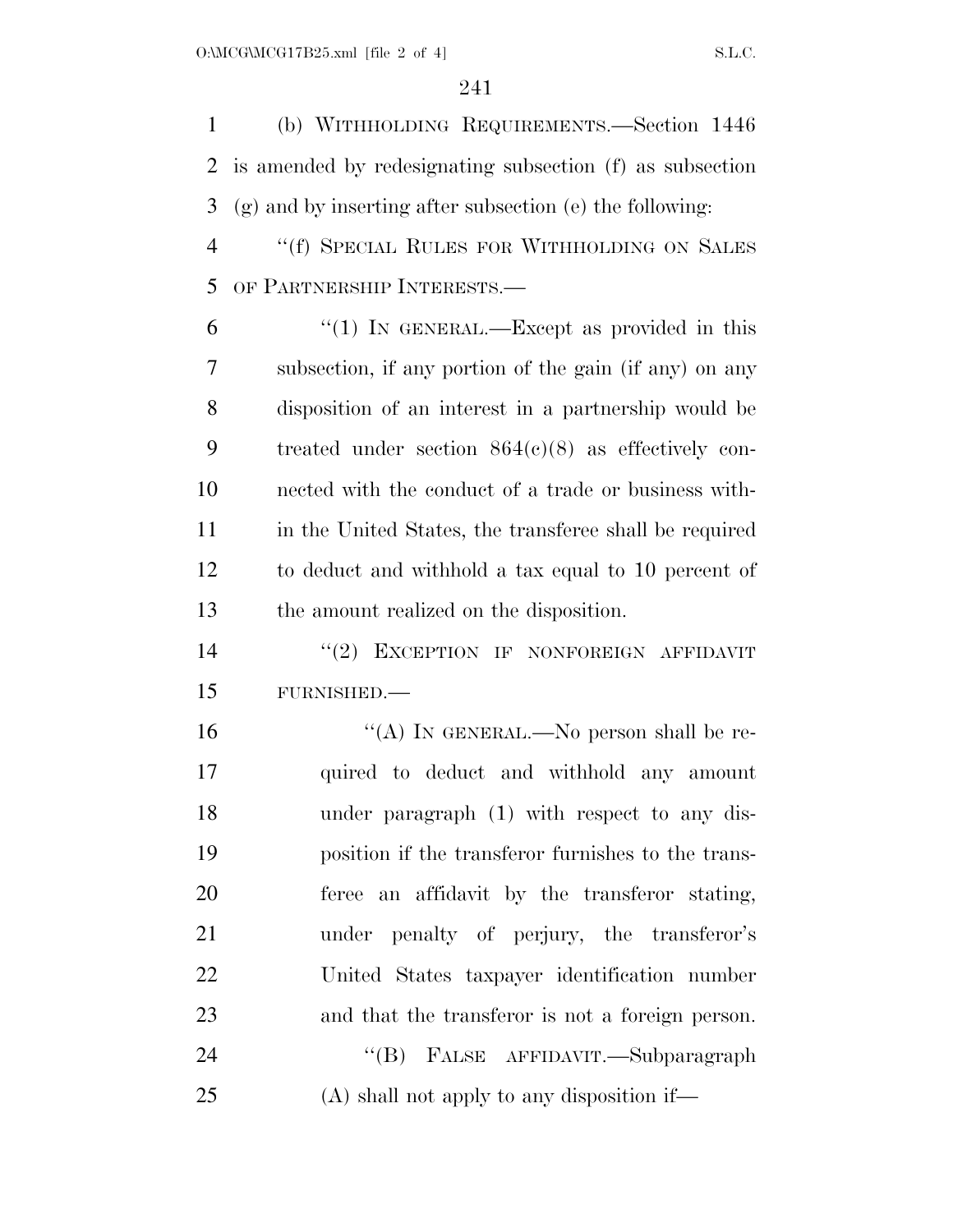(b) WITHHOLDING REQUIREMENTS.—Section 1446 is amended by redesignating subsection (f) as subsection (g) and by inserting after subsection (e) the following:

 ''(f) SPECIAL RULES FOR WITHHOLDING ON SALES OF PARTNERSHIP INTERESTS.—

 "(1) In GENERAL.—Except as provided in this subsection, if any portion of the gain (if any) on any disposition of an interest in a partnership would be treated under section 864(c)(8) as effectively con- nected with the conduct of a trade or business with- in the United States, the transferee shall be required to deduct and withhold a tax equal to 10 percent of the amount realized on the disposition.

14 "(2) EXCEPTION IF NONFOREIGN AFFIDAVIT FURNISHED.—

16 "(A) IN GENERAL.—No person shall be re- quired to deduct and withhold any amount under paragraph (1) with respect to any dis- position if the transferor furnishes to the trans- feree an affidavit by the transferor stating, under penalty of perjury, the transferor's United States taxpayer identification number and that the transferor is not a foreign person. 24 "(B) FALSE AFFIDAVIT.—Subparagraph

(A) shall not apply to any disposition if—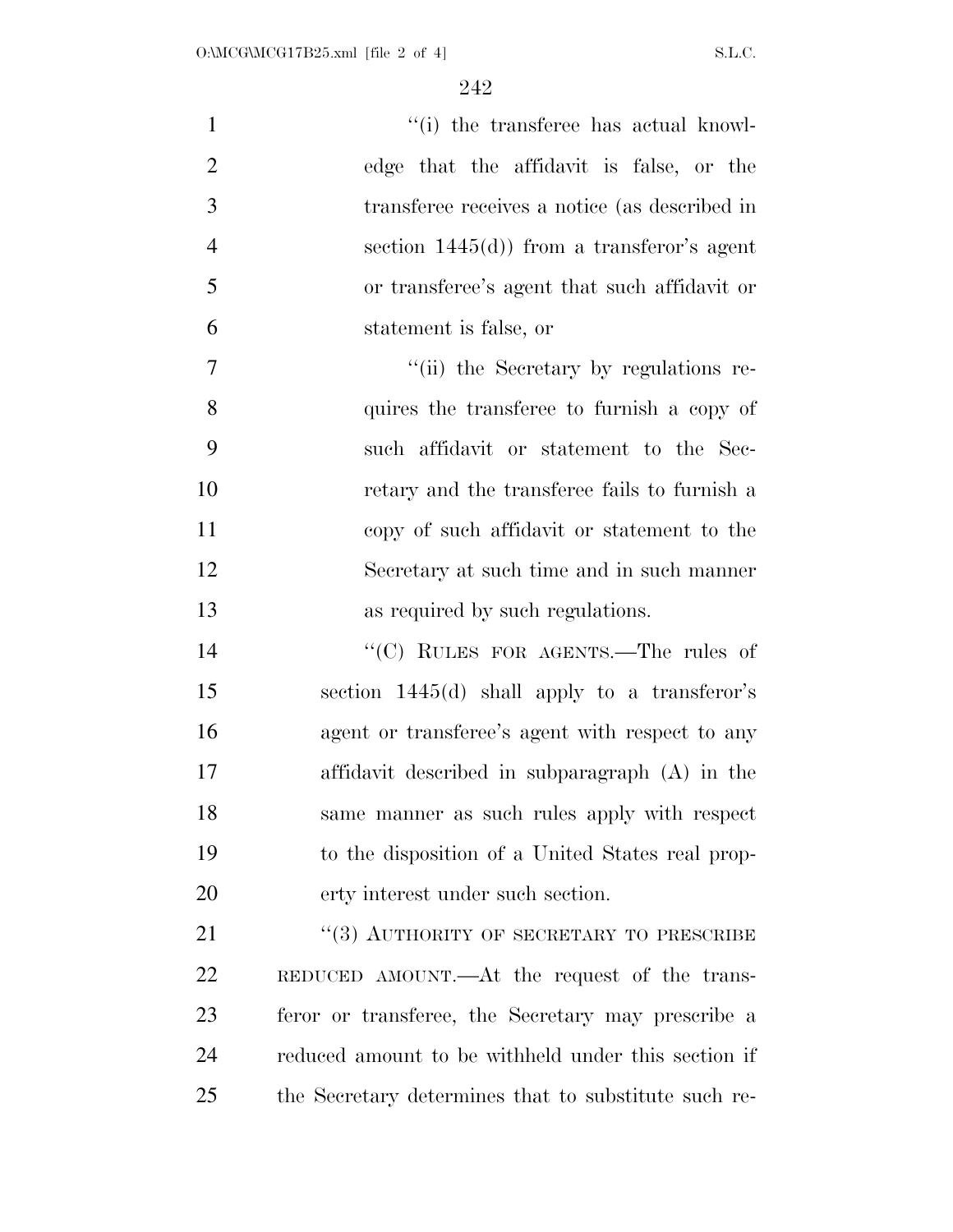| $\mathbf{1}$   | "(i) the transferee has actual knowl-                |
|----------------|------------------------------------------------------|
| $\overline{2}$ | edge that the affidavit is false, or the             |
| 3              | transferee receives a notice (as described in        |
| $\overline{4}$ | section $1445(d)$ from a transferor's agent          |
| 5              | or transferee's agent that such affidavit or         |
| 6              | statement is false, or                               |
| $\overline{7}$ | "(ii) the Secretary by regulations re-               |
| 8              | quires the transferee to furnish a copy of           |
| 9              | such affidavit or statement to the Sec-              |
| 10             | retary and the transferee fails to furnish a         |
| 11             | copy of such affidavit or statement to the           |
| 12             | Secretary at such time and in such manner            |
| 13             | as required by such regulations.                     |
| 14             | "(C) RULES FOR AGENTS.—The rules of                  |
| 15             | section 1445(d) shall apply to a transferor's        |
| 16             | agent or transferee's agent with respect to any      |
| 17             | affidavit described in subparagraph (A) in the       |
| 18             | same manner as such rules apply with respect         |
| 19             | to the disposition of a United States real prop-     |
| 20             | erty interest under such section.                    |
| 21             | "(3) AUTHORITY OF SECRETARY TO PRESCRIBE             |
| 22             | REDUCED AMOUNT.—At the request of the trans-         |
| 23             | feror or transferee, the Secretary may prescribe a   |
| 24             | reduced amount to be withheld under this section if  |
| 25             | the Secretary determines that to substitute such re- |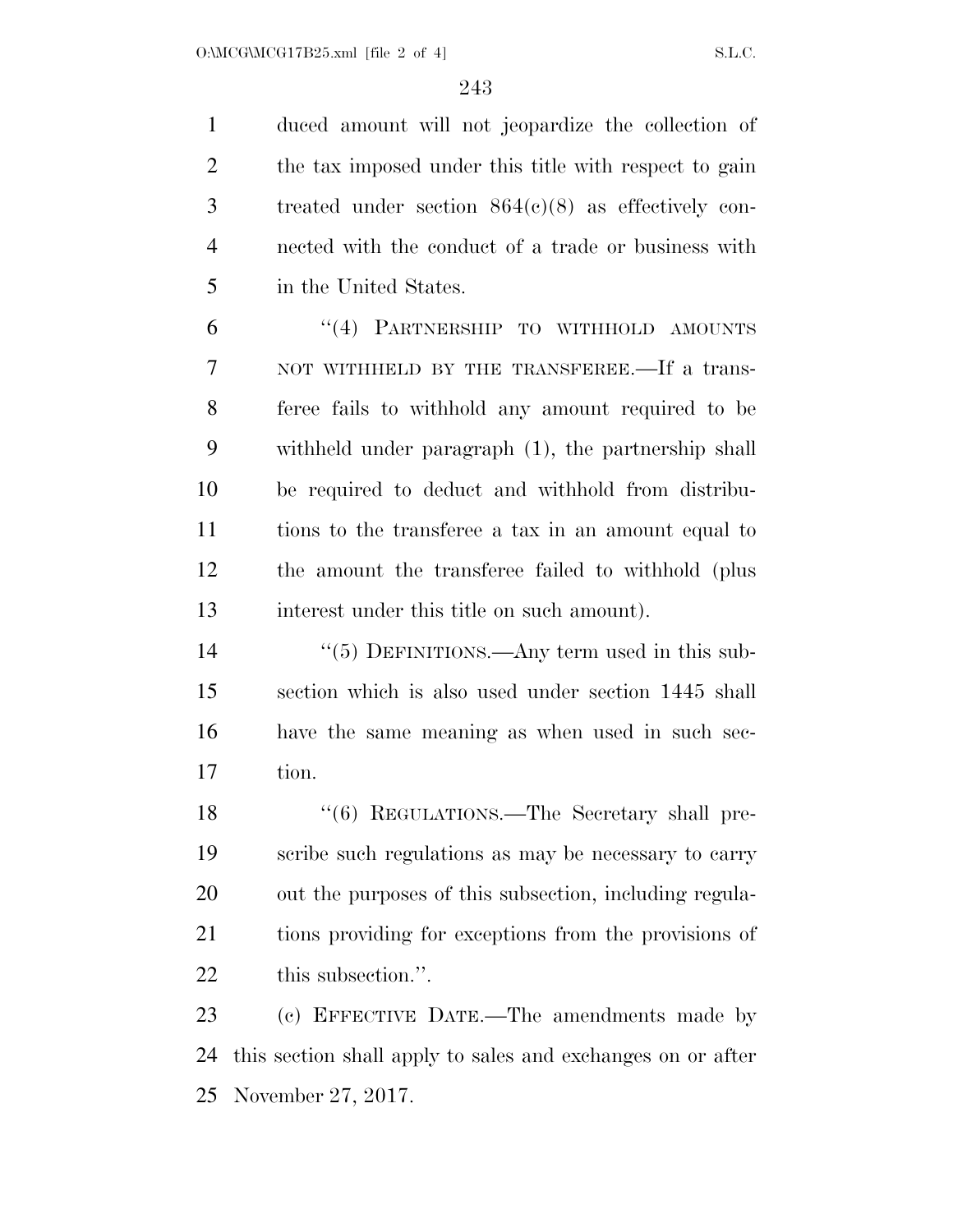duced amount will not jeopardize the collection of 2 the tax imposed under this title with respect to gain treated under section 864(c)(8) as effectively con- nected with the conduct of a trade or business with in the United States.

 ''(4) PARTNERSHIP TO WITHHOLD AMOUNTS 7 NOT WITHHELD BY THE TRANSFEREE.—If a trans- feree fails to withhold any amount required to be withheld under paragraph (1), the partnership shall be required to deduct and withhold from distribu- tions to the transferee a tax in an amount equal to the amount the transferee failed to withhold (plus interest under this title on such amount).

 $(5)$  DEFINITIONS.—Any term used in this sub- section which is also used under section 1445 shall have the same meaning as when used in such sec-tion.

18 "(6) REGULATIONS.—The Secretary shall pre- scribe such regulations as may be necessary to carry out the purposes of this subsection, including regula- tions providing for exceptions from the provisions of this subsection.''.

 (c) EFFECTIVE DATE.—The amendments made by this section shall apply to sales and exchanges on or after November 27, 2017.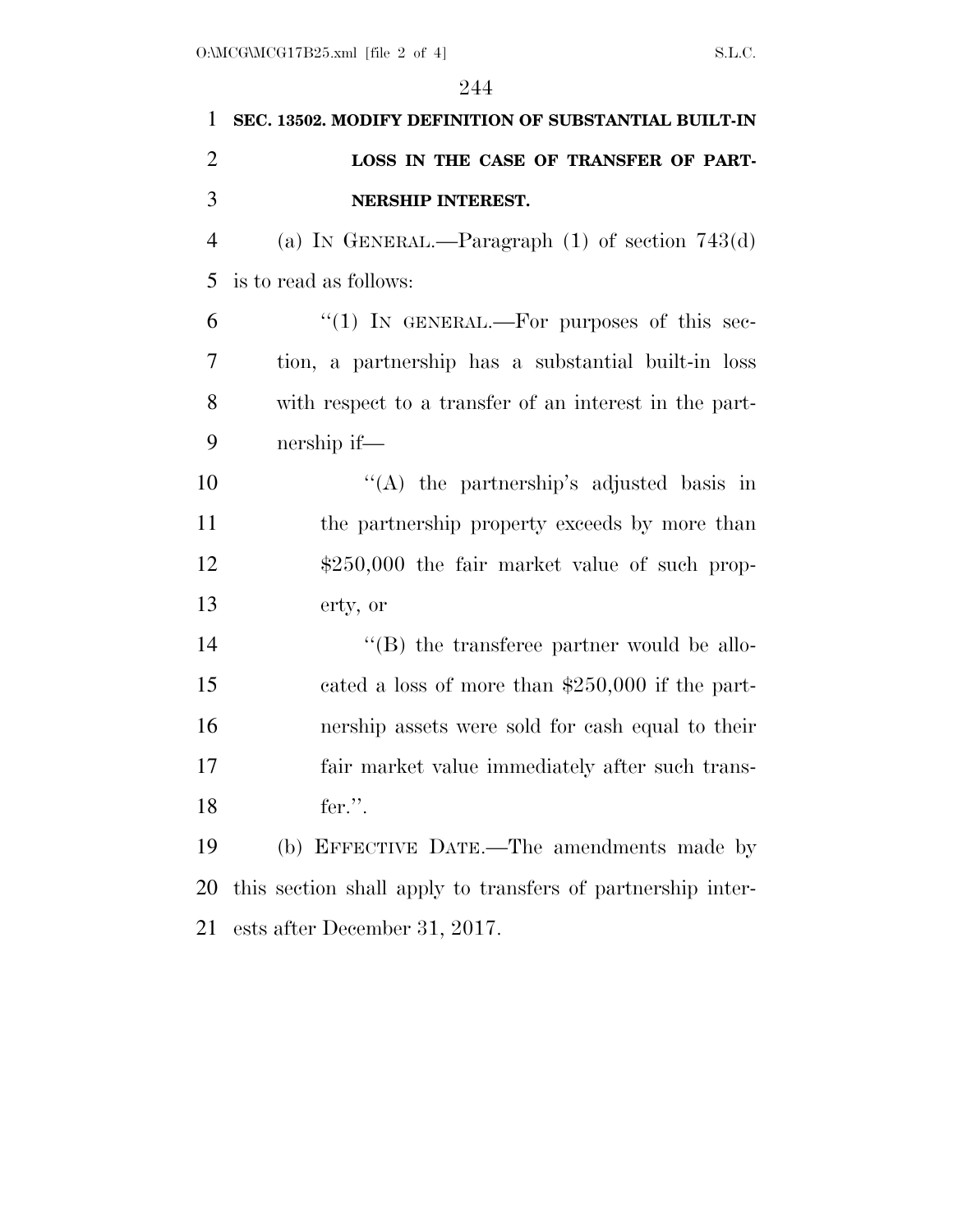| 1              | SEC. 13502. MODIFY DEFINITION OF SUBSTANTIAL BUILT-IN       |
|----------------|-------------------------------------------------------------|
| $\overline{2}$ | LOSS IN THE CASE OF TRANSFER OF PART-                       |
| 3              | NERSHIP INTEREST.                                           |
| $\overline{4}$ | (a) IN GENERAL.—Paragraph $(1)$ of section 743 $(d)$        |
| 5              | is to read as follows:                                      |
| 6              | "(1) IN GENERAL.—For purposes of this sec-                  |
| 7              | tion, a partnership has a substantial built-in loss         |
| 8              | with respect to a transfer of an interest in the part-      |
| 9              | nership if—                                                 |
| 10             | "(A) the partnership's adjusted basis in                    |
| 11             | the partnership property exceeds by more than               |
| 12             | $$250,000$ the fair market value of such prop-              |
| 13             | erty, or                                                    |
| 14             | $\lq\lq$ the transferee partner would be allo-              |
| 15             | cated a loss of more than $$250,000$ if the part-           |
| 16             | nership assets were sold for cash equal to their            |
| 17             | fair market value immediately after such trans-             |
| 18             | fer.".                                                      |
| 19             | (b) EFFECTIVE DATE.—The amendments made by                  |
| 20             | this section shall apply to transfers of partnership inter- |
| 21             | ests after December 31, 2017.                               |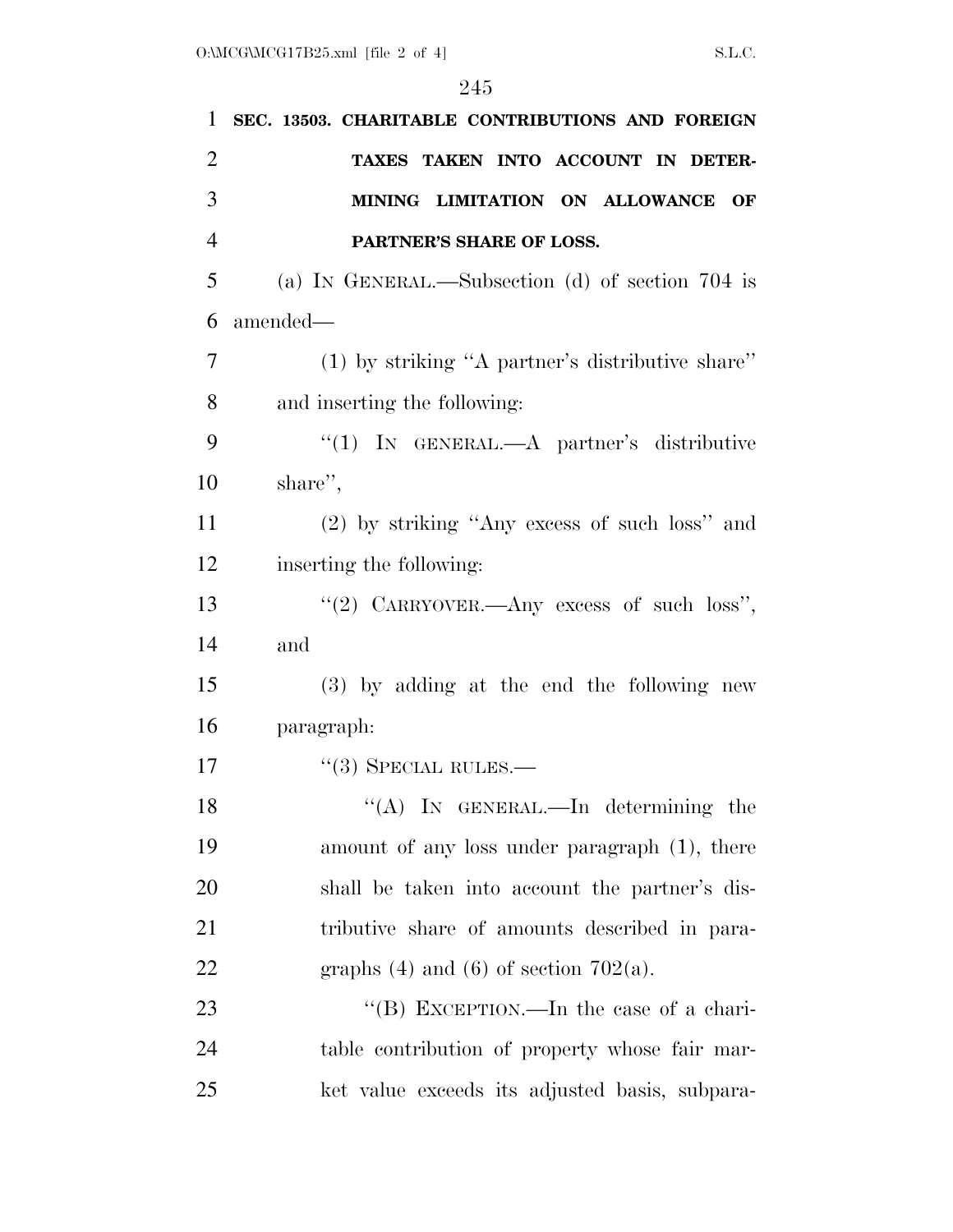| $\mathbf{1}$   | SEC. 13503. CHARITABLE CONTRIBUTIONS AND FOREIGN   |
|----------------|----------------------------------------------------|
| $\overline{2}$ | TAXES TAKEN INTO ACCOUNT IN DETER-                 |
| 3              | MINING LIMITATION ON ALLOWANCE<br>OF               |
| $\overline{4}$ | PARTNER'S SHARE OF LOSS.                           |
| 5              | (a) IN GENERAL.—Subsection (d) of section $704$ is |
| 6              | amended—                                           |
| 7              | $(1)$ by striking "A partner's distributive share" |
| 8              | and inserting the following:                       |
| 9              | "(1) IN GENERAL.—A partner's distributive          |
| 10             | share",                                            |
| 11             | (2) by striking "Any excess of such loss" and      |
| 12             | inserting the following:                           |
| 13             | "(2) CARRYOVER.—Any excess of such loss",          |
| 14             | and                                                |
| 15             | (3) by adding at the end the following new         |
| 16             | paragraph:                                         |
| 17             | $\cdot\cdot(3)$ SPECIAL RULES.—                    |
| 18             | "(A) IN GENERAL.—In determining the                |
| 19             | amount of any loss under paragraph (1), there      |
| 20             | shall be taken into account the partner's dis-     |
| 21             | tributive share of amounts described in para-      |
| 22             | graphs $(4)$ and $(6)$ of section $702(a)$ .       |
| 23             | "(B) EXCEPTION.—In the case of a chari-            |
| 24             | table contribution of property whose fair mar-     |
| 25             | ket value exceeds its adjusted basis, subpara-     |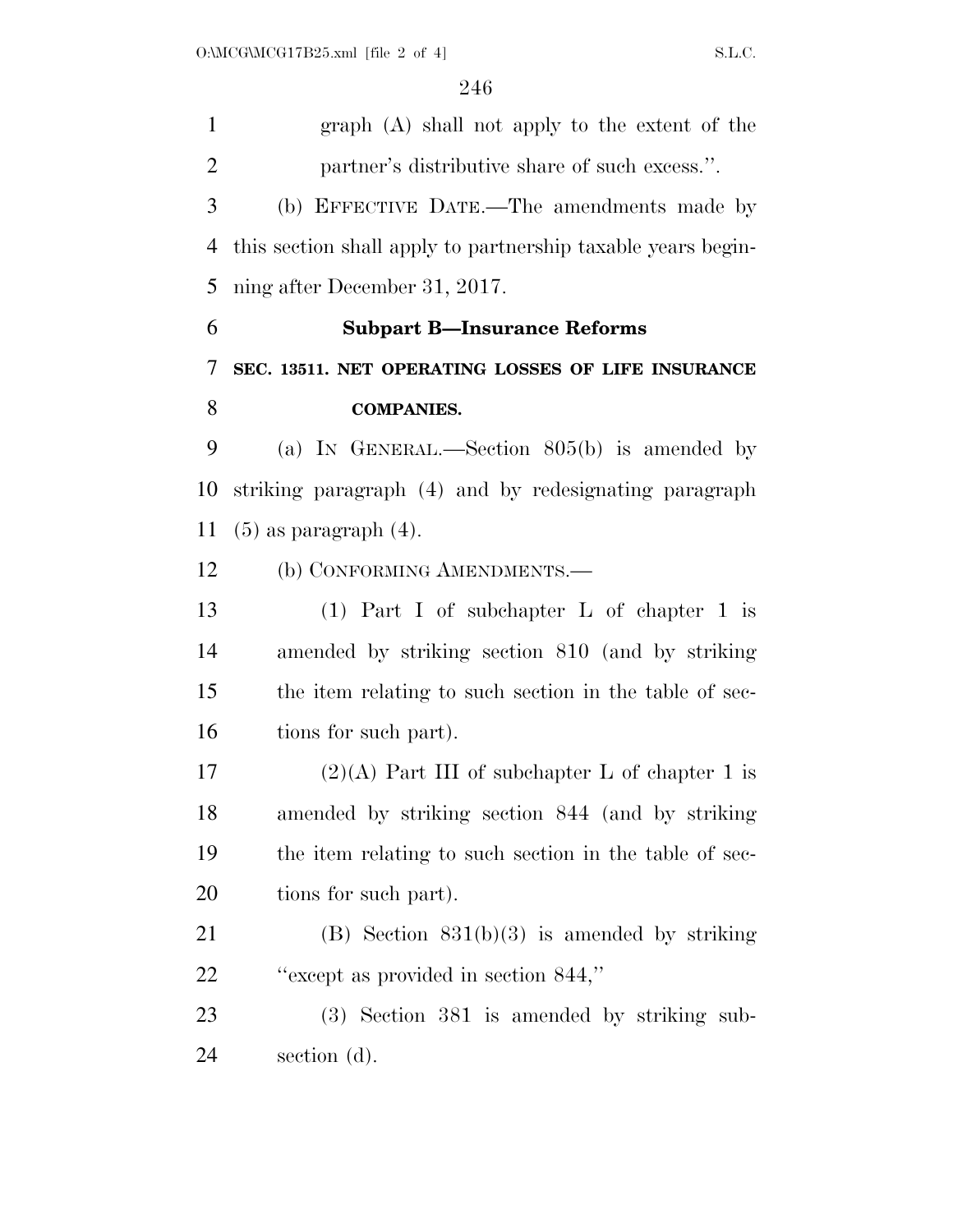graph (A) shall not apply to the extent of the partner's distributive share of such excess.''. (b) EFFECTIVE DATE.—The amendments made by this section shall apply to partnership taxable years begin- ning after December 31, 2017. **Subpart B—Insurance Reforms SEC. 13511. NET OPERATING LOSSES OF LIFE INSURANCE COMPANIES.**  (a) IN GENERAL.—Section 805(b) is amended by striking paragraph (4) and by redesignating paragraph (5) as paragraph (4). 12 (b) CONFORMING AMENDMENTS.— (1) Part I of subchapter L of chapter 1 is amended by striking section 810 (and by striking the item relating to such section in the table of sec- tions for such part). 17 (2)(A) Part III of subchapter L of chapter 1 is amended by striking section 844 (and by striking the item relating to such section in the table of sec- tions for such part). (B) Section 831(b)(3) is amended by striking ''except as provided in section 844,'' (3) Section 381 is amended by striking sub-section (d).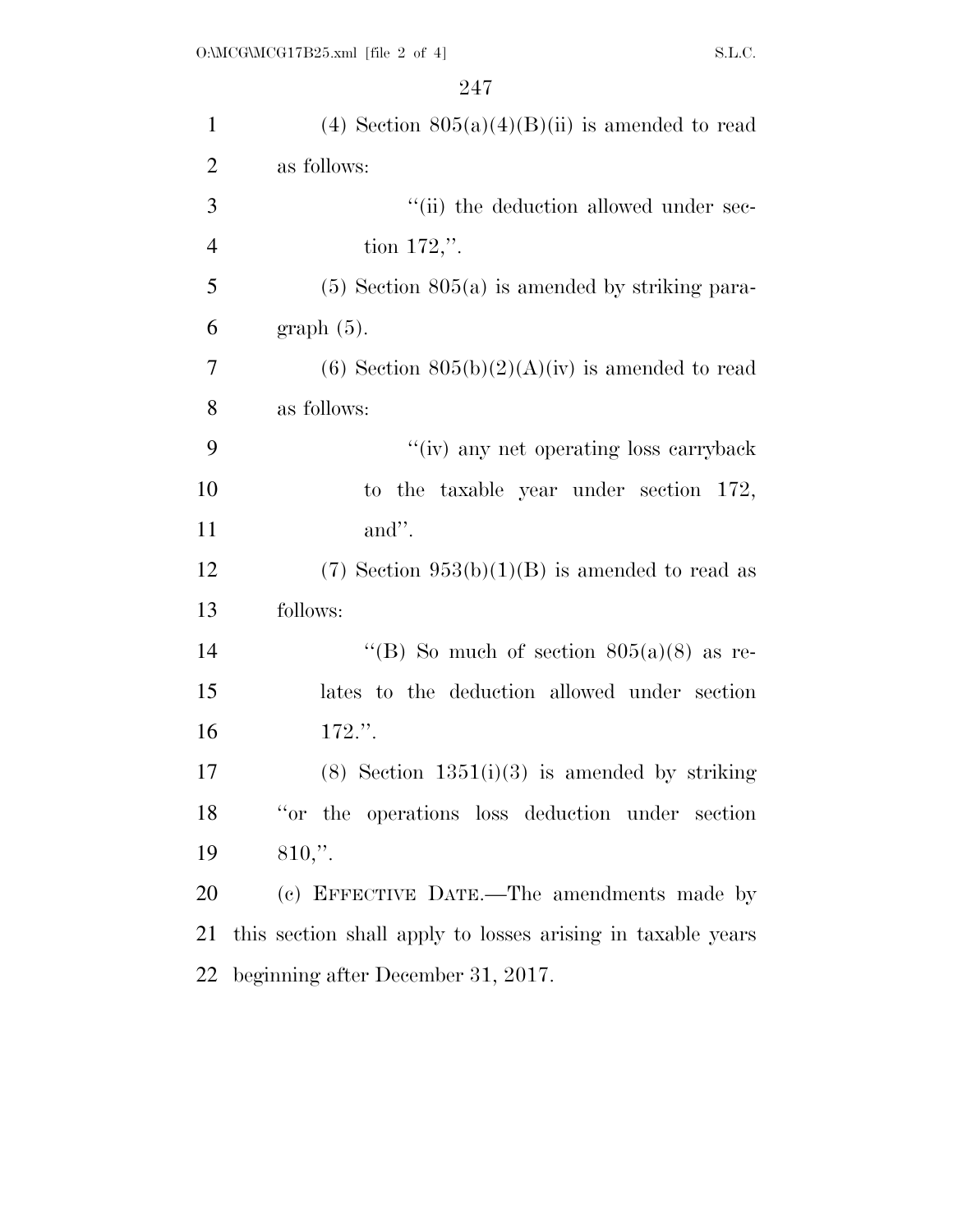| $\mathbf{1}$   | (4) Section $805(a)(4)(B)(ii)$ is amended to read           |
|----------------|-------------------------------------------------------------|
| $\overline{2}$ | as follows:                                                 |
| 3              | "(ii) the deduction allowed under sec-                      |
| $\overline{4}$ | tion $172$ ,".                                              |
| 5              | $(5)$ Section $805(a)$ is amended by striking para-         |
| 6              | $graph(5)$ .                                                |
| 7              | (6) Section $805(b)(2)(A)(iv)$ is amended to read           |
| 8              | as follows:                                                 |
| 9              | "(iv) any net operating loss carryback                      |
| 10             | to the taxable year under section 172,                      |
| 11             | and".                                                       |
| 12             | $(7)$ Section 953(b)(1)(B) is amended to read as            |
| 13             | follows:                                                    |
| 14             | "(B) So much of section $805(a)(8)$ as re-                  |
| 15             | lates to the deduction allowed under section                |
| 16             | 172.".                                                      |
| 17             | $(8)$ Section 1351 $(i)(3)$ is amended by striking          |
| 18             | "or the operations loss deduction under section"            |
| 19             | $810,$ ".                                                   |
| 20             | (c) EFFECTIVE DATE.—The amendments made by                  |
| 21             | this section shall apply to losses arising in taxable years |
| 22             | beginning after December 31, 2017.                          |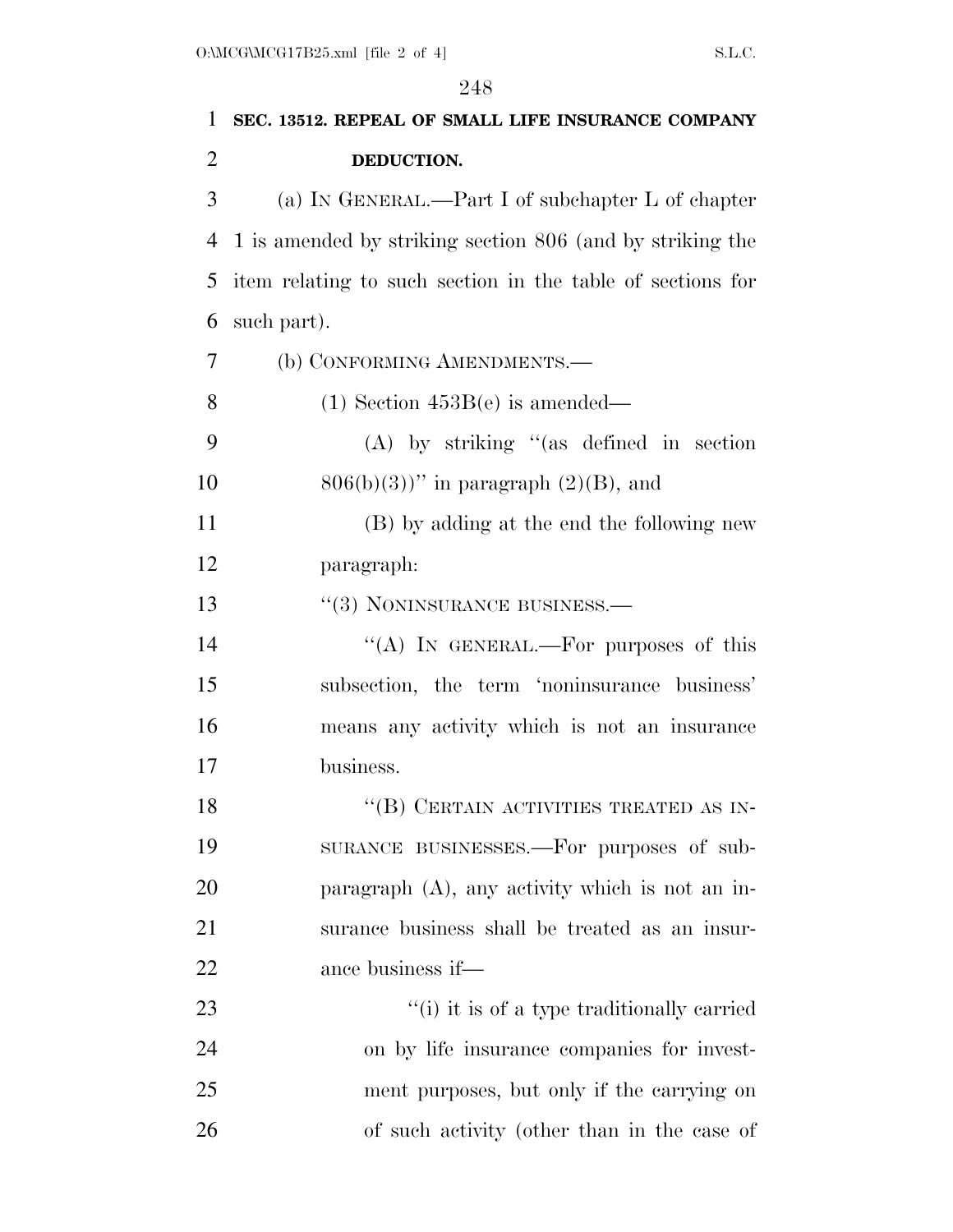| 1              | SEC. 13512. REPEAL OF SMALL LIFE INSURANCE COMPANY         |
|----------------|------------------------------------------------------------|
| $\overline{2}$ | DEDUCTION.                                                 |
| 3              | (a) IN GENERAL.—Part I of subchapter L of chapter          |
| 4              | 1 is amended by striking section 806 (and by striking the  |
| 5              | item relating to such section in the table of sections for |
| 6              | such part).                                                |
| 7              | (b) CONFORMING AMENDMENTS.—                                |
| 8              | $(1)$ Section 453B(e) is amended—                          |
| 9              | $(A)$ by striking "(as defined in section                  |
| 10             | $806(b)(3)$ " in paragraph $(2)(B)$ , and                  |
| 11             | (B) by adding at the end the following new                 |
| 12             | paragraph:                                                 |
| 13             | "(3) NONINSURANCE BUSINESS.—                               |
| 14             | "(A) IN GENERAL.—For purposes of this                      |
| 15             | subsection, the term 'noninsurance business'               |
| 16             | means any activity which is not an insurance               |
| 17             | business.                                                  |
| 18             | "(B) CERTAIN ACTIVITIES TREATED AS IN-                     |
| 19             | SURANCE BUSINESSES.—For purposes of sub-                   |
| 20             | paragraph (A), any activity which is not an in-            |
| 21             | surance business shall be treated as an insur-             |
| 22             | ance business if—                                          |
| 23             | "(i) it is of a type traditionally carried                 |
| 24             | on by life insurance companies for invest-                 |
| 25             | ment purposes, but only if the carrying on                 |
| 26             | of such activity (other than in the case of                |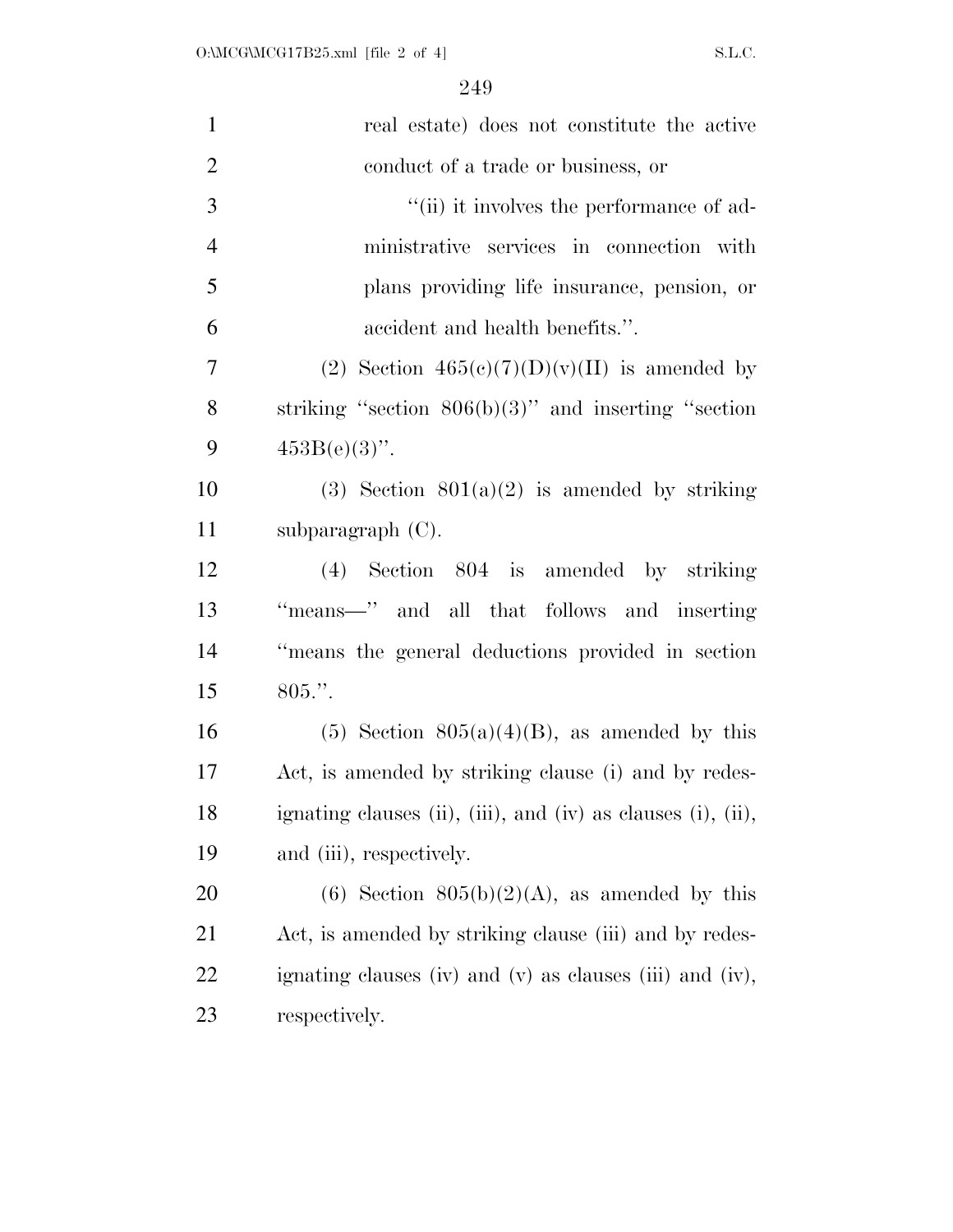| $\mathbf{1}$   | real estate) does not constitute the active                  |
|----------------|--------------------------------------------------------------|
| $\overline{2}$ | conduct of a trade or business, or                           |
| 3              | "(ii) it involves the performance of ad-                     |
| $\overline{4}$ | ministrative services in connection with                     |
| 5              | plans providing life insurance, pension, or                  |
| 6              | accident and health benefits.".                              |
| 7              | (2) Section $465(c)(7)(D)(v)(II)$ is amended by              |
| 8              | striking "section $806(b)(3)$ " and inserting "section       |
| 9              | $453B(e)(3)$ ".                                              |
| 10             | (3) Section $801(a)(2)$ is amended by striking               |
| 11             | subparagraph (C).                                            |
| 12             | (4) Section 804 is amended by striking                       |
| 13             | "means-" and all that follows and inserting                  |
| 14             | "means the general deductions provided in section            |
| 15             | $805."$ .                                                    |
| 16             | $(5)$ Section $805(a)(4)(B)$ , as amended by this            |
| 17             | Act, is amended by striking clause (i) and by redes-         |
| 18             | ignating clauses (ii), (iii), and (iv) as clauses (i), (ii), |
| 19             | and (iii), respectively.                                     |
| 20             | (6) Section $805(b)(2)(A)$ , as amended by this              |
| 21             | Act, is amended by striking clause (iii) and by redes-       |
| 22             | ignating clauses (iv) and (v) as clauses (iii) and (iv),     |
| 23             | respectively.                                                |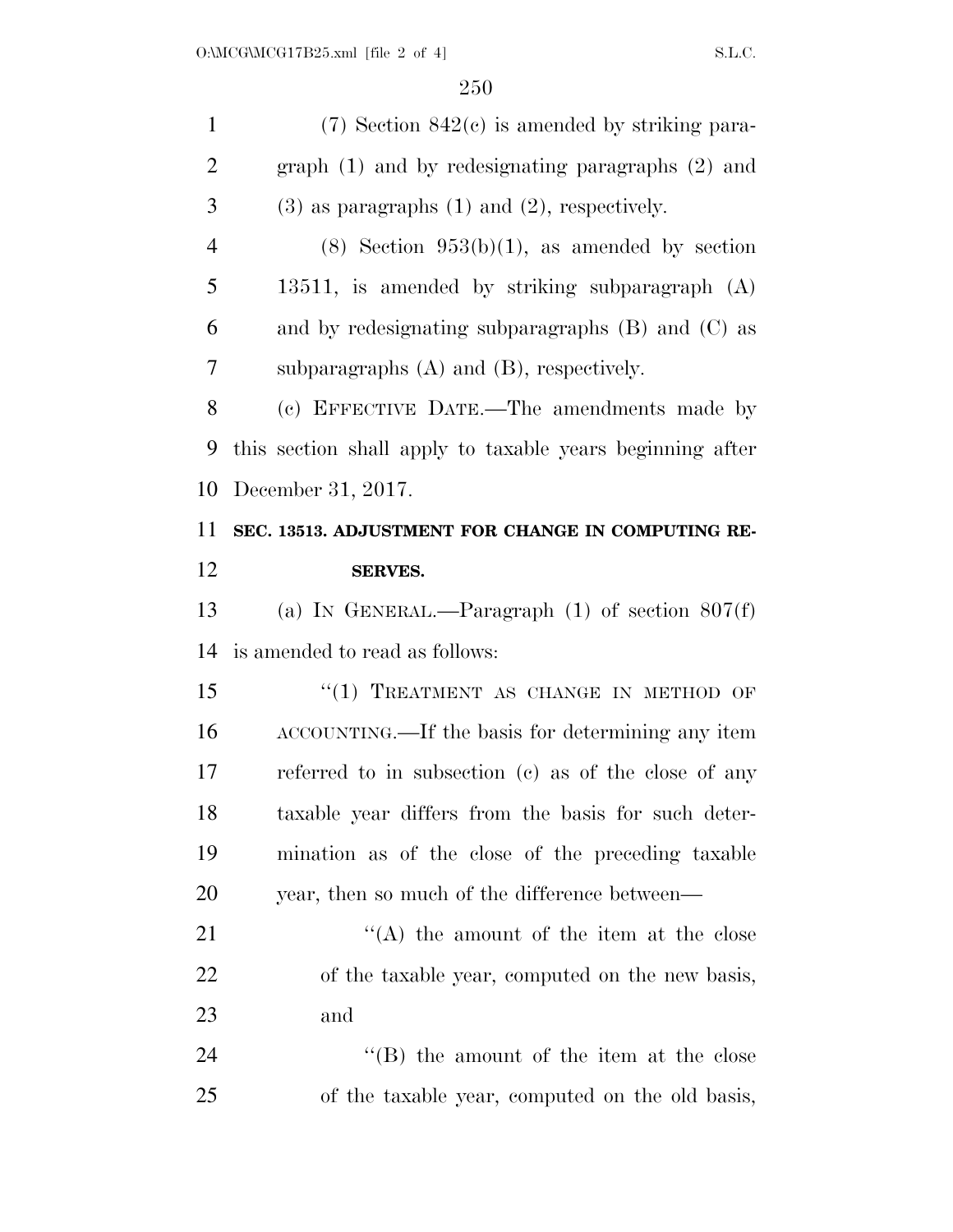| $\mathbf{1}$   | $(7)$ Section 842 $(c)$ is amended by striking para-      |
|----------------|-----------------------------------------------------------|
| $\overline{2}$ | graph $(1)$ and by redesignating paragraphs $(2)$ and     |
| 3              | $(3)$ as paragraphs $(1)$ and $(2)$ , respectively.       |
| $\overline{4}$ | $(8)$ Section 953(b)(1), as amended by section            |
| 5              | 13511, is amended by striking subparagraph $(A)$          |
| 6              | and by redesignating subparagraphs $(B)$ and $(C)$ as     |
| 7              | subparagraphs $(A)$ and $(B)$ , respectively.             |
| 8              | (c) EFFECTIVE DATE.—The amendments made by                |
| 9              | this section shall apply to taxable years beginning after |
| 10             | December 31, 2017.                                        |
| 11             | SEC. 13513. ADJUSTMENT FOR CHANGE IN COMPUTING RE-        |
| 12             | <b>SERVES.</b>                                            |
| 13             | (a) IN GENERAL.—Paragraph $(1)$ of section $807(f)$       |
| 14             | is amended to read as follows:                            |
| 15             | "(1) TREATMENT AS CHANGE IN METHOD OF                     |
| 16             | ACCOUNTING.—If the basis for determining any item         |
| 17             | referred to in subsection (c) as of the close of any      |
| 18             | taxable year differs from the basis for such deter-       |
| 19             | mination as of the close of the preceding taxable         |
| <b>20</b>      | year, then so much of the difference between—             |
| 21             | $\lq\lq$ the amount of the item at the close              |
| 22             | of the taxable year, computed on the new basis,           |
| 23             | and                                                       |
| 24             | $\lq\lq$ the amount of the item at the close              |
| 25             | of the taxable year, computed on the old basis,           |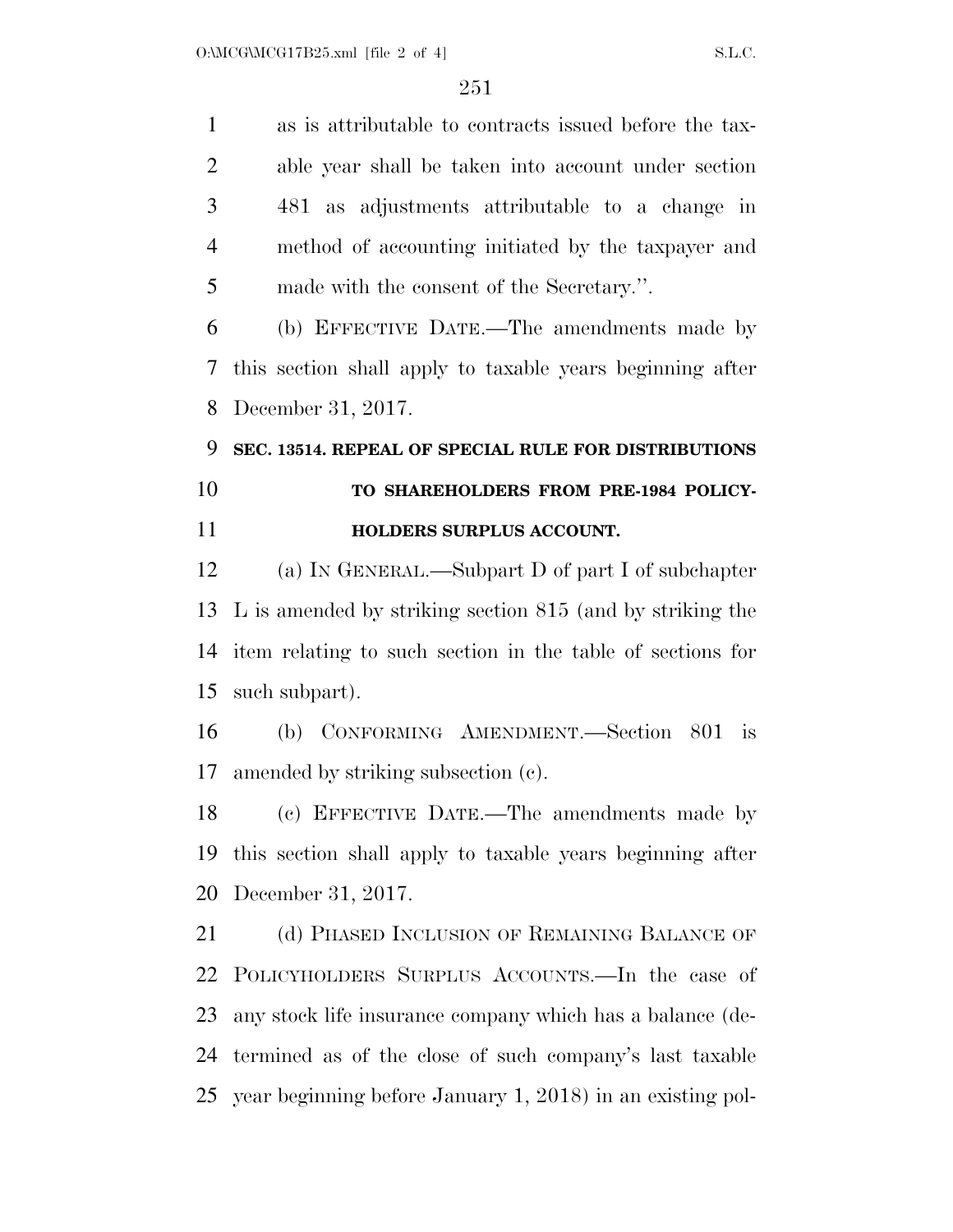as is attributable to contracts issued before the tax- able year shall be taken into account under section 481 as adjustments attributable to a change in method of accounting initiated by the taxpayer and made with the consent of the Secretary.''.

 (b) EFFECTIVE DATE.—The amendments made by this section shall apply to taxable years beginning after December 31, 2017.

# **SEC. 13514. REPEAL OF SPECIAL RULE FOR DISTRIBUTIONS TO SHAREHOLDERS FROM PRE-1984 POLICY-HOLDERS SURPLUS ACCOUNT.**

 (a) IN GENERAL.—Subpart D of part I of subchapter L is amended by striking section 815 (and by striking the item relating to such section in the table of sections for such subpart).

 (b) CONFORMING AMENDMENT.—Section 801 is amended by striking subsection (c).

 (c) EFFECTIVE DATE.—The amendments made by this section shall apply to taxable years beginning after December 31, 2017.

21 (d) PHASED INCLUSION OF REMAINING BALANCE OF POLICYHOLDERS SURPLUS ACCOUNTS.—In the case of any stock life insurance company which has a balance (de- termined as of the close of such company's last taxable year beginning before January 1, 2018) in an existing pol-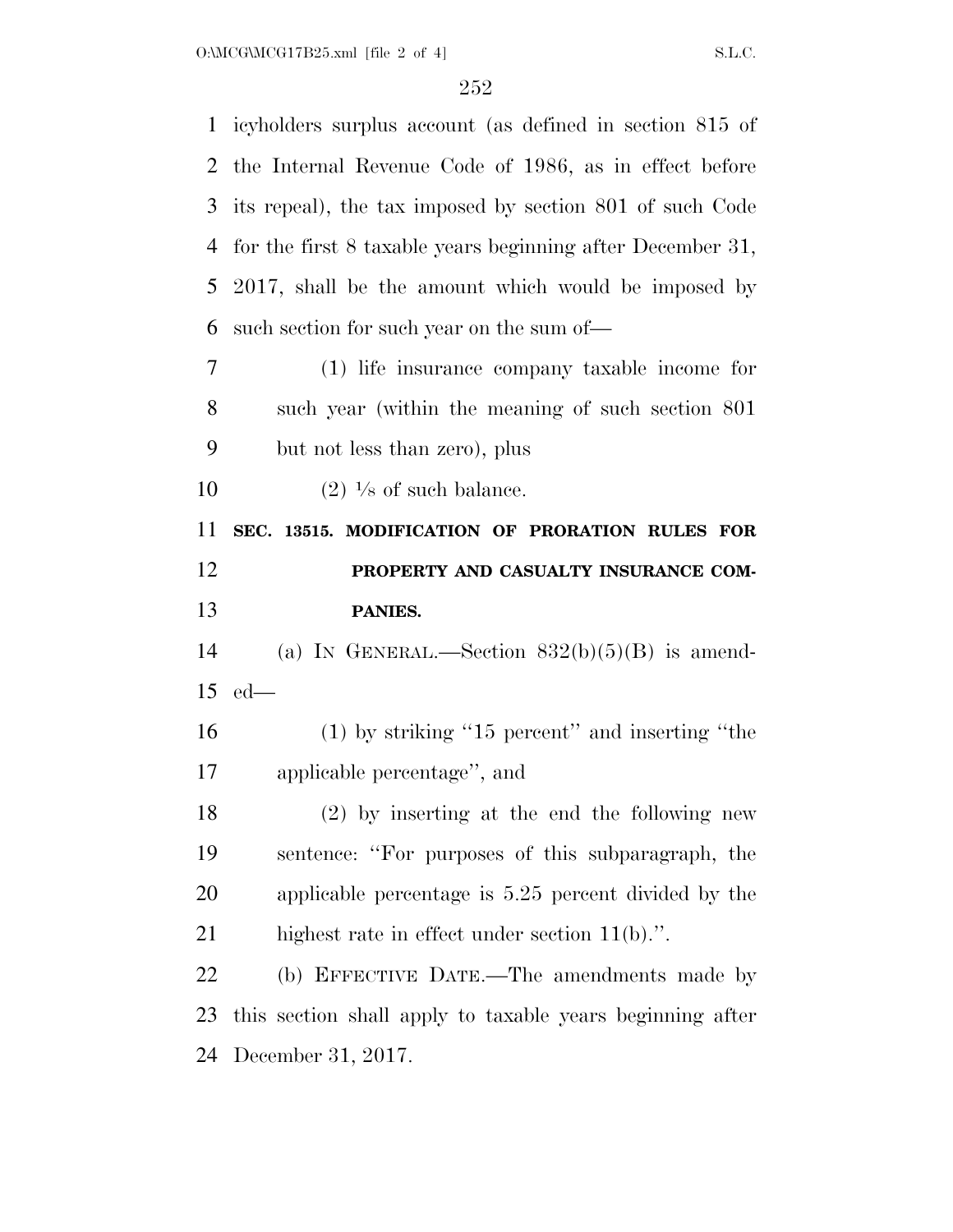| $\mathbf{1}$                     | icyholders surplus account (as defined in section 815 of   |
|----------------------------------|------------------------------------------------------------|
| 2                                | the Internal Revenue Code of 1986, as in effect before     |
| 3                                | its repeal), the tax imposed by section 801 of such Code   |
| $\overline{4}$                   | for the first 8 taxable years beginning after December 31, |
| 5                                | 2017, shall be the amount which would be imposed by        |
| 6                                | such section for such year on the sum of—                  |
| 7                                | (1) life insurance company taxable income for              |
| 8                                | such year (within the meaning of such section 801)         |
| 9                                | but not less than zero), plus                              |
| 10                               | $(2)$ <sup>1</sup> /s of such balance.                     |
| 11                               | SEC. 13515. MODIFICATION OF PRORATION RULES FOR            |
| 12                               | PROPERTY AND CASUALTY INSURANCE COM-                       |
|                                  |                                                            |
| 13                               | PANIES.                                                    |
|                                  | (a) IN GENERAL.—Section $832(b)(5)(B)$ is amend-           |
|                                  | $ed$ —                                                     |
|                                  | $(1)$ by striking "15 percent" and inserting "the          |
|                                  | applicable percentage", and                                |
|                                  | $(2)$ by inserting at the end the following new            |
| 14<br>15<br>16<br>17<br>18<br>19 | sentence: "For purposes of this subparagraph, the          |
| 20                               | applicable percentage is 5.25 percent divided by the       |
| 21                               | highest rate in effect under section $11(b)$ .".           |
| 22                               | (b) EFFECTIVE DATE.—The amendments made by                 |
| 23                               | this section shall apply to taxable years beginning after  |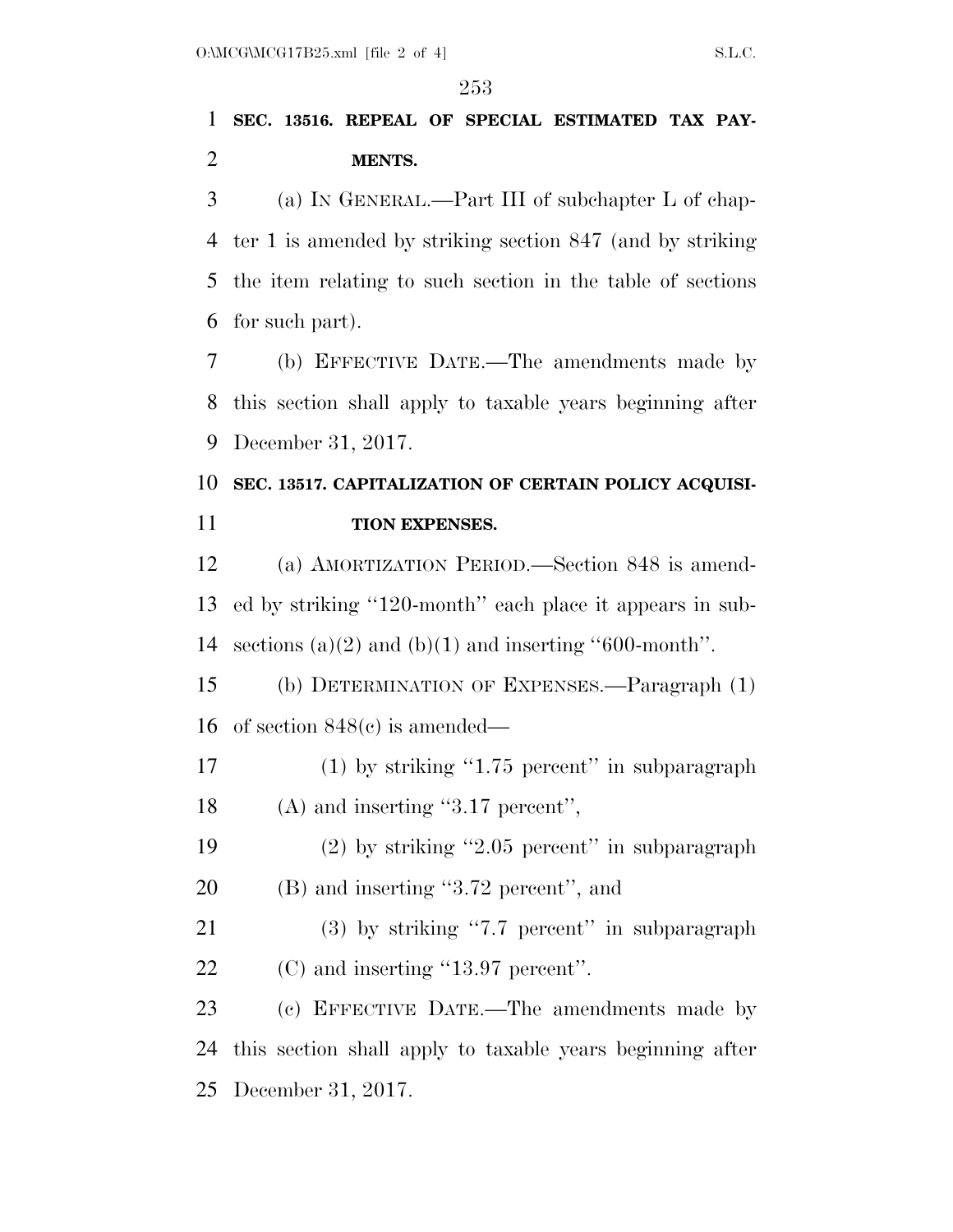## **SEC. 13516. REPEAL OF SPECIAL ESTIMATED TAX PAY-MENTS.**

 (a) IN GENERAL.—Part III of subchapter L of chap- ter 1 is amended by striking section 847 (and by striking the item relating to such section in the table of sections for such part).

 (b) EFFECTIVE DATE.—The amendments made by this section shall apply to taxable years beginning after December 31, 2017.

## **SEC. 13517. CAPITALIZATION OF CERTAIN POLICY ACQUISI-TION EXPENSES.**

 (a) AMORTIZATION PERIOD.—Section 848 is amend- ed by striking ''120-month'' each place it appears in sub-14 sections (a)(2) and (b)(1) and inserting "600-month".

 (b) DETERMINATION OF EXPENSES.—Paragraph (1) of section 848(c) is amended—

- 17 (1) by striking "1.75 percent" in subparagraph 18 (A) and inserting "3.17 percent",
- (2) by striking ''2.05 percent'' in subparagraph (B) and inserting ''3.72 percent'', and
- (3) by striking ''7.7 percent'' in subparagraph 22 (C) and inserting "13.97 percent".

 (c) EFFECTIVE DATE.—The amendments made by this section shall apply to taxable years beginning after December 31, 2017.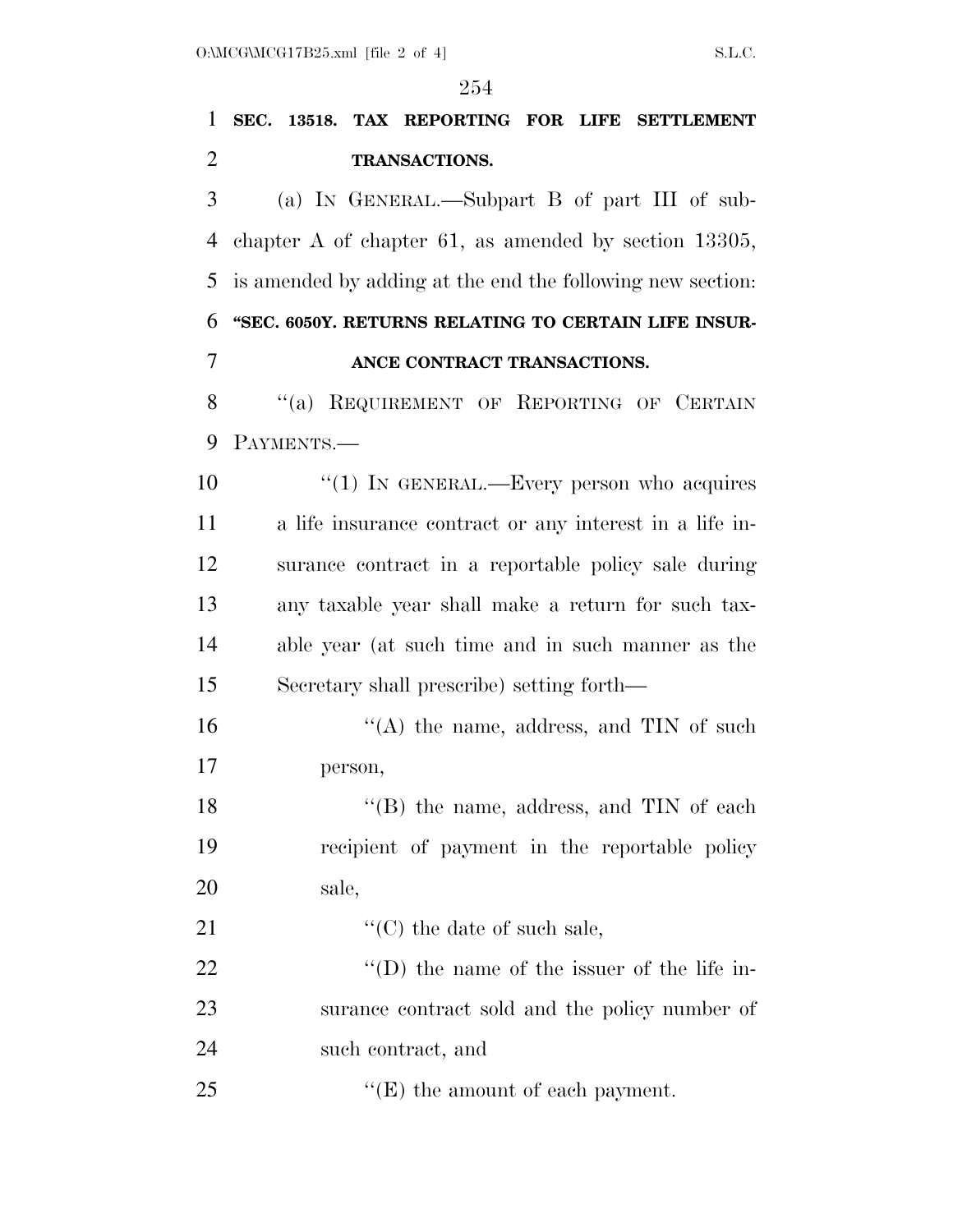# **SEC. 13518. TAX REPORTING FOR LIFE SETTLEMENT TRANSACTIONS.**  (a) IN GENERAL.—Subpart B of part III of sub- chapter A of chapter 61, as amended by section 13305, is amended by adding at the end the following new section: **''SEC. 6050Y. RETURNS RELATING TO CERTAIN LIFE INSUR- ANCE CONTRACT TRANSACTIONS.**  8 "(a) REQUIREMENT OF REPORTING OF CERTAIN PAYMENTS.—

10 "(1) IN GENERAL.—Every person who acquires a life insurance contract or any interest in a life in- surance contract in a reportable policy sale during any taxable year shall make a return for such tax- able year (at such time and in such manner as the Secretary shall prescribe) setting forth—

16 "(A) the name, address, and TIN of such person,

18 ''(B) the name, address, and TIN of each recipient of payment in the reportable policy sale,

21  $\cdot$  ''(C) the date of such sale.

22  $\text{``(D) the name of the issuer of the life in--}$  surance contract sold and the policy number of such contract, and

25 "'(E) the amount of each payment.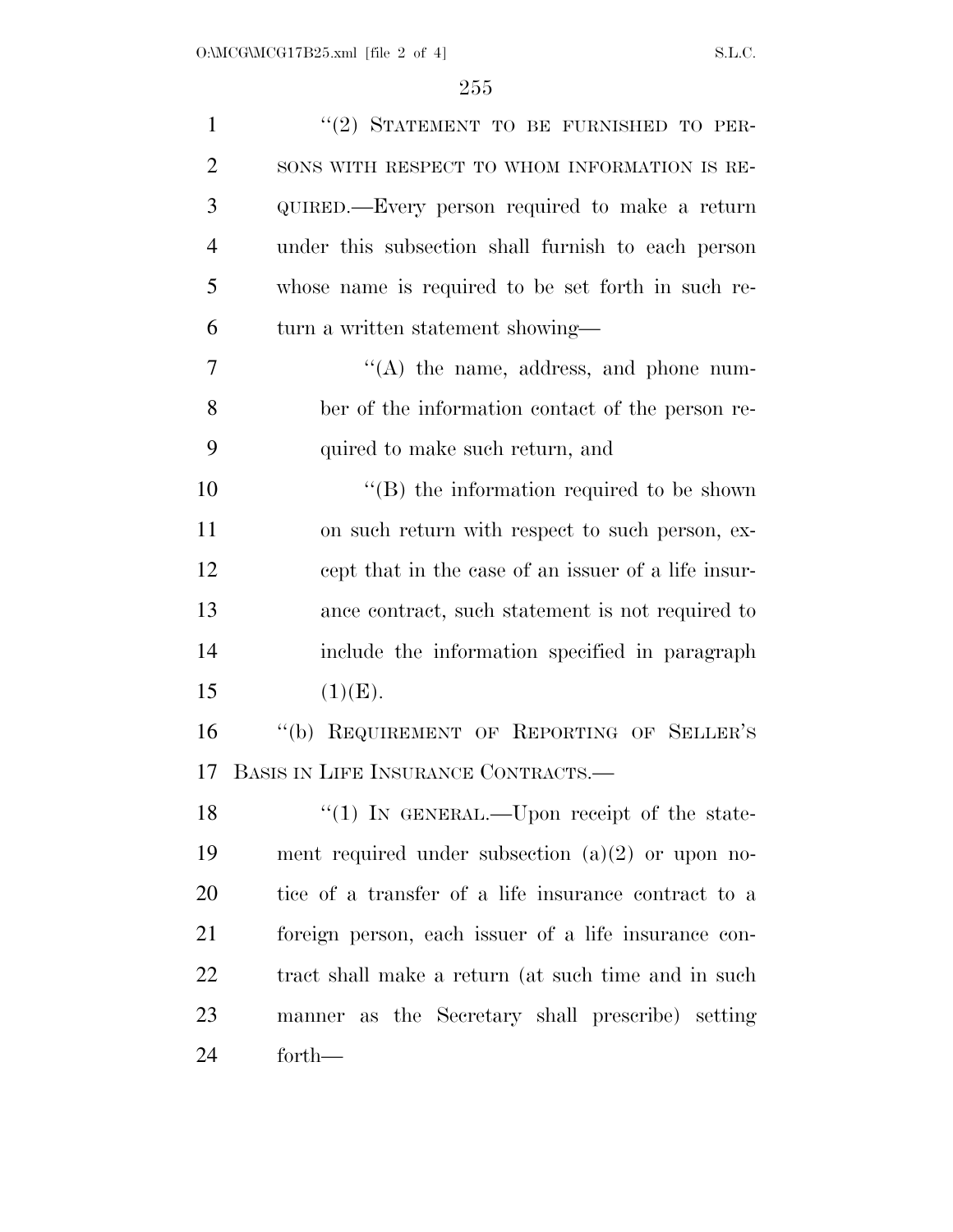| $\mathbf{1}$   | "(2) STATEMENT TO BE FURNISHED TO PER-               |
|----------------|------------------------------------------------------|
| $\overline{2}$ | SONS WITH RESPECT TO WHOM INFORMATION IS RE-         |
| 3              | QUIRED.—Every person required to make a return       |
| $\overline{4}$ | under this subsection shall furnish to each person   |
| 5              | whose name is required to be set forth in such re-   |
| 6              | turn a written statement showing—                    |
| 7              | $\lq\lq$ the name, address, and phone num-           |
| 8              | ber of the information contact of the person re-     |
| 9              | quired to make such return, and                      |
| 10             | $\lq\lq$ the information required to be shown        |
| 11             | on such return with respect to such person, ex-      |
| 12             | cept that in the case of an issuer of a life insur-  |
| 13             | ance contract, such statement is not required to     |
| 14             | include the information specified in paragraph       |
| 15             | (1)(E).                                              |
| 16             | "(b) REQUIREMENT OF REPORTING OF SELLER'S            |
| 17             | BASIS IN LIFE INSURANCE CONTRACTS.—                  |
| 18             | "(1) IN GENERAL.—Upon receipt of the state-          |
| 19             | ment required under subsection $(a)(2)$ or upon no-  |
| 20             | tice of a transfer of a life insurance contract to a |
| 21             | foreign person, each issuer of a life insurance con- |
| 22             | tract shall make a return (at such time and in such  |
| 23             | manner as the Secretary shall prescribe) setting     |
| 24             | forth—                                               |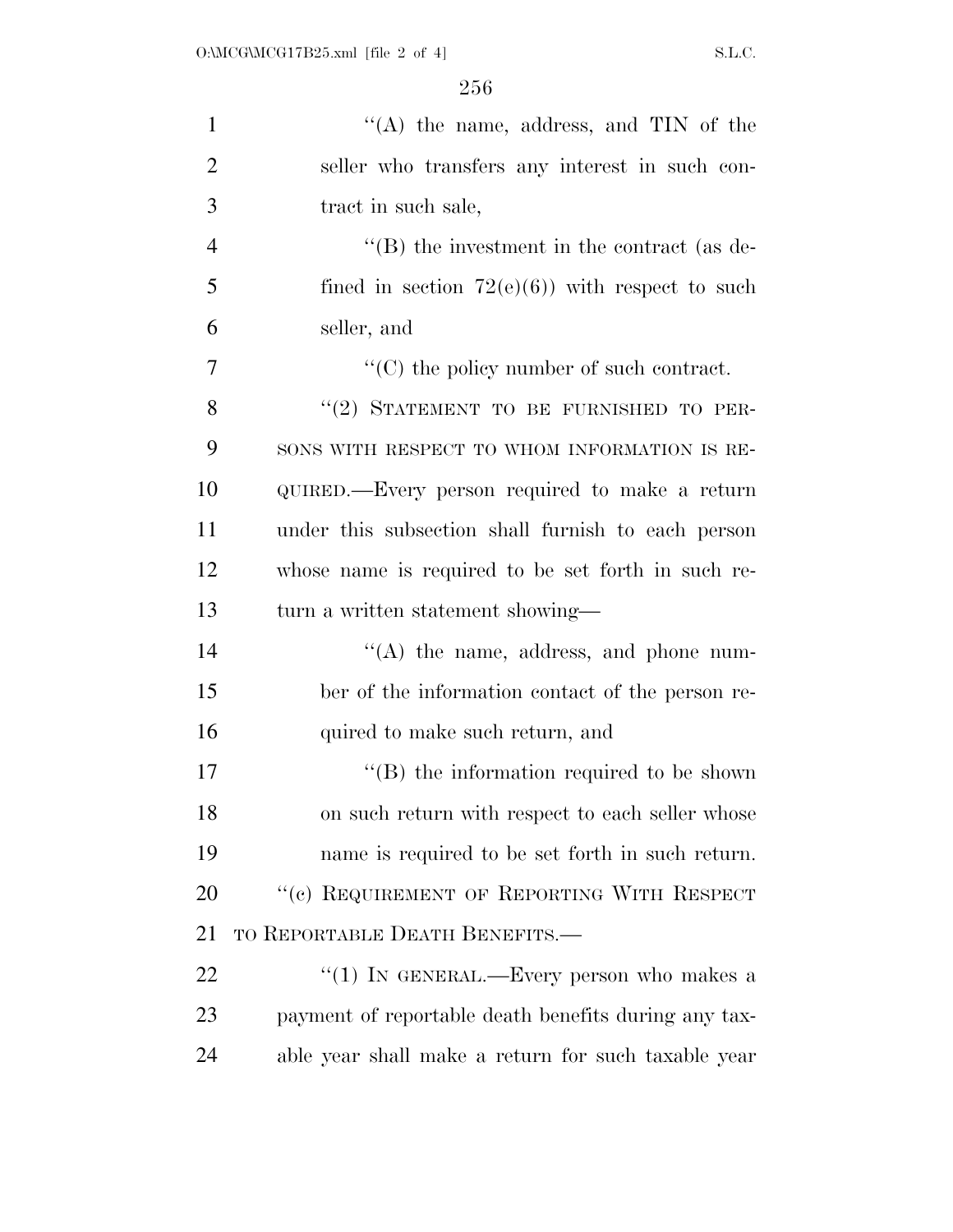| $\mathbf{1}$   | "(A) the name, address, and $TIN$ of the                      |
|----------------|---------------------------------------------------------------|
| $\overline{2}$ | seller who transfers any interest in such con-                |
| 3              | tract in such sale,                                           |
| $\overline{4}$ | $\lq\lq$ (B) the investment in the contract (as de-           |
| 5              | fined in section $72(e)(6)$ ) with respect to such            |
| 6              | seller, and                                                   |
| 7              | $\lq\lq$ <sup>c</sup> (C) the policy number of such contract. |
| 8              | "(2) STATEMENT TO BE FURNISHED TO PER-                        |
| 9              | SONS WITH RESPECT TO WHOM INFORMATION IS RE-                  |
| 10             | QUIRED.—Every person required to make a return                |
| 11             | under this subsection shall furnish to each person            |
| 12             | whose name is required to be set forth in such re-            |
| 13             | turn a written statement showing—                             |
| 14             | $\lq\lq$ the name, address, and phone num-                    |
| 15             | ber of the information contact of the person re-              |
| 16             | quired to make such return, and                               |
| 17             | $\lq\lq$ the information required to be shown                 |
| 18             | on such return with respect to each seller whose              |
| 19             | name is required to be set forth in such return.              |
| 20             | "(c) REQUIREMENT OF REPORTING WITH RESPECT                    |
| 21             | TO REPORTABLE DEATH BENEFITS.—                                |
| 22             | "(1) IN GENERAL.—Every person who makes a                     |
| 23             | payment of reportable death benefits during any tax-          |
| 24             | able year shall make a return for such taxable year           |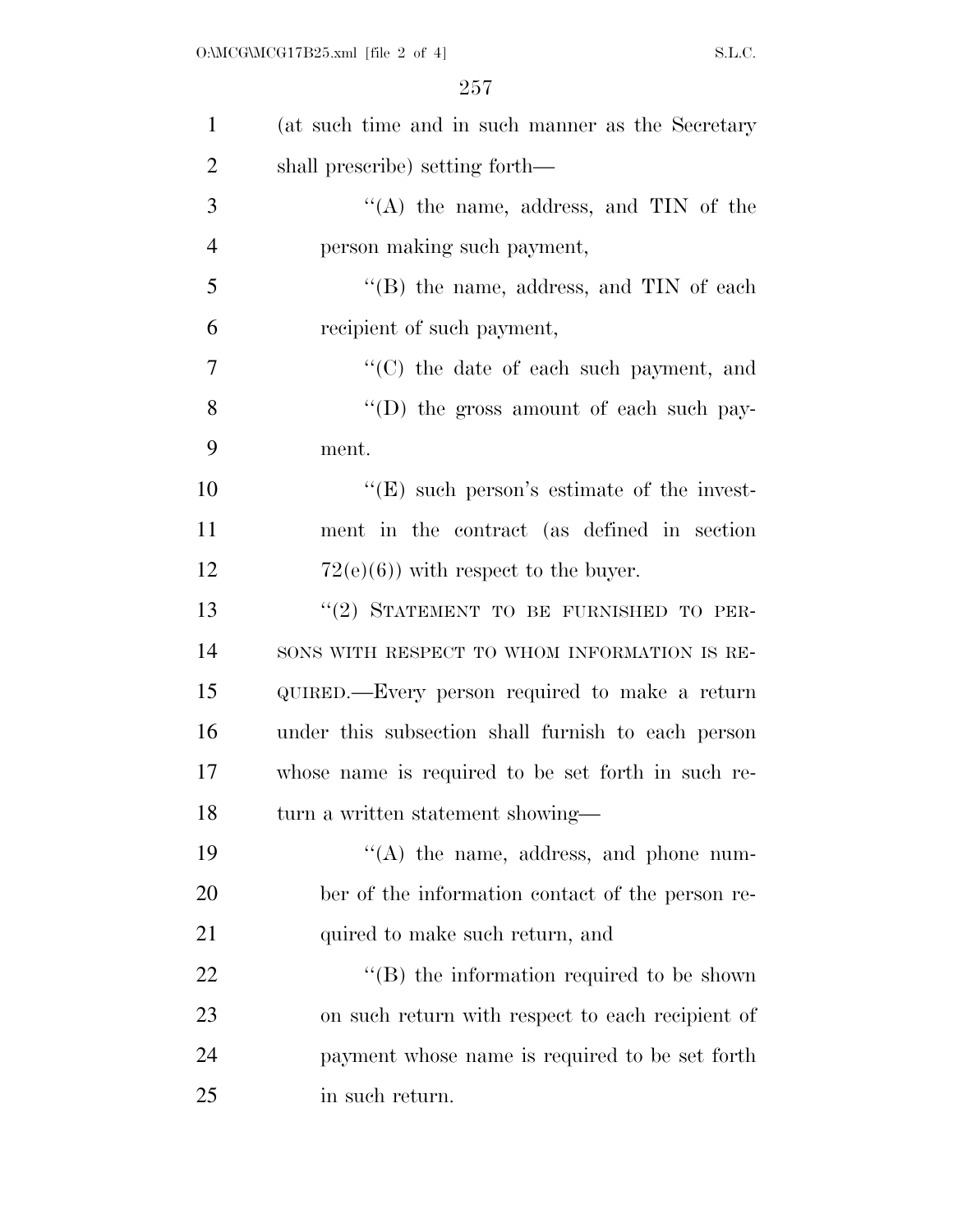| $\mathbf{1}$   | (at such time and in such manner as the Secretary  |
|----------------|----------------------------------------------------|
| $\overline{2}$ | shall prescribe) setting forth—                    |
| 3              | "(A) the name, address, and $TIN$ of the           |
| $\overline{4}$ | person making such payment,                        |
| 5              | $\lq\lq$ the name, address, and TIN of each        |
| 6              | recipient of such payment,                         |
| 7              | "(C) the date of each such payment, and            |
| 8              | "(D) the gross amount of each such pay-            |
| 9              | ment.                                              |
| 10             | $\lq\lq(E)$ such person's estimate of the invest-  |
| 11             | ment in the contract (as defined in section        |
| 12             | $72(e)(6)$ ) with respect to the buyer.            |
| 13             | "(2) STATEMENT TO BE FURNISHED TO PER-             |
| 14             | SONS WITH RESPECT TO WHOM INFORMATION IS RE-       |
| 15             | QUIRED.—Every person required to make a return     |
| 16             | under this subsection shall furnish to each person |
| 17             | whose name is required to be set forth in such re- |
| 18             | turn a written statement showing—                  |
| 19             | $\lq\lq$ the name, address, and phone num-         |
| 20             | ber of the information contact of the person re-   |
| 21             | quired to make such return, and                    |
| 22             | $\lq\lq$ (B) the information required to be shown  |
| 23             | on such return with respect to each recipient of   |
| 24             | payment whose name is required to be set forth     |
| 25             | in such return.                                    |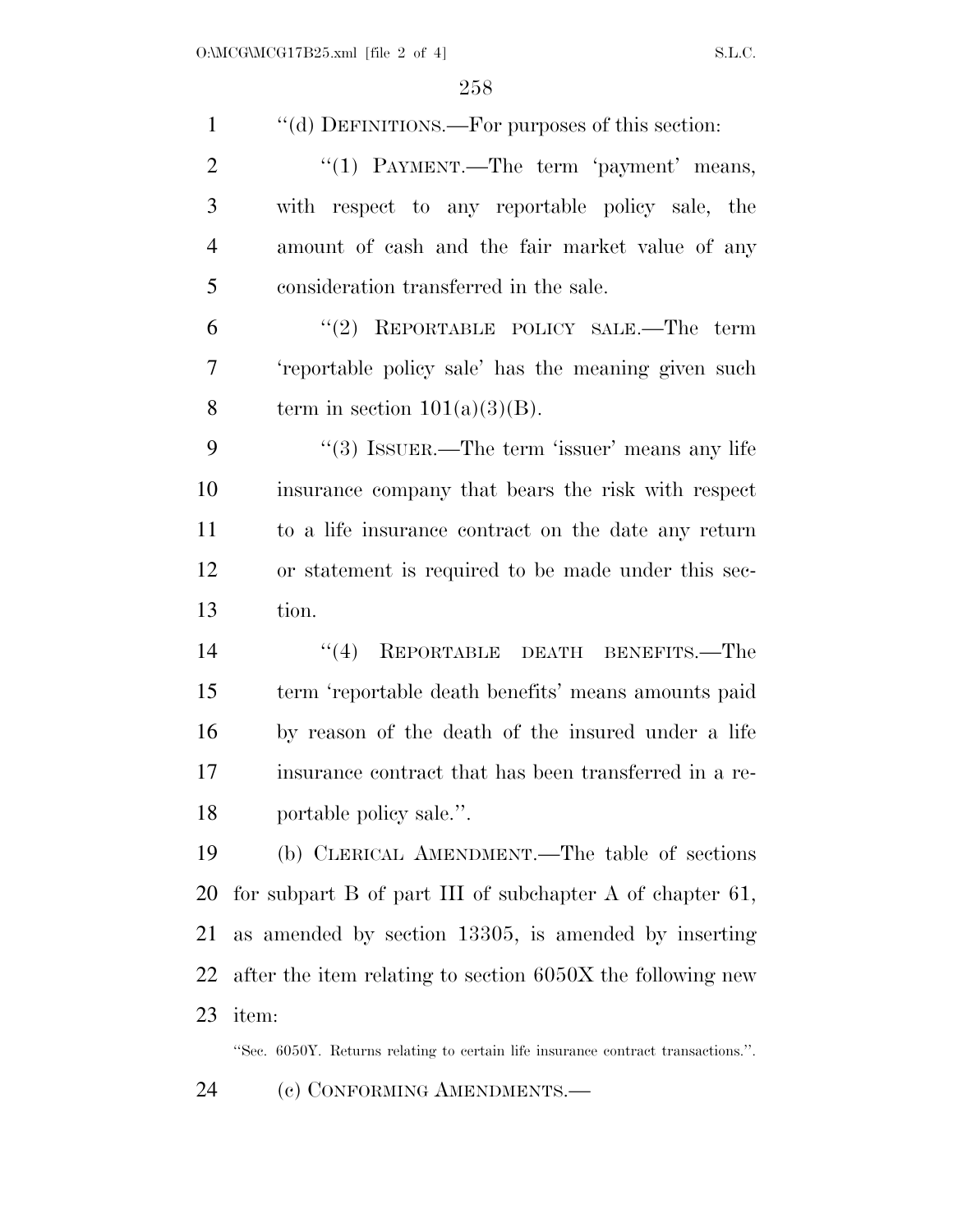| $\mathbf{1}$   | "(d) DEFINITIONS.—For purposes of this section:                                  |
|----------------|----------------------------------------------------------------------------------|
| $\overline{2}$ | "(1) PAYMENT.—The term 'payment' means,                                          |
| 3              | with respect to any reportable policy sale, the                                  |
| $\overline{4}$ | amount of cash and the fair market value of any                                  |
| 5              | consideration transferred in the sale.                                           |
| 6              | "(2) REPORTABLE POLICY SALE.—The<br>term                                         |
| 7              | 'reportable policy sale' has the meaning given such                              |
| 8              | term in section $101(a)(3)(B)$ .                                                 |
| 9              | "(3) ISSUER.—The term 'issuer' means any life                                    |
| 10             | insurance company that bears the risk with respect                               |
| 11             | to a life insurance contract on the date any return                              |
| 12             | or statement is required to be made under this sec-                              |
| 13             | tion.                                                                            |
| 14             | REPORTABLE DEATH BENEFITS.—The<br>(4)                                            |
| 15             | term 'reportable death benefits' means amounts paid                              |
| 16             | by reason of the death of the insured under a life                               |
| 17             | insurance contract that has been transferred in a re-                            |
| 18             | portable policy sale.".                                                          |
| 19             | (b) CLERICAL AMENDMENT.—The table of sections                                    |
| 20             | for subpart $B$ of part III of subchapter $A$ of chapter 61,                     |
| 21             | as amended by section 13305, is amended by inserting                             |
| 22             | after the item relating to section 6050X the following new                       |
| 23             | item:                                                                            |
|                | "Sec. 6050Y. Returns relating to certain life insurance contract transactions.". |
| 24             | (c) CONFORMING AMENDMENTS.—                                                      |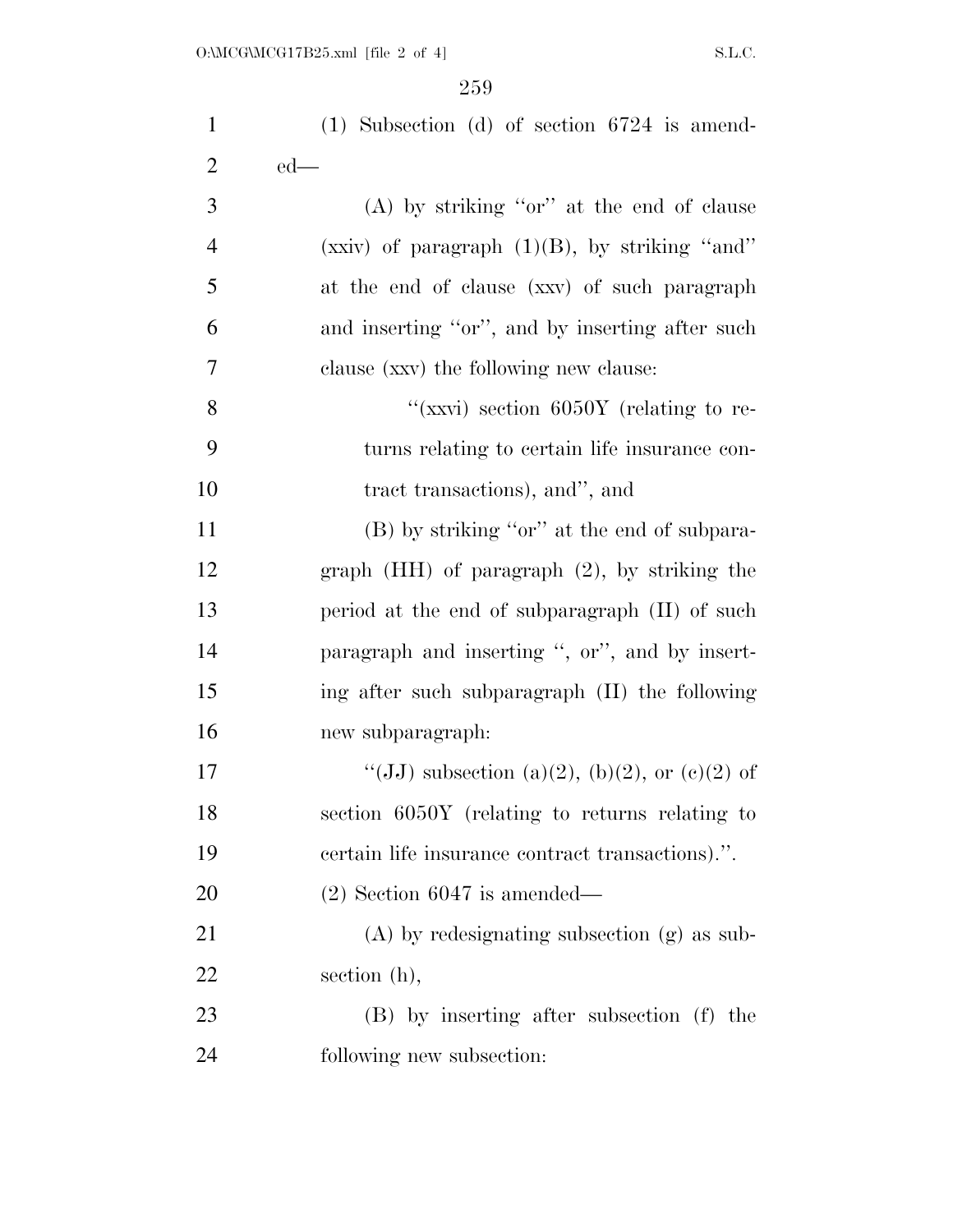| $\mathbf{1}$   | $(1)$ Subsection $(d)$ of section 6724 is amend-  |
|----------------|---------------------------------------------------|
| $\overline{2}$ | $ed$ —                                            |
| 3              | $(A)$ by striking "or" at the end of clause       |
| $\overline{4}$ | (xxiv) of paragraph $(1)(B)$ , by striking "and"  |
| 5              | at the end of clause (xxv) of such paragraph      |
| 6              | and inserting "or", and by inserting after such   |
| 7              | clause (xxv) the following new clause:            |
| 8              | "(xxvi) section 6050Y (relating to re-            |
| 9              | turns relating to certain life insurance con-     |
| 10             | tract transactions), and", and                    |
| 11             | (B) by striking "or" at the end of subpara-       |
| 12             | graph $(HH)$ of paragraph $(2)$ , by striking the |
| 13             | period at the end of subparagraph (II) of such    |
| 14             | paragraph and inserting ", or", and by insert-    |
| 15             | ing after such subparagraph (II) the following    |
| 16             | new subparagraph:                                 |
| 17             | "(JJ) subsection (a)(2), (b)(2), or (c)(2) of     |
| 18             | section 6050Y (relating to returns relating to    |
| 19             | certain life insurance contract transactions).".  |
| 20             | $(2)$ Section 6047 is amended—                    |
| 21             | $(A)$ by redesignating subsection $(g)$ as sub-   |
| 22             | section (h),                                      |
| 23             | (B) by inserting after subsection (f) the         |
| 24             | following new subsection:                         |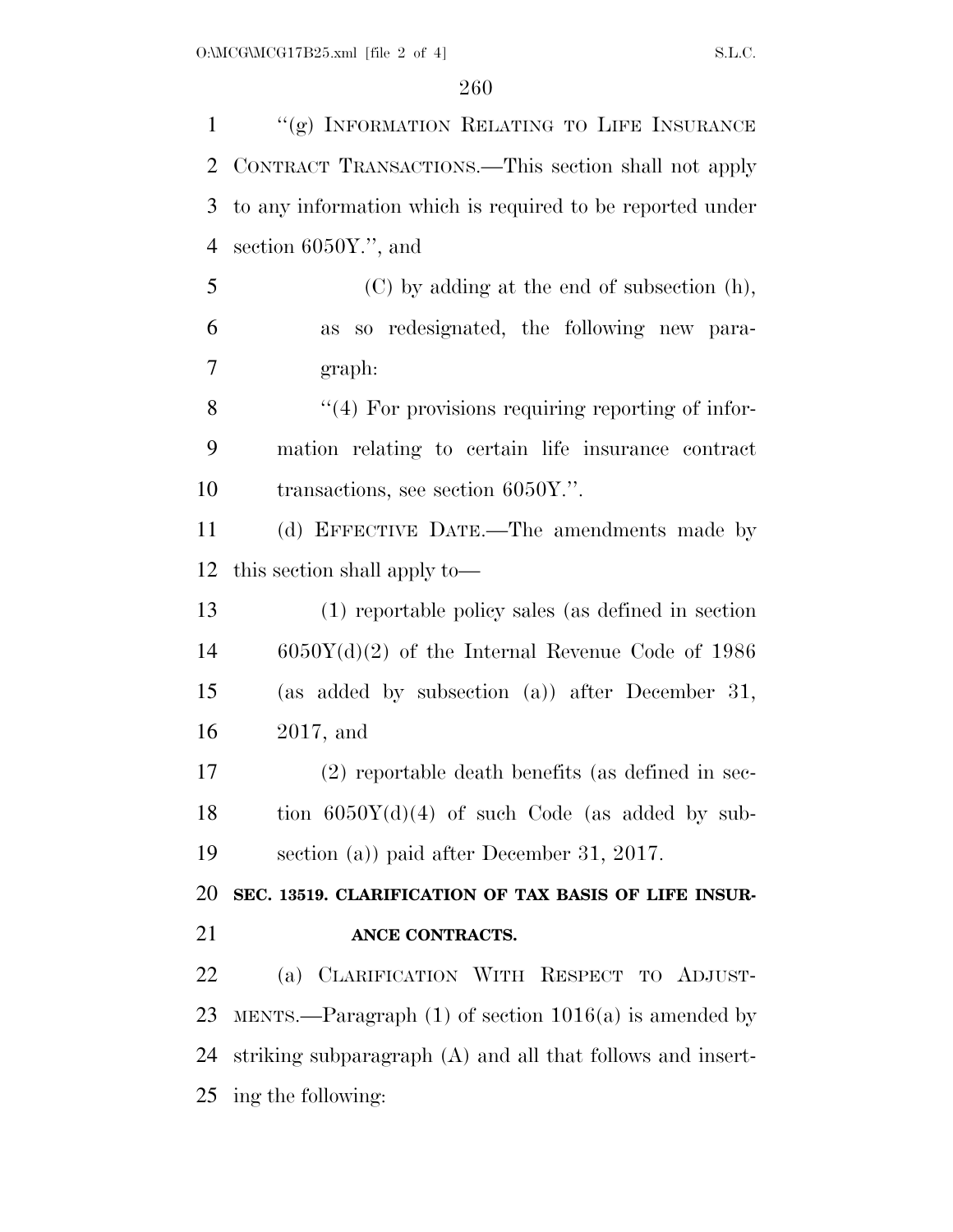1 "(g) INFORMATION RELATING TO LIFE INSURANCE CONTRACT TRANSACTIONS.—This section shall not apply to any information which is required to be reported under section 6050Y.'', and (C) by adding at the end of subsection (h), as so redesignated, the following new para- graph: 8 "(4) For provisions requiring reporting of infor- mation relating to certain life insurance contract 10 transactions, see section 6050Y.". (d) EFFECTIVE DATE.—The amendments made by this section shall apply to— (1) reportable policy sales (as defined in section 6050Y(d)(2) of the Internal Revenue Code of 1986 (as added by subsection (a)) after December 31, 2017, and (2) reportable death benefits (as defined in sec-18 tion  $6050Y(d)(4)$  of such Code (as added by sub- section (a)) paid after December 31, 2017. **SEC. 13519. CLARIFICATION OF TAX BASIS OF LIFE INSUR- ANCE CONTRACTS.**  (a) CLARIFICATION WITH RESPECT TO ADJUST- MENTS.—Paragraph (1) of section 1016(a) is amended by striking subparagraph (A) and all that follows and insert-ing the following: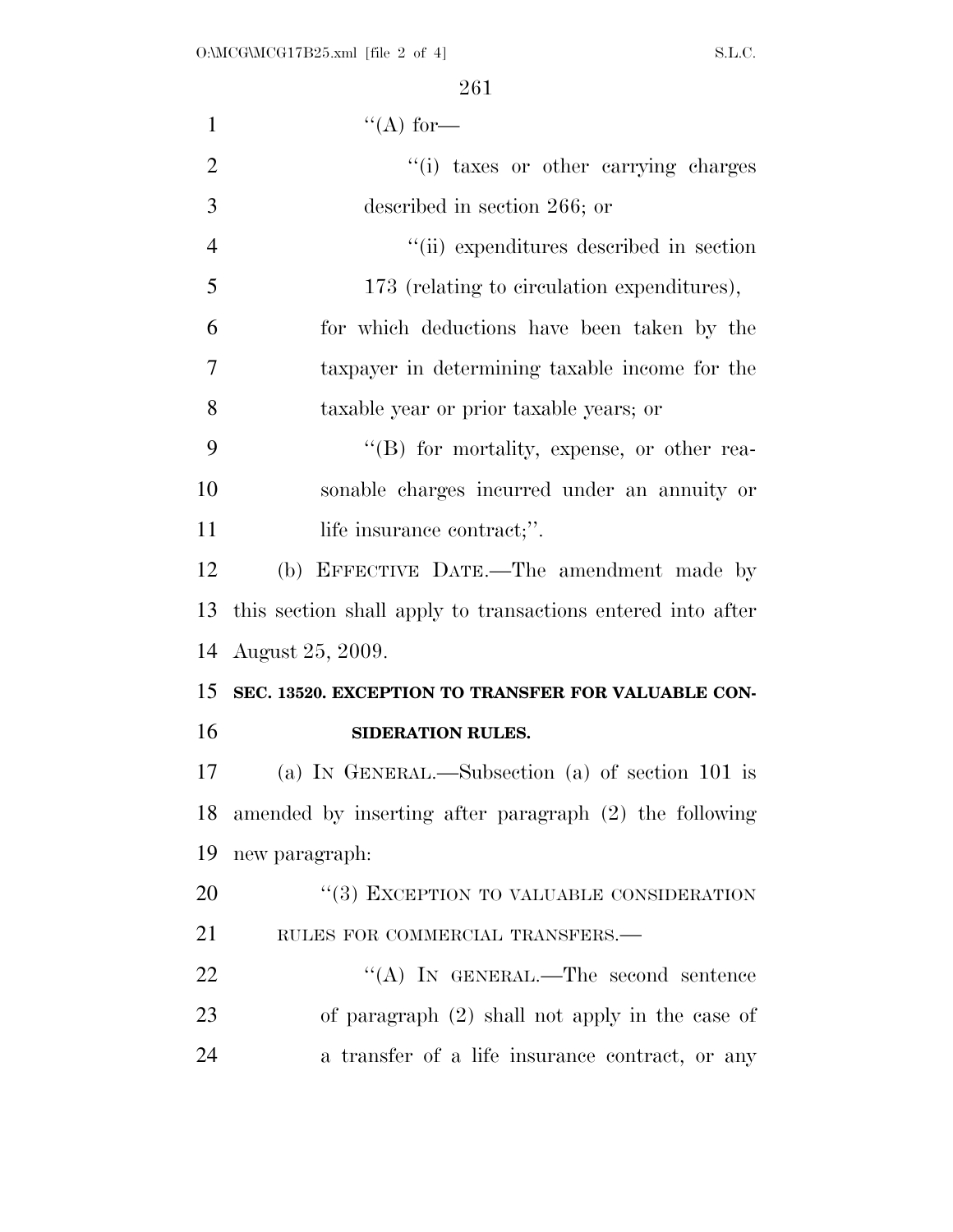| $\mathbf{1}$   | "(A) for—                                                   |
|----------------|-------------------------------------------------------------|
| $\overline{2}$ | "(i) taxes or other carrying charges                        |
| 3              | described in section 266; or                                |
| $\overline{4}$ | "(ii) expenditures described in section                     |
| 5              | 173 (relating to circulation expenditures),                 |
| 6              | for which deductions have been taken by the                 |
| 7              | taxpayer in determining taxable income for the              |
| 8              | taxable year or prior taxable years; or                     |
| 9              | $\lq\lq (B)$ for mortality, expense, or other rea-          |
| 10             | sonable charges incurred under an annuity or                |
| 11             | life insurance contract;".                                  |
| 12             | (b) EFFECTIVE DATE.—The amendment made by                   |
| 13             | this section shall apply to transactions entered into after |
| 14             | August 25, 2009.                                            |
| 15             | SEC. 13520. EXCEPTION TO TRANSFER FOR VALUABLE CON-         |
| 16             | SIDERATION RULES.                                           |
| 17             | (a) IN GENERAL.—Subsection (a) of section 101 is            |
| 18             | amended by inserting after paragraph (2) the following      |
| 19             | new paragraph:                                              |
| 20             | "(3) EXCEPTION TO VALUABLE CONSIDERATION                    |
| 21             | RULES FOR COMMERCIAL TRANSFERS.-                            |
| 22             | "(A) IN GENERAL.—The second sentence                        |
| 23             | of paragraph $(2)$ shall not apply in the case of           |
| 24             | a transfer of a life insurance contract, or any             |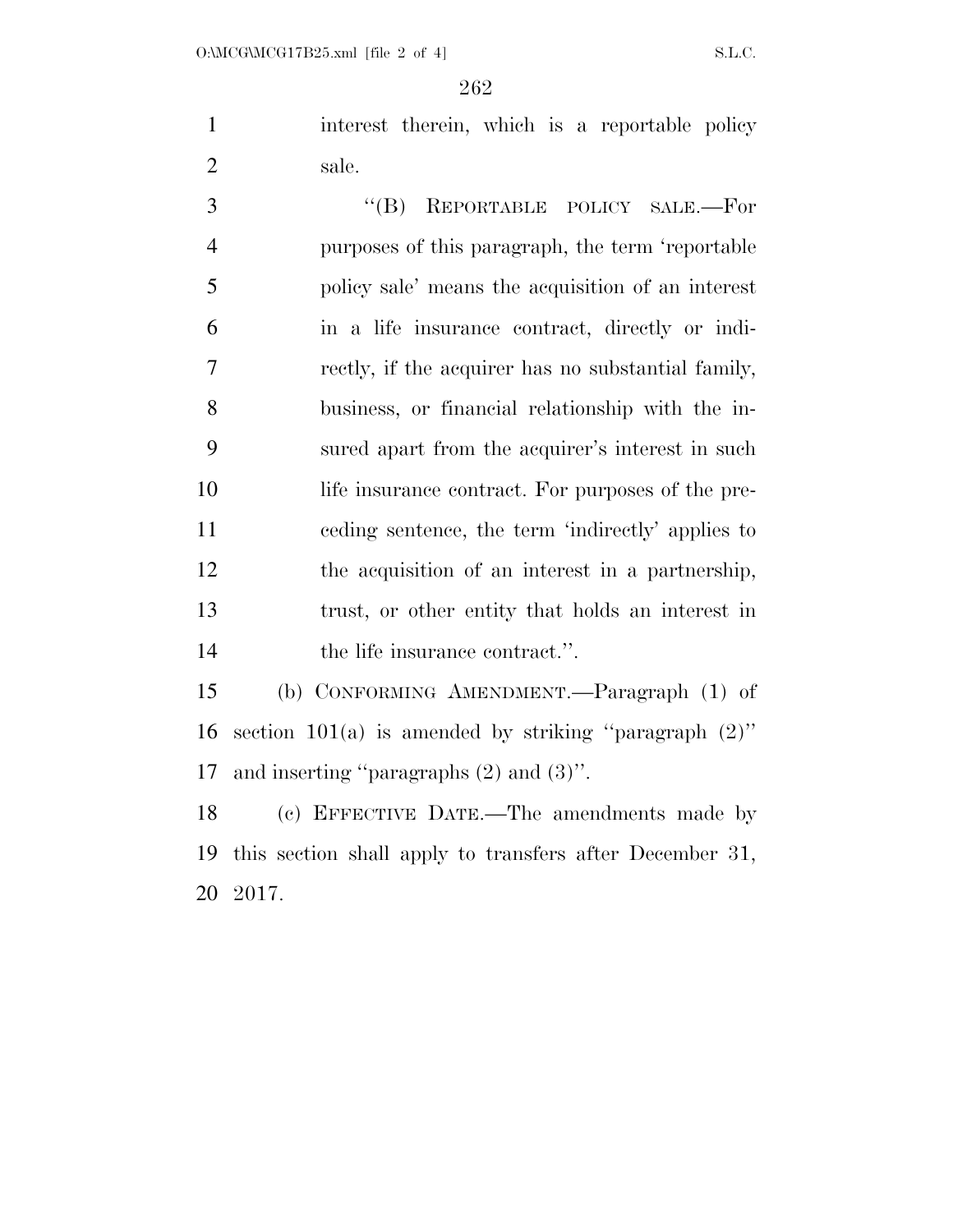1 interest therein, which is a reportable policy sale.

3 "(B) REPORTABLE POLICY SALE.—For purposes of this paragraph, the term 'reportable policy sale' means the acquisition of an interest in a life insurance contract, directly or indi- rectly, if the acquirer has no substantial family, business, or financial relationship with the in- sured apart from the acquirer's interest in such life insurance contract. For purposes of the pre- ceding sentence, the term 'indirectly' applies to the acquisition of an interest in a partnership, trust, or other entity that holds an interest in 14 the life insurance contract.".

 (b) CONFORMING AMENDMENT.—Paragraph (1) of 16 section 101(a) is amended by striking "paragraph  $(2)$ " and inserting ''paragraphs (2) and (3)''.

 (c) EFFECTIVE DATE.—The amendments made by this section shall apply to transfers after December 31, 2017.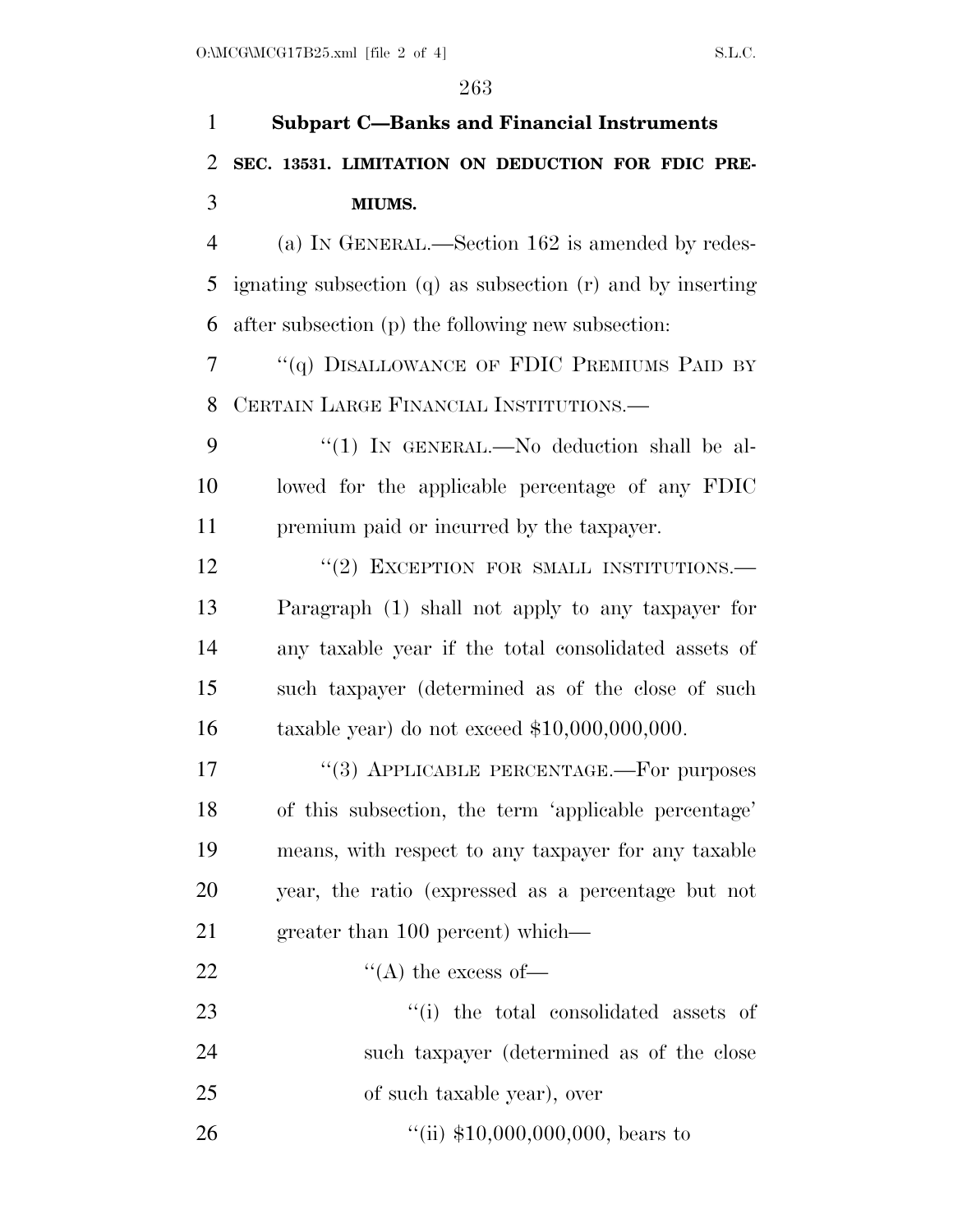| $\mathbf{1}$   | <b>Subpart C-Banks and Financial Instruments</b>               |
|----------------|----------------------------------------------------------------|
| 2              | SEC. 13531. LIMITATION ON DEDUCTION FOR FDIC PRE-              |
| 3              | MIUMS.                                                         |
| $\overline{4}$ | (a) IN GENERAL.—Section 162 is amended by redes-               |
| 5              | ignating subsection $(q)$ as subsection $(r)$ and by inserting |
| 6              | after subsection (p) the following new subsection:             |
| 7              | "(q) DISALLOWANCE OF FDIC PREMIUMS PAID BY                     |
| 8              | CERTAIN LARGE FINANCIAL INSTITUTIONS.                          |
| 9              | "(1) IN GENERAL.—No deduction shall be al-                     |
| 10             | lowed for the applicable percentage of any FDIC                |
| 11             | premium paid or incurred by the taxpayer.                      |
| 12             | "(2) EXCEPTION FOR SMALL INSTITUTIONS.-                        |
| 13             | Paragraph (1) shall not apply to any taxpayer for              |
| 14             | any taxable year if the total consolidated assets of           |
| 15             | such taxpayer (determined as of the close of such              |
| 16             | taxable year) do not exceed $$10,000,000,000$ .                |
| 17             | "(3) APPLICABLE PERCENTAGE.—For purposes                       |
| 18             | of this subsection, the term 'applicable percentage'           |
| 19             | means, with respect to any taxpayer for any taxable            |
| 20             | year, the ratio (expressed as a percentage but not             |
| 21             | greater than 100 percent) which—                               |
| 22             | $\lq\lq$ the excess of —                                       |
| 23             | "(i) the total consolidated assets of                          |
| 24             | such taxpayer (determined as of the close                      |
| 25             | of such taxable year), over                                    |
| 26             | "(ii) $$10,000,000,000$ , bears to                             |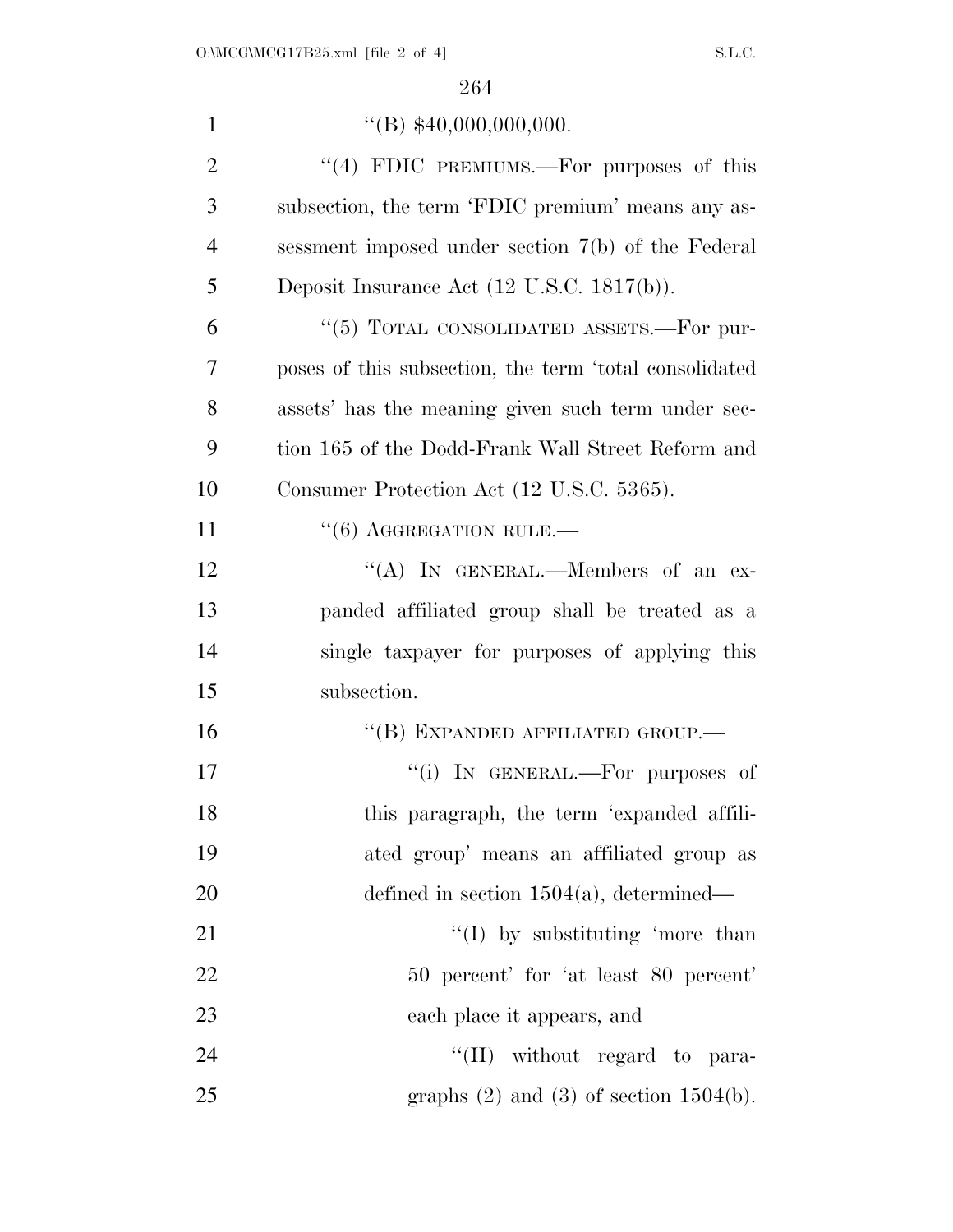| $\mathbf{1}$   | $\text{``(B)}$ \$40,000,000,000.                       |
|----------------|--------------------------------------------------------|
| $\overline{2}$ | "(4) FDIC PREMIUMS.—For purposes of this               |
| 3              | subsection, the term 'FDIC premium' means any as-      |
| $\overline{4}$ | sessment imposed under section 7(b) of the Federal     |
| 5              | Deposit Insurance Act $(12 \text{ U.S.C. } 1817(b))$ . |
| 6              | "(5) TOTAL CONSOLIDATED ASSETS.—For pur-               |
| $\overline{7}$ | poses of this subsection, the term 'total consolidated |
| 8              | assets' has the meaning given such term under sec-     |
| 9              | tion 165 of the Dodd-Frank Wall Street Reform and      |
| 10             | Consumer Protection Act (12 U.S.C. 5365).              |
| 11             | $``(6)$ AGGREGATION RULE.—                             |
| 12             | "(A) IN GENERAL.—Members of an ex-                     |
| 13             | panded affiliated group shall be treated as a          |
| 14             | single taxpayer for purposes of applying this          |
| 15             | subsection.                                            |
| 16             | "(B) EXPANDED AFFILIATED GROUP.-                       |
| 17             | "(i) IN GENERAL.—For purposes of                       |
| 18             | this paragraph, the term 'expanded affili-             |
| 19             | ated group' means an affiliated group as               |
| 20             | defined in section $1504(a)$ , determined—             |
| 21             | $\lq (I)$ by substituting 'more than                   |
| 22             | 50 percent' for 'at least 80 percent'                  |
| 23             | each place it appears, and                             |
| 24             | $\lq\lq$ (II) without regard to para-                  |
| 25             | graphs $(2)$ and $(3)$ of section 1504(b).             |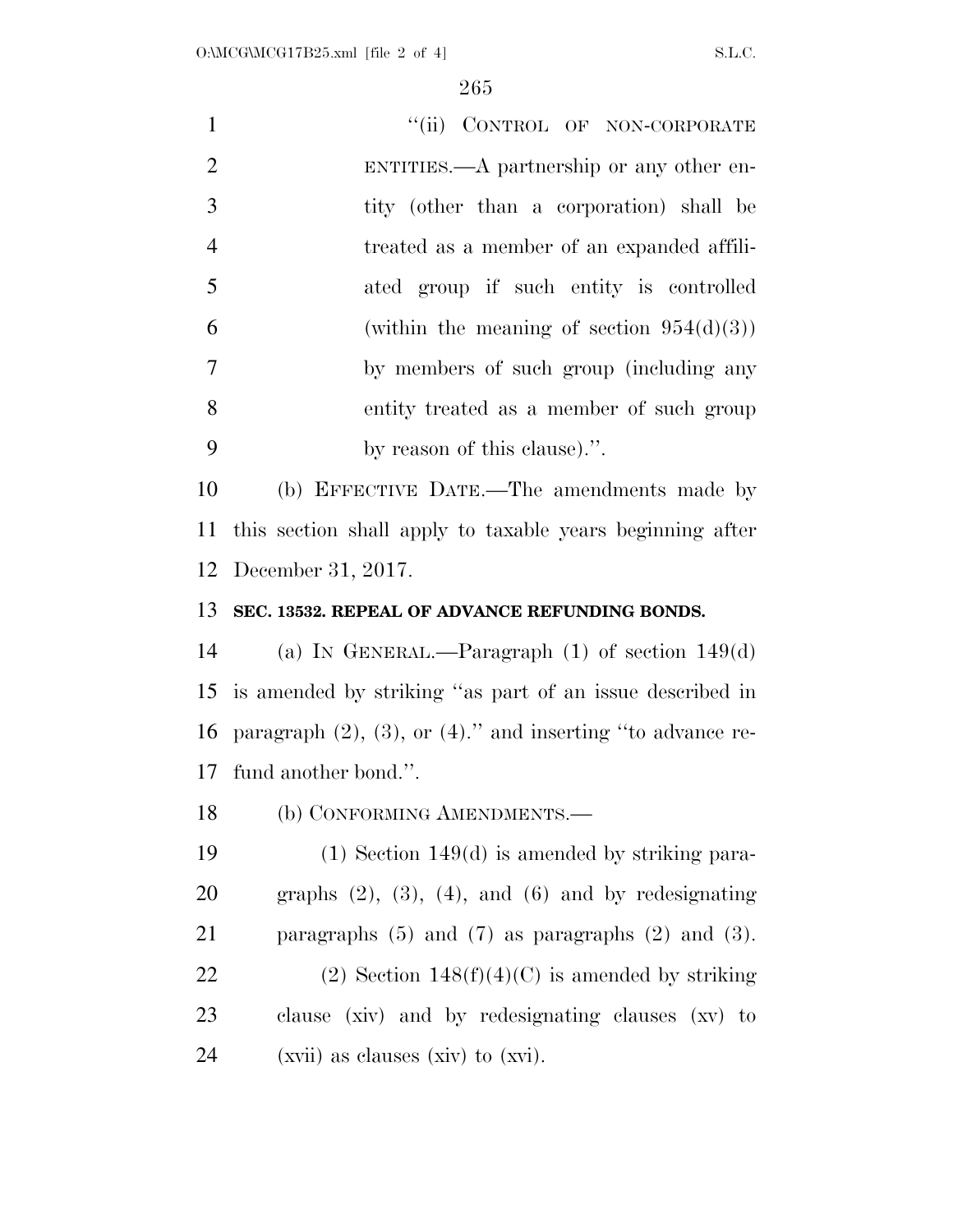| $\mathbf{1}$   | "(ii) CONTROL OF NON-CORPORATE                                      |
|----------------|---------------------------------------------------------------------|
| $\overline{2}$ | ENTITIES.—A partnership or any other en-                            |
| 3              | tity (other than a corporation) shall be                            |
| $\overline{4}$ | treated as a member of an expanded affili-                          |
| 5              | ated group if such entity is controlled                             |
| 6              | (within the meaning of section $954(d)(3)$ )                        |
| 7              | by members of such group (including any                             |
| 8              | entity treated as a member of such group                            |
| 9              | by reason of this clause).".                                        |
| 10             | (b) EFFECTIVE DATE.—The amendments made by                          |
| 11             | this section shall apply to taxable years beginning after           |
| 12             | December 31, 2017.                                                  |
| 13             | SEC. 13532. REPEAL OF ADVANCE REFUNDING BONDS.                      |
| 14             | (a) IN GENERAL.—Paragraph $(1)$ of section $149(d)$                 |
| 15             | is amended by striking "as part of an issue described in            |
| 16             | paragraph $(2)$ , $(3)$ , or $(4)$ ." and inserting "to advance re- |
|                | 17 fund another bond.".                                             |
| 18             | (b) CONFORMING AMENDMENTS.-                                         |
| 19             | $(1)$ Section 149 $(d)$ is amended by striking para-                |
| 20             | graphs $(2)$ , $(3)$ , $(4)$ , and $(6)$ and by redesignating       |
| 21             | paragraphs $(5)$ and $(7)$ as paragraphs $(2)$ and $(3)$ .          |
| 22             | (2) Section $148(f)(4)(C)$ is amended by striking                   |
| 23             | clause (xiv) and by redesignating clauses (xv) to                   |

(xvii) as clauses (xiv) to (xvi).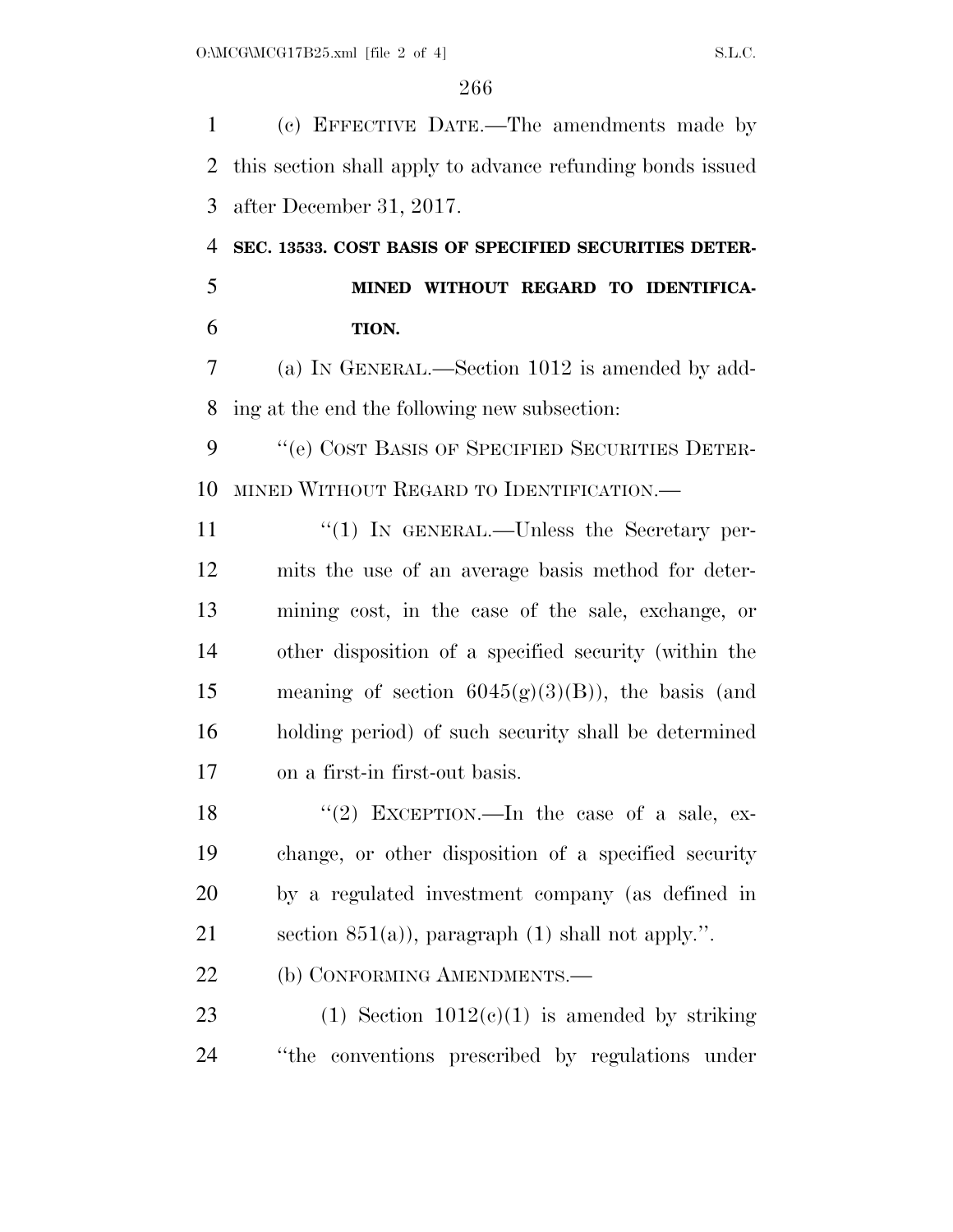(c) EFFECTIVE DATE.—The amendments made by this section shall apply to advance refunding bonds issued after December 31, 2017.

 **SEC. 13533. COST BASIS OF SPECIFIED SECURITIES DETER- MINED WITHOUT REGARD TO IDENTIFICA-TION.** 

 (a) IN GENERAL.—Section 1012 is amended by add-ing at the end the following new subsection:

9 "(e) COST BASIS OF SPECIFIED SECURITIES DETER-MINED WITHOUT REGARD TO IDENTIFICATION.—

11 ''(1) In GENERAL.—Unless the Secretary per- mits the use of an average basis method for deter- mining cost, in the case of the sale, exchange, or other disposition of a specified security (within the 15 meaning of section  $6045(g)(3)(B)$ , the basis (and holding period) of such security shall be determined on a first-in first-out basis.

18 ''(2) EXCEPTION.—In the case of a sale, ex- change, or other disposition of a specified security by a regulated investment company (as defined in 21 section  $851(a)$ , paragraph (1) shall not apply.".

22 (b) CONFORMING AMENDMENTS.—

23 (1) Section  $1012(c)(1)$  is amended by striking ''the conventions prescribed by regulations under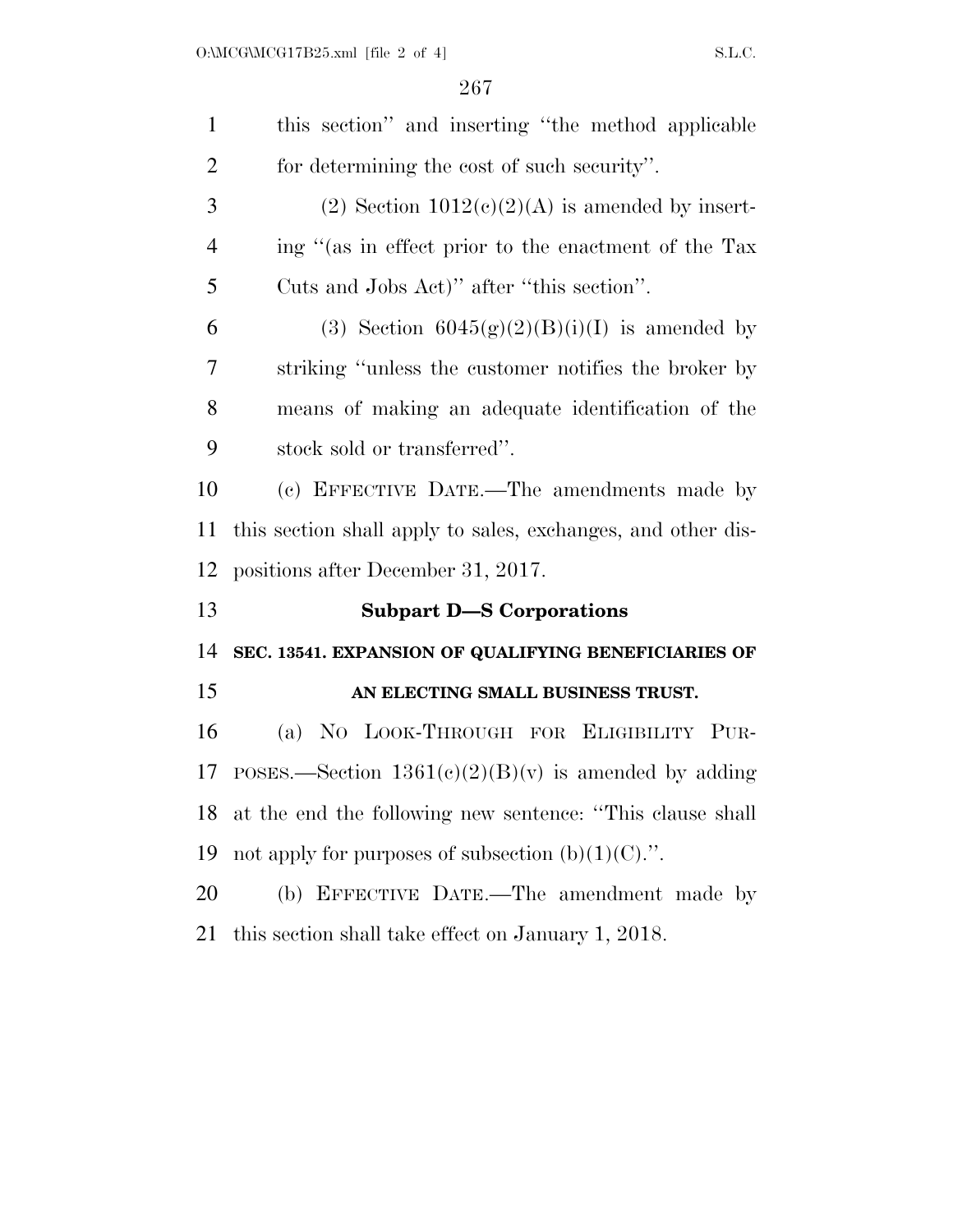| $\mathbf{1}$   | this section" and inserting "the method applicable           |
|----------------|--------------------------------------------------------------|
| $\overline{2}$ | for determining the cost of such security".                  |
| 3              | (2) Section $1012(c)(2)(A)$ is amended by insert-            |
| $\overline{4}$ | ing "(as in effect prior to the enactment of the Tax         |
| 5              | Cuts and Jobs Act)" after "this section".                    |
| 6              | (3) Section $6045(g)(2)(B)(i)(I)$ is amended by              |
| 7              | striking "unless the customer notifies the broker by         |
| 8              | means of making an adequate identification of the            |
| 9              | stock sold or transferred".                                  |
| 10             | (c) EFFECTIVE DATE.—The amendments made by                   |
| 11             | this section shall apply to sales, exchanges, and other dis- |
| 12             | positions after December 31, 2017.                           |
| 13             | <b>Subpart D-S Corporations</b>                              |
| 14             | SEC. 13541. EXPANSION OF QUALIFYING BENEFICIARIES OF         |
| 15             | AN ELECTING SMALL BUSINESS TRUST.                            |
| 16             | (a) NO LOOK-THROUGH FOR ELIGIBILITY PUR-                     |
| 17             | POSES.—Section $1361(c)(2)(B)(v)$ is amended by adding       |
|                | 18 at the end the following new sentence: "This clause shall |
| 19             | not apply for purposes of subsection $(b)(1)(C)$ .".         |
| 20             | (b) EFFECTIVE DATE.—The amendment made by                    |
| 21             | this section shall take effect on January 1, 2018.           |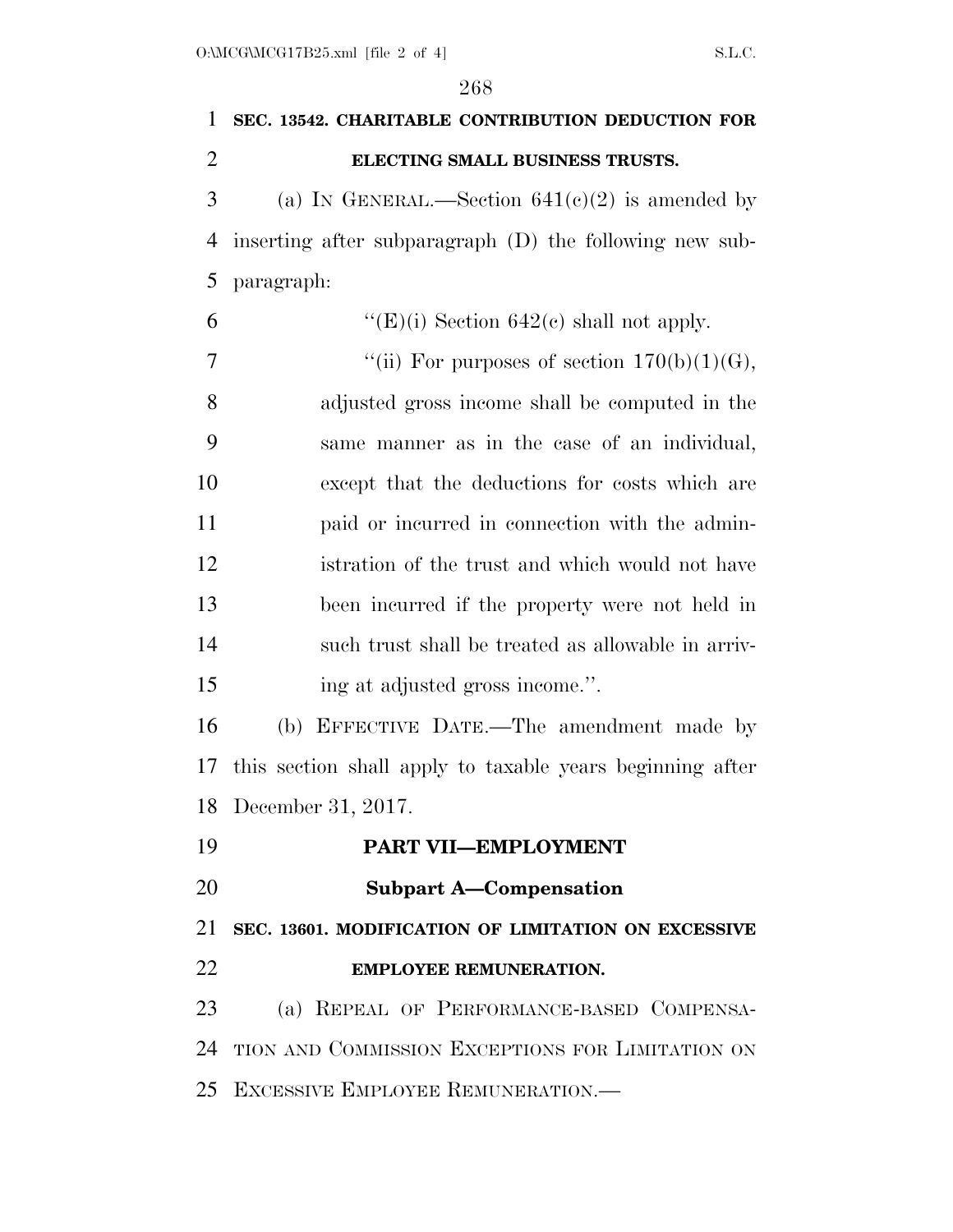|                | 268                                                       |
|----------------|-----------------------------------------------------------|
| $\mathbf{1}$   | SEC. 13542. CHARITABLE CONTRIBUTION DEDUCTION FOR         |
| $\overline{2}$ | ELECTING SMALL BUSINESS TRUSTS.                           |
| 3              | (a) IN GENERAL.—Section $641(c)(2)$ is amended by         |
| $\overline{4}$ | inserting after subparagraph (D) the following new sub-   |
| 5              | paragraph:                                                |
| 6              | "(E)(i) Section $642(c)$ shall not apply.                 |
| 7              | "(ii) For purposes of section $170(b)(1)(G)$ ,            |
| 8              | adjusted gross income shall be computed in the            |
| 9              | same manner as in the case of an individual,              |
| 10             | except that the deductions for costs which are            |
| 11             | paid or incurred in connection with the admin-            |
| 12             | istration of the trust and which would not have           |
| 13             | been incurred if the property were not held in            |
| 14             | such trust shall be treated as allowable in arriv-        |
| 15             | ing at adjusted gross income.".                           |
| 16             | (b) EFFECTIVE DATE.—The amendment made by                 |
| 17             | this section shall apply to taxable years beginning after |
|                | 18 December 31, 2017.                                     |
| 19             | PART VII-EMPLOYMENT                                       |
| 20             | <b>Subpart A-Compensation</b>                             |
| 21             | SEC. 13601. MODIFICATION OF LIMITATION ON EXCESSIVE       |
| 22             | <b>EMPLOYEE REMUNERATION.</b>                             |
| 23             | (a) REPEAL OF PERFORMANCE-BASED COMPENSA-                 |
| 24             | TION AND COMMISSION EXCEPTIONS FOR LIMITATION ON          |
|                | 25 EXCESSIVE EMPLOYEE REMUNERATION.                       |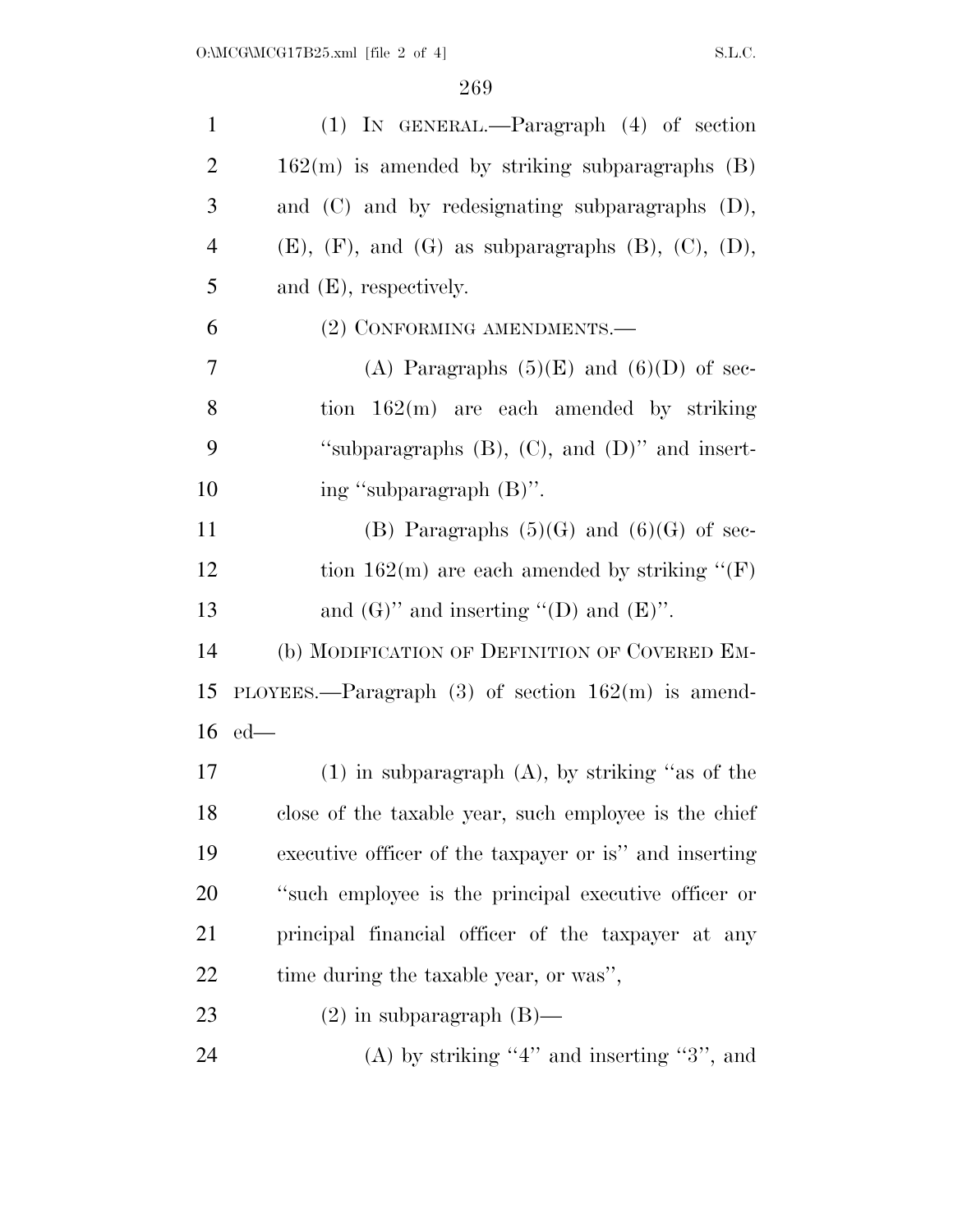| $\mathbf{1}$   | $(1)$ IN GENERAL.—Paragraph $(4)$ of section                       |
|----------------|--------------------------------------------------------------------|
| $\overline{2}$ | $162(m)$ is amended by striking subparagraphs $(B)$                |
| 3              | and $(C)$ and by redesignating subparagraphs $(D)$ ,               |
| $\overline{4}$ | $(E)$ , $(F)$ , and $(G)$ as subparagraphs $(B)$ , $(C)$ , $(D)$ , |
| 5              | and $(E)$ , respectively.                                          |
| 6              | (2) CONFORMING AMENDMENTS.—                                        |
| 7              | (A) Paragraphs $(5)(E)$ and $(6)(D)$ of sec-                       |
| 8              | tion $162(m)$ are each amended by striking                         |
| 9              | "subparagraphs $(B)$ , $(C)$ , and $(D)$ " and insert-             |
| 10             | ing "subparagraph (B)".                                            |
| 11             | (B) Paragraphs $(5)(G)$ and $(6)(G)$ of sec-                       |
| 12             | tion 162(m) are each amended by striking " $(F)$                   |
| 13             | and $(G)$ " and inserting "(D) and $(E)$ ".                        |
| 14             | (b) MODIFICATION OF DEFINITION OF COVERED EM-                      |
| 15             | PLOYEES.—Paragraph $(3)$ of section $162(m)$ is amend-             |
| 16             | $ed$ —                                                             |
| 17             | $(1)$ in subparagraph $(A)$ , by striking "as of the               |
| 18             | close of the taxable year, such employee is the chief              |
| 19             | executive officer of the taxpayer or is" and inserting             |
| 20             | "such employee is the principal executive officer or               |
| 21             | principal financial officer of the taxpayer at any                 |
| 22             | time during the taxable year, or was",                             |
| 23             | $(2)$ in subparagraph $(B)$ —                                      |
| 24             | (A) by striking "4" and inserting "3", and                         |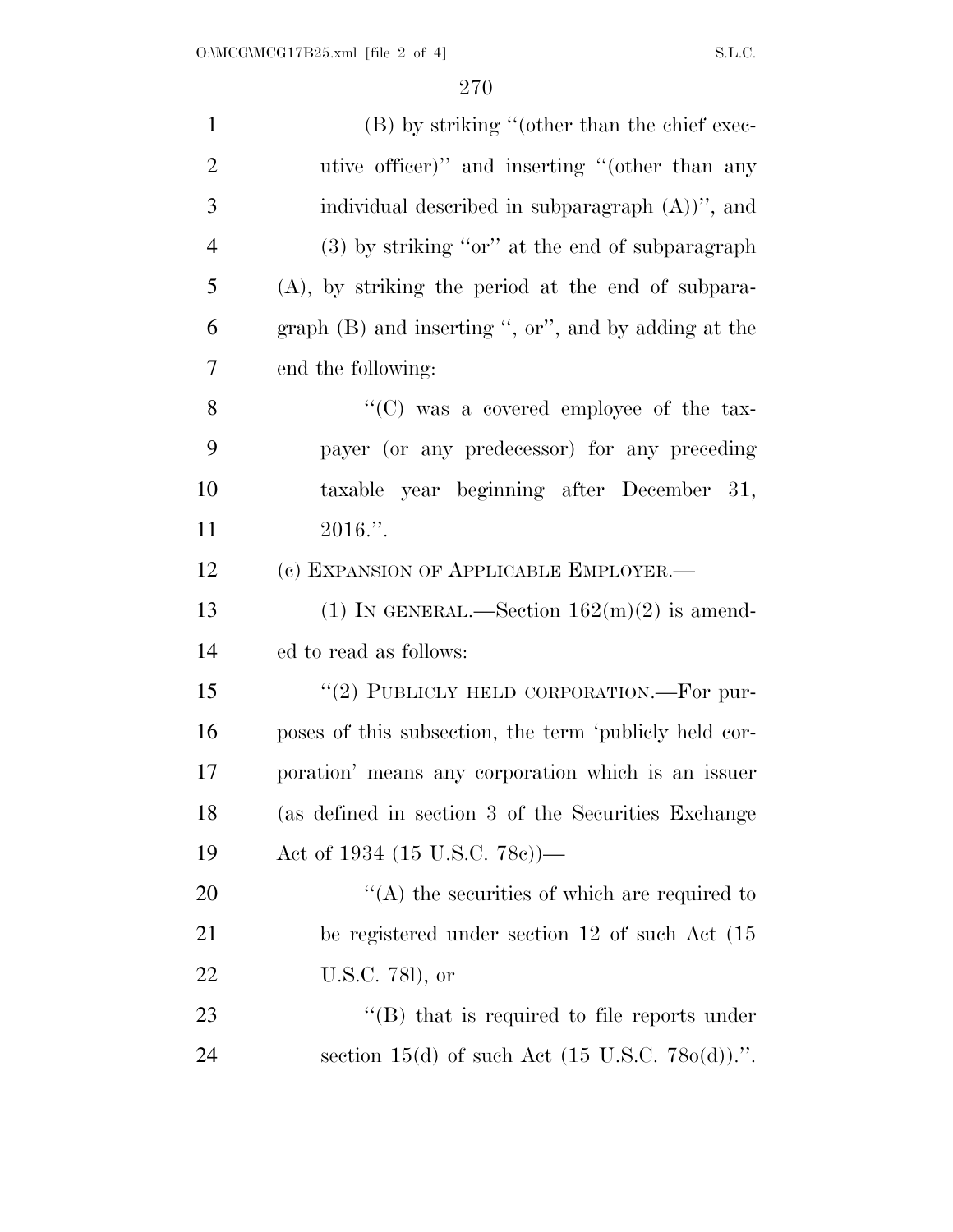| $\mathbf{1}$   | (B) by striking "(other than the chief exec-                |
|----------------|-------------------------------------------------------------|
| $\overline{2}$ | utive officer)" and inserting "(other than any              |
| 3              | individual described in subparagraph $(A)$ )", and          |
| 4              | $(3)$ by striking "or" at the end of subparagraph           |
| 5              | $(A)$ , by striking the period at the end of subpara-       |
| 6              | graph (B) and inserting ", or", and by adding at the        |
| 7              | end the following:                                          |
| 8              | "(C) was a covered employee of the tax-                     |
| 9              | payer (or any predecessor) for any preceding                |
| 10             | taxable year beginning after December 31,                   |
| 11             | $2016$ .".                                                  |
| 12             | (c) EXPANSION OF APPLICABLE EMPLOYER.-                      |
| 13             | (1) IN GENERAL.—Section $162(m)(2)$ is amend-               |
| 14             | ed to read as follows:                                      |
| 15             | "(2) PUBLICLY HELD CORPORATION.—For pur-                    |
| 16             | poses of this subsection, the term 'publicly held cor-      |
| 17             | poration' means any corporation which is an issuer          |
| 18             | (as defined in section 3 of the Securities Exchange         |
| 19             | Act of 1934 $(15 \text{ U.S.C. } 78c)$ )—                   |
| 20             | $\lq\lq$ the securities of which are required to            |
| 21             | be registered under section 12 of such Act (15              |
| 22             | U.S.C. 781), or                                             |
| 23             | $\lq\lq$ that is required to file reports under             |
| 24             | section 15(d) of such Act $(15 \text{ U.S.C. } 780(d))$ .". |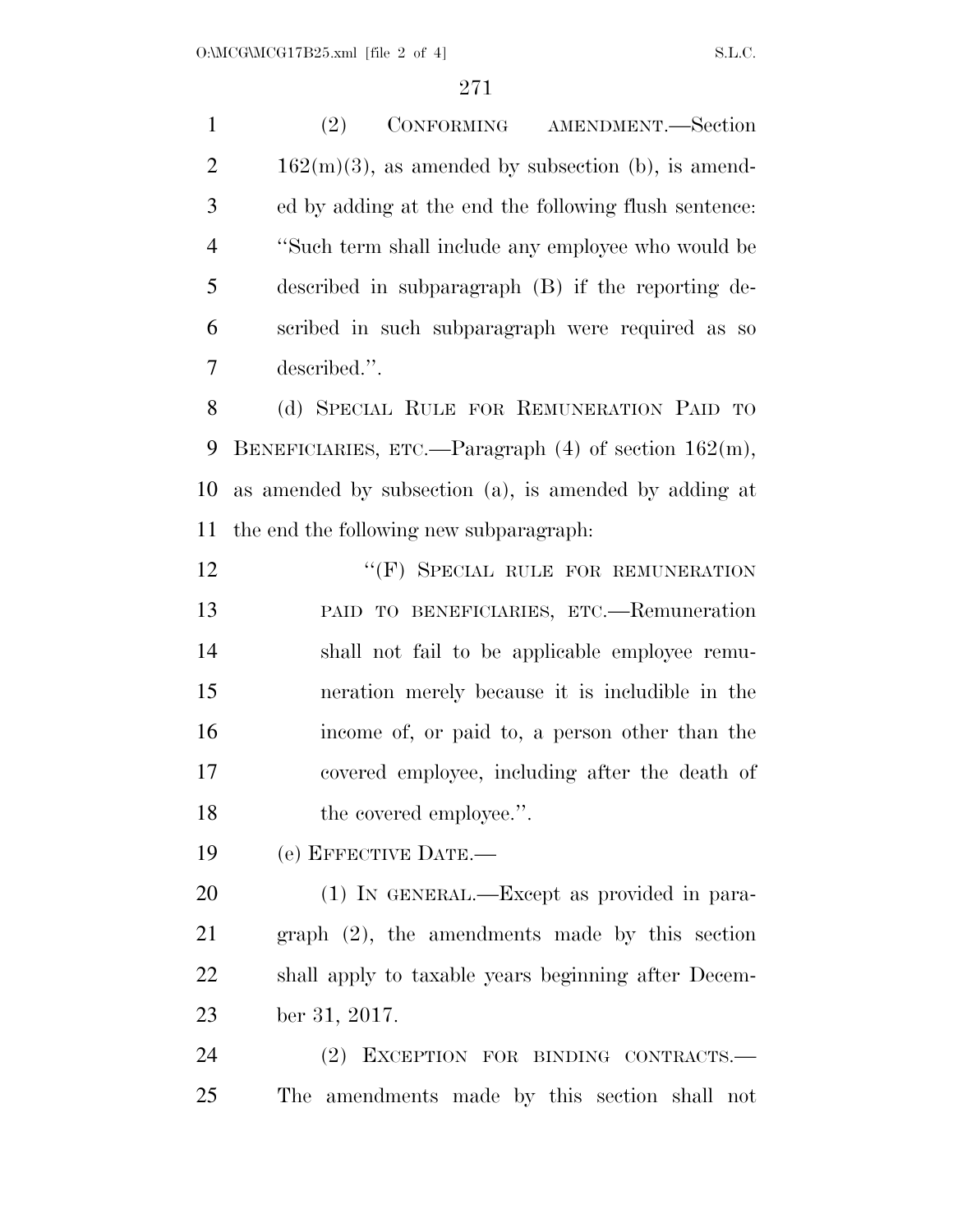(2) CONFORMING AMENDMENT.—Section  $2 \t 162(m)(3)$ , as amended by subsection (b), is amend- ed by adding at the end the following flush sentence: ''Such term shall include any employee who would be described in subparagraph (B) if the reporting de- scribed in such subparagraph were required as so described.''. (d) SPECIAL RULE FOR REMUNERATION PAID TO BENEFICIARIES, ETC.—Paragraph (4) of section 162(m), as amended by subsection (a), is amended by adding at the end the following new subparagraph: 12 "(F) SPECIAL RULE FOR REMUNERATION PAID TO BENEFICIARIES, ETC.—Remuneration shall not fail to be applicable employee remu- neration merely because it is includible in the income of, or paid to, a person other than the covered employee, including after the death of 18 the covered employee.". (e) EFFECTIVE DATE.— (1) IN GENERAL.—Except as provided in para- graph (2), the amendments made by this section shall apply to taxable years beginning after Decem-ber 31, 2017.

 (2) EXCEPTION FOR BINDING CONTRACTS.— The amendments made by this section shall not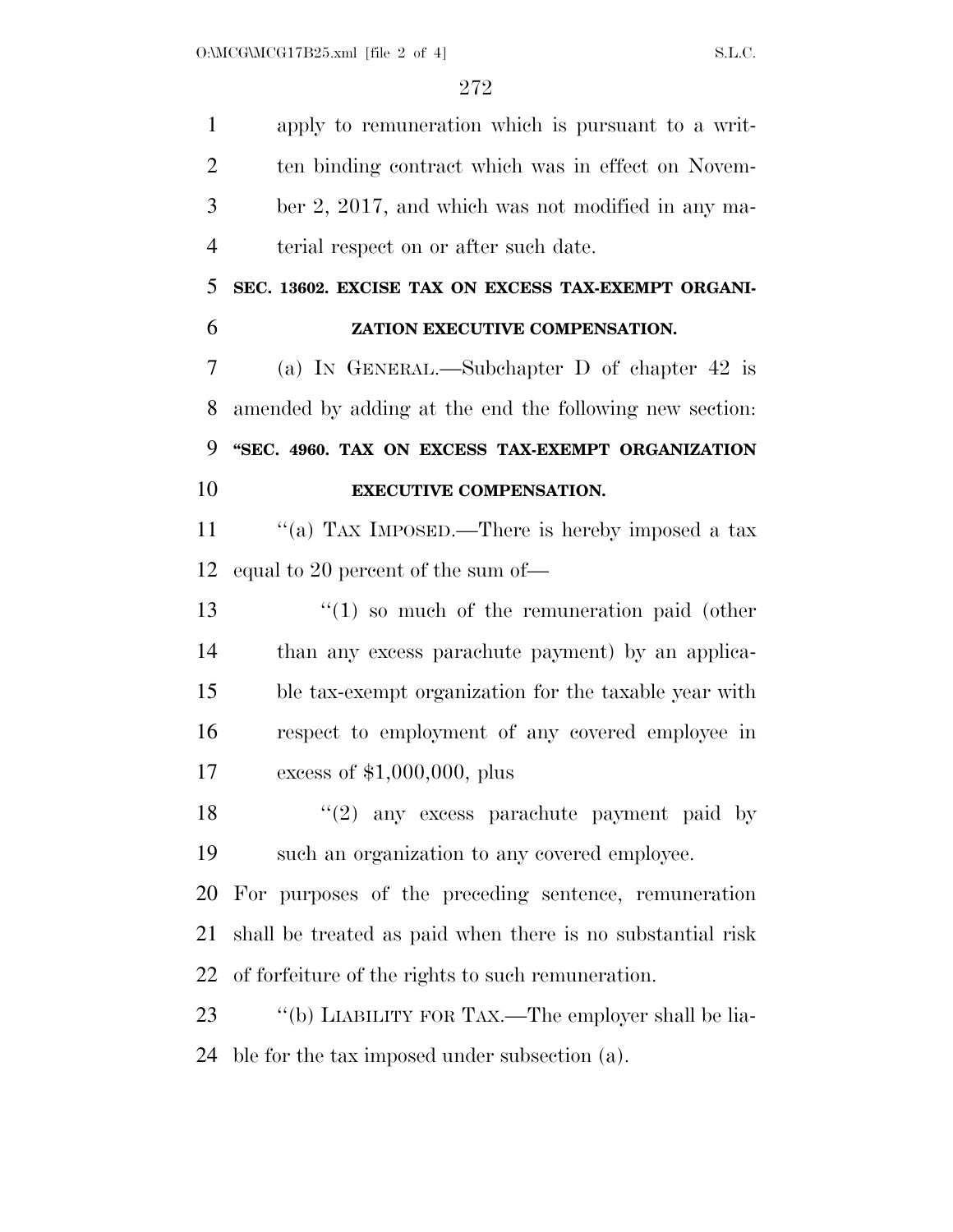apply to remuneration which is pursuant to a writ- ten binding contract which was in effect on Novem- ber 2, 2017, and which was not modified in any ma-terial respect on or after such date.

 **SEC. 13602. EXCISE TAX ON EXCESS TAX-EXEMPT ORGANI-ZATION EXECUTIVE COMPENSATION.** 

 (a) IN GENERAL.—Subchapter D of chapter 42 is amended by adding at the end the following new section: **''SEC. 4960. TAX ON EXCESS TAX-EXEMPT ORGANIZATION** 

### **EXECUTIVE COMPENSATION.**

11 "(a) TAX IMPOSED.—There is hereby imposed a tax equal to 20 percent of the sum of—

13 ''(1) so much of the remuneration paid (other than any excess parachute payment) by an applica- ble tax-exempt organization for the taxable year with respect to employment of any covered employee in excess of \$1,000,000, plus

18 ''(2) any excess parachute payment paid by such an organization to any covered employee.

 For purposes of the preceding sentence, remuneration shall be treated as paid when there is no substantial risk of forfeiture of the rights to such remuneration.

23 "(b) LIABILITY FOR TAX.—The employer shall be lia-ble for the tax imposed under subsection (a).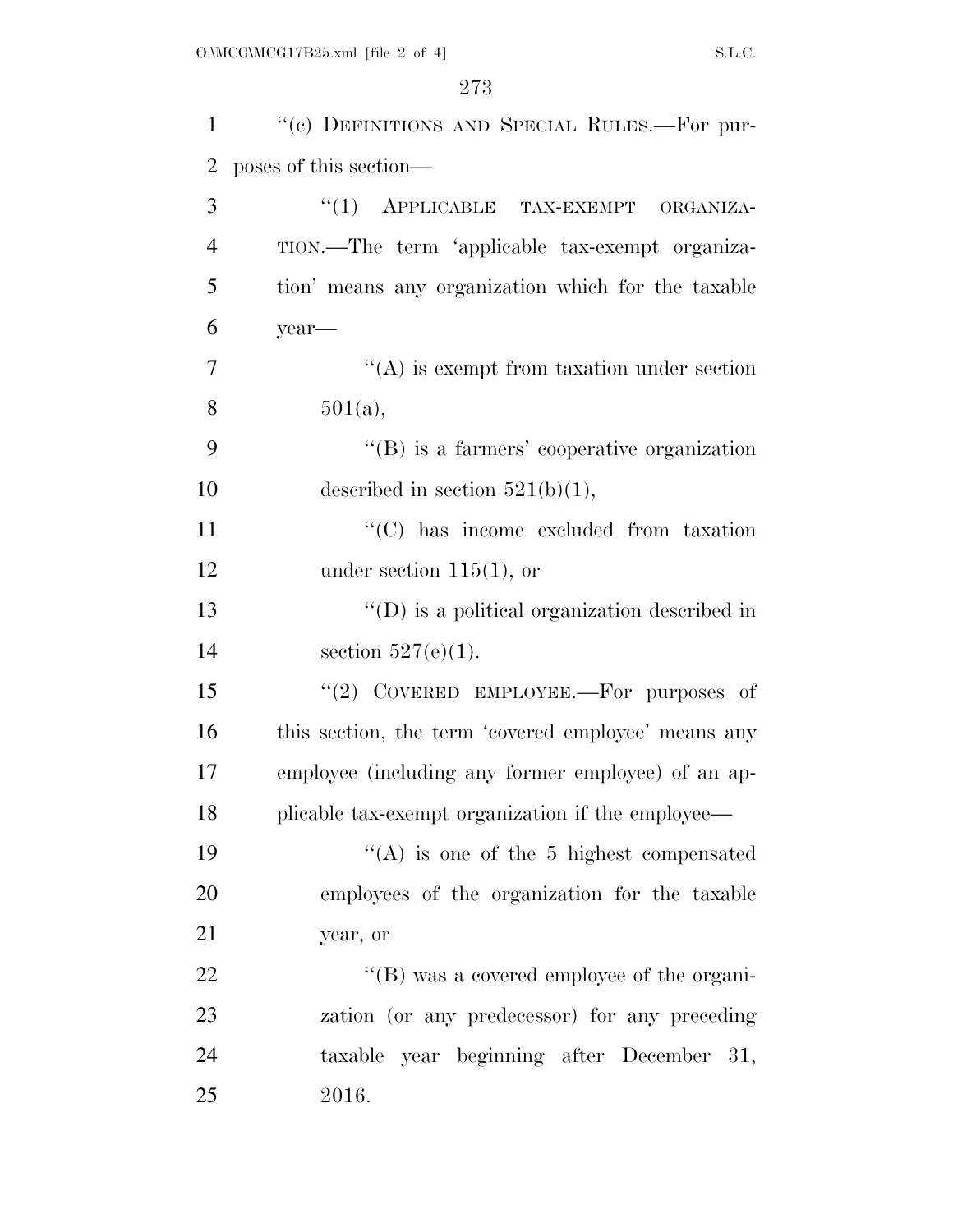| $\mathbf{1}$   | "(c) DEFINITIONS AND SPECIAL RULES.—For pur-          |
|----------------|-------------------------------------------------------|
| 2              | poses of this section—                                |
| 3              | "(1) APPLICABLE TAX-EXEMPT ORGANIZA-                  |
| $\overline{4}$ | TION.—The term 'applicable tax-exempt organiza-       |
| 5              | tion' means any organization which for the taxable    |
| 6              | year-                                                 |
| 7              | $\lq\lq$ is exempt from taxation under section        |
| 8              | 501(a),                                               |
| 9              | $\lq\lq$ is a farmers' cooperative organization       |
| 10             | described in section $521(b)(1)$ ,                    |
| 11             | "(C) has income excluded from taxation                |
| 12             | under section $115(1)$ , or                           |
| 13             | $\lq\lq$ (D) is a political organization described in |
| 14             | section $527(e)(1)$ .                                 |
| 15             | "(2) COVERED EMPLOYEE.—For purposes of                |
| 16             | this section, the term 'covered employee' means any   |
| 17             | employee (including any former employee) of an ap-    |
| 18             | plicable tax-exempt organization if the employee—     |
| 19             | $\lq\lq$ is one of the 5 highest compensated          |
| 20             | employees of the organization for the taxable         |
| 21             | year, or                                              |
| 22             | "(B) was a covered employee of the organi-            |
| 23             | zation (or any predecessor) for any preceding         |
| 24             | taxable year beginning after December 31,             |
| 25             | 2016.                                                 |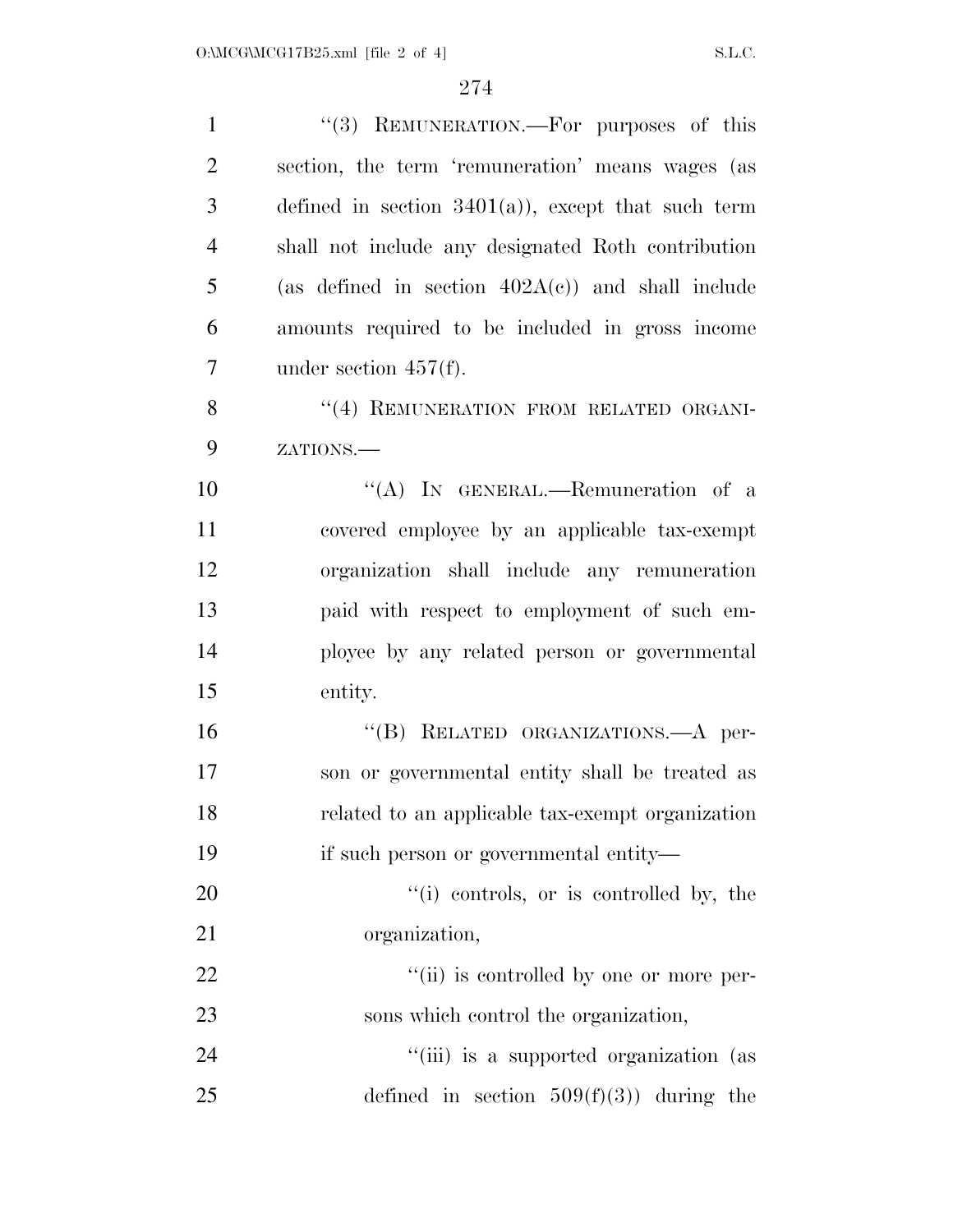| $\mathbf{1}$   | "(3) REMUNERATION.—For purposes of this              |
|----------------|------------------------------------------------------|
| $\overline{2}$ | section, the term 'remuneration' means wages (as     |
| 3              | defined in section $3401(a)$ , except that such term |
| $\overline{4}$ | shall not include any designated Roth contribution   |
| 5              | (as defined in section $402A(c)$ ) and shall include |
| 6              | amounts required to be included in gross income      |
| $\overline{7}$ | under section $457(f)$ .                             |
| 8              | "(4) REMUNERATION FROM RELATED ORGANI-               |
| 9              | ZATIONS.                                             |
| 10             | "(A) IN GENERAL.—Remuneration of a                   |
| 11             | covered employee by an applicable tax-exempt         |
| 12             | organization shall include any remuneration          |
| 13             | paid with respect to employment of such em-          |
| 14             | ployee by any related person or governmental         |
| 15             | entity.                                              |
| 16             | "(B) RELATED ORGANIZATIONS.—A per-                   |
| 17             | son or governmental entity shall be treated as       |
| 18             | related to an applicable tax-exempt organization     |
| 19             | if such person or governmental entity—               |
| 20             | "(i) controls, or is controlled by, the              |
| 21             | organization,                                        |
| 22             | "(ii) is controlled by one or more per-              |
| 23             | sons which control the organization,                 |
| 24             | "(iii) is a supported organization (as               |
| 25             | defined in section $509(f)(3)$ during the            |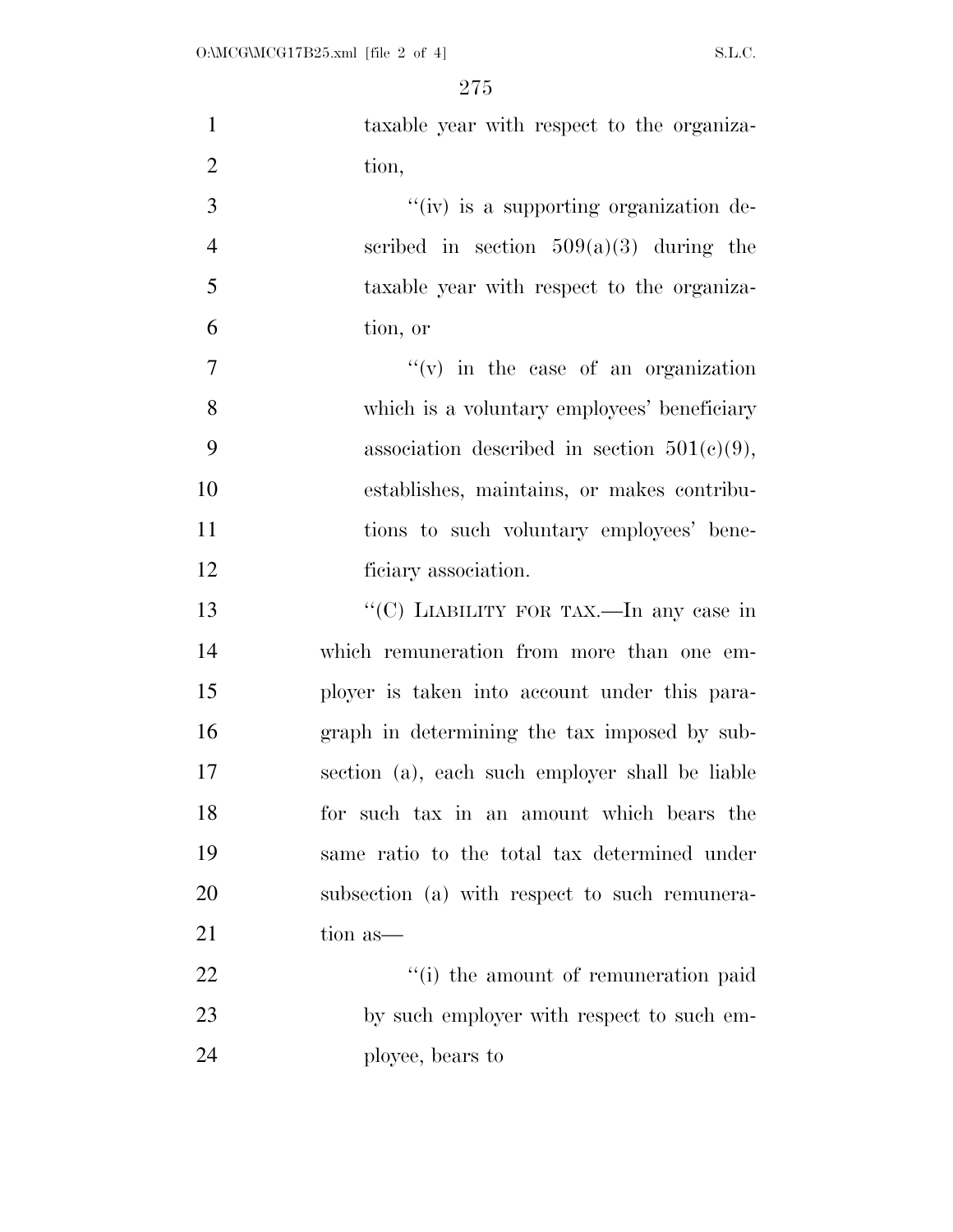| $\mathbf{1}$   | taxable year with respect to the organiza-      |
|----------------|-------------------------------------------------|
| $\overline{2}$ | tion,                                           |
| 3              | "(iv) is a supporting organization de-          |
| $\overline{4}$ | scribed in section $509(a)(3)$ during the       |
| 5              | taxable year with respect to the organiza-      |
| 6              | tion, or                                        |
| $\overline{7}$ | $f'(v)$ in the case of an organization          |
| 8              | which is a voluntary employees' beneficiary     |
| 9              | association described in section $501(c)(9)$ ,  |
| 10             | establishes, maintains, or makes contribu-      |
| 11             | tions to such voluntary employees' bene-        |
| 12             | ficiary association.                            |
| 13             | "(C) LIABILITY FOR TAX.—In any case in          |
| 14             | which remuneration from more than one em-       |
| 15             | ployer is taken into account under this para-   |
| 16             | graph in determining the tax imposed by sub-    |
| 17             | section (a), each such employer shall be liable |
| 18             | for such tax in an amount which bears the       |
| 19             | same ratio to the total tax determined under    |
| 20             | subsection (a) with respect to such remunera-   |
| 21             | tion as—                                        |
| 22             | "(i) the amount of remuneration paid            |
| 23             | by such employer with respect to such em-       |
| 24             | ployee, bears to                                |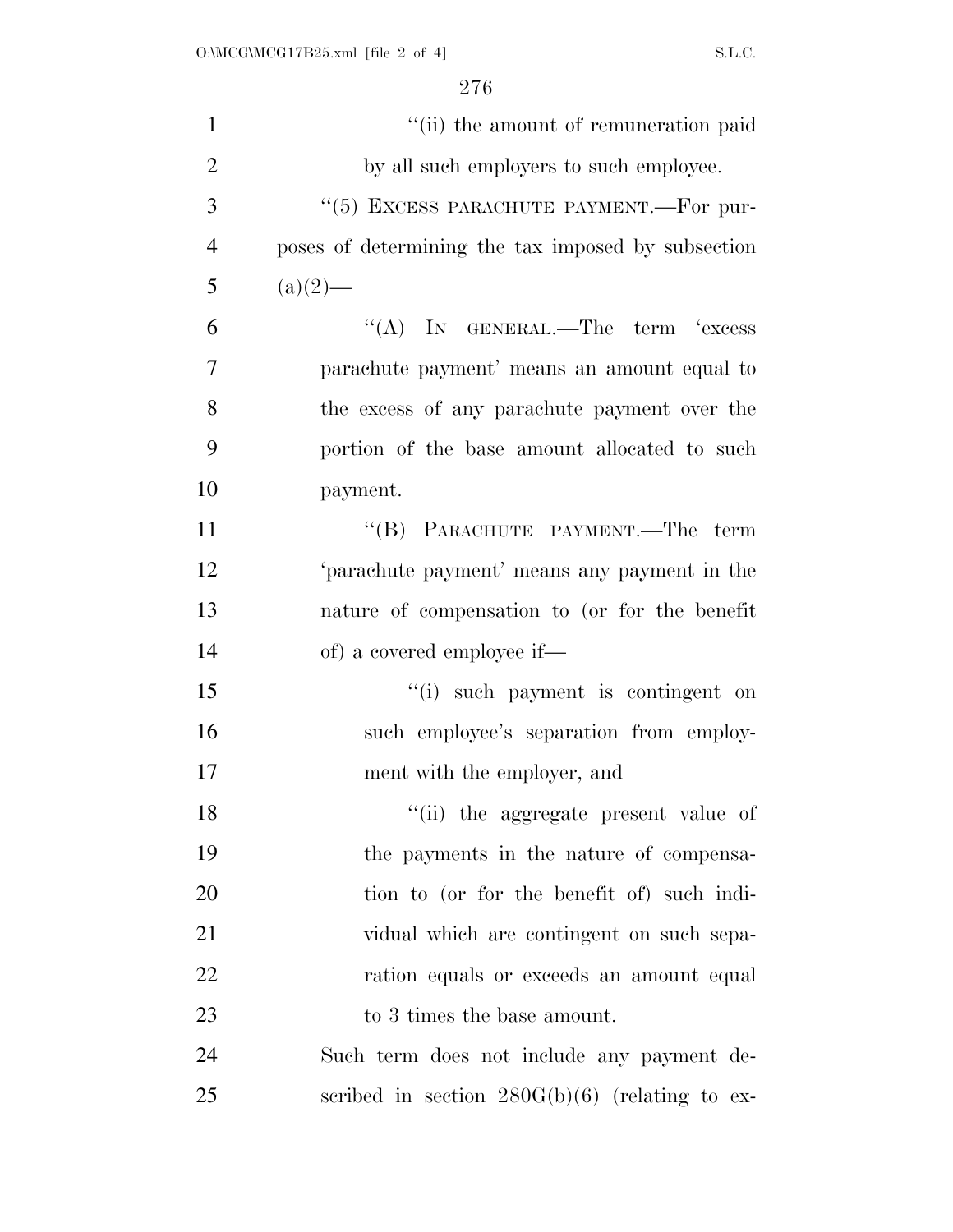| $\mathbf{1}$   | "(ii) the amount of remuneration paid              |
|----------------|----------------------------------------------------|
| $\overline{2}$ | by all such employers to such employee.            |
| 3              | "(5) EXCESS PARACHUTE PAYMENT.—For pur-            |
| $\overline{4}$ | poses of determining the tax imposed by subsection |
| 5              | $(a)(2)$ —                                         |
| 6              | $\lq\lq$ (A) IN GENERAL.—The term 'excess          |
| 7              | parachute payment' means an amount equal to        |
| 8              | the excess of any parachute payment over the       |
| 9              | portion of the base amount allocated to such       |
| 10             | payment.                                           |
| 11             | "(B) PARACHUTE PAYMENT.—The term                   |
| 12             | 'parachute payment' means any payment in the       |
| 13             | nature of compensation to (or for the benefit      |
| 14             | of) a covered employee if—                         |
| 15             | "(i) such payment is contingent on                 |
| 16             | such employee's separation from employ-            |
| 17             | ment with the employer, and                        |
| 18             | "(ii) the aggregate present value of               |
| 19             | the payments in the nature of compensa-            |
| 20             | tion to (or for the benefit of) such indi-         |
| 21             | vidual which are contingent on such sepa-          |
| 22             | ration equals or exceeds an amount equal           |
| 23             | to 3 times the base amount.                        |
| 24             | Such term does not include any payment de-         |
| 25             | scribed in section $280G(b)(6)$ (relating to ex-   |
|                |                                                    |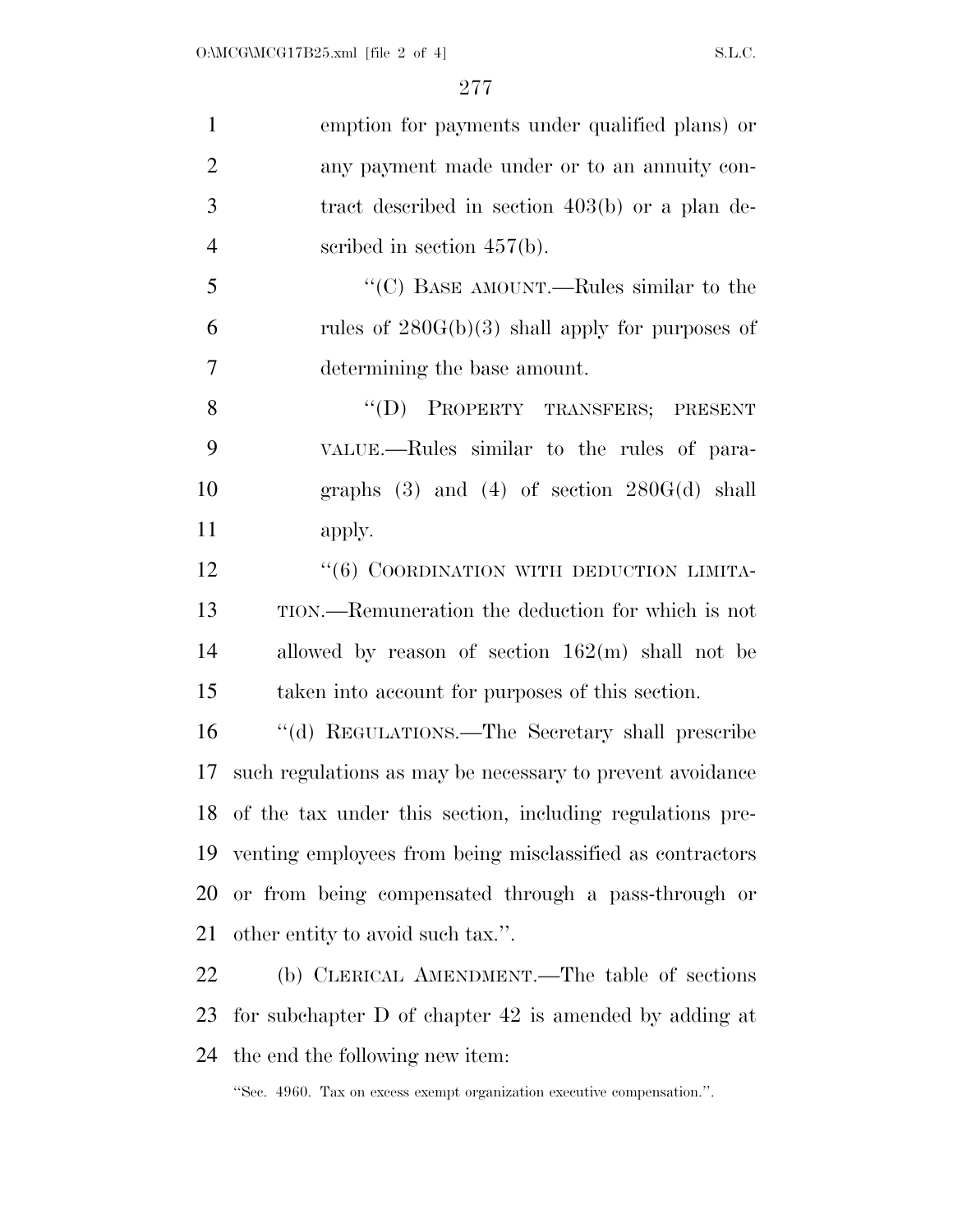| $\mathbf{1}$   | emption for payments under qualified plans) or               |
|----------------|--------------------------------------------------------------|
| $\overline{2}$ | any payment made under or to an annuity con-                 |
| 3              | tract described in section $403(b)$ or a plan de-            |
| $\overline{4}$ | scribed in section $457(b)$ .                                |
| 5              | "(C) BASE AMOUNT.—Rules similar to the                       |
| 6              | rules of $280G(b)(3)$ shall apply for purposes of            |
| $\overline{7}$ | determining the base amount.                                 |
| 8              | "(D) PROPERTY TRANSFERS; PRESENT                             |
| 9              | VALUE.—Rules similar to the rules of para-                   |
| 10             | graphs $(3)$ and $(4)$ of section $280G(d)$ shall            |
| 11             | apply.                                                       |
| 12             | "(6) COORDINATION WITH DEDUCTION LIMITA-                     |
| 13             | TION.—Remuneration the deduction for which is not            |
| 14             | allowed by reason of section $162(m)$ shall not be           |
| 15             | taken into account for purposes of this section.             |
| 16             | "(d) REGULATIONS.—The Secretary shall prescribe              |
| 17             | such regulations as may be necessary to prevent avoidance    |
|                | 18 of the tax under this section, including regulations pre- |
| 19             | venting employees from being misclassified as contractors    |
| 20             | or from being compensated through a pass-through or          |
| 21             | other entity to avoid such tax.".                            |
| 22             | (b) CLERICAL AMENDMENT.—The table of sections                |
| 23             | for subchapter $D$ of chapter $42$ is amended by adding at   |

the end the following new item:

''Sec. 4960. Tax on excess exempt organization executive compensation.''.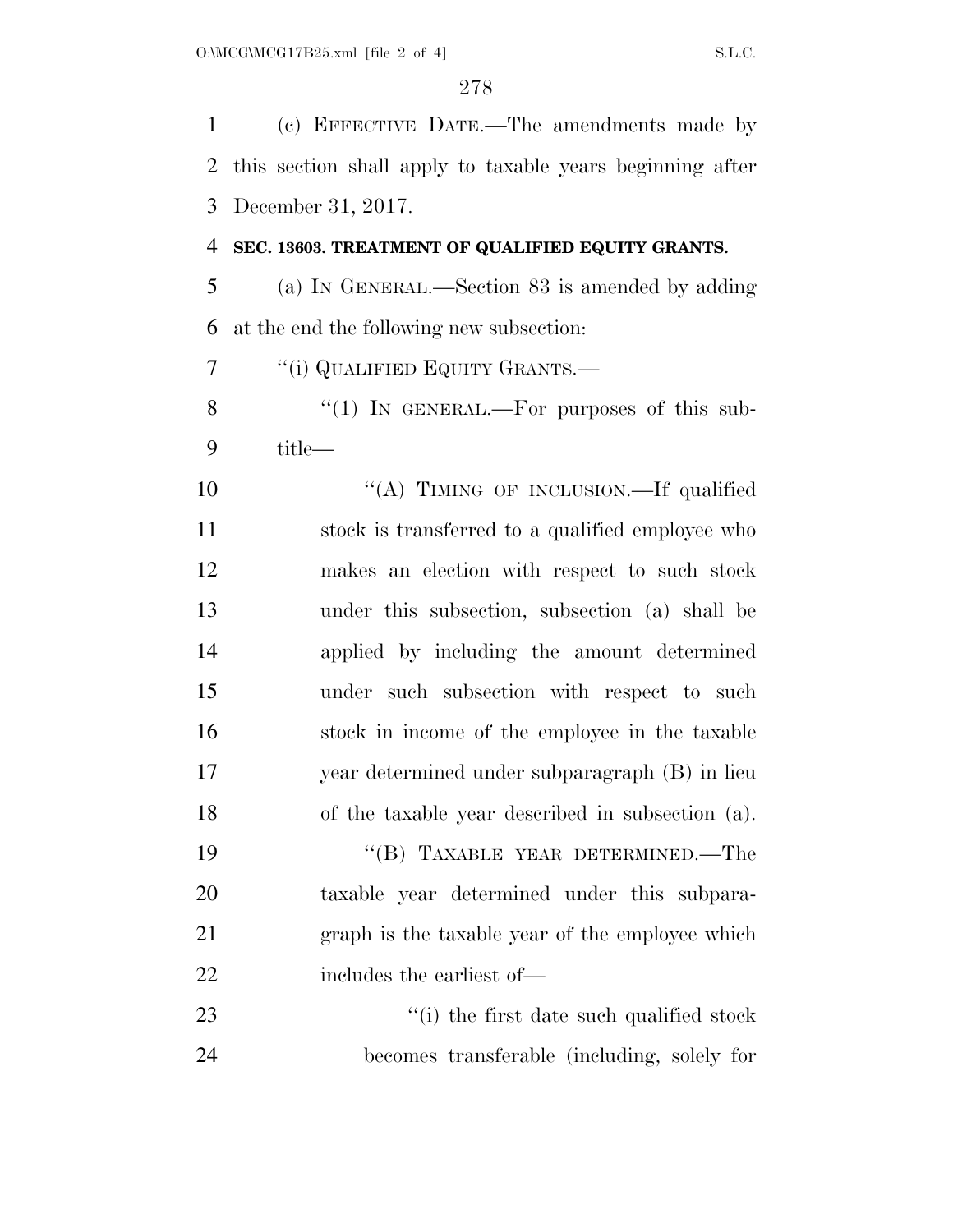(c) EFFECTIVE DATE.—The amendments made by this section shall apply to taxable years beginning after December 31, 2017.

#### **SEC. 13603. TREATMENT OF QUALIFIED EQUITY GRANTS.**

 (a) IN GENERAL.—Section 83 is amended by adding at the end the following new subsection:

''(i) QUALIFIED EQUITY GRANTS.—

8 "(1) In GENERAL.—For purposes of this sub-title—

10 "(A) TIMING OF INCLUSION.—If qualified stock is transferred to a qualified employee who makes an election with respect to such stock under this subsection, subsection (a) shall be applied by including the amount determined under such subsection with respect to such stock in income of the employee in the taxable year determined under subparagraph (B) in lieu of the taxable year described in subsection (a).

19 "(B) TAXABLE YEAR DETERMINED.—The taxable year determined under this subpara- graph is the taxable year of the employee which 22 includes the earliest of —

23 ''(i) the first date such qualified stock becomes transferable (including, solely for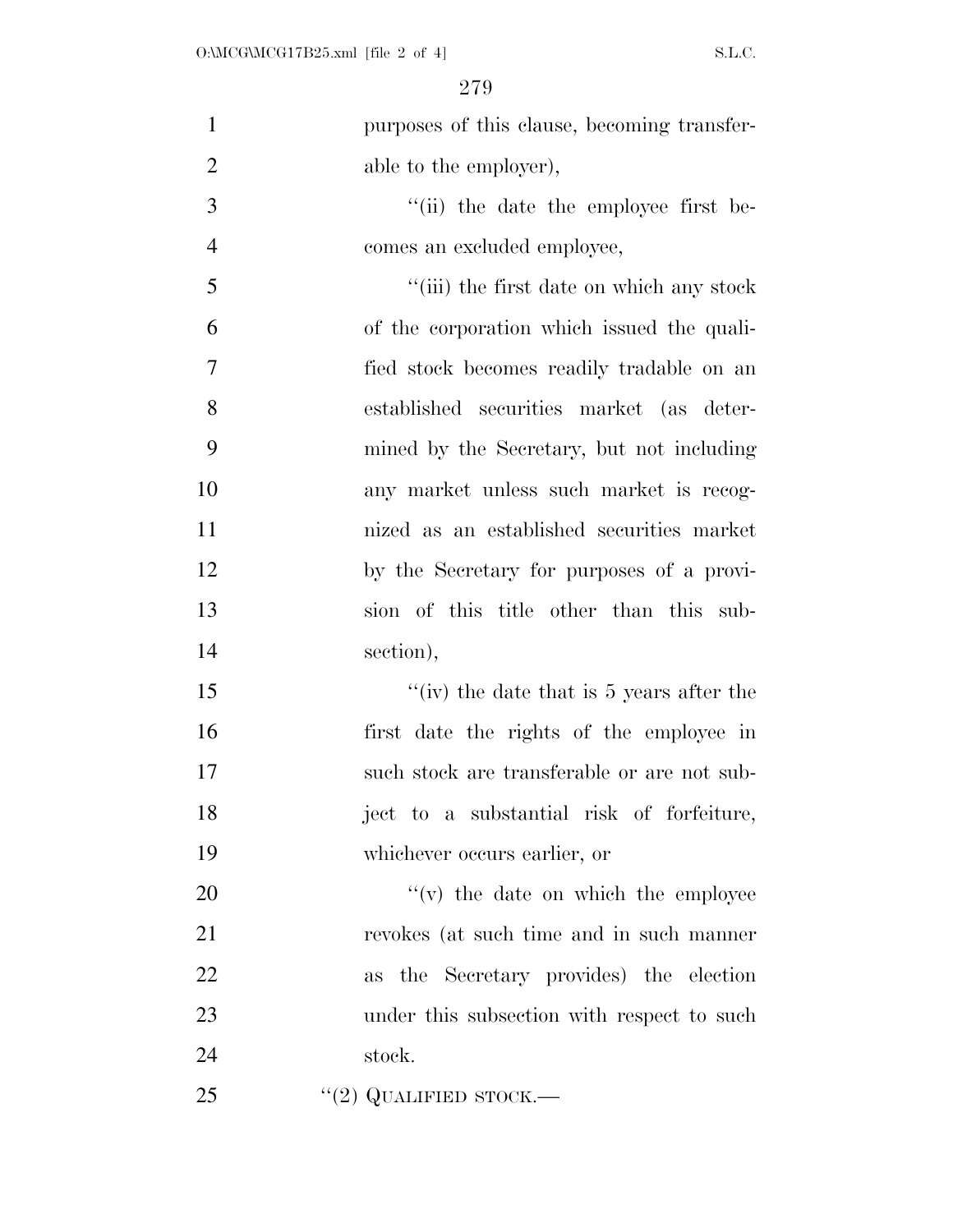| $\mathbf{1}$   | purposes of this clause, becoming transfer- |
|----------------|---------------------------------------------|
| $\overline{2}$ | able to the employer),                      |
| 3              | "(ii) the date the employee first be-       |
| $\overline{4}$ | comes an excluded employee,                 |
| 5              | "(iii) the first date on which any stock    |
| 6              | of the corporation which issued the quali-  |
| $\overline{7}$ | fied stock becomes readily tradable on an   |
| 8              | established securities market (as deter-    |
| 9              | mined by the Secretary, but not including   |
| 10             | any market unless such market is recog-     |
| 11             | nized as an established securities market   |
| 12             | by the Secretary for purposes of a provi-   |
| 13             | sion of this title other than this sub-     |
| 14             | section),                                   |
| 15             | "(iv) the date that is $5$ years after the  |
| 16             | first date the rights of the employee in    |
| 17             | such stock are transferable or are not sub- |
| 18             | ject to a substantial risk of forfeiture,   |
| 19             | whichever occurs earlier, or                |
| 20             | $f'(v)$ the date on which the employee      |
| 21             | revokes (at such time and in such manner    |
| 22             | as the Secretary provides) the election     |
| 23             | under this subsection with respect to such  |
| 24             | stock.                                      |
| 25             | "(2) QUALIFIED STOCK.—                      |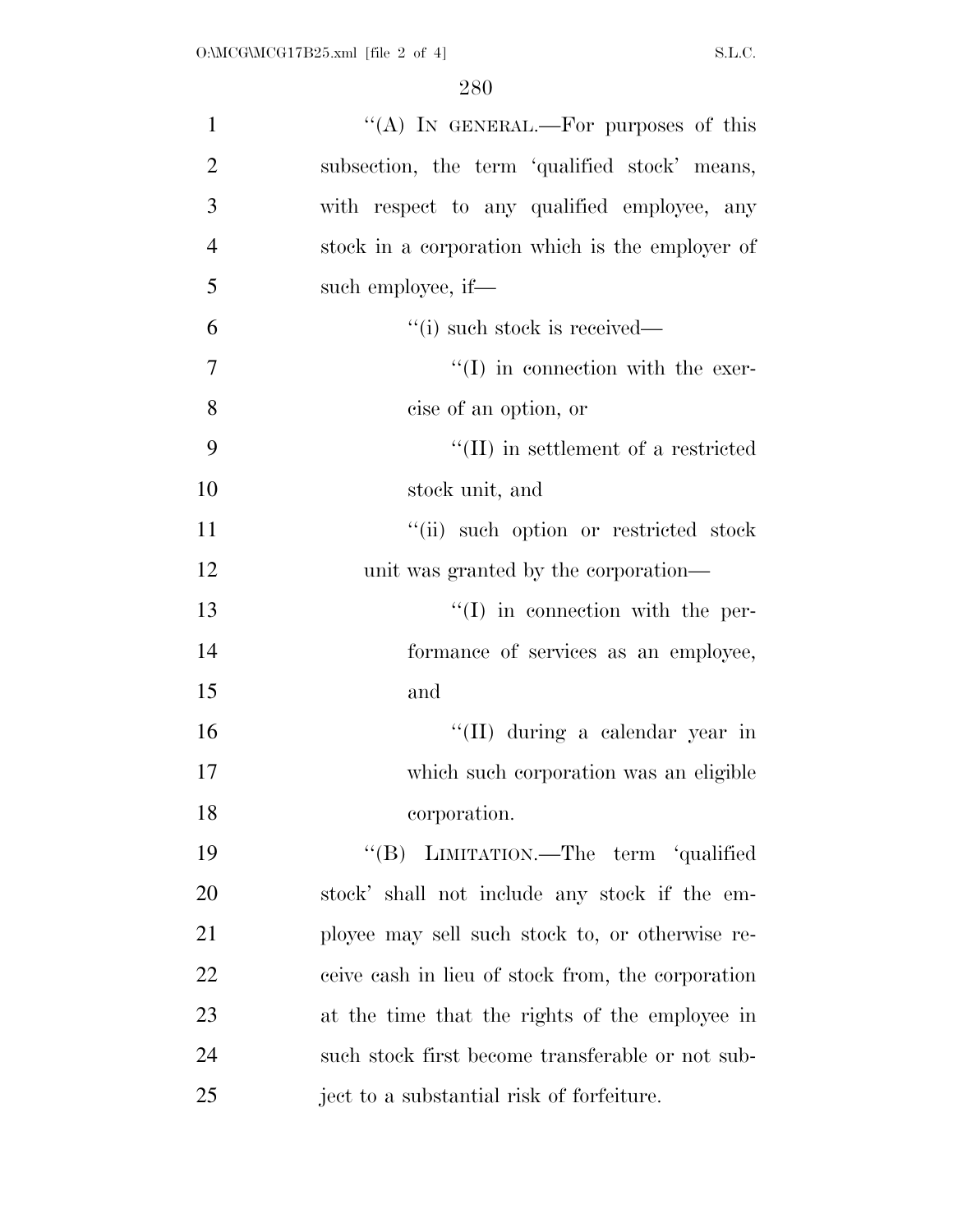| $\mathbf{1}$   | "(A) IN GENERAL.—For purposes of this             |
|----------------|---------------------------------------------------|
| $\overline{2}$ | subsection, the term 'qualified stock' means,     |
| 3              | with respect to any qualified employee, any       |
| $\overline{4}$ | stock in a corporation which is the employer of   |
| 5              | such employee, if—                                |
| 6              | $\lq$ <sup>"</sup> (i) such stock is received—    |
| 7              | $\lq\lq$ (I) in connection with the exer-         |
| 8              | cise of an option, or                             |
| 9              | $\lq\lq$ (II) in settlement of a restricted       |
| 10             | stock unit, and                                   |
| 11             | "(ii) such option or restricted stock             |
| 12             | unit was granted by the corporation—              |
| 13             | $\lq\lq$ (I) in connection with the per-          |
| 14             | formance of services as an employee,              |
| 15             | and                                               |
| 16             | "(II) during a calendar year in                   |
| 17             | which such corporation was an eligible            |
| 18             | corporation.                                      |
| 19             | "(B) LIMITATION.—The term 'qualified              |
| 20             | stock' shall not include any stock if the em-     |
| 21             | ployee may sell such stock to, or otherwise re-   |
| 22             | ceive cash in lieu of stock from, the corporation |
| 23             | at the time that the rights of the employee in    |
| 24             | such stock first become transferable or not sub-  |
| 25             | ject to a substantial risk of forfeiture.         |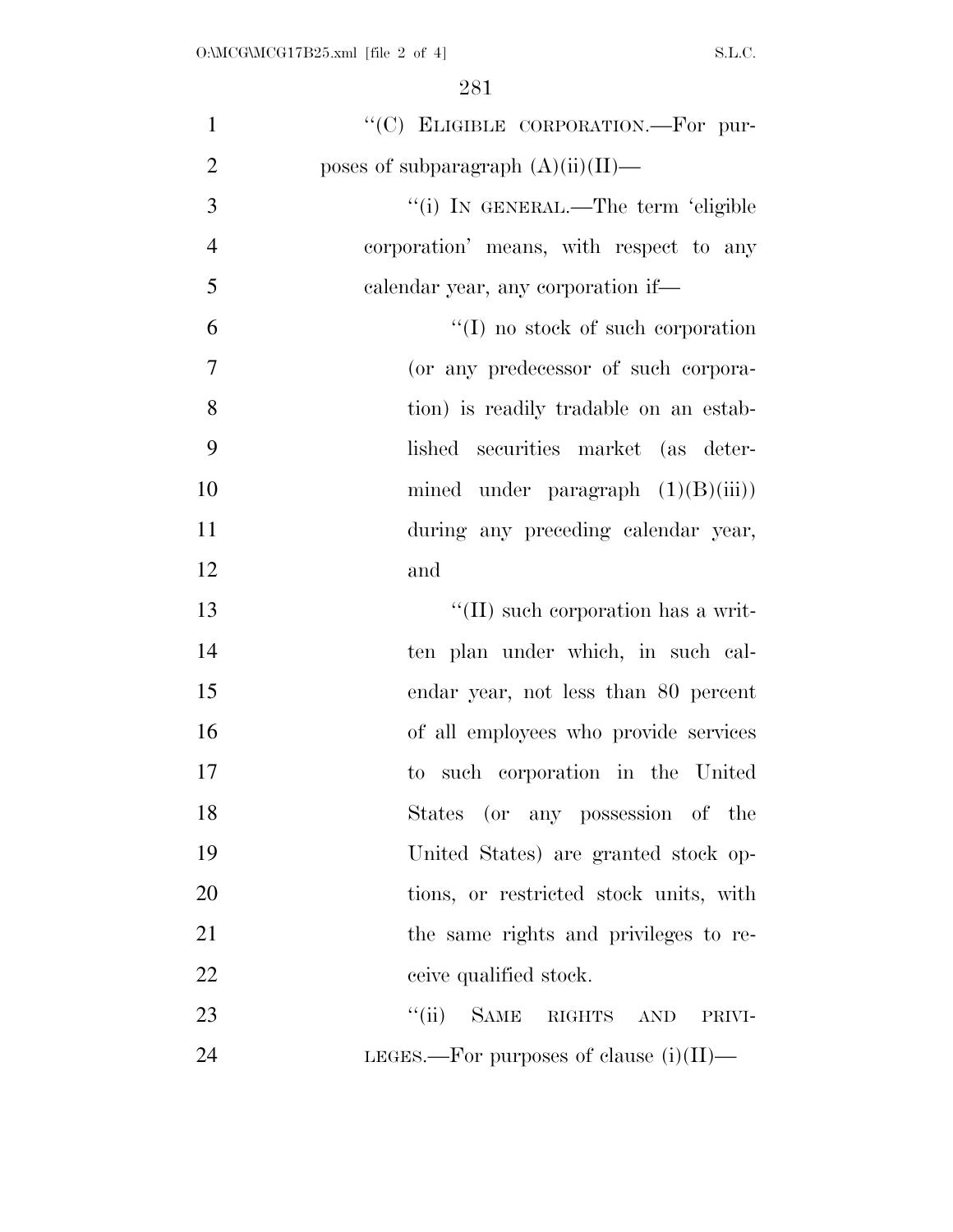| $\mathbf{1}$   | "(C) ELIGIBLE CORPORATION.-For pur-           |
|----------------|-----------------------------------------------|
| $\overline{2}$ | poses of subparagraph $(A)(ii)(II)$ —         |
| 3              | "(i) IN GENERAL.—The term 'eligible           |
| $\overline{4}$ | corporation' means, with respect to any       |
| 5              | calendar year, any corporation if—            |
| 6              | $\lq\lq$ (I) no stock of such corporation     |
| $\overline{7}$ | (or any predecessor of such corpora-          |
| 8              | tion) is readily tradable on an estab-        |
| 9              | lished securities market (as deter-           |
| 10             | mined under paragraph $(1)(B)(iii)$           |
| 11             | during any preceding calendar year,           |
| 12             | and                                           |
| 13             | $\lq\lq$ (II) such corporation has a writ-    |
| 14             | ten plan under which, in such cal-            |
| 15             | endar year, not less than 80 percent          |
| 16             | of all employees who provide services         |
| 17             | to such corporation in the United             |
| 18             | States (or any possession of the              |
| 19             | United States) are granted stock op-          |
| 20             | tions, or restricted stock units, with        |
| 21             | the same rights and privileges to re-         |
| 22             | ceive qualified stock.                        |
| 23             | ``(ii)<br><b>SAME</b><br>RIGHTS AND<br>PRIVI- |
| 24             | LEGES.—For purposes of clause $(i)(II)$ —     |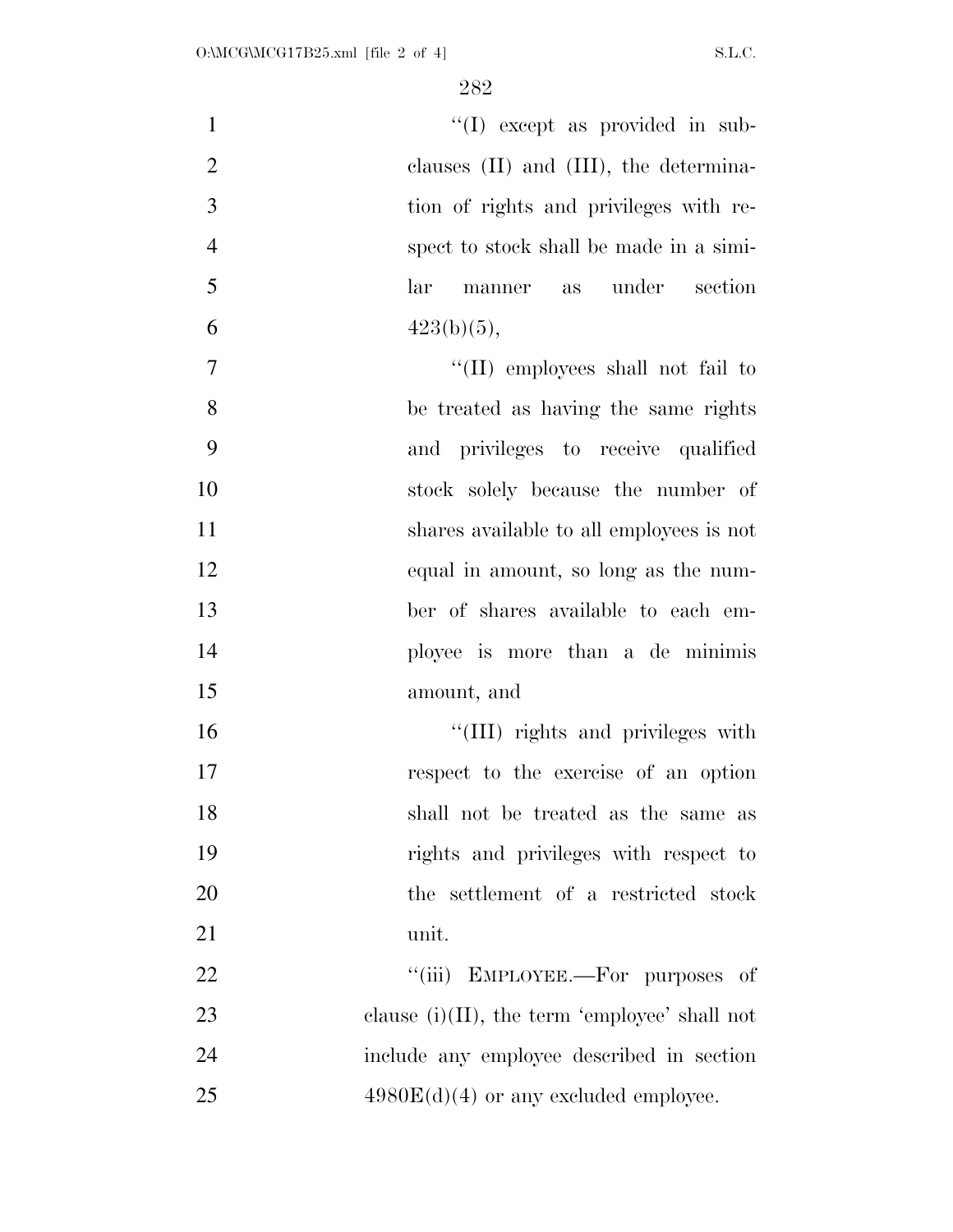| $\mathbf{1}$   | "(I) except as provided in sub-                  |
|----------------|--------------------------------------------------|
| $\overline{2}$ | clauses $(II)$ and $(III)$ , the determina-      |
| 3              | tion of rights and privileges with re-           |
| $\overline{4}$ | spect to stock shall be made in a simi-          |
| 5              | under<br>section<br>lar<br>manner as             |
| 6              | $423(b)(5)$ ,                                    |
| $\overline{7}$ | "(II) employees shall not fail to                |
| 8              | be treated as having the same rights             |
| 9              | and privileges to receive qualified              |
| 10             | stock solely because the number of               |
| 11             | shares available to all employees is not         |
| 12             | equal in amount, so long as the num-             |
| 13             | ber of shares available to each em-              |
| 14             | ployee is more than a de minimis                 |
| 15             | amount, and                                      |
| 16             | "(III) rights and privileges with                |
| 17             | respect to the exercise of an option             |
| 18             | shall not be treated as the same as              |
| 19             | rights and privileges with respect to            |
| 20             | the settlement of a restricted stock             |
| 21             | unit.                                            |
| 22             | ``(iii)<br>EMPLOYEE.—For purposes of             |
| 23             | clause $(i)(II)$ , the term 'employee' shall not |
| 24             | include any employee described in section        |
| 25             | $4980E(d)(4)$ or any excluded employee.          |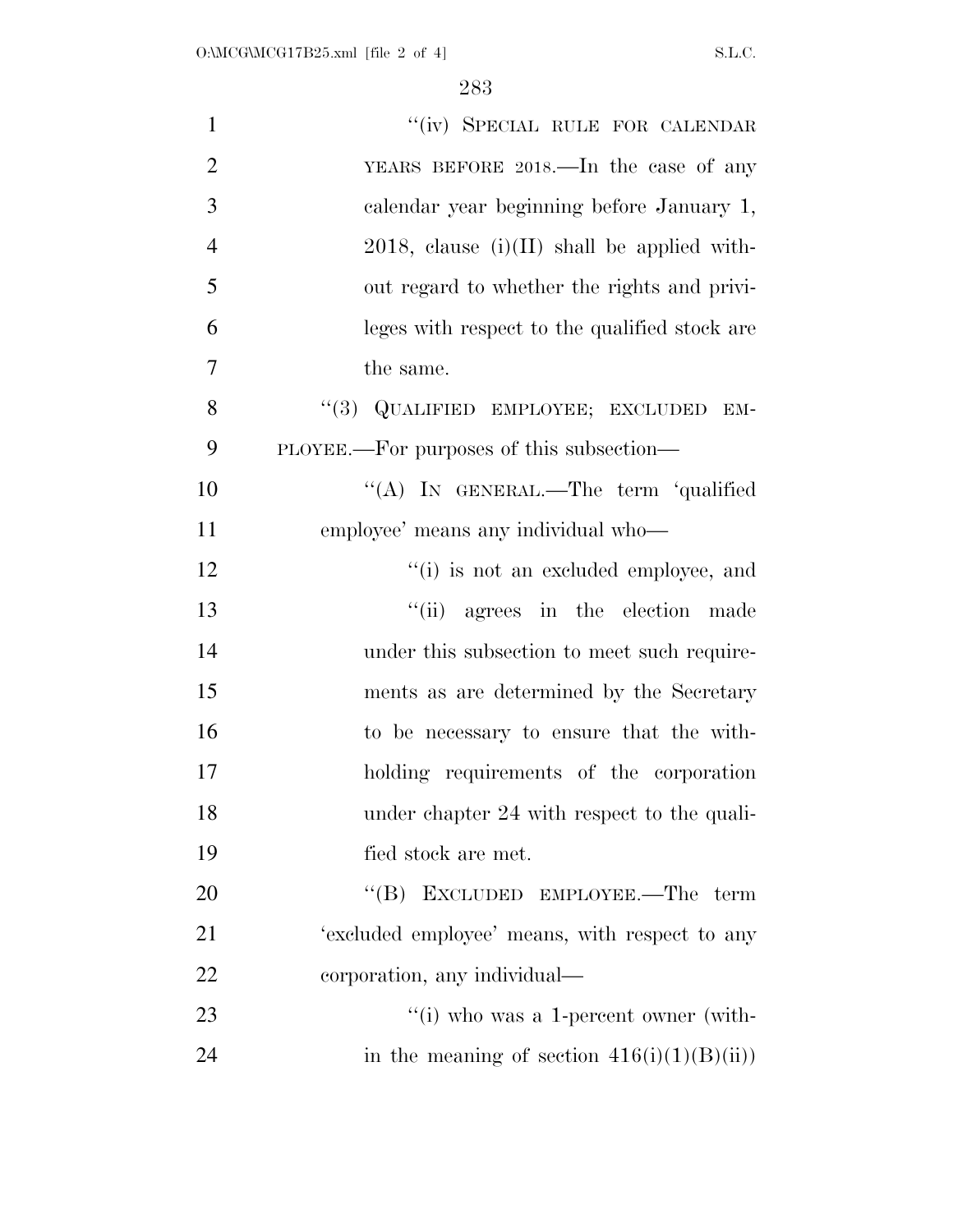| $\mathbf{1}$   | "(iv) SPECIAL RULE FOR CALENDAR                |
|----------------|------------------------------------------------|
| $\overline{2}$ | YEARS BEFORE 2018.—In the case of any          |
| 3              | calendar year beginning before January 1,      |
| $\overline{4}$ | $2018$ , clause (i)(II) shall be applied with- |
| 5              | out regard to whether the rights and privi-    |
| 6              | leges with respect to the qualified stock are  |
| $\overline{7}$ | the same.                                      |
| 8              | "(3) QUALIFIED EMPLOYEE; EXCLUDED EM-          |
| 9              | PLOYEE.—For purposes of this subsection—       |
| 10             | "(A) IN GENERAL.—The term 'qualified           |
| 11             | employee' means any individual who-            |
| 12             | "(i) is not an excluded employee, and          |
| 13             | "(ii) agrees in the election made              |
| 14             | under this subsection to meet such require-    |
| 15             | ments as are determined by the Secretary       |
| 16             | to be necessary to ensure that the with-       |
| 17             | holding requirements of the corporation        |
| 18             | under chapter 24 with respect to the quali-    |
| 19             | fied stock are met.                            |
| 20             | "(B) EXCLUDED EMPLOYEE.—The term               |
| 21             | 'excluded employee' means, with respect to any |
| 22             | corporation, any individual—                   |
| 23             | $\lq\lq$ (i) who was a 1-percent owner (with-  |
| 24             | in the meaning of section $416(i)(1)(B(ii))$   |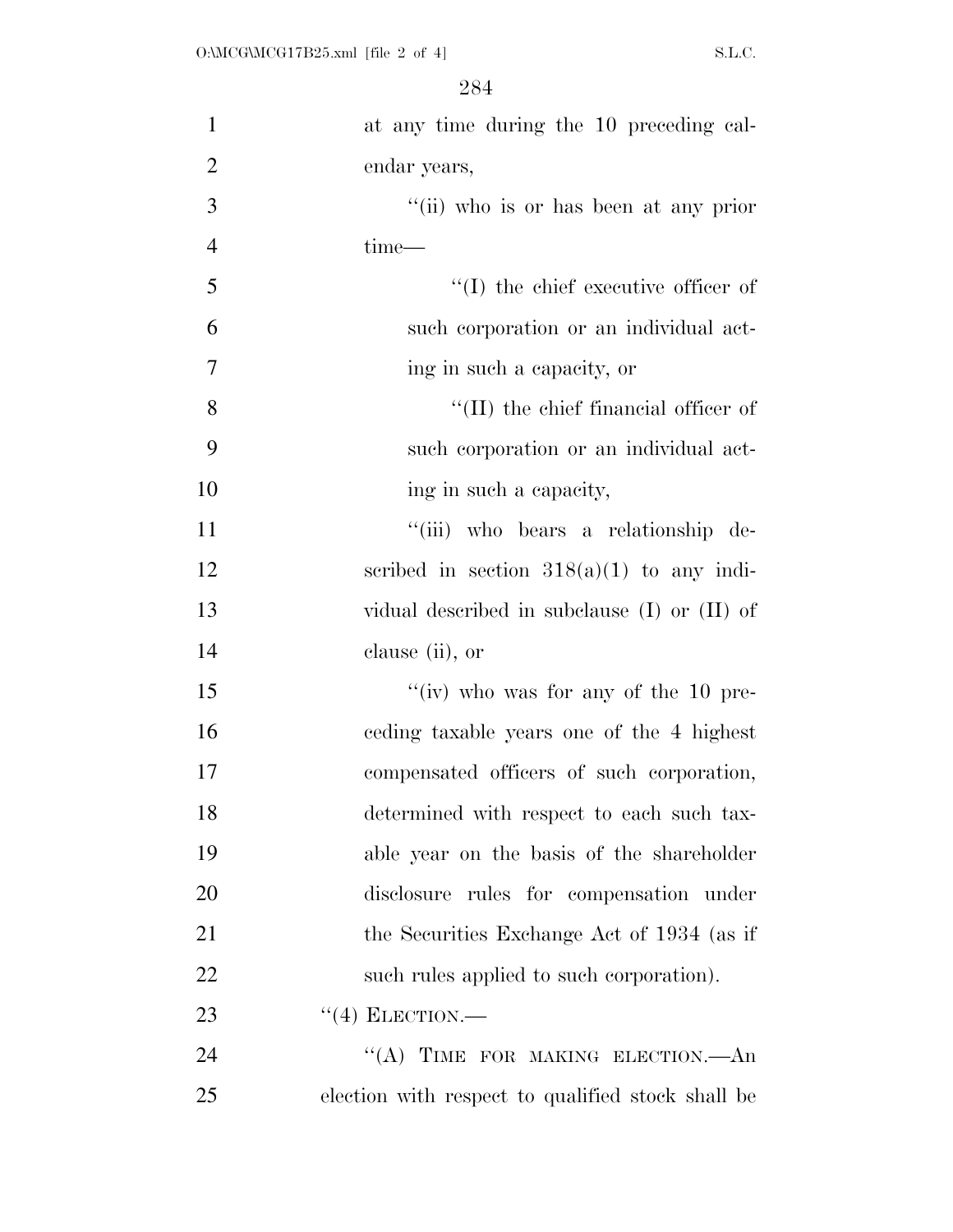| $\mathbf{1}$   | at any time during the 10 preceding cal-          |
|----------------|---------------------------------------------------|
| $\overline{2}$ | endar years,                                      |
| 3              | "(ii) who is or has been at any prior             |
| $\overline{4}$ | time-                                             |
| 5              | $\lq\lq$ (I) the chief executive officer of       |
| 6              | such corporation or an individual act-            |
| $\tau$         | ing in such a capacity, or                        |
| 8              | $\lq$ (II) the chief financial officer of         |
| 9              | such corporation or an individual act-            |
| 10             | ing in such a capacity,                           |
| 11             | "(iii) who bears a relationship de-               |
| 12             | scribed in section $318(a)(1)$ to any indi-       |
| 13             | vidual described in subclause $(I)$ or $(II)$ of  |
| 14             | clause (ii), or                                   |
| 15             | "(iv) who was for any of the 10 pre-              |
| 16             | ceding taxable years one of the 4 highest         |
| 17             | compensated officers of such corporation,         |
| 18             | determined with respect to each such tax-         |
| 19             | able year on the basis of the shareholder         |
| 20             | disclosure rules for compensation under           |
| 21             | the Securities Exchange Act of 1934 (as if        |
| 22             | such rules applied to such corporation).          |
| 23             | $``(4)$ ELECTION.—                                |
| 24             | "(A) TIME FOR MAKING ELECTION.—An                 |
| 25             | election with respect to qualified stock shall be |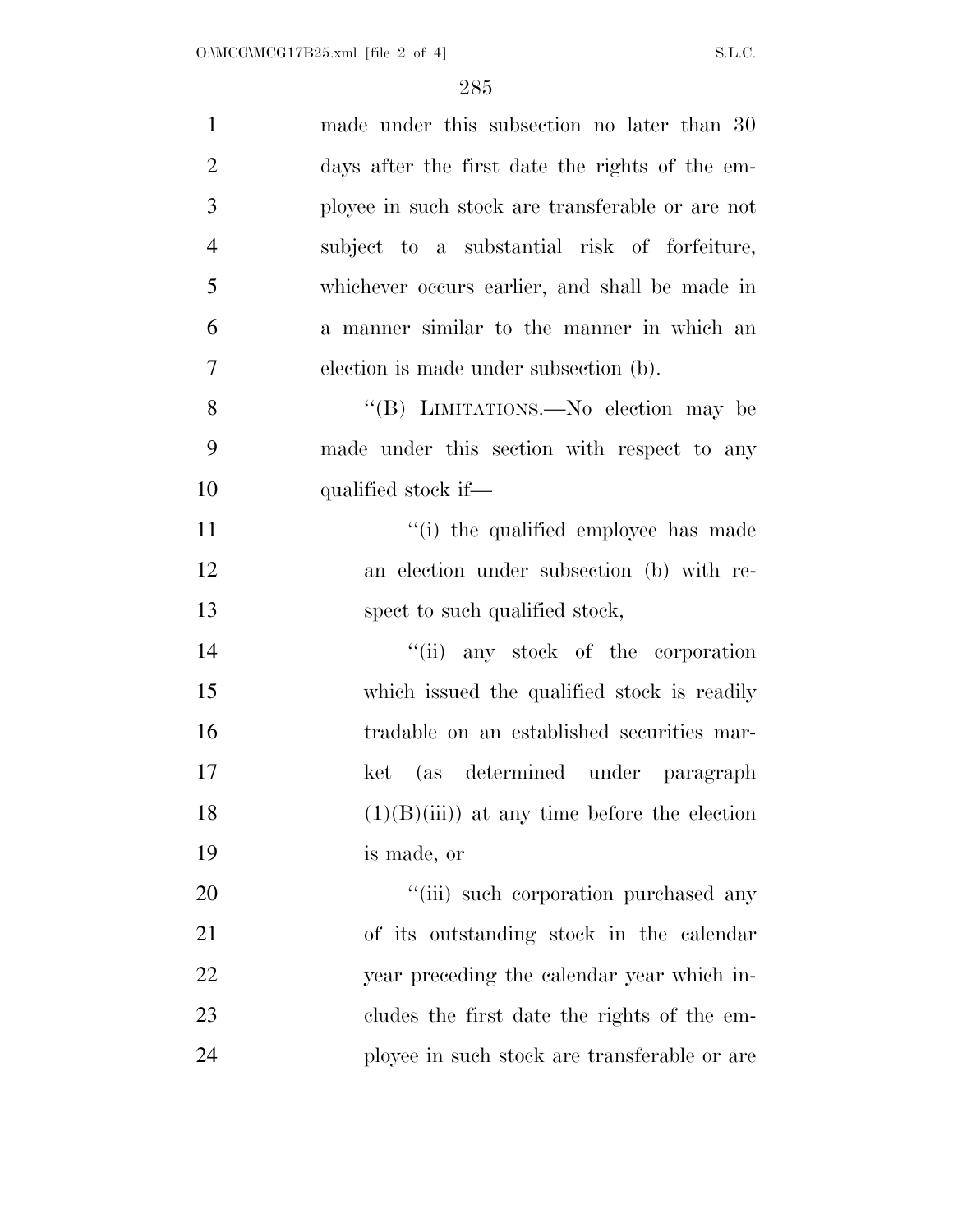| $\mathbf{1}$   | made under this subsection no later than 30      |
|----------------|--------------------------------------------------|
| $\overline{2}$ | days after the first date the rights of the em-  |
| 3              | ployee in such stock are transferable or are not |
| $\overline{4}$ | subject to a substantial risk of forfeiture,     |
| 5              | whichever occurs earlier, and shall be made in   |
| 6              | a manner similar to the manner in which an       |
| 7              | election is made under subsection (b).           |
| 8              | "(B) LIMITATIONS.—No election may be             |
| 9              | made under this section with respect to any      |
| 10             | qualified stock if—                              |
| 11             | "(i) the qualified employee has made             |
| 12             | an election under subsection (b) with re-        |
| 13             | spect to such qualified stock,                   |
| 14             | "(ii) any stock of the corporation               |
| 15             | which issued the qualified stock is readily      |
| 16             | tradable on an established securities mar-       |
| 17             | ket (as determined under paragraph               |
| 18             | $(1)(B)(iii)$ at any time before the election    |
| 19             | is made, or                                      |
| 20             | "(iii) such corporation purchased any            |
| 21             | of its outstanding stock in the calendar         |
| 22             | year preceding the calendar year which in-       |
| 23             | cludes the first date the rights of the em-      |
| 24             | ployee in such stock are transferable or are     |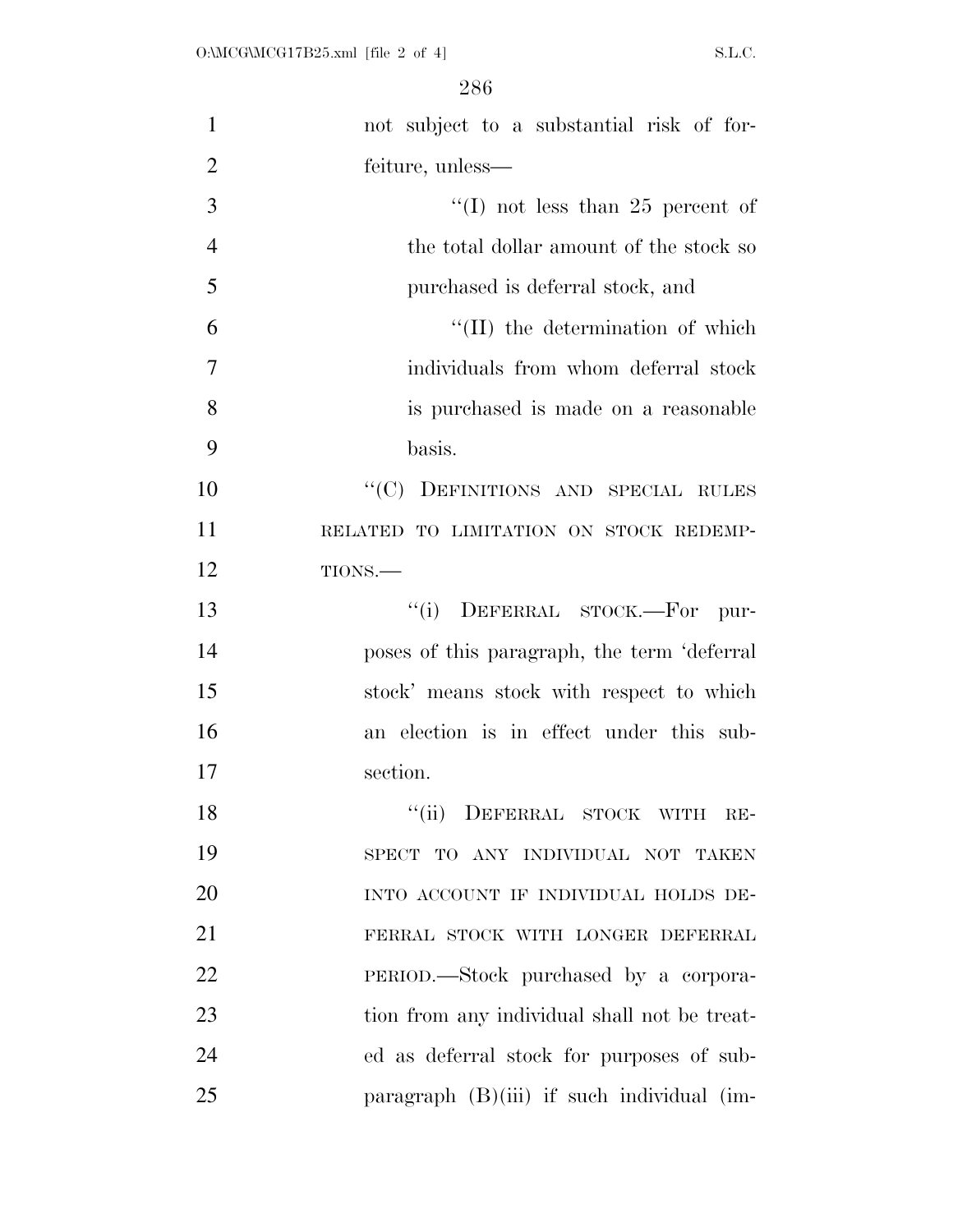| $\mathbf{1}$   | not subject to a substantial risk of for-    |
|----------------|----------------------------------------------|
| $\overline{2}$ | feiture, unless—                             |
| 3              | "(I) not less than 25 percent of             |
| $\overline{4}$ | the total dollar amount of the stock so      |
| 5              | purchased is deferral stock, and             |
| 6              | "(II) the determination of which             |
| 7              | individuals from whom deferral stock         |
| 8              | is purchased is made on a reasonable         |
| 9              | basis.                                       |
| 10             | "(C) DEFINITIONS AND SPECIAL RULES           |
| 11             | RELATED TO LIMITATION ON STOCK REDEMP-       |
| 12             | TIONS.-                                      |
| 13             | DEFERRAL STOCK.-For<br>``(i)<br>pur-         |
| 14             | poses of this paragraph, the term 'deferral  |
| 15             | stock' means stock with respect to which     |
| 16             | an election is in effect under this sub-     |
| 17             | section.                                     |
| 18             | DEFERRAL STOCK WITH<br>``(ii)<br>$RE-$       |
| 19             | SPECT TO ANY INDIVIDUAL NOT TAKEN            |
| 20             | INTO ACCOUNT IF INDIVIDUAL HOLDS DE-         |
| 21             | FERRAL STOCK WITH LONGER DEFERRAL            |
| 22             | PERIOD.—Stock purchased by a corpora-        |
| 23             | tion from any individual shall not be treat- |
| 24             | ed as deferral stock for purposes of sub-    |
| 25             | paragraph $(B)(iii)$ if such individual (im- |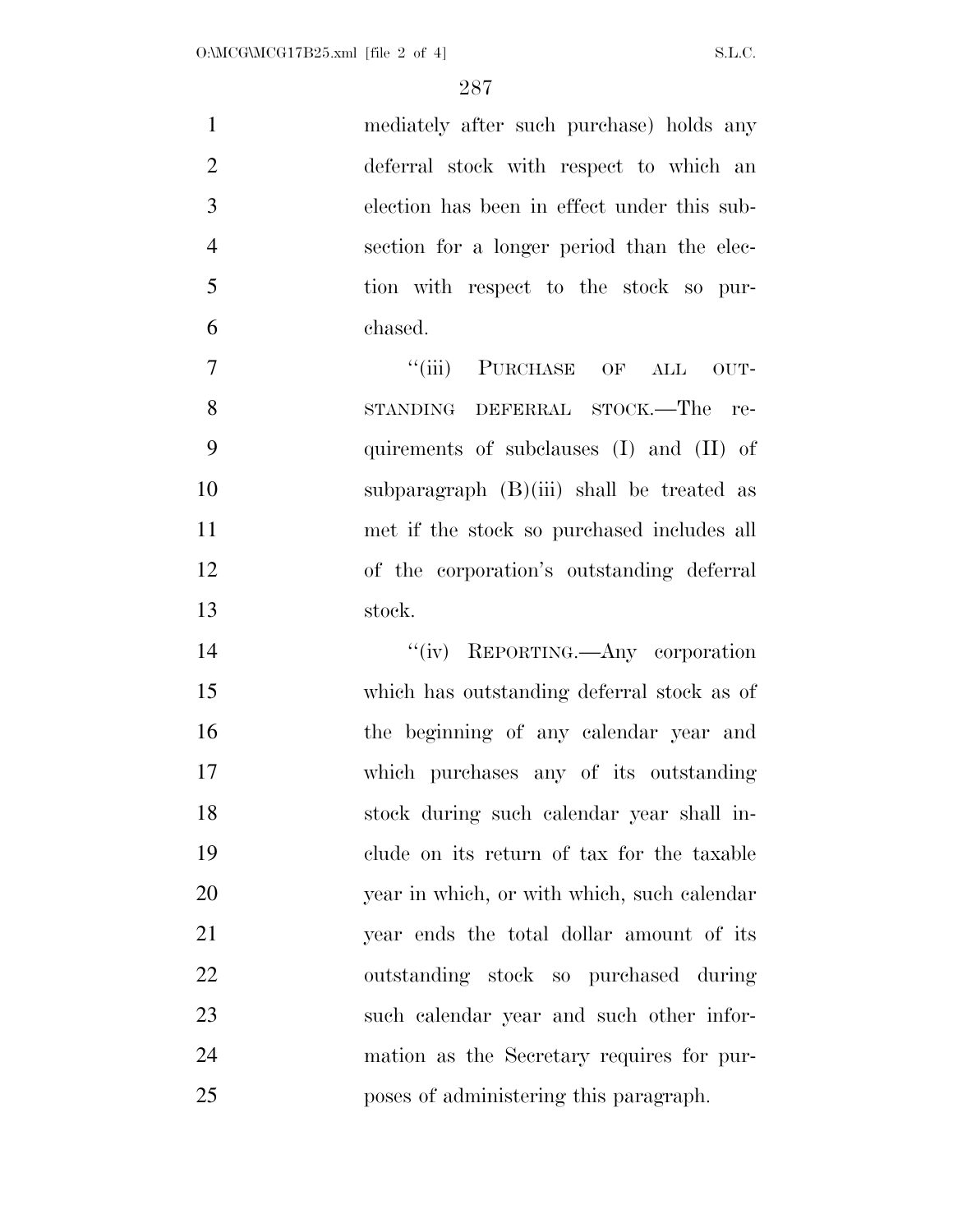|    | mediately after such purchase) holds any    |
|----|---------------------------------------------|
| 2  | deferral stock with respect to which an     |
| 3  | election has been in effect under this sub- |
|    | section for a longer period than the elec-  |
| -5 | tion with respect to the stock so pur-      |
| 6  | chased.                                     |
|    |                                             |

7 "(iii) PURCHASE OF ALL OUT- STANDING DEFERRAL STOCK.—The re- quirements of subclauses (I) and (II) of subparagraph (B)(iii) shall be treated as met if the stock so purchased includes all of the corporation's outstanding deferral stock.

 $''(iv)$  REPORTING.—Any corporation which has outstanding deferral stock as of the beginning of any calendar year and which purchases any of its outstanding stock during such calendar year shall in- clude on its return of tax for the taxable year in which, or with which, such calendar year ends the total dollar amount of its outstanding stock so purchased during such calendar year and such other infor- mation as the Secretary requires for pur-poses of administering this paragraph.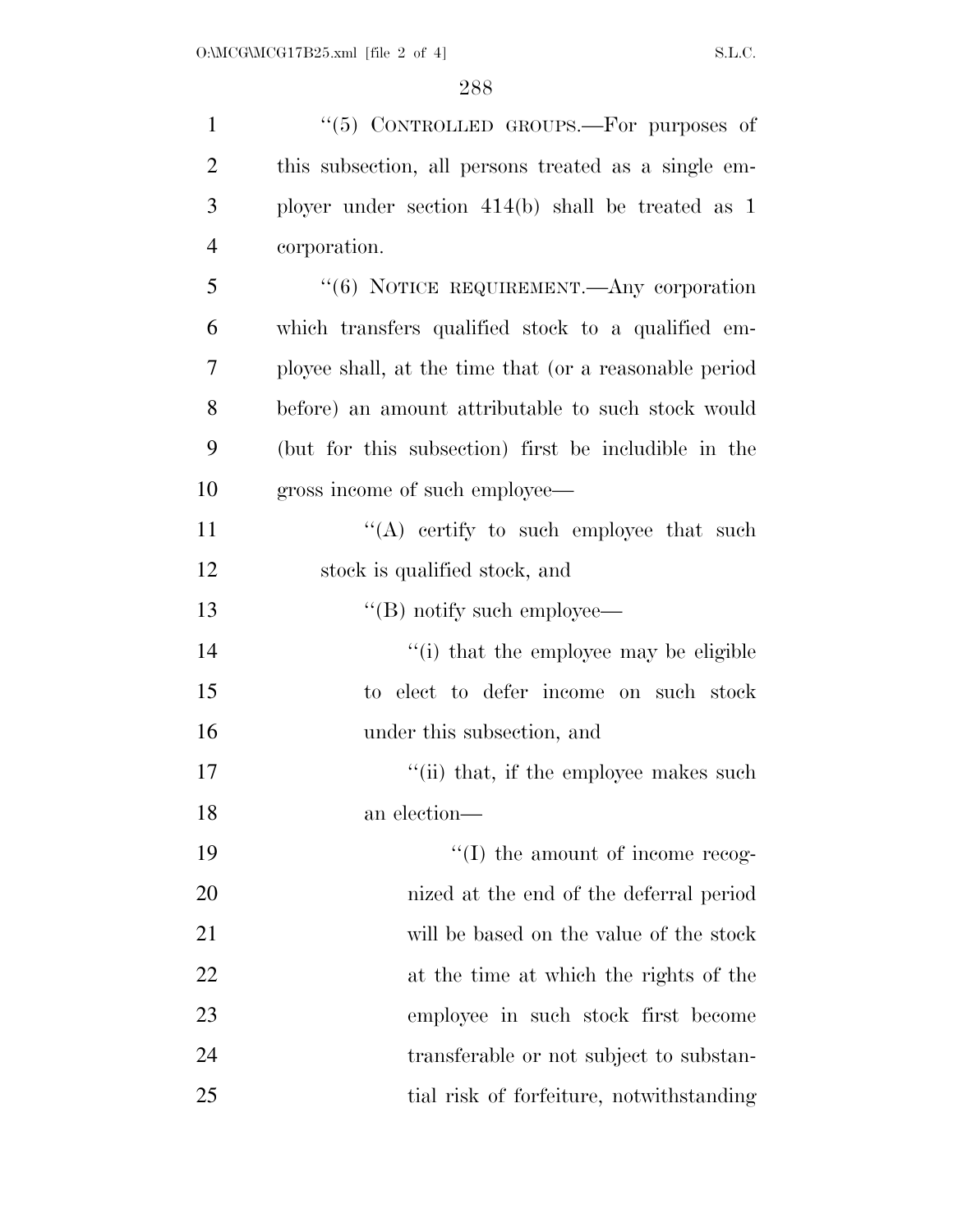| $\mathbf{1}$   | " $(5)$ CONTROLLED GROUPS.—For purposes of             |
|----------------|--------------------------------------------------------|
| $\overline{2}$ | this subsection, all persons treated as a single em-   |
| 3              | ployer under section $414(b)$ shall be treated as 1    |
| $\overline{4}$ | corporation.                                           |
| 5              | "(6) NOTICE REQUIREMENT.—Any corporation               |
| 6              | which transfers qualified stock to a qualified em-     |
| 7              | ployee shall, at the time that (or a reasonable period |
| 8              | before) an amount attributable to such stock would     |
| 9              | (but for this subsection) first be includible in the   |
| 10             | gross income of such employee—                         |
| 11             | $\lq\lq$ certify to such employee that such            |
| 12             | stock is qualified stock, and                          |
| 13             | $\lq\lq$ (B) notify such employee—                     |
| 14             | "(i) that the employee may be eligible                 |
| 15             | to elect to defer income on such stock                 |
| 16             | under this subsection, and                             |
| 17             | "(ii) that, if the employee makes such                 |
| 18             | an election-                                           |
| 19             | $\lq\lq$ (I) the amount of income recog-               |
| 20             | nized at the end of the deferral period                |
| 21             | will be based on the value of the stock                |
| 22             | at the time at which the rights of the                 |
| 23             | employee in such stock first become                    |
| 24             | transferable or not subject to substan-                |
| 25             | tial risk of forfeiture, notwithstanding               |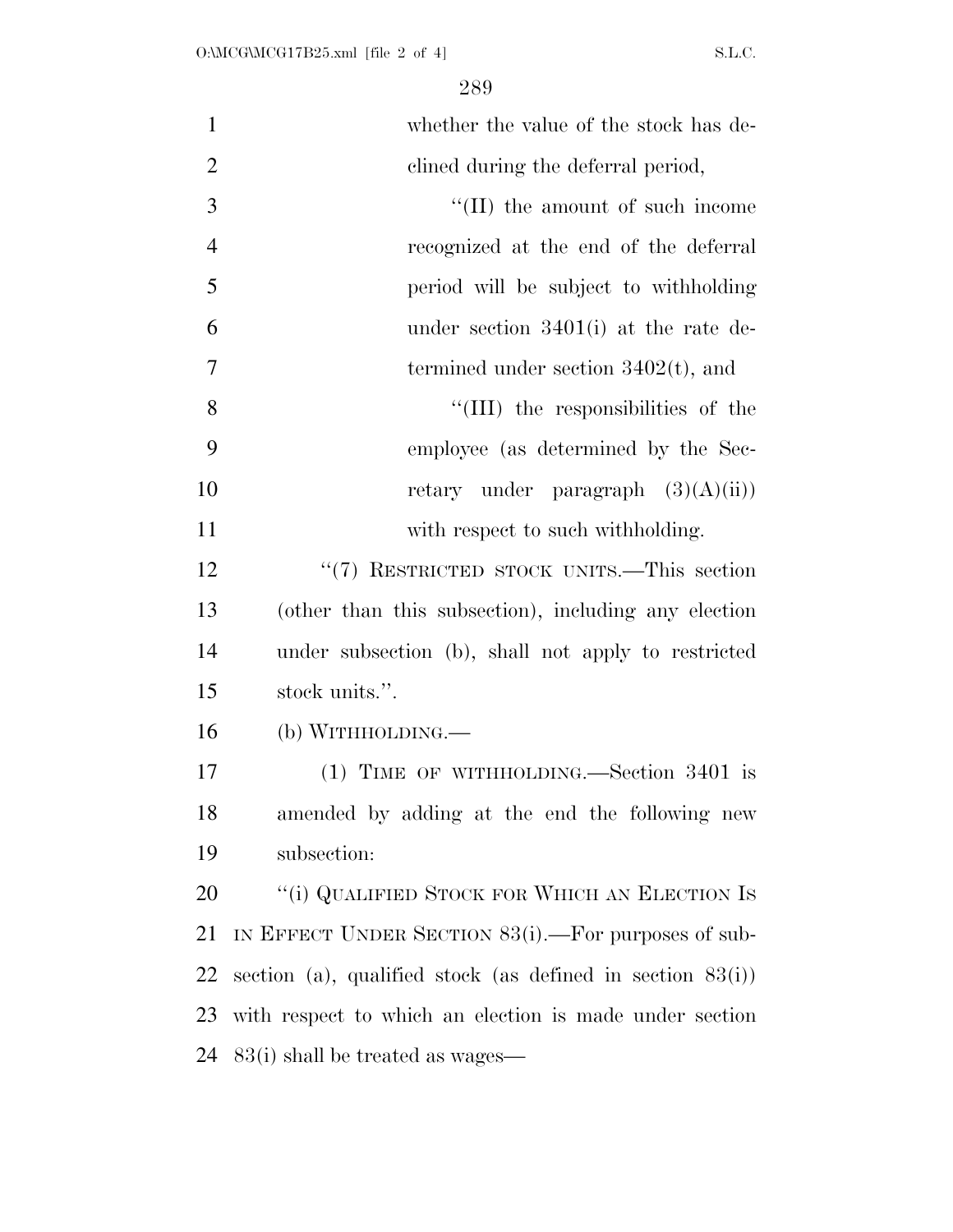| $\mathbf{1}$   | whether the value of the stock has de-                        |
|----------------|---------------------------------------------------------------|
| $\overline{2}$ | clined during the deferral period,                            |
| 3              | "(II) the amount of such income                               |
| $\overline{4}$ | recognized at the end of the deferral                         |
| 5              | period will be subject to withholding                         |
| 6              | under section $3401(i)$ at the rate de-                       |
| 7              | termined under section $3402(t)$ , and                        |
| 8              | "(III) the responsibilities of the                            |
| 9              | employee (as determined by the Sec-                           |
| 10             | retary under paragraph $(3)(A)(ii)$                           |
| 11             | with respect to such withholding.                             |
| 12             | "(7) RESTRICTED STOCK UNITS.—This section                     |
| 13             | (other than this subsection), including any election          |
| 14             | under subsection (b), shall not apply to restricted           |
| 15             | stock units.".                                                |
| 16             | (b) WITHHOLDING.                                              |
| 17             | $(1)$ TIME OF WITHHOLDING.—Section 3401 is                    |
| 18             | amended by adding at the end the following new                |
| 19             | subsection:                                                   |
| 20             | "(i) QUALIFIED STOCK FOR WHICH AN ELECTION IS                 |
| 21             | IN EFFECT UNDER SECTION $83(i)$ . For purposes of sub-        |
| 22             | section (a), qualified stock (as defined in section $83(i)$ ) |
| 23             | with respect to which an election is made under section       |
| 24             | 83(i) shall be treated as wages—                              |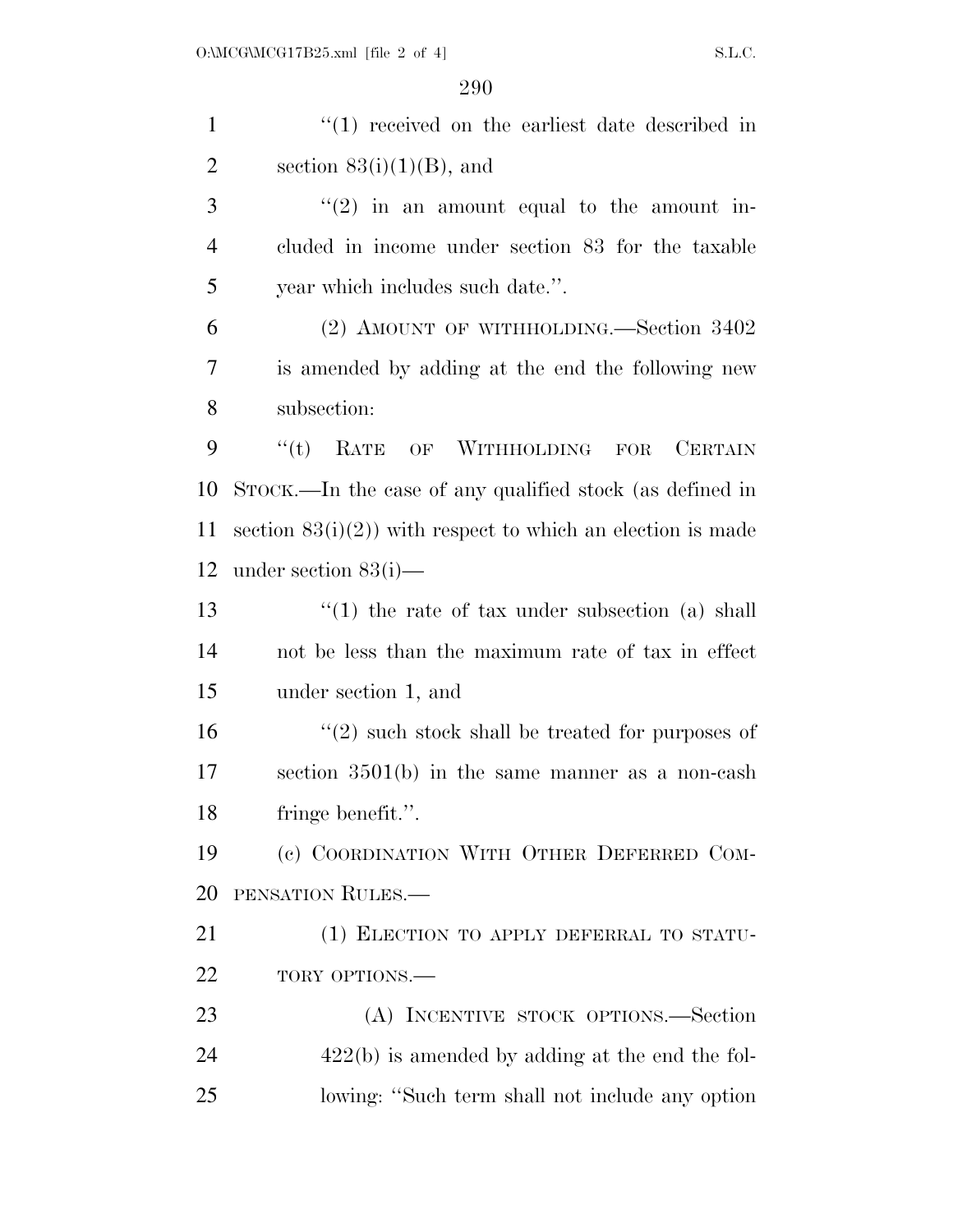1 ''(1) received on the earliest date described in 2 section  $83(i)(1)(B)$ , and ''(2) in an amount equal to the amount in- cluded in income under section 83 for the taxable year which includes such date.''. (2) AMOUNT OF WITHHOLDING.—Section 3402 is amended by adding at the end the following new subsection: ''(t) RATE OF WITHHOLDING FOR CERTAIN STOCK.—In the case of any qualified stock (as defined in 11 section  $83(i)(2)$ ) with respect to which an election is made under section 83(i)— 13 ''(1) the rate of tax under subsection (a) shall not be less than the maximum rate of tax in effect under section 1, and  $\mathcal{L}(2)$  such stock shall be treated for purposes of section 3501(b) in the same manner as a non-cash fringe benefit.''. (c) COORDINATION WITH OTHER DEFERRED COM-PENSATION RULES.—

21 (1) ELECTION TO APPLY DEFERRAL TO STATU-22 TORY OPTIONS.—

 (A) INCENTIVE STOCK OPTIONS.—Section 422(b) is amended by adding at the end the fol-lowing: ''Such term shall not include any option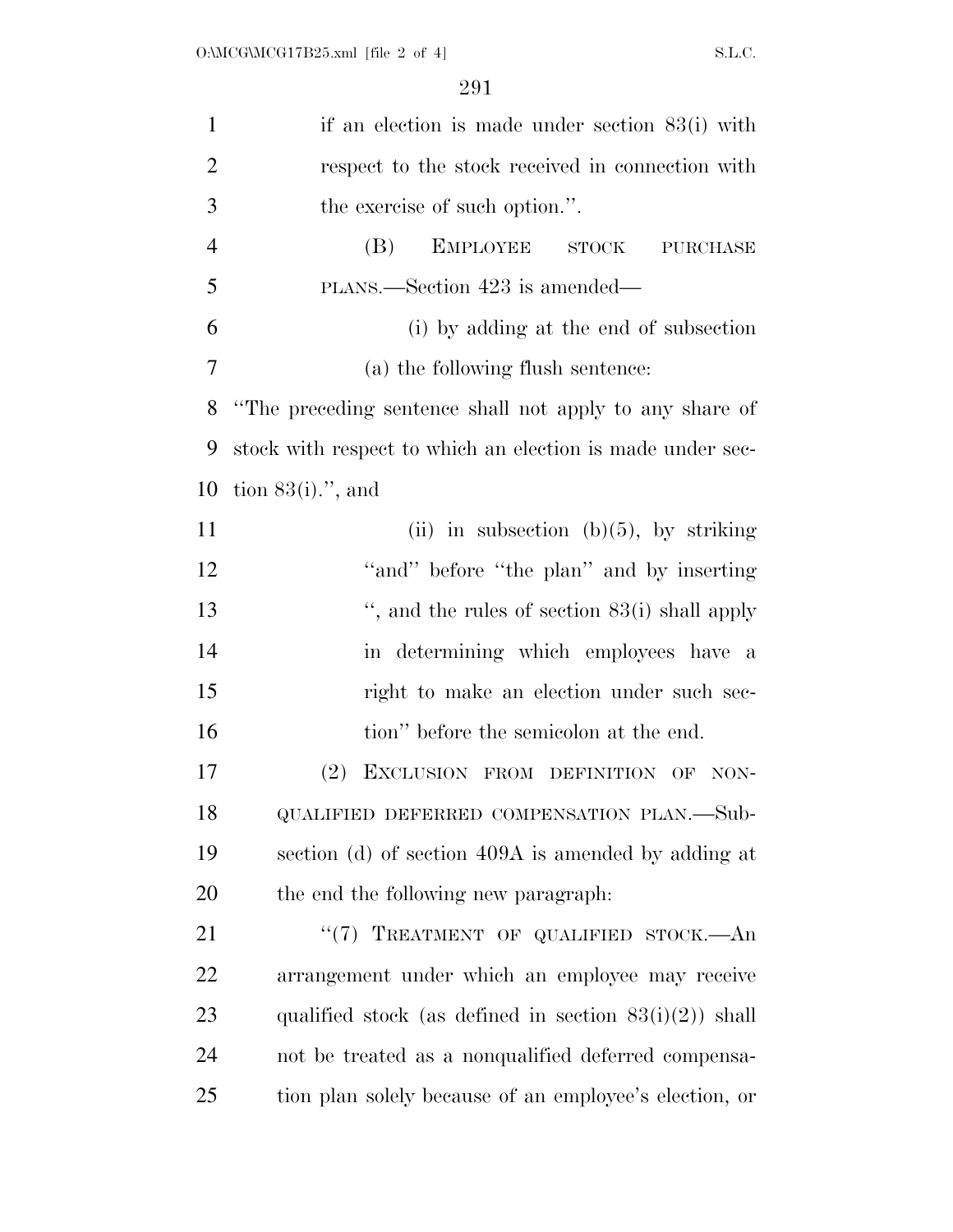| $\mathbf{1}$   | if an election is made under section $83(i)$ with          |
|----------------|------------------------------------------------------------|
| $\overline{2}$ | respect to the stock received in connection with           |
| 3              | the exercise of such option.".                             |
| $\overline{4}$ | <b>EMPLOYEE</b><br>(B)<br><b>STOCK</b><br><b>PURCHASE</b>  |
| 5              | PLANS.—Section 423 is amended—                             |
| 6              | (i) by adding at the end of subsection                     |
| 7              | (a) the following flush sentence:                          |
| 8              | "The preceding sentence shall not apply to any share of    |
| 9              | stock with respect to which an election is made under sec- |
| 10             | tion $83(i)$ .", and                                       |
| 11             | (ii) in subsection (b) $(5)$ , by striking                 |
| 12             | "and" before "the plan" and by inserting                   |
| 13             | ", and the rules of section $83(i)$ shall apply            |
| 14             | in determining which employees have a                      |
| 15             | right to make an election under such sec-                  |
| 16             | tion" before the semicolon at the end.                     |
| 17             | (2)<br>EXCLUSION FROM DEFINITION OF<br>NON-                |
| 18             | QUALIFIED DEFERRED COMPENSATION PLAN.-Sub-                 |
| 19             | section (d) of section 409A is amended by adding at        |
| 20             | the end the following new paragraph.                       |
| 21             | "(7) TREATMENT OF QUALIFIED STOCK.—An                      |
| 22             | arrangement under which an employee may receive            |
| 23             | qualified stock (as defined in section $83(i)(2)$ ) shall  |
| 24             | not be treated as a nonqualified deferred compensa-        |
| 25             | tion plan solely because of an employee's election, or     |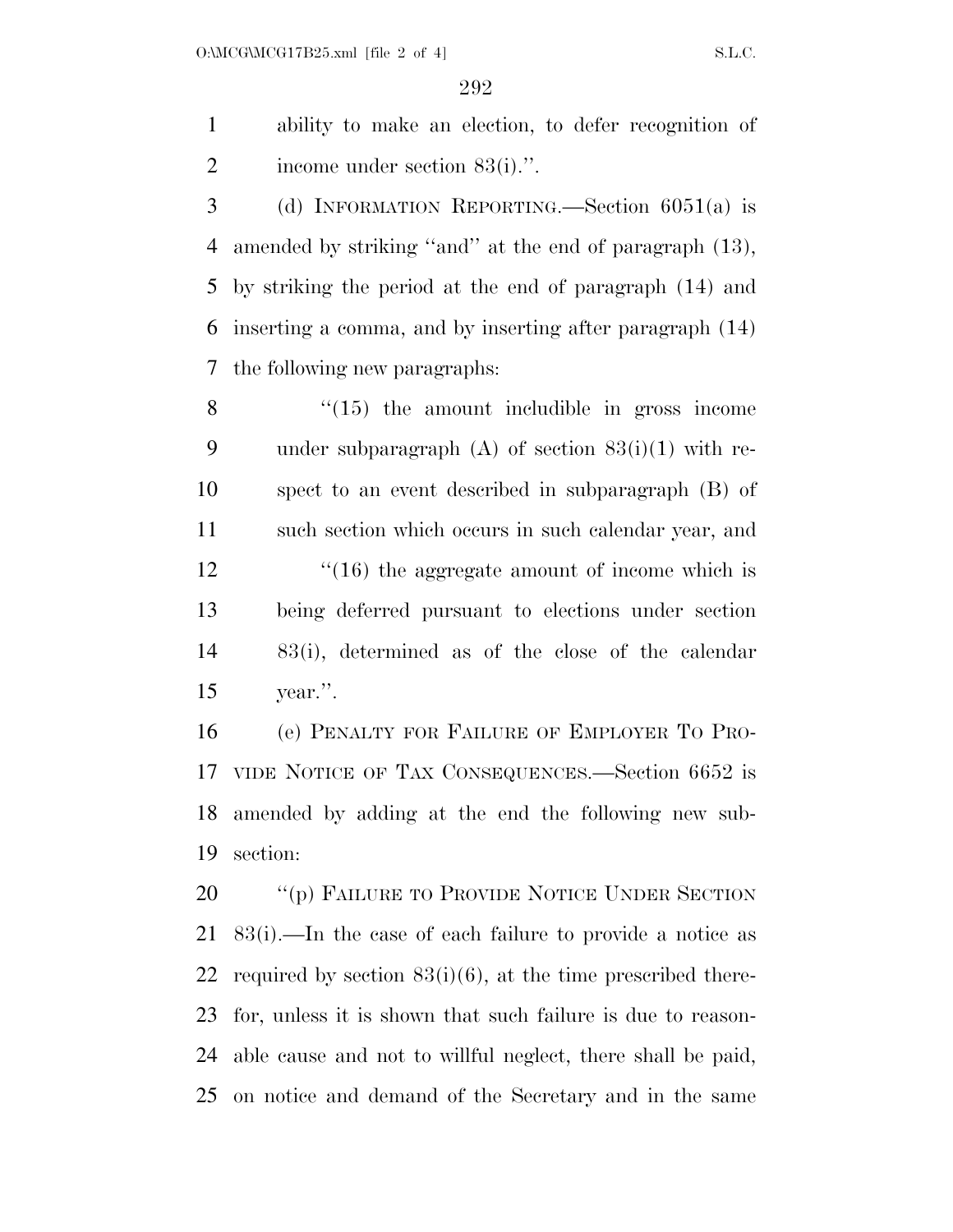ability to make an election, to defer recognition of income under section 83(i).''.

 (d) INFORMATION REPORTING.—Section 6051(a) is amended by striking ''and'' at the end of paragraph (13), by striking the period at the end of paragraph (14) and inserting a comma, and by inserting after paragraph (14) the following new paragraphs:

 "(15) the amount includible in gross income 9 under subparagraph  $(A)$  of section  $83(i)(1)$  with re- spect to an event described in subparagraph (B) of such section which occurs in such calendar year, and 12 ''(16) the aggregate amount of income which is being deferred pursuant to elections under section 83(i), determined as of the close of the calendar year.''.

 (e) PENALTY FOR FAILURE OF EMPLOYER TO PRO- VIDE NOTICE OF TAX CONSEQUENCES.—Section 6652 is amended by adding at the end the following new sub-section:

20 "(p) FAILURE TO PROVIDE NOTICE UNDER SECTION 83(i).—In the case of each failure to provide a notice as 22 required by section  $83(i)(6)$ , at the time prescribed there- for, unless it is shown that such failure is due to reason- able cause and not to willful neglect, there shall be paid, on notice and demand of the Secretary and in the same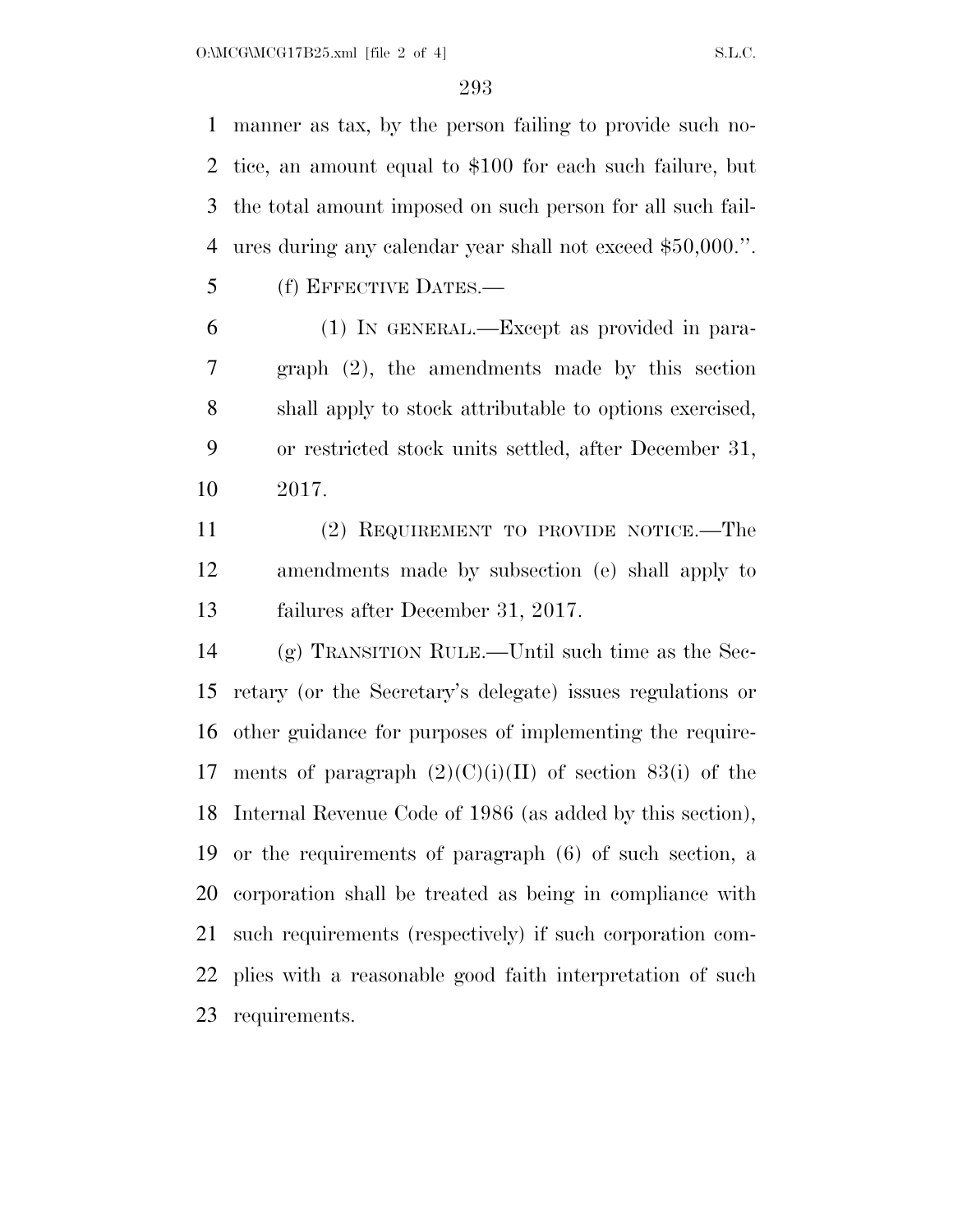manner as tax, by the person failing to provide such no- tice, an amount equal to \$100 for each such failure, but the total amount imposed on such person for all such fail-ures during any calendar year shall not exceed \$50,000.''.

(f) EFFECTIVE DATES.—

 (1) IN GENERAL.—Except as provided in para- graph (2), the amendments made by this section shall apply to stock attributable to options exercised, or restricted stock units settled, after December 31, 2017.

 (2) REQUIREMENT TO PROVIDE NOTICE.—The amendments made by subsection (e) shall apply to failures after December 31, 2017.

 (g) TRANSITION RULE.—Until such time as the Sec- retary (or the Secretary's delegate) issues regulations or other guidance for purposes of implementing the require-17 ments of paragraph  $(2)(C)(i)(II)$  of section 83(i) of the Internal Revenue Code of 1986 (as added by this section), or the requirements of paragraph (6) of such section, a corporation shall be treated as being in compliance with such requirements (respectively) if such corporation com- plies with a reasonable good faith interpretation of such requirements.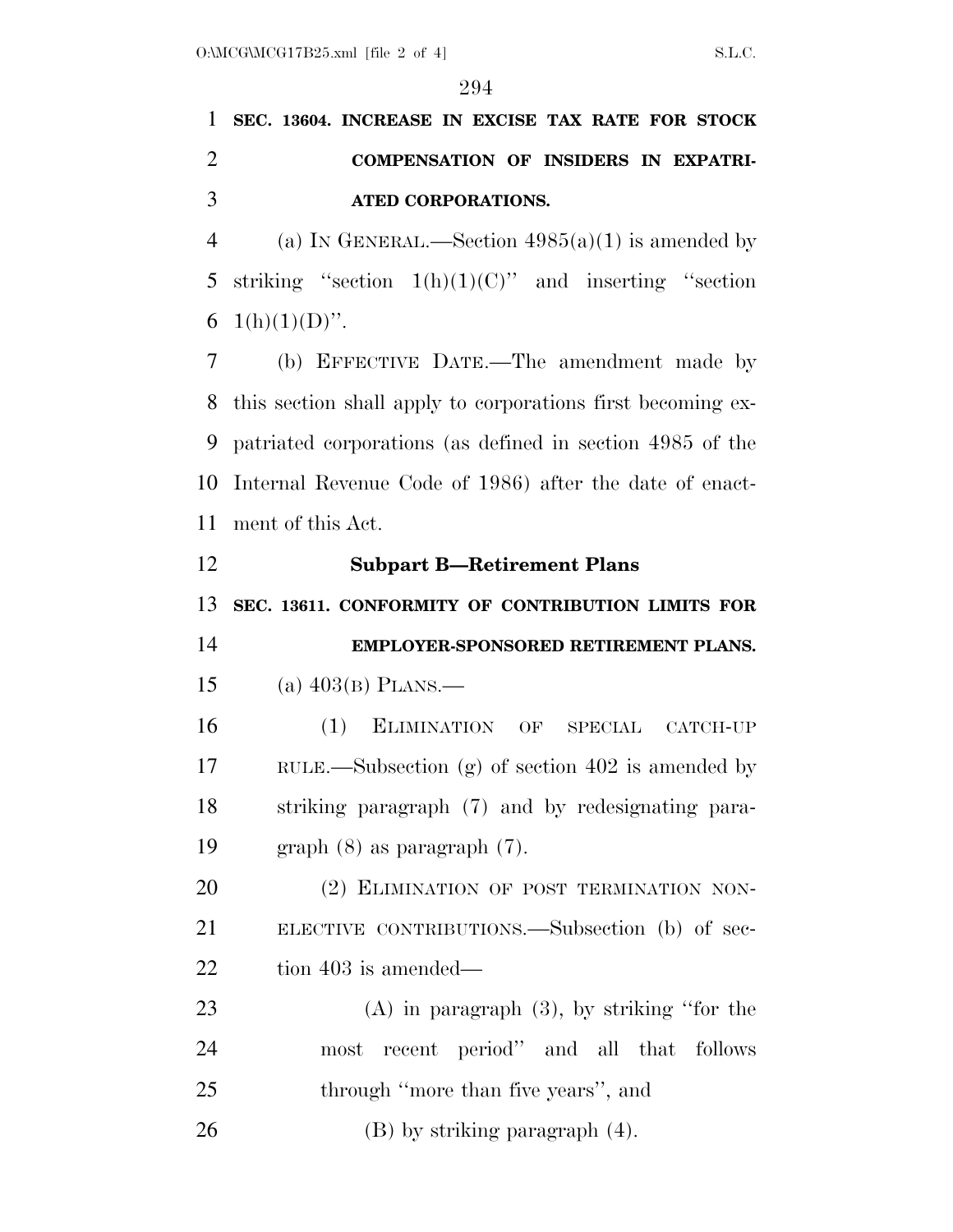**SEC. 13604. INCREASE IN EXCISE TAX RATE FOR STOCK COMPENSATION OF INSIDERS IN EXPATRI-ATED CORPORATIONS.** 

4 (a) IN GENERAL.—Section  $4985(a)(1)$  is amended by 5 striking "section  $1(h)(1)(C)$ " and inserting "section 6  $1(h)(1)(D)$ ".

 (b) EFFECTIVE DATE.—The amendment made by this section shall apply to corporations first becoming ex- patriated corporations (as defined in section 4985 of the Internal Revenue Code of 1986) after the date of enact-ment of this Act.

 **Subpart B—Retirement Plans SEC. 13611. CONFORMITY OF CONTRIBUTION LIMITS FOR EMPLOYER-SPONSORED RETIREMENT PLANS.**  (a) 403(B) PLANS.— (1) ELIMINATION OF SPECIAL CATCH-UP RULE.—Subsection (g) of section 402 is amended by striking paragraph (7) and by redesignating para- graph (8) as paragraph (7). 20 (2) ELIMINATION OF POST TERMINATION NON- ELECTIVE CONTRIBUTIONS.—Subsection (b) of sec- tion 403 is amended— (A) in paragraph (3), by striking ''for the most recent period'' and all that follows 25 through "more than five years", and

26 (B) by striking paragraph  $(4)$ .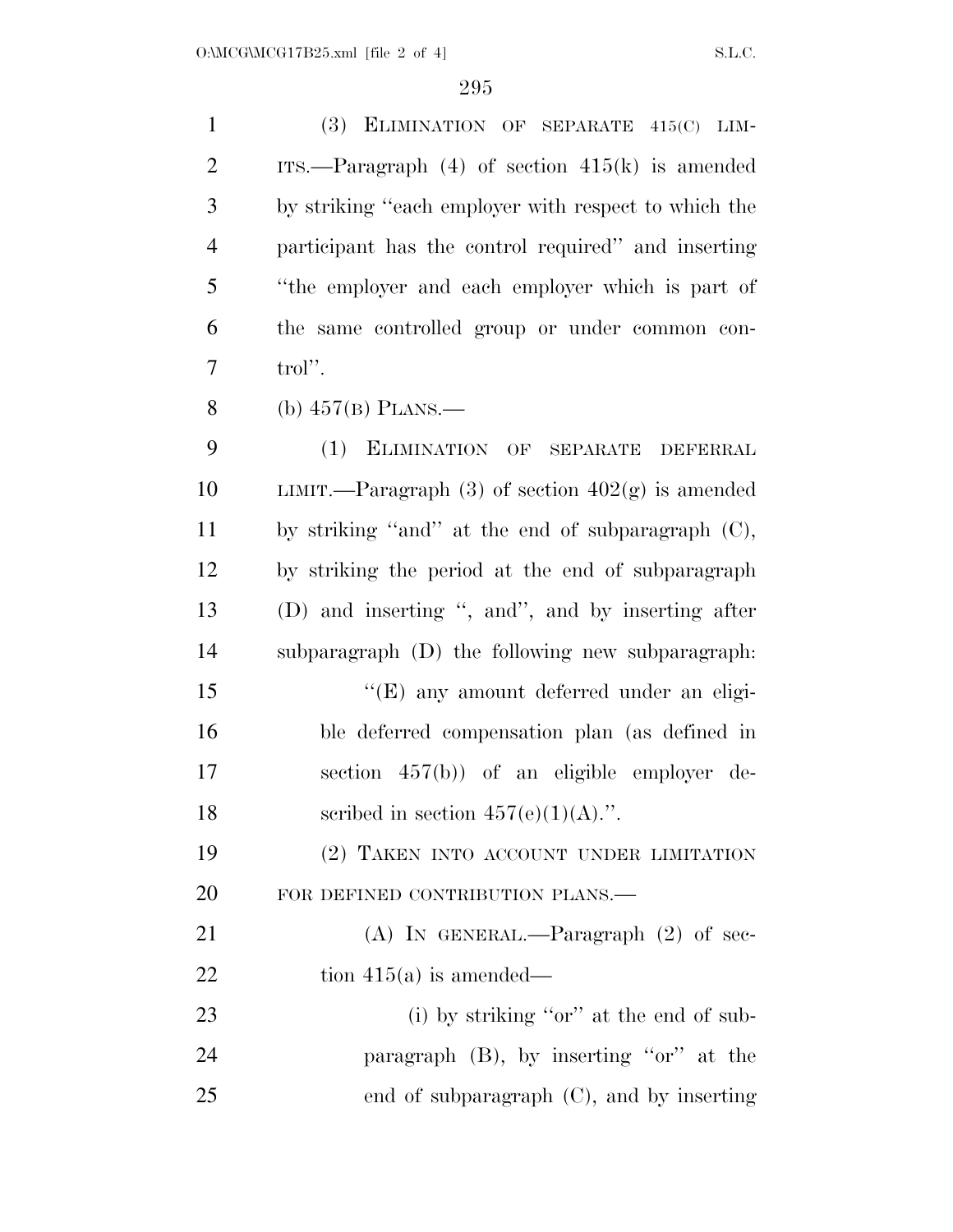| $\mathbf{1}$   | ELIMINATION OF SEPARATE 415(C) LIM-<br>(3)            |
|----------------|-------------------------------------------------------|
| $\overline{2}$ | ITS.—Paragraph $(4)$ of section $415(k)$ is amended   |
| 3              | by striking "each employer with respect to which the  |
| $\overline{4}$ | participant has the control required" and inserting   |
| 5              | "the employer and each employer which is part of      |
| 6              | the same controlled group or under common con-        |
| 7              | trol''.                                               |
| 8              | (b) $457(B)$ PLANS.—                                  |
| 9              | (1) ELIMINATION OF SEPARATE DEFERRAL                  |
| 10             | LIMIT.—Paragraph $(3)$ of section $402(g)$ is amended |
| 11             | by striking "and" at the end of subparagraph (C),     |
| 12             | by striking the period at the end of subparagraph     |
| 13             | (D) and inserting ", and", and by inserting after     |
| 14             | subparagraph (D) the following new subparagraph.      |
| 15             | "(E) any amount deferred under an eligi-              |
| 16             | ble deferred compensation plan (as defined in         |
| 17             | section $457(b)$ of an eligible employer de-          |
| 18             | scribed in section $457(e)(1)(A)$ .".                 |
| 19             | (2) TAKEN INTO ACCOUNT UNDER LIMITATION               |
| 20             | FOR DEFINED CONTRIBUTION PLANS.—                      |
| 21             | (A) IN GENERAL.—Paragraph $(2)$ of sec-               |
| 22             | tion $415(a)$ is amended—                             |
| 23             | (i) by striking "or" at the end of sub-               |
| 24             | paragraph $(B)$ , by inserting "or" at the            |
| 25             | end of subparagraph $(C)$ , and by inserting          |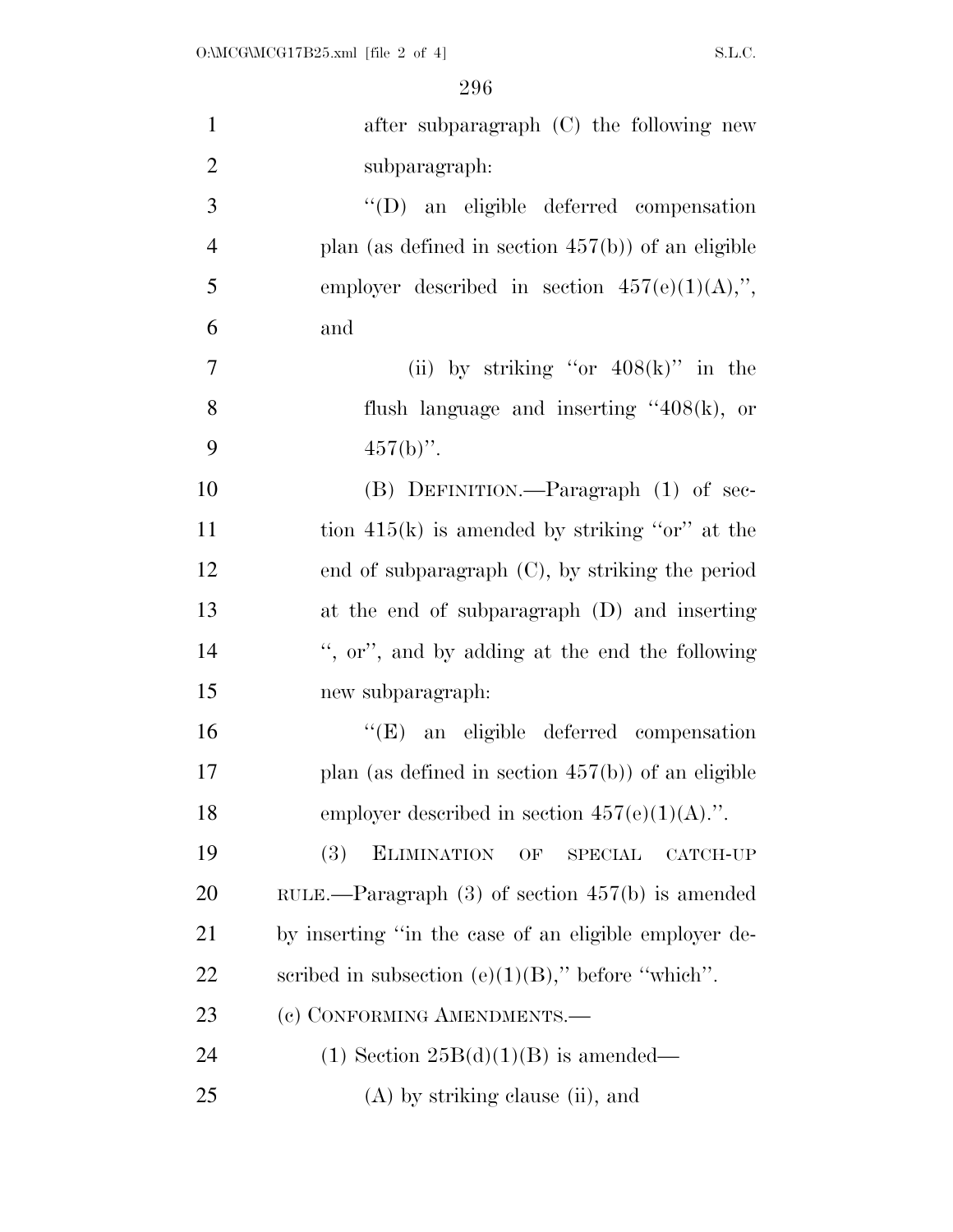| $\mathbf{1}$   | after subparagraph (C) the following new                             |
|----------------|----------------------------------------------------------------------|
| $\overline{2}$ | subparagraph:                                                        |
| 3              | "(D) an eligible deferred compensation                               |
| $\overline{4}$ | plan (as defined in section $457(b)$ ) of an eligible                |
| 5              | employer described in section $457(e)(1)(A)$ ,",                     |
| 6              | and                                                                  |
| $\overline{7}$ | (ii) by striking "or $408(k)$ " in the                               |
| 8              | flush language and inserting $"408(k)$ , or                          |
| 9              | $457(b)$ ".                                                          |
| 10             | (B) DEFINITION.—Paragraph (1) of sec-                                |
| 11             | tion $415(k)$ is amended by striking "or" at the                     |
| 12             | end of subparagraph $(C)$ , by striking the period                   |
| 13             | at the end of subparagraph (D) and inserting                         |
| 14             | ", or", and by adding at the end the following                       |
| 15             | new subparagraph:                                                    |
| 16             | "(E) an eligible deferred compensation                               |
| 17             | plan (as defined in section $457(b)$ ) of an eligible                |
| 18             | employer described in section $457(e)(1)(A)$ .".                     |
| 19             | <b>(3)</b><br><b>ELIMINATION</b><br>OF<br><b>SPECIAL</b><br>CATCH-UP |
| 20             | RULE.—Paragraph $(3)$ of section $457(b)$ is amended                 |
| 21             | by inserting "in the case of an eligible employer de-                |
| 22             | scribed in subsection (e) $(1)(B)$ ," before "which".                |
| 23             | (c) CONFORMING AMENDMENTS.-                                          |
| 24             | $(1)$ Section 25B $(d)(1)(B)$ is amended—                            |
| 25             | $(A)$ by striking clause (ii), and                                   |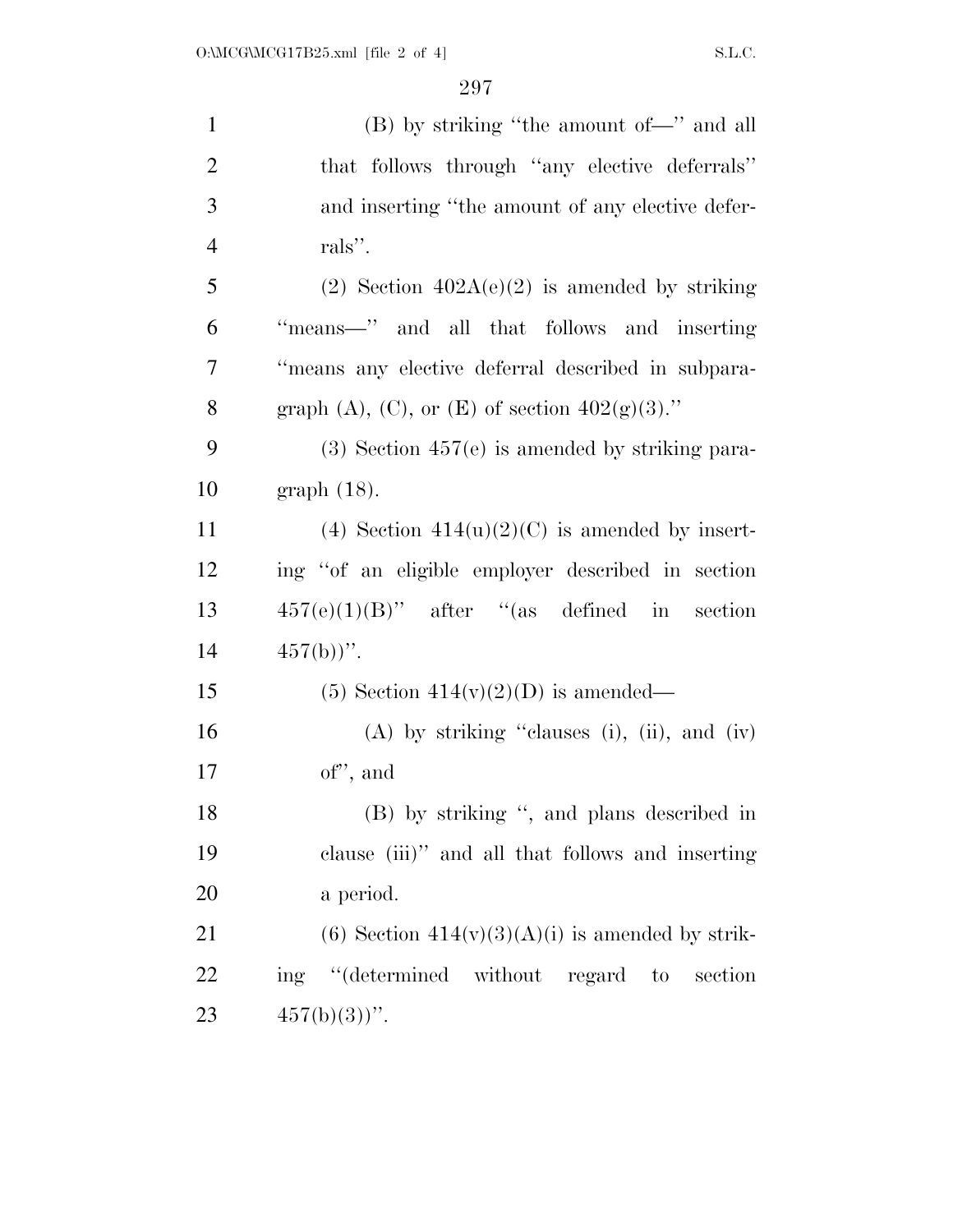| $\mathbf{1}$   | (B) by striking "the amount of-" and all             |
|----------------|------------------------------------------------------|
| $\overline{2}$ | that follows through "any elective deferrals"        |
| 3              | and inserting "the amount of any elective defer-     |
| $\overline{4}$ | rals".                                               |
| 5              | (2) Section $402A(e)(2)$ is amended by striking      |
| 6              | "means-" and all that follows and inserting          |
| 7              | "means any elective deferral described in subpara-   |
| 8              | graph (A), (C), or (E) of section $402(g)(3)$ ."     |
| 9              | $(3)$ Section 457 $(e)$ is amended by striking para- |
| 10             | $graph(18)$ .                                        |
| 11             | (4) Section $414(u)(2)(C)$ is amended by insert-     |
| 12             | ing "of an eligible employer described in section    |
| 13             | $457(e)(1)(B)$ " after "(as defined in section       |
| 14             | $457(b)$ ".                                          |
| 15             | $(5)$ Section 414(v)(2)(D) is amended—               |
| 16             | $(A)$ by striking "clauses (i), (ii), and (iv)       |
| 17             | of", and                                             |
| 18             | (B) by striking ", and plans described in            |
| 19             | clause (iii)" and all that follows and inserting     |
| 20             | a period.                                            |
| 21             | (6) Section $414(v)(3)(A)(i)$ is amended by strik-   |
| 22             | ing "(determined without regard to<br>section        |
| 23             | $457(b)(3)$ ".                                       |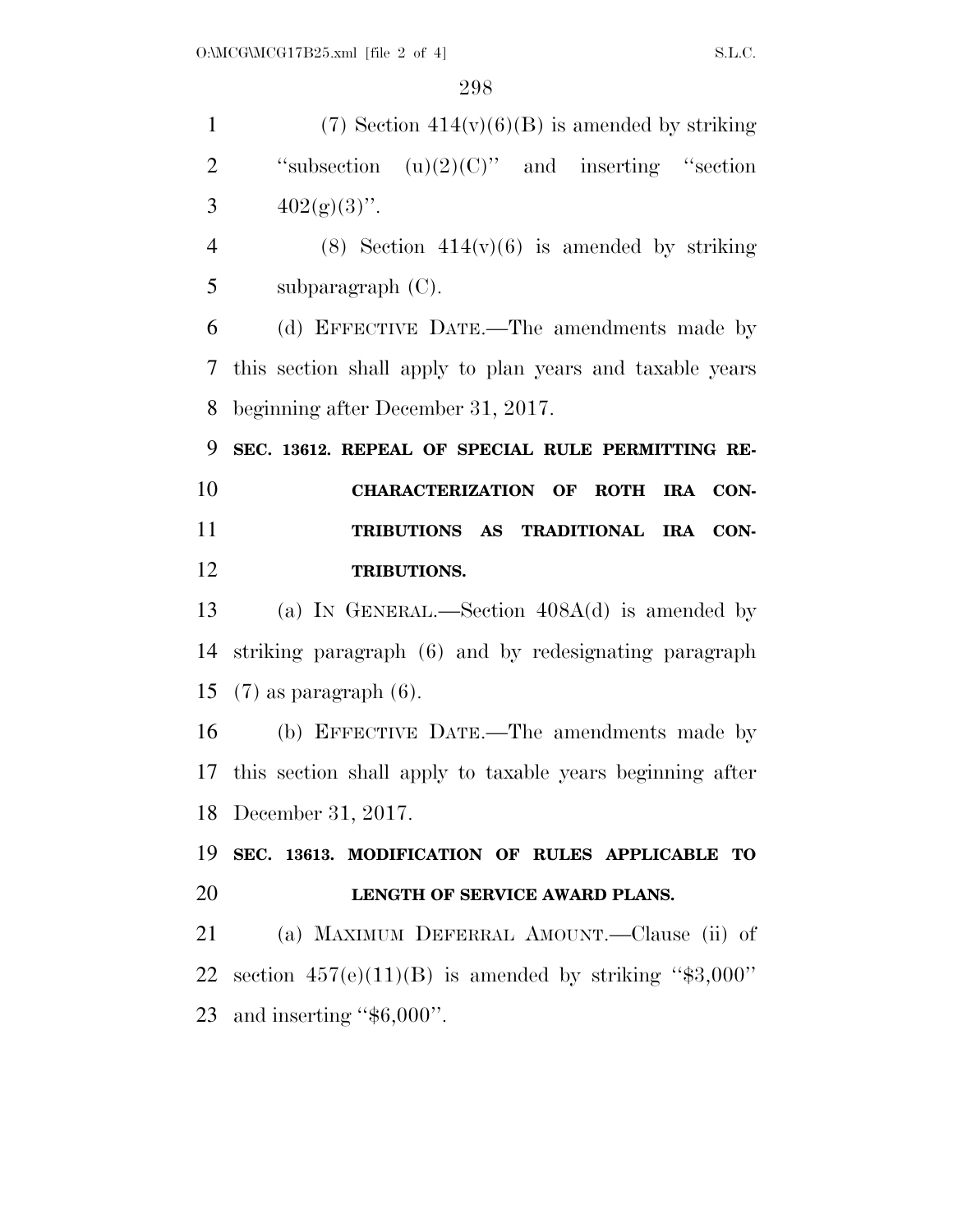| $\mathbf{1}$   | $(7)$ Section $414(v)(6)(B)$ is amended by striking       |
|----------------|-----------------------------------------------------------|
| $\overline{2}$ | "subsection $(u)(2)(C)$ " and inserting "section"         |
| 3              | $402(g)(3)$ ".                                            |
| $\overline{4}$ | $(8)$ Section 414(v)(6) is amended by striking            |
| 5              | subparagraph $(C)$ .                                      |
| 6              | (d) EFFECTIVE DATE.—The amendments made by                |
| 7              | this section shall apply to plan years and taxable years  |
| 8              | beginning after December 31, 2017.                        |
| 9              | SEC. 13612. REPEAL OF SPECIAL RULE PERMITTING RE-         |
| 10             | CHARACTERIZATION OF ROTH<br>IRA CON-                      |
| 11             | TRIBUTIONS AS TRADITIONAL IRA CON-                        |
| 12             | TRIBUTIONS.                                               |
| 13             | (a) IN GENERAL.—Section $408A(d)$ is amended by           |
| 14             | striking paragraph (6) and by redesignating paragraph     |
| 15             | $(7)$ as paragraph $(6)$ .                                |
| 16             | (b) EFFECTIVE DATE.—The amendments made by                |
| 17             | this section shall apply to taxable years beginning after |
|                | 18 December 31, 2017.                                     |
| 19             | SEC. 13613. MODIFICATION OF RULES APPLICABLE TO           |
| 20             | LENGTH OF SERVICE AWARD PLANS.                            |
| 21             | (a) MAXIMUM DEFERRAL AMOUNT.—Clause (ii) of               |
| 22             | section $457(e)(11)(B)$ is amended by striking "\$3,000"  |
|                | 23 and inserting " $$6,000$ ".                            |
|                |                                                           |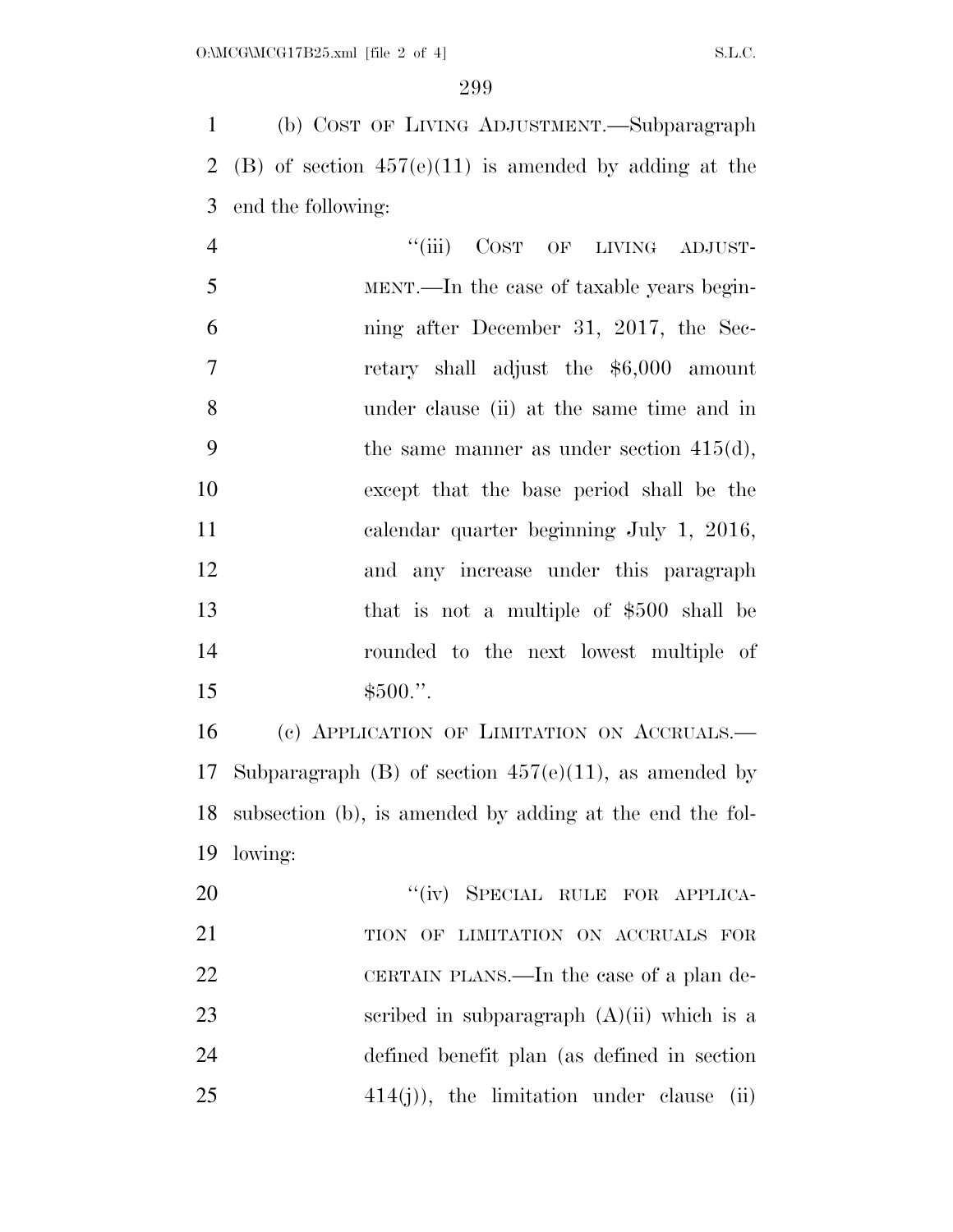(b) COST OF LIVING ADJUSTMENT.—Subparagraph 2 (B) of section  $457(e)(11)$  is amended by adding at the end the following:

4 "(iii) COST OF LIVING ADJUST- MENT.—In the case of taxable years begin- ning after December 31, 2017, the Sec- retary shall adjust the \$6,000 amount under clause (ii) at the same time and in 9 the same manner as under section  $415(d)$ , except that the base period shall be the calendar quarter beginning July 1, 2016, and any increase under this paragraph that is not a multiple of \$500 shall be rounded to the next lowest multiple of  $$500."$ 

 (c) APPLICATION OF LIMITATION ON ACCRUALS.— 17 Subparagraph (B) of section  $457(e)(11)$ , as amended by subsection (b), is amended by adding at the end the fol-lowing:

20 "(iv) SPECIAL RULE FOR APPLICA-21 TION OF LIMITATION ON ACCRUALS FOR 22 CERTAIN PLANS.—In the case of a plan de-23 seribed in subparagraph  $(A)(ii)$  which is a defined benefit plan (as defined in section 414(j)), the limitation under clause (ii)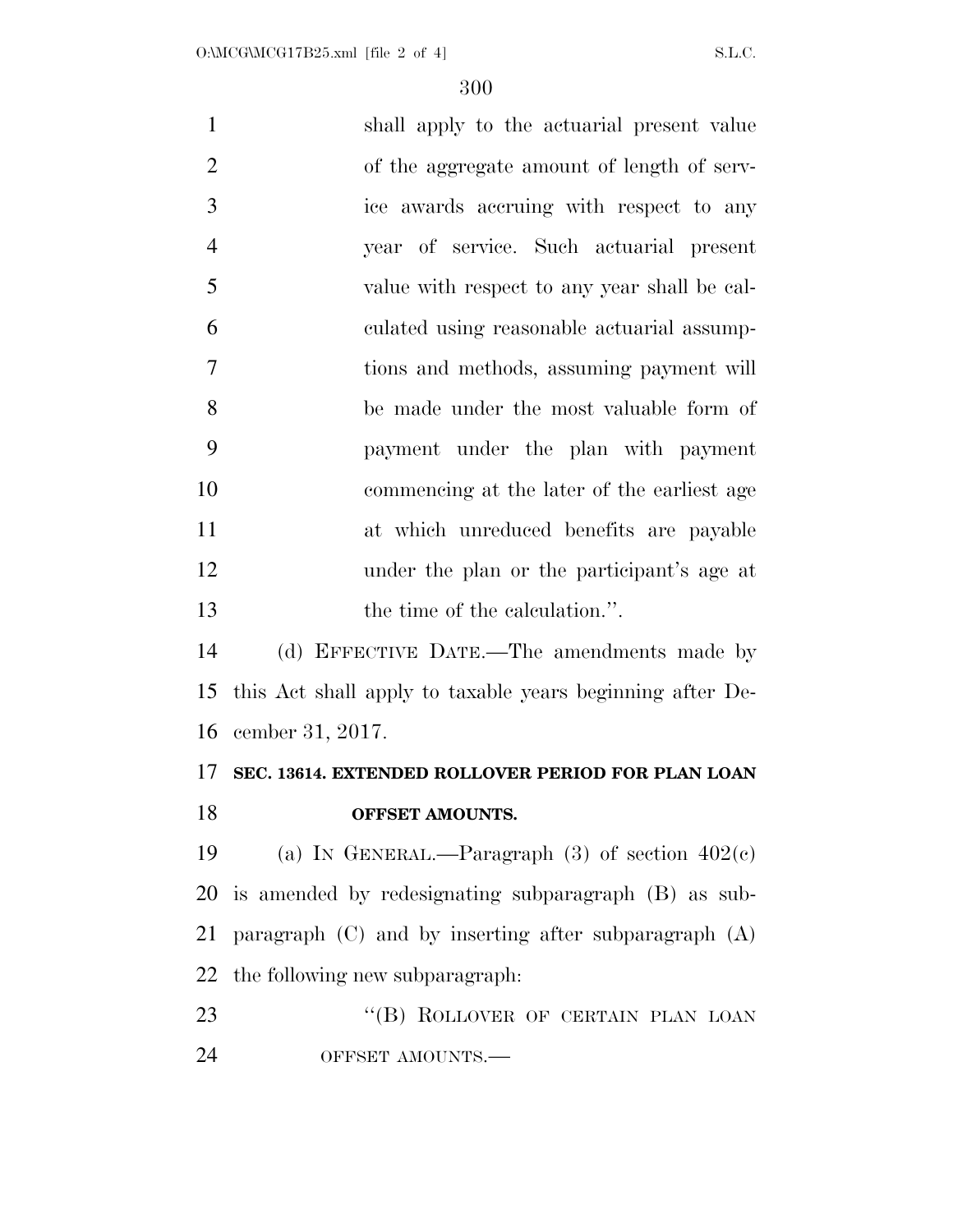| $\mathbf{1}$   | shall apply to the actuarial present value                |
|----------------|-----------------------------------------------------------|
| $\overline{2}$ | of the aggregate amount of length of serv-                |
| 3              | ice awards accruing with respect to any                   |
| $\overline{4}$ | year of service. Such actuarial present                   |
| 5              | value with respect to any year shall be cal-              |
| 6              | culated using reasonable actuarial assump-                |
| $\overline{7}$ | tions and methods, assuming payment will                  |
| 8              | be made under the most valuable form of                   |
| 9              | payment under the plan with payment                       |
| 10             | commencing at the later of the earliest age               |
| 11             | at which unreduced benefits are payable                   |
| 12             | under the plan or the participant's age at                |
| 13             | the time of the calculation.".                            |
| 14             | (d) EFFECTIVE DATE.—The amendments made by                |
| 15             | this Act shall apply to taxable years beginning after De- |
| 16             | cember 31, 2017.                                          |
| 17             | SEC. 13614. EXTENDED ROLLOVER PERIOD FOR PLAN LOAN        |
| 18             | OFFSET AMOUNTS.                                           |
| 19             | (a) IN GENERAL.—Paragraph (3) of section $402(c)$         |
|                | 20 is amended by redesignating subparagraph (B) as sub-   |
| 21             | paragraph $(C)$ and by inserting after subparagraph $(A)$ |
| 22             | the following new subparagraph.                           |
| 23             | "(B) ROLLOVER OF CERTAIN PLAN LOAN                        |
| 24             | OFFSET AMOUNTS.-                                          |
|                |                                                           |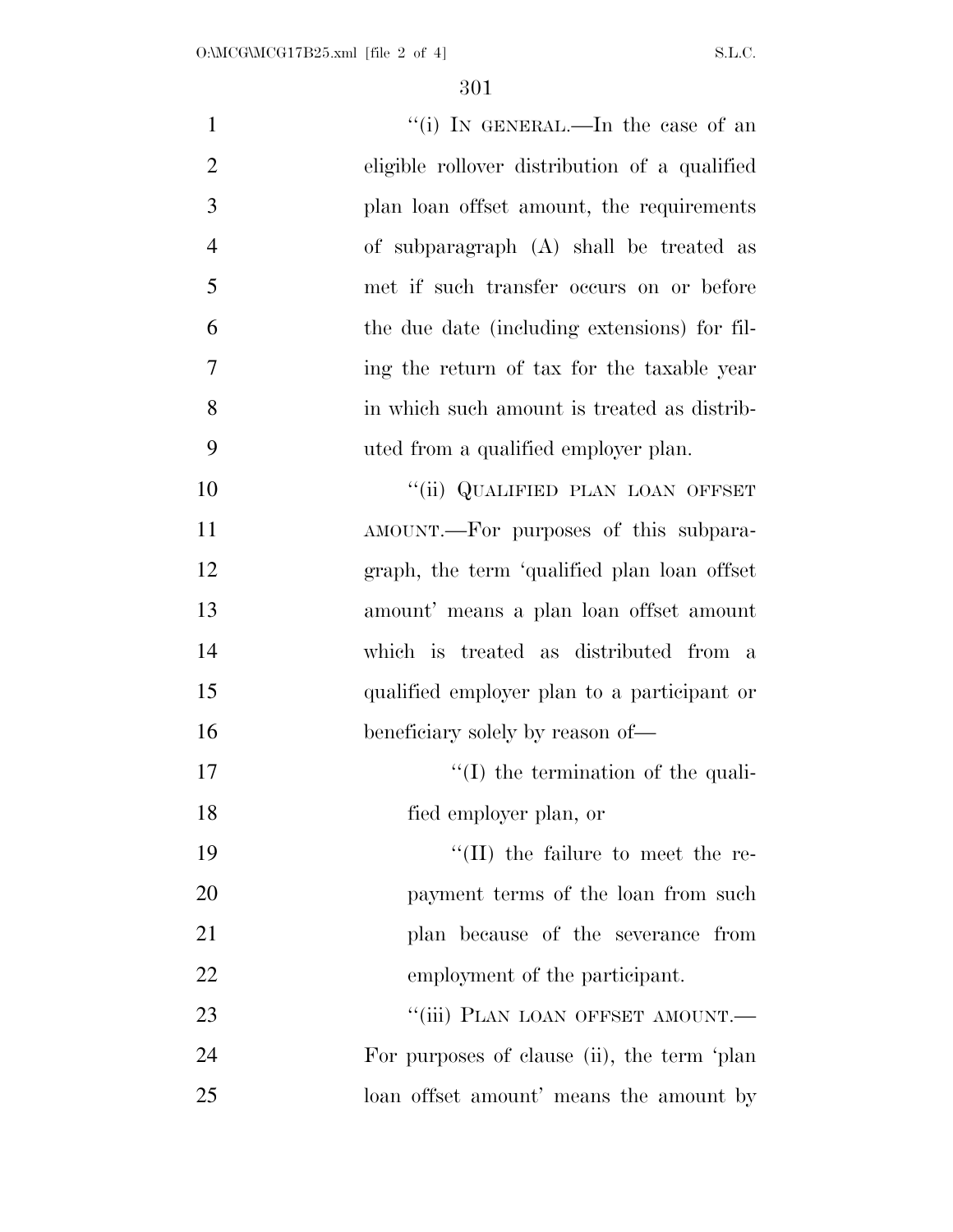| $\mathbf{1}$   | "(i) IN GENERAL.—In the case of an            |
|----------------|-----------------------------------------------|
| $\overline{2}$ | eligible rollover distribution of a qualified |
| 3              | plan loan offset amount, the requirements     |
| $\overline{4}$ | of subparagraph (A) shall be treated as       |
| 5              | met if such transfer occurs on or before      |
| 6              | the due date (including extensions) for fil-  |
| 7              | ing the return of tax for the taxable year    |
| 8              | in which such amount is treated as distrib-   |
| 9              | uted from a qualified employer plan.          |
| 10             | "(ii) QUALIFIED PLAN LOAN OFFSET              |
| 11             | AMOUNT.—For purposes of this subpara-         |
| 12             | graph, the term 'qualified plan loan offset   |
| 13             | amount' means a plan loan offset amount       |
| 14             | which is treated as distributed from a        |
| 15             | qualified employer plan to a participant or   |
| 16             | beneficiary solely by reason of—              |
| 17             | $\lq\lq$ the termination of the quali-        |
| 18             | fied employer plan, or                        |
| 19             | $\lq\lq$ (II) the failure to meet the re-     |
| 20             | payment terms of the loan from such           |
| 21             | plan because of the severance from            |
| 22             | employment of the participant.                |
| 23             | "(iii) PLAN LOAN OFFSET AMOUNT.-              |
| 24             | For purposes of clause (ii), the term 'plan   |
| 25             | loan offset amount' means the amount by       |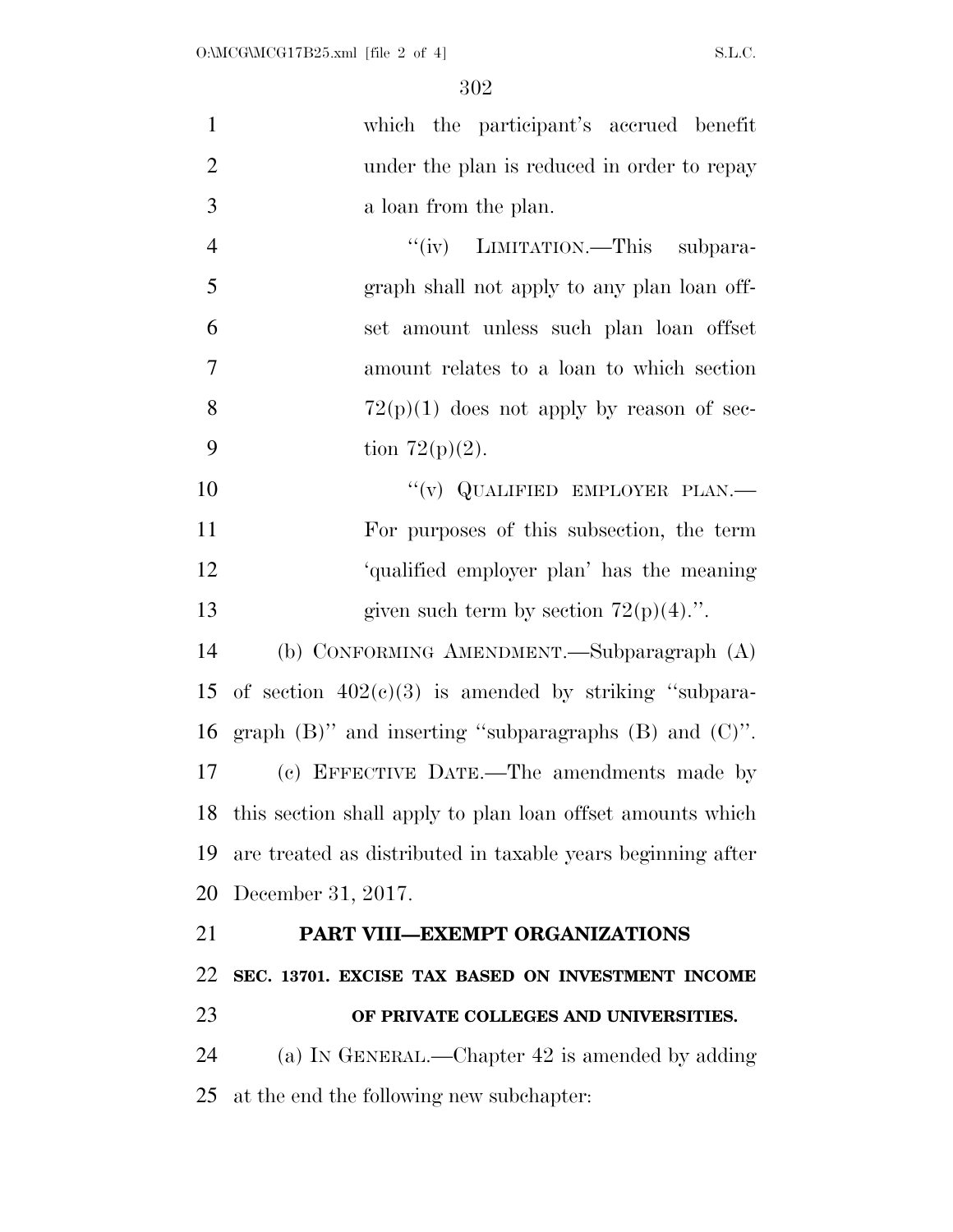| $\mathbf{1}$   | which the participant's accrued benefit                       |
|----------------|---------------------------------------------------------------|
| $\overline{2}$ | under the plan is reduced in order to repay                   |
| 3              | a loan from the plan.                                         |
| $\overline{4}$ | "(iv) LIMITATION.—This subpara-                               |
| 5              | graph shall not apply to any plan loan off-                   |
| 6              | set amount unless such plan loan offset                       |
| $\overline{7}$ | amount relates to a loan to which section                     |
| 8              | $72(p)(1)$ does not apply by reason of sec-                   |
| 9              | tion $72(p)(2)$ .                                             |
| 10             | "(v) QUALIFIED EMPLOYER PLAN.—                                |
| 11             | For purposes of this subsection, the term                     |
| 12             | 'qualified employer plan' has the meaning                     |
| 13             | given such term by section $72(p)(4)$ .".                     |
| 14             | (b) CONFORMING AMENDMENT.—Subparagraph (A)                    |
| 15             | of section $402(c)(3)$ is amended by striking "subpara-       |
| 16             | graph $(B)$ " and inserting "subparagraphs $(B)$ and $(C)$ ". |
| 17             | (c) EFFECTIVE DATE.—The amendments made by                    |
| 18             | this section shall apply to plan loan offset amounts which    |
| 19             | are treated as distributed in taxable years beginning after   |
| 20             | December 31, 2017.                                            |
| 21             | PART VIII-EXEMPT ORGANIZATIONS                                |
| 22             | SEC. 13701. EXCISE TAX BASED ON INVESTMENT INCOME             |
| 23             | OF PRIVATE COLLEGES AND UNIVERSITIES.                         |
| 24             | (a) IN GENERAL.—Chapter 42 is amended by adding               |
| 25             | at the end the following new subchapter:                      |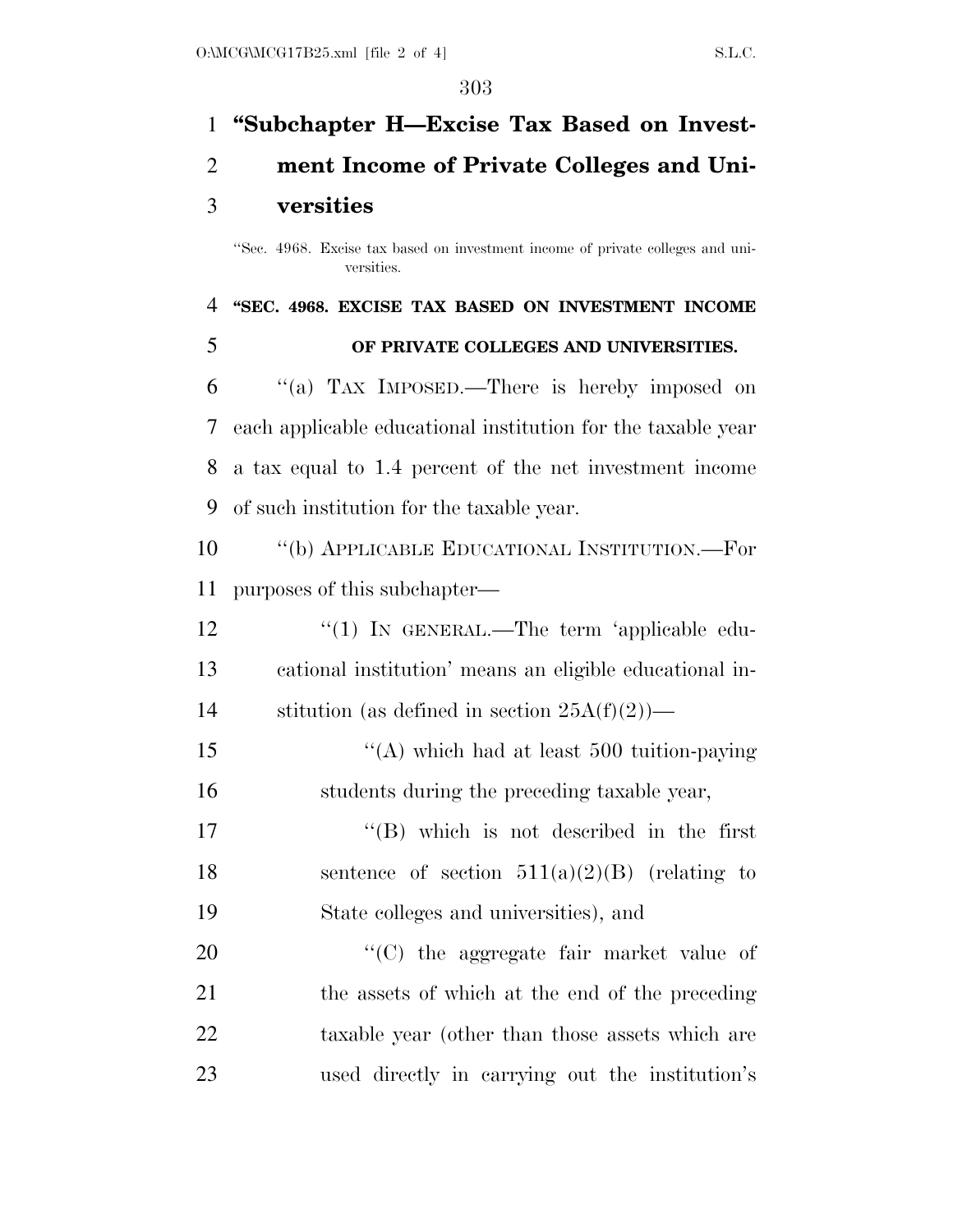# **''Subchapter H—Excise Tax Based on Invest-ment Income of Private Colleges and Uni-**

### **versities**

# **''SEC. 4968. EXCISE TAX BASED ON INVESTMENT INCOME OF PRIVATE COLLEGES AND UNIVERSITIES.**

 ''(a) TAX IMPOSED.—There is hereby imposed on each applicable educational institution for the taxable year a tax equal to 1.4 percent of the net investment income of such institution for the taxable year.

 ''(b) APPLICABLE EDUCATIONAL INSTITUTION.—For purposes of this subchapter—

| 12 | $\lq(1)$ In GENERAL.—The term 'applicable edu-          |
|----|---------------------------------------------------------|
| 13 | cational institution' means an eligible educational in- |
| 14 | stitution (as defined in section $25A(f)(2)$ )—         |

15  $\frac{1}{2}$   $\frac{1}{2}$   $\frac{1}{2}$  which had at least 500 tuition-paying students during the preceding taxable year,

17  $\text{``(B)}$  which is not described in the first 18 sentence of section  $511(a)(2)(B)$  (relating to State colleges and universities), and

 $\cdot$  (C) the aggregate fair market value of the assets of which at the end of the preceding taxable year (other than those assets which are used directly in carrying out the institution's

<sup>&#</sup>x27;'Sec. 4968. Excise tax based on investment income of private colleges and universities.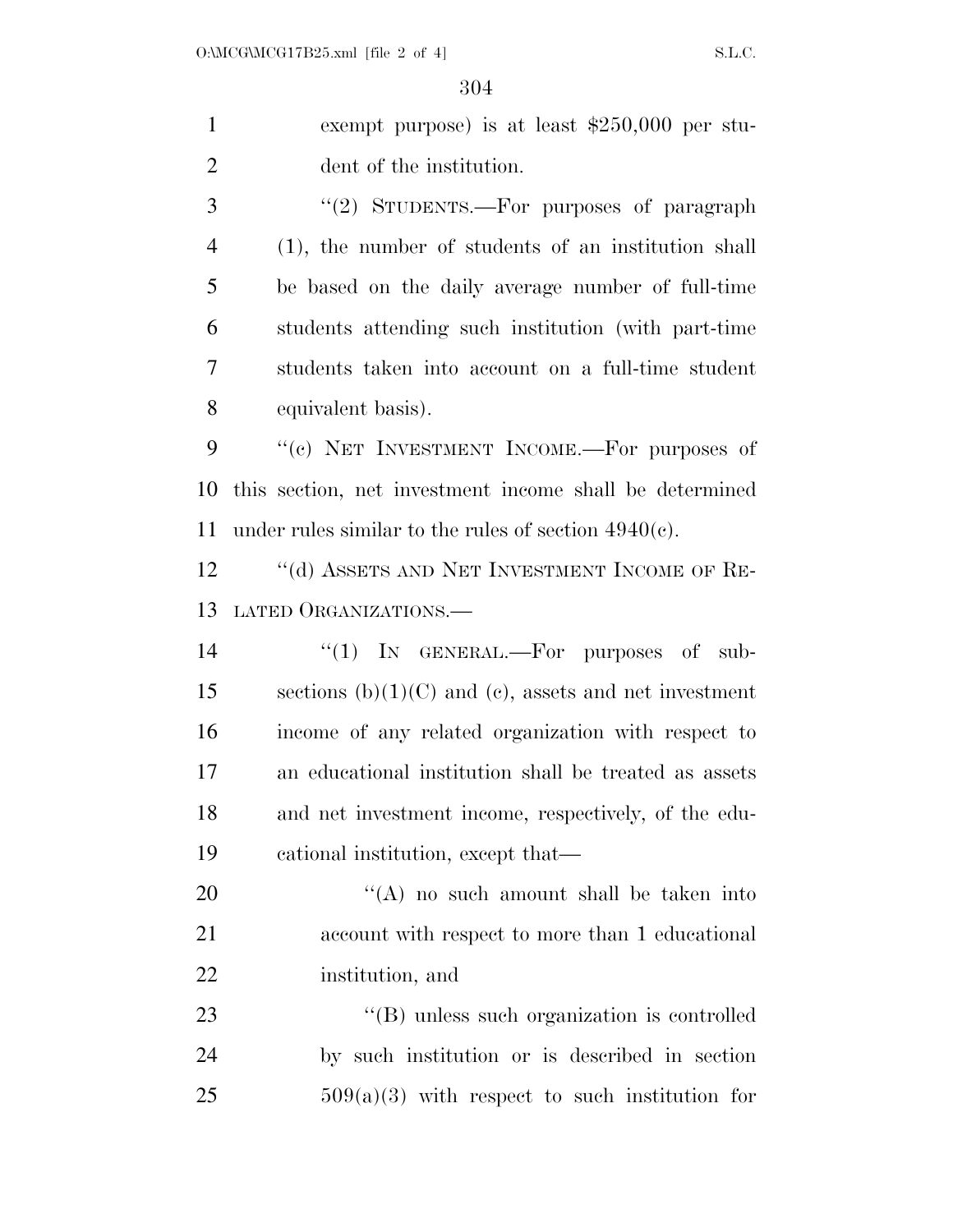exempt purpose) is at least \$250,000 per stu- dent of the institution. 3 "(2) STUDENTS.—For purposes of paragraph (1), the number of students of an institution shall be based on the daily average number of full-time

 students attending such institution (with part-time students taken into account on a full-time student equivalent basis).

9 "(c) NET INVESTMENT INCOME.—For purposes of this section, net investment income shall be determined under rules similar to the rules of section 4940(c).

12 "(d) ASSETS AND NET INVESTMENT INCOME OF RE-LATED ORGANIZATIONS.—

14 "(1) IN GENERAL.—For purposes of sub-15 sections  $(b)(1)(C)$  and  $(c)$ , assets and net investment income of any related organization with respect to an educational institution shall be treated as assets and net investment income, respectively, of the edu-cational institution, except that—

20 ''(A) no such amount shall be taken into account with respect to more than 1 educational institution, and

23  $\langle (B) \rangle$  unless such organization is controlled by such institution or is described in section  $509(a)(3)$  with respect to such institution for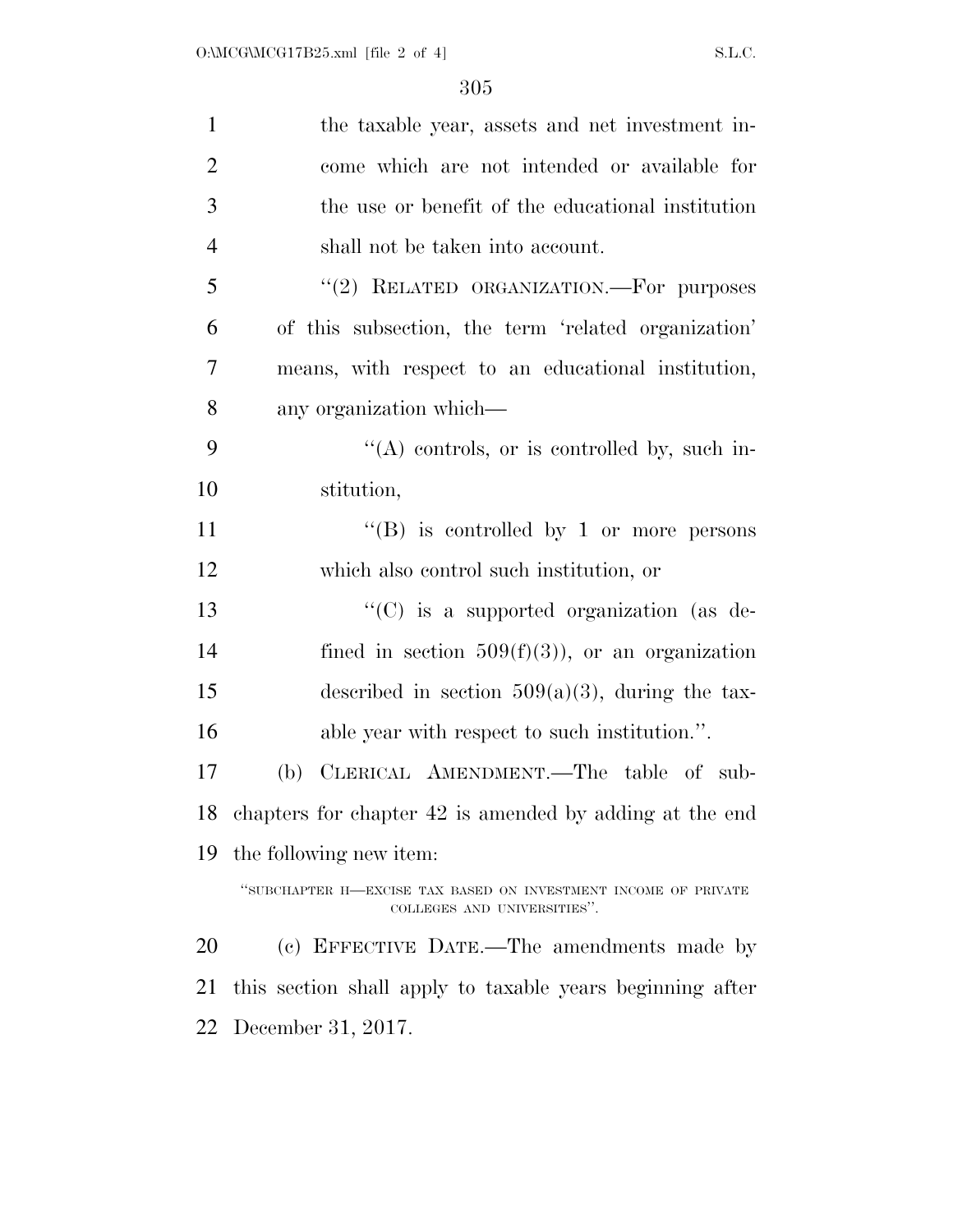| $\mathbf{1}$   | the taxable year, assets and net investment in-                                               |
|----------------|-----------------------------------------------------------------------------------------------|
| $\overline{2}$ | come which are not intended or available for                                                  |
| 3              | the use or benefit of the educational institution                                             |
| $\overline{4}$ | shall not be taken into account.                                                              |
| 5              | "(2) RELATED ORGANIZATION.—For purposes                                                       |
| 6              | of this subsection, the term 'related organization'                                           |
| 7              | means, with respect to an educational institution,                                            |
| 8              | any organization which—                                                                       |
| 9              | $\lq\lq$ controls, or is controlled by, such in-                                              |
| 10             | stitution,                                                                                    |
| 11             | "(B) is controlled by 1 or more persons                                                       |
| 12             | which also control such institution, or                                                       |
| 13             | " $(C)$ is a supported organization (as de-                                                   |
| 14             | fined in section $509(f)(3)$ , or an organization                                             |
| 15             | described in section $509(a)(3)$ , during the tax-                                            |
| 16             | able year with respect to such institution.".                                                 |
| 17             | CLERICAL AMENDMENT.—The table of sub-<br>(b)                                                  |
|                | 18 chapters for chapter 42 is amended by adding at the end                                    |
| 19             | the following new item:                                                                       |
|                | "SUBCHAPTER H-EXCISE TAX BASED ON INVESTMENT INCOME OF PRIVATE<br>COLLEGES AND UNIVERSITIES". |
| 20             | (c) EFFECTIVE DATE.—The amendments made by                                                    |
| 21             | this section shall apply to taxable years beginning after                                     |
| 22             | December 31, 2017.                                                                            |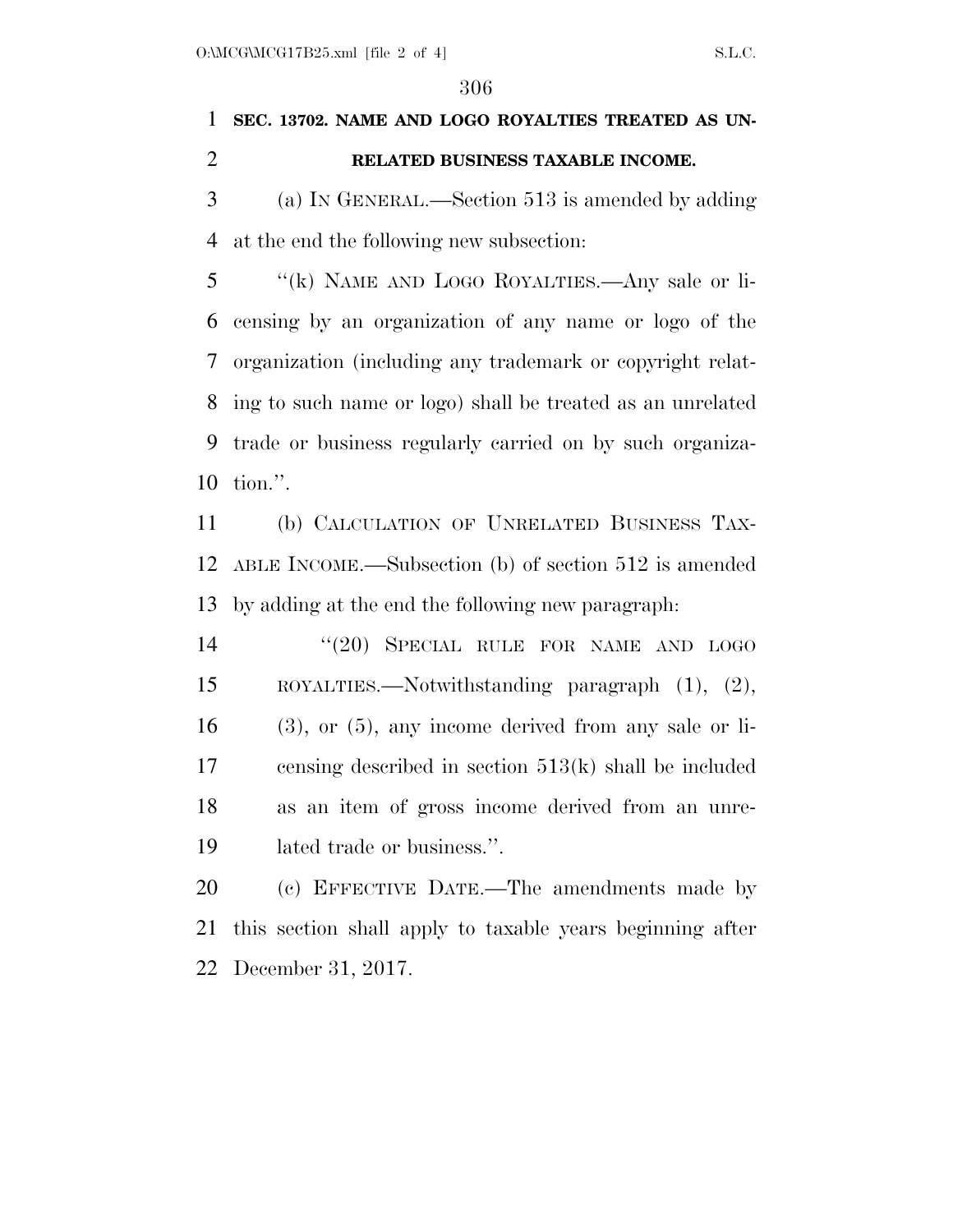## **SEC. 13702. NAME AND LOGO ROYALTIES TREATED AS UN-RELATED BUSINESS TAXABLE INCOME.**

 (a) IN GENERAL.—Section 513 is amended by adding at the end the following new subsection:

 ''(k) NAME AND LOGO ROYALTIES.—Any sale or li- censing by an organization of any name or logo of the organization (including any trademark or copyright relat- ing to such name or logo) shall be treated as an unrelated trade or business regularly carried on by such organiza-tion.''.

 (b) CALCULATION OF UNRELATED BUSINESS TAX- ABLE INCOME.—Subsection (b) of section 512 is amended by adding at the end the following new paragraph:

14 "(20) SPECIAL RULE FOR NAME AND LOGO ROYALTIES.—Notwithstanding paragraph (1), (2), (3), or (5), any income derived from any sale or li- censing described in section 513(k) shall be included as an item of gross income derived from an unre-lated trade or business.''.

 (c) EFFECTIVE DATE.—The amendments made by this section shall apply to taxable years beginning after December 31, 2017.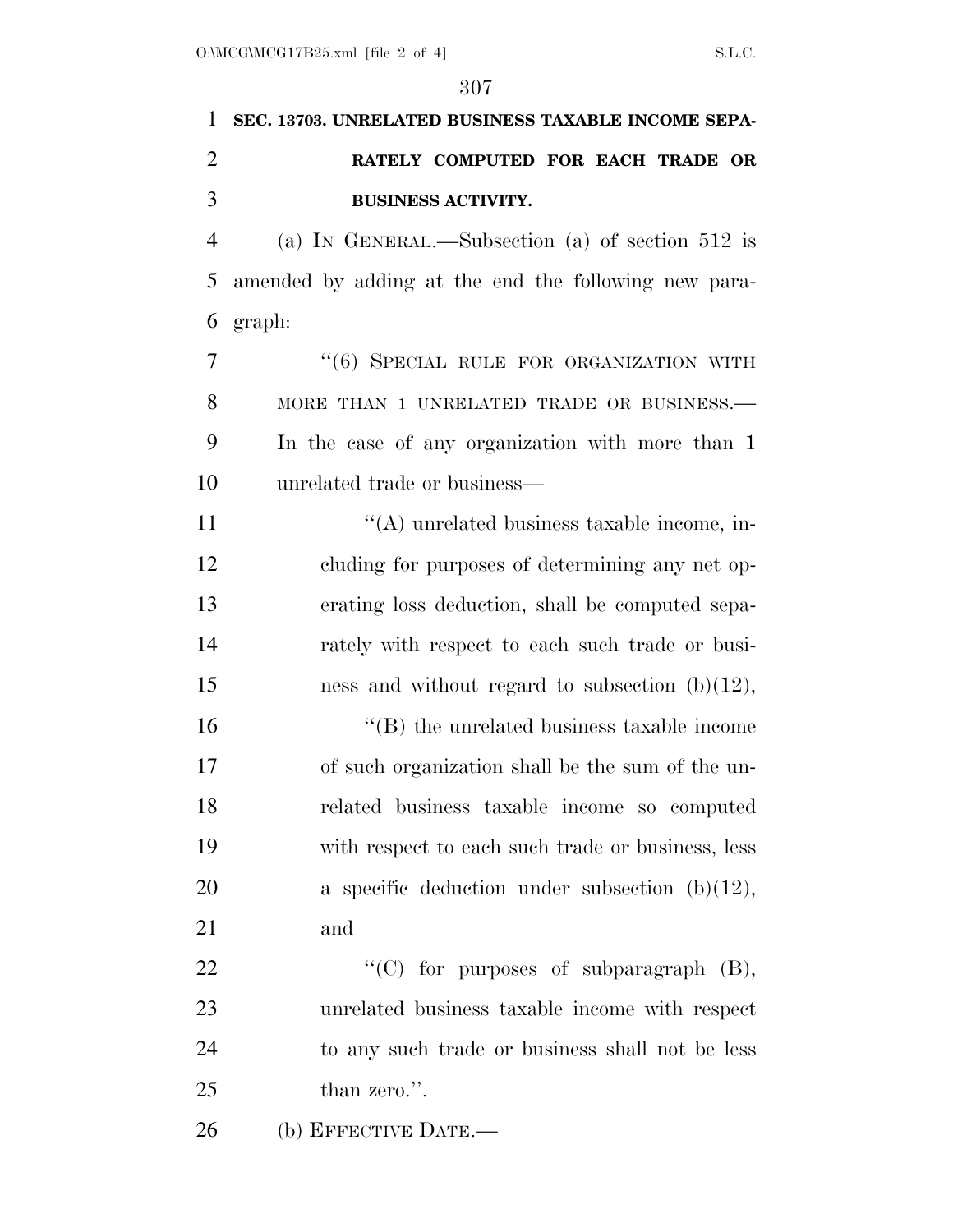# **SEC. 13703. UNRELATED BUSINESS TAXABLE INCOME SEPA- RATELY COMPUTED FOR EACH TRADE OR BUSINESS ACTIVITY.**

 (a) IN GENERAL.—Subsection (a) of section 512 is amended by adding at the end the following new para-graph:

7 "(6) SPECIAL RULE FOR ORGANIZATION WITH 8 MORE THAN 1 UNRELATED TRADE OR BUSINESS. In the case of any organization with more than 1 unrelated trade or business—

 $\langle (A) \rangle$  unrelated business taxable income, in- cluding for purposes of determining any net op- erating loss deduction, shall be computed sepa- rately with respect to each such trade or busi-15 ness and without regard to subsection  $(b)(12)$ ,

 $\langle G \rangle$  the unrelated business taxable income of such organization shall be the sum of the un- related business taxable income so computed with respect to each such trade or business, less 20 a specific deduction under subsection (b)(12), and

 $\text{``(C)}$  for purposes of subparagraph  $(B)$ , unrelated business taxable income with respect to any such trade or business shall not be less 25 than zero.".

(b) EFFECTIVE DATE.—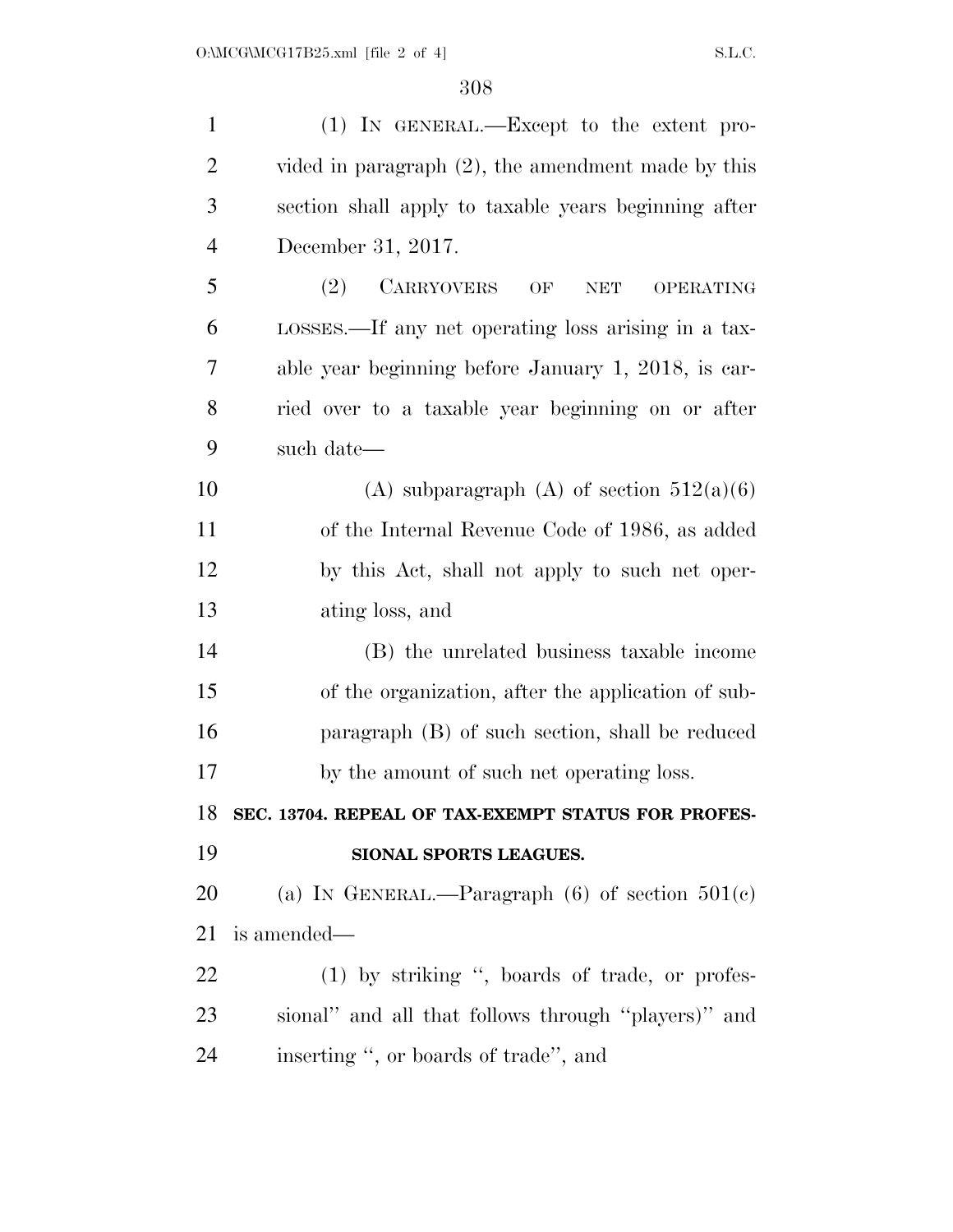| $\mathbf{1}$   | $(1)$ IN GENERAL.—Except to the extent pro-                      |
|----------------|------------------------------------------------------------------|
| $\overline{2}$ | vided in paragraph $(2)$ , the amendment made by this            |
| 3              | section shall apply to taxable years beginning after             |
| $\overline{4}$ | December 31, 2017.                                               |
| 5              | <b>CARRYOVERS</b><br>(2)<br>OF<br><b>NET</b><br><b>OPERATING</b> |
| 6              | LOSSES.—If any net operating loss arising in a tax-              |
| 7              | able year beginning before January 1, 2018, is car-              |
| 8              | ried over to a taxable year beginning on or after                |
| 9              | such date—                                                       |
| 10             | (A) subparagraph (A) of section $512(a)(6)$                      |
| 11             | of the Internal Revenue Code of 1986, as added                   |
| 12             | by this Act, shall not apply to such net oper-                   |
| 13             | ating loss, and                                                  |
| 14             | (B) the unrelated business taxable income                        |
| 15             | of the organization, after the application of sub-               |
| 16             | paragraph (B) of such section, shall be reduced                  |
| 17             | by the amount of such net operating loss.                        |
| 18             | SEC. 13704. REPEAL OF TAX-EXEMPT STATUS FOR PROFES-              |
| 19             | SIONAL SPORTS LEAGUES.                                           |
| 20             | (a) IN GENERAL.—Paragraph $(6)$ of section $501(c)$              |
| 21             | is amended—                                                      |
| 22             | (1) by striking ", boards of trade, or profes-                   |
| 23             | sional" and all that follows through "players)" and              |
| 24             | inserting ", or boards of trade", and                            |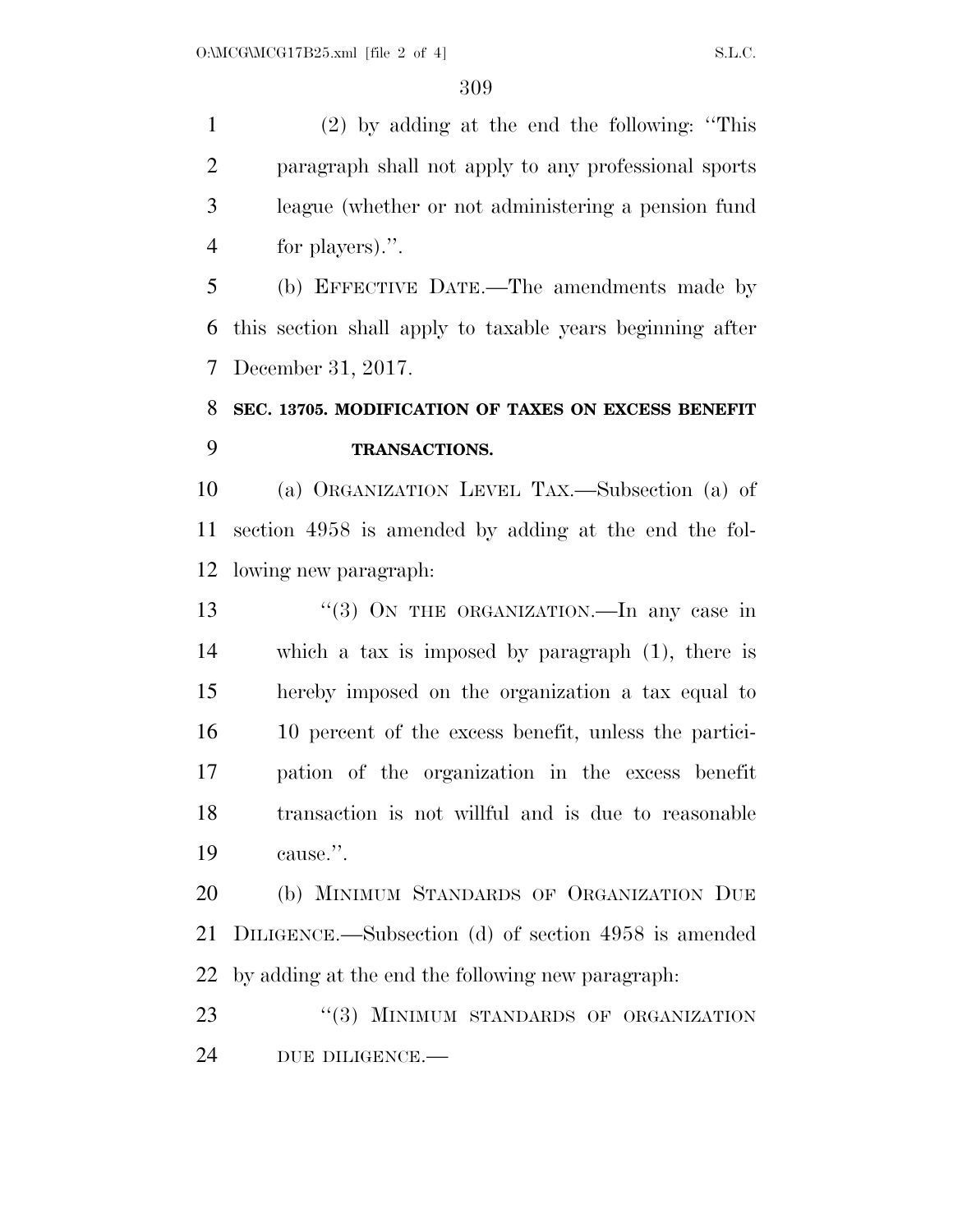(2) by adding at the end the following: ''This paragraph shall not apply to any professional sports league (whether or not administering a pension fund for players).''.

 (b) EFFECTIVE DATE.—The amendments made by this section shall apply to taxable years beginning after December 31, 2017.

### **SEC. 13705. MODIFICATION OF TAXES ON EXCESS BENEFIT TRANSACTIONS.**

 (a) ORGANIZATION LEVEL TAX.—Subsection (a) of section 4958 is amended by adding at the end the fol-lowing new paragraph:

13 "(3) ON THE ORGANIZATION.—In any case in which a tax is imposed by paragraph (1), there is hereby imposed on the organization a tax equal to 10 percent of the excess benefit, unless the partici- pation of the organization in the excess benefit transaction is not willful and is due to reasonable cause.''.

 (b) MINIMUM STANDARDS OF ORGANIZATION DUE DILIGENCE.—Subsection (d) of section 4958 is amended by adding at the end the following new paragraph:

23 "(3) MINIMUM STANDARDS OF ORGANIZATION DUE DILIGENCE.—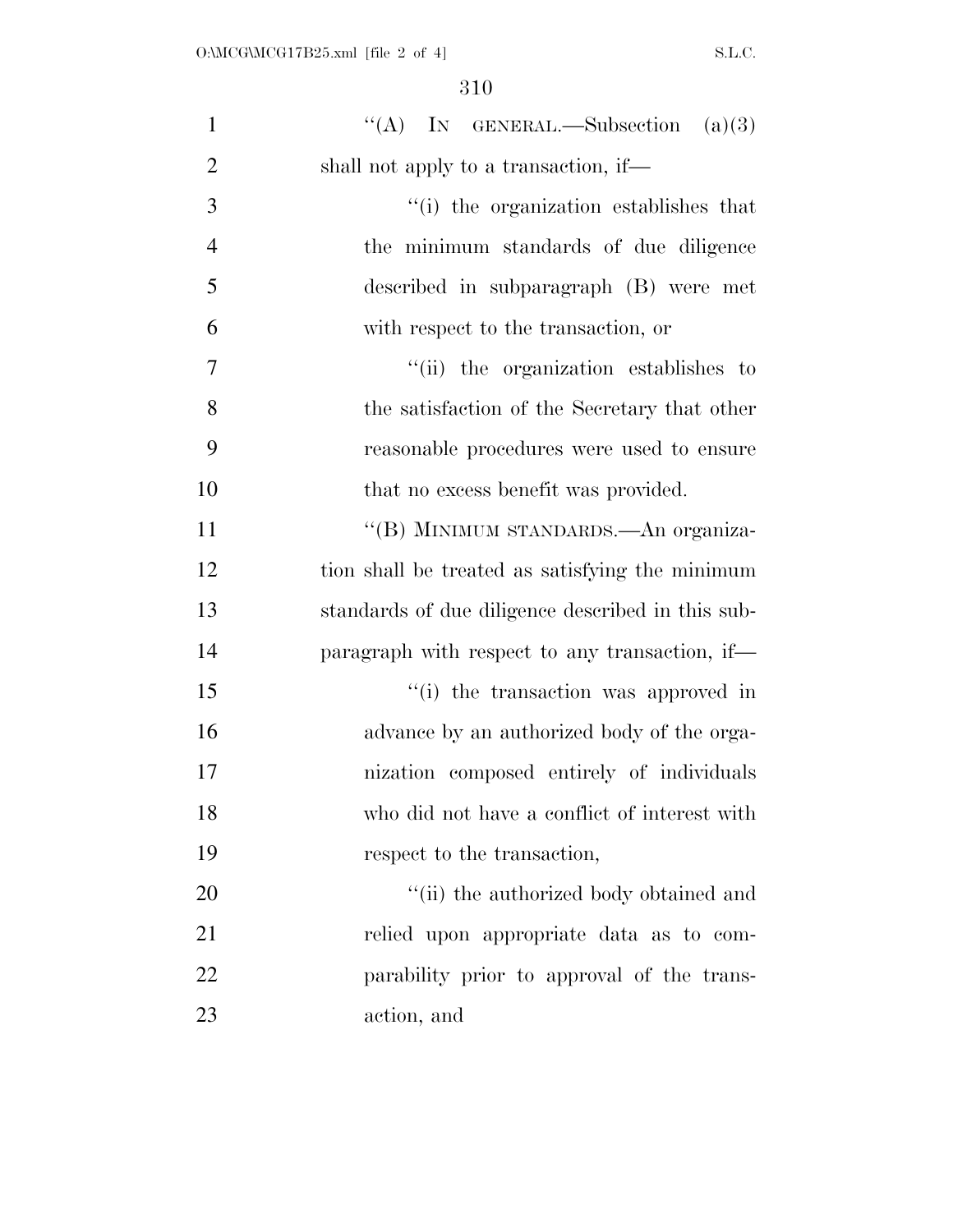| $\mathbf{1}$   | "(A) IN GENERAL.—Subsection $(a)(3)$              |
|----------------|---------------------------------------------------|
| $\overline{2}$ | shall not apply to a transaction, if—             |
| 3              | "(i) the organization establishes that            |
| $\overline{4}$ | the minimum standards of due diligence            |
| 5              | described in subparagraph (B) were met            |
| 6              | with respect to the transaction, or               |
| $\overline{7}$ | "(ii) the organization establishes to             |
| 8              | the satisfaction of the Secretary that other      |
| 9              | reasonable procedures were used to ensure         |
| 10             | that no excess benefit was provided.              |
| 11             | "(B) MINIMUM STANDARDS.—An organiza-              |
| 12             | tion shall be treated as satisfying the minimum   |
| 13             | standards of due diligence described in this sub- |
| 14             | paragraph with respect to any transaction, if—    |
| 15             | "(i) the transaction was approved in              |
| 16             | advance by an authorized body of the orga-        |
| 17             | nization composed entirely of individuals         |
| 18             | who did not have a conflict of interest with      |
| 19             | respect to the transaction,                       |
| 20             | "(ii) the authorized body obtained and            |
| 21             | relied upon appropriate data as to com-           |
| 22             | parability prior to approval of the trans-        |
| 23             | action, and                                       |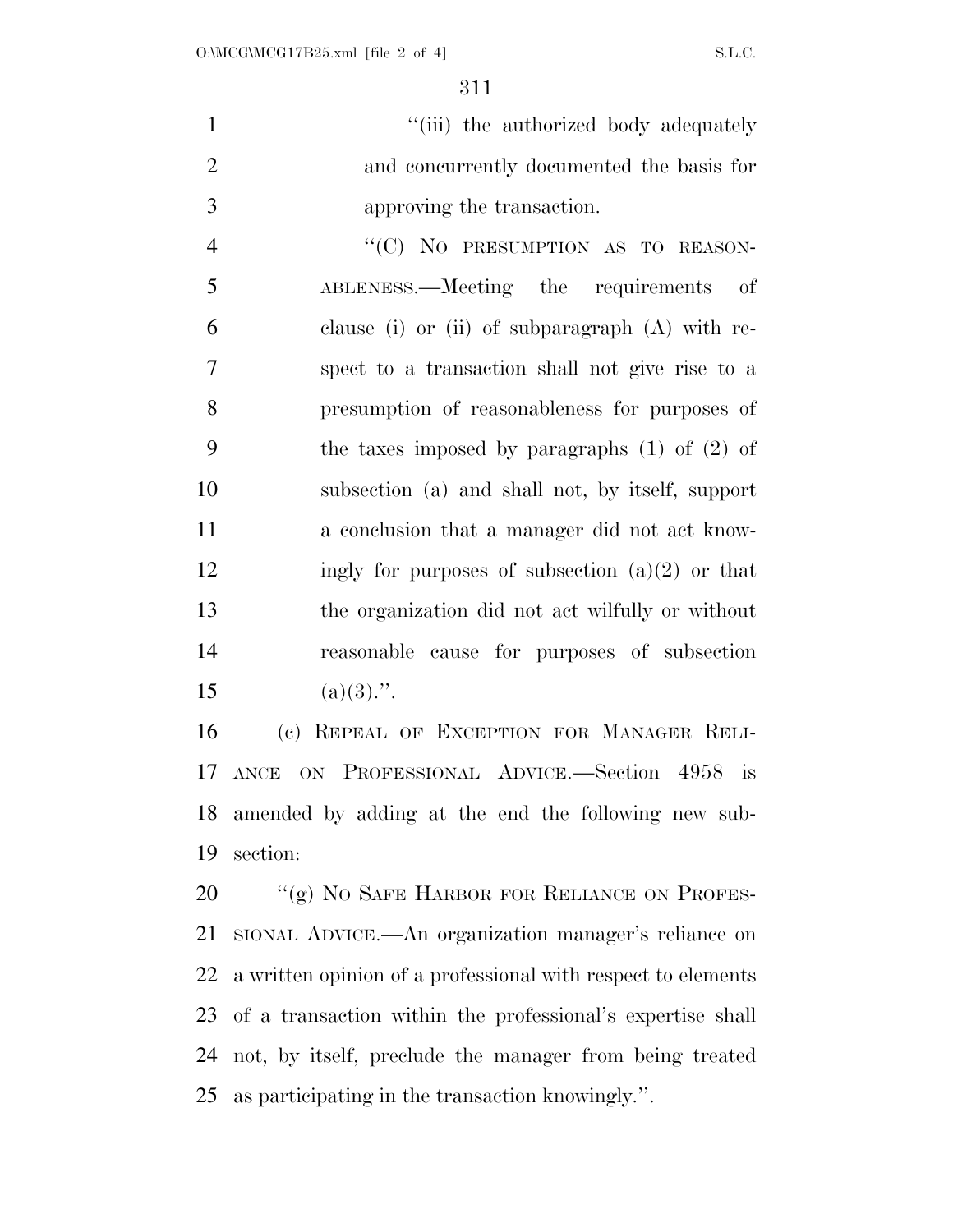|                             | "(iii) the authorized body adequately     |
|-----------------------------|-------------------------------------------|
| $\mathcal{D}_{\mathcal{L}}$ | and concurrently documented the basis for |
| 3                           | approving the transaction.                |

4 "(C) NO PRESUMPTION AS TO REASON- ABLENESS.—Meeting the requirements of clause (i) or (ii) of subparagraph (A) with re- spect to a transaction shall not give rise to a presumption of reasonableness for purposes of the taxes imposed by paragraphs (1) of (2) of subsection (a) and shall not, by itself, support a conclusion that a manager did not act know-12 ingly for purposes of subsection  $(a)(2)$  or that the organization did not act wilfully or without reasonable cause for purposes of subsection 15 (a)(3).".

 (c) REPEAL OF EXCEPTION FOR MANAGER RELI- ANCE ON PROFESSIONAL ADVICE.—Section 4958 is amended by adding at the end the following new sub-section:

20 "(g) NO SAFE HARBOR FOR RELIANCE ON PROFES- SIONAL ADVICE.—An organization manager's reliance on a written opinion of a professional with respect to elements of a transaction within the professional's expertise shall not, by itself, preclude the manager from being treated as participating in the transaction knowingly.''.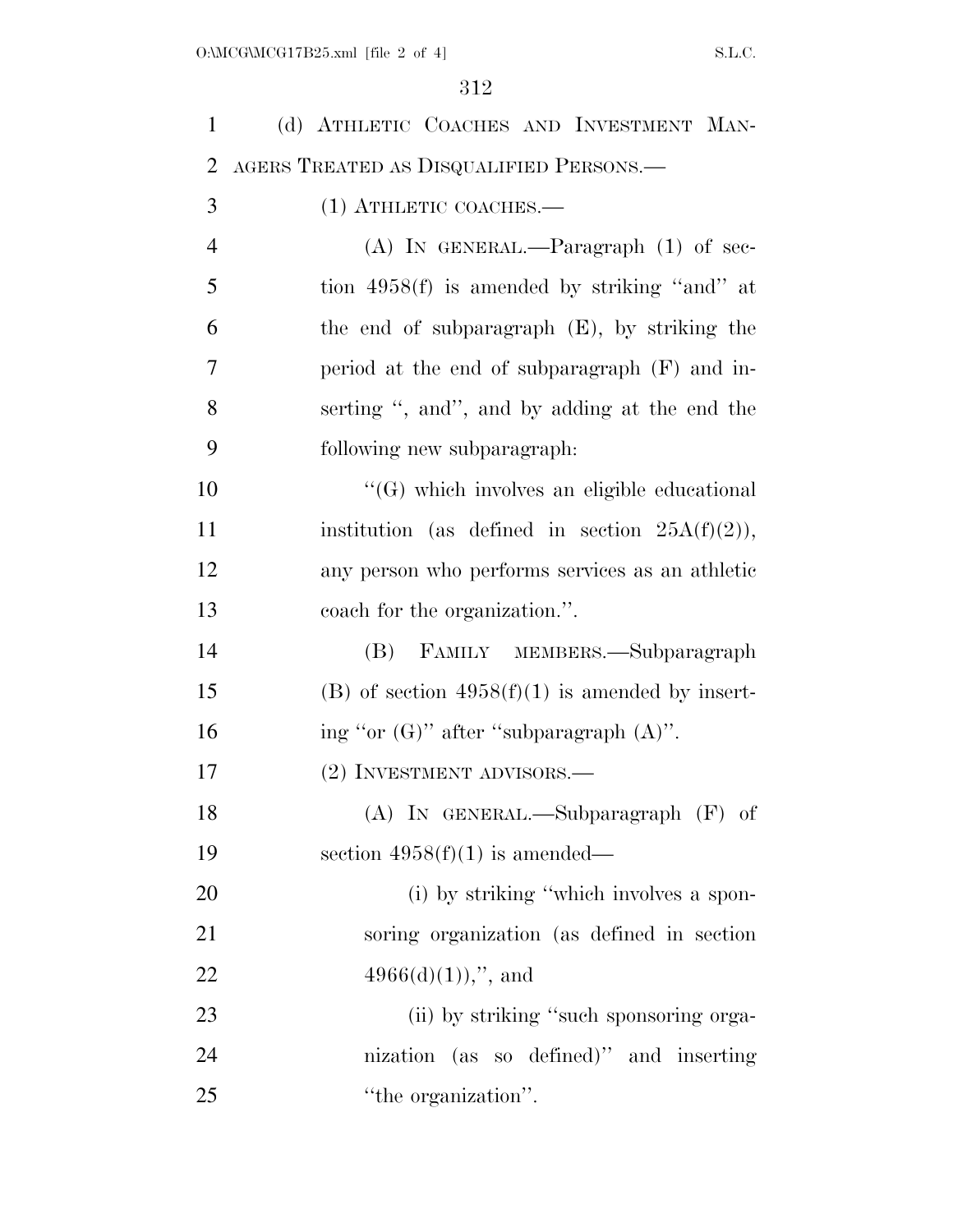| $\mathbf{1}$   | (d) ATHLETIC COACHES AND INVESTMENT MAN-            |
|----------------|-----------------------------------------------------|
| $\overline{2}$ | AGERS TREATED AS DISQUALIFIED PERSONS.-             |
| 3              | $(1)$ ATHLETIC COACHES.—                            |
| $\overline{4}$ | $(A)$ In GENERAL.—Paragraph $(1)$ of sec-           |
| 5              | tion $4958(f)$ is amended by striking "and" at      |
| 6              | the end of subparagraph $(E)$ , by striking the     |
| $\overline{7}$ | period at the end of subparagraph (F) and in-       |
| 8              | serting ", and", and by adding at the end the       |
| 9              | following new subparagraph:                         |
| 10             | "(G) which involves an eligible educational         |
| 11             | institution (as defined in section $25A(f)(2)$ ),   |
| 12             | any person who performs services as an athletic     |
| 13             | coach for the organization.".                       |
| 14             | FAMILY MEMBERS.-Subparagraph<br>(B)                 |
| 15             | $(B)$ of section $4958(f)(1)$ is amended by insert- |
| 16             | ing "or $(G)$ " after "subparagraph $(A)$ ".        |
| 17             | (2) INVESTMENT ADVISORS.—                           |
| 18             | $(A)$ IN GENERAL.—Subparagraph $(F)$ of             |
| 19             | section $4958(f)(1)$ is amended—                    |
| 20             | (i) by striking "which involves a spon-             |
| 21             | soring organization (as defined in section)         |
| 22             | $4966(d)(1)$ ,", and                                |
| 23             | (ii) by striking "such sponsoring orga-             |
| 24             | nization (as so defined)" and inserting             |
| 25             | "the organization".                                 |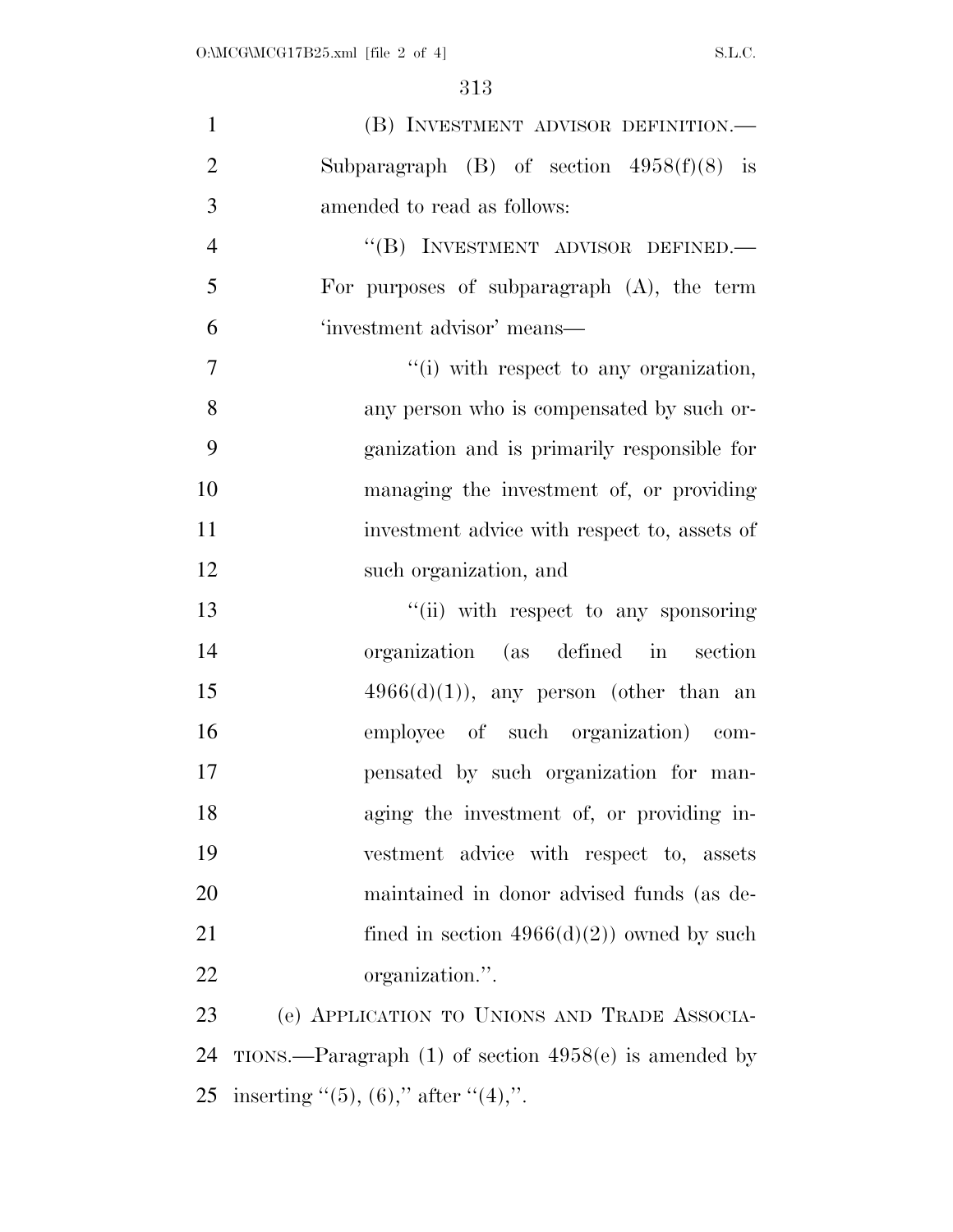| $\mathbf{1}$   | (B) INVESTMENT ADVISOR DEFINITION.—                       |
|----------------|-----------------------------------------------------------|
| $\overline{2}$ | Subparagraph (B) of section $4958(f)(8)$ is               |
| 3              | amended to read as follows:                               |
| $\overline{4}$ | "(B) INVESTMENT ADVISOR DEFINED.—                         |
| 5              | For purposes of subparagraph $(A)$ , the term             |
| 6              | 'investment advisor' means—                               |
| 7              | "(i) with respect to any organization,                    |
| 8              | any person who is compensated by such or-                 |
| 9              | ganization and is primarily responsible for               |
| 10             | managing the investment of, or providing                  |
| 11             | investment advice with respect to, assets of              |
| 12             | such organization, and                                    |
| 13             | "(ii) with respect to any sponsoring                      |
| 14             | organization (as defined in section                       |
| 15             | $4966(d)(1)$ , any person (other than an                  |
| 16             | employee of such organization) com-                       |
| 17             | pensated by such organization for man-                    |
| 18             | aging the investment of, or providing in-                 |
| 19             | vestment advice with respect to, assets                   |
| 20             | maintained in donor advised funds (as de-                 |
| 21             | fined in section $4966(d)(2)$ owned by such               |
| 22             | organization.".                                           |
| 23             | (e) APPLICATION TO UNIONS AND TRADE ASSOCIA-              |
| 24             | TIONS.—Paragraph $(1)$ of section $4958(e)$ is amended by |
| 25             | inserting "(5), (6)," after "(4),".                       |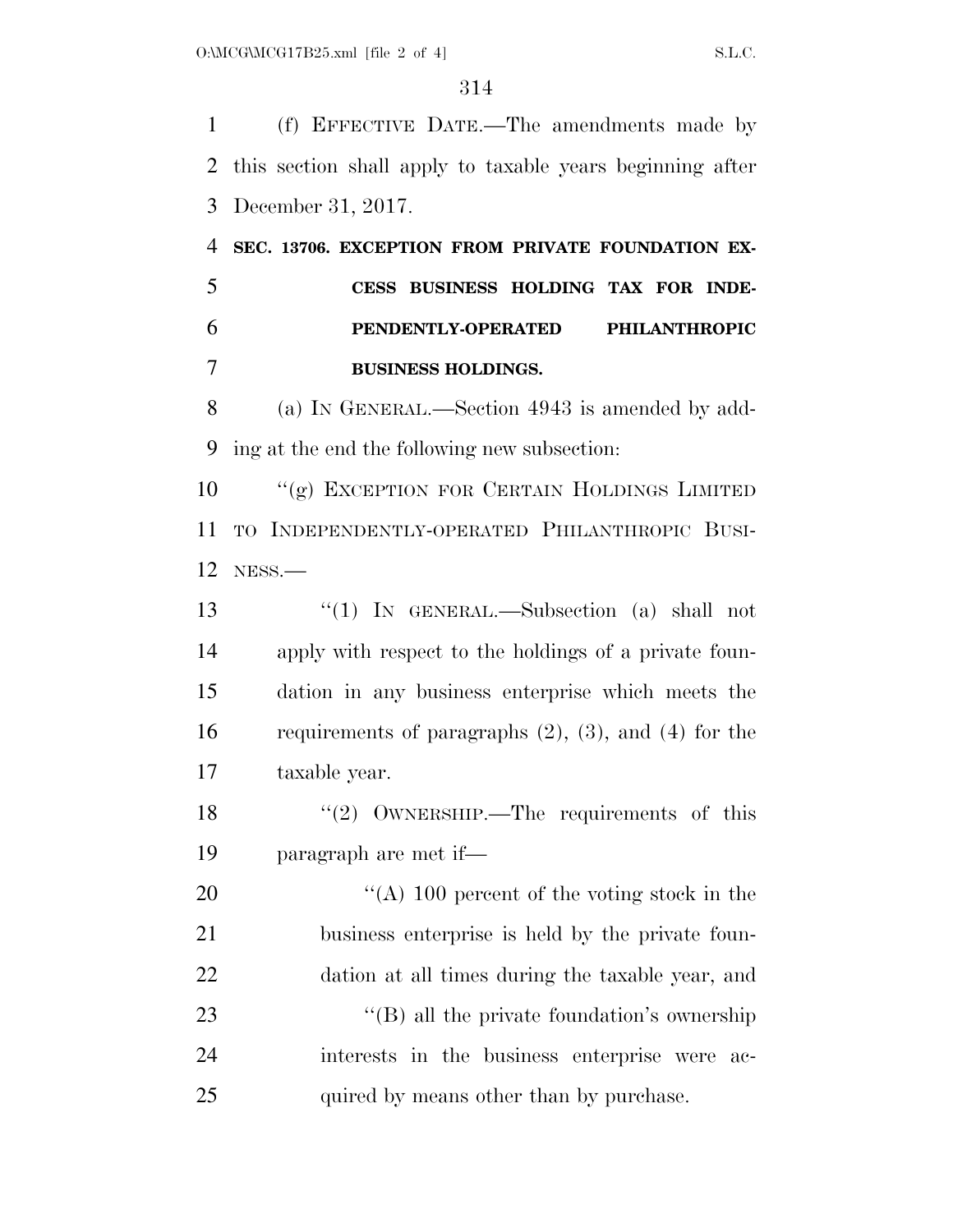(f) EFFECTIVE DATE.—The amendments made by this section shall apply to taxable years beginning after December 31, 2017.

 **SEC. 13706. EXCEPTION FROM PRIVATE FOUNDATION EX- CESS BUSINESS HOLDING TAX FOR INDE- PENDENTLY-OPERATED PHILANTHROPIC BUSINESS HOLDINGS.** 

 (a) IN GENERAL.—Section 4943 is amended by add-ing at the end the following new subsection:

 ''(g) EXCEPTION FOR CERTAIN HOLDINGS LIMITED TO INDEPENDENTLY-OPERATED PHILANTHROPIC BUSI-NESS.—

 ''(1) IN GENERAL.—Subsection (a) shall not apply with respect to the holdings of a private foun- dation in any business enterprise which meets the requirements of paragraphs (2), (3), and (4) for the taxable year.

18 ''(2) OWNERSHIP.—The requirements of this paragraph are met if—

 $\frac{1}{2}$  (A) 100 percent of the voting stock in the business enterprise is held by the private foun- dation at all times during the taxable year, and 23 ''(B) all the private foundation's ownership interests in the business enterprise were ac-25 quired by means other than by purchase.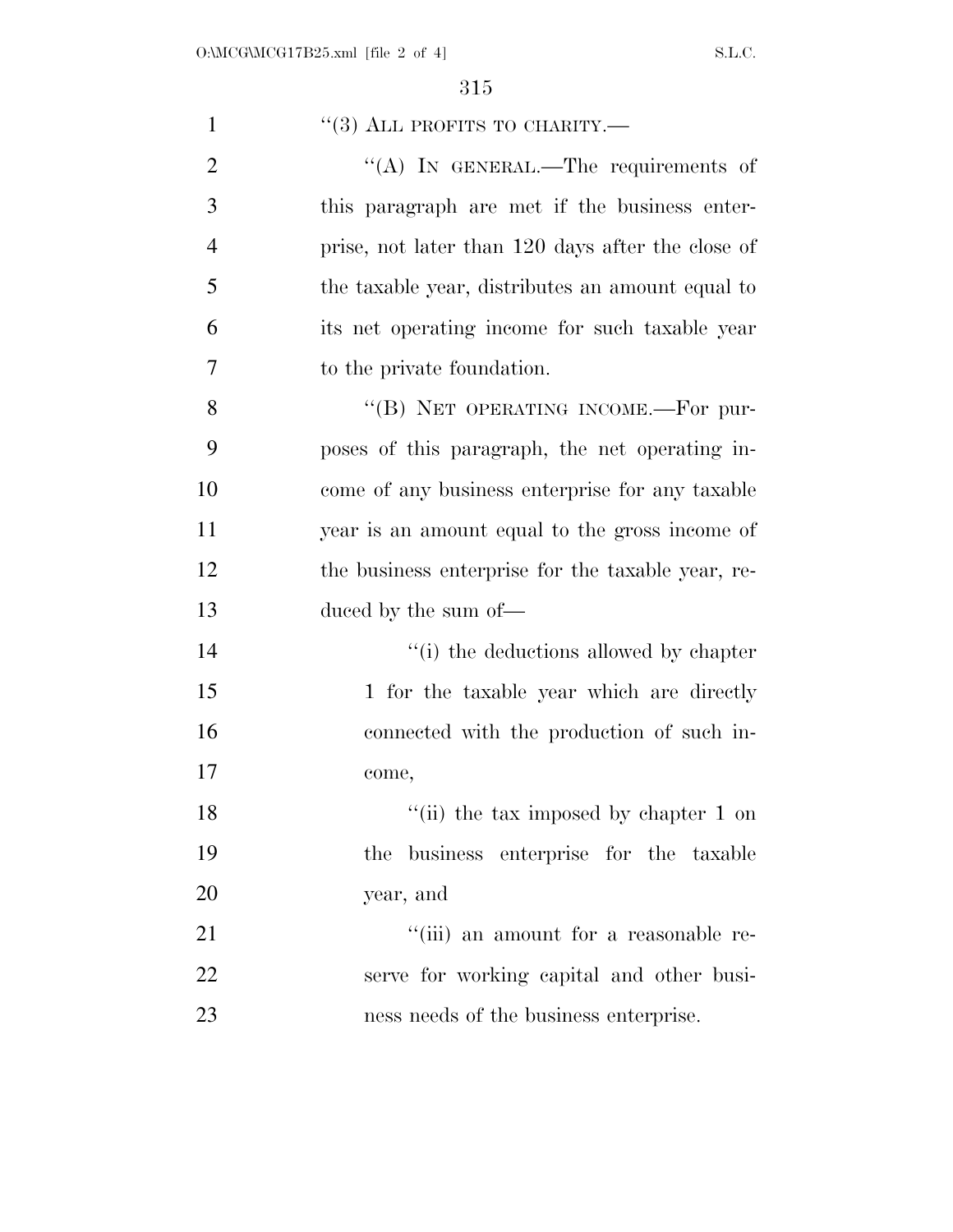| $\mathbf{1}$   | $``(3)$ ALL PROFITS TO CHARITY.—                  |
|----------------|---------------------------------------------------|
| $\overline{2}$ | "(A) IN GENERAL.—The requirements of              |
| 3              | this paragraph are met if the business enter-     |
| $\overline{4}$ | prise, not later than 120 days after the close of |
| 5              | the taxable year, distributes an amount equal to  |
| 6              | its net operating income for such taxable year    |
| 7              | to the private foundation.                        |
| 8              | "(B) NET OPERATING INCOME.-For pur-               |
| 9              | poses of this paragraph, the net operating in-    |
| 10             | come of any business enterprise for any taxable   |
| 11             | year is an amount equal to the gross income of    |
| 12             | the business enterprise for the taxable year, re- |
| 13             | duced by the sum of—                              |
| 14             | "(i) the deductions allowed by chapter            |
| 15             | 1 for the taxable year which are directly         |
| 16             | connected with the production of such in-         |
| 17             | come,                                             |
| 18             | "(ii) the tax imposed by chapter $1$ on           |
| 19             | the business enterprise for the taxable           |
| 20             | year, and                                         |
| 21             | "(iii) an amount for a reasonable re-             |
| 22             | serve for working capital and other busi-         |
| 23             | ness needs of the business enterprise.            |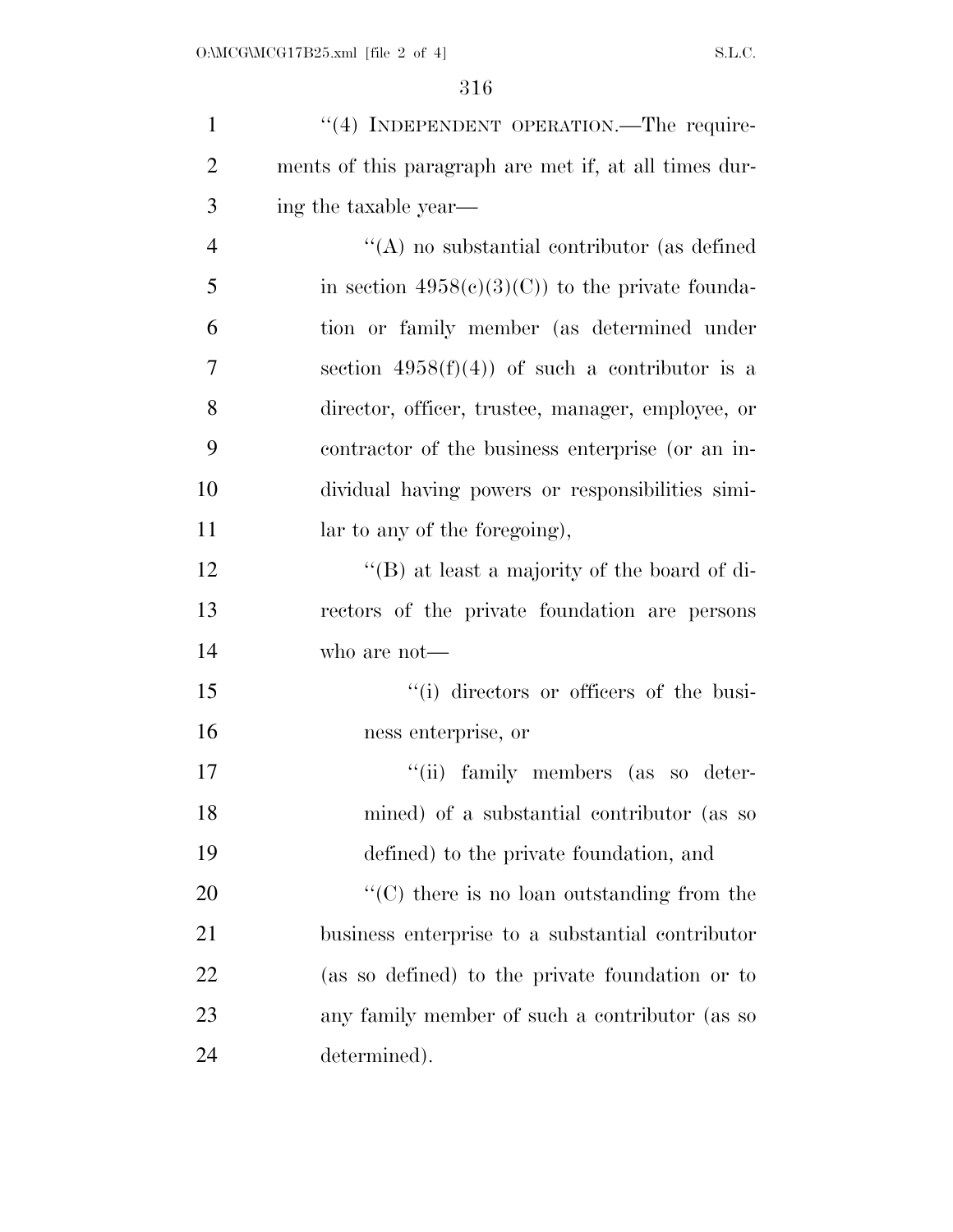| $\mathbf{1}$   | "(4) INDEPENDENT OPERATION.—The require-              |
|----------------|-------------------------------------------------------|
| $\overline{2}$ | ments of this paragraph are met if, at all times dur- |
| 3              | ing the taxable year—                                 |
| $\overline{4}$ | $\lq\lq$ no substantial contributor (as defined       |
| 5              | in section $4958(c)(3)(C)$ to the private founda-     |
| 6              | tion or family member (as determined under            |
| $\overline{7}$ | section $4958(f)(4)$ of such a contributor is a       |
| 8              | director, officer, trustee, manager, employee, or     |
| 9              | contractor of the business enterprise (or an in-      |
| 10             | dividual having powers or responsibilities simi-      |
| 11             | lar to any of the foregoing),                         |
| 12             | "(B) at least a majority of the board of di-          |
| 13             | rectors of the private foundation are persons         |
| 14             | who are not-                                          |
| 15             | "(i) directors or officers of the busi-               |
| 16             | ness enterprise, or                                   |
| 17             | "(ii) family members (as so deter-                    |
| 18             | mined) of a substantial contributor (as so            |
| 19             | defined) to the private foundation, and               |
| 20             | $\lq\lq$ (C) there is no loan outstanding from the    |
| 21             | business enterprise to a substantial contributor      |
| 22             | (as so defined) to the private foundation or to       |
| 23             | any family member of such a contributor (as so        |
| 24             | determined).                                          |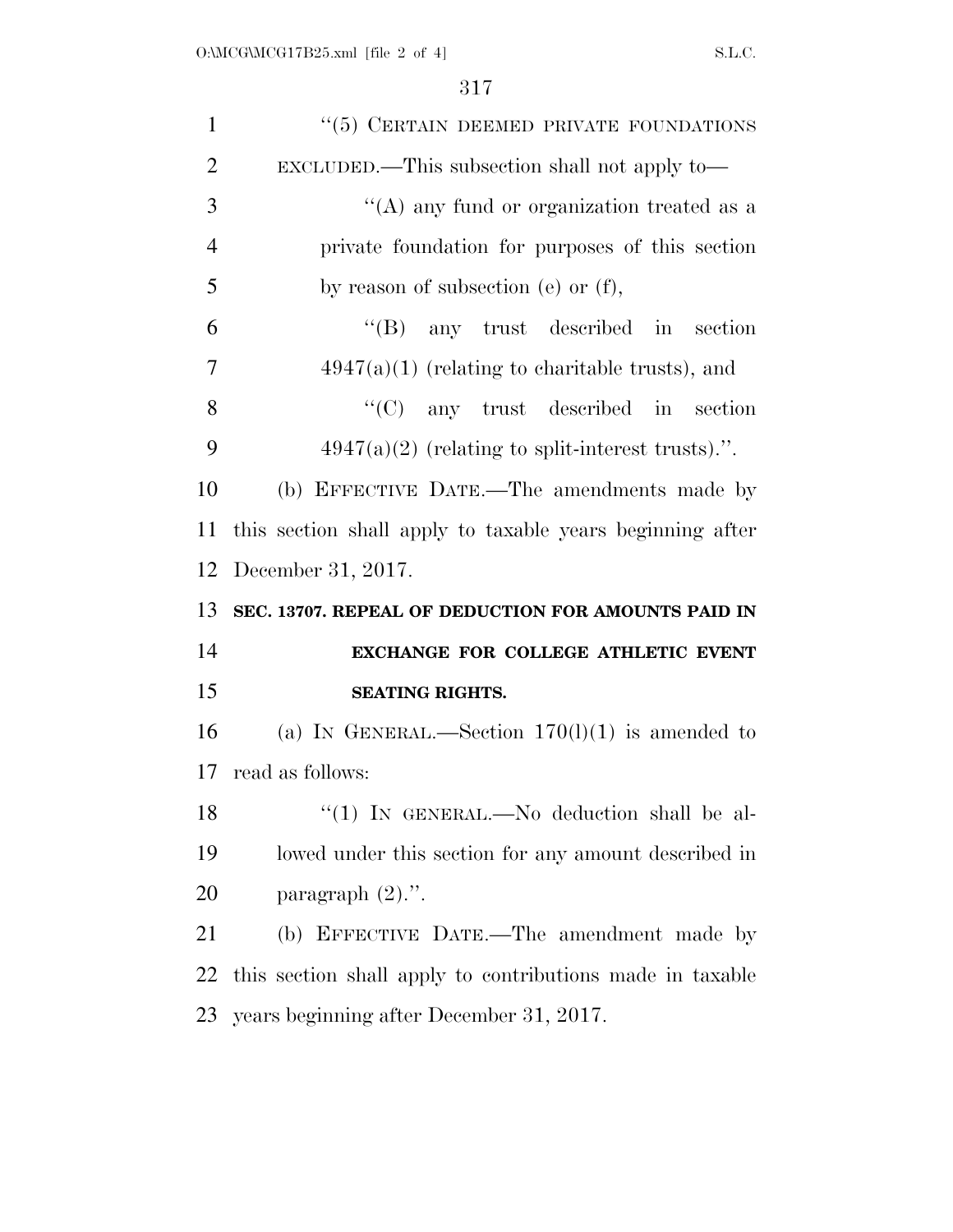| $\mathbf{1}$         | "(5) CERTAIN DEEMED PRIVATE FOUNDATIONS                   |
|----------------------|-----------------------------------------------------------|
| $\overline{2}$       | EXCLUDED.—This subsection shall not apply to—             |
| 3                    | "(A) any fund or organization treated as a                |
| $\overline{4}$       | private foundation for purposes of this section           |
| 5                    | by reason of subsection (e) or $(f)$ ,                    |
| 6                    | $\lq\lq(B)$ any trust described in section                |
| 7                    | $4947(a)(1)$ (relating to charitable trusts), and         |
| 8                    | $\lq\lq$ (C) any trust described in section               |
| 9                    | $4947(a)(2)$ (relating to split-interest trusts).".       |
| 10                   | (b) EFFECTIVE DATE.—The amendments made by                |
| 11                   | this section shall apply to taxable years beginning after |
|                      |                                                           |
|                      | December 31, 2017.                                        |
|                      | SEC. 13707. REPEAL OF DEDUCTION FOR AMOUNTS PAID IN       |
|                      | EXCHANGE FOR COLLEGE ATHLETIC EVENT                       |
| 12<br>13<br>14<br>15 | <b>SEATING RIGHTS.</b>                                    |
|                      | (a) IN GENERAL.—Section $170(l)(1)$ is amended to         |
| 16<br>17             | read as follows:                                          |
|                      | "(1) IN GENERAL.—No deduction shall be al-                |
| 18<br>19             | lowed under this section for any amount described in      |
| 20                   | paragraph $(2)$ .".                                       |
| 21                   | (b) EFFECTIVE DATE.—The amendment made by                 |
| 22                   | this section shall apply to contributions made in taxable |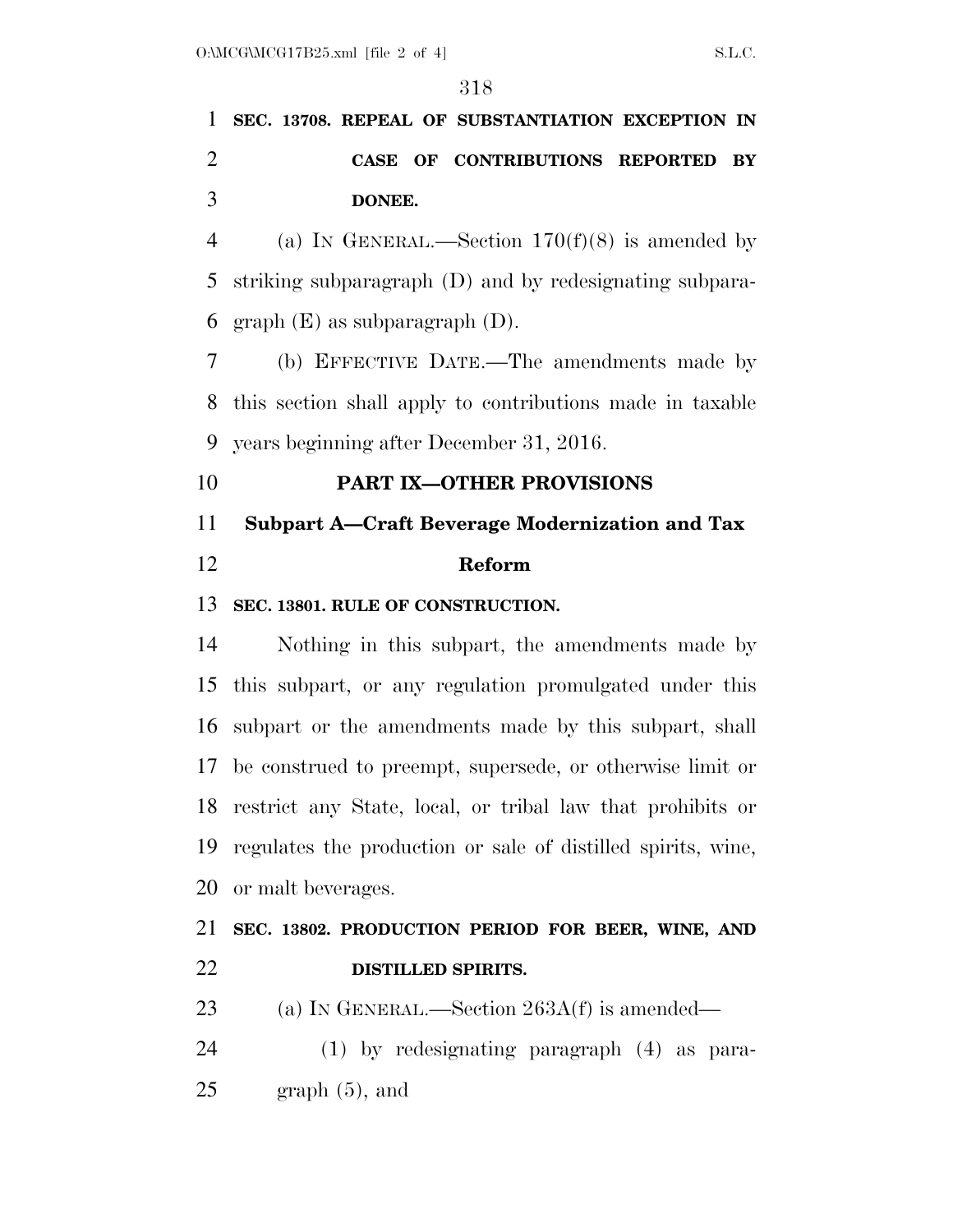## **SEC. 13708. REPEAL OF SUBSTANTIATION EXCEPTION IN CASE OF CONTRIBUTIONS REPORTED BY DONEE.**

4 (a) IN GENERAL.—Section  $170(f)(8)$  is amended by striking subparagraph (D) and by redesignating subpara-6 graph  $(E)$  as subparagraph  $(D)$ .

 (b) EFFECTIVE DATE.—The amendments made by this section shall apply to contributions made in taxable years beginning after December 31, 2016.

### **PART IX—OTHER PROVISIONS**

## **Subpart A—Craft Beverage Modernization and Tax Reform**

#### **SEC. 13801. RULE OF CONSTRUCTION.**

 Nothing in this subpart, the amendments made by this subpart, or any regulation promulgated under this subpart or the amendments made by this subpart, shall be construed to preempt, supersede, or otherwise limit or restrict any State, local, or tribal law that prohibits or regulates the production or sale of distilled spirits, wine, or malt beverages.

### **SEC. 13802. PRODUCTION PERIOD FOR BEER, WINE, AND DISTILLED SPIRITS.**

- 23 (a) IN GENERAL.—Section 263A(f) is amended—
- (1) by redesignating paragraph (4) as para- $25 \quad$  graph  $(5)$ , and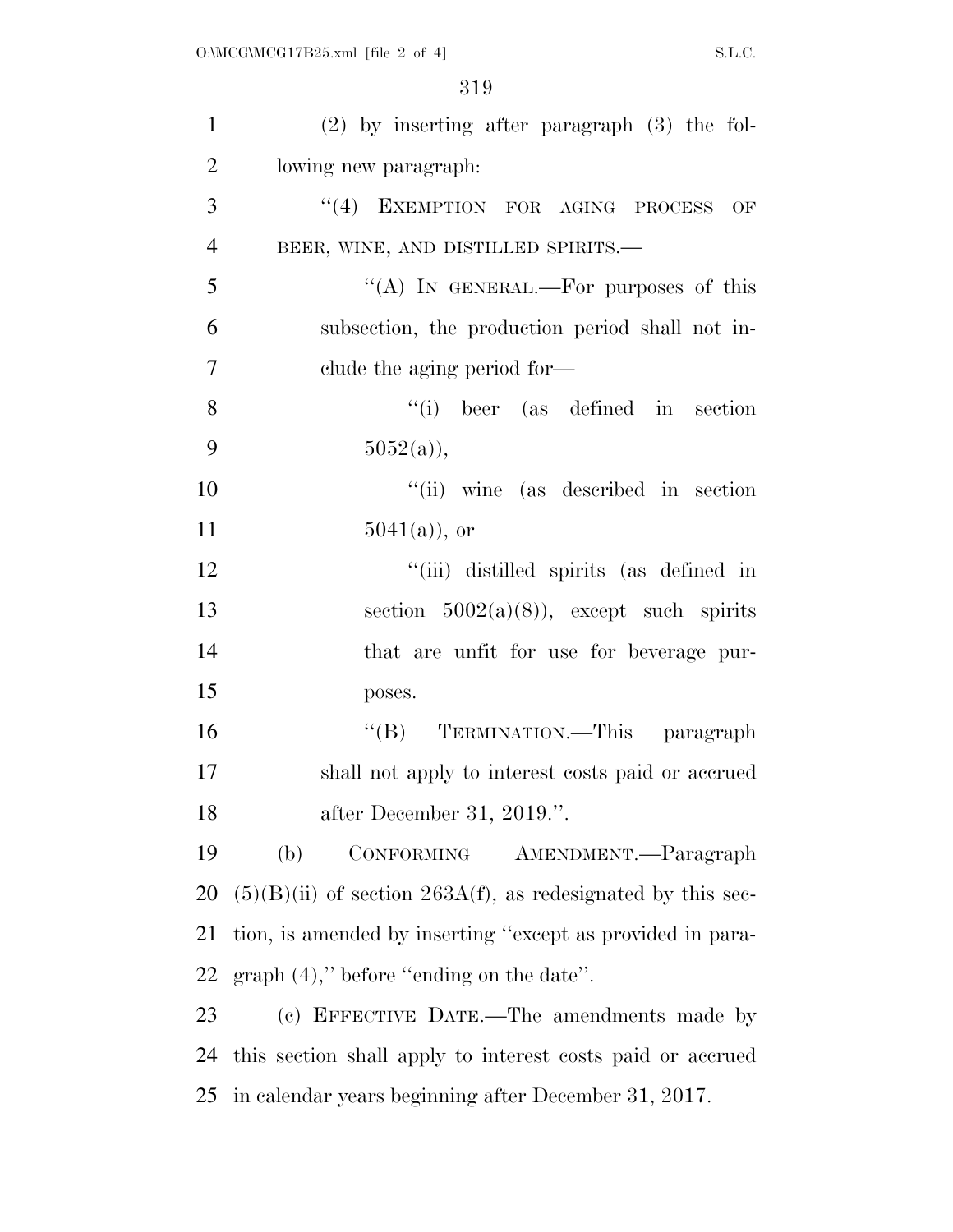| $\mathbf{1}$   | $(2)$ by inserting after paragraph $(3)$ the fol-             |
|----------------|---------------------------------------------------------------|
| $\overline{2}$ | lowing new paragraph.                                         |
| 3              | "(4) EXEMPTION FOR AGING PROCESS<br>OF                        |
| $\overline{4}$ | BEER, WINE, AND DISTILLED SPIRITS.-                           |
| 5              | "(A) IN GENERAL.—For purposes of this                         |
| 6              | subsection, the production period shall not in-               |
| 7              | clude the aging period for—                                   |
| 8              | $``(i)$ beer (as defined in section)                          |
| 9              | $5052(a)$ ,                                                   |
| 10             | "(ii) wine (as described in section)                          |
| 11             | $5041(a)$ , or                                                |
| 12             | "(iii) distilled spirits (as defined in                       |
| 13             | section $5002(a)(8)$ , except such spirits                    |
| 14             | that are unfit for use for beverage pur-                      |
| 15             | poses.                                                        |
| 16             | TERMINATION.—This paragraph<br>$\lq\lq (B)$                   |
| 17             | shall not apply to interest costs paid or accrued             |
| 18             | after December 31, 2019.".                                    |
| 19             | (b)<br>CONFORMING<br>AMENDMENT.—Paragraph                     |
| 20             | $(5)(B)(ii)$ of section 263A(f), as redesignated by this sec- |
| 21             | tion, is amended by inserting "except as provided in para-    |
| 22             | $graph (4)$ ," before "ending on the date".                   |
| 23             | (c) EFFECTIVE DATE.—The amendments made by                    |
| 24             | this section shall apply to interest costs paid or accrued    |
| 25             | in calendar years beginning after December 31, 2017.          |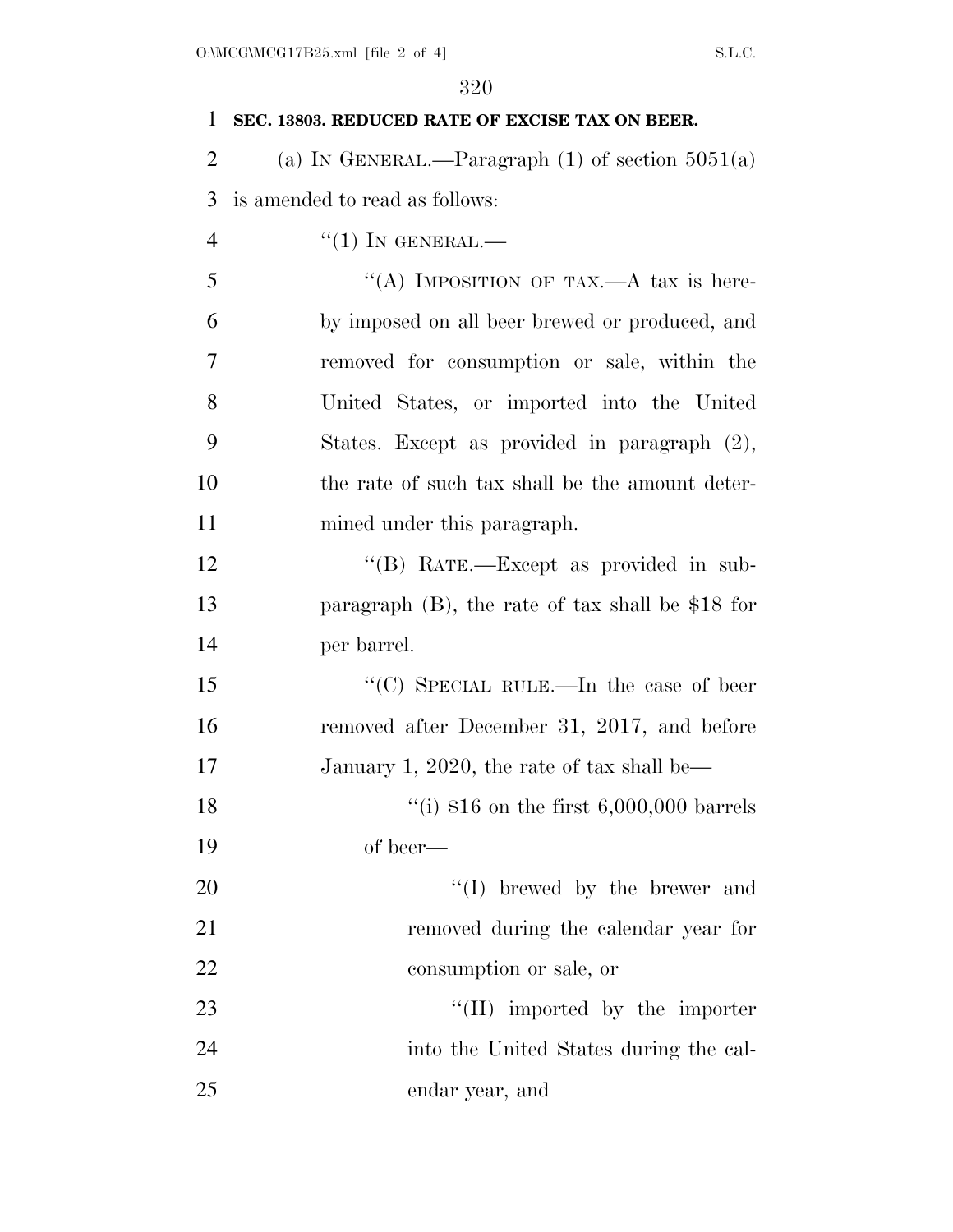| $\mathbf{1}$   | SEC. 13803. REDUCED RATE OF EXCISE TAX ON BEER.      |
|----------------|------------------------------------------------------|
| $\overline{2}$ | (a) IN GENERAL.—Paragraph $(1)$ of section $5051(a)$ |
| 3              | is amended to read as follows:                       |
| $\overline{4}$ | $``(1)$ In GENERAL.—                                 |
| 5              | "(A) IMPOSITION OF TAX.—A tax is here-               |
| 6              | by imposed on all beer brewed or produced, and       |
| 7              | removed for consumption or sale, within the          |
| 8              | United States, or imported into the United           |
| 9              | States. Except as provided in paragraph (2),         |
| 10             | the rate of such tax shall be the amount deter-      |
| 11             | mined under this paragraph.                          |
| 12             | "(B) RATE.—Except as provided in sub-                |
| 13             | paragraph $(B)$ , the rate of tax shall be \$18 for  |
| 14             | per barrel.                                          |
| 15             | "(C) SPECIAL RULE.—In the case of beer               |
| 16             | removed after December 31, 2017, and before          |
| 17             | January 1, 2020, the rate of tax shall be—           |
| 18             | "(i) $$16$ on the first $6,000,000$ barrels          |
| 19             | of beer—                                             |
| 20             | "(I) brewed by the brewer and                        |
| 21             | removed during the calendar year for                 |
| 22             | consumption or sale, or                              |
| 23             | $\lq\lq$ (II) imported by the importer               |
| 24             | into the United States during the cal-               |
| 25             | endar year, and                                      |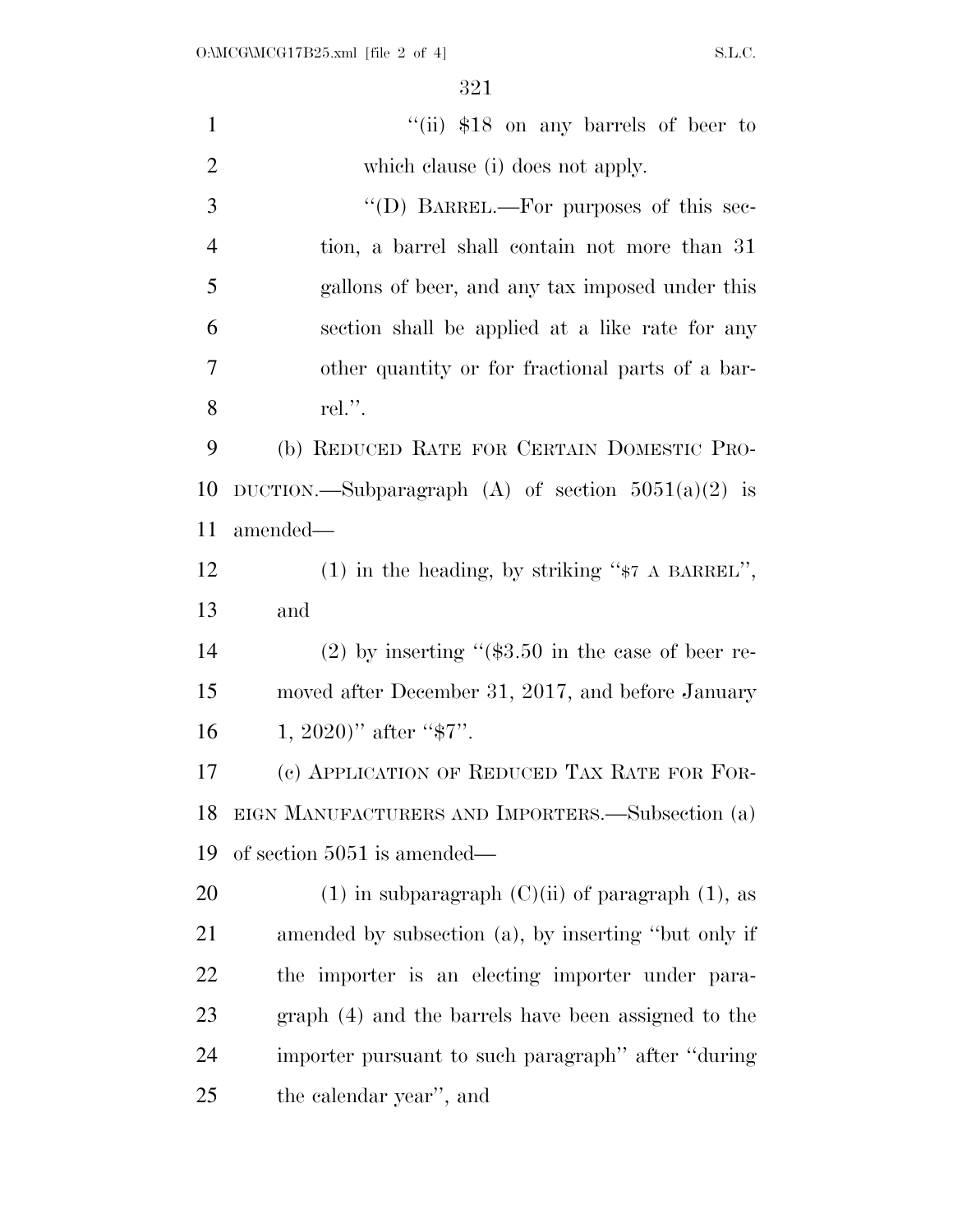| $\mathbf{1}$   | "(ii) $$18$ on any barrels of beer to                  |
|----------------|--------------------------------------------------------|
| $\overline{2}$ | which clause (i) does not apply.                       |
| 3              | "(D) BARREL.—For purposes of this sec-                 |
| $\overline{4}$ | tion, a barrel shall contain not more than 31          |
| 5              | gallons of beer, and any tax imposed under this        |
| 6              | section shall be applied at a like rate for any        |
| 7              | other quantity or for fractional parts of a bar-       |
| 8              | rel.".                                                 |
| 9              | (b) REDUCED RATE FOR CERTAIN DOMESTIC PRO-             |
| 10             | DUCTION.—Subparagraph (A) of section $5051(a)(2)$ is   |
| 11             | amended—                                               |
| 12             | $(1)$ in the heading, by striking " $*7$ A BARREL",    |
| 13             | and                                                    |
| 14             | $(2)$ by inserting " $(\$3.50$ in the case of beer re- |
| 15             | moved after December 31, 2017, and before January      |
| 16             | 1, 2020)" after " $\$7"$ .                             |
| 17             | (c) APPLICATION OF REDUCED TAX RATE FOR FOR-           |
| 18             | EIGN MANUFACTURERS AND IMPORTERS.—Subsection (a)       |
| 19             | of section $5051$ is amended—                          |
| 20             | (1) in subparagraph $(C)(ii)$ of paragraph (1), as     |
| 21             | amended by subsection (a), by inserting "but only if   |
| 22             | the importer is an electing importer under para-       |
| 23             | graph (4) and the barrels have been assigned to the    |
| 24             | importer pursuant to such paragraph" after "during"    |
| 25             | the calendar year", and                                |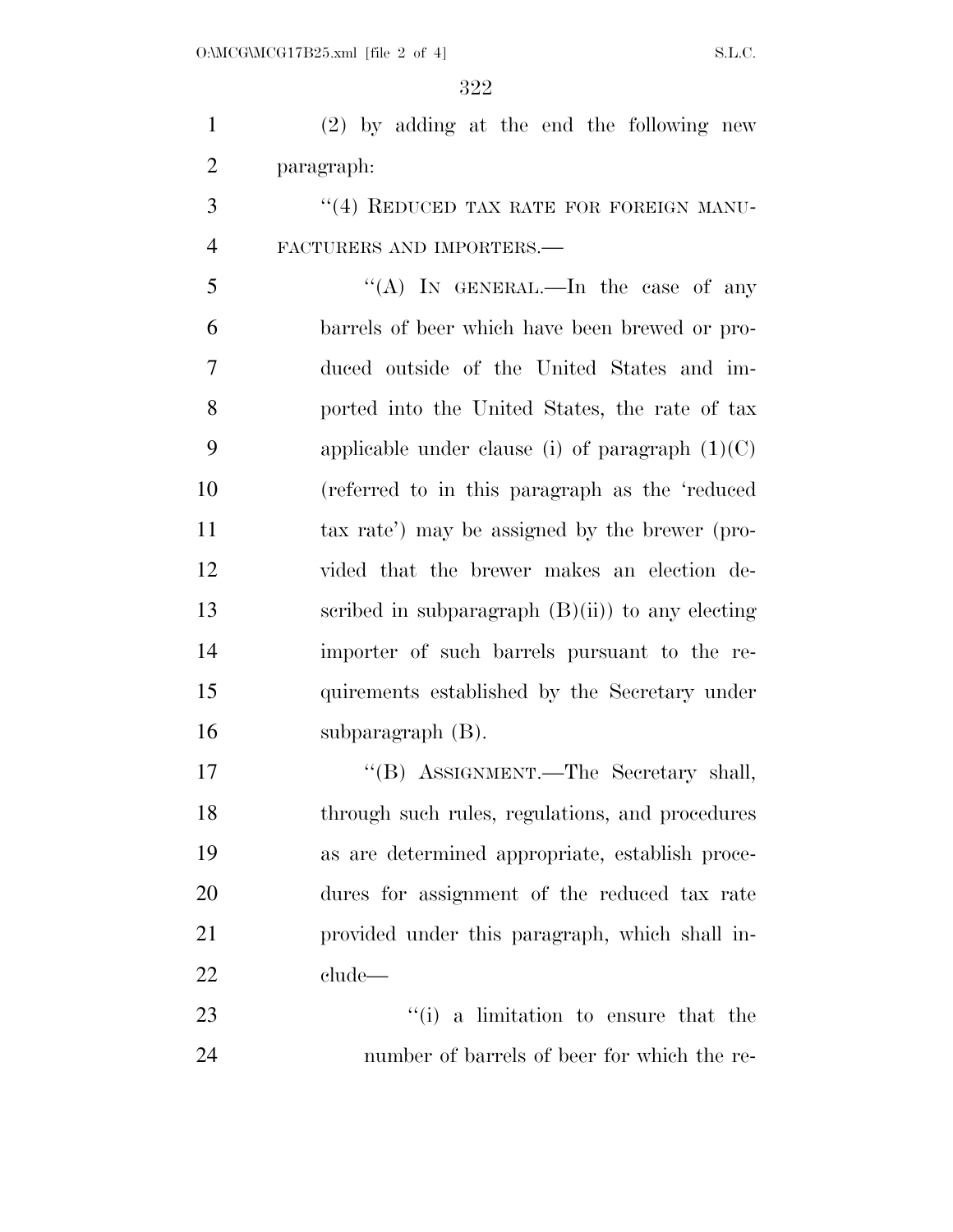(2) by adding at the end the following new paragraph:

3 "(4) REDUCED TAX RATE FOR FOREIGN MANU-FACTURERS AND IMPORTERS.—

 ''(A) In GENERAL.—In the case of any barrels of beer which have been brewed or pro- duced outside of the United States and im- ported into the United States, the rate of tax 9 applicable under clause (i) of paragraph  $(1)(C)$  (referred to in this paragraph as the 'reduced tax rate') may be assigned by the brewer (pro- vided that the brewer makes an election de-13 scribed in subparagraph  $(B)(ii)$  to any electing importer of such barrels pursuant to the re- quirements established by the Secretary under subparagraph (B).

17 "'(B) ASSIGNMENT.—The Secretary shall, through such rules, regulations, and procedures as are determined appropriate, establish proce- dures for assignment of the reduced tax rate provided under this paragraph, which shall in-clude—

23 ''(i) a limitation to ensure that the number of barrels of beer for which the re-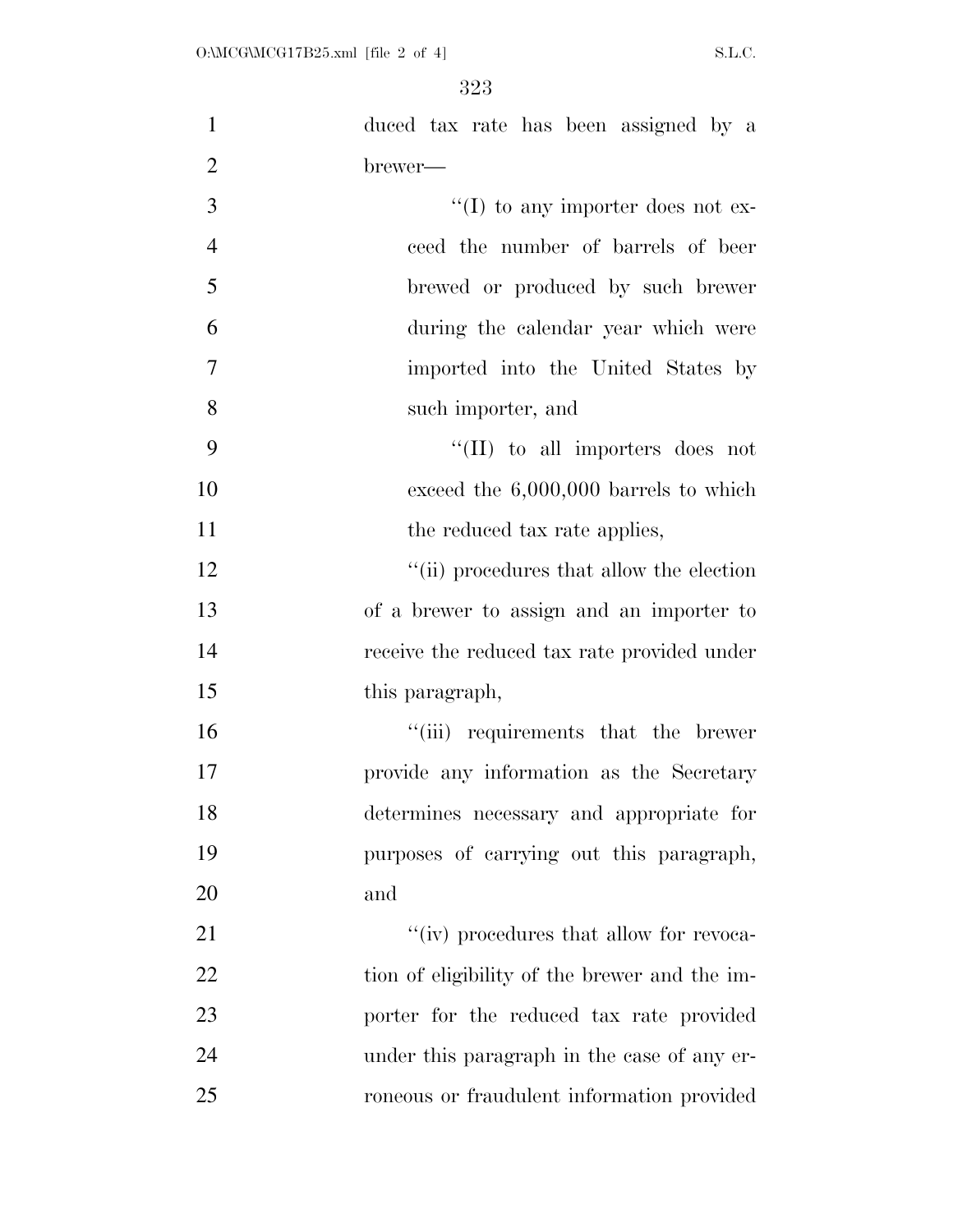| $\mathbf{1}$   | duced tax rate has been assigned by a         |
|----------------|-----------------------------------------------|
| $\overline{2}$ | brewer—                                       |
| 3              | $\lq\lq$ (I) to any importer does not ex-     |
| $\overline{4}$ | ceed the number of barrels of beer            |
| 5              | brewed or produced by such brewer             |
| 6              | during the calendar year which were           |
| $\tau$         | imported into the United States by            |
| 8              | such importer, and                            |
| 9              | $\lq\lq$ (II) to all importers does not       |
| 10             | exceed the $6,000,000$ barrels to which       |
| 11             | the reduced tax rate applies,                 |
| 12             | "(ii) procedures that allow the election      |
| 13             | of a brewer to assign and an importer to      |
| 14             | receive the reduced tax rate provided under   |
| 15             | this paragraph,                               |
| 16             | "(iii) requirements that the brewer           |
| 17             | provide any information as the Secretary      |
| 18             | determines necessary and appropriate for      |
| 19             | purposes of carrying out this paragraph,      |
| 20             | and                                           |
| 21             | "(iv) procedures that allow for revoca-       |
| 22             | tion of eligibility of the brewer and the im- |
| 23             | porter for the reduced tax rate provided      |
| 24             | under this paragraph in the case of any er-   |
| 25             | roneous or fraudulent information provided    |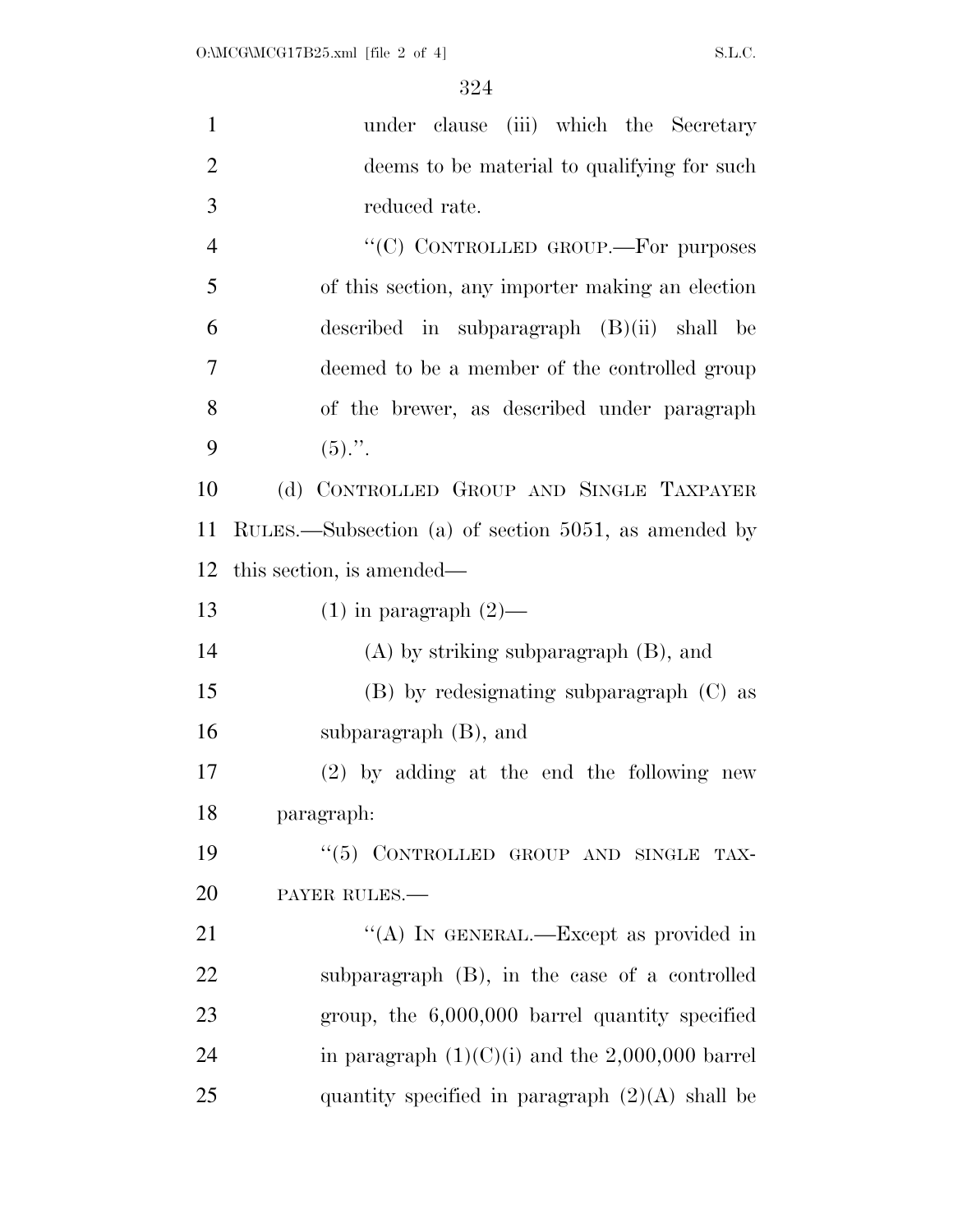| $\mathbf{1}$   | under clause (iii) which the Secretary               |
|----------------|------------------------------------------------------|
| $\overline{2}$ | deems to be material to qualifying for such          |
| 3              | reduced rate.                                        |
| $\overline{4}$ | "(C) CONTROLLED GROUP.-For purposes                  |
| 5              | of this section, any importer making an election     |
| 6              | described in subparagraph $(B)(ii)$ shall be         |
| 7              | deemed to be a member of the controlled group        |
| 8              | of the brewer, as described under paragraph          |
| 9              | $(5)$ .".                                            |
| 10             | (d) CONTROLLED GROUP AND SINGLE TAXPAYER             |
| 11             | RULES.—Subsection (a) of section 5051, as amended by |
| 12             | this section, is amended—                            |
| 13             | $(1)$ in paragraph $(2)$ —                           |
| 14             | $(A)$ by striking subparagraph $(B)$ , and           |
| 15             | $(B)$ by redesignating subparagraph $(C)$ as         |
| 16             | subparagraph $(B)$ , and                             |
| 17             | $(2)$ by adding at the end the following new         |
| 18             | paragraph:                                           |
| 19             | "(5) CONTROLLED GROUP AND SINGLE TAX-                |
| 20             | PAYER RULES.                                         |
| 21             | "(A) IN GENERAL.—Except as provided in               |
| 22             | subparagraph (B), in the case of a controlled        |
| 23             | group, the $6,000,000$ barrel quantity specified     |
| 24             | in paragraph $(1)(C)(i)$ and the 2,000,000 barrel    |
| 25             | quantity specified in paragraph $(2)(A)$ shall be    |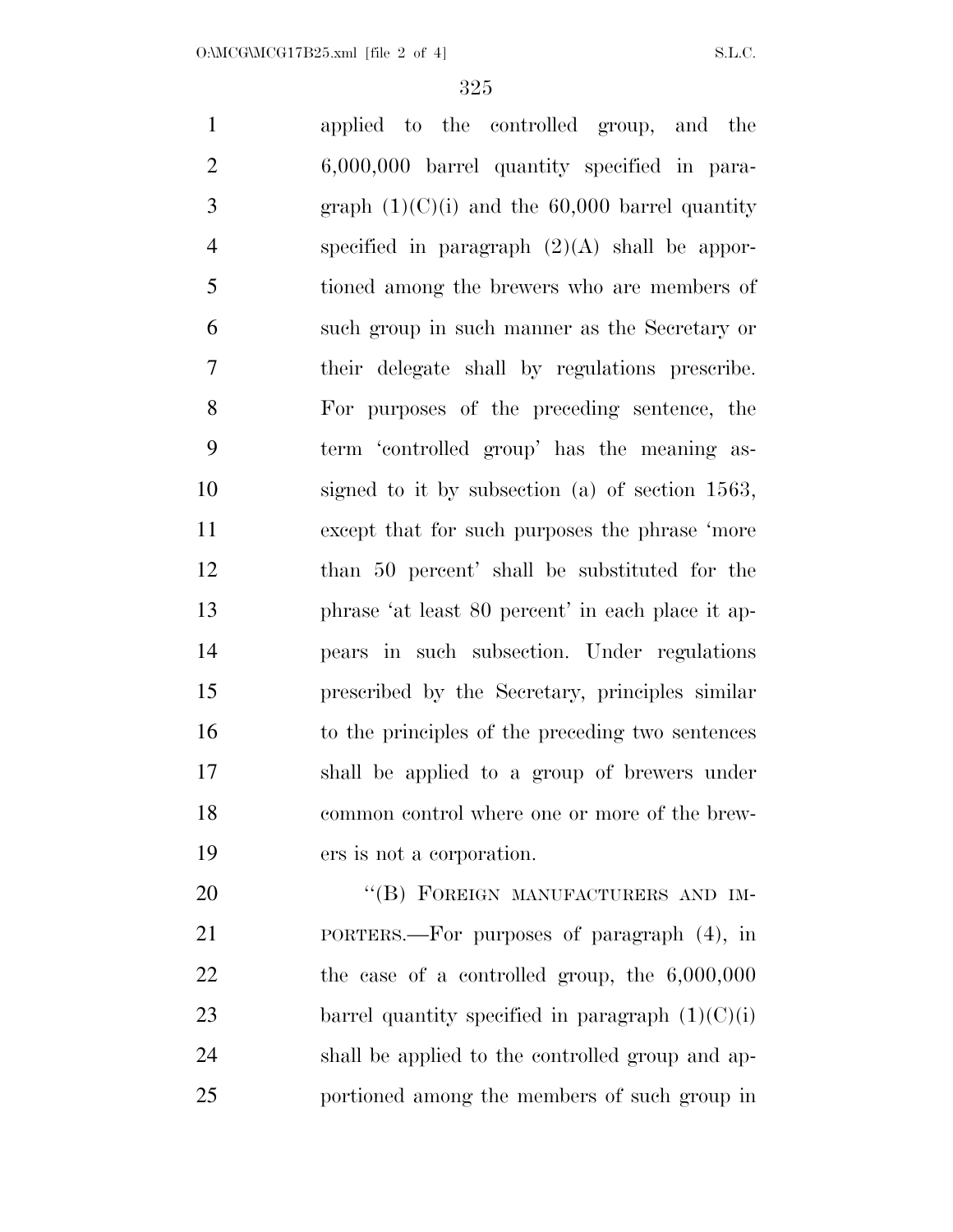applied to the controlled group, and the 6,000,000 barrel quantity specified in para-3 graph  $(1)(C)(i)$  and the 60,000 barrel quantity specified in paragraph (2)(A) shall be appor- tioned among the brewers who are members of such group in such manner as the Secretary or their delegate shall by regulations prescribe. For purposes of the preceding sentence, the term 'controlled group' has the meaning as- signed to it by subsection (a) of section 1563, except that for such purposes the phrase 'more than 50 percent' shall be substituted for the phrase 'at least 80 percent' in each place it ap- pears in such subsection. Under regulations prescribed by the Secretary, principles similar to the principles of the preceding two sentences shall be applied to a group of brewers under common control where one or more of the brew- ers is not a corporation. 20 "(B) FOREIGN MANUFACTURERS AND IM-PORTERS.—For purposes of paragraph (4), in

 the case of a controlled group, the 6,000,000 23 barrel quantity specified in paragraph  $(1)(C)(i)$  shall be applied to the controlled group and ap-portioned among the members of such group in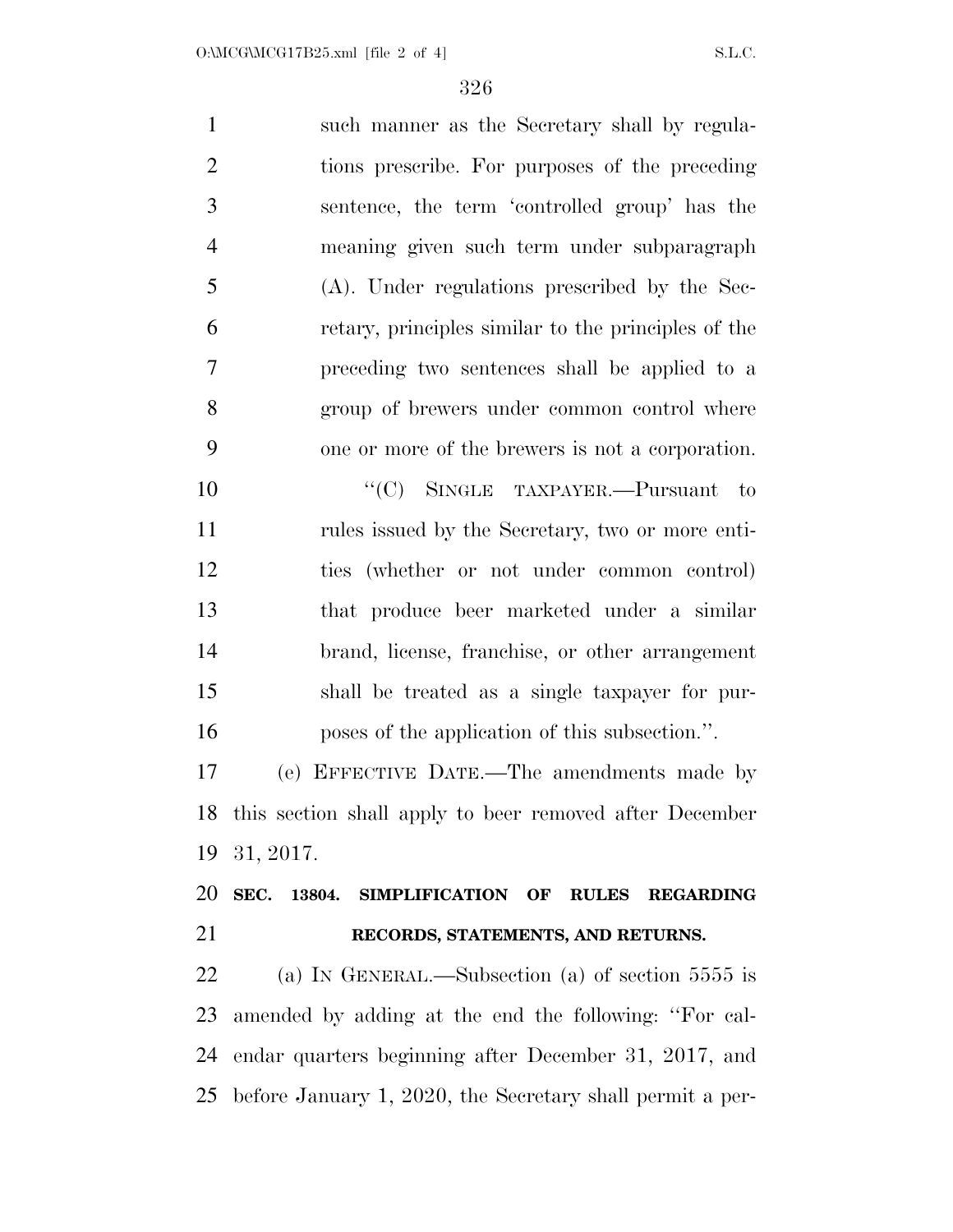such manner as the Secretary shall by regula- tions prescribe. For purposes of the preceding sentence, the term 'controlled group' has the meaning given such term under subparagraph (A). Under regulations prescribed by the Sec- retary, principles similar to the principles of the preceding two sentences shall be applied to a group of brewers under common control where one or more of the brewers is not a corporation. 10 "'(C) SINGLE TAXPAYER.—Pursuant to rules issued by the Secretary, two or more enti- ties (whether or not under common control) that produce beer marketed under a similar brand, license, franchise, or other arrangement shall be treated as a single taxpayer for pur- poses of the application of this subsection.''. (e) EFFECTIVE DATE.—The amendments made by this section shall apply to beer removed after December 31, 2017. **SEC. 13804. SIMPLIFICATION OF RULES REGARDING RECORDS, STATEMENTS, AND RETURNS.**  (a) IN GENERAL.—Subsection (a) of section 5555 is amended by adding at the end the following: ''For cal-endar quarters beginning after December 31, 2017, and

before January 1, 2020, the Secretary shall permit a per-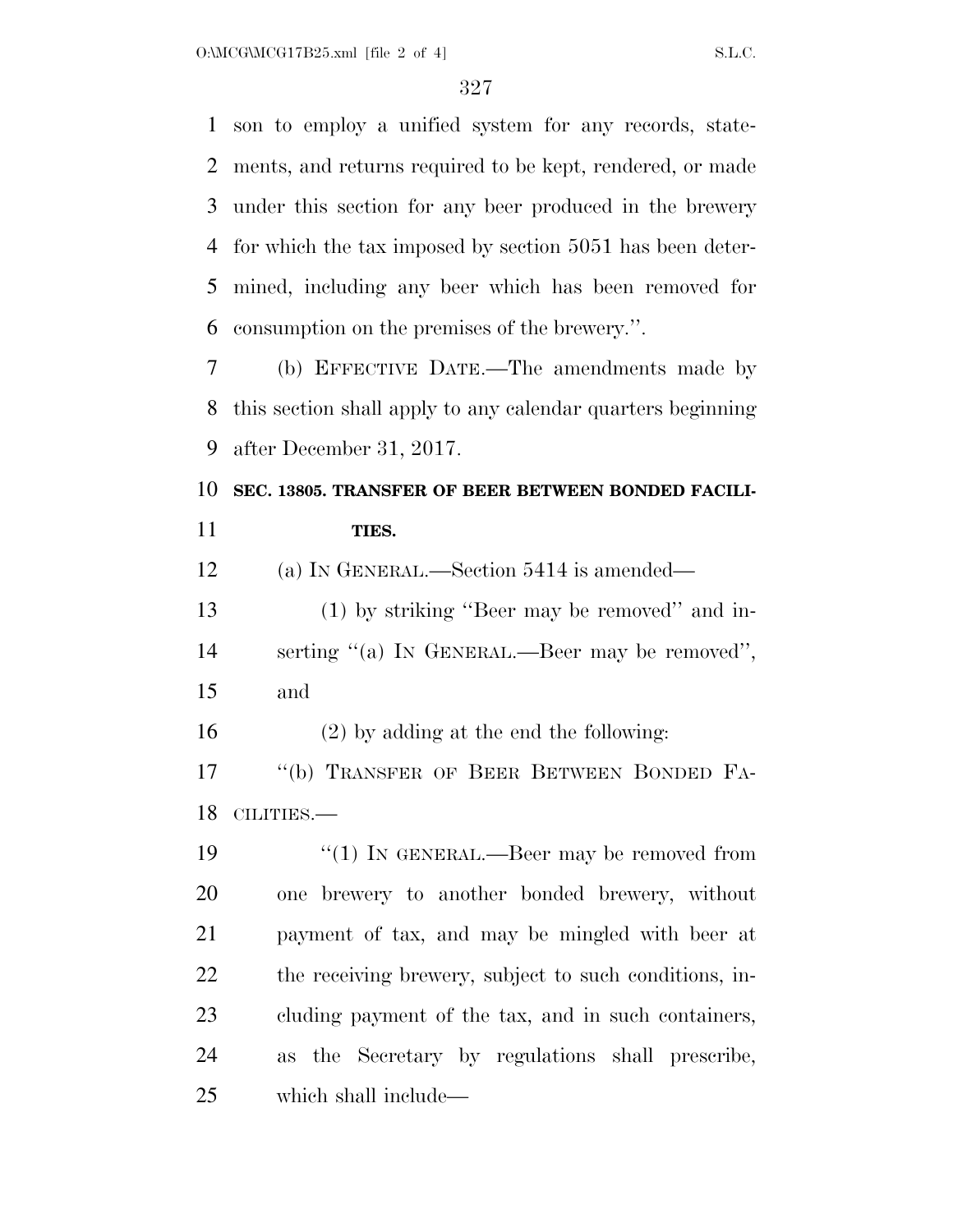son to employ a unified system for any records, state- ments, and returns required to be kept, rendered, or made under this section for any beer produced in the brewery for which the tax imposed by section 5051 has been deter- mined, including any beer which has been removed for consumption on the premises of the brewery.''.

 (b) EFFECTIVE DATE.—The amendments made by this section shall apply to any calendar quarters beginning after December 31, 2017.

# **SEC. 13805. TRANSFER OF BEER BETWEEN BONDED FACILI-TIES.**

(a) IN GENERAL.—Section 5414 is amended—

 (1) by striking ''Beer may be removed'' and in- serting ''(a) IN GENERAL.—Beer may be removed'', and

(2) by adding at the end the following:

17 "(b) TRANSFER OF BEER BETWEEN BONDED FA-CILITIES.—

19 "(1) IN GENERAL.—Beer may be removed from one brewery to another bonded brewery, without payment of tax, and may be mingled with beer at the receiving brewery, subject to such conditions, in- cluding payment of the tax, and in such containers, as the Secretary by regulations shall prescribe, which shall include—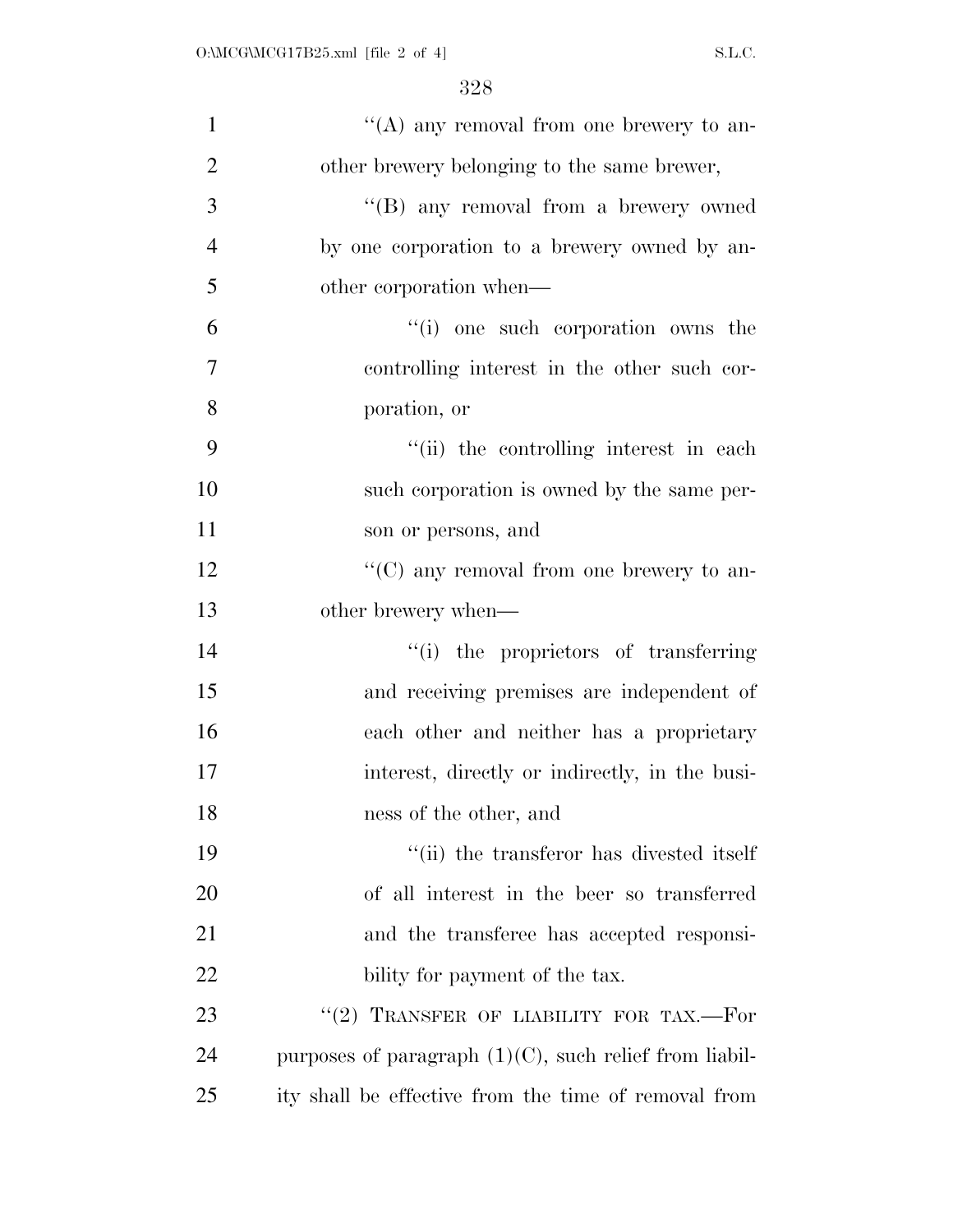| $\mathbf{1}$   | "(A) any removal from one brewery to an-                  |
|----------------|-----------------------------------------------------------|
| $\overline{2}$ | other brewery belonging to the same brewer,               |
| 3              | "(B) any removal from a brewery owned                     |
| $\overline{4}$ | by one corporation to a brewery owned by an-              |
| 5              | other corporation when—                                   |
| 6              | "(i) one such corporation owns the                        |
| 7              | controlling interest in the other such cor-               |
| 8              | poration, or                                              |
| 9              | "(ii) the controlling interest in each                    |
| 10             | such corporation is owned by the same per-                |
| 11             | son or persons, and                                       |
| 12             | "(C) any removal from one brewery to an-                  |
| 13             | other brewery when—                                       |
| 14             | "(i) the proprietors of transferring                      |
| 15             | and receiving premises are independent of                 |
| 16             | each other and neither has a proprietary                  |
| 17             | interest, directly or indirectly, in the busi-            |
| 18             | ness of the other, and                                    |
| 19             | "(ii) the transferor has divested itself                  |
| 20             | of all interest in the beer so transferred                |
| 21             | and the transferee has accepted responsi-                 |
| 22             | bility for payment of the tax.                            |
| 23             | "(2) TRANSFER OF LIABILITY FOR TAX.—For                   |
| 24             | purposes of paragraph $(1)(C)$ , such relief from liabil- |
| 25             | ity shall be effective from the time of removal from      |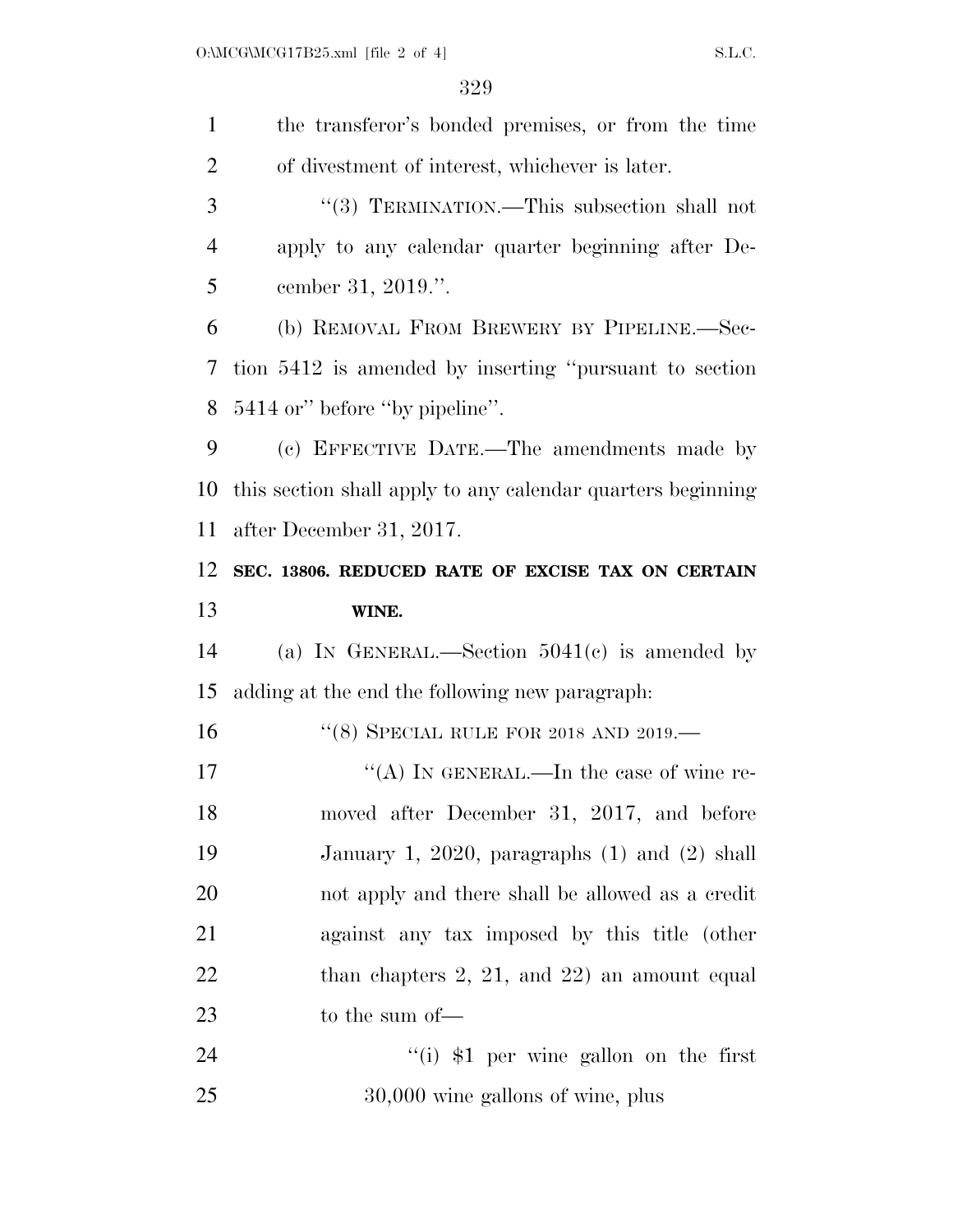| $\mathbf{1}$   | the transferor's bonded premises, or from the time          |
|----------------|-------------------------------------------------------------|
| $\overline{2}$ | of divestment of interest, whichever is later.              |
| 3              | "(3) TERMINATION.—This subsection shall not                 |
| 4              | apply to any calendar quarter beginning after De-           |
| 5              | cember 31, 2019.".                                          |
| 6              | (b) REMOVAL FROM BREWERY BY PIPELINE.—Sec-                  |
| 7              | tion 5412 is amended by inserting "pursuant to section"     |
| 8              | 5414 or" before "by pipeline".                              |
| 9              | (c) EFFECTIVE DATE.—The amendments made by                  |
| 10             | this section shall apply to any calendar quarters beginning |
| 11             | after December 31, 2017.                                    |
| 12             | SEC. 13806. REDUCED RATE OF EXCISE TAX ON CERTAIN           |
| 13             | WINE.                                                       |
| 14             | (a) IN GENERAL.—Section $5041(c)$ is amended by             |
| 15             | adding at the end the following new paragraph:              |
| 16             | "(8) SPECIAL RULE FOR 2018 AND 2019.—                       |
| 17             | "(A) IN GENERAL.—In the case of wine re-                    |
| 18             | moved after December 31, 2017, and before                   |
| 19             | January 1, 2020, paragraphs $(1)$ and $(2)$ shall           |
| 20             | not apply and there shall be allowed as a credit            |
| 21             | against any tax imposed by this title (other                |
| 22             | than chapters $2, 21,$ and $22$ ) an amount equal           |
| 23             | to the sum of-                                              |
|                |                                                             |
| 24             | $``(i)$ \$1 per wine gallon on the first                    |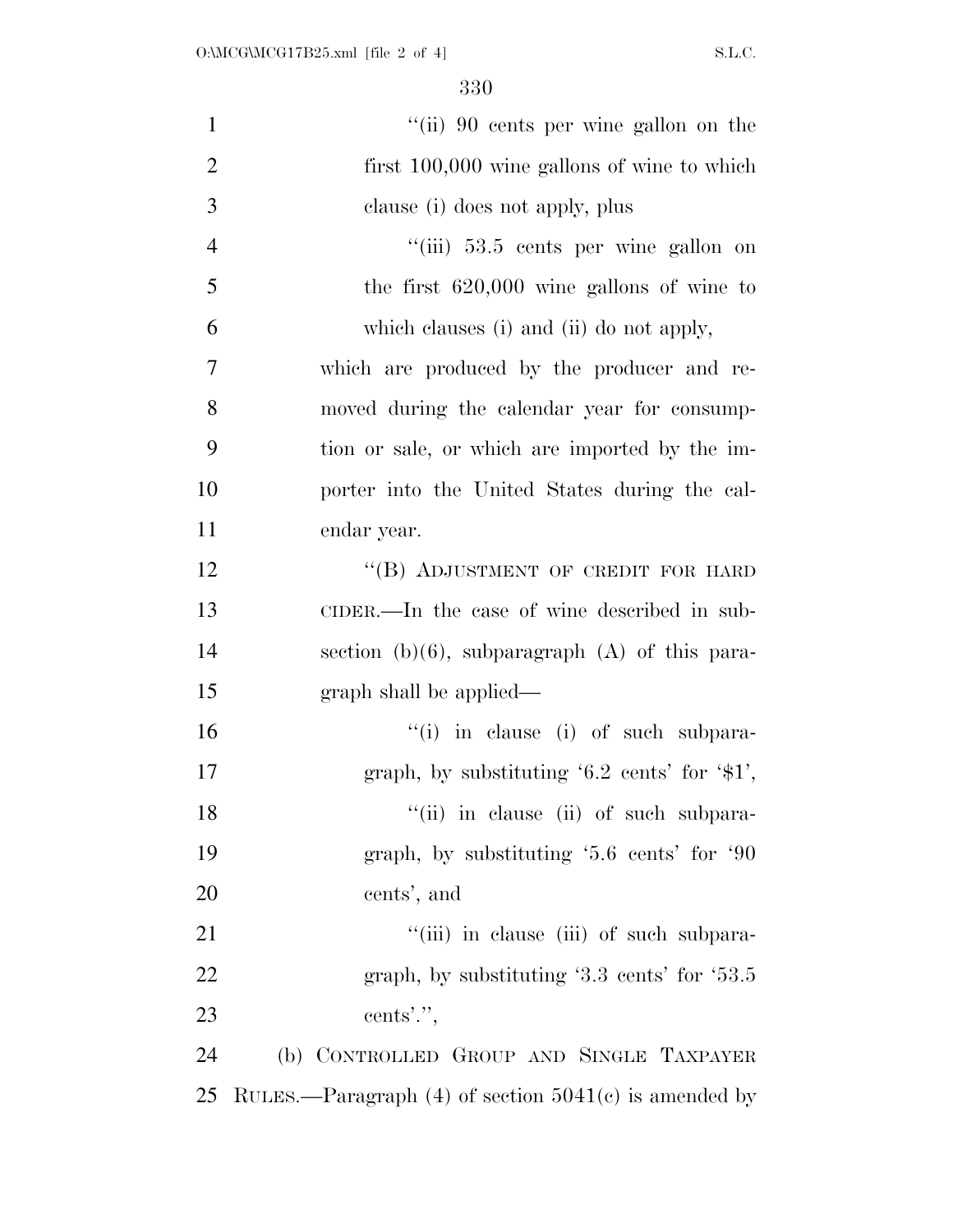| $\mathbf{1}$   | "(ii) 90 cents per wine gallon on the                     |
|----------------|-----------------------------------------------------------|
| $\overline{2}$ | first 100,000 wine gallons of wine to which               |
| 3              | clause (i) does not apply, plus                           |
| $\overline{4}$ | "(iii) 53.5 cents per wine gallon on                      |
| 5              | the first $620,000$ wine gallons of wine to               |
| 6              | which clauses (i) and (ii) do not apply,                  |
| $\tau$         | which are produced by the producer and re-                |
| 8              | moved during the calendar year for consump-               |
| 9              | tion or sale, or which are imported by the im-            |
| 10             | porter into the United States during the cal-             |
| 11             | endar year.                                               |
| 12             | "(B) ADJUSTMENT OF CREDIT FOR HARD                        |
| 13             | CIDER.—In the case of wine described in sub-              |
| 14             | section (b)(6), subparagraph $(A)$ of this para-          |
| 15             | graph shall be applied—                                   |
| 16             | "(i) in clause (i) of such subpara-                       |
| 17             | graph, by substituting $6.2$ cents' for $\frac{1}{31}$ ', |
| 18             | "(ii) in clause (ii) of such subpara-                     |
| 19             | graph, by substituting '5.6 cents' for '90                |
| 20             | cents', and                                               |
| 21             | "(iii) in clause (iii) of such subpara-                   |
| 22             | graph, by substituting $3.3$ cents' for $53.5$            |
| 23             | cents'.",                                                 |
| 24             | (b) CONTROLLED GROUP AND SINGLE TAXPAYER                  |
| 25             | RULES.—Paragraph $(4)$ of section $5041(c)$ is amended by |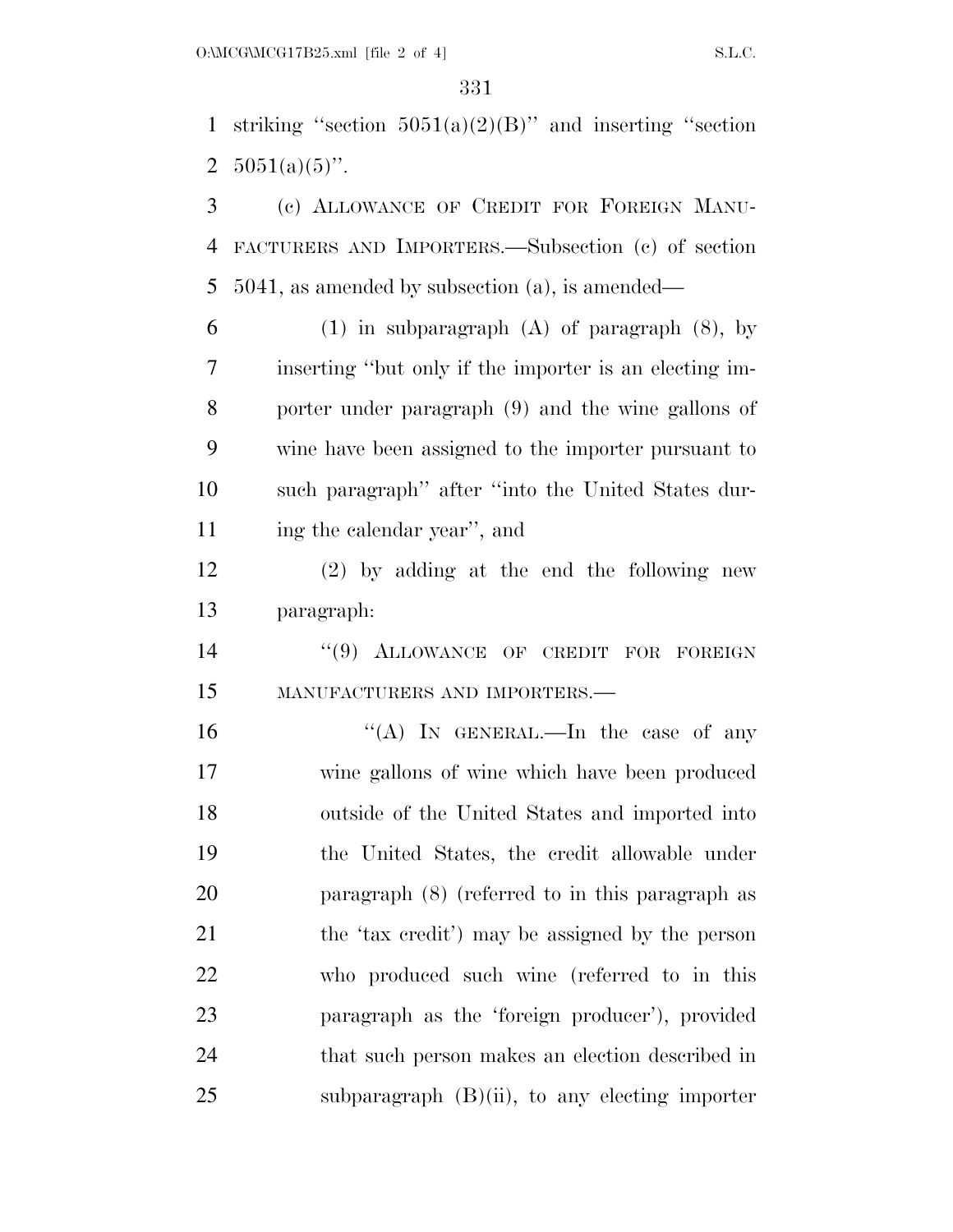1 striking "section  $5051(a)(2)(B)$ " and inserting "section 2  $5051(a)(5)$ ".

 (c) ALLOWANCE OF CREDIT FOR FOREIGN MANU- FACTURERS AND IMPORTERS.—Subsection (c) of section 5041, as amended by subsection (a), is amended—

 (1) in subparagraph (A) of paragraph (8), by inserting ''but only if the importer is an electing im- porter under paragraph (9) and the wine gallons of wine have been assigned to the importer pursuant to such paragraph'' after ''into the United States dur-ing the calendar year'', and

 (2) by adding at the end the following new paragraph:

14 "(9) ALLOWANCE OF CREDIT FOR FOREIGN MANUFACTURERS AND IMPORTERS.—

 $((A)$  In GENERAL.—In the case of any wine gallons of wine which have been produced outside of the United States and imported into the United States, the credit allowable under paragraph (8) (referred to in this paragraph as the 'tax credit') may be assigned by the person who produced such wine (referred to in this paragraph as the 'foreign producer'), provided that such person makes an election described in subparagraph  $(B)(ii)$ , to any electing importer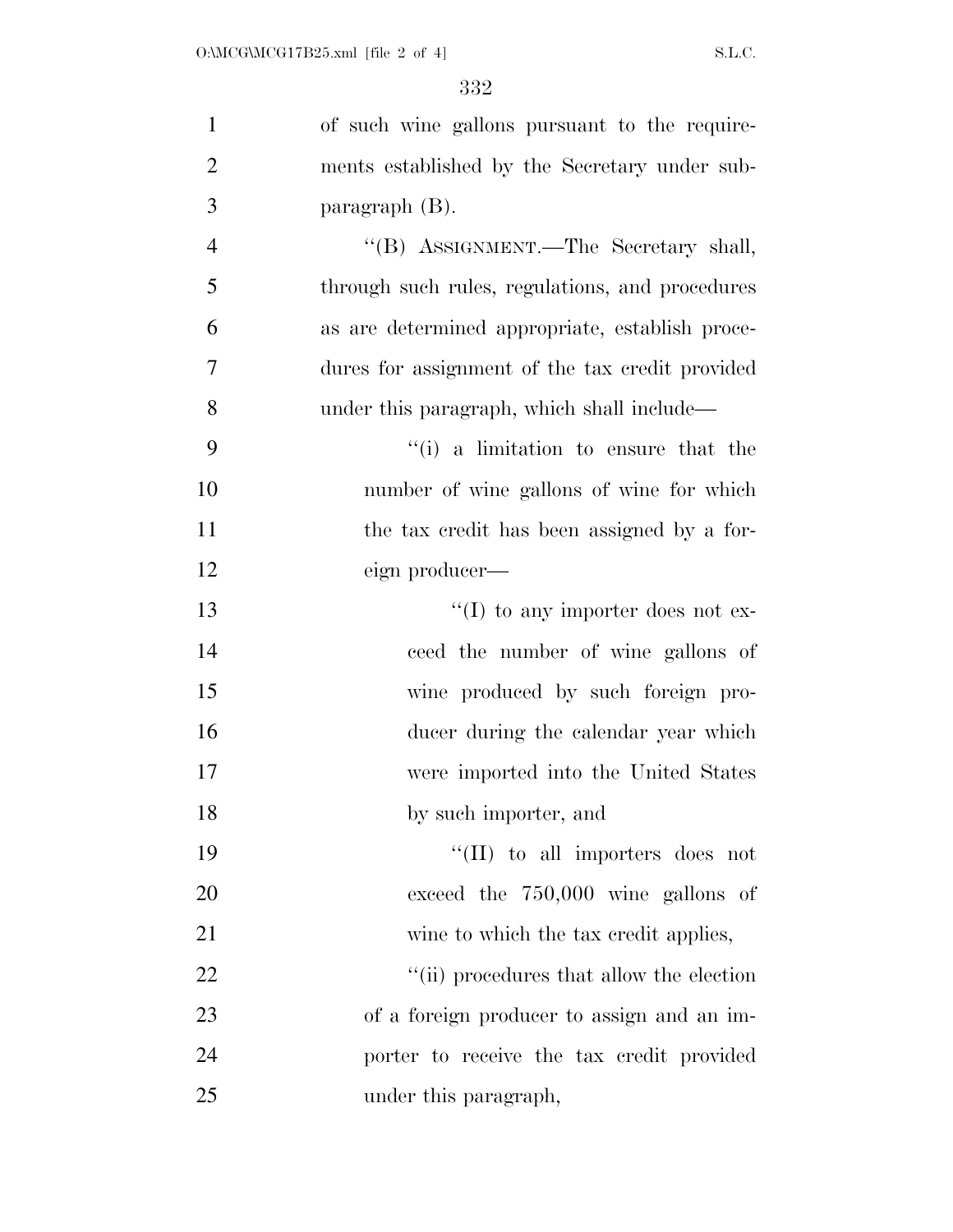| $\mathbf{1}$   | of such wine gallons pursuant to the require-   |
|----------------|-------------------------------------------------|
| $\overline{2}$ | ments established by the Secretary under sub-   |
| 3              | paragraph $(B)$ .                               |
| $\overline{4}$ | "(B) ASSIGNMENT.—The Secretary shall,           |
| 5              | through such rules, regulations, and procedures |
| 6              | as are determined appropriate, establish proce- |
| $\tau$         | dures for assignment of the tax credit provided |
| 8              | under this paragraph, which shall include—      |
| 9              | "(i) a limitation to ensure that the            |
| 10             | number of wine gallons of wine for which        |
| 11             | the tax credit has been assigned by a for-      |
| 12             | eign producer—                                  |
| 13             | $\lq\lq$ to any importer does not ex-           |
| 14             | ceed the number of wine gallons of              |
| 15             | wine produced by such foreign pro-              |
| 16             | ducer during the calendar year which            |
| 17             | were imported into the United States            |
| 18             | by such importer, and                           |
| 19             | $\lq\lq$ (II) to all importers does not         |
| 20             | exceed the 750,000 wine gallons of              |
| 21             | wine to which the tax credit applies,           |
| 22             | "(ii) procedures that allow the election        |
| 23             | of a foreign producer to assign and an im-      |
| 24             | porter to receive the tax credit provided       |
| 25             | under this paragraph,                           |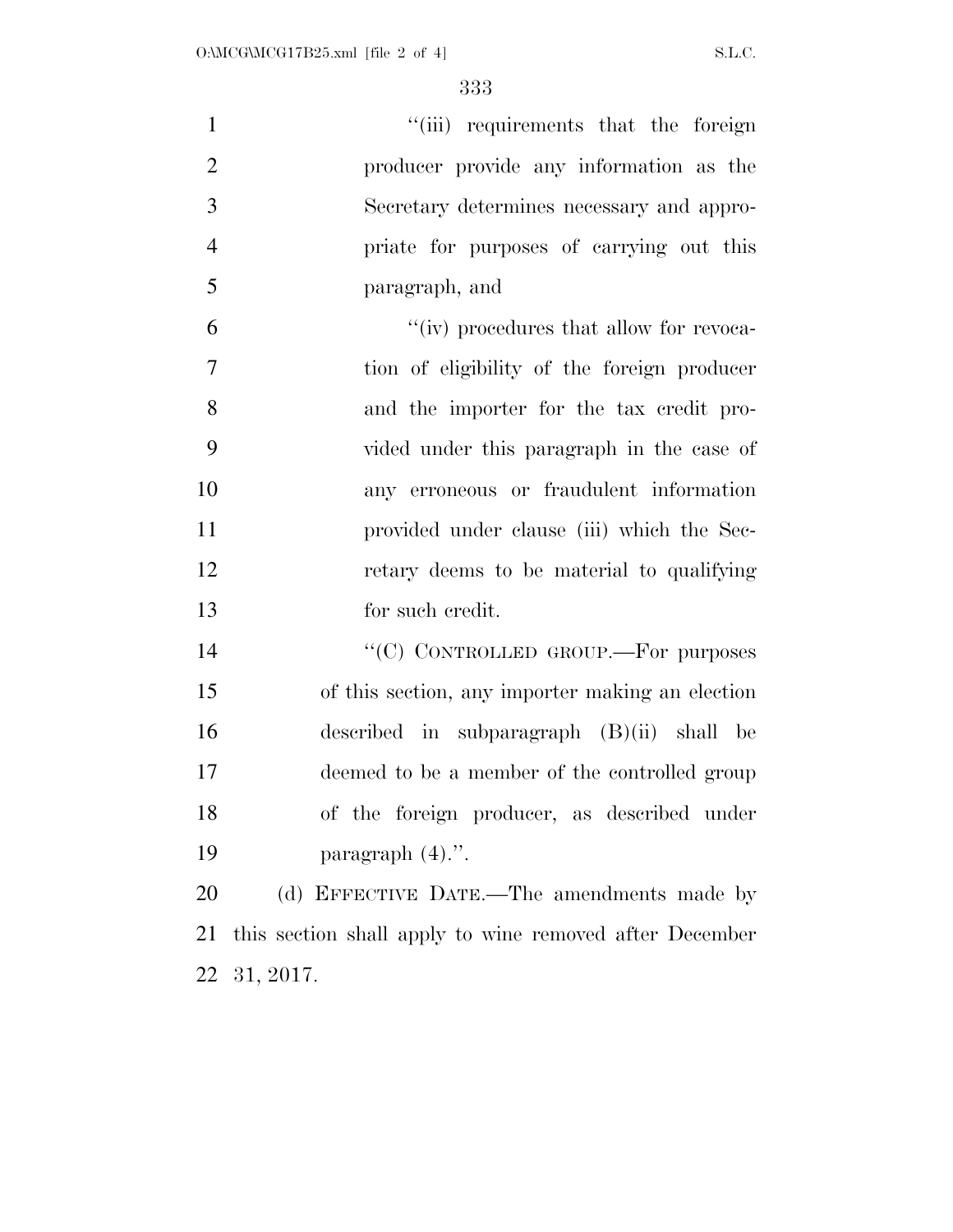1 ''(iii) requirements that the foreign producer provide any information as the Secretary determines necessary and appro- priate for purposes of carrying out this paragraph, and ''(iv) procedures that allow for revoca- tion of eligibility of the foreign producer and the importer for the tax credit pro- vided under this paragraph in the case of any erroneous or fraudulent information provided under clause (iii) which the Sec- retary deems to be material to qualifying for such credit. 14 "<sup>"</sup>(C) CONTROLLED GROUP.—For purposes of this section, any importer making an election described in subparagraph (B)(ii) shall be deemed to be a member of the controlled group of the foreign producer, as described under

paragraph (4).''.

20 (d) EFFECTIVE DATE.—The amendments made by this section shall apply to wine removed after December 31, 2017.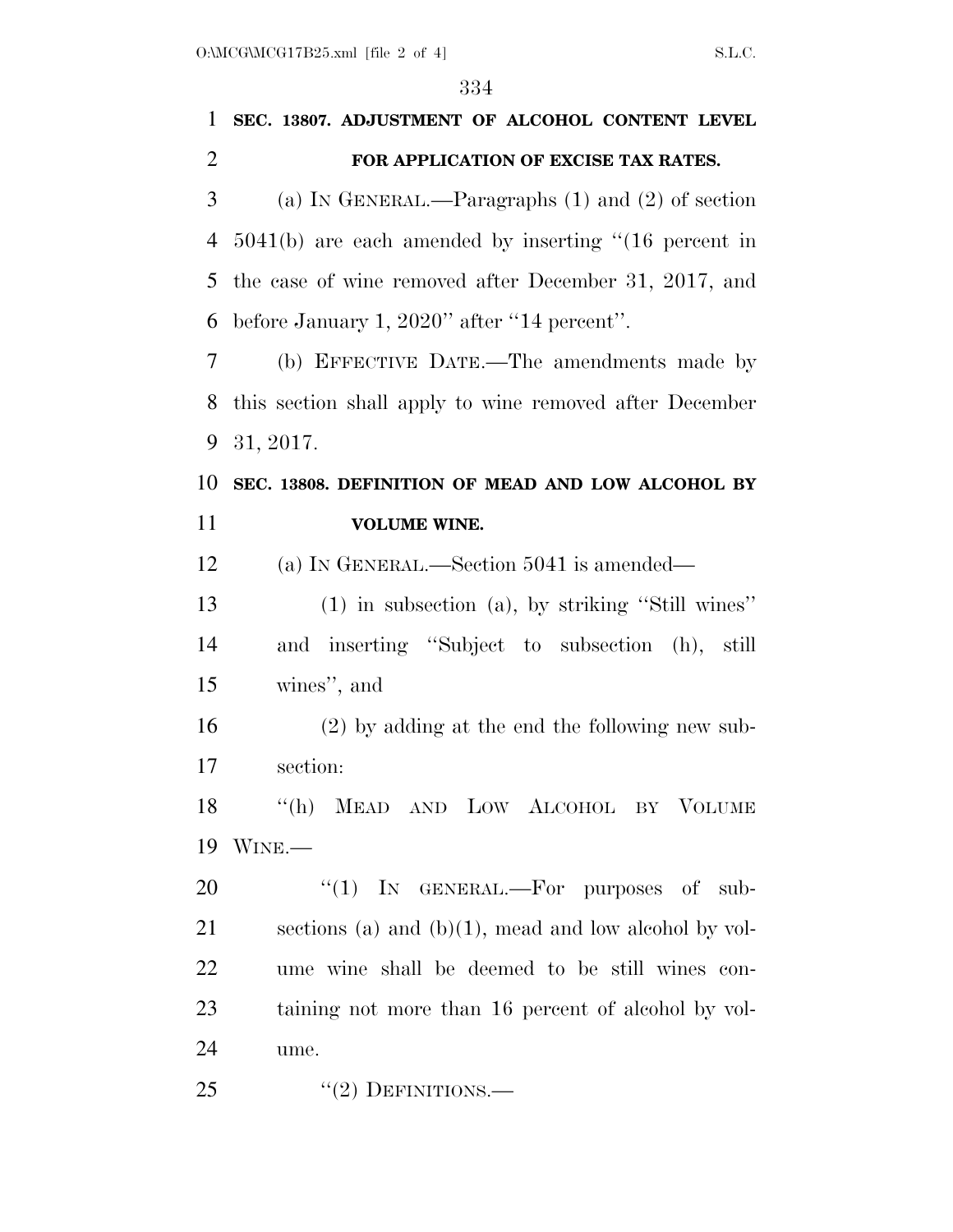| 1              | SEC. 13807. ADJUSTMENT OF ALCOHOL CONTENT LEVEL           |
|----------------|-----------------------------------------------------------|
| $\overline{2}$ | FOR APPLICATION OF EXCISE TAX RATES.                      |
| 3              | (a) IN GENERAL.—Paragraphs $(1)$ and $(2)$ of section     |
| $\overline{4}$ | $5041(b)$ are each amended by inserting "(16 percent in   |
| 5              | the case of wine removed after December 31, 2017, and     |
| 6              | before January 1, 2020" after "14 percent".               |
| 7              | (b) EFFECTIVE DATE.—The amendments made by                |
| 8              | this section shall apply to wine removed after December   |
| 9              | 31, 2017.                                                 |
| 10             | SEC. 13808. DEFINITION OF MEAD AND LOW ALCOHOL BY         |
| 11             | <b>VOLUME WINE.</b>                                       |
| 12             | (a) IN GENERAL.—Section 5041 is amended—                  |
| 13             | $(1)$ in subsection $(a)$ , by striking "Still wines"     |
| 14             | and inserting "Subject to subsection (h), still           |
| 15             | wines", and                                               |
| 16             | $(2)$ by adding at the end the following new sub-         |
| 17             | section:                                                  |
| 18             | "(h) MEAD AND LOW ALCOHOL BY VOLUME                       |
| 19             | WINE.                                                     |
| 20             | " $(1)$ IN GENERAL.—For purposes of sub-                  |
| 21             | sections (a) and (b) $(1)$ , mead and low alcohol by vol- |
| 22             | ume wine shall be deemed to be still wines con-           |
| 23             | taining not more than 16 percent of alcohol by vol-       |
| 24             | ume.                                                      |
| 25             | $"(2)$ DEFINITIONS.—                                      |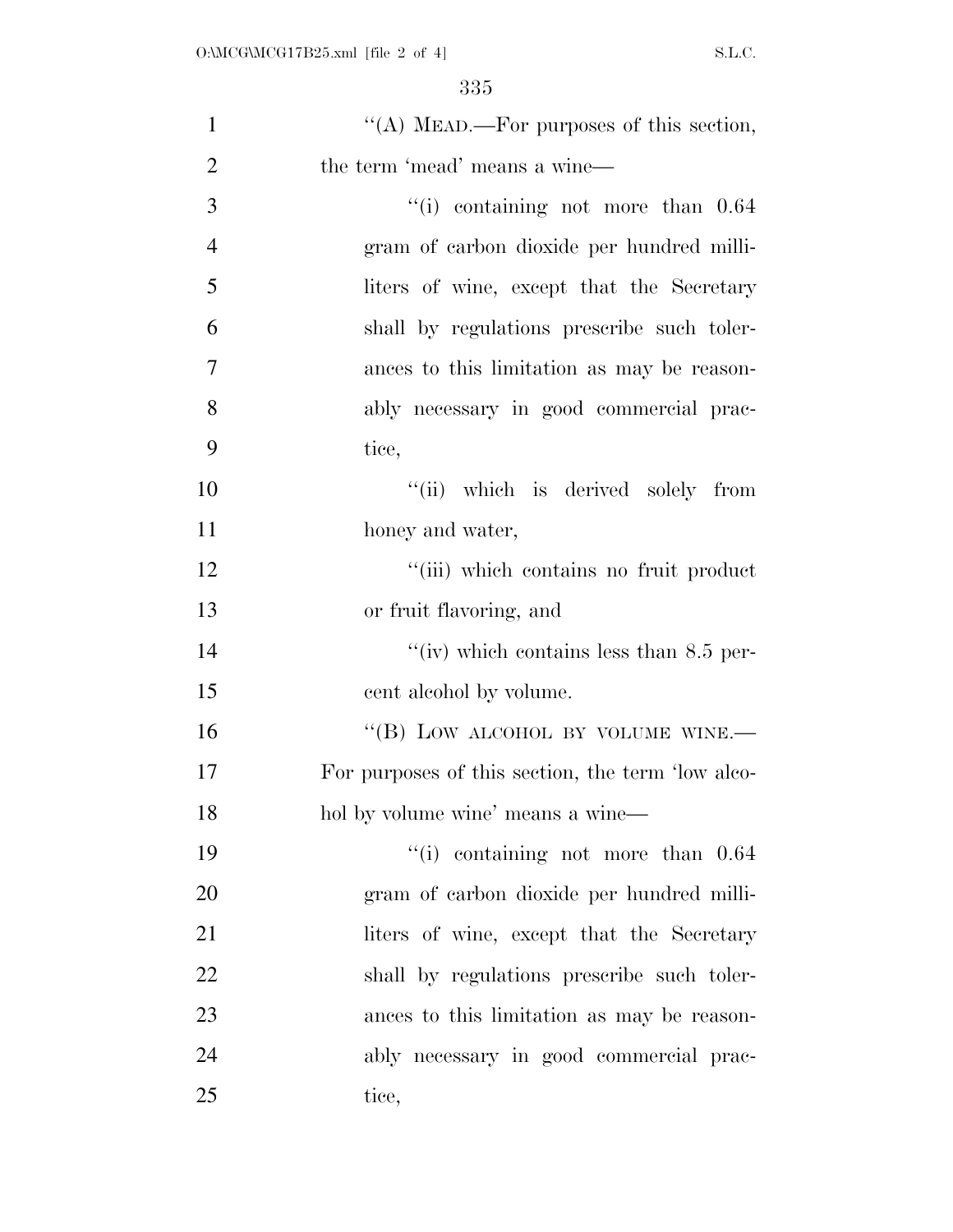| $\mathbf{1}$   | "(A) MEAD.—For purposes of this section,          |
|----------------|---------------------------------------------------|
| $\overline{2}$ | the term 'mead' means a wine-                     |
| 3              | $``(i)$ containing not more than $0.64$           |
| $\overline{4}$ | gram of carbon dioxide per hundred milli-         |
| 5              | liters of wine, except that the Secretary         |
| 6              | shall by regulations prescribe such toler-        |
| 7              | ances to this limitation as may be reason-        |
| 8              | ably necessary in good commercial prac-           |
| 9              | tice,                                             |
| 10             | "(ii) which is derived solely from                |
| 11             | honey and water,                                  |
| 12             | "(iii) which contains no fruit product            |
| 13             | or fruit flavoring, and                           |
| 14             | "(iv) which contains less than $8.5$ per-         |
| 15             | cent alcohol by volume.                           |
| 16             | "(B) LOW ALCOHOL BY VOLUME WINE.-                 |
| 17             | For purposes of this section, the term 'low alco- |
| 18             | hol by volume wine' means a wine-                 |
| 19             | $\degree$ (i) containing not more than $0.64$     |
| 20             | gram of carbon dioxide per hundred milli-         |
| 21             | liters of wine, except that the Secretary         |
| 22             | shall by regulations prescribe such toler-        |
| 23             | ances to this limitation as may be reason-        |
| 24             | ably necessary in good commercial prac-           |
| 25             | tice,                                             |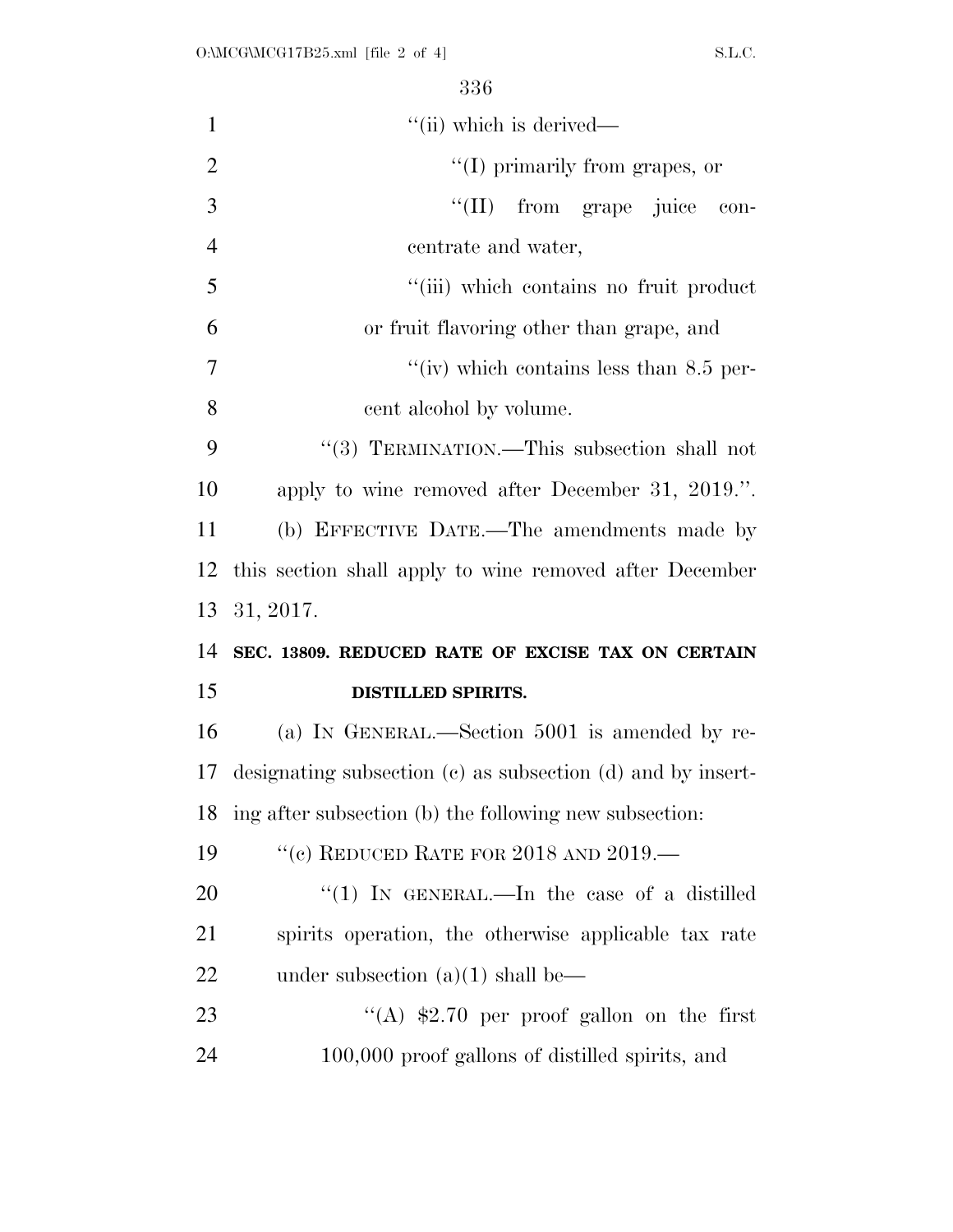| $\mathbf{1}$   | "(ii) which is derived—                                     |
|----------------|-------------------------------------------------------------|
| $\overline{2}$ | $\lq\lq$ (I) primarily from grapes, or                      |
| 3              | ``(II)<br>from grape juice<br>con-                          |
| $\overline{4}$ | centrate and water,                                         |
| 5              | "(iii) which contains no fruit product                      |
| 6              | or fruit flavoring other than grape, and                    |
| 7              | "(iv) which contains less than $8.5$ per-                   |
| 8              | cent alcohol by volume.                                     |
| 9              | "(3) TERMINATION.—This subsection shall not                 |
| 10             | apply to wine removed after December 31, 2019.".            |
| 11             | (b) EFFECTIVE DATE.—The amendments made by                  |
| 12             | this section shall apply to wine removed after December     |
|                |                                                             |
| 13             | 31, 2017.                                                   |
| 14             | SEC. 13809. REDUCED RATE OF EXCISE TAX ON CERTAIN           |
| 15             | <b>DISTILLED SPIRITS.</b>                                   |
| 16             | (a) IN GENERAL.—Section 5001 is amended by re-              |
| 17             | designating subsection (c) as subsection (d) and by insert- |
| 18             | ing after subsection (b) the following new subsection:      |
| 19             | "(c) REDUCED RATE FOR $2018$ AND $2019$ .                   |
| 20             | "(1) IN GENERAL.—In the case of a distilled                 |
| 21             | spirits operation, the otherwise applicable tax rate        |
| 22             | under subsection $(a)(1)$ shall be—                         |
| 23             | "(A) $$2.70$ per proof gallon on the first                  |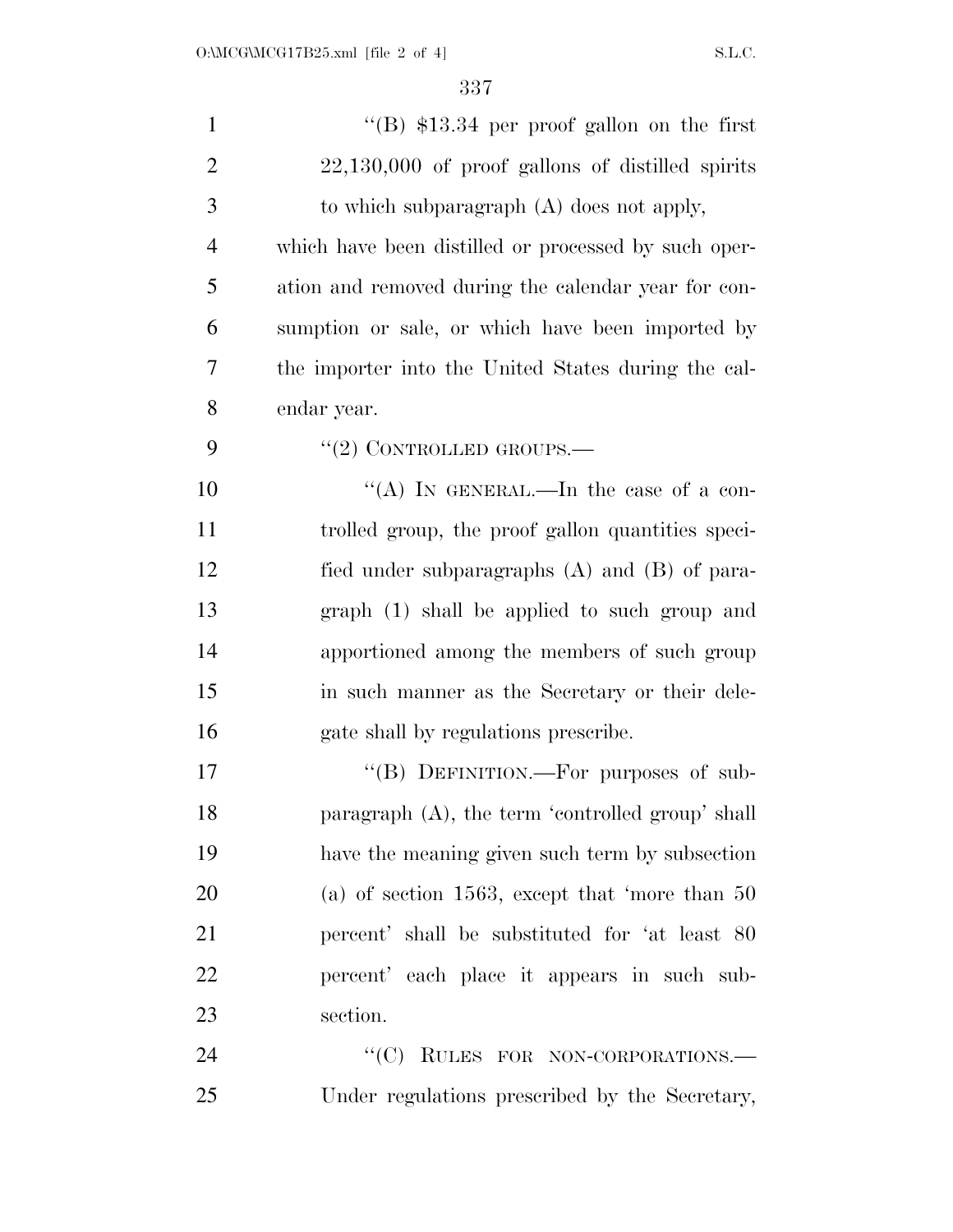| $\mathbf{1}$   | "(B) $$13.34$ per proof gallon on the first          |
|----------------|------------------------------------------------------|
| $\overline{2}$ | $22,130,000$ of proof gallons of distilled spirits   |
| 3              | to which subparagraph $(A)$ does not apply,          |
| $\overline{4}$ | which have been distilled or processed by such oper- |
| 5              | ation and removed during the calendar year for con-  |
| 6              | sumption or sale, or which have been imported by     |
| 7              | the importer into the United States during the cal-  |
| 8              | endar year.                                          |
| 9              | "(2) CONTROLLED GROUPS.—                             |
| 10             | "(A) IN GENERAL.—In the case of a con-               |
| 11             | trolled group, the proof gallon quantities speci-    |
| 12             | fied under subparagraphs $(A)$ and $(B)$ of para-    |
| 13             | graph (1) shall be applied to such group and         |
| 14             | apportioned among the members of such group          |
| 15             | in such manner as the Secretary or their dele-       |
| 16             | gate shall by regulations prescribe.                 |
| 17             | "(B) DEFINITION.—For purposes of sub-                |
| 18             | paragraph (A), the term 'controlled group' shall     |
| 19             | have the meaning given such term by subsection       |
| 20             | (a) of section 1563, except that 'more than $50$     |
| 21             | percent' shall be substituted for 'at least 80       |
| 22             | percent' each place it appears in such sub-          |
| 23             | section.                                             |
| 24             | "(C) RULES FOR NON-CORPORATIONS.-                    |
| 25             | Under regulations prescribed by the Secretary,       |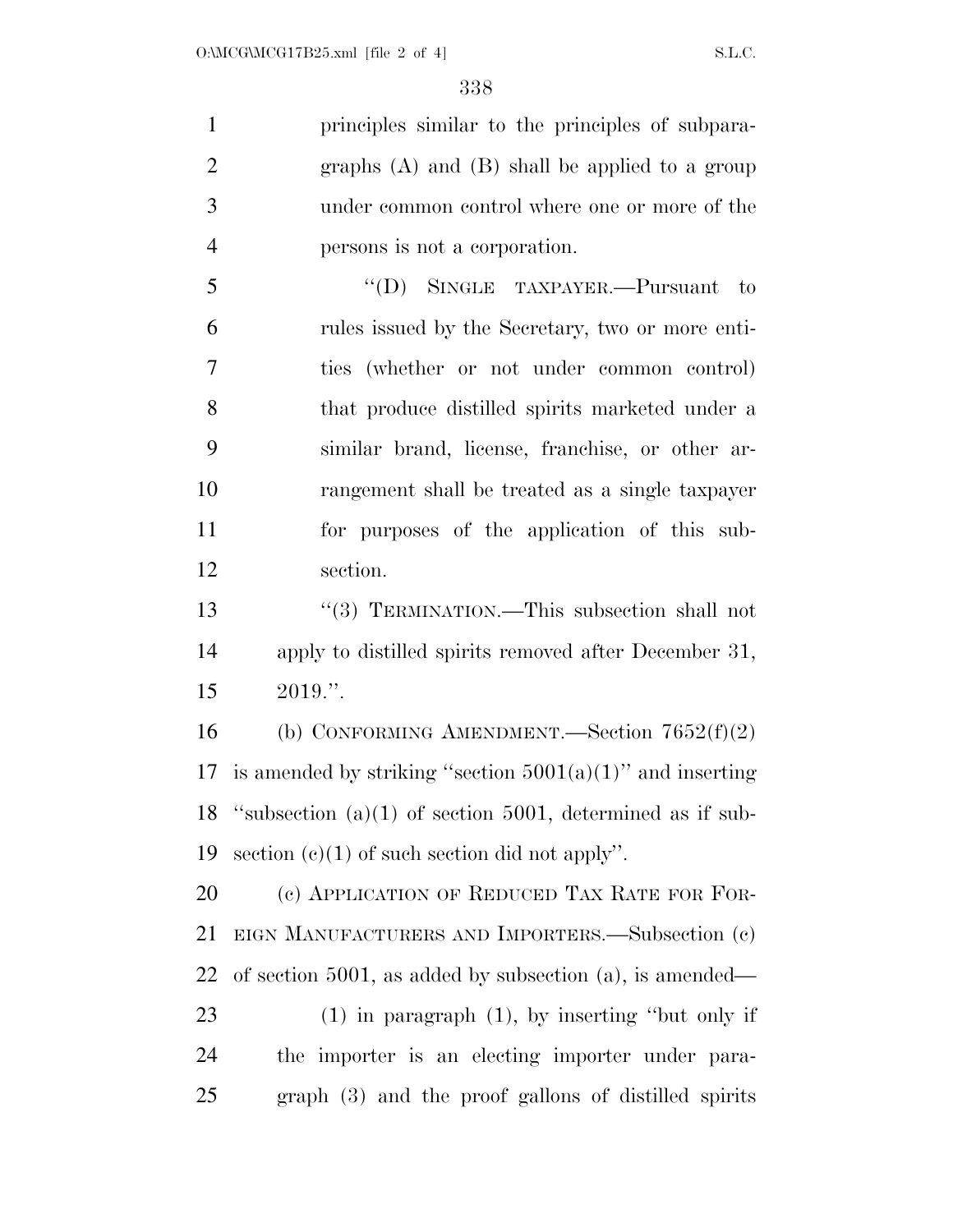principles similar to the principles of subpara- graphs (A) and (B) shall be applied to a group under common control where one or more of the persons is not a corporation.

 ''(D) SINGLE TAXPAYER.—Pursuant to rules issued by the Secretary, two or more enti- ties (whether or not under common control) that produce distilled spirits marketed under a similar brand, license, franchise, or other ar- rangement shall be treated as a single taxpayer for purposes of the application of this sub-section.

13 ''(3) TERMINATION.—This subsection shall not apply to distilled spirits removed after December 31, 2019.''.

 (b) CONFORMING AMENDMENT.—Section 7652(f)(2) 17 is amended by striking "section  $5001(a)(1)$ " and inserting ''subsection (a)(1) of section 5001, determined as if sub-19 section  $(e)(1)$  of such section did not apply".

20 (c) APPLICATION OF REDUCED TAX RATE FOR FOR- EIGN MANUFACTURERS AND IMPORTERS.—Subsection (c) of section 5001, as added by subsection (a), is amended— (1) in paragraph (1), by inserting ''but only if the importer is an electing importer under para-

graph (3) and the proof gallons of distilled spirits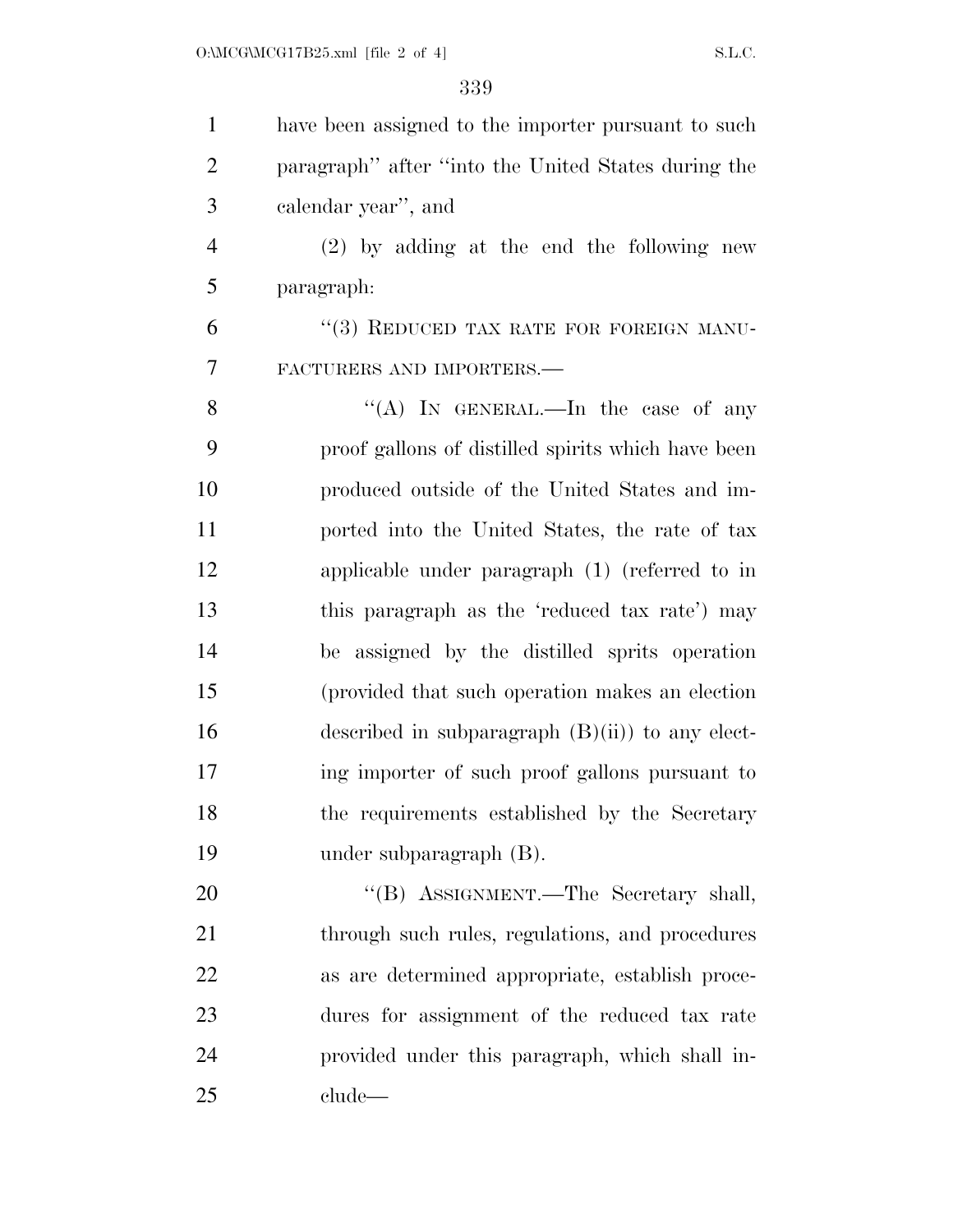| $\mathbf{1}$   | have been assigned to the importer pursuant to such |
|----------------|-----------------------------------------------------|
| $\overline{2}$ | paragraph" after "into the United States during the |
| 3              | calendar year", and                                 |
| $\overline{4}$ | $(2)$ by adding at the end the following new        |
| 5              | paragraph:                                          |
| 6              | "(3) REDUCED TAX RATE FOR FOREIGN MANU-             |
| 7              | FACTURERS AND IMPORTERS.                            |
| 8              | "(A) IN GENERAL.—In the case of any                 |
| 9              | proof gallons of distilled spirits which have been  |
| 10             | produced outside of the United States and im-       |
| 11             | ported into the United States, the rate of tax      |
| 12             | applicable under paragraph $(1)$ (referred to in    |
| 13             | this paragraph as the 'reduced tax rate') may       |
| 14             | be assigned by the distilled sprits operation       |
| 15             | (provided that such operation makes an election)    |
| 16             | described in subparagraph $(B)(ii)$ to any elect-   |
| 17             | ing importer of such proof gallons pursuant to      |
| 18             | the requirements established by the Secretary       |
| 19             | under subparagraph $(B)$ .                          |
| 20             | "(B) ASSIGNMENT.—The Secretary shall,               |
| 21             | through such rules, regulations, and procedures     |
| 22             | as are determined appropriate, establish proce-     |
| 23             | dures for assignment of the reduced tax rate        |
| 24             | provided under this paragraph, which shall in-      |
| 25             | clude                                               |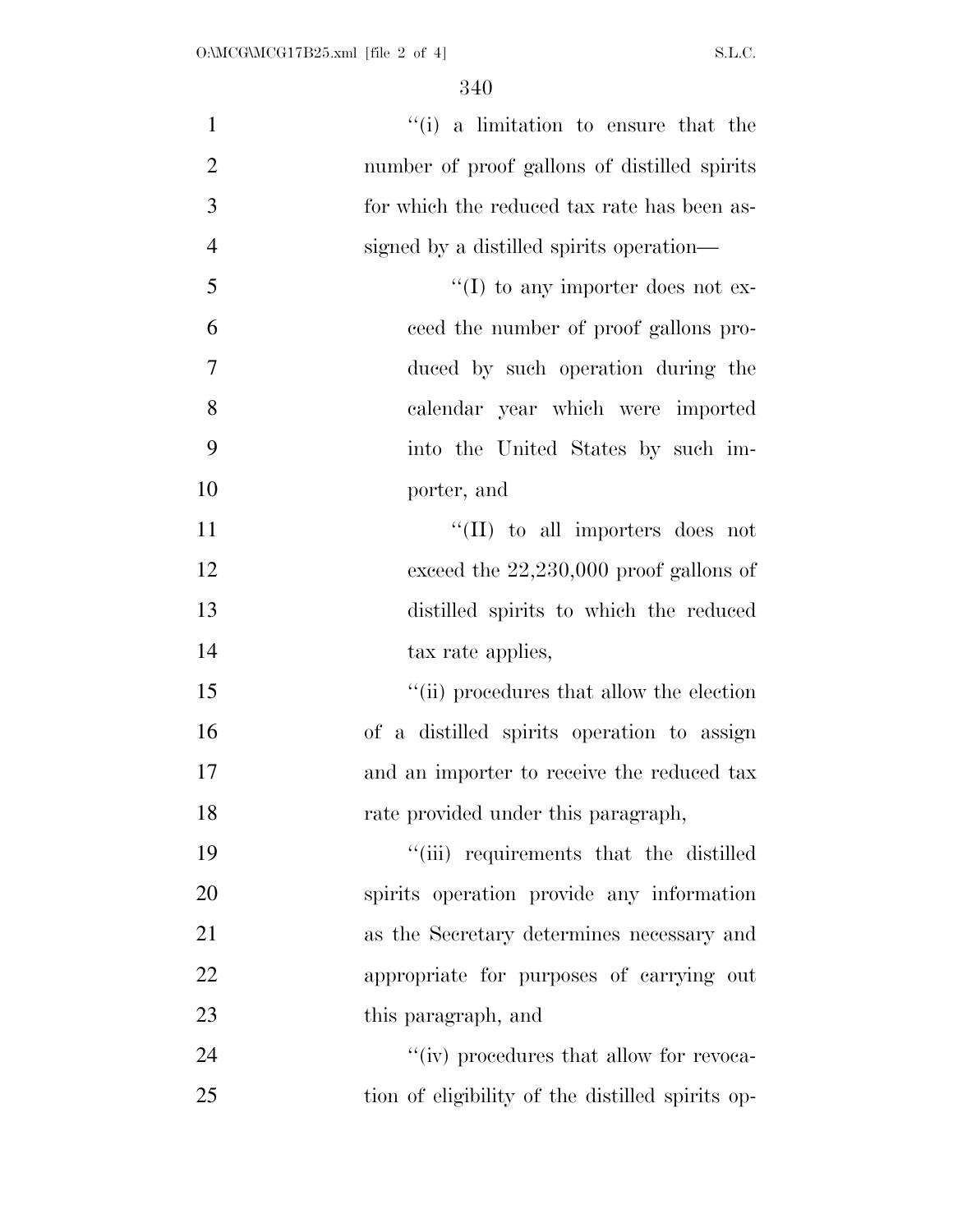| $\mathbf{1}$   | "(i) a limitation to ensure that the             |
|----------------|--------------------------------------------------|
| $\mathbf{2}$   | number of proof gallons of distilled spirits     |
| 3              | for which the reduced tax rate has been as-      |
| $\overline{4}$ | signed by a distilled spirits operation—         |
| 5              | $\lq\lq$ to any importer does not ex-            |
| 6              | ceed the number of proof gallons pro-            |
| $\tau$         | duced by such operation during the               |
| 8              | calendar year which were imported                |
| 9              | into the United States by such im-               |
| 10             | porter, and                                      |
| 11             | $\lq\lq$ (II) to all importers does not          |
| 12             | exceed the $22,230,000$ proof gallons of         |
| 13             | distilled spirits to which the reduced           |
| 14             | tax rate applies,                                |
| 15             | "(ii) procedures that allow the election         |
| 16             | of a distilled spirits operation to assign       |
| 17             | and an importer to receive the reduced tax       |
| 18             | rate provided under this paragraph,              |
| 19             | "(iii) requirements that the distilled           |
| 20             | spirits operation provide any information        |
| 21             | as the Secretary determines necessary and        |
| 22             | appropriate for purposes of carrying out         |
| 23             | this paragraph, and                              |
| 24             | "(iv) procedures that allow for revoca-          |
| 25             | tion of eligibility of the distilled spirits op- |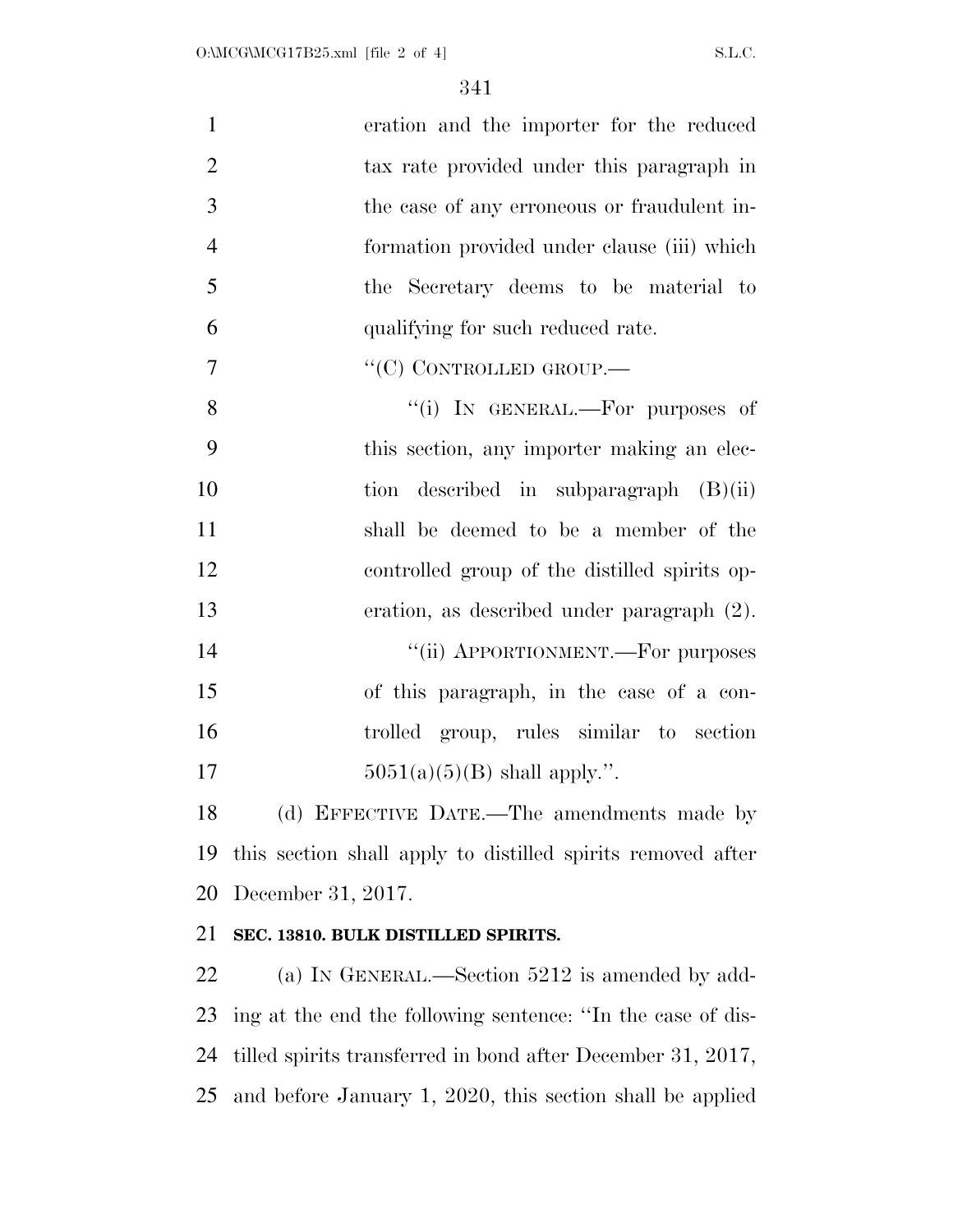| $\mathbf{1}$   | eration and the importer for the reduced                    |
|----------------|-------------------------------------------------------------|
| $\overline{2}$ | tax rate provided under this paragraph in                   |
| 3              | the case of any erroneous or fraudulent in-                 |
| $\overline{4}$ | formation provided under clause (iii) which                 |
| 5              | the Secretary deems to be material to                       |
| 6              | qualifying for such reduced rate.                           |
| 7              | "(C) CONTROLLED GROUP.                                      |
| 8              | "(i) IN GENERAL.—For purposes of                            |
| 9              | this section, any importer making an elec-                  |
| 10             | described in subparagraph $(B)(ii)$<br>tion                 |
| 11             | shall be deemed to be a member of the                       |
| 12             | controlled group of the distilled spirits op-               |
| 13             | eration, as described under paragraph (2).                  |
| 14             | "(ii) APPORTIONMENT.—For purposes                           |
| 15             | of this paragraph, in the case of a con-                    |
| 16             | trolled group, rules similar to section                     |
| 17             | $5051(a)(5)(B)$ shall apply.".                              |
| 18             | (d) EFFECTIVE DATE.—The amendments made by                  |
| 19             | this section shall apply to distilled spirits removed after |

December 31, 2017.

### **SEC. 13810. BULK DISTILLED SPIRITS.**

 (a) IN GENERAL.—Section 5212 is amended by add- ing at the end the following sentence: ''In the case of dis- tilled spirits transferred in bond after December 31, 2017, and before January 1, 2020, this section shall be applied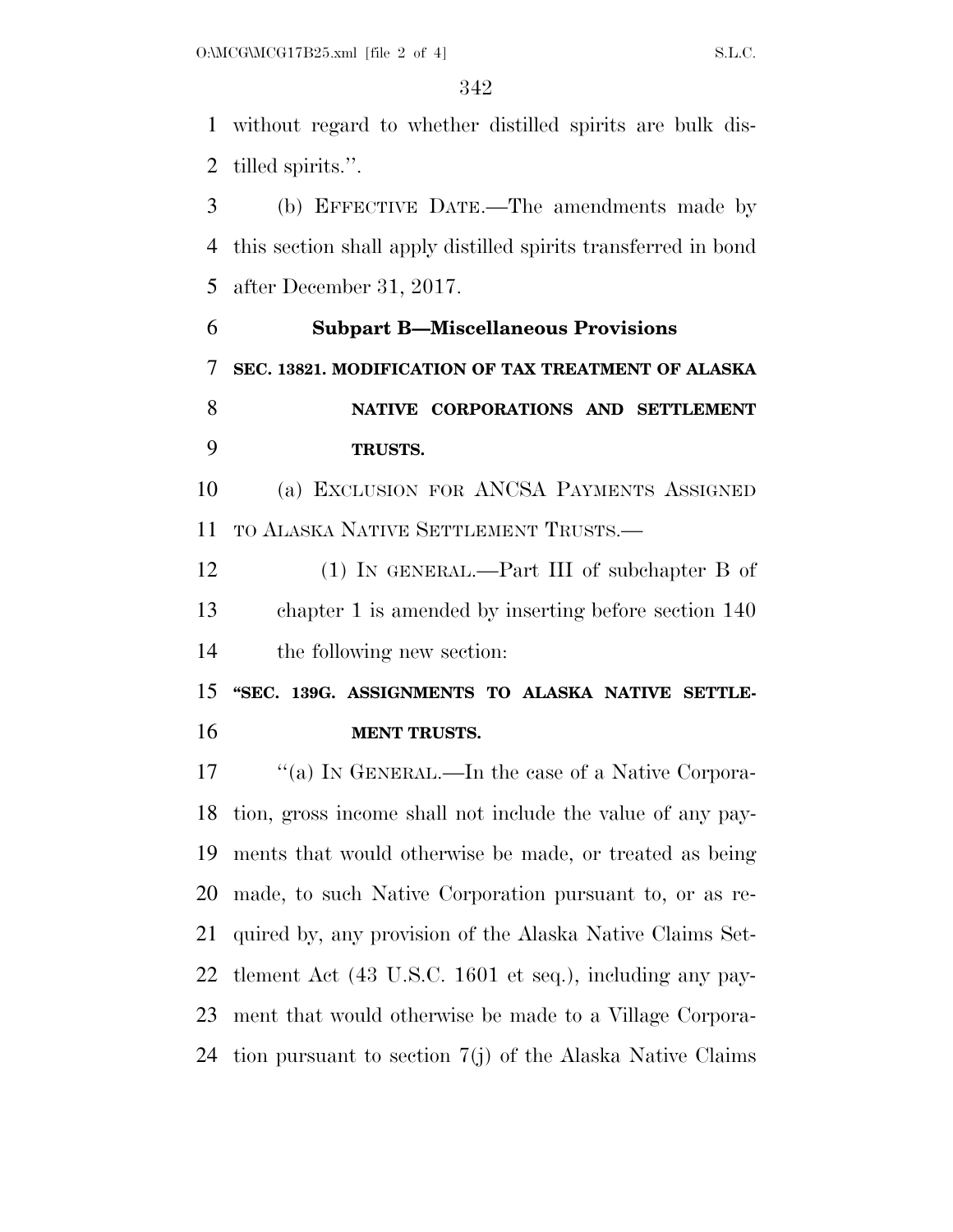without regard to whether distilled spirits are bulk dis-tilled spirits.''.

 (b) EFFECTIVE DATE.—The amendments made by this section shall apply distilled spirits transferred in bond after December 31, 2017.

 **Subpart B—Miscellaneous Provisions SEC. 13821. MODIFICATION OF TAX TREATMENT OF ALASKA NATIVE CORPORATIONS AND SETTLEMENT TRUSTS.** 

 (a) EXCLUSION FOR ANCSA PAYMENTS ASSIGNED TO ALASKA NATIVE SETTLEMENT TRUSTS.—

 (1) IN GENERAL.—Part III of subchapter B of chapter 1 is amended by inserting before section 140 the following new section:

 **''SEC. 139G. ASSIGNMENTS TO ALASKA NATIVE SETTLE-MENT TRUSTS.** 

17 "(a) In GENERAL.—In the case of a Native Corpora- tion, gross income shall not include the value of any pay- ments that would otherwise be made, or treated as being made, to such Native Corporation pursuant to, or as re- quired by, any provision of the Alaska Native Claims Set- tlement Act (43 U.S.C. 1601 et seq.), including any pay- ment that would otherwise be made to a Village Corpora-tion pursuant to section 7(j) of the Alaska Native Claims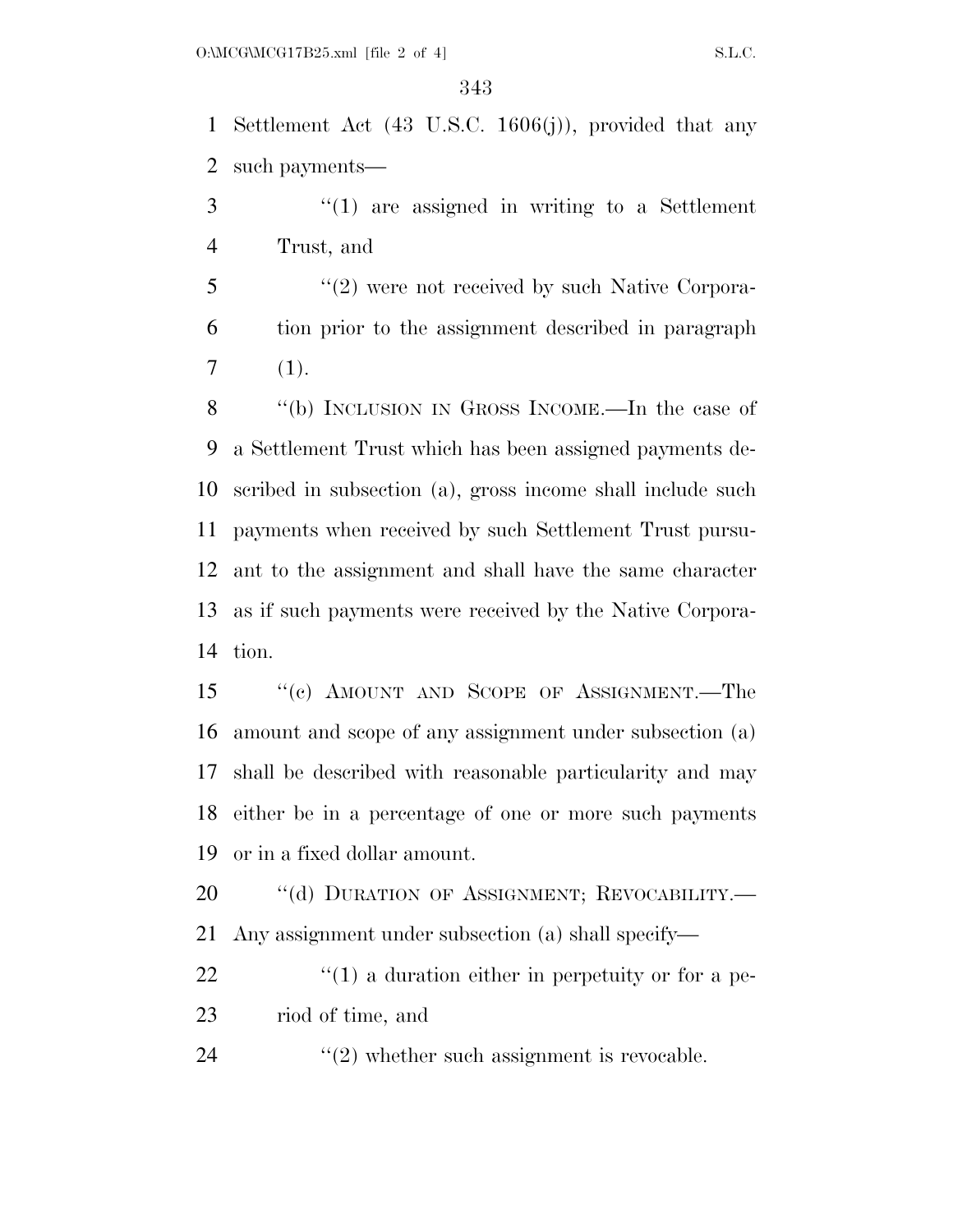Settlement Act (43 U.S.C. 1606(j)), provided that any such payments—

 ''(1) are assigned in writing to a Settlement Trust, and

5 "(2) were not received by such Native Corpora- tion prior to the assignment described in paragraph  $7(1).$ 

 ''(b) INCLUSION IN GROSS INCOME.—In the case of a Settlement Trust which has been assigned payments de- scribed in subsection (a), gross income shall include such payments when received by such Settlement Trust pursu- ant to the assignment and shall have the same character as if such payments were received by the Native Corpora-tion.

 ''(c) AMOUNT AND SCOPE OF ASSIGNMENT.—The amount and scope of any assignment under subsection (a) shall be described with reasonable particularity and may either be in a percentage of one or more such payments or in a fixed dollar amount.

20 "(d) DURATION OF ASSIGNMENT; REVOCABILITY.— Any assignment under subsection (a) shall specify—

 ''(1) a duration either in perpetuity or for a pe-riod of time, and

24  $(2)$  whether such assignment is revocable.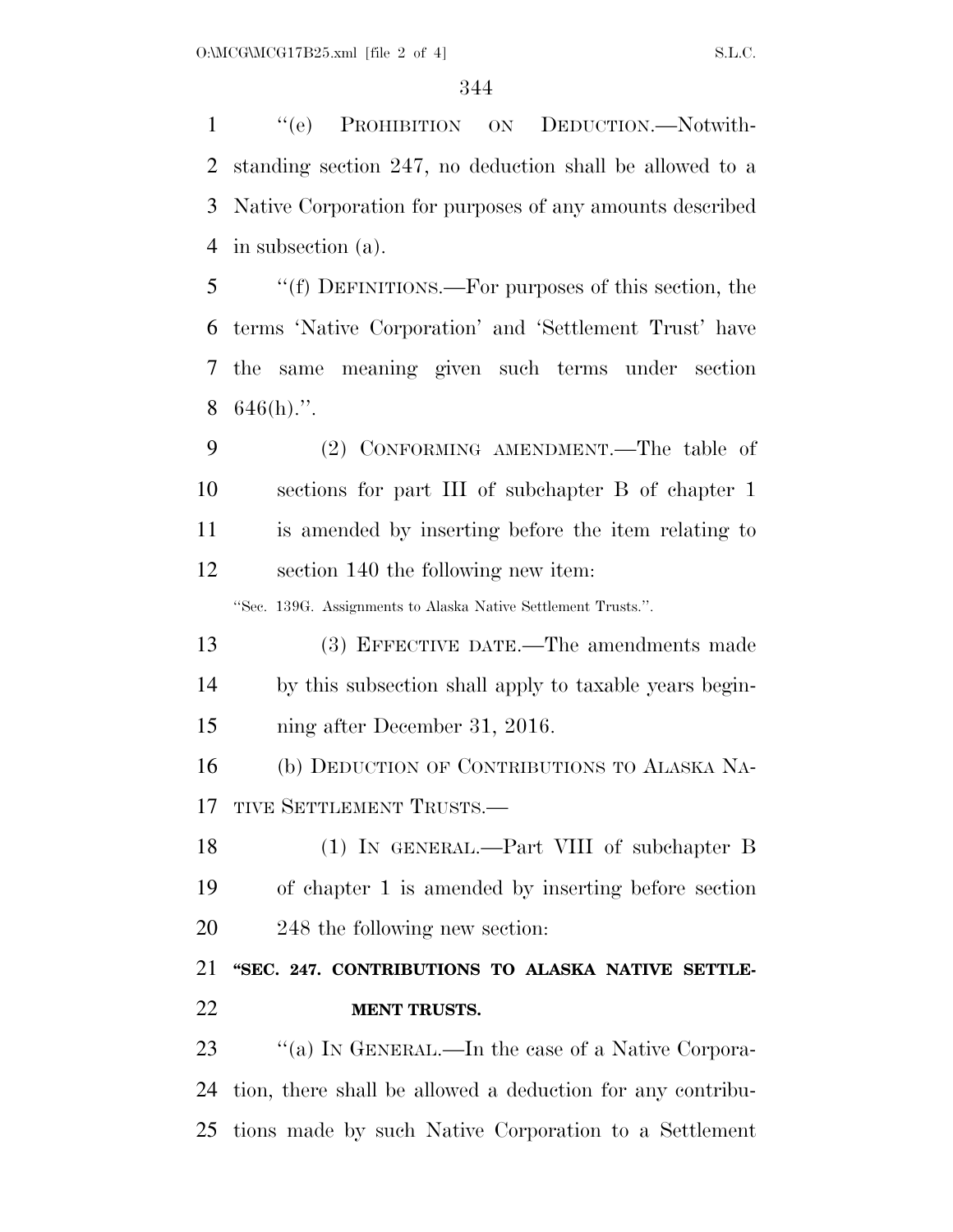''(e) PROHIBITION ON DEDUCTION.—Notwith- standing section 247, no deduction shall be allowed to a Native Corporation for purposes of any amounts described in subsection (a).

 ''(f) DEFINITIONS.—For purposes of this section, the terms 'Native Corporation' and 'Settlement Trust' have the same meaning given such terms under section  $8\quad646(h)$ .".

 (2) CONFORMING AMENDMENT.—The table of sections for part III of subchapter B of chapter 1 is amended by inserting before the item relating to section 140 the following new item:

''Sec. 139G. Assignments to Alaska Native Settlement Trusts.''.

 (3) EFFECTIVE DATE.—The amendments made by this subsection shall apply to taxable years begin-ning after December 31, 2016.

 (b) DEDUCTION OF CONTRIBUTIONS TO ALASKA NA-17 TIVE SETTLEMENT TRUSTS.—

 (1) IN GENERAL.—Part VIII of subchapter B of chapter 1 is amended by inserting before section 248 the following new section:

 **''SEC. 247. CONTRIBUTIONS TO ALASKA NATIVE SETTLE-MENT TRUSTS.** 

23 "(a) In GENERAL.—In the case of a Native Corpora- tion, there shall be allowed a deduction for any contribu-tions made by such Native Corporation to a Settlement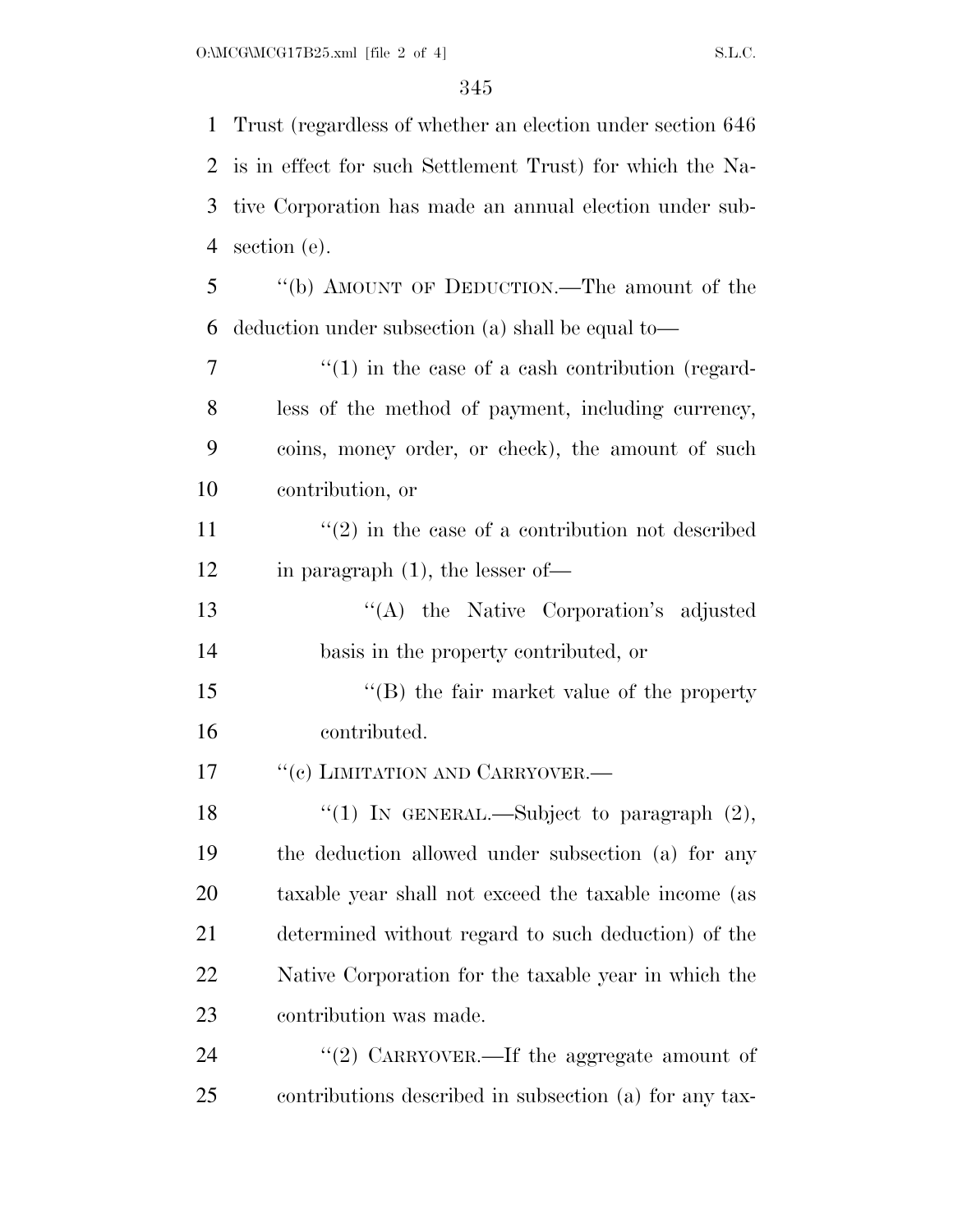Trust (regardless of whether an election under section 646 is in effect for such Settlement Trust) for which the Na- tive Corporation has made an annual election under sub- section (e). ''(b) AMOUNT OF DEDUCTION.—The amount of the deduction under subsection (a) shall be equal to—  $7 \t\t\t\t\t''(1)$  in the case of a cash contribution (regard- less of the method of payment, including currency, coins, money order, or check), the amount of such contribution, or  $\frac{1}{2}$  in the case of a contribution not described in paragraph (1), the lesser of— ''(A) the Native Corporation's adjusted basis in the property contributed, or 15 "(B) the fair market value of the property contributed. 17 <sup>''</sup>(c) LIMITATION AND CARRYOVER.—  $\frac{1}{2}$  (1) In GENERAL.—Subject to paragraph (2), the deduction allowed under subsection (a) for any taxable year shall not exceed the taxable income (as determined without regard to such deduction) of the Native Corporation for the taxable year in which the contribution was made. 24 "(2) CARRYOVER.—If the aggregate amount of contributions described in subsection (a) for any tax-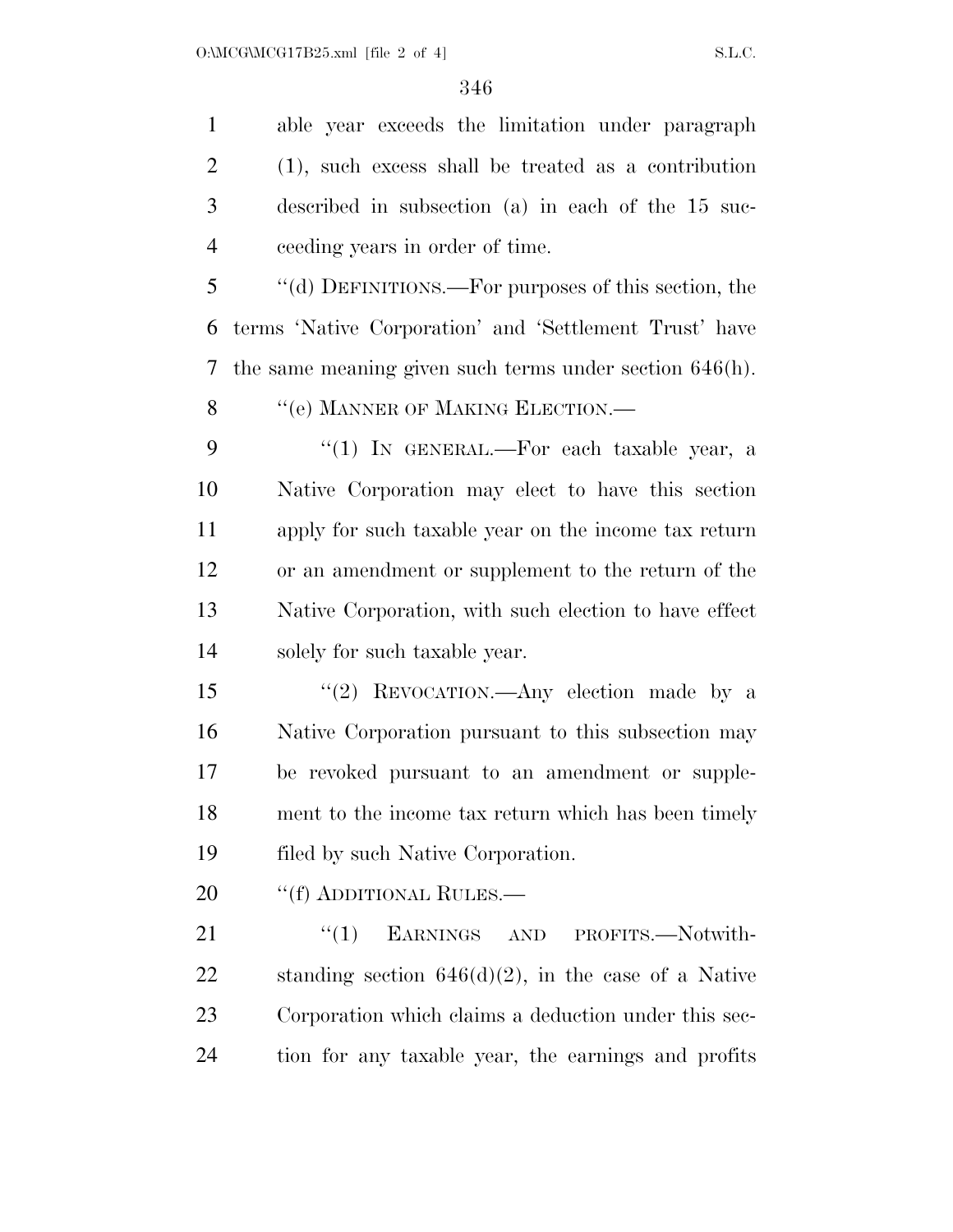able year exceeds the limitation under paragraph (1), such excess shall be treated as a contribution described in subsection (a) in each of the 15 suc-ceeding years in order of time.

 ''(d) DEFINITIONS.—For purposes of this section, the terms 'Native Corporation' and 'Settlement Trust' have the same meaning given such terms under section 646(h).

8 "(e) MANNER OF MAKING ELECTION.—

9 "(1) In GENERAL.—For each taxable year, a Native Corporation may elect to have this section apply for such taxable year on the income tax return or an amendment or supplement to the return of the Native Corporation, with such election to have effect solely for such taxable year.

 ''(2) REVOCATION.—Any election made by a Native Corporation pursuant to this subsection may be revoked pursuant to an amendment or supple- ment to the income tax return which has been timely filed by such Native Corporation.

20 "(f) ADDITIONAL RULES.—

21 "(1) EARNINGS AND PROFITS.—Notwith-22 standing section  $646(d)(2)$ , in the case of a Native Corporation which claims a deduction under this sec-tion for any taxable year, the earnings and profits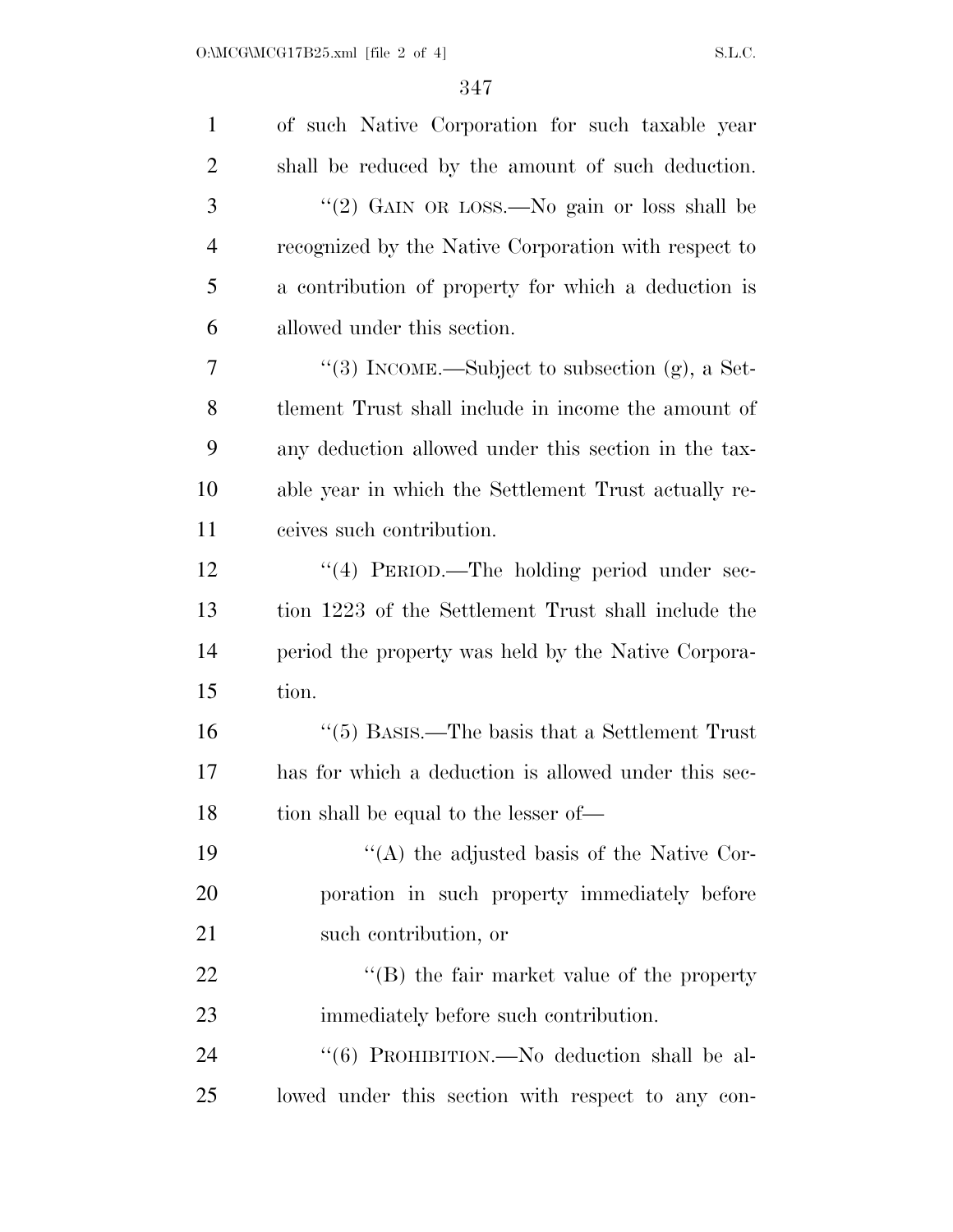| $\mathbf{1}$   | of such Native Corporation for such taxable year          |
|----------------|-----------------------------------------------------------|
| $\overline{2}$ | shall be reduced by the amount of such deduction.         |
| 3              | "(2) GAIN OR LOSS.—No gain or loss shall be               |
| $\overline{4}$ | recognized by the Native Corporation with respect to      |
| 5              | a contribution of property for which a deduction is       |
| 6              | allowed under this section.                               |
| 7              | "(3) INCOME.—Subject to subsection $(g)$ , a Set-         |
| 8              | tlement Trust shall include in income the amount of       |
| 9              | any deduction allowed under this section in the tax-      |
| 10             | able year in which the Settlement Trust actually re-      |
| 11             | ceives such contribution.                                 |
| 12             | $\cdot$ (4) PERIOD.—The holding period under sec-         |
| 13             | tion 1223 of the Settlement Trust shall include the       |
| 14             | period the property was held by the Native Corpora-       |
| 15             | tion.                                                     |
| 16             | $\cdot\cdot$ (5) BASIS.—The basis that a Settlement Trust |
| 17             | has for which a deduction is allowed under this sec-      |
| 18             | tion shall be equal to the lesser of—                     |
| 19             | $\lq\lq$ the adjusted basis of the Native Cor-            |
| 20             | poration in such property immediately before              |
| 21             | such contribution, or                                     |
| 22             | $\lq\lq$ the fair market value of the property            |
| 23             | immediately before such contribution.                     |
| 24             | "(6) PROHIBITION.—No deduction shall be al-               |
| 25             | lowed under this section with respect to any con-         |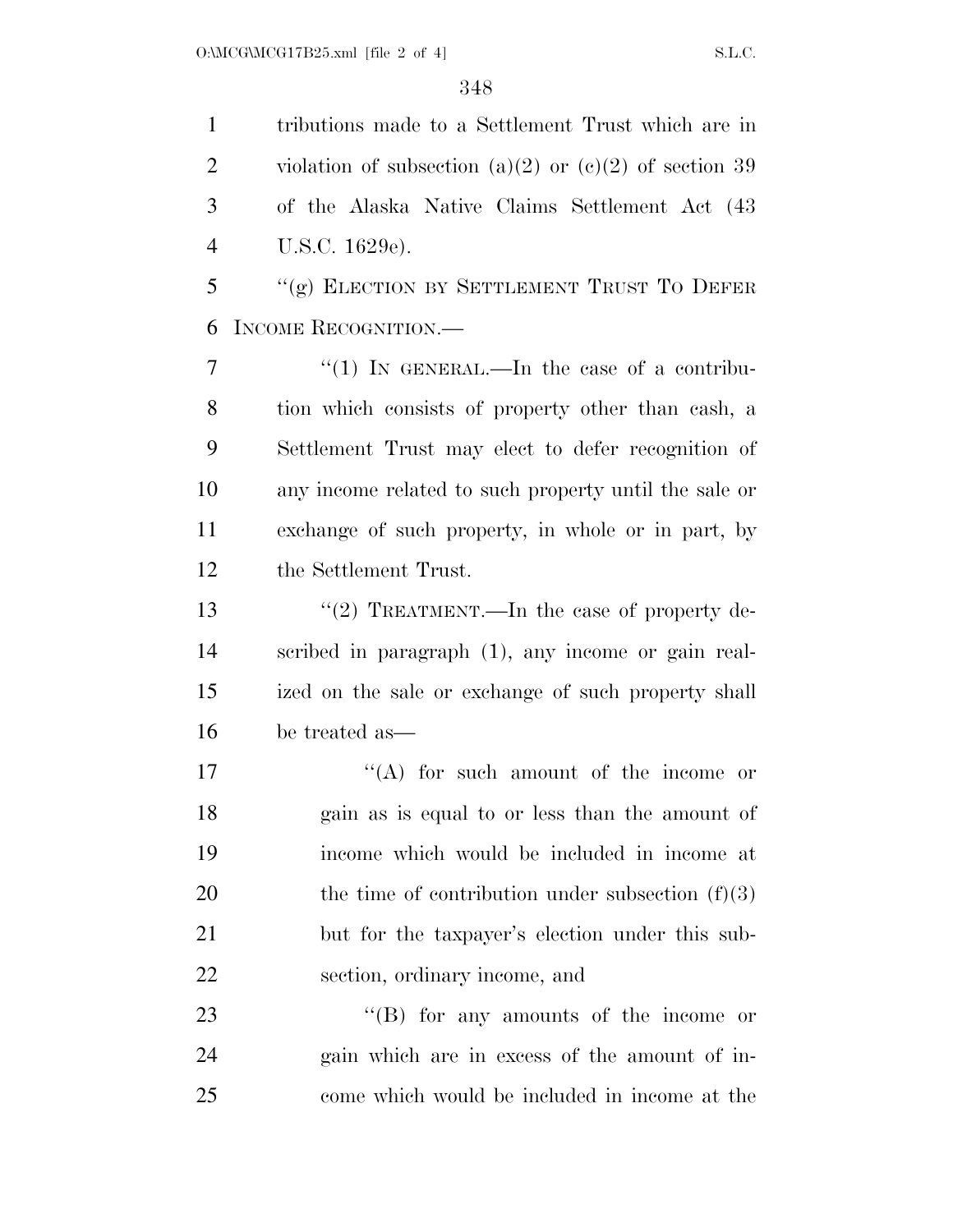tributions made to a Settlement Trust which are in 2 violation of subsection  $(a)(2)$  or  $(c)(2)$  of section 39 of the Alaska Native Claims Settlement Act (43 U.S.C. 1629e). "(g) ELECTION BY SETTLEMENT TRUST TO DEFER INCOME RECOGNITION.—  $\frac{1}{7}$  ''(1) In GENERAL.—In the case of a contribu- tion which consists of property other than cash, a Settlement Trust may elect to defer recognition of any income related to such property until the sale or exchange of such property, in whole or in part, by the Settlement Trust. 13 "(2) TREATMENT.—In the case of property de- scribed in paragraph (1), any income or gain real- ized on the sale or exchange of such property shall be treated as—  $((A)$  for such amount of the income or gain as is equal to or less than the amount of income which would be included in income at 20 the time of contribution under subsection  $(f)(3)$ 

 but for the taxpayer's election under this sub-section, ordinary income, and

23 "'(B) for any amounts of the income or gain which are in excess of the amount of in-come which would be included in income at the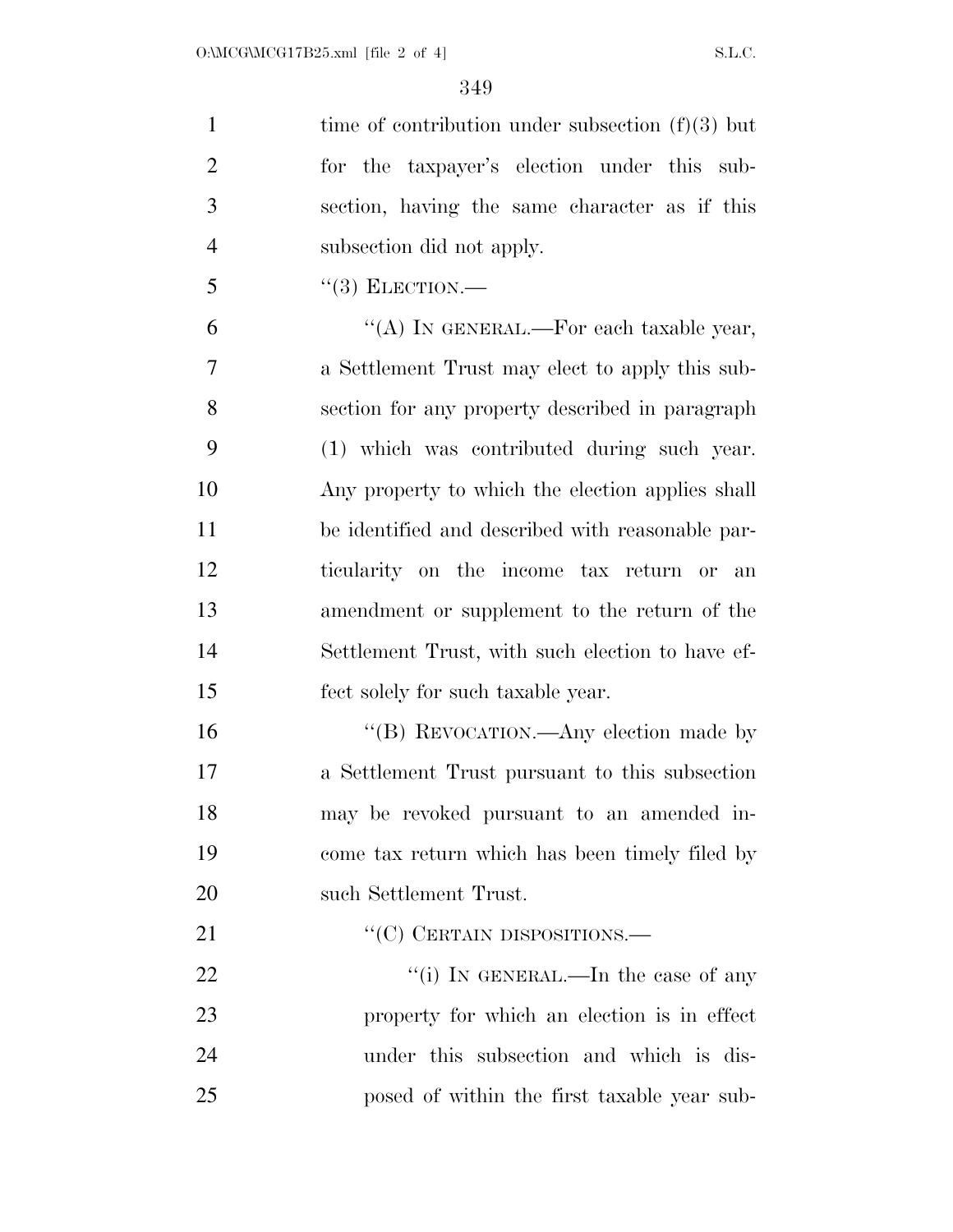1 time of contribution under subsection  $(f)(3)$  but for the taxpayer's election under this sub- section, having the same character as if this subsection did not apply.

"(3) ELECTION.—

 $"$ (A) IN GENERAL.—For each taxable year, a Settlement Trust may elect to apply this sub- section for any property described in paragraph (1) which was contributed during such year. Any property to which the election applies shall be identified and described with reasonable par- ticularity on the income tax return or an amendment or supplement to the return of the Settlement Trust, with such election to have ef-fect solely for such taxable year.

16 "(B) REVOCATION.—Any election made by a Settlement Trust pursuant to this subsection may be revoked pursuant to an amended in- come tax return which has been timely filed by such Settlement Trust.

21 "'(C) CERTAIN DISPOSITIONS.

 $\frac{((i) \text{IN} \text{GENERAL}}{((i) \text{IN} \text{N}})$  is the case of any property for which an election is in effect under this subsection and which is dis-posed of within the first taxable year sub-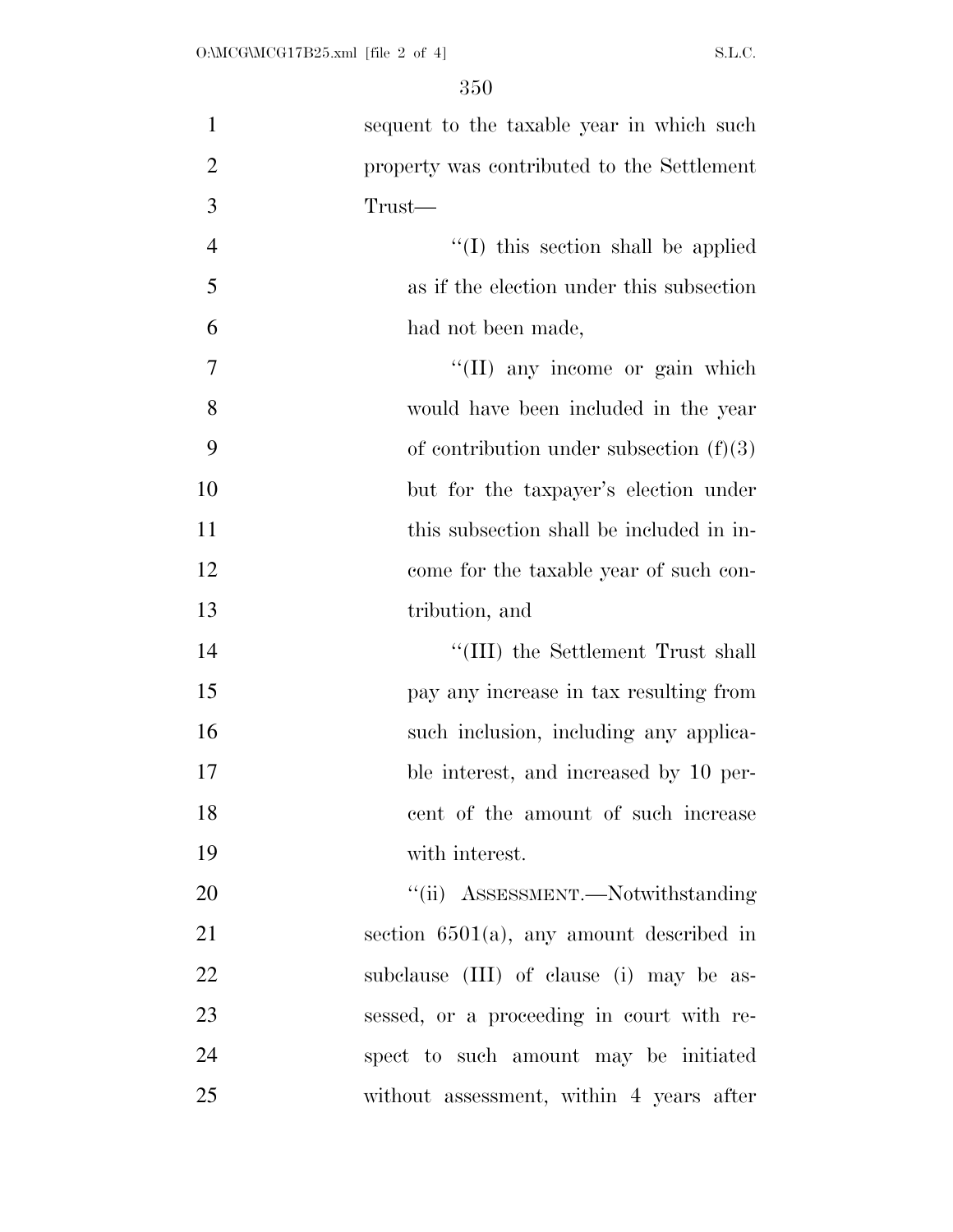| $\mathbf{1}$   | sequent to the taxable year in which such   |
|----------------|---------------------------------------------|
| $\overline{2}$ | property was contributed to the Settlement  |
| 3              | Trust—                                      |
| $\overline{4}$ | "(I) this section shall be applied          |
| 5              | as if the election under this subsection    |
| 6              | had not been made,                          |
| 7              | "(II) any income or gain which              |
| 8              | would have been included in the year        |
| 9              | of contribution under subsection $(f)(3)$   |
| 10             | but for the taxpayer's election under       |
| 11             | this subsection shall be included in in-    |
| 12             | come for the taxable year of such con-      |
| 13             | tribution, and                              |
| 14             | "(III) the Settlement Trust shall           |
| 15             | pay any increase in tax resulting from      |
| 16             | such inclusion, including any applica-      |
| 17             | ble interest, and increased by 10 per-      |
| 18             | cent of the amount of such increase         |
| 19             | with interest.                              |
| 20             | "(ii) ASSESSMENT.—Notwithstanding           |
| 21             | section $6501(a)$ , any amount described in |
| 22             | subclause (III) of clause (i) may be as-    |
| 23             | sessed, or a proceeding in court with re-   |
| 24             | spect to such amount may be initiated       |
| 25             | without assessment, within 4 years after    |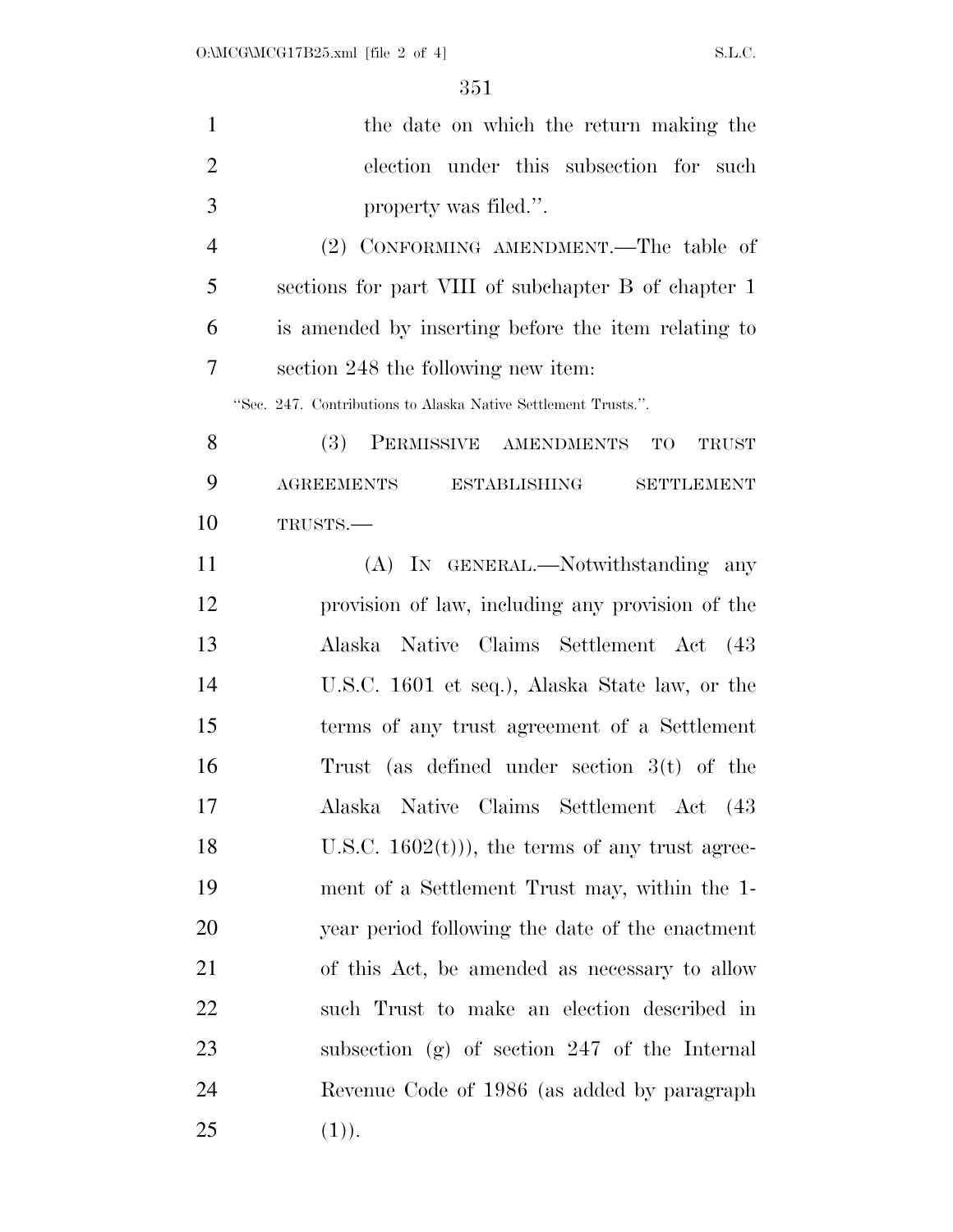| $\mathbf{1}$   | the date on which the return making the                        |  |  |  |  |
|----------------|----------------------------------------------------------------|--|--|--|--|
| $\overline{2}$ | election under this subsection for such                        |  |  |  |  |
| 3              | property was filed.".                                          |  |  |  |  |
| $\overline{4}$ | (2) CONFORMING AMENDMENT.—The table of                         |  |  |  |  |
| 5              | sections for part VIII of subchapter B of chapter 1            |  |  |  |  |
| 6              | is amended by inserting before the item relating to            |  |  |  |  |
| 7              | section 248 the following new item:                            |  |  |  |  |
|                | "Sec. 247. Contributions to Alaska Native Settlement Trusts.". |  |  |  |  |
| 8              | PERMISSIVE AMENDMENTS TO<br>(3)<br><b>TRUST</b>                |  |  |  |  |
| 9              | <b>AGREEMENTS</b><br><b>ESTABLISHING</b><br><b>SETTLEMENT</b>  |  |  |  |  |
| 10             | TRUSTS.                                                        |  |  |  |  |
| 11             | (A) IN GENERAL.—Notwithstanding any                            |  |  |  |  |
| 12             | provision of law, including any provision of the               |  |  |  |  |
| 13             | Alaska Native Claims Settlement Act (43                        |  |  |  |  |
| 14             | U.S.C. 1601 et seq.), Alaska State law, or the                 |  |  |  |  |
| 15             | terms of any trust agreement of a Settlement                   |  |  |  |  |
| 16             | Trust (as defined under section $3(t)$ of the                  |  |  |  |  |
| 17             | Alaska Native Claims Settlement Act (43                        |  |  |  |  |
| 18             | U.S.C. $1602(t)$ , the terms of any trust agree-               |  |  |  |  |
| 19             | ment of a Settlement Trust may, within the 1-                  |  |  |  |  |
| 20             | year period following the date of the enactment                |  |  |  |  |
| 21             | of this Act, be amended as necessary to allow                  |  |  |  |  |
| 22             | such Trust to make an election described in                    |  |  |  |  |
| 23             | subsection $(g)$ of section 247 of the Internal                |  |  |  |  |
| 24             | Revenue Code of 1986 (as added by paragraph                    |  |  |  |  |
| 25             | (1)).                                                          |  |  |  |  |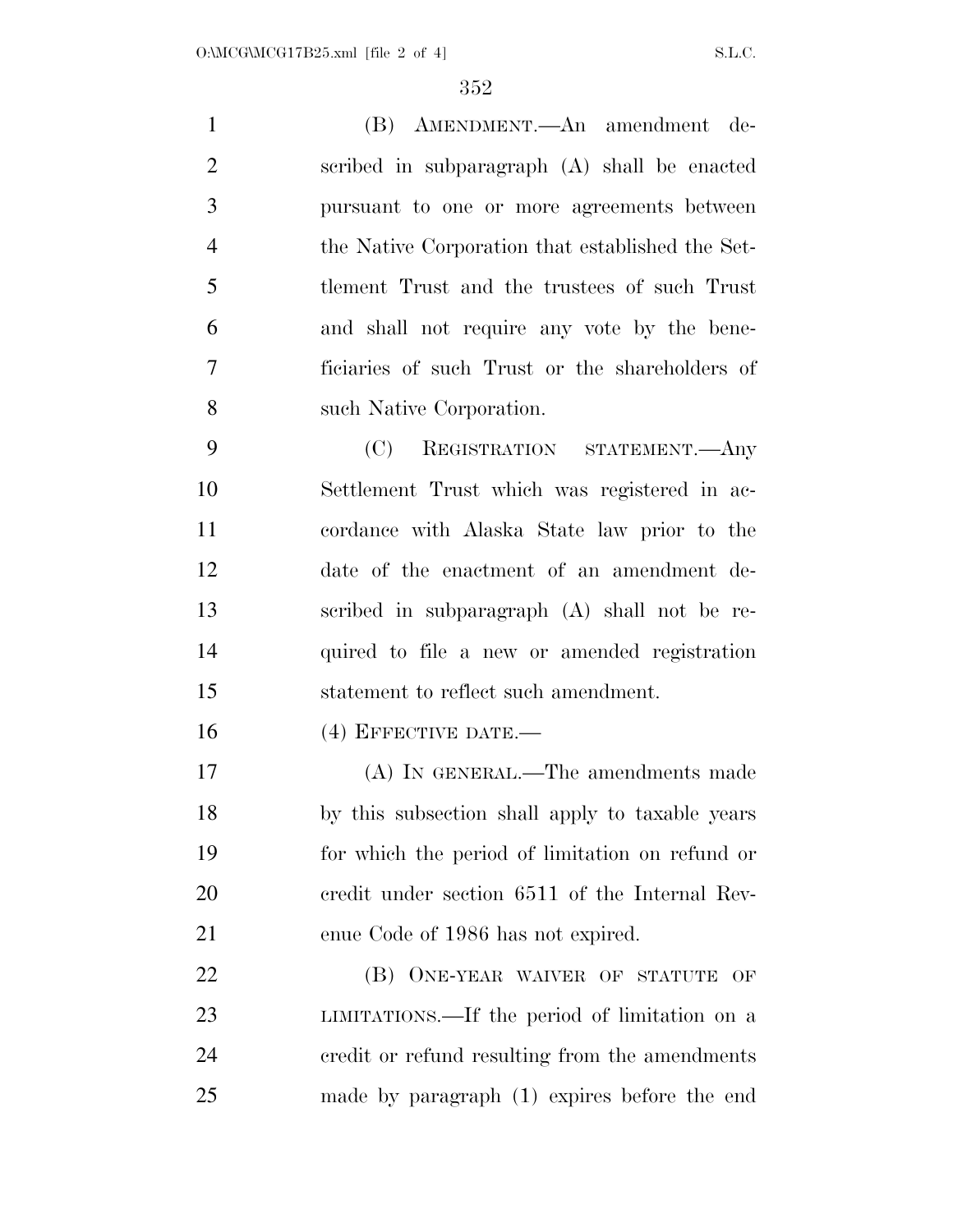(B) AMENDMENT.—An amendment de- scribed in subparagraph (A) shall be enacted pursuant to one or more agreements between the Native Corporation that established the Set- tlement Trust and the trustees of such Trust and shall not require any vote by the bene- ficiaries of such Trust or the shareholders of such Native Corporation. (C) REGISTRATION STATEMENT.—Any Settlement Trust which was registered in ac- cordance with Alaska State law prior to the date of the enactment of an amendment de- scribed in subparagraph (A) shall not be re- quired to file a new or amended registration statement to reflect such amendment. 16 (4) EFFECTIVE DATE.— (A) IN GENERAL.—The amendments made by this subsection shall apply to taxable years

 for which the period of limitation on refund or credit under section 6511 of the Internal Rev-enue Code of 1986 has not expired.

**(B) ONE-YEAR WAIVER OF STATUTE OF**  LIMITATIONS.—If the period of limitation on a credit or refund resulting from the amendments made by paragraph (1) expires before the end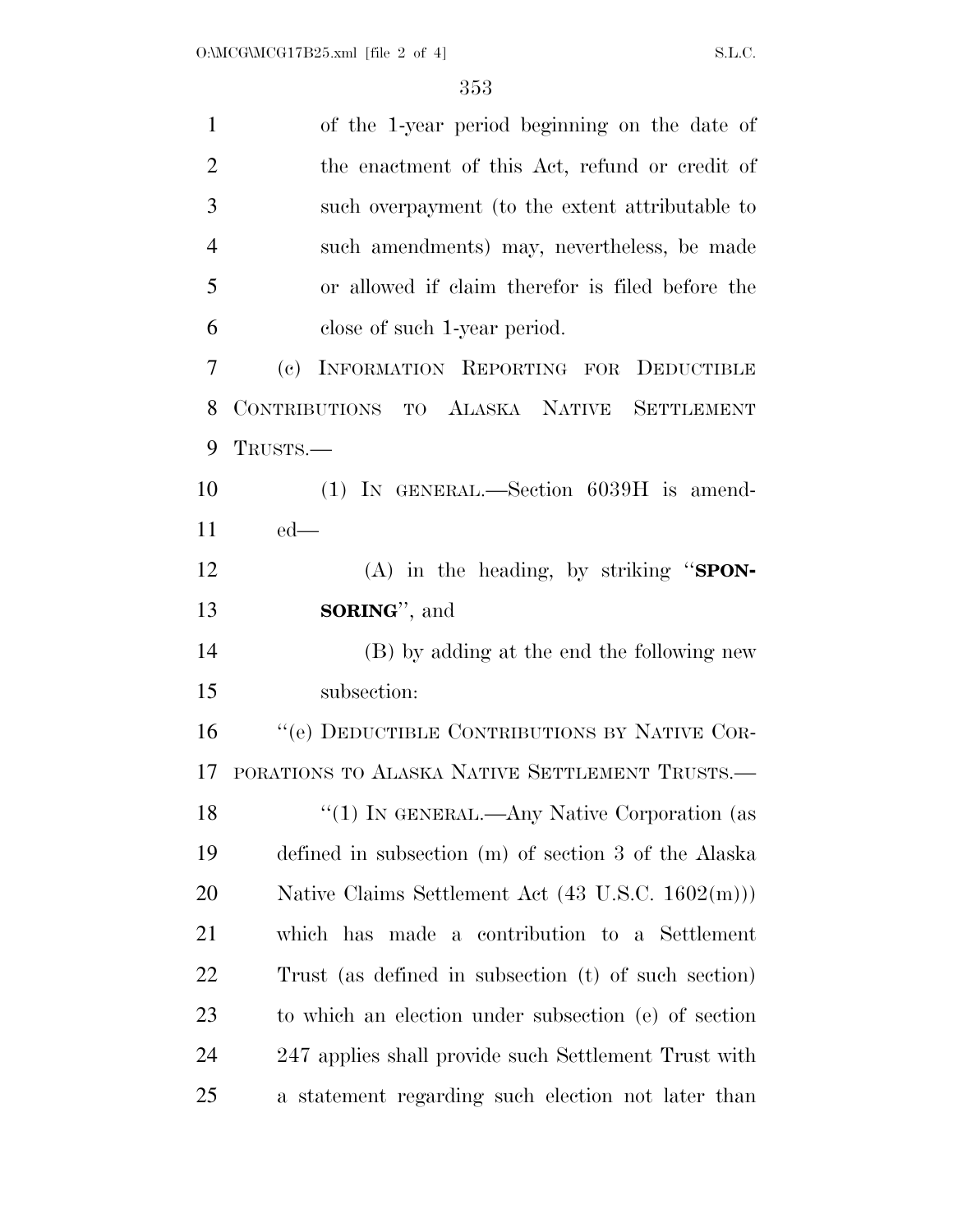| $\mathbf{1}$   | of the 1-year period beginning on the date of        |  |  |  |  |
|----------------|------------------------------------------------------|--|--|--|--|
| $\overline{2}$ | the enactment of this Act, refund or credit of       |  |  |  |  |
| 3              | such overpayment (to the extent attributable to      |  |  |  |  |
| $\overline{4}$ | such amendments) may, nevertheless, be made          |  |  |  |  |
| 5              | or allowed if claim therefor is filed before the     |  |  |  |  |
| 6              | close of such 1-year period.                         |  |  |  |  |
| 7              | INFORMATION REPORTING FOR DEDUCTIBLE<br>(e)          |  |  |  |  |
| 8              | CONTRIBUTIONS TO ALASKA NATIVE SETTLEMENT            |  |  |  |  |
| 9              | TRUSTS.-                                             |  |  |  |  |
| 10             | $(1)$ IN GENERAL.—Section 6039H is amend-            |  |  |  |  |
| 11             | $ed$ —                                               |  |  |  |  |
| 12             | (A) in the heading, by striking "SPON-               |  |  |  |  |
|                |                                                      |  |  |  |  |
| 13             | <b>SORING</b> ", and                                 |  |  |  |  |
| 14             | (B) by adding at the end the following new           |  |  |  |  |
| 15             | subsection:                                          |  |  |  |  |
| 16             | "(e) DEDUCTIBLE CONTRIBUTIONS BY NATIVE COR-         |  |  |  |  |
| 17             | PORATIONS TO ALASKA NATIVE SETTLEMENT TRUSTS.        |  |  |  |  |
| 18             | "(1) IN GENERAL.—Any Native Corporation (as          |  |  |  |  |
| 19             | defined in subsection (m) of section 3 of the Alaska |  |  |  |  |
| 20             | Native Claims Settlement Act (43 U.S.C. 1602(m)))    |  |  |  |  |
| 21             | which has made a contribution to a Settlement        |  |  |  |  |
| 22             | Trust (as defined in subsection (t) of such section) |  |  |  |  |
| 23             | to which an election under subsection (e) of section |  |  |  |  |
| 24             | 247 applies shall provide such Settlement Trust with |  |  |  |  |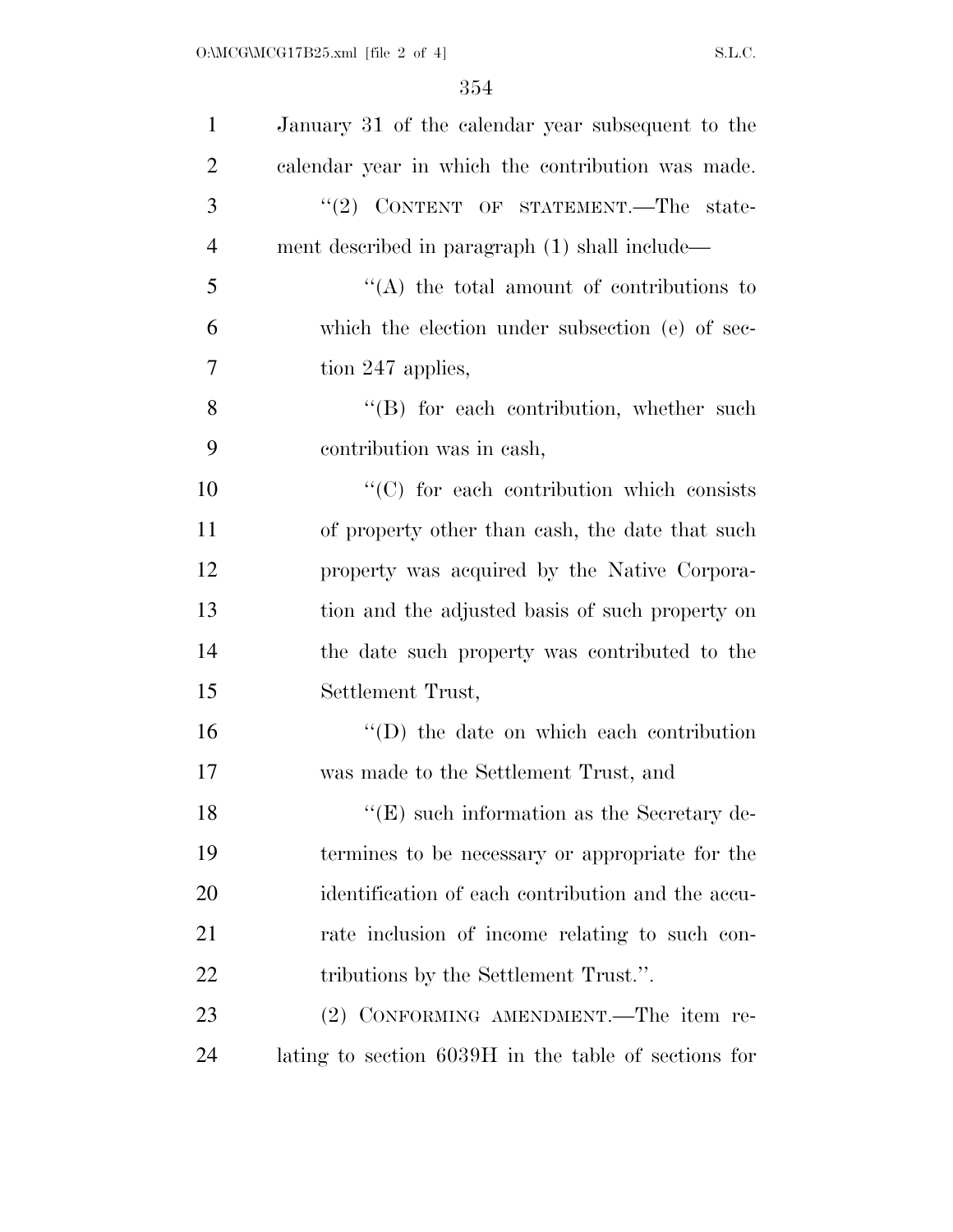| $\mathbf{1}$   | January 31 of the calendar year subsequent to the    |
|----------------|------------------------------------------------------|
| $\overline{2}$ | calendar year in which the contribution was made.    |
| 3              | "(2) CONTENT OF STATEMENT.—The state-                |
| $\overline{4}$ | ment described in paragraph (1) shall include—       |
| 5              | $\lq\lq$ the total amount of contributions to        |
| 6              | which the election under subsection (e) of sec-      |
| 7              | tion 247 applies,                                    |
| 8              | $\lq\lq$ for each contribution, whether such         |
| 9              | contribution was in cash,                            |
| 10             | "(C) for each contribution which consists            |
| 11             | of property other than eash, the date that such      |
| 12             | property was acquired by the Native Corpora-         |
| 13             | tion and the adjusted basis of such property on      |
| 14             | the date such property was contributed to the        |
| 15             | Settlement Trust,                                    |
| 16             | $\lq\lq$ the date on which each contribution         |
| 17             | was made to the Settlement Trust, and                |
| 18             | $\lq\lq$ (E) such information as the Secretary de-   |
| 19             | termines to be necessary or appropriate for the      |
| 20             | identification of each contribution and the accu-    |
| 21             | rate inclusion of income relating to such con-       |
| 22             | tributions by the Settlement Trust.".                |
| 23             | (2) CONFORMING AMENDMENT.—The item re-               |
| 24             | lating to section 6039H in the table of sections for |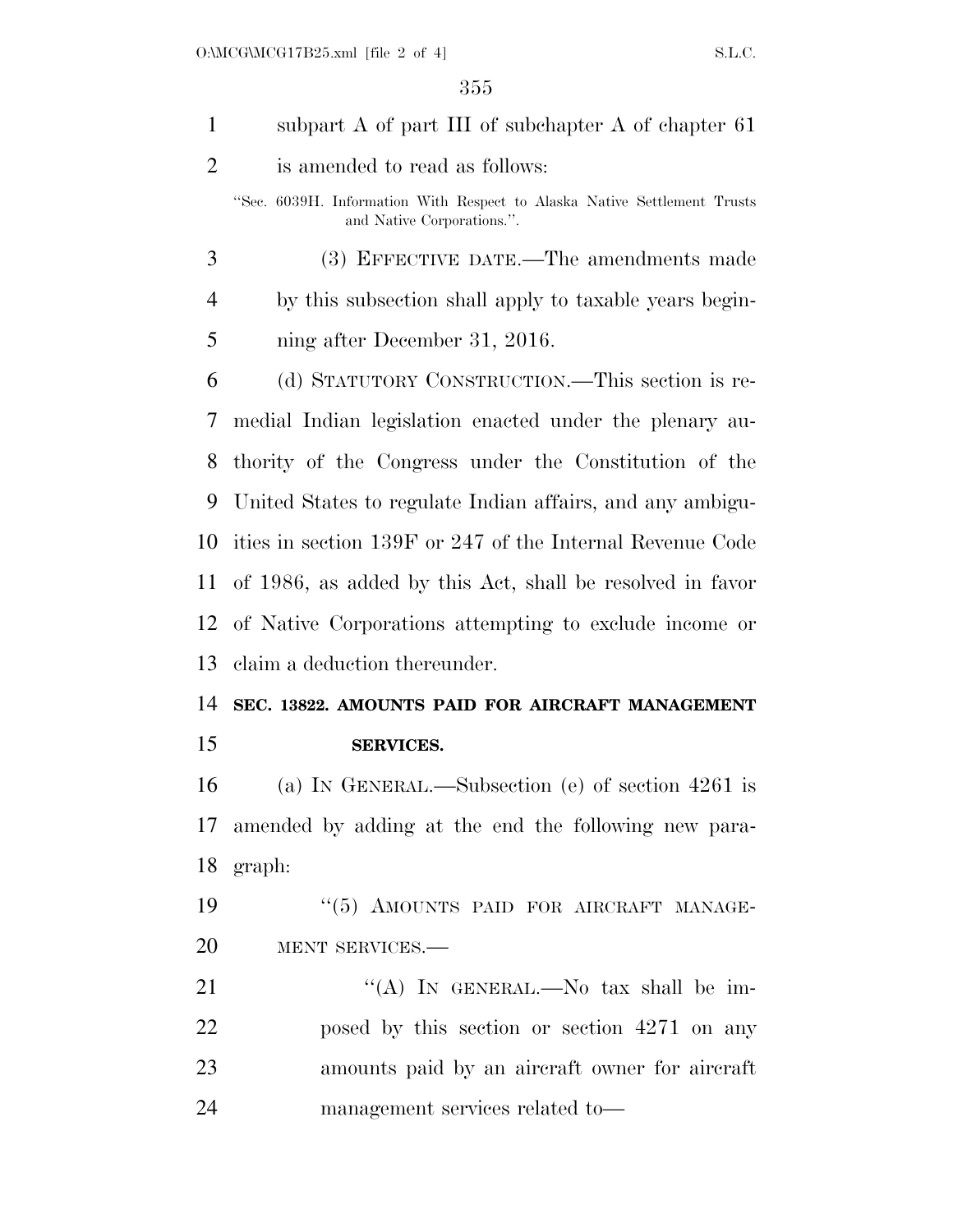| $\mathbf{1}$ | subpart A of part III of subchapter A of chapter 61                                                    |
|--------------|--------------------------------------------------------------------------------------------------------|
| 2            | is amended to read as follows:                                                                         |
|              | "Sec. 6039H. Information With Respect to Alaska Native Settlement Trusts<br>and Native Corporations.". |
| 3            | (3) EFFECTIVE DATE.—The amendments made                                                                |
| 4            | by this subsection shall apply to taxable years begin-                                                 |
| 5            | ning after December 31, 2016.                                                                          |
| 6            | (d) STATUTORY CONSTRUCTION.—This section is re-                                                        |
| 7            | medial Indian legislation enacted under the plenary au-                                                |
| 8            | thority of the Congress under the Constitution of the                                                  |
| 9            | United States to regulate Indian affairs, and any ambigu-                                              |
| 10           | ities in section 139F or 247 of the Internal Revenue Code                                              |
| 11           | of 1986, as added by this Act, shall be resolved in favor                                              |
| 12           | of Native Corporations attempting to exclude income or                                                 |
| 13           | claim a deduction thereunder.                                                                          |
| 14           | SEC. 13822. AMOUNTS PAID FOR AIRCRAFT MANAGEMENT                                                       |
| 15           | <b>SERVICES.</b>                                                                                       |
| 16           | (a) IN GENERAL.—Subsection (e) of section $4261$ is                                                    |
| 17           | amended by adding at the end the following new para-                                                   |
| 18           | graph:                                                                                                 |
| 19           | "(5) AMOUNTS PAID FOR AIRCRAFT MANAGE-                                                                 |
| 20           | MENT SERVICES.-                                                                                        |
| 21           | "(A) IN GENERAL.—No tax shall be im-                                                                   |
| 22           | posed by this section or section 4271 on any                                                           |
| 23           | amounts paid by an aircraft owner for aircraft                                                         |
| 24           | management services related to-                                                                        |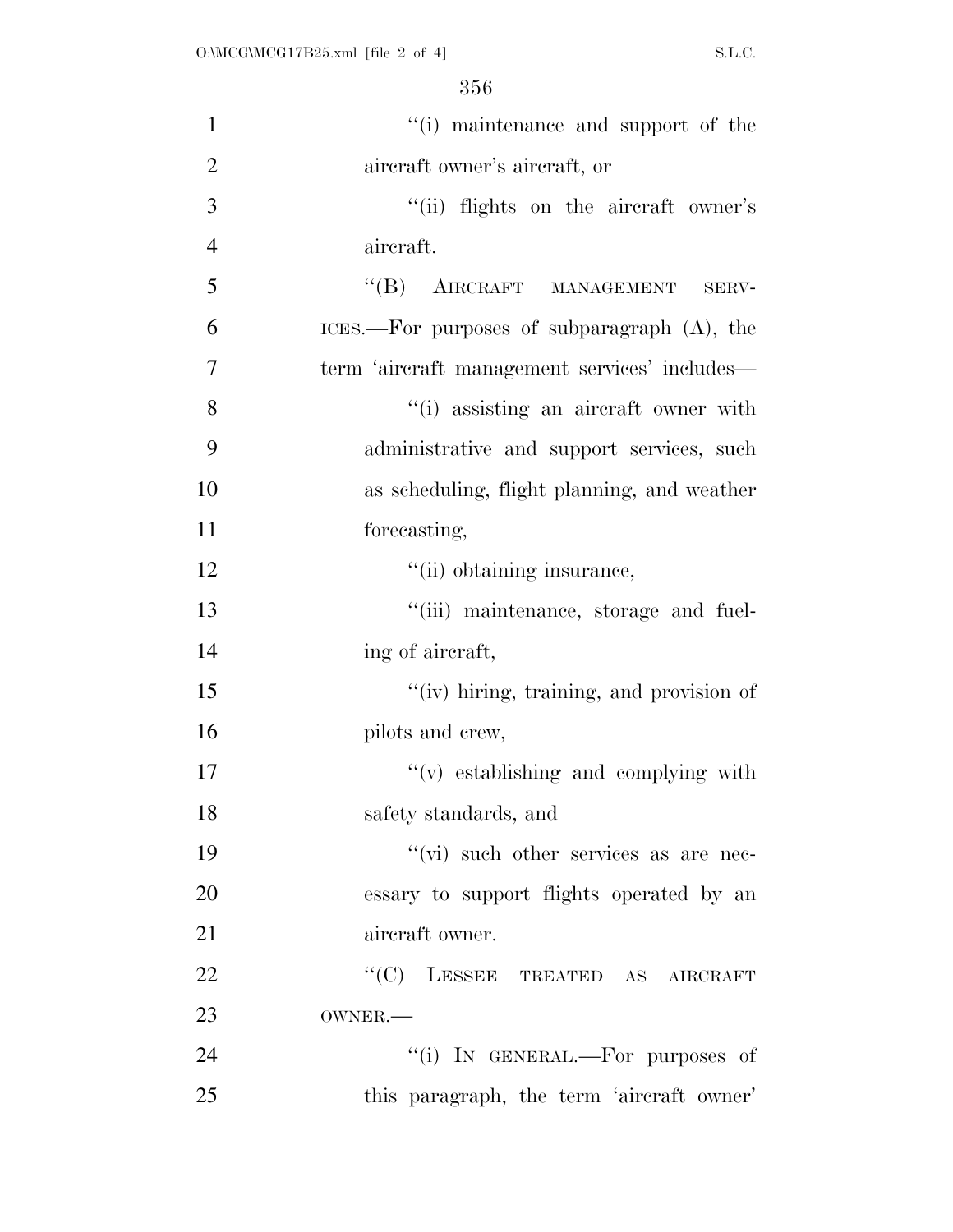| $\mathbf{1}$   | "(i) maintenance and support of the            |
|----------------|------------------------------------------------|
| $\overline{2}$ | aircraft owner's aircraft, or                  |
| 3              | "(ii) flights on the aircraft owner's          |
| $\overline{4}$ | aircraft.                                      |
| 5              | "(B) AIRCRAFT MANAGEMENT SERV-                 |
| 6              | ICES.—For purposes of subparagraph $(A)$ , the |
| $\overline{7}$ | term 'aircraft management services' includes—  |
| 8              | "(i) assisting an aircraft owner with          |
| 9              | administrative and support services, such      |
| 10             | as scheduling, flight planning, and weather    |
| 11             | forecasting,                                   |
| 12             | "(ii) obtaining insurance,                     |
| 13             | "(iii) maintenance, storage and fuel-          |
| 14             | ing of aircraft,                               |
| 15             | "(iv) hiring, training, and provision of       |
| 16             | pilots and crew,                               |
| 17             | $f'(v)$ establishing and complying with        |
| 18             | safety standards, and                          |
| 19             | $\lq\lq$ such other services as are nec-       |
| 20             | essary to support flights operated by an       |
| 21             | aircraft owner.                                |
| 22             | ``(C)<br>LESSEE TREATED AS AIRCRAFT            |
| 23             | OWNER.-                                        |
| 24             | "(i) IN GENERAL.—For purposes of               |
| 25             | this paragraph, the term 'aircraft owner'      |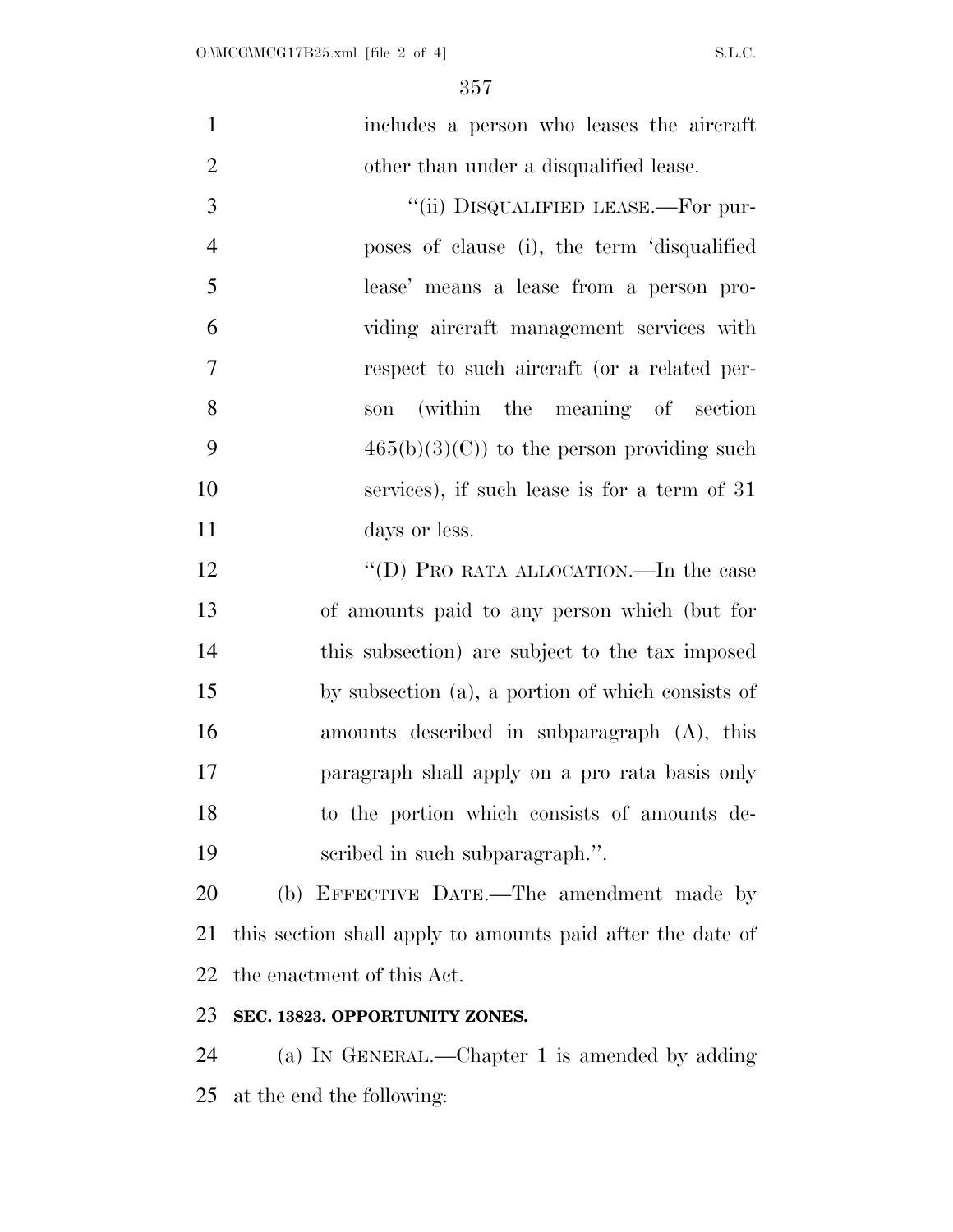| $\mathbf{1}$   | includes a person who leases the aircraft                  |
|----------------|------------------------------------------------------------|
| $\overline{2}$ | other than under a disqualified lease.                     |
| 3              | "(ii) DISQUALIFIED LEASE.—For pur-                         |
| $\overline{4}$ | poses of clause (i), the term 'disqualified                |
| 5              | lease' means a lease from a person pro-                    |
| 6              | viding aircraft management services with                   |
| $\overline{7}$ | respect to such aircraft (or a related per-                |
| 8              | (within the meaning of section<br>son                      |
| 9              | $465(b)(3)(C)$ to the person providing such                |
| 10             | services), if such lease is for a term of 31               |
| 11             | days or less.                                              |
| 12             | "(D) PRO RATA ALLOCATION.—In the case                      |
| 13             | of amounts paid to any person which (but for               |
| 14             | this subsection) are subject to the tax imposed            |
| 15             | by subsection (a), a portion of which consists of          |
| 16             | amounts described in subparagraph (A), this                |
| 17             | paragraph shall apply on a pro rata basis only             |
| 18             | to the portion which consists of amounts de-               |
| 19             | scribed in such subparagraph.".                            |
| 20             | (b) EFFECTIVE DATE.—The amendment made by                  |
| 21             | this section shall apply to amounts paid after the date of |

the enactment of this Act.

### **SEC. 13823. OPPORTUNITY ZONES.**

 (a) IN GENERAL.—Chapter 1 is amended by adding at the end the following: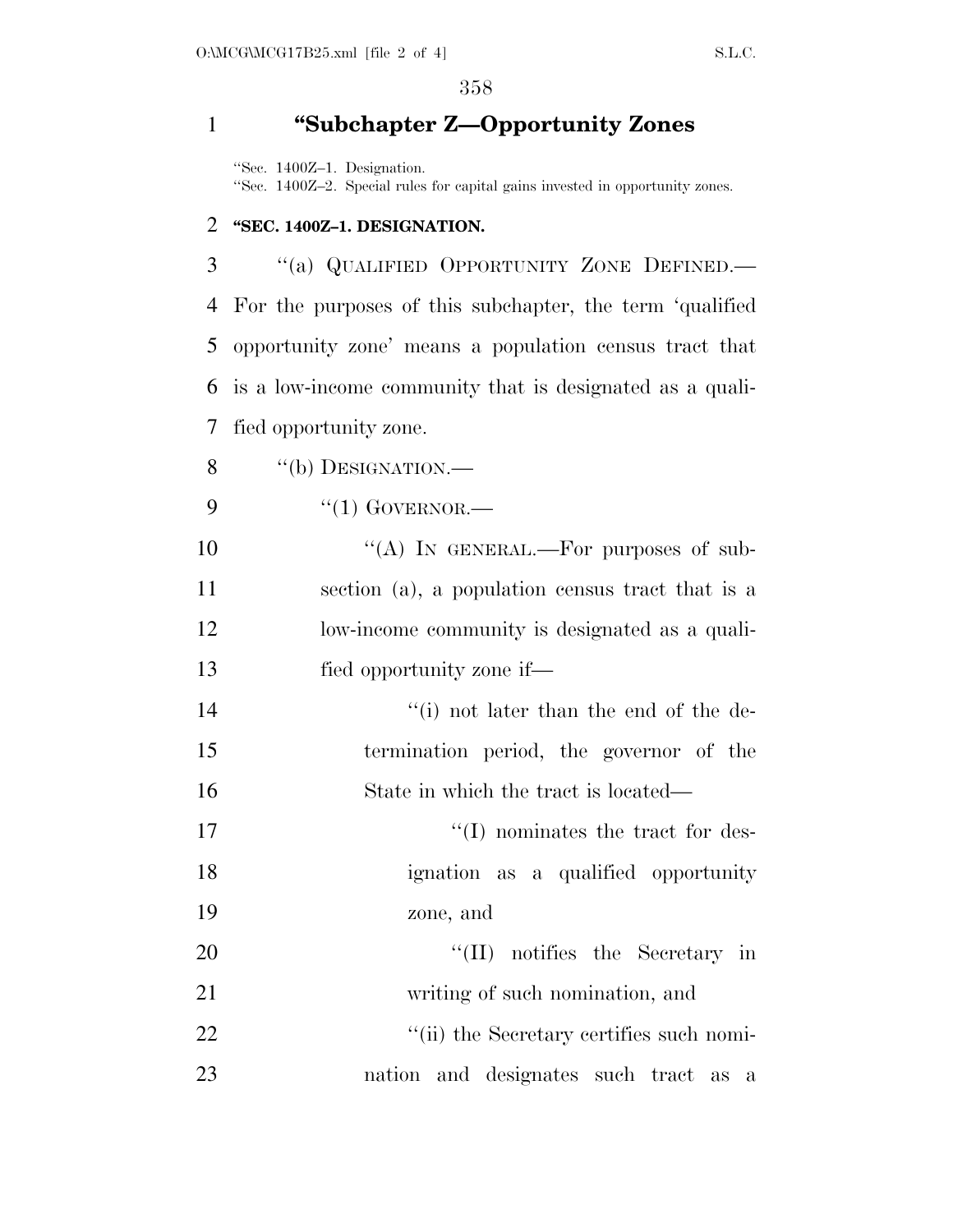## 1 **''Subchapter Z—Opportunity Zones**

''Sec. 1400Z–1. Designation.

''Sec. 1400Z–2. Special rules for capital gains invested in opportunity zones.

#### 2 **''SEC. 1400Z–1. DESIGNATION.**

 ''(a) QUALIFIED OPPORTUNITY ZONE DEFINED.— For the purposes of this subchapter, the term 'qualified opportunity zone' means a population census tract that is a low-income community that is designated as a quali-fied opportunity zone.

8 "(b) DESIGNATION.—

- 9 "(1) GOVERNOR.—
- 10 "(A) IN GENERAL.—For purposes of sub-11 section (a), a population census tract that is a 12 low-income community is designated as a quali-13 fied opportunity zone if—
- 14 ''(i) not later than the end of the de-15 termination period, the governor of the 16 State in which the tract is located—
- 17  $\frac{17}{2}$  The momentum of the tract for des-18 ignation as a qualified opportunity 19 zone, and
- 20 ''(II) notifies the Secretary in 21 writing of such nomination, and 22 ''(ii) the Secretary certifies such nomi-
- 23 nation and designates such tract as a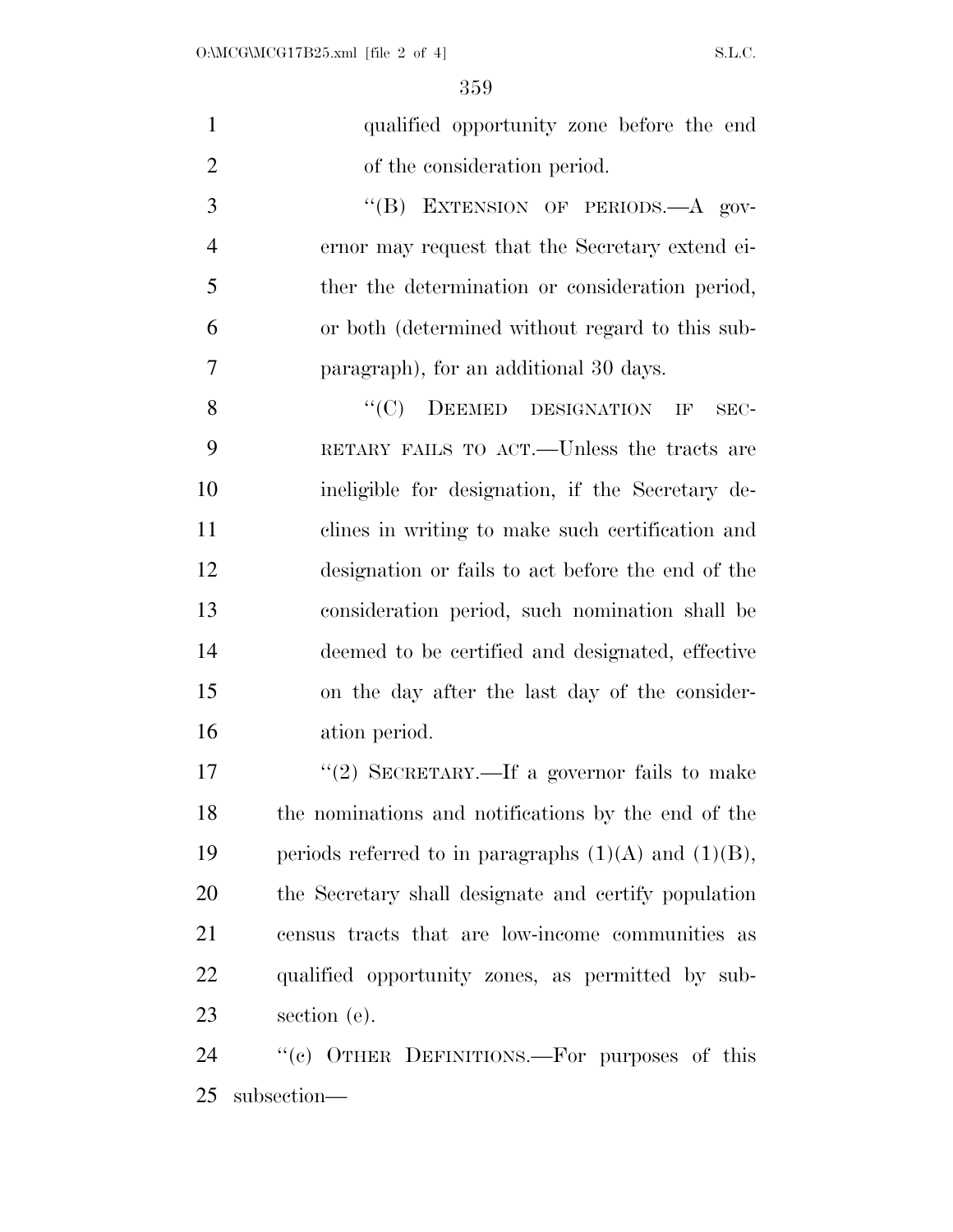| qualified opportunity zone before the end |  |  |
|-------------------------------------------|--|--|
| of the consideration period.              |  |  |

3 "(B) EXTENSION OF PERIODS.—A gov- ernor may request that the Secretary extend ei- ther the determination or consideration period, or both (determined without regard to this sub-paragraph), for an additional 30 days.

8 "(C) DEEMED DESIGNATION IF SEC- RETARY FAILS TO ACT.—Unless the tracts are ineligible for designation, if the Secretary de- clines in writing to make such certification and designation or fails to act before the end of the consideration period, such nomination shall be deemed to be certified and designated, effective on the day after the last day of the consider-ation period.

 $\frac{17}{2}$  SECRETARY.—If a governor fails to make the nominations and notifications by the end of the 19 periods referred to in paragraphs  $(1)(A)$  and  $(1)(B)$ , the Secretary shall designate and certify population census tracts that are low-income communities as qualified opportunity zones, as permitted by sub-section (e).

24 "(c) OTHER DEFINITIONS.—For purposes of this subsection—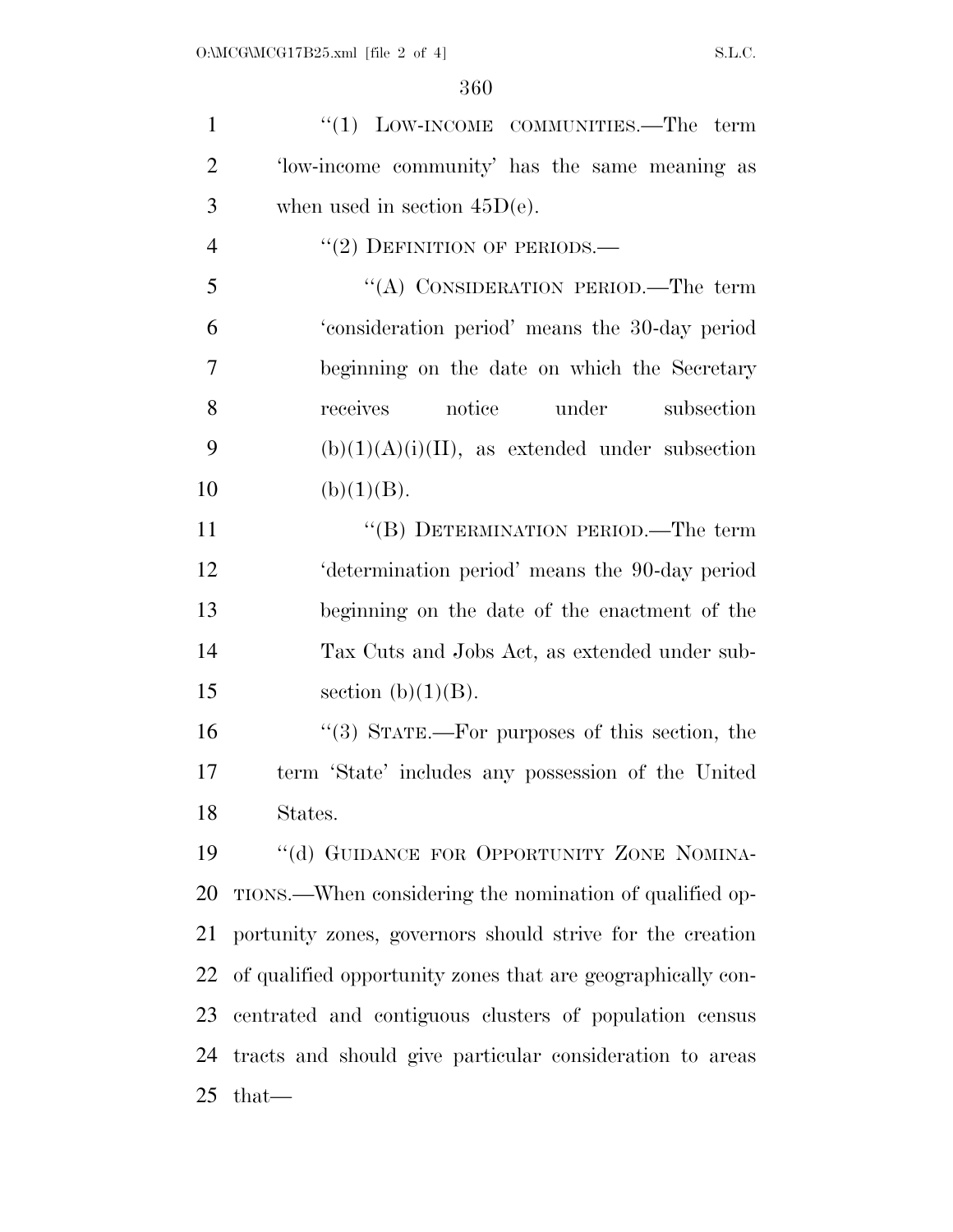1 ''(1) LOW-INCOME COMMUNITIES.—The term 'low-income community' has the same meaning as 3 when used in section  $45D(e)$ . ''(2) DEFINITION OF PERIODS.— ''(A) CONSIDERATION PERIOD.—The term 'consideration period' means the 30-day period beginning on the date on which the Secretary receives notice under subsection 9 (b) $(1)(A)(i)(II)$ , as extended under subsection 10 (b)(1)(B). 11 ""(B) DETERMINATION PERIOD.—The term 'determination period' means the 90-day period beginning on the date of the enactment of the Tax Cuts and Jobs Act, as extended under sub-15 section  $(b)(1)(B)$ . ''(3) STATE.—For purposes of this section, the term 'State' includes any possession of the United States. 19 "(d) GUIDANCE FOR OPPORTUNITY ZONE NOMINA-TIONS.—When considering the nomination of qualified op-

 portunity zones, governors should strive for the creation of qualified opportunity zones that are geographically con- centrated and contiguous clusters of population census tracts and should give particular consideration to areas that—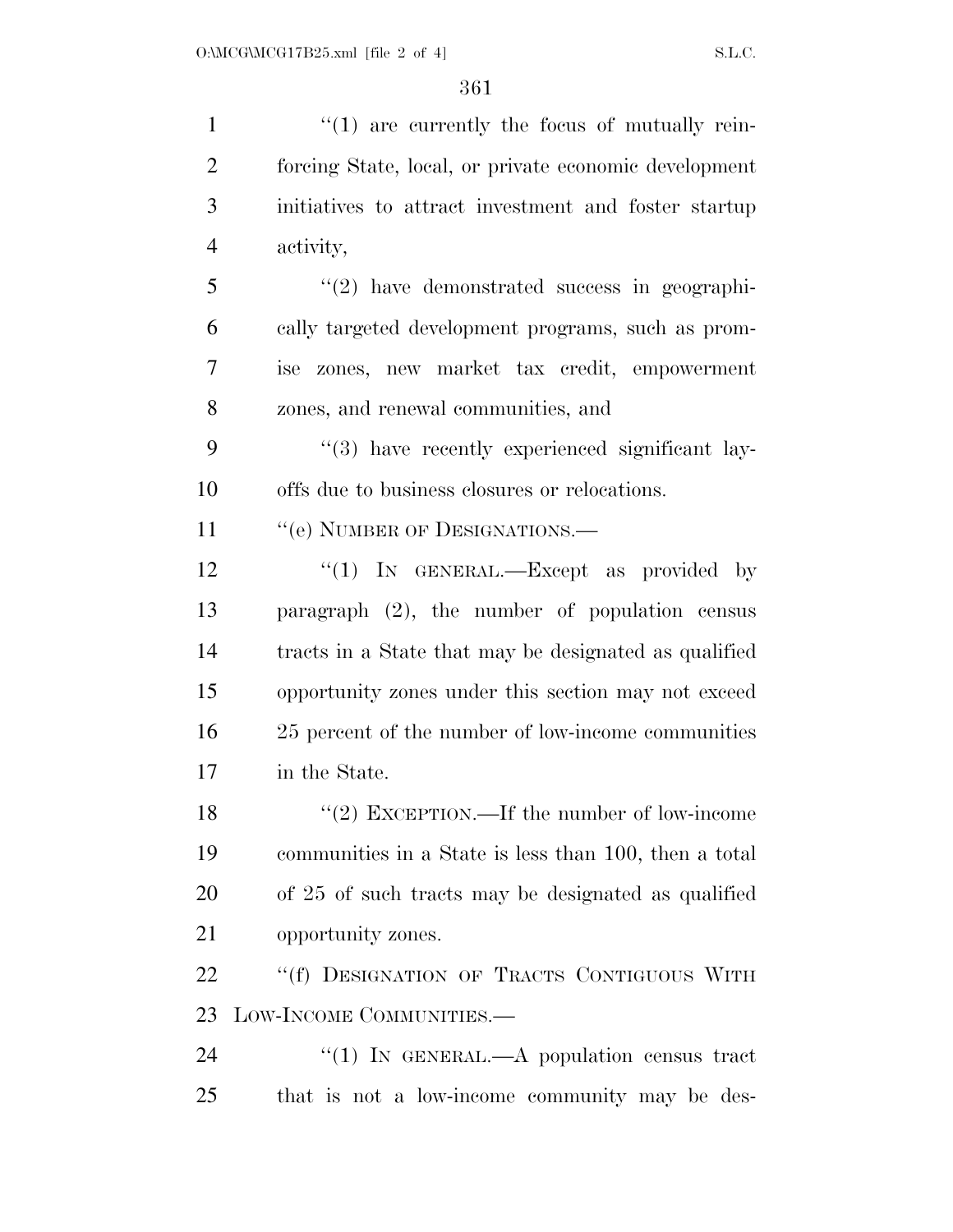$\frac{1}{1}$  are currently the focus of mutually rein- forcing State, local, or private economic development initiatives to attract investment and foster startup activity, ''(2) have demonstrated success in geographi- cally targeted development programs, such as prom- ise zones, new market tax credit, empowerment zones, and renewal communities, and 9 "(3) have recently experienced significant lay- offs due to business closures or relocations. 11 " (e) NUMBER OF DESIGNATIONS.— 12 "(1) IN GENERAL.—Except as provided by paragraph (2), the number of population census tracts in a State that may be designated as qualified opportunity zones under this section may not exceed 25 percent of the number of low-income communities in the State. 18 "(2) EXCEPTION.—If the number of low-income communities in a State is less than 100, then a total of 25 of such tracts may be designated as qualified opportunity zones. 22 "'(f) DESIGNATION OF TRACTS CONTIGUOUS WITH LOW-INCOME COMMUNITIES.— 24 "(1) IN GENERAL.—A population census tract that is not a low-income community may be des-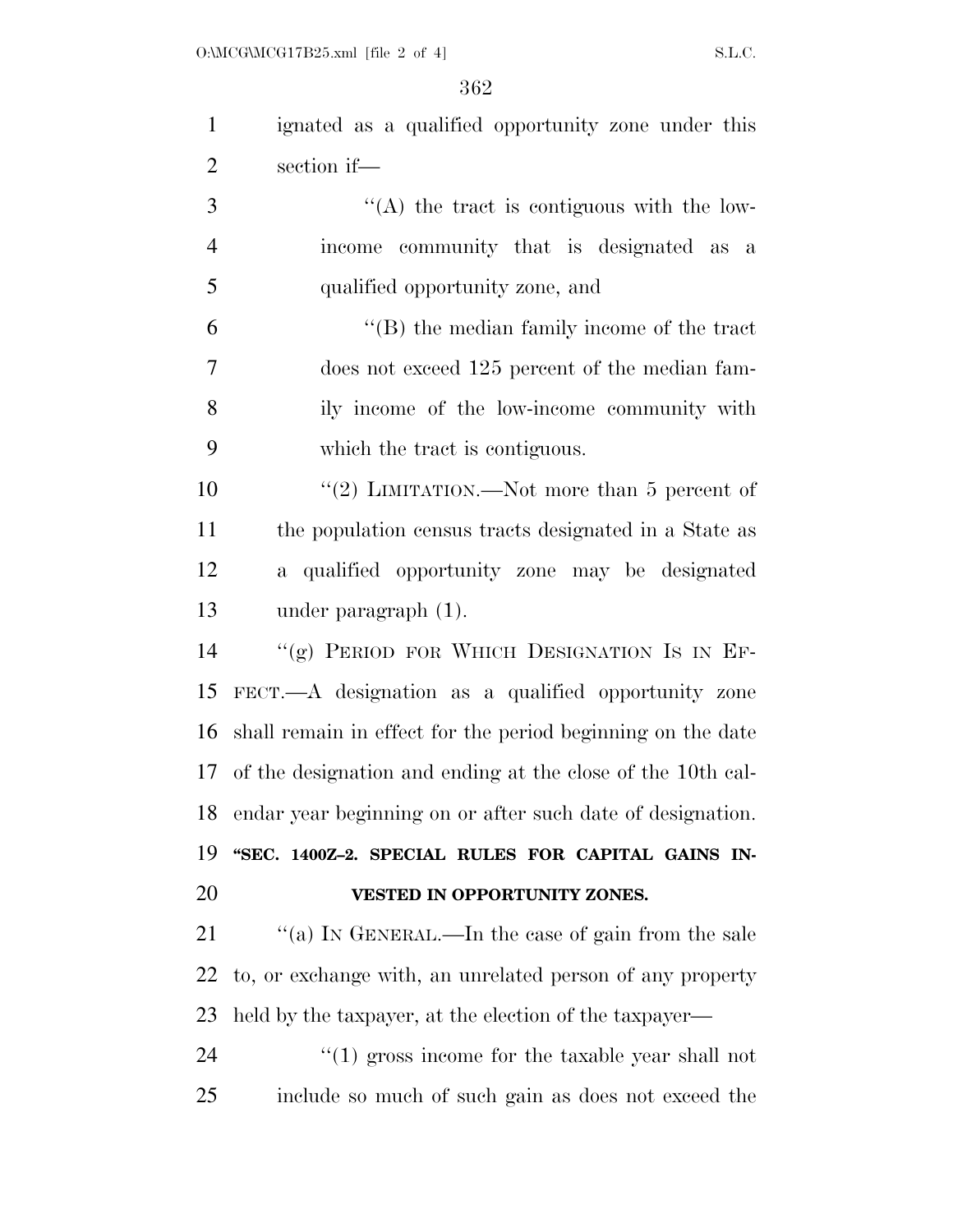| $\mathbf{1}$   | ignated as a qualified opportunity zone under this          |
|----------------|-------------------------------------------------------------|
| $\overline{2}$ | section if-                                                 |
| 3              | $\lq\lq$ the tract is contiguous with the low-              |
| $\overline{4}$ | income community that is designated as a                    |
| 5              | qualified opportunity zone, and                             |
| 6              | $\lq\lq$ the median family income of the tract              |
| 7              | does not exceed 125 percent of the median fam-              |
| 8              | ily income of the low-income community with                 |
| 9              | which the tract is contiguous.                              |
| 10             | "(2) LIMITATION.—Not more than $5$ percent of               |
| 11             | the population census tracts designated in a State as       |
| 12             | a qualified opportunity zone may be designated              |
| 13             | under paragraph (1).                                        |
| 14             | "(g) PERIOD FOR WHICH DESIGNATION IS IN EF-                 |
| 15             | FECT.—A designation as a qualified opportunity zone         |
| 16             | shall remain in effect for the period beginning on the date |
| 17             | of the designation and ending at the close of the 10th cal- |
| 18             | endar year beginning on or after such date of designation.  |
| 19             | "SEC. 1400Z-2. SPECIAL RULES FOR CAPITAL GAINS IN-          |
| 20             | VESTED IN OPPORTUNITY ZONES.                                |
| 21             | "(a) IN GENERAL.—In the case of gain from the sale          |
| 22             | to, or exchange with, an unrelated person of any property   |
| 23             | held by the taxpayer, at the election of the taxpayer—      |
| 24             | $\lq(1)$ gross income for the taxable year shall not        |
| 25             | include so much of such gain as does not exceed the         |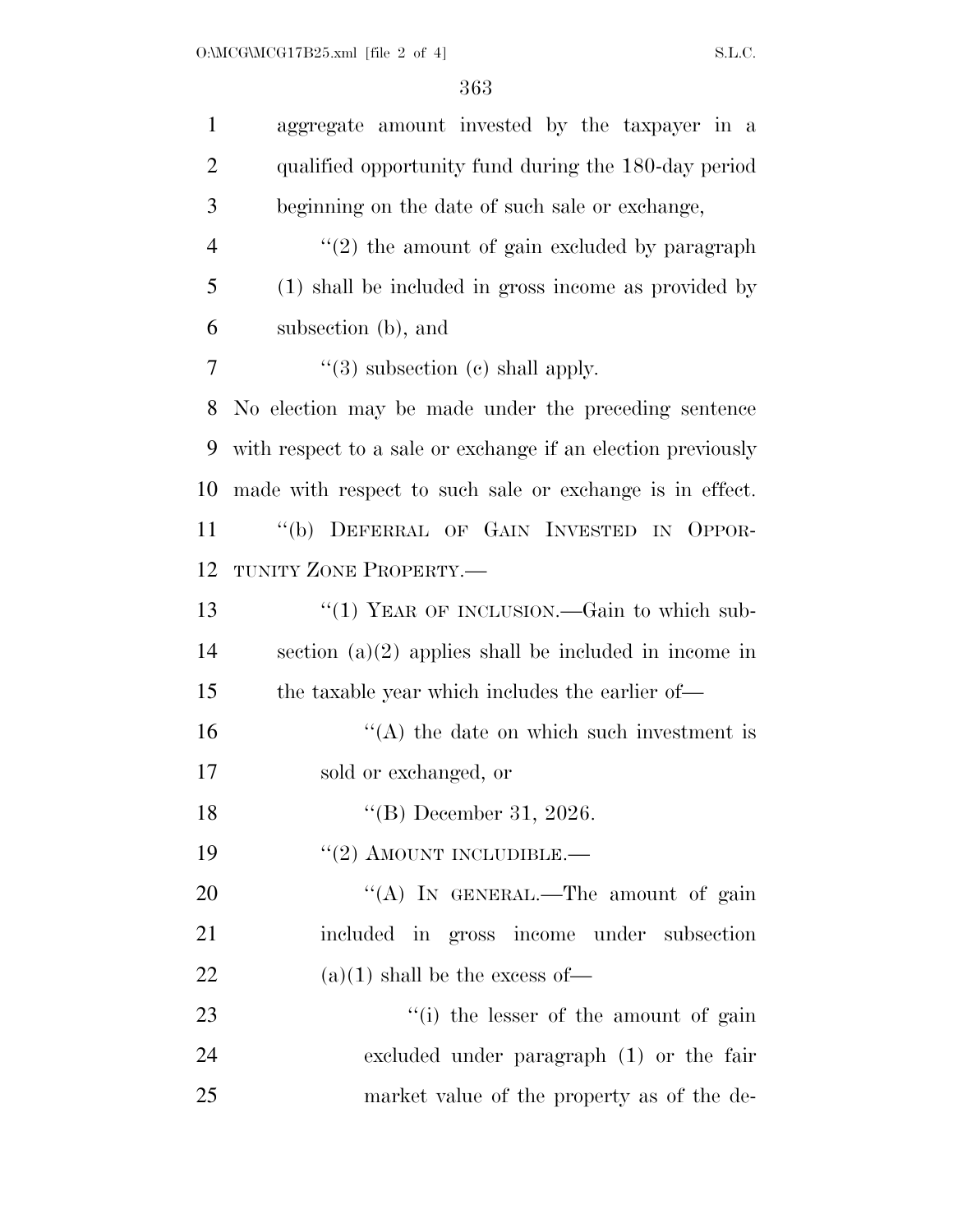| $\mathbf{1}$   | aggregate amount invested by the taxpayer in a               |
|----------------|--------------------------------------------------------------|
| $\overline{2}$ | qualified opportunity fund during the 180-day period         |
| 3              | beginning on the date of such sale or exchange,              |
| $\overline{4}$ | $\lq(2)$ the amount of gain excluded by paragraph            |
| 5              | (1) shall be included in gross income as provided by         |
| 6              | subsection (b), and                                          |
| 7              | $\lq(3)$ subsection (c) shall apply.                         |
| 8              | No election may be made under the preceding sentence         |
| 9              | with respect to a sale or exchange if an election previously |
| 10             | made with respect to such sale or exchange is in effect.     |
| 11             | "(b) DEFERRAL OF GAIN INVESTED IN OPPOR-                     |
| 12             | TUNITY ZONE PROPERTY.-                                       |
| 13             | "(1) YEAR OF INCLUSION.—Gain to which sub-                   |
| 14             | section $(a)(2)$ applies shall be included in income in      |
| 15             | the taxable year which includes the earlier of—              |
| 16             | $\lq\lq$ the date on which such investment is                |
| 17             | sold or exchanged, or                                        |
| 18             | $\text{``(B)}$ December 31, 2026.                            |
| 19             | $"(2)$ AMOUNT INCLUDIBLE.—                                   |
| 20             | "(A) IN GENERAL.—The amount of gain                          |
| 21             | included in gross income under subsection                    |
| 22             | $(a)(1)$ shall be the excess of —                            |
| 23             | "(i) the lesser of the amount of gain                        |
| 24             | excluded under paragraph (1) or the fair                     |
| 25             | market value of the property as of the de-                   |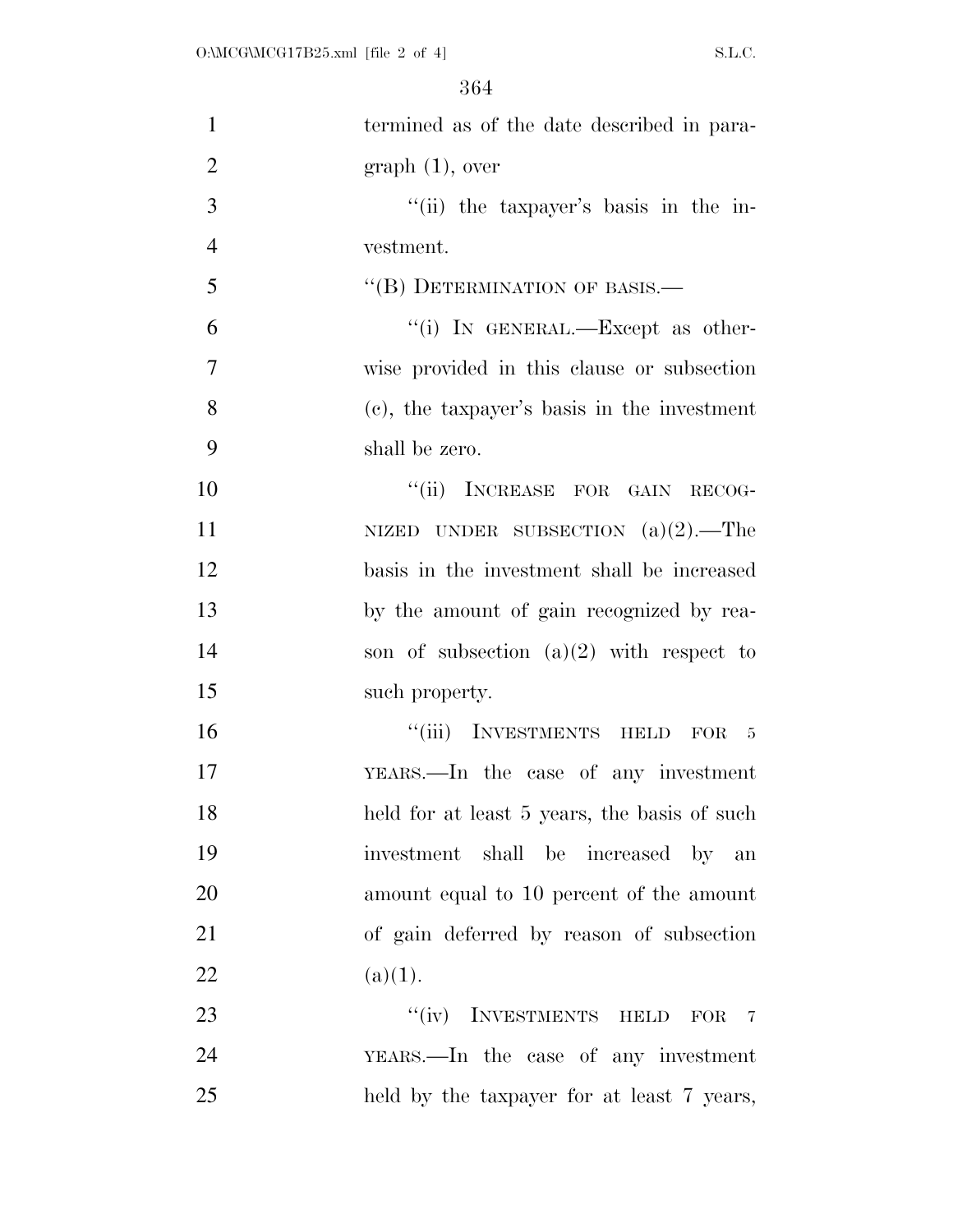| $\mathbf{1}$   | termined as of the date described in para-   |
|----------------|----------------------------------------------|
| $\overline{2}$ | graph(1), over                               |
| 3              | "(ii) the taxpayer's basis in the in-        |
| $\overline{4}$ | vestment.                                    |
| 5              | "(B) DETERMINATION OF BASIS.—                |
| 6              | "(i) IN GENERAL.—Except as other-            |
| 7              | wise provided in this clause or subsection   |
| 8              | (c), the taxpayer's basis in the investment  |
| 9              | shall be zero.                               |
| 10             | "(ii) INCREASE FOR GAIN RECOG-               |
| 11             | NIZED UNDER SUBSECTION $(a)(2)$ . The        |
| 12             | basis in the investment shall be increased   |
| 13             | by the amount of gain recognized by rea-     |
| 14             | son of subsection $(a)(2)$ with respect to   |
| 15             | such property.                               |
| 16             | "(iii) INVESTMENTS HELD FOR 5                |
| 17             | YEARS.—In the case of any investment         |
| 18             | held for at least 5 years, the basis of such |
| 19             | investment shall be increased by an          |
| 20             | amount equal to 10 percent of the amount     |
| 21             | of gain deferred by reason of subsection     |
| 22             | (a)(1).                                      |
| 23             | "(iv) INVESTMENTS HELD FOR 7                 |
| 24             | YEARS.—In the case of any investment         |
| 25             | held by the taxpayer for at least 7 years,   |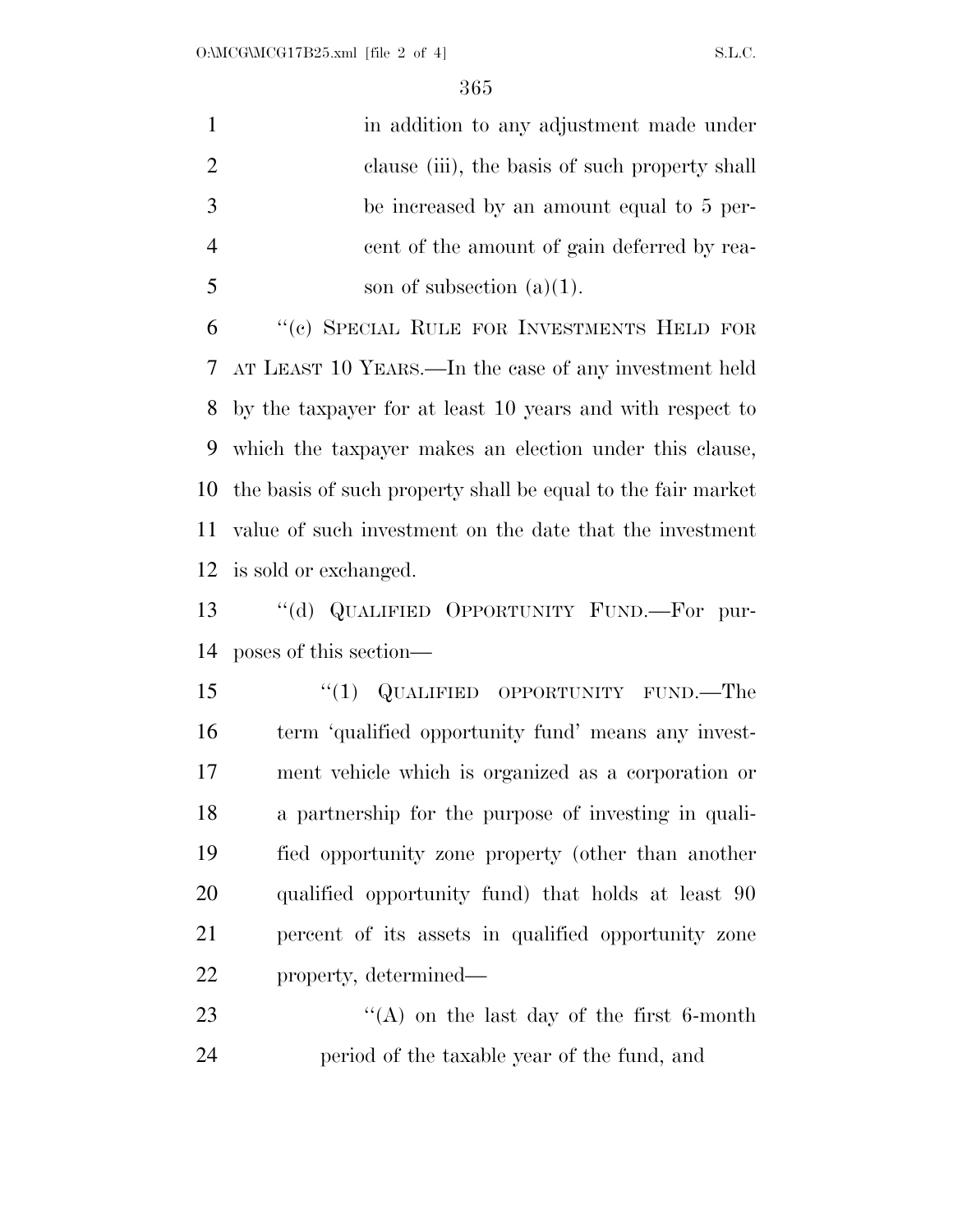| in addition to any adjustment made under       |
|------------------------------------------------|
| clause (iii), the basis of such property shall |
| be increased by an amount equal to 5 per-      |
| eent of the amount of gain deferred by rea-    |
| son of subsection $(a)(1)$ .                   |

 ''(c) SPECIAL RULE FOR INVESTMENTS HELD FOR AT LEAST 10 YEARS.—In the case of any investment held by the taxpayer for at least 10 years and with respect to which the taxpayer makes an election under this clause, the basis of such property shall be equal to the fair market value of such investment on the date that the investment is sold or exchanged.

 ''(d) QUALIFIED OPPORTUNITY FUND.—For pur-poses of this section—

15 "(1) QUALIFIED OPPORTUNITY FUND.—The term 'qualified opportunity fund' means any invest- ment vehicle which is organized as a corporation or a partnership for the purpose of investing in quali- fied opportunity zone property (other than another qualified opportunity fund) that holds at least 90 percent of its assets in qualified opportunity zone property, determined—

23 ''(A) on the last day of the first 6-month period of the taxable year of the fund, and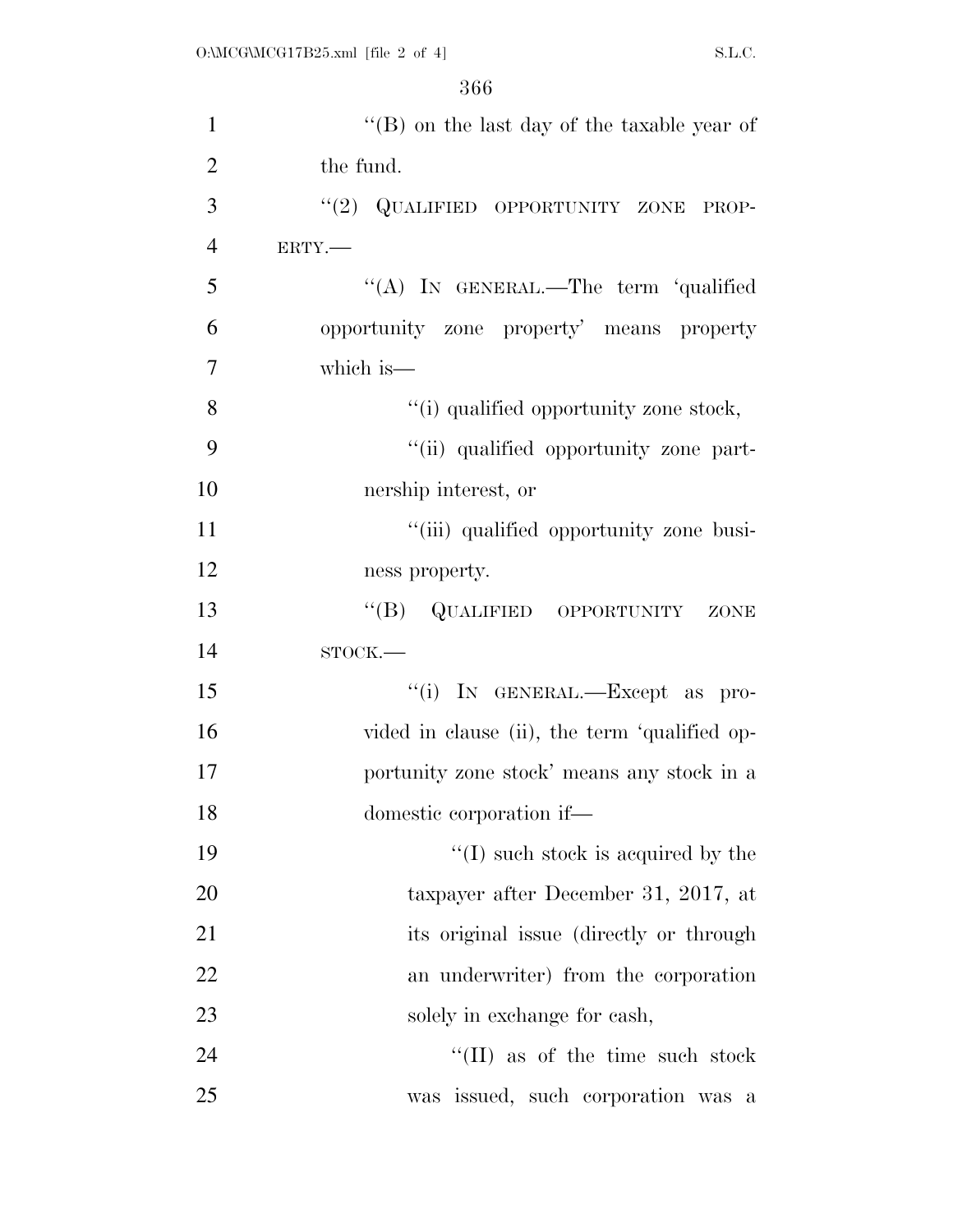| $\mathbf{1}$   | "(B) on the last day of the taxable year of   |
|----------------|-----------------------------------------------|
| $\overline{2}$ | the fund.                                     |
| 3              | "(2) QUALIFIED OPPORTUNITY ZONE PROP-         |
| $\overline{4}$ | ERTY.-                                        |
| 5              | "(A) IN GENERAL.—The term 'qualified          |
| 6              | opportunity zone property' means property     |
| 7              | which is—                                     |
| 8              | "(i) qualified opportunity zone stock,        |
| 9              | "(ii) qualified opportunity zone part-        |
| 10             | nership interest, or                          |
| 11             | "(iii) qualified opportunity zone busi-       |
| 12             | ness property.                                |
| 13             | "(B) QUALIFIED OPPORTUNITY ZONE               |
| 14             | $STOCK$ .                                     |
| 15             | "(i) IN GENERAL.—Except as pro-               |
| 16             | vided in clause (ii), the term 'qualified op- |
| 17             | portunity zone stock' means any stock in a    |
| 18             | domestic corporation if—                      |
| 19             | $\lq (I)$ such stock is acquired by the       |
| 20             | taxpayer after December 31, 2017, at          |
| 21             | its original issue (directly or through       |
| 22             | an underwriter) from the corporation          |
| 23             | solely in exchange for cash,                  |
| 24             | $``(II)$ as of the time such stock            |
| 25             | was issued, such corporation was a            |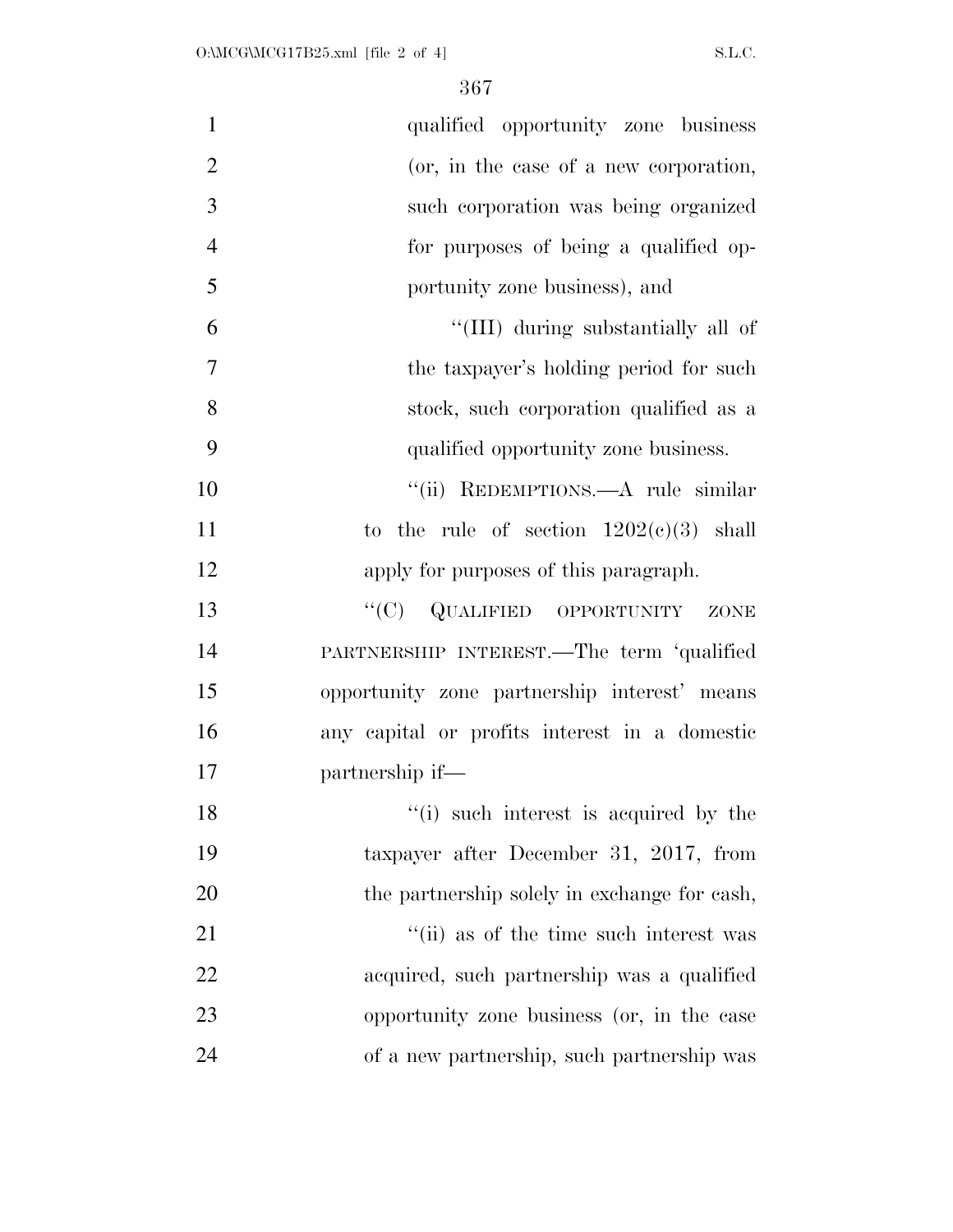| $\mathbf{1}$   | qualified opportunity zone business           |
|----------------|-----------------------------------------------|
| $\overline{2}$ | (or, in the case of a new corporation,        |
| 3              | such corporation was being organized          |
| $\overline{4}$ | for purposes of being a qualified op-         |
| 5              | portunity zone business), and                 |
| 6              | "(III) during substantially all of            |
| 7              | the taxpayer's holding period for such        |
| 8              | stock, such corporation qualified as a        |
| 9              | qualified opportunity zone business.          |
| 10             | "(ii) REDEMPTIONS.—A rule similar             |
| 11             | to the rule of section $1202(c)(3)$ shall     |
| 12             | apply for purposes of this paragraph.         |
| 13             | "(C) QUALIFIED OPPORTUNITY<br>ZONE            |
| 14             | PARTNERSHIP INTEREST.—The term 'qualified     |
| 15             | opportunity zone partnership interest' means  |
| 16             | any capital or profits interest in a domestic |
| 17             | partnership if—                               |
| 18             | "(i) such interest is acquired by the         |
| 19             | taxpayer after December 31, 2017, from        |
| 20             | the partnership solely in exchange for cash,  |
| 21             | "(ii) as of the time such interest was        |
| 22             | acquired, such partnership was a qualified    |
| 23             | opportunity zone business (or, in the case    |
| 24             | of a new partnership, such partnership was    |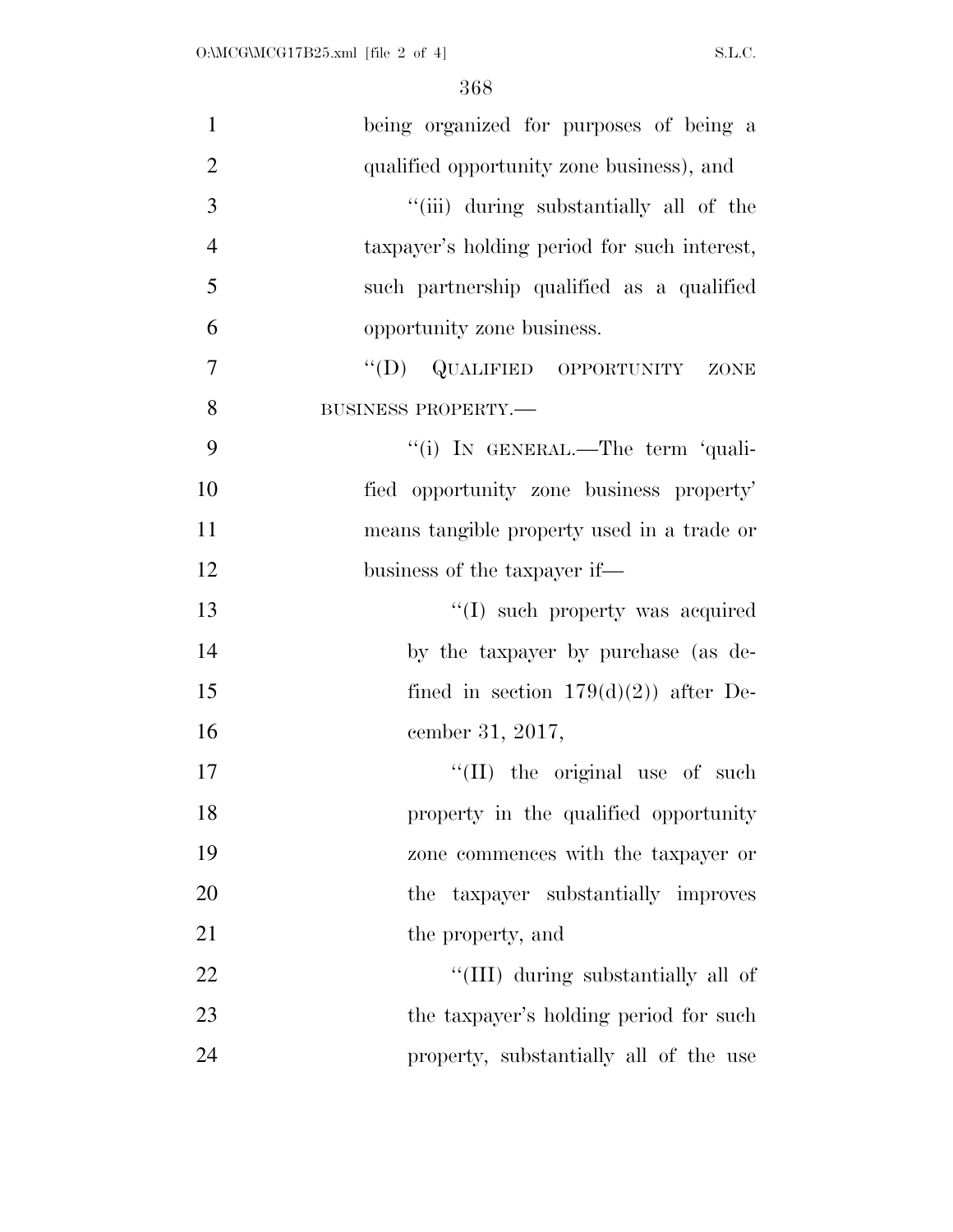| $\mathbf{1}$   | being organized for purposes of being a      |
|----------------|----------------------------------------------|
| $\overline{2}$ | qualified opportunity zone business), and    |
| 3              | "(iii) during substantially all of the       |
| $\overline{4}$ | taxpayer's holding period for such interest, |
| 5              | such partnership qualified as a qualified    |
| 6              | opportunity zone business.                   |
| $\overline{7}$ | "(D) QUALIFIED OPPORTUNITY ZONE              |
| 8              | BUSINESS PROPERTY.-                          |
| 9              | "(i) IN GENERAL.—The term 'quali-            |
| 10             | fied opportunity zone business property'     |
| 11             | means tangible property used in a trade or   |
| 12             | business of the taxpayer if—                 |
| 13             | "(I) such property was acquired              |
| 14             | by the taxpayer by purchase (as de-          |
| 15             | fined in section $179(d)(2)$ after De-       |
| 16             | cember 31, 2017,                             |
| 17             | "(II) the original use of such               |
| 18             | property in the qualified opportunity        |
| 19             | zone commences with the taxpayer or          |
| 20             | the taxpayer substantially improves          |
| 21             | the property, and                            |
| 22             | "(III) during substantially all of           |
| 23             | the taxpayer's holding period for such       |
| 24             | property, substantially all of the use       |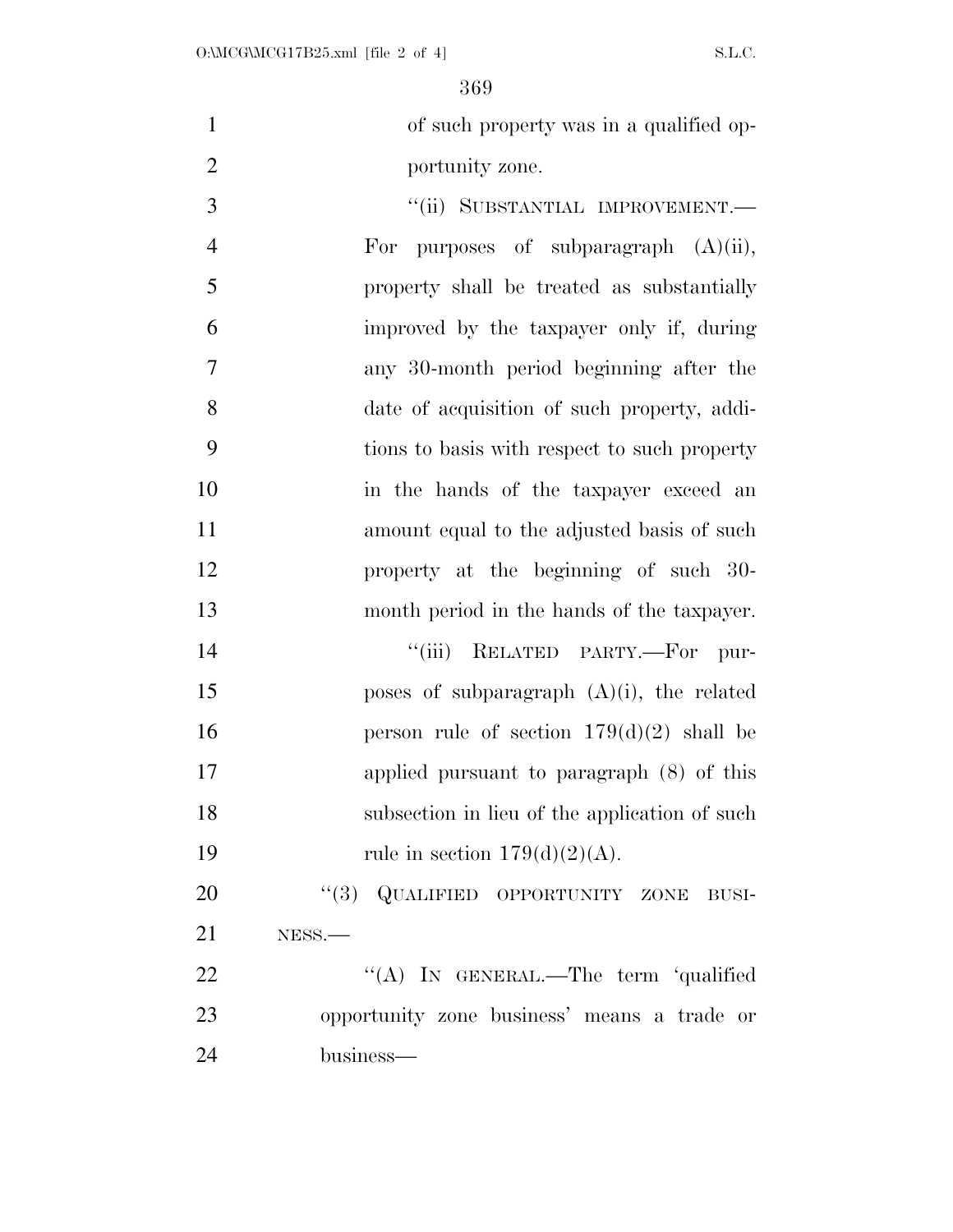of such property was in a qualified op-portunity zone.

 $"$ (ii) SUBSTANTIAL IMPROVEMENT.— For purposes of subparagraph (A)(ii), property shall be treated as substantially improved by the taxpayer only if, during any 30-month period beginning after the date of acquisition of such property, addi- tions to basis with respect to such property in the hands of the taxpayer exceed an amount equal to the adjusted basis of such property at the beginning of such 30- month period in the hands of the taxpayer.  $"$ (iii) RELATED PARTY.—For pur-15 poses of subparagraph  $(A)(i)$ , the related **person rule of section 179(d)(2)** shall be applied pursuant to paragraph (8) of this subsection in lieu of the application of such 19 rule in section  $179(d)(2)(A)$ .

20 "(3) QUALIFIED OPPORTUNITY ZONE BUSI- NESS.— 22 "'(A) In GENERAL.—The term 'qualified

 opportunity zone business' means a trade or business—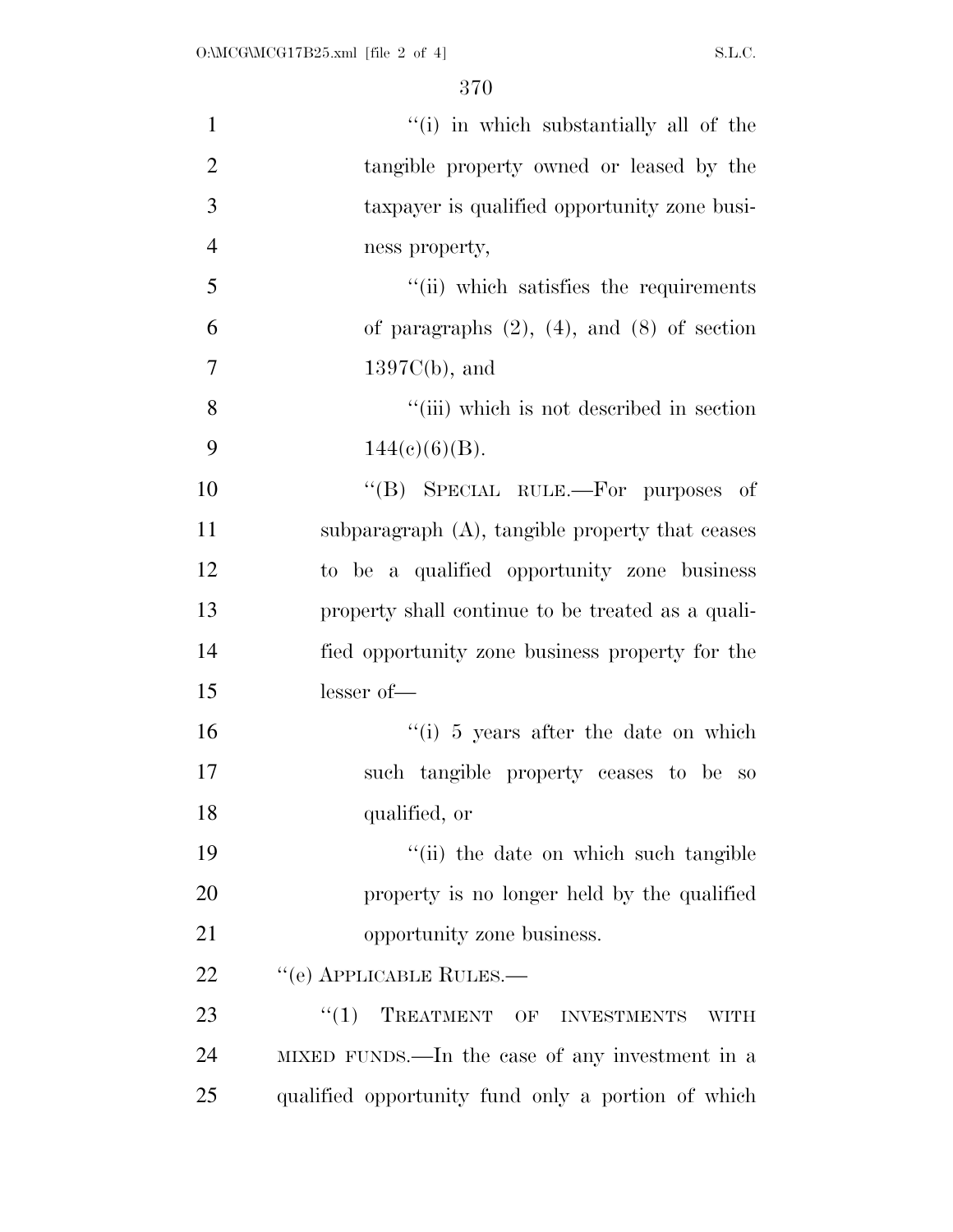| $\mathbf{1}$   | "(i) in which substantially all of the             |
|----------------|----------------------------------------------------|
| $\overline{2}$ | tangible property owned or leased by the           |
| 3              | taxpayer is qualified opportunity zone busi-       |
| $\overline{4}$ | ness property,                                     |
| 5              | "(ii) which satisfies the requirements             |
| 6              | of paragraphs $(2)$ , $(4)$ , and $(8)$ of section |
| 7              | $1397C(b)$ , and                                   |
| 8              | "(iii) which is not described in section           |
| 9              | $144(c)(6)(B)$ .                                   |
| 10             | "(B) SPECIAL RULE.—For purposes of                 |
| 11             | subparagraph $(A)$ , tangible property that ceases |
| 12             | to be a qualified opportunity zone business        |
| 13             | property shall continue to be treated as a quali-  |
| 14             | fied opportunity zone business property for the    |
| 15             | lesser of-                                         |
| 16             | "(i) 5 years after the date on which               |
| 17             | such tangible property ceases to be so             |
| 18             | qualified, or                                      |
| 19             | "(ii) the date on which such tangible              |
| 20             | property is no longer held by the qualified        |
| 21             | opportunity zone business.                         |
| 22             | $``$ (e) APPLICABLE RULES.—                        |
| 23             | TREATMENT OF INVESTMENTS<br>``(1)<br><b>WITH</b>   |
| 24             | MIXED FUNDS.—In the case of any investment in a    |
| 25             | qualified opportunity fund only a portion of which |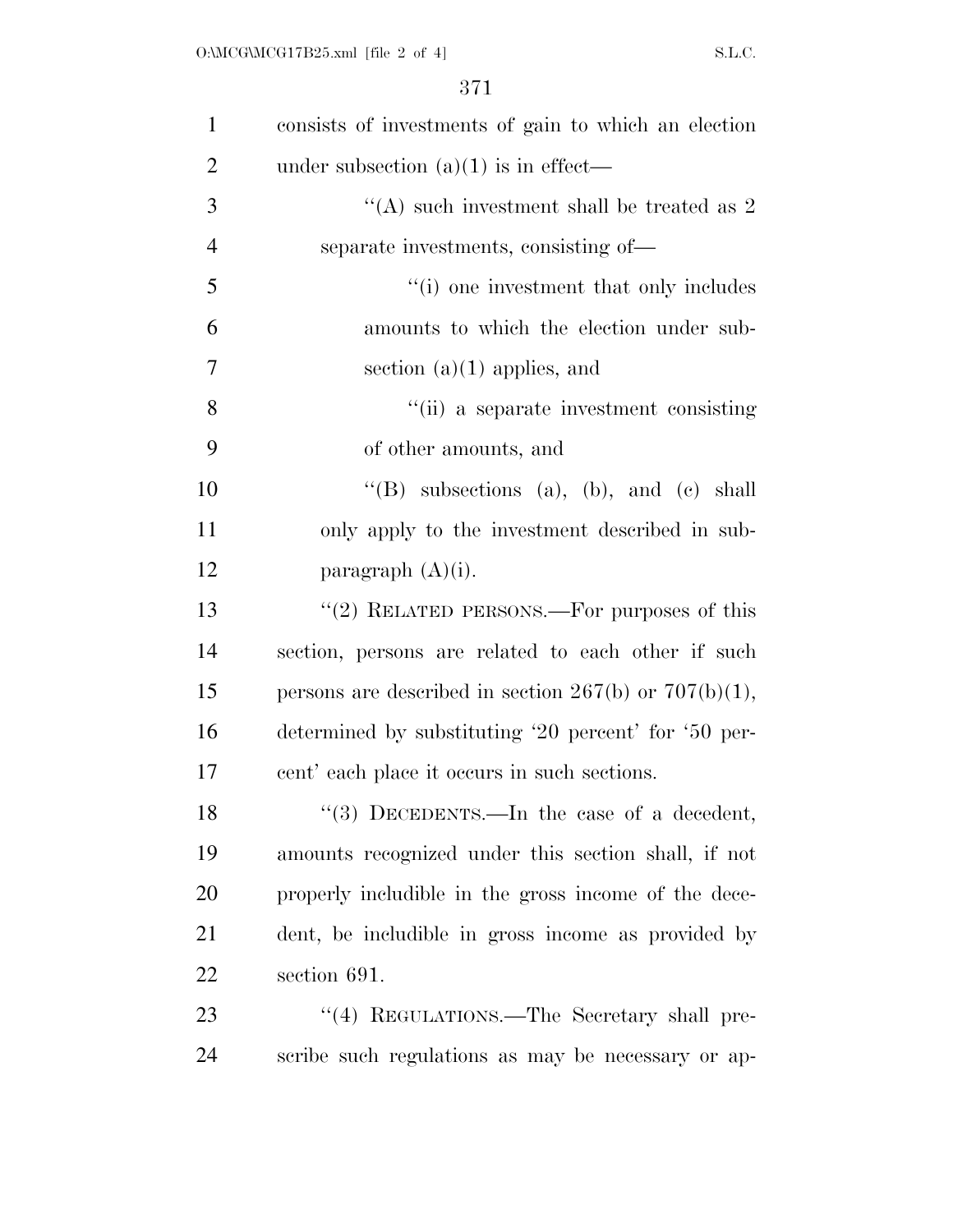| $\mathbf{1}$   | consists of investments of gain to which an election       |
|----------------|------------------------------------------------------------|
| $\overline{2}$ | under subsection $(a)(1)$ is in effect—                    |
| 3              | "(A) such investment shall be treated as $2$               |
| $\overline{4}$ | separate investments, consisting of—                       |
| 5              | "(i) one investment that only includes                     |
| 6              | amounts to which the election under sub-                   |
| 7              | section $(a)(1)$ applies, and                              |
| 8              | "(ii) a separate investment consisting                     |
| 9              | of other amounts, and                                      |
| 10             | "(B) subsections (a), (b), and (c) shall                   |
| 11             | only apply to the investment described in sub-             |
| 12             | paragraph $(A)(i)$ .                                       |
| 13             | " $(2)$ RELATED PERSONS.—For purposes of this              |
| 14             | section, persons are related to each other if such         |
| 15             | persons are described in section $267(b)$ or $707(b)(1)$ , |
| 16             | determined by substituting '20 percent' for '50 per-       |
| 17             | cent' each place it occurs in such sections.               |
| 18             | $\lq(3)$ DECEDENTS.—In the case of a decedent,             |
| 19             | amounts recognized under this section shall, if not        |
| 20             | properly includible in the gross income of the dece-       |
| 21             | dent, be includible in gross income as provided by         |
| 22             | section 691.                                               |
| 23             | "(4) REGULATIONS.—The Secretary shall pre-                 |
| 24             | scribe such regulations as may be necessary or ap-         |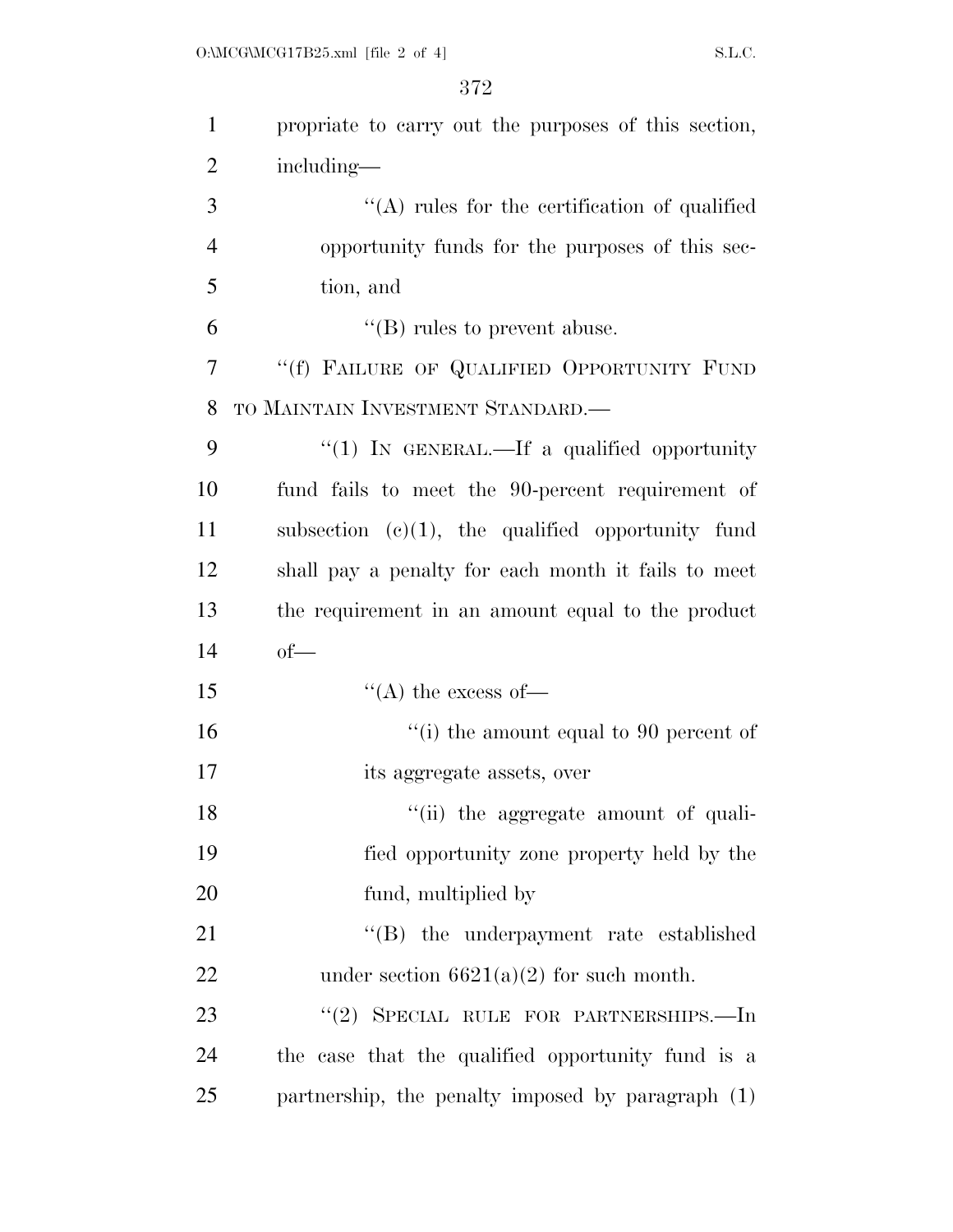| $\mathbf{1}$   | propriate to carry out the purposes of this section, |
|----------------|------------------------------------------------------|
| $\overline{2}$ | including—                                           |
| 3              | "(A) rules for the certification of qualified        |
| $\overline{4}$ | opportunity funds for the purposes of this sec-      |
| 5              | tion, and                                            |
| 6              | $\lq\lq$ (B) rules to prevent abuse.                 |
| 7              | "(f) FAILURE OF QUALIFIED OPPORTUNITY FUND           |
| 8              | TO MAINTAIN INVESTMENT STANDARD.—                    |
| 9              | "(1) IN GENERAL.—If a qualified opportunity          |
| 10             | fund fails to meet the 90-percent requirement of     |
| 11             | subsection $(e)(1)$ , the qualified opportunity fund |
| 12             | shall pay a penalty for each month it fails to meet  |
| 13             | the requirement in an amount equal to the product    |
| 14             | $of$ —                                               |
| 15             | $\lq\lq$ the excess of —                             |
| 16             | "(i) the amount equal to 90 percent of               |
| 17             | its aggregate assets, over                           |
| 18             | "(ii) the aggregate amount of quali-                 |
| 19             | fied opportunity zone property held by the           |
| 20             | fund, multiplied by                                  |
| 21             | "(B) the underpayment rate established               |
| 22             | under section $6621(a)(2)$ for such month.           |
| 23             | "(2) SPECIAL RULE FOR PARTNERSHIPS.—In               |
| 24             | the case that the qualified opportunity fund is a    |
| 25             | partnership, the penalty imposed by paragraph (1)    |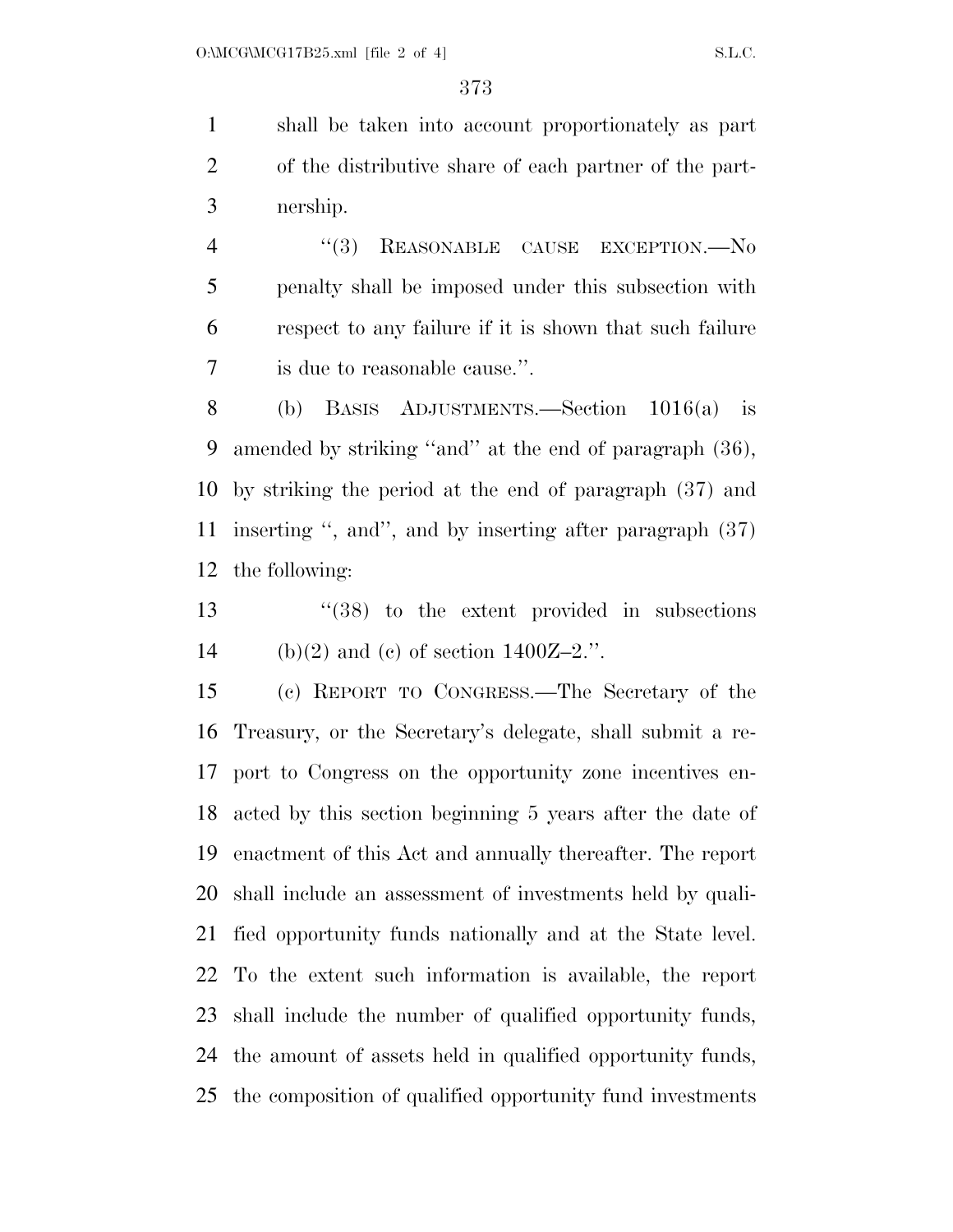shall be taken into account proportionately as part of the distributive share of each partner of the part-nership.

4 "(3) REASONABLE CAUSE EXCEPTION.—No penalty shall be imposed under this subsection with respect to any failure if it is shown that such failure is due to reasonable cause.''.

 (b) BASIS ADJUSTMENTS.—Section 1016(a) is amended by striking ''and'' at the end of paragraph (36), by striking the period at the end of paragraph (37) and inserting '', and'', and by inserting after paragraph (37) the following:

 ''(38) to the extent provided in subsections 14 (b)(2) and (c) of section  $1400Z-2$ .".

 (c) REPORT TO CONGRESS.—The Secretary of the Treasury, or the Secretary's delegate, shall submit a re- port to Congress on the opportunity zone incentives en- acted by this section beginning 5 years after the date of enactment of this Act and annually thereafter. The report shall include an assessment of investments held by quali- fied opportunity funds nationally and at the State level. To the extent such information is available, the report shall include the number of qualified opportunity funds, the amount of assets held in qualified opportunity funds, the composition of qualified opportunity fund investments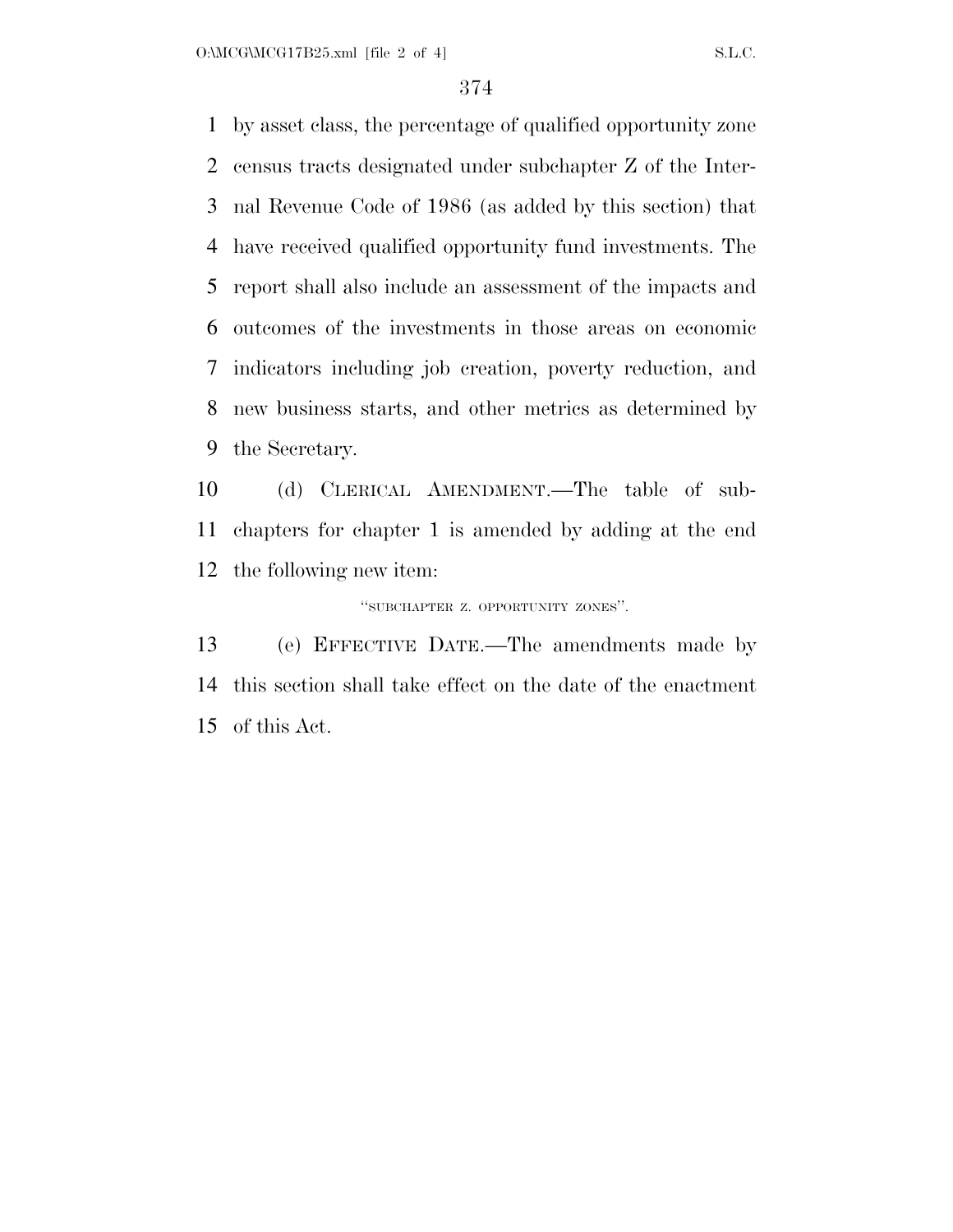$O:\text{MCG}\backslash\text{MCG17B25.xml}$  [file 2 of 4] S.L.C.

 by asset class, the percentage of qualified opportunity zone census tracts designated under subchapter Z of the Inter- nal Revenue Code of 1986 (as added by this section) that have received qualified opportunity fund investments. The report shall also include an assessment of the impacts and outcomes of the investments in those areas on economic indicators including job creation, poverty reduction, and new business starts, and other metrics as determined by the Secretary.

 (d) CLERICAL AMENDMENT.—The table of sub- chapters for chapter 1 is amended by adding at the end the following new item:

''SUBCHAPTER Z. OPPORTUNITY ZONES''.

 (e) EFFECTIVE DATE.—The amendments made by this section shall take effect on the date of the enactment of this Act.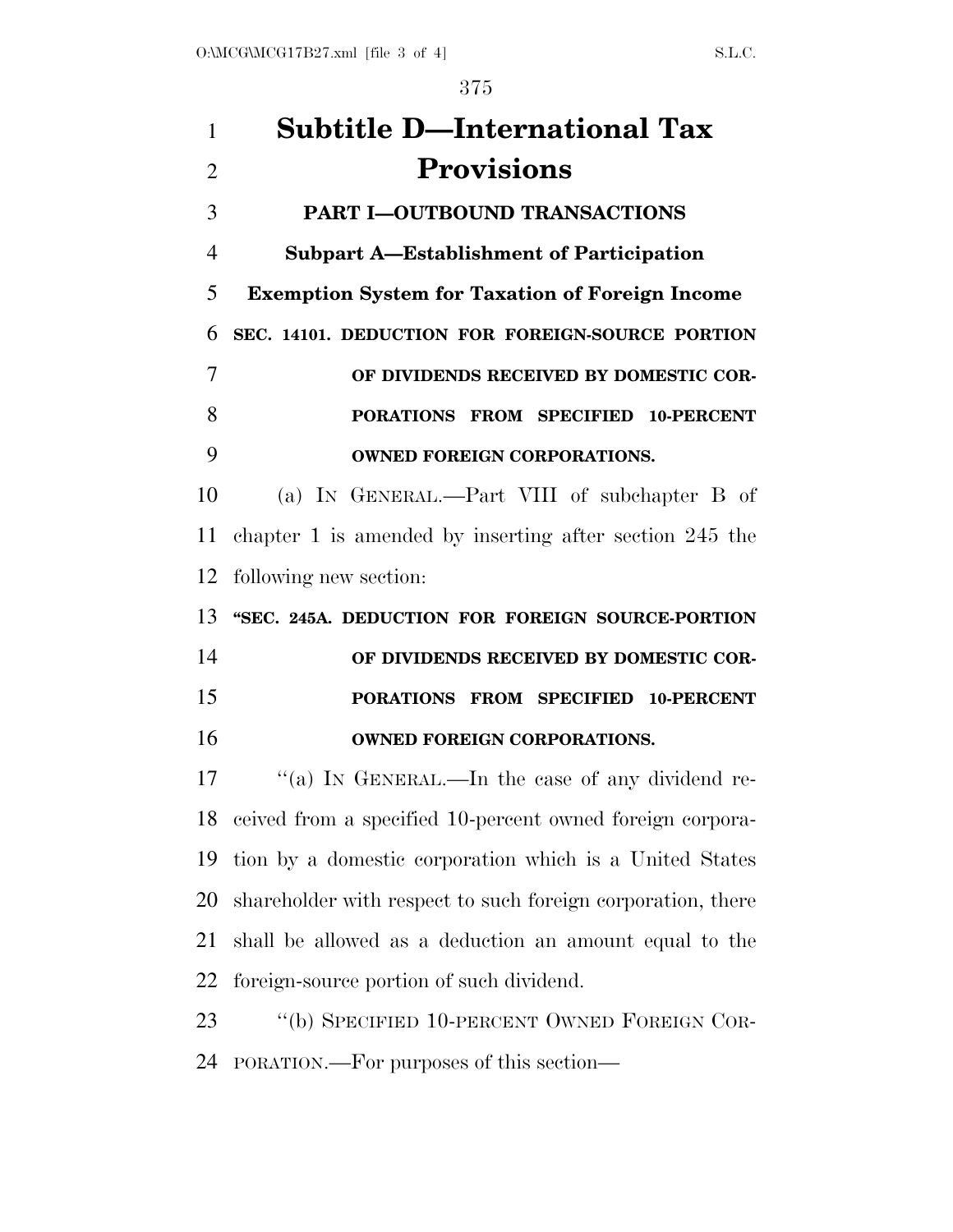| 1              | <b>Subtitle D-International Tax</b>                          |
|----------------|--------------------------------------------------------------|
| $\overline{2}$ | <b>Provisions</b>                                            |
| 3              | <b>PART I-OUTBOUND TRANSACTIONS</b>                          |
| $\overline{4}$ | <b>Subpart A-Establishment of Participation</b>              |
| 5              | <b>Exemption System for Taxation of Foreign Income</b>       |
| 6              | SEC. 14101. DEDUCTION FOR FOREIGN-SOURCE PORTION             |
| 7              | OF DIVIDENDS RECEIVED BY DOMESTIC COR-                       |
| 8              | PORATIONS FROM SPECIFIED 10-PERCENT                          |
| 9              | <b>OWNED FOREIGN CORPORATIONS.</b>                           |
| 10             | (a) IN GENERAL.—Part VIII of subchapter B of                 |
| 11             | chapter 1 is amended by inserting after section $245$ the    |
| 12             | following new section:                                       |
| 13             | "SEC. 245A. DEDUCTION FOR FOREIGN SOURCE-PORTION             |
| 14             | OF DIVIDENDS RECEIVED BY DOMESTIC COR-                       |
| 15             | PORATIONS FROM SPECIFIED 10-PERCENT                          |
| 16             | <b>OWNED FOREIGN CORPORATIONS.</b>                           |
| 17             | "(a) IN GENERAL.—In the case of any dividend re-             |
|                | 18 ceived from a specified 10-percent owned foreign corpora- |
| 19             | tion by a domestic corporation which is a United States      |
| 20             | shareholder with respect to such foreign corporation, there  |
| 21             | shall be allowed as a deduction an amount equal to the       |
| 22             | foreign-source portion of such dividend.                     |
| 23             | "(b) SPECIFIED 10-PERCENT OWNED FOREIGN COR-                 |
| 24             | PORATION.—For purposes of this section—                      |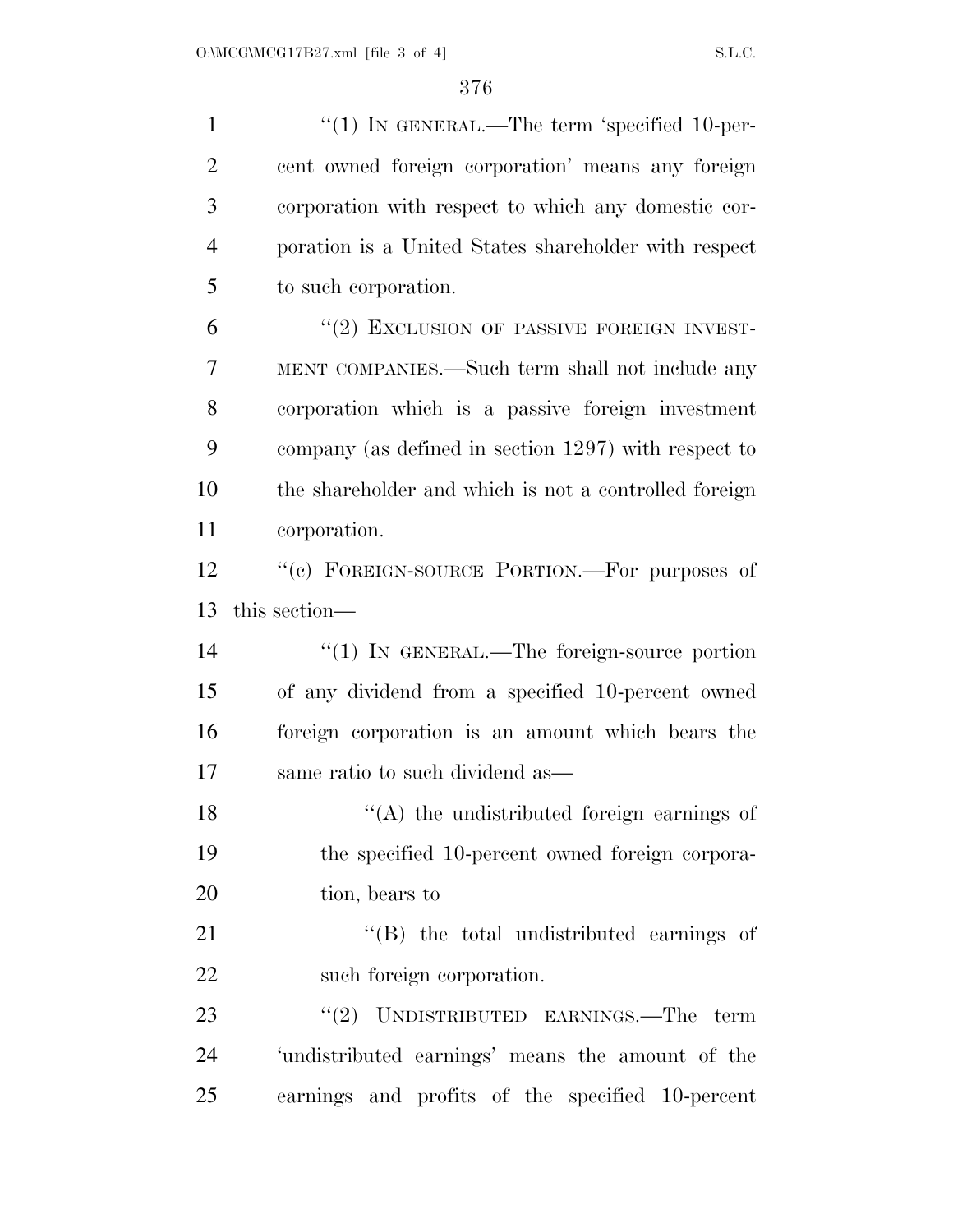1 "(1) IN GENERAL.—The term 'specified 10-per- cent owned foreign corporation' means any foreign corporation with respect to which any domestic cor- poration is a United States shareholder with respect to such corporation. 6 "(2) EXCLUSION OF PASSIVE FOREIGN INVEST- MENT COMPANIES.—Such term shall not include any corporation which is a passive foreign investment company (as defined in section 1297) with respect to the shareholder and which is not a controlled foreign corporation. 12 "(c) FOREIGN-SOURCE PORTION.—For purposes of this section—  $\frac{1}{2}$  (1) In GENERAL.—The foreign-source portion

 of any dividend from a specified 10-percent owned foreign corporation is an amount which bears the same ratio to such dividend as—

18 ''(A) the undistributed foreign earnings of the specified 10-percent owned foreign corpora-20 tion, bears to

21  $\langle$  (B) the total undistributed earnings of such foreign corporation.

23 ''(2) UNDISTRIBUTED EARNINGS.—The term 'undistributed earnings' means the amount of the earnings and profits of the specified 10-percent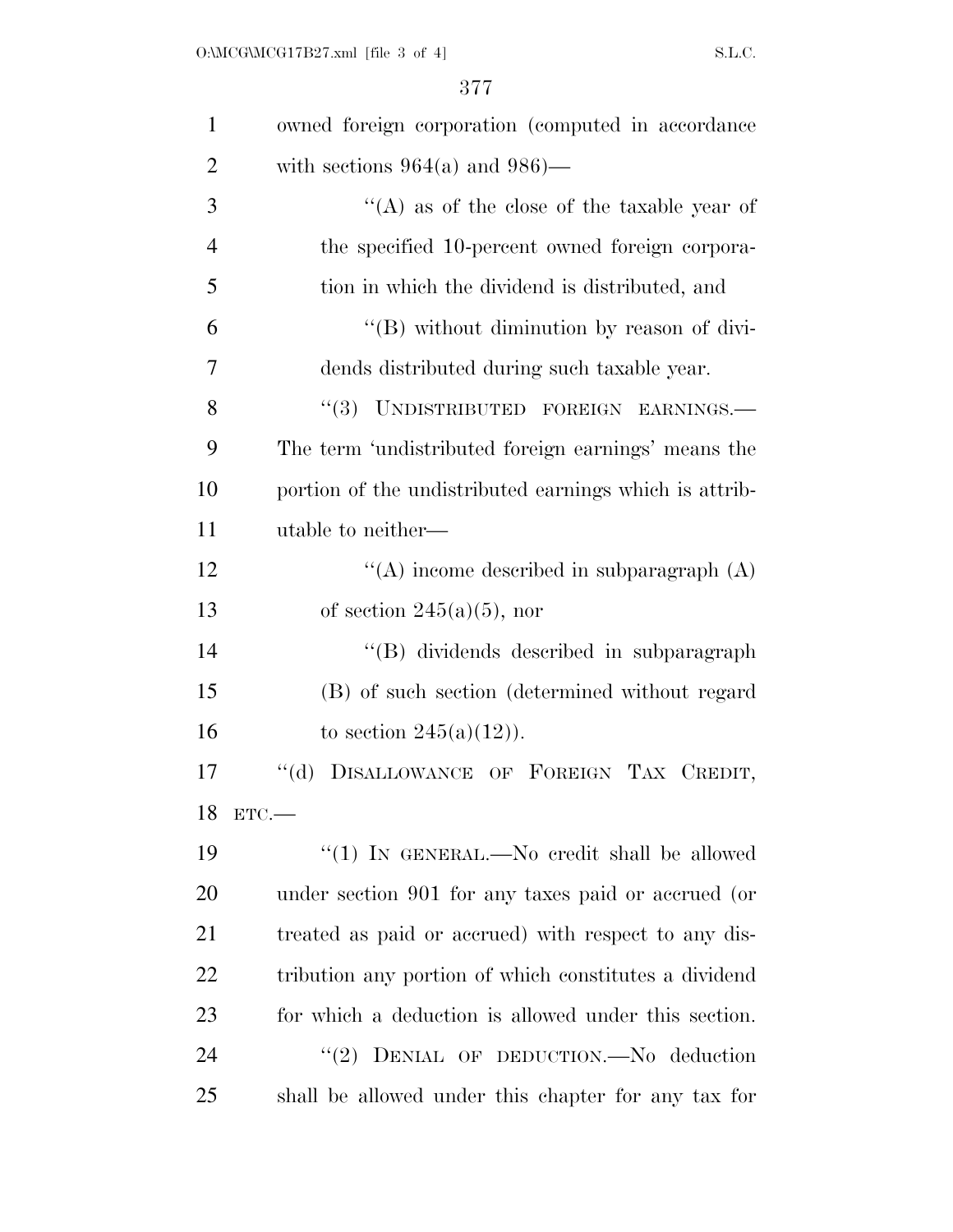| $\mathbf{1}$   | owned foreign corporation (computed in accordance      |
|----------------|--------------------------------------------------------|
| $\overline{2}$ | with sections $964(a)$ and $986$ )—                    |
| 3              | "(A) as of the close of the taxable year of            |
| $\overline{4}$ | the specified 10-percent owned foreign corpora-        |
| 5              | tion in which the dividend is distributed, and         |
| 6              | "(B) without diminution by reason of divi-             |
| 7              | dends distributed during such taxable year.            |
| 8              | "(3) UNDISTRIBUTED FOREIGN EARNINGS.-                  |
| 9              | The term 'undistributed foreign earnings' means the    |
| 10             | portion of the undistributed earnings which is attrib- |
| 11             | utable to neither—                                     |
| 12             | "(A) income described in subparagraph $(A)$            |
| 13             | of section $245(a)(5)$ , nor                           |
| 14             | "(B) dividends described in subparagraph               |
| 15             | (B) of such section (determined without regard         |
| 16             | to section $245(a)(12)$ ).                             |
| 17             | DISALLOWANCE OF FOREIGN TAX CREDIT,<br>$``$ (d)        |
|                | 18 ETC.-                                               |
| 19             | "(1) IN GENERAL.—No credit shall be allowed            |
| 20             | under section 901 for any taxes paid or accrued (or    |
| 21             | treated as paid or accrued) with respect to any dis-   |
| 22             | tribution any portion of which constitutes a dividend  |
| 23             | for which a deduction is allowed under this section.   |
| 24             | "(2) DENIAL OF DEDUCTION. No deduction                 |
| 25             | shall be allowed under this chapter for any tax for    |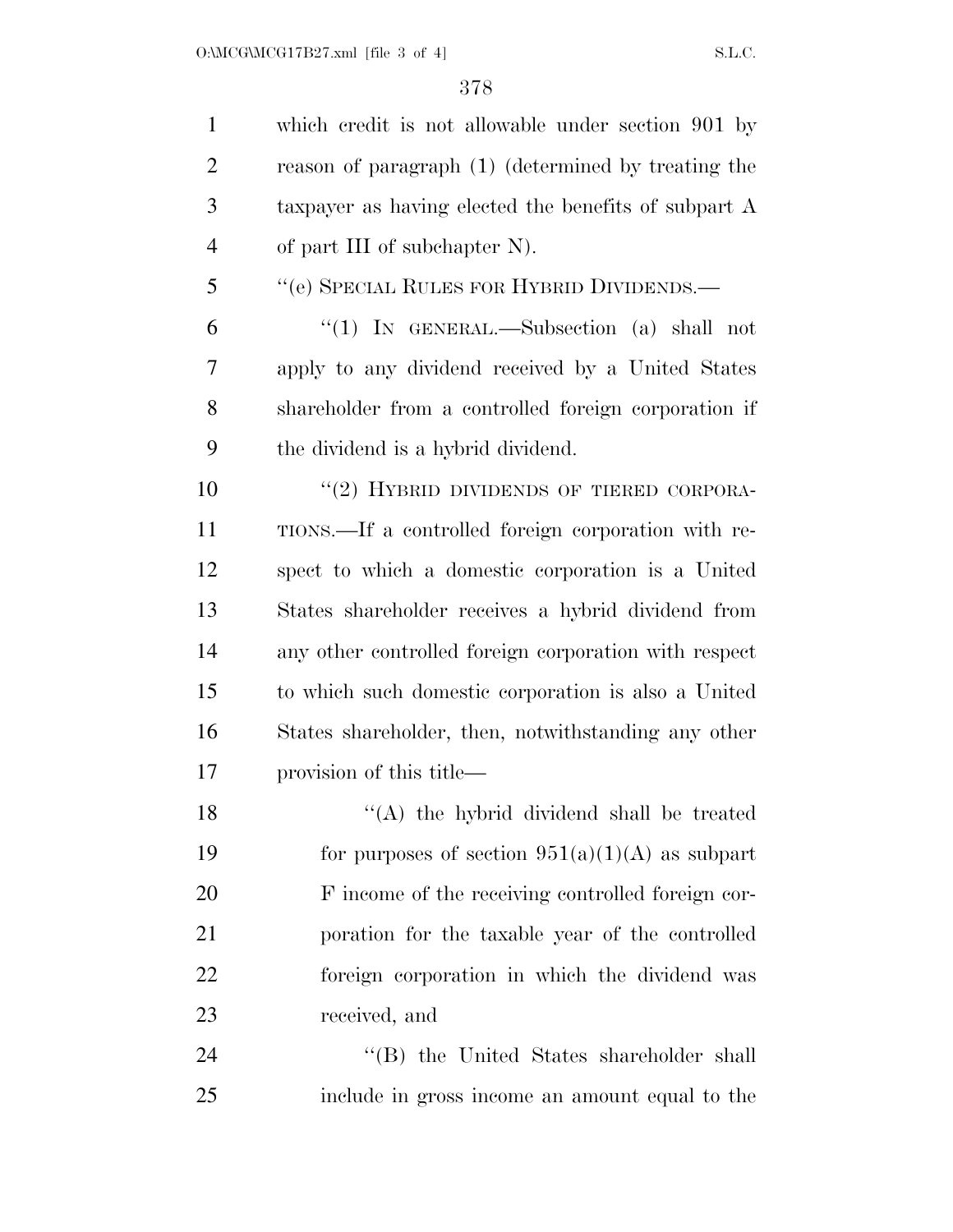| $\mathbf{1}$   | which credit is not allowable under section 901 by    |
|----------------|-------------------------------------------------------|
| $\overline{2}$ | reason of paragraph (1) (determined by treating the   |
| 3              | taxpayer as having elected the benefits of subpart A  |
| $\overline{4}$ | of part III of subchapter N).                         |
| 5              | "(e) SPECIAL RULES FOR HYBRID DIVIDENDS.—             |
| 6              | "(1) IN GENERAL.—Subsection (a) shall not             |
| 7              | apply to any dividend received by a United States     |
| 8              | shareholder from a controlled foreign corporation if  |
| 9              | the dividend is a hybrid dividend.                    |
| 10             | "(2) HYBRID DIVIDENDS OF TIERED CORPORA-              |
| 11             | TIONS.—If a controlled foreign corporation with re-   |
| 12             | spect to which a domestic corporation is a United     |
| 13             | States shareholder receives a hybrid dividend from    |
| 14             | any other controlled foreign corporation with respect |
| 15             | to which such domestic corporation is also a United   |
| 16             | States shareholder, then, notwithstanding any other   |
| 17             | provision of this title—                              |
| 18             | "(A) the hybrid dividend shall be treated             |
| 19             | for purposes of section $951(a)(1)(A)$ as subpart     |
| 20             | F income of the receiving controlled foreign cor-     |
| 21             | poration for the taxable year of the controlled       |
| 22             | foreign corporation in which the dividend was         |
| 23             | received, and                                         |
| 24             | "(B) the United States shareholder shall              |
| 25             | include in gross income an amount equal to the        |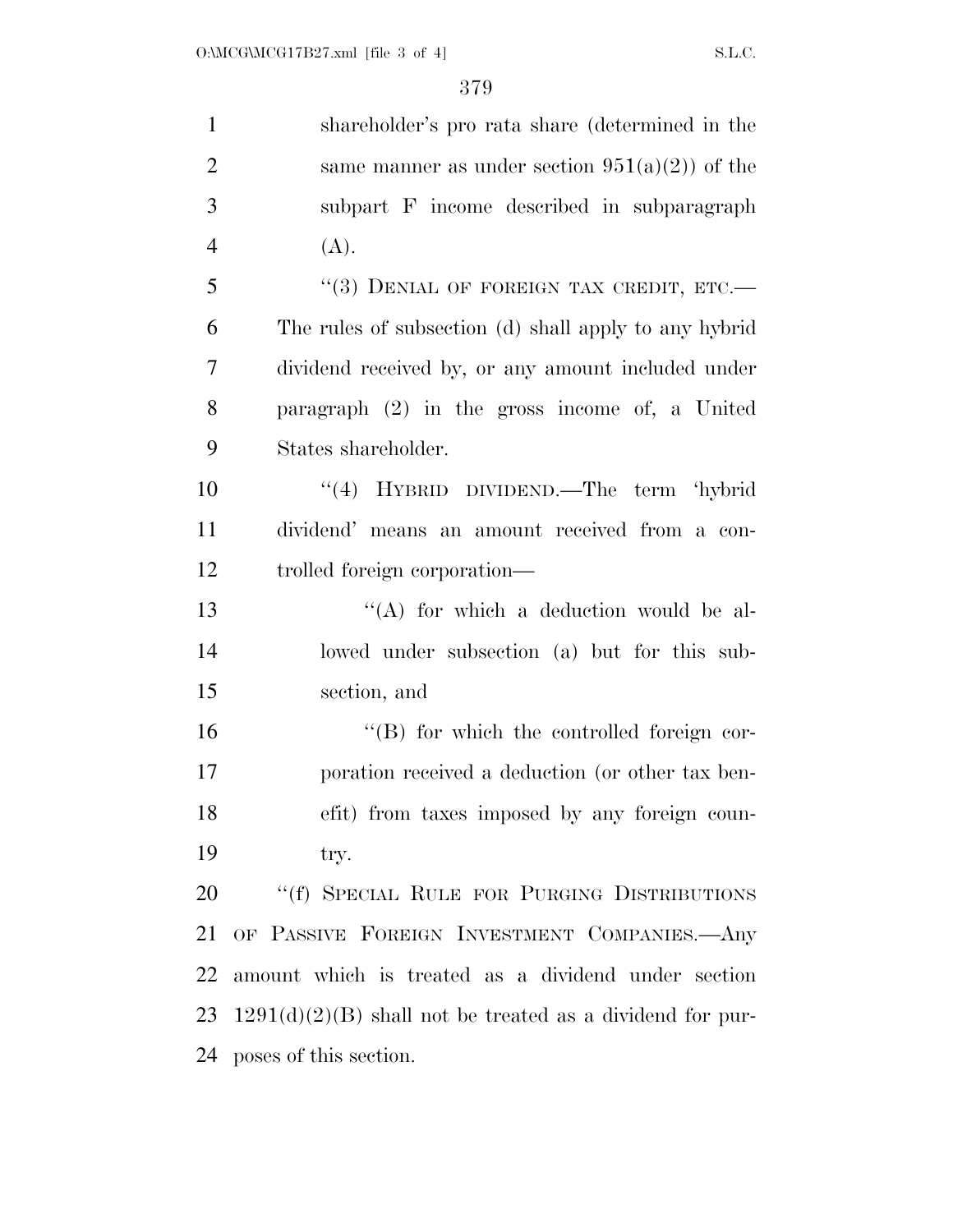| $\mathbf{1}$   | shareholder's pro rata share (determined in the             |
|----------------|-------------------------------------------------------------|
| $\overline{2}$ | same manner as under section $951(a)(2)$ of the             |
| 3              | subpart F income described in subparagraph                  |
| $\overline{4}$ | (A).                                                        |
| 5              | "(3) DENIAL OF FOREIGN TAX CREDIT, ETC.-                    |
| 6              | The rules of subsection (d) shall apply to any hybrid       |
| $\overline{7}$ | dividend received by, or any amount included under          |
| 8              | paragraph $(2)$ in the gross income of, a United            |
| 9              | States shareholder.                                         |
| 10             | "(4) HYBRID DIVIDEND.—The term 'hybrid                      |
| 11             | dividend' means an amount received from a con-              |
| 12             | trolled foreign corporation—                                |
| 13             | "(A) for which a deduction would be al-                     |
| 14             | lowed under subsection (a) but for this sub-                |
| 15             | section, and                                                |
| 16             | $\lq\lq (B)$ for which the controlled foreign cor-          |
| 17             | poration received a deduction (or other tax ben-            |
| 18             | efit) from taxes imposed by any foreign coun-               |
| 19             | try.                                                        |
| 20             | "(f) SPECIAL RULE FOR PURGING DISTRIBUTIONS                 |
| 21             | OF PASSIVE FOREIGN INVESTMENT COMPANIES.- Any               |
| 22             | amount which is treated as a dividend under section         |
| 23             | $1291(d)(2)(B)$ shall not be treated as a dividend for pur- |
| 24             | poses of this section.                                      |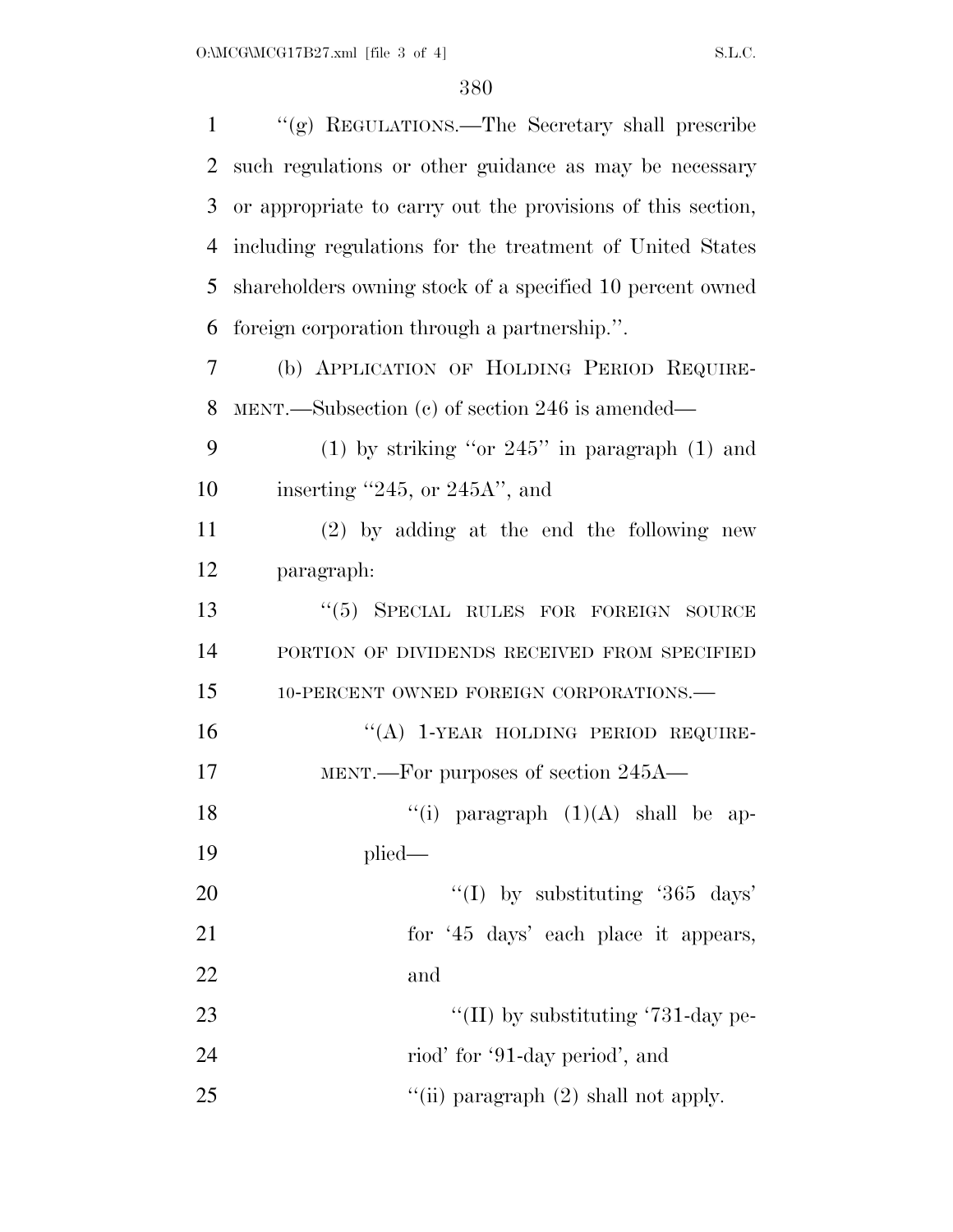| $\mathbf{1}$   | "(g) REGULATIONS.—The Secretary shall prescribe             |
|----------------|-------------------------------------------------------------|
| $\overline{2}$ | such regulations or other guidance as may be necessary      |
| 3              | or appropriate to carry out the provisions of this section, |
| $\overline{4}$ | including regulations for the treatment of United States    |
| 5              | shareholders owning stock of a specified 10 percent owned   |
| 6              | foreign corporation through a partnership.".                |
| 7              | (b) APPLICATION OF HOLDING PERIOD REQUIRE-                  |
| 8              | MENT.—Subsection $(c)$ of section 246 is amended—           |
| 9              | (1) by striking "or $245$ " in paragraph (1) and            |
| 10             | inserting $"245$ , or $245A"$ , and                         |
| 11             | $(2)$ by adding at the end the following new                |
| 12             | paragraph:                                                  |
| 13             | "(5) SPECIAL RULES FOR FOREIGN SOURCE                       |
| 14             | PORTION OF DIVIDENDS RECEIVED FROM SPECIFIED                |
| 15             | 10-PERCENT OWNED FOREIGN CORPORATIONS.-                     |
| 16             | "(A) 1-YEAR HOLDING PERIOD REQUIRE-                         |
| 17             | MENT.—For purposes of section 245A—                         |
| 18             | "(i) paragraph $(1)(A)$ shall be ap-                        |
| 19             | $plied$ —                                                   |
| 20             | "(I) by substituting '365 days'                             |
| 21             | for '45 days' each place it appears,                        |
| 22             | and                                                         |
| 23             | "(II) by substituting '731-day pe-                          |
| 24             | riod' for '91-day period', and                              |
| 25             | "(ii) paragraph $(2)$ shall not apply.                      |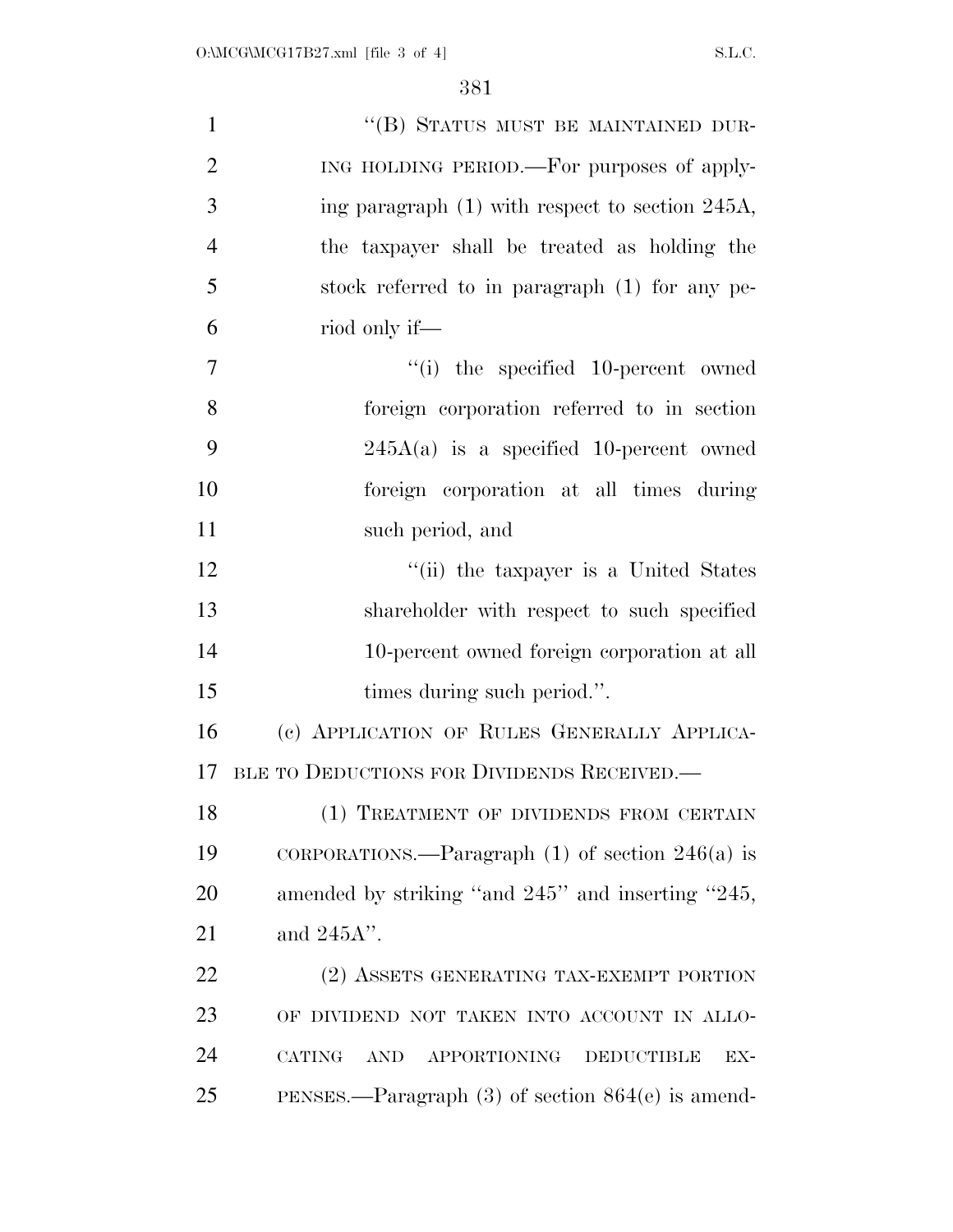| $\mathbf{1}$   | "(B) STATUS MUST BE MAINTAINED DUR-                                     |
|----------------|-------------------------------------------------------------------------|
| $\overline{2}$ | ING HOLDING PERIOD.—For purposes of apply-                              |
| 3              | ing paragraph (1) with respect to section 245A,                         |
| $\overline{4}$ | the taxpayer shall be treated as holding the                            |
| 5              | stock referred to in paragraph (1) for any pe-                          |
| 6              | riod only if—                                                           |
| $\overline{7}$ | $``(i)$ the specified 10-percent owned                                  |
| 8              | foreign corporation referred to in section                              |
| 9              | $245A(a)$ is a specified 10-percent owned                               |
| 10             | foreign corporation at all times during                                 |
| 11             | such period, and                                                        |
| 12             | "(ii) the taxpayer is a United States                                   |
| 13             | shareholder with respect to such specified                              |
| 14             | 10-percent owned foreign corporation at all                             |
| 15             | times during such period.".                                             |
| 16             | (c) APPLICATION OF RULES GENERALLY APPLICA-                             |
| 17             | BLE TO DEDUCTIONS FOR DIVIDENDS RECEIVED.                               |
| 18             | (1) TREATMENT OF DIVIDENDS FROM CERTAIN                                 |
| 19             | CORPORATIONS.—Paragraph $(1)$ of section $246(a)$ is                    |
| 20             | amended by striking "and 245" and inserting "245,                       |
| 21             | and $245A$ ".                                                           |
| 22             | (2) ASSETS GENERATING TAX-EXEMPT PORTION                                |
| 23             | OF DIVIDEND NOT TAKEN INTO ACCOUNT IN ALLO-                             |
| 24             | <b>CATING</b><br>APPORTIONING<br><b>DEDUCTIBLE</b><br><b>AND</b><br>EX- |
| 25             | PENSES.—Paragraph $(3)$ of section $864(e)$ is amend-                   |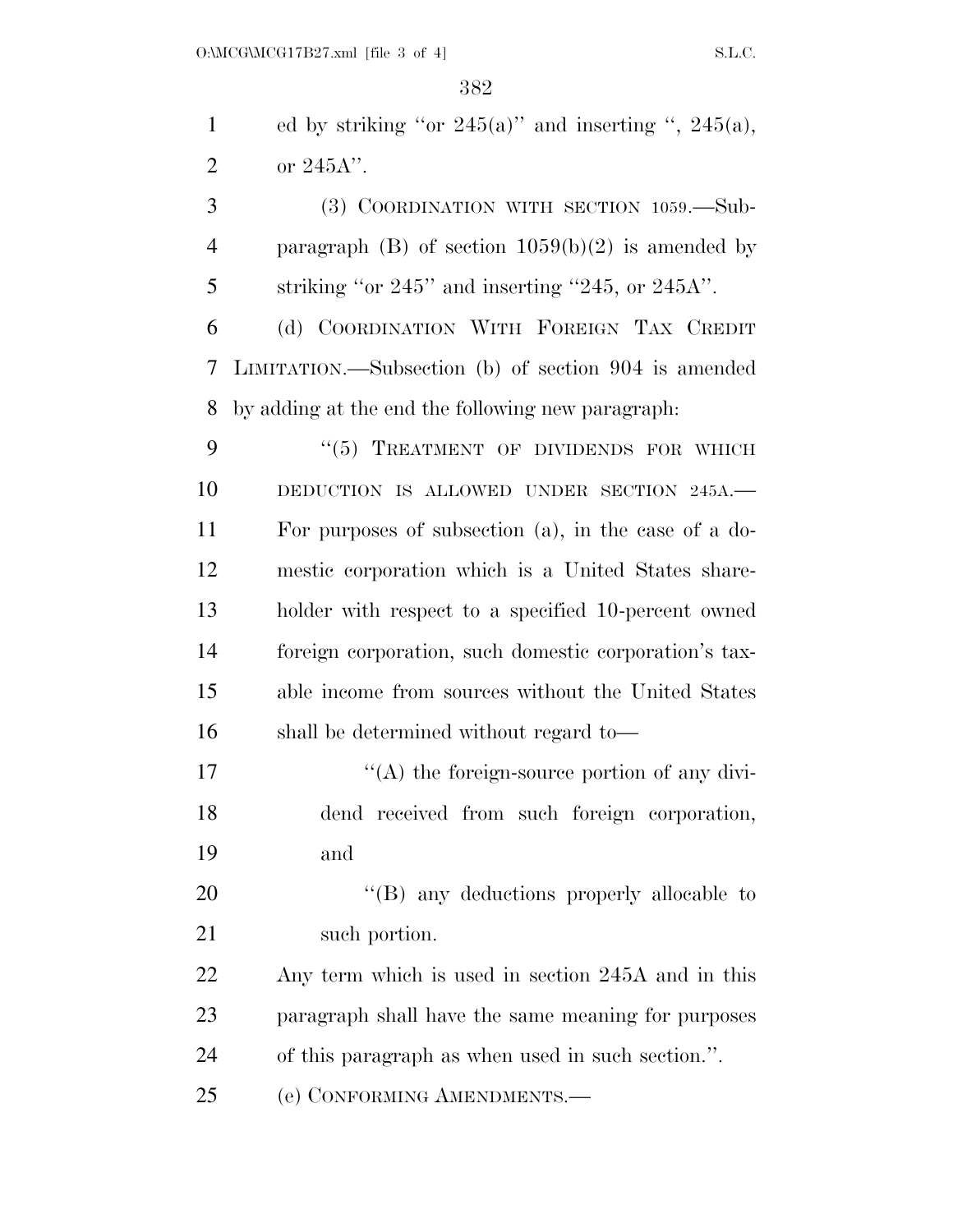1 ed by striking "or  $245(a)$ " and inserting ",  $245(a)$ , or 245A''.

 (3) COORDINATION WITH SECTION 1059.—Sub- paragraph (B) of section 1059(b)(2) is amended by striking "or 245" and inserting "245, or 245A".

 (d) COORDINATION WITH FOREIGN TAX CREDIT LIMITATION.—Subsection (b) of section 904 is amended by adding at the end the following new paragraph:

9 "(5) TREATMENT OF DIVIDENDS FOR WHICH 10 DEDUCTION IS ALLOWED UNDER SECTION 245A. For purposes of subsection (a), in the case of a do- mestic corporation which is a United States share- holder with respect to a specified 10-percent owned foreign corporation, such domestic corporation's tax- able income from sources without the United States shall be determined without regard to—

 $'$ (A) the foreign-source portion of any divi- dend received from such foreign corporation, and

20 "'(B) any deductions properly allocable to 21 such portion.

 Any term which is used in section 245A and in this paragraph shall have the same meaning for purposes of this paragraph as when used in such section.''.

(e) CONFORMING AMENDMENTS.—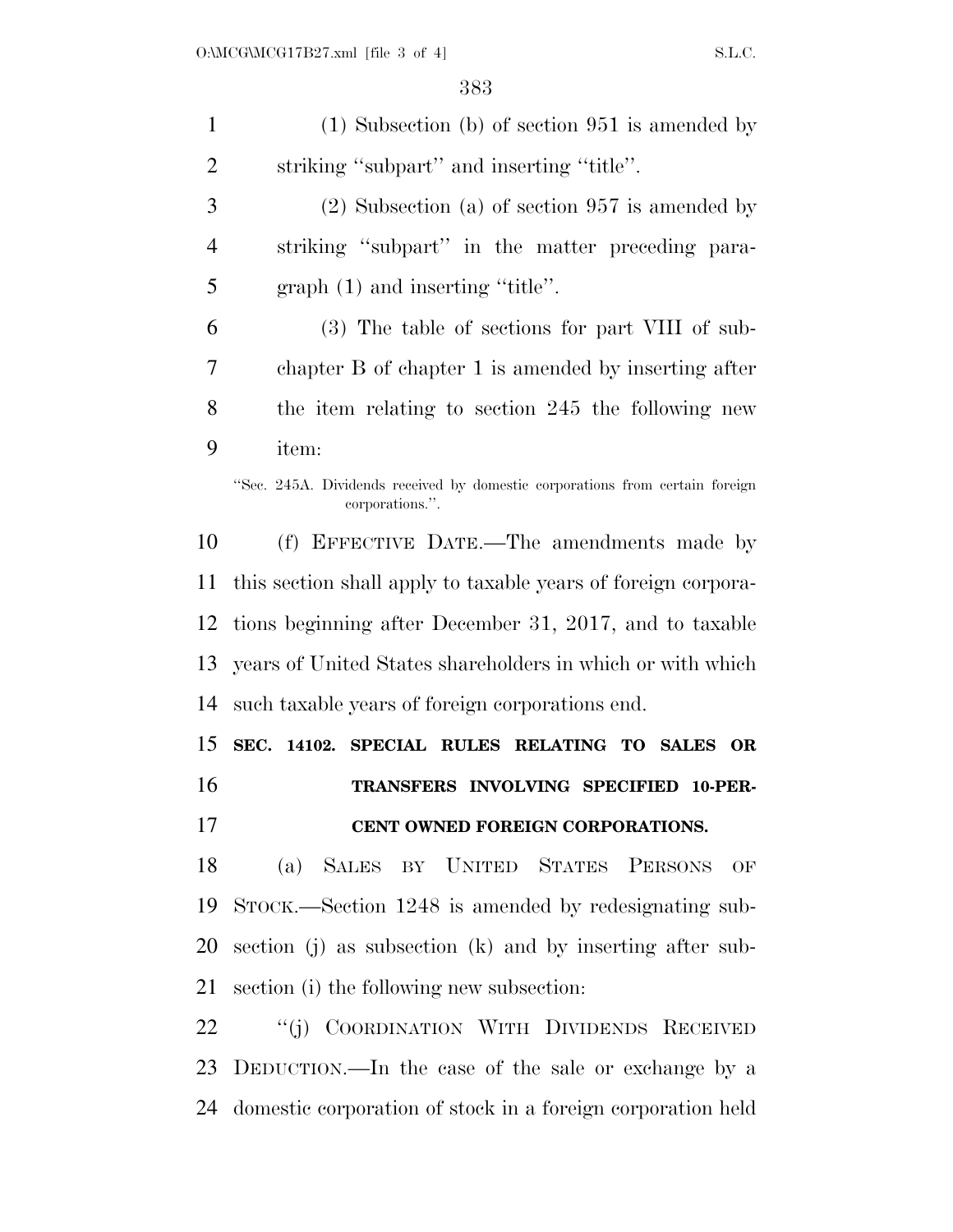(1) Subsection (b) of section 951 is amended by striking ''subpart'' and inserting ''title''. (2) Subsection (a) of section 957 is amended by striking ''subpart'' in the matter preceding para- graph (1) and inserting ''title''. (3) The table of sections for part VIII of sub- chapter B of chapter 1 is amended by inserting after the item relating to section 245 the following new item: ''Sec. 245A. Dividends received by domestic corporations from certain foreign corporations.''. (f) EFFECTIVE DATE.—The amendments made by this section shall apply to taxable years of foreign corpora- tions beginning after December 31, 2017, and to taxable years of United States shareholders in which or with which such taxable years of foreign corporations end. **SEC. 14102. SPECIAL RULES RELATING TO SALES OR TRANSFERS INVOLVING SPECIFIED 10-PER- CENT OWNED FOREIGN CORPORATIONS.**  (a) SALES BY UNITED STATES PERSONS OF STOCK.—Section 1248 is amended by redesignating sub- section (j) as subsection (k) and by inserting after sub- section (i) the following new subsection: 22 "(j) COORDINATION WITH DIVIDENDS RECEIVED DEDUCTION.—In the case of the sale or exchange by a domestic corporation of stock in a foreign corporation held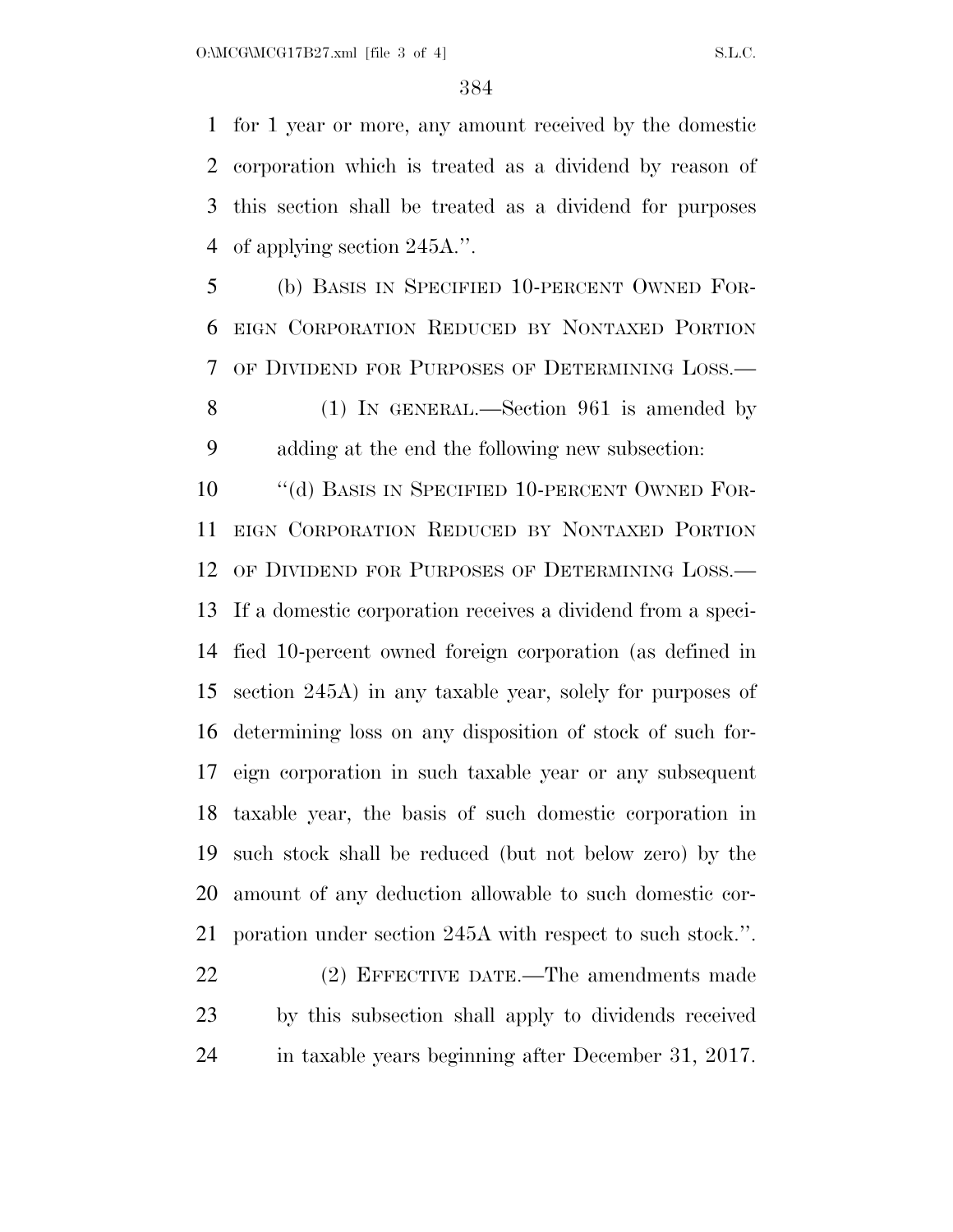for 1 year or more, any amount received by the domestic corporation which is treated as a dividend by reason of this section shall be treated as a dividend for purposes of applying section 245A.''.

 (b) BASIS IN SPECIFIED 10-PERCENT OWNED FOR- EIGN CORPORATION REDUCED BY NONTAXED PORTION OF DIVIDEND FOR PURPOSES OF DETERMINING LOSS.—

 (1) IN GENERAL.—Section 961 is amended by adding at the end the following new subsection:

10 "(d) BASIS IN SPECIFIED 10-PERCENT OWNED FOR- EIGN CORPORATION REDUCED BY NONTAXED PORTION OF DIVIDEND FOR PURPOSES OF DETERMINING LOSS.— If a domestic corporation receives a dividend from a speci- fied 10-percent owned foreign corporation (as defined in section 245A) in any taxable year, solely for purposes of determining loss on any disposition of stock of such for- eign corporation in such taxable year or any subsequent taxable year, the basis of such domestic corporation in such stock shall be reduced (but not below zero) by the amount of any deduction allowable to such domestic cor-poration under section 245A with respect to such stock.''.

 (2) EFFECTIVE DATE.—The amendments made by this subsection shall apply to dividends received in taxable years beginning after December 31, 2017.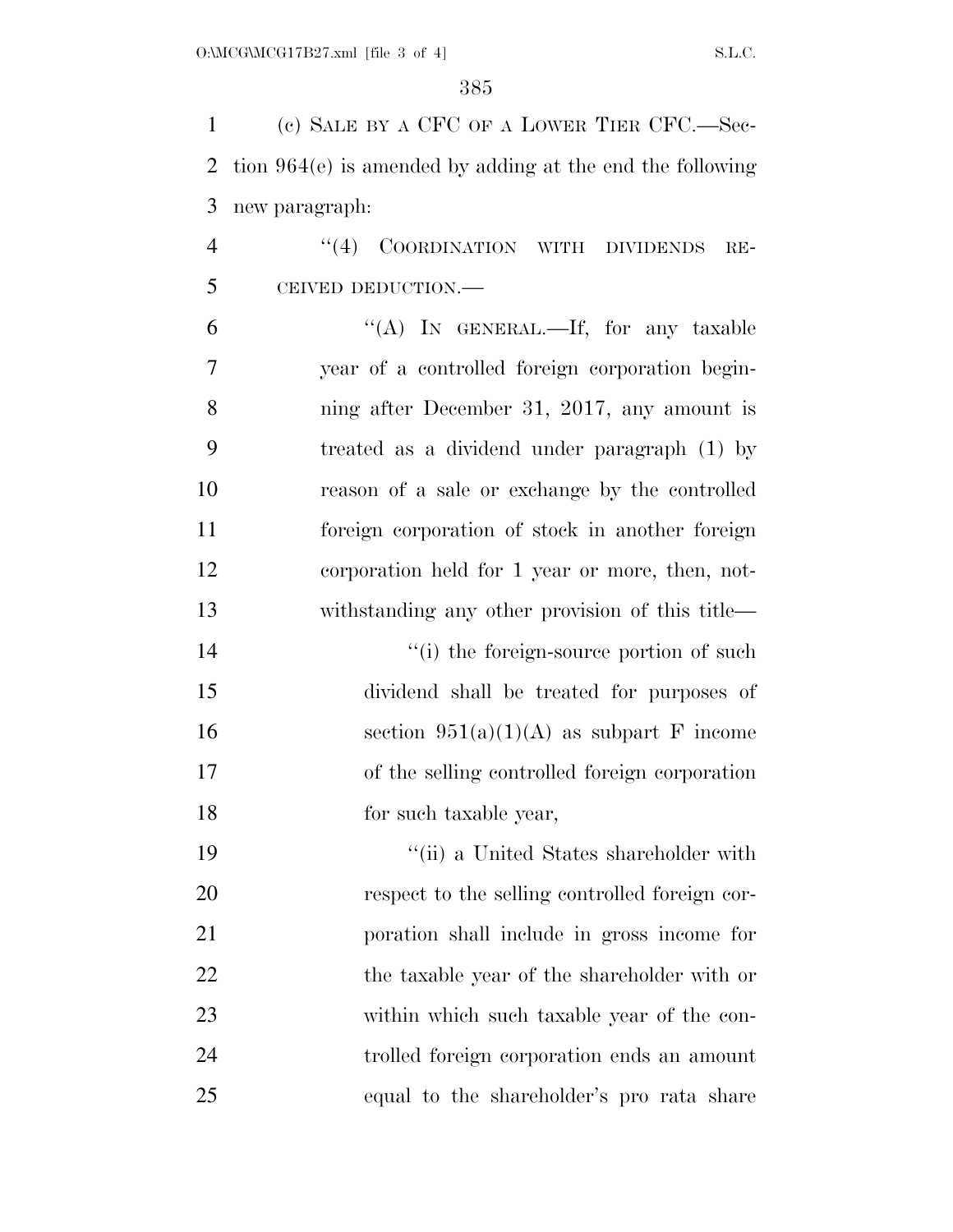(c) SALE BY A CFC OF A LOWER TIER CFC.—Sec- tion 964(e) is amended by adding at the end the following new paragraph: 4 "(4) COORDINATION WITH DIVIDENDS RE- CEIVED DEDUCTION.—  $"({\rm A})$  In GENERAL.—If, for any taxable year of a controlled foreign corporation begin- ning after December 31, 2017, any amount is treated as a dividend under paragraph (1) by reason of a sale or exchange by the controlled foreign corporation of stock in another foreign corporation held for 1 year or more, then, not-

 $\frac{1}{2}$  (i) the foreign-source portion of such dividend shall be treated for purposes of 16 section  $951(a)(1)(A)$  as subpart F income of the selling controlled foreign corporation for such taxable year,

withstanding any other provision of this title—

 ''(ii) a United States shareholder with respect to the selling controlled foreign cor- poration shall include in gross income for 22 the taxable year of the shareholder with or within which such taxable year of the con- trolled foreign corporation ends an amount equal to the shareholder's pro rata share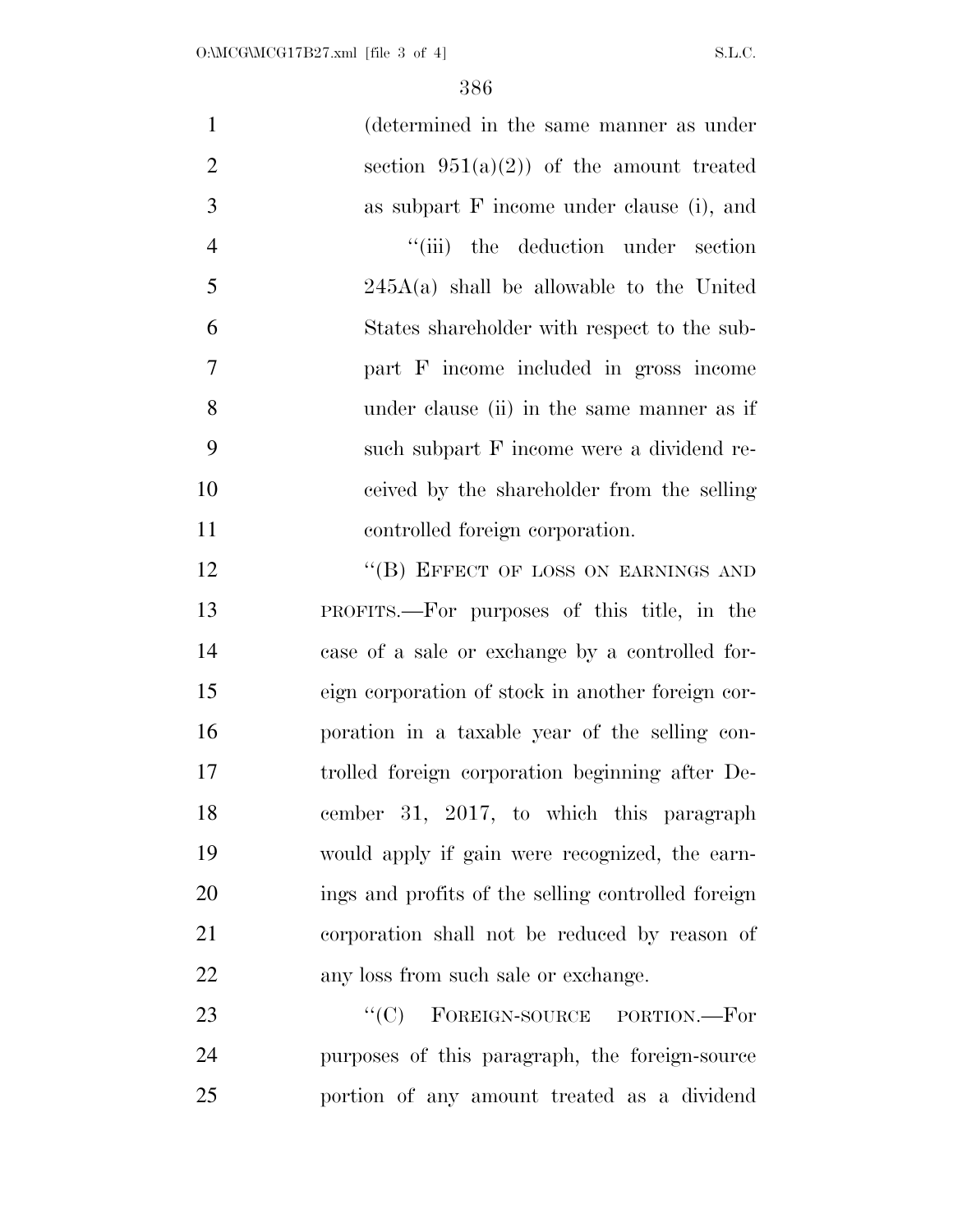| $\mathbf{1}$   | (determined in the same manner as under            |
|----------------|----------------------------------------------------|
| $\overline{2}$ | section $951(a)(2)$ of the amount treated          |
| 3              | as subpart F income under clause (i), and          |
| $\overline{4}$ | "(iii) the deduction under section                 |
| 5              | $245A(a)$ shall be allowable to the United         |
| 6              | States shareholder with respect to the sub-        |
| $\tau$         | part F income included in gross income             |
| 8              | under clause (ii) in the same manner as if         |
| 9              | such subpart F income were a dividend re-          |
| 10             | ceived by the shareholder from the selling         |
| 11             | controlled foreign corporation.                    |
| 12             | "(B) EFFECT OF LOSS ON EARNINGS AND                |
| 13             | PROFITS.—For purposes of this title, in the        |
| 14             | case of a sale or exchange by a controlled for-    |
| 15             | eign corporation of stock in another foreign cor-  |
| 16             | poration in a taxable year of the selling con-     |
| 17             | trolled foreign corporation beginning after De-    |
| 18             | cember 31, 2017, to which this paragraph           |
| 19             | would apply if gain were recognized, the earn-     |
| 20             | ings and profits of the selling controlled foreign |
| 21             | corporation shall not be reduced by reason of      |
| 22             | any loss from such sale or exchange.               |
| 23             | FOREIGN-SOURCE PORTION.-For<br>``(C)               |
| 24             | purposes of this paragraph, the foreign-source     |
|                |                                                    |

portion of any amount treated as a dividend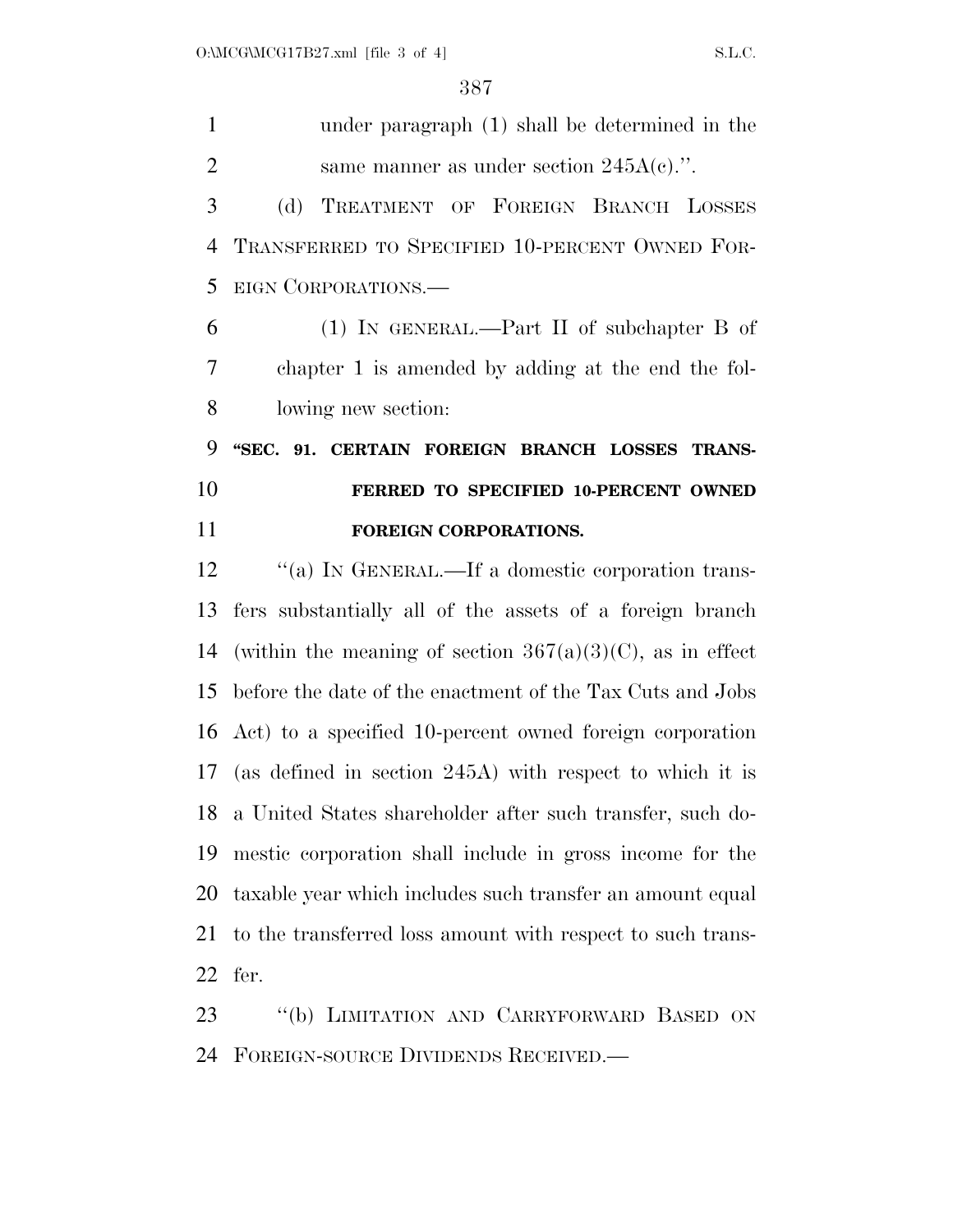| $\mathbf{1}$   | under paragraph (1) shall be determined in the               |
|----------------|--------------------------------------------------------------|
| $\overline{2}$ | same manner as under section $245A(c)$ .".                   |
| 3              | TREATMENT OF FOREIGN BRANCH LOSSES<br>(d)                    |
| $\overline{4}$ | TRANSFERRED TO SPECIFIED 10-PERCENT OWNED FOR-               |
| 5              | EIGN CORPORATIONS.                                           |
| 6              | $(1)$ IN GENERAL.—Part II of subchapter B of                 |
| 7              | chapter 1 is amended by adding at the end the fol-           |
| 8              | lowing new section:                                          |
| 9              | "SEC. 91. CERTAIN FOREIGN BRANCH LOSSES TRANS-               |
| 10             | FERRED TO SPECIFIED 10-PERCENT OWNED                         |
|                |                                                              |
| 11             | FOREIGN CORPORATIONS.                                        |
| 12             | "(a) IN GENERAL.—If a domestic corporation trans-            |
| 13             | fers substantially all of the assets of a foreign branch     |
| 14             | (within the meaning of section $367(a)(3)(C)$ , as in effect |
| 15             | before the date of the enactment of the Tax Cuts and Jobs    |
|                | 16 Act) to a specified 10-percent owned foreign corporation  |
| 17             | (as defined in section 245A) with respect to which it is     |
|                | 18 a United States shareholder after such transfer, such do- |
| 19             | mestic corporation shall include in gross income for the     |
| 20             | taxable year which includes such transfer an amount equal    |
| 21             | to the transferred loss amount with respect to such trans-   |

 ''(b) LIMITATION AND CARRYFORWARD BASED ON FOREIGN-SOURCE DIVIDENDS RECEIVED.—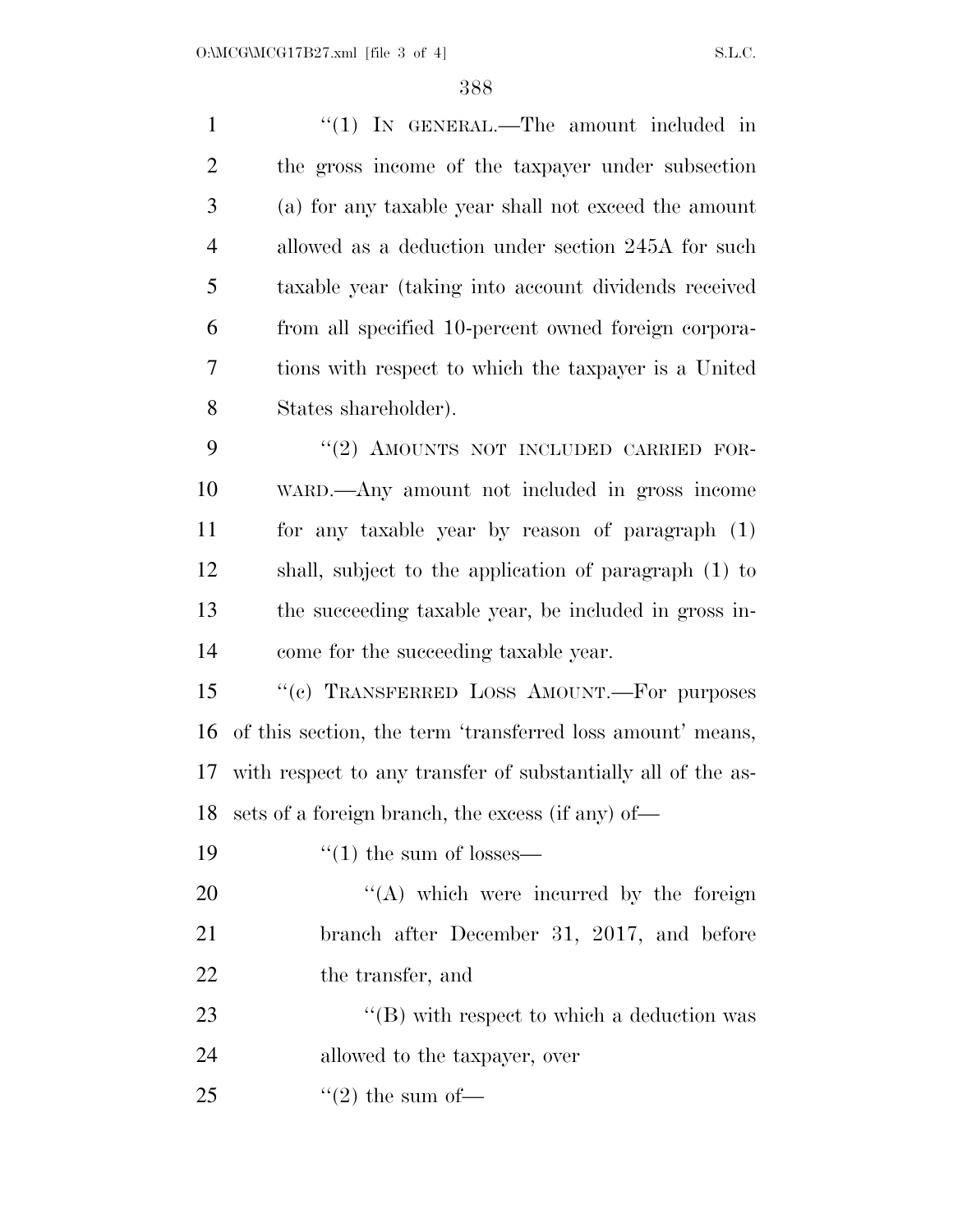| $\mathbf{1}$   | "(1) IN GENERAL.—The amount included in                      |
|----------------|--------------------------------------------------------------|
| $\overline{2}$ | the gross income of the taxpayer under subsection            |
| 3              | (a) for any taxable year shall not exceed the amount         |
| $\overline{4}$ | allowed as a deduction under section 245A for such           |
| 5              | taxable year (taking into account dividends received         |
| 6              | from all specified 10-percent owned foreign corpora-         |
| $\overline{7}$ | tions with respect to which the taxpayer is a United         |
| 8              | States shareholder).                                         |
| 9              | "(2) AMOUNTS NOT INCLUDED CARRIED FOR-                       |
| 10             | WARD.—Any amount not included in gross income                |
| 11             | for any taxable year by reason of paragraph (1)              |
| 12             | shall, subject to the application of paragraph (1) to        |
| 13             | the succeeding taxable year, be included in gross in-        |
| 14             | come for the succeeding taxable year.                        |
| 15             | "(c) TRANSFERRED LOSS AMOUNT.—For purposes                   |
| 16             | of this section, the term 'transferred loss amount' means,   |
| 17             | with respect to any transfer of substantially all of the as- |
| 18             | sets of a foreign branch, the excess (if any) of-            |
| 19             | $\cdot$ (1) the sum of losses—                               |
| 20             | $\lq\lq$ which were incurred by the foreign                  |
| 21             | branch after December 31, 2017, and before                   |
| 22             | the transfer, and                                            |
| 23             | "(B) with respect to which a deduction was                   |
| 24             | allowed to the taxpayer, over                                |
| 25             | $\lq(2)$ the sum of —                                        |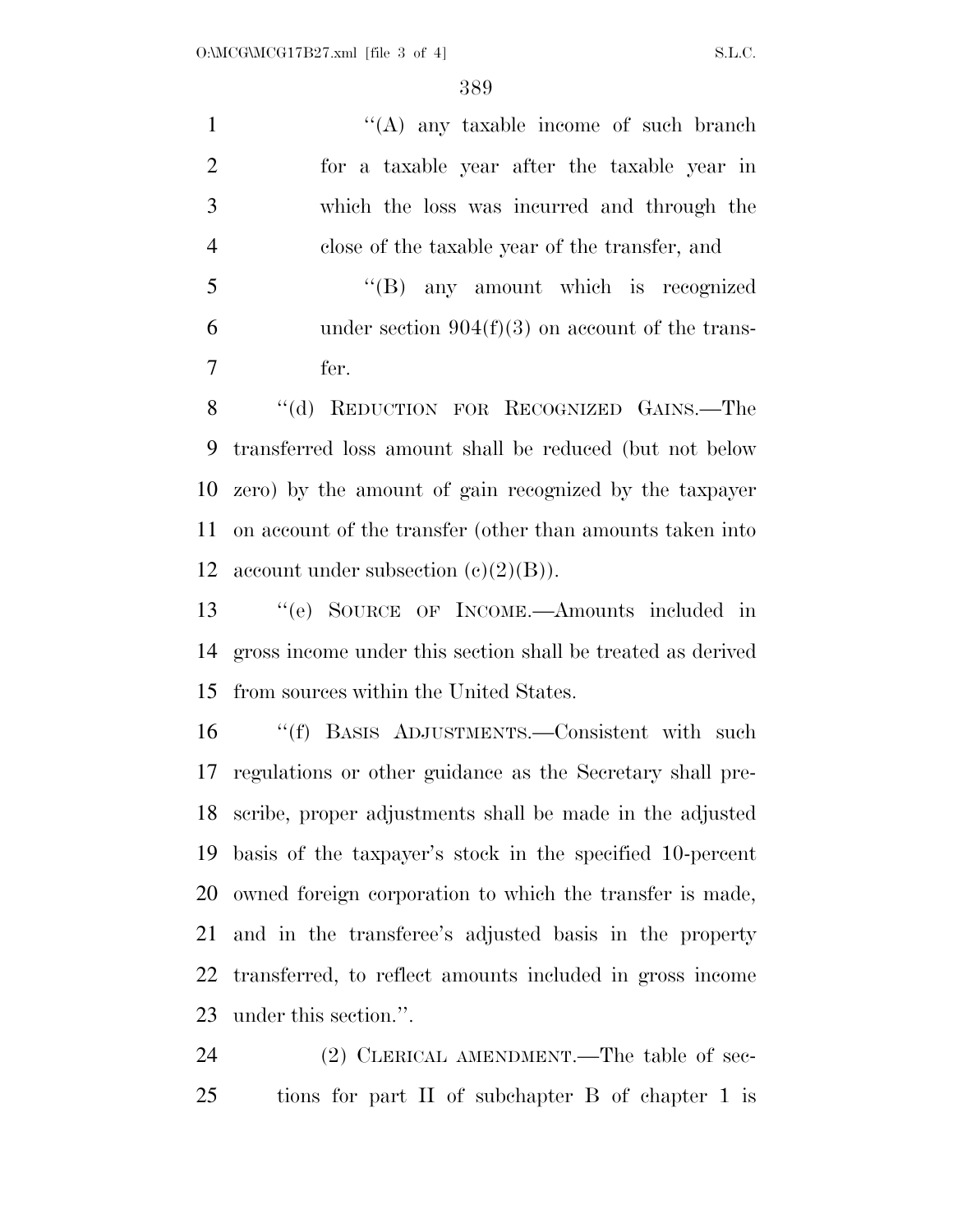1 ''(A) any taxable income of such branch for a taxable year after the taxable year in which the loss was incurred and through the close of the taxable year of the transfer, and ''(B) any amount which is recognized

6 under section  $904(f)(3)$  on account of the trans-fer.

8 "(d) REDUCTION FOR RECOGNIZED GAINS.—The transferred loss amount shall be reduced (but not below zero) by the amount of gain recognized by the taxpayer on account of the transfer (other than amounts taken into 12 account under subsection  $(c)(2)(B)$ .

 ''(e) SOURCE OF INCOME.—Amounts included in gross income under this section shall be treated as derived from sources within the United States.

 ''(f) BASIS ADJUSTMENTS.—Consistent with such regulations or other guidance as the Secretary shall pre- scribe, proper adjustments shall be made in the adjusted basis of the taxpayer's stock in the specified 10-percent owned foreign corporation to which the transfer is made, and in the transferee's adjusted basis in the property transferred, to reflect amounts included in gross income under this section.''.

24 (2) CLERICAL AMENDMENT.—The table of sec-tions for part II of subchapter B of chapter 1 is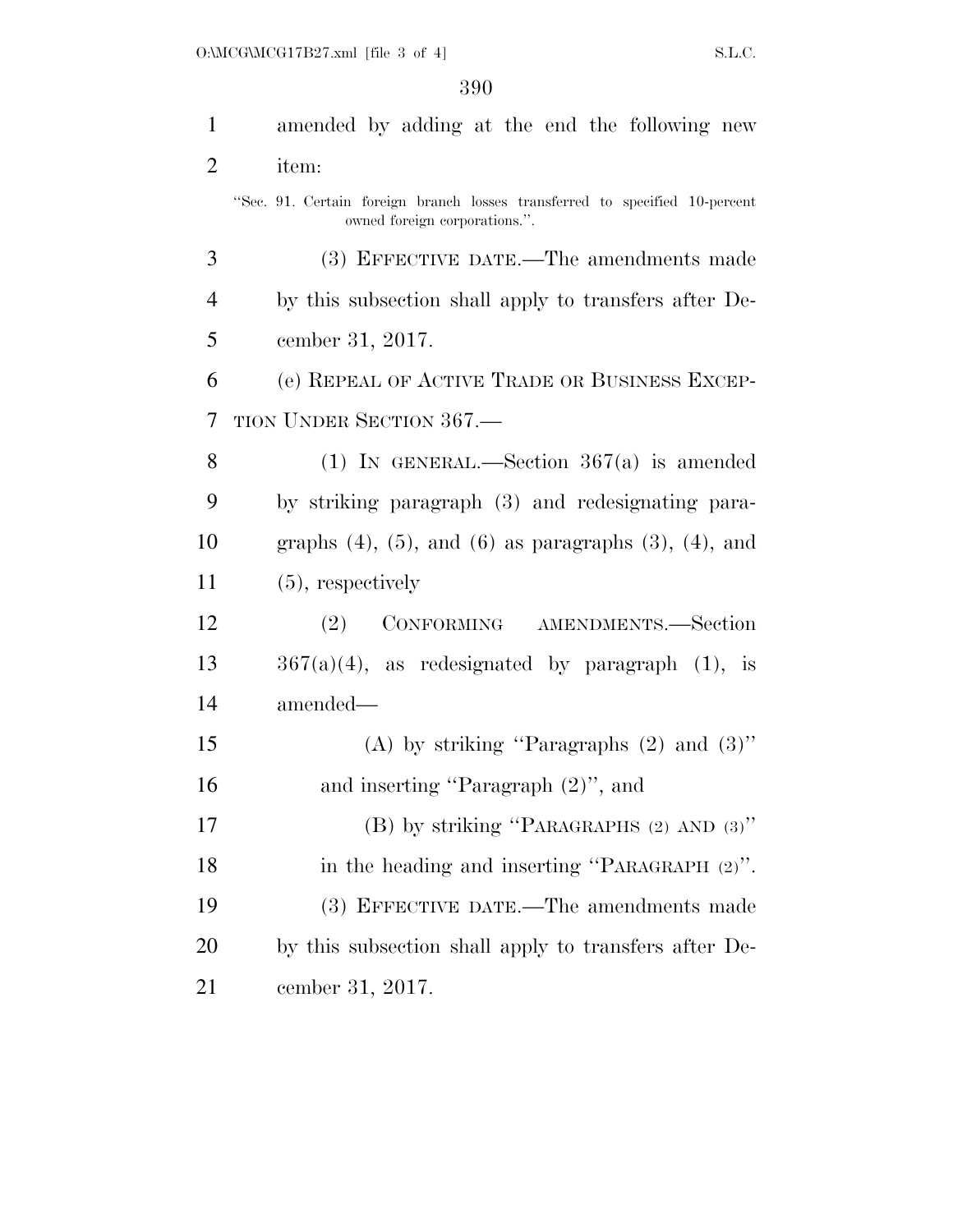| $\mathbf{1}$   | amended by adding at the end the following new                                                               |
|----------------|--------------------------------------------------------------------------------------------------------------|
| $\overline{2}$ | item:                                                                                                        |
|                | "Sec. 91. Certain foreign branch losses transferred to specified 10-percent<br>owned foreign corporations.". |
| 3              | (3) EFFECTIVE DATE.—The amendments made                                                                      |
| $\overline{4}$ | by this subsection shall apply to transfers after De-                                                        |
| 5              | cember 31, 2017.                                                                                             |
| 6              | (e) REPEAL OF ACTIVE TRADE OR BUSINESS EXCEP-                                                                |
| 7              | TION UNDER SECTION 367.                                                                                      |
| 8              | (1) IN GENERAL.—Section $367(a)$ is amended                                                                  |
| 9              | by striking paragraph (3) and redesignating para-                                                            |
| 10             | graphs $(4)$ , $(5)$ , and $(6)$ as paragraphs $(3)$ , $(4)$ , and                                           |
| 11             | $(5)$ , respectively                                                                                         |
| 12             | (2) CONFORMING AMENDMENTS.-Section                                                                           |
| 13             | $367(a)(4)$ , as redesignated by paragraph $(1)$ , is                                                        |
| 14             | amended-                                                                                                     |
| 15             | (A) by striking "Paragraphs $(2)$ and $(3)$ "                                                                |
| 16             | and inserting "Paragraph $(2)$ ", and                                                                        |
| 17             | (B) by striking "PARAGRAPHS $(2)$ AND $(3)$ "                                                                |
| 18             | in the heading and inserting "PARAGRAPH (2)".                                                                |
| 19             | (3) EFFECTIVE DATE.—The amendments made                                                                      |
| <b>20</b>      | by this subsection shall apply to transfers after De-                                                        |
| 21             | cember 31, 2017.                                                                                             |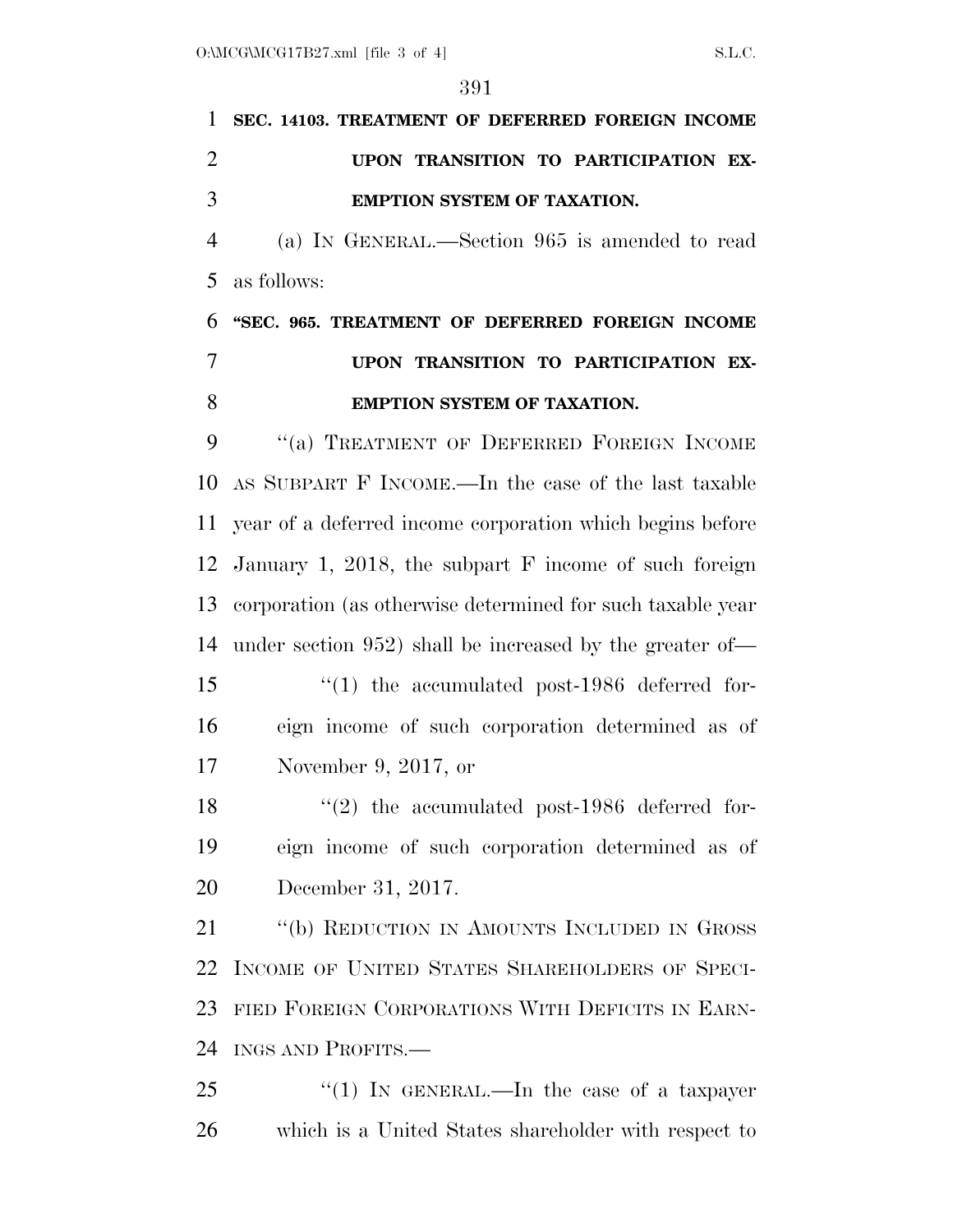|                | 591                                                         |
|----------------|-------------------------------------------------------------|
| 1              | SEC. 14103. TREATMENT OF DEFERRED FOREIGN INCOME            |
| $\overline{2}$ | UPON TRANSITION TO PARTICIPATION EX-                        |
| 3              | EMPTION SYSTEM OF TAXATION.                                 |
| $\overline{4}$ | (a) IN GENERAL.—Section 965 is amended to read              |
| 5              | as follows:                                                 |
| 6              | "SEC. 965. TREATMENT OF DEFERRED FOREIGN INCOME             |
| $\overline{7}$ | UPON TRANSITION TO PARTICIPATION EX-                        |
| 8              | <b>EMPTION SYSTEM OF TAXATION.</b>                          |
| 9              | "(a) TREATMENT OF DEFERRED FOREIGN INCOME                   |
| 10             | AS SUBPART F INCOME.—In the case of the last taxable        |
| 11             | year of a deferred income corporation which begins before   |
| 12             | January 1, 2018, the subpart $F$ income of such foreign     |
| 13             | corporation (as otherwise determined for such taxable year  |
| 14             | under section $952$ ) shall be increased by the greater of- |
| 15             | $\lq(1)$ the accumulated post-1986 deferred for-            |
| 16             | eign income of such corporation determined as of            |
| 17             | November 9, 2017, or                                        |
| 18             | $(2)$ the accumulated post-1986 deferred for-               |
| 19             | eign income of such corporation determined as of            |
| 20             | December 31, 2017.                                          |
| 21             | "(b) REDUCTION IN AMOUNTS INCLUDED IN GROSS                 |
| 22             | INCOME OF UNITED STATES SHAREHOLDERS OF SPECI-              |
| 23             | FIED FOREIGN CORPORATIONS WITH DEFICITS IN EARN-            |
| 24             | INGS AND PROFITS.—                                          |
| つう             | $\frac{11}{11}$ IN GENERAL In the case of a taxpayer        |

 ''(1) IN GENERAL.—In the case of a taxpayer which is a United States shareholder with respect to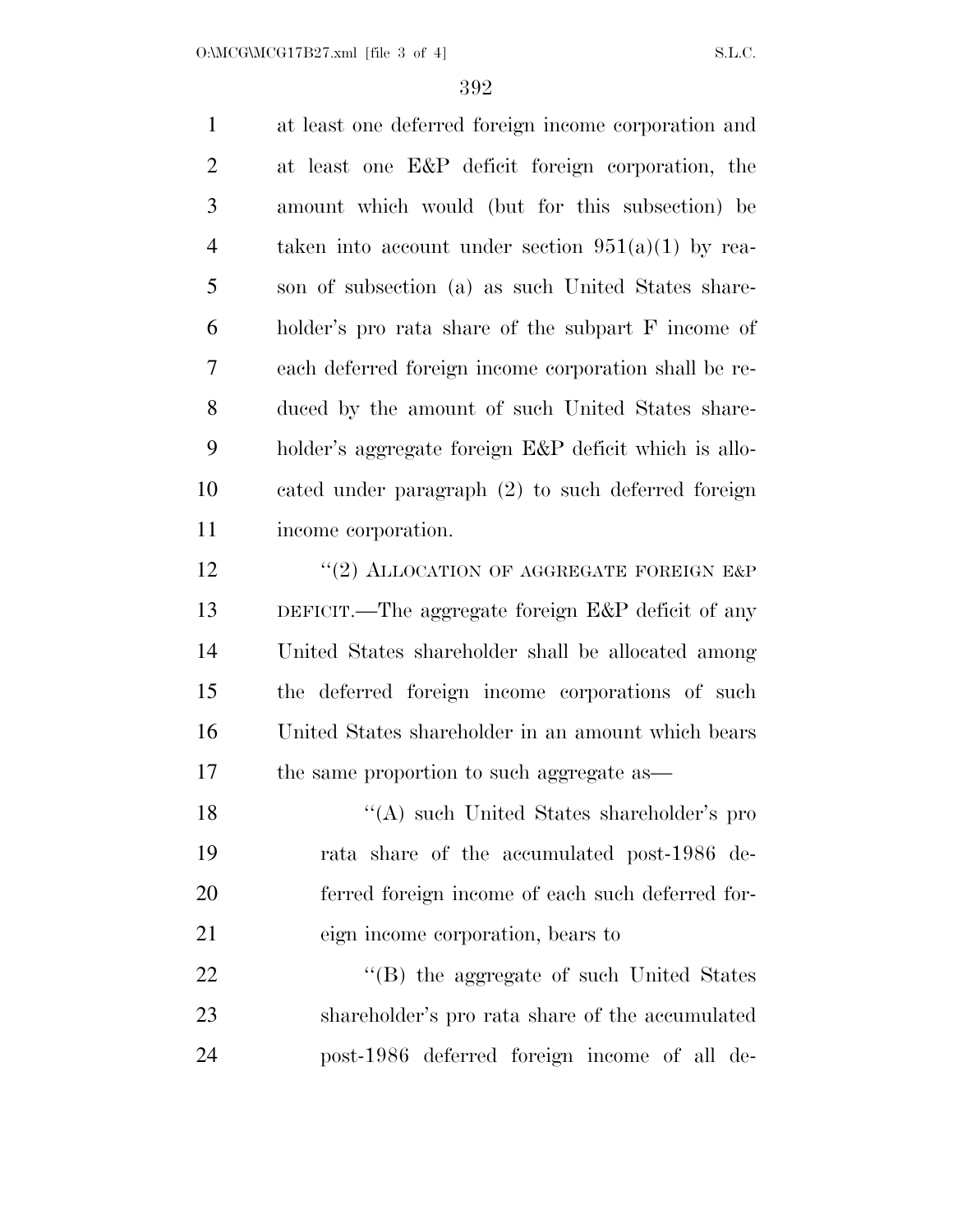at least one deferred foreign income corporation and at least one E&P deficit foreign corporation, the amount which would (but for this subsection) be taken into account under section 951(a)(1) by rea- son of subsection (a) as such United States share- holder's pro rata share of the subpart F income of each deferred foreign income corporation shall be re- duced by the amount of such United States share- holder's aggregate foreign E&P deficit which is allo- cated under paragraph (2) to such deferred foreign income corporation. 12 "(2) ALLOCATION OF AGGREGATE FOREIGN E&P DEFICIT.—The aggregate foreign E&P deficit of any United States shareholder shall be allocated among the deferred foreign income corporations of such United States shareholder in an amount which bears the same proportion to such aggregate as— 18 ''(A) such United States shareholder's pro rata share of the accumulated post-1986 de- ferred foreign income of each such deferred for- eign income corporation, bears to 22 "'(B) the aggregate of such United States shareholder's pro rata share of the accumulated

post-1986 deferred foreign income of all de-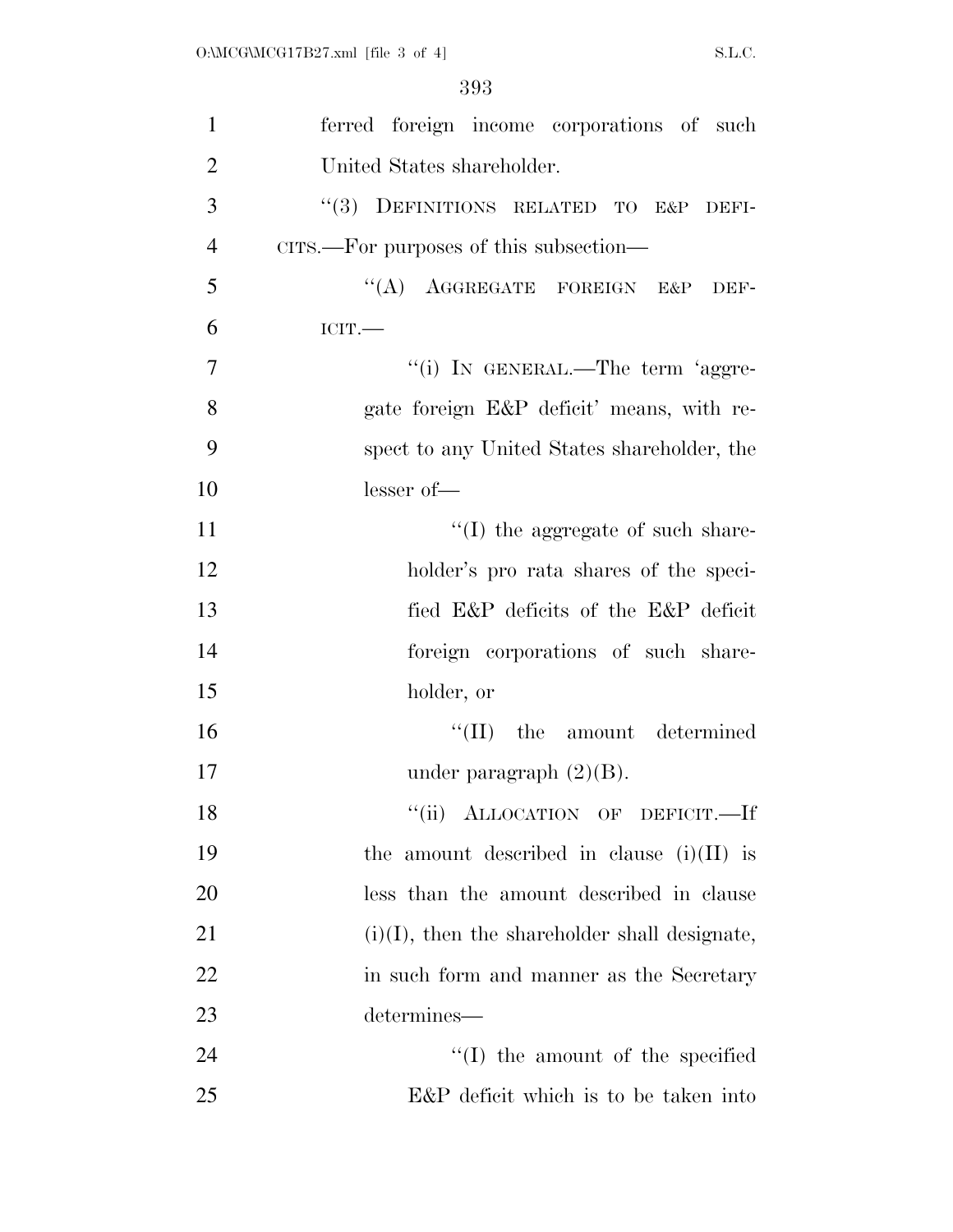| $\mathbf{1}$   | ferred foreign income corporations of such       |
|----------------|--------------------------------------------------|
| $\overline{2}$ | United States shareholder.                       |
| 3              | "(3) DEFINITIONS RELATED TO E&P DEFI-            |
| $\overline{4}$ | CITS.—For purposes of this subsection—           |
| 5              | "(A) AGGREGATE FOREIGN E&P<br>DEF-               |
| 6              | ICIT.                                            |
| $\overline{7}$ | "(i) IN GENERAL.—The term 'aggre-                |
| 8              | gate foreign E&P deficit' means, with re-        |
| 9              | spect to any United States shareholder, the      |
| 10             | lesser of-                                       |
| 11             | $\lq\lq$ (I) the aggregate of such share-        |
| 12             | holder's pro rata shares of the speci-           |
| 13             | fied E&P deficits of the E&P deficit             |
| 14             | foreign corporations of such share-              |
| 15             | holder, or                                       |
| 16             | $\lq\lq$ (II) the amount determined              |
| 17             | under paragraph $(2)(B)$ .                       |
| 18             | "(ii) ALLOCATION OF DEFICIT.-If                  |
| 19             | the amount described in clause $(i)(II)$ is      |
| 20             | less than the amount described in clause         |
| 21             | $(i)(I)$ , then the shareholder shall designate, |
| 22             | in such form and manner as the Secretary         |
| 23             | determines—                                      |
| 24             | $\lq\lq$ (I) the amount of the specified         |
| 25             | E&P deficit which is to be taken into            |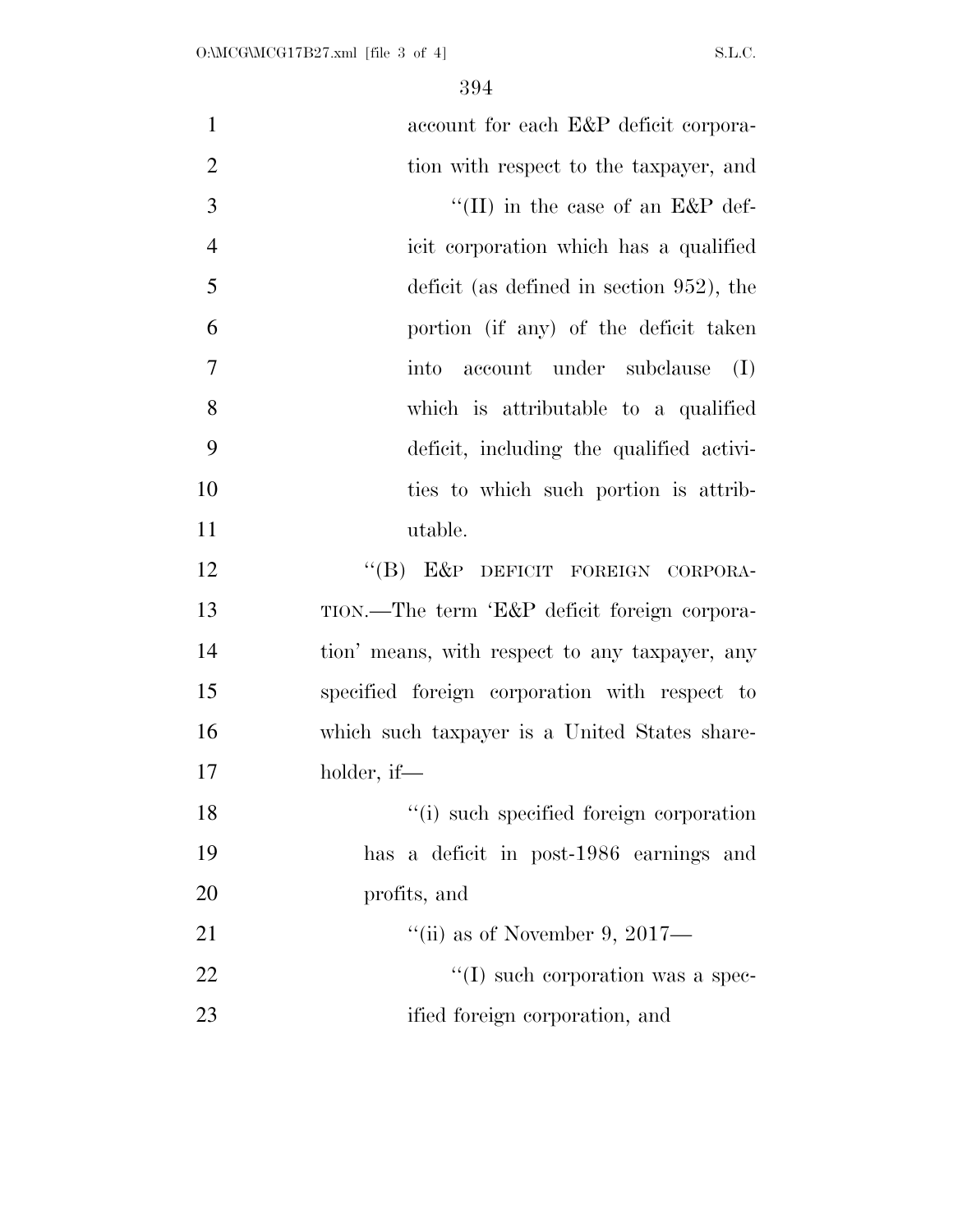| $\mathbf{1}$   | account for each E&P deficit corpora-          |
|----------------|------------------------------------------------|
| $\overline{2}$ | tion with respect to the taxpayer, and         |
| 3              | "(II) in the case of an $E\&P$ def-            |
| $\overline{4}$ | icit corporation which has a qualified         |
| 5              | deficit (as defined in section $952$ ), the    |
| 6              | portion (if any) of the deficit taken          |
| $\overline{7}$ | account under subclause<br>(I)<br>into         |
| 8              | which is attributable to a qualified           |
| 9              | deficit, including the qualified activi-       |
| 10             | ties to which such portion is attrib-          |
| 11             | utable.                                        |
| 12             | "(B) E&P DEFICIT FOREIGN CORPORA-              |
| 13             | TION.—The term 'E&P deficit foreign corpora-   |
| 14             | tion' means, with respect to any taxpayer, any |
| 15             | specified foreign corporation with respect to  |
| 16             | which such taxpayer is a United States share-  |
| 17             | holder, if—                                    |
| 18             | "(i) such specified foreign corporation        |
| 19             | has a deficit in post-1986 earnings and        |
| 20             | profits, and                                   |
| 21             | "(ii) as of November 9, 2017—                  |
| 22             | $\lq\lq$ such corporation was a spec-          |
| 23             | ified foreign corporation, and                 |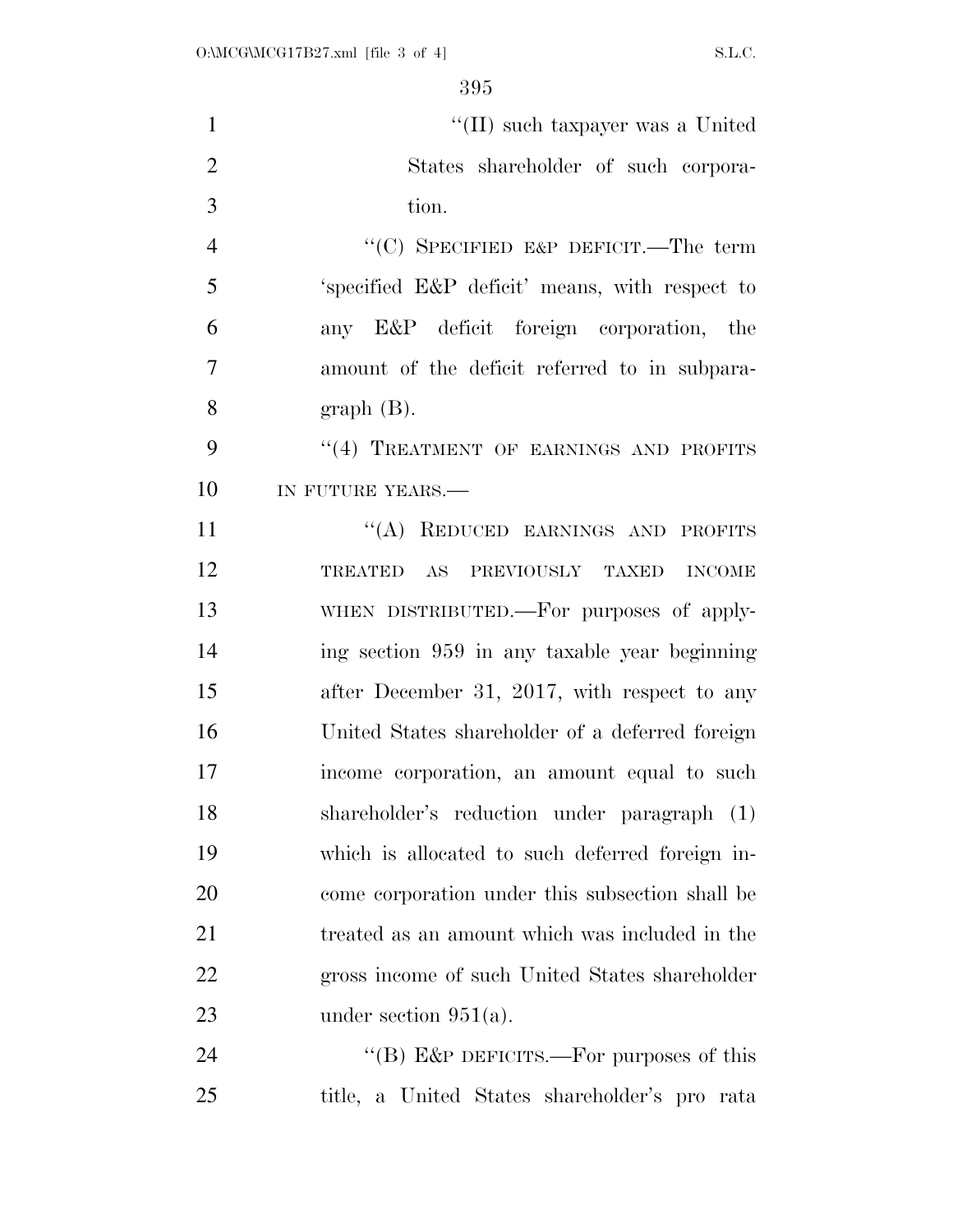| $\mathbf{1}$   | "(II) such taxpayer was a United                |
|----------------|-------------------------------------------------|
| $\overline{2}$ | States shareholder of such corpora-             |
| 3              | tion.                                           |
| $\overline{4}$ | "(C) SPECIFIED E&P DEFICIT.—The term            |
| 5              | 'specified E&P deficit' means, with respect to  |
| 6              | any E&P deficit foreign corporation, the        |
| $\overline{7}$ | amount of the deficit referred to in subpara-   |
| 8              | $graph(B)$ .                                    |
| 9              | "(4) TREATMENT OF EARNINGS AND PROFITS          |
| 10             | IN FUTURE YEARS.-                               |
| 11             | "(A) REDUCED EARNINGS AND PROFITS               |
| 12             | TREATED AS PREVIOUSLY TAXED INCOME              |
| 13             | WHEN DISTRIBUTED.—For purposes of apply-        |
| 14             | ing section 959 in any taxable year beginning   |
| 15             | after December 31, 2017, with respect to any    |
| 16             | United States shareholder of a deferred foreign |
| 17             | income corporation, an amount equal to such     |
| 18             | shareholder's reduction under paragraph (1)     |
| 19             | which is allocated to such deferred foreign in- |
| 20             | come corporation under this subsection shall be |
| 21             | treated as an amount which was included in the  |
| 22             | gross income of such United States shareholder  |
| 23             | under section $951(a)$ .                        |
| 24             | "(B) E&P DEFICITS.—For purposes of this         |
| 25             | title, a United States shareholder's pro rata   |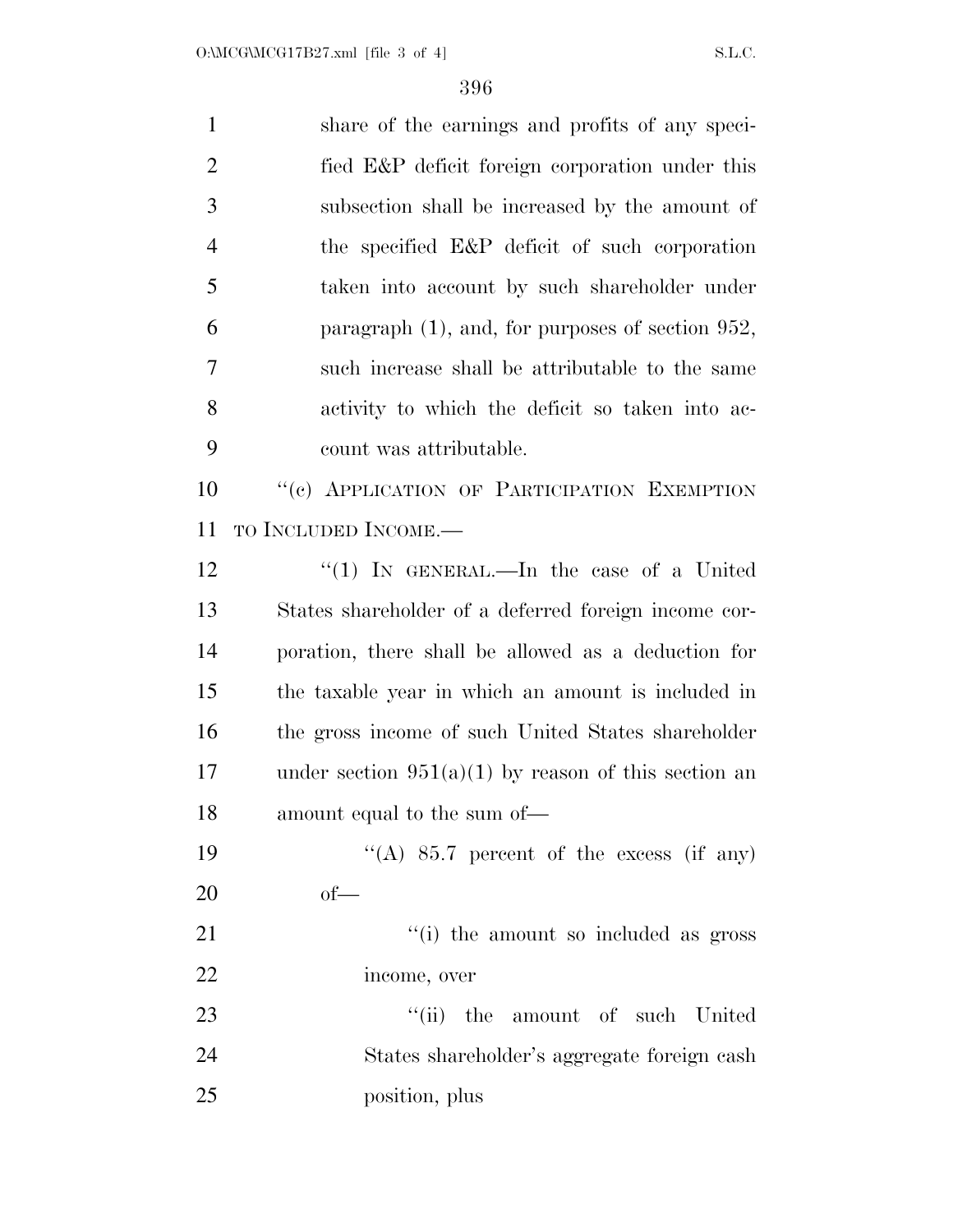| $\mathbf{1}$   | share of the earnings and profits of any speci-        |
|----------------|--------------------------------------------------------|
| $\overline{2}$ | fied E&P deficit foreign corporation under this        |
| 3              | subsection shall be increased by the amount of         |
| $\overline{4}$ | the specified E&P deficit of such corporation          |
| 5              | taken into account by such shareholder under           |
| 6              | paragraph $(1)$ , and, for purposes of section 952,    |
| 7              | such increase shall be attributable to the same        |
| 8              | activity to which the deficit so taken into ac-        |
| 9              | count was attributable.                                |
| 10             | "(c) APPLICATION OF PARTICIPATION EXEMPTION            |
| 11             | TO INCLUDED INCOME.—                                   |
| 12             | "(1) In GENERAL.—In the case of a United               |
| 13             | States shareholder of a deferred foreign income cor-   |
| 14             | poration, there shall be allowed as a deduction for    |
| 15             | the taxable year in which an amount is included in     |
| 16             | the gross income of such United States shareholder     |
| 17             | under section $951(a)(1)$ by reason of this section an |
| 18             | amount equal to the sum of—                            |
| 19             | "(A) $85.7$ percent of the excess (if any)             |
| 20             | $of$ —                                                 |
| 21             | "(i) the amount so included as gross                   |
| 22             | income, over                                           |
| 23             | "(ii) the amount of such United                        |
| 24             | States shareholder's aggregate foreign cash            |
| 25             | position, plus                                         |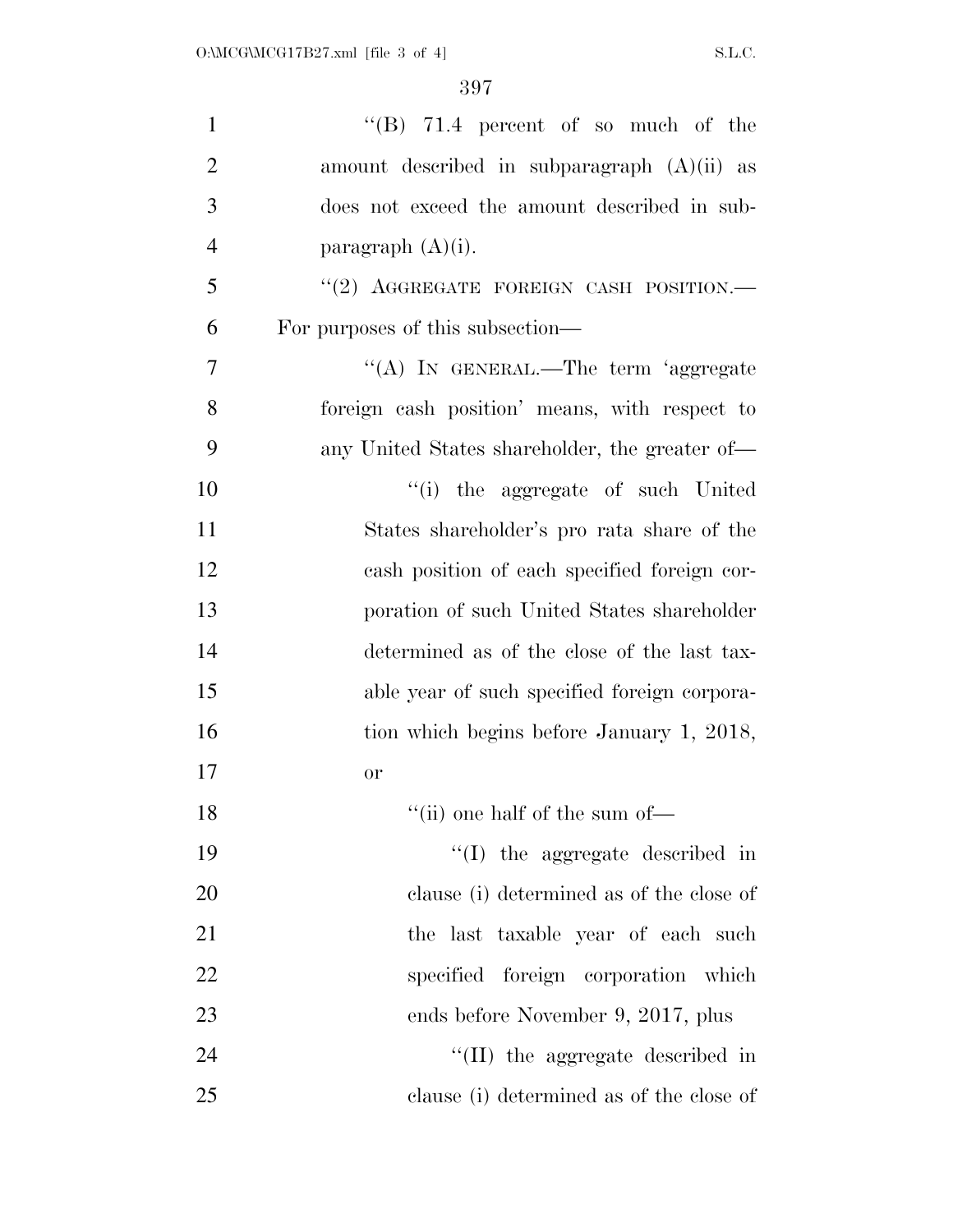| $\mathbf{1}$   | "(B) $71.4$ percent of so much of the          |
|----------------|------------------------------------------------|
| $\overline{2}$ | amount described in subparagraph $(A)(ii)$ as  |
| 3              | does not exceed the amount described in sub-   |
| $\overline{4}$ | paragraph $(A)(i)$ .                           |
| 5              | "(2) AGGREGATE FOREIGN CASH POSITION.-         |
| 6              | For purposes of this subsection—               |
| 7              | "(A) IN GENERAL.—The term 'aggregate           |
| 8              | foreign cash position' means, with respect to  |
| 9              | any United States shareholder, the greater of— |
| 10             | "(i) the aggregate of such United              |
| 11             | States shareholder's pro rata share of the     |
| 12             | cash position of each specified foreign cor-   |
| 13             | poration of such United States shareholder     |
| 14             | determined as of the close of the last tax-    |
| 15             | able year of such specified foreign corpora-   |
| 16             | tion which begins before January 1, 2018,      |
| 17             | <b>or</b>                                      |
| 18             | $``$ (ii) one half of the sum of—              |
| 19             | "(I) the aggregate described in                |
| 20             | clause (i) determined as of the close of       |
| 21             | the last taxable year of each such             |
| 22             | specified foreign corporation which            |
| 23             | ends before November 9, 2017, plus             |
| 24             | "(II) the aggregate described in               |
| 25             | clause (i) determined as of the close of       |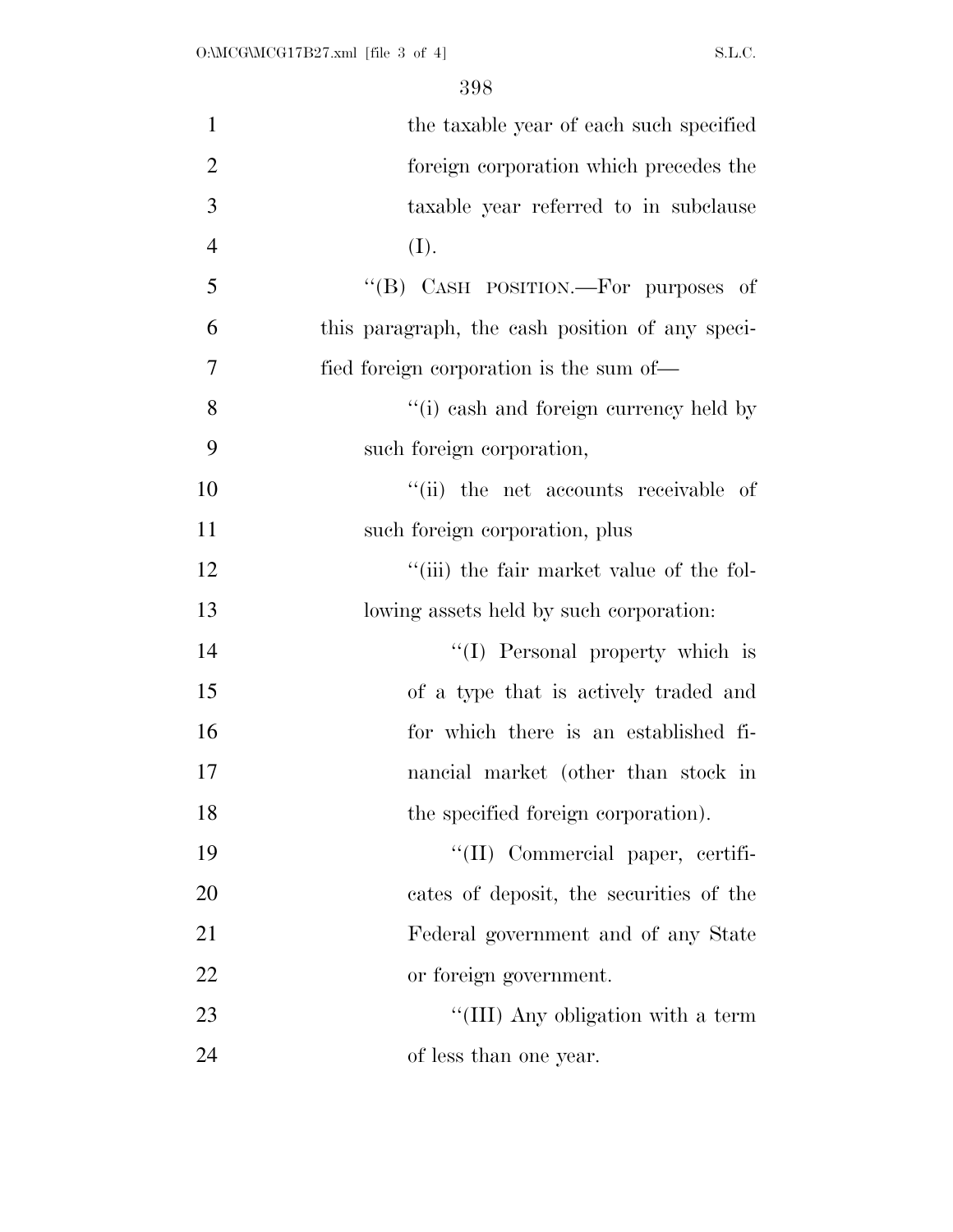| $\mathbf{1}$   | the taxable year of each such specified         |
|----------------|-------------------------------------------------|
| $\overline{2}$ | foreign corporation which precedes the          |
| 3              | taxable year referred to in subclause           |
| $\overline{4}$ | (I).                                            |
| 5              | "(B) CASH POSITION.—For purposes of             |
| 6              | this paragraph, the cash position of any speci- |
| 7              | fied foreign corporation is the sum of—         |
| 8              | "(i) eash and foreign currency held by          |
| 9              | such foreign corporation,                       |
| 10             | "(ii) the net accounts receivable of            |
| 11             | such foreign corporation, plus                  |
| 12             | "(iii) the fair market value of the fol-        |
| 13             | lowing assets held by such corporation:         |
| 14             | "(I) Personal property which is                 |
| 15             | of a type that is actively traded and           |
| 16             | for which there is an established fi-           |
| 17             | nancial market (other than stock in             |
| 18             | the specified foreign corporation).             |
| 19             | $\lq\lq$ (II) Commercial paper, certifi-        |
| 20             | cates of deposit, the securities of the         |
| 21             | Federal government and of any State             |
| 22             | or foreign government.                          |
| 23             | "(III) Any obligation with a term               |
| 24             | of less than one year.                          |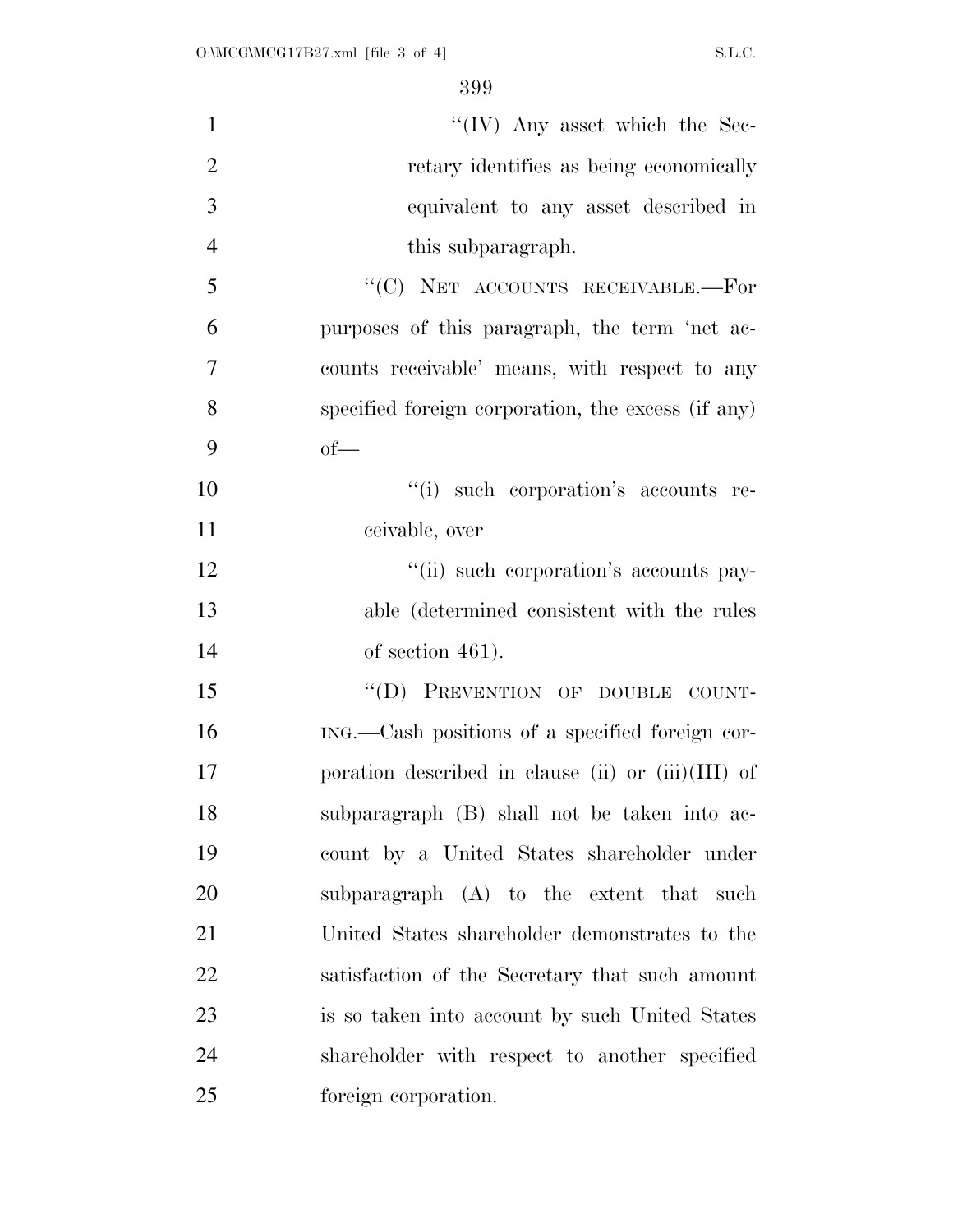| $\mathbf{1}$   | "(IV) Any asset which the Sec-                       |
|----------------|------------------------------------------------------|
| $\overline{2}$ | retary identifies as being economically              |
| 3              | equivalent to any asset described in                 |
| $\overline{4}$ | this subparagraph.                                   |
| 5              | "(C) NET ACCOUNTS RECEIVABLE.—For                    |
| 6              | purposes of this paragraph, the term 'net ac-        |
| $\tau$         | counts receivable' means, with respect to any        |
| 8              | specified foreign corporation, the excess (if any)   |
| 9              | $of$ —                                               |
| 10             | "(i) such corporation's accounts re-                 |
| 11             | ceivable, over                                       |
| 12             | "(ii) such corporation's accounts pay-               |
| 13             | able (determined consistent with the rules           |
| 14             | of section $461$ ).                                  |
| 15             | "(D) PREVENTION OF DOUBLE COUNT-                     |
| 16             | ING.—Cash positions of a specified foreign cor-      |
| 17             | poration described in clause (ii) or $(iii)(III)$ of |
| 18             | subparagraph (B) shall not be taken into ac-         |
| 19             | count by a United States shareholder under           |
| 20             | subparagraph (A) to the extent that such             |
| 21             | United States shareholder demonstrates to the        |
| 22             | satisfaction of the Secretary that such amount       |
| 23             | is so taken into account by such United States       |
| 24             | shareholder with respect to another specified        |
| 25             | foreign corporation.                                 |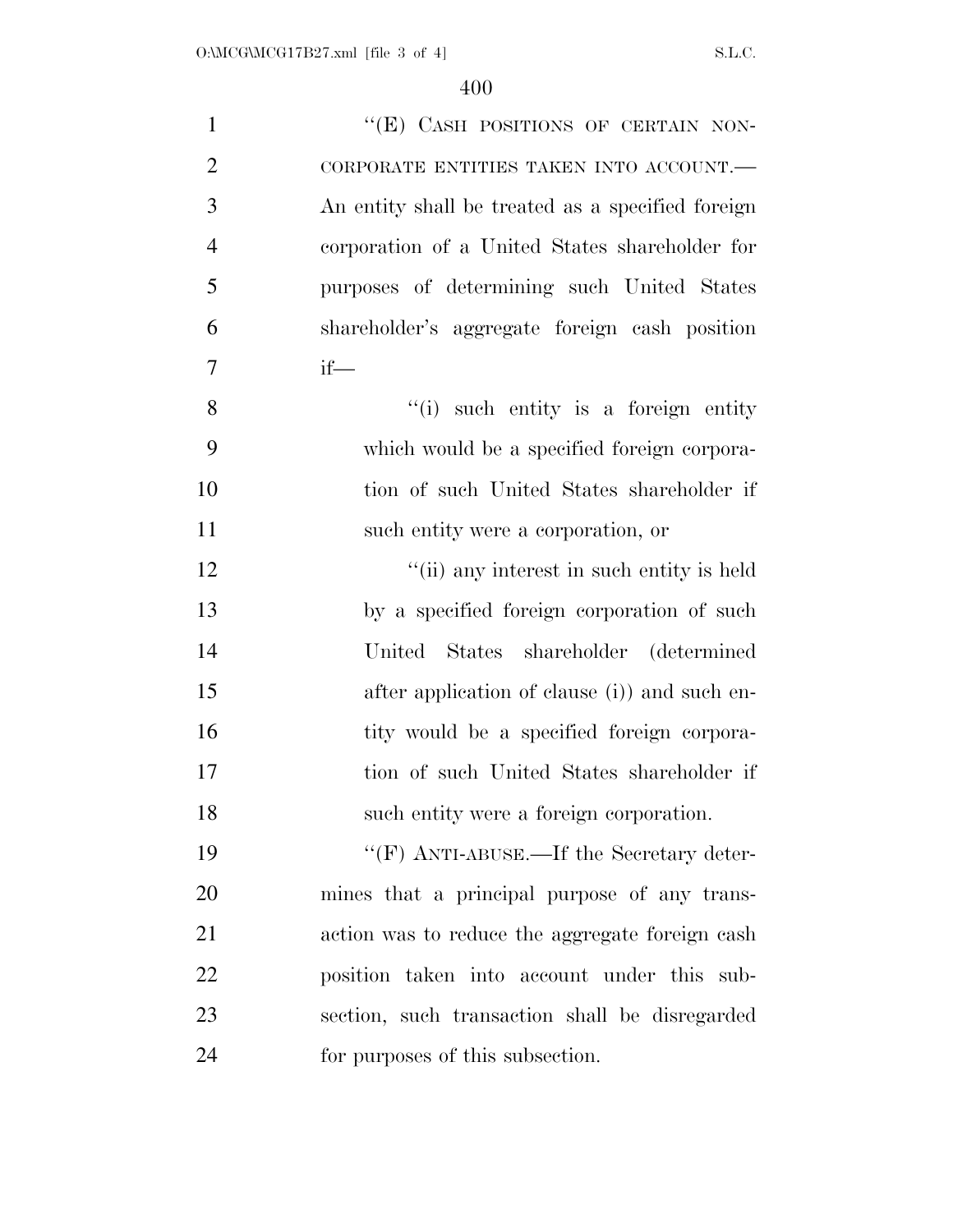| $\mathbf{1}$   | "(E) CASH POSITIONS OF CERTAIN NON-               |
|----------------|---------------------------------------------------|
| $\overline{2}$ | CORPORATE ENTITIES TAKEN INTO ACCOUNT.-           |
| 3              | An entity shall be treated as a specified foreign |
| $\overline{4}$ | corporation of a United States shareholder for    |
| 5              | purposes of determining such United States        |
| 6              | shareholder's aggregate foreign cash position     |
| $\overline{7}$ | $if$ —                                            |
| $8\,$          | "(i) such entity is a foreign entity              |
| 9              | which would be a specified foreign corpora-       |
| 10             | tion of such United States shareholder if         |
| 11             | such entity were a corporation, or                |
| 12             | "(ii) any interest in such entity is held         |
| 13             | by a specified foreign corporation of such        |
| 14             | United States shareholder (determined             |
| 15             | after application of clause (i)) and such en-     |
| 16             | tity would be a specified foreign corpora-        |
| 17             | tion of such United States shareholder if         |
| 18             | such entity were a foreign corporation.           |
| 19             | " $(F)$ ANTI-ABUSE.—If the Secretary deter-       |
| 20             | mines that a principal purpose of any trans-      |
| 21             | action was to reduce the aggregate foreign cash   |
| 22             | position taken into account under this sub-       |
| 23             | section, such transaction shall be disregarded    |
| 24             | for purposes of this subsection.                  |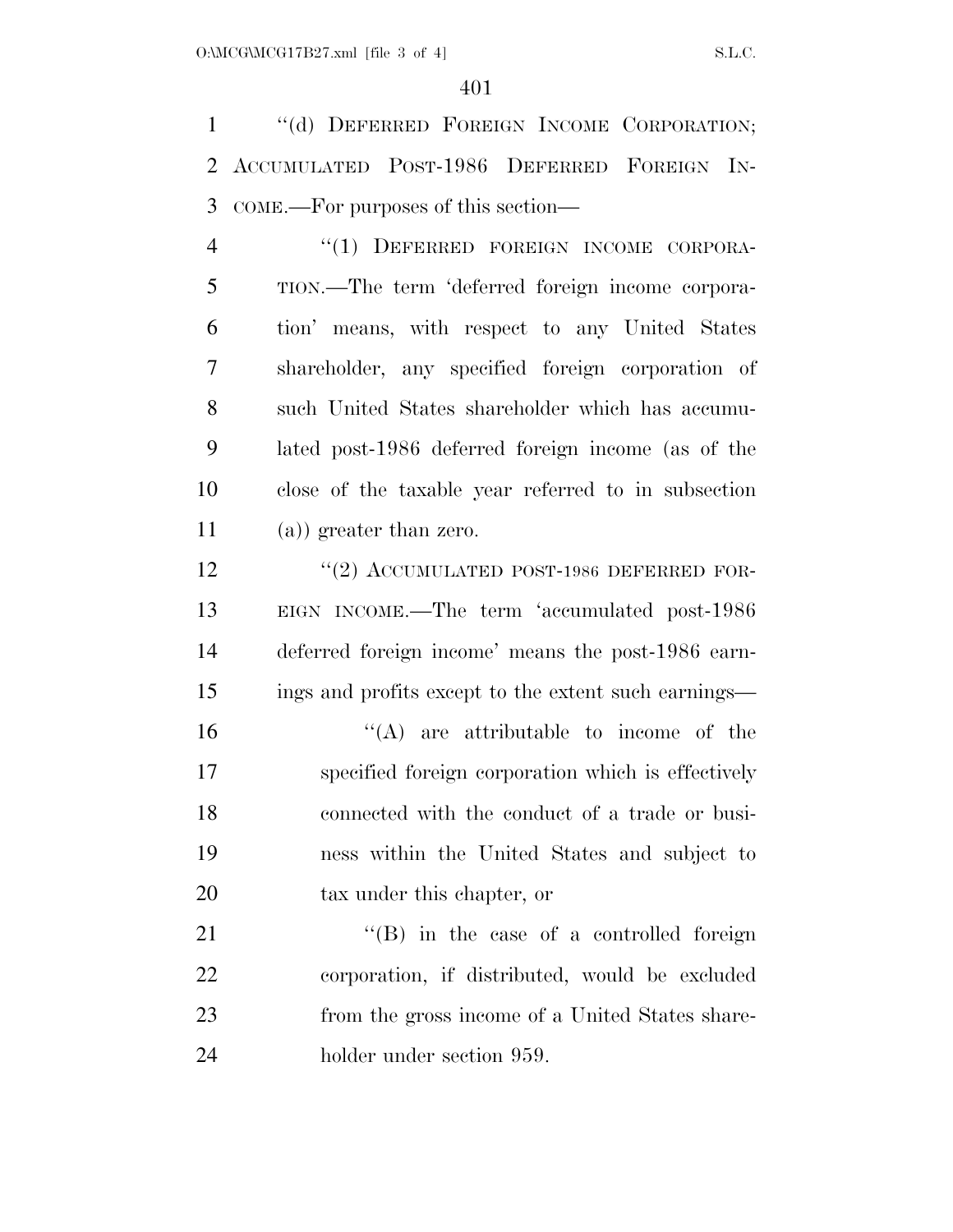''(d) DEFERRED FOREIGN INCOME CORPORATION; ACCUMULATED POST-1986 DEFERRED FOREIGN IN-COME.—For purposes of this section—

 ''(1) DEFERRED FOREIGN INCOME CORPORA- TION.—The term 'deferred foreign income corpora- tion' means, with respect to any United States shareholder, any specified foreign corporation of such United States shareholder which has accumu- lated post-1986 deferred foreign income (as of the close of the taxable year referred to in subsection (a)) greater than zero.

12 "(2) ACCUMULATED POST-1986 DEFERRED FOR- EIGN INCOME.—The term 'accumulated post-1986 deferred foreign income' means the post-1986 earn-ings and profits except to the extent such earnings—

 ''(A) are attributable to income of the specified foreign corporation which is effectively connected with the conduct of a trade or busi- ness within the United States and subject to tax under this chapter, or

21 ''(B) in the case of a controlled foreign corporation, if distributed, would be excluded from the gross income of a United States share-holder under section 959.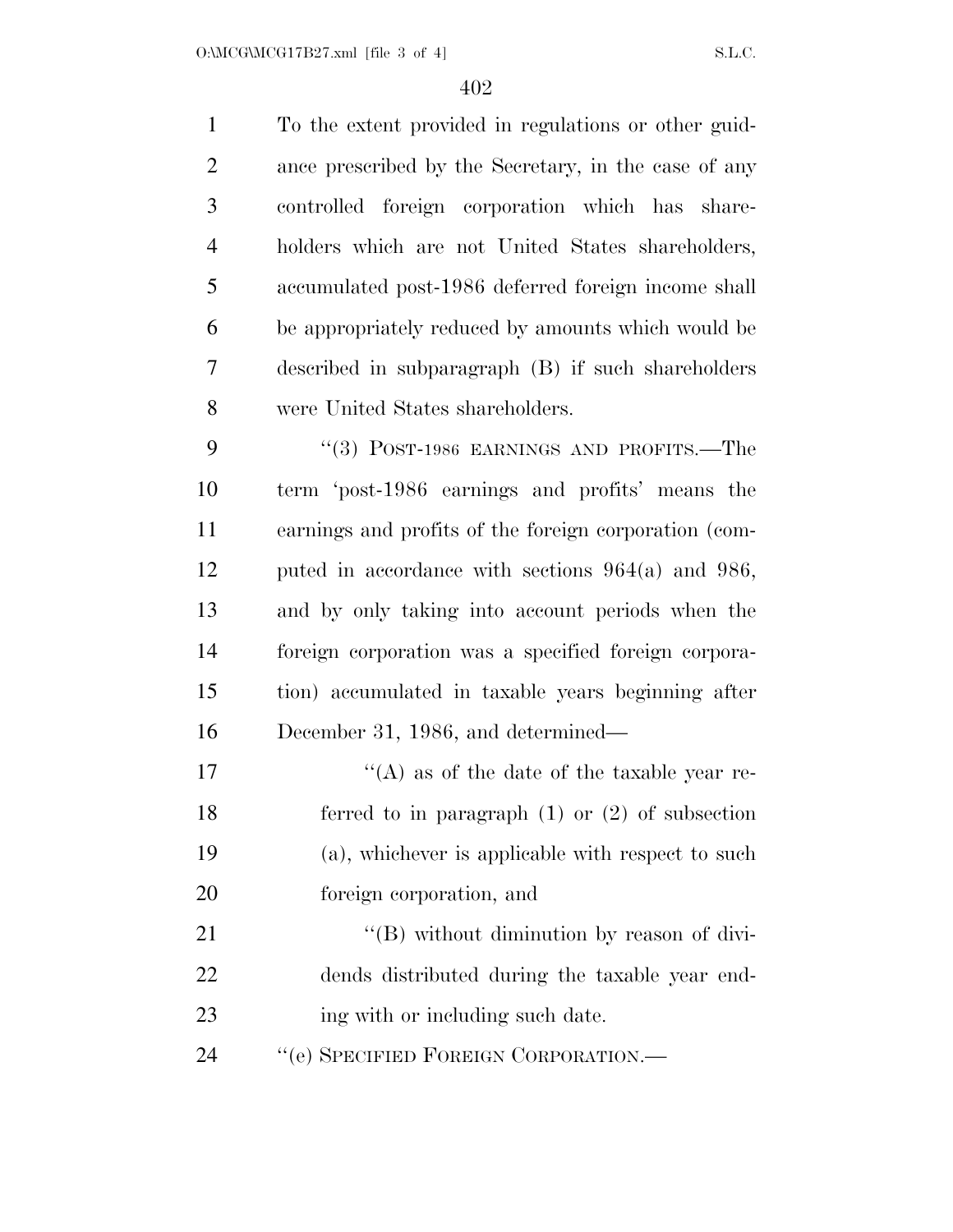To the extent provided in regulations or other guid- ance prescribed by the Secretary, in the case of any controlled foreign corporation which has share- holders which are not United States shareholders, accumulated post-1986 deferred foreign income shall be appropriately reduced by amounts which would be described in subparagraph (B) if such shareholders were United States shareholders. 9 "(3) POST-1986 EARNINGS AND PROFITS.—The term 'post-1986 earnings and profits' means the earnings and profits of the foreign corporation (com- puted in accordance with sections 964(a) and 986, and by only taking into account periods when the foreign corporation was a specified foreign corpora- tion) accumulated in taxable years beginning after December 31, 1986, and determined—  $\mathcal{L}(\mathbf{A})$  as of the date of the taxable year re- ferred to in paragraph (1) or (2) of subsection (a), whichever is applicable with respect to such foreign corporation, and  $\langle (B) \rangle$  without diminution by reason of divi- dends distributed during the taxable year end-23 ing with or including such date. 24 "'(e) SPECIFIED FOREIGN CORPORATION.—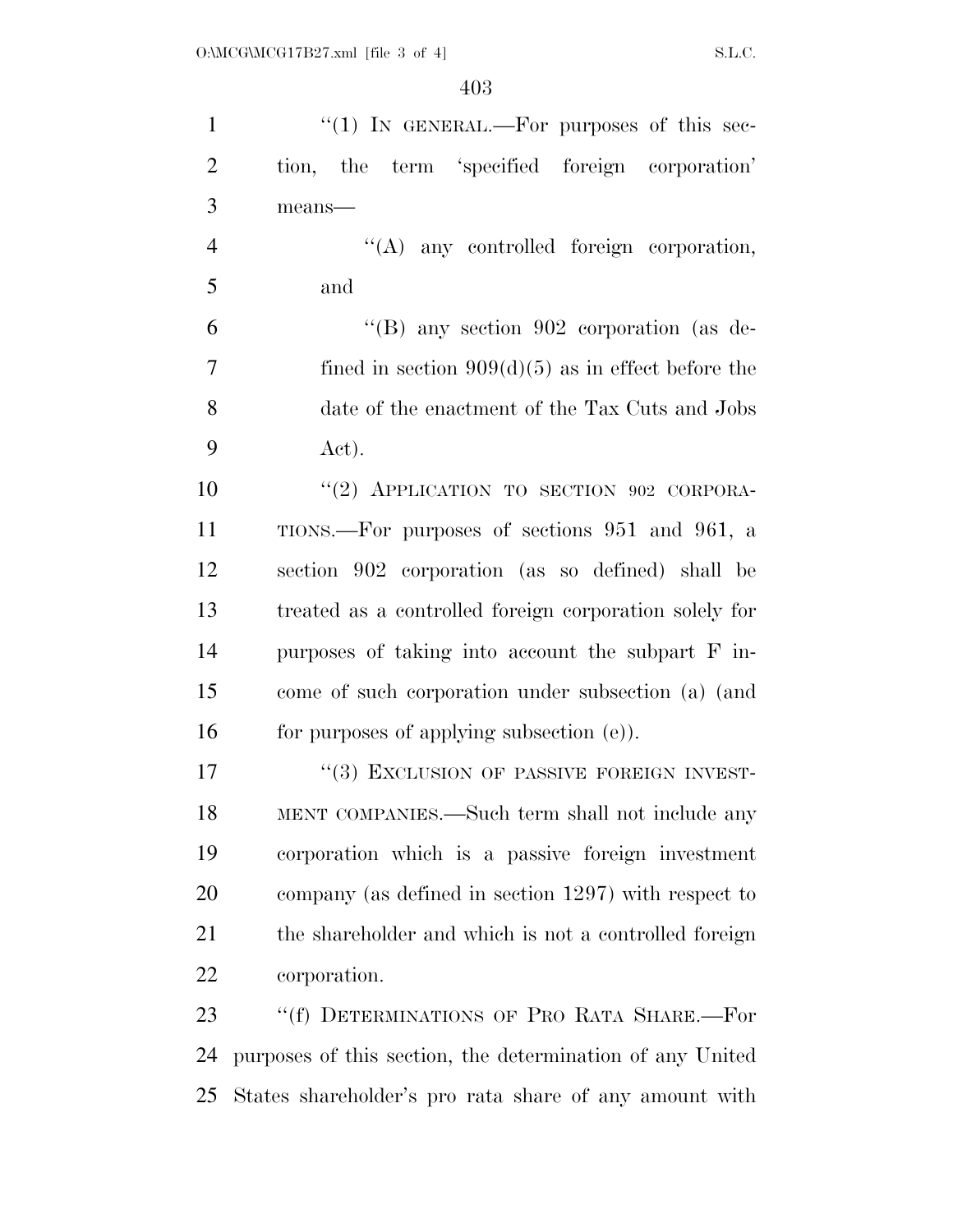| $\mathbf{1}$   | " $(1)$ IN GENERAL.—For purposes of this sec-             |
|----------------|-----------------------------------------------------------|
| $\overline{2}$ | tion, the term 'specified foreign corporation'            |
| 3              | means-                                                    |
| $\overline{4}$ | $\lq\lq$ any controlled foreign corporation,              |
| 5              | and                                                       |
| 6              | "(B) any section 902 corporation (as de-                  |
| $\tau$         | fined in section $909(d)(5)$ as in effect before the      |
| 8              | date of the enactment of the Tax Cuts and Jobs            |
| 9              | Act).                                                     |
| 10             | "(2) APPLICATION TO SECTION 902 CORPORA-                  |
| 11             | TIONS.—For purposes of sections 951 and 961, a            |
| 12             | section 902 corporation (as so defined) shall be          |
| 13             | treated as a controlled foreign corporation solely for    |
| 14             | purposes of taking into account the subpart F in-         |
| 15             | come of such corporation under subsection (a) (and        |
| 16             | for purposes of applying subsection (e)).                 |
| 17             | "(3) EXCLUSION OF PASSIVE FOREIGN INVEST-                 |
| 18             | MENT COMPANIES.—Such term shall not include any           |
| 19             | corporation which is a passive foreign investment         |
| 20             | company (as defined in section 1297) with respect to      |
| 21             | the shareholder and which is not a controlled foreign     |
| 22             | corporation.                                              |
| 23             | "(f) DETERMINATIONS OF PRO RATA SHARE.—For                |
| 24             | purposes of this section, the determination of any United |
| 25             | States shareholder's pro rata share of any amount with    |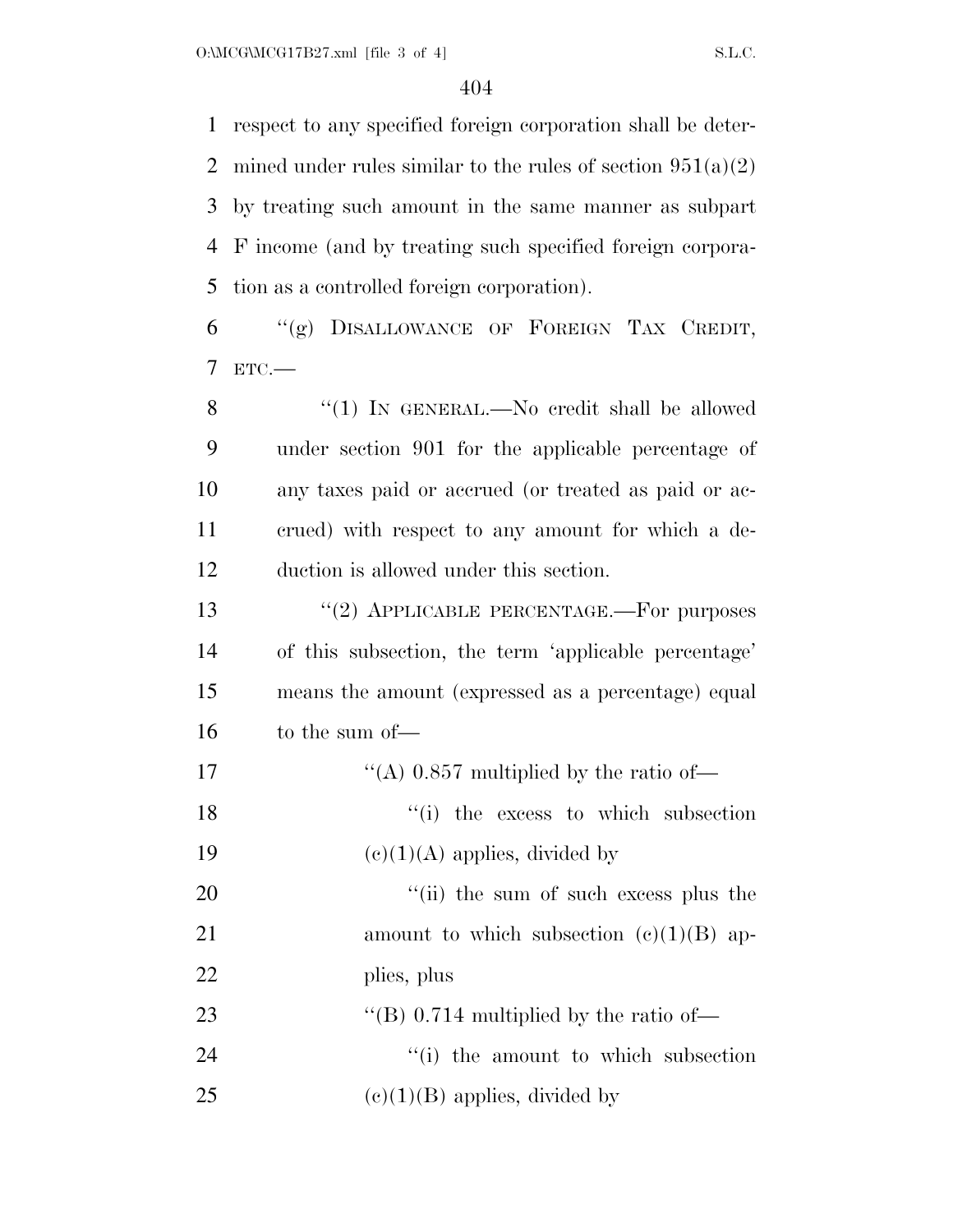respect to any specified foreign corporation shall be deter-2 mined under rules similar to the rules of section  $951(a)(2)$  by treating such amount in the same manner as subpart F income (and by treating such specified foreign corpora-tion as a controlled foreign corporation).

6 ''(g) DISALLOWANCE OF FOREIGN TAX CREDIT, 7 ETC.—

8 "(1) In GENERAL.—No credit shall be allowed under section 901 for the applicable percentage of any taxes paid or accrued (or treated as paid or ac- crued) with respect to any amount for which a de-duction is allowed under this section.

13 "(2) APPLICABLE PERCENTAGE.—For purposes of this subsection, the term 'applicable percentage' means the amount (expressed as a percentage) equal to the sum of—

17  $\text{``(A)}\;0.857 \text{ multiplied by the ratio of}$ 18 ''(i) the excess to which subsection 19  $(e)(1)(A)$  applies, divided by

20  $\frac{1}{20}$  the sum of such excess plus the 21 amount to which subsection  $(e)(1)(B)$  ap-22 plies, plus

23  $\text{``(B) 0.714 multiplied by the ratio of}$ 

24 ''(i) the amount to which subsection 25 (e)(1)(B) applies, divided by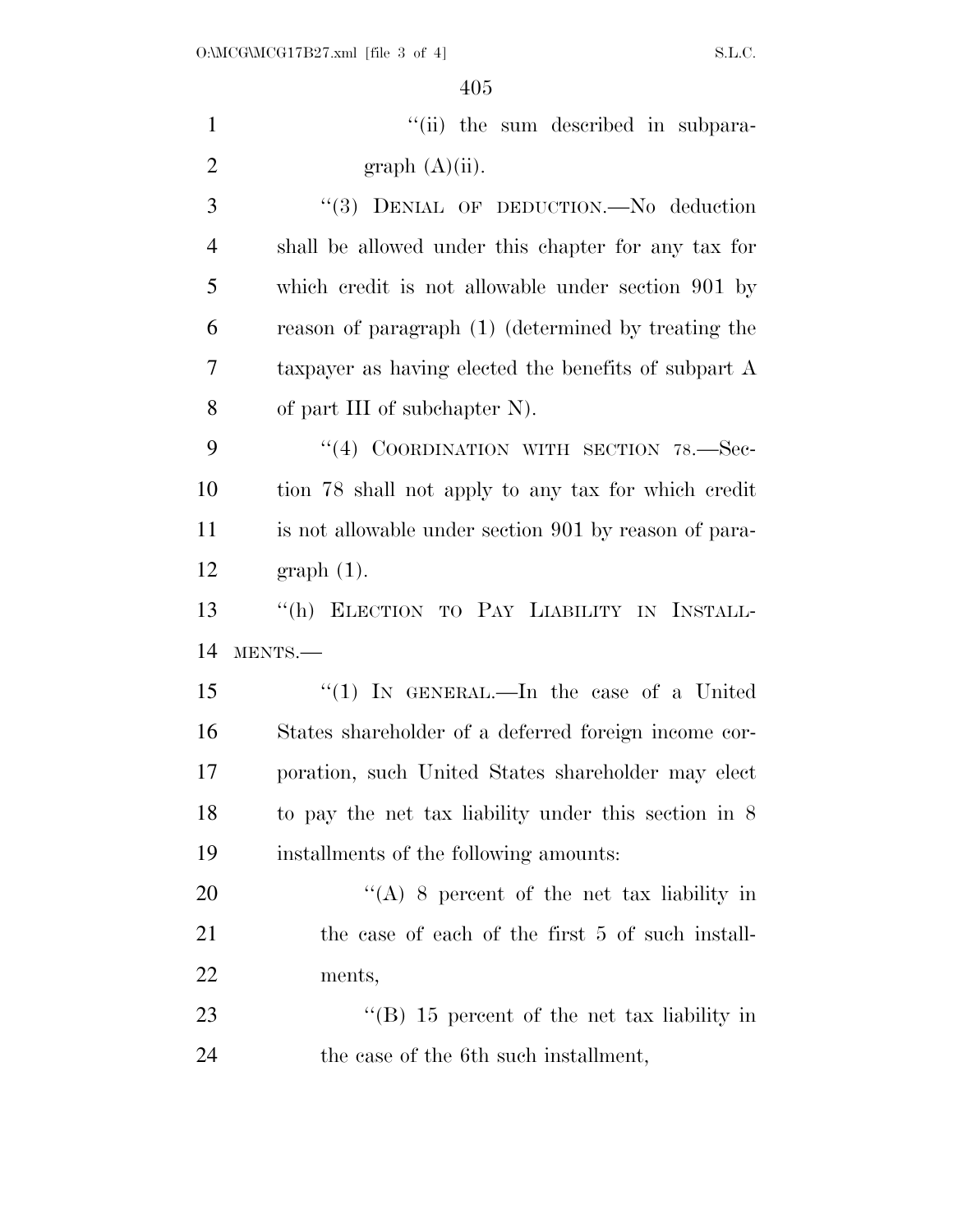| $\mathbf{1}$   | "(ii) the sum described in subpara-                   |
|----------------|-------------------------------------------------------|
| $\overline{2}$ | graph (A)(ii).                                        |
| 3              | "(3) DENIAL OF DEDUCTION.-No deduction                |
| $\overline{4}$ | shall be allowed under this chapter for any tax for   |
| 5              | which credit is not allowable under section 901 by    |
| 6              | reason of paragraph (1) (determined by treating the   |
| 7              | taxpayer as having elected the benefits of subpart A  |
| 8              | of part III of subchapter N).                         |
| 9              | "(4) COORDINATION WITH SECTION 78.-Sec-               |
| 10             | tion 78 shall not apply to any tax for which credit   |
| 11             | is not allowable under section 901 by reason of para- |
| 12             | $graph(1)$ .                                          |
|                |                                                       |
| 13             | "(h) ELECTION TO PAY LIABILITY IN INSTALL-            |
| 14             | MENTS.-                                               |
| 15             | "(1) IN GENERAL.—In the case of a United              |
| 16             | States shareholder of a deferred foreign income cor-  |
| 17             | poration, such United States shareholder may elect    |
| 18             | to pay the net tax liability under this section in 8  |
| 19             | installments of the following amounts:                |
| 20             | "(A) 8 percent of the net tax liability in            |
| 21             | the case of each of the first 5 of such install-      |
| 22             | ments,                                                |
| 23             | "(B) $15$ percent of the net tax liability in         |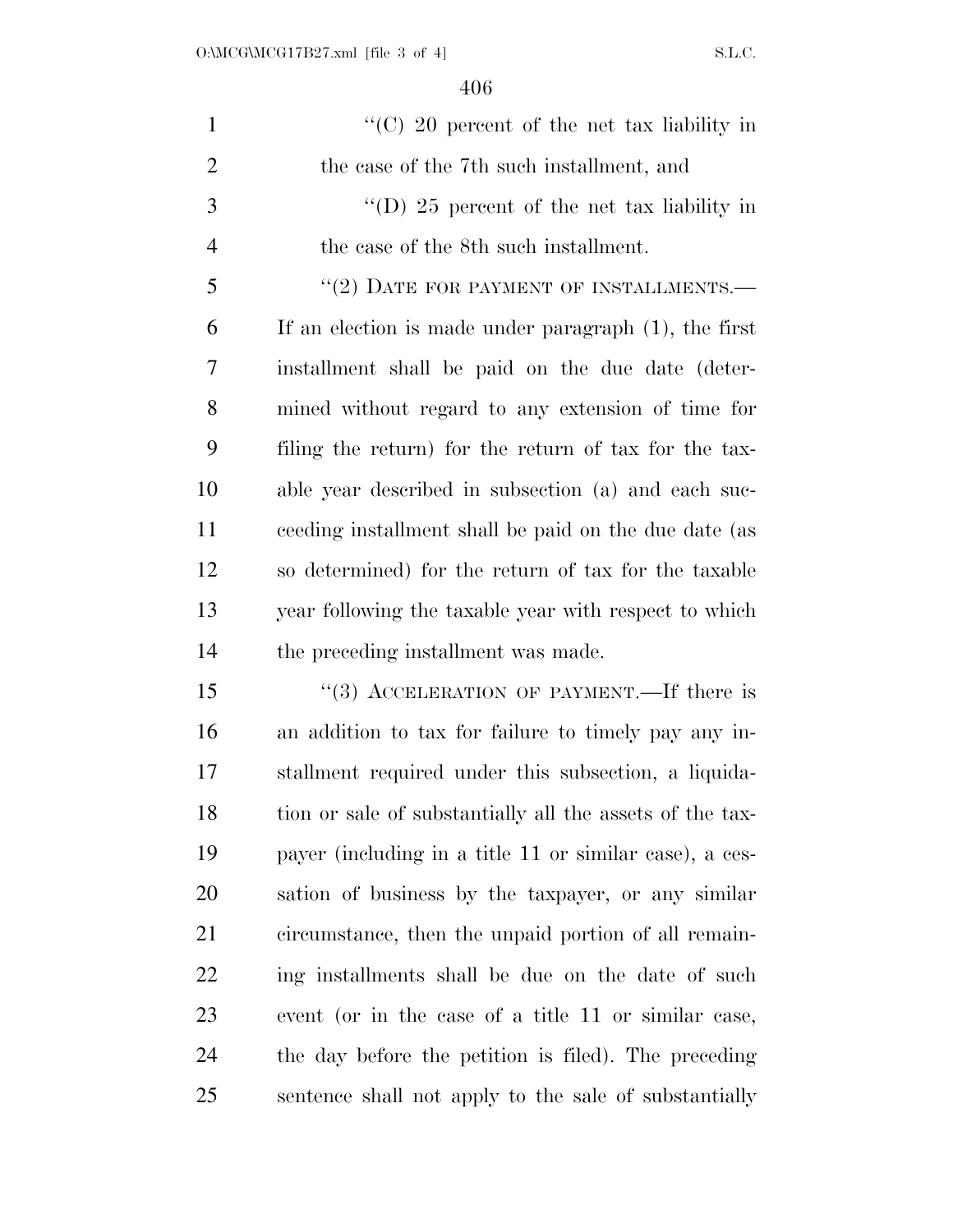| $\mathbf{1}$   | "(C) 20 percent of the net tax liability in              |
|----------------|----------------------------------------------------------|
| $\overline{2}$ | the case of the 7th such installment, and                |
| 3              | "(D) 25 percent of the net tax liability in              |
| $\overline{4}$ | the case of the 8th such installment.                    |
| 5              | $``(2)$ DATE FOR PAYMENT OF INSTALLMENTS.—               |
| 6              | If an election is made under paragraph $(1)$ , the first |
| 7              | installment shall be paid on the due date (deter-        |
| 8              | mined without regard to any extension of time for        |
| 9              | filing the return) for the return of tax for the tax-    |
| 10             | able year described in subsection (a) and each suc-      |
| 11             | ceeding installment shall be paid on the due date (as    |
| 12             | so determined) for the return of tax for the taxable     |
| 13             | year following the taxable year with respect to which    |
| 14             | the preceding installment was made.                      |
| 15             | "(3) ACCELERATION OF PAYMENT.—If there is                |
| 16             | an addition to tax for failure to timely pay any in-     |
| 17             | stallment required under this subsection, a liquida-     |
| 18             | tion or sale of substantially all the assets of the tax- |
| 19             | payer (including in a title 11 or similar case), a ces-  |
| 20             | sation of business by the taxpayer, or any similar       |
| 21             | circumstance, then the unpaid portion of all remain-     |
| 22             | ing installments shall be due on the date of such        |
| 23             | event (or in the case of a title 11 or similar case,     |
| 24             | the day before the petition is filed). The preceding     |
| 25             | sentence shall not apply to the sale of substantially    |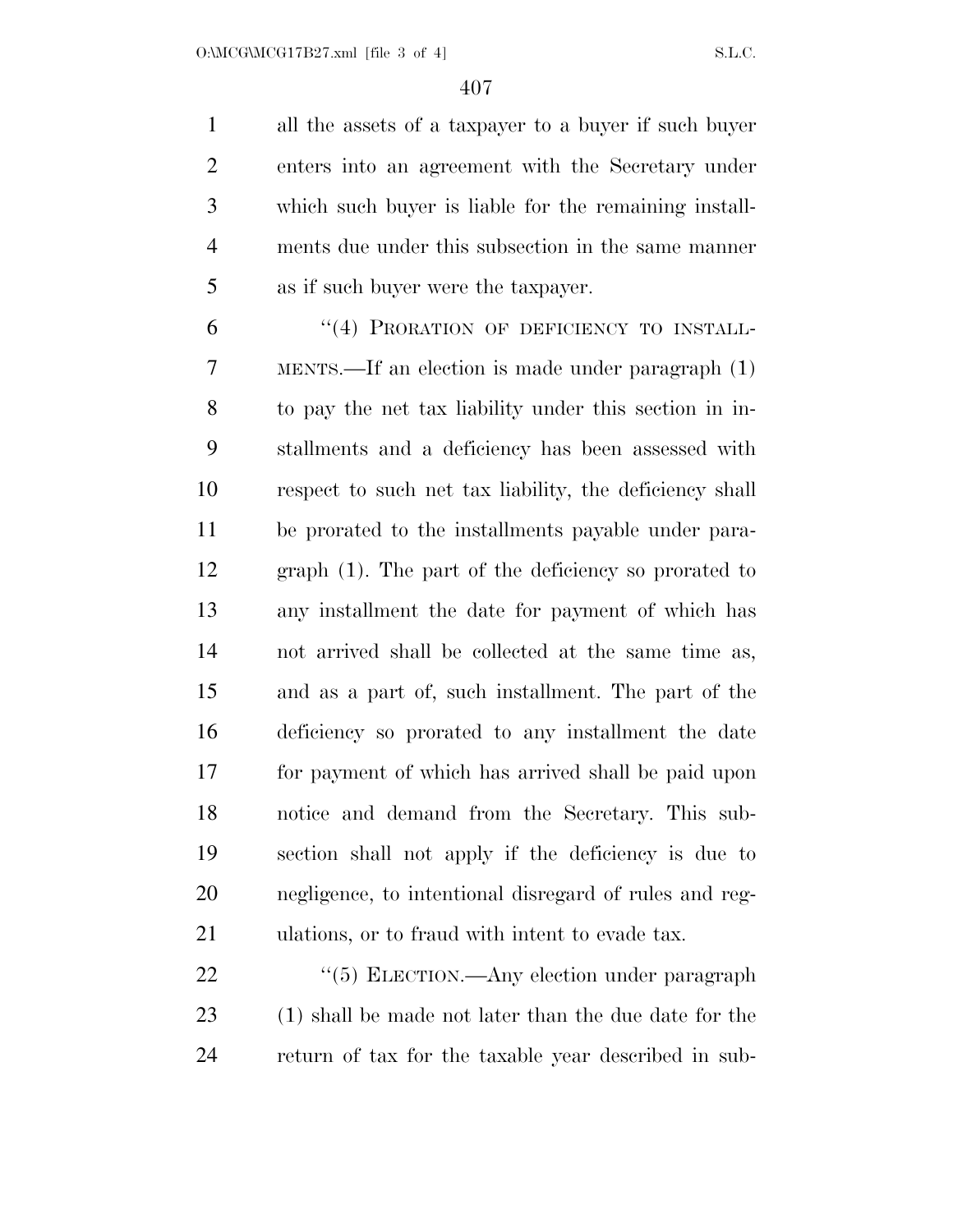all the assets of a taxpayer to a buyer if such buyer enters into an agreement with the Secretary under which such buyer is liable for the remaining install- ments due under this subsection in the same manner as if such buyer were the taxpayer.

6 "(4) PRORATION OF DEFICIENCY TO INSTALL- MENTS.—If an election is made under paragraph (1) to pay the net tax liability under this section in in- stallments and a deficiency has been assessed with respect to such net tax liability, the deficiency shall be prorated to the installments payable under para- graph (1). The part of the deficiency so prorated to any installment the date for payment of which has not arrived shall be collected at the same time as, and as a part of, such installment. The part of the deficiency so prorated to any installment the date for payment of which has arrived shall be paid upon notice and demand from the Secretary. This sub- section shall not apply if the deficiency is due to negligence, to intentional disregard of rules and reg-ulations, or to fraud with intent to evade tax.

22 "(5) ELECTION.—Any election under paragraph (1) shall be made not later than the due date for the return of tax for the taxable year described in sub-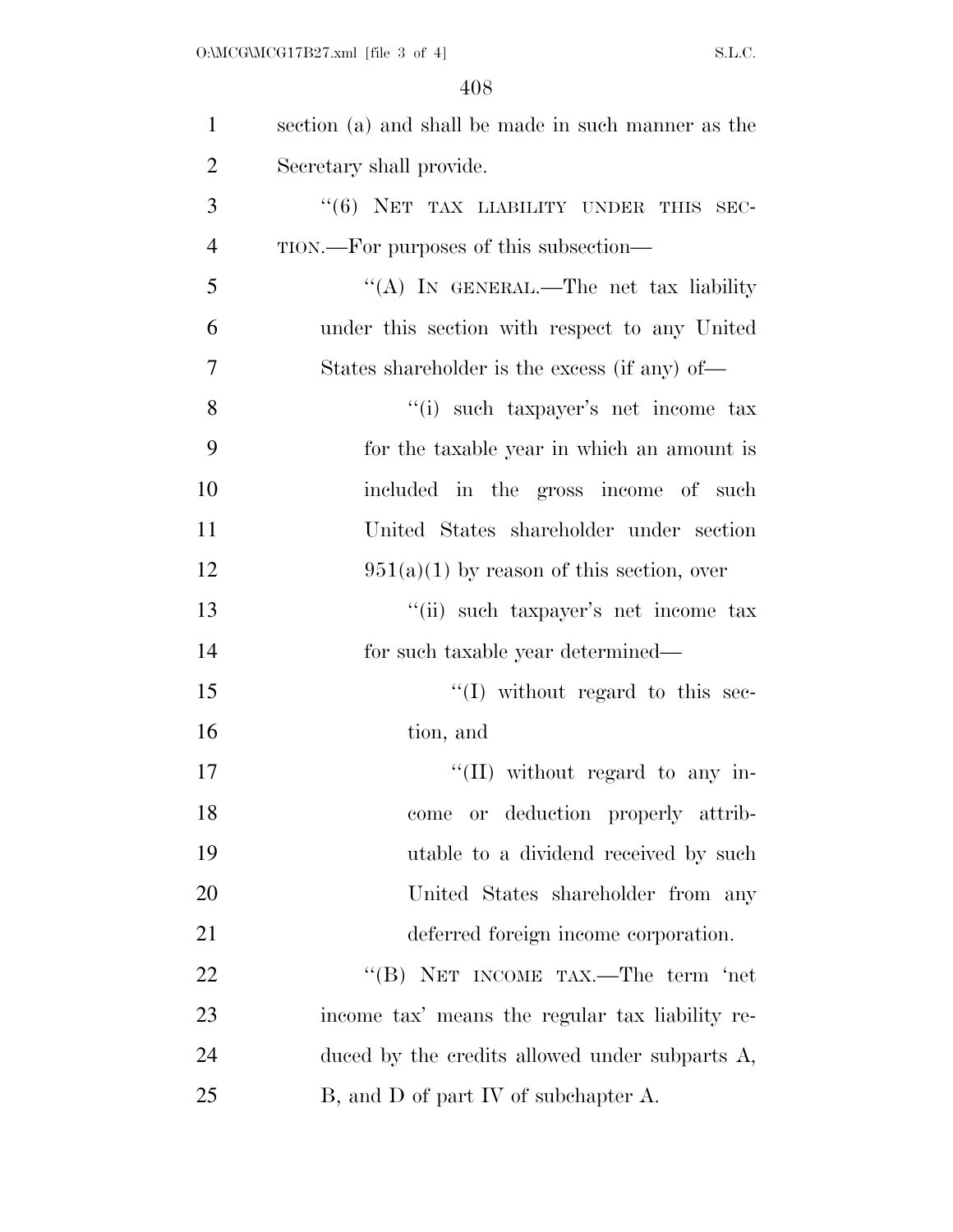| $\mathbf{1}$   | section (a) and shall be made in such manner as the |
|----------------|-----------------------------------------------------|
| $\overline{2}$ | Secretary shall provide.                            |
| 3              | "(6) NET TAX LIABILITY UNDER THIS SEC-              |
| $\overline{4}$ | TION.—For purposes of this subsection—              |
| 5              | "(A) IN GENERAL.—The net tax liability              |
| 6              | under this section with respect to any United       |
| 7              | States shareholder is the excess (if any) of—       |
| 8              | "(i) such taxpayer's net income tax                 |
| 9              | for the taxable year in which an amount is          |
| 10             | included in the gross income of such                |
| 11             | United States shareholder under section             |
| 12             | $951(a)(1)$ by reason of this section, over         |
| 13             | "(ii) such taxpayer's net income tax                |
| 14             | for such taxable year determined—                   |
| 15             | "(I) without regard to this sec-                    |
| 16             | tion, and                                           |
| 17             | "(II) without regard to any in-                     |
| 18             | come or deduction properly attrib-                  |
| 19             | utable to a dividend received by such               |
| 20             | United States shareholder from any                  |
| 21             | deferred foreign income corporation.                |
| 22             | "(B) NET INCOME TAX.—The term 'net                  |
| 23             | income tax' means the regular tax liability re-     |
| 24             | duced by the credits allowed under subparts A,      |
| 25             | B, and D of part IV of subchapter A.                |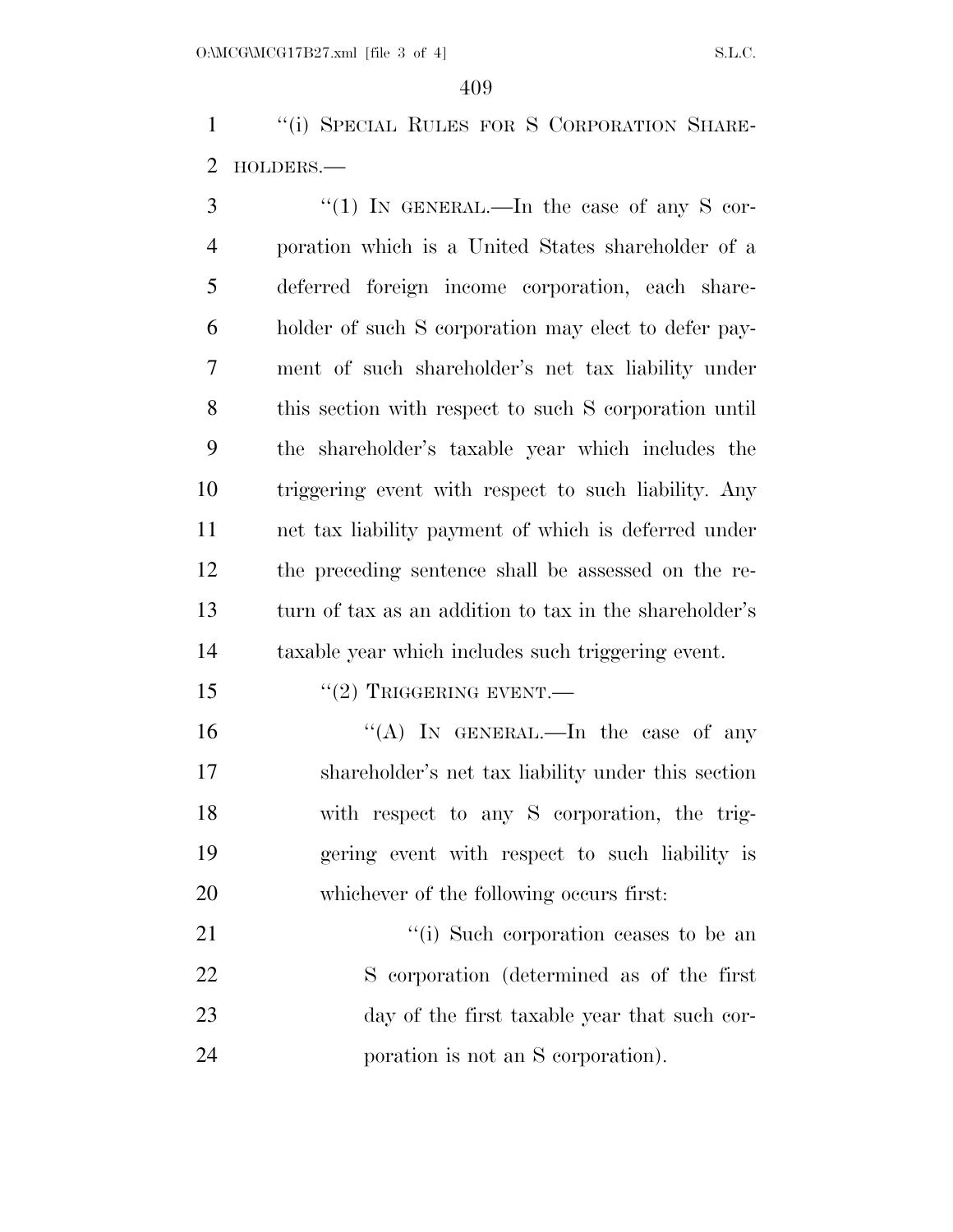''(i) SPECIAL RULES FOR S CORPORATION SHARE-HOLDERS.—

 ''(1) In GENERAL.—In the case of any S cor- poration which is a United States shareholder of a deferred foreign income corporation, each share- holder of such S corporation may elect to defer pay- ment of such shareholder's net tax liability under this section with respect to such S corporation until the shareholder's taxable year which includes the triggering event with respect to such liability. Any net tax liability payment of which is deferred under the preceding sentence shall be assessed on the re- turn of tax as an addition to tax in the shareholder's taxable year which includes such triggering event.

15 "(2) TRIGGERING EVENT.—

 $((A)$  In GENERAL.—In the case of any shareholder's net tax liability under this section with respect to any S corporation, the trig- gering event with respect to such liability is whichever of the following occurs first:

 $\frac{1}{2}$  (i) Such corporation ceases to be an S corporation (determined as of the first day of the first taxable year that such cor-poration is not an S corporation).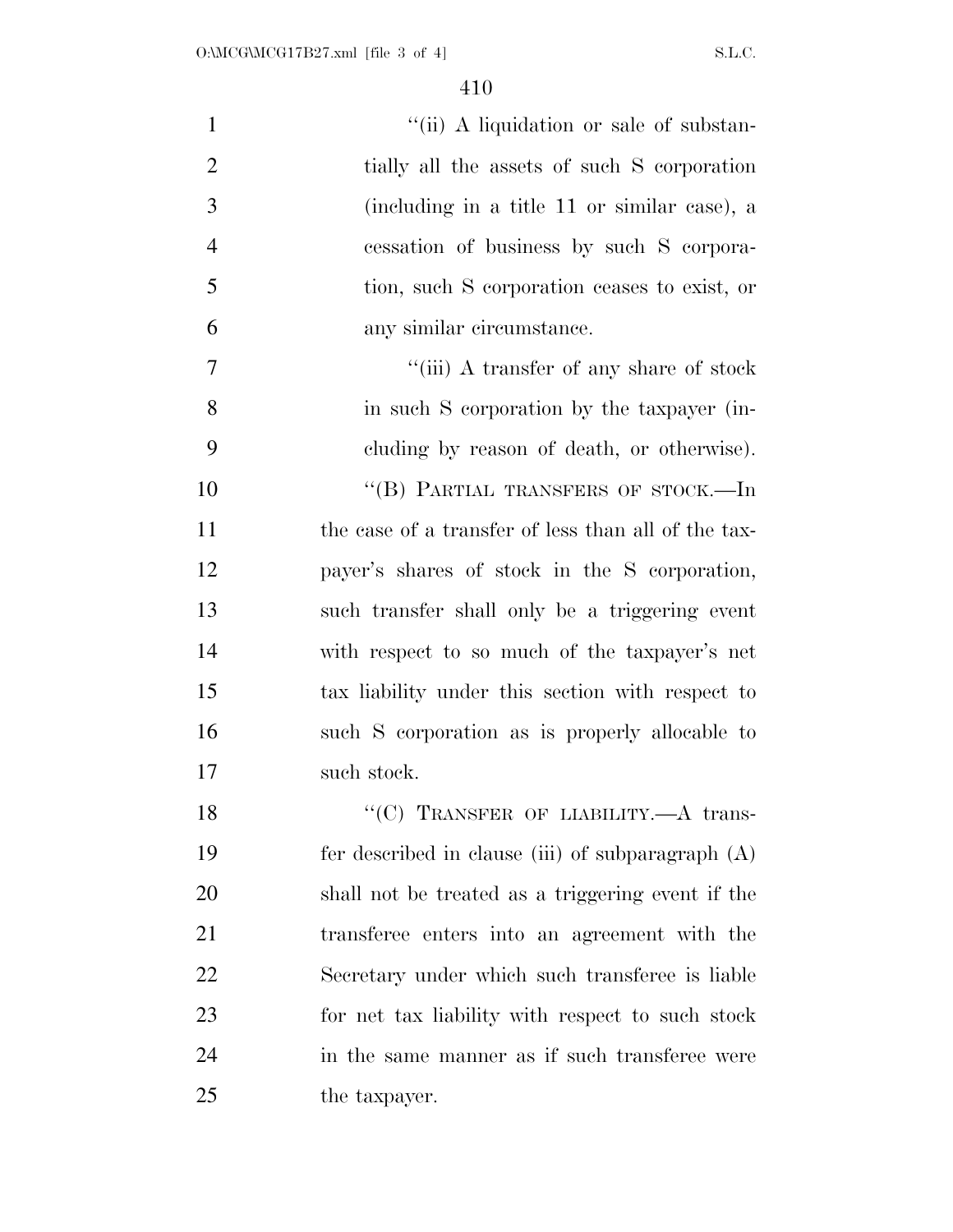| $\mathbf{1}$   | "(ii) A liquidation or sale of substan-             |
|----------------|-----------------------------------------------------|
| $\overline{2}$ | tially all the assets of such S corporation         |
| 3              | (including in a title 11 or similar case), a        |
| $\overline{4}$ | cessation of business by such S corpora-            |
| 5              | tion, such S corporation ceases to exist, or        |
| 6              | any similar circumstance.                           |
| 7              | "(iii) A transfer of any share of stock             |
| 8              | in such S corporation by the taxpayer (in-          |
| 9              | cluding by reason of death, or otherwise).          |
| 10             | "(B) PARTIAL TRANSFERS OF STOCK.—In                 |
| 11             | the case of a transfer of less than all of the tax- |
| 12             | payer's shares of stock in the S corporation,       |
| 13             | such transfer shall only be a triggering event      |
| 14             | with respect to so much of the taxpayer's net       |
| 15             | tax liability under this section with respect to    |
| 16             | such S corporation as is properly allocable to      |
| 17             | such stock.                                         |
| 18             | "(C) TRANSFER OF LIABILITY. $-A$ trans-             |
| 19             | fer described in clause (iii) of subparagraph $(A)$ |
| 20             | shall not be treated as a triggering event if the   |
| 21             | transferee enters into an agreement with the        |
| 22             | Secretary under which such transferee is liable     |
| 23             | for net tax liability with respect to such stock    |
| 24             | in the same manner as if such transferee were       |
| 25             | the taxpayer.                                       |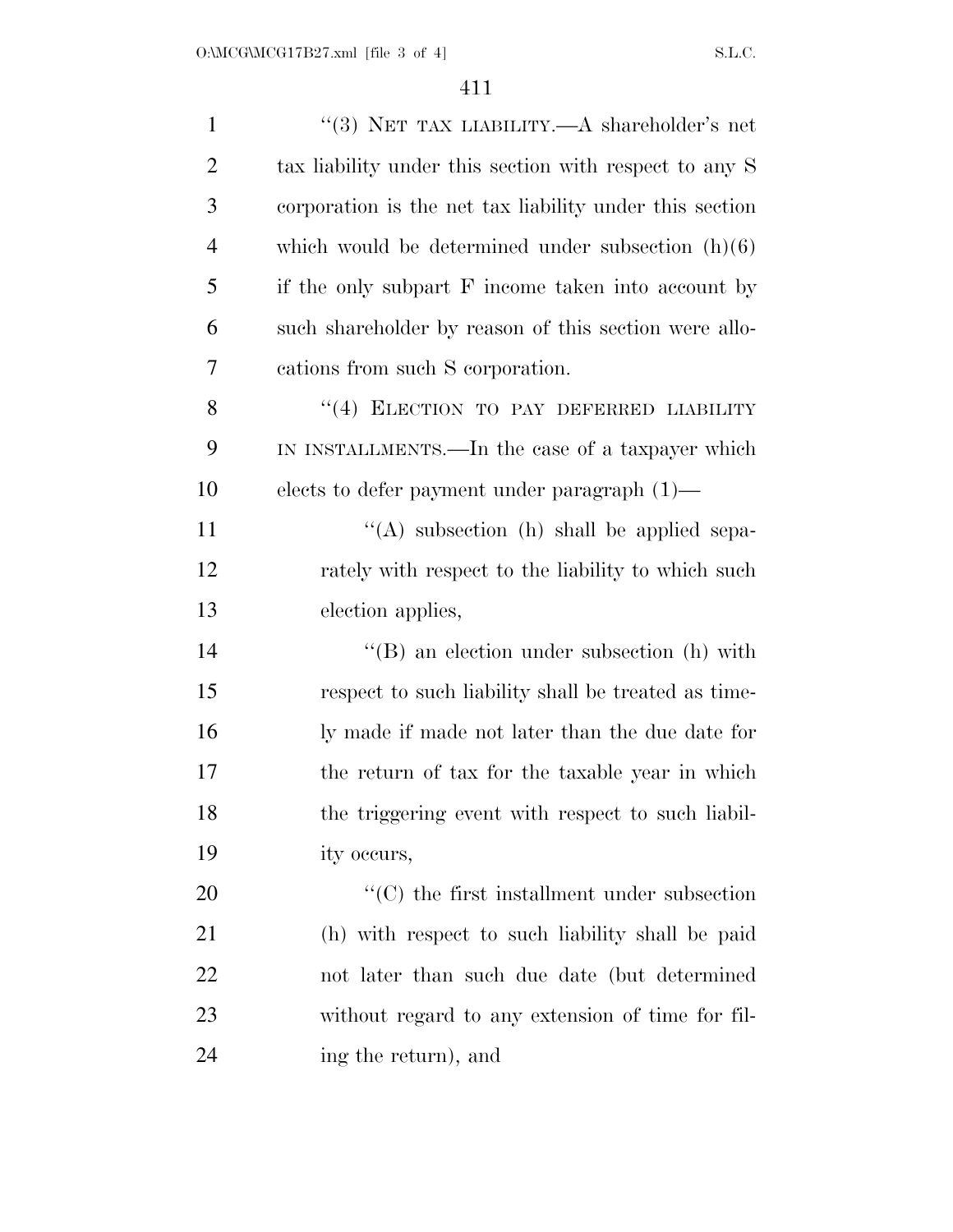| $\mathbf{1}$   | "(3) NET TAX LIABILITY.—A shareholder's net             |
|----------------|---------------------------------------------------------|
| $\overline{2}$ | tax liability under this section with respect to any S  |
| 3              | corporation is the net tax liability under this section |
| $\overline{4}$ | which would be determined under subsection $(h)(6)$     |
| 5              | if the only subpart F income taken into account by      |
| 6              | such shareholder by reason of this section were allo-   |
| 7              | cations from such S corporation.                        |
| 8              | "(4) ELECTION TO PAY DEFERRED LIABILITY                 |
| 9              | IN INSTALLMENTS.—In the case of a taxpayer which        |
| 10             | elects to defer payment under paragraph $(1)$ —         |
| 11             | $\lq\lq$ subsection (h) shall be applied sepa-          |
| 12             | rately with respect to the liability to which such      |
| 13             | election applies,                                       |
| 14             | $\lq\lq$ an election under subsection (h) with          |
| 15             | respect to such liability shall be treated as time-     |
| 16             | ly made if made not later than the due date for         |
| 17             | the return of tax for the taxable year in which         |
| 18             | the triggering event with respect to such liabil-       |
| 19             | ity occurs,                                             |
| 20             | $\cdot$ (C) the first installment under subsection      |
| 21             | (h) with respect to such liability shall be paid        |
| 22             | not later than such due date (but determined            |
| 23             | without regard to any extension of time for fil-        |
| 24             | ing the return), and                                    |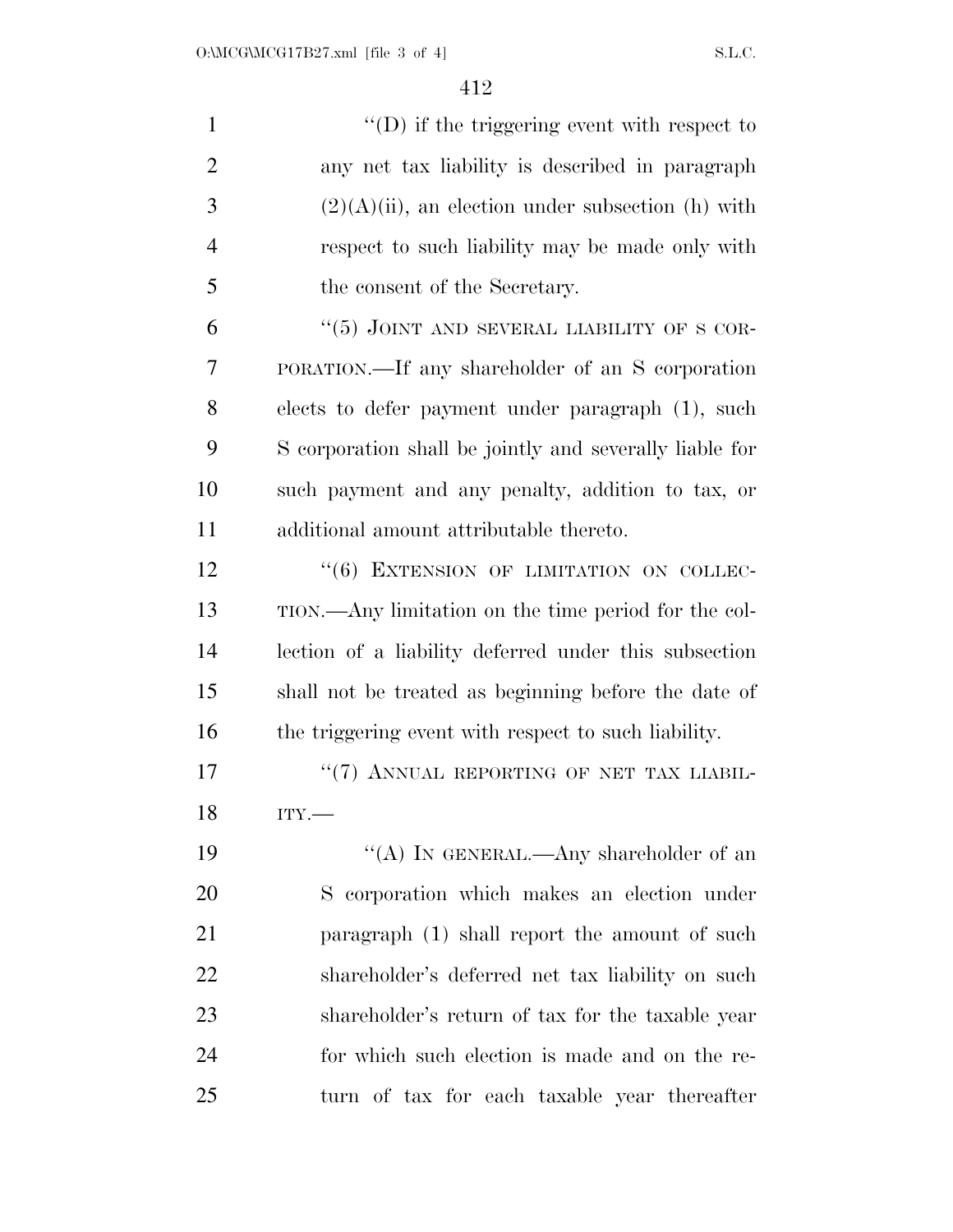| $\mathbf{1}$   | $\lq\lq$ (D) if the triggering event with respect to    |
|----------------|---------------------------------------------------------|
| $\overline{2}$ | any net tax liability is described in paragraph         |
| 3              | $(2)(A)(ii)$ , an election under subsection (h) with    |
| $\overline{4}$ | respect to such liability may be made only with         |
| 5              | the consent of the Secretary.                           |
| 6              | " $(5)$ JOINT AND SEVERAL LIABILITY OF S COR-           |
| 7              | PORATION.—If any shareholder of an S corporation        |
| 8              | elects to defer payment under paragraph (1), such       |
| 9              | S corporation shall be jointly and severally liable for |
| 10             | such payment and any penalty, addition to tax, or       |
| 11             | additional amount attributable thereto.                 |
| 12             | "(6) EXTENSION OF LIMITATION ON COLLEC-                 |
| 13             | TION.—Any limitation on the time period for the col-    |
| 14             | lection of a liability deferred under this subsection   |
| 15             | shall not be treated as beginning before the date of    |
| 16             | the triggering event with respect to such liability.    |
| 17             | "(7) ANNUAL REPORTING OF NET TAX LIABIL-                |
| 18             | ITY.                                                    |
| 19             | "(A) IN GENERAL.—Any shareholder of an                  |
| 20             | S corporation which makes an election under             |
| 21             | paragraph (1) shall report the amount of such           |
| 22             | shareholder's deferred net tax liability on such        |
| 23             | shareholder's return of tax for the taxable year        |
| 24             | for which such election is made and on the re-          |
| 25             | turn of tax for each taxable year thereafter            |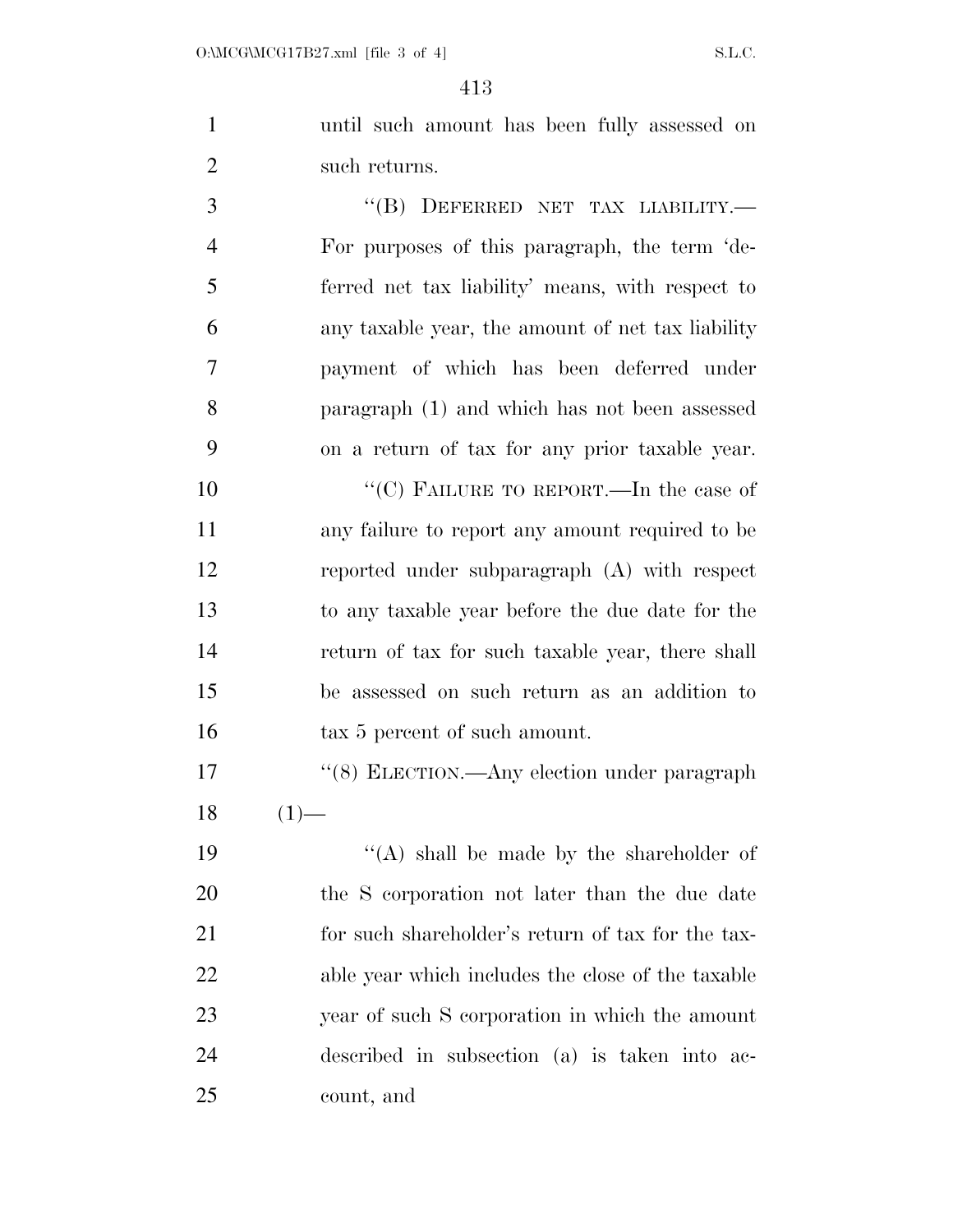until such amount has been fully assessed on such returns.

3 "(B) DEFERRED NET TAX LIABILITY.— For purposes of this paragraph, the term 'de- ferred net tax liability' means, with respect to any taxable year, the amount of net tax liability payment of which has been deferred under paragraph (1) and which has not been assessed on a return of tax for any prior taxable year.

10 "'(C) FAILURE TO REPORT.—In the case of any failure to report any amount required to be reported under subparagraph (A) with respect to any taxable year before the due date for the return of tax for such taxable year, there shall be assessed on such return as an addition to 16 tax 5 percent of such amount.

17 "(8) ELECTION.—Any election under paragraph  $18 \t(1)$ —

 $((A)$  shall be made by the shareholder of the S corporation not later than the due date for such shareholder's return of tax for the tax- able year which includes the close of the taxable year of such S corporation in which the amount described in subsection (a) is taken into ac-count, and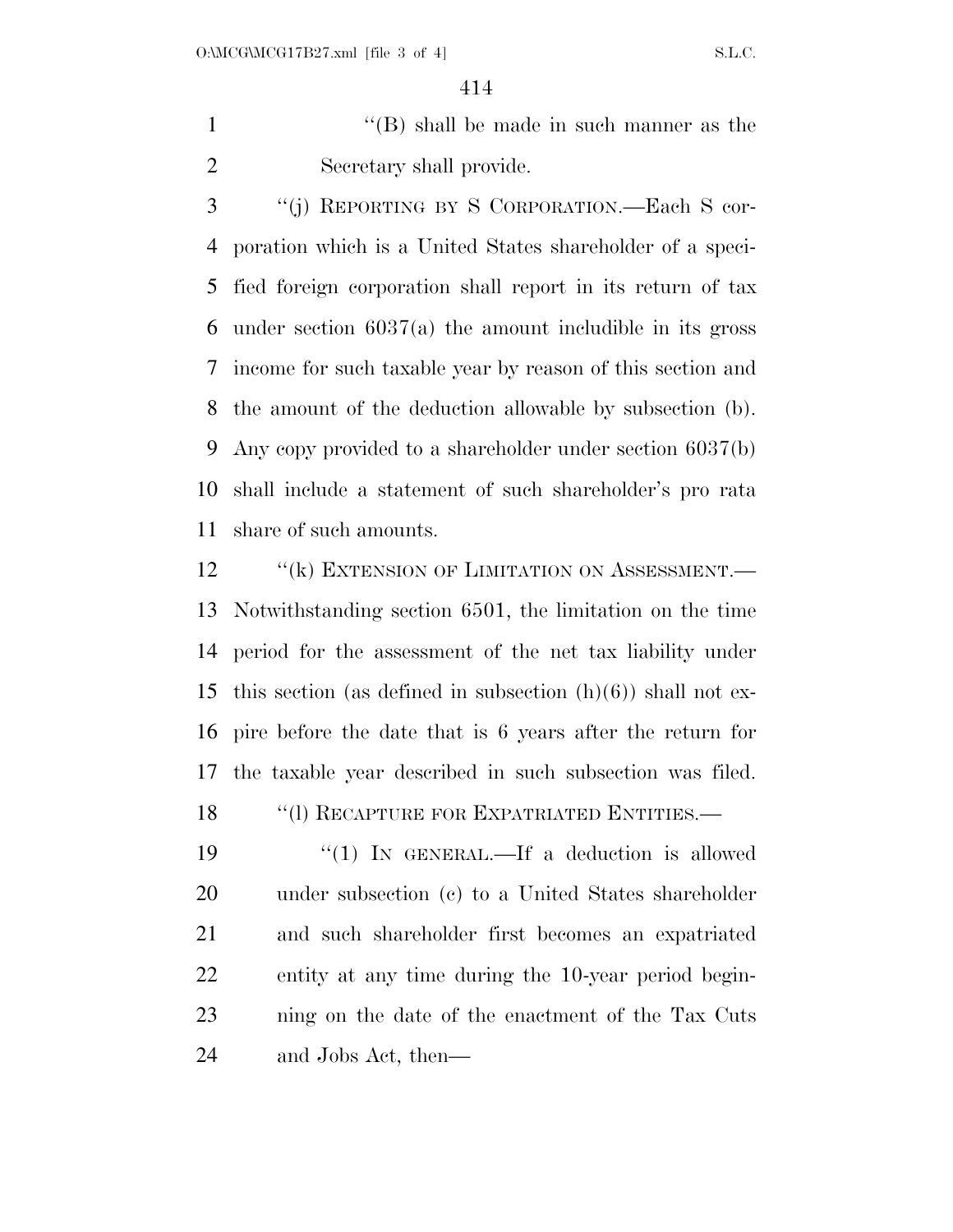1 ''(B) shall be made in such manner as the Secretary shall provide.

 ''(j) REPORTING BY S CORPORATION.—Each S cor- poration which is a United States shareholder of a speci- fied foreign corporation shall report in its return of tax under section 6037(a) the amount includible in its gross income for such taxable year by reason of this section and the amount of the deduction allowable by subsection (b). Any copy provided to a shareholder under section 6037(b) shall include a statement of such shareholder's pro rata share of such amounts.

12 "(k) EXTENSION OF LIMITATION ON ASSESSMENT.— Notwithstanding section 6501, the limitation on the time period for the assessment of the net tax liability under 15 this section (as defined in subsection  $(h)(6)$ ) shall not ex- pire before the date that is 6 years after the return for the taxable year described in such subsection was filed.

18 "(1) RECAPTURE FOR EXPATRIATED ENTITIES.—

19 "(1) IN GENERAL.—If a deduction is allowed under subsection (c) to a United States shareholder and such shareholder first becomes an expatriated entity at any time during the 10-year period begin- ning on the date of the enactment of the Tax Cuts and Jobs Act, then—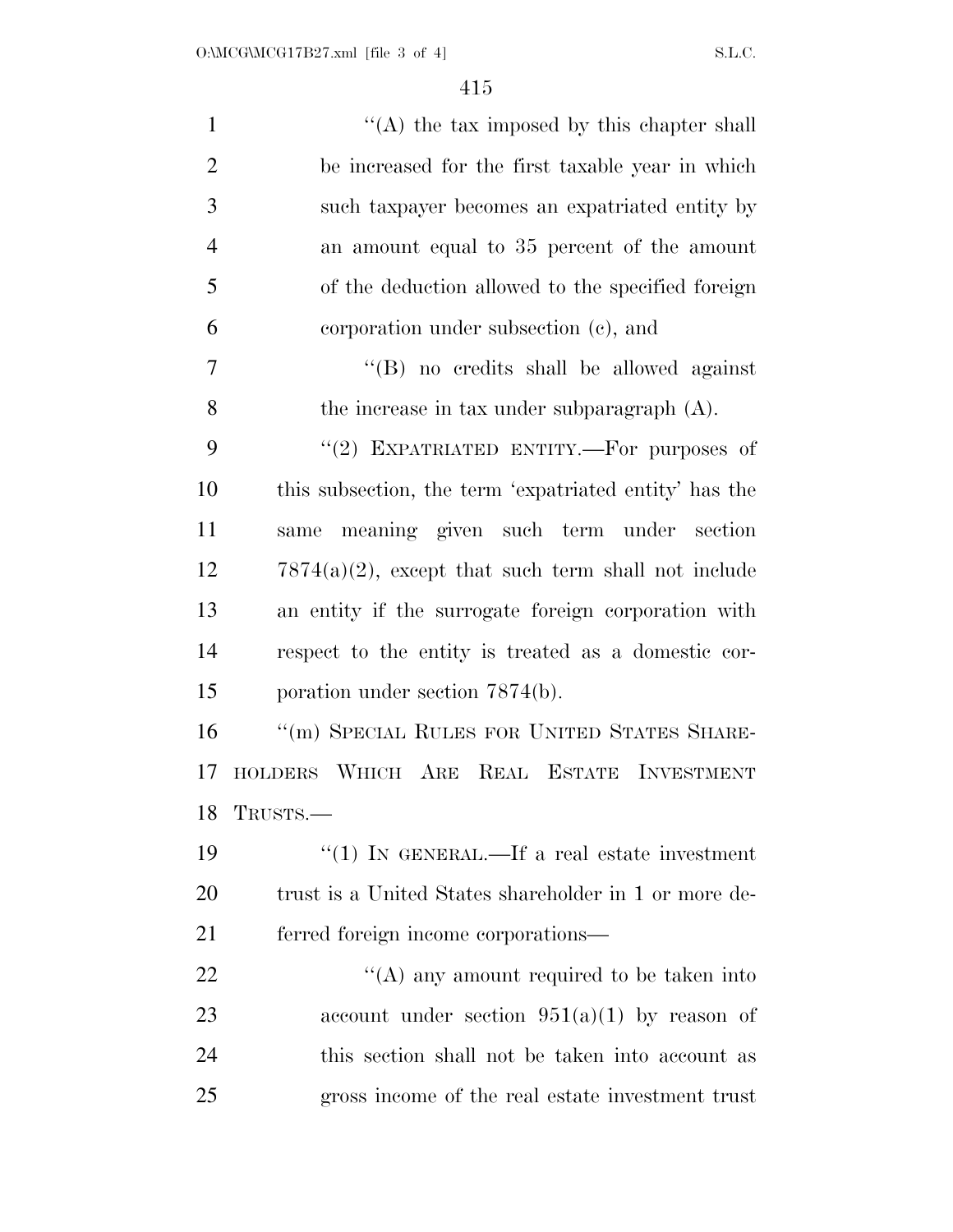| $\mathbf{1}$   | $\lq\lq$ the tax imposed by this chapter shall         |
|----------------|--------------------------------------------------------|
| $\overline{2}$ | be increased for the first taxable year in which       |
| 3              | such taxpayer becomes an expatriated entity by         |
| $\overline{4}$ | an amount equal to 35 percent of the amount            |
| 5              | of the deduction allowed to the specified foreign      |
| 6              | corporation under subsection (c), and                  |
| $\overline{7}$ | "(B) no credits shall be allowed against               |
| 8              | the increase in tax under subparagraph $(A)$ .         |
| 9              | "(2) EXPATRIATED ENTITY.—For purposes of               |
| 10             | this subsection, the term 'expatriated entity' has the |
| 11             | meaning given such term under section<br>same          |
| 12             | $7874(a)(2)$ , except that such term shall not include |
| 13             | an entity if the surrogate foreign corporation with    |
| 14             | respect to the entity is treated as a domestic cor-    |
| 15             | poration under section 7874(b).                        |
| 16             | "(m) SPECIAL RULES FOR UNITED STATES SHARE-            |
| 17             | HOLDERS WHICH ARE REAL ESTATE INVESTMENT               |
| 18             | TRUSTS.-                                               |
| 19             | "(1) IN GENERAL.—If a real estate investment           |
| 20             | trust is a United States shareholder in 1 or more de-  |
| 21             | ferred foreign income corporations—                    |
| <u>22</u>      | $\lq\lq$ any amount required to be taken into          |
| 23             | account under section $951(a)(1)$ by reason of         |
| 24             | this section shall not be taken into account as        |
| 25             | gross income of the real estate investment trust       |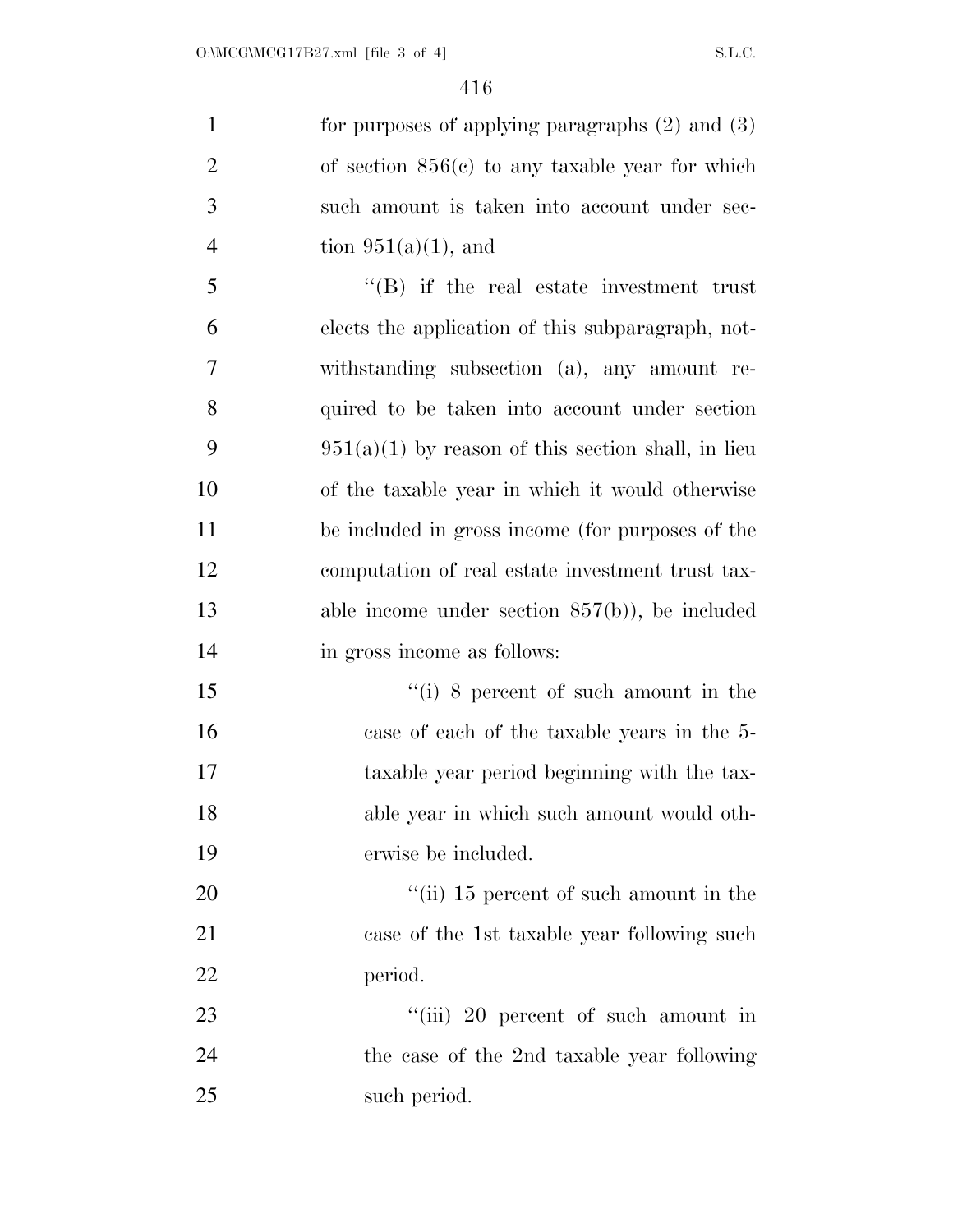for purposes of applying paragraphs (2) and (3) of section 856(c) to any taxable year for which such amount is taken into account under sec-4 tion  $951(a)(1)$ , and ''(B) if the real estate investment trust elects the application of this subparagraph, not- withstanding subsection (a), any amount re- quired to be taken into account under section 9 951(a)(1) by reason of this section shall, in lieu of the taxable year in which it would otherwise be included in gross income (for purposes of the computation of real estate investment trust tax- able income under section 857(b)), be included in gross income as follows: ''(i) 8 percent of such amount in the case of each of the taxable years in the 5- taxable year period beginning with the tax- able year in which such amount would oth- erwise be included.  $\frac{1}{2}$  (ii) 15 percent of such amount in the case of the 1st taxable year following such

period.

23 ''(iii) 20 percent of such amount in the case of the 2nd taxable year following such period.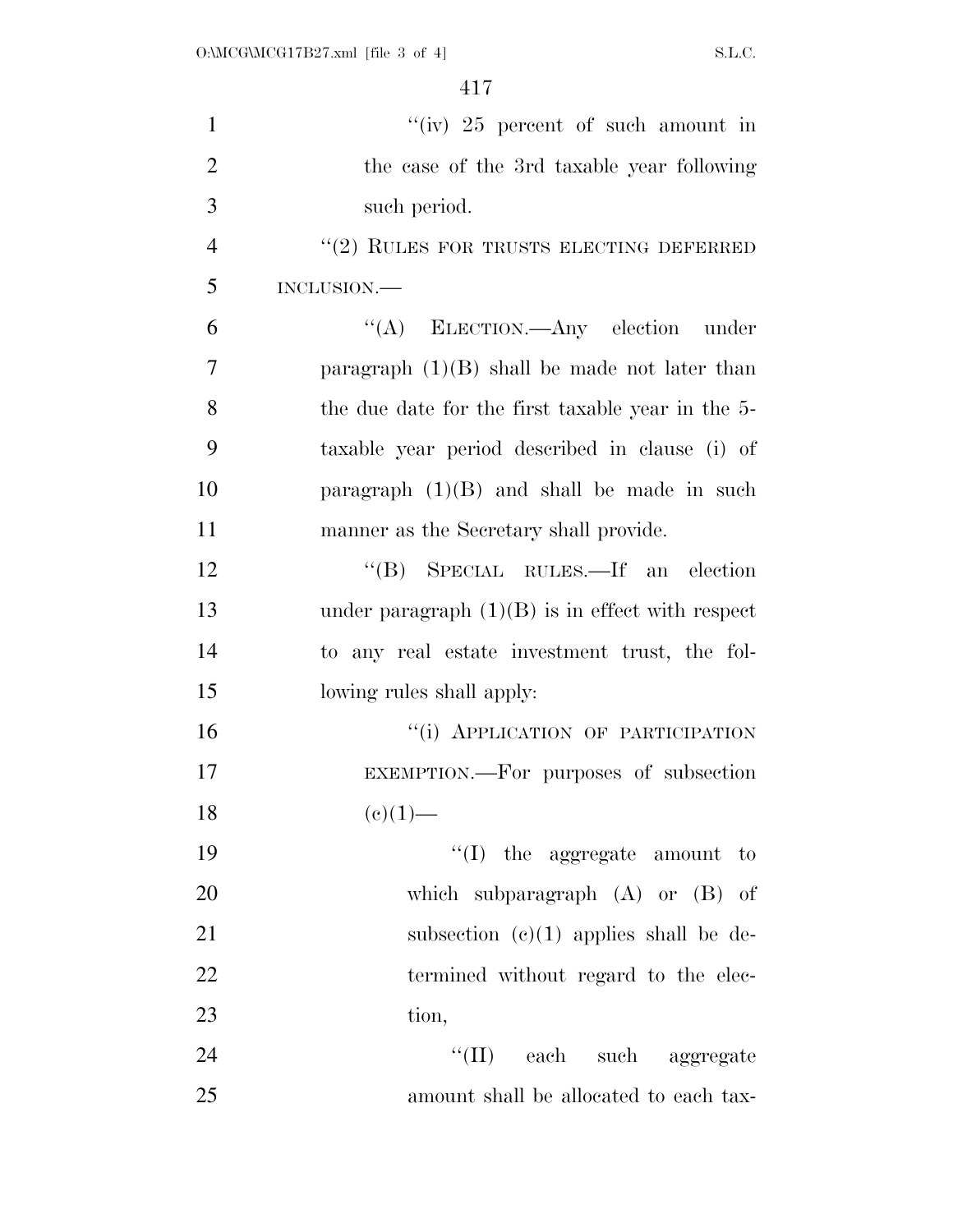| $\mathbf{1}$   | "(iv) $25$ percent of such amount in               |
|----------------|----------------------------------------------------|
| $\overline{2}$ | the case of the 3rd taxable year following         |
| 3              | such period.                                       |
| $\overline{4}$ | $\lq(2)$ RULES FOR TRUSTS ELECTING DEFERRED        |
| 5              | INCLUSION.                                         |
| 6              | "(A) ELECTION.—Any election under                  |
| 7              | paragraph $(1)(B)$ shall be made not later than    |
| 8              | the due date for the first taxable year in the 5-  |
| 9              | taxable year period described in clause (i) of     |
| 10             | paragraph $(1)(B)$ and shall be made in such       |
| 11             | manner as the Secretary shall provide.             |
| 12             | "(B) SPECIAL RULES.—If an election                 |
| 13             | under paragraph $(1)(B)$ is in effect with respect |
| 14             | to any real estate investment trust, the fol-      |
| 15             | lowing rules shall apply:                          |
| 16             | "(i) APPLICATION OF PARTICIPATION                  |
| 17             | EXEMPTION.--- For purposes of subsection           |
| 18             | $(e)(1)$ —                                         |
| 19             | $\lq\lq$ (I) the aggregate amount to               |
| 20             | which subparagraph $(A)$ or $(B)$ of               |
| 21             | subsection $(c)(1)$ applies shall be de-           |
| 22             | termined without regard to the elec-               |
| 23             | tion,                                              |
| 24             | "(II) each such aggregate                          |
| 25             | amount shall be allocated to each tax-             |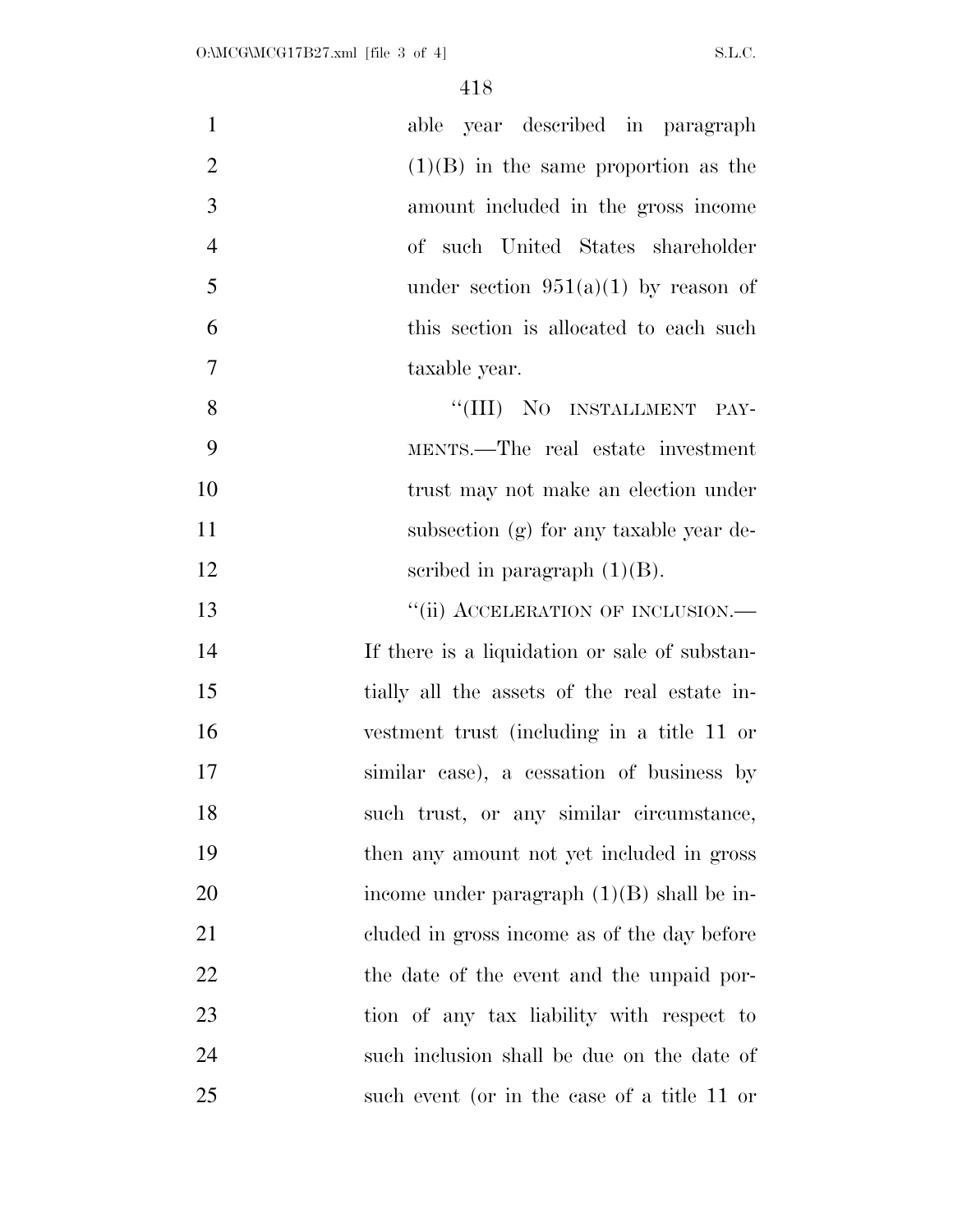| $\mathbf{1}$   | able year described in paragraph              |
|----------------|-----------------------------------------------|
| $\overline{2}$ | $(1)(B)$ in the same proportion as the        |
| 3              | amount included in the gross income           |
| $\overline{4}$ | of such United States shareholder             |
| 5              | under section $951(a)(1)$ by reason of        |
| 6              | this section is allocated to each such        |
| $\overline{7}$ | taxable year.                                 |
| 8              | "(III) NO INSTALLMENT PAY-                    |
| 9              | MENTS.—The real estate investment             |
| 10             | trust may not make an election under          |
| 11             | subsection (g) for any taxable year de-       |
| 12             | scribed in paragraph $(1)(B)$ .               |
| 13             | "(ii) ACCELERATION OF INCLUSION.—             |
| 14             | If there is a liquidation or sale of substan- |
| 15             | tially all the assets of the real estate in-  |
| 16             | vestment trust (including in a title 11 or    |
| 17             | similar case), a cessation of business by     |
| 18             | such trust, or any similar circumstance,      |
| 19             | then any amount not yet included in gross     |
| 20             | income under paragraph $(1)(B)$ shall be in-  |
| 21             | cluded in gross income as of the day before   |
| 22             | the date of the event and the unpaid por-     |
| 23             | tion of any tax liability with respect to     |
| 24             | such inclusion shall be due on the date of    |
| 25             | such event (or in the case of a title 11 or   |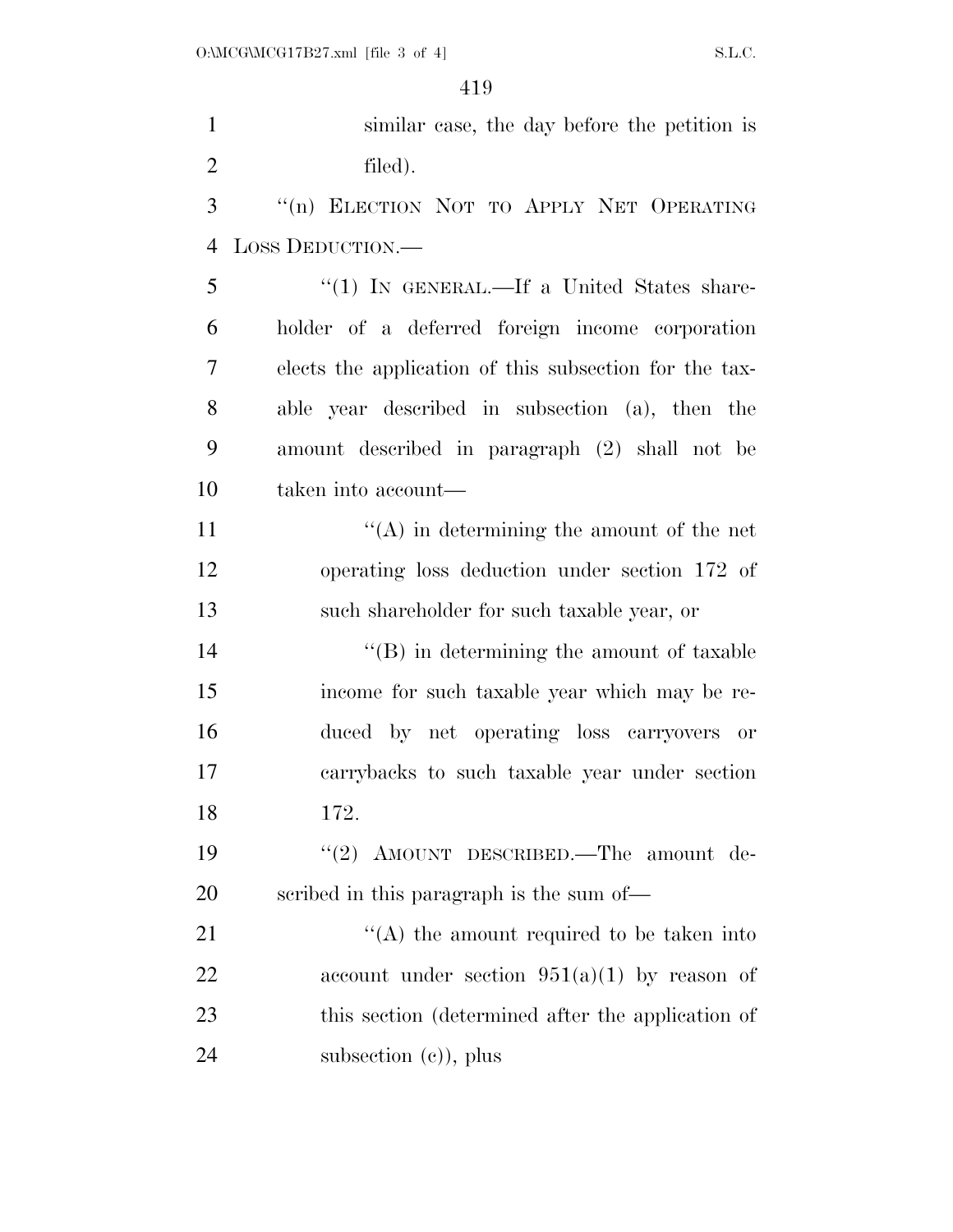| $\mathbf{1}$   | similar case, the day before the petition is           |
|----------------|--------------------------------------------------------|
| $\overline{2}$ | filed).                                                |
| 3              | "(n) ELECTION NOT TO APPLY NET OPERATING               |
| $\overline{4}$ | LOSS DEDUCTION.-                                       |
| 5              | "(1) IN GENERAL.—If a United States share-             |
| 6              | holder of a deferred foreign income corporation        |
| 7              | elects the application of this subsection for the tax- |
| 8              | able year described in subsection (a), then the        |
| 9              | amount described in paragraph (2) shall not be         |
| 10             | taken into account—                                    |
| 11             | $\lq\lq$ in determining the amount of the net          |
| 12             | operating loss deduction under section 172 of          |
| 13             | such shareholder for such taxable year, or             |
| 14             | $\lq\lq (B)$ in determining the amount of taxable      |
| 15             | income for such taxable year which may be re-          |
| 16             | duced by net operating loss carryovers or              |
| 17             | carrybacks to such taxable year under section          |
| 18             | 172.                                                   |
| 19             | "(2) AMOUNT DESCRIBED.—The amount de-                  |
| 20             | scribed in this paragraph is the sum of—               |
| 21             | $\lq\lq$ the amount required to be taken into          |
| 22             | account under section $951(a)(1)$ by reason of         |
| 23             | this section (determined after the application of      |
| 24             | subsection $(e)$ , plus                                |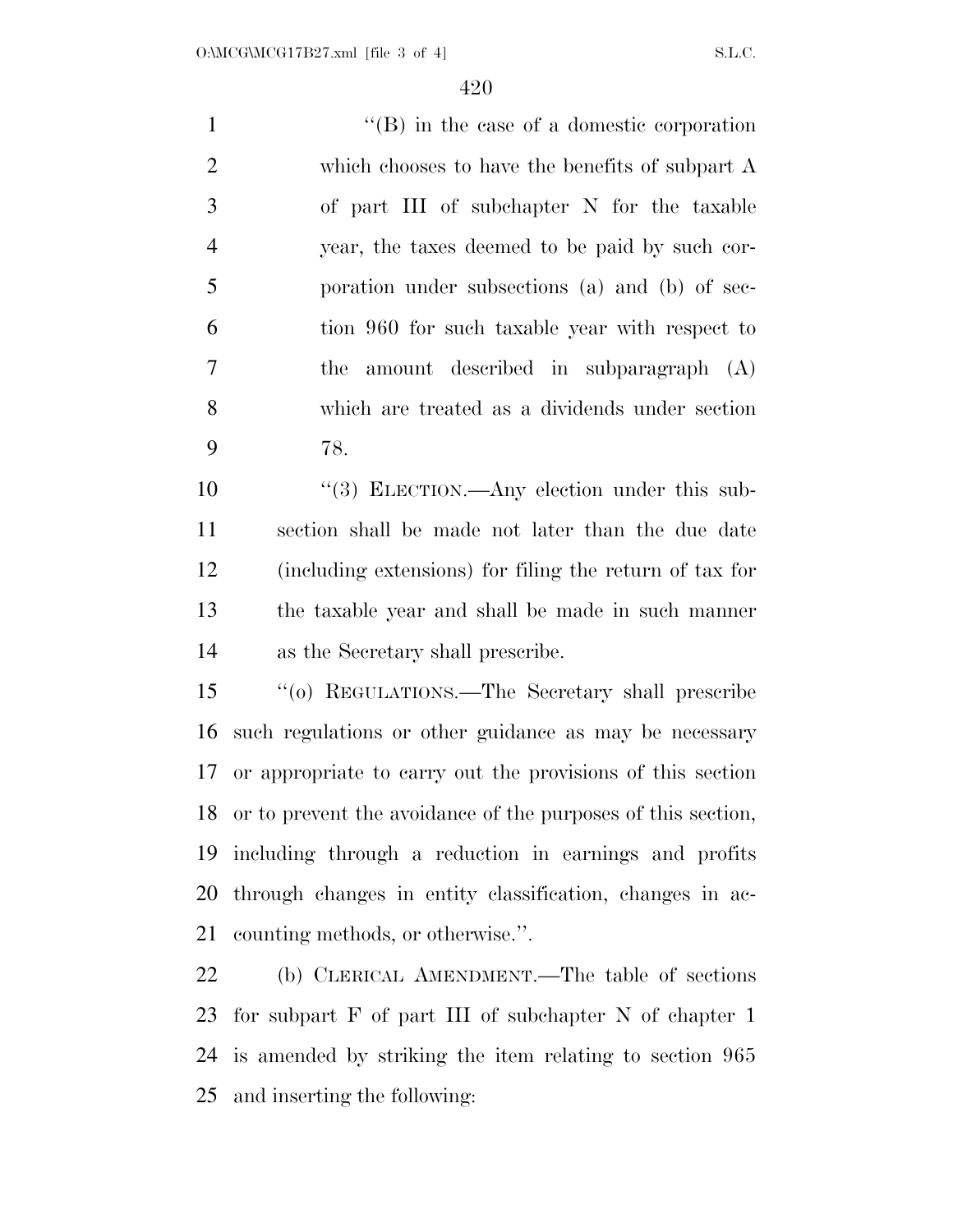1 ''(B) in the case of a domestic corporation which chooses to have the benefits of subpart A of part III of subchapter N for the taxable year, the taxes deemed to be paid by such cor- poration under subsections (a) and (b) of sec- tion 960 for such taxable year with respect to the amount described in subparagraph (A) which are treated as a dividends under section 78.

 $\frac{10}{3}$  ELECTION.—Any election under this sub- section shall be made not later than the due date (including extensions) for filing the return of tax for the taxable year and shall be made in such manner as the Secretary shall prescribe.

 ''(o) REGULATIONS.—The Secretary shall prescribe such regulations or other guidance as may be necessary or appropriate to carry out the provisions of this section or to prevent the avoidance of the purposes of this section, including through a reduction in earnings and profits through changes in entity classification, changes in ac-counting methods, or otherwise.''.

 (b) CLERICAL AMENDMENT.—The table of sections for subpart F of part III of subchapter N of chapter 1 is amended by striking the item relating to section 965 and inserting the following: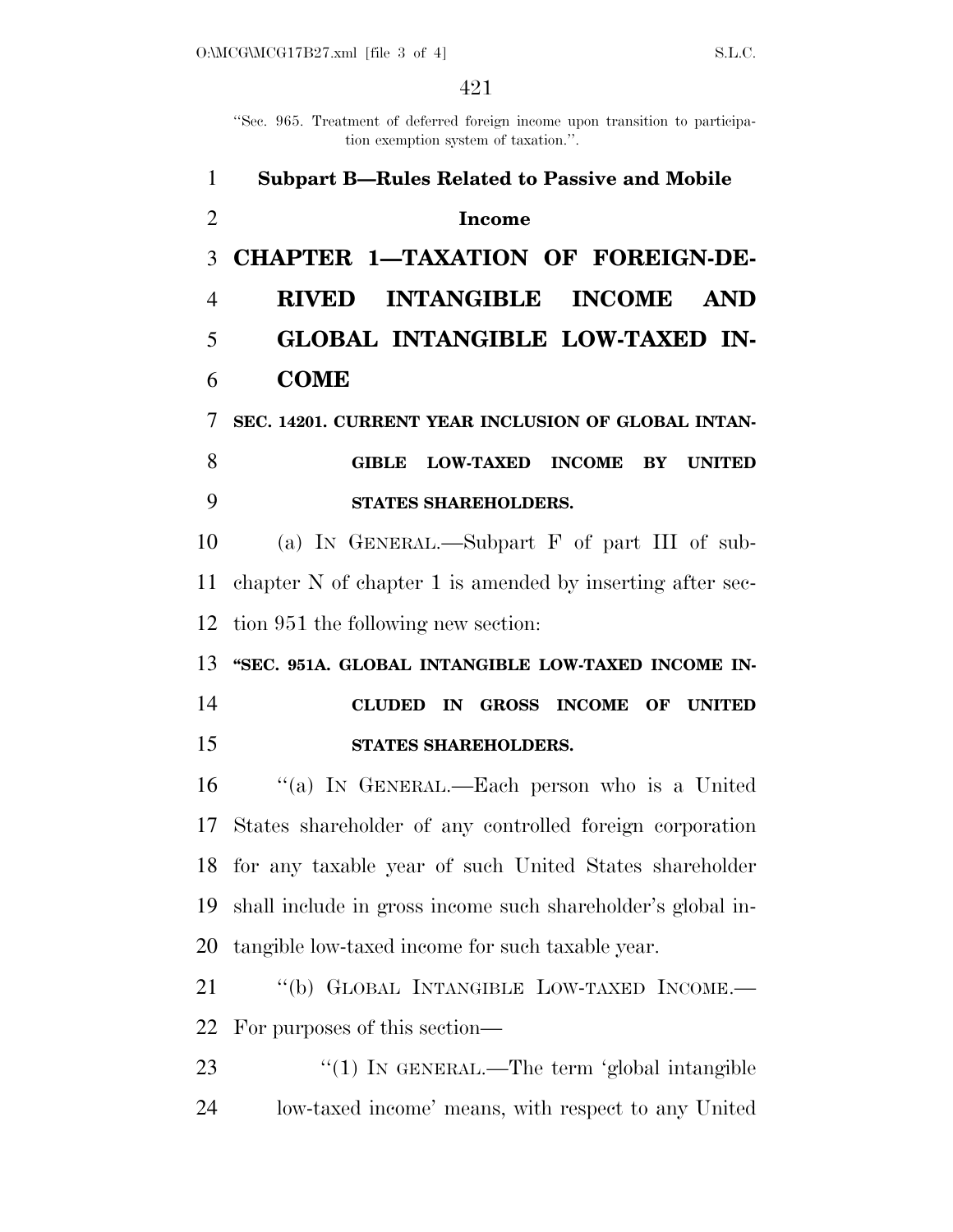''Sec. 965. Treatment of deferred foreign income upon transition to participation exemption system of taxation.''.

| $\mathbf{1}$   | <b>Subpart B-Rules Related to Passive and Mobile</b>             |
|----------------|------------------------------------------------------------------|
| $\overline{2}$ | <b>Income</b>                                                    |
| 3              | CHAPTER 1-TAXATION OF FOREIGN-DE-                                |
| $\overline{4}$ | <b>INTANGIBLE</b><br><b>INCOME</b><br><b>RIVED</b><br><b>AND</b> |
| 5              | GLOBAL INTANGIBLE LOW-TAXED IN-                                  |
| 6              | <b>COME</b>                                                      |
| 7              | SEC. 14201. CURRENT YEAR INCLUSION OF GLOBAL INTAN-              |
| 8              | <b>LOW-TAXED INCOME</b><br>BY UNITED<br><b>GIBLE</b>             |
| 9              | STATES SHAREHOLDERS.                                             |
| 10             | (a) IN GENERAL.—Subpart $F$ of part III of sub-                  |
| 11             | chapter N of chapter 1 is amended by inserting after sec-        |
| 12             | tion 951 the following new section:                              |
|                | 13 "SEC. 951A. GLOBAL INTANGIBLE LOW-TAXED INCOME IN-            |
| 14             | CLUDED IN GROSS INCOME OF UNITED                                 |
| 15             | STATES SHAREHOLDERS.                                             |
| 16             | "(a) IN GENERAL.—Each person who is a United                     |
|                | 17 States shareholder of any controlled foreign corporation      |
|                | 18 for any taxable year of such United States shareholder        |
| 19             | shall include in gross income such shareholder's global in-      |
| 20             | tangible low-taxed income for such taxable year.                 |
| 21             | "(b) GLOBAL INTANGIBLE LOW-TAXED INCOME.-                        |
| 22             | For purposes of this section—                                    |
| 23             | " $(1)$ IN GENERAL.—The term 'global intangible                  |
|                |                                                                  |

low-taxed income' means, with respect to any United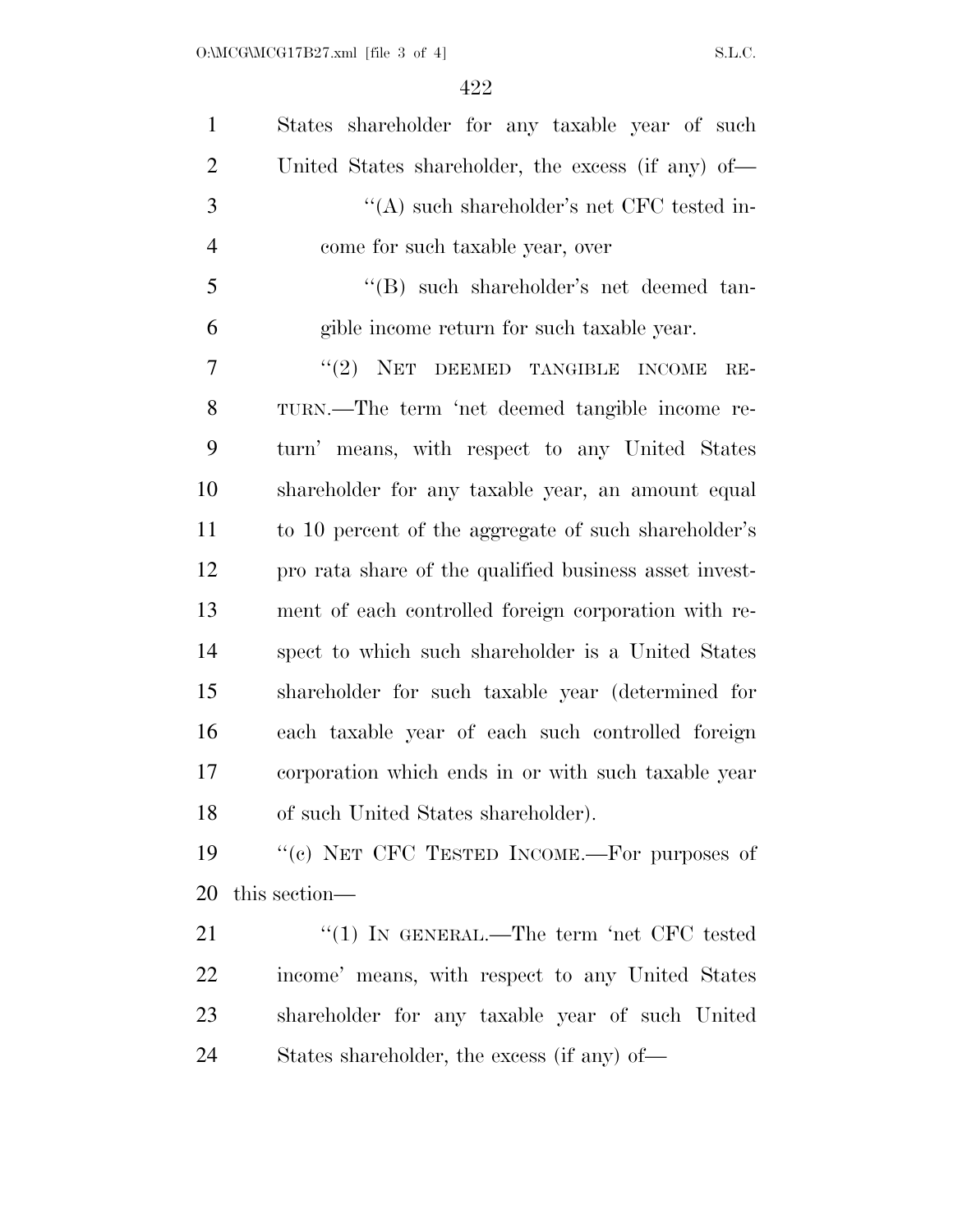| $\mathbf{1}$   | States shareholder for any taxable year of such        |
|----------------|--------------------------------------------------------|
| $\overline{2}$ | United States shareholder, the excess (if any) of—     |
| 3              | "(A) such shareholder's net CFC tested in-             |
| $\overline{4}$ | come for such taxable year, over                       |
| 5              | "(B) such shareholder's net deemed tan-                |
| 6              | gible income return for such taxable year.             |
| 7              | "(2) NET DEEMED TANGIBLE INCOME<br>$RE-$               |
| 8              | TURN.—The term 'net deemed tangible income re-         |
| 9              | turn' means, with respect to any United States         |
| 10             | shareholder for any taxable year, an amount equal      |
| 11             | to 10 percent of the aggregate of such shareholder's   |
| 12             | pro rata share of the qualified business asset invest- |
| 13             | ment of each controlled foreign corporation with re-   |
| 14             | spect to which such shareholder is a United States     |
| 15             | shareholder for such taxable year (determined for      |
| 16             | each taxable year of each such controlled foreign      |
| 17             | corporation which ends in or with such taxable year    |
| 18             | of such United States shareholder).                    |
| 19             | "(c) NET CFC TESTED INCOME.—For purposes of            |
| 20             | this section—                                          |
| 21             | "(1) IN GENERAL.—The term 'net CFC tested              |
| 22             | income' means, with respect to any United States       |
|                |                                                        |

24 States shareholder, the excess (if any) of—

shareholder for any taxable year of such United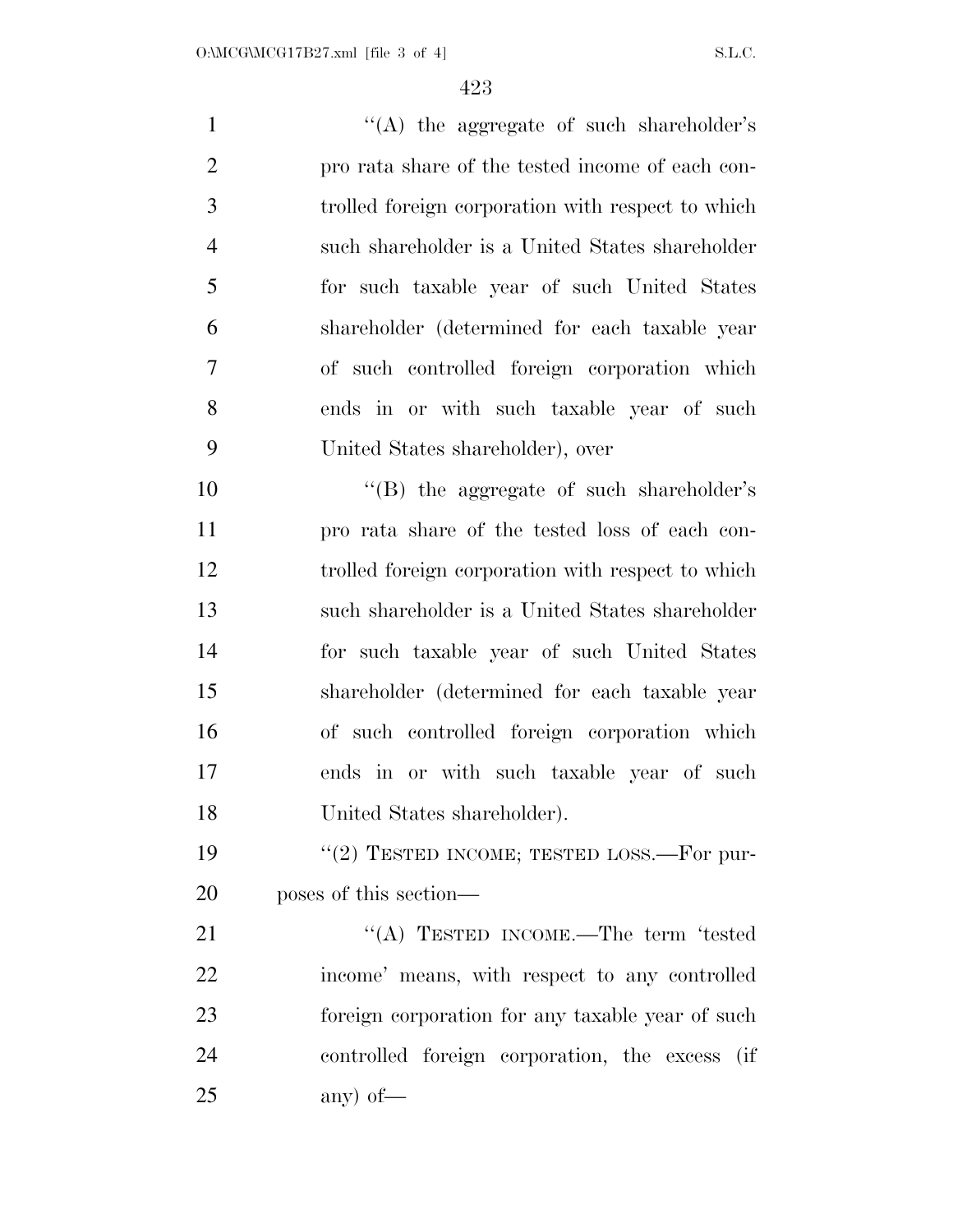1 ''(A) the aggregate of such shareholder's pro rata share of the tested income of each con- trolled foreign corporation with respect to which such shareholder is a United States shareholder for such taxable year of such United States shareholder (determined for each taxable year of such controlled foreign corporation which ends in or with such taxable year of such United States shareholder), over 10 "(B) the aggregate of such shareholder's pro rata share of the tested loss of each con- trolled foreign corporation with respect to which such shareholder is a United States shareholder for such taxable year of such United States shareholder (determined for each taxable year of such controlled foreign corporation which ends in or with such taxable year of such United States shareholder). 19 "(2) TESTED INCOME; TESTED LOSS.—For pur- poses of this section— 21 ""(A) TESTED INCOME.—The term 'tested income' means, with respect to any controlled foreign corporation for any taxable year of such

controlled foreign corporation, the excess (if

any) of—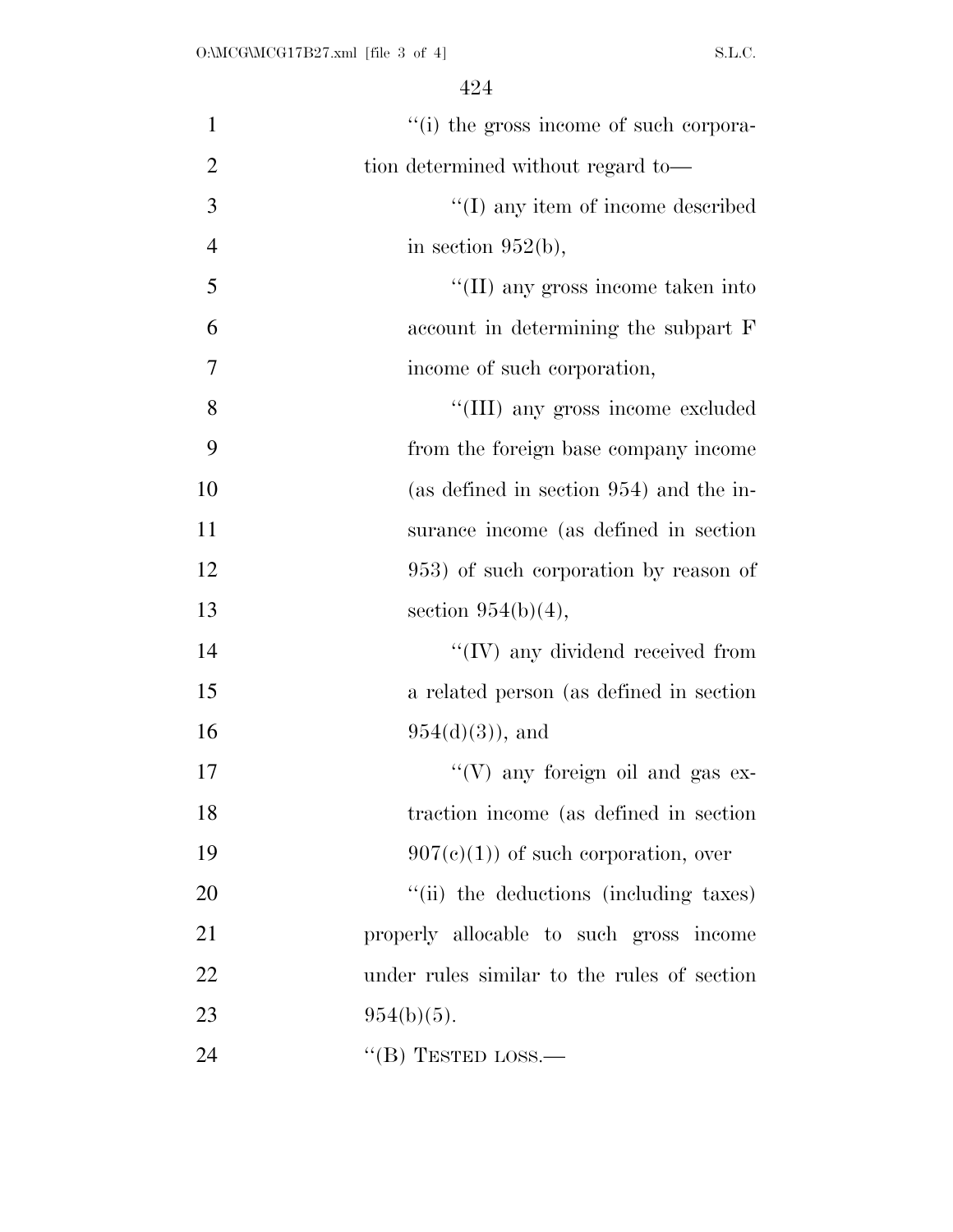| $\mathbf{1}$   | "(i) the gross income of such corpora-      |
|----------------|---------------------------------------------|
| $\overline{2}$ | tion determined without regard to-          |
| 3              | $\lq\lq$ (I) any item of income described   |
| $\overline{4}$ | in section $952(b)$ ,                       |
| 5              | $\lq\lq$ (II) any gross income taken into   |
| 6              | account in determining the subpart F        |
| 7              | income of such corporation,                 |
| 8              | "(III) any gross income excluded            |
| 9              | from the foreign base company income        |
| 10             | (as defined in section 954) and the in-     |
| 11             | surance income (as defined in section)      |
| 12             | 953) of such corporation by reason of       |
| 13             | section $954(b)(4)$ ,                       |
| 14             | $\lq\lq$ (IV) any dividend received from    |
| 15             | a related person (as defined in section)    |
| 16             | $954(d)(3)$ , and                           |
| 17             | "(V) any foreign oil and gas $ex-$          |
| 18             | traction income (as defined in section      |
| 19             | $907(e)(1)$ of such corporation, over       |
| 20             | "(ii) the deductions (including taxes)      |
| 21             | properly allocable to such gross income     |
| 22             | under rules similar to the rules of section |
| 23             | $954(b)(5)$ .                               |
| 24             | "(B) TESTED LOSS.—                          |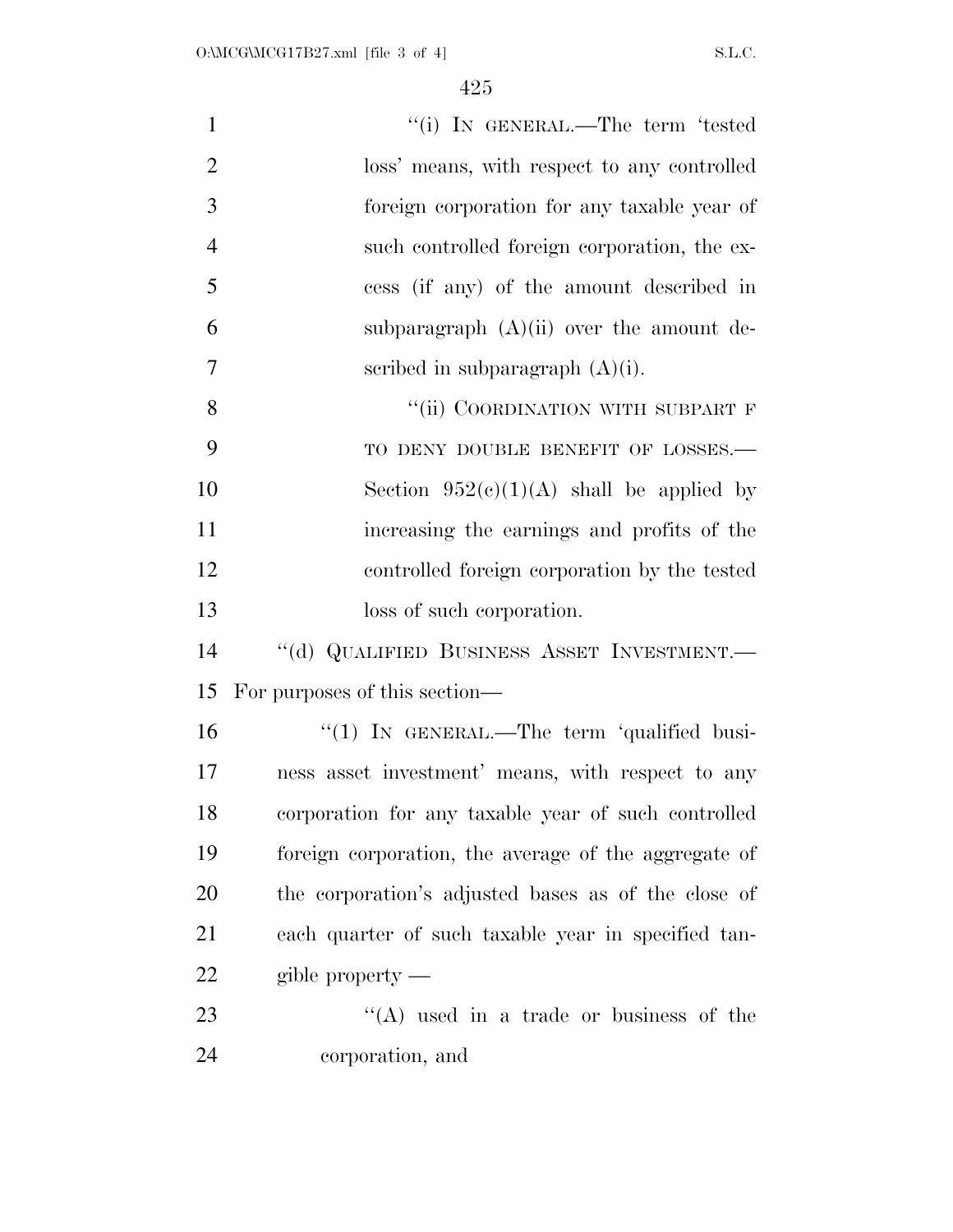| $\mathbf{1}$   | "(i) IN GENERAL.—The term 'tested                    |
|----------------|------------------------------------------------------|
| $\overline{2}$ | loss' means, with respect to any controlled          |
| 3              | foreign corporation for any taxable year of          |
| $\overline{4}$ | such controlled foreign corporation, the ex-         |
| 5              | cess (if any) of the amount described in             |
| 6              | subparagraph $(A)(ii)$ over the amount de-           |
| $\overline{7}$ | scribed in subparagraph $(A)(i)$ .                   |
| 8              | "(ii) COORDINATION WITH SUBPART F                    |
| 9              | TO DENY DOUBLE BENEFIT OF LOSSES.-                   |
| 10             | Section $952(c)(1)(A)$ shall be applied by           |
| 11             | increasing the earnings and profits of the           |
| 12             | controlled foreign corporation by the tested         |
| 13             | loss of such corporation.                            |
| 14             | "(d) QUALIFIED BUSINESS ASSET INVESTMENT.-           |
| 15             | For purposes of this section—                        |
| 16             | " $(1)$ In GENERAL.—The term 'qualified busi-        |
| 17             | ness asset investment' means, with respect to any    |
| 18             | corporation for any taxable year of such controlled  |
| 19             | foreign corporation, the average of the aggregate of |
| 20             | the corporation's adjusted bases as of the close of  |
| 21             | each quarter of such taxable year in specified tan-  |
| 22             | gible property $-$                                   |
| 23             | $\lq\lq$ used in a trade or business of the          |
| 24             | corporation, and                                     |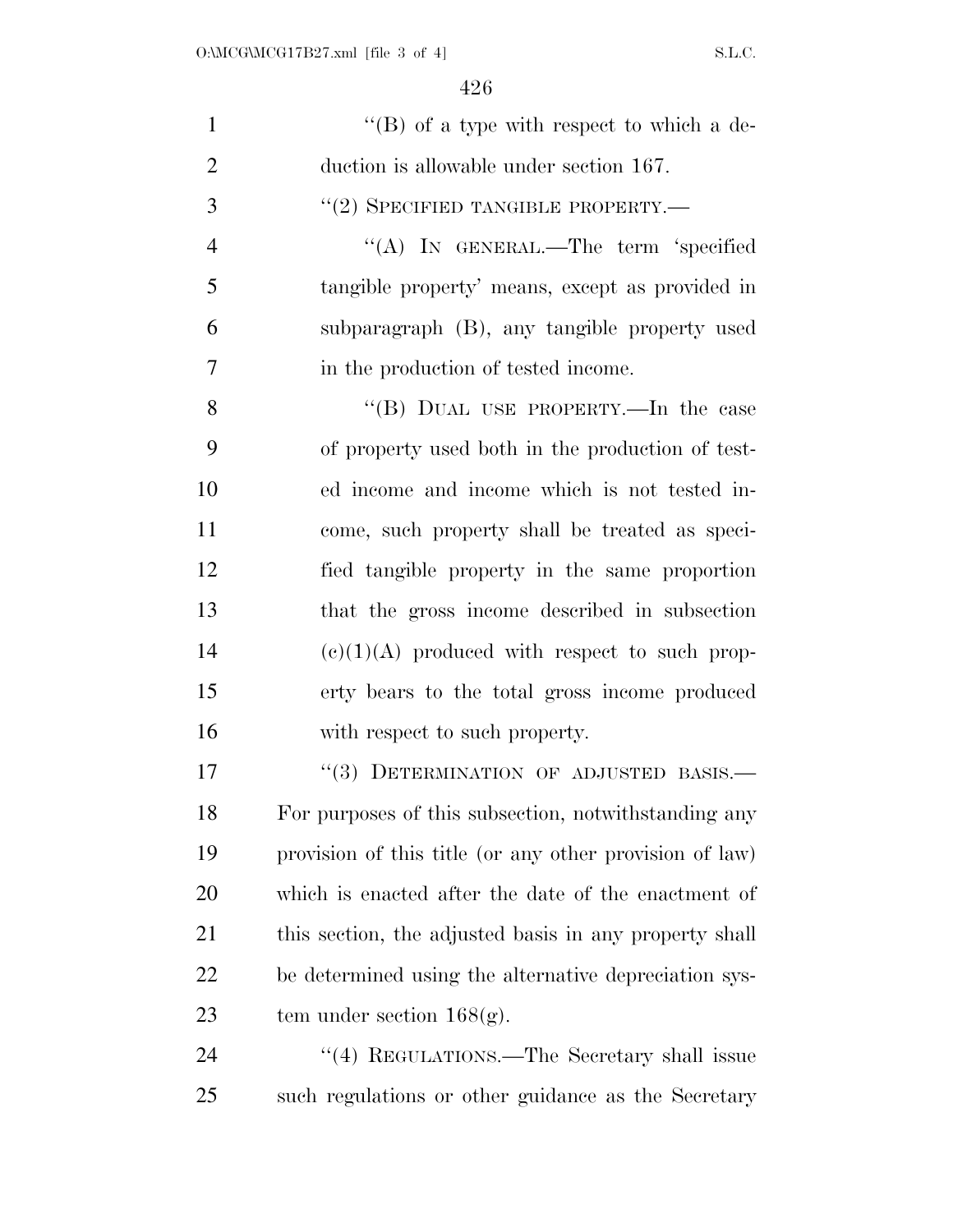| $\mathbf{1}$   | "(B) of a type with respect to which a de-              |
|----------------|---------------------------------------------------------|
| $\overline{2}$ | duction is allowable under section 167.                 |
| 3              | $``(2)$ SPECIFIED TANGIBLE PROPERTY.—                   |
| $\overline{4}$ | "(A) IN GENERAL.—The term 'specified                    |
| 5              | tangible property' means, except as provided in         |
| 6              | subparagraph (B), any tangible property used            |
| 7              | in the production of tested income.                     |
| 8              | "(B) DUAL USE PROPERTY.—In the case                     |
| 9              | of property used both in the production of test-        |
| 10             | ed income and income which is not tested in-            |
| 11             | come, such property shall be treated as speci-          |
| 12             | fied tangible property in the same proportion           |
| 13             | that the gross income described in subsection           |
| 14             | $(e)(1)(A)$ produced with respect to such prop-         |
| 15             | erty bears to the total gross income produced           |
| 16             | with respect to such property.                          |
| 17             | "(3) DETERMINATION OF ADJUSTED BASIS.-                  |
| 18             | For purposes of this subsection, notwithstanding any    |
| 19             | provision of this title (or any other provision of law) |
| 20             | which is enacted after the date of the enactment of     |
| 21             | this section, the adjusted basis in any property shall  |
| 22             | be determined using the alternative depreciation sys-   |
| 23             | tem under section $168(g)$ .                            |
| 24             | "(4) REGULATIONS.—The Secretary shall issue             |
| 25             | such regulations or other guidance as the Secretary     |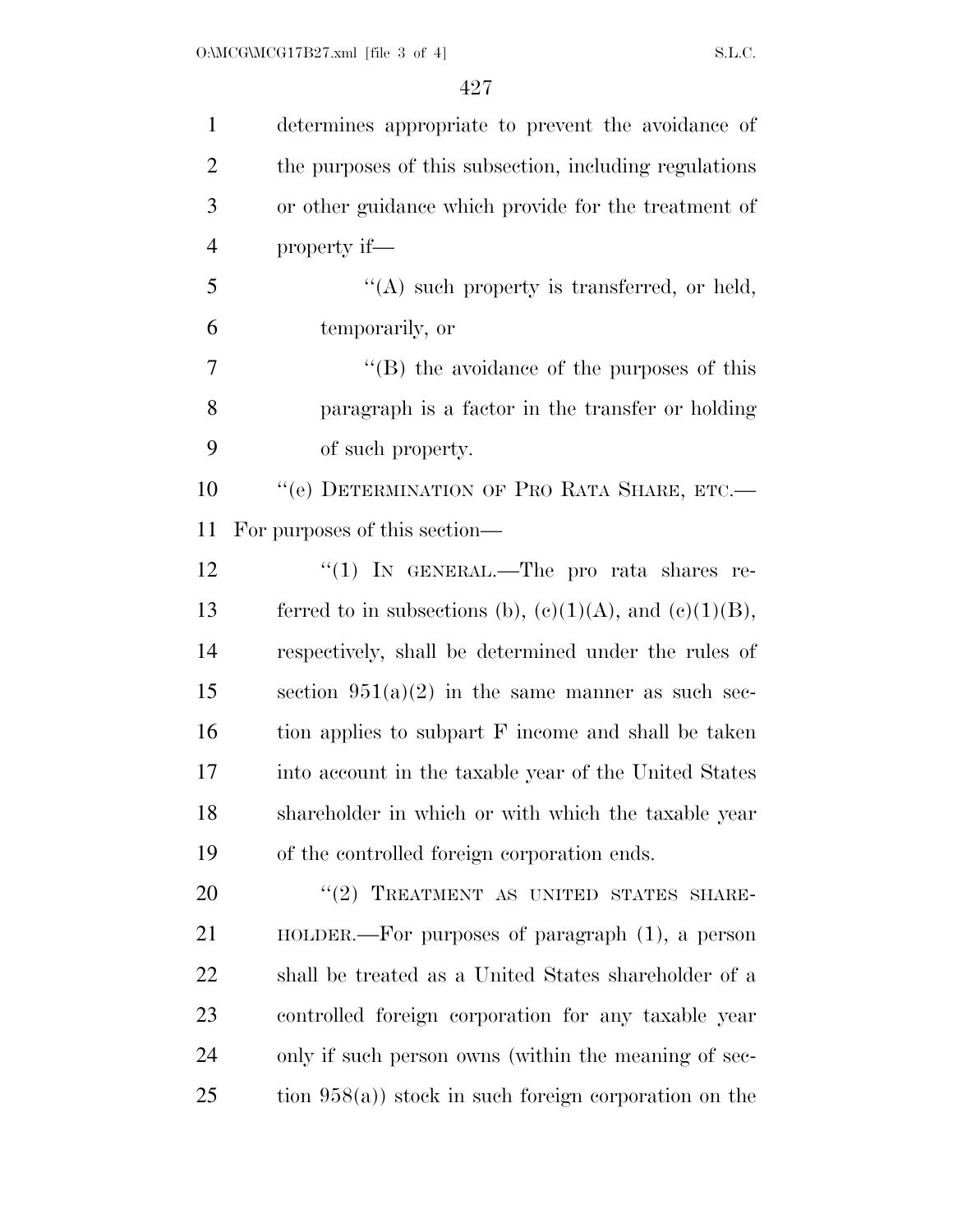| $\mathbf{1}$   | determines appropriate to prevent the avoidance of            |
|----------------|---------------------------------------------------------------|
| $\overline{2}$ | the purposes of this subsection, including regulations        |
| 3              | or other guidance which provide for the treatment of          |
| $\overline{4}$ | property if—                                                  |
| 5              | $\lq\lq$ such property is transferred, or held,               |
| 6              | temporarily, or                                               |
| $\overline{7}$ | $\lq\lq$ the avoidance of the purposes of this                |
| 8              | paragraph is a factor in the transfer or holding              |
| 9              | of such property.                                             |
| 10             | "(e) DETERMINATION OF PRO RATA SHARE, ETC.-                   |
| 11             | For purposes of this section—                                 |
| 12             | "(1) IN GENERAL.—The pro rata shares re-                      |
| 13             | ferred to in subsections (b), $(e)(1)(A)$ , and $(e)(1)(B)$ , |
| 14             | respectively, shall be determined under the rules of          |
| 15             | section $951(a)(2)$ in the same manner as such sec-           |
| 16             | tion applies to subpart F income and shall be taken           |
| 17             | into account in the taxable year of the United States         |
| 18             | shareholder in which or with which the taxable year           |
| 19             | of the controlled foreign corporation ends.                   |
| 20             | "(2) TREATMENT AS UNITED STATES SHARE-                        |
| 21             | $HOLDER.$ For purposes of paragraph $(1)$ , a person          |
| 22             | shall be treated as a United States shareholder of a          |
| 23             | controlled foreign corporation for any taxable year           |
| 24             | only if such person owns (within the meaning of sec-          |
| 25             | tion $958(a)$ ) stock in such foreign corporation on the      |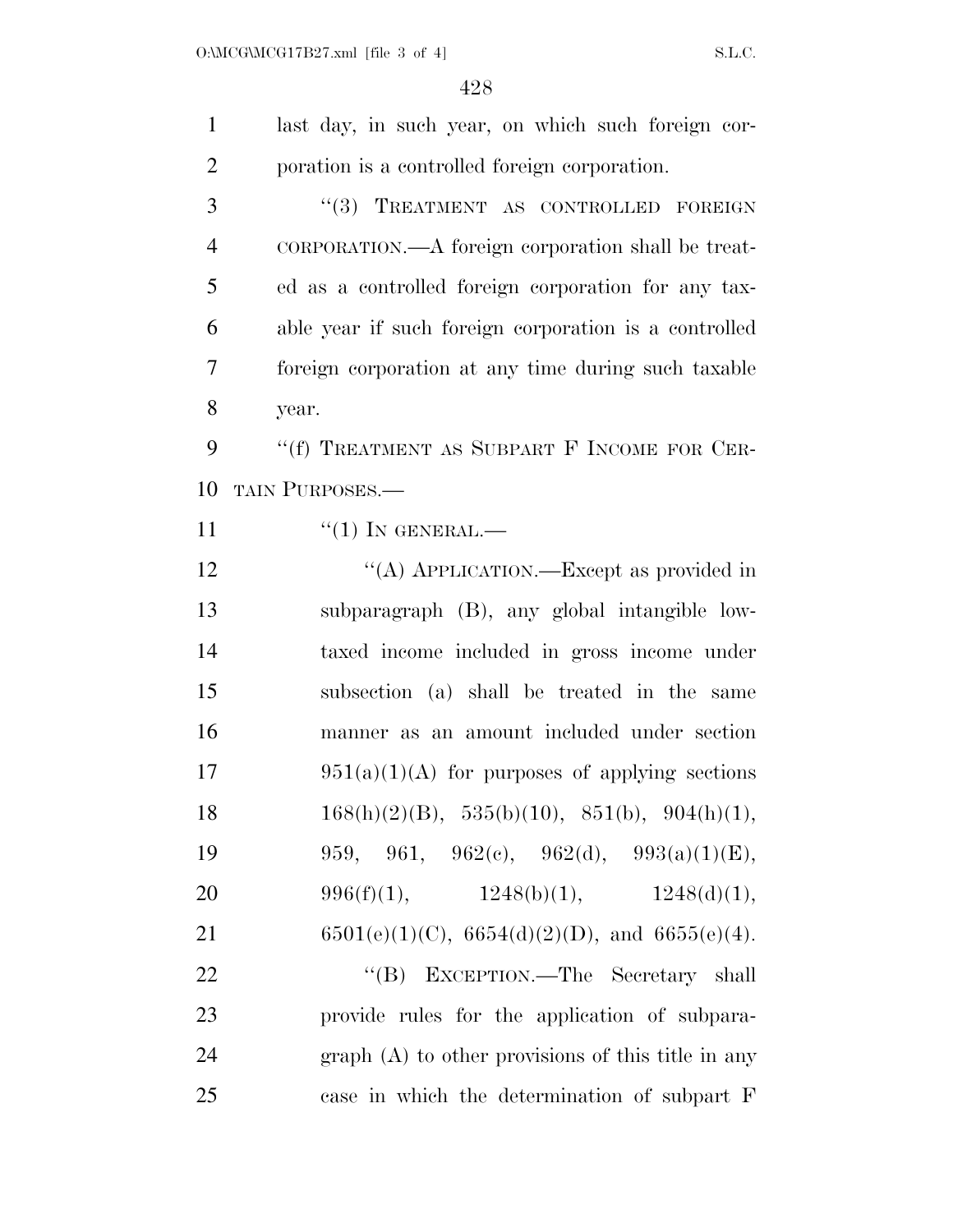| $\mathbf{1}$   | last day, in such year, on which such foreign cor-       |
|----------------|----------------------------------------------------------|
| $\overline{2}$ | poration is a controlled foreign corporation.            |
| 3              | "(3) TREATMENT AS CONTROLLED FOREIGN                     |
| 4              | CORPORATION.—A foreign corporation shall be treat-       |
| 5              | ed as a controlled foreign corporation for any tax-      |
| 6              | able year if such foreign corporation is a controlled    |
| 7              | foreign corporation at any time during such taxable      |
| 8              | year.                                                    |
| 9              | "(f) TREATMENT AS SUBPART F INCOME FOR CER-              |
| 10             | TAIN PURPOSES.                                           |
| 11             | $``(1)$ IN GENERAL.—                                     |
| 12             | "(A) APPLICATION.—Except as provided in                  |
| 13             | subparagraph (B), any global intangible low-             |
| 14             | taxed income included in gross income under              |
| 15             | subsection (a) shall be treated in the same              |
| 16             | manner as an amount included under section               |
| 17             | $951(a)(1)(A)$ for purposes of applying sections         |
| 18             | $168(h)(2)(B)$ , $535(h)(10)$ , $851(h)$ , $904(h)(1)$ , |
| 19             | 959, 961, 962(c), 962(d), 993(a)(1)(E),                  |
| 20             | 996(f)(1), $1248(b)(1)$ , $1248(d)(1)$ ,                 |
| 21             | $6501(e)(1)(C)$ , $6654(d)(2)(D)$ , and $6655(e)(4)$ .   |
| 22             | "(B) EXCEPTION.—The Secretary shall                      |
| 23             | provide rules for the application of subpara-            |
| 24             | $graph(A)$ to other provisions of this title in any      |
| 25             | case in which the determination of subpart F             |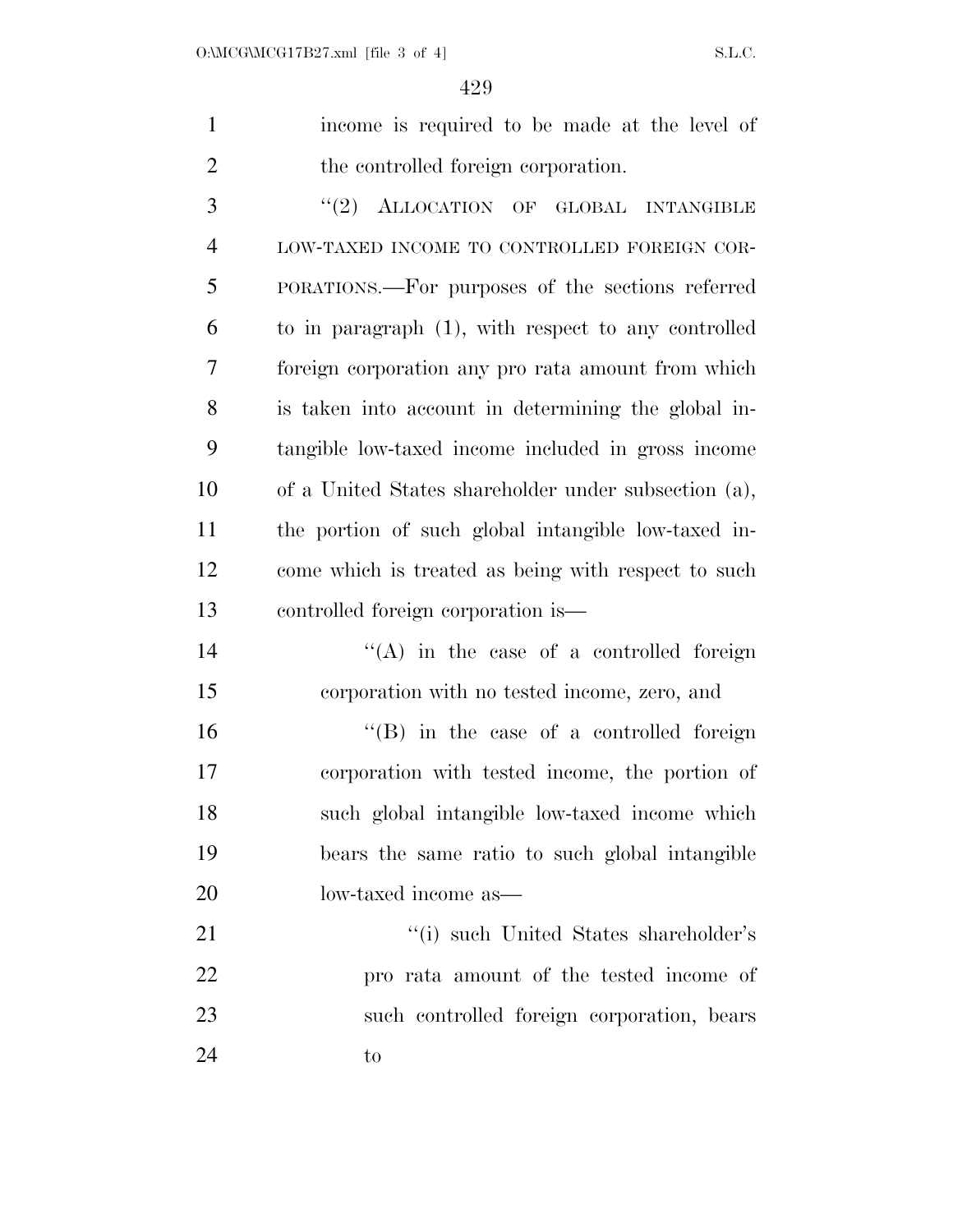income is required to be made at the level of 2 the controlled foreign corporation.

3 "(2) ALLOCATION OF GLOBAL INTANGIBLE LOW-TAXED INCOME TO CONTROLLED FOREIGN COR- PORATIONS.—For purposes of the sections referred to in paragraph (1), with respect to any controlled foreign corporation any pro rata amount from which is taken into account in determining the global in- tangible low-taxed income included in gross income of a United States shareholder under subsection (a), the portion of such global intangible low-taxed in- come which is treated as being with respect to such controlled foreign corporation is—

14 ''(A) in the case of a controlled foreign corporation with no tested income, zero, and 16 "(B) in the case of a controlled foreign corporation with tested income, the portion of such global intangible low-taxed income which bears the same ratio to such global intangible low-taxed income as— 21 ''(i) such United States shareholder's

 pro rata amount of the tested income of such controlled foreign corporation, bears 24 to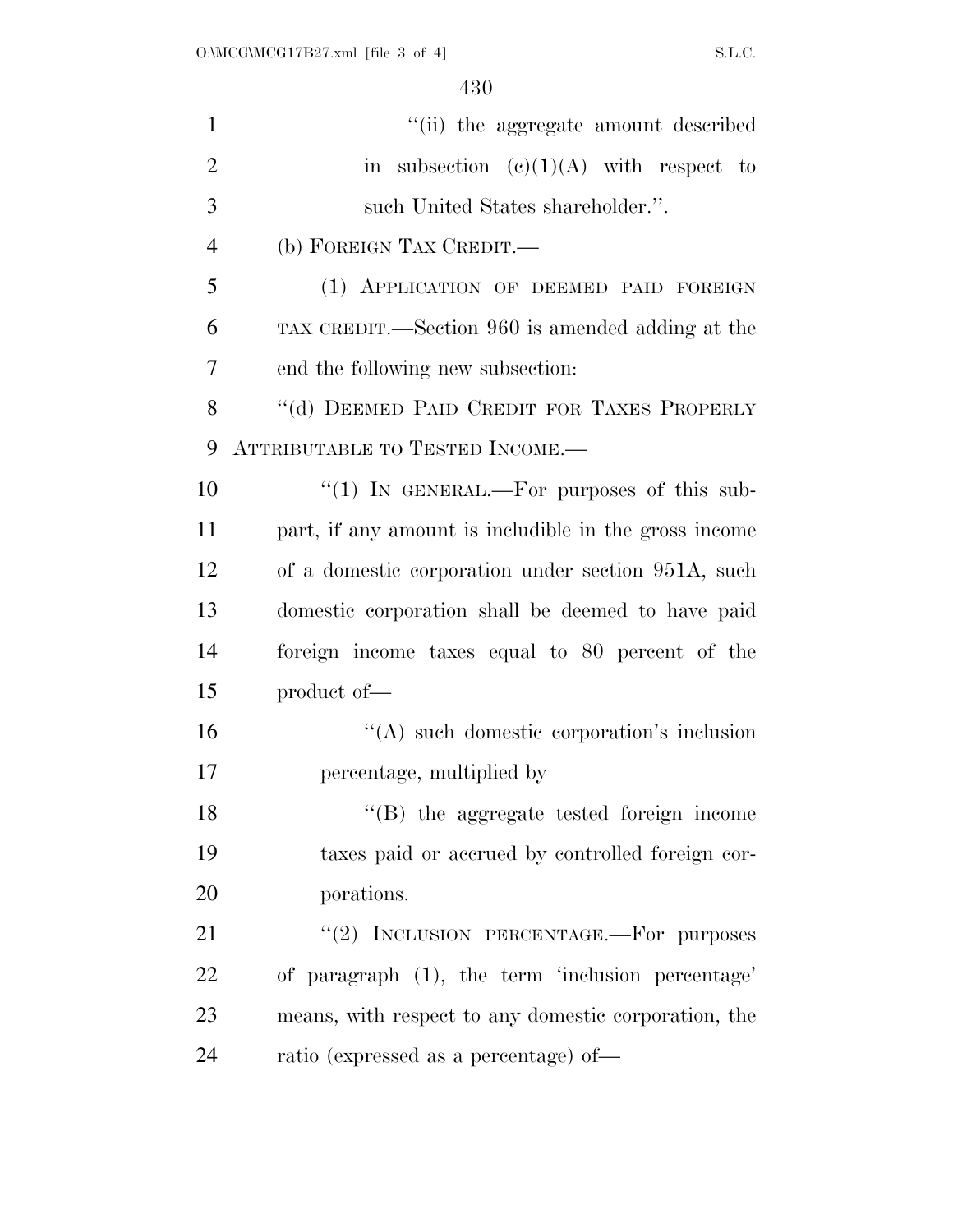| $\mathbf{1}$   | "(ii) the aggregate amount described                  |
|----------------|-------------------------------------------------------|
| $\overline{2}$ | in subsection $(c)(1)(A)$ with respect to             |
| 3              | such United States shareholder.".                     |
| $\overline{4}$ | (b) FOREIGN TAX CREDIT.—                              |
| 5              | (1) APPLICATION OF DEEMED PAID FOREIGN                |
| 6              | TAX CREDIT.—Section 960 is amended adding at the      |
| $\overline{7}$ | end the following new subsection:                     |
| 8              | "(d) DEEMED PAID CREDIT FOR TAXES PROPERLY            |
| 9              | ATTRIBUTABLE TO TESTED INCOME.-                       |
| 10             | "(1) IN GENERAL.—For purposes of this sub-            |
| 11             | part, if any amount is includible in the gross income |
| 12             | of a domestic corporation under section 951A, such    |
| 13             | domestic corporation shall be deemed to have paid     |
| 14             | foreign income taxes equal to 80 percent of the       |
| 15             | product of—                                           |
| 16             | "(A) such domestic corporation's inclusion            |
| 17             | percentage, multiplied by                             |
| 18             | "(B) the aggregate tested foreign income              |
| 19             | taxes paid or accrued by controlled foreign cor-      |
| 20             | porations.                                            |
| 21             | "(2) INCLUSION PERCENTAGE.-For purposes               |
| 22             | of paragraph (1), the term 'inclusion percentage'     |
| 23             | means, with respect to any domestic corporation, the  |
| 24             | ratio (expressed as a percentage) of-                 |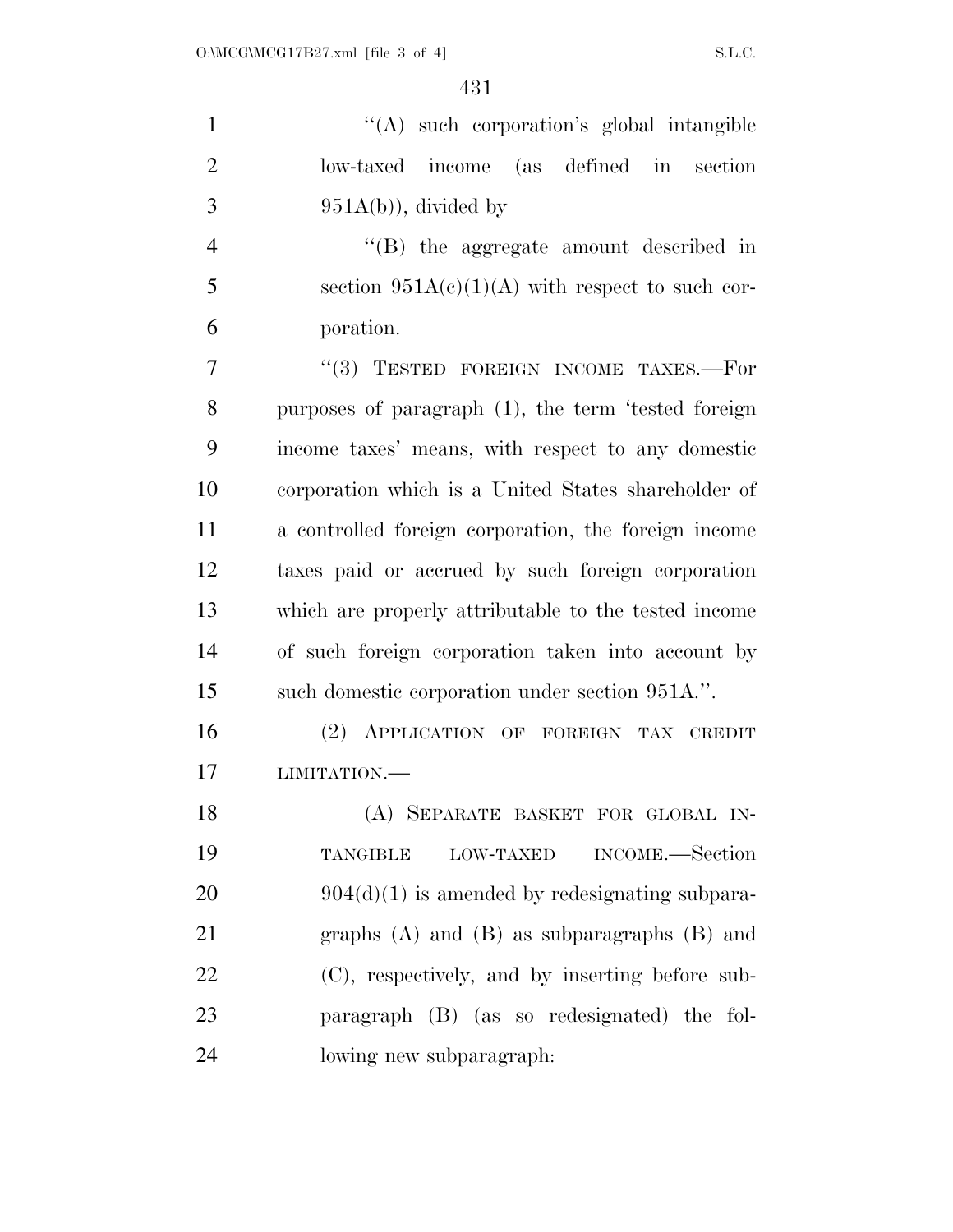| $\mathbf{1}$   | "(A) such corporation's global intangible              |
|----------------|--------------------------------------------------------|
| $\overline{2}$ | low-taxed income (as defined in section                |
| 3              | $951A(b)$ , divided by                                 |
| $\overline{4}$ | "(B) the aggregate amount described in                 |
| 5              | section $951A(c)(1)(A)$ with respect to such cor-      |
| 6              | poration.                                              |
| $\overline{7}$ | "(3) TESTED FOREIGN INCOME TAXES.-For                  |
| 8              | purposes of paragraph (1), the term 'tested foreign    |
| 9              | income taxes' means, with respect to any domestic      |
| 10             | corporation which is a United States shareholder of    |
| 11             | a controlled foreign corporation, the foreign income   |
| 12             | taxes paid or accrued by such foreign corporation      |
| 13             | which are properly attributable to the tested income   |
| 14             | of such foreign corporation taken into account by      |
| 15             | such domestic corporation under section 951A.".        |
| 16             | (2) APPLICATION OF FOREIGN TAX CREDIT                  |
| 17             | LIMITATION.-                                           |
| 18             | (A) SEPARATE BASKET FOR GLOBAL IN-                     |
| 19             | INCOME.—Section<br><b>TANGIBLE</b><br><b>LOW-TAXED</b> |
| 20             | $904(d)(1)$ is amended by redesignating subpara-       |
| 21             | graphs $(A)$ and $(B)$ as subparagraphs $(B)$ and      |
| 22             | (C), respectively, and by inserting before sub-        |
| 23             | paragraph (B) (as so redesignated) the fol-            |
| 24             | lowing new subparagraph:                               |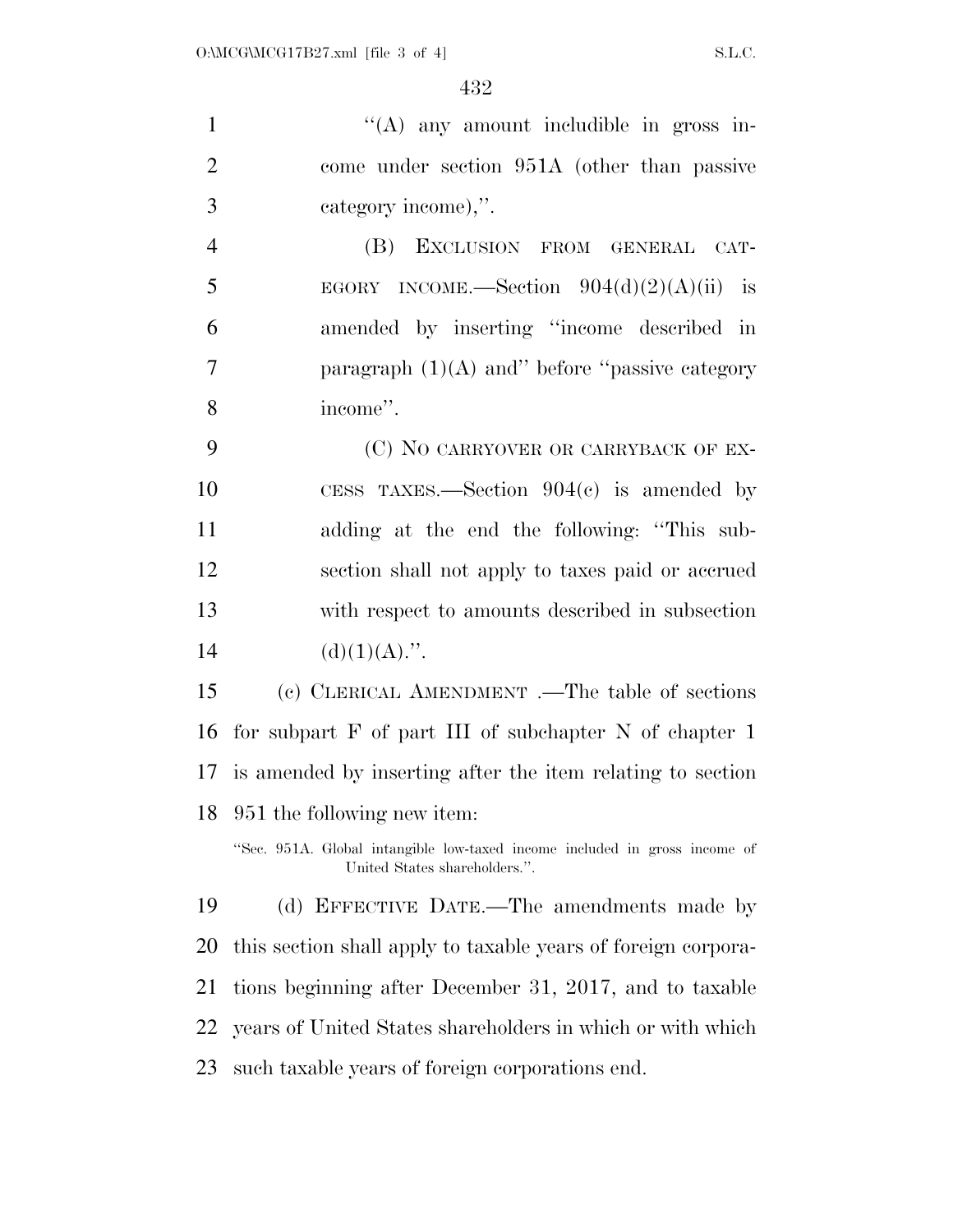1 ''(A) any amount includible in gross in- come under section 951A (other than passive category income),''. (B) EXCLUSION FROM GENERAL CAT-5 EGORY INCOME.—Section  $904(d)(2)(A)(ii)$  is amended by inserting ''income described in paragraph (1)(A) and'' before ''passive category income''. 9 (C) NO CARRYOVER OR CARRYBACK OF EX- CESS TAXES.—Section 904(c) is amended by adding at the end the following: ''This sub- section shall not apply to taxes paid or accrued with respect to amounts described in subsection 14 (d)(1)(A).". (c) CLERICAL AMENDMENT .—The table of sections for subpart F of part III of subchapter N of chapter 1 is amended by inserting after the item relating to section 951 the following new item: ''Sec. 951A. Global intangible low-taxed income included in gross income of United States shareholders.''. (d) EFFECTIVE DATE.—The amendments made by this section shall apply to taxable years of foreign corpora- tions beginning after December 31, 2017, and to taxable years of United States shareholders in which or with which

such taxable years of foreign corporations end.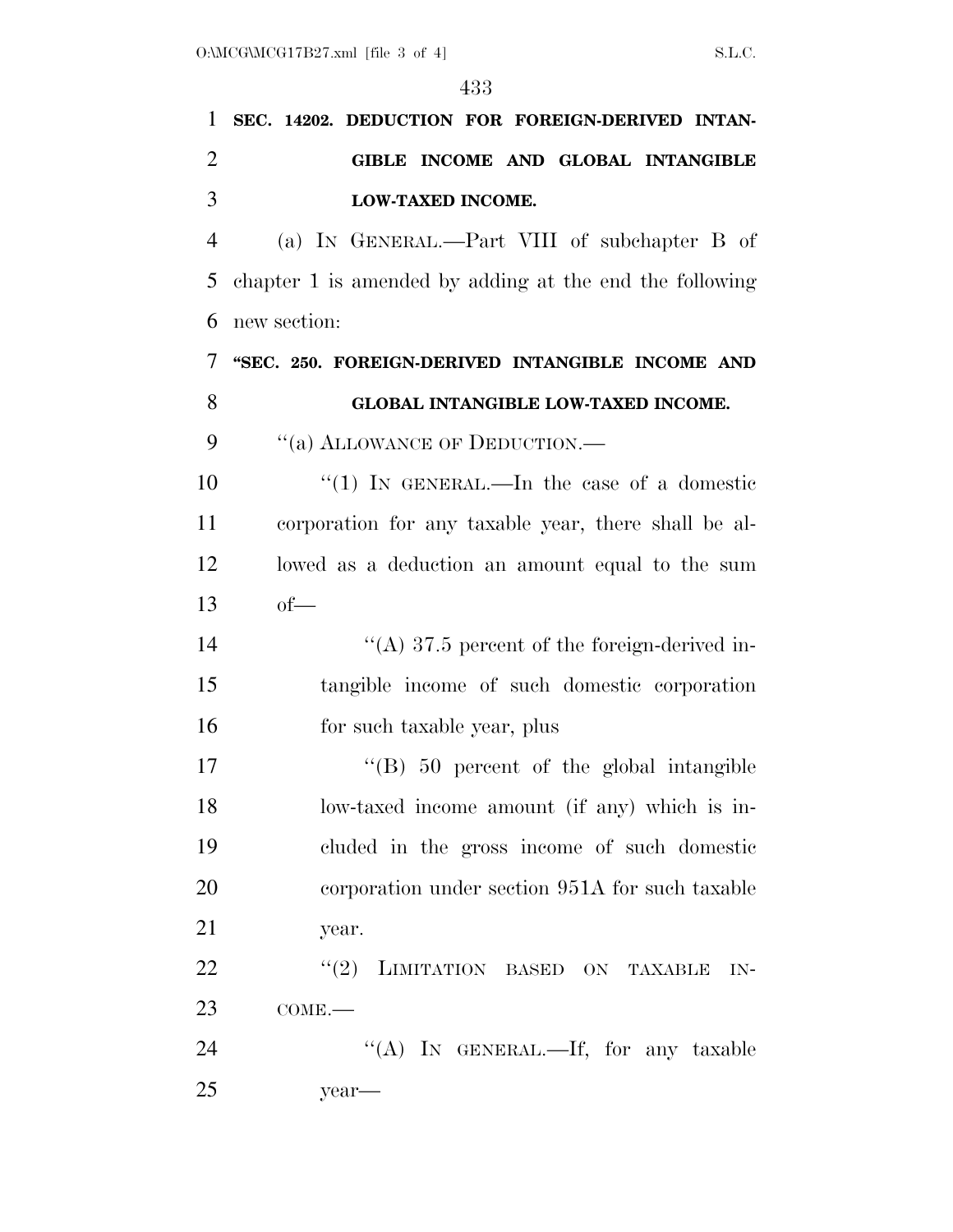year—

| 1              | SEC. 14202. DEDUCTION FOR FOREIGN-DERIVED INTAN-        |
|----------------|---------------------------------------------------------|
| 2              | GIBLE INCOME AND GLOBAL INTANGIBLE                      |
| 3              | LOW-TAXED INCOME.                                       |
| $\overline{4}$ | (a) IN GENERAL.—Part VIII of subchapter B of            |
| 5              | chapter 1 is amended by adding at the end the following |
| 6              | new section:                                            |
| 7              | "SEC. 250. FOREIGN-DERIVED INTANGIBLE INCOME AND        |
| 8              | GLOBAL INTANGIBLE LOW-TAXED INCOME.                     |
| 9              | "(a) ALLOWANCE OF DEDUCTION.—                           |
| 10             | "(1) In GENERAL.—In the case of a domestic              |
| 11             | corporation for any taxable year, there shall be al-    |
| 12             | lowed as a deduction an amount equal to the sum         |
| 13             | $of$ —                                                  |
| 14             | "(A) 37.5 percent of the foreign-derived in-            |
| 15             | tangible income of such domestic corporation            |
| 16             | for such taxable year, plus                             |
| 17             | $\cdot$ (B) 50 percent of the global intangible         |
| 18             | low-taxed income amount (if any) which is in-           |
| 19             | cluded in the gross income of such domestic             |
| 20             | corporation under section 951A for such taxable         |
| 21             | year.                                                   |
| 22             | "(2) LIMITATION BASED ON TAXABLE IN-                    |
| 23             | $COME$ .                                                |
| 24             | "(A) IN GENERAL.—If, for any taxable                    |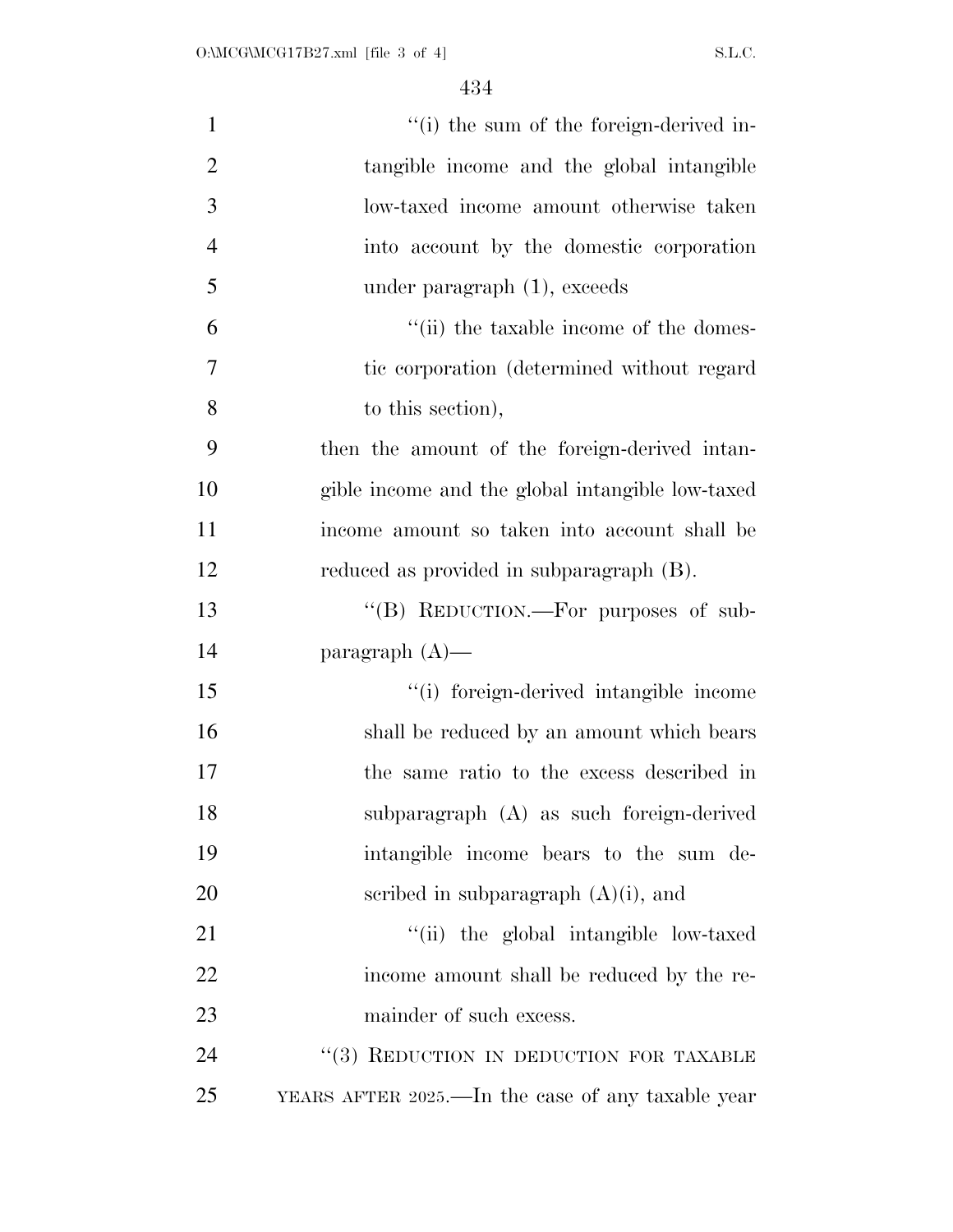| $\mathbf{1}$   | "(i) the sum of the foreign-derived in-           |
|----------------|---------------------------------------------------|
| $\overline{2}$ | tangible income and the global intangible         |
| 3              | low-taxed income amount otherwise taken           |
| $\overline{4}$ | into account by the domestic corporation          |
| 5              | under paragraph (1), exceeds                      |
| 6              | "(ii) the taxable income of the domes-            |
| 7              | tic corporation (determined without regard)       |
| 8              | to this section),                                 |
| 9              | then the amount of the foreign-derived intan-     |
| 10             | gible income and the global intangible low-taxed  |
| 11             | income amount so taken into account shall be      |
| 12             | reduced as provided in subparagraph (B).          |
| 13             | "(B) REDUCTION.—For purposes of sub-              |
| 14             | paragraph $(A)$ —                                 |
| 15             | "(i) foreign-derived intangible income            |
| 16             | shall be reduced by an amount which bears         |
| 17             | the same ratio to the excess described in         |
| 18             | subparagraph (A) as such foreign-derived          |
| 19             | intangible income bears to the sum de-            |
| 20             | scribed in subparagraph $(A)(i)$ , and            |
| 21             | "(ii) the global intangible low-taxed             |
| 22             | income amount shall be reduced by the re-         |
| 23             | mainder of such excess.                           |
| 24             | "(3) REDUCTION IN DEDUCTION FOR TAXABLE           |
| 25             | YEARS AFTER 2025.—In the case of any taxable year |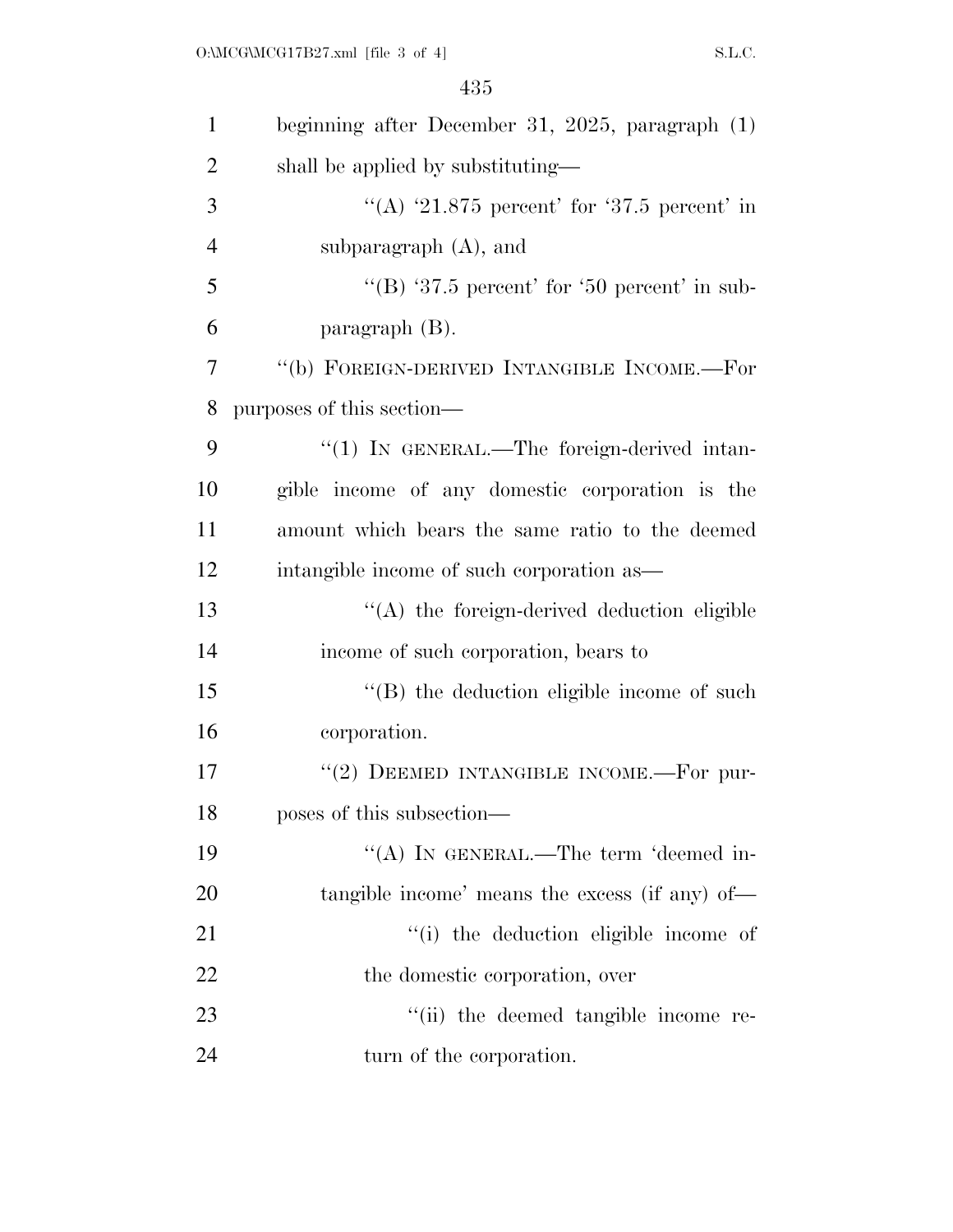| $\mathbf{1}$   | beginning after December 31, 2025, paragraph (1) |
|----------------|--------------------------------------------------|
| $\overline{2}$ | shall be applied by substituting—                |
| 3              | "(A) $21.875$ percent' for '37.5 percent' in     |
| $\overline{4}$ | subparagraph $(A)$ , and                         |
| 5              | "(B) '37.5 percent' for '50 percent' in sub-     |
| 6              | paragraph $(B)$ .                                |
| 7              | "(b) FOREIGN-DERIVED INTANGIBLE INCOME.—For      |
| 8              | purposes of this section—                        |
| 9              | $\lq(1)$ In GENERAL.—The foreign-derived intan-  |
| 10             | gible income of any domestic corporation is the  |
| 11             | amount which bears the same ratio to the deemed  |
| 12             | intangible income of such corporation as—        |
| 13             | "(A) the foreign-derived deduction eligible      |
| 14             | income of such corporation, bears to             |
| 15             | $\lq\lq$ the deduction eligible income of such   |
| 16             | corporation.                                     |
| 17             | "(2) DEEMED INTANGIBLE INCOME.—For pur-          |
| 18             | poses of this subsection—                        |
| 19             | "(A) IN GENERAL.—The term 'deemed in-            |
| 20             | tangible income' means the excess (if any) of—   |
| 21             | "(i) the deduction eligible income of            |
| 22             | the domestic corporation, over                   |
| 23             | "(ii) the deemed tangible income re-             |
| 24             | turn of the corporation.                         |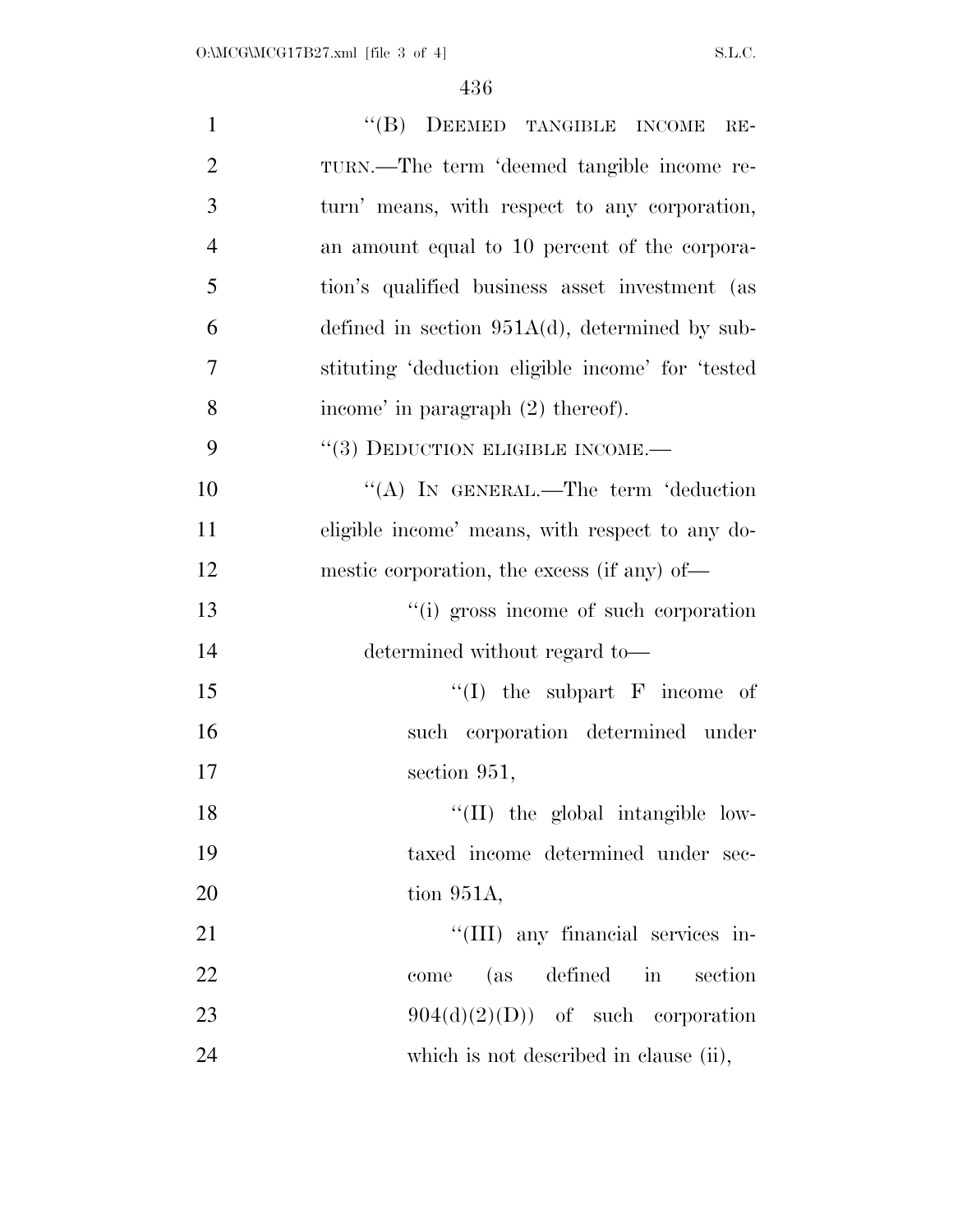| $\mathbf{1}$   | "(B) DEEMED TANGIBLE INCOME RE-                   |
|----------------|---------------------------------------------------|
| $\overline{2}$ | TURN.—The term 'deemed tangible income re-        |
| 3              | turn' means, with respect to any corporation,     |
| $\overline{4}$ | an amount equal to 10 percent of the corpora-     |
| 5              | tion's qualified business asset investment (as    |
| 6              | defined in section $951A(d)$ , determined by sub- |
| 7              | stituting 'deduction eligible income' for 'tested |
| 8              | income' in paragraph (2) thereof).                |
| 9              | $``(3)$ DEDUCTION ELIGIBLE INCOME.—               |
| 10             | "(A) IN GENERAL.—The term 'deduction              |
| 11             | eligible income' means, with respect to any do-   |
| 12             | mestic corporation, the excess (if any) of—       |
| 13             | "(i) gross income of such corporation             |
| 14             | determined without regard to—                     |
| 15             | "(I) the subpart $F$ income of                    |
| 16             | such corporation determined under                 |
| 17             | section 951,                                      |
| 18             | "(II) the global intangible low-                  |
| 19             | taxed income determined under sec-                |
| 20             | tion $951A$ ,                                     |
| 21             | "(III) any financial services in-                 |
| 22             | come (as defined in<br>section                    |
| 23             | $904(d)(2)(D)$ of such corporation                |
| 24             | which is not described in clause (ii),            |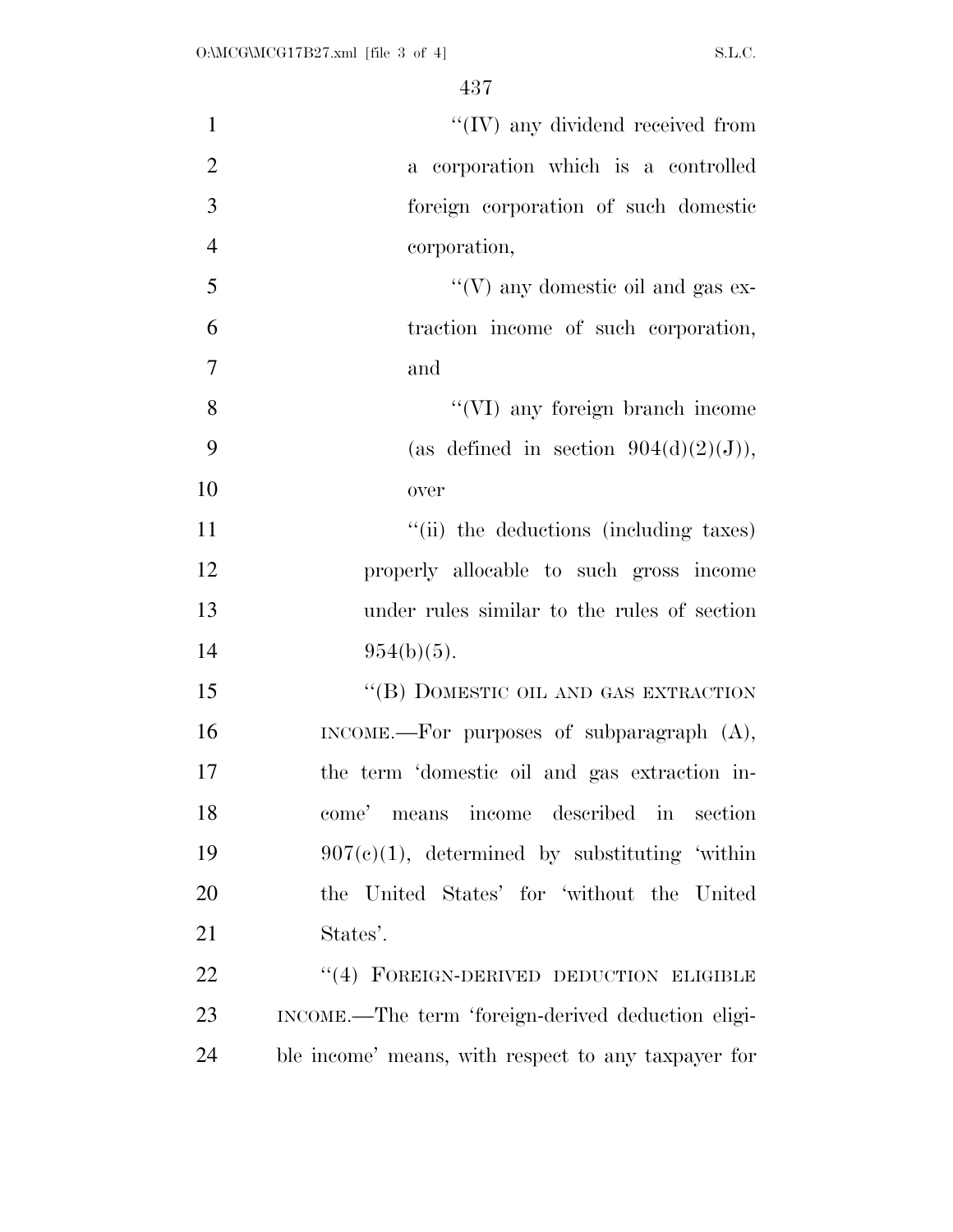| $\mathbf{1}$   | $\lq\lq$ (IV) any dividend received from            |
|----------------|-----------------------------------------------------|
| $\overline{2}$ | a corporation which is a controlled                 |
| 3              | foreign corporation of such domestic                |
| $\overline{4}$ | corporation,                                        |
| 5              | "(V) any domestic oil and gas $ex-$                 |
| 6              | traction income of such corporation,                |
| $\tau$         | and                                                 |
| 8              | "(VI) any foreign branch income                     |
| 9              | (as defined in section $904(d)(2)(J)$ ),            |
| 10             | over                                                |
| 11             | "(ii) the deductions (including taxes)              |
| 12             | properly allocable to such gross income             |
| 13             | under rules similar to the rules of section         |
| 14             | $954(b)(5)$ .                                       |
| 15             | "(B) DOMESTIC OIL AND GAS EXTRACTION                |
| 16             | INCOME.—For purposes of subparagraph $(A)$ ,        |
| 17             | the term 'domestic oil and gas extraction in-       |
| 18             | come' means income described in<br>section          |
| 19             | $907(c)(1)$ , determined by substituting 'within    |
| 20             | the United States' for 'without the United          |
| 21             | States'.                                            |
| 22             | "(4) FOREIGN-DERIVED DEDUCTION ELIGIBLE             |
| 23             | INCOME.—The term 'foreign-derived deduction eligi-  |
| 24             | ble income' means, with respect to any taxpayer for |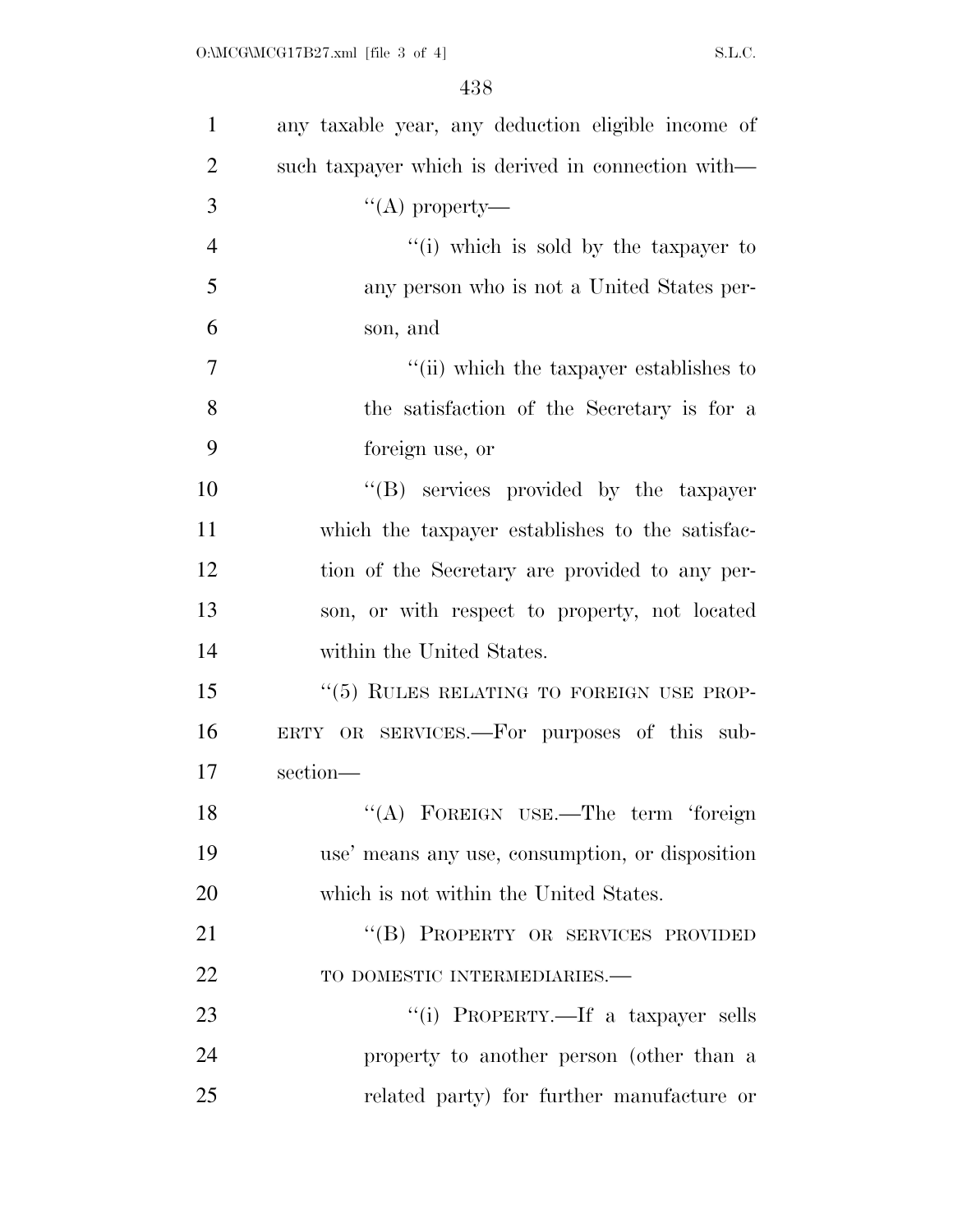| $\mathbf{1}$   | any taxable year, any deduction eligible income of |
|----------------|----------------------------------------------------|
| $\overline{2}$ | such taxpayer which is derived in connection with— |
| 3              | "(A) property—                                     |
| $\overline{4}$ | "(i) which is sold by the taxpayer to              |
| 5              | any person who is not a United States per-         |
| 6              | son, and                                           |
| 7              | "(ii) which the taxpayer establishes to            |
| 8              | the satisfaction of the Secretary is for a         |
| 9              | foreign use, or                                    |
| 10             | "(B) services provided by the taxpayer             |
| 11             | which the taxpayer establishes to the satisfac-    |
| 12             | tion of the Secretary are provided to any per-     |
| 13             | son, or with respect to property, not located      |
| 14             | within the United States.                          |
| 15             | "(5) RULES RELATING TO FOREIGN USE PROP-           |
| 16             | ERTY OR SERVICES.—For purposes of this sub-        |
| 17             | section-                                           |
| 18             | "(A) FOREIGN USE.—The term 'foreign                |
| 19             | use' means any use, consumption, or disposition    |
| 20             | which is not within the United States.             |
| 21             | "(B) PROPERTY OR SERVICES PROVIDED                 |
| 22             | TO DOMESTIC INTERMEDIARIES.-                       |
| 23             | "(i) PROPERTY.—If a taxpayer sells                 |
| 24             | property to another person (other than a           |
| 25             | related party) for further manufacture or          |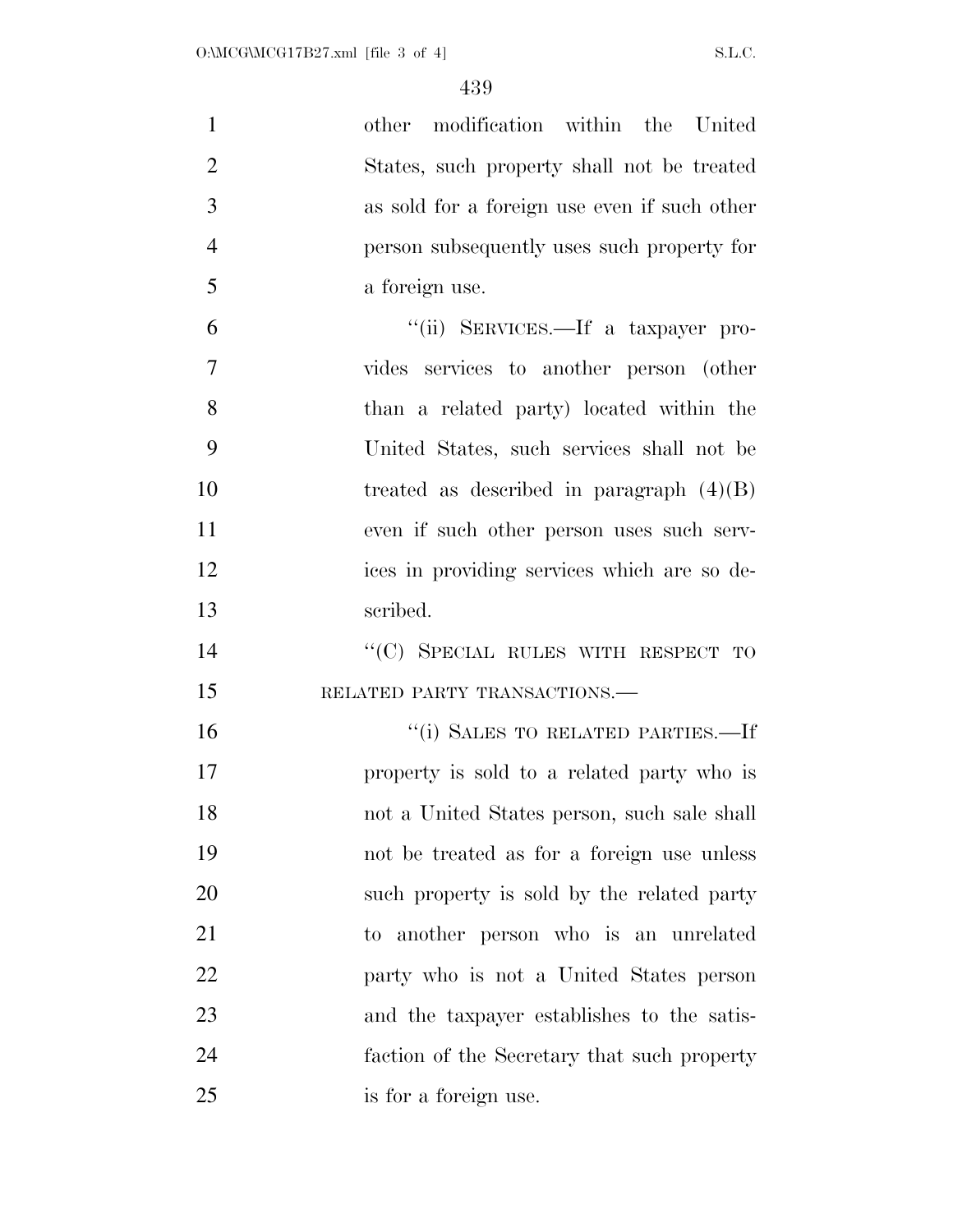| $\mathbf{1}$   | other modification within the United         |
|----------------|----------------------------------------------|
| $\overline{2}$ | States, such property shall not be treated   |
| 3              | as sold for a foreign use even if such other |
| $\overline{4}$ | person subsequently uses such property for   |
| 5              | a foreign use.                               |
| 6              | "(ii) SERVICES.—If a taxpayer pro-           |
| 7              | vides services to another person (other      |
| 8              | than a related party) located within the     |
| 9              | United States, such services shall not be    |
| 10             | treated as described in paragraph $(4)(B)$   |
| 11             | even if such other person uses such serv-    |
| 12             | ices in providing services which are so de-  |
| 13             | scribed.                                     |
| 14             | "(C) SPECIAL RULES WITH RESPECT TO           |
| 15             | RELATED PARTY TRANSACTIONS.                  |
| 16             | "(i) SALES TO RELATED PARTIES.—If            |
| 17             | property is sold to a related party who is   |
| 18             | not a United States person, such sale shall  |
| 19             | not be treated as for a foreign use unless   |
| 20             | such property is sold by the related party   |
| 21             | to another person who is an unrelated        |
| 22             | party who is not a United States person      |
| 23             | and the taxpayer establishes to the satis-   |
| 24             | faction of the Secretary that such property  |
| 25             | is for a foreign use.                        |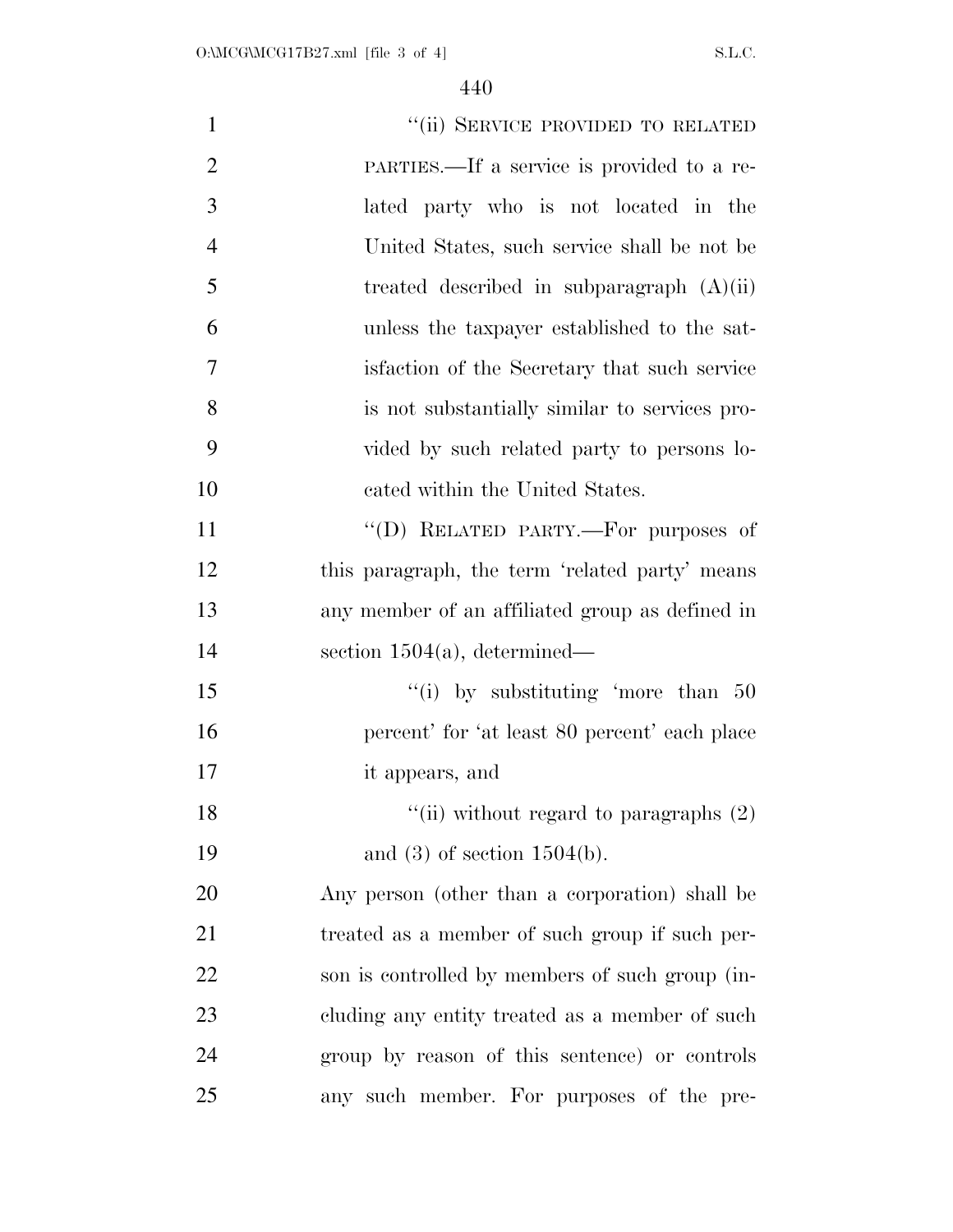| $\mathbf{1}$   | "(ii) SERVICE PROVIDED TO RELATED               |
|----------------|-------------------------------------------------|
| $\overline{2}$ | PARTIES.—If a service is provided to a re-      |
| 3              | lated party who is not located in the           |
| $\overline{4}$ | United States, such service shall be not be     |
| 5              | treated described in subparagraph $(A)(ii)$     |
| 6              | unless the taxpayer established to the sat-     |
| 7              | is faction of the Secretary that such service   |
| 8              | is not substantially similar to services pro-   |
| 9              | vided by such related party to persons lo-      |
| 10             | cated within the United States.                 |
| 11             | "(D) RELATED PARTY.—For purposes of             |
| 12             | this paragraph, the term 'related party' means  |
| 13             | any member of an affiliated group as defined in |
| 14             | section $1504(a)$ , determined—                 |
| 15             | "(i) by substituting 'more than $50$            |
| 16             | percent' for 'at least 80 percent' each place   |
| 17             | it appears, and                                 |
| 18             | "(ii) without regard to paragraphs $(2)$        |
| 19             | and $(3)$ of section 1504(b).                   |
| 20             | Any person (other than a corporation) shall be  |
| 21             | treated as a member of such group if such per-  |
| 22             | son is controlled by members of such group (in- |
| 23             | cluding any entity treated as a member of such  |
| 24             | group by reason of this sentence) or controls   |
| 25             | any such member. For purposes of the pre-       |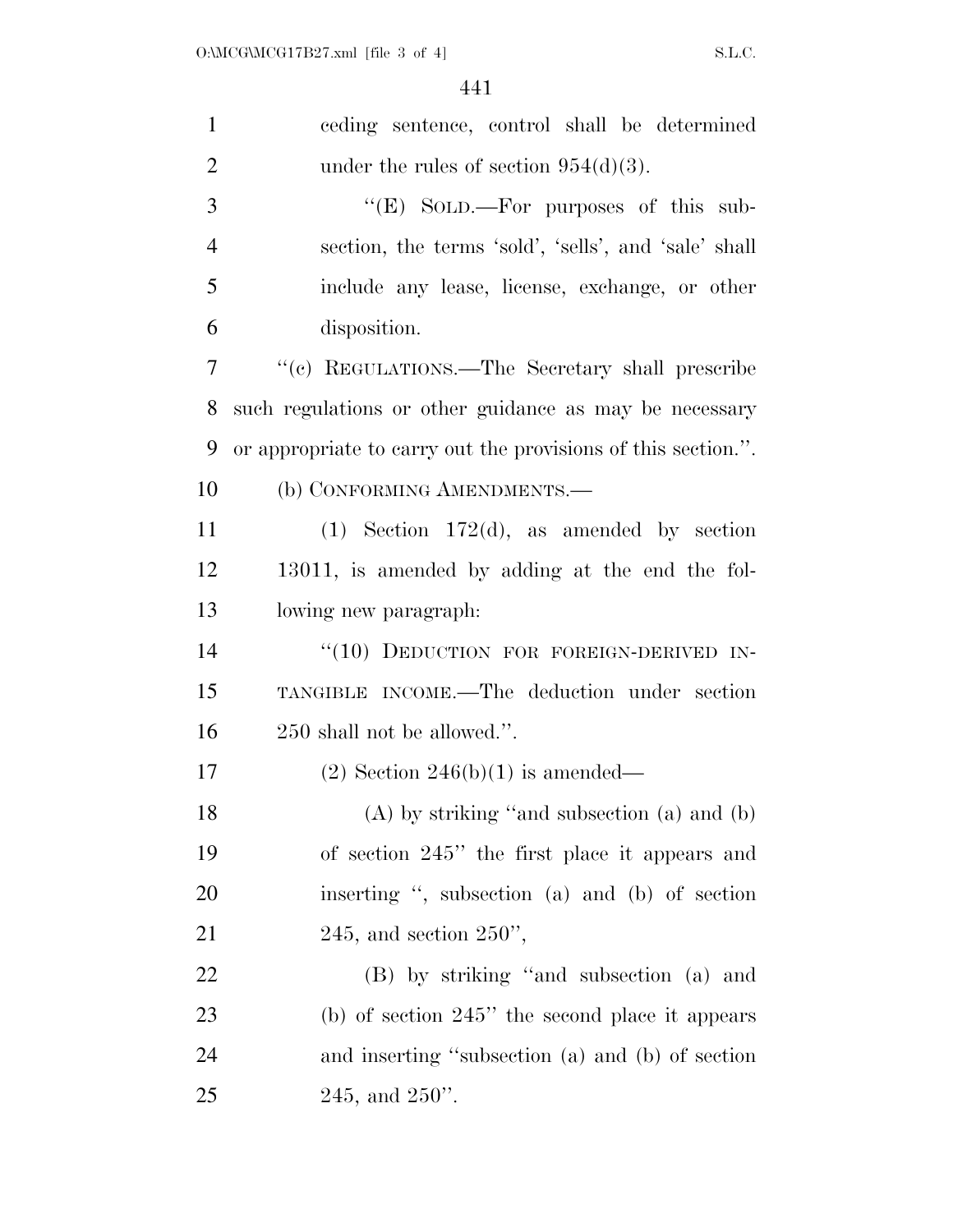| $\mathbf{1}$   | ceding sentence, control shall be determined                  |
|----------------|---------------------------------------------------------------|
| $\overline{2}$ | under the rules of section $954(d)(3)$ .                      |
| 3              | "(E) SOLD.—For purposes of this sub-                          |
| $\overline{4}$ | section, the terms 'sold', 'sells', and 'sale' shall          |
| 5              | include any lease, license, exchange, or other                |
| 6              | disposition.                                                  |
| 7              | "(c) REGULATIONS.—The Secretary shall prescribe               |
| 8              | such regulations or other guidance as may be necessary        |
| 9              | or appropriate to carry out the provisions of this section.". |
| 10             | (b) CONFORMING AMENDMENTS.—                                   |
| 11             | $(1)$ Section 172(d), as amended by section                   |
| 12             | 13011, is amended by adding at the end the fol-               |
| 13             | lowing new paragraph:                                         |
| 14             | "(10) DEDUCTION FOR FOREIGN-DERIVED IN-                       |
| 15             | TANGIBLE INCOME.—The deduction under section                  |
| 16             | 250 shall not be allowed.".                                   |
| 17             | $(2)$ Section 246(b)(1) is amended—                           |
| 18             | $(A)$ by striking "and subsection $(a)$ and $(b)$             |
| 19             | of section 245" the first place it appears and                |
| 20             | inserting ", subsection (a) and (b) of section                |
| 21             | $245$ , and section $250$ ",                                  |
| 22             | (B) by striking "and subsection (a) and                       |
| 23             | (b) of section $245$ " the second place it appears            |
| 24             | and inserting "subsection (a) and (b) of section              |
| 25             | $245$ , and $250$ ".                                          |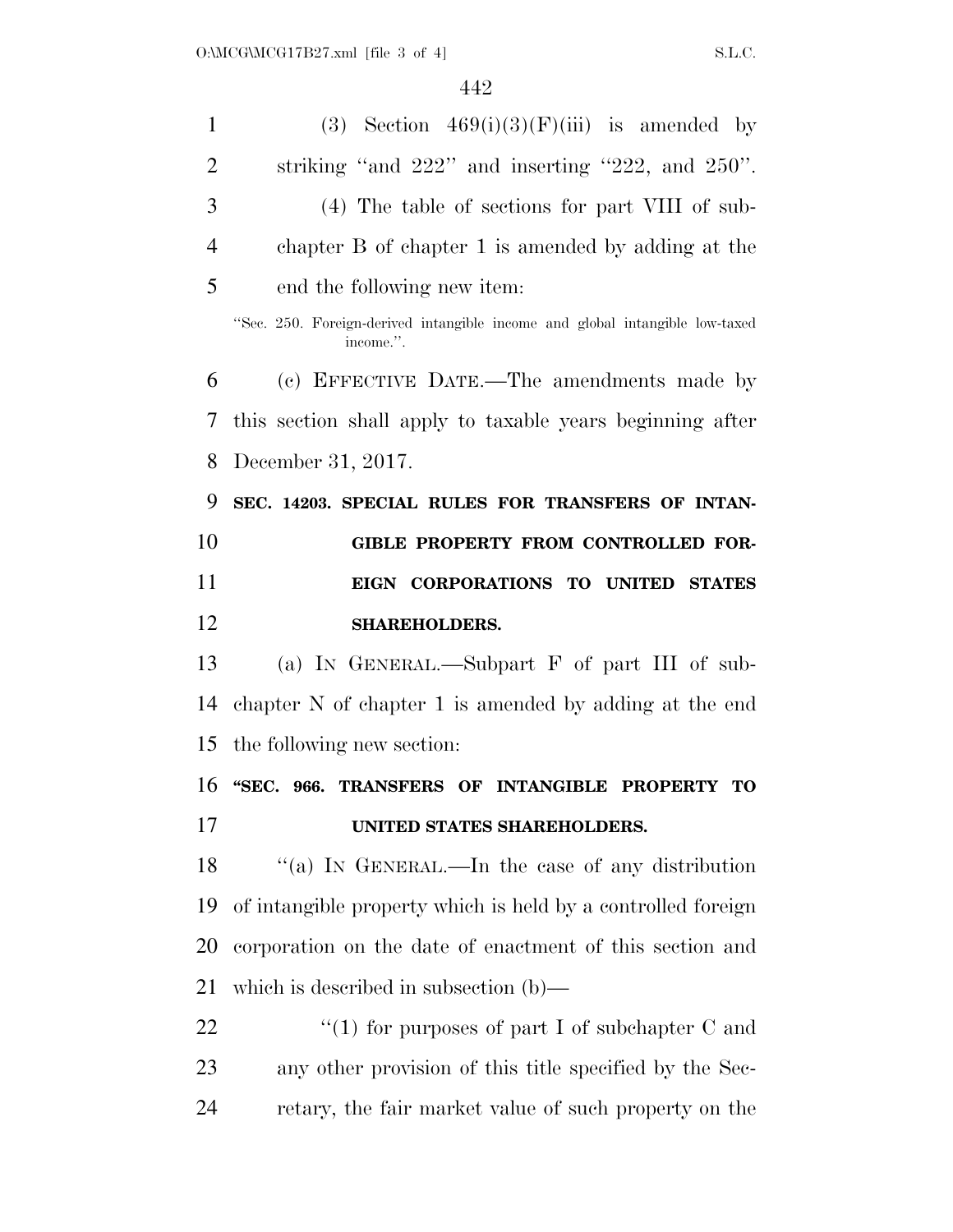| $\mathbf{1}$   | (3) Section $469(i)(3)(F)(iii)$ is amended by                                             |
|----------------|-------------------------------------------------------------------------------------------|
| $\overline{2}$ | striking "and $222$ " and inserting " $222$ , and $250$ ".                                |
| 3              | (4) The table of sections for part VIII of sub-                                           |
| $\overline{4}$ | chapter B of chapter 1 is amended by adding at the                                        |
| 5              | end the following new item:                                                               |
|                | "Sec. 250. Foreign-derived intangible income and global intangible low-taxed<br>income.". |
| 6              | (c) EFFECTIVE DATE.—The amendments made by                                                |
| 7              | this section shall apply to taxable years beginning after                                 |
| 8              | December 31, 2017.                                                                        |
| 9              | SEC. 14203. SPECIAL RULES FOR TRANSFERS OF INTAN-                                         |
| 10             | GIBLE PROPERTY FROM CONTROLLED FOR-                                                       |
| 11             | EIGN CORPORATIONS TO UNITED STATES                                                        |
|                |                                                                                           |
| 12             | <b>SHAREHOLDERS.</b>                                                                      |
| 13             | (a) IN GENERAL.—Subpart F of part III of sub-                                             |
| 14             | chapter N of chapter 1 is amended by adding at the end                                    |
| 15             | the following new section:                                                                |
| 16             | "SEC. 966. TRANSFERS OF INTANGIBLE PROPERTY TO                                            |
| 17             | UNITED STATES SHAREHOLDERS.                                                               |
| 18             | "(a) IN GENERAL.—In the case of any distribution                                          |
| 19             | of intangible property which is held by a controlled foreign                              |
| 20             | corporation on the date of enactment of this section and                                  |
| 21             | which is described in subsection $(b)$ —                                                  |
| 22             | "(1) for purposes of part I of subchapter $C$ and                                         |
| 23             | any other provision of this title specified by the Sec-                                   |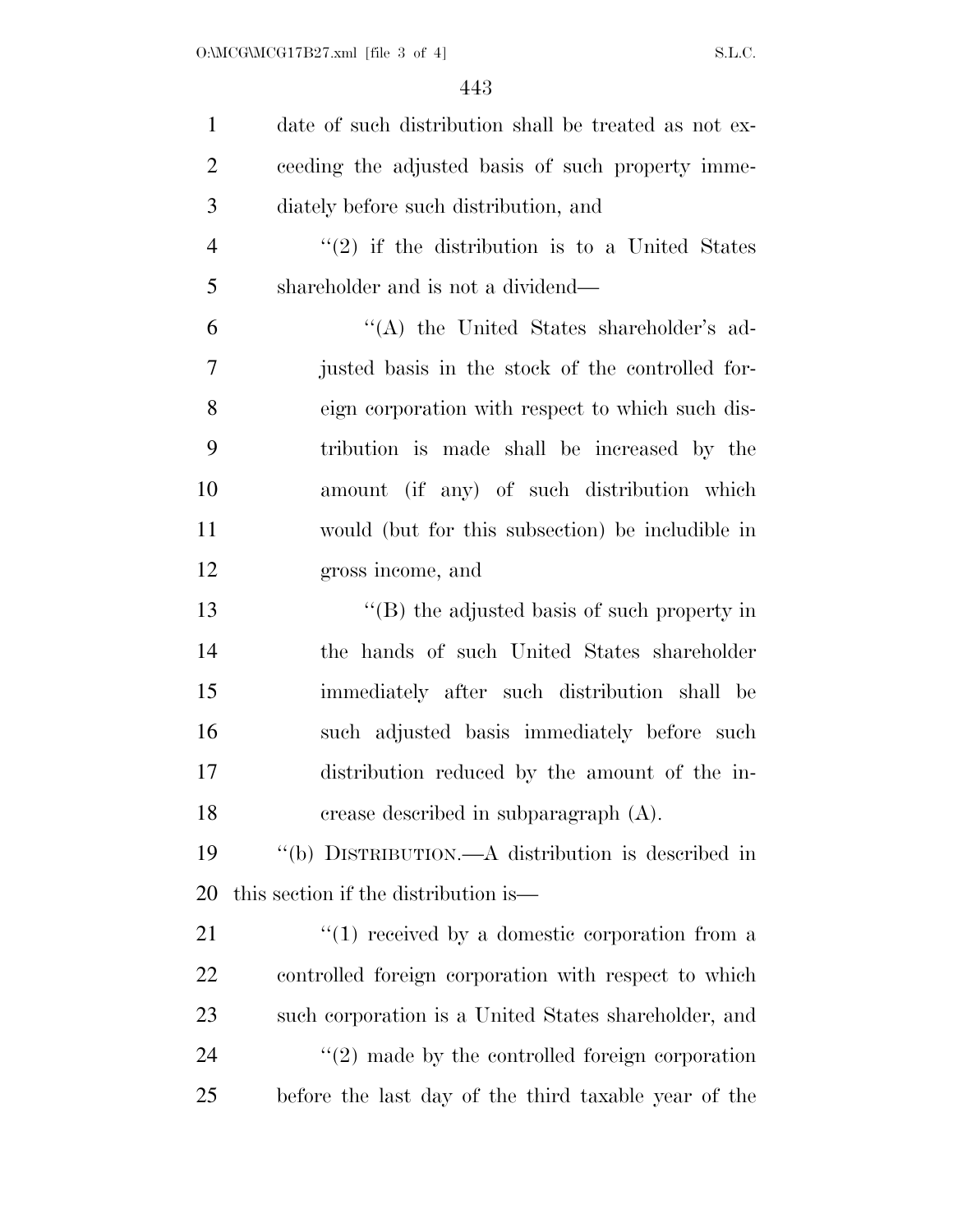| $\mathbf{1}$   | date of such distribution shall be treated as not ex-          |
|----------------|----------------------------------------------------------------|
| $\overline{2}$ | ceeding the adjusted basis of such property imme-              |
| 3              | diately before such distribution, and                          |
| $\overline{4}$ | $\cdot\cdot\cdot(2)$ if the distribution is to a United States |
| 5              | shareholder and is not a dividend—                             |
| 6              | "(A) the United States shareholder's ad-                       |
| 7              | justed basis in the stock of the controlled for-               |
| 8              | eign corporation with respect to which such dis-               |
| 9              | tribution is made shall be increased by the                    |
| 10             | amount (if any) of such distribution which                     |
| 11             | would (but for this subsection) be includible in               |
| 12             | gross income, and                                              |
| 13             | $\lq$ (B) the adjusted basis of such property in               |
| 14             | the hands of such United States shareholder                    |
| 15             | immediately after such distribution shall be                   |
| 16             | such adjusted basis immediately before such                    |
| 17             | distribution reduced by the amount of the in-                  |
| 18             | crease described in subparagraph (A).                          |
| 19             | "(b) DISTRIBUTION.—A distribution is described in              |
| 20             | this section if the distribution is—                           |
| 21             | $``(1)$ received by a domestic corporation from a              |
| 22             | controlled foreign corporation with respect to which           |
| 23             | such corporation is a United States shareholder, and           |
| 24             | $\lq(2)$ made by the controlled foreign corporation            |
| 25             | before the last day of the third taxable year of the           |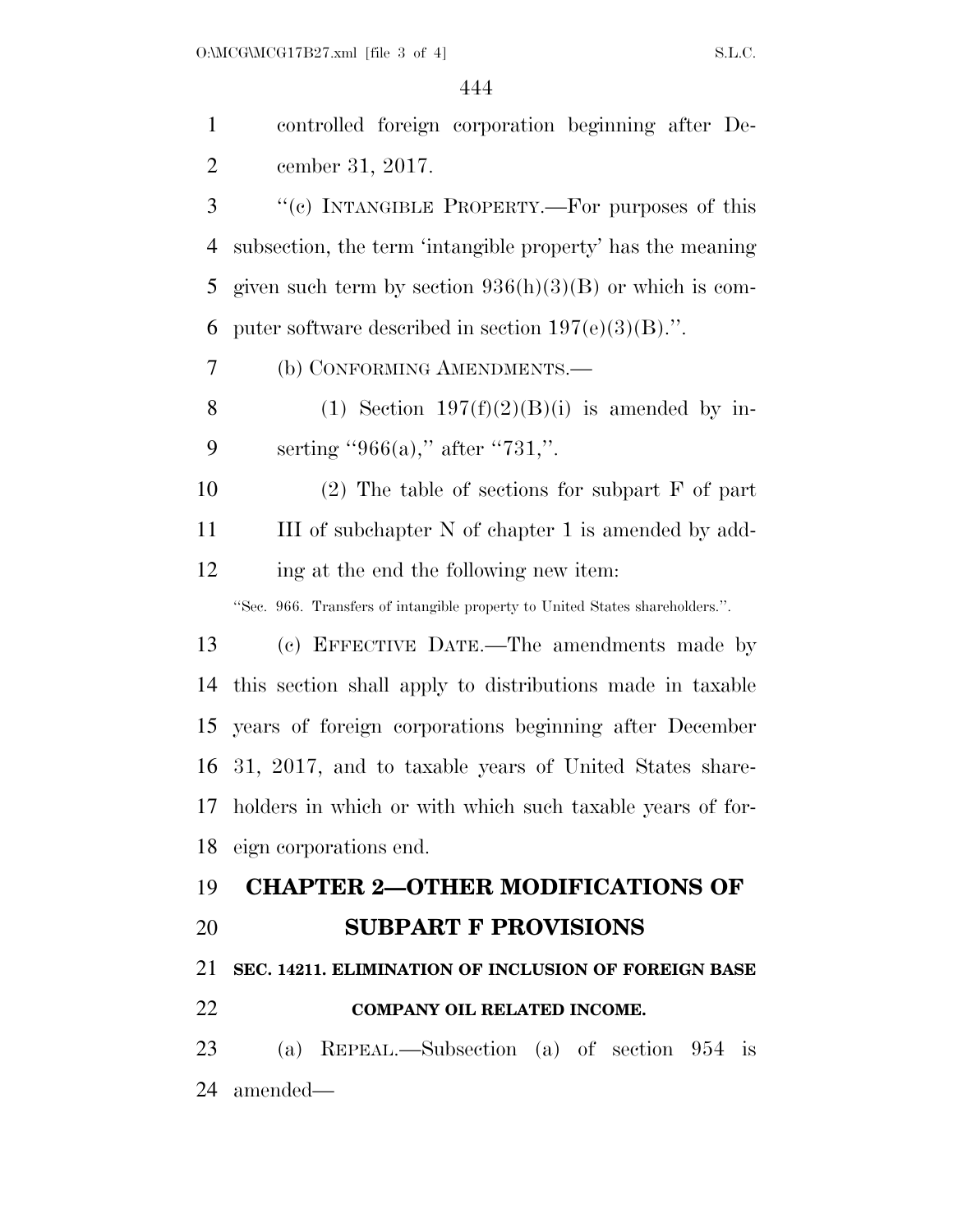controlled foreign corporation beginning after De-cember 31, 2017.

 ''(c) INTANGIBLE PROPERTY.—For purposes of this subsection, the term 'intangible property' has the meaning given such term by section 936(h)(3)(B) or which is com-6 puter software described in section  $197(e)(3)(B)$ .".

(b) CONFORMING AMENDMENTS.—

8 (1) Section  $197(f)(2)(B)(i)$  is amended by in-9 serting "966(a)," after "731,".

 (2) The table of sections for subpart F of part 11 III of subchapter N of chapter 1 is amended by add-ing at the end the following new item:

''Sec. 966. Transfers of intangible property to United States shareholders.''.

 (c) EFFECTIVE DATE.—The amendments made by this section shall apply to distributions made in taxable years of foreign corporations beginning after December 31, 2017, and to taxable years of United States share- holders in which or with which such taxable years of for-eign corporations end.

#### **CHAPTER 2—OTHER MODIFICATIONS OF**

#### **SUBPART F PROVISIONS**

#### **SEC. 14211. ELIMINATION OF INCLUSION OF FOREIGN BASE**

**COMPANY OIL RELATED INCOME.** 

 (a) REPEAL.—Subsection (a) of section 954 is amended—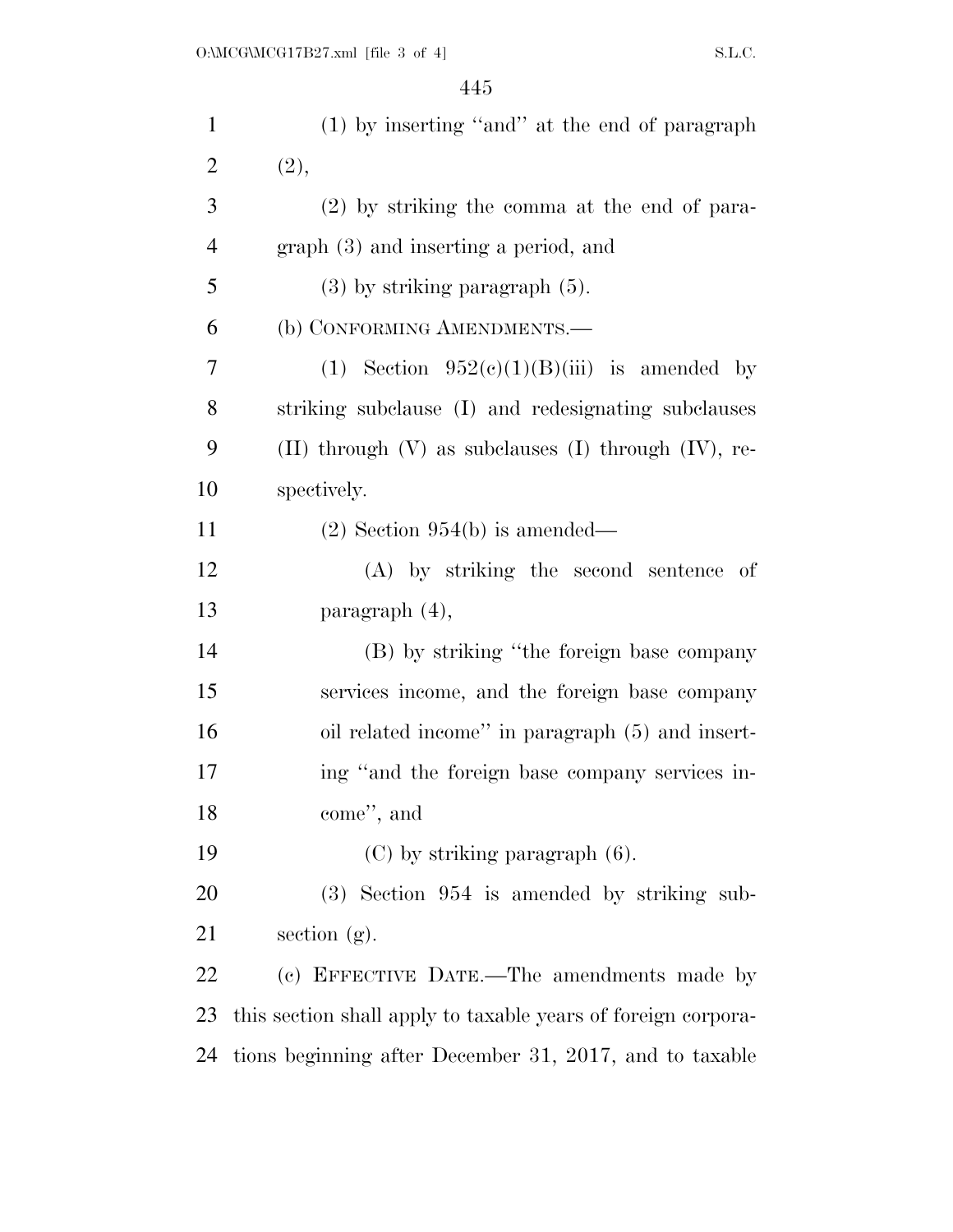| $\mathbf{1}$   | (1) by inserting "and" at the end of paragraph                |
|----------------|---------------------------------------------------------------|
| $\overline{2}$ | (2),                                                          |
| 3              | $(2)$ by striking the comma at the end of para-               |
| $\overline{4}$ | graph (3) and inserting a period, and                         |
| 5              | $(3)$ by striking paragraph $(5)$ .                           |
| 6              | (b) CONFORMING AMENDMENTS.-                                   |
| 7              | (1) Section $952(e)(1)(B)(iii)$ is amended by                 |
| 8              | striking subclause (I) and redesignating subclauses           |
| 9              | (II) through $(V)$ as subclauses $(I)$ through $(IV)$ , re-   |
| 10             | spectively.                                                   |
| 11             | $(2)$ Section 954(b) is amended—                              |
| 12             | (A) by striking the second sentence of                        |
| 13             | paragraph $(4)$ ,                                             |
| 14             | (B) by striking "the foreign base company                     |
| 15             | services income, and the foreign base company                 |
| 16             | oil related income" in paragraph (5) and insert-              |
| 17             | ing "and the foreign base company services in-                |
| 18             | come", and                                                    |
| 19             | $(C)$ by striking paragraph $(6)$ .                           |
| 20             | $(3)$ Section 954 is amended by striking sub-                 |
| 21             | section $(g)$ .                                               |
| 22             | (c) EFFECTIVE DATE.—The amendments made by                    |
| 23             | this section shall apply to taxable years of foreign corpora- |
| 24             | tions beginning after December 31, 2017, and to taxable       |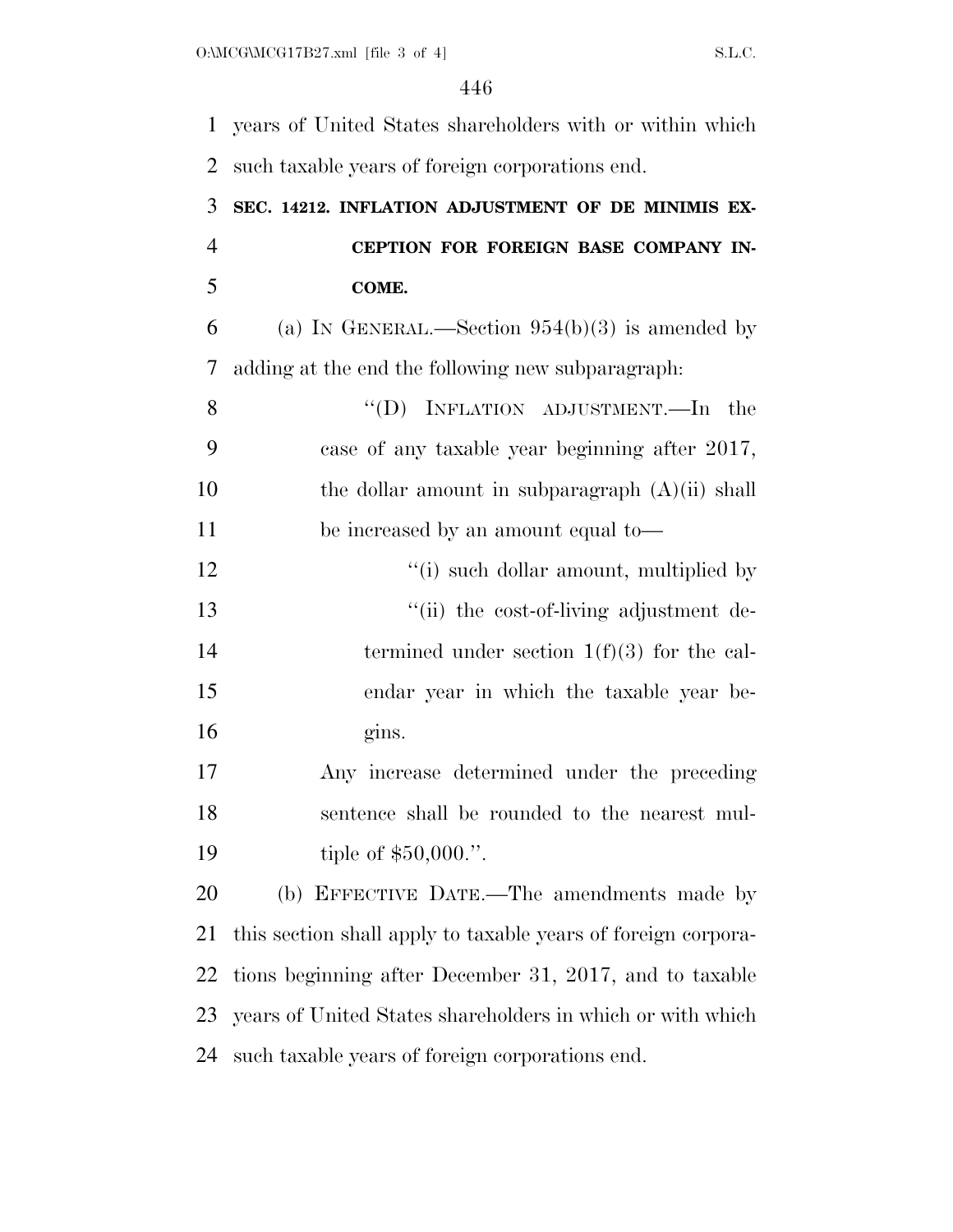years of United States shareholders with or within which such taxable years of foreign corporations end. **SEC. 14212. INFLATION ADJUSTMENT OF DE MINIMIS EX- CEPTION FOR FOREIGN BASE COMPANY IN- COME.**  6 (a) IN GENERAL.—Section  $954(b)(3)$  is amended by adding at the end the following new subparagraph: 8 "(D) INFLATION ADJUSTMENT.—In the case of any taxable year beginning after 2017, 10 the dollar amount in subparagraph (A)(ii) shall be increased by an amount equal to— 12 ''(i) such dollar amount, multiplied by ''(ii) the cost-of-living adjustment de-14 termined under section 1(f)(3) for the cal- endar year in which the taxable year be- gins. Any increase determined under the preceding sentence shall be rounded to the nearest mul-19 tiple of \$50,000.". (b) EFFECTIVE DATE.—The amendments made by this section shall apply to taxable years of foreign corpora- tions beginning after December 31, 2017, and to taxable years of United States shareholders in which or with which

such taxable years of foreign corporations end.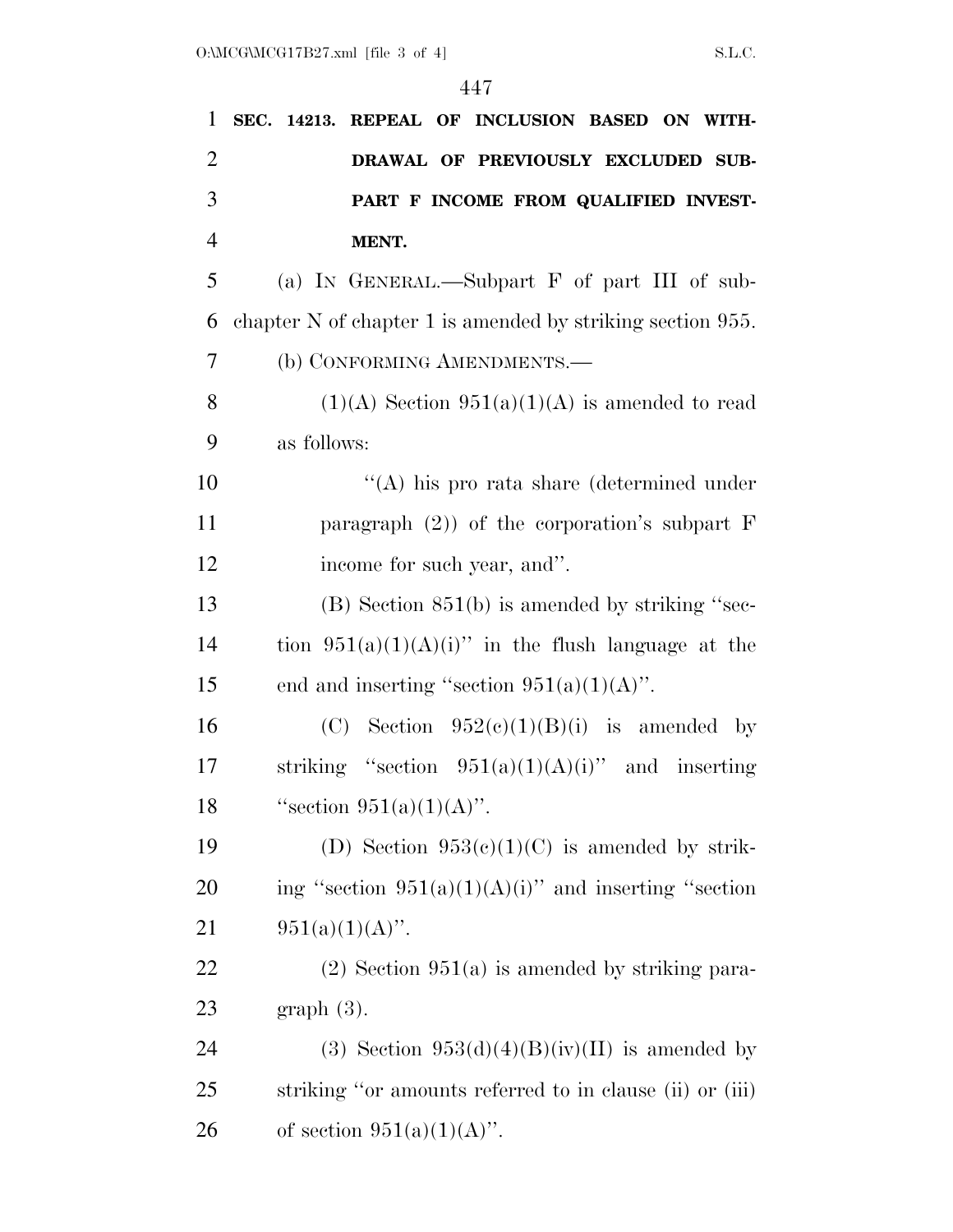| 1              | SEC. 14213. REPEAL OF INCLUSION BASED ON WITH-             |
|----------------|------------------------------------------------------------|
| 2              | DRAWAL OF PREVIOUSLY EXCLUDED SUB-                         |
| 3              | PART F INCOME FROM QUALIFIED INVEST-                       |
| $\overline{4}$ | MENT.                                                      |
| 5              | (a) IN GENERAL.—Subpart F of part III of sub-              |
| 6              | chapter N of chapter 1 is amended by striking section 955. |
| 7              | (b) CONFORMING AMENDMENTS.-                                |
| 8              | $(1)(A)$ Section $951(a)(1)(A)$ is amended to read         |
| 9              | as follows:                                                |
| 10             | $\lq\lq$ his pro rata share (determined under              |
| 11             | paragraph $(2)$ ) of the corporation's subpart F           |
| 12             | income for such year, and".                                |
| 13             | $(B)$ Section 851(b) is amended by striking "sec-          |
| 14             | tion $951(a)(1)(A)(i)$ " in the flush language at the      |
| 15             | end and inserting "section $951(a)(1)(A)$ ".               |
| 16             | (C) Section $952(e)(1)(B)(i)$ is amended by                |
| 17             | striking "section $951(a)(1)(A)(i)$ " and inserting        |
| 18             | "section $951(a)(1)(A)$ ".                                 |
| 19             | (D) Section $953(c)(1)(C)$ is amended by strik-            |
| 20             | ing "section $951(a)(1)(A)(i)$ " and inserting "section    |
| 21             | $951(a)(1)(A)$ ".                                          |
| 22             | $(2)$ Section 951(a) is amended by striking para-          |
| 23             | $graph(3)$ .                                               |
| 24             | (3) Section $953(d)(4)(B)(iv)(II)$ is amended by           |
| 25             | striking "or amounts referred to in clause (ii) or (iii)   |
| 26             | of section $951(a)(1)(A)$ .                                |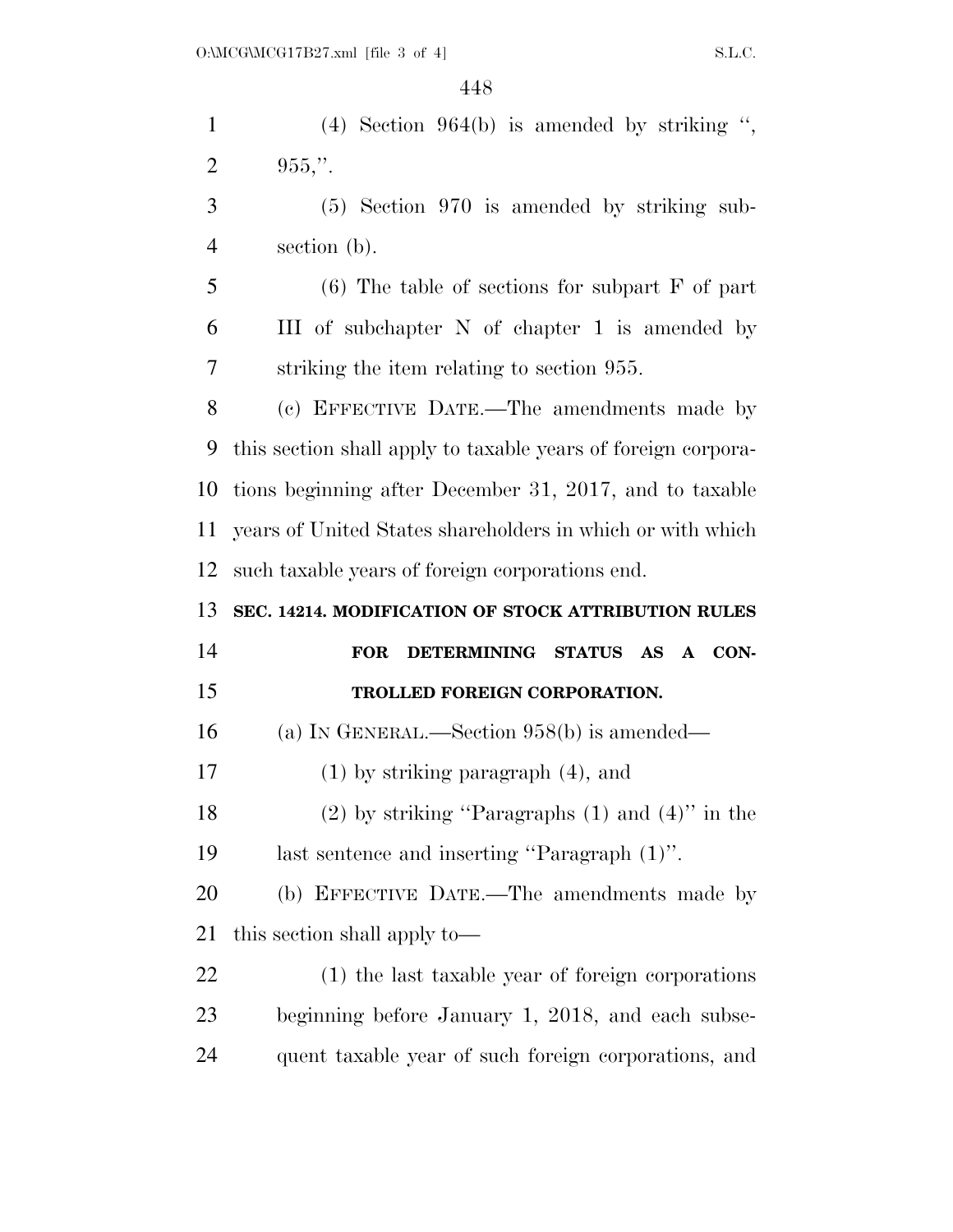(4) Section 964(b) is amended by striking '', 2 .". (5) Section 970 is amended by striking sub- section (b). (6) The table of sections for subpart F of part

 III of subchapter N of chapter 1 is amended by striking the item relating to section 955.

 (c) EFFECTIVE DATE.—The amendments made by this section shall apply to taxable years of foreign corpora- tions beginning after December 31, 2017, and to taxable years of United States shareholders in which or with which such taxable years of foreign corporations end.

**SEC. 14214. MODIFICATION OF STOCK ATTRIBUTION RULES** 

| 14 | FOR DETERMINING STATUS AS A CON-                       |
|----|--------------------------------------------------------|
| 15 | <b>TROLLED FOREIGN CORPORATION.</b>                    |
| 16 | (a) IN GENERAL.—Section $958(b)$ is amended—           |
| 17 | $(1)$ by striking paragraph $(4)$ , and                |
| 18 | $(2)$ by striking "Paragraphs $(1)$ and $(4)$ " in the |
| 19 | last sentence and inserting "Paragraph (1)".           |

 (b) EFFECTIVE DATE.—The amendments made by this section shall apply to—

 (1) the last taxable year of foreign corporations beginning before January 1, 2018, and each subse-quent taxable year of such foreign corporations, and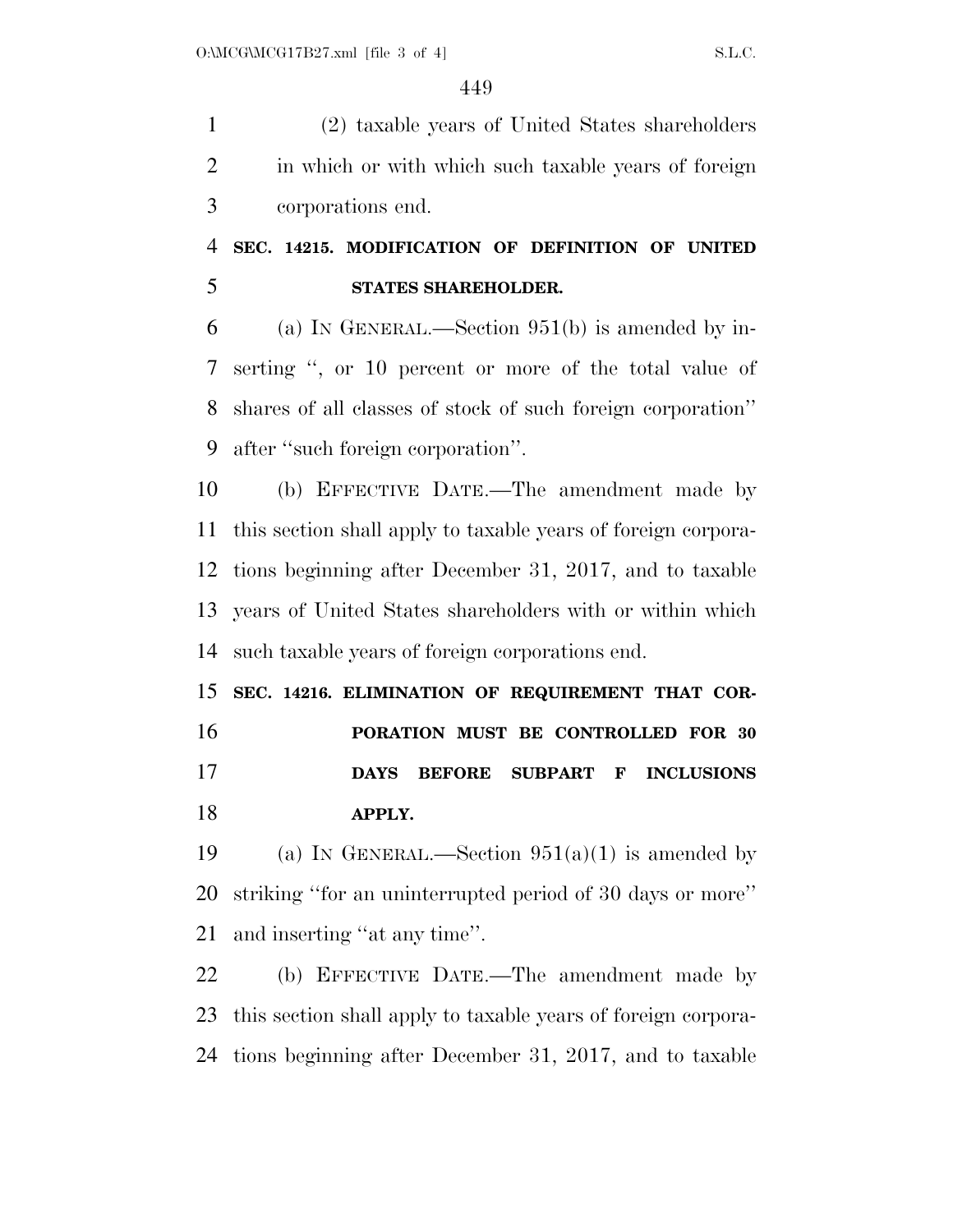(2) taxable years of United States shareholders in which or with which such taxable years of foreign corporations end.

### **SEC. 14215. MODIFICATION OF DEFINITION OF UNITED STATES SHAREHOLDER.**

 (a) IN GENERAL.—Section 951(b) is amended by in- serting '', or 10 percent or more of the total value of shares of all classes of stock of such foreign corporation'' after ''such foreign corporation''.

 (b) EFFECTIVE DATE.—The amendment made by this section shall apply to taxable years of foreign corpora- tions beginning after December 31, 2017, and to taxable years of United States shareholders with or within which such taxable years of foreign corporations end.

 **SEC. 14216. ELIMINATION OF REQUIREMENT THAT COR- PORATION MUST BE CONTROLLED FOR 30 DAYS BEFORE SUBPART F INCLUSIONS APPLY.** 

19 (a) IN GENERAL.—Section  $951(a)(1)$  is amended by striking ''for an uninterrupted period of 30 days or more'' and inserting ''at any time''.

 (b) EFFECTIVE DATE.—The amendment made by this section shall apply to taxable years of foreign corpora-tions beginning after December 31, 2017, and to taxable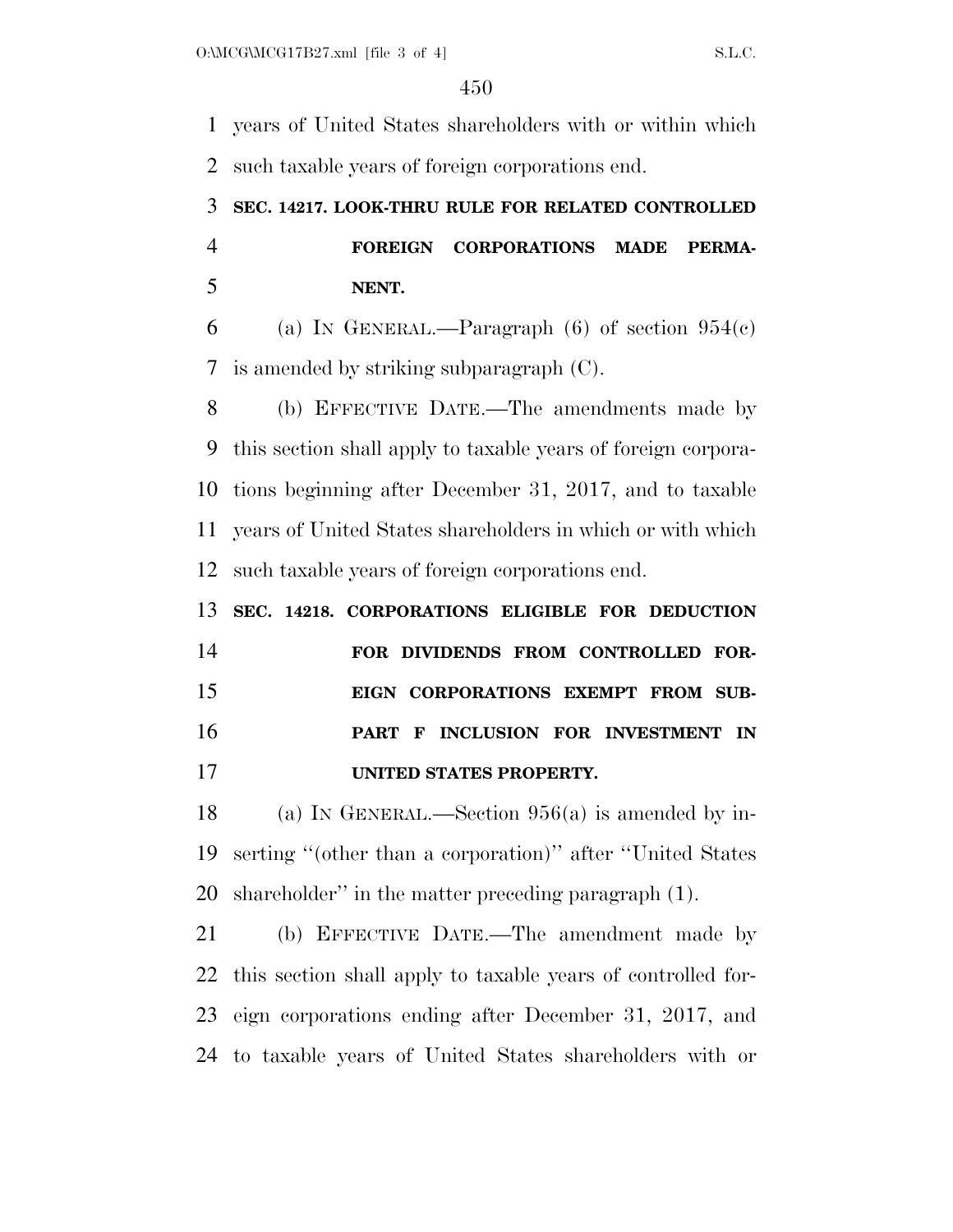years of United States shareholders with or within which such taxable years of foreign corporations end.

## **SEC. 14217. LOOK-THRU RULE FOR RELATED CONTROLLED FOREIGN CORPORATIONS MADE PERMA-NENT.**

6 (a) IN GENERAL.—Paragraph (6) of section  $954(c)$ is amended by striking subparagraph (C).

 (b) EFFECTIVE DATE.—The amendments made by this section shall apply to taxable years of foreign corpora- tions beginning after December 31, 2017, and to taxable years of United States shareholders in which or with which such taxable years of foreign corporations end.

# **SEC. 14218. CORPORATIONS ELIGIBLE FOR DEDUCTION FOR DIVIDENDS FROM CONTROLLED FOR- EIGN CORPORATIONS EXEMPT FROM SUB- PART F INCLUSION FOR INVESTMENT IN UNITED STATES PROPERTY.**

 (a) IN GENERAL.—Section 956(a) is amended by in- serting ''(other than a corporation)'' after ''United States shareholder'' in the matter preceding paragraph (1).

 (b) EFFECTIVE DATE.—The amendment made by this section shall apply to taxable years of controlled for- eign corporations ending after December 31, 2017, and to taxable years of United States shareholders with or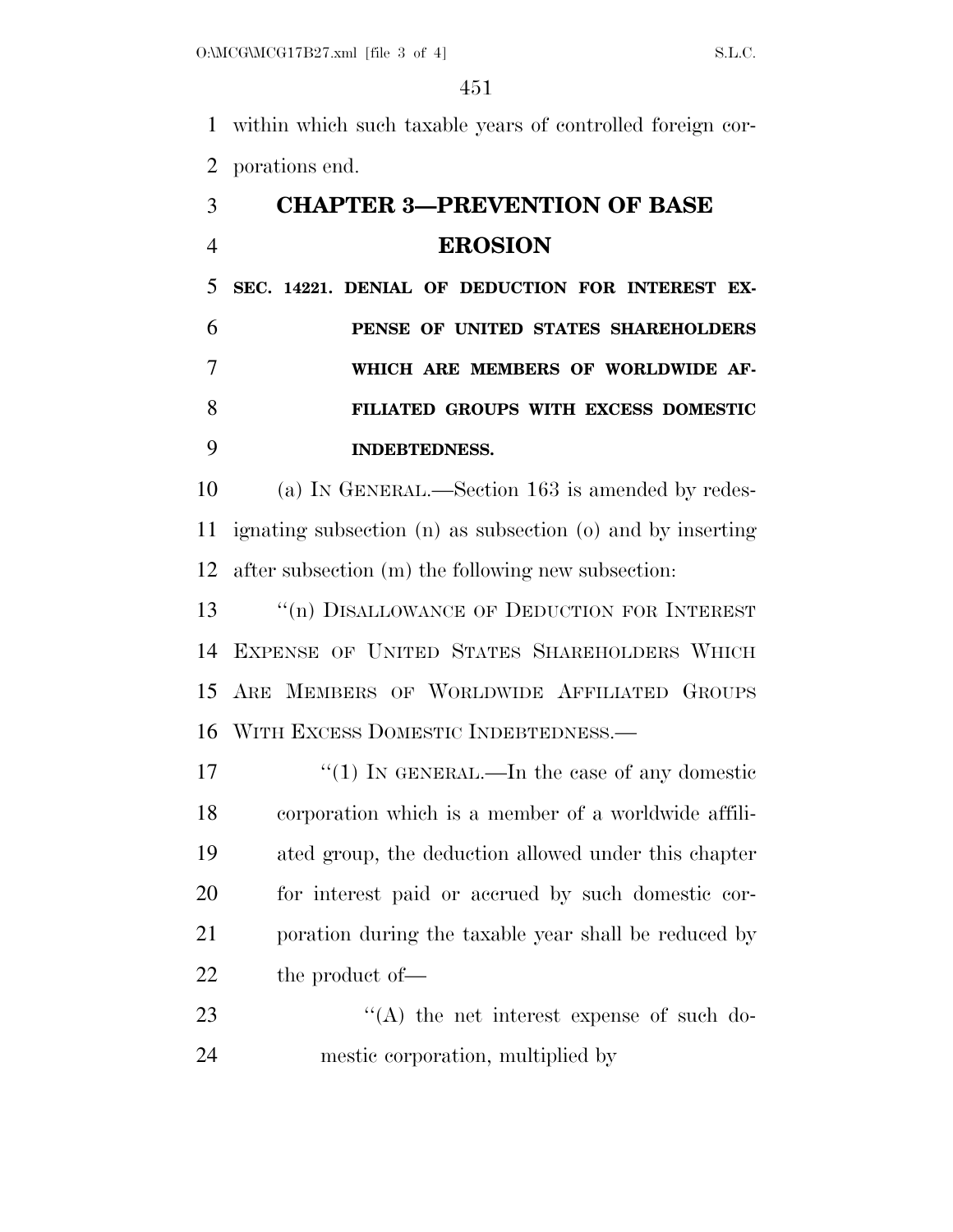within which such taxable years of controlled foreign cor-porations end.

# **CHAPTER 3—PREVENTION OF BASE EROSION**

 **SEC. 14221. DENIAL OF DEDUCTION FOR INTEREST EX- PENSE OF UNITED STATES SHAREHOLDERS WHICH ARE MEMBERS OF WORLDWIDE AF- FILIATED GROUPS WITH EXCESS DOMESTIC INDEBTEDNESS.** 

 (a) IN GENERAL.—Section 163 is amended by redes- ignating subsection (n) as subsection (o) and by inserting after subsection (m) the following new subsection:

13 <sup>"</sup>(n) DISALLOWANCE OF DEDUCTION FOR INTEREST EXPENSE OF UNITED STATES SHAREHOLDERS WHICH ARE MEMBERS OF WORLDWIDE AFFILIATED GROUPS WITH EXCESS DOMESTIC INDEBTEDNESS.—

 $\frac{17}{2}$   $\frac{17}{2}$  IN GENERAL.—In the case of any domestic corporation which is a member of a worldwide affili- ated group, the deduction allowed under this chapter for interest paid or accrued by such domestic cor- poration during the taxable year shall be reduced by 22 the product of —

23 "(A) the net interest expense of such do-mestic corporation, multiplied by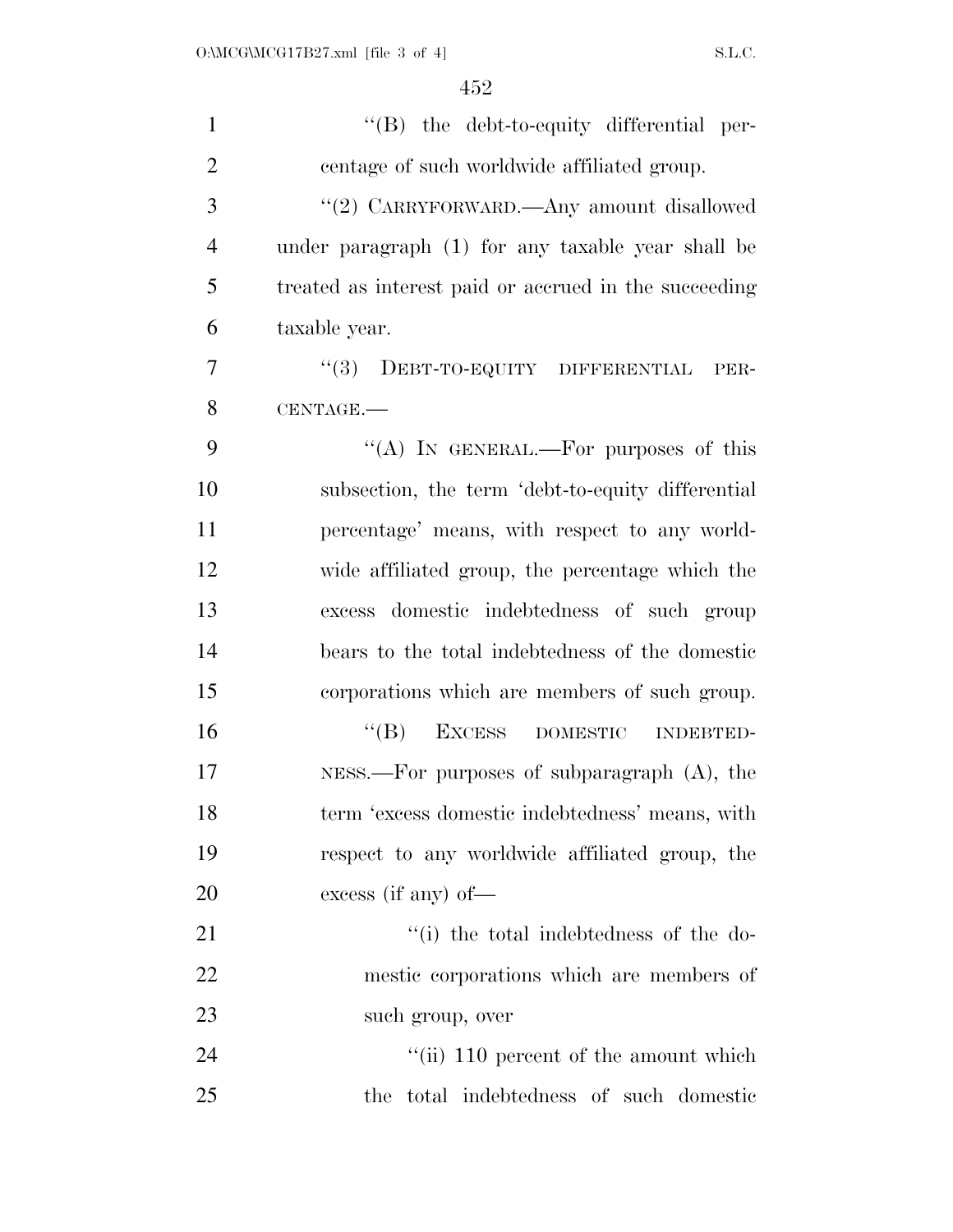| $\mathbf{1}$   | $\lq\lq(B)$ the debt-to-equity differential per-      |
|----------------|-------------------------------------------------------|
| $\overline{2}$ | centage of such worldwide affiliated group.           |
| 3              | "(2) CARRYFORWARD.—Any amount disallowed              |
| $\overline{4}$ | under paragraph (1) for any taxable year shall be     |
| 5              | treated as interest paid or accrued in the succeeding |
| 6              | taxable year.                                         |
| $\overline{7}$ | "(3) DEBT-TO-EQUITY DIFFERENTIAL<br>PER-              |
| 8              | CENTAGE.                                              |
| 9              | "(A) IN GENERAL.—For purposes of this                 |
| 10             | subsection, the term 'debt-to-equity differential     |
| 11             | percentage' means, with respect to any world-         |
| 12             | wide affiliated group, the percentage which the       |
| 13             | excess domestic indebtedness of such group            |
| 14             | bears to the total indebtedness of the domestic       |
| 15             | corporations which are members of such group.         |
| 16             | $\lq\lq (B)$<br>EXCESS DOMESTIC INDEBTED-             |
| 17             | NESS.—For purposes of subparagraph $(A)$ , the        |
| 18             | term 'excess domestic indebtedness' means, with       |
| 19             | respect to any worldwide affiliated group, the        |
| <b>20</b>      | excess (if any) of $-$                                |
| 21             | "(i) the total indebtedness of the do-                |
| 22             | mestic corporations which are members of              |
| 23             | such group, over                                      |
| 24             | "(ii) 110 percent of the amount which                 |
| 25             | the total indebtedness of such domestic               |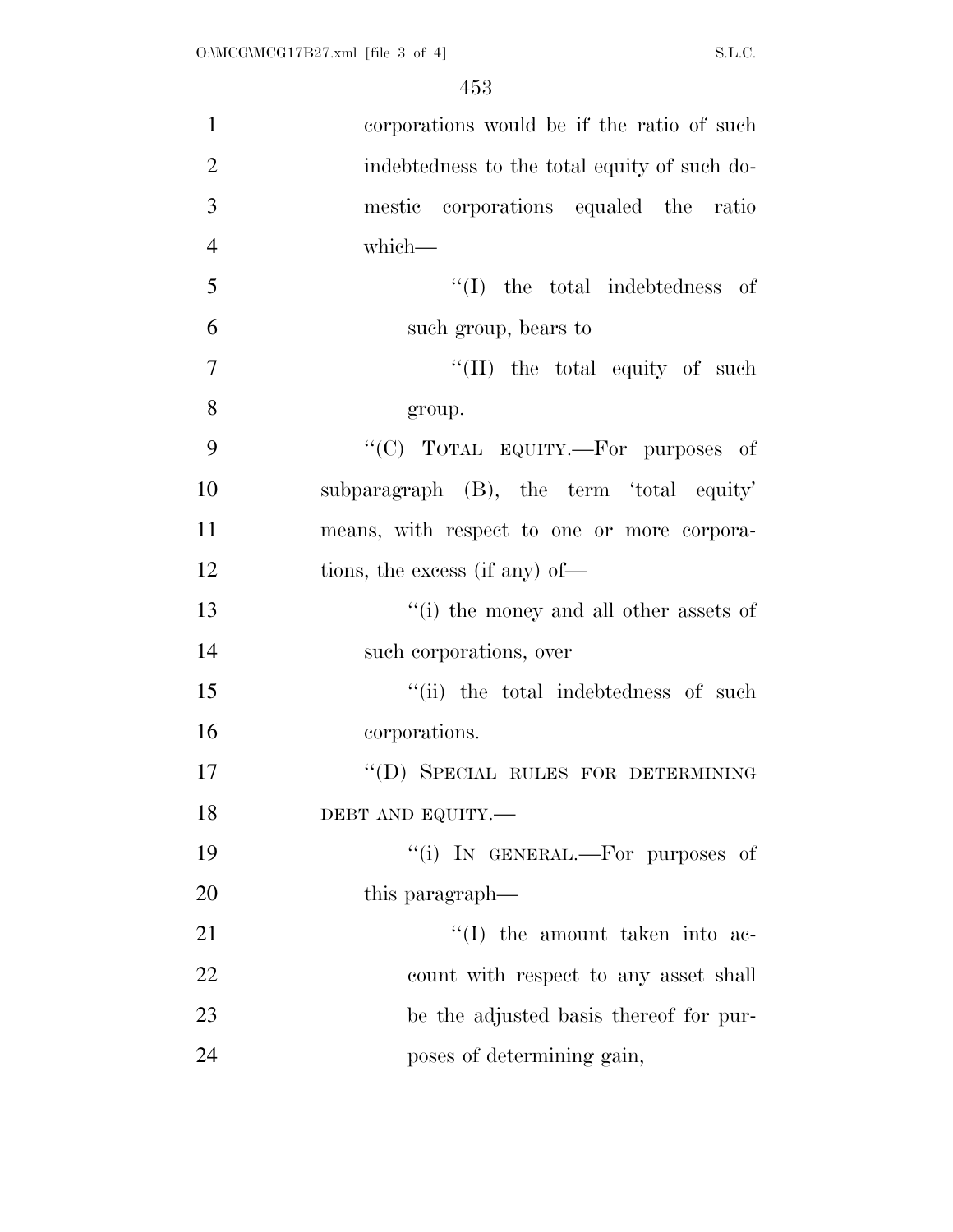| $\mathbf{1}$   | corporations would be if the ratio of such   |
|----------------|----------------------------------------------|
| $\overline{2}$ | indebtedness to the total equity of such do- |
| 3              | mestic corporations equaled the ratio        |
| $\overline{4}$ | which-                                       |
| 5              | $\lq\lq$ (I) the total indebtedness of       |
| 6              | such group, bears to                         |
| $\overline{7}$ | $\lq\lq$ (II) the total equity of such       |
| 8              | group.                                       |
| 9              | "(C) TOTAL EQUITY.—For purposes of           |
| 10             | subparagraph (B), the term 'total equity'    |
| 11             | means, with respect to one or more corpora-  |
| 12             | tions, the excess (if any) of—               |
| 13             | "(i) the money and all other assets of       |
| 14             | such corporations, over                      |
| 15             | "(ii) the total indebtedness of such         |
| 16             | corporations.                                |
| 17             | "(D) SPECIAL RULES FOR DETERMINING           |
| 18             | DEBT AND EQUITY.-                            |
| 19             | "(i) IN GENERAL.—For purposes of             |
| 20             | this paragraph—                              |
| 21             | $\lq\lq$ the amount taken into ac-           |
| 22             | count with respect to any asset shall        |
| 23             | be the adjusted basis thereof for pur-       |
| 24             | poses of determining gain,                   |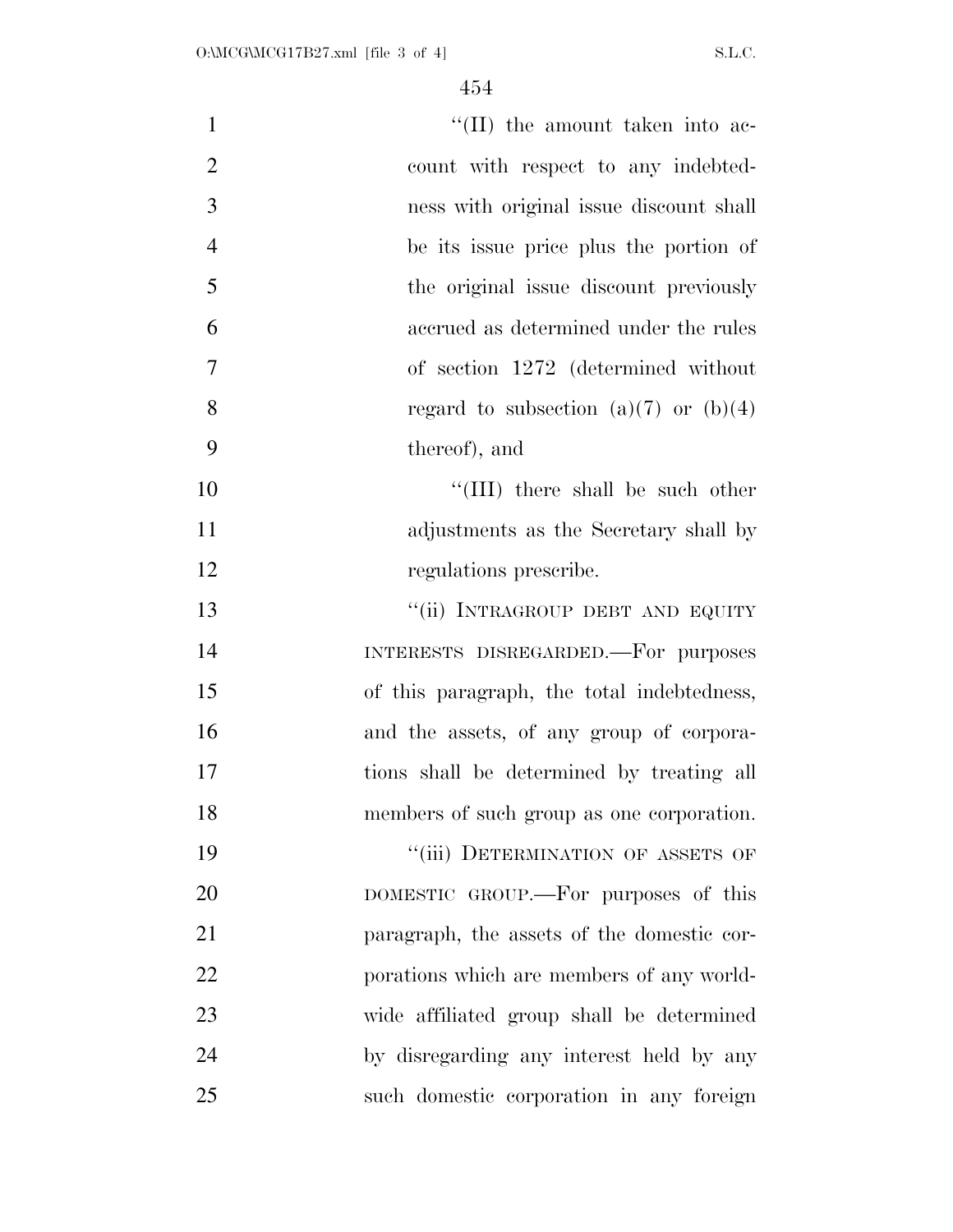| $\mathbf{1}$   | $\lq\lq$ (II) the amount taken into ac-    |
|----------------|--------------------------------------------|
| $\overline{2}$ | count with respect to any indebted-        |
| 3              | ness with original issue discount shall    |
| $\overline{4}$ | be its issue price plus the portion of     |
| 5              | the original issue discount previously     |
| 6              | accrued as determined under the rules      |
| $\tau$         | of section 1272 (determined without        |
| 8              | regard to subsection (a)(7) or (b)(4)      |
| 9              | thereof), and                              |
| 10             | "(III) there shall be such other           |
| 11             | adjustments as the Secretary shall by      |
| 12             | regulations prescribe.                     |
| 13             | "(ii) INTRAGROUP DEBT AND EQUITY           |
| 14             | INTERESTS DISREGARDED. For purposes        |
| 15             | of this paragraph, the total indebtedness, |
| 16             | and the assets, of any group of corpora-   |
| 17             | tions shall be determined by treating all  |
| 18             | members of such group as one corporation.  |
| 19             | "(iii) DETERMINATION OF ASSETS OF          |
| 20             | DOMESTIC GROUP.—For purposes of this       |
| 21             | paragraph, the assets of the domestic cor- |
| 22             | porations which are members of any world-  |
| 23             | wide affiliated group shall be determined  |
| 24             | by disregarding any interest held by any   |
| 25             | such domestic corporation in any foreign   |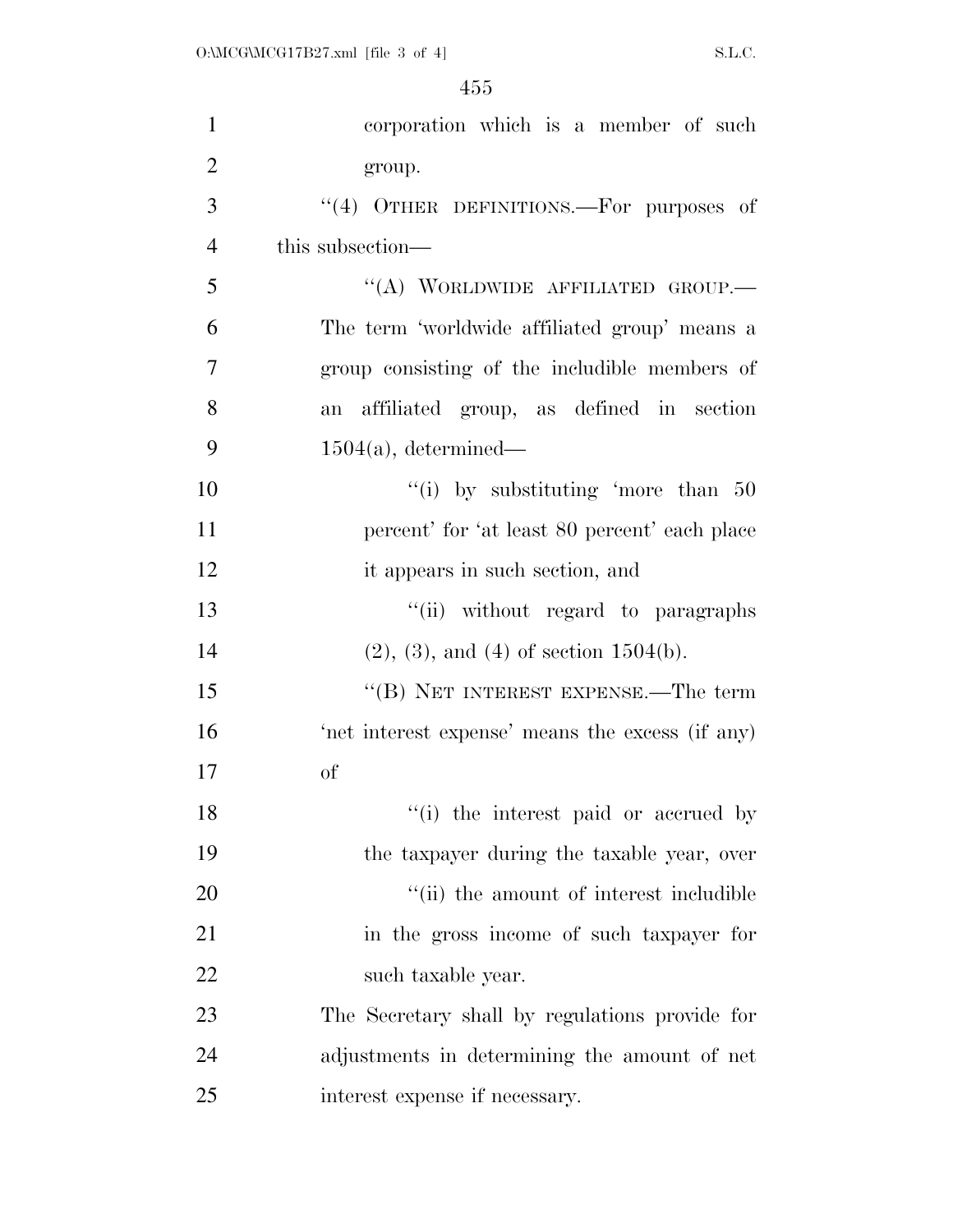| $\mathbf{1}$   | corporation which is a member of such            |
|----------------|--------------------------------------------------|
| $\overline{2}$ | group.                                           |
| 3              | "(4) OTHER DEFINITIONS.—For purposes of          |
| $\overline{4}$ | this subsection—                                 |
| 5              | "(A) WORLDWIDE AFFILIATED GROUP.-                |
| 6              | The term 'worldwide affiliated group' means a    |
| 7              | group consisting of the includible members of    |
| 8              | affiliated group, as defined in section<br>an    |
| 9              | $1504(a)$ , determined—                          |
| 10             | "(i) by substituting 'more than $50$             |
| 11             | percent' for 'at least 80 percent' each place    |
| 12             | it appears in such section, and                  |
| 13             | "(ii) without regard to paragraphs               |
| 14             | $(2), (3),$ and $(4)$ of section 1504(b).        |
| 15             | "(B) NET INTEREST EXPENSE.—The term              |
| 16             | 'net interest expense' means the excess (if any) |
| 17             | of                                               |
| 18             | "(i) the interest paid or accrued by             |
| 19             | the taxpayer during the taxable year, over       |
| 20             | "(ii) the amount of interest includible          |
| 21             | in the gross income of such taxpayer for         |
| 22             | such taxable year.                               |
| 23             | The Secretary shall by regulations provide for   |
| 24             | adjustments in determining the amount of net     |
| 25             | interest expense if necessary.                   |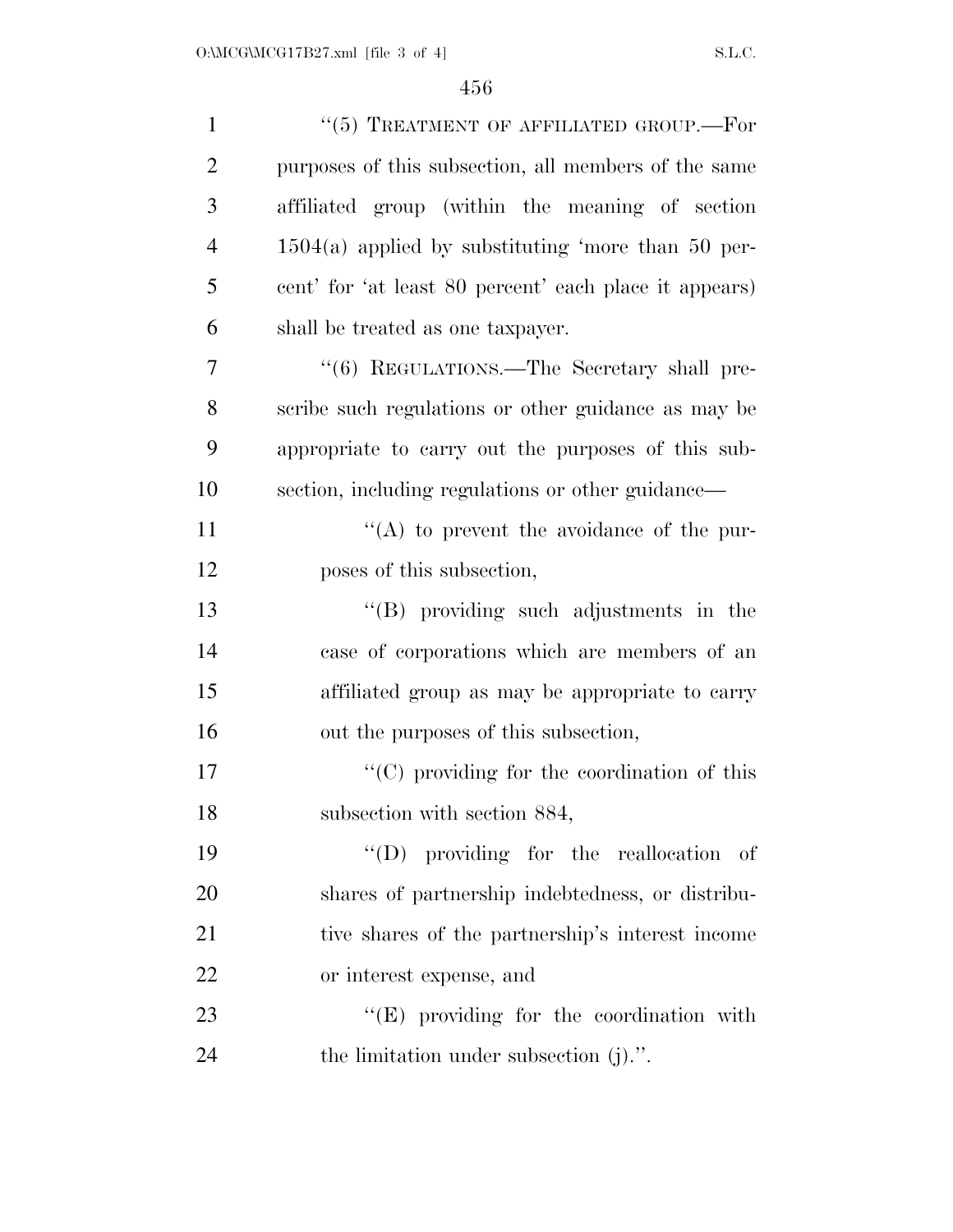| $\mathbf{1}$   | $``(5)$ TREATMENT OF AFFILIATED GROUP.—For             |
|----------------|--------------------------------------------------------|
| $\overline{2}$ | purposes of this subsection, all members of the same   |
| 3              | affiliated group (within the meaning of section        |
| $\overline{4}$ | $1504(a)$ applied by substituting 'more than 50 per-   |
| 5              | cent' for 'at least 80 percent' each place it appears) |
| 6              | shall be treated as one taxpayer.                      |
| 7              | "(6) REGULATIONS.—The Secretary shall pre-             |
| 8              | scribe such regulations or other guidance as may be    |
| 9              | appropriate to carry out the purposes of this sub-     |
| 10             | section, including regulations or other guidance—      |
| 11             | $\lq\lq$ to prevent the avoidance of the pur-          |
| 12             | poses of this subsection,                              |
| 13             | $\lq\lq$ (B) providing such adjustments in the         |
| 14             | case of corporations which are members of an           |
| 15             | affiliated group as may be appropriate to carry        |
| 16             | out the purposes of this subsection,                   |
| 17             | "(C) providing for the coordination of this            |
| 18             | subsection with section 884,                           |
| 19             | $\lq\lq$ (D) providing for the reallocation of         |
| 20             | shares of partnership indebtedness, or distribu-       |
| 21             | tive shares of the partnership's interest income       |
| <u>22</u>      | or interest expense, and                               |
| 23             | $\lq\lq(E)$ providing for the coordination with        |
| 24             | the limitation under subsection $(j)$ .".              |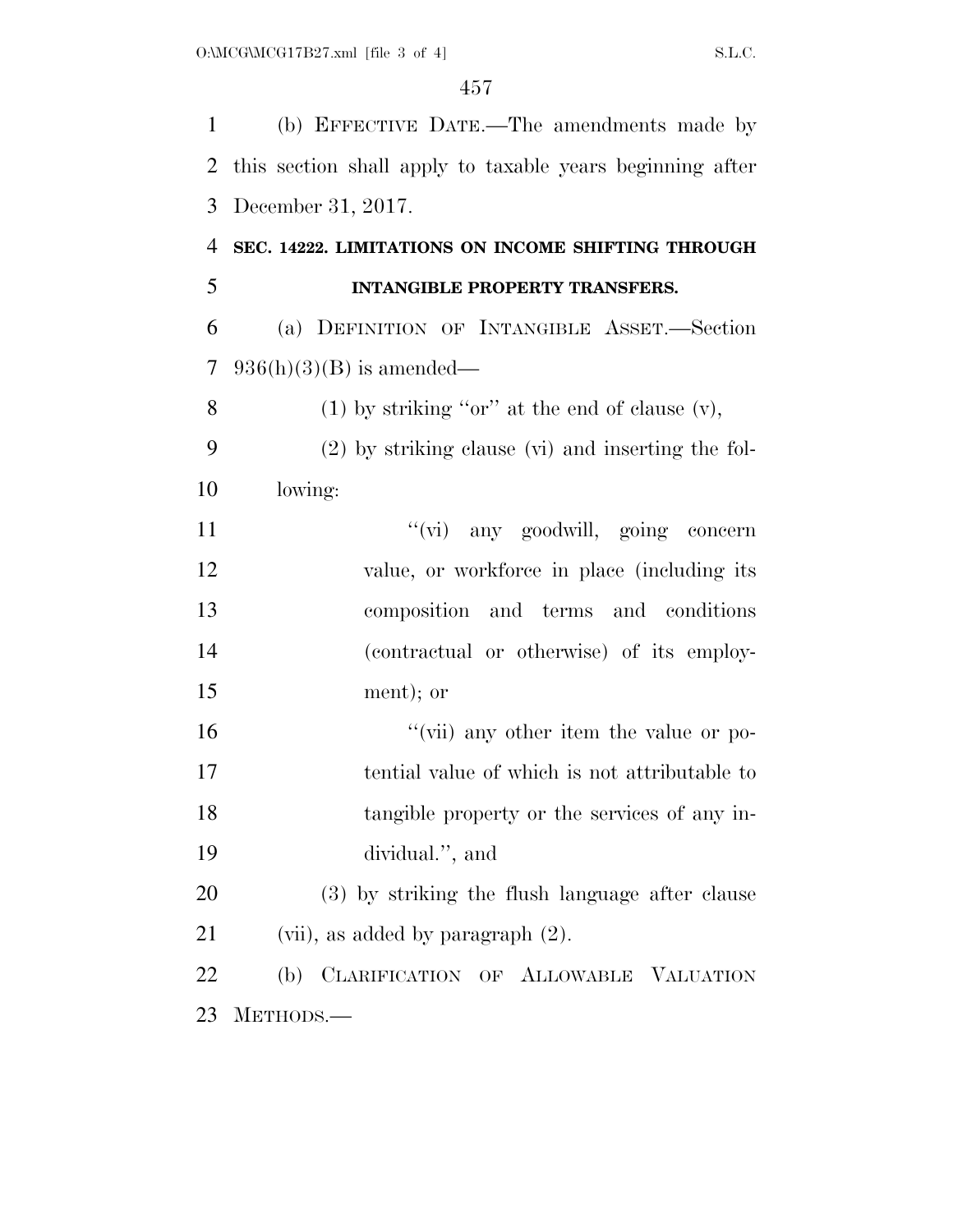(b) EFFECTIVE DATE.—The amendments made by this section shall apply to taxable years beginning after December 31, 2017. **SEC. 14222. LIMITATIONS ON INCOME SHIFTING THROUGH INTANGIBLE PROPERTY TRANSFERS.**  (a) DEFINITION OF INTANGIBLE ASSET.—Section 7 936(h)(3)(B) is amended— 8 (1) by striking "or" at the end of clause  $(v)$ , (2) by striking clause (vi) and inserting the fol- lowing: 11 ''(vi) any goodwill, going concern 12 value, or workforce in place (including its composition and terms and conditions (contractual or otherwise) of its employ- ment); or ''(vii) any other item the value or po- tential value of which is not attributable to tangible property or the services of any in- dividual.'', and (3) by striking the flush language after clause 21 (vii), as added by paragraph  $(2)$ . (b) CLARIFICATION OF ALLOWABLE VALUATION METHODS.—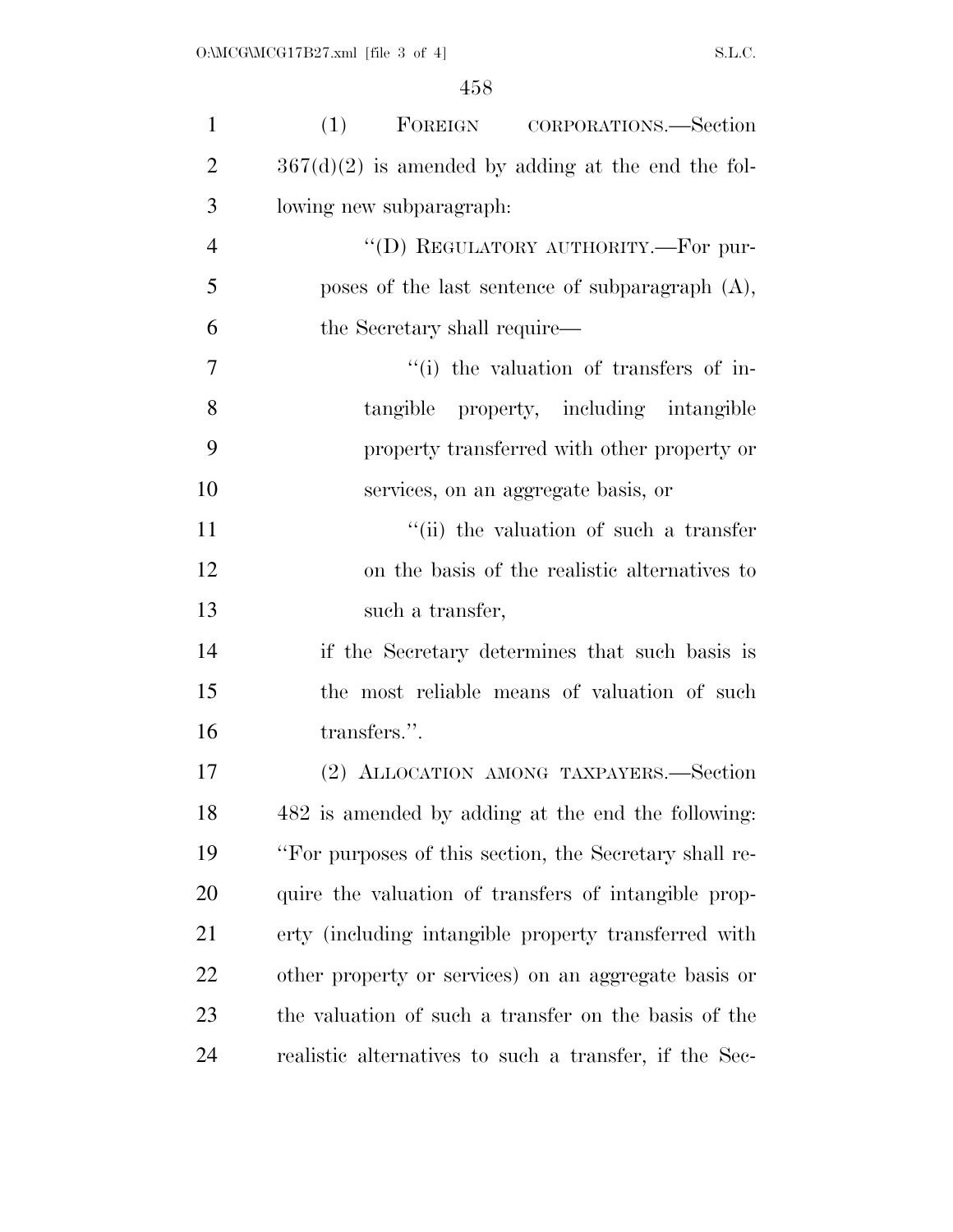| $\mathbf{1}$   | FOREIGN CORPORATIONS.—Section<br>(1)                   |
|----------------|--------------------------------------------------------|
| $\overline{2}$ | $367(d)(2)$ is amended by adding at the end the fol-   |
| 3              | lowing new subparagraph:                               |
| $\overline{4}$ | "(D) REGULATORY AUTHORITY.—For pur-                    |
| 5              | poses of the last sentence of subparagraph $(A)$ ,     |
| 6              | the Secretary shall require—                           |
| 7              | "(i) the valuation of transfers of in-                 |
| 8              | tangible property, including intangible                |
| 9              | property transferred with other property or            |
| 10             | services, on an aggregate basis, or                    |
| 11             | "(ii) the valuation of such a transfer                 |
| 12             | on the basis of the realistic alternatives to          |
| 13             | such a transfer,                                       |
| 14             | if the Secretary determines that such basis is         |
| 15             | the most reliable means of valuation of such           |
| 16             | transfers.".                                           |
| 17             | (2) ALLOCATION AMONG TAXPAYERS.-Section                |
| 18             | 482 is amended by adding at the end the following:     |
| 19             | "For purposes of this section, the Secretary shall re- |
| 20             | quire the valuation of transfers of intangible prop-   |
| 21             | erty (including intangible property transferred with   |
| 22             | other property or services) on an aggregate basis or   |
| 23             | the valuation of such a transfer on the basis of the   |
| 24             | realistic alternatives to such a transfer, if the Sec- |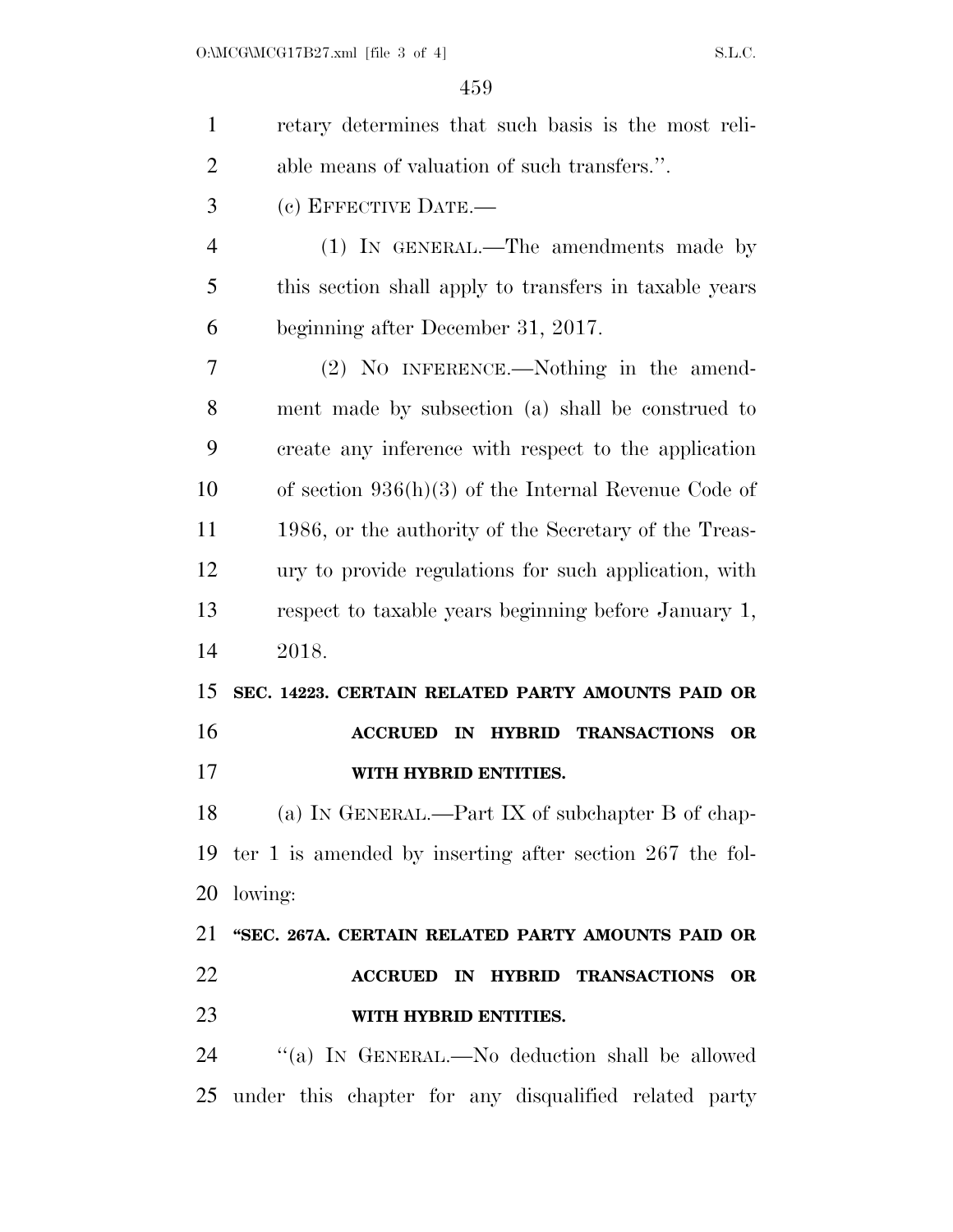| $\mathbf{1}$   | retary determines that such basis is the most reli-                    |
|----------------|------------------------------------------------------------------------|
| $\overline{2}$ | able means of valuation of such transfers.".                           |
| 3              | (c) EFFECTIVE DATE.—                                                   |
| 4              | (1) IN GENERAL.—The amendments made by                                 |
| 5              | this section shall apply to transfers in taxable years                 |
| 6              | beginning after December 31, 2017.                                     |
| 7              | (2) NO INFERENCE.—Nothing in the amend-                                |
| 8              | ment made by subsection (a) shall be construed to                      |
| 9              | create any inference with respect to the application                   |
| 10             | of section $936(h)(3)$ of the Internal Revenue Code of                 |
| 11             | 1986, or the authority of the Secretary of the Treas-                  |
| 12             | ury to provide regulations for such application, with                  |
| 13             | respect to taxable years beginning before January 1,                   |
| 14             | 2018.                                                                  |
| 15             | SEC. 14223. CERTAIN RELATED PARTY AMOUNTS PAID OR                      |
| 16             | <b>ACCRUED</b><br>IN HYBRID TRANSACTIONS<br><b>OR</b>                  |
| 17             | WITH HYBRID ENTITIES.                                                  |
| 18             | (a) IN GENERAL.—Part IX of subchapter B of chap-                       |
|                | 19 ter 1 is amended by inserting after section 267 the fol-            |
| 20             | lowing:                                                                |
| 21             | "SEC. 267A. CERTAIN RELATED PARTY AMOUNTS PAID OR                      |
| 22             | <b>TRANSACTIONS</b><br><b>ACCRUED IN</b><br><b>HYBRID</b><br><b>OR</b> |
| 23             | WITH HYBRID ENTITIES.                                                  |
| 24             | "(a) IN GENERAL.—No deduction shall be allowed                         |

under this chapter for any disqualified related party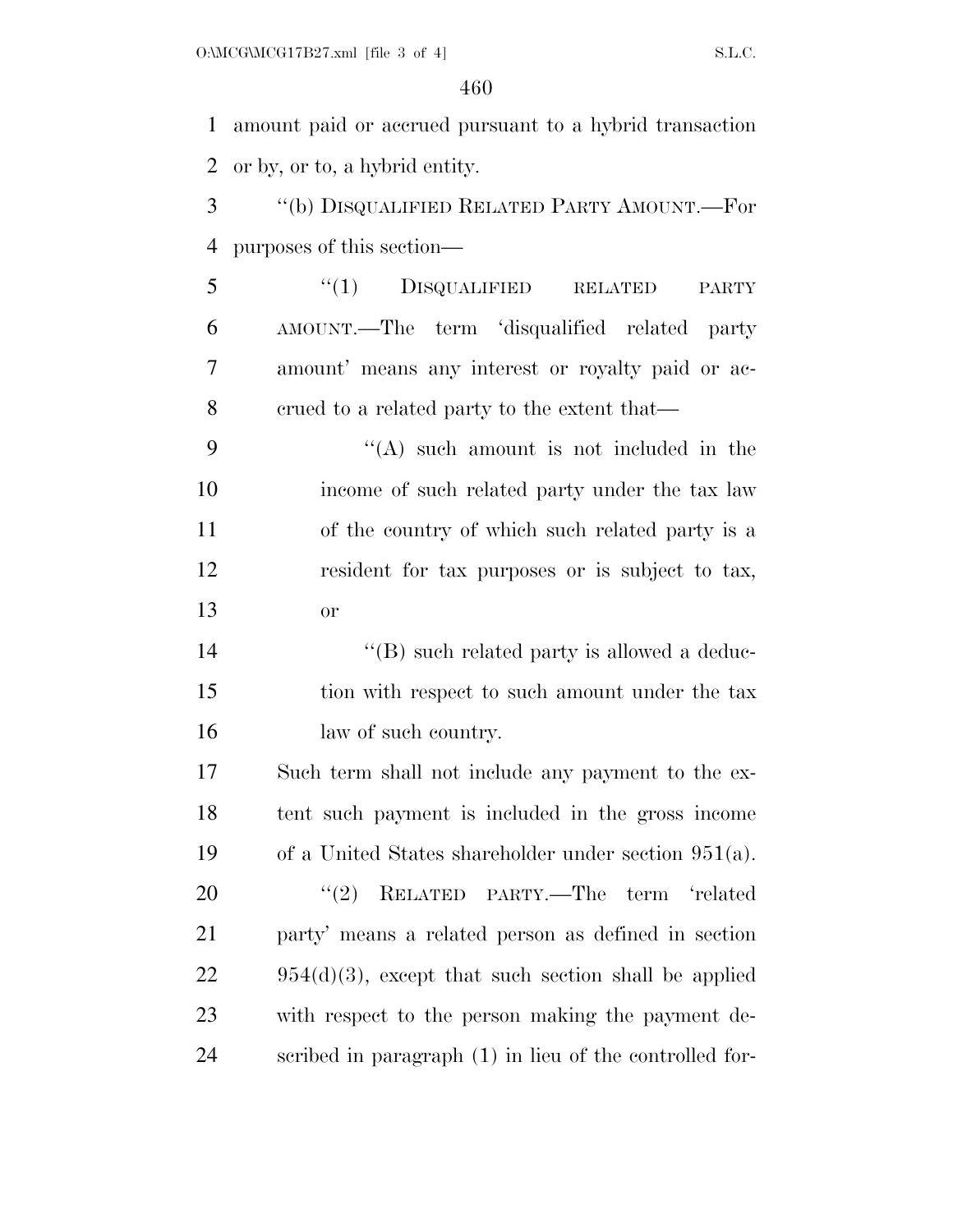amount paid or accrued pursuant to a hybrid transaction or by, or to, a hybrid entity.

 ''(b) DISQUALIFIED RELATED PARTY AMOUNT.—For purposes of this section—

5 "(1) DISQUALIFIED RELATED PARTY AMOUNT.—The term 'disqualified related party amount' means any interest or royalty paid or ac-crued to a related party to the extent that—

 $"({\rm A})$  such amount is not included in the income of such related party under the tax law of the country of which such related party is a resident for tax purposes or is subject to tax, or

14  $\langle G \rangle$  such related party is allowed a deduc- tion with respect to such amount under the tax 16 law of such country.

 Such term shall not include any payment to the ex- tent such payment is included in the gross income of a United States shareholder under section 951(a). 20 "(2) RELATED PARTY.—The term 'related party' means a related person as defined in section  $22 \qquad 954(d)(3)$ , except that such section shall be applied with respect to the person making the payment de-scribed in paragraph (1) in lieu of the controlled for-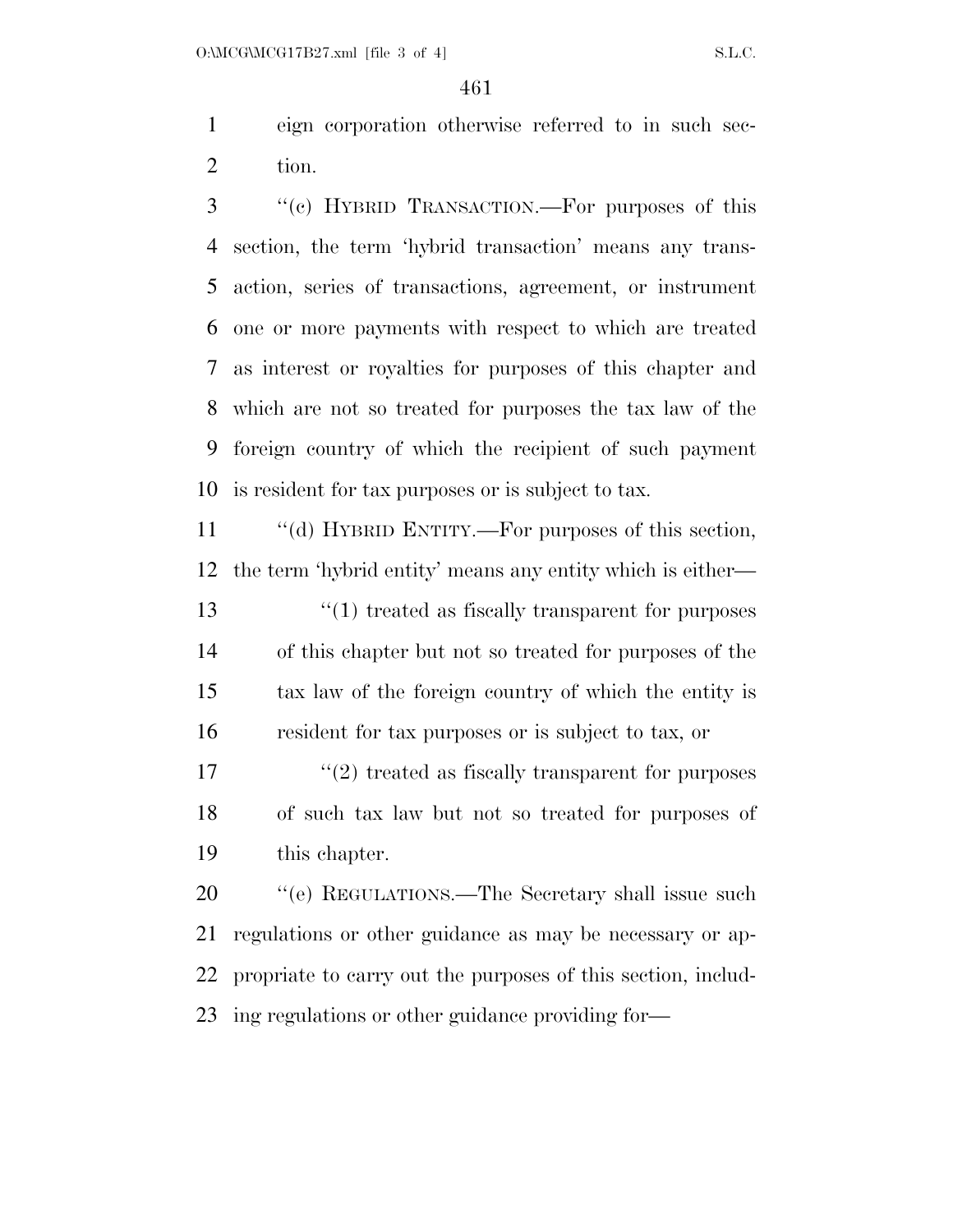eign corporation otherwise referred to in such sec-tion.

 ''(c) HYBRID TRANSACTION.—For purposes of this section, the term 'hybrid transaction' means any trans- action, series of transactions, agreement, or instrument one or more payments with respect to which are treated as interest or royalties for purposes of this chapter and which are not so treated for purposes the tax law of the foreign country of which the recipient of such payment is resident for tax purposes or is subject to tax.

 ''(d) HYBRID ENTITY.—For purposes of this section, the term 'hybrid entity' means any entity which is either— 13 ''(1) treated as fiscally transparent for purposes of this chapter but not so treated for purposes of the tax law of the foreign country of which the entity is resident for tax purposes or is subject to tax, or

 $\binom{17}{2}$  treated as fiscally transparent for purposes of such tax law but not so treated for purposes of this chapter.

20 "'(e) REGULATIONS.—The Secretary shall issue such regulations or other guidance as may be necessary or ap- propriate to carry out the purposes of this section, includ-ing regulations or other guidance providing for—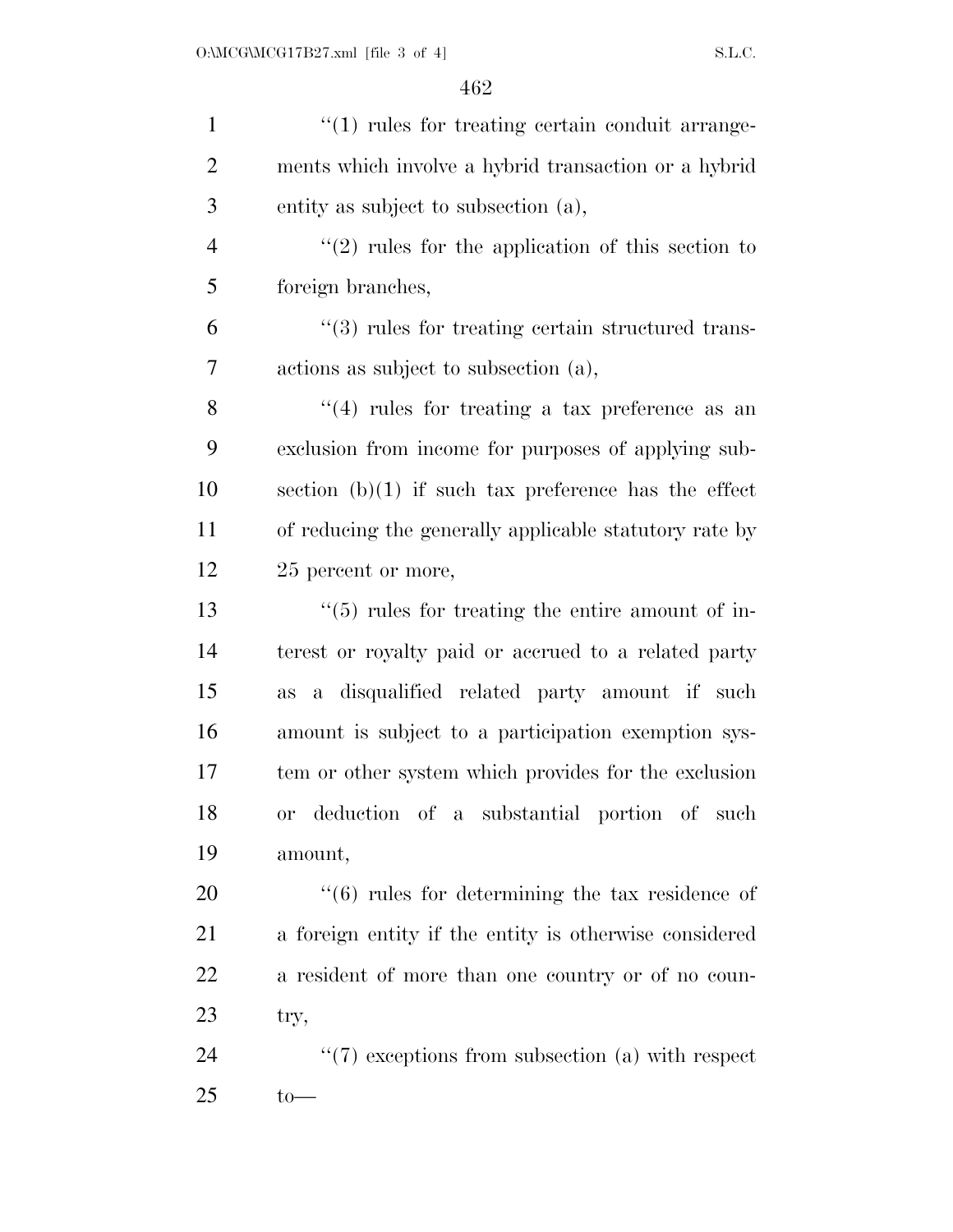| $\mathbf{1}$   | $"(1)$ rules for treating certain conduit arrange-              |
|----------------|-----------------------------------------------------------------|
| $\overline{2}$ | ments which involve a hybrid transaction or a hybrid            |
| 3              | entity as subject to subsection (a),                            |
| $\overline{4}$ | $\lq(2)$ rules for the application of this section to           |
| 5              | foreign branches,                                               |
| 6              | $\cdot\cdot$ (3) rules for treating certain structured trans-   |
| 7              | actions as subject to subsection (a),                           |
| 8              | $(4)$ rules for treating a tax preference as an                 |
| 9              | exclusion from income for purposes of applying sub-             |
| 10             | section $(b)(1)$ if such tax preference has the effect          |
| 11             | of reducing the generally applicable statutory rate by          |
| 12             | 25 percent or more,                                             |
| 13             | $\cdot\cdot$ (5) rules for treating the entire amount of in-    |
| 14             | terest or royalty paid or accrued to a related party            |
| 15             | a disqualified related party amount if such<br><b>as</b>        |
| 16             | amount is subject to a participation exemption sys-             |
| 17             | tem or other system which provides for the exclusion            |
| 18             | or deduction of a substantial portion of such                   |
| 19             | amount,                                                         |
| 20             | $\cdot\cdot\cdot(6)$ rules for determining the tax residence of |
| 21             | a foreign entity if the entity is otherwise considered          |
| 22             | a resident of more than one country or of no coun-              |
| 23             | try,                                                            |
| 24             | $\lq(7)$ exceptions from subsection (a) with respect            |
| 25             | $to-$                                                           |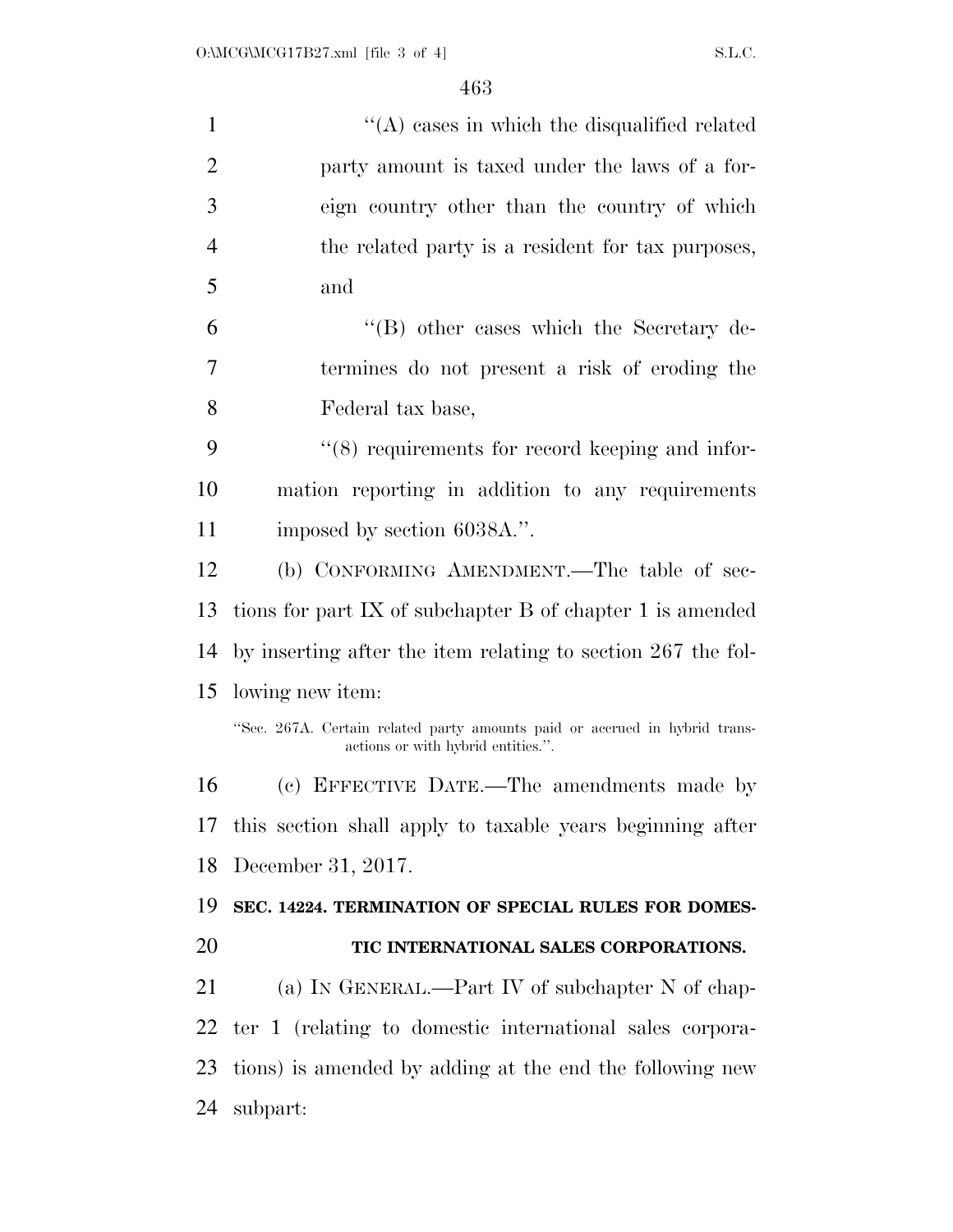| $\mathbf{1}$   | $\lq\lq$ cases in which the disqualified related                                                                 |
|----------------|------------------------------------------------------------------------------------------------------------------|
| $\overline{2}$ | party amount is taxed under the laws of a for-                                                                   |
| 3              | eign country other than the country of which                                                                     |
| $\overline{4}$ | the related party is a resident for tax purposes,                                                                |
| 5              | and                                                                                                              |
| 6              | $\lq\lq (B)$ other cases which the Secretary de-                                                                 |
| 7              | termines do not present a risk of eroding the                                                                    |
| 8              | Federal tax base,                                                                                                |
| 9              | $\cdot$ (8) requirements for record keeping and infor-                                                           |
| 10             | mation reporting in addition to any requirements                                                                 |
| 11             | imposed by section 6038A.".                                                                                      |
| 12             | (b) CONFORMING AMENDMENT.—The table of sec-                                                                      |
| 13             | tions for part IX of subchapter $B$ of chapter 1 is amended                                                      |
| 14             | by inserting after the item relating to section 267 the fol-                                                     |
| 15             | lowing new item:                                                                                                 |
|                | "Sec. 267A. Certain related party amounts paid or accrued in hybrid trans-<br>actions or with hybrid entities.". |
| 16             | (c) EFFECTIVE DATE.—The amendments made by                                                                       |
| 17             | this section shall apply to taxable years beginning after                                                        |
| 18             | December 31, 2017.                                                                                               |
| 19             | SEC. 14224. TERMINATION OF SPECIAL RULES FOR DOMES-                                                              |
| 20             | TIC INTERNATIONAL SALES CORPORATIONS.                                                                            |
| 21             | (a) IN GENERAL.—Part IV of subchapter N of chap-                                                                 |
| 22             | ter 1 (relating to domestic international sales corpora-                                                         |
| 23             | tions) is amended by adding at the end the following new                                                         |
| 24             | subpart:                                                                                                         |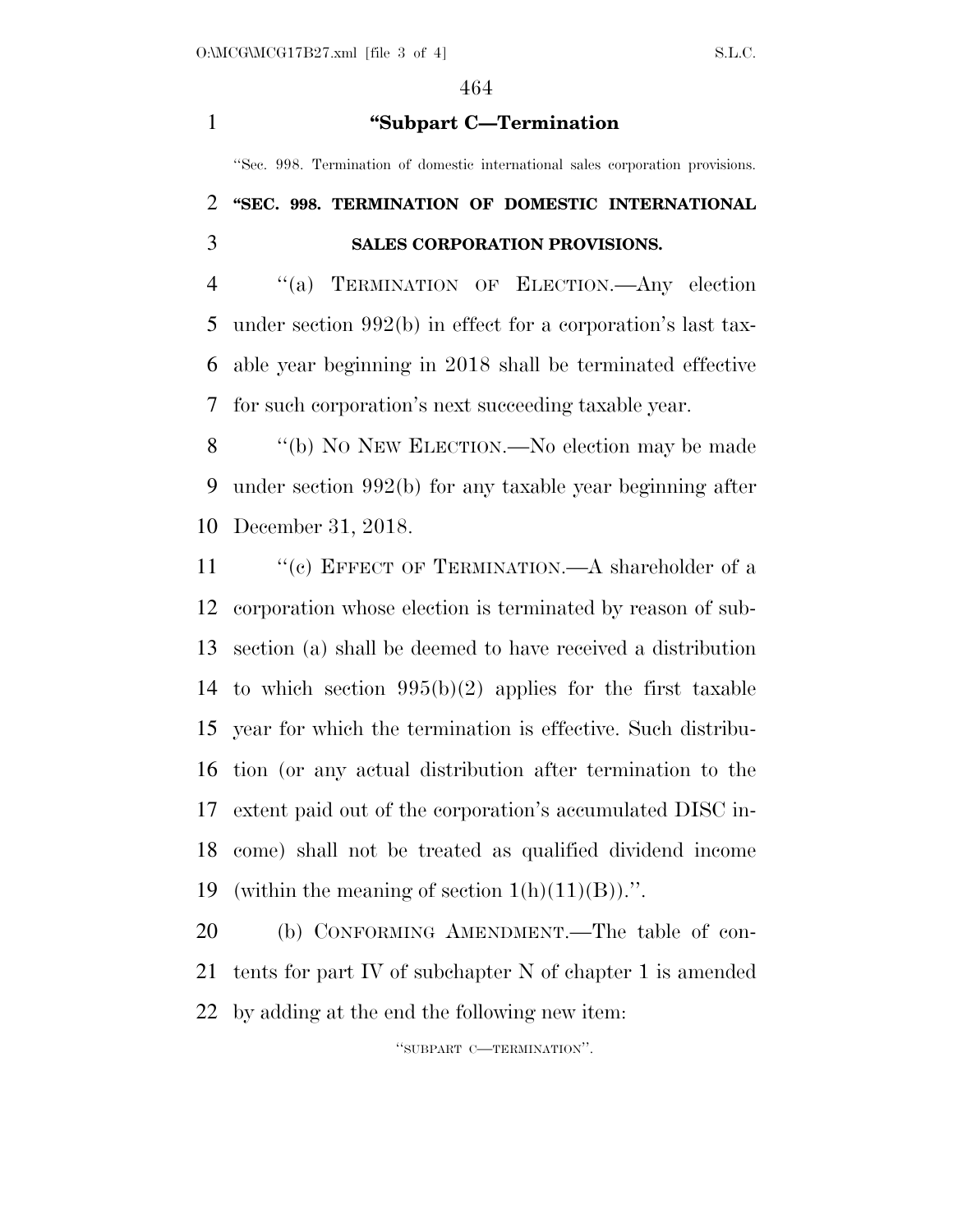**''Subpart C—Termination** 

''Sec. 998. Termination of domestic international sales corporation provisions.

### **''SEC. 998. TERMINATION OF DOMESTIC INTERNATIONAL SALES CORPORATION PROVISIONS.**

 ''(a) TERMINATION OF ELECTION.—Any election under section 992(b) in effect for a corporation's last tax- able year beginning in 2018 shall be terminated effective for such corporation's next succeeding taxable year.

 ''(b) NO NEW ELECTION.—No election may be made under section 992(b) for any taxable year beginning after December 31, 2018.

11 " (c) EFFECT OF TERMINATION.—A shareholder of a corporation whose election is terminated by reason of sub- section (a) shall be deemed to have received a distribution to which section 995(b)(2) applies for the first taxable year for which the termination is effective. Such distribu- tion (or any actual distribution after termination to the extent paid out of the corporation's accumulated DISC in- come) shall not be treated as qualified dividend income 19 (within the meaning of section  $1(h)(11)(B)$ ).".

 (b) CONFORMING AMENDMENT.—The table of con- tents for part IV of subchapter N of chapter 1 is amended by adding at the end the following new item:

''SUBPART C—TERMINATION''.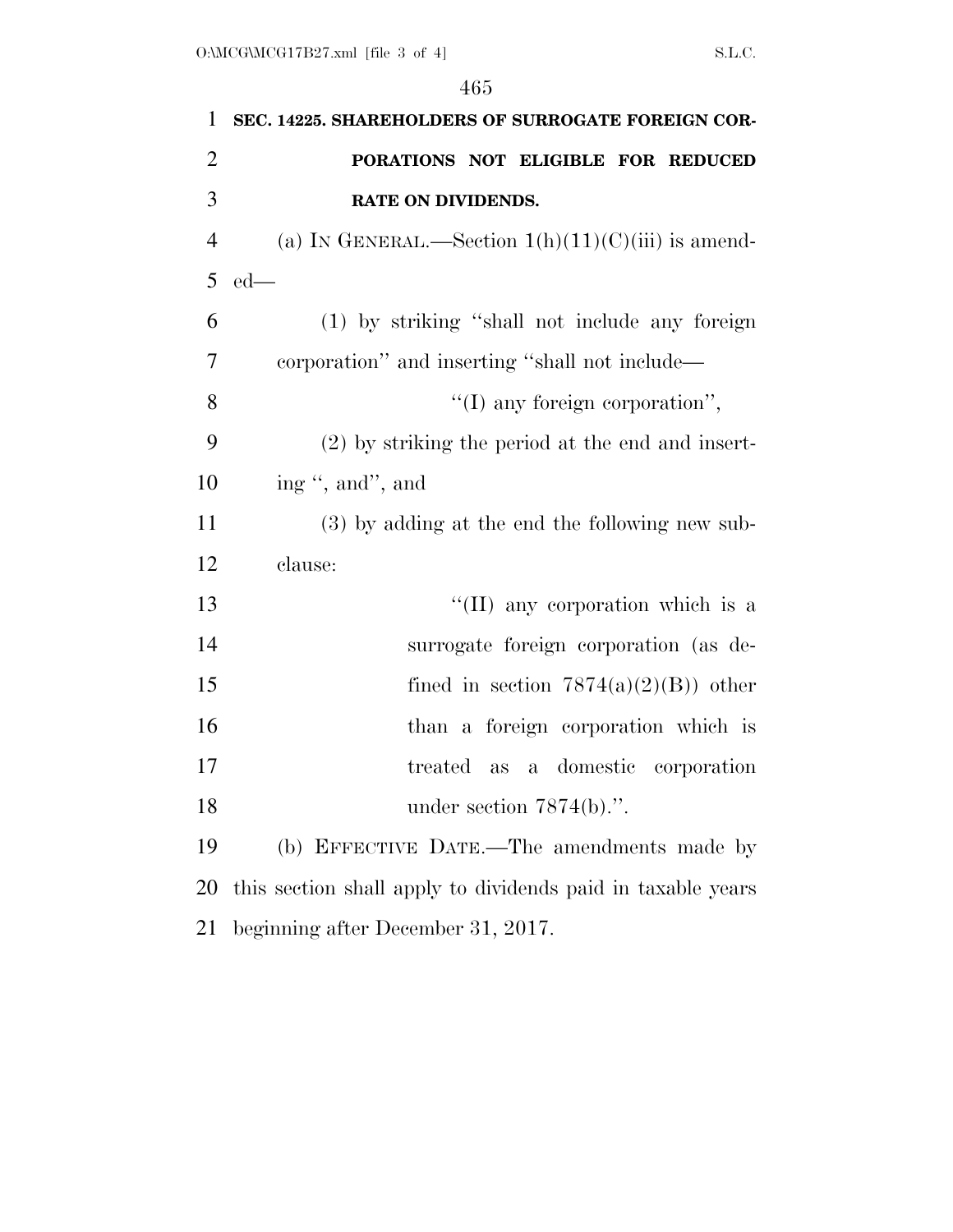| $\mathbf{1}$   | SEC. 14225. SHAREHOLDERS OF SURROGATE FOREIGN COR-          |
|----------------|-------------------------------------------------------------|
| $\overline{2}$ | PORATIONS NOT ELIGIBLE FOR REDUCED                          |
| 3              | RATE ON DIVIDENDS.                                          |
| $\overline{4}$ | (a) IN GENERAL.—Section $1(h)(11)(C)(iii)$ is amend-        |
| 5              | $ed$ —                                                      |
| 6              | (1) by striking "shall not include any foreign              |
| 7              | corporation" and inserting "shall not include—              |
| 8              | $\lq\lq$ (I) any foreign corporation",                      |
| 9              | $(2)$ by striking the period at the end and insert-         |
| 10             | ing ", and", and                                            |
| 11             | (3) by adding at the end the following new sub-             |
| 12             | clause:                                                     |
| 13             | $\lq\lq$ (II) any corporation which is a                    |
| 14             | surrogate foreign corporation (as de-                       |
| 15             | fined in section $7874(a)(2)(B)$ other                      |
| 16             | than a foreign corporation which is                         |
| 17             | treated as a domestic corporation                           |
| 18             | under section $7874(b)$ .".                                 |
| 19             | (b) EFFECTIVE DATE.—The amendments made by                  |
| 20             | this section shall apply to dividends paid in taxable years |
| 21             | beginning after December 31, 2017.                          |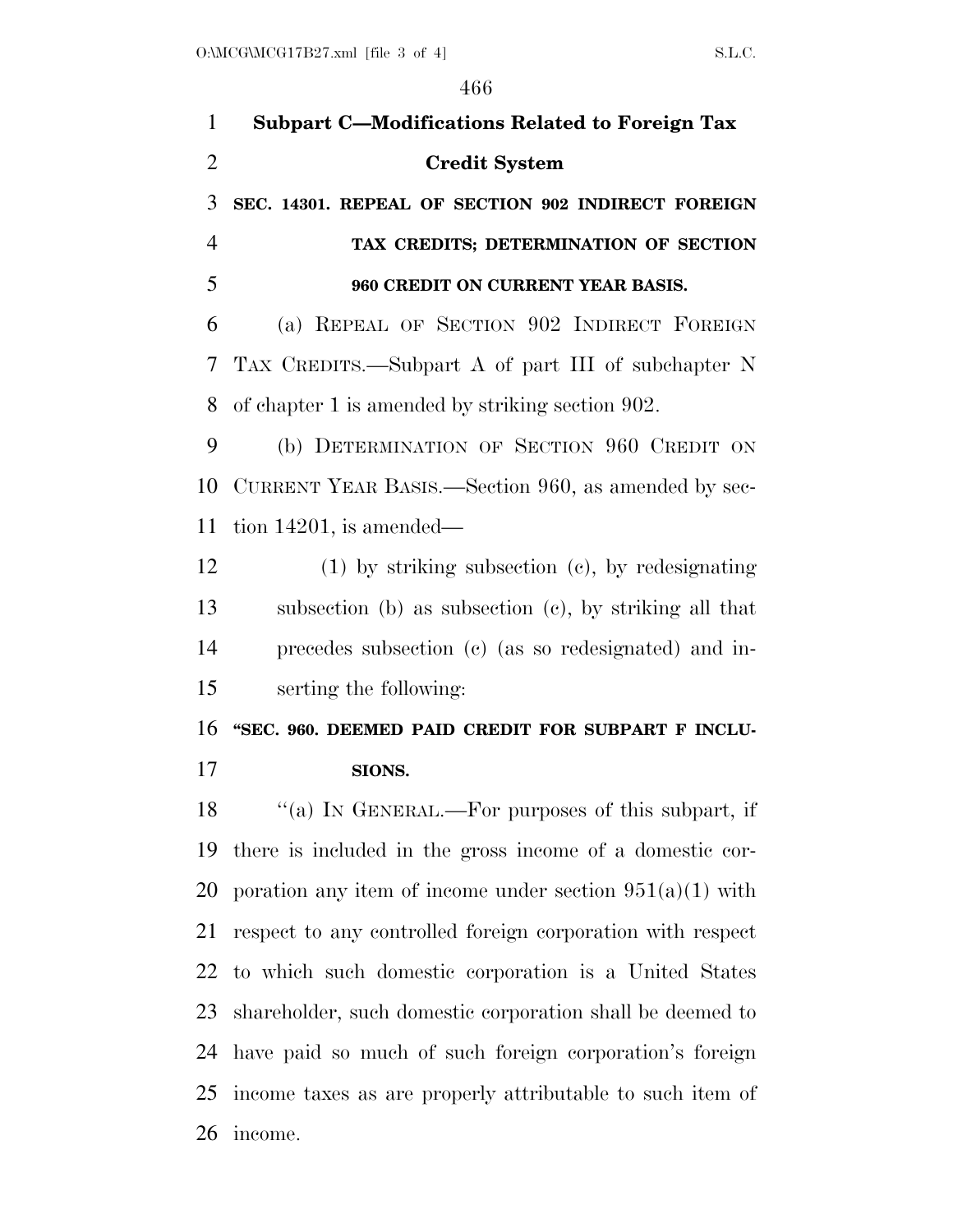| $\mathbf{1}$   | <b>Subpart C-Modifications Related to Foreign Tax</b>      |
|----------------|------------------------------------------------------------|
| $\overline{2}$ | <b>Credit System</b>                                       |
| 3              | SEC. 14301. REPEAL OF SECTION 902 INDIRECT FOREIGN         |
| $\overline{4}$ | TAX CREDITS; DETERMINATION OF SECTION                      |
| 5              | 960 CREDIT ON CURRENT YEAR BASIS.                          |
| 6              | (a) REPEAL OF SECTION 902 INDIRECT FOREIGN                 |
| 7              | TAX CREDITS.—Subpart A of part III of subchapter N         |
| 8              | of chapter 1 is amended by striking section 902.           |
| 9              | (b) DETERMINATION OF SECTION 960 CREDIT ON                 |
| 10             | CURRENT YEAR BASIS.—Section 960, as amended by sec-        |
| 11             | tion $14201$ , is amended—                                 |
| 12             | $(1)$ by striking subsection $(c)$ , by redesignating      |
| 13             | subsection (b) as subsection (c), by striking all that     |
| 14             | precedes subsection (c) (as so redesignated) and in-       |
| 15             | serting the following:                                     |
| 16             | "SEC. 960. DEEMED PAID CREDIT FOR SUBPART F INCLU-         |
| 17             | SIONS.                                                     |
| 18             | "(a) IN GENERAL.—For purposes of this subpart, if          |
| 19             | there is included in the gross income of a domestic cor-   |
| 20             | poration any item of income under section $951(a)(1)$ with |
| 21             | respect to any controlled foreign corporation with respect |
| 22             | to which such domestic corporation is a United States      |
| 23             | shareholder, such domestic corporation shall be deemed to  |
| 24             | have paid so much of such foreign corporation's foreign    |
| 25             | income taxes as are properly attributable to such item of  |
| 26             | income.                                                    |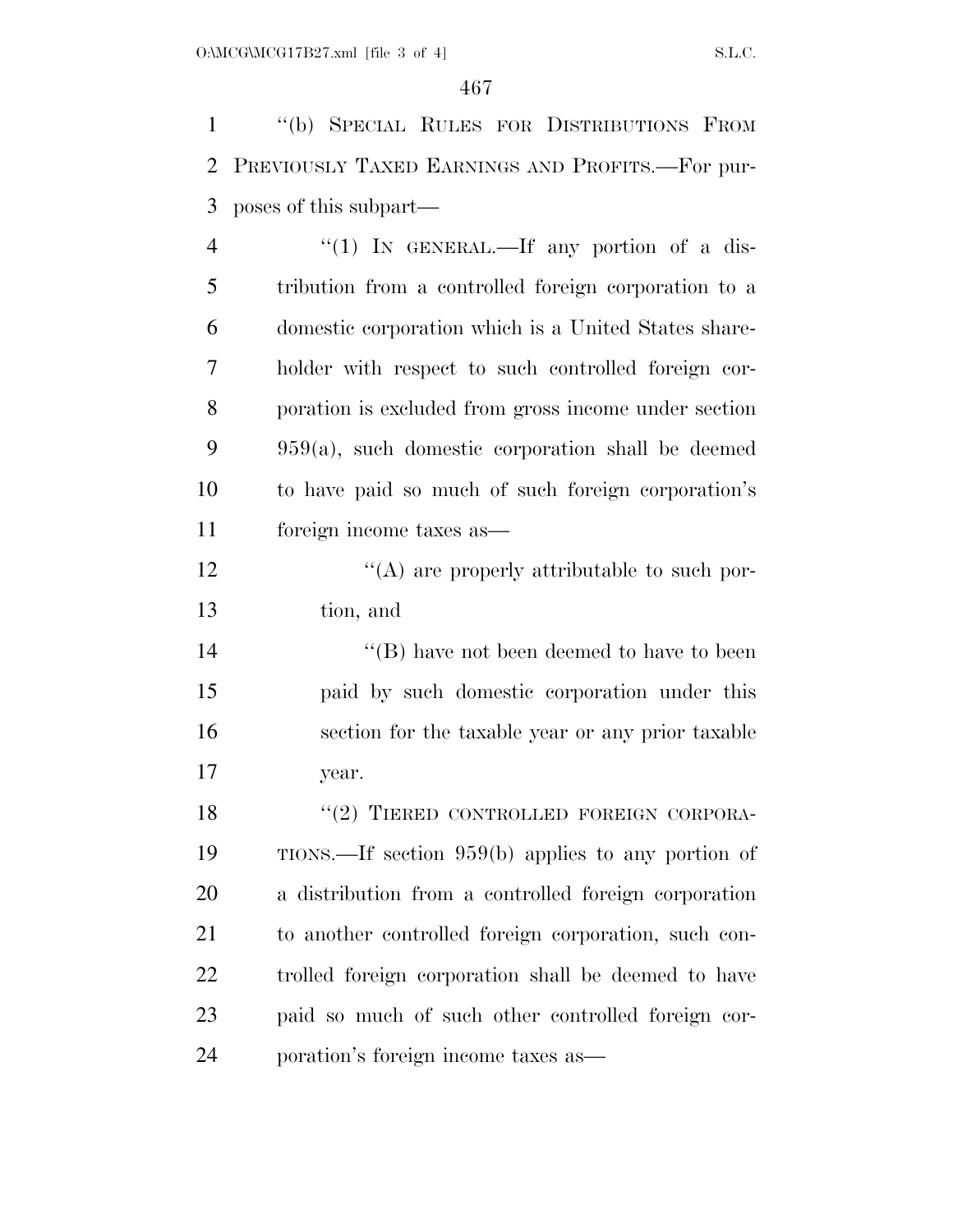''(b) SPECIAL RULES FOR DISTRIBUTIONS FROM PREVIOUSLY TAXED EARNINGS AND PROFITS.—For pur-poses of this subpart—

4 "(1) IN GENERAL.—If any portion of a dis- tribution from a controlled foreign corporation to a domestic corporation which is a United States share- holder with respect to such controlled foreign cor- poration is excluded from gross income under section 959(a), such domestic corporation shall be deemed to have paid so much of such foreign corporation's foreign income taxes as—

12  $\langle (A)$  are properly attributable to such por-tion, and

14 ''(B) have not been deemed to have to been paid by such domestic corporation under this section for the taxable year or any prior taxable year.

18 "(2) TIERED CONTROLLED FOREIGN CORPORA- TIONS.—If section 959(b) applies to any portion of a distribution from a controlled foreign corporation to another controlled foreign corporation, such con- trolled foreign corporation shall be deemed to have paid so much of such other controlled foreign cor-poration's foreign income taxes as—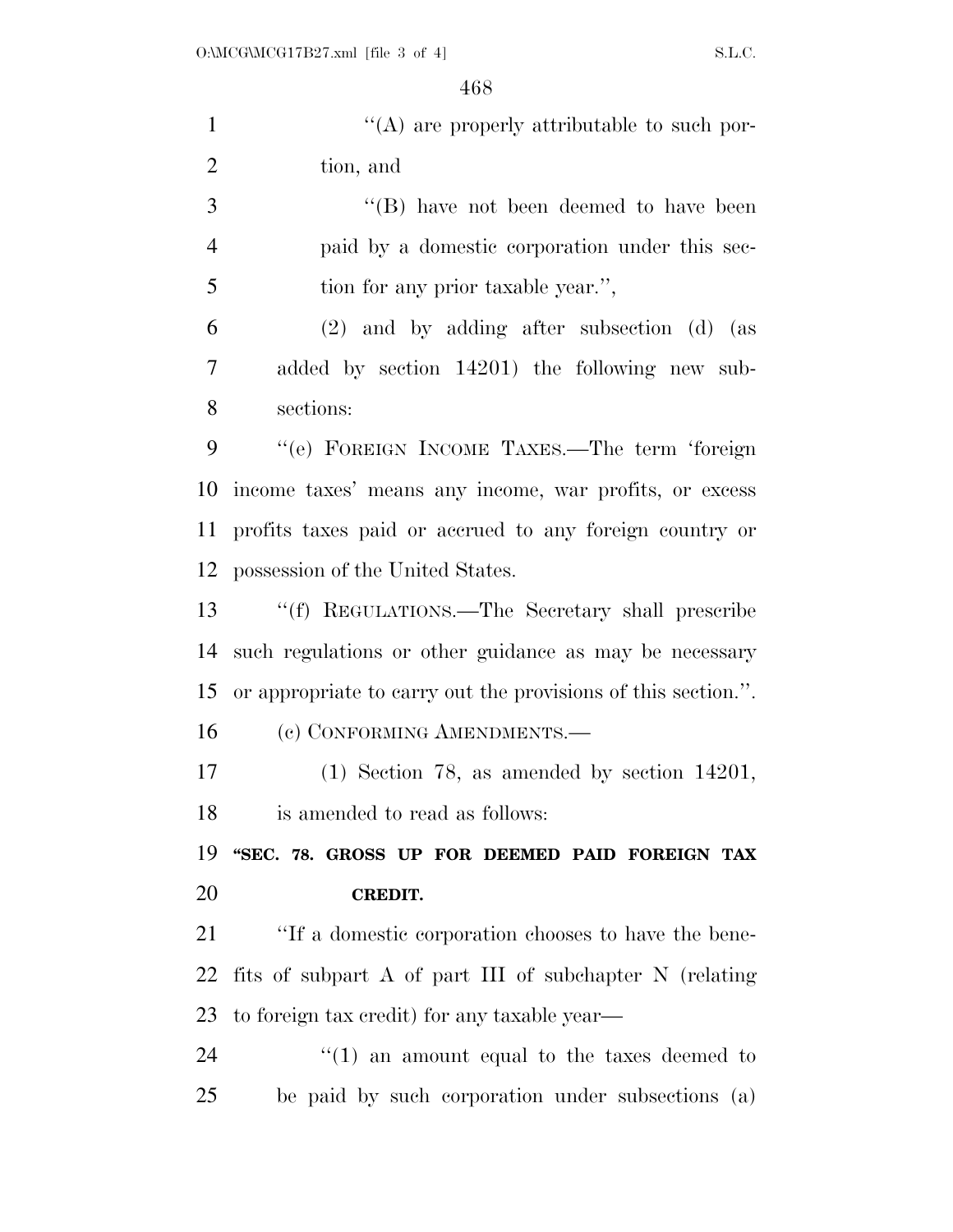| $\mathbf{1}$   | "(A) are properly attributable to such por-                   |
|----------------|---------------------------------------------------------------|
| $\mathbf{2}$   | tion, and                                                     |
| 3              | $\lq\lq$ (B) have not been deemed to have been                |
| $\overline{4}$ | paid by a domestic corporation under this sec-                |
| 5              | tion for any prior taxable year.",                            |
| 6              | $(2)$ and by adding after subsection $(d)$ (as                |
| 7              | added by section 14201) the following new sub-                |
| 8              | sections:                                                     |
| 9              | "(e) FOREIGN INCOME TAXES.—The term 'foreign                  |
| 10             | income taxes' means any income, war profits, or excess        |
| 11             | profits taxes paid or accrued to any foreign country or       |
| 12             | possession of the United States.                              |
| 13             | "(f) REGULATIONS.—The Secretary shall prescribe               |
| 14             | such regulations or other guidance as may be necessary        |
| 15             | or appropriate to carry out the provisions of this section.". |
| 16             | (c) CONFORMING AMENDMENTS.—                                   |
| 17             | $(1)$ Section 78, as amended by section 14201,                |
| 18             | is amended to read as follows:                                |
| 19             | "SEC. 78. GROSS UP FOR DEEMED PAID FOREIGN TAX                |
| 20             | <b>CREDIT.</b>                                                |
| 21             | "If a domestic corporation chooses to have the bene-          |
| 22             | fits of subpart A of part III of subchapter N (relating       |
| 23             | to foreign tax credit) for any taxable year—                  |
| 24             | $\cdot$ (1) an amount equal to the taxes deemed to            |
| 25             | be paid by such corporation under subsections (a)             |
|                |                                                               |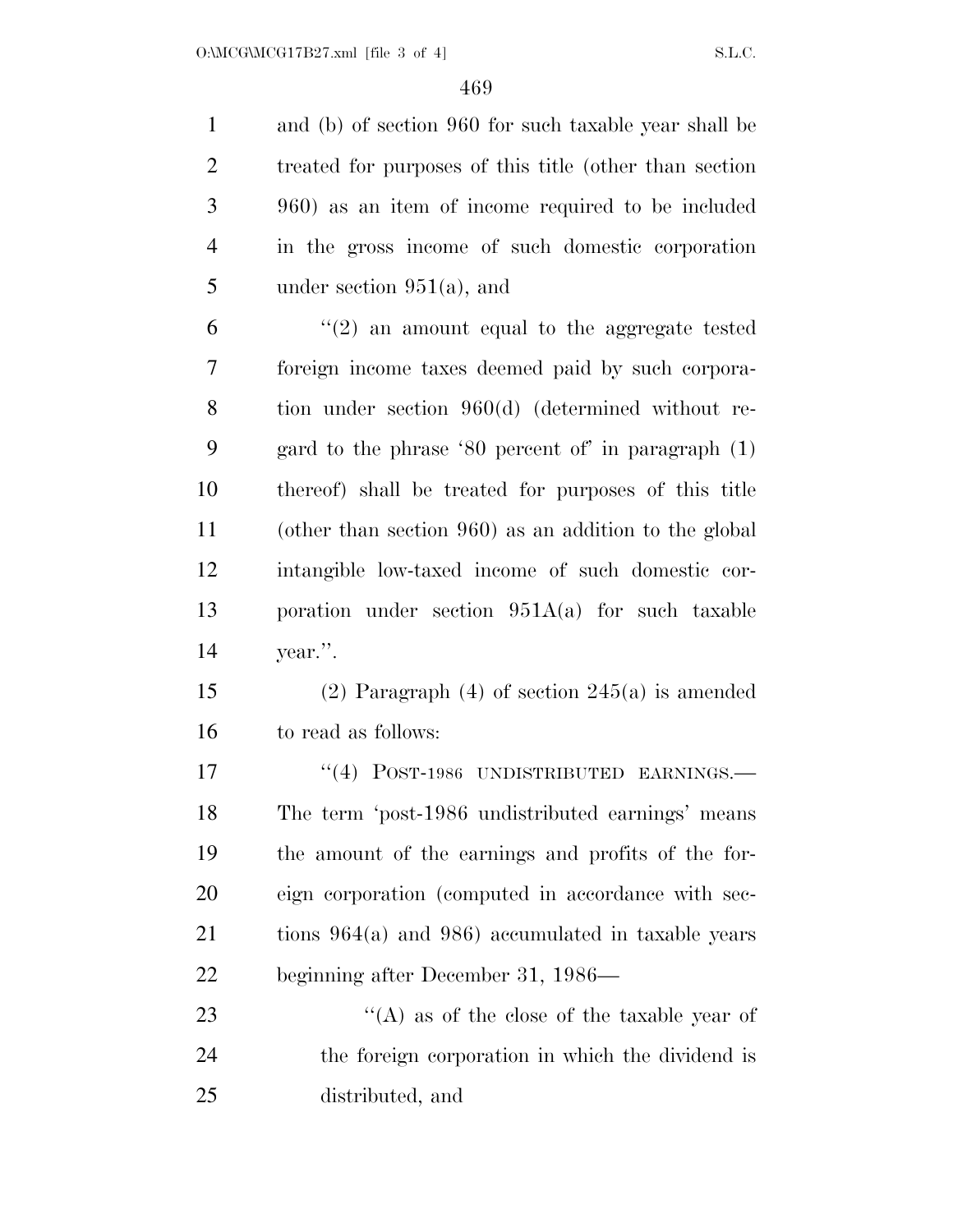and (b) of section 960 for such taxable year shall be treated for purposes of this title (other than section 960) as an item of income required to be included in the gross income of such domestic corporation under section 951(a), and

 $(2)$  an amount equal to the aggregate tested foreign income taxes deemed paid by such corpora- tion under section 960(d) (determined without re- gard to the phrase '80 percent of' in paragraph (1) thereof) shall be treated for purposes of this title (other than section 960) as an addition to the global intangible low-taxed income of such domestic cor- poration under section 951A(a) for such taxable year.''.

 (2) Paragraph (4) of section 245(a) is amended to read as follows:

17 "(4) POST-1986 UNDISTRIBUTED EARNINGS.— The term 'post-1986 undistributed earnings' means the amount of the earnings and profits of the for- eign corporation (computed in accordance with sec- tions 964(a) and 986) accumulated in taxable years beginning after December 31, 1986—

23 ''(A) as of the close of the taxable year of the foreign corporation in which the dividend is distributed, and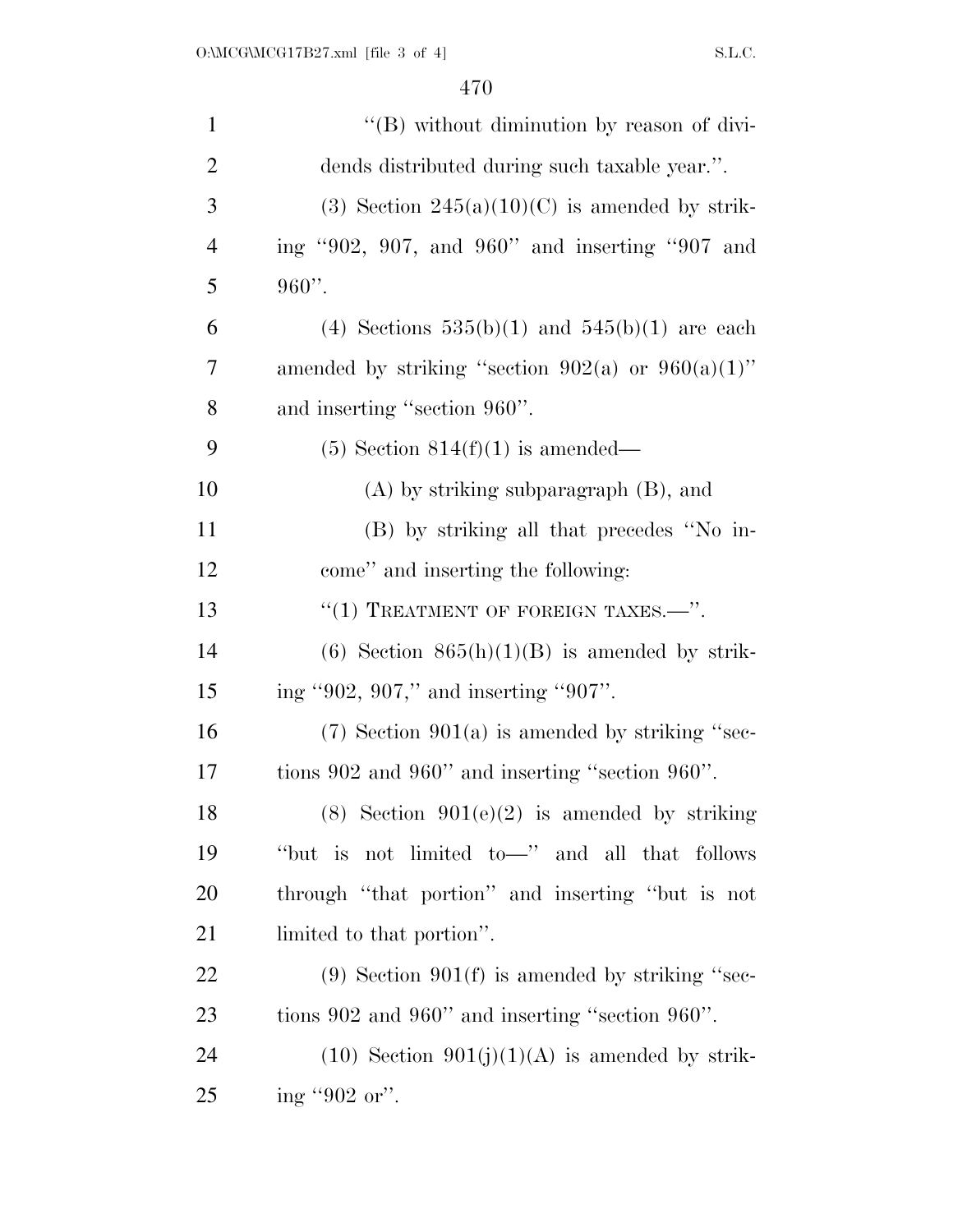| $\mathbf{1}$   | "(B) without diminution by reason of divi-             |
|----------------|--------------------------------------------------------|
| $\overline{2}$ | dends distributed during such taxable year.".          |
| 3              | (3) Section $245(a)(10)(C)$ is amended by strik-       |
| $\overline{4}$ | ing "902, 907, and 960" and inserting "907 and         |
| 5              | $960$ ".                                               |
| 6              | (4) Sections $535(b)(1)$ and $545(b)(1)$ are each      |
| 7              | amended by striking "section $902(a)$ or $960(a)(1)$ " |
| 8              | and inserting "section 960".                           |
| 9              | $(5)$ Section 814 $(f)(1)$ is amended—                 |
| 10             | $(A)$ by striking subparagraph $(B)$ , and             |
| 11             | (B) by striking all that precedes "No in-              |
| 12             | come" and inserting the following:                     |
| 13             | "(1) TREATMENT OF FOREIGN TAXES. $\cdots$ ".           |
| 14             | $(6)$ Section $865(h)(1)(B)$ is amended by strik-      |
| 15             | ing "902, 907," and inserting "907".                   |
| 16             | $(7)$ Section 901(a) is amended by striking "sec-      |
| 17             | tions 902 and 960" and inserting "section 960".        |
| 18             | $(8)$ Section $901(e)(2)$ is amended by striking       |
| 19             | "but is not limited to-" and all that follows          |
| 20             | through "that portion" and inserting "but is not       |
| 21             | limited to that portion".                              |
| 22             | $(9)$ Section $901(f)$ is amended by striking "sec-    |
| 23             | tions 902 and 960" and inserting "section 960".        |
| 24             | $(10)$ Section $901(j)(1)(A)$ is amended by strik-     |
| 25             | ing "902 or".                                          |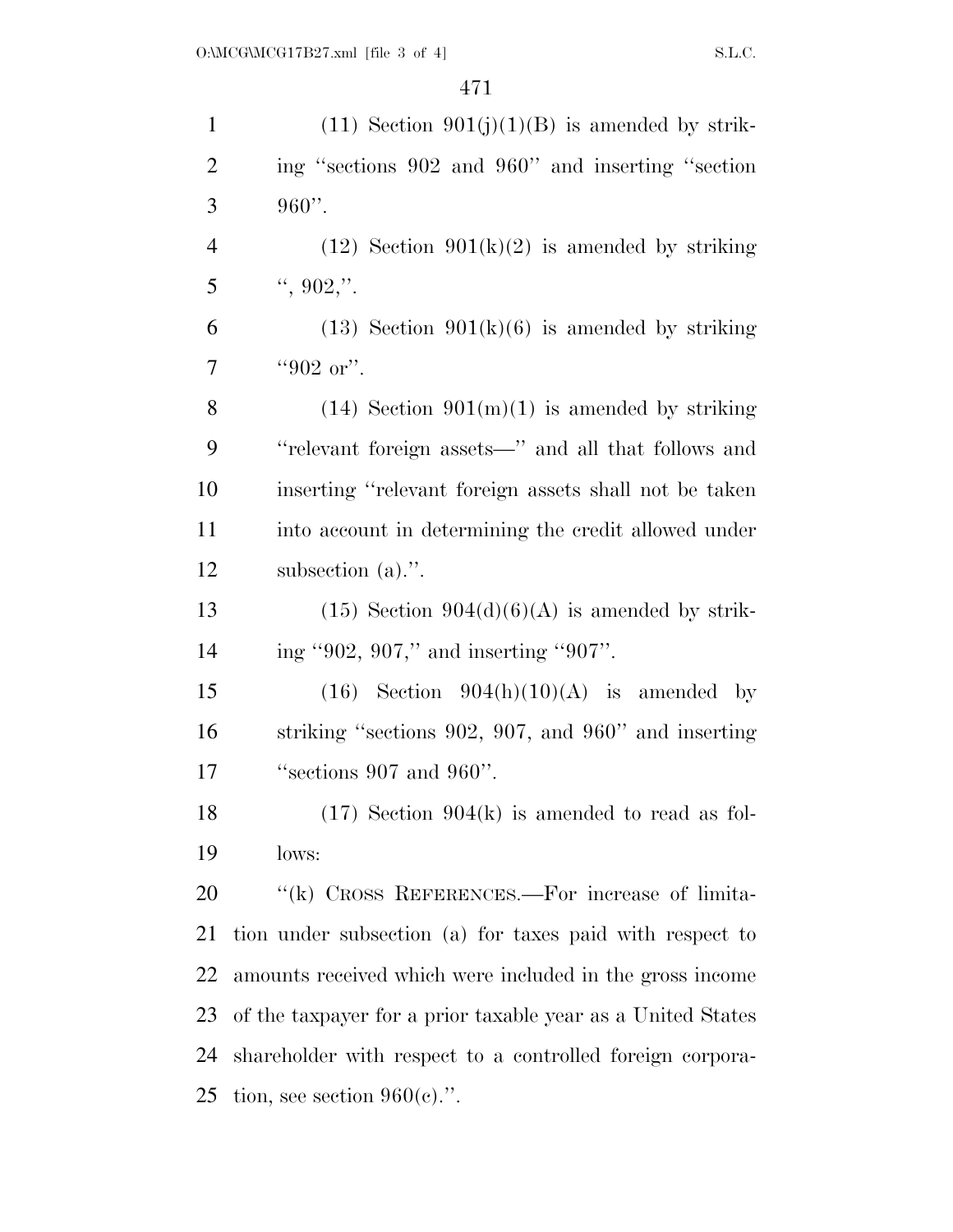| $\mathbf{1}$   | $(11)$ Section $901(j)(1)(B)$ is amended by strik-          |
|----------------|-------------------------------------------------------------|
| $\overline{2}$ | ing "sections 902 and 960" and inserting "section           |
| 3              | $960$ ".                                                    |
| $\overline{4}$ | $(12)$ Section $901(k)(2)$ is amended by striking           |
| 5              | $\lq$ , 902,".                                              |
| 6              | $(13)$ Section $901(k)(6)$ is amended by striking           |
| 7              | "902 or".                                                   |
| 8              | $(14)$ Section $901(m)(1)$ is amended by striking           |
| 9              | "relevant foreign assets—" and all that follows and         |
| 10             | inserting "relevant foreign assets shall not be taken       |
| 11             | into account in determining the credit allowed under        |
| 12             | subsection $(a)$ .".                                        |
| 13             | $(15)$ Section $904(d)(6)(A)$ is amended by strik-          |
| 14             | ing "902, 907," and inserting "907".                        |
| 15             | $(16)$ Section $904(h)(10)(A)$ is amended by                |
| 16             | striking "sections 902, 907, and 960" and inserting         |
| 17             | "sections 907 and 960".                                     |
| 18             | $(17)$ Section 904(k) is amended to read as fol-            |
| 19             | lows:                                                       |
| 20             | "(k) CROSS REFERENCES.—For increase of limita-              |
| 21             | tion under subsection (a) for taxes paid with respect to    |
| 22             | amounts received which were included in the gross income    |
| 23             | of the taxpayer for a prior taxable year as a United States |
| 24             | shareholder with respect to a controlled foreign corpora-   |
| 25             | tion, see section $960(e)$ .".                              |
|                |                                                             |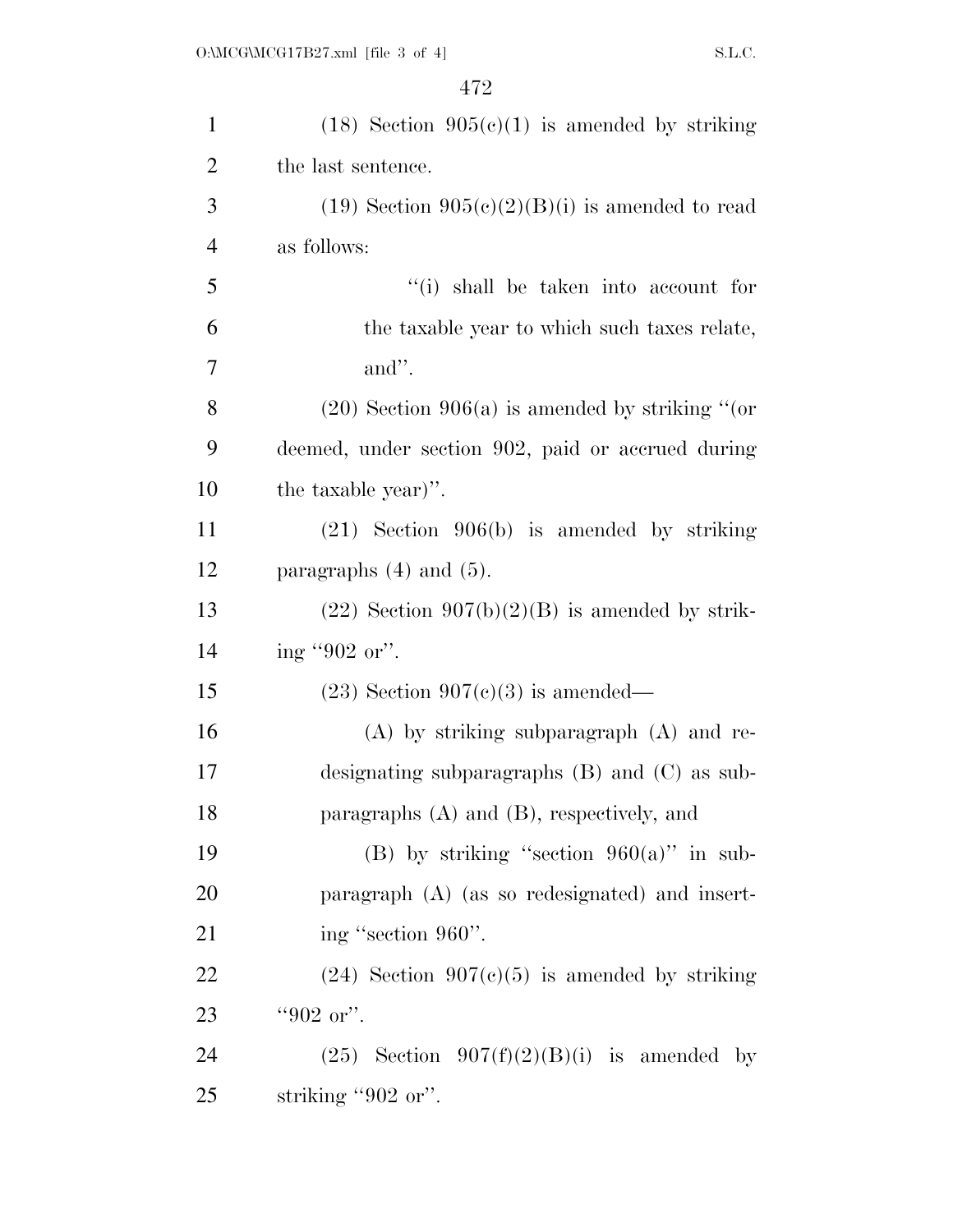| $\mathbf{1}$   | $(18)$ Section $905(c)(1)$ is amended by striking   |
|----------------|-----------------------------------------------------|
| $\overline{2}$ | the last sentence.                                  |
| 3              | $(19)$ Section $905(c)(2)(B)(i)$ is amended to read |
| $\overline{4}$ | as follows:                                         |
| 5              | "(i) shall be taken into account for                |
| 6              | the taxable year to which such taxes relate,        |
| $\overline{7}$ | and".                                               |
| 8              | $(20)$ Section 906(a) is amended by striking "(or   |
| 9              | deemed, under section 902, paid or accrued during   |
| 10             | the taxable year)".                                 |
| 11             | $(21)$ Section 906(b) is amended by striking        |
| 12             | paragraphs $(4)$ and $(5)$ .                        |
| 13             | $(22)$ Section $907(b)(2)(B)$ is amended by strik-  |
| 14             | ing "902 or".                                       |
| 15             | $(23)$ Section 907(c)(3) is amended—                |
| 16             | $(A)$ by striking subparagraph $(A)$ and re-        |
| 17             | designating subparagraphs $(B)$ and $(C)$ as sub-   |
| 18             | paragraphs $(A)$ and $(B)$ , respectively, and      |
| 19             | (B) by striking "section $960(a)$ " in sub-         |
| 20             | paragraph (A) (as so redesignated) and insert-      |
| 21             | ing "section 960".                                  |
| 22             | $(24)$ Section $907(c)(5)$ is amended by striking   |
| 23             | "902 or".                                           |
| 24             | $(25)$ Section $907(f)(2)(B)(i)$ is amended by      |
| 25             | striking "902 or".                                  |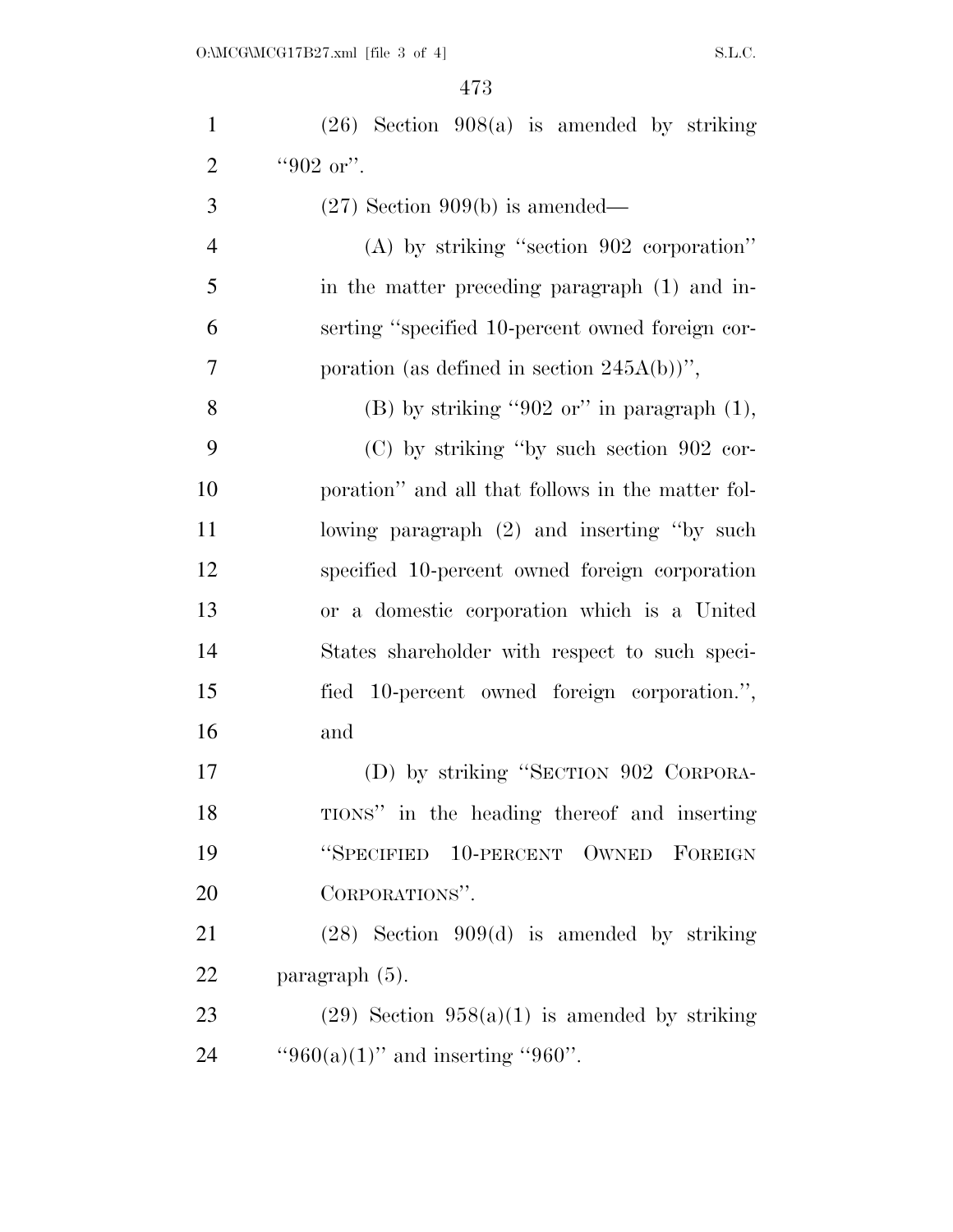| $\mathbf{1}$   | $(26)$ Section $908(a)$ is amended by striking    |
|----------------|---------------------------------------------------|
| $\overline{2}$ | "902 or".                                         |
| 3              | $(27)$ Section 909(b) is amended—                 |
| $\overline{4}$ | $(A)$ by striking "section 902 corporation"       |
| 5              | in the matter preceding paragraph (1) and in-     |
| 6              | serting "specified 10-percent owned foreign cor-  |
| 7              | poration (as defined in section $245A(b)$ )",     |
| 8              | $(B)$ by striking "902 or" in paragraph $(1)$ ,   |
| 9              | $(C)$ by striking "by such section 902 cor-       |
| 10             | poration" and all that follows in the matter fol- |
| 11             | lowing paragraph (2) and inserting "by such       |
| 12             | specified 10-percent owned foreign corporation    |
| 13             | or a domestic corporation which is a United       |
| 14             | States shareholder with respect to such speci-    |
| 15             | fied 10-percent owned foreign corporation.",      |
| 16             | and                                               |
| 17             | (D) by striking "SECTION 902 CORPORA-             |
| 18             | TIONS" in the heading thereof and inserting       |
| 19             | "SPECIFIED 10-PERCENT OWNED FOREIGN               |
| 20             | CORPORATIONS".                                    |
| 21             | $(28)$ Section 909(d) is amended by striking      |
| 22             | paragraph $(5)$ .                                 |
| 23             | $(29)$ Section $958(a)(1)$ is amended by striking |
| 24             | "960(a)(1)" and inserting "960".                  |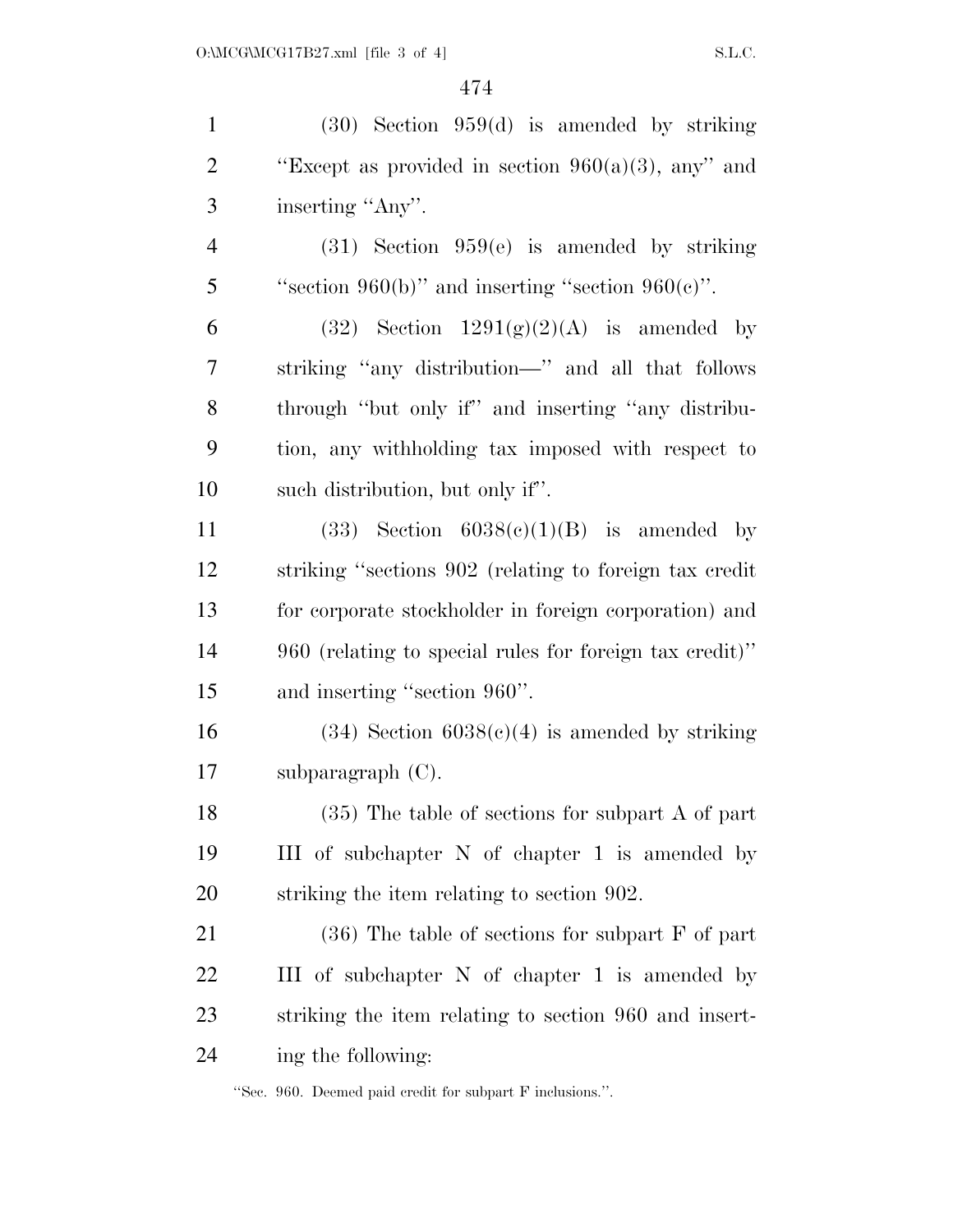(30) Section 959(d) is amended by striking  $\text{``Except as provided in section } 960(a)(3), \text{ any''}$  and inserting ''Any''. (31) Section 959(e) is amended by striking 5 "section  $960(b)$ " and inserting "section  $960(e)$ ". 6 (32) Section  $1291(g)(2)(A)$  is amended by striking ''any distribution—'' and all that follows through ''but only if'' and inserting ''any distribu- tion, any withholding tax imposed with respect to such distribution, but only if''. 11 (33) Section  $6038(c)(1)(B)$  is amended by striking ''sections 902 (relating to foreign tax credit for corporate stockholder in foreign corporation) and 960 (relating to special rules for foreign tax credit)'' and inserting ''section 960''. 16 (34) Section  $6038(e)(4)$  is amended by striking subparagraph (C). (35) The table of sections for subpart A of part III of subchapter N of chapter 1 is amended by striking the item relating to section 902. 21 (36) The table of sections for subpart F of part III of subchapter N of chapter 1 is amended by striking the item relating to section 960 and insert-ing the following:

''Sec. 960. Deemed paid credit for subpart F inclusions.''.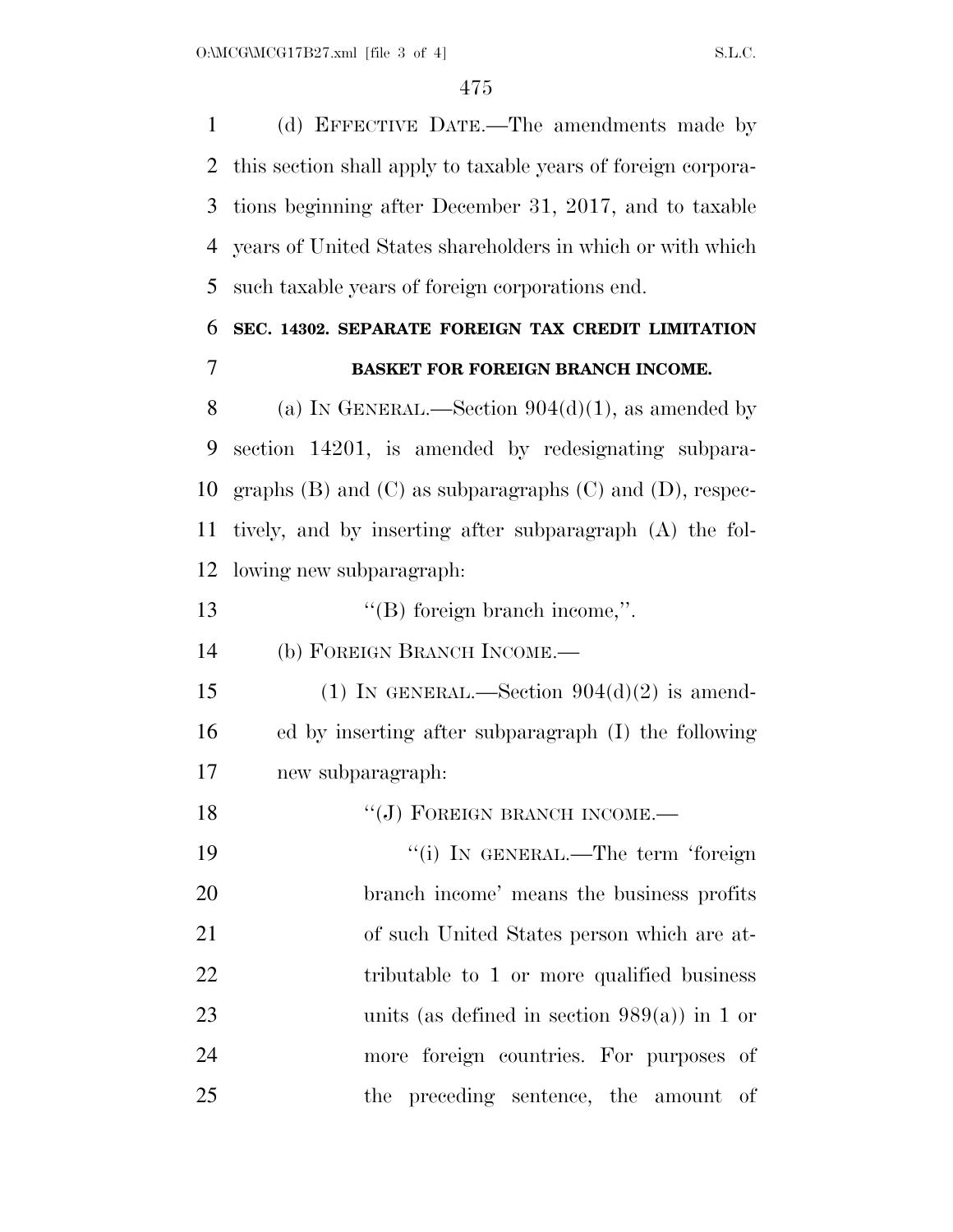(d) EFFECTIVE DATE.—The amendments made by this section shall apply to taxable years of foreign corpora- tions beginning after December 31, 2017, and to taxable years of United States shareholders in which or with which such taxable years of foreign corporations end.

### **SEC. 14302. SEPARATE FOREIGN TAX CREDIT LIMITATION BASKET FOR FOREIGN BRANCH INCOME.**

8 (a) IN GENERAL.—Section  $904(d)(1)$ , as amended by section 14201, is amended by redesignating subpara-10 graphs (B) and (C) as subparagraphs (C) and (D), respec- tively, and by inserting after subparagraph (A) the fol-lowing new subparagraph:

13 ''(B) foreign branch income,".

(b) FOREIGN BRANCH INCOME.—

15 (1) IN GENERAL.—Section  $904(d)(2)$  is amend- ed by inserting after subparagraph (I) the following new subparagraph:

18 "(J) FOREIGN BRANCH INCOME. 19 ''(i) IN GENERAL.—The term 'foreign branch income' means the business profits of such United States person which are at-22 tributable to 1 or more qualified business units (as defined in section 989(a)) in 1 or more foreign countries. For purposes of the preceding sentence, the amount of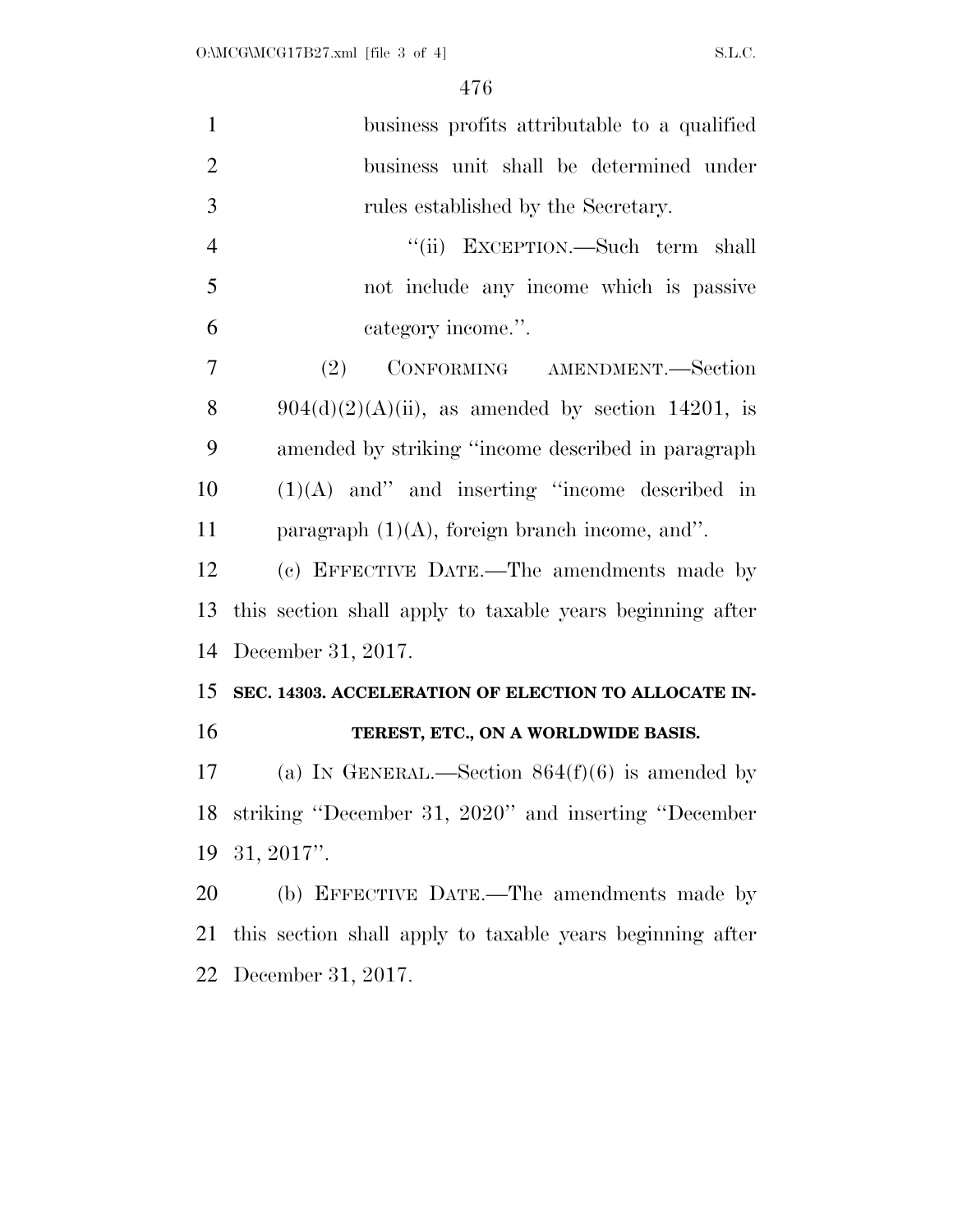| $\mathbf{1}$   | business profits attributable to a qualified              |
|----------------|-----------------------------------------------------------|
| $\overline{2}$ | business unit shall be determined under                   |
| 3              | rules established by the Secretary.                       |
| $\overline{4}$ | "(ii) EXCEPTION.—Such term shall                          |
| 5              | not include any income which is passive                   |
| 6              | category income.".                                        |
| 7              | (2)<br>CONFORMING AMENDMENT.-Section                      |
| 8              | $904(d)(2)(A)(ii)$ , as amended by section 14201, is      |
| 9              | amended by striking "income described in paragraph"       |
| 10             | $(1)(A)$ and" and inserting "income described in          |
| 11             | paragraph $(1)(A)$ , foreign branch income, and".         |
| 12             | (c) EFFECTIVE DATE.—The amendments made by                |
| 13             | this section shall apply to taxable years beginning after |
|                |                                                           |
| 14             | December 31, 2017.                                        |
| 15             | SEC. 14303. ACCELERATION OF ELECTION TO ALLOCATE IN-      |
| 16             | TEREST, ETC., ON A WORLDWIDE BASIS.                       |
| 17             | (a) IN GENERAL.—Section $864(f)(6)$ is amended by         |
| 18             | striking "December 31, 2020" and inserting "December      |
| 19             | $31, 2017$ ".                                             |
| 20             | (b) EFFECTIVE DATE.—The amendments made by                |
| 21             | this section shall apply to taxable years beginning after |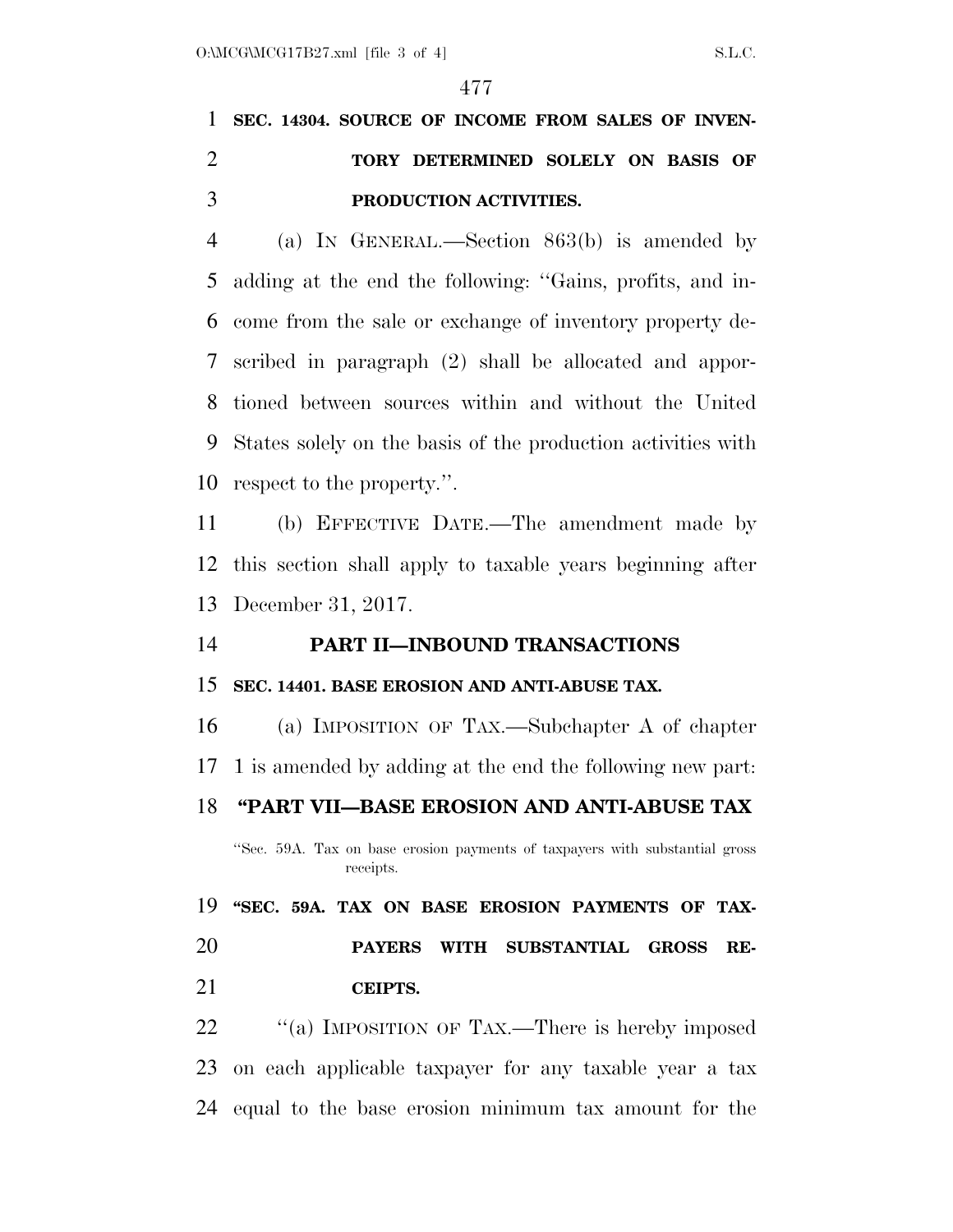# **SEC. 14304. SOURCE OF INCOME FROM SALES OF INVEN- TORY DETERMINED SOLELY ON BASIS OF PRODUCTION ACTIVITIES.**

 (a) IN GENERAL.—Section 863(b) is amended by adding at the end the following: ''Gains, profits, and in- come from the sale or exchange of inventory property de- scribed in paragraph (2) shall be allocated and appor- tioned between sources within and without the United States solely on the basis of the production activities with respect to the property.''.

 (b) EFFECTIVE DATE.—The amendment made by this section shall apply to taxable years beginning after December 31, 2017.

#### **PART II—INBOUND TRANSACTIONS**

#### **SEC. 14401. BASE EROSION AND ANTI-ABUSE TAX.**

 (a) IMPOSITION OF TAX.—Subchapter A of chapter 1 is amended by adding at the end the following new part:

### **''PART VII—BASE EROSION AND ANTI-ABUSE TAX**

''Sec. 59A. Tax on base erosion payments of taxpayers with substantial gross receipts.

## **''SEC. 59A. TAX ON BASE EROSION PAYMENTS OF TAX- PAYERS WITH SUBSTANTIAL GROSS RE-CEIPTS.**

22 "(a) IMPOSITION OF TAX.—There is hereby imposed on each applicable taxpayer for any taxable year a tax equal to the base erosion minimum tax amount for the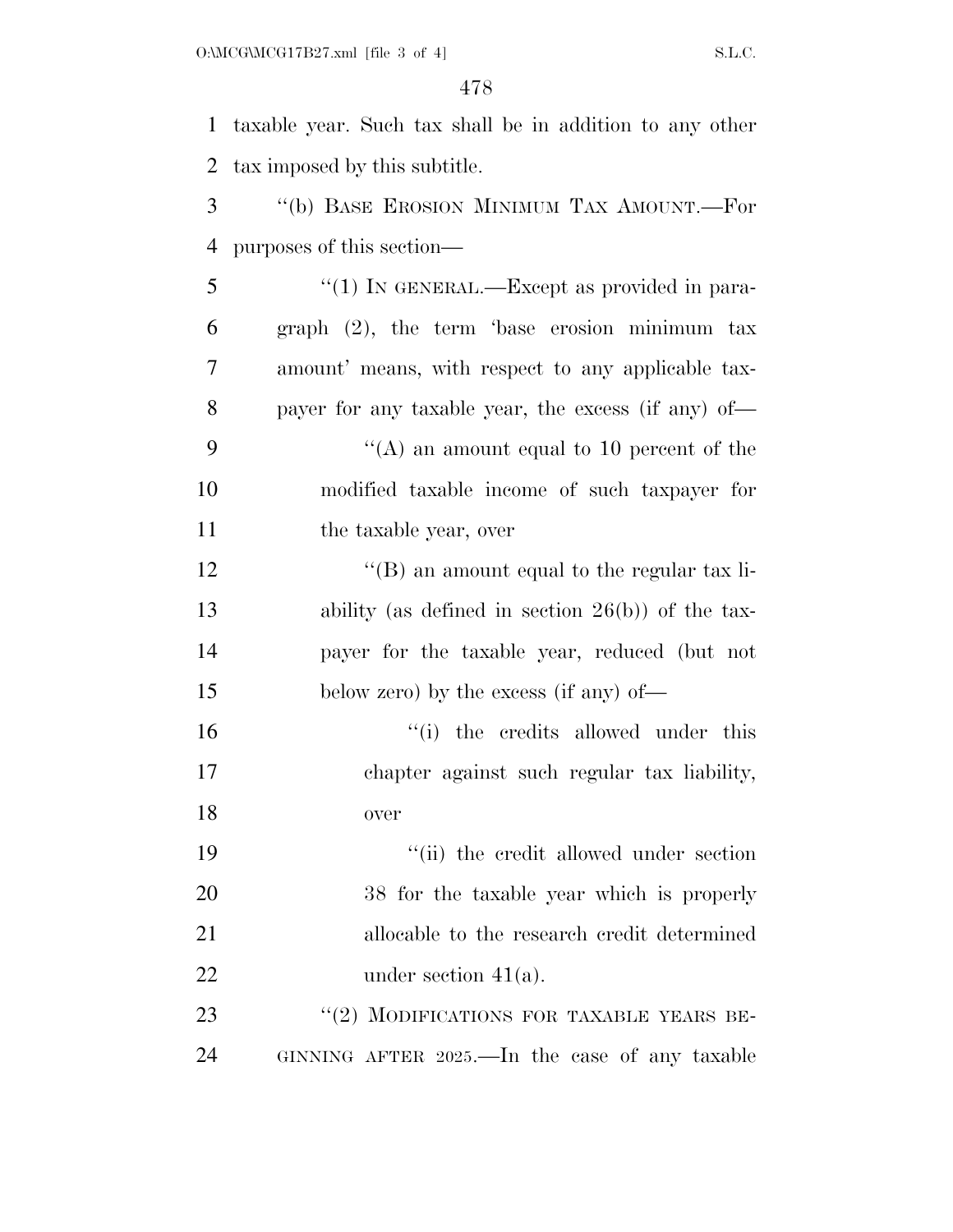taxable year. Such tax shall be in addition to any other tax imposed by this subtitle. ''(b) BASE EROSION MINIMUM TAX AMOUNT.—For purposes of this section— 5 "(1) IN GENERAL.—Except as provided in para- graph (2), the term 'base erosion minimum tax amount' means, with respect to any applicable tax- payer for any taxable year, the excess (if any) of—  $\langle (A)$  an amount equal to 10 percent of the modified taxable income of such taxpayer for 11 the taxable year, over 12 ''(B) an amount equal to the regular tax li- ability (as defined in section 26(b)) of the tax- payer for the taxable year, reduced (but not below zero) by the excess (if any) of—  $\frac{1}{10}$  the credits allowed under this chapter against such regular tax liability, over 19 ''(ii) the credit allowed under section 38 for the taxable year which is properly allocable to the research credit determined 22 under section  $41(a)$ . 23 "(2) MODIFICATIONS FOR TAXABLE YEARS BE-GINNING AFTER 2025.—In the case of any taxable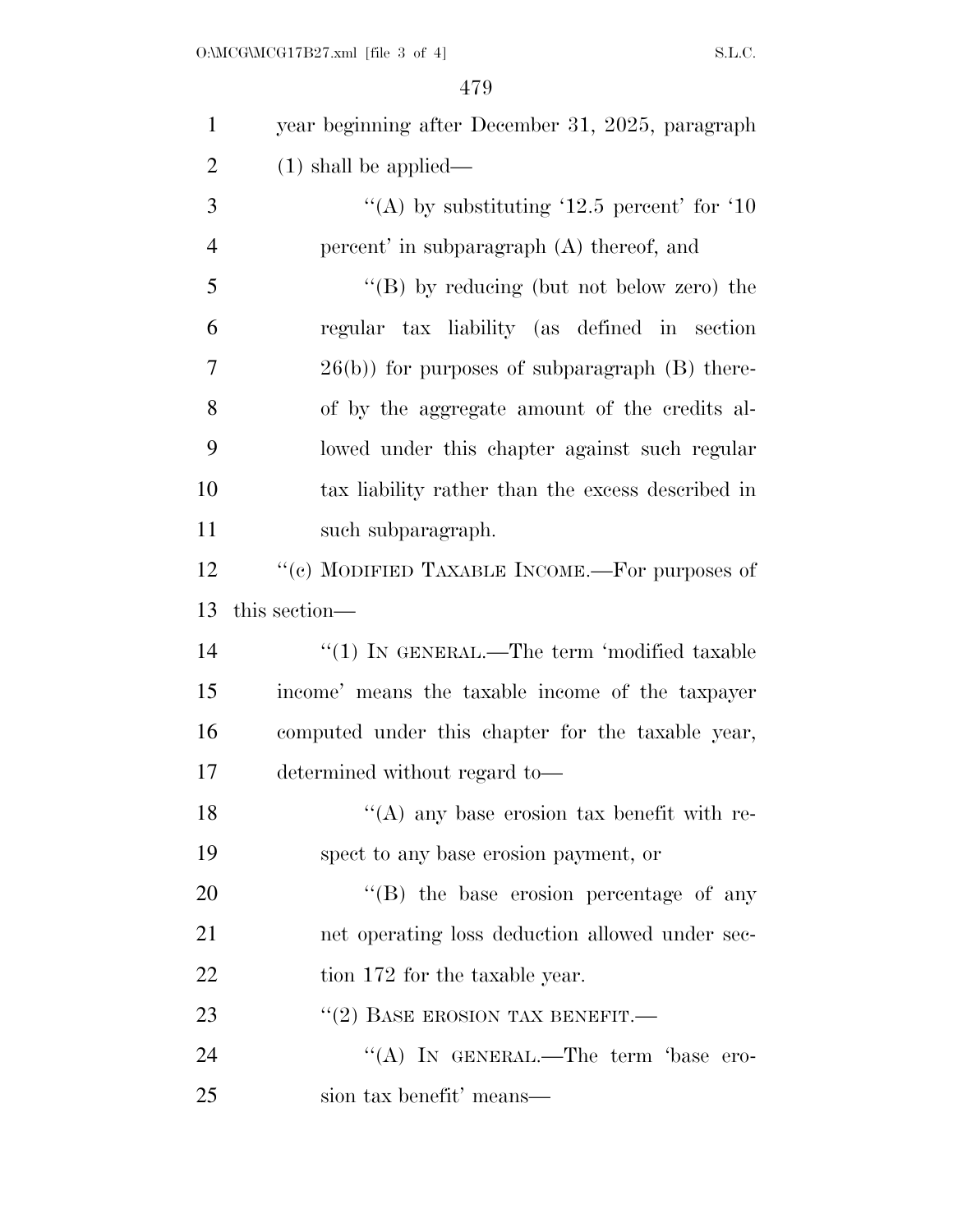| $\mathbf{1}$   | year beginning after December 31, 2025, paragraph      |
|----------------|--------------------------------------------------------|
| $\overline{2}$ | $(1)$ shall be applied—                                |
| 3              | "(A) by substituting '12.5 percent' for '10"           |
| $\overline{4}$ | percent' in subparagraph (A) thereof, and              |
| 5              | "(B) by reducing (but not below zero) the              |
| 6              | regular tax liability (as defined in section           |
| 7              | $26(b)$ ) for purposes of subparagraph (B) there-      |
| 8              | of by the aggregate amount of the credits al-          |
| 9              | lowed under this chapter against such regular          |
| 10             | tax liability rather than the excess described in      |
| 11             | such subparagraph.                                     |
| 12             | "(c) MODIFIED TAXABLE INCOME.—For purposes of          |
| 13             | this section—                                          |
| 14             | $\lq(1)$ In GENERAL.—The term 'modified taxable        |
| 15             | income' means the taxable income of the taxpayer       |
| 16             | computed under this chapter for the taxable year,      |
| 17             | determined without regard to—                          |
| 18             | $\mathcal{C}(A)$ any base erosion tax benefit with re- |
| 19             | spect to any base erosion payment, or                  |
| 20             | $\lq\lq$ the base erosion percentage of any            |
| 21             | net operating loss deduction allowed under sec-        |
| 22             | tion 172 for the taxable year.                         |
| 23             | $``(2)$ BASE EROSION TAX BENEFIT.—                     |
| 24             | "(A) IN GENERAL.—The term 'base ero-                   |
| 25             | sion tax benefit' means—                               |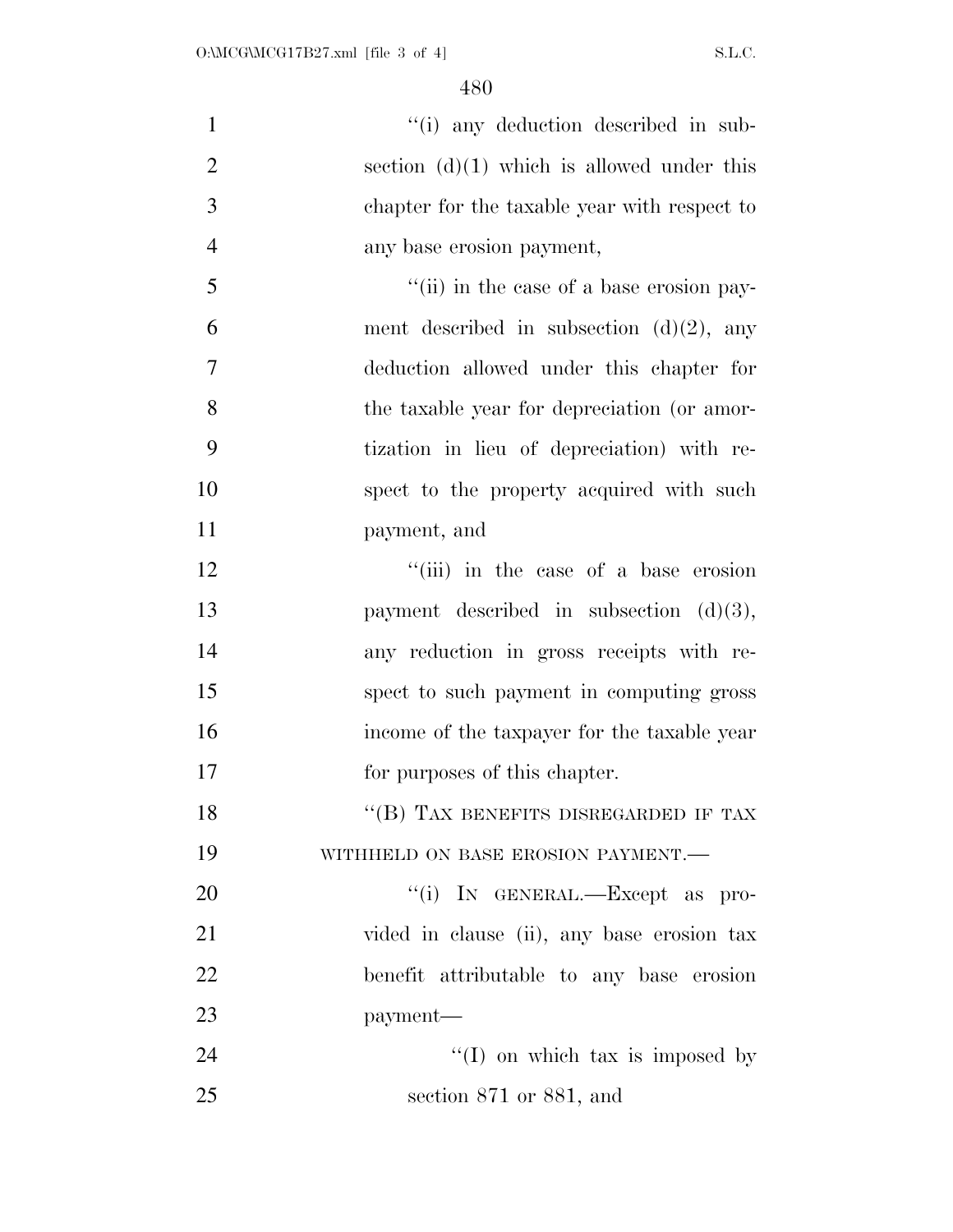1 ''(i) any deduction described in sub-2 section  $(d)(1)$  which is allowed under this chapter for the taxable year with respect to any base erosion payment, ''(ii) in the case of a base erosion pay-6 ment described in subsection  $(d)(2)$ , any deduction allowed under this chapter for the taxable year for depreciation (or amor- tization in lieu of depreciation) with re- spect to the property acquired with such payment, and 12 ''(iii) in the case of a base erosion payment described in subsection (d)(3), any reduction in gross receipts with re- spect to such payment in computing gross income of the taxpayer for the taxable year for purposes of this chapter. 18 "(B) TAX BENEFITS DISREGARDED IF TAX 19 WITHHELD ON BASE EROSION PAYMENT.  $\text{``(i)}$  In GENERAL.—Except as pro- vided in clause (ii), any base erosion tax benefit attributable to any base erosion payment— 24 ''(I) on which tax is imposed by section 871 or 881, and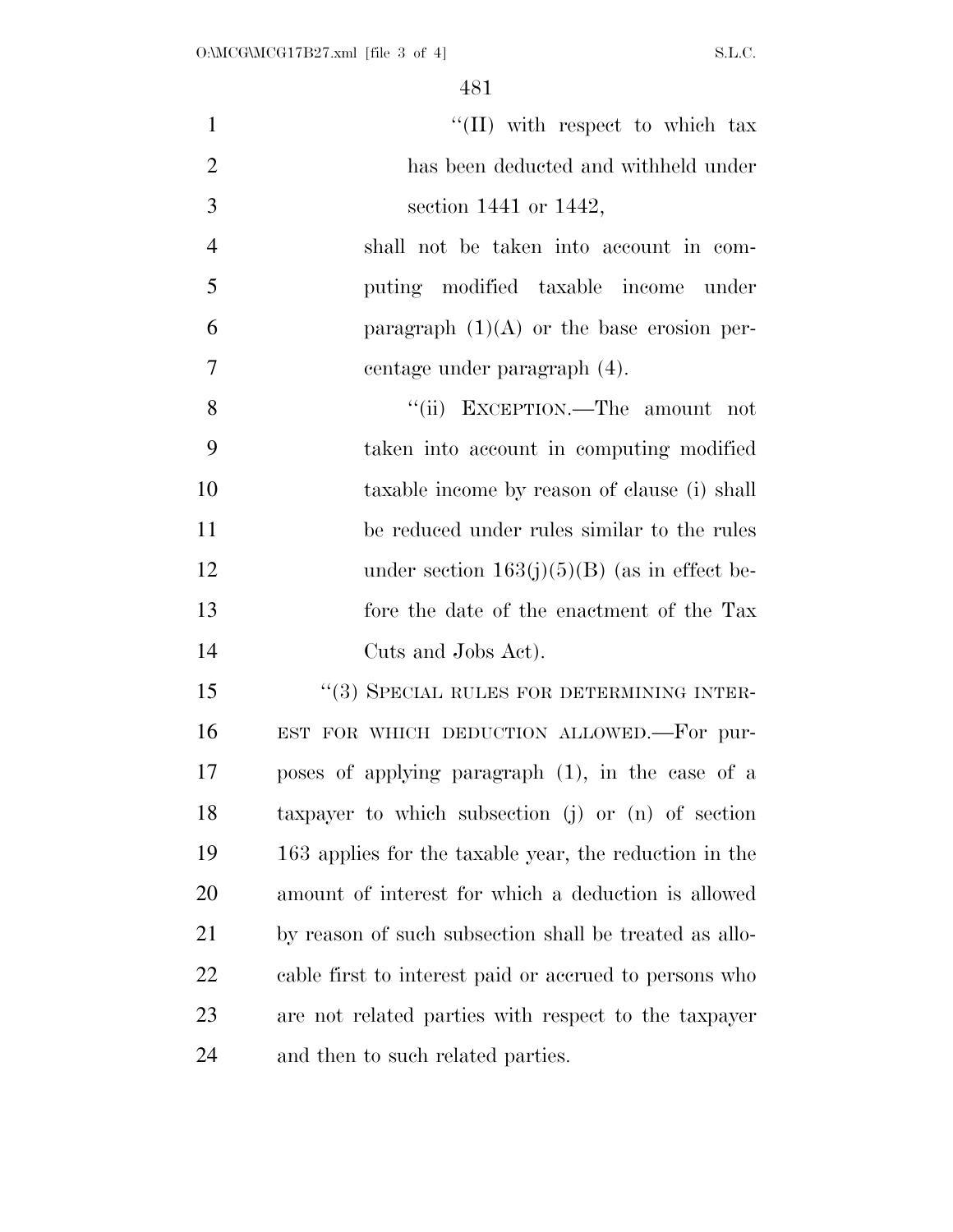| $\mathbf{1}$   | "(II) with respect to which tax                        |
|----------------|--------------------------------------------------------|
| $\overline{2}$ | has been deducted and withheld under                   |
| 3              | section 1441 or $1442$ ,                               |
| $\overline{4}$ | shall not be taken into account in com-                |
| 5              | puting modified taxable income under                   |
| 6              | paragraph $(1)(A)$ or the base erosion per-            |
| $\overline{7}$ | centage under paragraph (4).                           |
| 8              | "(ii) EXCEPTION.—The amount not                        |
| 9              | taken into account in computing modified               |
| 10             | taxable income by reason of clause (i) shall           |
| 11             | be reduced under rules similar to the rules            |
| 12             | under section $163(j)(5)(B)$ (as in effect be-         |
| 13             | fore the date of the enactment of the Tax              |
| 14             | Cuts and Jobs Act).                                    |
| 15             | "(3) SPECIAL RULES FOR DETERMINING INTER-              |
| 16             | EST FOR WHICH DEDUCTION ALLOWED.-For pur-              |
| 17             | poses of applying paragraph (1), in the case of a      |
| 18             | taxpayer to which subsection (j) or (n) of section     |
| 19             | 163 applies for the taxable year, the reduction in the |
| 20             | amount of interest for which a deduction is allowed    |
| 21             | by reason of such subsection shall be treated as allo- |
| 22             | cable first to interest paid or accrued to persons who |
| 23             | are not related parties with respect to the taxpayer   |
| 24             | and then to such related parties.                      |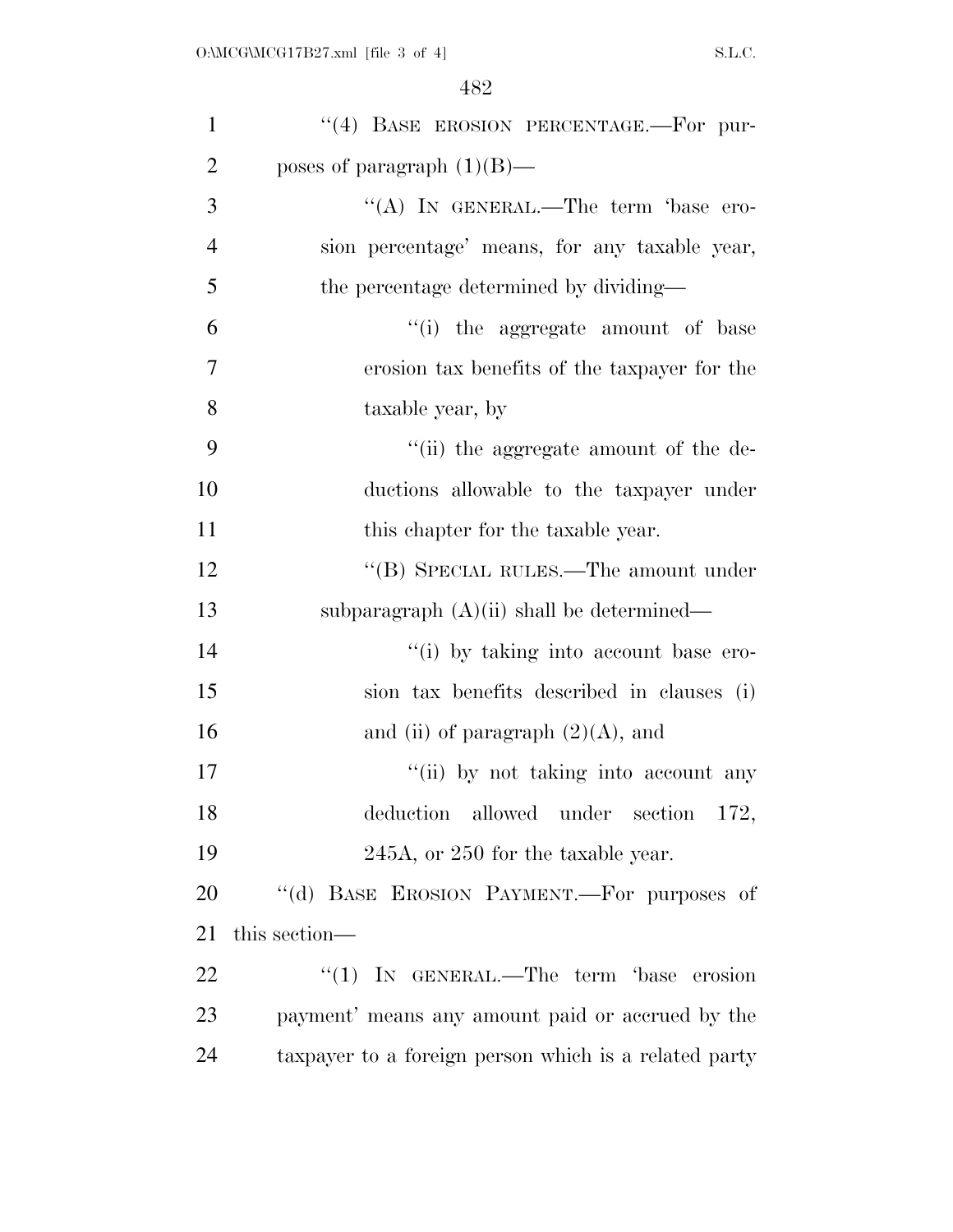| $\mathbf{1}$   | "(4) BASE EROSION PERCENTAGE.-For pur-                |
|----------------|-------------------------------------------------------|
| $\overline{2}$ | poses of paragraph $(1)(B)$ —                         |
| 3              | "(A) IN GENERAL.—The term 'base ero-                  |
| $\overline{4}$ | sion percentage' means, for any taxable year,         |
| 5              | the percentage determined by dividing—                |
| 6              | "(i) the aggregate amount of base                     |
| $\overline{7}$ | erosion tax benefits of the taxpayer for the          |
| 8              | taxable year, by                                      |
| 9              | "(ii) the aggregate amount of the de-                 |
| 10             | ductions allowable to the taxpayer under              |
| 11             | this chapter for the taxable year.                    |
| 12             | "(B) SPECIAL RULES.—The amount under                  |
| 13             | subparagraph $(A)(ii)$ shall be determined—           |
| 14             | "(i) by taking into account base ero-                 |
| 15             | sion tax benefits described in clauses (i)            |
| 16             | and (ii) of paragraph $(2)(A)$ , and                  |
| 17             | "(ii) by not taking into account any                  |
| 18             | allowed under section 172,<br>deduction               |
| 19             | 245A, or 250 for the taxable year.                    |
| 20             | "(d) BASE EROSION PAYMENT.—For purposes of            |
| 21             | this section—                                         |
| 22             | "(1) IN GENERAL.—The term 'base erosion               |
| 23             | payment' means any amount paid or accrued by the      |
| 24             | taxpayer to a foreign person which is a related party |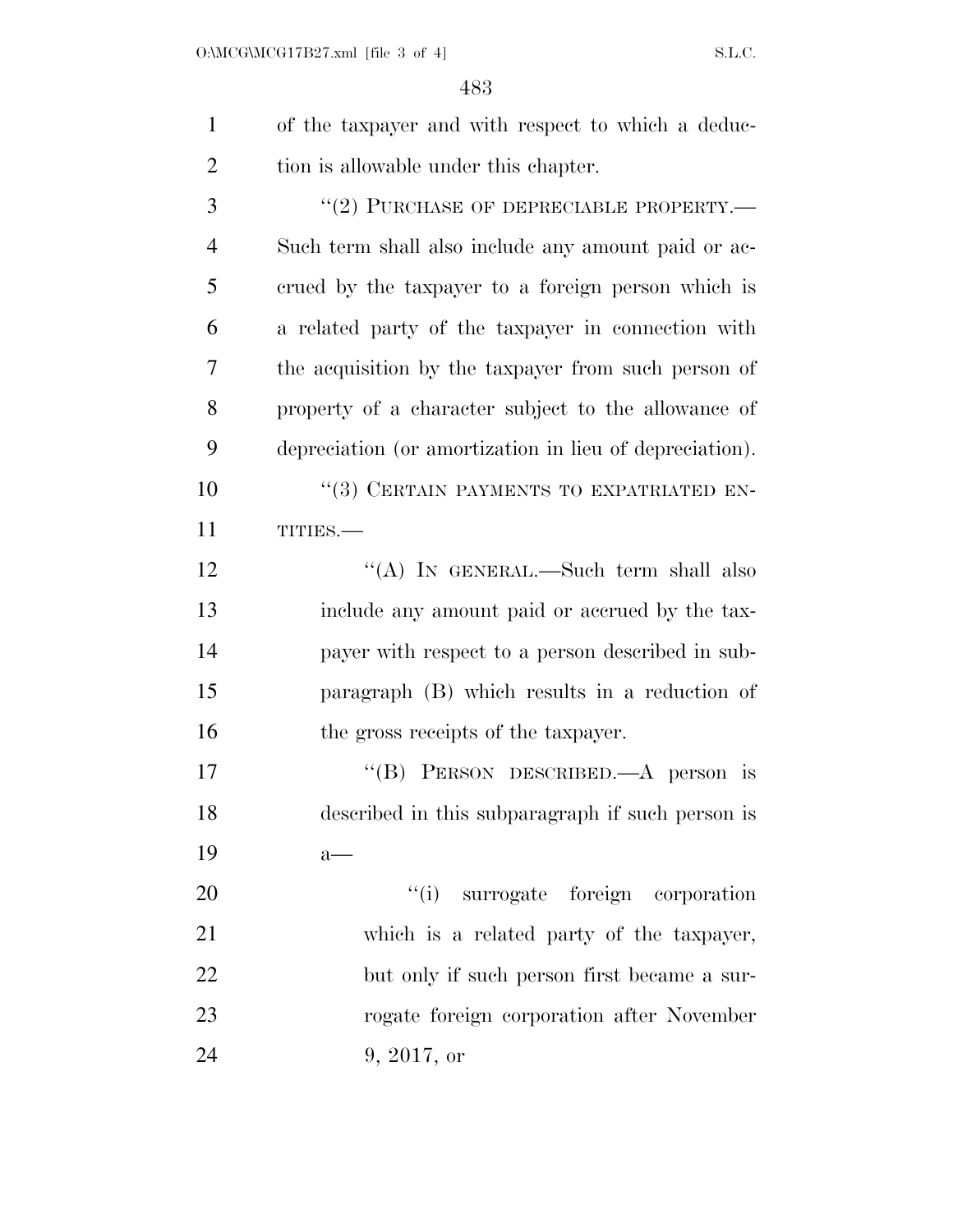| $\mathbf{1}$   | of the taxpayer and with respect to which a deduc-      |
|----------------|---------------------------------------------------------|
| $\overline{2}$ | tion is allowable under this chapter.                   |
| 3              | $``(2)$ PURCHASE OF DEPRECIABLE PROPERTY.—              |
| $\overline{4}$ | Such term shall also include any amount paid or ac-     |
| 5              | erued by the taxpayer to a foreign person which is      |
| 6              | a related party of the taxpayer in connection with      |
| 7              | the acquisition by the taxpayer from such person of     |
| 8              | property of a character subject to the allowance of     |
| 9              | depreciation (or amortization in lieu of depreciation). |
| 10             | "(3) CERTAIN PAYMENTS TO EXPATRIATED EN-                |
| 11             | TITIES.-                                                |
| 12             | "(A) IN GENERAL.—Such term shall also                   |
| 13             | include any amount paid or accrued by the tax-          |
| 14             | payer with respect to a person described in sub-        |
| 15             | paragraph (B) which results in a reduction of           |
| 16             | the gross receipts of the taxpayer.                     |
| 17             | "(B) PERSON DESCRIBED.—A person is                      |
| 18             | described in this subparagraph if such person is        |
| 19             | $a$ —                                                   |

20 ''(i) surrogate foreign corporation which is a related party of the taxpayer, but only if such person first became a sur- rogate foreign corporation after November 9, 2017, or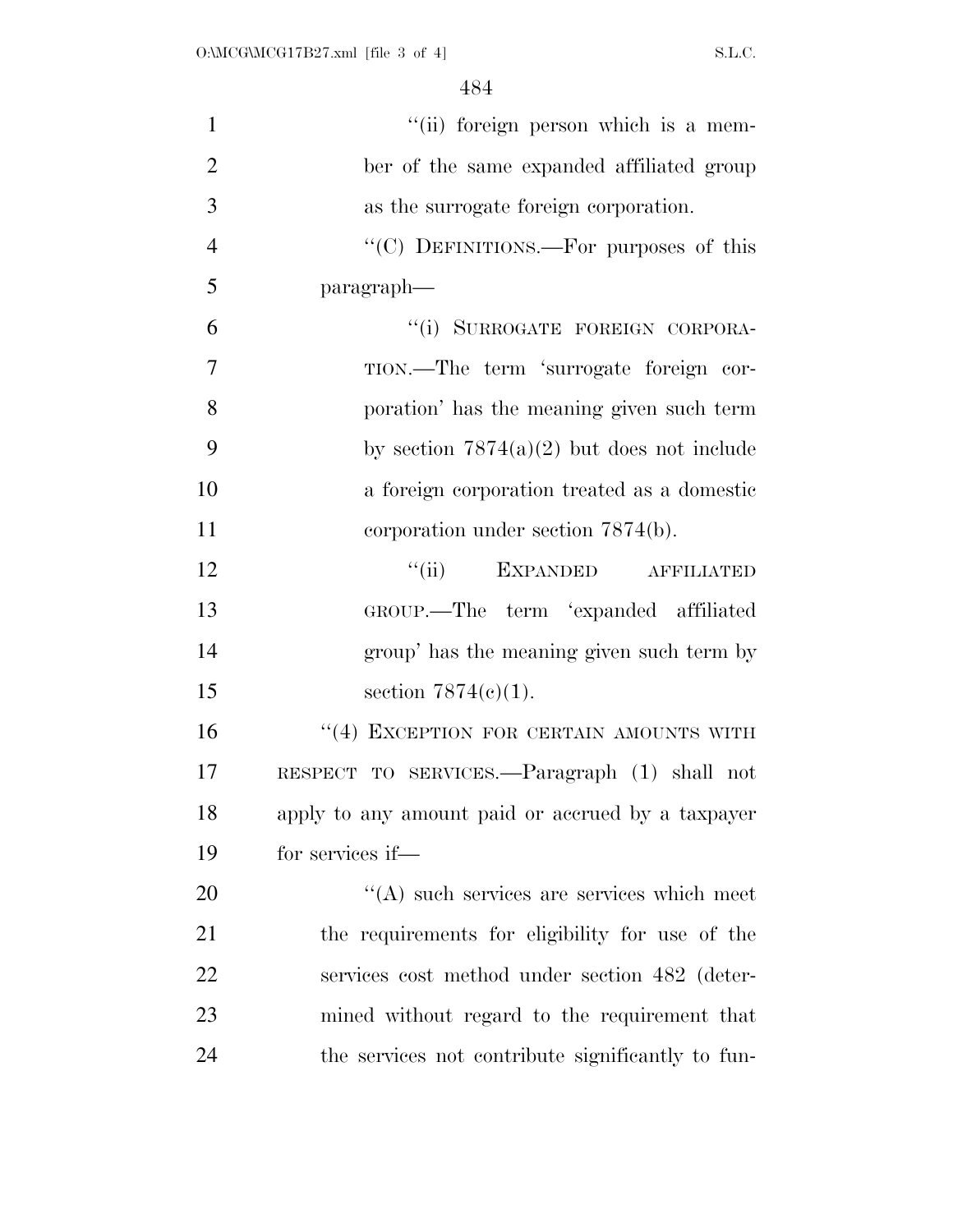| $\mathbf{1}$   | "(ii) foreign person which is a mem-              |
|----------------|---------------------------------------------------|
| $\overline{2}$ | ber of the same expanded affiliated group         |
| 3              | as the surrogate foreign corporation.             |
| $\overline{4}$ | "(C) DEFINITIONS.—For purposes of this            |
| 5              | paragraph—                                        |
| 6              | "(i) SURROGATE FOREIGN CORPORA-                   |
| $\overline{7}$ | TION.—The term 'surrogate foreign cor-            |
| 8              | poration' has the meaning given such term         |
| 9              | by section $7874(a)(2)$ but does not include      |
| 10             | a foreign corporation treated as a domestic       |
| 11             | corporation under section $7874(b)$ .             |
| 12             | "(ii) EXPANDED AFFILIATED                         |
| 13             | GROUP.—The term 'expanded affiliated              |
| 14             | group' has the meaning given such term by         |
| 15             | section $7874(c)(1)$ .                            |
| 16             | $``(4)$ EXCEPTION FOR CERTAIN AMOUNTS WITH        |
| 17             | RESPECT TO SERVICES.—Paragraph (1) shall not      |
| 18             | apply to any amount paid or accrued by a taxpayer |
| 19             | for services if—                                  |
| 20             | $\lq\lq$ such services are services which meet    |
| 21             | the requirements for eligibility for use of the   |
| 22             | services cost method under section 482 (deter-    |
| 23             | mined without regard to the requirement that      |
| 24             | the services not contribute significantly to fun- |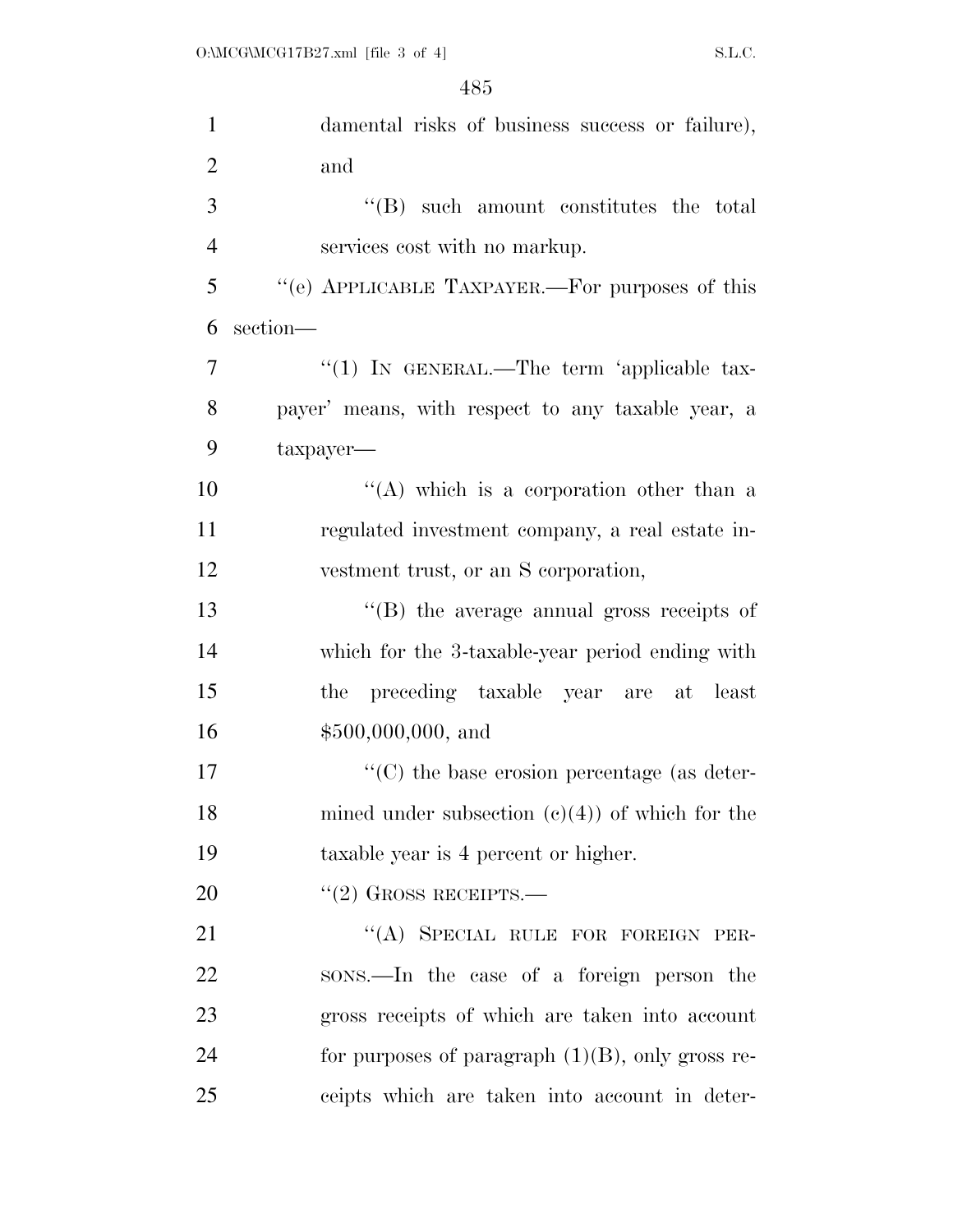| $\mathbf{1}$   | damental risks of business success or failure),         |
|----------------|---------------------------------------------------------|
| $\overline{2}$ | and                                                     |
| 3              | "(B) such amount constitutes the total                  |
| $\overline{4}$ | services cost with no markup.                           |
| 5              | "(e) APPLICABLE TAXPAYER.—For purposes of this          |
| 6              | section-                                                |
| $\overline{7}$ | "(1) IN GENERAL.—The term 'applicable tax-              |
| 8              | payer' means, with respect to any taxable year, a       |
| 9              | $t$ axpayer—                                            |
| 10             | "(A) which is a corporation other than a                |
| 11             | regulated investment company, a real estate in-         |
| 12             | vestment trust, or an S corporation,                    |
| 13             | "(B) the average annual gross receipts of               |
| 14             | which for the 3-taxable-year period ending with         |
| 15             | the preceding taxable year are at least                 |
| 16             | $$500,000,000,$ and                                     |
| 17             | $\cdot\cdot$ (C) the base erosion percentage (as deter- |
| 18             | mined under subsection $(c)(4)$ of which for the        |
| 19             | taxable year is 4 percent or higher.                    |
| 20             | $"(2)$ GROSS RECEIPTS.—                                 |
| 21             | "(A) SPECIAL RULE FOR FOREIGN PER-                      |
| 22             | sons.—In the case of a foreign person the               |
| 23             | gross receipts of which are taken into account          |
| 24             | for purposes of paragraph $(1)(B)$ , only gross re-     |
| 25             | ceipts which are taken into account in deter-           |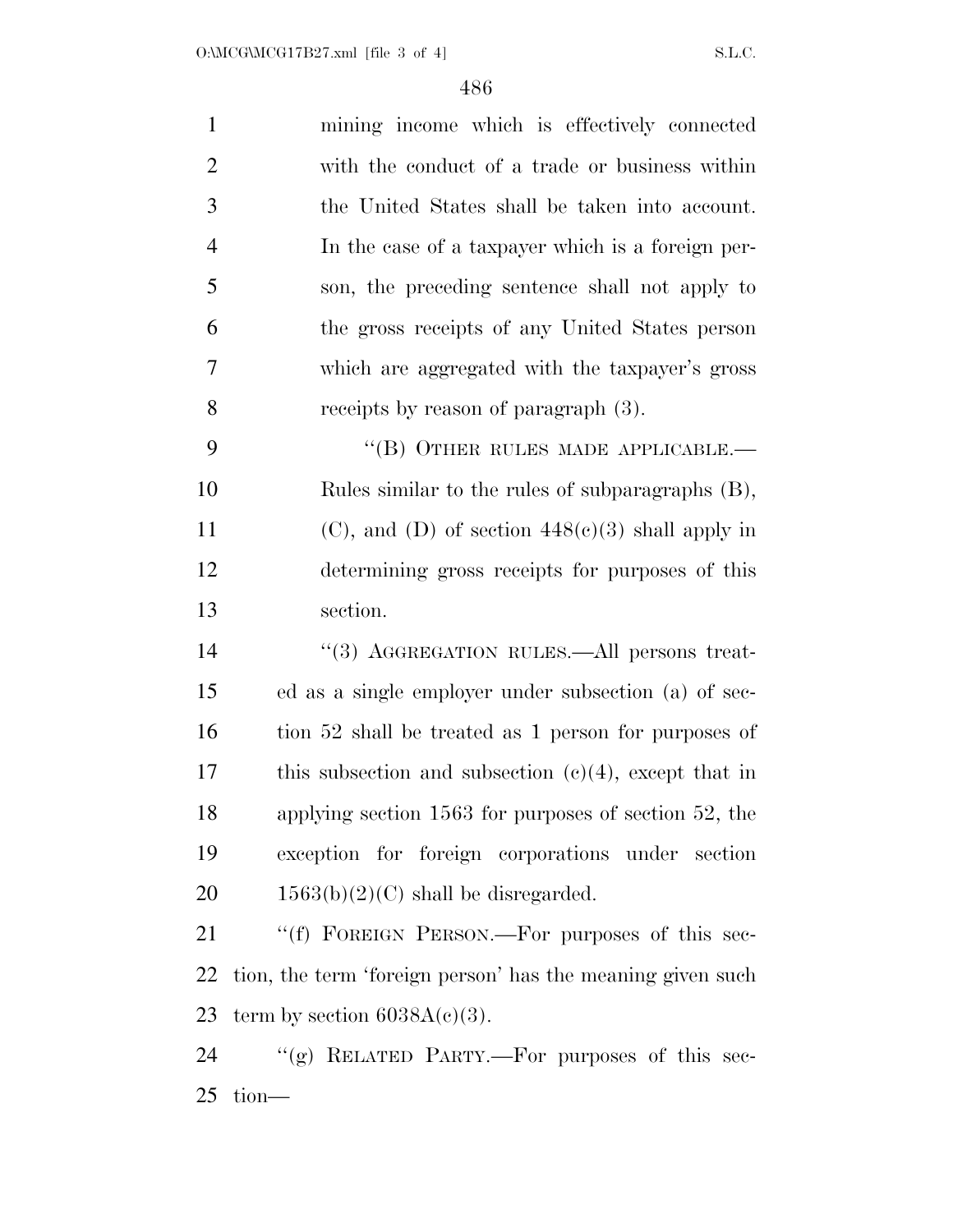| $\mathbf{1}$   | mining income which is effectively connected               |
|----------------|------------------------------------------------------------|
| $\overline{2}$ | with the conduct of a trade or business within             |
| 3              | the United States shall be taken into account.             |
| $\overline{4}$ | In the case of a taxpayer which is a foreign per-          |
| 5              | son, the preceding sentence shall not apply to             |
| 6              | the gross receipts of any United States person             |
| $\overline{7}$ | which are aggregated with the taxpayer's gross             |
| 8              | receipts by reason of paragraph (3).                       |
| 9              | "(B) OTHER RULES MADE APPLICABLE.-                         |
| 10             | Rules similar to the rules of subparagraphs (B),           |
| 11             | $(C)$ , and $(D)$ of section $448(c)(3)$ shall apply in    |
| 12             | determining gross receipts for purposes of this            |
| 13             | section.                                                   |
| 14             | "(3) AGGREGATION RULES.—All persons treat-                 |
| 15             | ed as a single employer under subsection (a) of sec-       |
| 16             | tion 52 shall be treated as 1 person for purposes of       |
| 17             | this subsection and subsection $(c)(4)$ , except that in   |
| 18             | applying section $1563$ for purposes of section $52$ , the |
| 19             | exception for foreign corporations under section           |
| 20             | $1563(b)(2)(C)$ shall be disregarded.                      |
| 21             | "(f) FOREIGN PERSON.—For purposes of this sec-             |
| 22             | tion, the term 'foreign person' has the meaning given such |
| 23             | term by section $6038A(c)(3)$ .                            |
| 24             | "(g) RELATED PARTY.—For purposes of this sec-              |
| 25             | $tion$ —                                                   |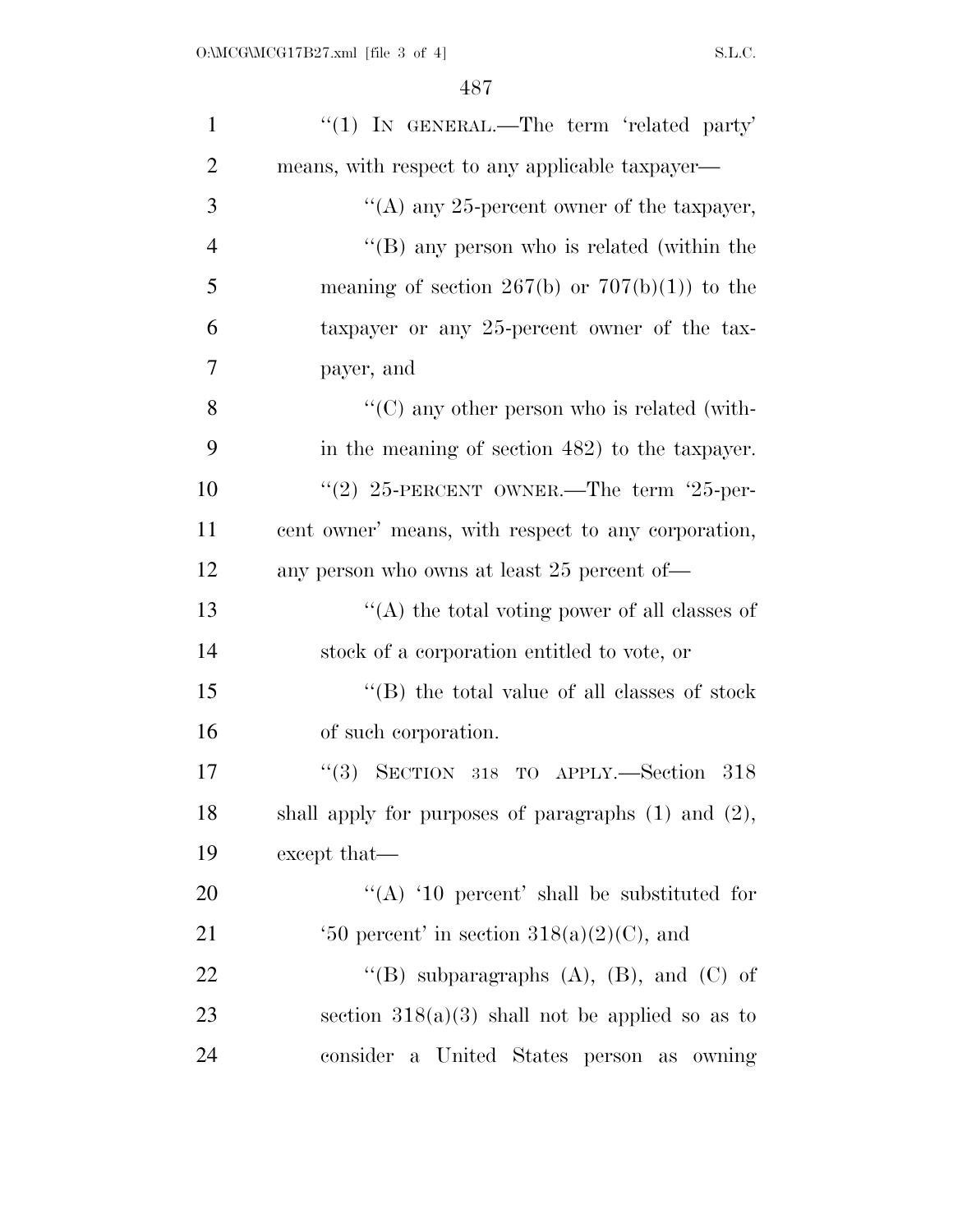| $\mathbf{1}$   | "(1) IN GENERAL.—The term 'related party'                    |
|----------------|--------------------------------------------------------------|
| $\overline{2}$ | means, with respect to any applicable taxpayer—              |
| 3              | "(A) any 25-percent owner of the taxpayer,                   |
| $\overline{4}$ | "(B) any person who is related (within the                   |
| 5              | meaning of section 267(b) or $707(b)(1)$ to the              |
| 6              | taxpayer or any 25-percent owner of the tax-                 |
| $\overline{7}$ | payer, and                                                   |
| 8              | $\lq\lq$ (C) any other person who is related (with-          |
| 9              | in the meaning of section 482) to the taxpayer.              |
| 10             | "(2) $25$ -PERCENT OWNER.—The term '25-per-                  |
| 11             | cent owner' means, with respect to any corporation,          |
| 12             | any person who owns at least 25 percent of—                  |
| 13             | "(A) the total voting power of all classes of                |
| 14             | stock of a corporation entitled to vote, or                  |
| 15             | "(B) the total value of all classes of stock                 |
| 16             | of such corporation.                                         |
| 17             | SECTION 318 TO APPLY.-Section 318<br>(3)                     |
| 18             | shall apply for purposes of paragraphs $(1)$ and $(2)$ ,     |
| 19             | except that—                                                 |
| 20             | "(A) '10 percent' shall be substituted for                   |
| 21             | $\text{`50 percent' in section } 318(a)(2)(C), \text{ and }$ |
| 22             | "(B) subparagraphs $(A)$ , $(B)$ , and $(C)$ of              |
| 23             | section $318(a)(3)$ shall not be applied so as to            |
| 24             | consider a United States person as owning                    |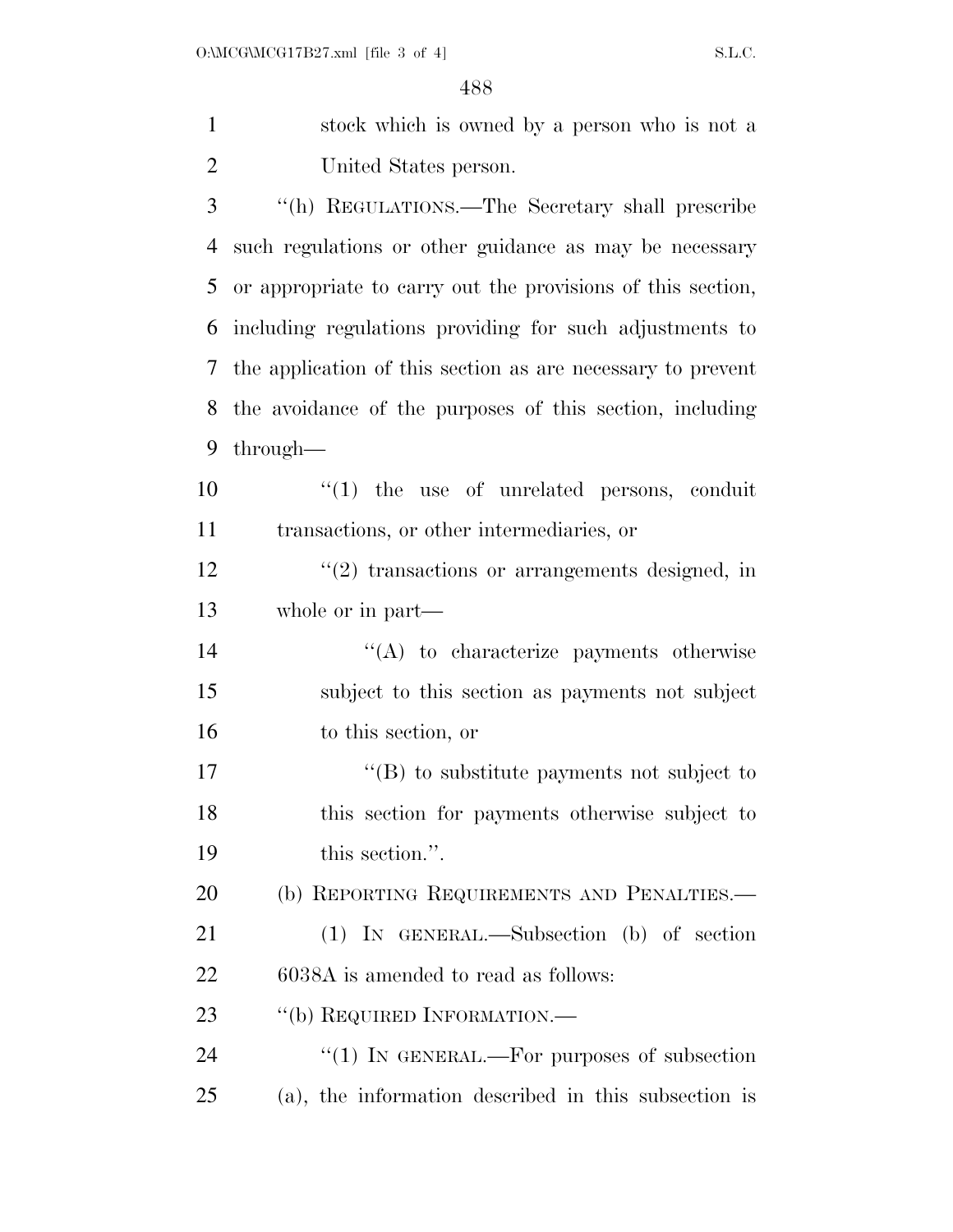stock which is owned by a person who is not a United States person. ''(h) REGULATIONS.—The Secretary shall prescribe such regulations or other guidance as may be necessary or appropriate to carry out the provisions of this section, including regulations providing for such adjustments to the application of this section as are necessary to prevent the avoidance of the purposes of this section, including through—  $\frac{1}{2}$  (1) the use of unrelated persons, conduit

transactions, or other intermediaries, or

12 ''(2) transactions or arrangements designed, in whole or in part—

14  $\langle (A)$  to characterize payments otherwise subject to this section as payments not subject to this section, or

17  $\text{``(B)}$  to substitute payments not subject to this section for payments otherwise subject to this section.''.

20 (b) REPORTING REQUIREMENTS AND PENALTIES.—

 (1) IN GENERAL.—Subsection (b) of section 6038A is amended to read as follows:

23 "(b) REQUIRED INFORMATION.—

24 "(1) IN GENERAL.—For purposes of subsection (a), the information described in this subsection is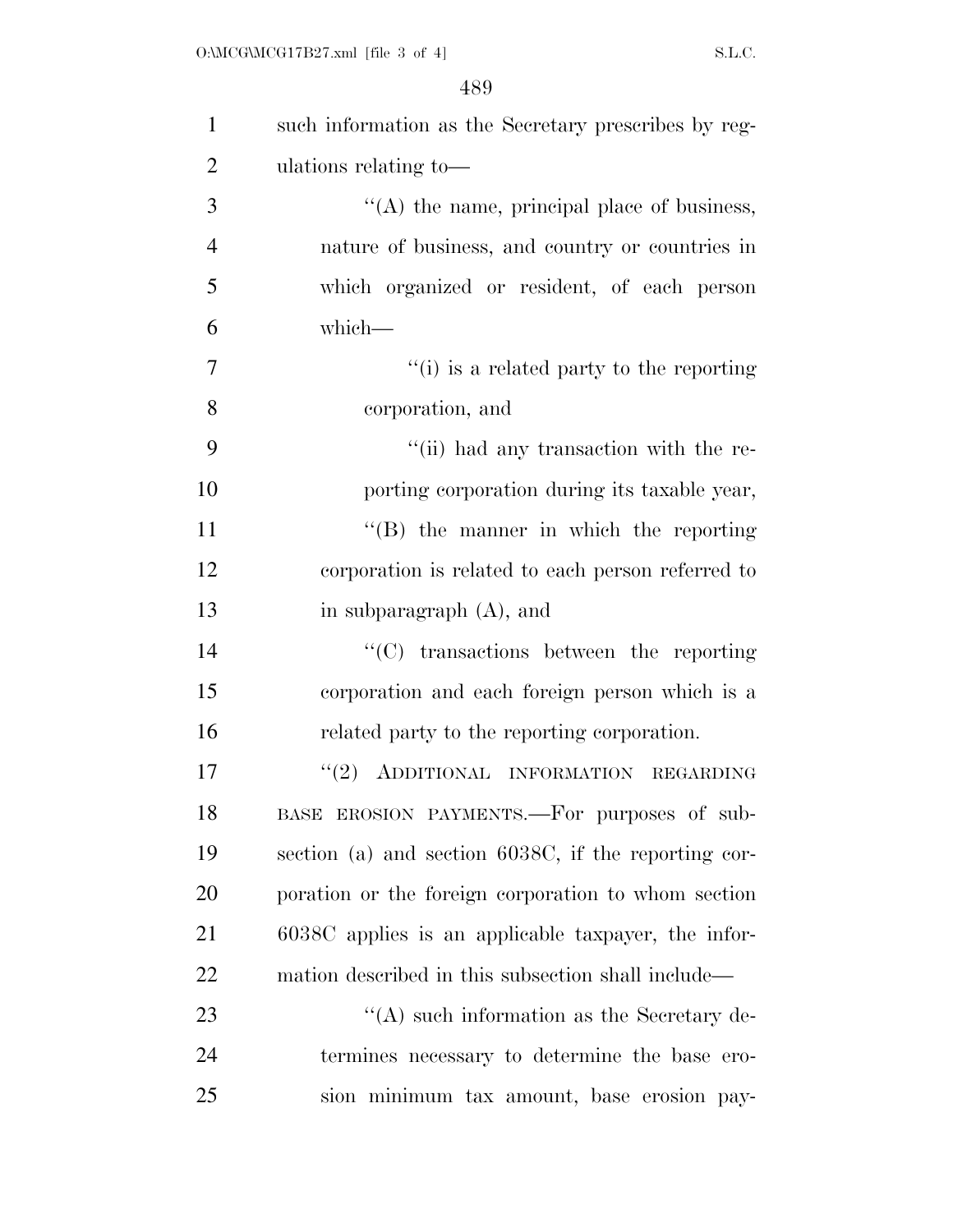| $\mathbf{1}$   | such information as the Secretary prescribes by reg- |
|----------------|------------------------------------------------------|
| $\overline{2}$ | ulations relating to—                                |
| 3              | $\lq\lq$ the name, principal place of business,      |
| $\overline{4}$ | nature of business, and country or countries in      |
| 5              | which organized or resident, of each person          |
| 6              | which-                                               |
| 7              | "(i) is a related party to the reporting             |
| 8              | corporation, and                                     |
| 9              | "(ii) had any transaction with the re-               |
| 10             | porting corporation during its taxable year,         |
| 11             | $\lq\lq (B)$ the manner in which the reporting       |
| 12             | corporation is related to each person referred to    |
| 13             | in subparagraph $(A)$ , and                          |
| 14             | $\cdot$ (C) transactions between the reporting       |
| 15             | corporation and each foreign person which is a       |
| 16             | related party to the reporting corporation.          |
| 17             | "(2) ADDITIONAL INFORMATION REGARDING                |
| 18             | BASE EROSION PAYMENTS.—For purposes of sub-          |
| 19             | section (a) and section 6038C, if the reporting cor- |
| 20             | poration or the foreign corporation to whom section  |
| 21             | 6038C applies is an applicable taxpayer, the infor-  |
| 22             | mation described in this subsection shall include—   |
| 23             | $\lq\lq$ such information as the Secretary de-       |
| 24             | termines necessary to determine the base ero-        |
| 25             | sion minimum tax amount, base erosion pay-           |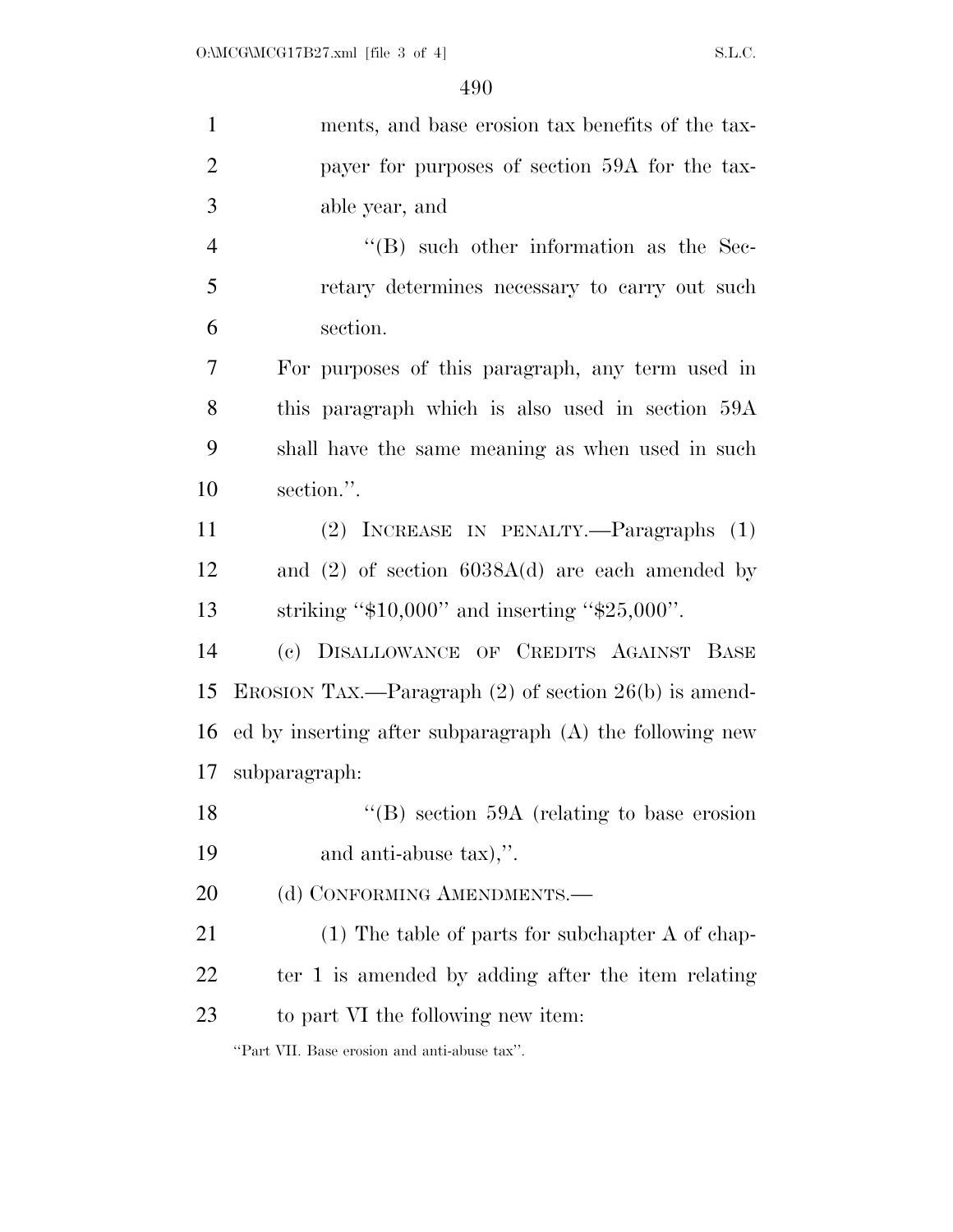| $\mathbf{1}$   | ments, and base erosion tax benefits of the tax-           |
|----------------|------------------------------------------------------------|
| $\overline{2}$ | payer for purposes of section 59A for the tax-             |
| 3              | able year, and                                             |
| $\overline{4}$ | $\lq\lq$ such other information as the Sec-                |
| 5              | retary determines necessary to carry out such              |
| 6              | section.                                                   |
| 7              | For purposes of this paragraph, any term used in           |
| 8              | this paragraph which is also used in section 59A           |
| 9              | shall have the same meaning as when used in such           |
| 10             | section.".                                                 |
| 11             | (2) INCREASE IN PENALTY.—Paragraphs (1)                    |
| 12             | and $(2)$ of section $6038A(d)$ are each amended by        |
| 13             | striking " $$10,000$ " and inserting " $$25,000$ ".        |
| 14             | (c) DISALLOWANCE OF CREDITS AGAINST BASE                   |
| 15             | EROSION TAX.—Paragraph $(2)$ of section $26(b)$ is amend-  |
| 16             | ed by inserting after subparagraph $(A)$ the following new |
| 17             | subparagraph:                                              |
| 18             | "(B) section $59A$ (relating to base erosion               |
| 19             | and anti-abuse tax),".                                     |
| 20             | (d) CONFORMING AMENDMENTS.—                                |
| 21             | $(1)$ The table of parts for subchapter A of chap-         |
| 22             | ter 1 is amended by adding after the item relating         |
| 23             | to part VI the following new item:                         |
|                | "Part VII. Base erosion and anti-abuse tax".               |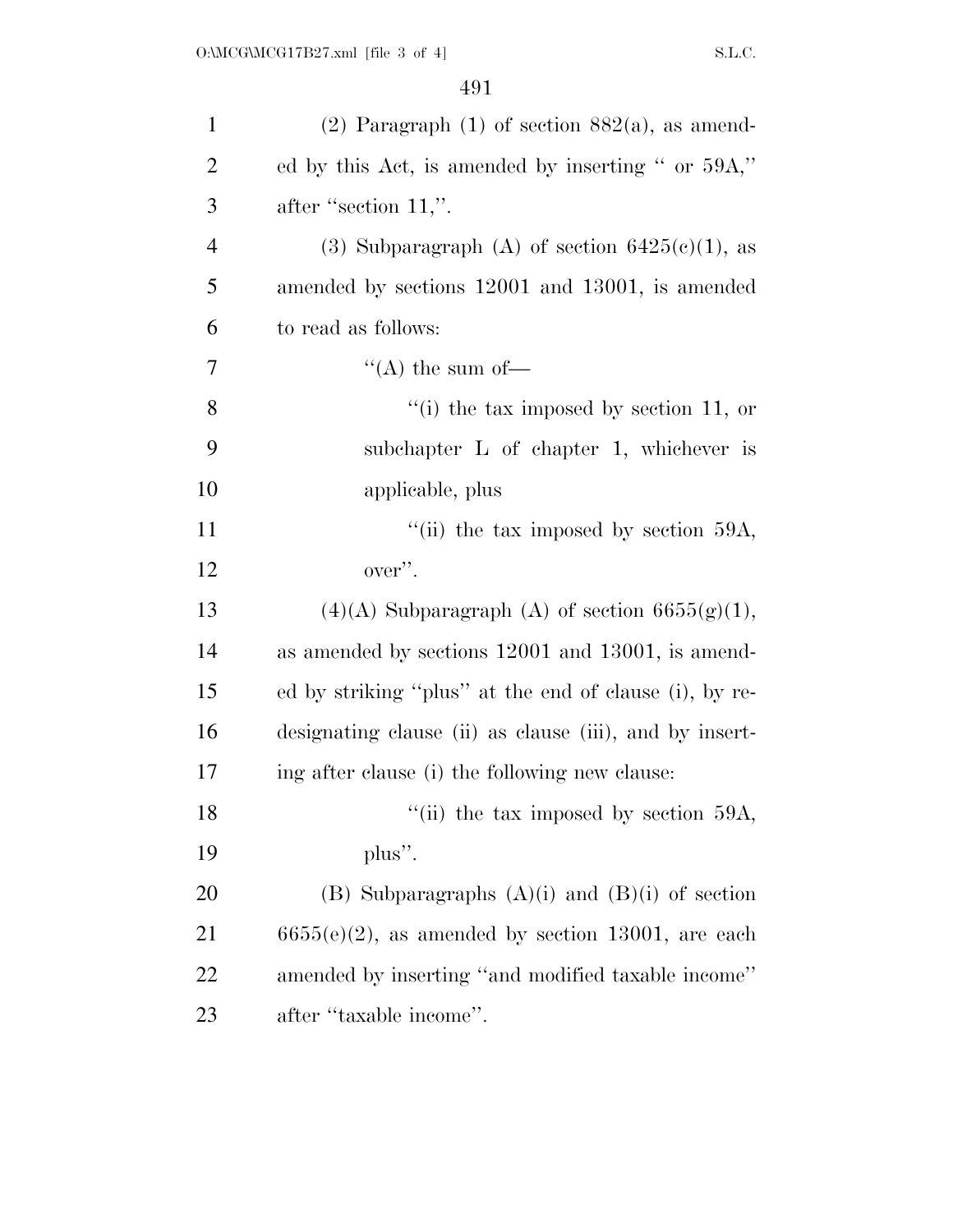| $\mathbf{1}$   | $(2)$ Paragraph $(1)$ of section $882(a)$ , as amend-   |
|----------------|---------------------------------------------------------|
| $\overline{2}$ | ed by this Act, is amended by inserting " or 59A,"      |
| 3              | after "section $11$ ,".                                 |
| $\overline{4}$ | (3) Subparagraph (A) of section $6425(c)(1)$ , as       |
| 5              | amended by sections 12001 and 13001, is amended         |
| 6              | to read as follows:                                     |
| 7              | "(A) the sum of-                                        |
| 8              | "(i) the tax imposed by section 11, or                  |
| 9              | subchapter $L$ of chapter 1, whichever is               |
| 10             | applicable, plus                                        |
| 11             | "(ii) the tax imposed by section $59A$ ,                |
| 12             | over".                                                  |
| 13             | $(4)(A)$ Subparagraph $(A)$ of section 6655(g)(1),      |
| 14             | as amended by sections 12001 and 13001, is amend-       |
| 15             | ed by striking "plus" at the end of clause (i), by re-  |
| 16             | designating clause (ii) as clause (iii), and by insert- |
| 17             | ing after clause (i) the following new clause:          |
| 18             | "(ii) the tax imposed by section 59A,                   |
| 19             | $plus''$ .                                              |
| 20             | (B) Subparagraphs $(A)(i)$ and $(B)(i)$ of section      |
| 21             | $6655(e)(2)$ , as amended by section 13001, are each    |
| 22             | amended by inserting "and modified taxable income"      |
| 23             | after "taxable income".                                 |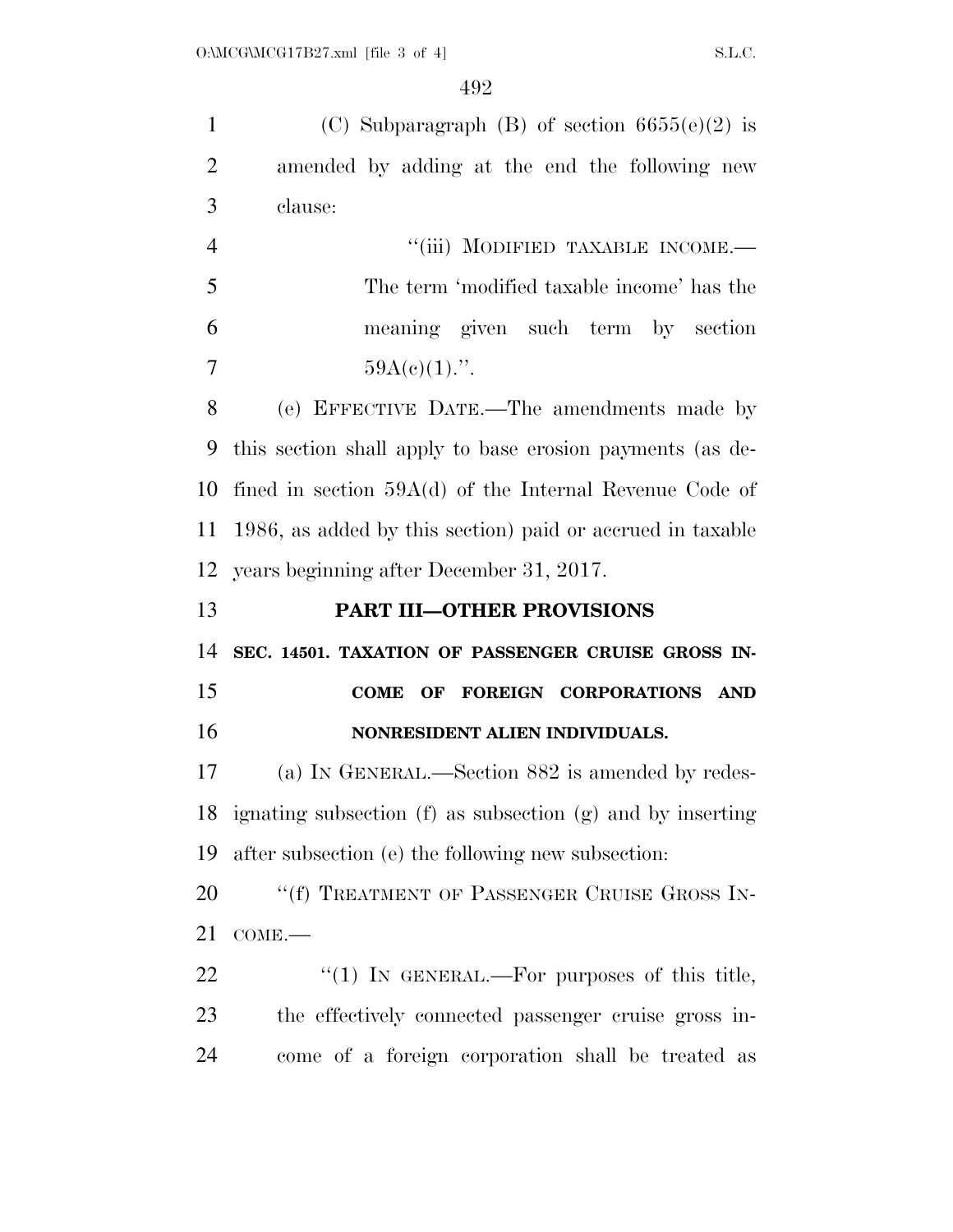1 (C) Subparagraph (B) of section  $6655(e)(2)$  is amended by adding at the end the following new clause: 4 "(iii) MODIFIED TAXABLE INCOME.— The term 'modified taxable income' has the meaning given such term by section  $59A(e)(1)$ .". (e) EFFECTIVE DATE.—The amendments made by this section shall apply to base erosion payments (as de- fined in section 59A(d) of the Internal Revenue Code of 1986, as added by this section) paid or accrued in taxable years beginning after December 31, 2017. **PART III—OTHER PROVISIONS SEC. 14501. TAXATION OF PASSENGER CRUISE GROSS IN- COME OF FOREIGN CORPORATIONS AND NONRESIDENT ALIEN INDIVIDUALS.**  (a) IN GENERAL.—Section 882 is amended by redes- ignating subsection (f) as subsection (g) and by inserting after subsection (e) the following new subsection: 20 <sup>"</sup>(f) TREATMENT OF PASSENGER CRUISE GROSS IN- COME.— 22 "(1) In GENERAL.—For purposes of this title, the effectively connected passenger cruise gross in-come of a foreign corporation shall be treated as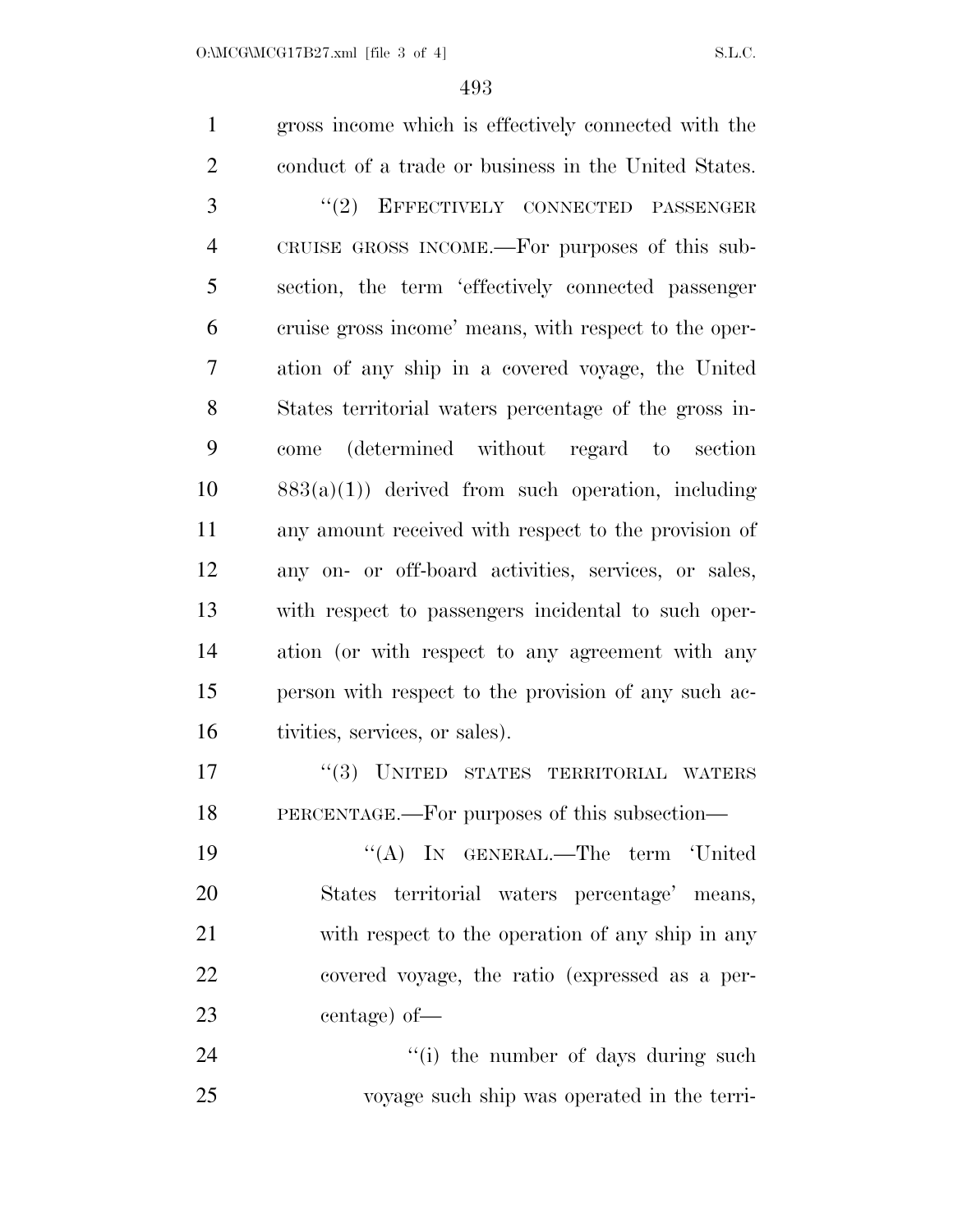gross income which is effectively connected with the conduct of a trade or business in the United States. 3 "(2) EFFECTIVELY CONNECTED PASSENGER CRUISE GROSS INCOME.—For purposes of this sub- section, the term 'effectively connected passenger cruise gross income' means, with respect to the oper- ation of any ship in a covered voyage, the United States territorial waters percentage of the gross in- come (determined without regard to section  $883(a)(1)$  derived from such operation, including any amount received with respect to the provision of any on- or off-board activities, services, or sales, with respect to passengers incidental to such oper- ation (or with respect to any agreement with any person with respect to the provision of any such ac- tivities, services, or sales). 17 "(3) UNITED STATES TERRITORIAL WATERS PERCENTAGE.—For purposes of this subsection— 19 "(A) IN GENERAL.—The term 'United States territorial waters percentage' means, with respect to the operation of any ship in any covered voyage, the ratio (expressed as a per- centage) of— 24 ''(i) the number of days during such voyage such ship was operated in the terri-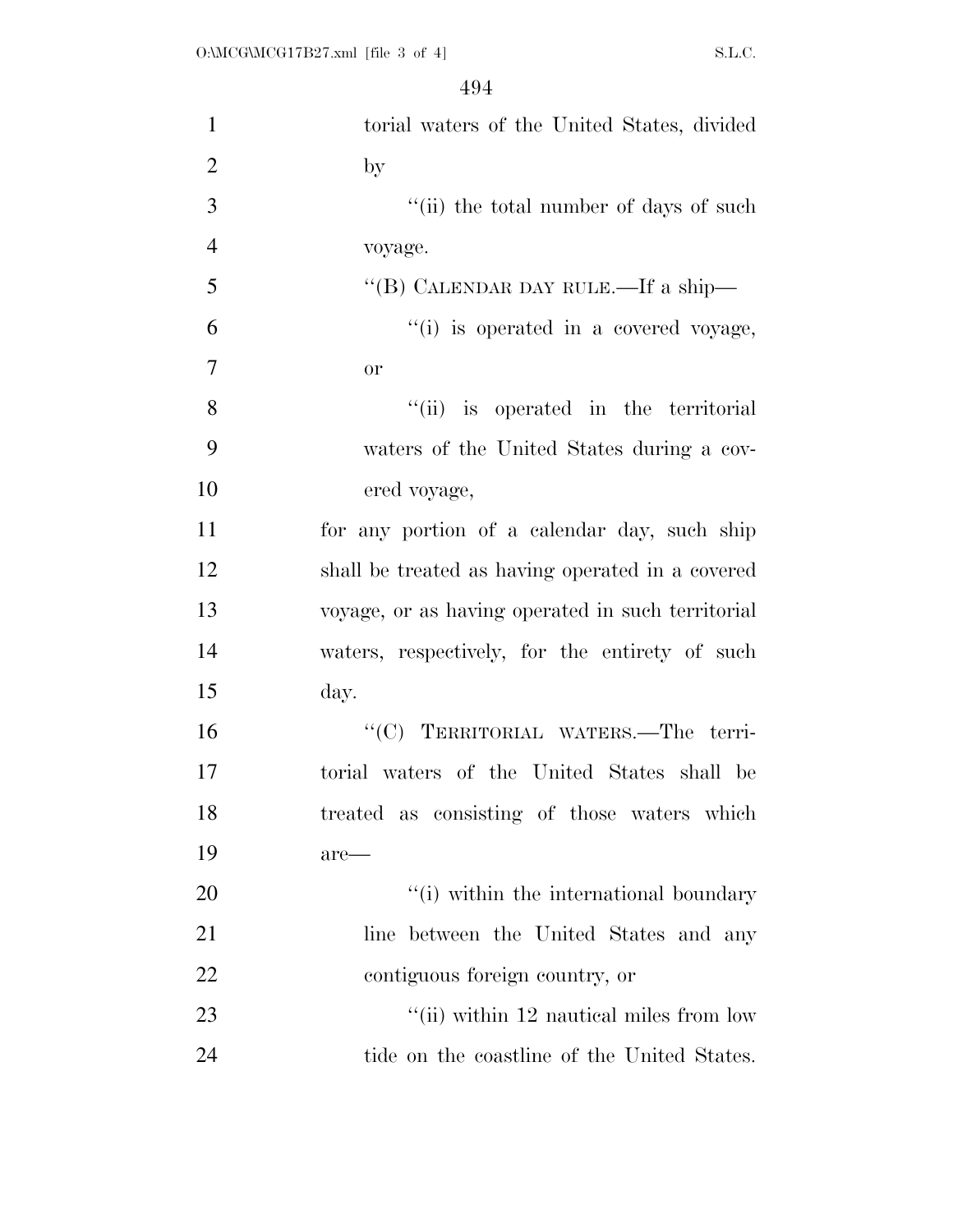| $\mathbf{1}$   | torial waters of the United States, divided       |
|----------------|---------------------------------------------------|
| $\overline{2}$ | by                                                |
| 3              | "(ii) the total number of days of such            |
| $\overline{4}$ | voyage.                                           |
| 5              | "(B) CALENDAR DAY RULE.—If a ship—                |
| 6              | "(i) is operated in a covered voyage,             |
| 7              | <b>or</b>                                         |
| 8              | "(ii) is operated in the territorial              |
| 9              | waters of the United States during a cov-         |
| 10             | ered voyage,                                      |
| 11             | for any portion of a calendar day, such ship      |
| 12             | shall be treated as having operated in a covered  |
| 13             | voyage, or as having operated in such territorial |
| 14             | waters, respectively, for the entirety of such    |
| 15             | day.                                              |
| 16             | "(C) TERRITORIAL WATERS.-The terri-               |
| 17             | torial waters of the United States shall be       |
| 18             | treated as consisting of those waters which       |
| 19             | are—                                              |
| 20             | "(i) within the international boundary            |
| 21             | line between the United States and any            |
| 22             | contiguous foreign country, or                    |
| 23             | "(ii) within 12 nautical miles from low           |
| 24             | tide on the coastline of the United States.       |
|                |                                                   |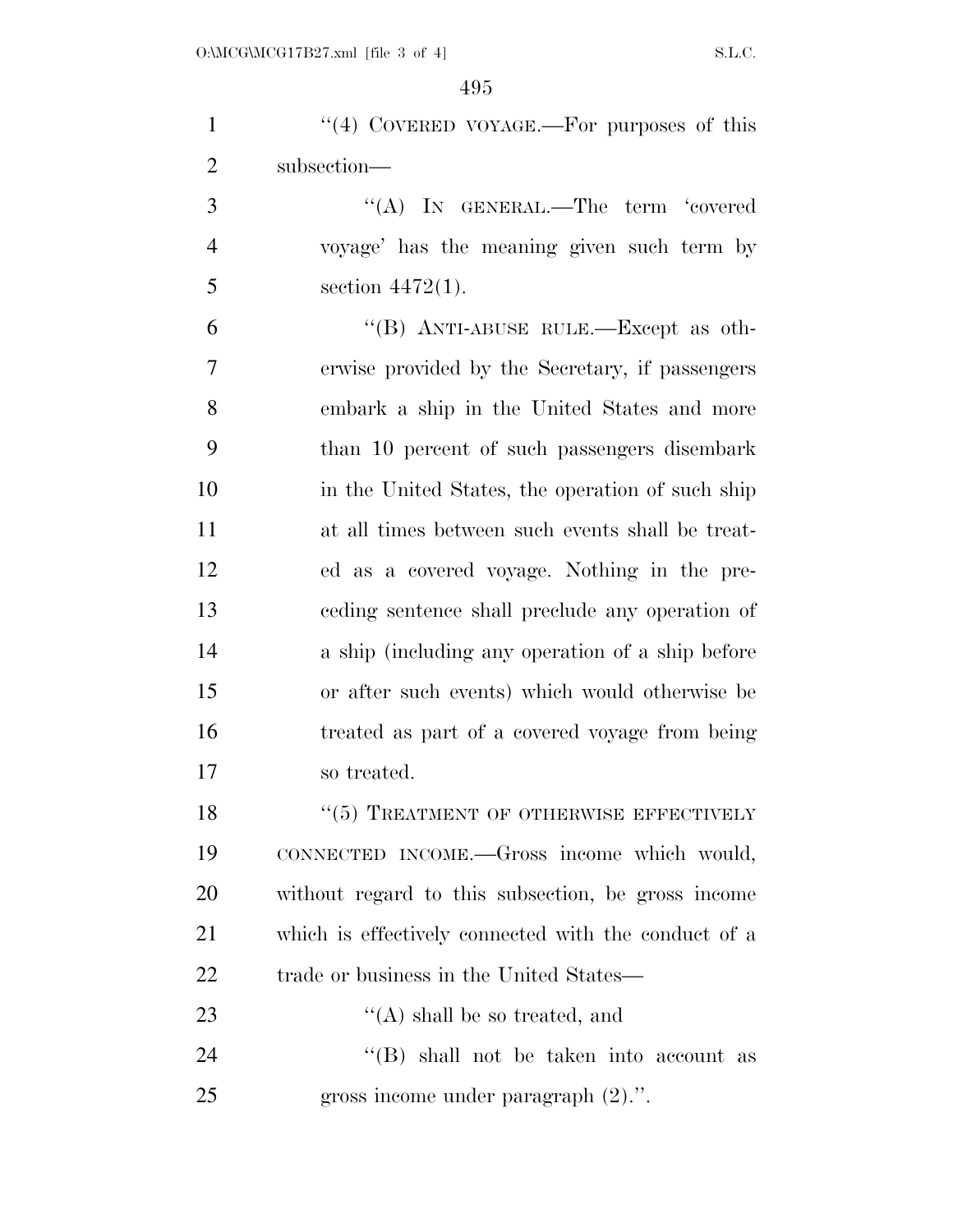| $\mathbf{1}$   | "(4) COVERED VOYAGE.—For purposes of this            |
|----------------|------------------------------------------------------|
| $\overline{2}$ | subsection-                                          |
| 3              | "(A) IN GENERAL.—The term 'covered                   |
| $\overline{4}$ | voyage' has the meaning given such term by           |
| 5              | section $4472(1)$ .                                  |
| 6              | "(B) ANTI-ABUSE RULE.—Except as oth-                 |
| 7              | erwise provided by the Secretary, if passengers      |
| 8              | embark a ship in the United States and more          |
| 9              | than 10 percent of such passengers disembark         |
| 10             | in the United States, the operation of such ship     |
| 11             | at all times between such events shall be treat-     |
| 12             | ed as a covered voyage. Nothing in the pre-          |
| 13             | ceding sentence shall preclude any operation of      |
| 14             | a ship (including any operation of a ship before     |
| 15             | or after such events) which would otherwise be       |
| 16             | treated as part of a covered voyage from being       |
| 17             | so treated.                                          |
| 18             | $``(5)$ TREATMENT OF OTHERWISE EFFECTIVELY           |
| 19             | CONNECTED INCOME.—Gross income which would,          |
| 20             | without regard to this subsection, be gross income   |
| 21             | which is effectively connected with the conduct of a |
| 22             | trade or business in the United States—              |
| 23             | $\lq\lq$ shall be so treated, and                    |
| 24             | $\lq\lq$ shall not be taken into account as          |
| 25             | gross income under paragraph $(2)$ .".               |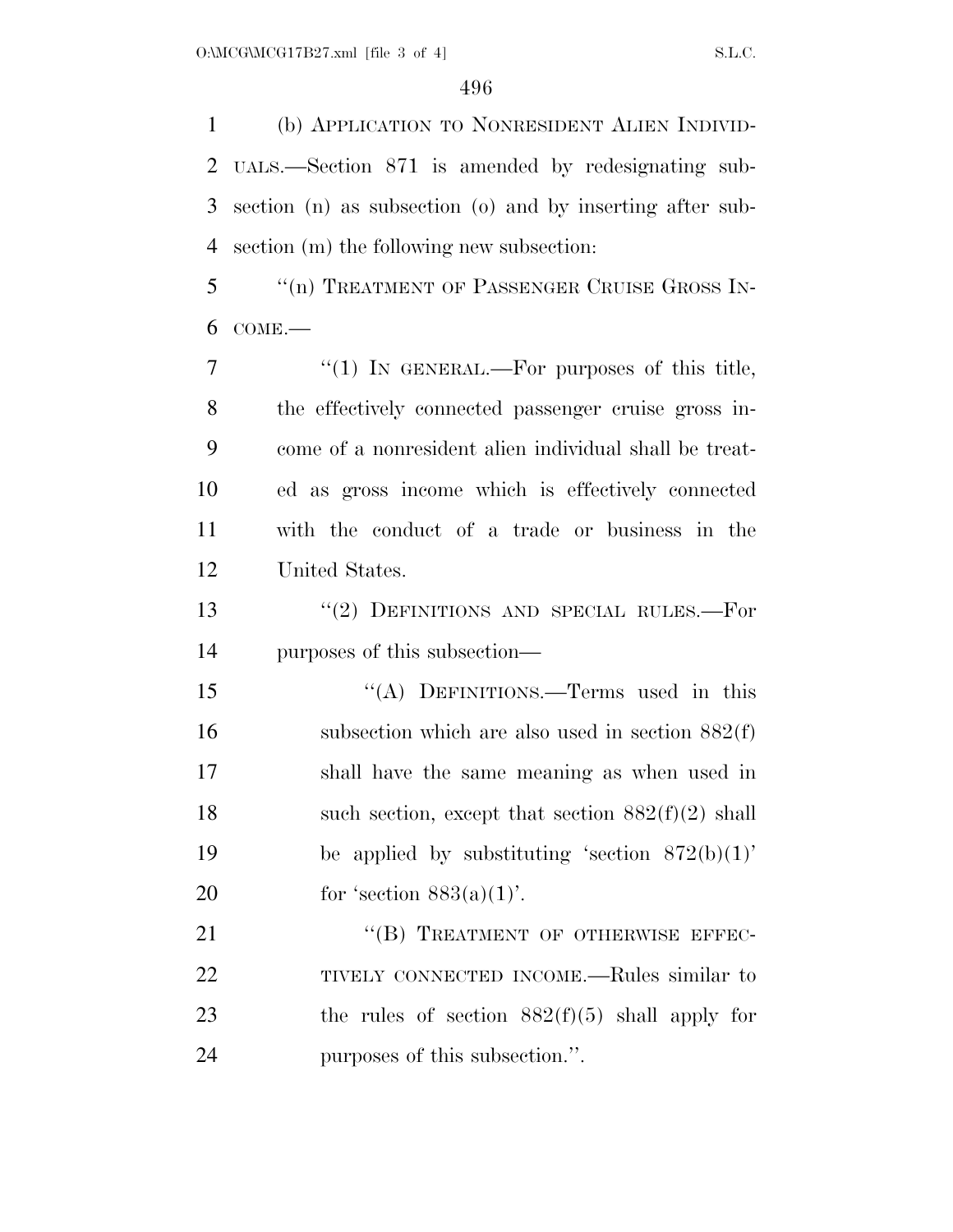(b) APPLICATION TO NONRESIDENT ALIEN INDIVID- UALS.—Section 871 is amended by redesignating sub- section (n) as subsection (o) and by inserting after sub-section (m) the following new subsection:

 ''(n) TREATMENT OF PASSENGER CRUISE GROSS IN-COME.—

 $7 \t$  ''(1) In GENERAL.—For purposes of this title, the effectively connected passenger cruise gross in- come of a nonresident alien individual shall be treat- ed as gross income which is effectively connected with the conduct of a trade or business in the United States.

13 "(2) DEFINITIONS AND SPECIAL RULES.—For purposes of this subsection—

15 "(A) DEFINITIONS.—Terms used in this 16 subsection which are also used in section  $882(f)$  shall have the same meaning as when used in 18 such section, except that section  $882(f)(2)$  shall 19 be applied by substituting 'section  $872(b)(1)$ ' 20 for 'section  $883(a)(1)$ '.

21 "(B) TREATMENT OF OTHERWISE EFFEC- TIVELY CONNECTED INCOME.—Rules similar to 23 the rules of section  $882(f)(5)$  shall apply for purposes of this subsection.''.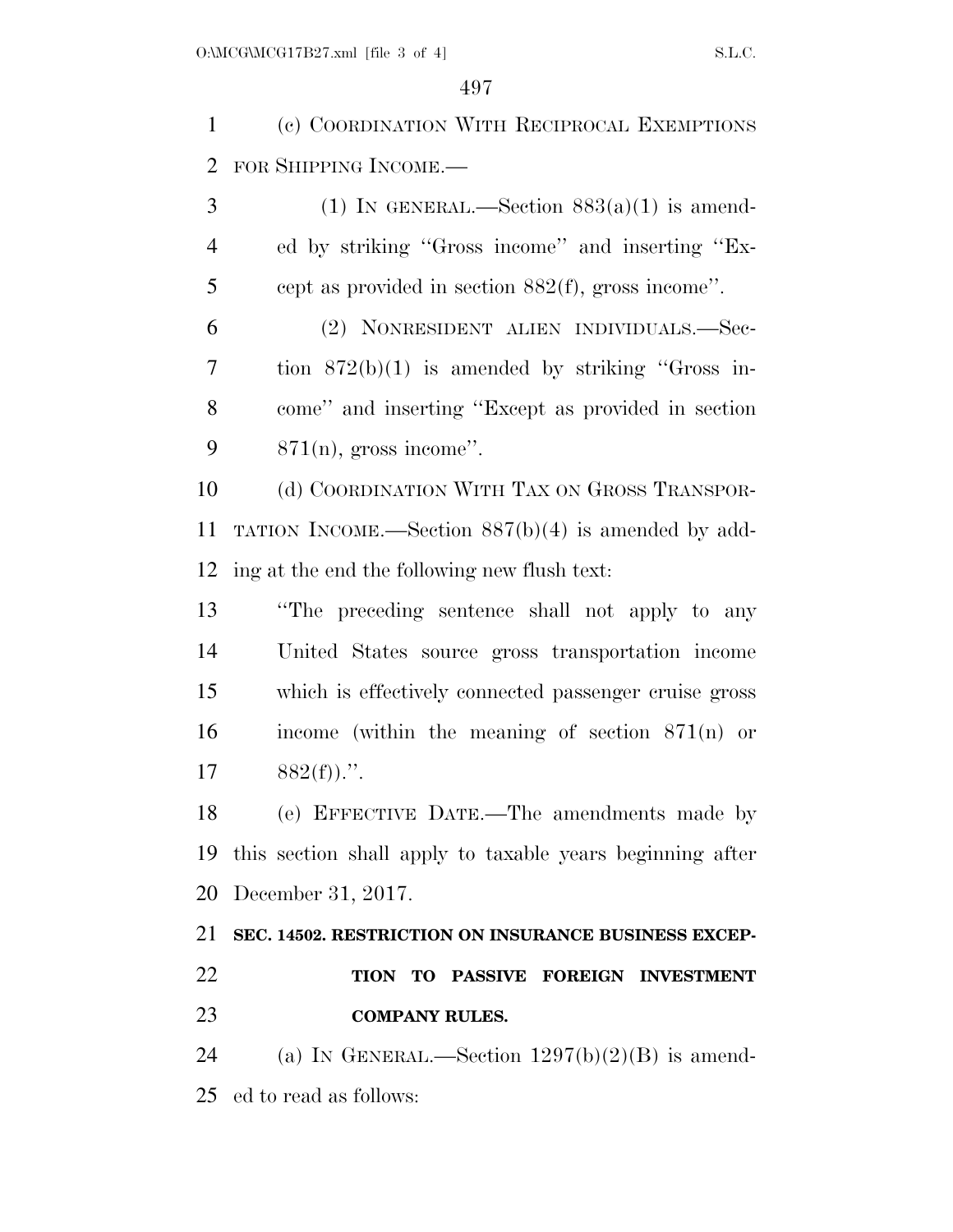(c) COORDINATION WITH RECIPROCAL EXEMPTIONS FOR SHIPPING INCOME.—

3 (1) IN GENERAL.—Section  $883(a)(1)$  is amend- ed by striking ''Gross income'' and inserting ''Ex-cept as provided in section 882(f), gross income''.

 (2) NONRESIDENT ALIEN INDIVIDUALS.—Sec- tion 872(b)(1) is amended by striking ''Gross in- come'' and inserting ''Except as provided in section  $871(n)$ , gross income".

10 (d) COORDINATION WITH TAX ON GROSS TRANSPOR- TATION INCOME.—Section 887(b)(4) is amended by add-ing at the end the following new flush text:

 ''The preceding sentence shall not apply to any United States source gross transportation income which is effectively connected passenger cruise gross income (within the meaning of section 871(n) or  $882(f)$ .".

 (e) EFFECTIVE DATE.—The amendments made by this section shall apply to taxable years beginning after December 31, 2017.

# **SEC. 14502. RESTRICTION ON INSURANCE BUSINESS EXCEP- TION TO PASSIVE FOREIGN INVESTMENT COMPANY RULES.**

24 (a) IN GENERAL.—Section  $1297(b)(2)(B)$  is amend-ed to read as follows: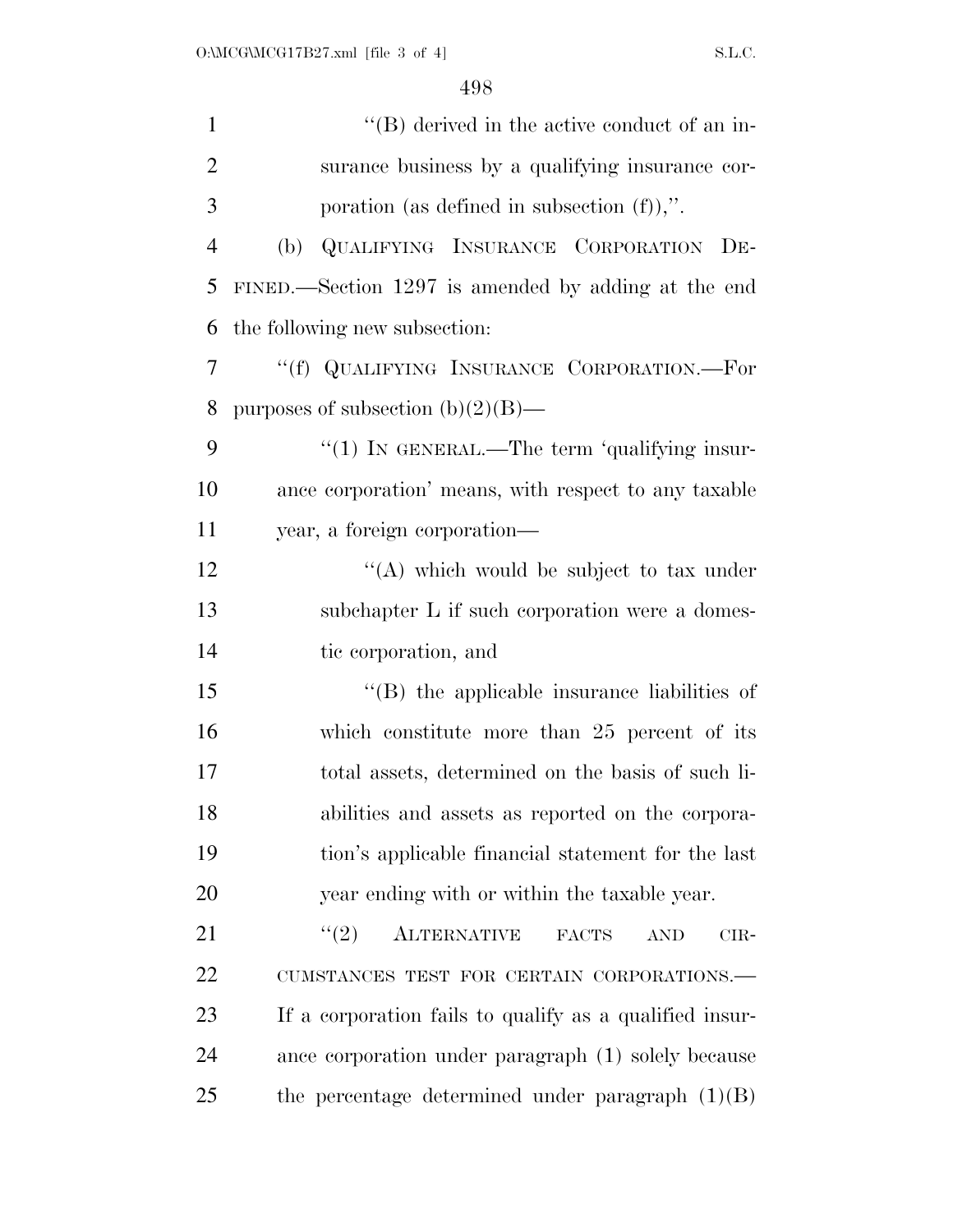| $\mathbf{1}$   | $\lq\lq (B)$ derived in the active conduct of an in-            |
|----------------|-----------------------------------------------------------------|
| $\overline{2}$ | surance business by a qualifying insurance cor-                 |
| 3              | poration (as defined in subsection $(f)$ ),".                   |
| $\overline{4}$ | QUALIFYING INSURANCE CORPORATION DE-<br>(b)                     |
| 5              | FINED.—Section 1297 is amended by adding at the end             |
| 6              | the following new subsection:                                   |
| $\tau$         | "(f) QUALIFYING INSURANCE CORPORATION.—For                      |
| 8              | purposes of subsection $(b)(2)(B)$ —                            |
| 9              | "(1) IN GENERAL.—The term 'qualifying insur-                    |
| 10             | ance corporation' means, with respect to any taxable            |
| 11             | year, a foreign corporation—                                    |
| 12             | "(A) which would be subject to tax under                        |
| 13             | subchapter L if such corporation were a domes-                  |
| 14             | tic corporation, and                                            |
| 15             | $\lq\lq$ the applicable insurance liabilities of                |
| 16             | which constitute more than 25 percent of its                    |
| 17             | total assets, determined on the basis of such li-               |
| 18             | abilities and assets as reported on the corpora-                |
| 19             | tion's applicable financial statement for the last              |
| 20             | year ending with or within the taxable year.                    |
| 21             | (2)<br><b>ALTERNATIVE</b><br><b>FACTS</b><br><b>AND</b><br>CIR- |
| 22             | CUMSTANCES TEST FOR CERTAIN CORPORATIONS.-                      |
| 23             | If a corporation fails to qualify as a qualified insur-         |
| 24             | ance corporation under paragraph (1) solely because             |
| 25             | the percentage determined under paragraph $(1)(B)$              |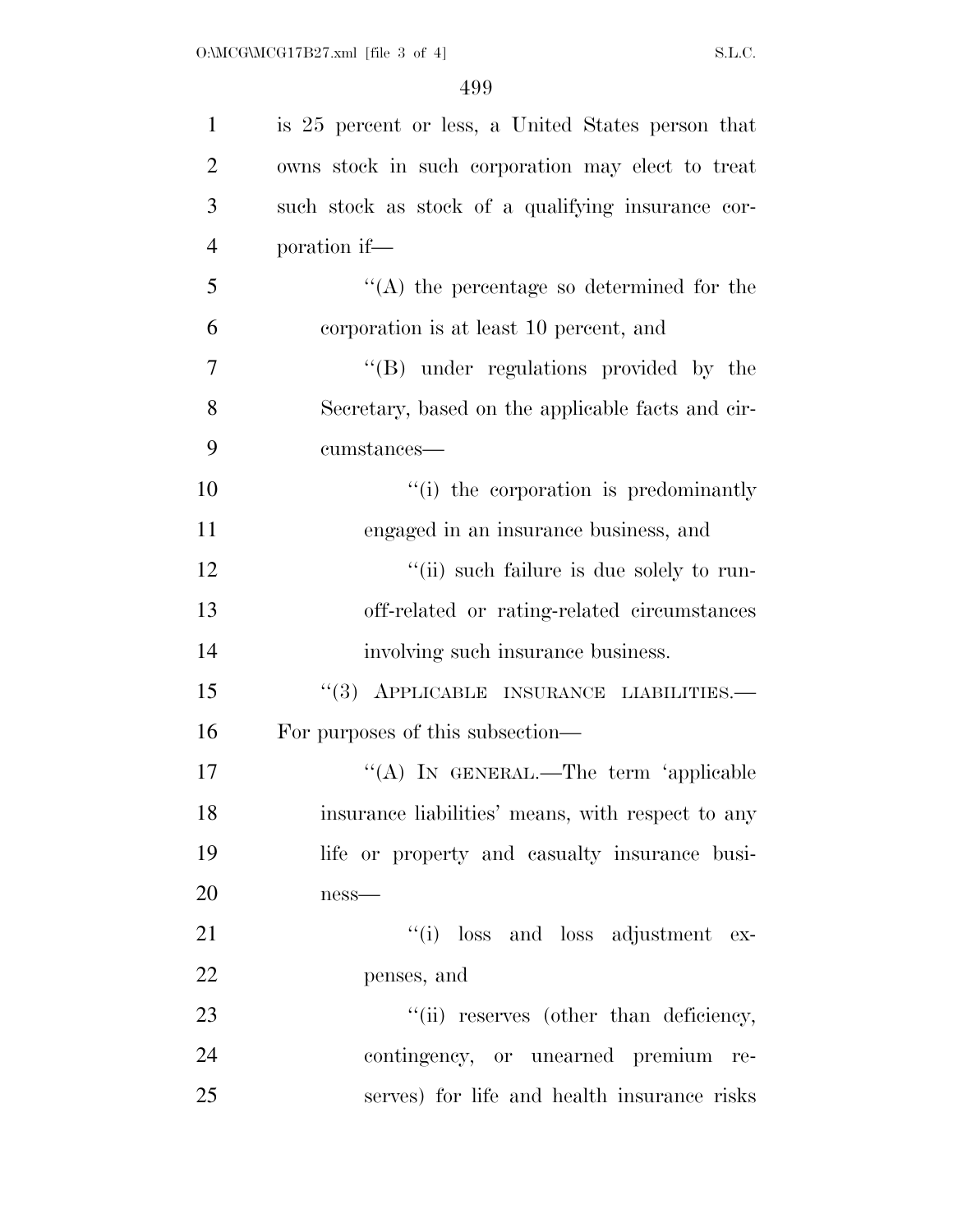| $\mathbf{1}$   | is 25 percent or less, a United States person that |
|----------------|----------------------------------------------------|
| $\overline{2}$ | owns stock in such corporation may elect to treat  |
| 3              | such stock as stock of a qualifying insurance cor- |
| $\overline{4}$ | poration if—                                       |
| 5              | $\lq\lq$ the percentage so determined for the      |
| 6              | corporation is at least 10 percent, and            |
| $\overline{7}$ | $\lq\lq (B)$ under regulations provided by the     |
| 8              | Secretary, based on the applicable facts and cir-  |
| 9              | cumstances—                                        |
| 10             | "(i) the corporation is predominantly              |
| 11             | engaged in an insurance business, and              |
| 12             | "(ii) such failure is due solely to run-           |
| 13             | off-related or rating-related circumstances        |
| 14             | involving such insurance business.                 |
| 15             | $``(3)$ APPLICABLE INSURANCE LIABILITIES.          |
| 16             | For purposes of this subsection—                   |
| 17             | "(A) IN GENERAL.—The term 'applicable              |
| 18             | insurance liabilities' means, with respect to any  |
| 19             | life or property and casualty insurance busi-      |
| 20             | $ness$ —                                           |
| 21             | "(i) loss and loss adjustment ex-                  |
| 22             | penses, and                                        |
| 23             | "(ii) reserves (other than deficiency,             |
| 24             | contingency, or unearned premium re-               |
| 25             | serves) for life and health insurance risks        |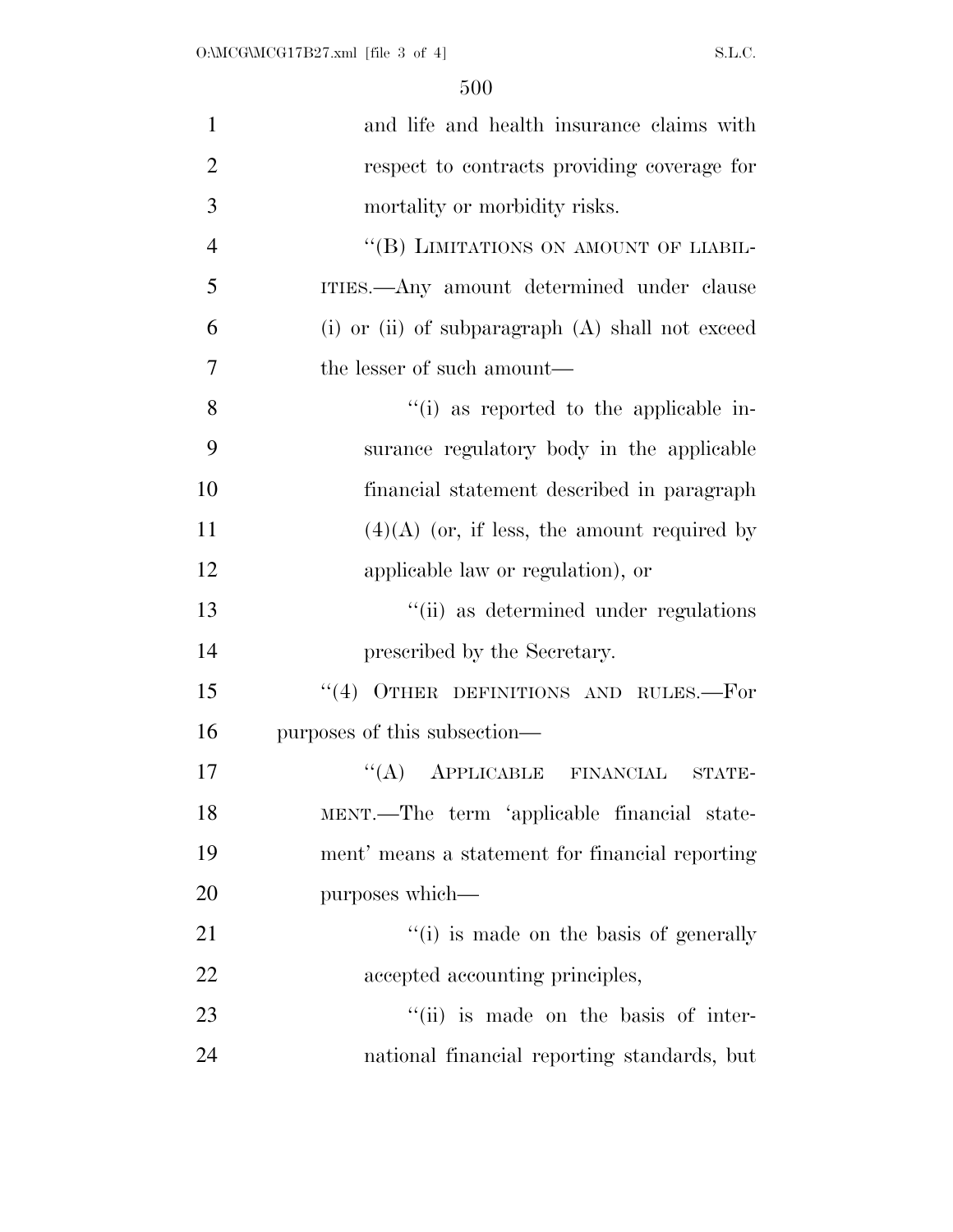| $\mathbf{1}$   | and life and health insurance claims with          |
|----------------|----------------------------------------------------|
| $\overline{2}$ | respect to contracts providing coverage for        |
| 3              | mortality or morbidity risks.                      |
| $\overline{4}$ | "(B) LIMITATIONS ON AMOUNT OF LIABIL-              |
| 5              | ITIES.—Any amount determined under clause          |
| 6              | (i) or (ii) of subparagraph $(A)$ shall not exceed |
| $\overline{7}$ | the lesser of such amount—                         |
| 8              | "(i) as reported to the applicable in-             |
| 9              | surance regulatory body in the applicable          |
| 10             | financial statement described in paragraph         |
| 11             | $(4)(A)$ (or, if less, the amount required by      |
| 12             | applicable law or regulation), or                  |
| 13             | "(ii) as determined under regulations              |
| 14             | prescribed by the Secretary.                       |
| 15             | $``(4)$ OTHER DEFINITIONS AND RULES.—For           |
| 16             | purposes of this subsection—                       |
| 17             | APPLICABLE FINANCIAL<br>``(A)<br>STATE-            |
| 18             | MENT.—The term 'applicable financial state-        |
| 19             | ment' means a statement for financial reporting    |
| 20             | purposes which—                                    |
| 21             | "(i) is made on the basis of generally             |
| 22             | accepted accounting principles,                    |
| 23             | "(ii) is made on the basis of inter-               |
| 24             | national financial reporting standards, but        |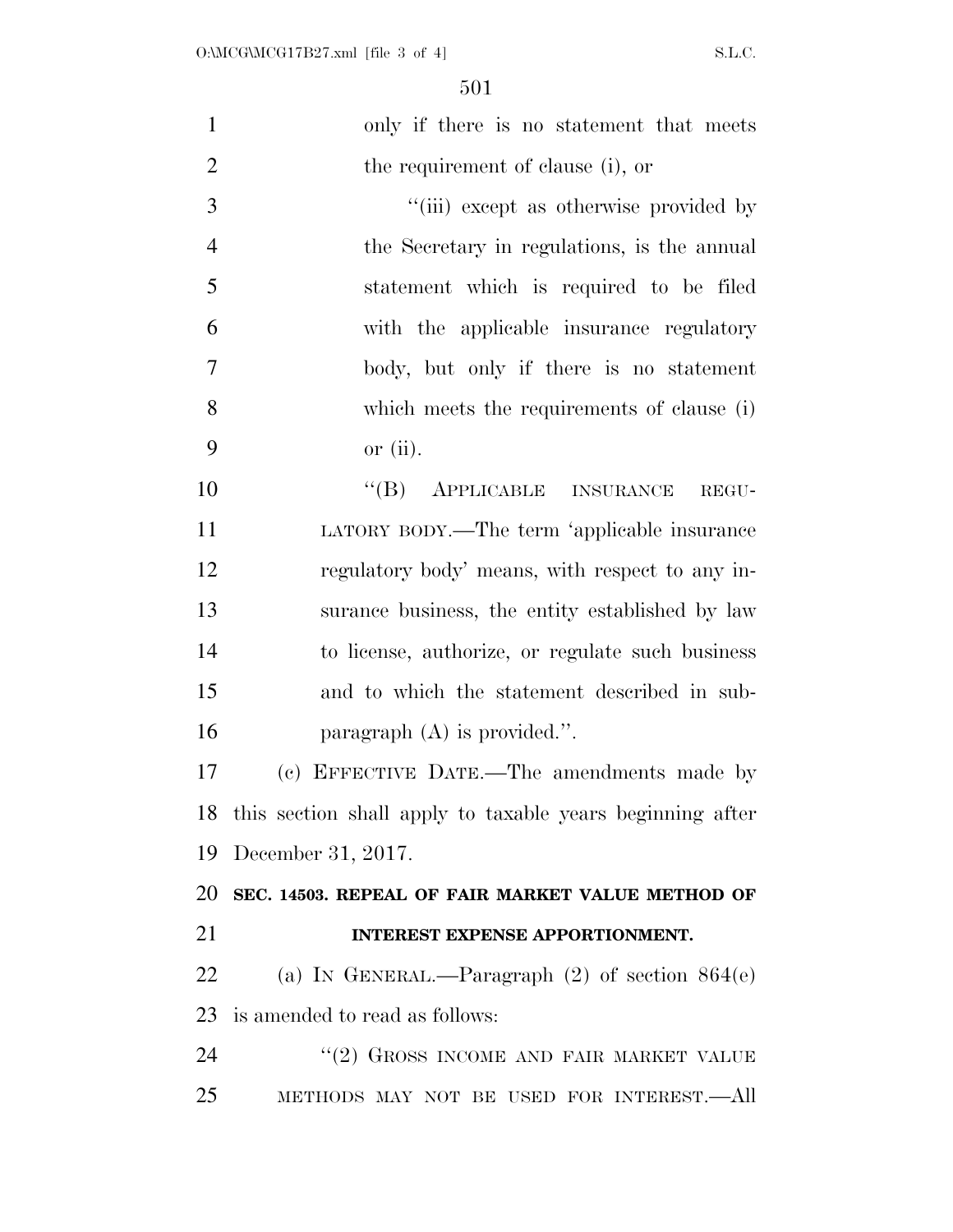| $\mathbf{1}$   | only if there is no statement that meets                     |
|----------------|--------------------------------------------------------------|
| $\overline{2}$ | the requirement of clause (i), or                            |
| 3              | "(iii) except as otherwise provided by                       |
| $\overline{4}$ | the Secretary in regulations, is the annual                  |
| 5              | statement which is required to be filed                      |
| 6              | with the applicable insurance regulatory                     |
| 7              | body, but only if there is no statement                      |
| 8              | which meets the requirements of clause (i)                   |
| 9              | or $(ii)$ .                                                  |
| 10             | "(B) APPLICABLE INSURANCE<br>REGU-                           |
| 11             | LATORY BODY.—The term 'applicable insurance                  |
| 12             | regulatory body' means, with respect to any in-              |
| 13             | surance business, the entity established by law              |
| 14             | to license, authorize, or regulate such business             |
| 15             | and to which the statement described in sub-                 |
| 16             | paragraph $(A)$ is provided.".                               |
| 17             | (c) EFFECTIVE DATE.—The amendments made by                   |
|                | 18 this section shall apply to taxable years beginning after |
| 19             | December 31, 2017.                                           |
| 20             | SEC. 14503. REPEAL OF FAIR MARKET VALUE METHOD OF            |
| 21             | INTEREST EXPENSE APPORTIONMENT.                              |
| 22             | (a) IN GENERAL.—Paragraph $(2)$ of section $864(e)$          |
| 23             | is amended to read as follows:                               |
| 24             | "(2) GROSS INCOME AND FAIR MARKET VALUE                      |
| 25             | METHODS MAY NOT BE USED FOR INTEREST.—All                    |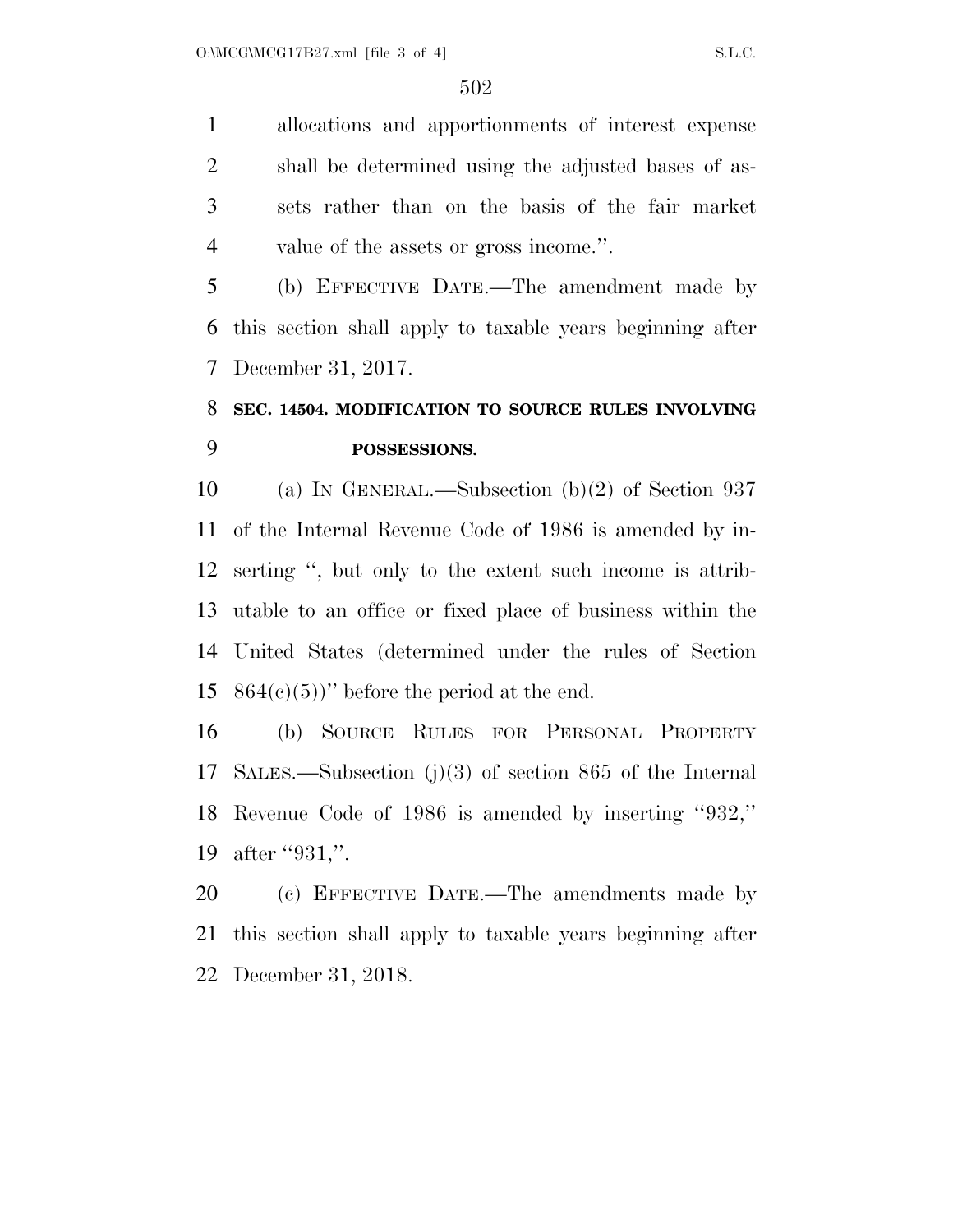allocations and apportionments of interest expense shall be determined using the adjusted bases of as- sets rather than on the basis of the fair market value of the assets or gross income.''.

 (b) EFFECTIVE DATE.—The amendment made by this section shall apply to taxable years beginning after December 31, 2017.

### **SEC. 14504. MODIFICATION TO SOURCE RULES INVOLVING POSSESSIONS.**

 (a) IN GENERAL.—Subsection (b)(2) of Section 937 of the Internal Revenue Code of 1986 is amended by in- serting '', but only to the extent such income is attrib- utable to an office or fixed place of business within the United States (determined under the rules of Section  $864(c)(5)$ " before the period at the end.

 (b) SOURCE RULES FOR PERSONAL PROPERTY SALES.—Subsection (j)(3) of section 865 of the Internal Revenue Code of 1986 is amended by inserting ''932,'' 19 after "931,".

 (c) EFFECTIVE DATE.—The amendments made by this section shall apply to taxable years beginning after December 31, 2018.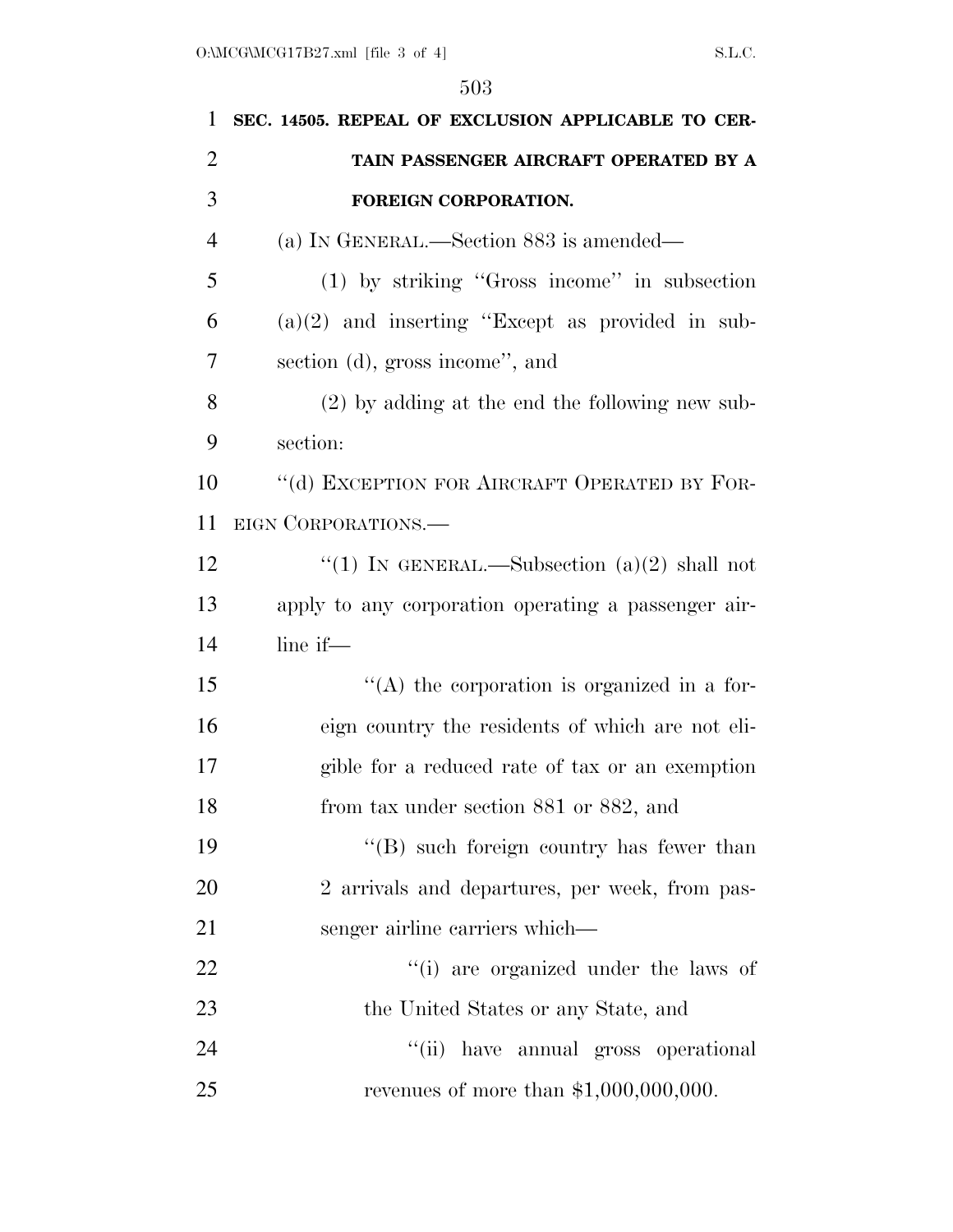| 1              | SEC. 14505. REPEAL OF EXCLUSION APPLICABLE TO CER-  |
|----------------|-----------------------------------------------------|
| $\overline{2}$ | TAIN PASSENGER AIRCRAFT OPERATED BY A               |
| 3              | FOREIGN CORPORATION.                                |
| $\overline{4}$ | (a) IN GENERAL.—Section 883 is amended—             |
| 5              | $(1)$ by striking "Gross income" in subsection      |
| 6              | $(a)(2)$ and inserting "Except as provided in sub-  |
| 7              | section (d), gross income", and                     |
| 8              | $(2)$ by adding at the end the following new sub-   |
| 9              | section:                                            |
| 10             | "(d) EXCEPTION FOR AIRCRAFT OPERATED BY FOR-        |
| 11             | EIGN CORPORATIONS.                                  |
| 12             | "(1) IN GENERAL.—Subsection $(a)(2)$ shall not      |
| 13             | apply to any corporation operating a passenger air- |
| 14             | line if-                                            |
| 15             | $\lq\lq$ the corporation is organized in a for-     |
| 16             | eign country the residents of which are not eli-    |
| 17             | gible for a reduced rate of tax or an exemption     |
| 18             | from tax under section 881 or 882, and              |
| 19             | "(B) such foreign country has fewer than            |
| 20             | 2 arrivals and departures, per week, from pas-      |
| 21             | senger airline carriers which—                      |
| 22             | "(i) are organized under the laws of                |
| 23             | the United States or any State, and                 |
| 24             | "(ii) have annual gross operational                 |
| 25             | revenues of more than $$1,000,000,000$ .            |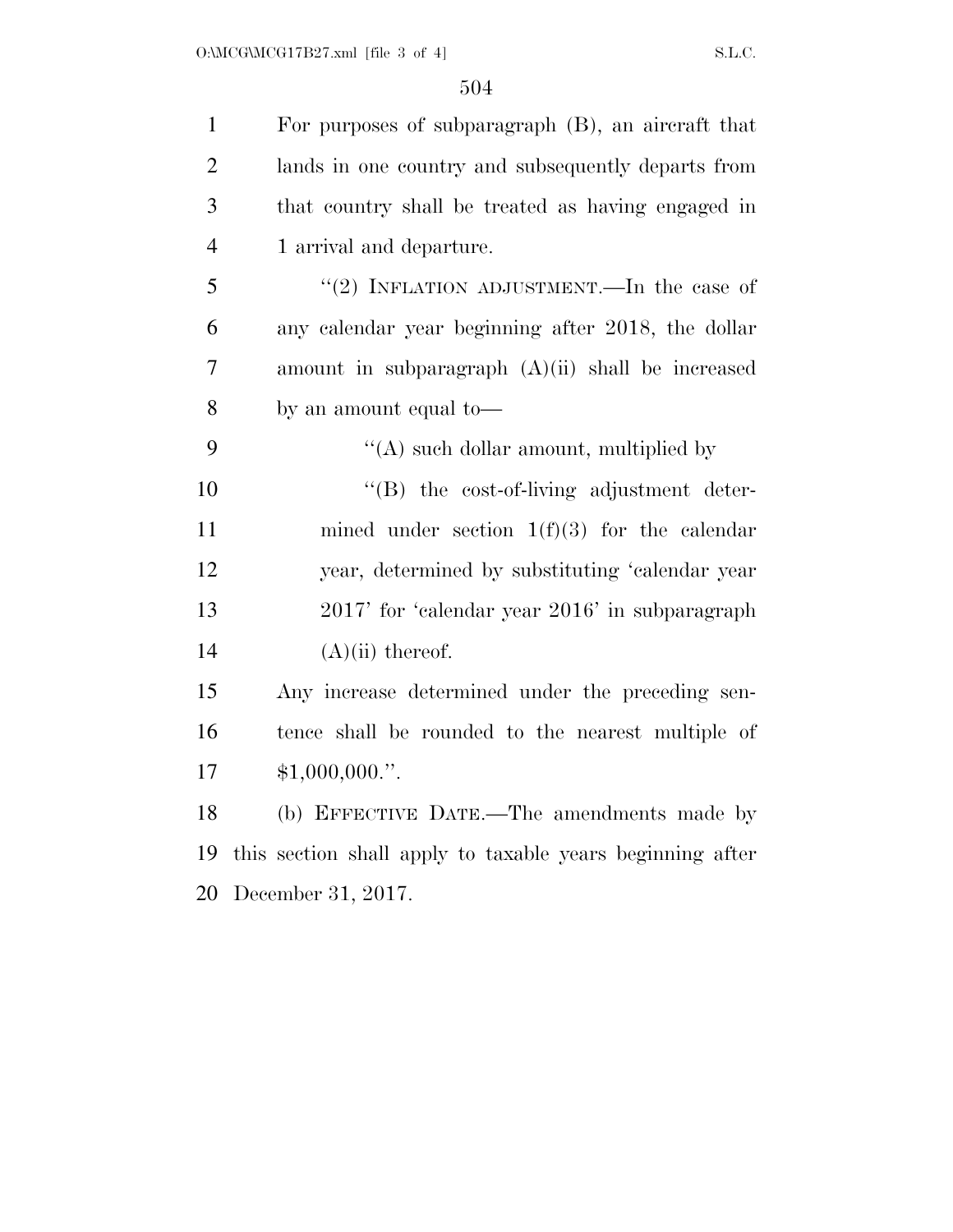| $\mathbf{1}$   | For purposes of subparagraph (B), an aircraft that        |
|----------------|-----------------------------------------------------------|
| $\overline{2}$ | lands in one country and subsequently departs from        |
| 3              | that country shall be treated as having engaged in        |
| $\overline{4}$ | 1 arrival and departure.                                  |
| 5              | "(2) INFLATION ADJUSTMENT.—In the case of                 |
| 6              | any calendar year beginning after 2018, the dollar        |
| 7              | amount in subparagraph $(A)(ii)$ shall be increased       |
| 8              | by an amount equal to-                                    |
| 9              | "(A) such dollar amount, multiplied by                    |
| 10             | $\lq\lq(B)$ the cost-of-living adjustment deter-          |
| 11             | mined under section $1(f)(3)$ for the calendar            |
| 12             | year, determined by substituting 'calendar year           |
| 13             | 2017' for 'calendar year 2016' in subparagraph            |
| 14             | $(A)(ii)$ thereof.                                        |
| 15             | Any increase determined under the preceding sen-          |
| 16             | tence shall be rounded to the nearest multiple of         |
| 17             | \$1,000,000."                                             |
| 18             | (b) EFFECTIVE DATE.—The amendments made by                |
| 19             | this section shall apply to taxable years beginning after |
| 20             | December 31, 2017.                                        |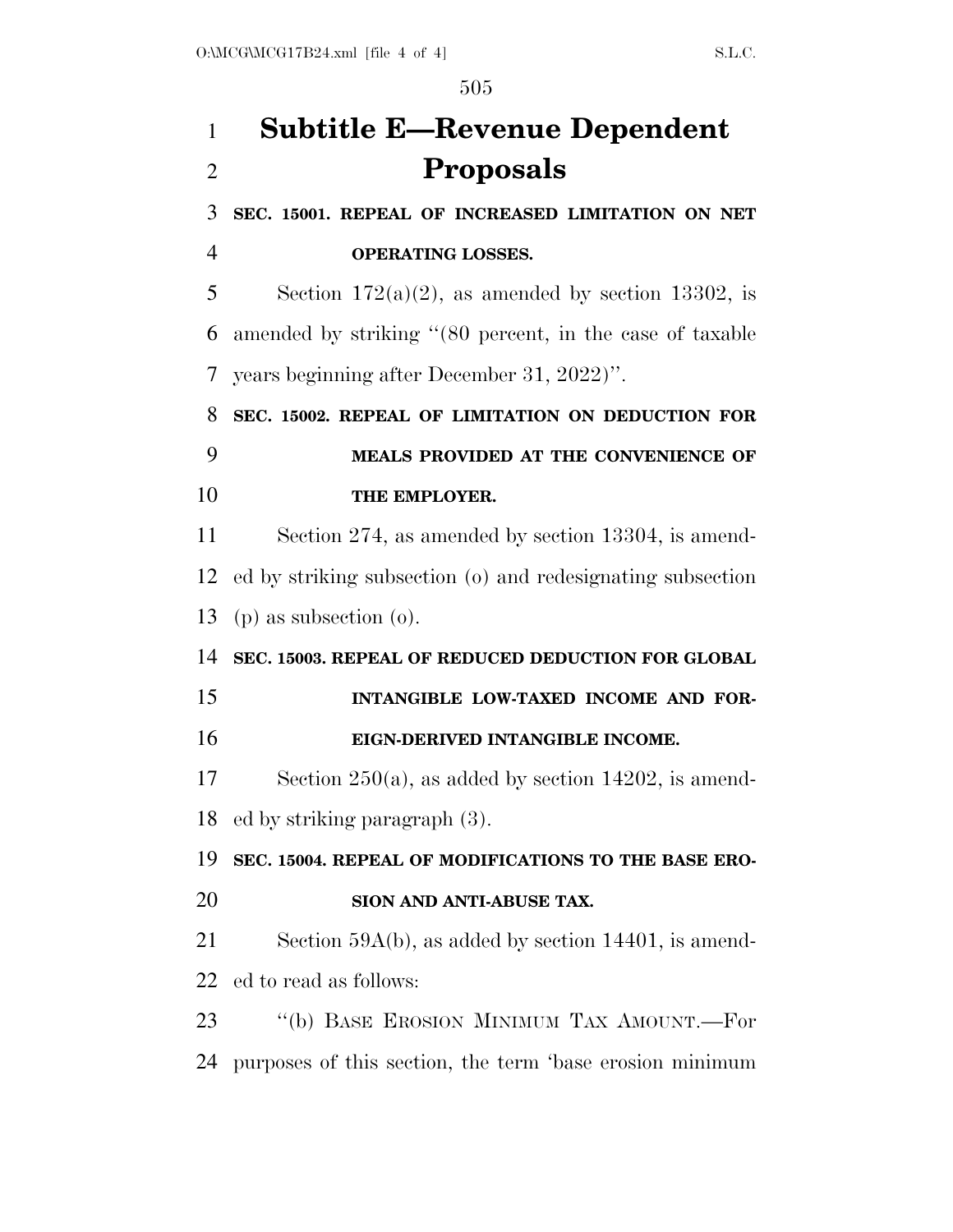# **Subtitle E—Revenue Dependent Proposals**

 **SEC. 15001. REPEAL OF INCREASED LIMITATION ON NET OPERATING LOSSES.** 

5 Section  $172(a)(2)$ , as amended by section 13302, is amended by striking ''(80 percent, in the case of taxable years beginning after December 31, 2022)''.

**SEC. 15002. REPEAL OF LIMITATION ON DEDUCTION FOR** 

## **MEALS PROVIDED AT THE CONVENIENCE OF THE EMPLOYER.**

 Section 274, as amended by section 13304, is amend- ed by striking subsection (o) and redesignating subsection (p) as subsection (o).

### **SEC. 15003. REPEAL OF REDUCED DEDUCTION FOR GLOBAL**

## **INTANGIBLE LOW-TAXED INCOME AND FOR-EIGN-DERIVED INTANGIBLE INCOME.**

 Section 250(a), as added by section 14202, is amend-ed by striking paragraph (3).

### **SEC. 15004. REPEAL OF MODIFICATIONS TO THE BASE ERO-**

**SION AND ANTI-ABUSE TAX.** 

 Section 59A(b), as added by section 14401, is amend-ed to read as follows:

 ''(b) BASE EROSION MINIMUM TAX AMOUNT.—For purposes of this section, the term 'base erosion minimum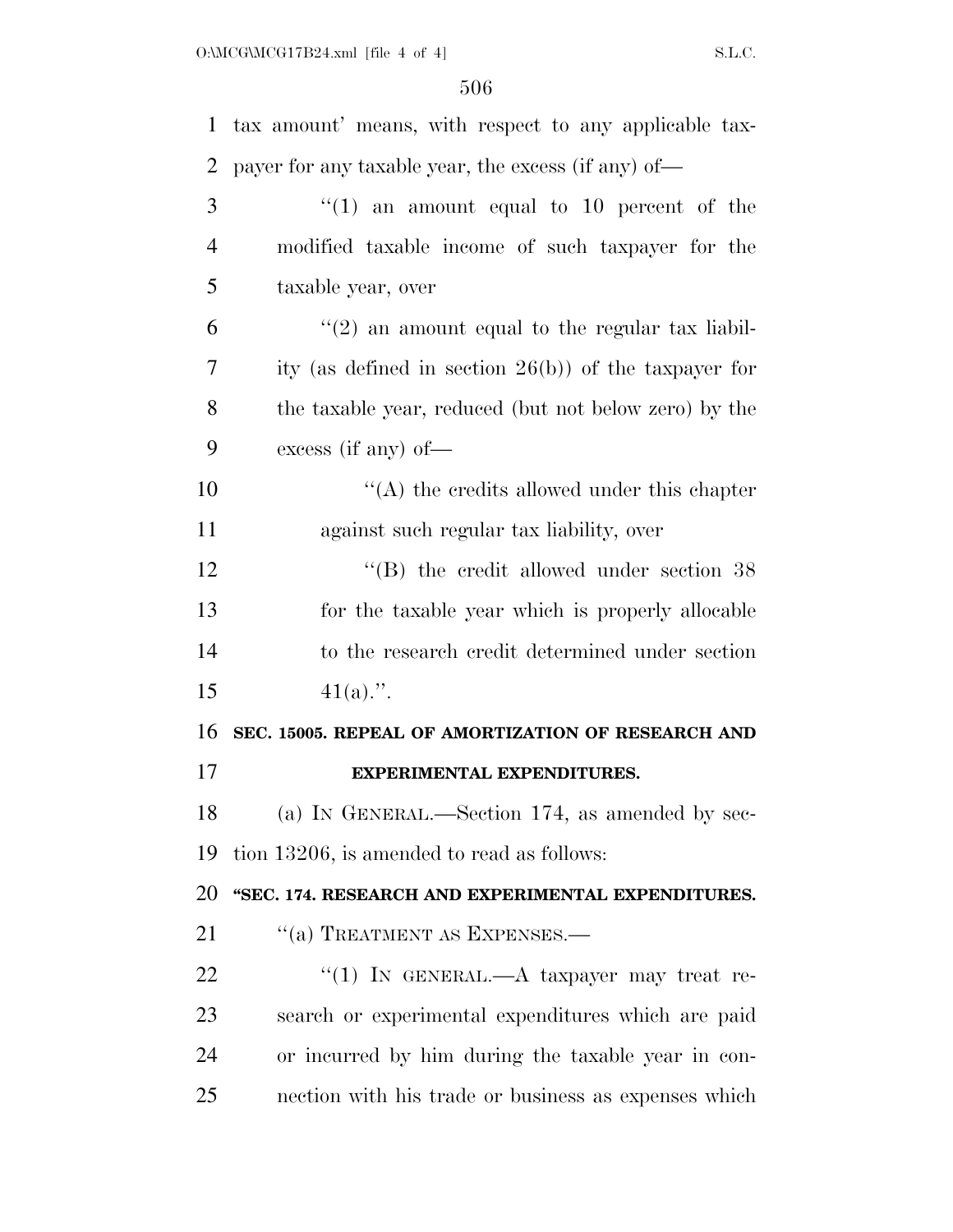| $\mathbf{1}$   | tax amount' means, with respect to any applicable tax-   |
|----------------|----------------------------------------------------------|
| $\overline{2}$ | payer for any taxable year, the excess (if any) of—      |
| 3              | "(1) an amount equal to 10 percent of the                |
| $\overline{4}$ | modified taxable income of such taxpayer for the         |
| 5              | taxable year, over                                       |
| 6              | $\lq(2)$ an amount equal to the regular tax liabil-      |
| 7              | ity (as defined in section $26(b)$ ) of the taxpayer for |
| 8              | the taxable year, reduced (but not below zero) by the    |
| 9              | excess (if any) of $-$                                   |
| 10             | $\lq\lq$ the credits allowed under this chapter          |
| 11             | against such regular tax liability, over                 |
| 12             | $\cdot$ (B) the credit allowed under section 38          |
| 13             | for the taxable year which is properly allocable         |
| 14             | to the research credit determined under section          |
| 15             | $41(a)$ .".                                              |
| 16             | SEC. 15005. REPEAL OF AMORTIZATION OF RESEARCH AND       |
| 17             | <b>EXPERIMENTAL EXPENDITURES.</b>                        |
| 18             | (a) IN GENERAL.—Section 174, as amended by sec-          |
| 19             | tion 13206, is amended to read as follows:               |
| 20             | "SEC. 174. RESEARCH AND EXPERIMENTAL EXPENDITURES.       |
| 21             | "(a) TREATMENT AS EXPENSES.—                             |
| 22             | "(1) IN GENERAL.—A taxpayer may treat re-                |
| 23             | search or experimental expenditures which are paid       |
| 24             | or incurred by him during the taxable year in con-       |
| 25             | nection with his trade or business as expenses which     |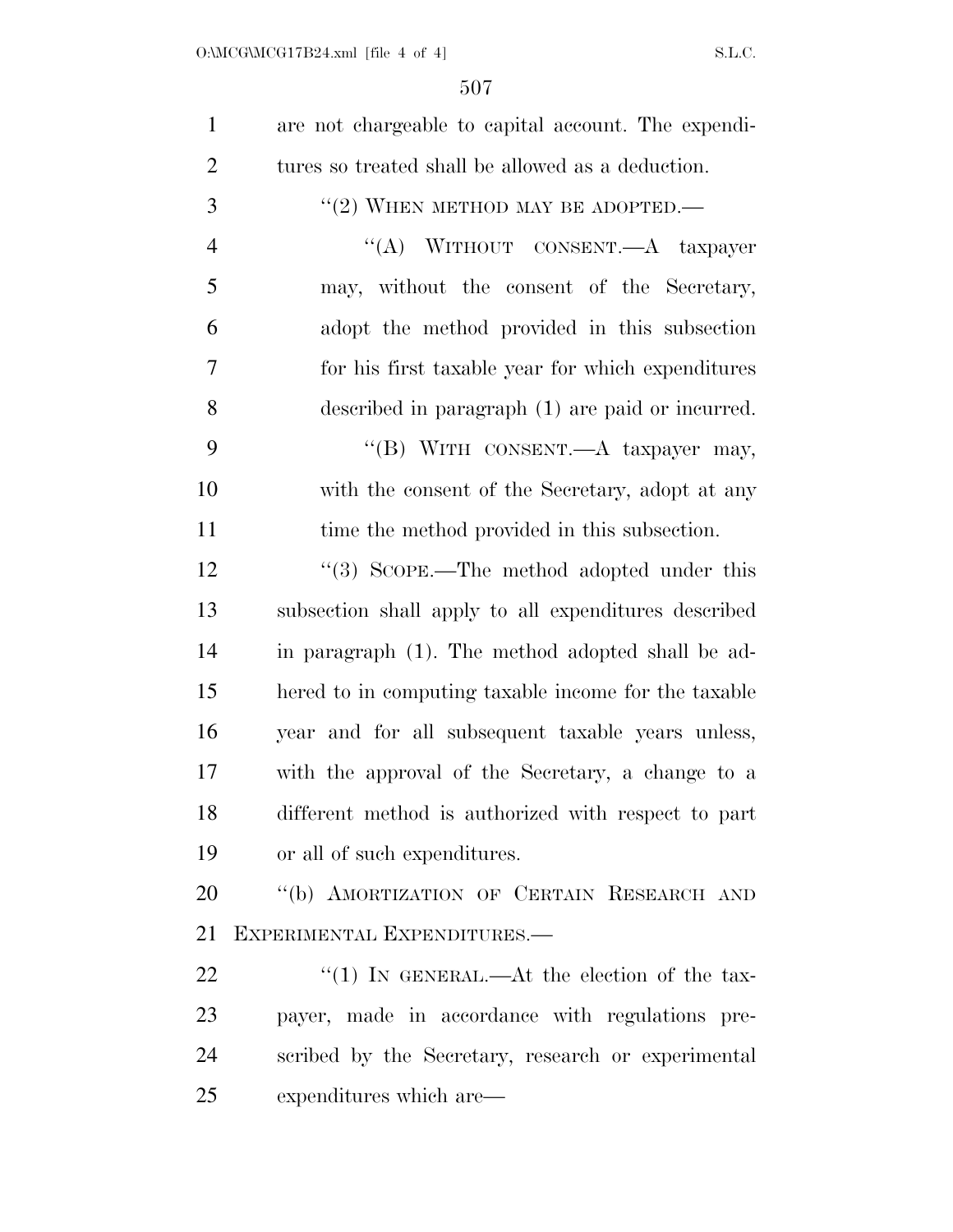| $\mathbf{1}$   | are not chargeable to capital account. The expendi-  |
|----------------|------------------------------------------------------|
| $\overline{2}$ | tures so treated shall be allowed as a deduction.    |
| 3              | "(2) WHEN METHOD MAY BE ADOPTED.—                    |
| $\overline{4}$ | "(A) WITHOUT CONSENT.—A taxpayer                     |
| 5              | may, without the consent of the Secretary,           |
| 6              | adopt the method provided in this subsection         |
| $\overline{7}$ | for his first taxable year for which expenditures    |
| 8              | described in paragraph (1) are paid or incurred.     |
| 9              | "(B) WITH CONSENT.—A taxpayer may,                   |
| 10             | with the consent of the Secretary, adopt at any      |
| 11             | time the method provided in this subsection.         |
| 12             | $\cdot$ (3) SCOPE.—The method adopted under this     |
| 13             | subsection shall apply to all expenditures described |
| 14             | in paragraph (1). The method adopted shall be ad-    |
| 15             | hered to in computing taxable income for the taxable |
| 16             | year and for all subsequent taxable years unless,    |
| 17             | with the approval of the Secretary, a change to a    |
| 18             | different method is authorized with respect to part  |
| 19             | or all of such expenditures.                         |
| 20             | "(b) AMORTIZATION OF CERTAIN RESEARCH AND            |
| 21             | EXPERIMENTAL EXPENDITURES.-                          |
| 22             | "(1) IN GENERAL.—At the election of the tax-         |
| 23             | payer, made in accordance with regulations pre-      |
| 24             | scribed by the Secretary, research or experimental   |
| 25             | expenditures which are—                              |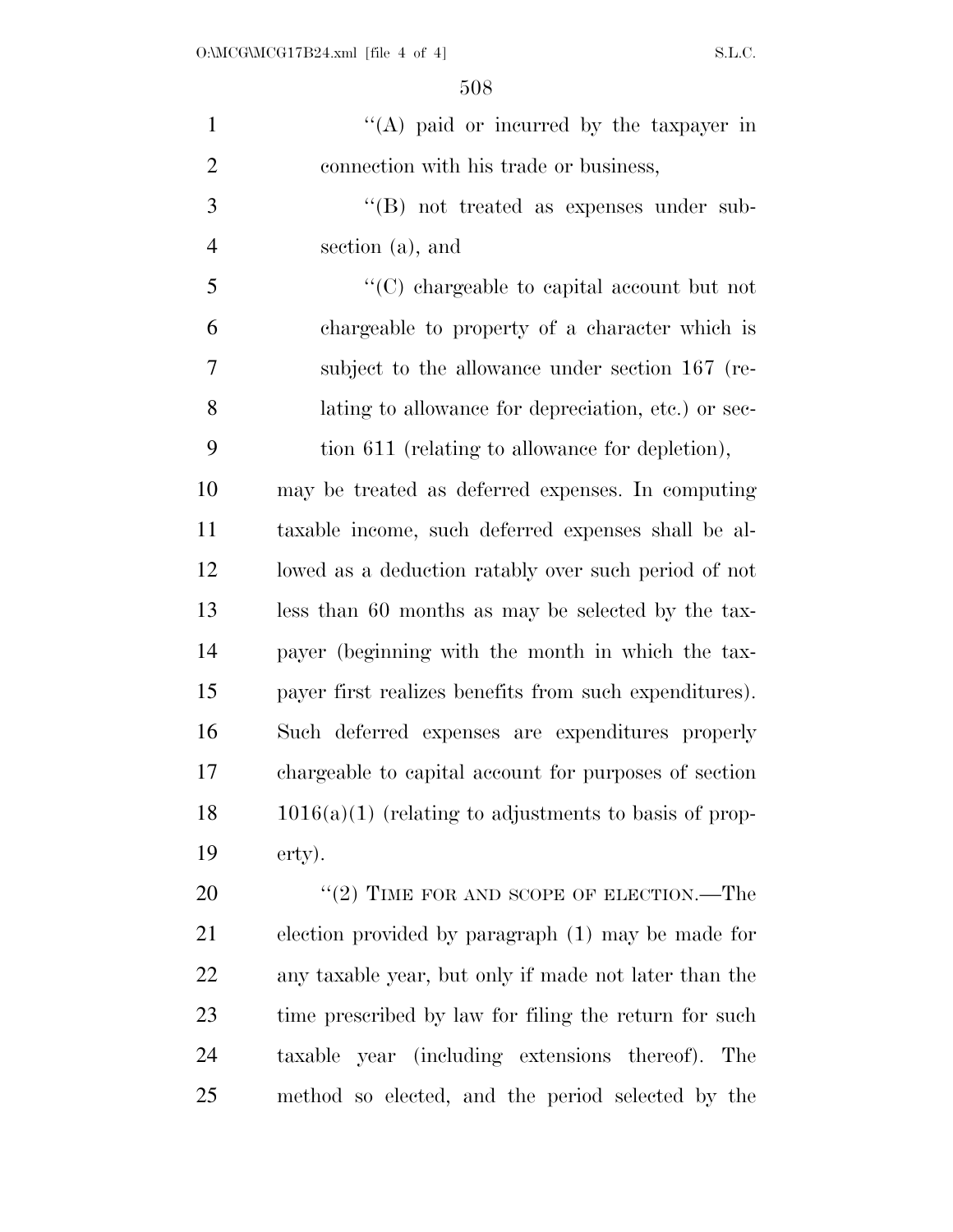| $\mathbf{1}$   | "(A) paid or incurred by the taxpayer in                |
|----------------|---------------------------------------------------------|
| $\overline{2}$ | connection with his trade or business,                  |
| 3              | $\lq\lq (B)$ not treated as expenses under sub-         |
| $\overline{4}$ | section (a), and                                        |
| 5              | "(C) chargeable to capital account but not              |
| 6              | chargeable to property of a character which is          |
| 7              | subject to the allowance under section 167 (re-         |
| 8              | lating to allowance for depreciation, etc.) or sec-     |
| 9              | tion 611 (relating to allowance for depletion),         |
| 10             | may be treated as deferred expenses. In computing       |
| 11             | taxable income, such deferred expenses shall be al-     |
| 12             | lowed as a deduction ratably over such period of not    |
| 13             | less than 60 months as may be selected by the tax-      |
| 14             | payer (beginning with the month in which the tax-       |
| 15             | payer first realizes benefits from such expenditures).  |
| 16             | Such deferred expenses are expenditures properly        |
| 17             | chargeable to capital account for purposes of section   |
| 18             | $1016(a)(1)$ (relating to adjustments to basis of prop- |
| 19             | erty).                                                  |
| 20             | $``(2)$ TIME FOR AND SCOPE OF ELECTION.—The             |
| 21             | election provided by paragraph (1) may be made for      |
| 22             | any taxable year, but only if made not later than the   |
| 23             | time prescribed by law for filing the return for such   |
| 24             | taxable year (including extensions thereof). The        |
| 25             | method so elected, and the period selected by the       |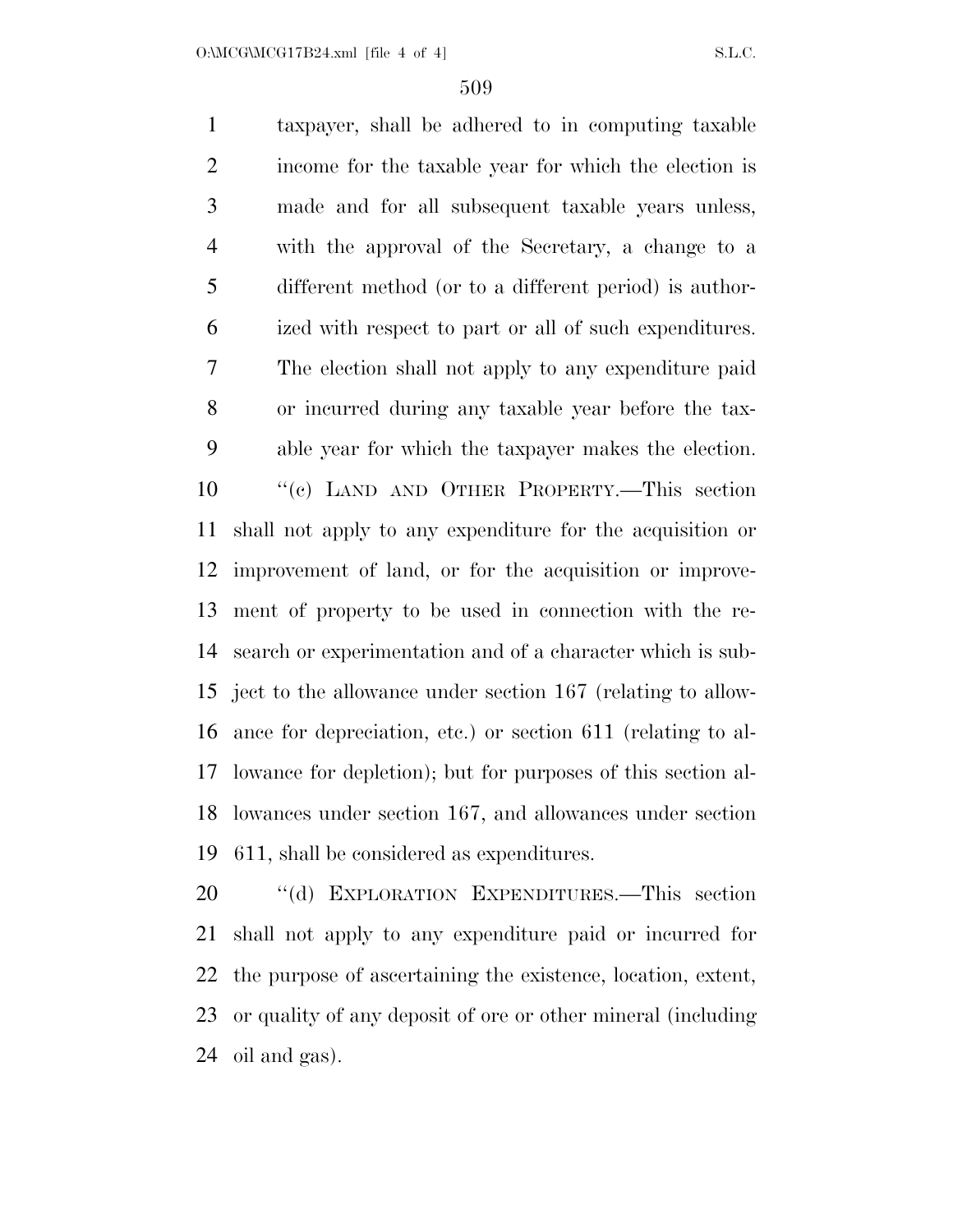O:\MCG\MCG17B24.xml [file 4 of 4] S.L.C.

 taxpayer, shall be adhered to in computing taxable income for the taxable year for which the election is made and for all subsequent taxable years unless, with the approval of the Secretary, a change to a different method (or to a different period) is author- ized with respect to part or all of such expenditures. The election shall not apply to any expenditure paid or incurred during any taxable year before the tax- able year for which the taxpayer makes the election. ''(c) LAND AND OTHER PROPERTY.—This section shall not apply to any expenditure for the acquisition or improvement of land, or for the acquisition or improve- ment of property to be used in connection with the re- search or experimentation and of a character which is sub- ject to the allowance under section 167 (relating to allow- ance for depreciation, etc.) or section 611 (relating to al- lowance for depletion); but for purposes of this section al- lowances under section 167, and allowances under section 611, shall be considered as expenditures.

 ''(d) EXPLORATION EXPENDITURES.—This section shall not apply to any expenditure paid or incurred for the purpose of ascertaining the existence, location, extent, or quality of any deposit of ore or other mineral (including oil and gas).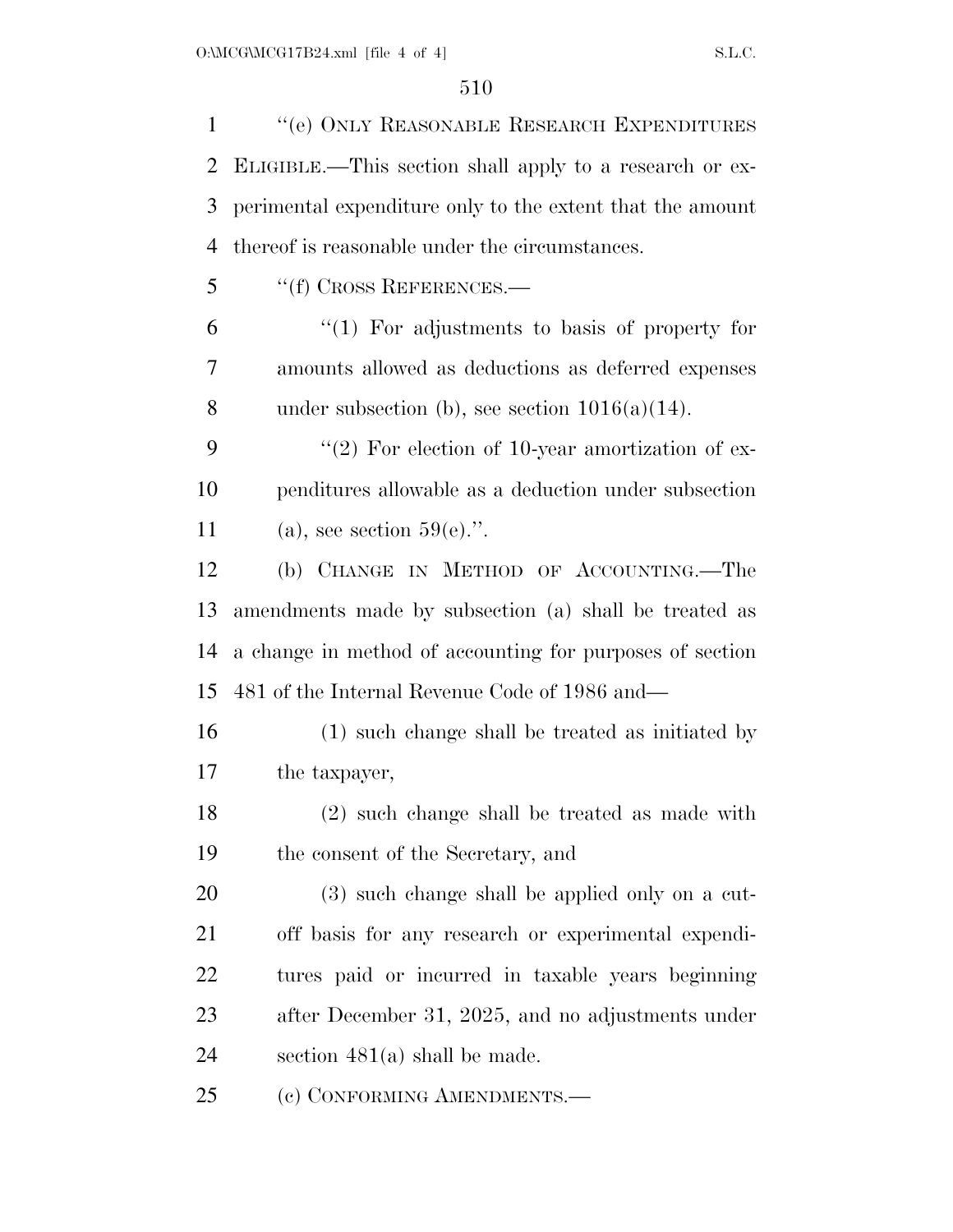''(e) ONLY REASONABLE RESEARCH EXPENDITURES ELIGIBLE.—This section shall apply to a research or ex- perimental expenditure only to the extent that the amount thereof is reasonable under the circumstances. ''(f) CROSS REFERENCES.— ''(1) For adjustments to basis of property for amounts allowed as deductions as deferred expenses 8 under subsection (b), see section  $1016(a)(14)$ .  $(2)$  For election of 10-year amortization of ex- penditures allowable as a deduction under subsection 11 (a), see section  $59(e)$ .". (b) CHANGE IN METHOD OF ACCOUNTING.—The amendments made by subsection (a) shall be treated as a change in method of accounting for purposes of section 481 of the Internal Revenue Code of 1986 and— (1) such change shall be treated as initiated by the taxpayer, (2) such change shall be treated as made with the consent of the Secretary, and (3) such change shall be applied only on a cut- off basis for any research or experimental expendi- tures paid or incurred in taxable years beginning after December 31, 2025, and no adjustments under section 481(a) shall be made. 25 (c) CONFORMING AMENDMENTS.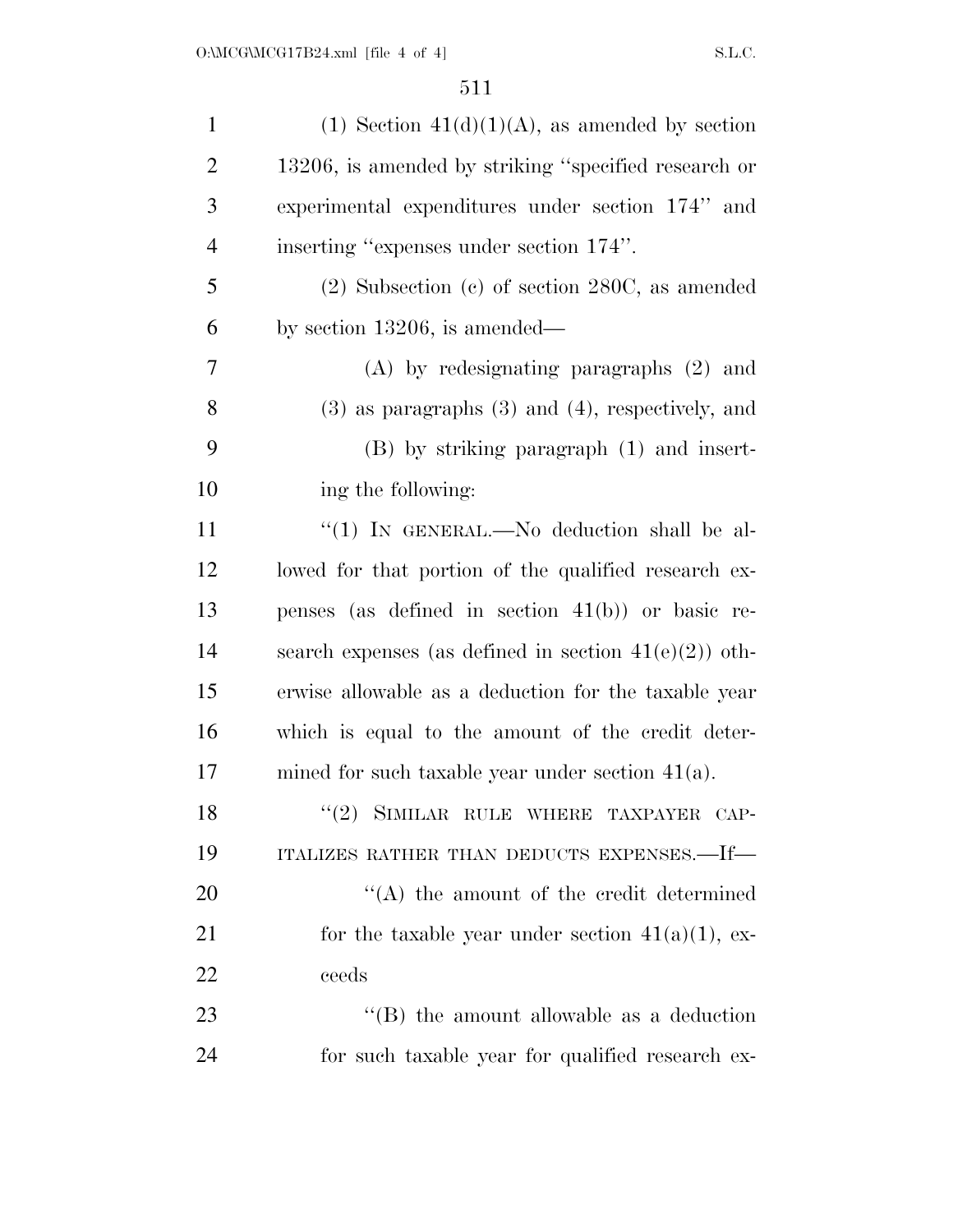| $\mathbf{1}$   | (1) Section $41(d)(1)(A)$ , as amended by section        |
|----------------|----------------------------------------------------------|
| $\overline{2}$ | 13206, is amended by striking "specified research or     |
| 3              | experimental expenditures under section 174" and         |
| $\overline{4}$ | inserting "expenses under section 174".                  |
| 5              | $(2)$ Subsection $(c)$ of section 280C, as amended       |
| 6              | by section $13206$ , is amended—                         |
| 7              | $(A)$ by redesignating paragraphs $(2)$ and              |
| 8              | $(3)$ as paragraphs $(3)$ and $(4)$ , respectively, and  |
| 9              | $(B)$ by striking paragraph $(1)$ and insert-            |
| 10             | ing the following:                                       |
| 11             | "(1) IN GENERAL.—No deduction shall be al-               |
| 12             | lowed for that portion of the qualified research ex-     |
| 13             | penses (as defined in section $41(b)$ ) or basic re-     |
| 14             | search expenses (as defined in section $41(e)(2)$ ) oth- |
| 15             | erwise allowable as a deduction for the taxable year     |
| 16             | which is equal to the amount of the credit deter-        |
| 17             | mined for such taxable year under section $41(a)$ .      |
| 18             | "(2) SIMILAR RULE WHERE TAXPAYER CAP-                    |
| 19             | ITALIZES RATHER THAN DEDUCTS EXPENSES.—If—               |
| 20             | $\lq\lq$ the amount of the credit determined             |
| 21             | for the taxable year under section $41(a)(1)$ , ex-      |
| 22             | ceeds                                                    |
| 23             | $\lq\lq$ the amount allowable as a deduction             |
| 24             | for such taxable year for qualified research ex-         |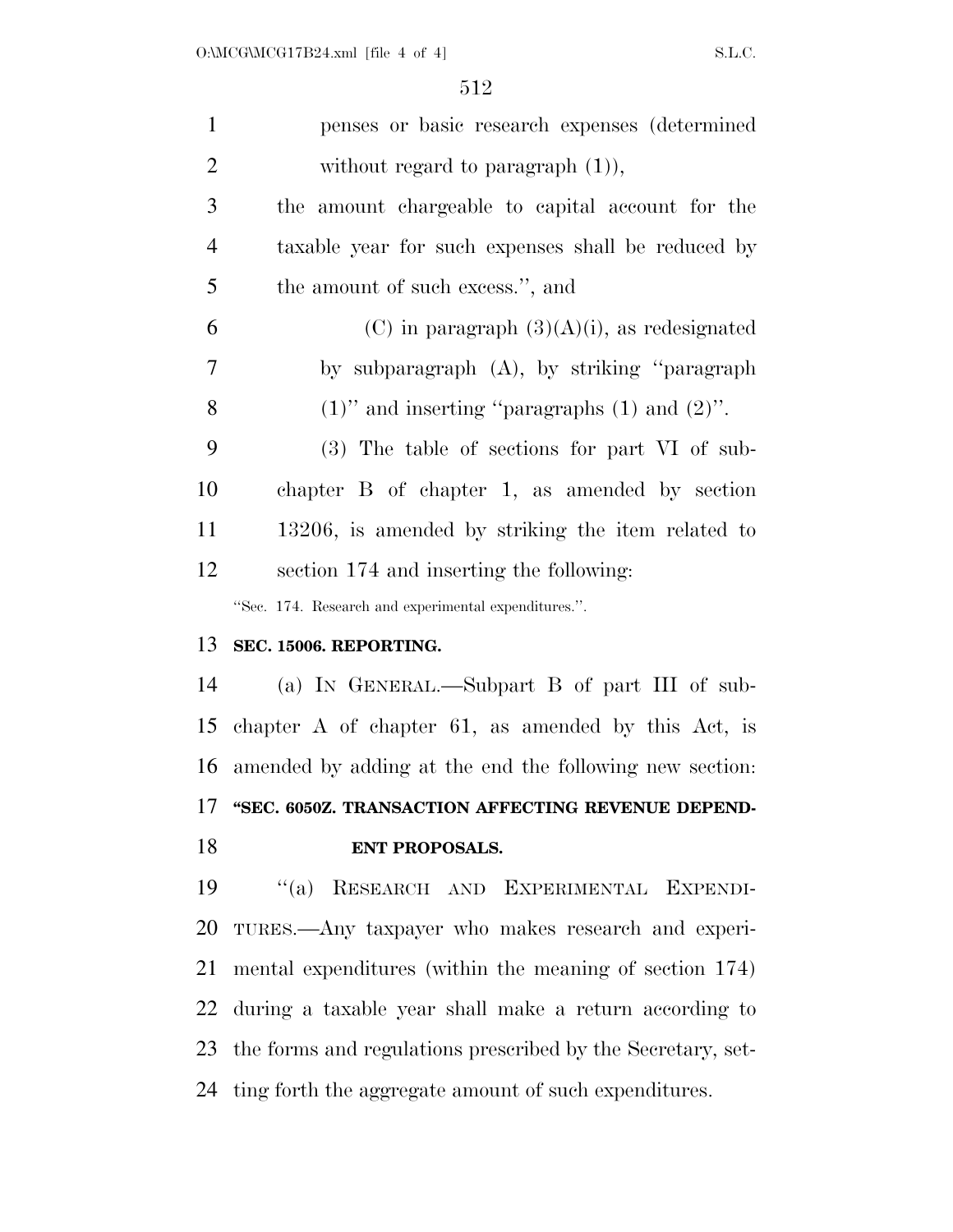| $\mathbf{1}$   | penses or basic research expenses (determined               |
|----------------|-------------------------------------------------------------|
| $\overline{2}$ | without regard to paragraph $(1)$ ),                        |
| 3              | the amount chargeable to capital account for the            |
| $\overline{4}$ | taxable year for such expenses shall be reduced by          |
| 5              | the amount of such excess.", and                            |
| 6              | (C) in paragraph $(3)(A)(i)$ , as redesignated              |
| $\tau$         | by subparagraph (A), by striking "paragraph"                |
| 8              | $(1)$ " and inserting "paragraphs $(1)$ and $(2)$ ".        |
| 9              | (3) The table of sections for part VI of sub-               |
| 10             | chapter B of chapter 1, as amended by section               |
| 11             | 13206, is amended by striking the item related to           |
| 12             | section 174 and inserting the following:                    |
|                | "Sec. 174. Research and experimental expenditures.".        |
| 13             | SEC. 15006. REPORTING.                                      |
| 14             | (a) IN GENERAL.—Subpart B of part III of sub-               |
| 15             | chapter $A$ of chapter 61, as amended by this Act, is       |
|                | 16 amended by adding at the end the following new section:  |
| 17             | "SEC. 6050Z. TRANSACTION AFFECTING REVENUE DEPEND-          |
| 18             | <b>ENT PROPOSALS.</b>                                       |
| 19             | "(a) RESEARCH AND EXPERIMENTAL EXPENDI-                     |
| 20             | TURES.—Any taxpayer who makes research and experi-          |
| 21             | mental expenditures (within the meaning of section 174)     |
| 22             | during a taxable year shall make a return according to      |
| 23             | the forms and regulations prescribed by the Secretary, set- |
| 24             | ting forth the aggregate amount of such expenditures.       |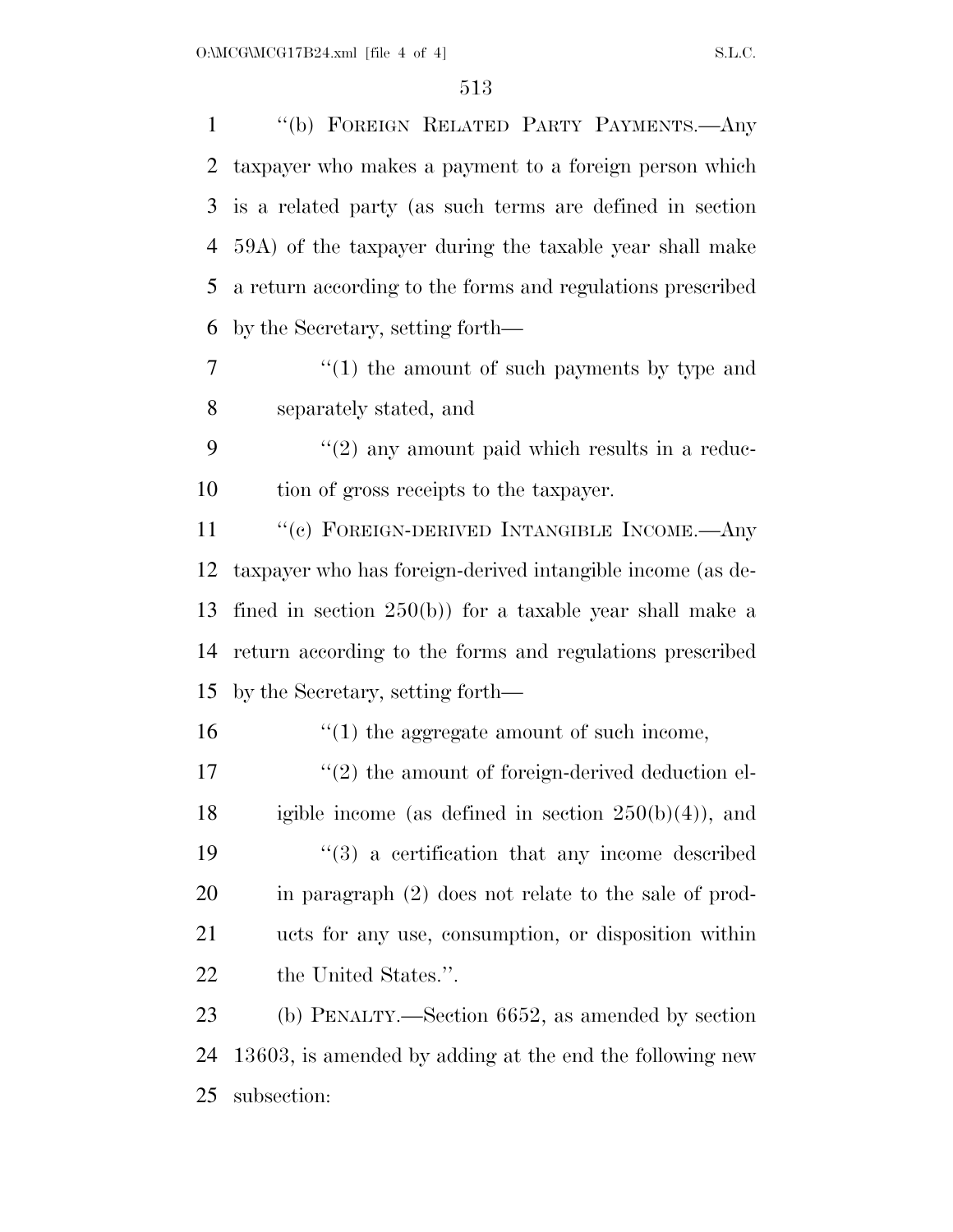| $\mathbf{1}$ | "(b) FOREIGN RELATED PARTY PAYMENTS.—Any                   |
|--------------|------------------------------------------------------------|
| 2            | taxpayer who makes a payment to a foreign person which     |
| 3            | is a related party (as such terms are defined in section   |
| 4            | 59A) of the taxpayer during the taxable year shall make    |
| 5            | a return according to the forms and regulations prescribed |
| 6            | by the Secretary, setting forth—                           |
| 7            | $\cdot$ (1) the amount of such payments by type and        |
| 8            | separately stated, and                                     |
| 9            | $"(2)$ any amount paid which results in a reduc-           |
| 10           | tion of gross receipts to the taxpayer.                    |
| 11           | "(c) FOREIGN-DERIVED INTANGIBLE INCOME.—Any                |
| 12           | taxpayer who has foreign-derived intangible income (as de- |
| 13           | fined in section $250(b)$ for a taxable year shall make a  |
| 14           | return according to the forms and regulations prescribed   |
| 15           | by the Secretary, setting forth—                           |
| 16           | $\cdot$ (1) the aggregate amount of such income,           |
| 17           | $\lq(2)$ the amount of foreign-derived deduction el-       |
| 18           | igible income (as defined in section $250(b)(4)$ ), and    |
| 19           | $(3)$ a certification that any income described            |
| 20           | in paragraph $(2)$ does not relate to the sale of prod-    |
| 21           | ucts for any use, consumption, or disposition within       |
| 22           | the United States.".                                       |
| 23           | (b) PENALTY.—Section $6652$ , as amended by section        |
| 24           | 13603, is amended by adding at the end the following new   |
| 25           | subsection:                                                |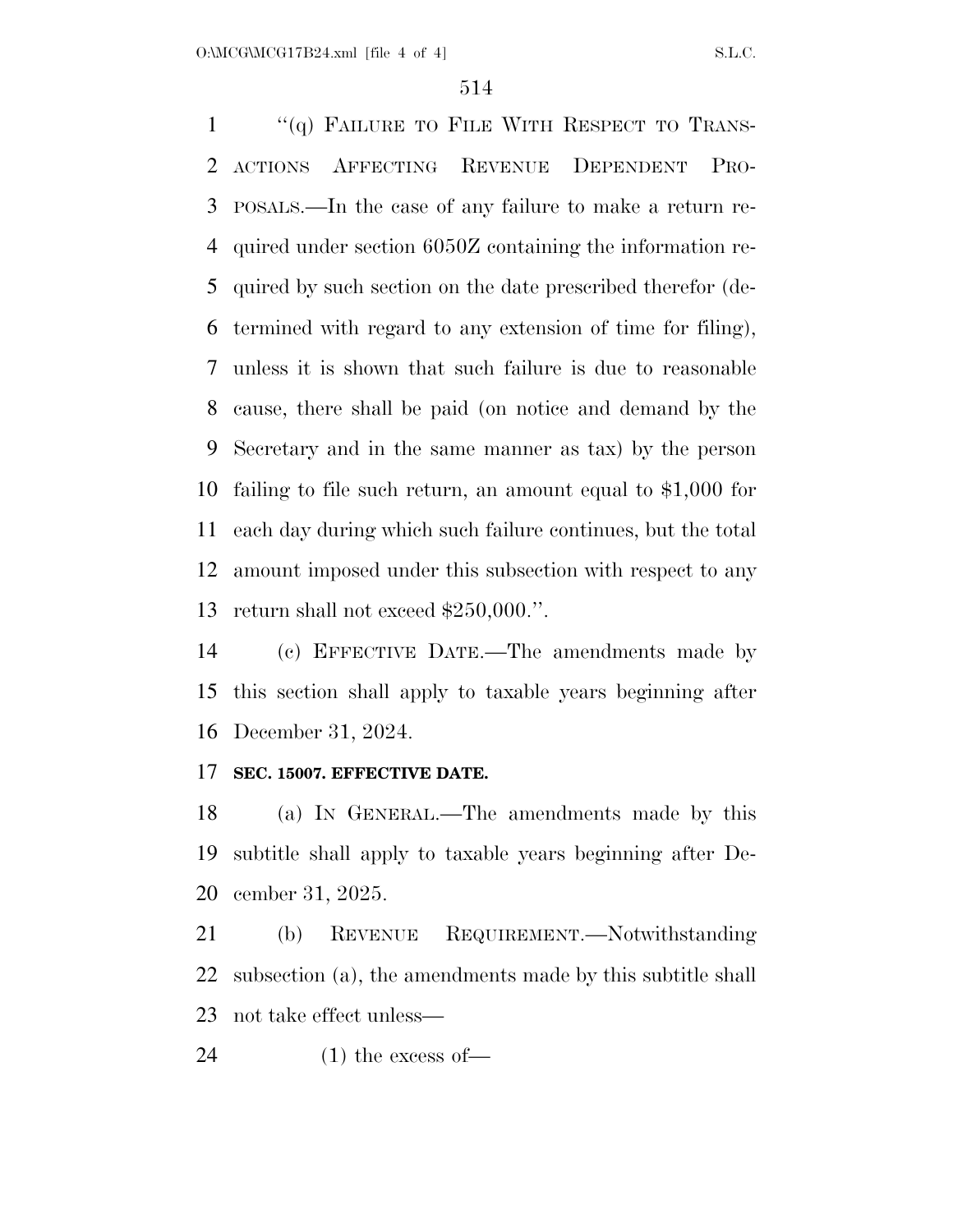1 "(q) FAILURE TO FILE WITH RESPECT TO TRANS- ACTIONS AFFECTING REVENUE DEPENDENT PRO- POSALS.—In the case of any failure to make a return re- quired under section 6050Z containing the information re- quired by such section on the date prescribed therefor (de- termined with regard to any extension of time for filing), unless it is shown that such failure is due to reasonable cause, there shall be paid (on notice and demand by the Secretary and in the same manner as tax) by the person failing to file such return, an amount equal to \$1,000 for each day during which such failure continues, but the total amount imposed under this subsection with respect to any return shall not exceed \$250,000.''.

 (c) EFFECTIVE DATE.—The amendments made by this section shall apply to taxable years beginning after December 31, 2024.

#### **SEC. 15007. EFFECTIVE DATE.**

 (a) IN GENERAL.—The amendments made by this subtitle shall apply to taxable years beginning after De-cember 31, 2025.

 (b) REVENUE REQUIREMENT.—Notwithstanding subsection (a), the amendments made by this subtitle shall not take effect unless—

(1) the excess of—